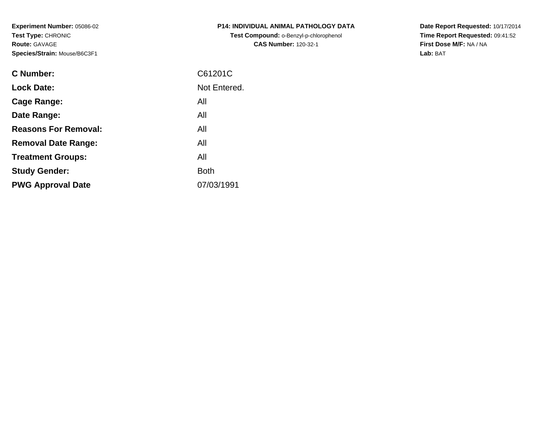**Experiment Number:** 05086-02**Test Type:** CHRONIC**Route:** GAVAGE**Species/Strain:** Mouse/B6C3F1

| P14: INDIVIDUAL ANIMAL PATHOLOGY DATA  |
|----------------------------------------|
| Test Compound: o-Benzyl-p-chlorophenol |
| <b>CAS Number: 120-32-1</b>            |

**Date Report Requested:** 10/17/2014 **Time Report Requested:** 09:41:52**First Dose M/F:** NA / NA**Lab:** BAT

| C Number:                   | C61201C      |
|-----------------------------|--------------|
| <b>Lock Date:</b>           | Not Entered. |
| Cage Range:                 | All          |
| Date Range:                 | All          |
| <b>Reasons For Removal:</b> | All          |
| <b>Removal Date Range:</b>  | All          |
| <b>Treatment Groups:</b>    | All          |
| <b>Study Gender:</b>        | <b>Both</b>  |
| <b>PWG Approval Date</b>    | 07/03/1991   |
|                             |              |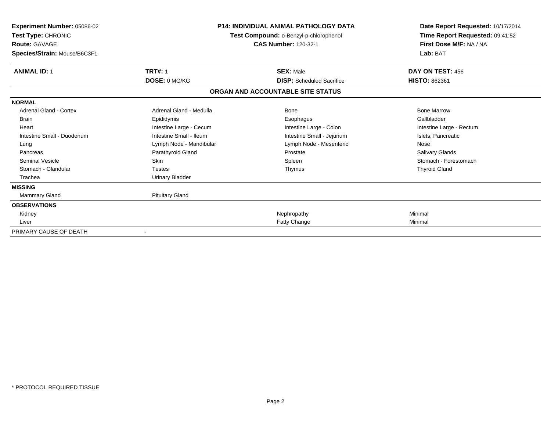| Experiment Number: 05086-02<br>Test Type: CHRONIC<br><b>Route: GAVAGE</b><br>Species/Strain: Mouse/B6C3F1 | <b>P14: INDIVIDUAL ANIMAL PATHOLOGY DATA</b><br>Test Compound: o-Benzyl-p-chlorophenol<br><b>CAS Number: 120-32-1</b> |                                   | Date Report Requested: 10/17/2014<br>Time Report Requested: 09:41:52<br>First Dose M/F: NA / NA<br>Lab: BAT |
|-----------------------------------------------------------------------------------------------------------|-----------------------------------------------------------------------------------------------------------------------|-----------------------------------|-------------------------------------------------------------------------------------------------------------|
| <b>ANIMAL ID: 1</b>                                                                                       | <b>TRT#: 1</b>                                                                                                        | <b>SEX: Male</b>                  | DAY ON TEST: 456                                                                                            |
|                                                                                                           | DOSE: 0 MG/KG                                                                                                         | <b>DISP:</b> Scheduled Sacrifice  | <b>HISTO: 862361</b>                                                                                        |
|                                                                                                           |                                                                                                                       | ORGAN AND ACCOUNTABLE SITE STATUS |                                                                                                             |
| <b>NORMAL</b>                                                                                             |                                                                                                                       |                                   |                                                                                                             |
| <b>Adrenal Gland - Cortex</b>                                                                             | Adrenal Gland - Medulla                                                                                               | Bone                              | <b>Bone Marrow</b>                                                                                          |
| <b>Brain</b>                                                                                              | Epididymis                                                                                                            | Esophagus                         | Gallbladder                                                                                                 |
| Heart                                                                                                     | Intestine Large - Cecum                                                                                               | Intestine Large - Colon           | Intestine Large - Rectum                                                                                    |
| Intestine Small - Duodenum                                                                                | Intestine Small - Ileum                                                                                               | Intestine Small - Jejunum         | Islets, Pancreatic                                                                                          |
| Lung                                                                                                      | Lymph Node - Mandibular                                                                                               | Lymph Node - Mesenteric           | Nose                                                                                                        |
| Pancreas                                                                                                  | Parathyroid Gland                                                                                                     | Prostate                          | Salivary Glands                                                                                             |
| <b>Seminal Vesicle</b>                                                                                    | <b>Skin</b>                                                                                                           | Spleen                            | Stomach - Forestomach                                                                                       |
| Stomach - Glandular                                                                                       | <b>Testes</b>                                                                                                         | Thymus                            | <b>Thyroid Gland</b>                                                                                        |
| Trachea                                                                                                   | <b>Urinary Bladder</b>                                                                                                |                                   |                                                                                                             |
| <b>MISSING</b>                                                                                            |                                                                                                                       |                                   |                                                                                                             |
| Mammary Gland                                                                                             | <b>Pituitary Gland</b>                                                                                                |                                   |                                                                                                             |
| <b>OBSERVATIONS</b>                                                                                       |                                                                                                                       |                                   |                                                                                                             |
| Kidney                                                                                                    |                                                                                                                       | Nephropathy                       | Minimal                                                                                                     |
| Liver                                                                                                     |                                                                                                                       | Fatty Change                      | Minimal                                                                                                     |
| PRIMARY CAUSE OF DEATH                                                                                    |                                                                                                                       |                                   |                                                                                                             |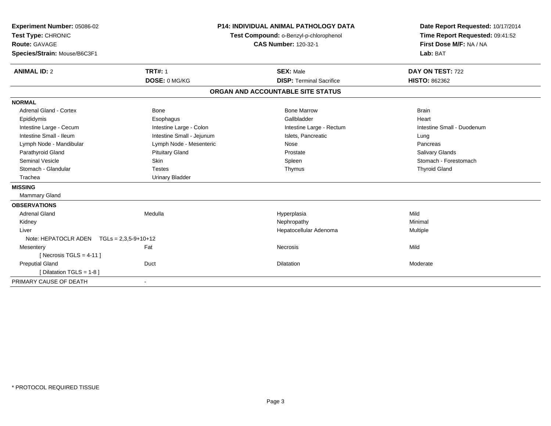| Experiment Number: 05086-02<br>Test Type: CHRONIC | <b>P14: INDIVIDUAL ANIMAL PATHOLOGY DATA</b><br>Test Compound: o-Benzyl-p-chlorophenol |                                   | Date Report Requested: 10/17/2014<br>Time Report Requested: 09:41:52 |
|---------------------------------------------------|----------------------------------------------------------------------------------------|-----------------------------------|----------------------------------------------------------------------|
| Route: GAVAGE                                     |                                                                                        | <b>CAS Number: 120-32-1</b>       | First Dose M/F: NA / NA                                              |
| Species/Strain: Mouse/B6C3F1                      |                                                                                        |                                   | Lab: BAT                                                             |
| <b>ANIMAL ID: 2</b>                               | <b>TRT#: 1</b>                                                                         | <b>SEX: Male</b>                  | DAY ON TEST: 722                                                     |
|                                                   | DOSE: 0 MG/KG                                                                          | <b>DISP: Terminal Sacrifice</b>   | <b>HISTO: 862362</b>                                                 |
|                                                   |                                                                                        | ORGAN AND ACCOUNTABLE SITE STATUS |                                                                      |
| <b>NORMAL</b>                                     |                                                                                        |                                   |                                                                      |
| Adrenal Gland - Cortex                            | Bone                                                                                   | <b>Bone Marrow</b>                | <b>Brain</b>                                                         |
| Epididymis                                        | Esophagus                                                                              | Gallbladder                       | Heart                                                                |
| Intestine Large - Cecum                           | Intestine Large - Colon                                                                | Intestine Large - Rectum          | Intestine Small - Duodenum                                           |
| Intestine Small - Ileum                           | Intestine Small - Jejunum                                                              | Islets, Pancreatic                | Lung                                                                 |
| Lymph Node - Mandibular                           | Lymph Node - Mesenteric                                                                | Nose                              | Pancreas                                                             |
| Parathyroid Gland                                 | <b>Pituitary Gland</b>                                                                 | Prostate                          | <b>Salivary Glands</b>                                               |
| <b>Seminal Vesicle</b>                            | <b>Skin</b>                                                                            | Spleen                            | Stomach - Forestomach                                                |
| Stomach - Glandular                               | <b>Testes</b>                                                                          | Thymus                            | <b>Thyroid Gland</b>                                                 |
| Trachea                                           | <b>Urinary Bladder</b>                                                                 |                                   |                                                                      |
| <b>MISSING</b>                                    |                                                                                        |                                   |                                                                      |
| <b>Mammary Gland</b>                              |                                                                                        |                                   |                                                                      |
| <b>OBSERVATIONS</b>                               |                                                                                        |                                   |                                                                      |
| <b>Adrenal Gland</b>                              | Medulla                                                                                | Hyperplasia                       | Mild                                                                 |
| Kidney                                            |                                                                                        | Nephropathy                       | Minimal                                                              |
| Liver                                             |                                                                                        | Hepatocellular Adenoma            | Multiple                                                             |
| Note: HEPATOCLR ADEN TGLs = 2,3,5-9+10+12         |                                                                                        |                                   |                                                                      |
| Mesentery                                         | Fat                                                                                    | Necrosis                          | Mild                                                                 |
| [Necrosis TGLS = $4-11$ ]                         |                                                                                        |                                   |                                                                      |
| <b>Preputial Gland</b>                            | Duct                                                                                   | Dilatation                        | Moderate                                                             |
| [ Dilatation TGLS = 1-8 ]                         |                                                                                        |                                   |                                                                      |
| PRIMARY CAUSE OF DEATH                            |                                                                                        |                                   |                                                                      |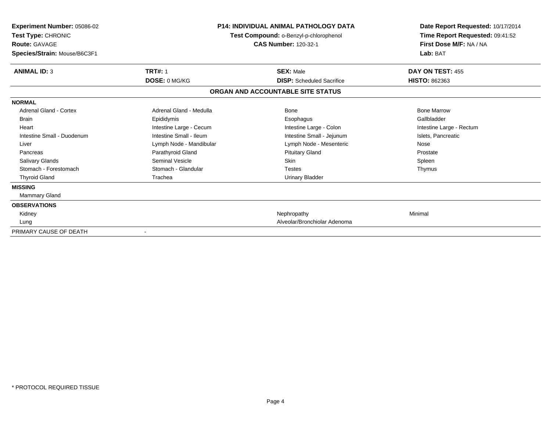| Experiment Number: 05086-02<br>Test Type: CHRONIC<br><b>Route: GAVAGE</b><br>Species/Strain: Mouse/B6C3F1 | <b>P14: INDIVIDUAL ANIMAL PATHOLOGY DATA</b><br>Test Compound: o-Benzyl-p-chlorophenol<br><b>CAS Number: 120-32-1</b> |                                   | Date Report Requested: 10/17/2014<br>Time Report Requested: 09:41:52<br>First Dose M/F: NA / NA<br>Lab: BAT |
|-----------------------------------------------------------------------------------------------------------|-----------------------------------------------------------------------------------------------------------------------|-----------------------------------|-------------------------------------------------------------------------------------------------------------|
| <b>ANIMAL ID: 3</b>                                                                                       | <b>TRT#: 1</b>                                                                                                        | <b>SEX: Male</b>                  | DAY ON TEST: 455                                                                                            |
|                                                                                                           | DOSE: 0 MG/KG                                                                                                         | <b>DISP:</b> Scheduled Sacrifice  | <b>HISTO: 862363</b>                                                                                        |
|                                                                                                           |                                                                                                                       | ORGAN AND ACCOUNTABLE SITE STATUS |                                                                                                             |
| <b>NORMAL</b>                                                                                             |                                                                                                                       |                                   |                                                                                                             |
| Adrenal Gland - Cortex                                                                                    | Adrenal Gland - Medulla                                                                                               | Bone                              | <b>Bone Marrow</b>                                                                                          |
| <b>Brain</b>                                                                                              | Epididymis                                                                                                            | Esophagus                         | Gallbladder                                                                                                 |
| Heart                                                                                                     | Intestine Large - Cecum                                                                                               | Intestine Large - Colon           | Intestine Large - Rectum                                                                                    |
| Intestine Small - Duodenum                                                                                | Intestine Small - Ileum                                                                                               | Intestine Small - Jejunum         | Islets, Pancreatic                                                                                          |
| Liver                                                                                                     | Lymph Node - Mandibular                                                                                               | Lymph Node - Mesenteric           | Nose                                                                                                        |
| Pancreas                                                                                                  | Parathyroid Gland                                                                                                     | <b>Pituitary Gland</b>            | Prostate                                                                                                    |
| <b>Salivary Glands</b>                                                                                    | Seminal Vesicle                                                                                                       | <b>Skin</b>                       | Spleen                                                                                                      |
| Stomach - Forestomach                                                                                     | Stomach - Glandular                                                                                                   | <b>Testes</b>                     | Thymus                                                                                                      |
| <b>Thyroid Gland</b>                                                                                      | Trachea                                                                                                               | <b>Urinary Bladder</b>            |                                                                                                             |
| <b>MISSING</b>                                                                                            |                                                                                                                       |                                   |                                                                                                             |
| <b>Mammary Gland</b>                                                                                      |                                                                                                                       |                                   |                                                                                                             |
| <b>OBSERVATIONS</b>                                                                                       |                                                                                                                       |                                   |                                                                                                             |
| Kidney                                                                                                    |                                                                                                                       | Nephropathy                       | Minimal                                                                                                     |
| Lung                                                                                                      |                                                                                                                       | Alveolar/Bronchiolar Adenoma      |                                                                                                             |
| PRIMARY CAUSE OF DEATH                                                                                    | $\overline{\phantom{a}}$                                                                                              |                                   |                                                                                                             |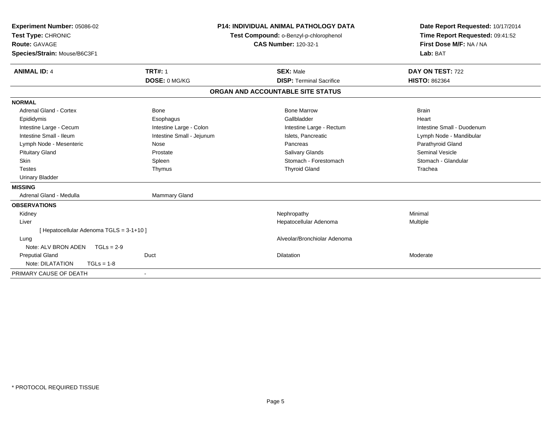| Experiment Number: 05086-02<br>Test Type: CHRONIC<br><b>Route: GAVAGE</b><br>Species/Strain: Mouse/B6C3F1<br><b>ANIMAL ID: 4</b> | <b>TRT#: 1</b>            | <b>P14: INDIVIDUAL ANIMAL PATHOLOGY DATA</b><br>Test Compound: o-Benzyl-p-chlorophenol<br><b>CAS Number: 120-32-1</b><br><b>SEX: Male</b> | Date Report Requested: 10/17/2014<br>Time Report Requested: 09:41:52<br>First Dose M/F: NA / NA<br>Lab: BAT<br>DAY ON TEST: 722 |
|----------------------------------------------------------------------------------------------------------------------------------|---------------------------|-------------------------------------------------------------------------------------------------------------------------------------------|---------------------------------------------------------------------------------------------------------------------------------|
|                                                                                                                                  | DOSE: 0 MG/KG             | <b>DISP: Terminal Sacrifice</b>                                                                                                           | <b>HISTO: 862364</b>                                                                                                            |
|                                                                                                                                  |                           | ORGAN AND ACCOUNTABLE SITE STATUS                                                                                                         |                                                                                                                                 |
| <b>NORMAL</b>                                                                                                                    |                           |                                                                                                                                           |                                                                                                                                 |
| <b>Adrenal Gland - Cortex</b>                                                                                                    | <b>Bone</b>               | <b>Bone Marrow</b>                                                                                                                        | <b>Brain</b>                                                                                                                    |
| Epididymis                                                                                                                       | Esophagus                 | Gallbladder                                                                                                                               | Heart                                                                                                                           |
| Intestine Large - Cecum                                                                                                          | Intestine Large - Colon   | Intestine Large - Rectum                                                                                                                  | Intestine Small - Duodenum                                                                                                      |
| Intestine Small - Ileum                                                                                                          | Intestine Small - Jejunum | Islets, Pancreatic                                                                                                                        | Lymph Node - Mandibular                                                                                                         |
| Lymph Node - Mesenteric                                                                                                          | Nose                      | Pancreas                                                                                                                                  | Parathyroid Gland                                                                                                               |
| <b>Pituitary Gland</b>                                                                                                           | Prostate                  | <b>Salivary Glands</b>                                                                                                                    | <b>Seminal Vesicle</b>                                                                                                          |
| Skin                                                                                                                             | Spleen                    | Stomach - Forestomach                                                                                                                     | Stomach - Glandular                                                                                                             |
| <b>Testes</b>                                                                                                                    | Thymus                    | <b>Thyroid Gland</b>                                                                                                                      | Trachea                                                                                                                         |
| <b>Urinary Bladder</b>                                                                                                           |                           |                                                                                                                                           |                                                                                                                                 |
| <b>MISSING</b>                                                                                                                   |                           |                                                                                                                                           |                                                                                                                                 |
| Adrenal Gland - Medulla                                                                                                          | <b>Mammary Gland</b>      |                                                                                                                                           |                                                                                                                                 |
| <b>OBSERVATIONS</b>                                                                                                              |                           |                                                                                                                                           |                                                                                                                                 |
| Kidney                                                                                                                           |                           | Nephropathy                                                                                                                               | Minimal                                                                                                                         |
| Liver                                                                                                                            |                           | Hepatocellular Adenoma                                                                                                                    | Multiple                                                                                                                        |
| [ Hepatocellular Adenoma TGLS = 3-1+10 ]                                                                                         |                           |                                                                                                                                           |                                                                                                                                 |
| Lung                                                                                                                             |                           | Alveolar/Bronchiolar Adenoma                                                                                                              |                                                                                                                                 |
| Note: ALV BRON ADEN<br>$TGLs = 2-9$                                                                                              |                           |                                                                                                                                           |                                                                                                                                 |
| <b>Preputial Gland</b>                                                                                                           | Duct                      | <b>Dilatation</b>                                                                                                                         | Moderate                                                                                                                        |
| Note: DILATATION<br>$TGLs = 1-8$                                                                                                 |                           |                                                                                                                                           |                                                                                                                                 |
| PRIMARY CAUSE OF DEATH                                                                                                           |                           |                                                                                                                                           |                                                                                                                                 |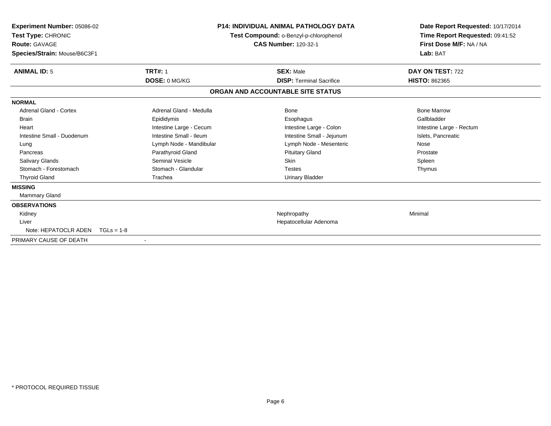| Experiment Number: 05086-02<br>Test Type: CHRONIC<br><b>Route: GAVAGE</b><br>Species/Strain: Mouse/B6C3F1 |                         | <b>P14: INDIVIDUAL ANIMAL PATHOLOGY DATA</b><br>Test Compound: o-Benzyl-p-chlorophenol<br><b>CAS Number: 120-32-1</b> | Date Report Requested: 10/17/2014<br>Time Report Requested: 09:41:52<br>First Dose M/F: NA / NA<br>Lab: BAT |
|-----------------------------------------------------------------------------------------------------------|-------------------------|-----------------------------------------------------------------------------------------------------------------------|-------------------------------------------------------------------------------------------------------------|
| <b>ANIMAL ID: 5</b>                                                                                       | <b>TRT#: 1</b>          | <b>SEX: Male</b>                                                                                                      | DAY ON TEST: 722                                                                                            |
|                                                                                                           | DOSE: 0 MG/KG           | <b>DISP:</b> Terminal Sacrifice                                                                                       | <b>HISTO: 862365</b>                                                                                        |
|                                                                                                           |                         | ORGAN AND ACCOUNTABLE SITE STATUS                                                                                     |                                                                                                             |
| <b>NORMAL</b>                                                                                             |                         |                                                                                                                       |                                                                                                             |
| Adrenal Gland - Cortex                                                                                    | Adrenal Gland - Medulla | Bone                                                                                                                  | <b>Bone Marrow</b>                                                                                          |
| <b>Brain</b>                                                                                              | Epididymis              | Esophagus                                                                                                             | Gallbladder                                                                                                 |
| Heart                                                                                                     | Intestine Large - Cecum | Intestine Large - Colon                                                                                               | Intestine Large - Rectum                                                                                    |
| Intestine Small - Duodenum                                                                                | Intestine Small - Ileum | Intestine Small - Jejunum                                                                                             | Islets, Pancreatic                                                                                          |
| Lung                                                                                                      | Lymph Node - Mandibular | Lymph Node - Mesenteric                                                                                               | Nose                                                                                                        |
| Pancreas                                                                                                  | Parathyroid Gland       | <b>Pituitary Gland</b>                                                                                                | Prostate                                                                                                    |
| <b>Salivary Glands</b>                                                                                    | <b>Seminal Vesicle</b>  | <b>Skin</b>                                                                                                           | Spleen                                                                                                      |
| Stomach - Forestomach                                                                                     | Stomach - Glandular     | <b>Testes</b>                                                                                                         | Thymus                                                                                                      |
| <b>Thyroid Gland</b>                                                                                      | Trachea                 | Urinary Bladder                                                                                                       |                                                                                                             |
| <b>MISSING</b>                                                                                            |                         |                                                                                                                       |                                                                                                             |
| Mammary Gland                                                                                             |                         |                                                                                                                       |                                                                                                             |
| <b>OBSERVATIONS</b>                                                                                       |                         |                                                                                                                       |                                                                                                             |
| Kidney                                                                                                    |                         | Nephropathy                                                                                                           | Minimal                                                                                                     |
| Liver                                                                                                     |                         | Hepatocellular Adenoma                                                                                                |                                                                                                             |
| Note: HEPATOCLR ADEN                                                                                      | $TGLs = 1-8$            |                                                                                                                       |                                                                                                             |
| PRIMARY CAUSE OF DEATH                                                                                    |                         |                                                                                                                       |                                                                                                             |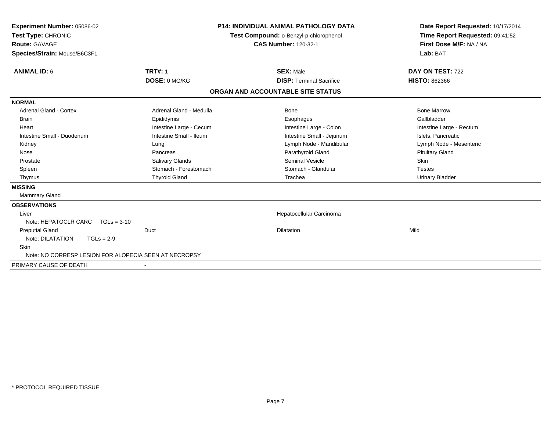| <b>Experiment Number: 05086-02</b><br>Test Type: CHRONIC<br>Route: GAVAGE<br>Species/Strain: Mouse/B6C3F1 | <b>P14: INDIVIDUAL ANIMAL PATHOLOGY DATA</b><br>Test Compound: o-Benzyl-p-chlorophenol<br><b>CAS Number: 120-32-1</b> |  | Date Report Requested: 10/17/2014<br>Time Report Requested: 09:41:52<br>First Dose M/F: NA / NA<br>Lab: BAT |                          |
|-----------------------------------------------------------------------------------------------------------|-----------------------------------------------------------------------------------------------------------------------|--|-------------------------------------------------------------------------------------------------------------|--------------------------|
| <b>ANIMAL ID: 6</b>                                                                                       | <b>TRT#: 1</b>                                                                                                        |  | <b>SEX: Male</b>                                                                                            | DAY ON TEST: 722         |
|                                                                                                           | DOSE: 0 MG/KG                                                                                                         |  | <b>DISP: Terminal Sacrifice</b>                                                                             | <b>HISTO: 862366</b>     |
|                                                                                                           |                                                                                                                       |  | ORGAN AND ACCOUNTABLE SITE STATUS                                                                           |                          |
| <b>NORMAL</b>                                                                                             |                                                                                                                       |  |                                                                                                             |                          |
| <b>Adrenal Gland - Cortex</b>                                                                             | Adrenal Gland - Medulla                                                                                               |  | Bone                                                                                                        | <b>Bone Marrow</b>       |
| Brain                                                                                                     | Epididymis                                                                                                            |  | Esophagus                                                                                                   | Gallbladder              |
| Heart                                                                                                     | Intestine Large - Cecum                                                                                               |  | Intestine Large - Colon                                                                                     | Intestine Large - Rectum |
| Intestine Small - Duodenum                                                                                | Intestine Small - Ileum                                                                                               |  | Intestine Small - Jejunum                                                                                   | Islets, Pancreatic       |
| Kidney                                                                                                    | Lung                                                                                                                  |  | Lymph Node - Mandibular                                                                                     | Lymph Node - Mesenteric  |
| Nose                                                                                                      | Pancreas                                                                                                              |  | Parathyroid Gland                                                                                           | <b>Pituitary Gland</b>   |
| Prostate                                                                                                  | <b>Salivary Glands</b>                                                                                                |  | Seminal Vesicle                                                                                             | <b>Skin</b>              |
| Spleen                                                                                                    | Stomach - Forestomach                                                                                                 |  | Stomach - Glandular                                                                                         | <b>Testes</b>            |
| Thymus                                                                                                    | <b>Thyroid Gland</b>                                                                                                  |  | Trachea                                                                                                     | <b>Urinary Bladder</b>   |
| <b>MISSING</b>                                                                                            |                                                                                                                       |  |                                                                                                             |                          |
| Mammary Gland                                                                                             |                                                                                                                       |  |                                                                                                             |                          |
| <b>OBSERVATIONS</b>                                                                                       |                                                                                                                       |  |                                                                                                             |                          |
| Liver                                                                                                     |                                                                                                                       |  | Hepatocellular Carcinoma                                                                                    |                          |
| Note: HEPATOCLR CARC TGLs = 3-10                                                                          |                                                                                                                       |  |                                                                                                             |                          |
| <b>Preputial Gland</b>                                                                                    | Duct                                                                                                                  |  | <b>Dilatation</b>                                                                                           | Mild                     |
| Note: DILATATION<br>$TGLs = 2-9$                                                                          |                                                                                                                       |  |                                                                                                             |                          |
| <b>Skin</b>                                                                                               |                                                                                                                       |  |                                                                                                             |                          |
| Note: NO CORRESP LESION FOR ALOPECIA SEEN AT NECROPSY                                                     |                                                                                                                       |  |                                                                                                             |                          |
| PRIMARY CAUSE OF DEATH                                                                                    | $\overline{\phantom{a}}$                                                                                              |  |                                                                                                             |                          |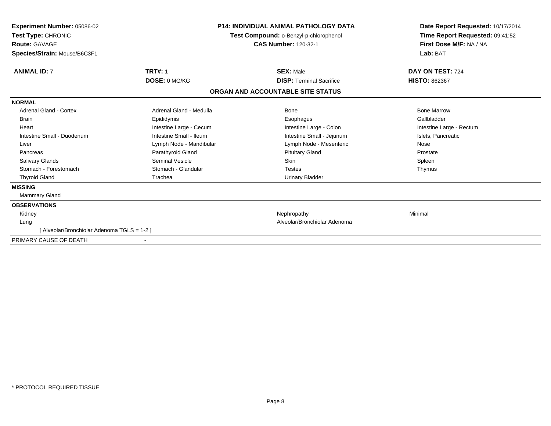| <b>Experiment Number: 05086-02</b><br>Test Type: CHRONIC<br><b>Route: GAVAGE</b><br>Species/Strain: Mouse/B6C3F1 |                         | <b>P14: INDIVIDUAL ANIMAL PATHOLOGY DATA</b><br>Test Compound: o-Benzyl-p-chlorophenol<br><b>CAS Number: 120-32-1</b> | Date Report Requested: 10/17/2014<br>Time Report Requested: 09:41:52<br>First Dose M/F: NA / NA<br>Lab: BAT |
|------------------------------------------------------------------------------------------------------------------|-------------------------|-----------------------------------------------------------------------------------------------------------------------|-------------------------------------------------------------------------------------------------------------|
| <b>ANIMAL ID: 7</b>                                                                                              | <b>TRT#: 1</b>          | <b>SEX: Male</b>                                                                                                      | DAY ON TEST: 724                                                                                            |
|                                                                                                                  | DOSE: 0 MG/KG           | <b>DISP: Terminal Sacrifice</b>                                                                                       | <b>HISTO: 862367</b>                                                                                        |
|                                                                                                                  |                         | ORGAN AND ACCOUNTABLE SITE STATUS                                                                                     |                                                                                                             |
| <b>NORMAL</b>                                                                                                    |                         |                                                                                                                       |                                                                                                             |
| <b>Adrenal Gland - Cortex</b>                                                                                    | Adrenal Gland - Medulla | Bone                                                                                                                  | <b>Bone Marrow</b>                                                                                          |
| <b>Brain</b>                                                                                                     | Epididymis              | Esophagus                                                                                                             | Gallbladder                                                                                                 |
| Heart                                                                                                            | Intestine Large - Cecum | Intestine Large - Colon                                                                                               | Intestine Large - Rectum                                                                                    |
| Intestine Small - Duodenum                                                                                       | Intestine Small - Ileum | Intestine Small - Jejunum                                                                                             | Islets, Pancreatic                                                                                          |
| Liver                                                                                                            | Lymph Node - Mandibular | Lymph Node - Mesenteric                                                                                               | Nose                                                                                                        |
| Pancreas                                                                                                         | Parathyroid Gland       | <b>Pituitary Gland</b>                                                                                                | Prostate                                                                                                    |
| <b>Salivary Glands</b>                                                                                           | <b>Seminal Vesicle</b>  | Skin                                                                                                                  | Spleen                                                                                                      |
| Stomach - Forestomach                                                                                            | Stomach - Glandular     | <b>Testes</b>                                                                                                         | Thymus                                                                                                      |
| <b>Thyroid Gland</b>                                                                                             | Trachea                 | <b>Urinary Bladder</b>                                                                                                |                                                                                                             |
| <b>MISSING</b>                                                                                                   |                         |                                                                                                                       |                                                                                                             |
| Mammary Gland                                                                                                    |                         |                                                                                                                       |                                                                                                             |
| <b>OBSERVATIONS</b>                                                                                              |                         |                                                                                                                       |                                                                                                             |
| Kidney                                                                                                           |                         | Nephropathy                                                                                                           | Minimal                                                                                                     |
| Lung                                                                                                             |                         | Alveolar/Bronchiolar Adenoma                                                                                          |                                                                                                             |
| [ Alveolar/Bronchiolar Adenoma TGLS = 1-2 ]                                                                      |                         |                                                                                                                       |                                                                                                             |
| PRIMARY CAUSE OF DEATH                                                                                           |                         |                                                                                                                       |                                                                                                             |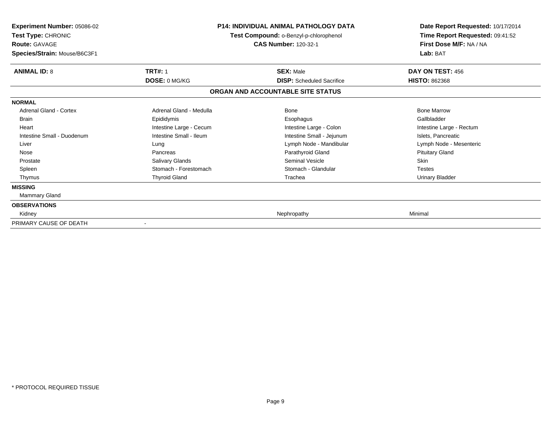| <b>Experiment Number: 05086-02</b><br>Test Type: CHRONIC<br><b>Route: GAVAGE</b><br>Species/Strain: Mouse/B6C3F1 | <b>P14: INDIVIDUAL ANIMAL PATHOLOGY DATA</b><br>Test Compound: o-Benzyl-p-chlorophenol<br><b>CAS Number: 120-32-1</b> |                                   | Date Report Requested: 10/17/2014<br>Time Report Requested: 09:41:52<br>First Dose M/F: NA / NA<br>Lab: BAT |
|------------------------------------------------------------------------------------------------------------------|-----------------------------------------------------------------------------------------------------------------------|-----------------------------------|-------------------------------------------------------------------------------------------------------------|
| <b>ANIMAL ID: 8</b>                                                                                              | <b>TRT#: 1</b>                                                                                                        | <b>SEX: Male</b>                  | DAY ON TEST: 456                                                                                            |
|                                                                                                                  | DOSE: 0 MG/KG                                                                                                         | <b>DISP:</b> Scheduled Sacrifice  | <b>HISTO: 862368</b>                                                                                        |
|                                                                                                                  |                                                                                                                       | ORGAN AND ACCOUNTABLE SITE STATUS |                                                                                                             |
| <b>NORMAL</b>                                                                                                    |                                                                                                                       |                                   |                                                                                                             |
| Adrenal Gland - Cortex                                                                                           | Adrenal Gland - Medulla                                                                                               | <b>Bone</b>                       | <b>Bone Marrow</b>                                                                                          |
| <b>Brain</b>                                                                                                     | Epididymis                                                                                                            | Esophagus                         | Gallbladder                                                                                                 |
| Heart                                                                                                            | Intestine Large - Cecum                                                                                               | Intestine Large - Colon           | Intestine Large - Rectum                                                                                    |
| Intestine Small - Duodenum                                                                                       | Intestine Small - Ileum                                                                                               | Intestine Small - Jejunum         | Islets, Pancreatic                                                                                          |
| Liver                                                                                                            | Lung                                                                                                                  | Lymph Node - Mandibular           | Lymph Node - Mesenteric                                                                                     |
| Nose                                                                                                             | Pancreas                                                                                                              | Parathyroid Gland                 | <b>Pituitary Gland</b>                                                                                      |
| Prostate                                                                                                         | Salivary Glands                                                                                                       | <b>Seminal Vesicle</b>            | <b>Skin</b>                                                                                                 |
| Spleen                                                                                                           | Stomach - Forestomach                                                                                                 | Stomach - Glandular               | <b>Testes</b>                                                                                               |
| Thymus                                                                                                           | <b>Thyroid Gland</b>                                                                                                  | Trachea                           | <b>Urinary Bladder</b>                                                                                      |
| <b>MISSING</b>                                                                                                   |                                                                                                                       |                                   |                                                                                                             |
| Mammary Gland                                                                                                    |                                                                                                                       |                                   |                                                                                                             |
| <b>OBSERVATIONS</b>                                                                                              |                                                                                                                       |                                   |                                                                                                             |
| Kidney                                                                                                           |                                                                                                                       | Nephropathy                       | Minimal                                                                                                     |
| PRIMARY CAUSE OF DEATH                                                                                           |                                                                                                                       |                                   |                                                                                                             |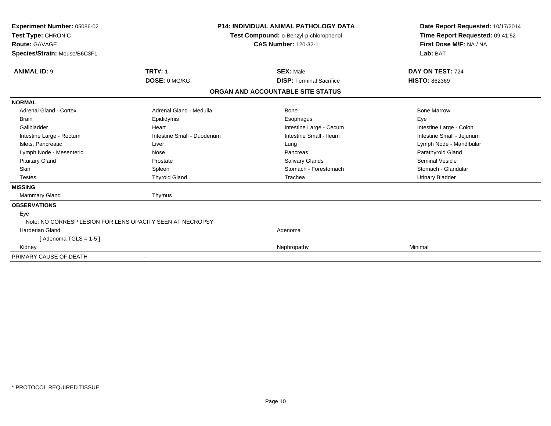| Experiment Number: 05086-02<br>Test Type: CHRONIC<br>Route: GAVAGE<br>Species/Strain: Mouse/B6C3F1 |                            | <b>P14: INDIVIDUAL ANIMAL PATHOLOGY DATA</b><br>Test Compound: o-Benzyl-p-chlorophenol<br><b>CAS Number: 120-32-1</b> | Date Report Requested: 10/17/2014<br>Time Report Requested: 09:41:52<br>First Dose M/F: NA / NA<br>Lab: BAT |  |
|----------------------------------------------------------------------------------------------------|----------------------------|-----------------------------------------------------------------------------------------------------------------------|-------------------------------------------------------------------------------------------------------------|--|
| <b>ANIMAL ID: 9</b>                                                                                | <b>TRT#: 1</b>             | <b>SEX: Male</b>                                                                                                      | DAY ON TEST: 724                                                                                            |  |
|                                                                                                    | DOSE: 0 MG/KG              | <b>DISP: Terminal Sacrifice</b>                                                                                       | <b>HISTO: 862369</b>                                                                                        |  |
|                                                                                                    |                            | ORGAN AND ACCOUNTABLE SITE STATUS                                                                                     |                                                                                                             |  |
| <b>NORMAL</b>                                                                                      |                            |                                                                                                                       |                                                                                                             |  |
| <b>Adrenal Gland - Cortex</b>                                                                      | Adrenal Gland - Medulla    | Bone                                                                                                                  | <b>Bone Marrow</b>                                                                                          |  |
| <b>Brain</b>                                                                                       | Epididymis                 | Esophagus                                                                                                             | Eye                                                                                                         |  |
| Gallbladder                                                                                        | Heart                      | Intestine Large - Cecum                                                                                               | Intestine Large - Colon                                                                                     |  |
| Intestine Large - Rectum                                                                           | Intestine Small - Duodenum | Intestine Small - Ileum                                                                                               | Intestine Small - Jejunum                                                                                   |  |
| Islets, Pancreatic                                                                                 | Liver                      | Lung                                                                                                                  | Lymph Node - Mandibular                                                                                     |  |
| Lymph Node - Mesenteric                                                                            | Nose                       | Pancreas                                                                                                              | Parathyroid Gland                                                                                           |  |
| <b>Pituitary Gland</b>                                                                             | Prostate                   | Salivary Glands                                                                                                       | <b>Seminal Vesicle</b>                                                                                      |  |
| <b>Skin</b>                                                                                        | Spleen                     | Stomach - Forestomach                                                                                                 | Stomach - Glandular                                                                                         |  |
| <b>Testes</b>                                                                                      | <b>Thyroid Gland</b>       | Trachea                                                                                                               | <b>Urinary Bladder</b>                                                                                      |  |
| <b>MISSING</b>                                                                                     |                            |                                                                                                                       |                                                                                                             |  |
| <b>Mammary Gland</b>                                                                               | Thymus                     |                                                                                                                       |                                                                                                             |  |
| <b>OBSERVATIONS</b>                                                                                |                            |                                                                                                                       |                                                                                                             |  |
| Eye                                                                                                |                            |                                                                                                                       |                                                                                                             |  |
| Note: NO CORRESP LESION FOR LENS OPACITY SEEN AT NECROPSY                                          |                            |                                                                                                                       |                                                                                                             |  |
| <b>Harderian Gland</b>                                                                             |                            | Adenoma                                                                                                               |                                                                                                             |  |
| [Adenoma TGLS = $1-5$ ]                                                                            |                            |                                                                                                                       |                                                                                                             |  |
| Kidney                                                                                             |                            | Nephropathy                                                                                                           | Minimal                                                                                                     |  |
| PRIMARY CAUSE OF DEATH                                                                             |                            |                                                                                                                       |                                                                                                             |  |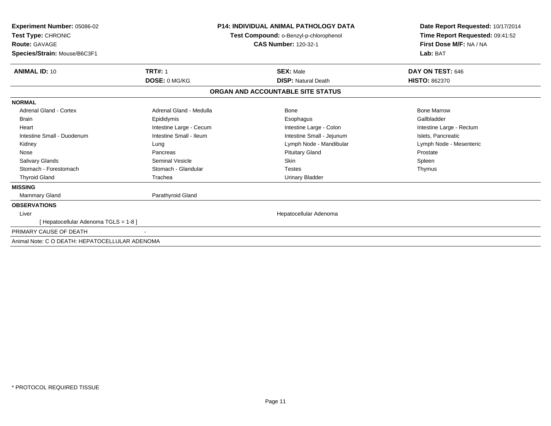| <b>Experiment Number: 05086-02</b><br>Test Type: CHRONIC<br><b>Route: GAVAGE</b><br>Species/Strain: Mouse/B6C3F1 |                         | <b>P14: INDIVIDUAL ANIMAL PATHOLOGY DATA</b><br>Test Compound: o-Benzyl-p-chlorophenol<br><b>CAS Number: 120-32-1</b> | Date Report Requested: 10/17/2014<br>Time Report Requested: 09:41:52<br>First Dose M/F: NA / NA<br>Lab: BAT |
|------------------------------------------------------------------------------------------------------------------|-------------------------|-----------------------------------------------------------------------------------------------------------------------|-------------------------------------------------------------------------------------------------------------|
| <b>ANIMAL ID: 10</b>                                                                                             | <b>TRT#: 1</b>          | <b>SEX: Male</b>                                                                                                      | DAY ON TEST: 646                                                                                            |
|                                                                                                                  | DOSE: 0 MG/KG           | <b>DISP: Natural Death</b>                                                                                            | HISTO: 862370                                                                                               |
|                                                                                                                  |                         | ORGAN AND ACCOUNTABLE SITE STATUS                                                                                     |                                                                                                             |
| <b>NORMAL</b>                                                                                                    |                         |                                                                                                                       |                                                                                                             |
| <b>Adrenal Gland - Cortex</b>                                                                                    | Adrenal Gland - Medulla | Bone                                                                                                                  | <b>Bone Marrow</b>                                                                                          |
| <b>Brain</b>                                                                                                     | Epididymis              | Esophagus                                                                                                             | Gallbladder                                                                                                 |
| Heart                                                                                                            | Intestine Large - Cecum | Intestine Large - Colon                                                                                               | Intestine Large - Rectum                                                                                    |
| Intestine Small - Duodenum                                                                                       | Intestine Small - Ileum | Intestine Small - Jejunum                                                                                             | Islets, Pancreatic                                                                                          |
| Kidney                                                                                                           | Lung                    | Lymph Node - Mandibular                                                                                               | Lymph Node - Mesenteric                                                                                     |
| Nose                                                                                                             | Pancreas                | <b>Pituitary Gland</b>                                                                                                | Prostate                                                                                                    |
| Salivary Glands                                                                                                  | Seminal Vesicle         | Skin                                                                                                                  | Spleen                                                                                                      |
| Stomach - Forestomach                                                                                            | Stomach - Glandular     | <b>Testes</b>                                                                                                         | Thymus                                                                                                      |
| <b>Thyroid Gland</b>                                                                                             | Trachea                 | <b>Urinary Bladder</b>                                                                                                |                                                                                                             |
| <b>MISSING</b>                                                                                                   |                         |                                                                                                                       |                                                                                                             |
| Mammary Gland                                                                                                    | Parathyroid Gland       |                                                                                                                       |                                                                                                             |
| <b>OBSERVATIONS</b>                                                                                              |                         |                                                                                                                       |                                                                                                             |
| Liver                                                                                                            |                         | Hepatocellular Adenoma                                                                                                |                                                                                                             |
| [ Hepatocellular Adenoma TGLS = 1-8 ]                                                                            |                         |                                                                                                                       |                                                                                                             |
| PRIMARY CAUSE OF DEATH                                                                                           |                         |                                                                                                                       |                                                                                                             |
| Animal Note: C O DEATH: HEPATOCELLULAR ADENOMA                                                                   |                         |                                                                                                                       |                                                                                                             |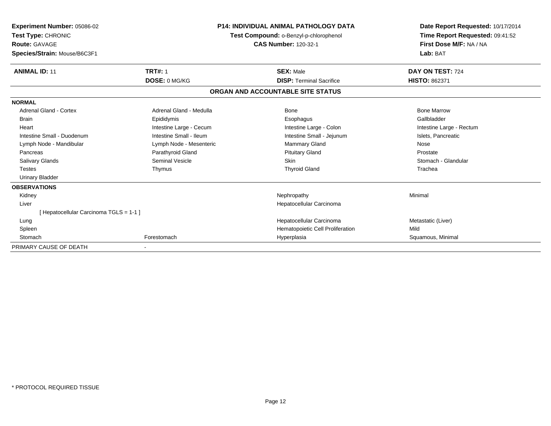| Experiment Number: 05086-02<br>Test Type: CHRONIC<br><b>Route: GAVAGE</b><br>Species/Strain: Mouse/B6C3F1 |                         | <b>P14: INDIVIDUAL ANIMAL PATHOLOGY DATA</b><br>Test Compound: o-Benzyl-p-chlorophenol<br><b>CAS Number: 120-32-1</b> | Date Report Requested: 10/17/2014<br>Time Report Requested: 09:41:52<br>First Dose M/F: NA / NA<br>Lab: BAT |  |
|-----------------------------------------------------------------------------------------------------------|-------------------------|-----------------------------------------------------------------------------------------------------------------------|-------------------------------------------------------------------------------------------------------------|--|
| <b>ANIMAL ID: 11</b>                                                                                      | <b>TRT#: 1</b>          | <b>SEX: Male</b>                                                                                                      | DAY ON TEST: 724                                                                                            |  |
|                                                                                                           | DOSE: 0 MG/KG           | <b>DISP: Terminal Sacrifice</b>                                                                                       | <b>HISTO: 862371</b>                                                                                        |  |
|                                                                                                           |                         | ORGAN AND ACCOUNTABLE SITE STATUS                                                                                     |                                                                                                             |  |
| <b>NORMAL</b>                                                                                             |                         |                                                                                                                       |                                                                                                             |  |
| Adrenal Gland - Cortex                                                                                    | Adrenal Gland - Medulla | Bone                                                                                                                  | <b>Bone Marrow</b>                                                                                          |  |
| <b>Brain</b>                                                                                              | Epididymis              | Esophagus                                                                                                             | Gallbladder                                                                                                 |  |
| Heart                                                                                                     | Intestine Large - Cecum | Intestine Large - Colon                                                                                               | Intestine Large - Rectum                                                                                    |  |
| Intestine Small - Duodenum                                                                                | Intestine Small - Ileum | Intestine Small - Jejunum                                                                                             | Islets, Pancreatic                                                                                          |  |
| Lymph Node - Mandibular                                                                                   | Lymph Node - Mesenteric | <b>Mammary Gland</b>                                                                                                  | Nose                                                                                                        |  |
| Pancreas                                                                                                  | Parathyroid Gland       | <b>Pituitary Gland</b>                                                                                                | Prostate                                                                                                    |  |
| <b>Salivary Glands</b>                                                                                    | <b>Seminal Vesicle</b>  | Skin                                                                                                                  | Stomach - Glandular                                                                                         |  |
| <b>Testes</b>                                                                                             | Thymus                  | <b>Thyroid Gland</b>                                                                                                  | Trachea                                                                                                     |  |
| <b>Urinary Bladder</b>                                                                                    |                         |                                                                                                                       |                                                                                                             |  |
| <b>OBSERVATIONS</b>                                                                                       |                         |                                                                                                                       |                                                                                                             |  |
| Kidney                                                                                                    |                         | Nephropathy                                                                                                           | Minimal                                                                                                     |  |
| Liver                                                                                                     |                         | Hepatocellular Carcinoma                                                                                              |                                                                                                             |  |
| [Hepatocellular Carcinoma TGLS = 1-1 ]                                                                    |                         |                                                                                                                       |                                                                                                             |  |
| Lung                                                                                                      |                         | Hepatocellular Carcinoma                                                                                              | Metastatic (Liver)                                                                                          |  |
| Spleen                                                                                                    |                         | Hematopoietic Cell Proliferation                                                                                      | Mild                                                                                                        |  |
| Stomach                                                                                                   | Forestomach             | Hyperplasia                                                                                                           | Squamous, Minimal                                                                                           |  |
| PRIMARY CAUSE OF DEATH                                                                                    |                         |                                                                                                                       |                                                                                                             |  |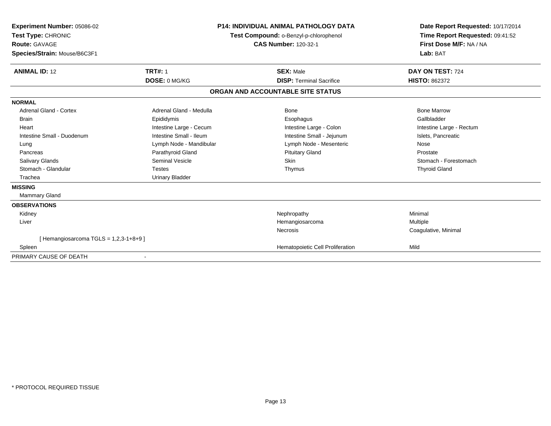| Experiment Number: 05086-02<br>Test Type: CHRONIC<br><b>Route: GAVAGE</b><br>Species/Strain: Mouse/B6C3F1 | <b>P14: INDIVIDUAL ANIMAL PATHOLOGY DATA</b><br>Test Compound: o-Benzyl-p-chlorophenol<br><b>CAS Number: 120-32-1</b> |                                   | Date Report Requested: 10/17/2014<br>Time Report Requested: 09:41:52<br>First Dose M/F: NA / NA<br>Lab: BAT |
|-----------------------------------------------------------------------------------------------------------|-----------------------------------------------------------------------------------------------------------------------|-----------------------------------|-------------------------------------------------------------------------------------------------------------|
| <b>ANIMAL ID: 12</b>                                                                                      | <b>TRT#: 1</b>                                                                                                        | <b>SEX: Male</b>                  | DAY ON TEST: 724                                                                                            |
|                                                                                                           | DOSE: 0 MG/KG                                                                                                         | <b>DISP: Terminal Sacrifice</b>   | <b>HISTO: 862372</b>                                                                                        |
|                                                                                                           |                                                                                                                       | ORGAN AND ACCOUNTABLE SITE STATUS |                                                                                                             |
| <b>NORMAL</b>                                                                                             |                                                                                                                       |                                   |                                                                                                             |
| <b>Adrenal Gland - Cortex</b>                                                                             | Adrenal Gland - Medulla                                                                                               | Bone                              | <b>Bone Marrow</b>                                                                                          |
| Brain                                                                                                     | Epididymis                                                                                                            | Esophagus                         | Gallbladder                                                                                                 |
| Heart                                                                                                     | Intestine Large - Cecum                                                                                               | Intestine Large - Colon           | Intestine Large - Rectum                                                                                    |
| Intestine Small - Duodenum                                                                                | Intestine Small - Ileum                                                                                               | Intestine Small - Jejunum         | Islets, Pancreatic                                                                                          |
| Lung                                                                                                      | Lymph Node - Mandibular                                                                                               | Lymph Node - Mesenteric           | Nose                                                                                                        |
| Pancreas                                                                                                  | Parathyroid Gland                                                                                                     | <b>Pituitary Gland</b>            | Prostate                                                                                                    |
| Salivary Glands                                                                                           | <b>Seminal Vesicle</b>                                                                                                | Skin                              | Stomach - Forestomach                                                                                       |
| Stomach - Glandular                                                                                       | <b>Testes</b>                                                                                                         | Thymus                            | <b>Thyroid Gland</b>                                                                                        |
| Trachea                                                                                                   | <b>Urinary Bladder</b>                                                                                                |                                   |                                                                                                             |
| <b>MISSING</b>                                                                                            |                                                                                                                       |                                   |                                                                                                             |
| <b>Mammary Gland</b>                                                                                      |                                                                                                                       |                                   |                                                                                                             |
| <b>OBSERVATIONS</b>                                                                                       |                                                                                                                       |                                   |                                                                                                             |
| Kidney                                                                                                    |                                                                                                                       | Nephropathy                       | Minimal                                                                                                     |
| Liver                                                                                                     |                                                                                                                       | Hemangiosarcoma                   | Multiple                                                                                                    |
|                                                                                                           |                                                                                                                       | Necrosis                          | Coagulative, Minimal                                                                                        |
| [Hemangiosarcoma TGLS = $1,2,3-1+8+9$ ]                                                                   |                                                                                                                       |                                   |                                                                                                             |
| Spleen                                                                                                    |                                                                                                                       | Hematopoietic Cell Proliferation  | Mild                                                                                                        |
| PRIMARY CAUSE OF DEATH                                                                                    | $\overline{\phantom{a}}$                                                                                              |                                   |                                                                                                             |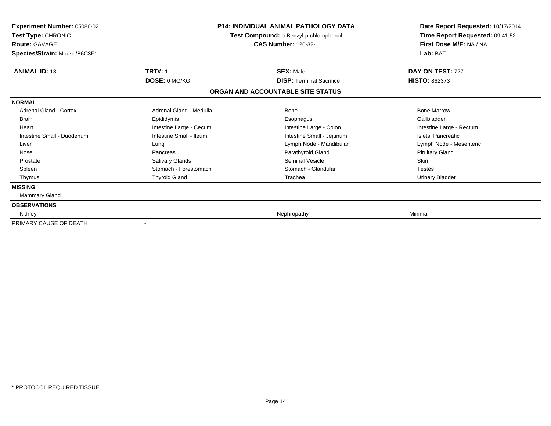| <b>Experiment Number: 05086-02</b><br>Test Type: CHRONIC<br><b>Route: GAVAGE</b><br>Species/Strain: Mouse/B6C3F1 |                         | <b>P14: INDIVIDUAL ANIMAL PATHOLOGY DATA</b><br>Test Compound: o-Benzyl-p-chlorophenol<br><b>CAS Number: 120-32-1</b> | Date Report Requested: 10/17/2014<br>Time Report Requested: 09:41:52<br>First Dose M/F: NA / NA<br>Lab: BAT |  |
|------------------------------------------------------------------------------------------------------------------|-------------------------|-----------------------------------------------------------------------------------------------------------------------|-------------------------------------------------------------------------------------------------------------|--|
| <b>ANIMAL ID: 13</b>                                                                                             | <b>TRT#: 1</b>          | <b>SEX: Male</b>                                                                                                      | DAY ON TEST: 727                                                                                            |  |
|                                                                                                                  | DOSE: 0 MG/KG           | <b>DISP: Terminal Sacrifice</b>                                                                                       | <b>HISTO: 862373</b>                                                                                        |  |
|                                                                                                                  |                         | ORGAN AND ACCOUNTABLE SITE STATUS                                                                                     |                                                                                                             |  |
| <b>NORMAL</b>                                                                                                    |                         |                                                                                                                       |                                                                                                             |  |
| <b>Adrenal Gland - Cortex</b>                                                                                    | Adrenal Gland - Medulla | <b>Bone</b>                                                                                                           | <b>Bone Marrow</b>                                                                                          |  |
| Brain                                                                                                            | Epididymis              | Esophagus                                                                                                             | Gallbladder                                                                                                 |  |
| Heart                                                                                                            | Intestine Large - Cecum | Intestine Large - Colon                                                                                               | Intestine Large - Rectum                                                                                    |  |
| Intestine Small - Duodenum                                                                                       | Intestine Small - Ileum | Intestine Small - Jejunum                                                                                             | Islets, Pancreatic                                                                                          |  |
| Liver                                                                                                            | Lung                    | Lymph Node - Mandibular                                                                                               | Lymph Node - Mesenteric                                                                                     |  |
| Nose                                                                                                             | Pancreas                | Parathyroid Gland                                                                                                     | <b>Pituitary Gland</b>                                                                                      |  |
| Prostate                                                                                                         | Salivary Glands         | <b>Seminal Vesicle</b>                                                                                                | Skin                                                                                                        |  |
| Spleen                                                                                                           | Stomach - Forestomach   | Stomach - Glandular                                                                                                   | <b>Testes</b>                                                                                               |  |
| Thymus                                                                                                           | <b>Thyroid Gland</b>    | Trachea                                                                                                               | <b>Urinary Bladder</b>                                                                                      |  |
| <b>MISSING</b>                                                                                                   |                         |                                                                                                                       |                                                                                                             |  |
| Mammary Gland                                                                                                    |                         |                                                                                                                       |                                                                                                             |  |
| <b>OBSERVATIONS</b>                                                                                              |                         |                                                                                                                       |                                                                                                             |  |
| Kidney                                                                                                           |                         | Nephropathy                                                                                                           | Minimal                                                                                                     |  |
| PRIMARY CAUSE OF DEATH                                                                                           |                         |                                                                                                                       |                                                                                                             |  |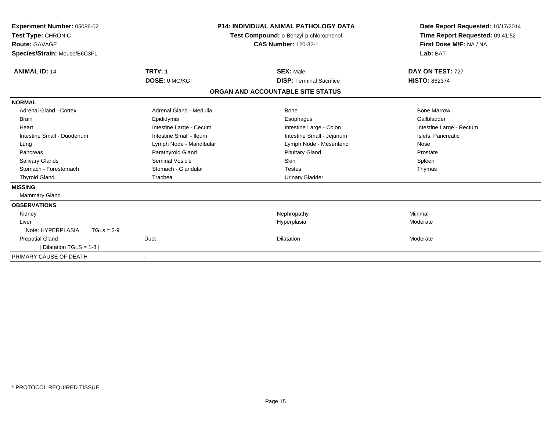| Experiment Number: 05086-02<br>Test Type: CHRONIC<br><b>Route: GAVAGE</b><br>Species/Strain: Mouse/B6C3F1 |                         | <b>P14: INDIVIDUAL ANIMAL PATHOLOGY DATA</b><br>Test Compound: o-Benzyl-p-chlorophenol<br><b>CAS Number: 120-32-1</b> | Date Report Requested: 10/17/2014<br>Time Report Requested: 09:41:52<br>First Dose M/F: NA / NA<br>Lab: BAT |
|-----------------------------------------------------------------------------------------------------------|-------------------------|-----------------------------------------------------------------------------------------------------------------------|-------------------------------------------------------------------------------------------------------------|
| <b>ANIMAL ID: 14</b>                                                                                      | <b>TRT#: 1</b>          | <b>SEX: Male</b>                                                                                                      | DAY ON TEST: 727                                                                                            |
|                                                                                                           | DOSE: 0 MG/KG           | <b>DISP: Terminal Sacrifice</b>                                                                                       | <b>HISTO: 862374</b>                                                                                        |
|                                                                                                           |                         | ORGAN AND ACCOUNTABLE SITE STATUS                                                                                     |                                                                                                             |
| <b>NORMAL</b>                                                                                             |                         |                                                                                                                       |                                                                                                             |
| <b>Adrenal Gland - Cortex</b>                                                                             | Adrenal Gland - Medulla | Bone                                                                                                                  | <b>Bone Marrow</b>                                                                                          |
| Brain                                                                                                     | Epididymis              | Esophagus                                                                                                             | Gallbladder                                                                                                 |
| Heart                                                                                                     | Intestine Large - Cecum | Intestine Large - Colon                                                                                               | Intestine Large - Rectum                                                                                    |
| Intestine Small - Duodenum                                                                                | Intestine Small - Ileum | Intestine Small - Jejunum                                                                                             | Islets, Pancreatic                                                                                          |
| Lung                                                                                                      | Lymph Node - Mandibular | Lymph Node - Mesenteric                                                                                               | Nose                                                                                                        |
| Pancreas                                                                                                  | Parathyroid Gland       | <b>Pituitary Gland</b>                                                                                                | Prostate                                                                                                    |
| Salivary Glands                                                                                           | <b>Seminal Vesicle</b>  | Skin                                                                                                                  | Spleen                                                                                                      |
| Stomach - Forestomach                                                                                     | Stomach - Glandular     | <b>Testes</b>                                                                                                         | Thymus                                                                                                      |
| <b>Thyroid Gland</b>                                                                                      | Trachea                 | <b>Urinary Bladder</b>                                                                                                |                                                                                                             |
| <b>MISSING</b>                                                                                            |                         |                                                                                                                       |                                                                                                             |
| <b>Mammary Gland</b>                                                                                      |                         |                                                                                                                       |                                                                                                             |
| <b>OBSERVATIONS</b>                                                                                       |                         |                                                                                                                       |                                                                                                             |
| Kidney                                                                                                    |                         | Nephropathy                                                                                                           | Minimal                                                                                                     |
| Liver                                                                                                     |                         | Hyperplasia                                                                                                           | Moderate                                                                                                    |
| Note: HYPERPLASIA<br>$TGLs = 2-9$                                                                         |                         |                                                                                                                       |                                                                                                             |
| <b>Preputial Gland</b>                                                                                    | Duct                    | <b>Dilatation</b>                                                                                                     | Moderate                                                                                                    |
| [Dilatation TGLS = 1-8 ]                                                                                  |                         |                                                                                                                       |                                                                                                             |
| PRIMARY CAUSE OF DEATH                                                                                    | $\blacksquare$          |                                                                                                                       |                                                                                                             |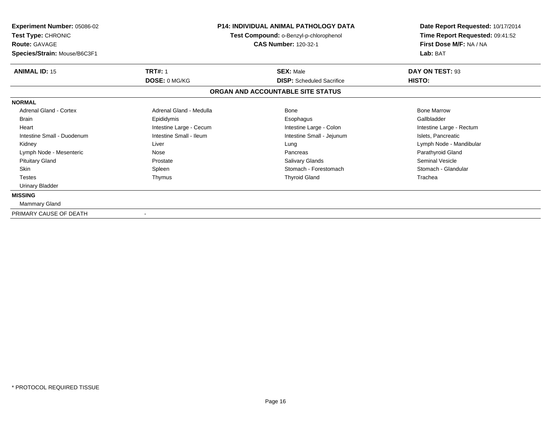| <b>Experiment Number: 05086-02</b><br>Test Type: CHRONIC<br><b>Route: GAVAGE</b><br>Species/Strain: Mouse/B6C3F1 |                                        | <b>P14: INDIVIDUAL ANIMAL PATHOLOGY DATA</b><br>Test Compound: o-Benzyl-p-chlorophenol<br><b>CAS Number: 120-32-1</b> | Date Report Requested: 10/17/2014<br>Time Report Requested: 09:41:52<br>First Dose M/F: NA / NA<br>Lab: BAT |  |
|------------------------------------------------------------------------------------------------------------------|----------------------------------------|-----------------------------------------------------------------------------------------------------------------------|-------------------------------------------------------------------------------------------------------------|--|
| <b>ANIMAL ID: 15</b>                                                                                             | <b>TRT#: 1</b><br><b>DOSE: 0 MG/KG</b> | <b>SEX: Male</b><br><b>DISP:</b> Scheduled Sacrifice                                                                  | DAY ON TEST: 93<br>HISTO:                                                                                   |  |
|                                                                                                                  |                                        | ORGAN AND ACCOUNTABLE SITE STATUS                                                                                     |                                                                                                             |  |
| <b>NORMAL</b>                                                                                                    |                                        |                                                                                                                       |                                                                                                             |  |
| <b>Adrenal Gland - Cortex</b>                                                                                    | Adrenal Gland - Medulla                | Bone                                                                                                                  | <b>Bone Marrow</b>                                                                                          |  |
| <b>Brain</b>                                                                                                     | Epididymis                             | Esophagus                                                                                                             | Gallbladder                                                                                                 |  |
| Heart                                                                                                            | Intestine Large - Cecum                | Intestine Large - Colon                                                                                               | Intestine Large - Rectum                                                                                    |  |
| Intestine Small - Duodenum                                                                                       | Intestine Small - Ileum                | Intestine Small - Jejunum                                                                                             | Islets, Pancreatic                                                                                          |  |
| Kidney                                                                                                           | Liver                                  | Lung                                                                                                                  | Lymph Node - Mandibular                                                                                     |  |
| Lymph Node - Mesenteric                                                                                          | Nose                                   | Pancreas                                                                                                              | Parathyroid Gland                                                                                           |  |
| <b>Pituitary Gland</b>                                                                                           | Prostate                               | <b>Salivary Glands</b>                                                                                                | <b>Seminal Vesicle</b>                                                                                      |  |
| Skin                                                                                                             | Spleen                                 | Stomach - Forestomach                                                                                                 | Stomach - Glandular                                                                                         |  |
| <b>Testes</b>                                                                                                    | Thymus                                 | <b>Thyroid Gland</b>                                                                                                  | Trachea                                                                                                     |  |
| <b>Urinary Bladder</b>                                                                                           |                                        |                                                                                                                       |                                                                                                             |  |
| <b>MISSING</b>                                                                                                   |                                        |                                                                                                                       |                                                                                                             |  |
| Mammary Gland                                                                                                    |                                        |                                                                                                                       |                                                                                                             |  |
| PRIMARY CAUSE OF DEATH                                                                                           |                                        |                                                                                                                       |                                                                                                             |  |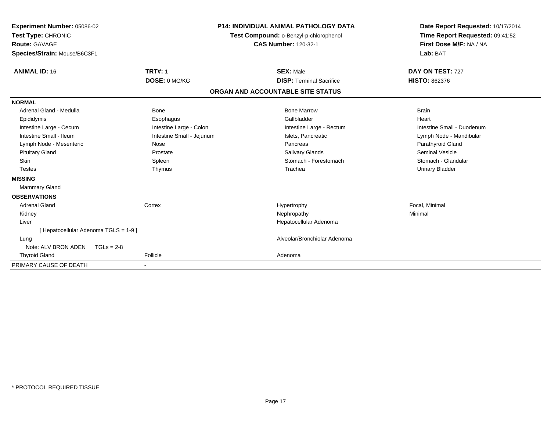| Experiment Number: 05086-02<br>Test Type: CHRONIC<br><b>Route: GAVAGE</b><br>Species/Strain: Mouse/B6C3F1 |                           | <b>P14: INDIVIDUAL ANIMAL PATHOLOGY DATA</b><br>Test Compound: o-Benzyl-p-chlorophenol<br><b>CAS Number: 120-32-1</b> | Date Report Requested: 10/17/2014<br>Time Report Requested: 09:41:52<br>First Dose M/F: NA / NA<br>Lab: BAT |
|-----------------------------------------------------------------------------------------------------------|---------------------------|-----------------------------------------------------------------------------------------------------------------------|-------------------------------------------------------------------------------------------------------------|
| <b>ANIMAL ID: 16</b>                                                                                      | <b>TRT#: 1</b>            | <b>SEX: Male</b>                                                                                                      | DAY ON TEST: 727                                                                                            |
|                                                                                                           | DOSE: 0 MG/KG             | <b>DISP: Terminal Sacrifice</b>                                                                                       | <b>HISTO: 862376</b>                                                                                        |
|                                                                                                           |                           | ORGAN AND ACCOUNTABLE SITE STATUS                                                                                     |                                                                                                             |
| <b>NORMAL</b>                                                                                             |                           |                                                                                                                       |                                                                                                             |
| Adrenal Gland - Medulla                                                                                   | Bone                      | <b>Bone Marrow</b>                                                                                                    | <b>Brain</b>                                                                                                |
| Epididymis                                                                                                | Esophagus                 | Gallbladder                                                                                                           | Heart                                                                                                       |
| Intestine Large - Cecum                                                                                   | Intestine Large - Colon   | Intestine Large - Rectum                                                                                              | Intestine Small - Duodenum                                                                                  |
| Intestine Small - Ileum                                                                                   | Intestine Small - Jejunum | Islets, Pancreatic                                                                                                    | Lymph Node - Mandibular                                                                                     |
| Lymph Node - Mesenteric                                                                                   | Nose                      | Pancreas                                                                                                              | Parathyroid Gland                                                                                           |
| <b>Pituitary Gland</b>                                                                                    | Prostate                  | <b>Salivary Glands</b>                                                                                                | Seminal Vesicle                                                                                             |
| <b>Skin</b>                                                                                               | Spleen                    | Stomach - Forestomach                                                                                                 | Stomach - Glandular                                                                                         |
| <b>Testes</b>                                                                                             | Thymus                    | Trachea                                                                                                               | <b>Urinary Bladder</b>                                                                                      |
| <b>MISSING</b>                                                                                            |                           |                                                                                                                       |                                                                                                             |
| Mammary Gland                                                                                             |                           |                                                                                                                       |                                                                                                             |
| <b>OBSERVATIONS</b>                                                                                       |                           |                                                                                                                       |                                                                                                             |
| Adrenal Gland                                                                                             | Cortex                    | Hypertrophy                                                                                                           | Focal, Minimal                                                                                              |
| Kidney                                                                                                    |                           | Nephropathy                                                                                                           | Minimal                                                                                                     |
| Liver                                                                                                     |                           | Hepatocellular Adenoma                                                                                                |                                                                                                             |
| [Hepatocellular Adenoma TGLS = 1-9]                                                                       |                           |                                                                                                                       |                                                                                                             |
| Lung                                                                                                      |                           | Alveolar/Bronchiolar Adenoma                                                                                          |                                                                                                             |
| Note: ALV BRON ADEN                                                                                       | $TGLs = 2-8$              |                                                                                                                       |                                                                                                             |
| <b>Thyroid Gland</b>                                                                                      | Follicle                  | Adenoma                                                                                                               |                                                                                                             |
| PRIMARY CAUSE OF DEATH                                                                                    |                           |                                                                                                                       |                                                                                                             |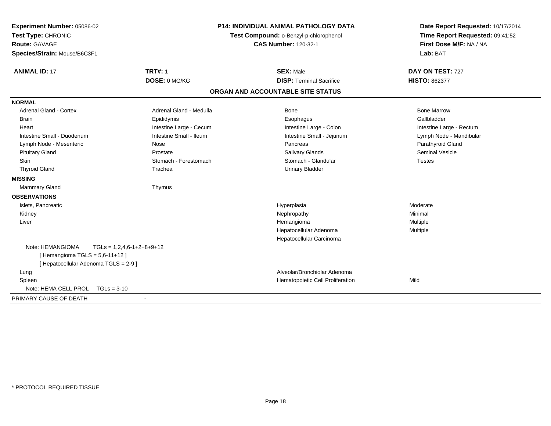| Experiment Number: 05086-02<br>Test Type: CHRONIC<br><b>Route: GAVAGE</b><br>Species/Strain: Mouse/B6C3F1 |                             | <b>P14: INDIVIDUAL ANIMAL PATHOLOGY DATA</b><br>Test Compound: o-Benzyl-p-chlorophenol<br><b>CAS Number: 120-32-1</b> | Date Report Requested: 10/17/2014<br>Time Report Requested: 09:41:52<br>First Dose M/F: NA / NA<br>Lab: BAT |  |
|-----------------------------------------------------------------------------------------------------------|-----------------------------|-----------------------------------------------------------------------------------------------------------------------|-------------------------------------------------------------------------------------------------------------|--|
| <b>ANIMAL ID: 17</b>                                                                                      | <b>TRT#: 1</b>              | <b>SEX: Male</b>                                                                                                      | DAY ON TEST: 727                                                                                            |  |
|                                                                                                           | DOSE: 0 MG/KG               | <b>DISP: Terminal Sacrifice</b>                                                                                       | <b>HISTO: 862377</b>                                                                                        |  |
|                                                                                                           |                             | ORGAN AND ACCOUNTABLE SITE STATUS                                                                                     |                                                                                                             |  |
| <b>NORMAL</b>                                                                                             |                             |                                                                                                                       |                                                                                                             |  |
| <b>Adrenal Gland - Cortex</b>                                                                             | Adrenal Gland - Medulla     | Bone                                                                                                                  | <b>Bone Marrow</b>                                                                                          |  |
| <b>Brain</b>                                                                                              | Epididymis                  | Esophagus                                                                                                             | Gallbladder                                                                                                 |  |
| Heart                                                                                                     | Intestine Large - Cecum     | Intestine Large - Colon                                                                                               | Intestine Large - Rectum                                                                                    |  |
| Intestine Small - Duodenum                                                                                | Intestine Small - Ileum     | Intestine Small - Jejunum                                                                                             | Lymph Node - Mandibular                                                                                     |  |
| Lymph Node - Mesenteric                                                                                   | Nose                        | Pancreas                                                                                                              | Parathyroid Gland                                                                                           |  |
| <b>Pituitary Gland</b>                                                                                    | Prostate                    | <b>Salivary Glands</b>                                                                                                | Seminal Vesicle                                                                                             |  |
| Skin                                                                                                      | Stomach - Forestomach       | Stomach - Glandular                                                                                                   | <b>Testes</b>                                                                                               |  |
| <b>Thyroid Gland</b>                                                                                      | Trachea                     | <b>Urinary Bladder</b>                                                                                                |                                                                                                             |  |
| <b>MISSING</b>                                                                                            |                             |                                                                                                                       |                                                                                                             |  |
| <b>Mammary Gland</b>                                                                                      | Thymus                      |                                                                                                                       |                                                                                                             |  |
| <b>OBSERVATIONS</b>                                                                                       |                             |                                                                                                                       |                                                                                                             |  |
| Islets, Pancreatic                                                                                        |                             | Hyperplasia                                                                                                           | Moderate                                                                                                    |  |
| Kidney                                                                                                    |                             | Nephropathy                                                                                                           | Minimal                                                                                                     |  |
| Liver                                                                                                     |                             | Hemangioma                                                                                                            | Multiple                                                                                                    |  |
|                                                                                                           |                             | Hepatocellular Adenoma                                                                                                | Multiple                                                                                                    |  |
|                                                                                                           |                             | Hepatocellular Carcinoma                                                                                              |                                                                                                             |  |
| Note: HEMANGIOMA<br>[Hemangioma TGLS = 5,6-11+12]<br>[ Hepatocellular Adenoma TGLS = 2-9 ]                | $TGLs = 1,2,4,6-1+2+8+9+12$ |                                                                                                                       |                                                                                                             |  |
| Lung                                                                                                      |                             | Alveolar/Bronchiolar Adenoma                                                                                          |                                                                                                             |  |
| Spleen                                                                                                    |                             | Hematopoietic Cell Proliferation                                                                                      | Mild                                                                                                        |  |
| Note: HEMA CELL PROL<br>$TGLs = 3-10$                                                                     |                             |                                                                                                                       |                                                                                                             |  |
| PRIMARY CAUSE OF DEATH                                                                                    |                             |                                                                                                                       |                                                                                                             |  |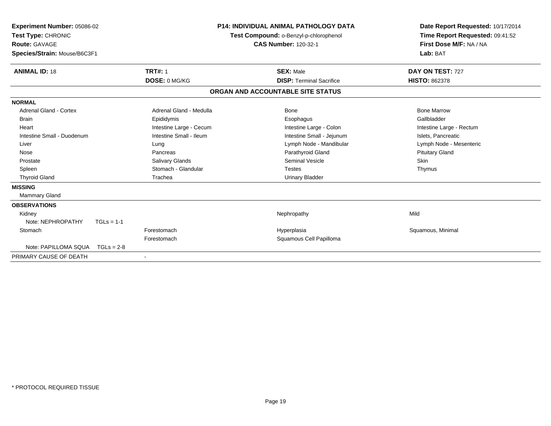| Experiment Number: 05086-02<br>Test Type: CHRONIC<br><b>Route: GAVAGE</b><br>Species/Strain: Mouse/B6C3F1 |              |                         | <b>P14: INDIVIDUAL ANIMAL PATHOLOGY DATA</b><br>Test Compound: o-Benzyl-p-chlorophenol<br><b>CAS Number: 120-32-1</b> |                                   | Date Report Requested: 10/17/2014<br>Time Report Requested: 09:41:52<br>First Dose M/F: NA / NA<br>Lab: BAT |
|-----------------------------------------------------------------------------------------------------------|--------------|-------------------------|-----------------------------------------------------------------------------------------------------------------------|-----------------------------------|-------------------------------------------------------------------------------------------------------------|
| <b>ANIMAL ID: 18</b>                                                                                      |              | <b>TRT#: 1</b>          |                                                                                                                       | <b>SEX: Male</b>                  | DAY ON TEST: 727                                                                                            |
|                                                                                                           |              | DOSE: 0 MG/KG           |                                                                                                                       | <b>DISP: Terminal Sacrifice</b>   | <b>HISTO: 862378</b>                                                                                        |
|                                                                                                           |              |                         |                                                                                                                       | ORGAN AND ACCOUNTABLE SITE STATUS |                                                                                                             |
| <b>NORMAL</b>                                                                                             |              |                         |                                                                                                                       |                                   |                                                                                                             |
| <b>Adrenal Gland - Cortex</b>                                                                             |              | Adrenal Gland - Medulla |                                                                                                                       | Bone                              | <b>Bone Marrow</b>                                                                                          |
| Brain                                                                                                     |              | Epididymis              |                                                                                                                       | Esophagus                         | Gallbladder                                                                                                 |
| Heart                                                                                                     |              | Intestine Large - Cecum |                                                                                                                       | Intestine Large - Colon           | Intestine Large - Rectum                                                                                    |
| Intestine Small - Duodenum                                                                                |              | Intestine Small - Ileum |                                                                                                                       | Intestine Small - Jejunum         | Islets, Pancreatic                                                                                          |
| Liver                                                                                                     |              | Lung                    |                                                                                                                       | Lymph Node - Mandibular           | Lymph Node - Mesenteric                                                                                     |
| Nose                                                                                                      |              | Pancreas                |                                                                                                                       | Parathyroid Gland                 | <b>Pituitary Gland</b>                                                                                      |
| Prostate                                                                                                  |              | Salivary Glands         |                                                                                                                       | <b>Seminal Vesicle</b>            | <b>Skin</b>                                                                                                 |
| Spleen                                                                                                    |              | Stomach - Glandular     |                                                                                                                       | <b>Testes</b>                     | Thymus                                                                                                      |
| <b>Thyroid Gland</b>                                                                                      |              | Trachea                 |                                                                                                                       | <b>Urinary Bladder</b>            |                                                                                                             |
| <b>MISSING</b>                                                                                            |              |                         |                                                                                                                       |                                   |                                                                                                             |
| <b>Mammary Gland</b>                                                                                      |              |                         |                                                                                                                       |                                   |                                                                                                             |
| <b>OBSERVATIONS</b>                                                                                       |              |                         |                                                                                                                       |                                   |                                                                                                             |
| Kidney                                                                                                    |              |                         |                                                                                                                       | Nephropathy                       | Mild                                                                                                        |
| Note: NEPHROPATHY                                                                                         | $TGLs = 1-1$ |                         |                                                                                                                       |                                   |                                                                                                             |
| Stomach                                                                                                   |              | Forestomach             |                                                                                                                       | Hyperplasia                       | Squamous, Minimal                                                                                           |
|                                                                                                           |              | Forestomach             |                                                                                                                       | Squamous Cell Papilloma           |                                                                                                             |
| Note: PAPILLOMA SQUA                                                                                      | $TGLs = 2-8$ |                         |                                                                                                                       |                                   |                                                                                                             |
| PRIMARY CAUSE OF DEATH                                                                                    |              | $\blacksquare$          |                                                                                                                       |                                   |                                                                                                             |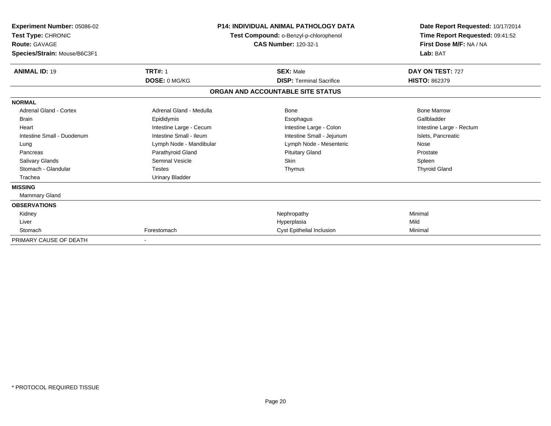| Experiment Number: 05086-02<br><b>Test Type: CHRONIC</b><br><b>Route: GAVAGE</b><br>Species/Strain: Mouse/B6C3F1 |                         | <b>P14: INDIVIDUAL ANIMAL PATHOLOGY DATA</b><br>Test Compound: o-Benzyl-p-chlorophenol<br><b>CAS Number: 120-32-1</b> | Date Report Requested: 10/17/2014<br>Time Report Requested: 09:41:52<br>First Dose M/F: NA / NA<br>Lab: BAT |
|------------------------------------------------------------------------------------------------------------------|-------------------------|-----------------------------------------------------------------------------------------------------------------------|-------------------------------------------------------------------------------------------------------------|
| <b>ANIMAL ID: 19</b>                                                                                             | <b>TRT#: 1</b>          | <b>SEX: Male</b>                                                                                                      | DAY ON TEST: 727                                                                                            |
|                                                                                                                  | DOSE: 0 MG/KG           | <b>DISP: Terminal Sacrifice</b>                                                                                       | <b>HISTO: 862379</b>                                                                                        |
|                                                                                                                  |                         | ORGAN AND ACCOUNTABLE SITE STATUS                                                                                     |                                                                                                             |
| <b>NORMAL</b>                                                                                                    |                         |                                                                                                                       |                                                                                                             |
| <b>Adrenal Gland - Cortex</b>                                                                                    | Adrenal Gland - Medulla | Bone                                                                                                                  | <b>Bone Marrow</b>                                                                                          |
| <b>Brain</b>                                                                                                     | Epididymis              | Esophagus                                                                                                             | Gallbladder                                                                                                 |
| Heart                                                                                                            | Intestine Large - Cecum | Intestine Large - Colon                                                                                               | Intestine Large - Rectum                                                                                    |
| Intestine Small - Duodenum                                                                                       | Intestine Small - Ileum | Intestine Small - Jejunum                                                                                             | Islets, Pancreatic                                                                                          |
| Lung                                                                                                             | Lymph Node - Mandibular | Lymph Node - Mesenteric                                                                                               | Nose                                                                                                        |
| Pancreas                                                                                                         | Parathyroid Gland       | <b>Pituitary Gland</b>                                                                                                | Prostate                                                                                                    |
| Salivary Glands                                                                                                  | <b>Seminal Vesicle</b>  | <b>Skin</b>                                                                                                           | Spleen                                                                                                      |
| Stomach - Glandular                                                                                              | <b>Testes</b>           | Thymus                                                                                                                | <b>Thyroid Gland</b>                                                                                        |
| Trachea                                                                                                          | Urinary Bladder         |                                                                                                                       |                                                                                                             |
| <b>MISSING</b>                                                                                                   |                         |                                                                                                                       |                                                                                                             |
| Mammary Gland                                                                                                    |                         |                                                                                                                       |                                                                                                             |
| <b>OBSERVATIONS</b>                                                                                              |                         |                                                                                                                       |                                                                                                             |
| Kidney                                                                                                           |                         | Nephropathy                                                                                                           | Minimal                                                                                                     |
| Liver                                                                                                            |                         | Hyperplasia                                                                                                           | Mild                                                                                                        |
| Stomach                                                                                                          | Forestomach             | <b>Cyst Epithelial Inclusion</b>                                                                                      | Minimal                                                                                                     |
| PRIMARY CAUSE OF DEATH                                                                                           |                         |                                                                                                                       |                                                                                                             |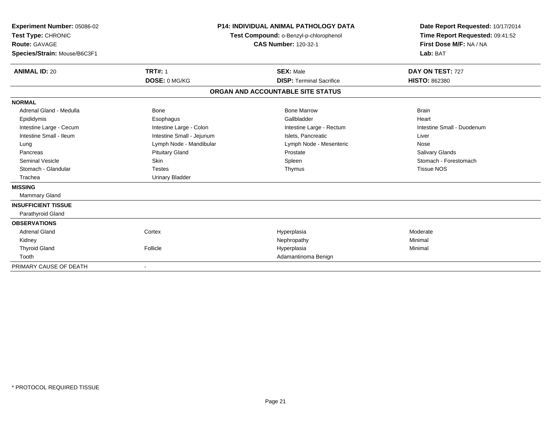| Experiment Number: 05086-02<br>Test Type: CHRONIC<br><b>Route: GAVAGE</b><br>Species/Strain: Mouse/B6C3F1<br><b>ANIMAL ID: 20</b> | <b>TRT#: 1</b>            | <b>P14: INDIVIDUAL ANIMAL PATHOLOGY DATA</b><br>Test Compound: o-Benzyl-p-chlorophenol<br><b>CAS Number: 120-32-1</b><br><b>SEX: Male</b> | Date Report Requested: 10/17/2014<br>Time Report Requested: 09:41:52<br>First Dose M/F: NA / NA<br>Lab: BAT<br>DAY ON TEST: 727 |
|-----------------------------------------------------------------------------------------------------------------------------------|---------------------------|-------------------------------------------------------------------------------------------------------------------------------------------|---------------------------------------------------------------------------------------------------------------------------------|
|                                                                                                                                   | DOSE: 0 MG/KG             | <b>DISP: Terminal Sacrifice</b>                                                                                                           | <b>HISTO: 862380</b>                                                                                                            |
|                                                                                                                                   |                           | ORGAN AND ACCOUNTABLE SITE STATUS                                                                                                         |                                                                                                                                 |
| <b>NORMAL</b>                                                                                                                     |                           |                                                                                                                                           |                                                                                                                                 |
| Adrenal Gland - Medulla                                                                                                           | Bone                      | <b>Bone Marrow</b>                                                                                                                        | <b>Brain</b>                                                                                                                    |
| Epididymis                                                                                                                        | Esophagus                 | Gallbladder                                                                                                                               | Heart                                                                                                                           |
| Intestine Large - Cecum                                                                                                           | Intestine Large - Colon   | Intestine Large - Rectum                                                                                                                  | Intestine Small - Duodenum                                                                                                      |
| Intestine Small - Ileum                                                                                                           | Intestine Small - Jejunum | Islets, Pancreatic                                                                                                                        | Liver                                                                                                                           |
| Lung                                                                                                                              | Lymph Node - Mandibular   | Lymph Node - Mesenteric                                                                                                                   | Nose                                                                                                                            |
| Pancreas                                                                                                                          | <b>Pituitary Gland</b>    | Prostate                                                                                                                                  | Salivary Glands                                                                                                                 |
| <b>Seminal Vesicle</b>                                                                                                            | Skin                      | Spleen                                                                                                                                    | Stomach - Forestomach                                                                                                           |
| Stomach - Glandular                                                                                                               | <b>Testes</b>             | Thymus                                                                                                                                    | <b>Tissue NOS</b>                                                                                                               |
| Trachea                                                                                                                           | <b>Urinary Bladder</b>    |                                                                                                                                           |                                                                                                                                 |
| <b>MISSING</b>                                                                                                                    |                           |                                                                                                                                           |                                                                                                                                 |
| <b>Mammary Gland</b>                                                                                                              |                           |                                                                                                                                           |                                                                                                                                 |
| <b>INSUFFICIENT TISSUE</b>                                                                                                        |                           |                                                                                                                                           |                                                                                                                                 |
| Parathyroid Gland                                                                                                                 |                           |                                                                                                                                           |                                                                                                                                 |
| <b>OBSERVATIONS</b>                                                                                                               |                           |                                                                                                                                           |                                                                                                                                 |
| <b>Adrenal Gland</b>                                                                                                              | Cortex                    | Hyperplasia                                                                                                                               | Moderate                                                                                                                        |
| Kidney                                                                                                                            |                           | Nephropathy                                                                                                                               | Minimal                                                                                                                         |
| <b>Thyroid Gland</b>                                                                                                              | Follicle                  | Hyperplasia                                                                                                                               | Minimal                                                                                                                         |
| Tooth                                                                                                                             |                           | Adamantinoma Benign                                                                                                                       |                                                                                                                                 |
| PRIMARY CAUSE OF DEATH                                                                                                            |                           |                                                                                                                                           |                                                                                                                                 |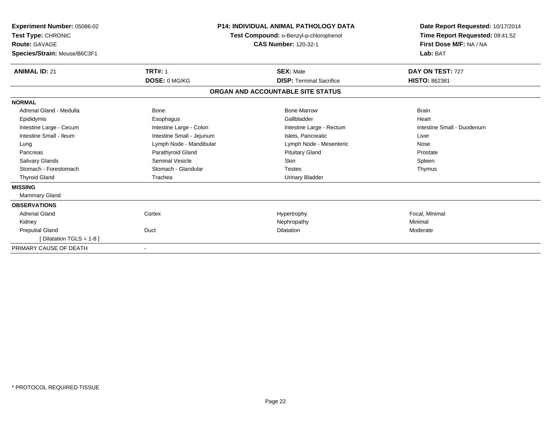| Experiment Number: 05086-02<br>Test Type: CHRONIC<br><b>Route: GAVAGE</b><br>Species/Strain: Mouse/B6C3F1 |                           | <b>P14: INDIVIDUAL ANIMAL PATHOLOGY DATA</b><br>Test Compound: o-Benzyl-p-chlorophenol<br><b>CAS Number: 120-32-1</b> | Date Report Requested: 10/17/2014<br>Time Report Requested: 09:41:52<br>First Dose M/F: NA / NA<br>Lab: BAT |
|-----------------------------------------------------------------------------------------------------------|---------------------------|-----------------------------------------------------------------------------------------------------------------------|-------------------------------------------------------------------------------------------------------------|
| <b>ANIMAL ID: 21</b>                                                                                      | <b>TRT#: 1</b>            | <b>SEX: Male</b>                                                                                                      | DAY ON TEST: 727                                                                                            |
|                                                                                                           | DOSE: 0 MG/KG             | <b>DISP: Terminal Sacrifice</b>                                                                                       | <b>HISTO: 862381</b>                                                                                        |
|                                                                                                           |                           | ORGAN AND ACCOUNTABLE SITE STATUS                                                                                     |                                                                                                             |
| <b>NORMAL</b>                                                                                             |                           |                                                                                                                       |                                                                                                             |
| Adrenal Gland - Medulla                                                                                   | <b>Bone</b>               | <b>Bone Marrow</b>                                                                                                    | <b>Brain</b>                                                                                                |
| Epididymis                                                                                                | Esophagus                 | Gallbladder                                                                                                           | Heart                                                                                                       |
| Intestine Large - Cecum                                                                                   | Intestine Large - Colon   | Intestine Large - Rectum                                                                                              | Intestine Small - Duodenum                                                                                  |
| Intestine Small - Ileum                                                                                   | Intestine Small - Jejunum | Islets, Pancreatic                                                                                                    | Liver                                                                                                       |
| Lung                                                                                                      | Lymph Node - Mandibular   | Lymph Node - Mesenteric                                                                                               | Nose                                                                                                        |
| Pancreas                                                                                                  | Parathyroid Gland         | <b>Pituitary Gland</b>                                                                                                | Prostate                                                                                                    |
| <b>Salivary Glands</b>                                                                                    | Seminal Vesicle           | Skin                                                                                                                  | Spleen                                                                                                      |
| Stomach - Forestomach                                                                                     | Stomach - Glandular       | <b>Testes</b>                                                                                                         | Thymus                                                                                                      |
| <b>Thyroid Gland</b>                                                                                      | Trachea                   | <b>Urinary Bladder</b>                                                                                                |                                                                                                             |
| <b>MISSING</b>                                                                                            |                           |                                                                                                                       |                                                                                                             |
| Mammary Gland                                                                                             |                           |                                                                                                                       |                                                                                                             |
| <b>OBSERVATIONS</b>                                                                                       |                           |                                                                                                                       |                                                                                                             |
| <b>Adrenal Gland</b>                                                                                      | Cortex                    | Hypertrophy                                                                                                           | Focal, Minimal                                                                                              |
| Kidney                                                                                                    |                           | Nephropathy                                                                                                           | Minimal                                                                                                     |
| <b>Preputial Gland</b>                                                                                    | Duct                      | <b>Dilatation</b>                                                                                                     | Moderate                                                                                                    |
| [ Dilatation TGLS = 1-8 ]                                                                                 |                           |                                                                                                                       |                                                                                                             |
| PRIMARY CAUSE OF DEATH                                                                                    |                           |                                                                                                                       |                                                                                                             |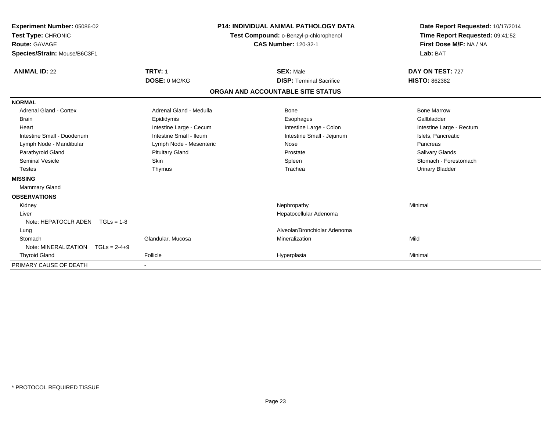| <b>Experiment Number: 05086-02</b><br>Test Type: CHRONIC<br><b>Route: GAVAGE</b><br>Species/Strain: Mouse/B6C3F1 |                         | <b>P14: INDIVIDUAL ANIMAL PATHOLOGY DATA</b><br>Test Compound: o-Benzyl-p-chlorophenol<br><b>CAS Number: 120-32-1</b> |                                   | Date Report Requested: 10/17/2014<br>Time Report Requested: 09:41:52<br>First Dose M/F: NA / NA<br>Lab: BAT |  |
|------------------------------------------------------------------------------------------------------------------|-------------------------|-----------------------------------------------------------------------------------------------------------------------|-----------------------------------|-------------------------------------------------------------------------------------------------------------|--|
| <b>ANIMAL ID: 22</b>                                                                                             | <b>TRT#: 1</b>          |                                                                                                                       | <b>SEX: Male</b>                  | DAY ON TEST: 727                                                                                            |  |
|                                                                                                                  | DOSE: 0 MG/KG           |                                                                                                                       | <b>DISP: Terminal Sacrifice</b>   | <b>HISTO: 862382</b>                                                                                        |  |
|                                                                                                                  |                         |                                                                                                                       | ORGAN AND ACCOUNTABLE SITE STATUS |                                                                                                             |  |
| <b>NORMAL</b>                                                                                                    |                         |                                                                                                                       |                                   |                                                                                                             |  |
| <b>Adrenal Gland - Cortex</b>                                                                                    | Adrenal Gland - Medulla |                                                                                                                       | Bone                              | <b>Bone Marrow</b>                                                                                          |  |
| <b>Brain</b>                                                                                                     | Epididymis              |                                                                                                                       | Esophagus                         | Gallbladder                                                                                                 |  |
| Heart                                                                                                            | Intestine Large - Cecum |                                                                                                                       | Intestine Large - Colon           | Intestine Large - Rectum                                                                                    |  |
| Intestine Small - Duodenum                                                                                       | Intestine Small - Ileum |                                                                                                                       | Intestine Small - Jejunum         | Islets. Pancreatic                                                                                          |  |
| Lymph Node - Mandibular                                                                                          | Lymph Node - Mesenteric |                                                                                                                       | Nose                              | Pancreas                                                                                                    |  |
| Parathyroid Gland                                                                                                | <b>Pituitary Gland</b>  |                                                                                                                       | Prostate                          | <b>Salivary Glands</b>                                                                                      |  |
| Seminal Vesicle                                                                                                  | Skin                    |                                                                                                                       | Spleen                            | Stomach - Forestomach                                                                                       |  |
| <b>Testes</b>                                                                                                    | Thymus                  |                                                                                                                       | Trachea                           | <b>Urinary Bladder</b>                                                                                      |  |
| <b>MISSING</b>                                                                                                   |                         |                                                                                                                       |                                   |                                                                                                             |  |
| Mammary Gland                                                                                                    |                         |                                                                                                                       |                                   |                                                                                                             |  |
| <b>OBSERVATIONS</b>                                                                                              |                         |                                                                                                                       |                                   |                                                                                                             |  |
| Kidney                                                                                                           |                         |                                                                                                                       | Nephropathy                       | Minimal                                                                                                     |  |
| Liver                                                                                                            |                         |                                                                                                                       | Hepatocellular Adenoma            |                                                                                                             |  |
| Note: HEPATOCLR ADEN<br>$TGLs = 1-8$                                                                             |                         |                                                                                                                       |                                   |                                                                                                             |  |
| Lung                                                                                                             |                         |                                                                                                                       | Alveolar/Bronchiolar Adenoma      |                                                                                                             |  |
| Stomach                                                                                                          | Glandular, Mucosa       |                                                                                                                       | Mineralization                    | Mild                                                                                                        |  |
| Note: MINERALIZATION<br>$TGLs = 2-4+9$                                                                           |                         |                                                                                                                       |                                   |                                                                                                             |  |
| <b>Thyroid Gland</b>                                                                                             | Follicle                |                                                                                                                       | Hyperplasia                       | Minimal                                                                                                     |  |
| PRIMARY CAUSE OF DEATH                                                                                           |                         |                                                                                                                       |                                   |                                                                                                             |  |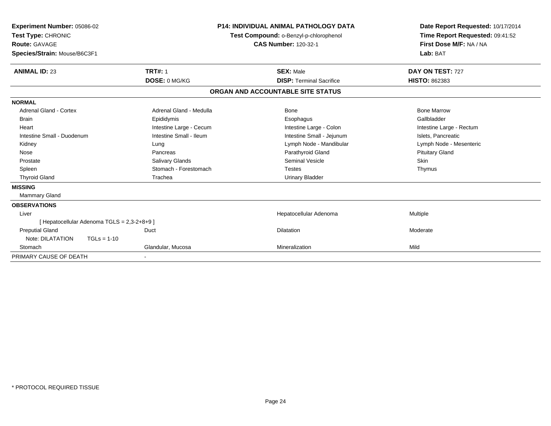| Experiment Number: 05086-02<br>Test Type: CHRONIC<br><b>Route: GAVAGE</b><br>Species/Strain: Mouse/B6C3F1 |                                             |                         | <b>P14: INDIVIDUAL ANIMAL PATHOLOGY DATA</b><br>Test Compound: o-Benzyl-p-chlorophenol<br><b>CAS Number: 120-32-1</b> | Date Report Requested: 10/17/2014<br>Time Report Requested: 09:41:52<br>First Dose M/F: NA / NA<br>Lab: BAT |
|-----------------------------------------------------------------------------------------------------------|---------------------------------------------|-------------------------|-----------------------------------------------------------------------------------------------------------------------|-------------------------------------------------------------------------------------------------------------|
| <b>ANIMAL ID: 23</b>                                                                                      |                                             | <b>TRT#: 1</b>          | <b>SEX: Male</b>                                                                                                      | DAY ON TEST: 727                                                                                            |
|                                                                                                           |                                             | DOSE: 0 MG/KG           | <b>DISP: Terminal Sacrifice</b>                                                                                       | <b>HISTO: 862383</b>                                                                                        |
|                                                                                                           |                                             |                         | ORGAN AND ACCOUNTABLE SITE STATUS                                                                                     |                                                                                                             |
| <b>NORMAL</b>                                                                                             |                                             |                         |                                                                                                                       |                                                                                                             |
| <b>Adrenal Gland - Cortex</b>                                                                             |                                             | Adrenal Gland - Medulla | Bone                                                                                                                  | <b>Bone Marrow</b>                                                                                          |
| Brain                                                                                                     |                                             | Epididymis              | Esophagus                                                                                                             | Gallbladder                                                                                                 |
| Heart                                                                                                     |                                             | Intestine Large - Cecum | Intestine Large - Colon                                                                                               | Intestine Large - Rectum                                                                                    |
| Intestine Small - Duodenum                                                                                |                                             | Intestine Small - Ileum | Intestine Small - Jejunum                                                                                             | Islets, Pancreatic                                                                                          |
| Kidney                                                                                                    |                                             | Lung                    | Lymph Node - Mandibular                                                                                               | Lymph Node - Mesenteric                                                                                     |
| Nose                                                                                                      |                                             | Pancreas                | Parathyroid Gland                                                                                                     | <b>Pituitary Gland</b>                                                                                      |
| Prostate                                                                                                  |                                             | Salivary Glands         | <b>Seminal Vesicle</b>                                                                                                | <b>Skin</b>                                                                                                 |
| Spleen                                                                                                    |                                             | Stomach - Forestomach   | <b>Testes</b>                                                                                                         | Thymus                                                                                                      |
| <b>Thyroid Gland</b>                                                                                      |                                             | Trachea                 | <b>Urinary Bladder</b>                                                                                                |                                                                                                             |
| <b>MISSING</b>                                                                                            |                                             |                         |                                                                                                                       |                                                                                                             |
| <b>Mammary Gland</b>                                                                                      |                                             |                         |                                                                                                                       |                                                                                                             |
| <b>OBSERVATIONS</b>                                                                                       |                                             |                         |                                                                                                                       |                                                                                                             |
| Liver                                                                                                     |                                             |                         | Hepatocellular Adenoma                                                                                                | Multiple                                                                                                    |
|                                                                                                           | [ Hepatocellular Adenoma TGLS = 2,3-2+8+9 ] |                         |                                                                                                                       |                                                                                                             |
| <b>Preputial Gland</b>                                                                                    |                                             | Duct                    | <b>Dilatation</b>                                                                                                     | Moderate                                                                                                    |
| Note: DILATATION                                                                                          | $TGLs = 1-10$                               |                         |                                                                                                                       |                                                                                                             |
| Stomach                                                                                                   |                                             | Glandular, Mucosa       | Mineralization                                                                                                        | Mild                                                                                                        |
| PRIMARY CAUSE OF DEATH                                                                                    |                                             |                         |                                                                                                                       |                                                                                                             |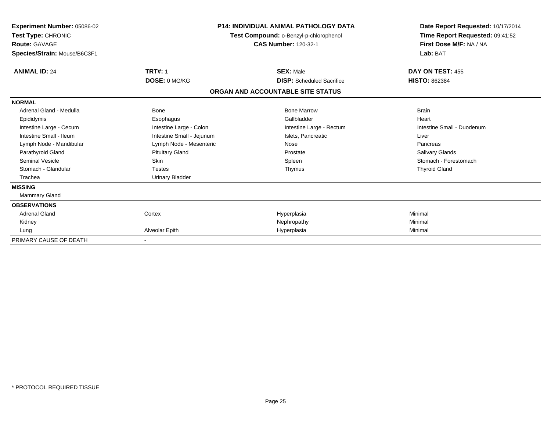| Experiment Number: 05086-02<br>Test Type: CHRONIC<br>Route: GAVAGE<br>Species/Strain: Mouse/B6C3F1 |                           | <b>P14: INDIVIDUAL ANIMAL PATHOLOGY DATA</b><br>Test Compound: o-Benzyl-p-chlorophenol<br><b>CAS Number: 120-32-1</b> |                            |
|----------------------------------------------------------------------------------------------------|---------------------------|-----------------------------------------------------------------------------------------------------------------------|----------------------------|
| <b>ANIMAL ID: 24</b>                                                                               | <b>TRT#: 1</b>            | <b>SEX: Male</b>                                                                                                      | DAY ON TEST: 455           |
|                                                                                                    | DOSE: 0 MG/KG             | <b>DISP:</b> Scheduled Sacrifice                                                                                      | <b>HISTO: 862384</b>       |
|                                                                                                    |                           | ORGAN AND ACCOUNTABLE SITE STATUS                                                                                     |                            |
| <b>NORMAL</b>                                                                                      |                           |                                                                                                                       |                            |
| Adrenal Gland - Medulla                                                                            | <b>Bone</b>               | <b>Bone Marrow</b>                                                                                                    | <b>Brain</b>               |
| Epididymis                                                                                         | Esophagus                 | Gallbladder                                                                                                           | Heart                      |
| Intestine Large - Cecum                                                                            | Intestine Large - Colon   | Intestine Large - Rectum                                                                                              | Intestine Small - Duodenum |
| Intestine Small - Ileum                                                                            | Intestine Small - Jejunum | Islets, Pancreatic                                                                                                    | Liver                      |
| Lymph Node - Mandibular                                                                            | Lymph Node - Mesenteric   | Nose                                                                                                                  | Pancreas                   |
| Parathyroid Gland                                                                                  | <b>Pituitary Gland</b>    | Prostate                                                                                                              | Salivary Glands            |
| <b>Seminal Vesicle</b>                                                                             | Skin                      | Spleen                                                                                                                | Stomach - Forestomach      |
| Stomach - Glandular                                                                                | <b>Testes</b>             | Thymus                                                                                                                | <b>Thyroid Gland</b>       |
| Trachea                                                                                            | <b>Urinary Bladder</b>    |                                                                                                                       |                            |
| <b>MISSING</b>                                                                                     |                           |                                                                                                                       |                            |
| Mammary Gland                                                                                      |                           |                                                                                                                       |                            |
| <b>OBSERVATIONS</b>                                                                                |                           |                                                                                                                       |                            |
| <b>Adrenal Gland</b>                                                                               | Cortex                    | Hyperplasia                                                                                                           | Minimal                    |
| Kidney                                                                                             |                           | Nephropathy                                                                                                           | Minimal                    |
| Lung                                                                                               | Alveolar Epith            | Hyperplasia                                                                                                           | Minimal                    |
| PRIMARY CAUSE OF DEATH                                                                             |                           |                                                                                                                       |                            |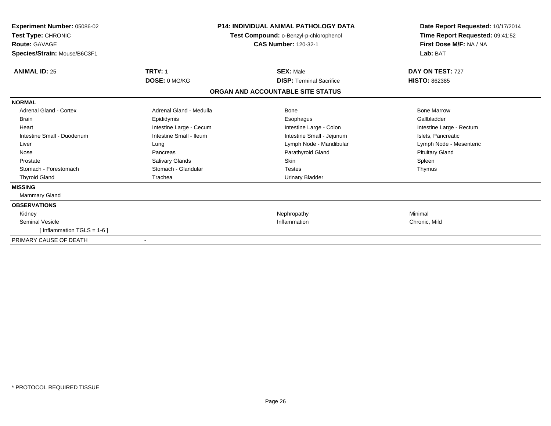| Experiment Number: 05086-02<br>Test Type: CHRONIC<br><b>Route: GAVAGE</b><br>Species/Strain: Mouse/B6C3F1 |                          | <b>P14: INDIVIDUAL ANIMAL PATHOLOGY DATA</b><br>Test Compound: o-Benzyl-p-chlorophenol<br><b>CAS Number: 120-32-1</b> | Date Report Requested: 10/17/2014<br>Time Report Requested: 09:41:52<br>First Dose M/F: NA / NA<br>Lab: BAT |
|-----------------------------------------------------------------------------------------------------------|--------------------------|-----------------------------------------------------------------------------------------------------------------------|-------------------------------------------------------------------------------------------------------------|
| <b>ANIMAL ID: 25</b>                                                                                      | <b>TRT#: 1</b>           | <b>SEX: Male</b>                                                                                                      | DAY ON TEST: 727                                                                                            |
|                                                                                                           | DOSE: 0 MG/KG            | <b>DISP: Terminal Sacrifice</b>                                                                                       | <b>HISTO: 862385</b>                                                                                        |
|                                                                                                           |                          | ORGAN AND ACCOUNTABLE SITE STATUS                                                                                     |                                                                                                             |
| <b>NORMAL</b>                                                                                             |                          |                                                                                                                       |                                                                                                             |
| Adrenal Gland - Cortex                                                                                    | Adrenal Gland - Medulla  | Bone                                                                                                                  | <b>Bone Marrow</b>                                                                                          |
| Brain                                                                                                     | Epididymis               | Esophagus                                                                                                             | Gallbladder                                                                                                 |
| Heart                                                                                                     | Intestine Large - Cecum  | Intestine Large - Colon                                                                                               | Intestine Large - Rectum                                                                                    |
| Intestine Small - Duodenum                                                                                | Intestine Small - Ileum  | Intestine Small - Jejunum                                                                                             | Islets, Pancreatic                                                                                          |
| Liver                                                                                                     | Lung                     | Lymph Node - Mandibular                                                                                               | Lymph Node - Mesenteric                                                                                     |
| Nose                                                                                                      | Pancreas                 | Parathyroid Gland                                                                                                     | <b>Pituitary Gland</b>                                                                                      |
| Prostate                                                                                                  | Salivary Glands          | <b>Skin</b>                                                                                                           | Spleen                                                                                                      |
| Stomach - Forestomach                                                                                     | Stomach - Glandular      | <b>Testes</b>                                                                                                         | Thymus                                                                                                      |
| <b>Thyroid Gland</b>                                                                                      | Trachea                  | <b>Urinary Bladder</b>                                                                                                |                                                                                                             |
| <b>MISSING</b>                                                                                            |                          |                                                                                                                       |                                                                                                             |
| <b>Mammary Gland</b>                                                                                      |                          |                                                                                                                       |                                                                                                             |
| <b>OBSERVATIONS</b>                                                                                       |                          |                                                                                                                       |                                                                                                             |
| Kidney                                                                                                    |                          | Nephropathy                                                                                                           | Minimal                                                                                                     |
| <b>Seminal Vesicle</b>                                                                                    |                          | Inflammation                                                                                                          | Chronic, Mild                                                                                               |
| [Inflammation TGLS = 1-6]                                                                                 |                          |                                                                                                                       |                                                                                                             |
| PRIMARY CAUSE OF DEATH                                                                                    | $\overline{\phantom{a}}$ |                                                                                                                       |                                                                                                             |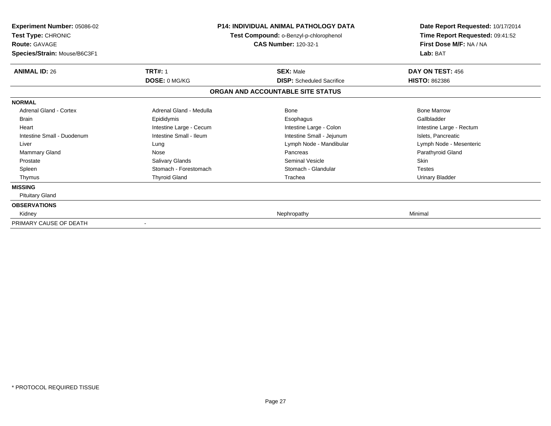| <b>Experiment Number: 05086-02</b><br>Test Type: CHRONIC<br><b>Route: GAVAGE</b><br>Species/Strain: Mouse/B6C3F1 |                         | <b>P14: INDIVIDUAL ANIMAL PATHOLOGY DATA</b><br>Test Compound: o-Benzyl-p-chlorophenol<br><b>CAS Number: 120-32-1</b> | Date Report Requested: 10/17/2014<br>Time Report Requested: 09:41:52<br>First Dose M/F: NA / NA<br>Lab: BAT |
|------------------------------------------------------------------------------------------------------------------|-------------------------|-----------------------------------------------------------------------------------------------------------------------|-------------------------------------------------------------------------------------------------------------|
| <b>ANIMAL ID: 26</b>                                                                                             | <b>TRT#: 1</b>          | <b>SEX: Male</b>                                                                                                      | DAY ON TEST: 456                                                                                            |
|                                                                                                                  | DOSE: 0 MG/KG           | <b>DISP:</b> Scheduled Sacrifice                                                                                      | <b>HISTO: 862386</b>                                                                                        |
|                                                                                                                  |                         | ORGAN AND ACCOUNTABLE SITE STATUS                                                                                     |                                                                                                             |
| <b>NORMAL</b>                                                                                                    |                         |                                                                                                                       |                                                                                                             |
| Adrenal Gland - Cortex                                                                                           | Adrenal Gland - Medulla | <b>Bone</b>                                                                                                           | <b>Bone Marrow</b>                                                                                          |
| <b>Brain</b>                                                                                                     | Epididymis              | Esophagus                                                                                                             | Gallbladder                                                                                                 |
| Heart                                                                                                            | Intestine Large - Cecum | Intestine Large - Colon                                                                                               | Intestine Large - Rectum                                                                                    |
| Intestine Small - Duodenum                                                                                       | Intestine Small - Ileum | Intestine Small - Jejunum                                                                                             | Islets, Pancreatic                                                                                          |
| Liver                                                                                                            | Lung                    | Lymph Node - Mandibular                                                                                               | Lymph Node - Mesenteric                                                                                     |
| <b>Mammary Gland</b>                                                                                             | Nose                    | Pancreas                                                                                                              | Parathyroid Gland                                                                                           |
| Prostate                                                                                                         | Salivary Glands         | <b>Seminal Vesicle</b>                                                                                                | <b>Skin</b>                                                                                                 |
| Spleen                                                                                                           | Stomach - Forestomach   | Stomach - Glandular                                                                                                   | <b>Testes</b>                                                                                               |
| Thymus                                                                                                           | <b>Thyroid Gland</b>    | Trachea                                                                                                               | <b>Urinary Bladder</b>                                                                                      |
| <b>MISSING</b>                                                                                                   |                         |                                                                                                                       |                                                                                                             |
| <b>Pituitary Gland</b>                                                                                           |                         |                                                                                                                       |                                                                                                             |
| <b>OBSERVATIONS</b>                                                                                              |                         |                                                                                                                       |                                                                                                             |
| Kidney                                                                                                           |                         | Nephropathy                                                                                                           | Minimal                                                                                                     |
| PRIMARY CAUSE OF DEATH                                                                                           |                         |                                                                                                                       |                                                                                                             |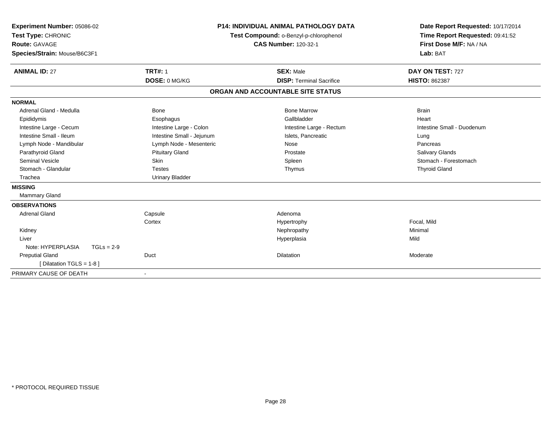| Experiment Number: 05086-02<br>Test Type: CHRONIC<br>Route: GAVAGE<br>Species/Strain: Mouse/B6C3F1 |                           | <b>P14: INDIVIDUAL ANIMAL PATHOLOGY DATA</b><br>Test Compound: o-Benzyl-p-chlorophenol<br><b>CAS Number: 120-32-1</b> | Date Report Requested: 10/17/2014<br>Time Report Requested: 09:41:52<br>First Dose M/F: NA / NA<br>Lab: BAT |
|----------------------------------------------------------------------------------------------------|---------------------------|-----------------------------------------------------------------------------------------------------------------------|-------------------------------------------------------------------------------------------------------------|
| <b>ANIMAL ID: 27</b>                                                                               | <b>TRT#: 1</b>            | <b>SEX: Male</b>                                                                                                      | DAY ON TEST: 727                                                                                            |
|                                                                                                    | DOSE: 0 MG/KG             | <b>DISP: Terminal Sacrifice</b>                                                                                       | <b>HISTO: 862387</b>                                                                                        |
|                                                                                                    |                           | ORGAN AND ACCOUNTABLE SITE STATUS                                                                                     |                                                                                                             |
| <b>NORMAL</b>                                                                                      |                           |                                                                                                                       |                                                                                                             |
| Adrenal Gland - Medulla                                                                            | Bone                      | <b>Bone Marrow</b>                                                                                                    | <b>Brain</b>                                                                                                |
| Epididymis                                                                                         | Esophagus                 | Gallbladder                                                                                                           | Heart                                                                                                       |
| Intestine Large - Cecum                                                                            | Intestine Large - Colon   | Intestine Large - Rectum                                                                                              | Intestine Small - Duodenum                                                                                  |
| Intestine Small - Ileum                                                                            | Intestine Small - Jejunum | Islets, Pancreatic                                                                                                    | Lung                                                                                                        |
| Lymph Node - Mandibular                                                                            | Lymph Node - Mesenteric   | Nose                                                                                                                  | Pancreas                                                                                                    |
| Parathyroid Gland                                                                                  | <b>Pituitary Gland</b>    | Prostate                                                                                                              | <b>Salivary Glands</b>                                                                                      |
| <b>Seminal Vesicle</b>                                                                             | Skin                      | Spleen                                                                                                                | Stomach - Forestomach                                                                                       |
| Stomach - Glandular                                                                                | <b>Testes</b>             | Thymus                                                                                                                | <b>Thyroid Gland</b>                                                                                        |
| Trachea                                                                                            | <b>Urinary Bladder</b>    |                                                                                                                       |                                                                                                             |
| <b>MISSING</b>                                                                                     |                           |                                                                                                                       |                                                                                                             |
| <b>Mammary Gland</b>                                                                               |                           |                                                                                                                       |                                                                                                             |
| <b>OBSERVATIONS</b>                                                                                |                           |                                                                                                                       |                                                                                                             |
| <b>Adrenal Gland</b>                                                                               | Capsule                   | Adenoma                                                                                                               |                                                                                                             |
|                                                                                                    | Cortex                    | Hypertrophy                                                                                                           | Focal, Mild                                                                                                 |
| Kidney                                                                                             |                           | Nephropathy                                                                                                           | Minimal                                                                                                     |
| Liver                                                                                              |                           | Hyperplasia                                                                                                           | Mild                                                                                                        |
| Note: HYPERPLASIA<br>$TGLs = 2-9$                                                                  |                           |                                                                                                                       |                                                                                                             |
| <b>Preputial Gland</b>                                                                             | Duct                      | <b>Dilatation</b>                                                                                                     | Moderate                                                                                                    |
| [Dilatation TGLS = 1-8]                                                                            |                           |                                                                                                                       |                                                                                                             |
| PRIMARY CAUSE OF DEATH                                                                             |                           |                                                                                                                       |                                                                                                             |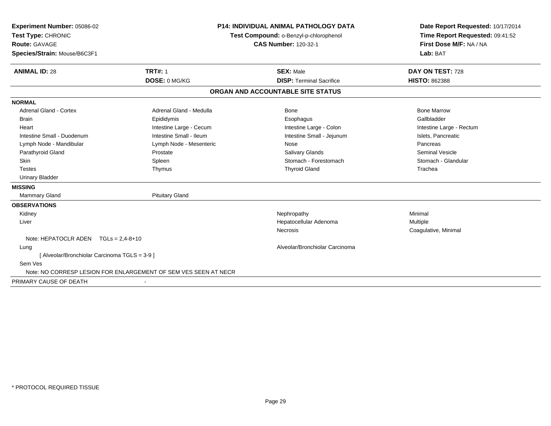| Experiment Number: 05086-02                   |                                                                 | <b>P14: INDIVIDUAL ANIMAL PATHOLOGY DATA</b> | Date Report Requested: 10/17/2014                                      |  |
|-----------------------------------------------|-----------------------------------------------------------------|----------------------------------------------|------------------------------------------------------------------------|--|
| Test Type: CHRONIC                            |                                                                 | Test Compound: o-Benzyl-p-chlorophenol       | Time Report Requested: 09:41:52<br>First Dose M/F: NA / NA<br>Lab: BAT |  |
| <b>Route: GAVAGE</b>                          |                                                                 | <b>CAS Number: 120-32-1</b>                  |                                                                        |  |
| Species/Strain: Mouse/B6C3F1                  |                                                                 |                                              |                                                                        |  |
| <b>ANIMAL ID: 28</b>                          | <b>TRT#: 1</b>                                                  | <b>SEX: Male</b>                             | DAY ON TEST: 728                                                       |  |
|                                               | DOSE: 0 MG/KG                                                   | <b>DISP: Terminal Sacrifice</b>              | <b>HISTO: 862388</b>                                                   |  |
|                                               |                                                                 | ORGAN AND ACCOUNTABLE SITE STATUS            |                                                                        |  |
| <b>NORMAL</b>                                 |                                                                 |                                              |                                                                        |  |
| <b>Adrenal Gland - Cortex</b>                 | Adrenal Gland - Medulla                                         | Bone                                         | <b>Bone Marrow</b>                                                     |  |
| <b>Brain</b>                                  | Epididymis                                                      | Esophagus                                    | Gallbladder                                                            |  |
| Heart                                         | Intestine Large - Cecum                                         | Intestine Large - Colon                      | Intestine Large - Rectum                                               |  |
| Intestine Small - Duodenum                    | Intestine Small - Ileum                                         | Intestine Small - Jejunum                    | Islets, Pancreatic                                                     |  |
| Lymph Node - Mandibular                       | Lymph Node - Mesenteric                                         | Nose                                         | Pancreas                                                               |  |
| Parathyroid Gland                             | Prostate                                                        | <b>Salivary Glands</b>                       | <b>Seminal Vesicle</b>                                                 |  |
| <b>Skin</b>                                   | Spleen                                                          | Stomach - Forestomach                        | Stomach - Glandular                                                    |  |
| <b>Testes</b>                                 | Thymus                                                          | <b>Thyroid Gland</b>                         | Trachea                                                                |  |
| <b>Urinary Bladder</b>                        |                                                                 |                                              |                                                                        |  |
| <b>MISSING</b>                                |                                                                 |                                              |                                                                        |  |
| <b>Mammary Gland</b>                          | <b>Pituitary Gland</b>                                          |                                              |                                                                        |  |
| <b>OBSERVATIONS</b>                           |                                                                 |                                              |                                                                        |  |
| Kidney                                        |                                                                 | Nephropathy                                  | Minimal                                                                |  |
| Liver                                         |                                                                 | Hepatocellular Adenoma                       | Multiple                                                               |  |
|                                               |                                                                 | <b>Necrosis</b>                              | Coagulative, Minimal                                                   |  |
| Note: HEPATOCLR ADEN $TGLs = 2.4-8+10$        |                                                                 |                                              |                                                                        |  |
| Lung                                          |                                                                 | Alveolar/Bronchiolar Carcinoma               |                                                                        |  |
| [ Alveolar/Bronchiolar Carcinoma TGLS = 3-9 ] |                                                                 |                                              |                                                                        |  |
| Sem Ves                                       |                                                                 |                                              |                                                                        |  |
|                                               | Note: NO CORRESP LESION FOR ENLARGEMENT OF SEM VES SEEN AT NECR |                                              |                                                                        |  |
| PRIMARY CAUSE OF DEATH                        |                                                                 |                                              |                                                                        |  |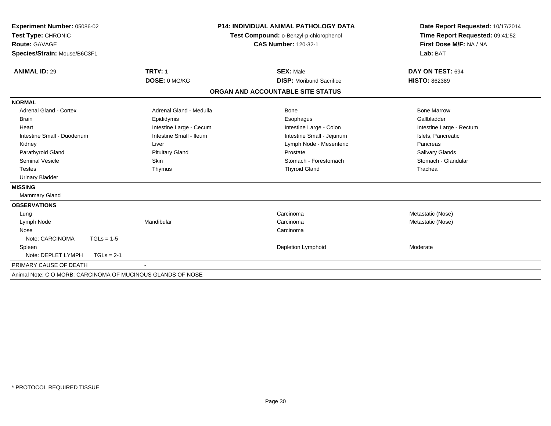| <b>Experiment Number: 05086-02</b><br>Test Type: CHRONIC    |                         | <b>P14: INDIVIDUAL ANIMAL PATHOLOGY DATA</b> | Date Report Requested: 10/17/2014<br>Time Report Requested: 09:41:52 |  |
|-------------------------------------------------------------|-------------------------|----------------------------------------------|----------------------------------------------------------------------|--|
|                                                             |                         | Test Compound: o-Benzyl-p-chlorophenol       |                                                                      |  |
| <b>Route: GAVAGE</b>                                        |                         | <b>CAS Number: 120-32-1</b>                  | First Dose M/F: NA / NA                                              |  |
| Species/Strain: Mouse/B6C3F1                                |                         |                                              | Lab: BAT                                                             |  |
| <b>ANIMAL ID: 29</b>                                        | <b>TRT#: 1</b>          | <b>SEX: Male</b>                             | DAY ON TEST: 694                                                     |  |
|                                                             | DOSE: 0 MG/KG           | <b>DISP:</b> Moribund Sacrifice              | <b>HISTO: 862389</b>                                                 |  |
|                                                             |                         | ORGAN AND ACCOUNTABLE SITE STATUS            |                                                                      |  |
| <b>NORMAL</b>                                               |                         |                                              |                                                                      |  |
| <b>Adrenal Gland - Cortex</b>                               | Adrenal Gland - Medulla | Bone                                         | <b>Bone Marrow</b>                                                   |  |
| <b>Brain</b>                                                | Epididymis              | Esophagus                                    | Gallbladder                                                          |  |
| Heart                                                       | Intestine Large - Cecum | Intestine Large - Colon                      | Intestine Large - Rectum                                             |  |
| Intestine Small - Duodenum                                  | Intestine Small - Ileum | Intestine Small - Jejunum                    | Islets, Pancreatic                                                   |  |
| Kidney                                                      | Liver                   | Lymph Node - Mesenteric                      | Pancreas                                                             |  |
| Parathyroid Gland                                           | <b>Pituitary Gland</b>  | Prostate                                     | Salivary Glands                                                      |  |
| <b>Seminal Vesicle</b>                                      | Skin                    | Stomach - Forestomach                        | Stomach - Glandular                                                  |  |
| <b>Testes</b>                                               | Thymus                  | <b>Thyroid Gland</b>                         | Trachea                                                              |  |
| <b>Urinary Bladder</b>                                      |                         |                                              |                                                                      |  |
| <b>MISSING</b>                                              |                         |                                              |                                                                      |  |
| <b>Mammary Gland</b>                                        |                         |                                              |                                                                      |  |
| <b>OBSERVATIONS</b>                                         |                         |                                              |                                                                      |  |
| Lung                                                        |                         | Carcinoma                                    | Metastatic (Nose)                                                    |  |
| Lymph Node                                                  | Mandibular              | Carcinoma                                    | Metastatic (Nose)                                                    |  |
| Nose                                                        |                         | Carcinoma                                    |                                                                      |  |
| Note: CARCINOMA<br>$TGLs = 1-5$                             |                         |                                              |                                                                      |  |
| Spleen                                                      |                         | Depletion Lymphoid                           | Moderate                                                             |  |
| Note: DEPLET LYMPH<br>$TGLs = 2-1$                          |                         |                                              |                                                                      |  |
| PRIMARY CAUSE OF DEATH                                      |                         |                                              |                                                                      |  |
| Animal Note: C O MORB: CARCINOMA OF MUCINOUS GLANDS OF NOSE |                         |                                              |                                                                      |  |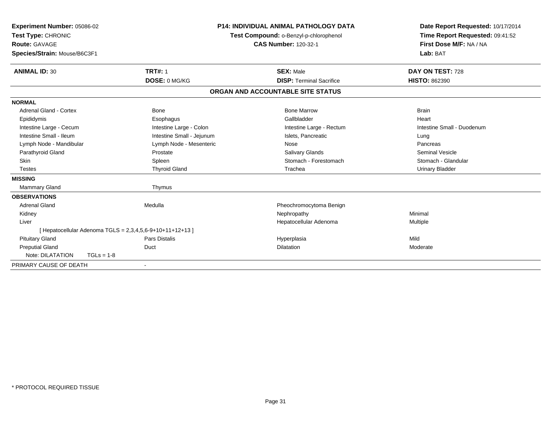| Experiment Number: 05086-02<br>Test Type: CHRONIC<br><b>Route: GAVAGE</b><br>Species/Strain: Mouse/B6C3F1      |                                                                                  | <b>P14: INDIVIDUAL ANIMAL PATHOLOGY DATA</b><br>Test Compound: o-Benzyl-p-chlorophenol<br><b>CAS Number: 120-32-1</b> | Date Report Requested: 10/17/2014<br>Time Report Requested: 09:41:52<br>First Dose M/F: NA / NA<br>Lab: BAT |
|----------------------------------------------------------------------------------------------------------------|----------------------------------------------------------------------------------|-----------------------------------------------------------------------------------------------------------------------|-------------------------------------------------------------------------------------------------------------|
| <b>ANIMAL ID: 30</b>                                                                                           | <b>TRT#: 1</b><br>DOSE: 0 MG/KG                                                  | <b>SEX: Male</b><br><b>DISP: Terminal Sacrifice</b>                                                                   | DAY ON TEST: 728<br><b>HISTO: 862390</b>                                                                    |
|                                                                                                                |                                                                                  | ORGAN AND ACCOUNTABLE SITE STATUS                                                                                     |                                                                                                             |
| <b>NORMAL</b>                                                                                                  |                                                                                  |                                                                                                                       |                                                                                                             |
| Adrenal Gland - Cortex<br>Epididymis<br>Intestine Large - Cecum<br>Intestine Small - Ileum                     | <b>Bone</b><br>Esophagus<br>Intestine Large - Colon<br>Intestine Small - Jejunum | <b>Bone Marrow</b><br>Gallbladder<br>Intestine Large - Rectum<br>Islets, Pancreatic                                   | <b>Brain</b><br>Heart<br>Intestine Small - Duodenum<br>Lung                                                 |
| Lymph Node - Mandibular<br>Parathyroid Gland<br>Skin<br><b>Testes</b>                                          | Lymph Node - Mesenteric<br>Prostate<br>Spleen<br><b>Thyroid Gland</b>            | Nose<br>Salivary Glands<br>Stomach - Forestomach<br>Trachea                                                           | Pancreas<br><b>Seminal Vesicle</b><br>Stomach - Glandular<br><b>Urinary Bladder</b>                         |
| <b>MISSING</b>                                                                                                 |                                                                                  |                                                                                                                       |                                                                                                             |
| <b>Mammary Gland</b>                                                                                           | Thymus                                                                           |                                                                                                                       |                                                                                                             |
| <b>OBSERVATIONS</b><br><b>Adrenal Gland</b><br>Kidney<br>Liver                                                 | Medulla                                                                          | Pheochromocytoma Benign<br>Nephropathy<br>Hepatocellular Adenoma                                                      | Minimal<br>Multiple                                                                                         |
| [ Hepatocellular Adenoma TGLS = 2,3,4,5,6-9+10+11+12+13 ]                                                      |                                                                                  |                                                                                                                       |                                                                                                             |
| <b>Pituitary Gland</b><br><b>Preputial Gland</b><br>Note: DILATATION<br>$TGLs = 1-8$<br>PRIMARY CAUSE OF DEATH | <b>Pars Distalis</b><br>Duct                                                     | Hyperplasia<br><b>Dilatation</b>                                                                                      | Mild<br>Moderate                                                                                            |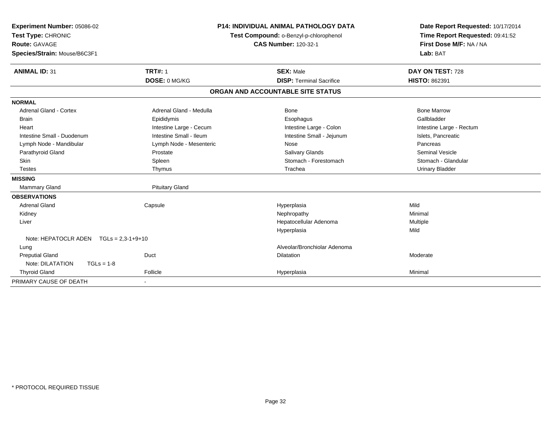| Experiment Number: 05086-02<br>Test Type: CHRONIC<br><b>Route: GAVAGE</b><br>Species/Strain: Mouse/B6C3F1<br><b>ANIMAL ID: 31</b> | <b>TRT#: 1</b>          | <b>P14: INDIVIDUAL ANIMAL PATHOLOGY DATA</b><br>Test Compound: o-Benzyl-p-chlorophenol<br><b>CAS Number: 120-32-1</b><br><b>SEX: Male</b> | Date Report Requested: 10/17/2014<br>Time Report Requested: 09:41:52<br>First Dose M/F: NA / NA<br>Lab: BAT<br>DAY ON TEST: 728 |
|-----------------------------------------------------------------------------------------------------------------------------------|-------------------------|-------------------------------------------------------------------------------------------------------------------------------------------|---------------------------------------------------------------------------------------------------------------------------------|
|                                                                                                                                   | DOSE: 0 MG/KG           | <b>DISP: Terminal Sacrifice</b>                                                                                                           | <b>HISTO: 862391</b>                                                                                                            |
|                                                                                                                                   |                         | ORGAN AND ACCOUNTABLE SITE STATUS                                                                                                         |                                                                                                                                 |
| <b>NORMAL</b>                                                                                                                     |                         |                                                                                                                                           |                                                                                                                                 |
| <b>Adrenal Gland - Cortex</b>                                                                                                     | Adrenal Gland - Medulla | Bone                                                                                                                                      | <b>Bone Marrow</b>                                                                                                              |
| <b>Brain</b>                                                                                                                      | Epididymis              | Esophagus                                                                                                                                 | Gallbladder                                                                                                                     |
| Heart                                                                                                                             | Intestine Large - Cecum | Intestine Large - Colon                                                                                                                   | Intestine Large - Rectum                                                                                                        |
| Intestine Small - Duodenum                                                                                                        | Intestine Small - Ileum | Intestine Small - Jejunum                                                                                                                 | Islets, Pancreatic                                                                                                              |
| Lymph Node - Mandibular                                                                                                           | Lymph Node - Mesenteric | Nose                                                                                                                                      | Pancreas                                                                                                                        |
| Parathyroid Gland                                                                                                                 | Prostate                | Salivary Glands                                                                                                                           | <b>Seminal Vesicle</b>                                                                                                          |
| <b>Skin</b>                                                                                                                       | Spleen                  | Stomach - Forestomach                                                                                                                     | Stomach - Glandular                                                                                                             |
| <b>Testes</b>                                                                                                                     | Thymus                  | Trachea                                                                                                                                   | <b>Urinary Bladder</b>                                                                                                          |
| <b>MISSING</b>                                                                                                                    |                         |                                                                                                                                           |                                                                                                                                 |
| <b>Mammary Gland</b>                                                                                                              | <b>Pituitary Gland</b>  |                                                                                                                                           |                                                                                                                                 |
| <b>OBSERVATIONS</b>                                                                                                               |                         |                                                                                                                                           |                                                                                                                                 |
| <b>Adrenal Gland</b>                                                                                                              | Capsule                 | Hyperplasia                                                                                                                               | Mild                                                                                                                            |
| Kidney                                                                                                                            |                         | Nephropathy                                                                                                                               | Minimal                                                                                                                         |
| Liver                                                                                                                             |                         | Hepatocellular Adenoma                                                                                                                    | Multiple                                                                                                                        |
|                                                                                                                                   |                         | Hyperplasia                                                                                                                               | Mild                                                                                                                            |
| Note: HEPATOCLR ADEN<br>$TGLs = 2,3-1+9+10$                                                                                       |                         |                                                                                                                                           |                                                                                                                                 |
| Lung                                                                                                                              |                         | Alveolar/Bronchiolar Adenoma                                                                                                              |                                                                                                                                 |
| <b>Preputial Gland</b>                                                                                                            | Duct                    | <b>Dilatation</b>                                                                                                                         | Moderate                                                                                                                        |
| Note: DILATATION<br>$TGLs = 1-8$                                                                                                  |                         |                                                                                                                                           |                                                                                                                                 |
| <b>Thyroid Gland</b>                                                                                                              | Follicle                | Hyperplasia                                                                                                                               | Minimal                                                                                                                         |
| PRIMARY CAUSE OF DEATH                                                                                                            |                         |                                                                                                                                           |                                                                                                                                 |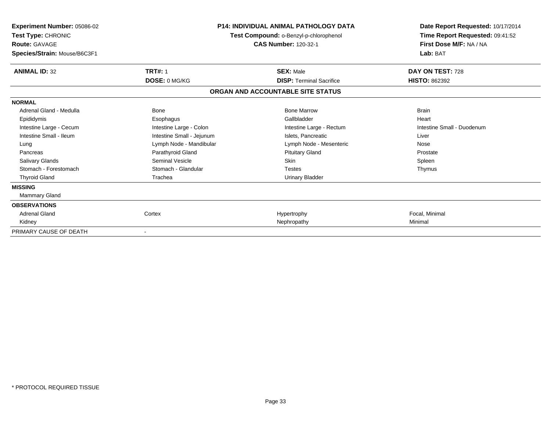| Experiment Number: 05086-02<br>Test Type: CHRONIC<br><b>Route: GAVAGE</b><br>Species/Strain: Mouse/B6C3F1 |                           | <b>P14: INDIVIDUAL ANIMAL PATHOLOGY DATA</b><br>Test Compound: o-Benzyl-p-chlorophenol<br><b>CAS Number: 120-32-1</b> | Date Report Requested: 10/17/2014<br>Time Report Requested: 09:41:52<br>First Dose M/F: NA / NA<br>Lab: BAT |
|-----------------------------------------------------------------------------------------------------------|---------------------------|-----------------------------------------------------------------------------------------------------------------------|-------------------------------------------------------------------------------------------------------------|
| <b>ANIMAL ID: 32</b>                                                                                      | <b>TRT#: 1</b>            | <b>SEX: Male</b>                                                                                                      | DAY ON TEST: 728                                                                                            |
|                                                                                                           | DOSE: 0 MG/KG             | <b>DISP: Terminal Sacrifice</b>                                                                                       | <b>HISTO: 862392</b>                                                                                        |
|                                                                                                           |                           | ORGAN AND ACCOUNTABLE SITE STATUS                                                                                     |                                                                                                             |
| <b>NORMAL</b>                                                                                             |                           |                                                                                                                       |                                                                                                             |
| Adrenal Gland - Medulla                                                                                   | <b>Bone</b>               | <b>Bone Marrow</b>                                                                                                    | <b>Brain</b>                                                                                                |
| Epididymis                                                                                                | Esophagus                 | Gallbladder                                                                                                           | Heart                                                                                                       |
| Intestine Large - Cecum                                                                                   | Intestine Large - Colon   | Intestine Large - Rectum                                                                                              | Intestine Small - Duodenum                                                                                  |
| Intestine Small - Ileum                                                                                   | Intestine Small - Jejunum | Islets. Pancreatic                                                                                                    | Liver                                                                                                       |
| Lung                                                                                                      | Lymph Node - Mandibular   | Lymph Node - Mesenteric                                                                                               | Nose                                                                                                        |
| Pancreas                                                                                                  | Parathyroid Gland         | <b>Pituitary Gland</b>                                                                                                | Prostate                                                                                                    |
| Salivary Glands                                                                                           | <b>Seminal Vesicle</b>    | Skin                                                                                                                  | Spleen                                                                                                      |
| Stomach - Forestomach                                                                                     | Stomach - Glandular       | <b>Testes</b>                                                                                                         | Thymus                                                                                                      |
| <b>Thyroid Gland</b>                                                                                      | Trachea                   | <b>Urinary Bladder</b>                                                                                                |                                                                                                             |
| <b>MISSING</b>                                                                                            |                           |                                                                                                                       |                                                                                                             |
| Mammary Gland                                                                                             |                           |                                                                                                                       |                                                                                                             |
| <b>OBSERVATIONS</b>                                                                                       |                           |                                                                                                                       |                                                                                                             |
| <b>Adrenal Gland</b>                                                                                      | Cortex                    | Hypertrophy                                                                                                           | Focal, Minimal                                                                                              |
| Kidney                                                                                                    |                           | Nephropathy                                                                                                           | Minimal                                                                                                     |
| PRIMARY CAUSE OF DEATH                                                                                    |                           |                                                                                                                       |                                                                                                             |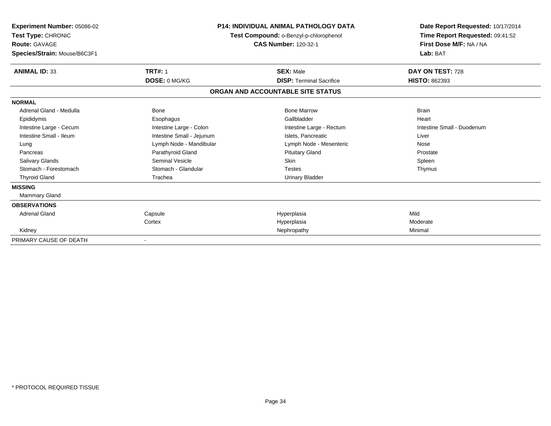| Experiment Number: 05086-02<br>Test Type: CHRONIC<br><b>Route: GAVAGE</b><br>Species/Strain: Mouse/B6C3F1 |                           | <b>P14: INDIVIDUAL ANIMAL PATHOLOGY DATA</b><br>Test Compound: o-Benzyl-p-chlorophenol<br><b>CAS Number: 120-32-1</b> | Date Report Requested: 10/17/2014<br>Time Report Requested: 09:41:52<br>First Dose M/F: NA / NA<br>Lab: BAT |
|-----------------------------------------------------------------------------------------------------------|---------------------------|-----------------------------------------------------------------------------------------------------------------------|-------------------------------------------------------------------------------------------------------------|
| <b>ANIMAL ID: 33</b>                                                                                      | <b>TRT#: 1</b>            | <b>SEX: Male</b>                                                                                                      | DAY ON TEST: 728                                                                                            |
|                                                                                                           | DOSE: 0 MG/KG             | <b>DISP: Terminal Sacrifice</b>                                                                                       | <b>HISTO: 862393</b>                                                                                        |
|                                                                                                           |                           | ORGAN AND ACCOUNTABLE SITE STATUS                                                                                     |                                                                                                             |
| <b>NORMAL</b>                                                                                             |                           |                                                                                                                       |                                                                                                             |
| Adrenal Gland - Medulla                                                                                   | <b>Bone</b>               | <b>Bone Marrow</b>                                                                                                    | <b>Brain</b>                                                                                                |
| Epididymis                                                                                                | Esophagus                 | Gallbladder                                                                                                           | Heart                                                                                                       |
| Intestine Large - Cecum                                                                                   | Intestine Large - Colon   | Intestine Large - Rectum                                                                                              | Intestine Small - Duodenum                                                                                  |
| Intestine Small - Ileum                                                                                   | Intestine Small - Jejunum | Islets. Pancreatic                                                                                                    | Liver                                                                                                       |
| Lung                                                                                                      | Lymph Node - Mandibular   | Lymph Node - Mesenteric                                                                                               | Nose                                                                                                        |
| Pancreas                                                                                                  | Parathyroid Gland         | <b>Pituitary Gland</b>                                                                                                | Prostate                                                                                                    |
| <b>Salivary Glands</b>                                                                                    | Seminal Vesicle           | <b>Skin</b>                                                                                                           | Spleen                                                                                                      |
| Stomach - Forestomach                                                                                     | Stomach - Glandular       | <b>Testes</b>                                                                                                         | Thymus                                                                                                      |
| <b>Thyroid Gland</b>                                                                                      | Trachea                   | <b>Urinary Bladder</b>                                                                                                |                                                                                                             |
| <b>MISSING</b>                                                                                            |                           |                                                                                                                       |                                                                                                             |
| Mammary Gland                                                                                             |                           |                                                                                                                       |                                                                                                             |
| <b>OBSERVATIONS</b>                                                                                       |                           |                                                                                                                       |                                                                                                             |
| <b>Adrenal Gland</b>                                                                                      | Capsule                   | Hyperplasia                                                                                                           | Mild                                                                                                        |
|                                                                                                           | Cortex                    | Hyperplasia                                                                                                           | Moderate                                                                                                    |
| Kidney                                                                                                    |                           | Nephropathy                                                                                                           | Minimal                                                                                                     |
| PRIMARY CAUSE OF DEATH                                                                                    |                           |                                                                                                                       |                                                                                                             |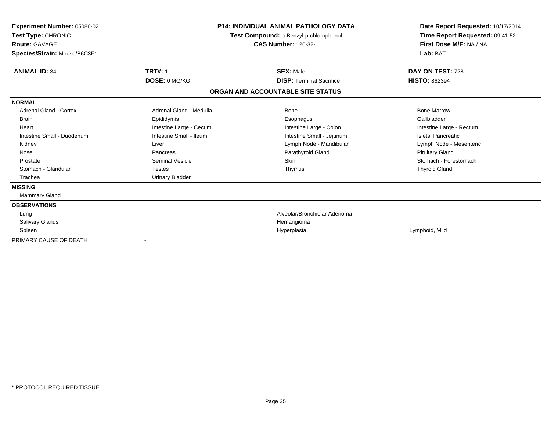| Experiment Number: 05086-02<br>Test Type: CHRONIC<br><b>Route: GAVAGE</b><br>Species/Strain: Mouse/B6C3F1 |                         | <b>P14: INDIVIDUAL ANIMAL PATHOLOGY DATA</b><br>Test Compound: o-Benzyl-p-chlorophenol<br><b>CAS Number: 120-32-1</b> | Date Report Requested: 10/17/2014<br>Time Report Requested: 09:41:52<br>First Dose M/F: NA / NA<br>Lab: BAT |
|-----------------------------------------------------------------------------------------------------------|-------------------------|-----------------------------------------------------------------------------------------------------------------------|-------------------------------------------------------------------------------------------------------------|
| <b>ANIMAL ID: 34</b>                                                                                      | <b>TRT#: 1</b>          | <b>SEX: Male</b>                                                                                                      | DAY ON TEST: 728                                                                                            |
|                                                                                                           | DOSE: 0 MG/KG           | <b>DISP: Terminal Sacrifice</b>                                                                                       | <b>HISTO: 862394</b>                                                                                        |
|                                                                                                           |                         | ORGAN AND ACCOUNTABLE SITE STATUS                                                                                     |                                                                                                             |
| <b>NORMAL</b>                                                                                             |                         |                                                                                                                       |                                                                                                             |
| Adrenal Gland - Cortex                                                                                    | Adrenal Gland - Medulla | Bone                                                                                                                  | <b>Bone Marrow</b>                                                                                          |
| <b>Brain</b>                                                                                              | Epididymis              | Esophagus                                                                                                             | Gallbladder                                                                                                 |
| Heart                                                                                                     | Intestine Large - Cecum | Intestine Large - Colon                                                                                               | Intestine Large - Rectum                                                                                    |
| Intestine Small - Duodenum                                                                                | Intestine Small - Ileum | Intestine Small - Jejunum                                                                                             | Islets, Pancreatic                                                                                          |
| Kidney                                                                                                    | Liver                   | Lymph Node - Mandibular                                                                                               | Lymph Node - Mesenteric                                                                                     |
| Nose                                                                                                      | Pancreas                | Parathyroid Gland                                                                                                     | <b>Pituitary Gland</b>                                                                                      |
| Prostate                                                                                                  | <b>Seminal Vesicle</b>  | Skin                                                                                                                  | Stomach - Forestomach                                                                                       |
| Stomach - Glandular                                                                                       | <b>Testes</b>           | Thymus                                                                                                                | <b>Thyroid Gland</b>                                                                                        |
| Trachea                                                                                                   | <b>Urinary Bladder</b>  |                                                                                                                       |                                                                                                             |
| <b>MISSING</b>                                                                                            |                         |                                                                                                                       |                                                                                                             |
| Mammary Gland                                                                                             |                         |                                                                                                                       |                                                                                                             |
| <b>OBSERVATIONS</b>                                                                                       |                         |                                                                                                                       |                                                                                                             |
| Lung                                                                                                      |                         | Alveolar/Bronchiolar Adenoma                                                                                          |                                                                                                             |
| <b>Salivary Glands</b>                                                                                    |                         | Hemangioma                                                                                                            |                                                                                                             |
| Spleen                                                                                                    |                         | Hyperplasia                                                                                                           | Lymphoid, Mild                                                                                              |
| PRIMARY CAUSE OF DEATH                                                                                    |                         |                                                                                                                       |                                                                                                             |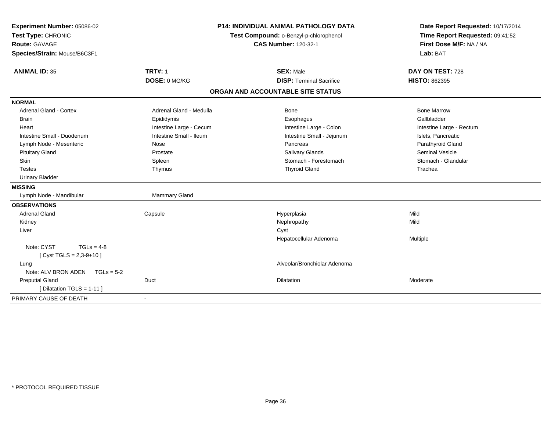| Experiment Number: 05086-02<br>Test Type: CHRONIC<br><b>Route: GAVAGE</b><br>Species/Strain: Mouse/B6C3F1 |                         | <b>P14: INDIVIDUAL ANIMAL PATHOLOGY DATA</b><br>Test Compound: o-Benzyl-p-chlorophenol<br><b>CAS Number: 120-32-1</b> | Date Report Requested: 10/17/2014<br>Time Report Requested: 09:41:52<br>First Dose M/F: NA / NA<br>Lab: BAT |
|-----------------------------------------------------------------------------------------------------------|-------------------------|-----------------------------------------------------------------------------------------------------------------------|-------------------------------------------------------------------------------------------------------------|
| <b>ANIMAL ID: 35</b>                                                                                      | <b>TRT#: 1</b>          | <b>SEX: Male</b>                                                                                                      | DAY ON TEST: 728                                                                                            |
|                                                                                                           | DOSE: 0 MG/KG           | <b>DISP: Terminal Sacrifice</b>                                                                                       | <b>HISTO: 862395</b>                                                                                        |
|                                                                                                           |                         | ORGAN AND ACCOUNTABLE SITE STATUS                                                                                     |                                                                                                             |
| <b>NORMAL</b>                                                                                             |                         |                                                                                                                       |                                                                                                             |
| Adrenal Gland - Cortex                                                                                    | Adrenal Gland - Medulla | Bone                                                                                                                  | <b>Bone Marrow</b>                                                                                          |
| <b>Brain</b>                                                                                              | Epididymis              | Esophagus                                                                                                             | Gallbladder                                                                                                 |
| Heart                                                                                                     | Intestine Large - Cecum | Intestine Large - Colon                                                                                               | Intestine Large - Rectum                                                                                    |
| Intestine Small - Duodenum                                                                                | Intestine Small - Ileum | Intestine Small - Jejunum                                                                                             | Islets, Pancreatic                                                                                          |
| Lymph Node - Mesenteric                                                                                   | Nose                    | Pancreas                                                                                                              | Parathyroid Gland                                                                                           |
| <b>Pituitary Gland</b>                                                                                    | Prostate                | <b>Salivary Glands</b>                                                                                                | <b>Seminal Vesicle</b>                                                                                      |
| Skin                                                                                                      | Spleen                  | Stomach - Forestomach                                                                                                 | Stomach - Glandular                                                                                         |
| <b>Testes</b>                                                                                             | Thymus                  | <b>Thyroid Gland</b>                                                                                                  | Trachea                                                                                                     |
| <b>Urinary Bladder</b>                                                                                    |                         |                                                                                                                       |                                                                                                             |
| <b>MISSING</b>                                                                                            |                         |                                                                                                                       |                                                                                                             |
| Lymph Node - Mandibular                                                                                   | Mammary Gland           |                                                                                                                       |                                                                                                             |
| <b>OBSERVATIONS</b>                                                                                       |                         |                                                                                                                       |                                                                                                             |
| <b>Adrenal Gland</b>                                                                                      | Capsule                 | Hyperplasia                                                                                                           | Mild                                                                                                        |
| Kidney                                                                                                    |                         | Nephropathy                                                                                                           | Mild                                                                                                        |
| Liver                                                                                                     |                         | Cyst                                                                                                                  |                                                                                                             |
|                                                                                                           |                         | Hepatocellular Adenoma                                                                                                | Multiple                                                                                                    |
| Note: CYST<br>$TGLs = 4-8$                                                                                |                         |                                                                                                                       |                                                                                                             |
| [Cyst TGLS = $2,3-9+10$ ]                                                                                 |                         |                                                                                                                       |                                                                                                             |
| Lung                                                                                                      |                         | Alveolar/Bronchiolar Adenoma                                                                                          |                                                                                                             |
| Note: ALV BRON ADEN TGLs = 5-2                                                                            |                         |                                                                                                                       |                                                                                                             |
| <b>Preputial Gland</b>                                                                                    | Duct                    | Dilatation                                                                                                            | Moderate                                                                                                    |
| [ Dilatation TGLS = 1-11 ]                                                                                |                         |                                                                                                                       |                                                                                                             |
| PRIMARY CAUSE OF DEATH                                                                                    |                         |                                                                                                                       |                                                                                                             |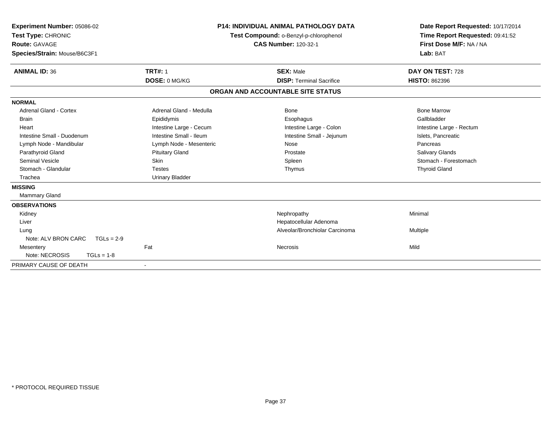| Experiment Number: 05086-02<br>Test Type: CHRONIC<br>Route: GAVAGE<br>Species/Strain: Mouse/B6C3F1 |                                 | <b>P14: INDIVIDUAL ANIMAL PATHOLOGY DATA</b><br>Test Compound: o-Benzyl-p-chlorophenol<br><b>CAS Number: 120-32-1</b> | Date Report Requested: 10/17/2014<br>Time Report Requested: 09:41:52<br>First Dose M/F: NA / NA<br>Lab: BAT |
|----------------------------------------------------------------------------------------------------|---------------------------------|-----------------------------------------------------------------------------------------------------------------------|-------------------------------------------------------------------------------------------------------------|
| <b>ANIMAL ID: 36</b>                                                                               | <b>TRT#: 1</b><br>DOSE: 0 MG/KG | <b>SEX: Male</b><br><b>DISP: Terminal Sacrifice</b>                                                                   | DAY ON TEST: 728<br><b>HISTO: 862396</b>                                                                    |
|                                                                                                    |                                 |                                                                                                                       |                                                                                                             |
|                                                                                                    |                                 | ORGAN AND ACCOUNTABLE SITE STATUS                                                                                     |                                                                                                             |
| <b>NORMAL</b>                                                                                      |                                 |                                                                                                                       |                                                                                                             |
| <b>Adrenal Gland - Cortex</b>                                                                      | Adrenal Gland - Medulla         | Bone                                                                                                                  | <b>Bone Marrow</b>                                                                                          |
| <b>Brain</b>                                                                                       | Epididymis                      | Esophagus                                                                                                             | Gallbladder                                                                                                 |
| Heart                                                                                              | Intestine Large - Cecum         | Intestine Large - Colon                                                                                               | Intestine Large - Rectum                                                                                    |
| Intestine Small - Duodenum                                                                         | Intestine Small - Ileum         | Intestine Small - Jejunum                                                                                             | Islets, Pancreatic                                                                                          |
| Lymph Node - Mandibular                                                                            | Lymph Node - Mesenteric         | Nose                                                                                                                  | Pancreas                                                                                                    |
| Parathyroid Gland                                                                                  | <b>Pituitary Gland</b>          | Prostate                                                                                                              | <b>Salivary Glands</b>                                                                                      |
| <b>Seminal Vesicle</b>                                                                             | Skin                            | Spleen                                                                                                                | Stomach - Forestomach                                                                                       |
| Stomach - Glandular                                                                                | <b>Testes</b>                   | Thymus                                                                                                                | <b>Thyroid Gland</b>                                                                                        |
| Trachea                                                                                            | <b>Urinary Bladder</b>          |                                                                                                                       |                                                                                                             |
| <b>MISSING</b>                                                                                     |                                 |                                                                                                                       |                                                                                                             |
| Mammary Gland                                                                                      |                                 |                                                                                                                       |                                                                                                             |
| <b>OBSERVATIONS</b>                                                                                |                                 |                                                                                                                       |                                                                                                             |
| Kidney                                                                                             |                                 | Nephropathy                                                                                                           | Minimal                                                                                                     |
| Liver                                                                                              |                                 | Hepatocellular Adenoma                                                                                                |                                                                                                             |
| Lung                                                                                               |                                 | Alveolar/Bronchiolar Carcinoma                                                                                        | Multiple                                                                                                    |
| Note: ALV BRON CARC<br>$TGLs = 2-9$                                                                |                                 |                                                                                                                       |                                                                                                             |
| Mesentery                                                                                          | Fat                             | Necrosis                                                                                                              | Mild                                                                                                        |
| Note: NECROSIS<br>$TGLs = 1-8$                                                                     |                                 |                                                                                                                       |                                                                                                             |
| PRIMARY CAUSE OF DEATH                                                                             |                                 |                                                                                                                       |                                                                                                             |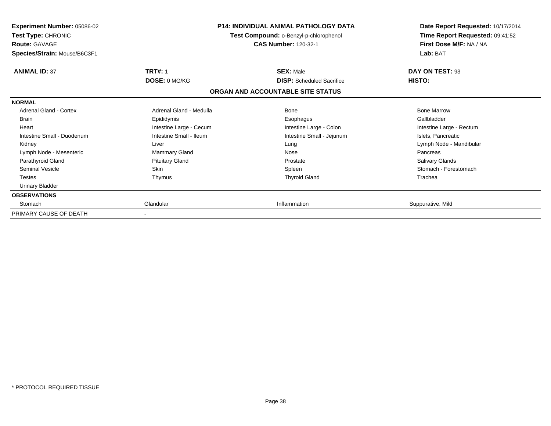| Experiment Number: 05086-02<br><b>Test Type: CHRONIC</b><br><b>Route: GAVAGE</b><br>Species/Strain: Mouse/B6C3F1 | <b>P14: INDIVIDUAL ANIMAL PATHOLOGY DATA</b><br><b>Test Compound: o-Benzyl-p-chlorophenol</b><br><b>CAS Number: 120-32-1</b> |                                                      | Date Report Requested: 10/17/2014<br>Time Report Requested: 09:41:52<br>First Dose M/F: NA / NA<br>Lab: BAT |
|------------------------------------------------------------------------------------------------------------------|------------------------------------------------------------------------------------------------------------------------------|------------------------------------------------------|-------------------------------------------------------------------------------------------------------------|
| <b>ANIMAL ID: 37</b>                                                                                             | <b>TRT#: 1</b><br>DOSE: 0 MG/KG                                                                                              | <b>SEX: Male</b><br><b>DISP:</b> Scheduled Sacrifice | DAY ON TEST: 93<br>HISTO:                                                                                   |
|                                                                                                                  |                                                                                                                              | ORGAN AND ACCOUNTABLE SITE STATUS                    |                                                                                                             |
| <b>NORMAL</b>                                                                                                    |                                                                                                                              |                                                      |                                                                                                             |
| Adrenal Gland - Cortex                                                                                           | Adrenal Gland - Medulla                                                                                                      | Bone                                                 | <b>Bone Marrow</b>                                                                                          |
| <b>Brain</b>                                                                                                     | Epididymis                                                                                                                   | Esophagus                                            | Gallbladder                                                                                                 |
| Heart                                                                                                            | Intestine Large - Cecum                                                                                                      | Intestine Large - Colon                              | Intestine Large - Rectum                                                                                    |
| Intestine Small - Duodenum                                                                                       | Intestine Small - Ileum                                                                                                      | Intestine Small - Jejunum                            | Islets, Pancreatic                                                                                          |
| Kidney                                                                                                           | Liver                                                                                                                        | Lung                                                 | Lymph Node - Mandibular                                                                                     |
| Lymph Node - Mesenteric                                                                                          | Mammary Gland                                                                                                                | Nose                                                 | Pancreas                                                                                                    |
| Parathyroid Gland                                                                                                | <b>Pituitary Gland</b>                                                                                                       | Prostate                                             | Salivary Glands                                                                                             |
| Seminal Vesicle                                                                                                  | Skin                                                                                                                         | Spleen                                               | Stomach - Forestomach                                                                                       |
| <b>Testes</b>                                                                                                    | Thymus                                                                                                                       | <b>Thyroid Gland</b>                                 | Trachea                                                                                                     |
| Urinary Bladder                                                                                                  |                                                                                                                              |                                                      |                                                                                                             |
| <b>OBSERVATIONS</b>                                                                                              |                                                                                                                              |                                                      |                                                                                                             |
| Stomach                                                                                                          | Glandular                                                                                                                    | Inflammation                                         | Suppurative, Mild                                                                                           |
| PRIMARY CAUSE OF DEATH                                                                                           |                                                                                                                              |                                                      |                                                                                                             |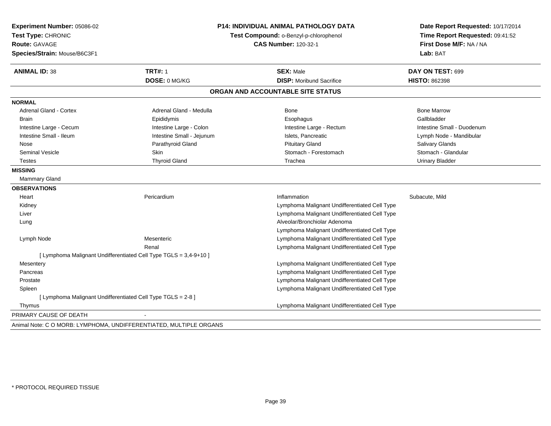| Experiment Number: 05086-02<br>Test Type: CHRONIC<br>Route: GAVAGE<br>Species/Strain: Mouse/B6C3F1 |                                                                   | <b>P14: INDIVIDUAL ANIMAL PATHOLOGY DATA</b><br>Test Compound: o-Benzyl-p-chlorophenol<br><b>CAS Number: 120-32-1</b> | Date Report Requested: 10/17/2014<br>Time Report Requested: 09:41:52<br>First Dose M/F: NA / NA<br>Lab: BAT |
|----------------------------------------------------------------------------------------------------|-------------------------------------------------------------------|-----------------------------------------------------------------------------------------------------------------------|-------------------------------------------------------------------------------------------------------------|
| <b>ANIMAL ID: 38</b>                                                                               | <b>TRT#: 1</b>                                                    | <b>SEX: Male</b>                                                                                                      | DAY ON TEST: 699                                                                                            |
|                                                                                                    | DOSE: 0 MG/KG                                                     | <b>DISP:</b> Moribund Sacrifice                                                                                       | <b>HISTO: 862398</b>                                                                                        |
|                                                                                                    |                                                                   | ORGAN AND ACCOUNTABLE SITE STATUS                                                                                     |                                                                                                             |
| <b>NORMAL</b>                                                                                      |                                                                   |                                                                                                                       |                                                                                                             |
| <b>Adrenal Gland - Cortex</b>                                                                      | Adrenal Gland - Medulla                                           | Bone                                                                                                                  | <b>Bone Marrow</b>                                                                                          |
| <b>Brain</b>                                                                                       | Epididymis                                                        | Esophagus                                                                                                             | Gallbladder                                                                                                 |
| Intestine Large - Cecum                                                                            | Intestine Large - Colon                                           | Intestine Large - Rectum                                                                                              | Intestine Small - Duodenum                                                                                  |
| Intestine Small - Ileum                                                                            | Intestine Small - Jejunum                                         | Islets, Pancreatic                                                                                                    | Lymph Node - Mandibular                                                                                     |
| Nose                                                                                               | Parathyroid Gland                                                 | <b>Pituitary Gland</b>                                                                                                | Salivary Glands                                                                                             |
| <b>Seminal Vesicle</b>                                                                             | Skin                                                              | Stomach - Forestomach                                                                                                 | Stomach - Glandular                                                                                         |
| <b>Testes</b>                                                                                      | <b>Thyroid Gland</b>                                              | Trachea                                                                                                               | <b>Urinary Bladder</b>                                                                                      |
| <b>MISSING</b>                                                                                     |                                                                   |                                                                                                                       |                                                                                                             |
| Mammary Gland                                                                                      |                                                                   |                                                                                                                       |                                                                                                             |
| <b>OBSERVATIONS</b>                                                                                |                                                                   |                                                                                                                       |                                                                                                             |
| Heart                                                                                              | Pericardium                                                       | Inflammation                                                                                                          | Subacute, Mild                                                                                              |
| Kidney                                                                                             |                                                                   | Lymphoma Malignant Undifferentiated Cell Type                                                                         |                                                                                                             |
| Liver                                                                                              |                                                                   | Lymphoma Malignant Undifferentiated Cell Type                                                                         |                                                                                                             |
| Lung                                                                                               |                                                                   | Alveolar/Bronchiolar Adenoma                                                                                          |                                                                                                             |
|                                                                                                    |                                                                   | Lymphoma Malignant Undifferentiated Cell Type                                                                         |                                                                                                             |
| Lymph Node                                                                                         | Mesenteric                                                        | Lymphoma Malignant Undifferentiated Cell Type                                                                         |                                                                                                             |
|                                                                                                    | Renal                                                             | Lymphoma Malignant Undifferentiated Cell Type                                                                         |                                                                                                             |
|                                                                                                    | [ Lymphoma Malignant Undifferentiated Cell Type TGLS = 3,4-9+10 ] |                                                                                                                       |                                                                                                             |
| Mesentery                                                                                          |                                                                   | Lymphoma Malignant Undifferentiated Cell Type                                                                         |                                                                                                             |
| Pancreas                                                                                           |                                                                   | Lymphoma Malignant Undifferentiated Cell Type                                                                         |                                                                                                             |
| Prostate                                                                                           |                                                                   | Lymphoma Malignant Undifferentiated Cell Type                                                                         |                                                                                                             |
| Spleen                                                                                             |                                                                   | Lymphoma Malignant Undifferentiated Cell Type                                                                         |                                                                                                             |
| [ Lymphoma Malignant Undifferentiated Cell Type TGLS = 2-8 ]                                       |                                                                   |                                                                                                                       |                                                                                                             |
| Thymus                                                                                             |                                                                   | Lymphoma Malignant Undifferentiated Cell Type                                                                         |                                                                                                             |
| PRIMARY CAUSE OF DEATH                                                                             |                                                                   |                                                                                                                       |                                                                                                             |

Animal Note: C O MORB: LYMPHOMA, UNDIFFERENTIATED, MULTIPLE ORGANS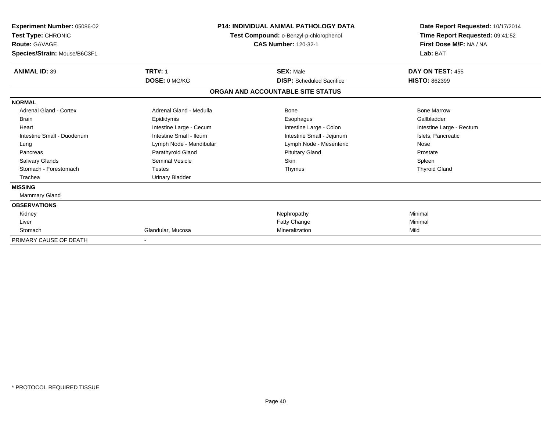| <b>Experiment Number: 05086-02</b><br>Test Type: CHRONIC<br><b>Route: GAVAGE</b><br>Species/Strain: Mouse/B6C3F1 |                         | <b>P14: INDIVIDUAL ANIMAL PATHOLOGY DATA</b><br>Test Compound: o-Benzyl-p-chlorophenol<br><b>CAS Number: 120-32-1</b> | Date Report Requested: 10/17/2014<br>Time Report Requested: 09:41:52<br>First Dose M/F: NA / NA<br>Lab: BAT |
|------------------------------------------------------------------------------------------------------------------|-------------------------|-----------------------------------------------------------------------------------------------------------------------|-------------------------------------------------------------------------------------------------------------|
| <b>ANIMAL ID: 39</b>                                                                                             | <b>TRT#: 1</b>          | <b>SEX: Male</b>                                                                                                      | DAY ON TEST: 455                                                                                            |
|                                                                                                                  | DOSE: 0 MG/KG           | <b>DISP:</b> Scheduled Sacrifice                                                                                      | <b>HISTO: 862399</b>                                                                                        |
|                                                                                                                  |                         | ORGAN AND ACCOUNTABLE SITE STATUS                                                                                     |                                                                                                             |
| <b>NORMAL</b>                                                                                                    |                         |                                                                                                                       |                                                                                                             |
| <b>Adrenal Gland - Cortex</b>                                                                                    | Adrenal Gland - Medulla | Bone                                                                                                                  | <b>Bone Marrow</b>                                                                                          |
| <b>Brain</b>                                                                                                     | Epididymis              | Esophagus                                                                                                             | Gallbladder                                                                                                 |
| Heart                                                                                                            | Intestine Large - Cecum | Intestine Large - Colon                                                                                               | Intestine Large - Rectum                                                                                    |
| Intestine Small - Duodenum                                                                                       | Intestine Small - Ileum | Intestine Small - Jejunum                                                                                             | Islets, Pancreatic                                                                                          |
| Lung                                                                                                             | Lymph Node - Mandibular | Lymph Node - Mesenteric                                                                                               | Nose                                                                                                        |
| Pancreas                                                                                                         | Parathyroid Gland       | <b>Pituitary Gland</b>                                                                                                | Prostate                                                                                                    |
| <b>Salivary Glands</b>                                                                                           | <b>Seminal Vesicle</b>  | <b>Skin</b>                                                                                                           | Spleen                                                                                                      |
| Stomach - Forestomach                                                                                            | <b>Testes</b>           | Thymus                                                                                                                | <b>Thyroid Gland</b>                                                                                        |
| Trachea                                                                                                          | <b>Urinary Bladder</b>  |                                                                                                                       |                                                                                                             |
| <b>MISSING</b>                                                                                                   |                         |                                                                                                                       |                                                                                                             |
| <b>Mammary Gland</b>                                                                                             |                         |                                                                                                                       |                                                                                                             |
| <b>OBSERVATIONS</b>                                                                                              |                         |                                                                                                                       |                                                                                                             |
| Kidney                                                                                                           |                         | Nephropathy                                                                                                           | Minimal                                                                                                     |
| Liver                                                                                                            |                         | Fatty Change                                                                                                          | Minimal                                                                                                     |
| Stomach                                                                                                          | Glandular, Mucosa       | Mineralization                                                                                                        | Mild                                                                                                        |
| PRIMARY CAUSE OF DEATH                                                                                           |                         |                                                                                                                       |                                                                                                             |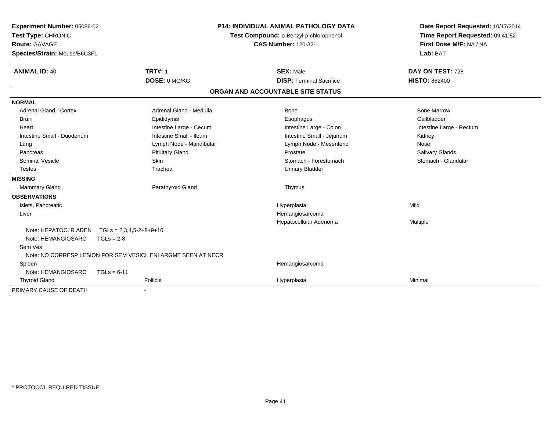| Experiment Number: 05086-02         |                                                              | <b>P14: INDIVIDUAL ANIMAL PATHOLOGY DATA</b> | Date Report Requested: 10/17/2014 |  |
|-------------------------------------|--------------------------------------------------------------|----------------------------------------------|-----------------------------------|--|
| Test Type: CHRONIC                  |                                                              | Test Compound: o-Benzyl-p-chlorophenol       | Time Report Requested: 09:41:52   |  |
| <b>Route: GAVAGE</b>                |                                                              | <b>CAS Number: 120-32-1</b>                  | First Dose M/F: NA / NA           |  |
| Species/Strain: Mouse/B6C3F1        |                                                              |                                              | Lab: BAT                          |  |
| <b>ANIMAL ID: 40</b>                | <b>TRT#: 1</b>                                               | <b>SEX: Male</b>                             | DAY ON TEST: 728                  |  |
|                                     | DOSE: 0 MG/KG                                                | <b>DISP: Terminal Sacrifice</b>              | <b>HISTO: 862400</b>              |  |
|                                     |                                                              | ORGAN AND ACCOUNTABLE SITE STATUS            |                                   |  |
| <b>NORMAL</b>                       |                                                              |                                              |                                   |  |
| <b>Adrenal Gland - Cortex</b>       | Adrenal Gland - Medulla                                      | Bone                                         | <b>Bone Marrow</b>                |  |
| <b>Brain</b>                        | Epididymis                                                   | Esophagus                                    | Gallbladder                       |  |
| Heart                               | Intestine Large - Cecum                                      | Intestine Large - Colon                      | Intestine Large - Rectum          |  |
| Intestine Small - Duodenum          | Intestine Small - Ileum                                      | Intestine Small - Jejunum                    | Kidney                            |  |
| Lung                                | Lymph Node - Mandibular                                      | Lymph Node - Mesenteric                      | Nose                              |  |
| Pancreas                            | <b>Pituitary Gland</b>                                       | Prostate                                     | Salivary Glands                   |  |
| <b>Seminal Vesicle</b>              | <b>Skin</b>                                                  | Stomach - Forestomach                        | Stomach - Glandular               |  |
| <b>Testes</b>                       | Trachea                                                      | <b>Urinary Bladder</b>                       |                                   |  |
| <b>MISSING</b>                      |                                                              |                                              |                                   |  |
| Mammary Gland                       | Parathyroid Gland                                            | Thymus                                       |                                   |  |
| <b>OBSERVATIONS</b>                 |                                                              |                                              |                                   |  |
| Islets, Pancreatic                  |                                                              | Hyperplasia                                  | Mild                              |  |
| Liver                               |                                                              | Hemangiosarcoma                              |                                   |  |
|                                     |                                                              | Hepatocellular Adenoma                       | Multiple                          |  |
| Note: HEPATOCLR ADEN                | $TGLs = 2,3,4,5-2+8+9+10$                                    |                                              |                                   |  |
| Note: HEMANGIOSARC<br>$TGLs = 2-8$  |                                                              |                                              |                                   |  |
| Sem Ves                             |                                                              |                                              |                                   |  |
|                                     | Note: NO CORRESP LESION FOR SEM VESICL ENLARGMT SEEN AT NECR |                                              |                                   |  |
| Spleen                              |                                                              | Hemangiosarcoma                              |                                   |  |
| Note: HEMANGIOSARC<br>$TGLs = 6-11$ |                                                              |                                              |                                   |  |
| <b>Thyroid Gland</b>                | Follicle                                                     | Hyperplasia                                  | Minimal                           |  |
| PRIMARY CAUSE OF DEATH              |                                                              |                                              |                                   |  |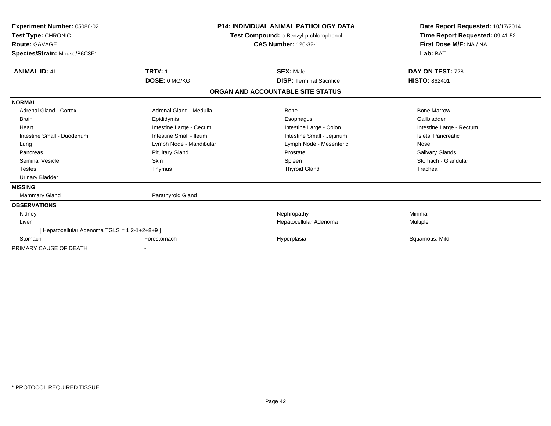| Experiment Number: 05086-02<br>Test Type: CHRONIC<br>Route: GAVAGE<br>Species/Strain: Mouse/B6C3F1 |                         | <b>P14: INDIVIDUAL ANIMAL PATHOLOGY DATA</b><br>Test Compound: o-Benzyl-p-chlorophenol<br><b>CAS Number: 120-32-1</b> | Date Report Requested: 10/17/2014<br>Time Report Requested: 09:41:52<br>First Dose M/F: NA / NA<br>Lab: BAT |  |
|----------------------------------------------------------------------------------------------------|-------------------------|-----------------------------------------------------------------------------------------------------------------------|-------------------------------------------------------------------------------------------------------------|--|
| <b>ANIMAL ID: 41</b>                                                                               | <b>TRT#: 1</b>          | <b>SEX: Male</b>                                                                                                      | DAY ON TEST: 728                                                                                            |  |
|                                                                                                    | DOSE: 0 MG/KG           | <b>DISP: Terminal Sacrifice</b>                                                                                       | <b>HISTO: 862401</b>                                                                                        |  |
|                                                                                                    |                         | ORGAN AND ACCOUNTABLE SITE STATUS                                                                                     |                                                                                                             |  |
| <b>NORMAL</b>                                                                                      |                         |                                                                                                                       |                                                                                                             |  |
| <b>Adrenal Gland - Cortex</b>                                                                      | Adrenal Gland - Medulla | Bone                                                                                                                  | <b>Bone Marrow</b>                                                                                          |  |
| <b>Brain</b>                                                                                       | Epididymis              | Esophagus                                                                                                             | Gallbladder                                                                                                 |  |
| Heart                                                                                              | Intestine Large - Cecum | Intestine Large - Colon                                                                                               | Intestine Large - Rectum                                                                                    |  |
| Intestine Small - Duodenum                                                                         | Intestine Small - Ileum | Intestine Small - Jejunum                                                                                             | Islets, Pancreatic                                                                                          |  |
| Lung                                                                                               | Lymph Node - Mandibular | Lymph Node - Mesenteric                                                                                               | Nose                                                                                                        |  |
| Pancreas                                                                                           | <b>Pituitary Gland</b>  | Prostate                                                                                                              | Salivary Glands                                                                                             |  |
| <b>Seminal Vesicle</b>                                                                             | Skin                    | Spleen                                                                                                                | Stomach - Glandular                                                                                         |  |
| Testes                                                                                             | Thymus                  | <b>Thyroid Gland</b>                                                                                                  | Trachea                                                                                                     |  |
| <b>Urinary Bladder</b>                                                                             |                         |                                                                                                                       |                                                                                                             |  |
| <b>MISSING</b>                                                                                     |                         |                                                                                                                       |                                                                                                             |  |
| <b>Mammary Gland</b>                                                                               | Parathyroid Gland       |                                                                                                                       |                                                                                                             |  |
| <b>OBSERVATIONS</b>                                                                                |                         |                                                                                                                       |                                                                                                             |  |
| Kidney                                                                                             |                         | Nephropathy                                                                                                           | Minimal                                                                                                     |  |
| Liver                                                                                              |                         | Hepatocellular Adenoma                                                                                                | <b>Multiple</b>                                                                                             |  |
| [Hepatocellular Adenoma TGLS = 1,2-1+2+8+9]                                                        |                         |                                                                                                                       |                                                                                                             |  |
| Stomach                                                                                            | Forestomach             | Hyperplasia                                                                                                           | Squamous, Mild                                                                                              |  |
| PRIMARY CAUSE OF DEATH                                                                             |                         |                                                                                                                       |                                                                                                             |  |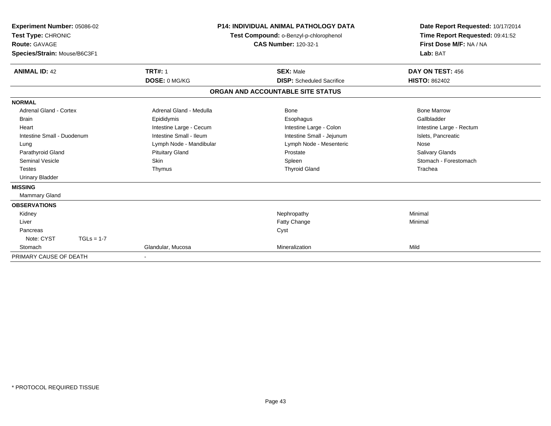| Experiment Number: 05086-02<br>Test Type: CHRONIC<br>Route: GAVAGE<br>Species/Strain: Mouse/B6C3F1 |                         | <b>P14: INDIVIDUAL ANIMAL PATHOLOGY DATA</b><br>Test Compound: o-Benzyl-p-chlorophenol<br><b>CAS Number: 120-32-1</b> | Date Report Requested: 10/17/2014<br>Time Report Requested: 09:41:52<br>First Dose M/F: NA / NA<br>Lab: BAT |
|----------------------------------------------------------------------------------------------------|-------------------------|-----------------------------------------------------------------------------------------------------------------------|-------------------------------------------------------------------------------------------------------------|
| <b>ANIMAL ID: 42</b>                                                                               | <b>TRT#: 1</b>          | <b>SEX: Male</b>                                                                                                      | DAY ON TEST: 456                                                                                            |
|                                                                                                    | DOSE: 0 MG/KG           | <b>DISP:</b> Scheduled Sacrifice                                                                                      | <b>HISTO: 862402</b>                                                                                        |
|                                                                                                    |                         | ORGAN AND ACCOUNTABLE SITE STATUS                                                                                     |                                                                                                             |
| <b>NORMAL</b>                                                                                      |                         |                                                                                                                       |                                                                                                             |
| <b>Adrenal Gland - Cortex</b>                                                                      | Adrenal Gland - Medulla | <b>Bone</b>                                                                                                           | <b>Bone Marrow</b>                                                                                          |
| <b>Brain</b>                                                                                       | Epididymis              | Esophagus                                                                                                             | Gallbladder                                                                                                 |
| Heart                                                                                              | Intestine Large - Cecum | Intestine Large - Colon                                                                                               | Intestine Large - Rectum                                                                                    |
| Intestine Small - Duodenum                                                                         | Intestine Small - Ileum | Intestine Small - Jejunum                                                                                             | Islets, Pancreatic                                                                                          |
| Lung                                                                                               | Lymph Node - Mandibular | Lymph Node - Mesenteric                                                                                               | Nose                                                                                                        |
| Parathyroid Gland                                                                                  | <b>Pituitary Gland</b>  | Prostate                                                                                                              | Salivary Glands                                                                                             |
| <b>Seminal Vesicle</b>                                                                             | Skin                    | Spleen                                                                                                                | Stomach - Forestomach                                                                                       |
| <b>Testes</b>                                                                                      | Thymus                  | <b>Thyroid Gland</b>                                                                                                  | Trachea                                                                                                     |
| <b>Urinary Bladder</b>                                                                             |                         |                                                                                                                       |                                                                                                             |
| <b>MISSING</b>                                                                                     |                         |                                                                                                                       |                                                                                                             |
| Mammary Gland                                                                                      |                         |                                                                                                                       |                                                                                                             |
| <b>OBSERVATIONS</b>                                                                                |                         |                                                                                                                       |                                                                                                             |
| Kidney                                                                                             |                         | Nephropathy                                                                                                           | Minimal                                                                                                     |
| Liver                                                                                              |                         | Fatty Change                                                                                                          | Minimal                                                                                                     |
| Pancreas                                                                                           |                         | Cyst                                                                                                                  |                                                                                                             |
| Note: CYST<br>$TGLs = 1-7$                                                                         |                         |                                                                                                                       |                                                                                                             |
| Stomach                                                                                            | Glandular, Mucosa       | Mineralization                                                                                                        | Mild                                                                                                        |
| PRIMARY CAUSE OF DEATH                                                                             |                         |                                                                                                                       |                                                                                                             |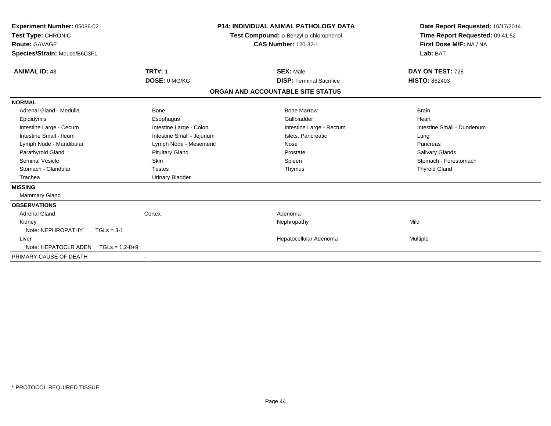| Experiment Number: 05086-02<br>Test Type: CHRONIC<br>Route: GAVAGE<br>Species/Strain: Mouse/B6C3F1 |                           | <b>P14: INDIVIDUAL ANIMAL PATHOLOGY DATA</b><br>Test Compound: o-Benzyl-p-chlorophenol<br><b>CAS Number: 120-32-1</b> | Date Report Requested: 10/17/2014<br>Time Report Requested: 09:41:52<br>First Dose M/F: NA / NA<br>Lab: BAT |
|----------------------------------------------------------------------------------------------------|---------------------------|-----------------------------------------------------------------------------------------------------------------------|-------------------------------------------------------------------------------------------------------------|
| <b>ANIMAL ID: 43</b>                                                                               | <b>TRT#: 1</b>            | <b>SEX: Male</b>                                                                                                      | DAY ON TEST: 728                                                                                            |
|                                                                                                    | DOSE: 0 MG/KG             | <b>DISP: Terminal Sacrifice</b>                                                                                       | <b>HISTO: 862403</b>                                                                                        |
|                                                                                                    |                           | ORGAN AND ACCOUNTABLE SITE STATUS                                                                                     |                                                                                                             |
| <b>NORMAL</b>                                                                                      |                           |                                                                                                                       |                                                                                                             |
| Adrenal Gland - Medulla                                                                            | Bone                      | <b>Bone Marrow</b>                                                                                                    | <b>Brain</b>                                                                                                |
| Epididymis                                                                                         | Esophagus                 | Gallbladder                                                                                                           | Heart                                                                                                       |
| Intestine Large - Cecum                                                                            | Intestine Large - Colon   | Intestine Large - Rectum                                                                                              | Intestine Small - Duodenum                                                                                  |
| Intestine Small - Ileum                                                                            | Intestine Small - Jejunum | Islets, Pancreatic                                                                                                    | Lung                                                                                                        |
| Lymph Node - Mandibular                                                                            | Lymph Node - Mesenteric   | Nose                                                                                                                  | Pancreas                                                                                                    |
| Parathyroid Gland                                                                                  | <b>Pituitary Gland</b>    | Prostate                                                                                                              | <b>Salivary Glands</b>                                                                                      |
| <b>Seminal Vesicle</b>                                                                             | <b>Skin</b>               | Spleen                                                                                                                | Stomach - Forestomach                                                                                       |
| Stomach - Glandular                                                                                | <b>Testes</b>             | Thymus                                                                                                                | <b>Thyroid Gland</b>                                                                                        |
| Trachea                                                                                            | <b>Urinary Bladder</b>    |                                                                                                                       |                                                                                                             |
| <b>MISSING</b>                                                                                     |                           |                                                                                                                       |                                                                                                             |
| Mammary Gland                                                                                      |                           |                                                                                                                       |                                                                                                             |
| <b>OBSERVATIONS</b>                                                                                |                           |                                                                                                                       |                                                                                                             |
| <b>Adrenal Gland</b>                                                                               | Cortex                    | Adenoma                                                                                                               |                                                                                                             |
| Kidney                                                                                             |                           | Nephropathy                                                                                                           | Mild                                                                                                        |
| Note: NEPHROPATHY                                                                                  | $TGLs = 3-1$              |                                                                                                                       |                                                                                                             |
| Liver                                                                                              |                           | Hepatocellular Adenoma                                                                                                | Multiple                                                                                                    |
| Note: HEPATOCLR ADEN                                                                               | $TGLs = 1,2-8+9$          |                                                                                                                       |                                                                                                             |
| PRIMARY CAUSE OF DEATH                                                                             |                           |                                                                                                                       |                                                                                                             |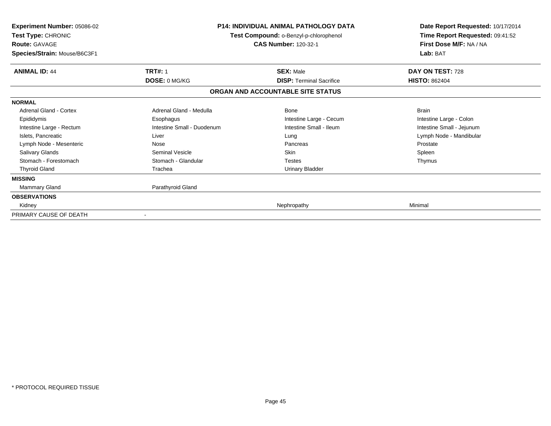| <b>Experiment Number: 05086-02</b><br>Test Type: CHRONIC<br><b>Route: GAVAGE</b><br>Species/Strain: Mouse/B6C3F1 |                            | <b>P14: INDIVIDUAL ANIMAL PATHOLOGY DATA</b><br>Test Compound: o-Benzyl-p-chlorophenol<br><b>CAS Number: 120-32-1</b> | Date Report Requested: 10/17/2014<br>Time Report Requested: 09:41:52<br>First Dose M/F: NA / NA<br>Lab: BAT |  |
|------------------------------------------------------------------------------------------------------------------|----------------------------|-----------------------------------------------------------------------------------------------------------------------|-------------------------------------------------------------------------------------------------------------|--|
| <b>ANIMAL ID: 44</b>                                                                                             | <b>TRT#: 1</b>             | <b>SEX: Male</b>                                                                                                      | DAY ON TEST: 728                                                                                            |  |
|                                                                                                                  | DOSE: 0 MG/KG              | <b>DISP: Terminal Sacrifice</b>                                                                                       | <b>HISTO: 862404</b>                                                                                        |  |
|                                                                                                                  |                            | ORGAN AND ACCOUNTABLE SITE STATUS                                                                                     |                                                                                                             |  |
| <b>NORMAL</b>                                                                                                    |                            |                                                                                                                       |                                                                                                             |  |
| Adrenal Gland - Cortex                                                                                           | Adrenal Gland - Medulla    | <b>Bone</b>                                                                                                           | <b>Brain</b>                                                                                                |  |
| Epididymis                                                                                                       | Esophagus                  | Intestine Large - Cecum                                                                                               | Intestine Large - Colon                                                                                     |  |
| Intestine Large - Rectum                                                                                         | Intestine Small - Duodenum | Intestine Small - Ileum                                                                                               | Intestine Small - Jejunum                                                                                   |  |
| Islets, Pancreatic                                                                                               | Liver                      | Lung                                                                                                                  | Lymph Node - Mandibular                                                                                     |  |
| Lymph Node - Mesenteric                                                                                          | Nose                       | Pancreas                                                                                                              | Prostate                                                                                                    |  |
| <b>Salivary Glands</b>                                                                                           | Seminal Vesicle            | <b>Skin</b>                                                                                                           | Spleen                                                                                                      |  |
| Stomach - Forestomach                                                                                            | Stomach - Glandular        | <b>Testes</b>                                                                                                         | Thymus                                                                                                      |  |
| <b>Thyroid Gland</b>                                                                                             | Trachea                    | <b>Urinary Bladder</b>                                                                                                |                                                                                                             |  |
| <b>MISSING</b>                                                                                                   |                            |                                                                                                                       |                                                                                                             |  |
| Mammary Gland                                                                                                    | Parathyroid Gland          |                                                                                                                       |                                                                                                             |  |
| <b>OBSERVATIONS</b>                                                                                              |                            |                                                                                                                       |                                                                                                             |  |
| Kidney                                                                                                           |                            | Nephropathy                                                                                                           | Minimal                                                                                                     |  |
| PRIMARY CAUSE OF DEATH                                                                                           |                            |                                                                                                                       |                                                                                                             |  |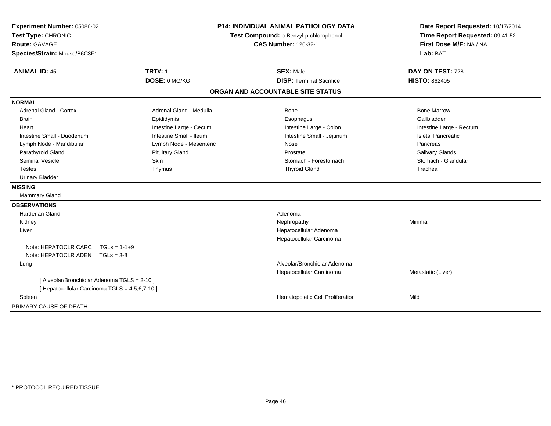| Experiment Number: 05086-02<br>Test Type: CHRONIC<br><b>Route: GAVAGE</b><br>Species/Strain: Mouse/B6C3F1 |                         | P14: INDIVIDUAL ANIMAL PATHOLOGY DATA<br>Test Compound: o-Benzyl-p-chlorophenol<br><b>CAS Number: 120-32-1</b> | Date Report Requested: 10/17/2014<br>Time Report Requested: 09:41:52<br>First Dose M/F: NA / NA<br>Lab: BAT |  |
|-----------------------------------------------------------------------------------------------------------|-------------------------|----------------------------------------------------------------------------------------------------------------|-------------------------------------------------------------------------------------------------------------|--|
| <b>ANIMAL ID: 45</b>                                                                                      | <b>TRT#: 1</b>          | <b>SEX: Male</b>                                                                                               | DAY ON TEST: 728                                                                                            |  |
|                                                                                                           | DOSE: 0 MG/KG           | <b>DISP: Terminal Sacrifice</b>                                                                                | <b>HISTO: 862405</b>                                                                                        |  |
|                                                                                                           |                         | ORGAN AND ACCOUNTABLE SITE STATUS                                                                              |                                                                                                             |  |
| <b>NORMAL</b>                                                                                             |                         |                                                                                                                |                                                                                                             |  |
| <b>Adrenal Gland - Cortex</b>                                                                             | Adrenal Gland - Medulla | <b>Bone</b>                                                                                                    | <b>Bone Marrow</b>                                                                                          |  |
| <b>Brain</b>                                                                                              | Epididymis              | Esophagus                                                                                                      | Gallbladder                                                                                                 |  |
| Heart                                                                                                     | Intestine Large - Cecum | Intestine Large - Colon                                                                                        | Intestine Large - Rectum                                                                                    |  |
| Intestine Small - Duodenum                                                                                | Intestine Small - Ileum | Intestine Small - Jejunum                                                                                      | Islets, Pancreatic                                                                                          |  |
| Lymph Node - Mandibular                                                                                   | Lymph Node - Mesenteric | Nose                                                                                                           | Pancreas                                                                                                    |  |
| Parathyroid Gland                                                                                         | <b>Pituitary Gland</b>  | Prostate                                                                                                       | Salivary Glands                                                                                             |  |
| Seminal Vesicle                                                                                           | Skin                    | Stomach - Forestomach                                                                                          | Stomach - Glandular                                                                                         |  |
| Testes                                                                                                    | Thymus                  | <b>Thyroid Gland</b>                                                                                           | Trachea                                                                                                     |  |
| <b>Urinary Bladder</b>                                                                                    |                         |                                                                                                                |                                                                                                             |  |
| <b>MISSING</b>                                                                                            |                         |                                                                                                                |                                                                                                             |  |
| <b>Mammary Gland</b>                                                                                      |                         |                                                                                                                |                                                                                                             |  |
| <b>OBSERVATIONS</b>                                                                                       |                         |                                                                                                                |                                                                                                             |  |
| Harderian Gland                                                                                           |                         | Adenoma                                                                                                        |                                                                                                             |  |
| Kidney                                                                                                    |                         | Nephropathy                                                                                                    | Minimal                                                                                                     |  |
| Liver                                                                                                     |                         | Hepatocellular Adenoma                                                                                         |                                                                                                             |  |
|                                                                                                           |                         | Hepatocellular Carcinoma                                                                                       |                                                                                                             |  |
| Note: HEPATOCLR CARC<br>$TGLs = 1-1+9$                                                                    |                         |                                                                                                                |                                                                                                             |  |
| Note: HEPATOCLR ADEN<br>$TGLs = 3-8$                                                                      |                         |                                                                                                                |                                                                                                             |  |
| Lung                                                                                                      |                         | Alveolar/Bronchiolar Adenoma                                                                                   |                                                                                                             |  |
|                                                                                                           |                         | Hepatocellular Carcinoma                                                                                       | Metastatic (Liver)                                                                                          |  |
| [ Alveolar/Bronchiolar Adenoma TGLS = 2-10 ]                                                              |                         |                                                                                                                |                                                                                                             |  |
| [ Hepatocellular Carcinoma TGLS = 4,5,6,7-10 ]                                                            |                         |                                                                                                                |                                                                                                             |  |
| Spleen                                                                                                    |                         | Hematopoietic Cell Proliferation                                                                               | Mild                                                                                                        |  |
| PRIMARY CAUSE OF DEATH                                                                                    | $\blacksquare$          |                                                                                                                |                                                                                                             |  |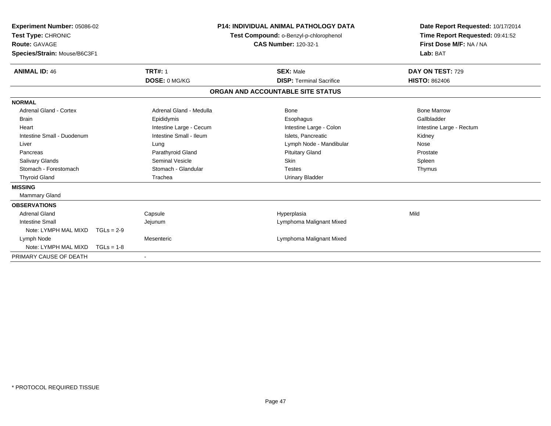| Experiment Number: 05086-02<br>Test Type: CHRONIC<br><b>Route: GAVAGE</b><br>Species/Strain: Mouse/B6C3F1 |              |                          | <b>P14: INDIVIDUAL ANIMAL PATHOLOGY DATA</b><br>Test Compound: o-Benzyl-p-chlorophenol<br><b>CAS Number: 120-32-1</b> |                                   | Date Report Requested: 10/17/2014<br>Time Report Requested: 09:41:52<br>First Dose M/F: NA / NA<br>Lab: BAT |
|-----------------------------------------------------------------------------------------------------------|--------------|--------------------------|-----------------------------------------------------------------------------------------------------------------------|-----------------------------------|-------------------------------------------------------------------------------------------------------------|
| <b>ANIMAL ID: 46</b>                                                                                      |              | <b>TRT#: 1</b>           |                                                                                                                       | <b>SEX: Male</b>                  | DAY ON TEST: 729                                                                                            |
|                                                                                                           |              | DOSE: 0 MG/KG            |                                                                                                                       | <b>DISP: Terminal Sacrifice</b>   | <b>HISTO: 862406</b>                                                                                        |
|                                                                                                           |              |                          |                                                                                                                       | ORGAN AND ACCOUNTABLE SITE STATUS |                                                                                                             |
| <b>NORMAL</b>                                                                                             |              |                          |                                                                                                                       |                                   |                                                                                                             |
| <b>Adrenal Gland - Cortex</b>                                                                             |              | Adrenal Gland - Medulla  |                                                                                                                       | Bone                              | <b>Bone Marrow</b>                                                                                          |
| <b>Brain</b>                                                                                              |              | Epididymis               |                                                                                                                       | Esophagus                         | Gallbladder                                                                                                 |
| Heart                                                                                                     |              | Intestine Large - Cecum  |                                                                                                                       | Intestine Large - Colon           | Intestine Large - Rectum                                                                                    |
| Intestine Small - Duodenum                                                                                |              | Intestine Small - Ileum  |                                                                                                                       | Islets, Pancreatic                | Kidney                                                                                                      |
| Liver                                                                                                     |              | Lung                     |                                                                                                                       | Lymph Node - Mandibular           | Nose                                                                                                        |
| Pancreas                                                                                                  |              | Parathyroid Gland        |                                                                                                                       | <b>Pituitary Gland</b>            | Prostate                                                                                                    |
| <b>Salivary Glands</b>                                                                                    |              | Seminal Vesicle          |                                                                                                                       | Skin                              | Spleen                                                                                                      |
| Stomach - Forestomach                                                                                     |              | Stomach - Glandular      |                                                                                                                       | <b>Testes</b>                     | Thymus                                                                                                      |
| <b>Thyroid Gland</b>                                                                                      |              | Trachea                  |                                                                                                                       | <b>Urinary Bladder</b>            |                                                                                                             |
| <b>MISSING</b>                                                                                            |              |                          |                                                                                                                       |                                   |                                                                                                             |
| Mammary Gland                                                                                             |              |                          |                                                                                                                       |                                   |                                                                                                             |
| <b>OBSERVATIONS</b>                                                                                       |              |                          |                                                                                                                       |                                   |                                                                                                             |
| <b>Adrenal Gland</b>                                                                                      |              | Capsule                  |                                                                                                                       | Hyperplasia                       | Mild                                                                                                        |
| <b>Intestine Small</b>                                                                                    |              | Jejunum                  |                                                                                                                       | Lymphoma Malignant Mixed          |                                                                                                             |
| Note: LYMPH MAL MIXD                                                                                      | $TGLs = 2-9$ |                          |                                                                                                                       |                                   |                                                                                                             |
| Lymph Node                                                                                                |              | Mesenteric               |                                                                                                                       | Lymphoma Malignant Mixed          |                                                                                                             |
| Note: LYMPH MAL MIXD                                                                                      | $TGLs = 1-8$ |                          |                                                                                                                       |                                   |                                                                                                             |
| PRIMARY CAUSE OF DEATH                                                                                    |              | $\overline{\phantom{a}}$ |                                                                                                                       |                                   |                                                                                                             |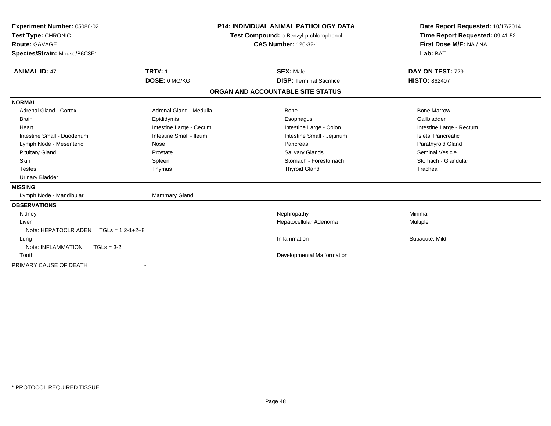| Experiment Number: 05086-02<br>Test Type: CHRONIC |                         | <b>P14: INDIVIDUAL ANIMAL PATHOLOGY DATA</b><br>Test Compound: o-Benzyl-p-chlorophenol |                                   | Date Report Requested: 10/17/2014<br>Time Report Requested: 09:41:52 |  |
|---------------------------------------------------|-------------------------|----------------------------------------------------------------------------------------|-----------------------------------|----------------------------------------------------------------------|--|
| Route: GAVAGE                                     |                         |                                                                                        | <b>CAS Number: 120-32-1</b>       | First Dose M/F: NA / NA                                              |  |
| Species/Strain: Mouse/B6C3F1                      |                         |                                                                                        |                                   | Lab: BAT                                                             |  |
| <b>ANIMAL ID: 47</b>                              | <b>TRT#: 1</b>          |                                                                                        | <b>SEX: Male</b>                  | DAY ON TEST: 729                                                     |  |
|                                                   | DOSE: 0 MG/KG           |                                                                                        | <b>DISP:</b> Terminal Sacrifice   | <b>HISTO: 862407</b>                                                 |  |
|                                                   |                         |                                                                                        | ORGAN AND ACCOUNTABLE SITE STATUS |                                                                      |  |
| <b>NORMAL</b>                                     |                         |                                                                                        |                                   |                                                                      |  |
| <b>Adrenal Gland - Cortex</b>                     | Adrenal Gland - Medulla |                                                                                        | Bone                              | <b>Bone Marrow</b>                                                   |  |
| Brain                                             | Epididymis              |                                                                                        | Esophagus                         | Gallbladder                                                          |  |
| Heart                                             | Intestine Large - Cecum |                                                                                        | Intestine Large - Colon           | Intestine Large - Rectum                                             |  |
| Intestine Small - Duodenum                        | Intestine Small - Ileum |                                                                                        | Intestine Small - Jejunum         | Islets, Pancreatic                                                   |  |
| Lymph Node - Mesenteric                           | Nose                    |                                                                                        | Pancreas                          | Parathyroid Gland                                                    |  |
| <b>Pituitary Gland</b>                            | Prostate                |                                                                                        | Salivary Glands                   | <b>Seminal Vesicle</b>                                               |  |
| <b>Skin</b>                                       | Spleen                  |                                                                                        | Stomach - Forestomach             | Stomach - Glandular                                                  |  |
| <b>Testes</b>                                     | Thymus                  |                                                                                        | <b>Thyroid Gland</b>              | Trachea                                                              |  |
| <b>Urinary Bladder</b>                            |                         |                                                                                        |                                   |                                                                      |  |
| <b>MISSING</b>                                    |                         |                                                                                        |                                   |                                                                      |  |
| Lymph Node - Mandibular                           | Mammary Gland           |                                                                                        |                                   |                                                                      |  |
| <b>OBSERVATIONS</b>                               |                         |                                                                                        |                                   |                                                                      |  |
| Kidney                                            |                         |                                                                                        | Nephropathy                       | Minimal                                                              |  |
| Liver                                             |                         |                                                                                        | Hepatocellular Adenoma            | Multiple                                                             |  |
| Note: HEPATOCLR ADEN<br>$TGLs = 1,2-1+2+8$        |                         |                                                                                        |                                   |                                                                      |  |
| Lung                                              |                         |                                                                                        | Inflammation                      | Subacute, Mild                                                       |  |
| Note: INFLAMMATION<br>$TGLs = 3-2$                |                         |                                                                                        |                                   |                                                                      |  |
| Tooth                                             |                         |                                                                                        | Developmental Malformation        |                                                                      |  |
| PRIMARY CAUSE OF DEATH                            |                         |                                                                                        |                                   |                                                                      |  |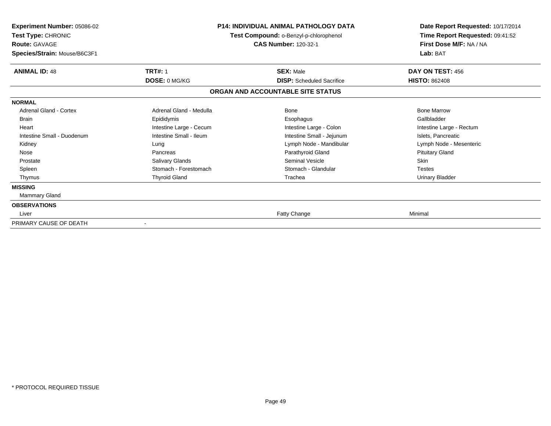| <b>Experiment Number: 05086-02</b><br>Test Type: CHRONIC<br><b>Route: GAVAGE</b><br>Species/Strain: Mouse/B6C3F1 |                         | <b>P14: INDIVIDUAL ANIMAL PATHOLOGY DATA</b><br>Test Compound: o-Benzyl-p-chlorophenol<br><b>CAS Number: 120-32-1</b> | Date Report Requested: 10/17/2014<br>Time Report Requested: 09:41:52<br>First Dose M/F: NA / NA<br>Lab: BAT |
|------------------------------------------------------------------------------------------------------------------|-------------------------|-----------------------------------------------------------------------------------------------------------------------|-------------------------------------------------------------------------------------------------------------|
| <b>ANIMAL ID: 48</b>                                                                                             | <b>TRT#: 1</b>          | <b>SEX: Male</b>                                                                                                      | DAY ON TEST: 456                                                                                            |
|                                                                                                                  | DOSE: 0 MG/KG           | <b>DISP:</b> Scheduled Sacrifice                                                                                      | <b>HISTO: 862408</b>                                                                                        |
|                                                                                                                  |                         | ORGAN AND ACCOUNTABLE SITE STATUS                                                                                     |                                                                                                             |
| <b>NORMAL</b>                                                                                                    |                         |                                                                                                                       |                                                                                                             |
| <b>Adrenal Gland - Cortex</b>                                                                                    | Adrenal Gland - Medulla | <b>Bone</b>                                                                                                           | <b>Bone Marrow</b>                                                                                          |
| <b>Brain</b>                                                                                                     | Epididymis              | Esophagus                                                                                                             | Gallbladder                                                                                                 |
| Heart                                                                                                            | Intestine Large - Cecum | Intestine Large - Colon                                                                                               | Intestine Large - Rectum                                                                                    |
| Intestine Small - Duodenum                                                                                       | Intestine Small - Ileum | Intestine Small - Jejunum                                                                                             | Islets, Pancreatic                                                                                          |
| Kidney                                                                                                           | Lung                    | Lymph Node - Mandibular                                                                                               | Lymph Node - Mesenteric                                                                                     |
| Nose                                                                                                             | Pancreas                | Parathyroid Gland                                                                                                     | <b>Pituitary Gland</b>                                                                                      |
| Prostate                                                                                                         | Salivary Glands         | <b>Seminal Vesicle</b>                                                                                                | Skin                                                                                                        |
| Spleen                                                                                                           | Stomach - Forestomach   | Stomach - Glandular                                                                                                   | <b>Testes</b>                                                                                               |
| Thymus                                                                                                           | <b>Thyroid Gland</b>    | Trachea                                                                                                               | <b>Urinary Bladder</b>                                                                                      |
| <b>MISSING</b>                                                                                                   |                         |                                                                                                                       |                                                                                                             |
| Mammary Gland                                                                                                    |                         |                                                                                                                       |                                                                                                             |
| <b>OBSERVATIONS</b>                                                                                              |                         |                                                                                                                       |                                                                                                             |
| Liver                                                                                                            |                         | Fatty Change                                                                                                          | Minimal                                                                                                     |
| PRIMARY CAUSE OF DEATH                                                                                           |                         |                                                                                                                       |                                                                                                             |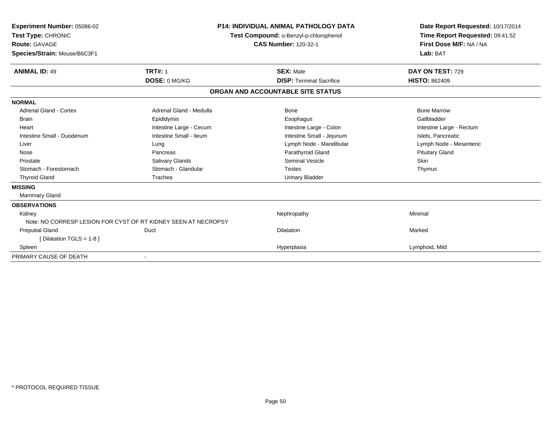| Experiment Number: 05086-02<br>Test Type: CHRONIC<br>Route: GAVAGE<br>Species/Strain: Mouse/B6C3F1 |                                                                | <b>P14: INDIVIDUAL ANIMAL PATHOLOGY DATA</b><br>Test Compound: o-Benzyl-p-chlorophenol<br><b>CAS Number: 120-32-1</b> | Date Report Requested: 10/17/2014<br>Time Report Requested: 09:41:52<br>First Dose M/F: NA / NA<br>Lab: BAT |
|----------------------------------------------------------------------------------------------------|----------------------------------------------------------------|-----------------------------------------------------------------------------------------------------------------------|-------------------------------------------------------------------------------------------------------------|
| <b>ANIMAL ID: 49</b>                                                                               | <b>TRT#: 1</b>                                                 | <b>SEX: Male</b>                                                                                                      | DAY ON TEST: 729                                                                                            |
|                                                                                                    | DOSE: 0 MG/KG                                                  | <b>DISP: Terminal Sacrifice</b>                                                                                       | <b>HISTO: 862409</b>                                                                                        |
|                                                                                                    |                                                                | ORGAN AND ACCOUNTABLE SITE STATUS                                                                                     |                                                                                                             |
| <b>NORMAL</b>                                                                                      |                                                                |                                                                                                                       |                                                                                                             |
| <b>Adrenal Gland - Cortex</b>                                                                      | Adrenal Gland - Medulla                                        | Bone                                                                                                                  | <b>Bone Marrow</b>                                                                                          |
| <b>Brain</b>                                                                                       | Epididymis                                                     | Esophagus                                                                                                             | Gallbladder                                                                                                 |
| Heart                                                                                              | Intestine Large - Cecum                                        | Intestine Large - Colon                                                                                               | Intestine Large - Rectum                                                                                    |
| Intestine Small - Duodenum                                                                         | Intestine Small - Ileum                                        | Intestine Small - Jejunum                                                                                             | Islets, Pancreatic                                                                                          |
| Liver                                                                                              | Lung                                                           | Lymph Node - Mandibular                                                                                               | Lymph Node - Mesenteric                                                                                     |
| Nose                                                                                               | Pancreas                                                       | Parathyroid Gland                                                                                                     | <b>Pituitary Gland</b>                                                                                      |
| Prostate                                                                                           | Salivary Glands                                                | <b>Seminal Vesicle</b>                                                                                                | <b>Skin</b>                                                                                                 |
| Stomach - Forestomach                                                                              | Stomach - Glandular                                            | <b>Testes</b>                                                                                                         | Thymus                                                                                                      |
| <b>Thyroid Gland</b>                                                                               | Trachea                                                        | <b>Urinary Bladder</b>                                                                                                |                                                                                                             |
| <b>MISSING</b>                                                                                     |                                                                |                                                                                                                       |                                                                                                             |
| <b>Mammary Gland</b>                                                                               |                                                                |                                                                                                                       |                                                                                                             |
| <b>OBSERVATIONS</b>                                                                                |                                                                |                                                                                                                       |                                                                                                             |
| Kidney                                                                                             |                                                                | Nephropathy                                                                                                           | Minimal                                                                                                     |
|                                                                                                    | Note: NO CORRESP LESION FOR CYST OF RT KIDNEY SEEN AT NECROPSY |                                                                                                                       |                                                                                                             |
| <b>Preputial Gland</b>                                                                             | Duct                                                           | <b>Dilatation</b>                                                                                                     | Marked                                                                                                      |
| [Dilatation TGLS = 1-8]                                                                            |                                                                |                                                                                                                       |                                                                                                             |
| Spleen                                                                                             |                                                                | Hyperplasia                                                                                                           | Lymphoid, Mild                                                                                              |
| PRIMARY CAUSE OF DEATH                                                                             |                                                                |                                                                                                                       |                                                                                                             |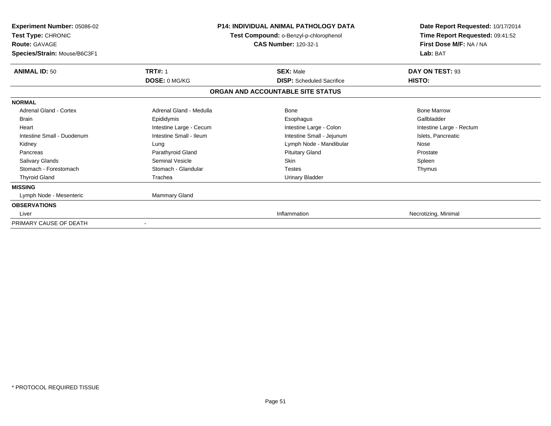| Experiment Number: 05086-02<br>Test Type: CHRONIC<br><b>Route: GAVAGE</b><br>Species/Strain: Mouse/B6C3F1 | <b>P14: INDIVIDUAL ANIMAL PATHOLOGY DATA</b><br>Test Compound: o-Benzyl-p-chlorophenol<br><b>CAS Number: 120-32-1</b> |                                   | Date Report Requested: 10/17/2014<br>Time Report Requested: 09:41:52<br>First Dose M/F: NA / NA<br>Lab: BAT |
|-----------------------------------------------------------------------------------------------------------|-----------------------------------------------------------------------------------------------------------------------|-----------------------------------|-------------------------------------------------------------------------------------------------------------|
| <b>ANIMAL ID: 50</b>                                                                                      | <b>TRT#: 1</b>                                                                                                        | <b>SEX: Male</b>                  | DAY ON TEST: 93                                                                                             |
|                                                                                                           | DOSE: 0 MG/KG                                                                                                         | <b>DISP:</b> Scheduled Sacrifice  | HISTO:                                                                                                      |
|                                                                                                           |                                                                                                                       | ORGAN AND ACCOUNTABLE SITE STATUS |                                                                                                             |
| <b>NORMAL</b>                                                                                             |                                                                                                                       |                                   |                                                                                                             |
| <b>Adrenal Gland - Cortex</b>                                                                             | Adrenal Gland - Medulla                                                                                               | <b>Bone</b>                       | <b>Bone Marrow</b>                                                                                          |
| <b>Brain</b>                                                                                              | Epididymis                                                                                                            | Esophagus                         | Gallbladder                                                                                                 |
| Heart                                                                                                     | Intestine Large - Cecum                                                                                               | Intestine Large - Colon           | Intestine Large - Rectum                                                                                    |
| Intestine Small - Duodenum                                                                                | Intestine Small - Ileum                                                                                               | Intestine Small - Jejunum         | Islets, Pancreatic                                                                                          |
| Kidney                                                                                                    | Lung                                                                                                                  | Lymph Node - Mandibular           | Nose                                                                                                        |
| Pancreas                                                                                                  | Parathyroid Gland                                                                                                     | <b>Pituitary Gland</b>            | Prostate                                                                                                    |
| Salivary Glands                                                                                           | <b>Seminal Vesicle</b>                                                                                                | <b>Skin</b>                       | Spleen                                                                                                      |
| Stomach - Forestomach                                                                                     | Stomach - Glandular                                                                                                   | <b>Testes</b>                     | Thymus                                                                                                      |
| <b>Thyroid Gland</b>                                                                                      | Trachea                                                                                                               | <b>Urinary Bladder</b>            |                                                                                                             |
| <b>MISSING</b>                                                                                            |                                                                                                                       |                                   |                                                                                                             |
| Lymph Node - Mesenteric                                                                                   | Mammary Gland                                                                                                         |                                   |                                                                                                             |
| <b>OBSERVATIONS</b>                                                                                       |                                                                                                                       |                                   |                                                                                                             |
| Liver                                                                                                     |                                                                                                                       | Inflammation                      | Necrotizing, Minimal                                                                                        |
| PRIMARY CAUSE OF DEATH                                                                                    |                                                                                                                       |                                   |                                                                                                             |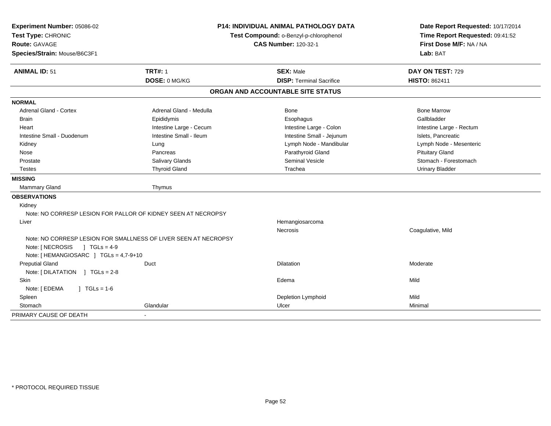| Experiment Number: 05086-02<br>Test Type: CHRONIC<br>Route: GAVAGE<br>Species/Strain: Mouse/B6C3F1 | <b>P14: INDIVIDUAL ANIMAL PATHOLOGY DATA</b><br>Test Compound: o-Benzyl-p-chlorophenol<br><b>CAS Number: 120-32-1</b> |                                   | Date Report Requested: 10/17/2014<br>Time Report Requested: 09:41:52<br>First Dose M/F: NA / NA<br>Lab: BAT |  |
|----------------------------------------------------------------------------------------------------|-----------------------------------------------------------------------------------------------------------------------|-----------------------------------|-------------------------------------------------------------------------------------------------------------|--|
| <b>ANIMAL ID: 51</b>                                                                               | <b>TRT#: 1</b>                                                                                                        | <b>SEX: Male</b>                  | DAY ON TEST: 729                                                                                            |  |
|                                                                                                    | DOSE: 0 MG/KG                                                                                                         | <b>DISP: Terminal Sacrifice</b>   | <b>HISTO: 862411</b>                                                                                        |  |
|                                                                                                    |                                                                                                                       | ORGAN AND ACCOUNTABLE SITE STATUS |                                                                                                             |  |
| <b>NORMAL</b>                                                                                      |                                                                                                                       |                                   |                                                                                                             |  |
| Adrenal Gland - Cortex                                                                             | Adrenal Gland - Medulla                                                                                               | Bone                              | <b>Bone Marrow</b>                                                                                          |  |
| <b>Brain</b>                                                                                       | Epididymis                                                                                                            | Esophagus                         | Gallbladder                                                                                                 |  |
| Heart                                                                                              | Intestine Large - Cecum                                                                                               | Intestine Large - Colon           | Intestine Large - Rectum                                                                                    |  |
| Intestine Small - Duodenum                                                                         | Intestine Small - Ileum                                                                                               | Intestine Small - Jejunum         | Islets, Pancreatic                                                                                          |  |
| Kidney                                                                                             | Lung                                                                                                                  | Lymph Node - Mandibular           | Lymph Node - Mesenteric                                                                                     |  |
| Nose                                                                                               | Pancreas                                                                                                              | Parathyroid Gland                 | <b>Pituitary Gland</b>                                                                                      |  |
| Prostate                                                                                           | Salivary Glands                                                                                                       | Seminal Vesicle                   | Stomach - Forestomach                                                                                       |  |
| <b>Testes</b>                                                                                      | <b>Thyroid Gland</b>                                                                                                  | Trachea                           | <b>Urinary Bladder</b>                                                                                      |  |
| <b>MISSING</b>                                                                                     |                                                                                                                       |                                   |                                                                                                             |  |
| Mammary Gland                                                                                      | Thymus                                                                                                                |                                   |                                                                                                             |  |
| <b>OBSERVATIONS</b>                                                                                |                                                                                                                       |                                   |                                                                                                             |  |
| Kidney                                                                                             |                                                                                                                       |                                   |                                                                                                             |  |
|                                                                                                    | Note: NO CORRESP LESION FOR PALLOR OF KIDNEY SEEN AT NECROPSY                                                         |                                   |                                                                                                             |  |
| Liver                                                                                              |                                                                                                                       | Hemangiosarcoma                   |                                                                                                             |  |
|                                                                                                    |                                                                                                                       | Necrosis                          | Coagulative, Mild                                                                                           |  |
|                                                                                                    | Note: NO CORRESP LESION FOR SMALLNESS OF LIVER SEEN AT NECROPSY                                                       |                                   |                                                                                                             |  |
| Note: [ NECROSIS<br>] $TGLs = 4-9$                                                                 |                                                                                                                       |                                   |                                                                                                             |  |
| Note: [HEMANGIOSARC ] TGLs = 4,7-9+10                                                              |                                                                                                                       |                                   |                                                                                                             |  |
| <b>Preputial Gland</b>                                                                             | Duct                                                                                                                  | Dilatation                        | Moderate                                                                                                    |  |
| Note: [DILATATION ] TGLs = 2-8                                                                     |                                                                                                                       |                                   |                                                                                                             |  |
| Skin                                                                                               |                                                                                                                       | Edema                             | Mild                                                                                                        |  |
| Note: [ EDEMA<br>$J \cdot TGLS = 1-6$                                                              |                                                                                                                       |                                   |                                                                                                             |  |
| Spleen                                                                                             |                                                                                                                       | Depletion Lymphoid                | Mild                                                                                                        |  |
| Stomach                                                                                            | Glandular                                                                                                             | Ulcer                             | Minimal                                                                                                     |  |
| PRIMARY CAUSE OF DEATH                                                                             |                                                                                                                       |                                   |                                                                                                             |  |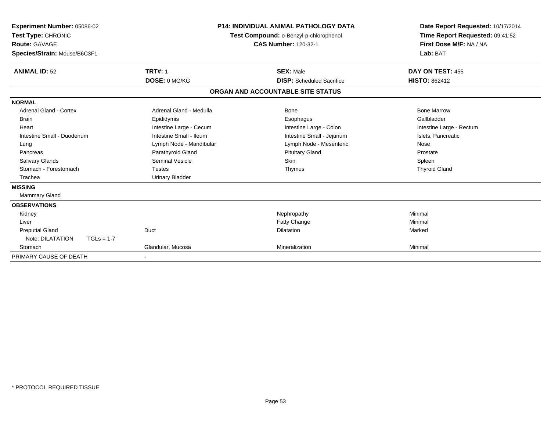| Experiment Number: 05086-02<br>Test Type: CHRONIC<br>Route: GAVAGE<br>Species/Strain: Mouse/B6C3F1 |                         | <b>P14: INDIVIDUAL ANIMAL PATHOLOGY DATA</b><br>Test Compound: o-Benzyl-p-chlorophenol<br><b>CAS Number: 120-32-1</b> | Date Report Requested: 10/17/2014<br>Time Report Requested: 09:41:52<br>First Dose M/F: NA / NA<br>Lab: BAT |
|----------------------------------------------------------------------------------------------------|-------------------------|-----------------------------------------------------------------------------------------------------------------------|-------------------------------------------------------------------------------------------------------------|
| <b>ANIMAL ID: 52</b>                                                                               | <b>TRT#: 1</b>          | <b>SEX: Male</b>                                                                                                      | DAY ON TEST: 455                                                                                            |
|                                                                                                    | DOSE: 0 MG/KG           | <b>DISP:</b> Scheduled Sacrifice                                                                                      | <b>HISTO: 862412</b>                                                                                        |
|                                                                                                    |                         | ORGAN AND ACCOUNTABLE SITE STATUS                                                                                     |                                                                                                             |
| <b>NORMAL</b>                                                                                      |                         |                                                                                                                       |                                                                                                             |
| <b>Adrenal Gland - Cortex</b>                                                                      | Adrenal Gland - Medulla | <b>Bone</b>                                                                                                           | <b>Bone Marrow</b>                                                                                          |
| <b>Brain</b>                                                                                       | Epididymis              | Esophagus                                                                                                             | Gallbladder                                                                                                 |
| Heart                                                                                              | Intestine Large - Cecum | Intestine Large - Colon                                                                                               | Intestine Large - Rectum                                                                                    |
| Intestine Small - Duodenum                                                                         | Intestine Small - Ileum | Intestine Small - Jejunum                                                                                             | Islets, Pancreatic                                                                                          |
| Lung                                                                                               | Lymph Node - Mandibular | Lymph Node - Mesenteric                                                                                               | Nose                                                                                                        |
| Pancreas                                                                                           | Parathyroid Gland       | <b>Pituitary Gland</b>                                                                                                | Prostate                                                                                                    |
| Salivary Glands                                                                                    | <b>Seminal Vesicle</b>  | Skin                                                                                                                  | Spleen                                                                                                      |
| Stomach - Forestomach                                                                              | <b>Testes</b>           | Thymus                                                                                                                | <b>Thyroid Gland</b>                                                                                        |
| Trachea                                                                                            | <b>Urinary Bladder</b>  |                                                                                                                       |                                                                                                             |
| <b>MISSING</b>                                                                                     |                         |                                                                                                                       |                                                                                                             |
| <b>Mammary Gland</b>                                                                               |                         |                                                                                                                       |                                                                                                             |
| <b>OBSERVATIONS</b>                                                                                |                         |                                                                                                                       |                                                                                                             |
| Kidney                                                                                             |                         | Nephropathy                                                                                                           | Minimal                                                                                                     |
| Liver                                                                                              |                         | Fatty Change                                                                                                          | Minimal                                                                                                     |
| <b>Preputial Gland</b>                                                                             | Duct                    | <b>Dilatation</b>                                                                                                     | Marked                                                                                                      |
| Note: DILATATION<br>$TGLs = 1-7$                                                                   |                         |                                                                                                                       |                                                                                                             |
| Stomach                                                                                            | Glandular, Mucosa       | Mineralization                                                                                                        | Minimal                                                                                                     |
| PRIMARY CAUSE OF DEATH                                                                             |                         |                                                                                                                       |                                                                                                             |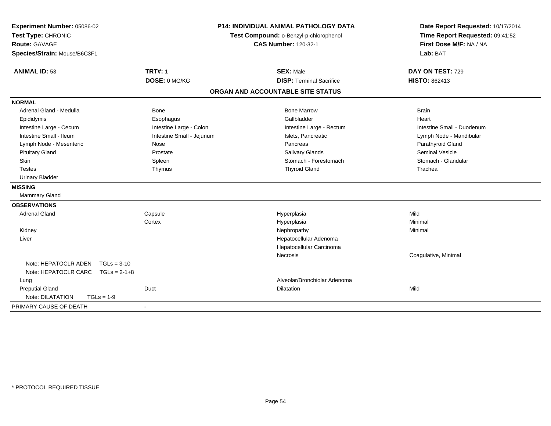| Experiment Number: 05086-02<br>Test Type: CHRONIC<br><b>Route: GAVAGE</b><br>Species/Strain: Mouse/B6C3F1 | <b>P14: INDIVIDUAL ANIMAL PATHOLOGY DATA</b><br>Test Compound: o-Benzyl-p-chlorophenol<br><b>CAS Number: 120-32-1</b> |                                   | Date Report Requested: 10/17/2014<br>Time Report Requested: 09:41:52<br>First Dose M/F: NA / NA<br>Lab: BAT |
|-----------------------------------------------------------------------------------------------------------|-----------------------------------------------------------------------------------------------------------------------|-----------------------------------|-------------------------------------------------------------------------------------------------------------|
| <b>ANIMAL ID: 53</b>                                                                                      | <b>TRT#: 1</b>                                                                                                        | <b>SEX: Male</b>                  | DAY ON TEST: 729                                                                                            |
|                                                                                                           | DOSE: 0 MG/KG                                                                                                         | <b>DISP: Terminal Sacrifice</b>   | HISTO: 862413                                                                                               |
|                                                                                                           |                                                                                                                       | ORGAN AND ACCOUNTABLE SITE STATUS |                                                                                                             |
| <b>NORMAL</b>                                                                                             |                                                                                                                       |                                   |                                                                                                             |
| Adrenal Gland - Medulla                                                                                   | <b>Bone</b>                                                                                                           | <b>Bone Marrow</b>                | <b>Brain</b>                                                                                                |
| Epididymis                                                                                                | Esophagus                                                                                                             | Gallbladder                       | Heart                                                                                                       |
| Intestine Large - Cecum                                                                                   | Intestine Large - Colon                                                                                               | Intestine Large - Rectum          | Intestine Small - Duodenum                                                                                  |
| Intestine Small - Ileum                                                                                   | Intestine Small - Jejunum                                                                                             | Islets, Pancreatic                | Lymph Node - Mandibular                                                                                     |
| Lymph Node - Mesenteric                                                                                   | Nose                                                                                                                  | Pancreas                          | Parathyroid Gland                                                                                           |
| <b>Pituitary Gland</b>                                                                                    | Prostate                                                                                                              | Salivary Glands                   | <b>Seminal Vesicle</b>                                                                                      |
| Skin                                                                                                      | Spleen                                                                                                                | Stomach - Forestomach             | Stomach - Glandular                                                                                         |
| <b>Testes</b>                                                                                             | Thymus                                                                                                                | <b>Thyroid Gland</b>              | Trachea                                                                                                     |
| <b>Urinary Bladder</b>                                                                                    |                                                                                                                       |                                   |                                                                                                             |
| <b>MISSING</b>                                                                                            |                                                                                                                       |                                   |                                                                                                             |
| <b>Mammary Gland</b>                                                                                      |                                                                                                                       |                                   |                                                                                                             |
| <b>OBSERVATIONS</b>                                                                                       |                                                                                                                       |                                   |                                                                                                             |
| <b>Adrenal Gland</b>                                                                                      | Capsule                                                                                                               | Hyperplasia                       | Mild                                                                                                        |
|                                                                                                           | Cortex                                                                                                                | Hyperplasia                       | Minimal                                                                                                     |
| Kidney                                                                                                    |                                                                                                                       | Nephropathy                       | Minimal                                                                                                     |
| Liver                                                                                                     |                                                                                                                       | Hepatocellular Adenoma            |                                                                                                             |
|                                                                                                           |                                                                                                                       | Hepatocellular Carcinoma          |                                                                                                             |
|                                                                                                           |                                                                                                                       | Necrosis                          | Coagulative, Minimal                                                                                        |
| Note: HEPATOCLR ADEN<br>$TGLs = 3-10$                                                                     |                                                                                                                       |                                   |                                                                                                             |
| Note: HEPATOCLR CARC TGLs = 2-1+8                                                                         |                                                                                                                       |                                   |                                                                                                             |
| Lung                                                                                                      |                                                                                                                       | Alveolar/Bronchiolar Adenoma      |                                                                                                             |
| <b>Preputial Gland</b>                                                                                    | Duct                                                                                                                  | <b>Dilatation</b>                 | Mild                                                                                                        |
| Note: DILATATION<br>$TGLs = 1-9$                                                                          |                                                                                                                       |                                   |                                                                                                             |
| PRIMARY CAUSE OF DEATH                                                                                    |                                                                                                                       |                                   |                                                                                                             |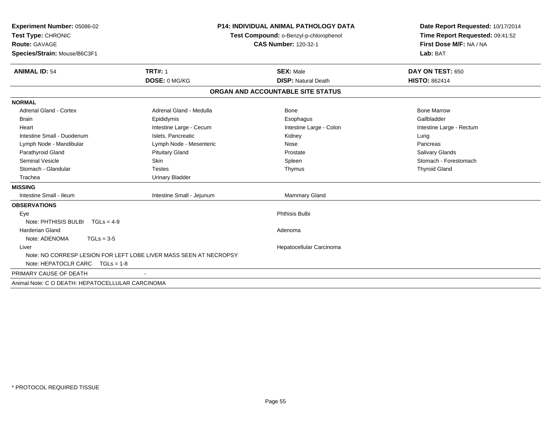| Experiment Number: 05086-02                                       |                                        | <b>P14: INDIVIDUAL ANIMAL PATHOLOGY DATA</b> | Date Report Requested: 10/17/2014<br>Time Report Requested: 09:41:52 |
|-------------------------------------------------------------------|----------------------------------------|----------------------------------------------|----------------------------------------------------------------------|
| Test Type: CHRONIC                                                | Test Compound: o-Benzyl-p-chlorophenol |                                              |                                                                      |
| <b>Route: GAVAGE</b>                                              |                                        | <b>CAS Number: 120-32-1</b>                  | First Dose M/F: NA / NA                                              |
| Species/Strain: Mouse/B6C3F1                                      |                                        |                                              | Lab: BAT                                                             |
|                                                                   |                                        |                                              |                                                                      |
| <b>ANIMAL ID: 54</b>                                              | <b>TRT#: 1</b>                         | <b>SEX: Male</b>                             | DAY ON TEST: 650                                                     |
|                                                                   | DOSE: 0 MG/KG                          | <b>DISP: Natural Death</b>                   | <b>HISTO: 862414</b>                                                 |
|                                                                   |                                        | ORGAN AND ACCOUNTABLE SITE STATUS            |                                                                      |
| <b>NORMAL</b>                                                     |                                        |                                              |                                                                      |
| <b>Adrenal Gland - Cortex</b>                                     | Adrenal Gland - Medulla                | Bone                                         | <b>Bone Marrow</b>                                                   |
| <b>Brain</b>                                                      | Epididymis                             | Esophagus                                    | Gallbladder                                                          |
| Heart                                                             | Intestine Large - Cecum                | Intestine Large - Colon                      | Intestine Large - Rectum                                             |
| Intestine Small - Duodenum                                        | Islets, Pancreatic                     | Kidney                                       | Lung                                                                 |
| Lymph Node - Mandibular                                           | Lymph Node - Mesenteric                | Nose                                         | Pancreas                                                             |
| Parathyroid Gland                                                 | <b>Pituitary Gland</b>                 | Prostate                                     | Salivary Glands                                                      |
| <b>Seminal Vesicle</b>                                            | Skin                                   | Spleen                                       | Stomach - Forestomach                                                |
| Stomach - Glandular                                               | <b>Testes</b>                          | Thymus                                       | <b>Thyroid Gland</b>                                                 |
| Trachea                                                           | <b>Urinary Bladder</b>                 |                                              |                                                                      |
| <b>MISSING</b>                                                    |                                        |                                              |                                                                      |
| Intestine Small - Ileum                                           | Intestine Small - Jejunum              | <b>Mammary Gland</b>                         |                                                                      |
| <b>OBSERVATIONS</b>                                               |                                        |                                              |                                                                      |
| Eye                                                               |                                        | <b>Phthisis Bulbi</b>                        |                                                                      |
| Note: PHTHISIS BULBI<br>$TGLs = 4-9$                              |                                        |                                              |                                                                      |
| <b>Harderian Gland</b>                                            |                                        | Adenoma                                      |                                                                      |
| Note: ADENOMA<br>$TGLs = 3-5$                                     |                                        |                                              |                                                                      |
| Liver                                                             |                                        | Hepatocellular Carcinoma                     |                                                                      |
| Note: NO CORRESP LESION FOR LEFT LOBE LIVER MASS SEEN AT NECROPSY |                                        |                                              |                                                                      |
| Note: HEPATOCLR CARC $TGLs = 1-8$                                 |                                        |                                              |                                                                      |
| PRIMARY CAUSE OF DEATH                                            |                                        |                                              |                                                                      |
| Animal Note: C O DEATH: HEPATOCELLULAR CARCINOMA                  |                                        |                                              |                                                                      |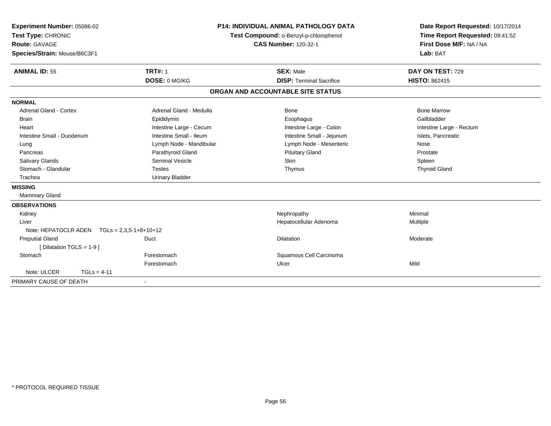| Experiment Number: 05086-02                   |                                        | <b>P14: INDIVIDUAL ANIMAL PATHOLOGY DATA</b> | Date Report Requested: 10/17/2014 |
|-----------------------------------------------|----------------------------------------|----------------------------------------------|-----------------------------------|
| Test Type: CHRONIC                            | Test Compound: o-Benzyl-p-chlorophenol |                                              | Time Report Requested: 09:41:52   |
| Route: GAVAGE                                 |                                        | <b>CAS Number: 120-32-1</b>                  | First Dose M/F: NA / NA           |
| Species/Strain: Mouse/B6C3F1                  |                                        |                                              | Lab: BAT                          |
| <b>ANIMAL ID: 55</b>                          | <b>TRT#: 1</b>                         | <b>SEX: Male</b>                             | DAY ON TEST: 729                  |
|                                               | DOSE: 0 MG/KG                          | <b>DISP: Terminal Sacrifice</b>              | <b>HISTO: 862415</b>              |
|                                               |                                        | ORGAN AND ACCOUNTABLE SITE STATUS            |                                   |
| <b>NORMAL</b>                                 |                                        |                                              |                                   |
| Adrenal Gland - Cortex                        | Adrenal Gland - Medulla                | Bone                                         | <b>Bone Marrow</b>                |
| <b>Brain</b>                                  | Epididymis                             | Esophagus                                    | Gallbladder                       |
| Heart                                         | Intestine Large - Cecum                | Intestine Large - Colon                      | Intestine Large - Rectum          |
| Intestine Small - Duodenum                    | Intestine Small - Ileum                | Intestine Small - Jejunum                    | Islets, Pancreatic                |
| Lung                                          | Lymph Node - Mandibular                | Lymph Node - Mesenteric                      | Nose                              |
| Pancreas                                      | Parathyroid Gland                      | <b>Pituitary Gland</b>                       | Prostate                          |
| <b>Salivary Glands</b>                        | <b>Seminal Vesicle</b>                 | Skin                                         | Spleen                            |
| Stomach - Glandular                           | <b>Testes</b>                          | Thymus                                       | <b>Thyroid Gland</b>              |
| Trachea                                       | <b>Urinary Bladder</b>                 |                                              |                                   |
| <b>MISSING</b>                                |                                        |                                              |                                   |
| Mammary Gland                                 |                                        |                                              |                                   |
| <b>OBSERVATIONS</b>                           |                                        |                                              |                                   |
| Kidney                                        |                                        | Nephropathy                                  | Minimal                           |
| Liver                                         |                                        | Hepatocellular Adenoma                       | Multiple                          |
| Note: HEPATOCLR ADEN $TGLs = 2,3,5-1+8+10+12$ |                                        |                                              |                                   |
| <b>Preputial Gland</b>                        | Duct                                   | <b>Dilatation</b>                            | Moderate                          |
| [ Dilatation TGLS = 1-9 ]                     |                                        |                                              |                                   |
| Stomach                                       | Forestomach                            | Squamous Cell Carcinoma                      |                                   |
|                                               | Forestomach                            | Ulcer                                        | Mild                              |
| Note: ULCER<br>$TGLs = 4-11$                  |                                        |                                              |                                   |
| PRIMARY CAUSE OF DEATH                        |                                        |                                              |                                   |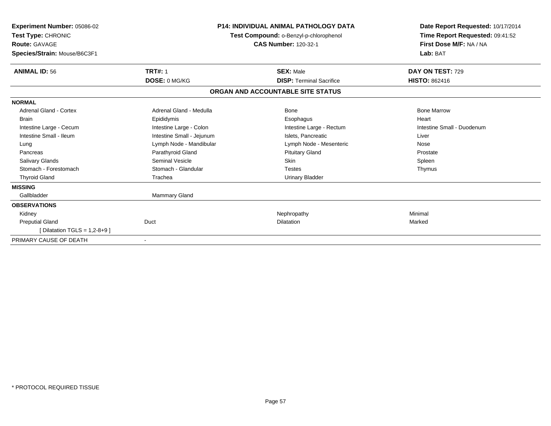| Experiment Number: 05086-02<br><b>Test Type: CHRONIC</b><br><b>Route: GAVAGE</b><br>Species/Strain: Mouse/B6C3F1 | <b>P14: INDIVIDUAL ANIMAL PATHOLOGY DATA</b><br>Test Compound: o-Benzyl-p-chlorophenol<br><b>CAS Number: 120-32-1</b> |                                   | Date Report Requested: 10/17/2014<br>Time Report Requested: 09:41:52<br>First Dose M/F: NA / NA<br>Lab: BAT |
|------------------------------------------------------------------------------------------------------------------|-----------------------------------------------------------------------------------------------------------------------|-----------------------------------|-------------------------------------------------------------------------------------------------------------|
| <b>ANIMAL ID: 56</b>                                                                                             | <b>TRT#: 1</b>                                                                                                        | <b>SEX: Male</b>                  | DAY ON TEST: 729                                                                                            |
|                                                                                                                  | DOSE: 0 MG/KG                                                                                                         | <b>DISP: Terminal Sacrifice</b>   | <b>HISTO: 862416</b>                                                                                        |
|                                                                                                                  |                                                                                                                       | ORGAN AND ACCOUNTABLE SITE STATUS |                                                                                                             |
| <b>NORMAL</b>                                                                                                    |                                                                                                                       |                                   |                                                                                                             |
| <b>Adrenal Gland - Cortex</b>                                                                                    | Adrenal Gland - Medulla                                                                                               | <b>Bone</b>                       | <b>Bone Marrow</b>                                                                                          |
| Brain                                                                                                            | Epididymis                                                                                                            | Esophagus                         | Heart                                                                                                       |
| Intestine Large - Cecum                                                                                          | Intestine Large - Colon                                                                                               | Intestine Large - Rectum          | Intestine Small - Duodenum                                                                                  |
| Intestine Small - Ileum                                                                                          | Intestine Small - Jejunum                                                                                             | Islets, Pancreatic                | Liver                                                                                                       |
| Lung                                                                                                             | Lymph Node - Mandibular                                                                                               | Lymph Node - Mesenteric           | Nose                                                                                                        |
| Pancreas                                                                                                         | Parathyroid Gland                                                                                                     | <b>Pituitary Gland</b>            | Prostate                                                                                                    |
| <b>Salivary Glands</b>                                                                                           | Seminal Vesicle                                                                                                       | Skin                              | Spleen                                                                                                      |
| Stomach - Forestomach                                                                                            | Stomach - Glandular                                                                                                   | <b>Testes</b>                     | Thymus                                                                                                      |
| <b>Thyroid Gland</b>                                                                                             | Trachea                                                                                                               | <b>Urinary Bladder</b>            |                                                                                                             |
| <b>MISSING</b>                                                                                                   |                                                                                                                       |                                   |                                                                                                             |
| Gallbladder                                                                                                      | <b>Mammary Gland</b>                                                                                                  |                                   |                                                                                                             |
| <b>OBSERVATIONS</b>                                                                                              |                                                                                                                       |                                   |                                                                                                             |
| Kidney                                                                                                           |                                                                                                                       | Nephropathy                       | Minimal                                                                                                     |
| <b>Preputial Gland</b>                                                                                           | Duct                                                                                                                  | <b>Dilatation</b>                 | Marked                                                                                                      |
| [ Dilatation TGLS = $1,2-8+9$ ]                                                                                  |                                                                                                                       |                                   |                                                                                                             |
| PRIMARY CAUSE OF DEATH                                                                                           |                                                                                                                       |                                   |                                                                                                             |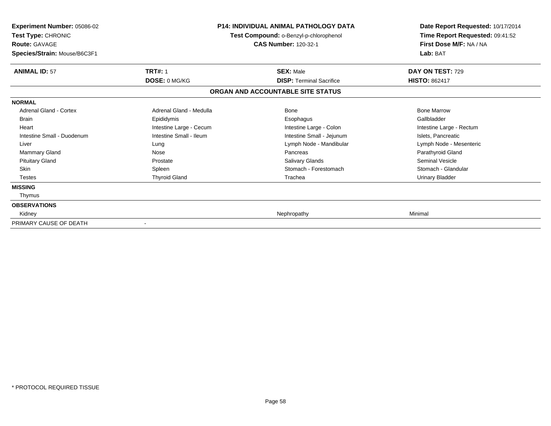| Experiment Number: 05086-02<br>Test Type: CHRONIC<br><b>Route: GAVAGE</b><br>Species/Strain: Mouse/B6C3F1 | <b>P14: INDIVIDUAL ANIMAL PATHOLOGY DATA</b><br>Test Compound: o-Benzyl-p-chlorophenol<br><b>CAS Number: 120-32-1</b> |                                   | Date Report Requested: 10/17/2014<br>Time Report Requested: 09:41:52<br>First Dose M/F: NA / NA<br>Lab: BAT |
|-----------------------------------------------------------------------------------------------------------|-----------------------------------------------------------------------------------------------------------------------|-----------------------------------|-------------------------------------------------------------------------------------------------------------|
| <b>ANIMAL ID: 57</b>                                                                                      | <b>TRT#: 1</b>                                                                                                        | <b>SEX: Male</b>                  | DAY ON TEST: 729                                                                                            |
|                                                                                                           | DOSE: 0 MG/KG                                                                                                         | <b>DISP: Terminal Sacrifice</b>   | <b>HISTO: 862417</b>                                                                                        |
|                                                                                                           |                                                                                                                       | ORGAN AND ACCOUNTABLE SITE STATUS |                                                                                                             |
| <b>NORMAL</b>                                                                                             |                                                                                                                       |                                   |                                                                                                             |
| Adrenal Gland - Cortex                                                                                    | Adrenal Gland - Medulla                                                                                               | <b>Bone</b>                       | <b>Bone Marrow</b>                                                                                          |
| Brain                                                                                                     | Epididymis                                                                                                            | Esophagus                         | Gallbladder                                                                                                 |
| Heart                                                                                                     | Intestine Large - Cecum                                                                                               | Intestine Large - Colon           | Intestine Large - Rectum                                                                                    |
| Intestine Small - Duodenum                                                                                | Intestine Small - Ileum                                                                                               | Intestine Small - Jejunum         | Islets, Pancreatic                                                                                          |
| Liver                                                                                                     | Lung                                                                                                                  | Lymph Node - Mandibular           | Lymph Node - Mesenteric                                                                                     |
| Mammary Gland                                                                                             | Nose                                                                                                                  | Pancreas                          | Parathyroid Gland                                                                                           |
| <b>Pituitary Gland</b>                                                                                    | Prostate                                                                                                              | Salivary Glands                   | <b>Seminal Vesicle</b>                                                                                      |
| <b>Skin</b>                                                                                               | Spleen                                                                                                                | Stomach - Forestomach             | Stomach - Glandular                                                                                         |
| <b>Testes</b>                                                                                             | <b>Thyroid Gland</b>                                                                                                  | Trachea                           | <b>Urinary Bladder</b>                                                                                      |
| <b>MISSING</b>                                                                                            |                                                                                                                       |                                   |                                                                                                             |
| Thymus                                                                                                    |                                                                                                                       |                                   |                                                                                                             |
| <b>OBSERVATIONS</b>                                                                                       |                                                                                                                       |                                   |                                                                                                             |
| Kidney                                                                                                    |                                                                                                                       | Nephropathy                       | Minimal                                                                                                     |
| PRIMARY CAUSE OF DEATH                                                                                    | $\overline{\phantom{a}}$                                                                                              |                                   |                                                                                                             |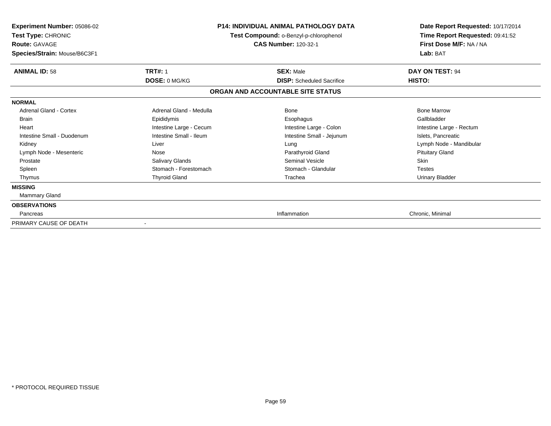| <b>Experiment Number: 05086-02</b><br>Test Type: CHRONIC<br><b>Route: GAVAGE</b><br>Species/Strain: Mouse/B6C3F1 |                         | P14: INDIVIDUAL ANIMAL PATHOLOGY DATA<br>Test Compound: o-Benzyl-p-chlorophenol<br><b>CAS Number: 120-32-1</b> | Date Report Requested: 10/17/2014<br>Time Report Requested: 09:41:52<br>First Dose M/F: NA / NA<br>Lab: BAT |
|------------------------------------------------------------------------------------------------------------------|-------------------------|----------------------------------------------------------------------------------------------------------------|-------------------------------------------------------------------------------------------------------------|
| <b>ANIMAL ID: 58</b>                                                                                             | <b>TRT#: 1</b>          | <b>SEX: Male</b>                                                                                               | DAY ON TEST: 94                                                                                             |
|                                                                                                                  | DOSE: 0 MG/KG           | <b>DISP:</b> Scheduled Sacrifice                                                                               | HISTO:                                                                                                      |
|                                                                                                                  |                         | ORGAN AND ACCOUNTABLE SITE STATUS                                                                              |                                                                                                             |
| <b>NORMAL</b>                                                                                                    |                         |                                                                                                                |                                                                                                             |
| <b>Adrenal Gland - Cortex</b>                                                                                    | Adrenal Gland - Medulla | <b>Bone</b>                                                                                                    | <b>Bone Marrow</b>                                                                                          |
| <b>Brain</b>                                                                                                     | Epididymis              | Esophagus                                                                                                      | Gallbladder                                                                                                 |
| Heart                                                                                                            | Intestine Large - Cecum | Intestine Large - Colon                                                                                        | Intestine Large - Rectum                                                                                    |
| Intestine Small - Duodenum                                                                                       | Intestine Small - Ileum | Intestine Small - Jejunum                                                                                      | Islets, Pancreatic                                                                                          |
| Kidney                                                                                                           | Liver                   | Lung                                                                                                           | Lymph Node - Mandibular                                                                                     |
| Lymph Node - Mesenteric                                                                                          | Nose                    | Parathyroid Gland                                                                                              | <b>Pituitary Gland</b>                                                                                      |
| Prostate                                                                                                         | Salivary Glands         | <b>Seminal Vesicle</b>                                                                                         | Skin                                                                                                        |
| Spleen                                                                                                           | Stomach - Forestomach   | Stomach - Glandular                                                                                            | <b>Testes</b>                                                                                               |
| Thymus                                                                                                           | <b>Thyroid Gland</b>    | Trachea                                                                                                        | <b>Urinary Bladder</b>                                                                                      |
| <b>MISSING</b>                                                                                                   |                         |                                                                                                                |                                                                                                             |
| Mammary Gland                                                                                                    |                         |                                                                                                                |                                                                                                             |
| <b>OBSERVATIONS</b>                                                                                              |                         |                                                                                                                |                                                                                                             |
| Pancreas                                                                                                         |                         | Inflammation                                                                                                   | Chronic, Minimal                                                                                            |
| PRIMARY CAUSE OF DEATH                                                                                           |                         |                                                                                                                |                                                                                                             |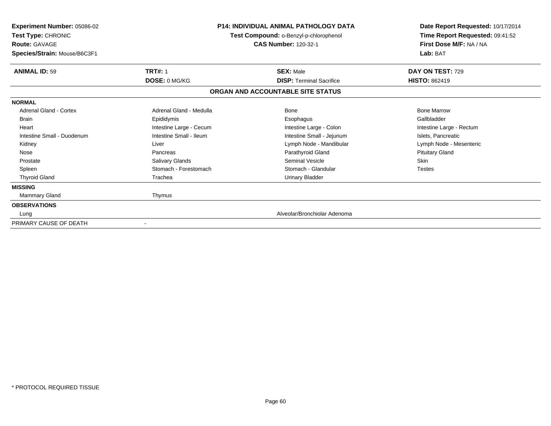| Experiment Number: 05086-02<br>Test Type: CHRONIC<br><b>Route: GAVAGE</b><br>Species/Strain: Mouse/B6C3F1 | <b>P14: INDIVIDUAL ANIMAL PATHOLOGY DATA</b><br>Test Compound: o-Benzyl-p-chlorophenol<br><b>CAS Number: 120-32-1</b> |                                                                      | Date Report Requested: 10/17/2014<br>Time Report Requested: 09:41:52<br>First Dose M/F: NA / NA<br>Lab: BAT |
|-----------------------------------------------------------------------------------------------------------|-----------------------------------------------------------------------------------------------------------------------|----------------------------------------------------------------------|-------------------------------------------------------------------------------------------------------------|
| <b>ANIMAL ID: 59</b>                                                                                      | <b>TRT#: 1</b>                                                                                                        | <b>SEX: Male</b>                                                     | DAY ON TEST: 729                                                                                            |
|                                                                                                           | DOSE: 0 MG/KG                                                                                                         | <b>DISP: Terminal Sacrifice</b><br>ORGAN AND ACCOUNTABLE SITE STATUS | <b>HISTO: 862419</b>                                                                                        |
| <b>NORMAL</b>                                                                                             |                                                                                                                       |                                                                      |                                                                                                             |
| <b>Adrenal Gland - Cortex</b>                                                                             | Adrenal Gland - Medulla                                                                                               | Bone                                                                 | <b>Bone Marrow</b>                                                                                          |
| <b>Brain</b>                                                                                              | Epididymis                                                                                                            | Esophagus                                                            | Gallbladder                                                                                                 |
| Heart                                                                                                     | Intestine Large - Cecum                                                                                               | Intestine Large - Colon                                              | Intestine Large - Rectum                                                                                    |
| Intestine Small - Duodenum                                                                                | Intestine Small - Ileum                                                                                               | Intestine Small - Jejunum                                            | Islets, Pancreatic                                                                                          |
| Kidney                                                                                                    | Liver                                                                                                                 | Lymph Node - Mandibular                                              | Lymph Node - Mesenteric                                                                                     |
| Nose                                                                                                      | Pancreas                                                                                                              | Parathyroid Gland                                                    | <b>Pituitary Gland</b>                                                                                      |
| Prostate                                                                                                  | Salivary Glands                                                                                                       | Seminal Vesicle                                                      | <b>Skin</b>                                                                                                 |
| Spleen                                                                                                    | Stomach - Forestomach                                                                                                 | Stomach - Glandular                                                  | <b>Testes</b>                                                                                               |
| <b>Thyroid Gland</b>                                                                                      | Trachea                                                                                                               | <b>Urinary Bladder</b>                                               |                                                                                                             |
| <b>MISSING</b>                                                                                            |                                                                                                                       |                                                                      |                                                                                                             |
| <b>Mammary Gland</b>                                                                                      | Thymus                                                                                                                |                                                                      |                                                                                                             |
| <b>OBSERVATIONS</b>                                                                                       |                                                                                                                       |                                                                      |                                                                                                             |
| Lung                                                                                                      |                                                                                                                       | Alveolar/Bronchiolar Adenoma                                         |                                                                                                             |
| PRIMARY CAUSE OF DEATH                                                                                    |                                                                                                                       |                                                                      |                                                                                                             |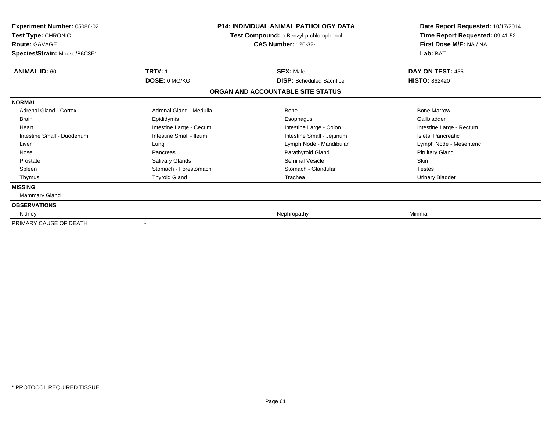| <b>Experiment Number: 05086-02</b><br>Test Type: CHRONIC<br><b>Route: GAVAGE</b><br>Species/Strain: Mouse/B6C3F1 | Test Compound: o-Benzyl-p-chlorophenol<br><b>CAS Number: 120-32-1</b> |                                   | P14: INDIVIDUAL ANIMAL PATHOLOGY DATA<br>First Dose M/F: NA / NA<br>Lab: BAT | Date Report Requested: 10/17/2014<br>Time Report Requested: 09:41:52 |
|------------------------------------------------------------------------------------------------------------------|-----------------------------------------------------------------------|-----------------------------------|------------------------------------------------------------------------------|----------------------------------------------------------------------|
| <b>ANIMAL ID: 60</b>                                                                                             | <b>TRT#: 1</b>                                                        | <b>SEX: Male</b>                  | DAY ON TEST: 455                                                             |                                                                      |
|                                                                                                                  | DOSE: 0 MG/KG                                                         | <b>DISP:</b> Scheduled Sacrifice  | <b>HISTO: 862420</b>                                                         |                                                                      |
|                                                                                                                  |                                                                       | ORGAN AND ACCOUNTABLE SITE STATUS |                                                                              |                                                                      |
| <b>NORMAL</b>                                                                                                    |                                                                       |                                   |                                                                              |                                                                      |
| <b>Adrenal Gland - Cortex</b>                                                                                    | Adrenal Gland - Medulla                                               | <b>Bone</b>                       | <b>Bone Marrow</b>                                                           |                                                                      |
| <b>Brain</b>                                                                                                     | Epididymis                                                            | Esophagus                         | Gallbladder                                                                  |                                                                      |
| Heart                                                                                                            | Intestine Large - Cecum                                               | Intestine Large - Colon           | Intestine Large - Rectum                                                     |                                                                      |
| Intestine Small - Duodenum                                                                                       | Intestine Small - Ileum                                               | Intestine Small - Jejunum         | Islets, Pancreatic                                                           |                                                                      |
| Liver                                                                                                            | Lung                                                                  | Lymph Node - Mandibular           | Lymph Node - Mesenteric                                                      |                                                                      |
| Nose                                                                                                             | Pancreas                                                              | Parathyroid Gland                 | <b>Pituitary Gland</b>                                                       |                                                                      |
| Prostate                                                                                                         | Salivary Glands                                                       | <b>Seminal Vesicle</b>            | Skin                                                                         |                                                                      |
| Spleen                                                                                                           | Stomach - Forestomach                                                 | Stomach - Glandular               | <b>Testes</b>                                                                |                                                                      |
| Thymus                                                                                                           | <b>Thyroid Gland</b>                                                  | Trachea                           | <b>Urinary Bladder</b>                                                       |                                                                      |
| <b>MISSING</b>                                                                                                   |                                                                       |                                   |                                                                              |                                                                      |
| Mammary Gland                                                                                                    |                                                                       |                                   |                                                                              |                                                                      |
| <b>OBSERVATIONS</b>                                                                                              |                                                                       |                                   |                                                                              |                                                                      |
| Kidney                                                                                                           |                                                                       | Nephropathy                       | Minimal                                                                      |                                                                      |
| PRIMARY CAUSE OF DEATH                                                                                           |                                                                       |                                   |                                                                              |                                                                      |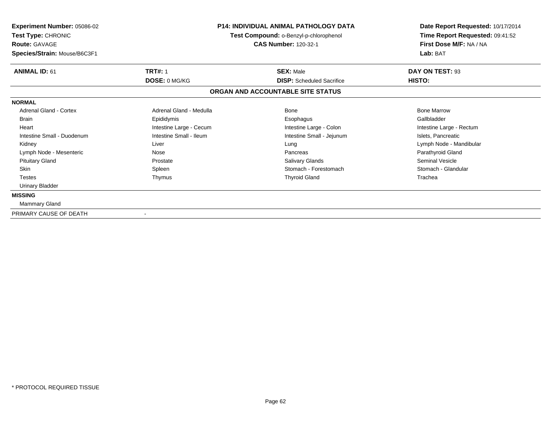| <b>Experiment Number: 05086-02</b><br>Test Type: CHRONIC<br><b>Route: GAVAGE</b><br>Species/Strain: Mouse/B6C3F1 | <b>P14: INDIVIDUAL ANIMAL PATHOLOGY DATA</b><br>Test Compound: o-Benzyl-p-chlorophenol<br><b>CAS Number: 120-32-1</b> |                                                      | Date Report Requested: 10/17/2014<br>Time Report Requested: 09:41:52<br>First Dose M/F: NA / NA<br>Lab: BAT |  |
|------------------------------------------------------------------------------------------------------------------|-----------------------------------------------------------------------------------------------------------------------|------------------------------------------------------|-------------------------------------------------------------------------------------------------------------|--|
| <b>ANIMAL ID: 61</b>                                                                                             | <b>TRT#: 1</b><br><b>DOSE: 0 MG/KG</b>                                                                                | <b>SEX: Male</b><br><b>DISP:</b> Scheduled Sacrifice | DAY ON TEST: 93<br>HISTO:                                                                                   |  |
|                                                                                                                  |                                                                                                                       | ORGAN AND ACCOUNTABLE SITE STATUS                    |                                                                                                             |  |
| <b>NORMAL</b>                                                                                                    |                                                                                                                       |                                                      |                                                                                                             |  |
| <b>Adrenal Gland - Cortex</b>                                                                                    | Adrenal Gland - Medulla                                                                                               | <b>Bone</b>                                          | <b>Bone Marrow</b>                                                                                          |  |
| <b>Brain</b>                                                                                                     | Epididymis                                                                                                            | Esophagus                                            | Gallbladder                                                                                                 |  |
| Heart                                                                                                            | Intestine Large - Cecum                                                                                               | Intestine Large - Colon                              | Intestine Large - Rectum                                                                                    |  |
| Intestine Small - Duodenum                                                                                       | Intestine Small - Ileum                                                                                               | Intestine Small - Jejunum                            | Islets, Pancreatic                                                                                          |  |
| Kidney                                                                                                           | Liver                                                                                                                 | Lung                                                 | Lymph Node - Mandibular                                                                                     |  |
| Lymph Node - Mesenteric                                                                                          | Nose                                                                                                                  | Pancreas                                             | Parathyroid Gland                                                                                           |  |
| <b>Pituitary Gland</b>                                                                                           | Prostate                                                                                                              | <b>Salivary Glands</b>                               | <b>Seminal Vesicle</b>                                                                                      |  |
| Skin                                                                                                             | Spleen                                                                                                                | Stomach - Forestomach                                | Stomach - Glandular                                                                                         |  |
| <b>Testes</b>                                                                                                    | Thymus                                                                                                                | <b>Thyroid Gland</b>                                 | Trachea                                                                                                     |  |
| <b>Urinary Bladder</b>                                                                                           |                                                                                                                       |                                                      |                                                                                                             |  |
| <b>MISSING</b>                                                                                                   |                                                                                                                       |                                                      |                                                                                                             |  |
| Mammary Gland                                                                                                    |                                                                                                                       |                                                      |                                                                                                             |  |
| PRIMARY CAUSE OF DEATH                                                                                           |                                                                                                                       |                                                      |                                                                                                             |  |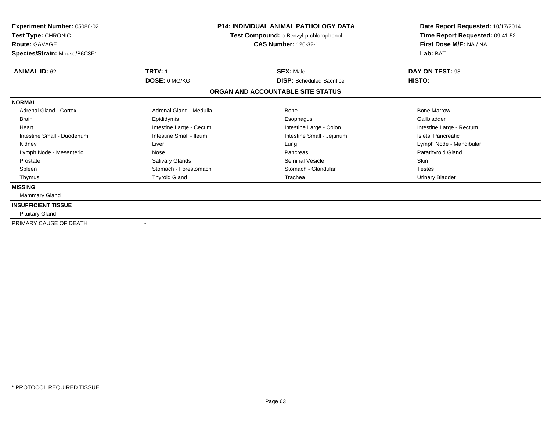| Experiment Number: 05086-02<br>Test Type: CHRONIC<br><b>Route: GAVAGE</b><br>Species/Strain: Mouse/B6C3F1 | <b>P14: INDIVIDUAL ANIMAL PATHOLOGY DATA</b><br>Test Compound: o-Benzyl-p-chlorophenol<br><b>CAS Number: 120-32-1</b> |                                                      | Date Report Requested: 10/17/2014<br>Time Report Requested: 09:41:52<br>First Dose M/F: NA / NA<br>Lab: BAT |
|-----------------------------------------------------------------------------------------------------------|-----------------------------------------------------------------------------------------------------------------------|------------------------------------------------------|-------------------------------------------------------------------------------------------------------------|
| <b>ANIMAL ID: 62</b>                                                                                      | <b>TRT#: 1</b><br>DOSE: 0 MG/KG                                                                                       | <b>SEX: Male</b><br><b>DISP:</b> Scheduled Sacrifice | DAY ON TEST: 93<br>HISTO:                                                                                   |
|                                                                                                           |                                                                                                                       | ORGAN AND ACCOUNTABLE SITE STATUS                    |                                                                                                             |
| <b>NORMAL</b>                                                                                             |                                                                                                                       |                                                      |                                                                                                             |
| <b>Adrenal Gland - Cortex</b>                                                                             | Adrenal Gland - Medulla                                                                                               | Bone                                                 | <b>Bone Marrow</b>                                                                                          |
| <b>Brain</b>                                                                                              | Epididymis                                                                                                            | Esophagus                                            | Gallbladder                                                                                                 |
| Heart                                                                                                     | Intestine Large - Cecum                                                                                               | Intestine Large - Colon                              | Intestine Large - Rectum                                                                                    |
| Intestine Small - Duodenum                                                                                | Intestine Small - Ileum                                                                                               | Intestine Small - Jejunum                            | Islets, Pancreatic                                                                                          |
| Kidney                                                                                                    | Liver                                                                                                                 | Lung                                                 | Lymph Node - Mandibular                                                                                     |
| Lymph Node - Mesenteric                                                                                   | Nose                                                                                                                  | Pancreas                                             | Parathyroid Gland                                                                                           |
| Prostate                                                                                                  | Salivary Glands                                                                                                       | <b>Seminal Vesicle</b>                               | <b>Skin</b>                                                                                                 |
| Spleen                                                                                                    | Stomach - Forestomach                                                                                                 | Stomach - Glandular                                  | <b>Testes</b>                                                                                               |
| Thymus                                                                                                    | <b>Thyroid Gland</b>                                                                                                  | Trachea                                              | Urinary Bladder                                                                                             |
| <b>MISSING</b>                                                                                            |                                                                                                                       |                                                      |                                                                                                             |
| Mammary Gland                                                                                             |                                                                                                                       |                                                      |                                                                                                             |
| <b>INSUFFICIENT TISSUE</b>                                                                                |                                                                                                                       |                                                      |                                                                                                             |
| <b>Pituitary Gland</b>                                                                                    |                                                                                                                       |                                                      |                                                                                                             |
| PRIMARY CAUSE OF DEATH                                                                                    |                                                                                                                       |                                                      |                                                                                                             |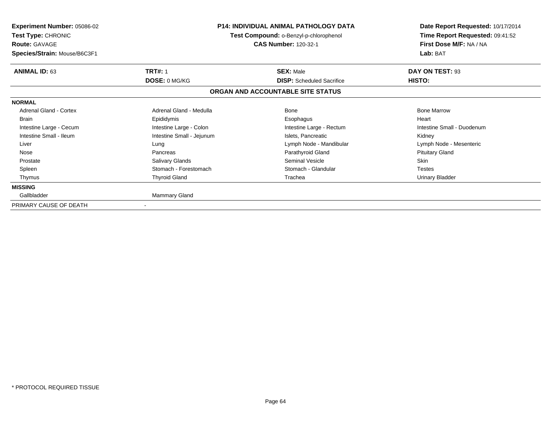| <b>Experiment Number: 05086-02</b><br>Test Type: CHRONIC<br><b>Route: GAVAGE</b><br>Species/Strain: Mouse/B6C3F1 |                           | <b>P14: INDIVIDUAL ANIMAL PATHOLOGY DATA</b><br>Test Compound: o-Benzyl-p-chlorophenol<br><b>CAS Number: 120-32-1</b> | Date Report Requested: 10/17/2014<br>Time Report Requested: 09:41:52<br>First Dose M/F: NA / NA<br>Lab: BAT |
|------------------------------------------------------------------------------------------------------------------|---------------------------|-----------------------------------------------------------------------------------------------------------------------|-------------------------------------------------------------------------------------------------------------|
| <b>ANIMAL ID: 63</b>                                                                                             | <b>TRT#: 1</b>            | <b>SEX: Male</b>                                                                                                      | DAY ON TEST: 93                                                                                             |
|                                                                                                                  | DOSE: 0 MG/KG             | <b>DISP:</b> Scheduled Sacrifice                                                                                      | HISTO:                                                                                                      |
|                                                                                                                  |                           | ORGAN AND ACCOUNTABLE SITE STATUS                                                                                     |                                                                                                             |
| <b>NORMAL</b>                                                                                                    |                           |                                                                                                                       |                                                                                                             |
| <b>Adrenal Gland - Cortex</b>                                                                                    | Adrenal Gland - Medulla   | Bone                                                                                                                  | <b>Bone Marrow</b>                                                                                          |
| <b>Brain</b>                                                                                                     | Epididymis                | Esophagus                                                                                                             | Heart                                                                                                       |
| Intestine Large - Cecum                                                                                          | Intestine Large - Colon   | Intestine Large - Rectum                                                                                              | Intestine Small - Duodenum                                                                                  |
| Intestine Small - Ileum                                                                                          | Intestine Small - Jejunum | Islets, Pancreatic                                                                                                    | Kidney                                                                                                      |
| Liver                                                                                                            | Lung                      | Lymph Node - Mandibular                                                                                               | Lymph Node - Mesenteric                                                                                     |
| Nose                                                                                                             | Pancreas                  | Parathyroid Gland                                                                                                     | <b>Pituitary Gland</b>                                                                                      |
| Prostate                                                                                                         | Salivary Glands           | <b>Seminal Vesicle</b>                                                                                                | Skin                                                                                                        |
| Spleen                                                                                                           | Stomach - Forestomach     | Stomach - Glandular                                                                                                   | <b>Testes</b>                                                                                               |
| Thymus                                                                                                           | <b>Thyroid Gland</b>      | Trachea                                                                                                               | <b>Urinary Bladder</b>                                                                                      |
| <b>MISSING</b>                                                                                                   |                           |                                                                                                                       |                                                                                                             |
| Gallbladder                                                                                                      | Mammary Gland             |                                                                                                                       |                                                                                                             |
| PRIMARY CAUSE OF DEATH                                                                                           |                           |                                                                                                                       |                                                                                                             |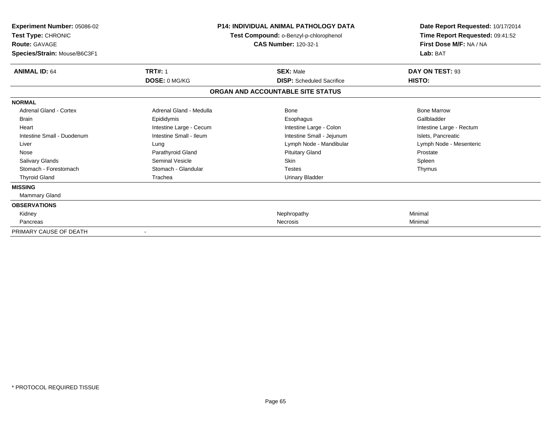| Experiment Number: 05086-02<br>Test Type: CHRONIC<br>Route: GAVAGE<br>Species/Strain: Mouse/B6C3F1 | <b>P14: INDIVIDUAL ANIMAL PATHOLOGY DATA</b><br>Test Compound: o-Benzyl-p-chlorophenol<br><b>CAS Number: 120-32-1</b> |                                   | Date Report Requested: 10/17/2014<br>Time Report Requested: 09:41:52<br>First Dose M/F: NA / NA<br>Lab: BAT |
|----------------------------------------------------------------------------------------------------|-----------------------------------------------------------------------------------------------------------------------|-----------------------------------|-------------------------------------------------------------------------------------------------------------|
| <b>ANIMAL ID: 64</b>                                                                               | <b>TRT#: 1</b>                                                                                                        | <b>SEX: Male</b>                  | DAY ON TEST: 93                                                                                             |
|                                                                                                    | DOSE: 0 MG/KG                                                                                                         | <b>DISP:</b> Scheduled Sacrifice  | HISTO:                                                                                                      |
|                                                                                                    |                                                                                                                       | ORGAN AND ACCOUNTABLE SITE STATUS |                                                                                                             |
| <b>NORMAL</b>                                                                                      |                                                                                                                       |                                   |                                                                                                             |
| <b>Adrenal Gland - Cortex</b>                                                                      | Adrenal Gland - Medulla                                                                                               | Bone                              | <b>Bone Marrow</b>                                                                                          |
| <b>Brain</b>                                                                                       | Epididymis                                                                                                            | Esophagus                         | Gallbladder                                                                                                 |
| Heart                                                                                              | Intestine Large - Cecum                                                                                               | Intestine Large - Colon           | Intestine Large - Rectum                                                                                    |
| Intestine Small - Duodenum                                                                         | Intestine Small - Ileum                                                                                               | Intestine Small - Jejunum         | Islets, Pancreatic                                                                                          |
| Liver                                                                                              | Lung                                                                                                                  | Lymph Node - Mandibular           | Lymph Node - Mesenteric                                                                                     |
| Nose                                                                                               | Parathyroid Gland                                                                                                     | <b>Pituitary Gland</b>            | Prostate                                                                                                    |
| <b>Salivary Glands</b>                                                                             | Seminal Vesicle                                                                                                       | <b>Skin</b>                       | Spleen                                                                                                      |
| Stomach - Forestomach                                                                              | Stomach - Glandular                                                                                                   | <b>Testes</b>                     | Thymus                                                                                                      |
| <b>Thyroid Gland</b>                                                                               | Trachea                                                                                                               | <b>Urinary Bladder</b>            |                                                                                                             |
| <b>MISSING</b>                                                                                     |                                                                                                                       |                                   |                                                                                                             |
| Mammary Gland                                                                                      |                                                                                                                       |                                   |                                                                                                             |
| <b>OBSERVATIONS</b>                                                                                |                                                                                                                       |                                   |                                                                                                             |
| Kidney                                                                                             |                                                                                                                       | Nephropathy                       | Minimal                                                                                                     |
| Pancreas                                                                                           |                                                                                                                       | <b>Necrosis</b>                   | Minimal                                                                                                     |
| PRIMARY CAUSE OF DEATH                                                                             |                                                                                                                       |                                   |                                                                                                             |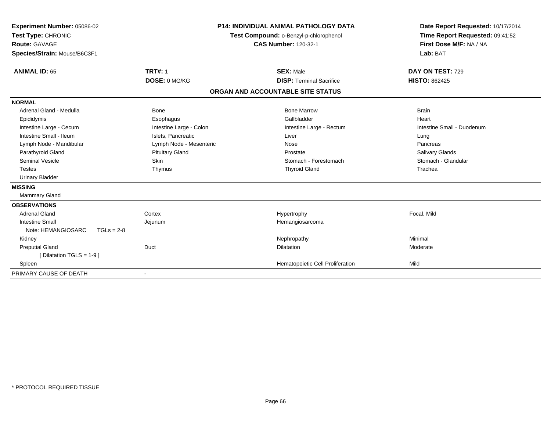| Experiment Number: 05086-02<br>Test Type: CHRONIC |                         | <b>P14: INDIVIDUAL ANIMAL PATHOLOGY DATA</b> | Date Report Requested: 10/17/2014<br>Time Report Requested: 09:41:52 |
|---------------------------------------------------|-------------------------|----------------------------------------------|----------------------------------------------------------------------|
|                                                   |                         | Test Compound: o-Benzyl-p-chlorophenol       |                                                                      |
| <b>Route: GAVAGE</b>                              |                         | <b>CAS Number: 120-32-1</b>                  | First Dose M/F: NA / NA                                              |
| Species/Strain: Mouse/B6C3F1                      |                         |                                              | Lab: BAT                                                             |
| <b>ANIMAL ID: 65</b>                              | <b>TRT#: 1</b>          | <b>SEX: Male</b>                             | DAY ON TEST: 729                                                     |
|                                                   | DOSE: 0 MG/KG           | <b>DISP: Terminal Sacrifice</b>              | <b>HISTO: 862425</b>                                                 |
|                                                   |                         | ORGAN AND ACCOUNTABLE SITE STATUS            |                                                                      |
| <b>NORMAL</b>                                     |                         |                                              |                                                                      |
| Adrenal Gland - Medulla                           | Bone                    | <b>Bone Marrow</b>                           | <b>Brain</b>                                                         |
| Epididymis                                        | Esophagus               | Gallbladder                                  | Heart                                                                |
| Intestine Large - Cecum                           | Intestine Large - Colon | Intestine Large - Rectum                     | Intestine Small - Duodenum                                           |
| Intestine Small - Ileum                           | Islets. Pancreatic      | Liver                                        | Lung                                                                 |
| Lymph Node - Mandibular                           | Lymph Node - Mesenteric | Nose                                         | Pancreas                                                             |
| Parathyroid Gland                                 | <b>Pituitary Gland</b>  | Prostate                                     | <b>Salivary Glands</b>                                               |
| <b>Seminal Vesicle</b>                            | Skin                    | Stomach - Forestomach                        | Stomach - Glandular                                                  |
| <b>Testes</b>                                     | Thymus                  | <b>Thyroid Gland</b>                         | Trachea                                                              |
| <b>Urinary Bladder</b>                            |                         |                                              |                                                                      |
| <b>MISSING</b>                                    |                         |                                              |                                                                      |
| <b>Mammary Gland</b>                              |                         |                                              |                                                                      |
| <b>OBSERVATIONS</b>                               |                         |                                              |                                                                      |
| <b>Adrenal Gland</b>                              | Cortex                  | Hypertrophy                                  | Focal, Mild                                                          |
| <b>Intestine Small</b>                            | Jejunum                 | Hemangiosarcoma                              |                                                                      |
| Note: HEMANGIOSARC<br>$TGLs = 2-8$                |                         |                                              |                                                                      |
| Kidney                                            |                         | Nephropathy                                  | Minimal                                                              |
| <b>Preputial Gland</b>                            | Duct                    | <b>Dilatation</b>                            | Moderate                                                             |
| [Dilatation TGLS = 1-9]                           |                         |                                              |                                                                      |
| Spleen                                            |                         | Hematopoietic Cell Proliferation             | Mild                                                                 |
| PRIMARY CAUSE OF DEATH                            |                         |                                              |                                                                      |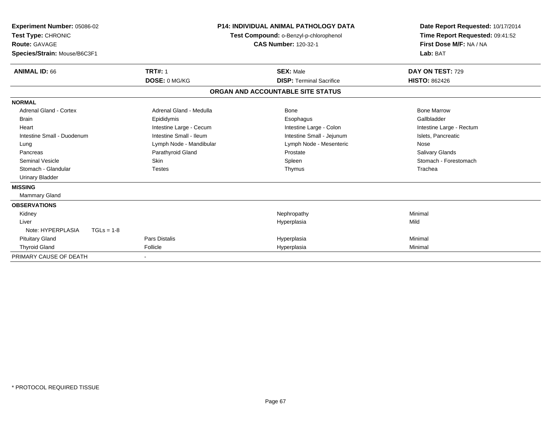| Experiment Number: 05086-02<br>Test Type: CHRONIC<br>Route: GAVAGE<br>Species/Strain: Mouse/B6C3F1 |                         | <b>P14: INDIVIDUAL ANIMAL PATHOLOGY DATA</b><br>Test Compound: o-Benzyl-p-chlorophenol<br><b>CAS Number: 120-32-1</b> | Date Report Requested: 10/17/2014<br>Time Report Requested: 09:41:52<br>First Dose M/F: NA / NA<br>Lab: BAT |
|----------------------------------------------------------------------------------------------------|-------------------------|-----------------------------------------------------------------------------------------------------------------------|-------------------------------------------------------------------------------------------------------------|
| <b>ANIMAL ID: 66</b>                                                                               | <b>TRT#: 1</b>          | <b>SEX: Male</b>                                                                                                      | DAY ON TEST: 729                                                                                            |
|                                                                                                    | DOSE: 0 MG/KG           | <b>DISP: Terminal Sacrifice</b>                                                                                       | <b>HISTO: 862426</b>                                                                                        |
|                                                                                                    |                         | ORGAN AND ACCOUNTABLE SITE STATUS                                                                                     |                                                                                                             |
| <b>NORMAL</b>                                                                                      |                         |                                                                                                                       |                                                                                                             |
| <b>Adrenal Gland - Cortex</b>                                                                      | Adrenal Gland - Medulla | Bone                                                                                                                  | <b>Bone Marrow</b>                                                                                          |
| <b>Brain</b>                                                                                       | Epididymis              | Esophagus                                                                                                             | Gallbladder                                                                                                 |
| Heart                                                                                              | Intestine Large - Cecum | Intestine Large - Colon                                                                                               | Intestine Large - Rectum                                                                                    |
| Intestine Small - Duodenum                                                                         | Intestine Small - Ileum | Intestine Small - Jejunum                                                                                             | Islets, Pancreatic                                                                                          |
| Lung                                                                                               | Lymph Node - Mandibular | Lymph Node - Mesenteric                                                                                               | Nose                                                                                                        |
| Pancreas                                                                                           | Parathyroid Gland       | Prostate                                                                                                              | <b>Salivary Glands</b>                                                                                      |
| <b>Seminal Vesicle</b>                                                                             | <b>Skin</b>             | Spleen                                                                                                                | Stomach - Forestomach                                                                                       |
| Stomach - Glandular                                                                                | <b>Testes</b>           | Thymus                                                                                                                | Trachea                                                                                                     |
| <b>Urinary Bladder</b>                                                                             |                         |                                                                                                                       |                                                                                                             |
| <b>MISSING</b>                                                                                     |                         |                                                                                                                       |                                                                                                             |
| <b>Mammary Gland</b>                                                                               |                         |                                                                                                                       |                                                                                                             |
| <b>OBSERVATIONS</b>                                                                                |                         |                                                                                                                       |                                                                                                             |
| Kidney                                                                                             |                         | Nephropathy                                                                                                           | Minimal                                                                                                     |
| Liver                                                                                              |                         | Hyperplasia                                                                                                           | Mild                                                                                                        |
| Note: HYPERPLASIA<br>$TGLs = 1-8$                                                                  |                         |                                                                                                                       |                                                                                                             |
| <b>Pituitary Gland</b>                                                                             | Pars Distalis           | Hyperplasia                                                                                                           | Minimal                                                                                                     |
| <b>Thyroid Gland</b>                                                                               | Follicle                | Hyperplasia                                                                                                           | Minimal                                                                                                     |
| PRIMARY CAUSE OF DEATH                                                                             |                         |                                                                                                                       |                                                                                                             |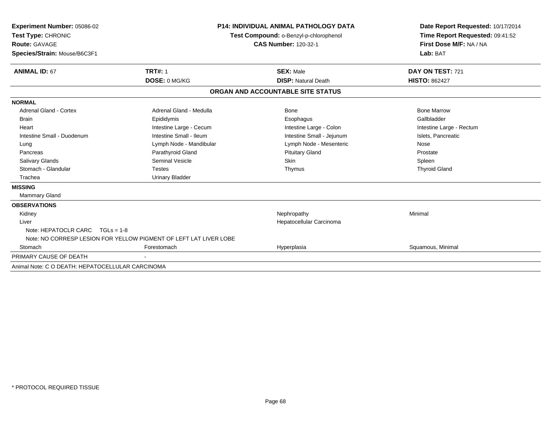| <b>Experiment Number: 05086-02</b>               |                                                                   | <b>P14: INDIVIDUAL ANIMAL PATHOLOGY DATA</b> | Date Report Requested: 10/17/2014<br>Time Report Requested: 09:41:52 |
|--------------------------------------------------|-------------------------------------------------------------------|----------------------------------------------|----------------------------------------------------------------------|
| Test Type: CHRONIC                               | Test Compound: o-Benzyl-p-chlorophenol                            |                                              |                                                                      |
| Route: GAVAGE                                    |                                                                   | <b>CAS Number: 120-32-1</b>                  | First Dose M/F: NA / NA                                              |
| Species/Strain: Mouse/B6C3F1                     |                                                                   |                                              | Lab: BAT                                                             |
| <b>ANIMAL ID: 67</b>                             | <b>TRT#: 1</b>                                                    | <b>SEX: Male</b>                             | DAY ON TEST: 721                                                     |
|                                                  | DOSE: 0 MG/KG                                                     | <b>DISP: Natural Death</b>                   | <b>HISTO: 862427</b>                                                 |
|                                                  |                                                                   | ORGAN AND ACCOUNTABLE SITE STATUS            |                                                                      |
| <b>NORMAL</b>                                    |                                                                   |                                              |                                                                      |
| <b>Adrenal Gland - Cortex</b>                    | Adrenal Gland - Medulla                                           | Bone                                         | <b>Bone Marrow</b>                                                   |
| <b>Brain</b>                                     | Epididymis                                                        | Esophagus                                    | Gallbladder                                                          |
| Heart                                            | Intestine Large - Cecum                                           | Intestine Large - Colon                      | Intestine Large - Rectum                                             |
| Intestine Small - Duodenum                       | Intestine Small - Ileum                                           | Intestine Small - Jejunum                    | Islets, Pancreatic                                                   |
| Lung                                             | Lymph Node - Mandibular                                           | Lymph Node - Mesenteric                      | Nose                                                                 |
| Pancreas                                         | Parathyroid Gland                                                 | <b>Pituitary Gland</b>                       | Prostate                                                             |
| <b>Salivary Glands</b>                           | Seminal Vesicle                                                   | Skin                                         | Spleen                                                               |
| Stomach - Glandular                              | <b>Testes</b>                                                     | Thymus                                       | <b>Thyroid Gland</b>                                                 |
| Trachea                                          | <b>Urinary Bladder</b>                                            |                                              |                                                                      |
| <b>MISSING</b>                                   |                                                                   |                                              |                                                                      |
| <b>Mammary Gland</b>                             |                                                                   |                                              |                                                                      |
| <b>OBSERVATIONS</b>                              |                                                                   |                                              |                                                                      |
| Kidney                                           |                                                                   | Nephropathy                                  | Minimal                                                              |
| Liver<br>Note: HEPATOCLR CARC $TGLs = 1-8$       |                                                                   | Hepatocellular Carcinoma                     |                                                                      |
|                                                  | Note: NO CORRESP LESION FOR YELLOW PIGMENT OF LEFT LAT LIVER LOBE |                                              |                                                                      |
|                                                  |                                                                   |                                              |                                                                      |
| Stomach                                          | Forestomach                                                       | Hyperplasia                                  | Squamous, Minimal                                                    |
| PRIMARY CAUSE OF DEATH                           |                                                                   |                                              |                                                                      |
| Animal Note: C O DEATH: HEPATOCELLULAR CARCINOMA |                                                                   |                                              |                                                                      |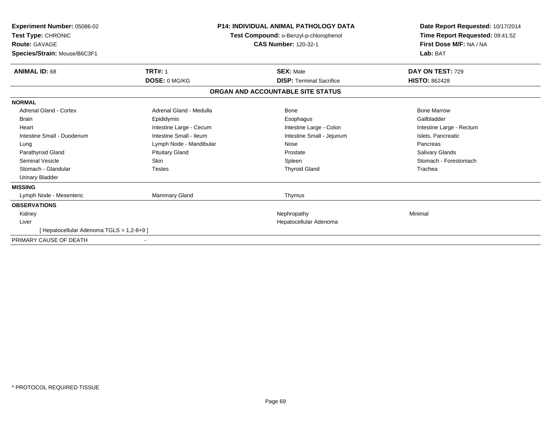| Experiment Number: 05086-02<br><b>Test Type: CHRONIC</b><br><b>Route: GAVAGE</b><br>Species/Strain: Mouse/B6C3F1 | <b>P14: INDIVIDUAL ANIMAL PATHOLOGY DATA</b><br>Test Compound: o-Benzyl-p-chlorophenol<br><b>CAS Number: 120-32-1</b> |                                   | Date Report Requested: 10/17/2014<br>Time Report Requested: 09:41:52<br>First Dose M/F: NA / NA<br>Lab: BAT |
|------------------------------------------------------------------------------------------------------------------|-----------------------------------------------------------------------------------------------------------------------|-----------------------------------|-------------------------------------------------------------------------------------------------------------|
| <b>ANIMAL ID: 68</b>                                                                                             | <b>TRT#: 1</b>                                                                                                        | <b>SEX: Male</b>                  | DAY ON TEST: 729                                                                                            |
|                                                                                                                  | DOSE: 0 MG/KG                                                                                                         | <b>DISP: Terminal Sacrifice</b>   | <b>HISTO: 862428</b>                                                                                        |
|                                                                                                                  |                                                                                                                       | ORGAN AND ACCOUNTABLE SITE STATUS |                                                                                                             |
| <b>NORMAL</b>                                                                                                    |                                                                                                                       |                                   |                                                                                                             |
| <b>Adrenal Gland - Cortex</b>                                                                                    | Adrenal Gland - Medulla                                                                                               | Bone                              | <b>Bone Marrow</b>                                                                                          |
| <b>Brain</b>                                                                                                     | Epididymis                                                                                                            | Esophagus                         | Gallbladder                                                                                                 |
| Heart                                                                                                            | Intestine Large - Cecum                                                                                               | Intestine Large - Colon           | Intestine Large - Rectum                                                                                    |
| Intestine Small - Duodenum                                                                                       | Intestine Small - Ileum                                                                                               | Intestine Small - Jejunum         | Islets, Pancreatic                                                                                          |
| Lung                                                                                                             | Lymph Node - Mandibular                                                                                               | Nose                              | Pancreas                                                                                                    |
| Parathyroid Gland                                                                                                | <b>Pituitary Gland</b>                                                                                                | Prostate                          | Salivary Glands                                                                                             |
| <b>Seminal Vesicle</b>                                                                                           | <b>Skin</b>                                                                                                           | Spleen                            | Stomach - Forestomach                                                                                       |
| Stomach - Glandular                                                                                              | <b>Testes</b>                                                                                                         | <b>Thyroid Gland</b>              | Trachea                                                                                                     |
| <b>Urinary Bladder</b>                                                                                           |                                                                                                                       |                                   |                                                                                                             |
| <b>MISSING</b>                                                                                                   |                                                                                                                       |                                   |                                                                                                             |
| Lymph Node - Mesenteric                                                                                          | Mammary Gland                                                                                                         | Thymus                            |                                                                                                             |
| <b>OBSERVATIONS</b>                                                                                              |                                                                                                                       |                                   |                                                                                                             |
| Kidney                                                                                                           |                                                                                                                       | Nephropathy                       | Minimal                                                                                                     |
| Liver                                                                                                            |                                                                                                                       | Hepatocellular Adenoma            |                                                                                                             |
| [Hepatocellular Adenoma TGLS = 1,2-8+9]                                                                          |                                                                                                                       |                                   |                                                                                                             |
| PRIMARY CAUSE OF DEATH                                                                                           |                                                                                                                       |                                   |                                                                                                             |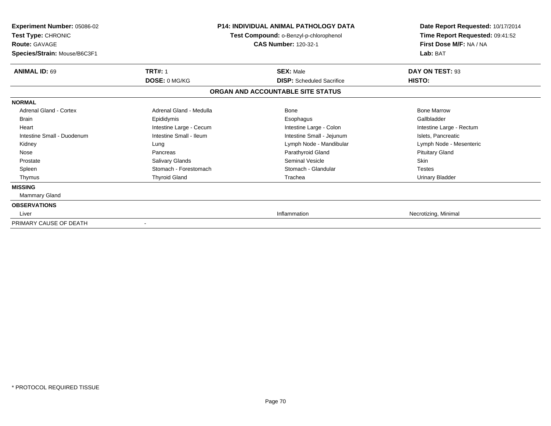| <b>Experiment Number: 05086-02</b><br>Test Type: CHRONIC<br><b>Route: GAVAGE</b><br>Species/Strain: Mouse/B6C3F1 | <b>P14: INDIVIDUAL ANIMAL PATHOLOGY DATA</b><br>Test Compound: o-Benzyl-p-chlorophenol<br><b>CAS Number: 120-32-1</b> |                                                                       | Date Report Requested: 10/17/2014<br>Time Report Requested: 09:41:52<br>First Dose M/F: NA / NA<br>Lab: BAT |
|------------------------------------------------------------------------------------------------------------------|-----------------------------------------------------------------------------------------------------------------------|-----------------------------------------------------------------------|-------------------------------------------------------------------------------------------------------------|
| <b>ANIMAL ID: 69</b>                                                                                             | <b>TRT#: 1</b>                                                                                                        | <b>SEX: Male</b>                                                      | DAY ON TEST: 93                                                                                             |
|                                                                                                                  | DOSE: 0 MG/KG                                                                                                         | <b>DISP:</b> Scheduled Sacrifice<br>ORGAN AND ACCOUNTABLE SITE STATUS | HISTO:                                                                                                      |
|                                                                                                                  |                                                                                                                       |                                                                       |                                                                                                             |
| <b>NORMAL</b><br><b>Adrenal Gland - Cortex</b><br><b>Brain</b>                                                   | Adrenal Gland - Medulla<br>Epididymis                                                                                 | Bone<br>Esophagus                                                     | <b>Bone Marrow</b><br>Gallbladder                                                                           |
| Heart<br>Intestine Small - Duodenum                                                                              | Intestine Large - Cecum<br>Intestine Small - Ileum                                                                    | Intestine Large - Colon                                               | Intestine Large - Rectum<br>Islets, Pancreatic                                                              |
| Kidney                                                                                                           | Lung                                                                                                                  | Intestine Small - Jejunum<br>Lymph Node - Mandibular                  | Lymph Node - Mesenteric                                                                                     |
| Nose<br>Prostate                                                                                                 | Pancreas<br>Salivary Glands                                                                                           | Parathyroid Gland<br><b>Seminal Vesicle</b>                           | <b>Pituitary Gland</b><br><b>Skin</b>                                                                       |
| Spleen<br>Thymus                                                                                                 | Stomach - Forestomach<br><b>Thyroid Gland</b>                                                                         | Stomach - Glandular<br>Trachea                                        | <b>Testes</b><br>Urinary Bladder                                                                            |
| <b>MISSING</b><br>Mammary Gland                                                                                  |                                                                                                                       |                                                                       |                                                                                                             |
| <b>OBSERVATIONS</b>                                                                                              |                                                                                                                       |                                                                       |                                                                                                             |
| Liver                                                                                                            |                                                                                                                       | Inflammation                                                          | Necrotizing, Minimal                                                                                        |
| PRIMARY CAUSE OF DEATH                                                                                           |                                                                                                                       |                                                                       |                                                                                                             |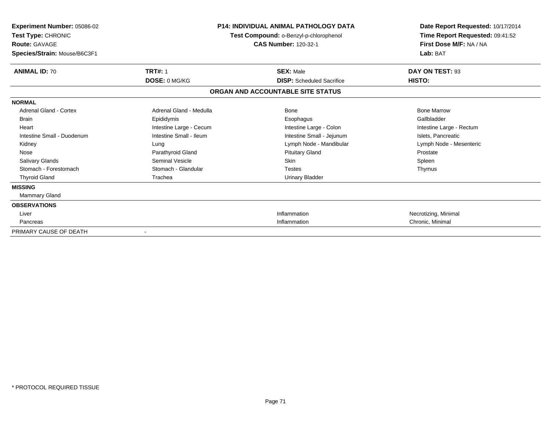| Experiment Number: 05086-02<br>Test Type: CHRONIC<br><b>Route: GAVAGE</b><br>Species/Strain: Mouse/B6C3F1 | <b>P14: INDIVIDUAL ANIMAL PATHOLOGY DATA</b><br>Test Compound: o-Benzyl-p-chlorophenol<br><b>CAS Number: 120-32-1</b> |                                   | Date Report Requested: 10/17/2014<br>Time Report Requested: 09:41:52<br>First Dose M/F: NA / NA<br>Lab: BAT |
|-----------------------------------------------------------------------------------------------------------|-----------------------------------------------------------------------------------------------------------------------|-----------------------------------|-------------------------------------------------------------------------------------------------------------|
| <b>ANIMAL ID: 70</b>                                                                                      | <b>TRT#: 1</b>                                                                                                        | <b>SEX: Male</b>                  | DAY ON TEST: 93                                                                                             |
|                                                                                                           | DOSE: 0 MG/KG                                                                                                         | <b>DISP:</b> Scheduled Sacrifice  | HISTO:                                                                                                      |
|                                                                                                           |                                                                                                                       | ORGAN AND ACCOUNTABLE SITE STATUS |                                                                                                             |
| <b>NORMAL</b>                                                                                             |                                                                                                                       |                                   |                                                                                                             |
| <b>Adrenal Gland - Cortex</b>                                                                             | Adrenal Gland - Medulla                                                                                               | Bone                              | <b>Bone Marrow</b>                                                                                          |
| <b>Brain</b>                                                                                              | Epididymis                                                                                                            | Esophagus                         | Gallbladder                                                                                                 |
| Heart                                                                                                     | Intestine Large - Cecum                                                                                               | Intestine Large - Colon           | Intestine Large - Rectum                                                                                    |
| Intestine Small - Duodenum                                                                                | Intestine Small - Ileum                                                                                               | Intestine Small - Jejunum         | Islets, Pancreatic                                                                                          |
| Kidney                                                                                                    | Lung                                                                                                                  | Lymph Node - Mandibular           | Lymph Node - Mesenteric                                                                                     |
| Nose                                                                                                      | Parathyroid Gland                                                                                                     | <b>Pituitary Gland</b>            | Prostate                                                                                                    |
| <b>Salivary Glands</b>                                                                                    | Seminal Vesicle                                                                                                       | Skin                              | Spleen                                                                                                      |
| Stomach - Forestomach                                                                                     | Stomach - Glandular                                                                                                   | <b>Testes</b>                     | Thymus                                                                                                      |
| <b>Thyroid Gland</b>                                                                                      | Trachea                                                                                                               | <b>Urinary Bladder</b>            |                                                                                                             |
| <b>MISSING</b>                                                                                            |                                                                                                                       |                                   |                                                                                                             |
| <b>Mammary Gland</b>                                                                                      |                                                                                                                       |                                   |                                                                                                             |
| <b>OBSERVATIONS</b>                                                                                       |                                                                                                                       |                                   |                                                                                                             |
| Liver                                                                                                     |                                                                                                                       | Inflammation                      | Necrotizing, Minimal                                                                                        |
| Pancreas                                                                                                  |                                                                                                                       | Inflammation                      | Chronic, Minimal                                                                                            |
| PRIMARY CAUSE OF DEATH                                                                                    |                                                                                                                       |                                   |                                                                                                             |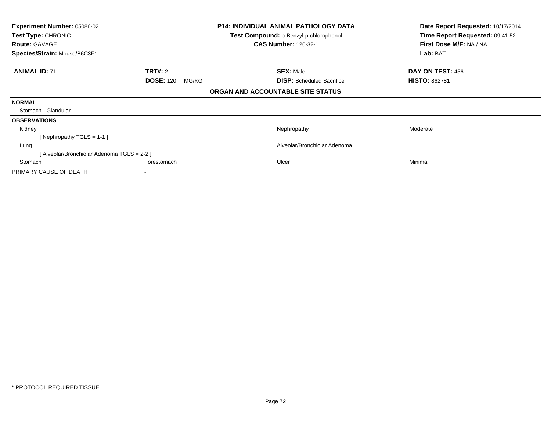| <b>Experiment Number: 05086-02</b><br>Test Type: CHRONIC<br><b>Route: GAVAGE</b> |                           | P14: INDIVIDUAL ANIMAL PATHOLOGY DATA<br><b>Test Compound: o-Benzyl-p-chlorophenol</b><br><b>CAS Number: 120-32-1</b> | Date Report Requested: 10/17/2014<br>Time Report Requested: 09:41:52<br>First Dose M/F: NA / NA |
|----------------------------------------------------------------------------------|---------------------------|-----------------------------------------------------------------------------------------------------------------------|-------------------------------------------------------------------------------------------------|
| Species/Strain: Mouse/B6C3F1                                                     |                           |                                                                                                                       | Lab: BAT                                                                                        |
| <b>ANIMAL ID: 71</b>                                                             | <b>TRT#: 2</b>            | <b>SEX: Male</b>                                                                                                      | DAY ON TEST: 456                                                                                |
|                                                                                  | <b>DOSE: 120</b><br>MG/KG | <b>DISP:</b> Scheduled Sacrifice                                                                                      | <b>HISTO: 862781</b>                                                                            |
|                                                                                  |                           | ORGAN AND ACCOUNTABLE SITE STATUS                                                                                     |                                                                                                 |
| <b>NORMAL</b>                                                                    |                           |                                                                                                                       |                                                                                                 |
| Stomach - Glandular                                                              |                           |                                                                                                                       |                                                                                                 |
| <b>OBSERVATIONS</b>                                                              |                           |                                                                                                                       |                                                                                                 |
| Kidney                                                                           |                           | Nephropathy                                                                                                           | Moderate                                                                                        |
| [Nephropathy TGLS = 1-1]                                                         |                           |                                                                                                                       |                                                                                                 |
| Lung                                                                             |                           | Alveolar/Bronchiolar Adenoma                                                                                          |                                                                                                 |
| [Alveolar/Bronchiolar Adenoma TGLS = 2-2 ]                                       |                           |                                                                                                                       |                                                                                                 |
| Stomach                                                                          | Forestomach               | Ulcer                                                                                                                 | Minimal                                                                                         |
| PRIMARY CAUSE OF DEATH                                                           |                           |                                                                                                                       |                                                                                                 |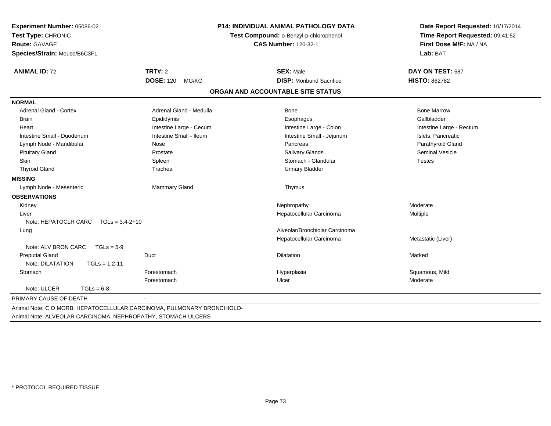| Experiment Number: 05086-02<br>Test Type: CHRONIC<br><b>Route: GAVAGE</b><br>Species/Strain: Mouse/B6C3F1 |                           | <b>P14: INDIVIDUAL ANIMAL PATHOLOGY DATA</b><br>Test Compound: o-Benzyl-p-chlorophenol<br><b>CAS Number: 120-32-1</b> | Date Report Requested: 10/17/2014<br>Time Report Requested: 09:41:52<br>First Dose M/F: NA / NA<br>Lab: BAT |
|-----------------------------------------------------------------------------------------------------------|---------------------------|-----------------------------------------------------------------------------------------------------------------------|-------------------------------------------------------------------------------------------------------------|
| <b>ANIMAL ID: 72</b>                                                                                      | <b>TRT#: 2</b>            | <b>SEX: Male</b>                                                                                                      | DAY ON TEST: 687                                                                                            |
|                                                                                                           | <b>DOSE: 120</b><br>MG/KG | <b>DISP:</b> Moribund Sacrifice                                                                                       | <b>HISTO: 862782</b>                                                                                        |
|                                                                                                           |                           | ORGAN AND ACCOUNTABLE SITE STATUS                                                                                     |                                                                                                             |
| <b>NORMAL</b>                                                                                             |                           |                                                                                                                       |                                                                                                             |
| <b>Adrenal Gland - Cortex</b>                                                                             | Adrenal Gland - Medulla   | <b>Bone</b>                                                                                                           | <b>Bone Marrow</b>                                                                                          |
| <b>Brain</b>                                                                                              | Epididymis                | Esophagus                                                                                                             | Gallbladder                                                                                                 |
| Heart                                                                                                     | Intestine Large - Cecum   | Intestine Large - Colon                                                                                               | Intestine Large - Rectum                                                                                    |
| Intestine Small - Duodenum                                                                                | Intestine Small - Ileum   | Intestine Small - Jejunum                                                                                             | Islets, Pancreatic                                                                                          |
| Lymph Node - Mandibular                                                                                   | Nose                      | Pancreas                                                                                                              | Parathyroid Gland                                                                                           |
| <b>Pituitary Gland</b>                                                                                    | Prostate                  | <b>Salivary Glands</b>                                                                                                | Seminal Vesicle                                                                                             |
| <b>Skin</b>                                                                                               | Spleen                    | Stomach - Glandular                                                                                                   | <b>Testes</b>                                                                                               |
| <b>Thyroid Gland</b>                                                                                      | Trachea                   | <b>Urinary Bladder</b>                                                                                                |                                                                                                             |
| <b>MISSING</b>                                                                                            |                           |                                                                                                                       |                                                                                                             |
| Lymph Node - Mesenteric                                                                                   | Mammary Gland             | Thymus                                                                                                                |                                                                                                             |
| <b>OBSERVATIONS</b>                                                                                       |                           |                                                                                                                       |                                                                                                             |
| Kidney                                                                                                    |                           | Nephropathy                                                                                                           | Moderate                                                                                                    |
| Liver                                                                                                     |                           | Hepatocellular Carcinoma                                                                                              | Multiple                                                                                                    |
| Note: HEPATOCLR CARC TGLs = 3,4-2+10                                                                      |                           |                                                                                                                       |                                                                                                             |
| Lung                                                                                                      |                           | Alveolar/Bronchiolar Carcinoma                                                                                        |                                                                                                             |
|                                                                                                           |                           | Hepatocellular Carcinoma                                                                                              | Metastatic (Liver)                                                                                          |
| Note: ALV BRON CARC<br>$TGLs = 5-9$                                                                       |                           |                                                                                                                       |                                                                                                             |
| <b>Preputial Gland</b>                                                                                    | Duct                      | <b>Dilatation</b>                                                                                                     | Marked                                                                                                      |
| Note: DILATATION<br>$TGLs = 1,2-11$                                                                       |                           |                                                                                                                       |                                                                                                             |
| Stomach                                                                                                   | Forestomach               | Hyperplasia                                                                                                           | Squamous, Mild                                                                                              |
|                                                                                                           | Forestomach               | Ulcer                                                                                                                 | Moderate                                                                                                    |
| Note: ULCER<br>$TGLs = 6-8$                                                                               |                           |                                                                                                                       |                                                                                                             |
| PRIMARY CAUSE OF DEATH                                                                                    |                           |                                                                                                                       |                                                                                                             |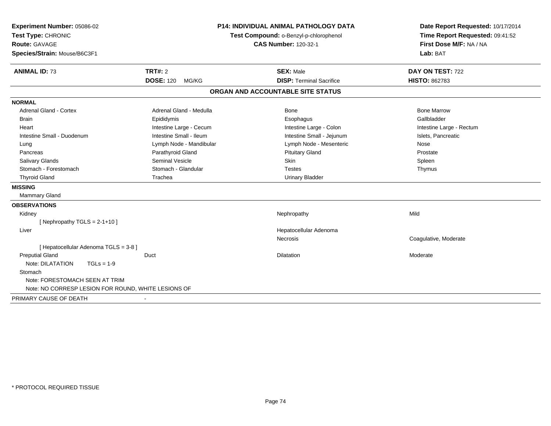| Experiment Number: 05086-02<br>Test Type: CHRONIC<br>Route: GAVAGE<br>Species/Strain: Mouse/B6C3F1 |                           | <b>P14: INDIVIDUAL ANIMAL PATHOLOGY DATA</b><br>Test Compound: o-Benzyl-p-chlorophenol<br><b>CAS Number: 120-32-1</b> | Date Report Requested: 10/17/2014<br>Time Report Requested: 09:41:52<br>First Dose M/F: NA / NA<br>Lab: BAT |
|----------------------------------------------------------------------------------------------------|---------------------------|-----------------------------------------------------------------------------------------------------------------------|-------------------------------------------------------------------------------------------------------------|
| <b>ANIMAL ID: 73</b>                                                                               | <b>TRT#: 2</b>            | <b>SEX: Male</b>                                                                                                      | DAY ON TEST: 722                                                                                            |
|                                                                                                    | <b>DOSE: 120</b><br>MG/KG | <b>DISP: Terminal Sacrifice</b>                                                                                       | <b>HISTO: 862783</b>                                                                                        |
|                                                                                                    |                           | ORGAN AND ACCOUNTABLE SITE STATUS                                                                                     |                                                                                                             |
| <b>NORMAL</b>                                                                                      |                           |                                                                                                                       |                                                                                                             |
| <b>Adrenal Gland - Cortex</b>                                                                      | Adrenal Gland - Medulla   | Bone                                                                                                                  | <b>Bone Marrow</b>                                                                                          |
| <b>Brain</b>                                                                                       | Epididymis                | Esophagus                                                                                                             | Gallbladder                                                                                                 |
| Heart                                                                                              | Intestine Large - Cecum   | Intestine Large - Colon                                                                                               | Intestine Large - Rectum                                                                                    |
| Intestine Small - Duodenum                                                                         | Intestine Small - Ileum   | Intestine Small - Jejunum                                                                                             | Islets, Pancreatic                                                                                          |
| Lung                                                                                               | Lymph Node - Mandibular   | Lymph Node - Mesenteric                                                                                               | Nose                                                                                                        |
| Pancreas                                                                                           | Parathyroid Gland         | <b>Pituitary Gland</b>                                                                                                | Prostate                                                                                                    |
| Salivary Glands                                                                                    | <b>Seminal Vesicle</b>    | Skin                                                                                                                  | Spleen                                                                                                      |
| Stomach - Forestomach                                                                              | Stomach - Glandular       | <b>Testes</b>                                                                                                         | Thymus                                                                                                      |
| <b>Thyroid Gland</b>                                                                               | Trachea                   | <b>Urinary Bladder</b>                                                                                                |                                                                                                             |
| <b>MISSING</b>                                                                                     |                           |                                                                                                                       |                                                                                                             |
| Mammary Gland                                                                                      |                           |                                                                                                                       |                                                                                                             |
| <b>OBSERVATIONS</b>                                                                                |                           |                                                                                                                       |                                                                                                             |
| Kidney                                                                                             |                           | Nephropathy                                                                                                           | Mild                                                                                                        |
| [Nephropathy TGLS = $2-1+10$ ]                                                                     |                           |                                                                                                                       |                                                                                                             |
| Liver                                                                                              |                           | Hepatocellular Adenoma                                                                                                |                                                                                                             |
|                                                                                                    |                           | Necrosis                                                                                                              | Coagulative, Moderate                                                                                       |
| [ Hepatocellular Adenoma TGLS = 3-8 ]                                                              |                           |                                                                                                                       |                                                                                                             |
| <b>Preputial Gland</b>                                                                             | Duct                      | <b>Dilatation</b>                                                                                                     | Moderate                                                                                                    |
| Note: DILATATION<br>$TGLs = 1-9$                                                                   |                           |                                                                                                                       |                                                                                                             |
| Stomach                                                                                            |                           |                                                                                                                       |                                                                                                             |
| Note: FORESTOMACH SEEN AT TRIM                                                                     |                           |                                                                                                                       |                                                                                                             |
| Note: NO CORRESP LESION FOR ROUND, WHITE LESIONS OF                                                |                           |                                                                                                                       |                                                                                                             |
| PRIMARY CAUSE OF DEATH                                                                             |                           |                                                                                                                       |                                                                                                             |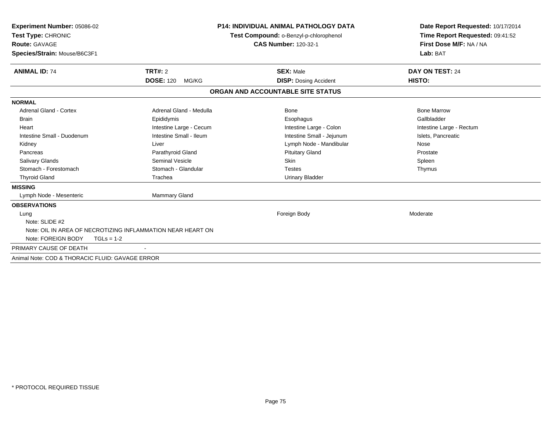| <b>Experiment Number: 05086-02</b><br>Test Type: CHRONIC<br><b>Route: GAVAGE</b><br>Species/Strain: Mouse/B6C3F1 |                           | <b>P14: INDIVIDUAL ANIMAL PATHOLOGY DATA</b><br>Test Compound: o-Benzyl-p-chlorophenol<br><b>CAS Number: 120-32-1</b> | Date Report Requested: 10/17/2014<br>Time Report Requested: 09:41:52<br>First Dose M/F: NA / NA<br>Lab: BAT |  |
|------------------------------------------------------------------------------------------------------------------|---------------------------|-----------------------------------------------------------------------------------------------------------------------|-------------------------------------------------------------------------------------------------------------|--|
| <b>ANIMAL ID: 74</b>                                                                                             | TRT#: 2                   | <b>SEX: Male</b>                                                                                                      | DAY ON TEST: 24                                                                                             |  |
|                                                                                                                  | <b>DOSE: 120</b><br>MG/KG | <b>DISP: Dosing Accident</b>                                                                                          | HISTO:                                                                                                      |  |
|                                                                                                                  |                           | ORGAN AND ACCOUNTABLE SITE STATUS                                                                                     |                                                                                                             |  |
| <b>NORMAL</b>                                                                                                    |                           |                                                                                                                       |                                                                                                             |  |
| <b>Adrenal Gland - Cortex</b>                                                                                    | Adrenal Gland - Medulla   | <b>Bone</b>                                                                                                           | <b>Bone Marrow</b>                                                                                          |  |
| <b>Brain</b>                                                                                                     | Epididymis                | Esophagus                                                                                                             | Gallbladder                                                                                                 |  |
| Heart                                                                                                            | Intestine Large - Cecum   | Intestine Large - Colon                                                                                               | Intestine Large - Rectum                                                                                    |  |
| Intestine Small - Duodenum                                                                                       | Intestine Small - Ileum   | Intestine Small - Jejunum                                                                                             | Islets, Pancreatic                                                                                          |  |
| Kidney                                                                                                           | Liver                     | Lymph Node - Mandibular                                                                                               | Nose                                                                                                        |  |
| Pancreas                                                                                                         | Parathyroid Gland         | <b>Pituitary Gland</b>                                                                                                | Prostate                                                                                                    |  |
| <b>Salivary Glands</b>                                                                                           | <b>Seminal Vesicle</b>    | Skin                                                                                                                  | Spleen                                                                                                      |  |
| Stomach - Forestomach                                                                                            | Stomach - Glandular       | <b>Testes</b>                                                                                                         | Thymus                                                                                                      |  |
| <b>Thyroid Gland</b>                                                                                             | Trachea                   | <b>Urinary Bladder</b>                                                                                                |                                                                                                             |  |
| <b>MISSING</b>                                                                                                   |                           |                                                                                                                       |                                                                                                             |  |
| Lymph Node - Mesenteric                                                                                          | Mammary Gland             |                                                                                                                       |                                                                                                             |  |
| <b>OBSERVATIONS</b>                                                                                              |                           |                                                                                                                       |                                                                                                             |  |
| Lung                                                                                                             |                           | Foreign Body                                                                                                          | Moderate                                                                                                    |  |
| Note: SLIDE #2                                                                                                   |                           |                                                                                                                       |                                                                                                             |  |
| Note: OIL IN AREA OF NECROTIZING INFLAMMATION NEAR HEART ON                                                      |                           |                                                                                                                       |                                                                                                             |  |
| Note: FOREIGN BODY<br>$TGLs = 1-2$                                                                               |                           |                                                                                                                       |                                                                                                             |  |
| PRIMARY CAUSE OF DEATH                                                                                           |                           |                                                                                                                       |                                                                                                             |  |
| Animal Note: COD & THORACIC FLUID: GAVAGE ERROR                                                                  |                           |                                                                                                                       |                                                                                                             |  |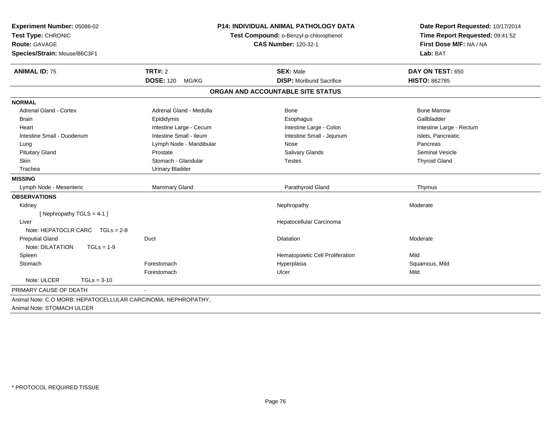| Experiment Number: 05086-02<br>Test Type: CHRONIC<br>Route: GAVAGE<br>Species/Strain: Mouse/B6C3F1 | <b>P14: INDIVIDUAL ANIMAL PATHOLOGY DATA</b><br>Test Compound: o-Benzyl-p-chlorophenol<br><b>CAS Number: 120-32-1</b> |                                   | Date Report Requested: 10/17/2014<br>Time Report Requested: 09:41:52<br>First Dose M/F: NA / NA<br>Lab: BAT |  |
|----------------------------------------------------------------------------------------------------|-----------------------------------------------------------------------------------------------------------------------|-----------------------------------|-------------------------------------------------------------------------------------------------------------|--|
| <b>ANIMAL ID: 75</b>                                                                               | <b>TRT#: 2</b>                                                                                                        | <b>SEX: Male</b>                  | DAY ON TEST: 650                                                                                            |  |
|                                                                                                    | <b>DOSE: 120</b><br>MG/KG                                                                                             | <b>DISP:</b> Moribund Sacrifice   | <b>HISTO: 862785</b>                                                                                        |  |
|                                                                                                    |                                                                                                                       | ORGAN AND ACCOUNTABLE SITE STATUS |                                                                                                             |  |
| <b>NORMAL</b>                                                                                      |                                                                                                                       |                                   |                                                                                                             |  |
| <b>Adrenal Gland - Cortex</b>                                                                      | Adrenal Gland - Medulla                                                                                               | Bone                              | <b>Bone Marrow</b>                                                                                          |  |
| Brain                                                                                              | Epididymis                                                                                                            | Esophagus                         | Gallbladder                                                                                                 |  |
| Heart                                                                                              | Intestine Large - Cecum                                                                                               | Intestine Large - Colon           | Intestine Large - Rectum                                                                                    |  |
| Intestine Small - Duodenum                                                                         | Intestine Small - Ileum                                                                                               | Intestine Small - Jejunum         | Islets, Pancreatic                                                                                          |  |
| Lung                                                                                               | Lymph Node - Mandibular                                                                                               | Nose                              | Pancreas                                                                                                    |  |
| <b>Pituitary Gland</b>                                                                             | Prostate                                                                                                              | Salivary Glands                   | Seminal Vesicle                                                                                             |  |
| <b>Skin</b>                                                                                        | Stomach - Glandular                                                                                                   | <b>Testes</b>                     | <b>Thyroid Gland</b>                                                                                        |  |
| Trachea                                                                                            | <b>Urinary Bladder</b>                                                                                                |                                   |                                                                                                             |  |
| <b>MISSING</b>                                                                                     |                                                                                                                       |                                   |                                                                                                             |  |
| Lymph Node - Mesenteric                                                                            | Mammary Gland                                                                                                         | Parathyroid Gland                 | Thymus                                                                                                      |  |
| <b>OBSERVATIONS</b>                                                                                |                                                                                                                       |                                   |                                                                                                             |  |
| Kidney                                                                                             |                                                                                                                       | Nephropathy                       | Moderate                                                                                                    |  |
| [Nephropathy TGLS = 4-1]                                                                           |                                                                                                                       |                                   |                                                                                                             |  |
| Liver                                                                                              |                                                                                                                       | Hepatocellular Carcinoma          |                                                                                                             |  |
| Note: HEPATOCLR CARC TGLs = 2-8                                                                    |                                                                                                                       |                                   |                                                                                                             |  |
| <b>Preputial Gland</b>                                                                             | Duct                                                                                                                  | Dilatation                        | Moderate                                                                                                    |  |
| Note: DILATATION<br>$TGLs = 1-9$                                                                   |                                                                                                                       |                                   |                                                                                                             |  |
| Spleen                                                                                             |                                                                                                                       | Hematopoietic Cell Proliferation  | Mild                                                                                                        |  |
| Stomach                                                                                            | Forestomach                                                                                                           | Hyperplasia                       | Squamous, Mild                                                                                              |  |
|                                                                                                    | Forestomach                                                                                                           | Ulcer                             | Mild                                                                                                        |  |
| Note: ULCER<br>$TGLs = 3-10$                                                                       |                                                                                                                       |                                   |                                                                                                             |  |
| PRIMARY CAUSE OF DEATH                                                                             |                                                                                                                       |                                   |                                                                                                             |  |
| Animal Note: C O MORB: HEPATOCELLULAR CARCINOMA, NEPHROPATHY,<br>Animal Note: STOMACH ULCER        |                                                                                                                       |                                   |                                                                                                             |  |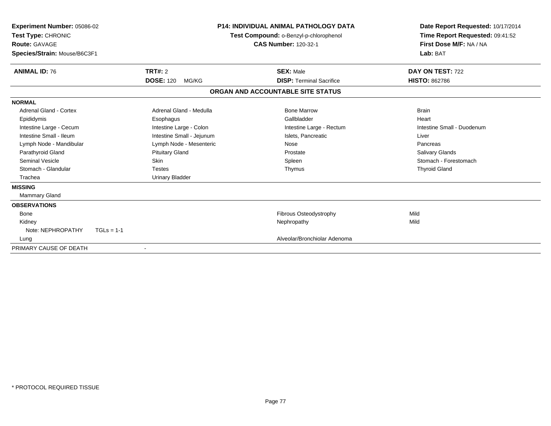| Experiment Number: 05086-02<br>Test Type: CHRONIC<br><b>Route: GAVAGE</b><br>Species/Strain: Mouse/B6C3F1 |                           |       | <b>P14: INDIVIDUAL ANIMAL PATHOLOGY DATA</b><br>Test Compound: o-Benzyl-p-chlorophenol<br><b>CAS Number: 120-32-1</b> | Date Report Requested: 10/17/2014<br>Time Report Requested: 09:41:52<br>First Dose M/F: NA / NA<br>Lab: BAT |
|-----------------------------------------------------------------------------------------------------------|---------------------------|-------|-----------------------------------------------------------------------------------------------------------------------|-------------------------------------------------------------------------------------------------------------|
| <b>ANIMAL ID: 76</b>                                                                                      | TRT#: 2                   |       | <b>SEX: Male</b>                                                                                                      | DAY ON TEST: 722                                                                                            |
|                                                                                                           | <b>DOSE: 120</b>          | MG/KG | <b>DISP: Terminal Sacrifice</b>                                                                                       | <b>HISTO: 862786</b>                                                                                        |
|                                                                                                           |                           |       | ORGAN AND ACCOUNTABLE SITE STATUS                                                                                     |                                                                                                             |
| <b>NORMAL</b>                                                                                             |                           |       |                                                                                                                       |                                                                                                             |
| <b>Adrenal Gland - Cortex</b>                                                                             | Adrenal Gland - Medulla   |       | <b>Bone Marrow</b>                                                                                                    | <b>Brain</b>                                                                                                |
| Epididymis                                                                                                | Esophagus                 |       | Gallbladder                                                                                                           | Heart                                                                                                       |
| Intestine Large - Cecum                                                                                   | Intestine Large - Colon   |       | Intestine Large - Rectum                                                                                              | Intestine Small - Duodenum                                                                                  |
| Intestine Small - Ileum                                                                                   | Intestine Small - Jejunum |       | Islets, Pancreatic                                                                                                    | Liver                                                                                                       |
| Lymph Node - Mandibular                                                                                   | Lymph Node - Mesenteric   |       | Nose                                                                                                                  | Pancreas                                                                                                    |
| Parathyroid Gland                                                                                         | <b>Pituitary Gland</b>    |       | Prostate                                                                                                              | <b>Salivary Glands</b>                                                                                      |
| <b>Seminal Vesicle</b>                                                                                    | <b>Skin</b>               |       | Spleen                                                                                                                | Stomach - Forestomach                                                                                       |
| Stomach - Glandular                                                                                       | <b>Testes</b>             |       | Thymus                                                                                                                | <b>Thyroid Gland</b>                                                                                        |
| Trachea                                                                                                   | <b>Urinary Bladder</b>    |       |                                                                                                                       |                                                                                                             |
| <b>MISSING</b>                                                                                            |                           |       |                                                                                                                       |                                                                                                             |
| <b>Mammary Gland</b>                                                                                      |                           |       |                                                                                                                       |                                                                                                             |
| <b>OBSERVATIONS</b>                                                                                       |                           |       |                                                                                                                       |                                                                                                             |
| <b>Bone</b>                                                                                               |                           |       | Fibrous Osteodystrophy                                                                                                | Mild                                                                                                        |
| Kidney                                                                                                    |                           |       | Nephropathy                                                                                                           | Mild                                                                                                        |
| Note: NEPHROPATHY                                                                                         | $TGLs = 1-1$              |       |                                                                                                                       |                                                                                                             |
| Lung                                                                                                      |                           |       | Alveolar/Bronchiolar Adenoma                                                                                          |                                                                                                             |
| PRIMARY CAUSE OF DEATH                                                                                    |                           |       |                                                                                                                       |                                                                                                             |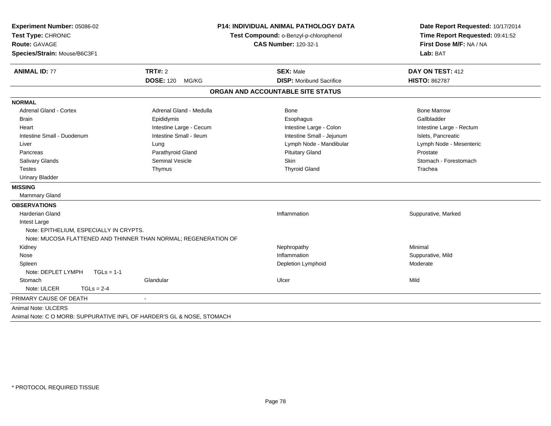| Experiment Number: 05086-02             |                                                                        | <b>P14: INDIVIDUAL ANIMAL PATHOLOGY DATA</b> | Date Report Requested: 10/17/2014                          |
|-----------------------------------------|------------------------------------------------------------------------|----------------------------------------------|------------------------------------------------------------|
| Test Type: CHRONIC<br>Route: GAVAGE     |                                                                        | Test Compound: o-Benzyl-p-chlorophenol       | Time Report Requested: 09:41:52<br>First Dose M/F: NA / NA |
|                                         |                                                                        | <b>CAS Number: 120-32-1</b>                  |                                                            |
| Species/Strain: Mouse/B6C3F1            |                                                                        |                                              | Lab: BAT                                                   |
| <b>ANIMAL ID: 77</b>                    | <b>TRT#: 2</b>                                                         | <b>SEX: Male</b>                             | DAY ON TEST: 412                                           |
|                                         | <b>DOSE: 120</b><br>MG/KG                                              | <b>DISP:</b> Moribund Sacrifice              | <b>HISTO: 862787</b>                                       |
|                                         |                                                                        | ORGAN AND ACCOUNTABLE SITE STATUS            |                                                            |
| <b>NORMAL</b>                           |                                                                        |                                              |                                                            |
| <b>Adrenal Gland - Cortex</b>           | Adrenal Gland - Medulla                                                | <b>Bone</b>                                  | <b>Bone Marrow</b>                                         |
| <b>Brain</b>                            | Epididymis                                                             | Esophagus                                    | Gallbladder                                                |
| Heart                                   | Intestine Large - Cecum                                                | Intestine Large - Colon                      | Intestine Large - Rectum                                   |
| Intestine Small - Duodenum              | Intestine Small - Ileum                                                | Intestine Small - Jejunum                    | Islets, Pancreatic                                         |
| Liver                                   | Lung                                                                   | Lymph Node - Mandibular                      | Lymph Node - Mesenteric                                    |
| Pancreas                                | Parathyroid Gland                                                      | <b>Pituitary Gland</b>                       | Prostate                                                   |
| Salivary Glands                         | <b>Seminal Vesicle</b>                                                 | <b>Skin</b>                                  | Stomach - Forestomach                                      |
| <b>Testes</b>                           | Thymus                                                                 | <b>Thyroid Gland</b>                         | Trachea                                                    |
| <b>Urinary Bladder</b>                  |                                                                        |                                              |                                                            |
| <b>MISSING</b>                          |                                                                        |                                              |                                                            |
| <b>Mammary Gland</b>                    |                                                                        |                                              |                                                            |
| <b>OBSERVATIONS</b>                     |                                                                        |                                              |                                                            |
| <b>Harderian Gland</b>                  |                                                                        | Inflammation                                 | Suppurative, Marked                                        |
| Intest Large                            |                                                                        |                                              |                                                            |
| Note: EPITHELIUM, ESPECIALLY IN CRYPTS. |                                                                        |                                              |                                                            |
|                                         | Note: MUCOSA FLATTENED AND THINNER THAN NORMAL; REGENERATION OF        |                                              |                                                            |
| Kidney                                  |                                                                        | Nephropathy                                  | Minimal                                                    |
| Nose                                    |                                                                        | Inflammation                                 | Suppurative, Mild                                          |
| Spleen                                  |                                                                        | Depletion Lymphoid                           | Moderate                                                   |
| Note: DEPLET LYMPH<br>$TGLs = 1-1$      |                                                                        |                                              |                                                            |
| Stomach                                 | Glandular                                                              | Ulcer                                        | Mild                                                       |
| Note: ULCER<br>$TGLs = 2-4$             |                                                                        |                                              |                                                            |
| PRIMARY CAUSE OF DEATH                  | $\blacksquare$                                                         |                                              |                                                            |
| Animal Note: ULCERS                     |                                                                        |                                              |                                                            |
|                                         | Animal Note: C O MORB: SUPPURATIVE INFL OF HARDER'S GL & NOSE, STOMACH |                                              |                                                            |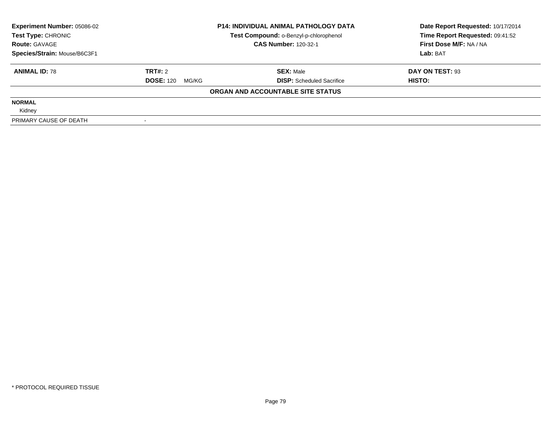| <b>Experiment Number: 05086-02</b> | <b>P14: INDIVIDUAL ANIMAL PATHOLOGY DATA</b><br>Test Compound: o-Benzyl-p-chlorophenol |                                   | Date Report Requested: 10/17/2014 |  |
|------------------------------------|----------------------------------------------------------------------------------------|-----------------------------------|-----------------------------------|--|
| Test Type: CHRONIC                 |                                                                                        |                                   | Time Report Requested: 09:41:52   |  |
| <b>Route: GAVAGE</b>               |                                                                                        | <b>CAS Number: 120-32-1</b>       | First Dose M/F: NA / NA           |  |
| Species/Strain: Mouse/B6C3F1       |                                                                                        |                                   | Lab: BAT                          |  |
| <b>ANIMAL ID: 78</b>               | TRT#: 2                                                                                | <b>SEX: Male</b>                  | DAY ON TEST: 93                   |  |
|                                    | <b>DOSE: 120</b><br>MG/KG                                                              | <b>DISP:</b> Scheduled Sacrifice  | HISTO:                            |  |
|                                    |                                                                                        | ORGAN AND ACCOUNTABLE SITE STATUS |                                   |  |
| <b>NORMAL</b>                      |                                                                                        |                                   |                                   |  |
| Kidney                             |                                                                                        |                                   |                                   |  |
| PRIMARY CAUSE OF DEATH             |                                                                                        |                                   |                                   |  |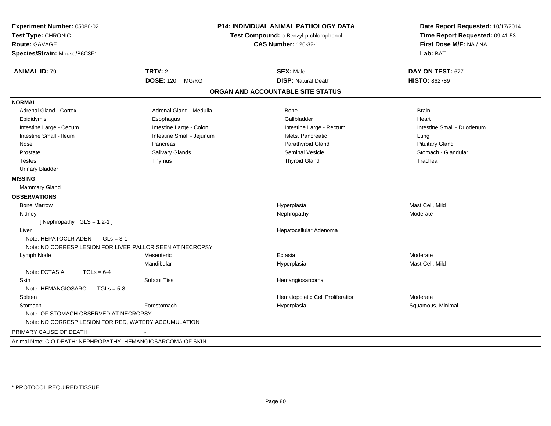| Experiment Number: 05086-02<br>Test Type: CHRONIC<br>Route: GAVAGE<br>Species/Strain: Mouse/B6C3F1 | P14: INDIVIDUAL ANIMAL PATHOLOGY DATA<br>Test Compound: o-Benzyl-p-chlorophenol<br><b>CAS Number: 120-32-1</b> |                                   | Date Report Requested: 10/17/2014<br>Time Report Requested: 09:41:53<br>First Dose M/F: NA / NA<br>Lab: BAT |  |
|----------------------------------------------------------------------------------------------------|----------------------------------------------------------------------------------------------------------------|-----------------------------------|-------------------------------------------------------------------------------------------------------------|--|
| <b>ANIMAL ID: 79</b>                                                                               | <b>TRT#: 2</b>                                                                                                 | <b>SEX: Male</b>                  | DAY ON TEST: 677                                                                                            |  |
|                                                                                                    | <b>DOSE: 120</b><br>MG/KG                                                                                      | <b>DISP: Natural Death</b>        | <b>HISTO: 862789</b>                                                                                        |  |
|                                                                                                    |                                                                                                                | ORGAN AND ACCOUNTABLE SITE STATUS |                                                                                                             |  |
| <b>NORMAL</b>                                                                                      |                                                                                                                |                                   |                                                                                                             |  |
| Adrenal Gland - Cortex                                                                             | Adrenal Gland - Medulla                                                                                        | <b>Bone</b>                       | <b>Brain</b>                                                                                                |  |
| Epididymis                                                                                         | Esophagus                                                                                                      | Gallbladder                       | Heart                                                                                                       |  |
| Intestine Large - Cecum                                                                            | Intestine Large - Colon                                                                                        | Intestine Large - Rectum          | Intestine Small - Duodenum                                                                                  |  |
| Intestine Small - Ileum                                                                            | Intestine Small - Jejunum                                                                                      | Islets, Pancreatic                | Lung                                                                                                        |  |
| Nose                                                                                               | Pancreas                                                                                                       | Parathyroid Gland                 | <b>Pituitary Gland</b>                                                                                      |  |
| Prostate                                                                                           | Salivary Glands                                                                                                | <b>Seminal Vesicle</b>            | Stomach - Glandular                                                                                         |  |
| <b>Testes</b>                                                                                      | Thymus                                                                                                         | <b>Thyroid Gland</b>              | Trachea                                                                                                     |  |
| <b>Urinary Bladder</b>                                                                             |                                                                                                                |                                   |                                                                                                             |  |
| <b>MISSING</b>                                                                                     |                                                                                                                |                                   |                                                                                                             |  |
| <b>Mammary Gland</b>                                                                               |                                                                                                                |                                   |                                                                                                             |  |
| <b>OBSERVATIONS</b>                                                                                |                                                                                                                |                                   |                                                                                                             |  |
| <b>Bone Marrow</b>                                                                                 |                                                                                                                | Hyperplasia                       | Mast Cell, Mild                                                                                             |  |
| Kidney                                                                                             |                                                                                                                | Nephropathy                       | Moderate                                                                                                    |  |
| [Nephropathy TGLS = 1,2-1]                                                                         |                                                                                                                |                                   |                                                                                                             |  |
| Liver                                                                                              |                                                                                                                | Hepatocellular Adenoma            |                                                                                                             |  |
| Note: HEPATOCLR ADEN $TGLs = 3-1$                                                                  |                                                                                                                |                                   |                                                                                                             |  |
| Note: NO CORRESP LESION FOR LIVER PALLOR SEEN AT NECROPSY                                          |                                                                                                                |                                   |                                                                                                             |  |
| Lymph Node                                                                                         | Mesenteric                                                                                                     | Ectasia                           | Moderate                                                                                                    |  |
|                                                                                                    | Mandibular                                                                                                     | Hyperplasia                       | Mast Cell, Mild                                                                                             |  |
| Note: ECTASIA<br>$TGLs = 6-4$                                                                      |                                                                                                                |                                   |                                                                                                             |  |
| Skin                                                                                               | <b>Subcut Tiss</b>                                                                                             | Hemangiosarcoma                   |                                                                                                             |  |
| Note: HEMANGIOSARC<br>$TGLs = 5-8$                                                                 |                                                                                                                |                                   |                                                                                                             |  |
| Spleen                                                                                             |                                                                                                                | Hematopoietic Cell Proliferation  | Moderate                                                                                                    |  |
| Stomach                                                                                            | Forestomach                                                                                                    | Hyperplasia                       | Squamous, Minimal                                                                                           |  |
| Note: OF STOMACH OBSERVED AT NECROPSY<br>Note: NO CORRESP LESION FOR RED, WATERY ACCUMULATION      |                                                                                                                |                                   |                                                                                                             |  |
| PRIMARY CAUSE OF DEATH                                                                             |                                                                                                                |                                   |                                                                                                             |  |
| Animal Note: C O DEATH: NEPHROPATHY, HEMANGIOSARCOMA OF SKIN                                       |                                                                                                                |                                   |                                                                                                             |  |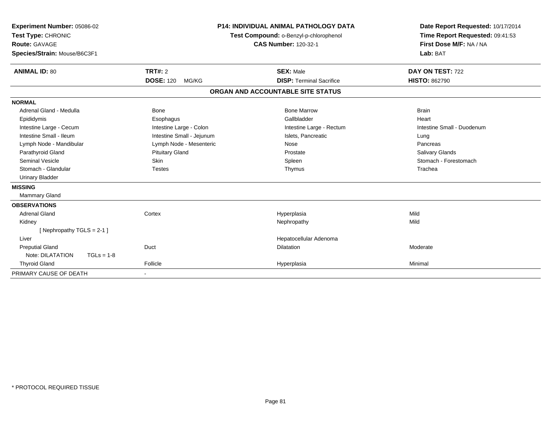| Experiment Number: 05086-02<br>Test Type: CHRONIC<br>Route: GAVAGE<br>Species/Strain: Mouse/B6C3F1<br><b>ANIMAL ID: 80</b> | <b>TRT#: 2</b><br><b>DOSE: 120</b><br>MG/KG | <b>P14: INDIVIDUAL ANIMAL PATHOLOGY DATA</b><br>Test Compound: o-Benzyl-p-chlorophenol<br><b>CAS Number: 120-32-1</b><br><b>SEX: Male</b><br><b>DISP: Terminal Sacrifice</b> |  | Date Report Requested: 10/17/2014<br>Time Report Requested: 09:41:53<br>First Dose M/F: NA / NA<br>Lab: BAT<br>DAY ON TEST: 722<br><b>HISTO: 862790</b> |
|----------------------------------------------------------------------------------------------------------------------------|---------------------------------------------|------------------------------------------------------------------------------------------------------------------------------------------------------------------------------|--|---------------------------------------------------------------------------------------------------------------------------------------------------------|
|                                                                                                                            |                                             | ORGAN AND ACCOUNTABLE SITE STATUS                                                                                                                                            |  |                                                                                                                                                         |
| <b>NORMAL</b>                                                                                                              |                                             |                                                                                                                                                                              |  |                                                                                                                                                         |
| Adrenal Gland - Medulla                                                                                                    | <b>Bone</b>                                 | <b>Bone Marrow</b>                                                                                                                                                           |  | <b>Brain</b>                                                                                                                                            |
| Epididymis                                                                                                                 | Esophagus                                   | Gallbladder                                                                                                                                                                  |  | Heart                                                                                                                                                   |
| Intestine Large - Cecum                                                                                                    | Intestine Large - Colon                     | Intestine Large - Rectum                                                                                                                                                     |  | Intestine Small - Duodenum                                                                                                                              |
| Intestine Small - Ileum                                                                                                    | Intestine Small - Jejunum                   | Islets. Pancreatic                                                                                                                                                           |  | Lung                                                                                                                                                    |
| Lymph Node - Mandibular                                                                                                    | Lymph Node - Mesenteric                     | Nose                                                                                                                                                                         |  | Pancreas                                                                                                                                                |
| Parathyroid Gland                                                                                                          | <b>Pituitary Gland</b>                      | Prostate                                                                                                                                                                     |  | <b>Salivary Glands</b>                                                                                                                                  |
| <b>Seminal Vesicle</b>                                                                                                     | <b>Skin</b>                                 | Spleen                                                                                                                                                                       |  | Stomach - Forestomach                                                                                                                                   |
| Stomach - Glandular                                                                                                        | <b>Testes</b>                               | Thymus                                                                                                                                                                       |  | Trachea                                                                                                                                                 |
| <b>Urinary Bladder</b>                                                                                                     |                                             |                                                                                                                                                                              |  |                                                                                                                                                         |
| <b>MISSING</b>                                                                                                             |                                             |                                                                                                                                                                              |  |                                                                                                                                                         |
| <b>Mammary Gland</b>                                                                                                       |                                             |                                                                                                                                                                              |  |                                                                                                                                                         |
| <b>OBSERVATIONS</b>                                                                                                        |                                             |                                                                                                                                                                              |  |                                                                                                                                                         |
| <b>Adrenal Gland</b>                                                                                                       | Cortex                                      | Hyperplasia                                                                                                                                                                  |  | Mild                                                                                                                                                    |
| Kidney                                                                                                                     |                                             | Nephropathy                                                                                                                                                                  |  | Mild                                                                                                                                                    |
| [Nephropathy TGLS = 2-1]                                                                                                   |                                             |                                                                                                                                                                              |  |                                                                                                                                                         |
| Liver                                                                                                                      |                                             | Hepatocellular Adenoma                                                                                                                                                       |  |                                                                                                                                                         |
| <b>Preputial Gland</b>                                                                                                     | Duct                                        | <b>Dilatation</b>                                                                                                                                                            |  | Moderate                                                                                                                                                |
| Note: DILATATION<br>$TGLs = 1-8$                                                                                           |                                             |                                                                                                                                                                              |  |                                                                                                                                                         |
| <b>Thyroid Gland</b>                                                                                                       | Follicle                                    | Hyperplasia                                                                                                                                                                  |  | Minimal                                                                                                                                                 |
| PRIMARY CAUSE OF DEATH                                                                                                     | $\overline{\phantom{a}}$                    |                                                                                                                                                                              |  |                                                                                                                                                         |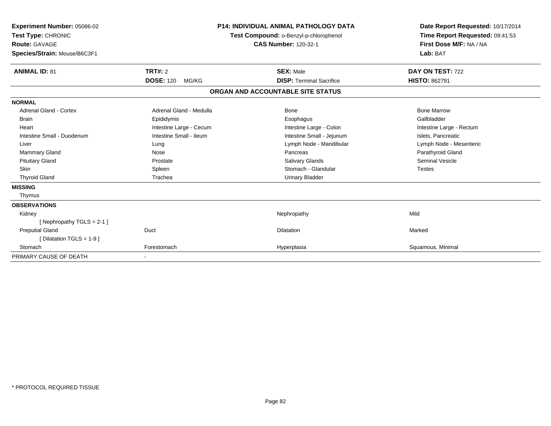| Experiment Number: 05086-02<br>Test Type: CHRONIC<br>Route: GAVAGE<br>Species/Strain: Mouse/B6C3F1 |                           | <b>P14: INDIVIDUAL ANIMAL PATHOLOGY DATA</b><br>Test Compound: o-Benzyl-p-chlorophenol<br><b>CAS Number: 120-32-1</b> | Date Report Requested: 10/17/2014<br>Time Report Requested: 09:41:53<br>First Dose M/F: NA / NA<br>Lab: BAT |
|----------------------------------------------------------------------------------------------------|---------------------------|-----------------------------------------------------------------------------------------------------------------------|-------------------------------------------------------------------------------------------------------------|
| <b>ANIMAL ID: 81</b>                                                                               | <b>TRT#: 2</b>            | <b>SEX: Male</b>                                                                                                      | DAY ON TEST: 722                                                                                            |
|                                                                                                    | <b>DOSE: 120</b><br>MG/KG | <b>DISP: Terminal Sacrifice</b>                                                                                       | <b>HISTO: 862791</b>                                                                                        |
|                                                                                                    |                           | ORGAN AND ACCOUNTABLE SITE STATUS                                                                                     |                                                                                                             |
| <b>NORMAL</b>                                                                                      |                           |                                                                                                                       |                                                                                                             |
| Adrenal Gland - Cortex                                                                             | Adrenal Gland - Medulla   | Bone                                                                                                                  | <b>Bone Marrow</b>                                                                                          |
| <b>Brain</b>                                                                                       | Epididymis                | Esophagus                                                                                                             | Gallbladder                                                                                                 |
| Heart                                                                                              | Intestine Large - Cecum   | Intestine Large - Colon                                                                                               | Intestine Large - Rectum                                                                                    |
| Intestine Small - Duodenum                                                                         | Intestine Small - Ileum   | Intestine Small - Jejunum                                                                                             | Islets, Pancreatic                                                                                          |
| Liver                                                                                              | Lung                      | Lymph Node - Mandibular                                                                                               | Lymph Node - Mesenteric                                                                                     |
| <b>Mammary Gland</b>                                                                               | Nose                      | Pancreas                                                                                                              | Parathyroid Gland                                                                                           |
| <b>Pituitary Gland</b>                                                                             | Prostate                  | <b>Salivary Glands</b>                                                                                                | <b>Seminal Vesicle</b>                                                                                      |
| <b>Skin</b>                                                                                        | Spleen                    | Stomach - Glandular                                                                                                   | <b>Testes</b>                                                                                               |
| <b>Thyroid Gland</b>                                                                               | Trachea                   | <b>Urinary Bladder</b>                                                                                                |                                                                                                             |
| <b>MISSING</b>                                                                                     |                           |                                                                                                                       |                                                                                                             |
| Thymus                                                                                             |                           |                                                                                                                       |                                                                                                             |
| <b>OBSERVATIONS</b>                                                                                |                           |                                                                                                                       |                                                                                                             |
| Kidney                                                                                             |                           | Nephropathy                                                                                                           | Mild                                                                                                        |
| [Nephropathy TGLS = $2-1$ ]                                                                        |                           |                                                                                                                       |                                                                                                             |
| <b>Preputial Gland</b>                                                                             | Duct                      | <b>Dilatation</b>                                                                                                     | Marked                                                                                                      |
| [Dilatation TGLS = 1-9]                                                                            |                           |                                                                                                                       |                                                                                                             |
| Stomach                                                                                            | Forestomach               | Hyperplasia                                                                                                           | Squamous, Minimal                                                                                           |
| PRIMARY CAUSE OF DEATH                                                                             |                           |                                                                                                                       |                                                                                                             |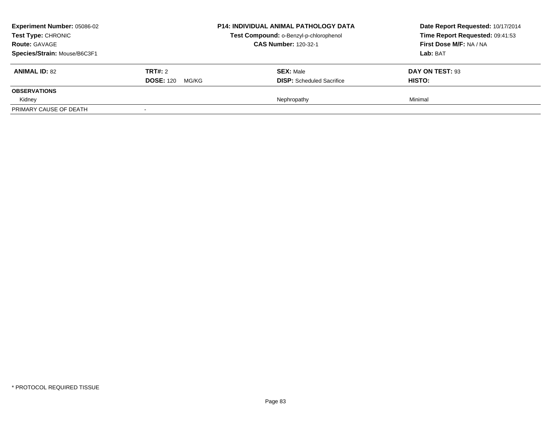| <b>Experiment Number: 05086-02</b><br>Test Type: CHRONIC<br><b>Route: GAVAGE</b><br>Species/Strain: Mouse/B6C3F1 |                                          | <b>P14: INDIVIDUAL ANIMAL PATHOLOGY DATA</b><br>Test Compound: o-Benzyl-p-chlorophenol<br><b>CAS Number: 120-32-1</b> | Date Report Requested: 10/17/2014<br>Time Report Requested: 09:41:53<br>First Dose M/F: NA / NA<br>Lab: BAT |
|------------------------------------------------------------------------------------------------------------------|------------------------------------------|-----------------------------------------------------------------------------------------------------------------------|-------------------------------------------------------------------------------------------------------------|
| <b>ANIMAL ID: 82</b>                                                                                             | <b>TRT#: 2</b><br><b>DOSE: 120 MG/KG</b> | <b>SEX: Male</b><br><b>DISP:</b> Scheduled Sacrifice                                                                  | DAY ON TEST: 93<br><b>HISTO:</b>                                                                            |
| <b>OBSERVATIONS</b>                                                                                              |                                          |                                                                                                                       |                                                                                                             |
| Kidney<br>PRIMARY CAUSE OF DEATH                                                                                 |                                          | Nephropathy                                                                                                           | Minimal                                                                                                     |
|                                                                                                                  |                                          |                                                                                                                       |                                                                                                             |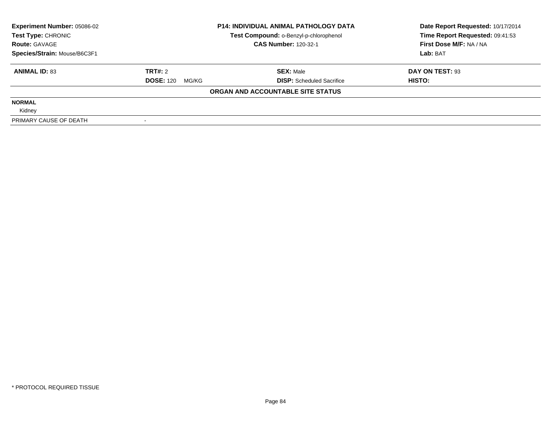| <b>Experiment Number: 05086-02</b> | <b>P14: INDIVIDUAL ANIMAL PATHOLOGY DATA</b><br>Test Compound: o-Benzyl-p-chlorophenol |                                   | Date Report Requested: 10/17/2014 |  |
|------------------------------------|----------------------------------------------------------------------------------------|-----------------------------------|-----------------------------------|--|
| Test Type: CHRONIC                 |                                                                                        |                                   | Time Report Requested: 09:41:53   |  |
| <b>Route: GAVAGE</b>               |                                                                                        | <b>CAS Number: 120-32-1</b>       | First Dose M/F: NA / NA           |  |
| Species/Strain: Mouse/B6C3F1       |                                                                                        |                                   | Lab: BAT                          |  |
| <b>ANIMAL ID: 83</b>               | TRT#: 2                                                                                | <b>SEX: Male</b>                  | DAY ON TEST: 93                   |  |
|                                    | <b>DOSE: 120</b><br>MG/KG                                                              | <b>DISP:</b> Scheduled Sacrifice  | HISTO:                            |  |
|                                    |                                                                                        | ORGAN AND ACCOUNTABLE SITE STATUS |                                   |  |
| <b>NORMAL</b>                      |                                                                                        |                                   |                                   |  |
| Kidney                             |                                                                                        |                                   |                                   |  |
| PRIMARY CAUSE OF DEATH             |                                                                                        |                                   |                                   |  |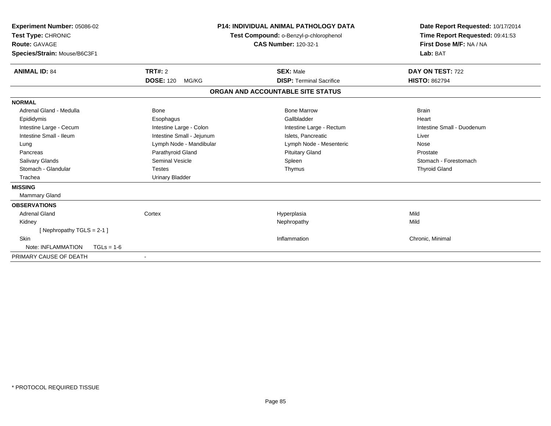| <b>Experiment Number: 05086-02</b><br>Test Type: CHRONIC<br>Route: GAVAGE<br>Species/Strain: Mouse/B6C3F1 | <b>P14: INDIVIDUAL ANIMAL PATHOLOGY DATA</b><br>Test Compound: o-Benzyl-p-chlorophenol<br><b>CAS Number: 120-32-1</b> |                                   | Date Report Requested: 10/17/2014<br>Time Report Requested: 09:41:53<br>First Dose M/F: NA / NA<br>Lab: BAT |
|-----------------------------------------------------------------------------------------------------------|-----------------------------------------------------------------------------------------------------------------------|-----------------------------------|-------------------------------------------------------------------------------------------------------------|
| <b>ANIMAL ID: 84</b>                                                                                      | TRT#: 2                                                                                                               | <b>SEX: Male</b>                  | DAY ON TEST: 722                                                                                            |
|                                                                                                           | <b>DOSE: 120</b><br>MG/KG                                                                                             | <b>DISP: Terminal Sacrifice</b>   | <b>HISTO: 862794</b>                                                                                        |
|                                                                                                           |                                                                                                                       | ORGAN AND ACCOUNTABLE SITE STATUS |                                                                                                             |
| <b>NORMAL</b>                                                                                             |                                                                                                                       |                                   |                                                                                                             |
| Adrenal Gland - Medulla                                                                                   | Bone                                                                                                                  | <b>Bone Marrow</b>                | <b>Brain</b>                                                                                                |
| Epididymis                                                                                                | Esophagus                                                                                                             | Gallbladder                       | Heart                                                                                                       |
| Intestine Large - Cecum                                                                                   | Intestine Large - Colon                                                                                               | Intestine Large - Rectum          | Intestine Small - Duodenum                                                                                  |
| Intestine Small - Ileum                                                                                   | Intestine Small - Jejunum                                                                                             | Islets. Pancreatic                | Liver                                                                                                       |
| Lung                                                                                                      | Lymph Node - Mandibular                                                                                               | Lymph Node - Mesenteric           | Nose                                                                                                        |
| Pancreas                                                                                                  | Parathyroid Gland                                                                                                     | <b>Pituitary Gland</b>            | Prostate                                                                                                    |
| Salivary Glands                                                                                           | <b>Seminal Vesicle</b>                                                                                                | Spleen                            | Stomach - Forestomach                                                                                       |
| Stomach - Glandular                                                                                       | <b>Testes</b>                                                                                                         | Thymus                            | <b>Thyroid Gland</b>                                                                                        |
| Trachea                                                                                                   | <b>Urinary Bladder</b>                                                                                                |                                   |                                                                                                             |
| <b>MISSING</b>                                                                                            |                                                                                                                       |                                   |                                                                                                             |
| <b>Mammary Gland</b>                                                                                      |                                                                                                                       |                                   |                                                                                                             |
| <b>OBSERVATIONS</b>                                                                                       |                                                                                                                       |                                   |                                                                                                             |
| Adrenal Gland                                                                                             | Cortex                                                                                                                | Hyperplasia                       | Mild                                                                                                        |
| Kidney                                                                                                    |                                                                                                                       | Nephropathy                       | Mild                                                                                                        |
| [Nephropathy TGLS = $2-1$ ]                                                                               |                                                                                                                       |                                   |                                                                                                             |
| <b>Skin</b>                                                                                               |                                                                                                                       | Inflammation                      | Chronic, Minimal                                                                                            |
| Note: INFLAMMATION<br>$TGLs = 1-6$                                                                        |                                                                                                                       |                                   |                                                                                                             |
| PRIMARY CAUSE OF DEATH                                                                                    |                                                                                                                       |                                   |                                                                                                             |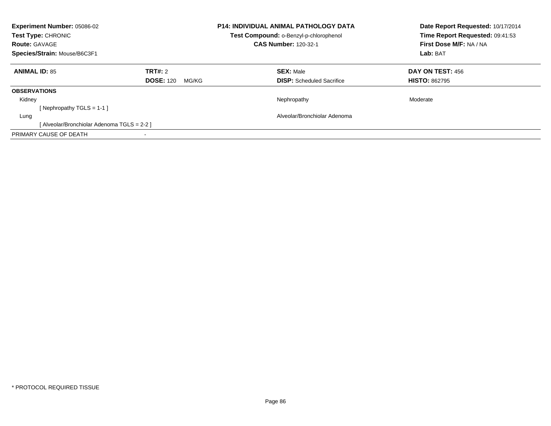| <b>Experiment Number: 05086-02</b><br><b>Test Type: CHRONIC</b><br><b>Route: GAVAGE</b><br>Species/Strain: Mouse/B6C3F1 |                                      | <b>P14: INDIVIDUAL ANIMAL PATHOLOGY DATA</b><br>Test Compound: o-Benzyl-p-chlorophenol<br><b>CAS Number: 120-32-1</b> | Date Report Requested: 10/17/2014<br>Time Report Requested: 09:41:53<br>First Dose M/F: NA / NA<br>Lab: BAT |  |
|-------------------------------------------------------------------------------------------------------------------------|--------------------------------------|-----------------------------------------------------------------------------------------------------------------------|-------------------------------------------------------------------------------------------------------------|--|
| <b>ANIMAL ID: 85</b>                                                                                                    | TRT#: 2<br><b>DOSE: 120</b><br>MG/KG | <b>SEX: Male</b><br><b>DISP:</b> Scheduled Sacrifice                                                                  | <b>DAY ON TEST: 456</b><br><b>HISTO: 862795</b>                                                             |  |
| <b>OBSERVATIONS</b>                                                                                                     |                                      |                                                                                                                       |                                                                                                             |  |
| Kidney<br>[Nephropathy TGLS = 1-1]                                                                                      |                                      | Nephropathy                                                                                                           | Moderate                                                                                                    |  |
| Lung                                                                                                                    |                                      | Alveolar/Bronchiolar Adenoma                                                                                          |                                                                                                             |  |
| [ Alveolar/Bronchiolar Adenoma TGLS = 2-2 ]                                                                             |                                      |                                                                                                                       |                                                                                                             |  |
| PRIMARY CAUSE OF DEATH                                                                                                  |                                      |                                                                                                                       |                                                                                                             |  |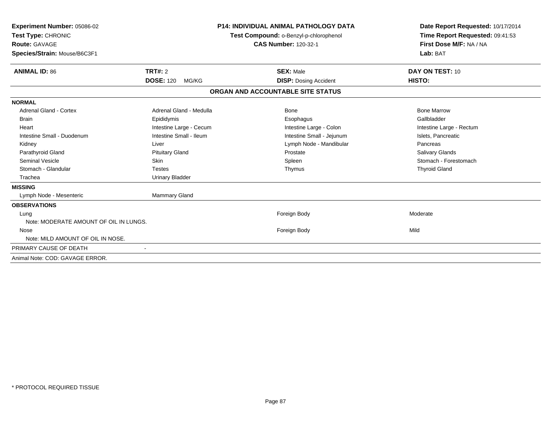| <b>Experiment Number: 05086-02</b><br>Test Type: CHRONIC<br><b>Route: GAVAGE</b><br>Species/Strain: Mouse/B6C3F1 |                           | <b>P14: INDIVIDUAL ANIMAL PATHOLOGY DATA</b><br>Test Compound: o-Benzyl-p-chlorophenol<br><b>CAS Number: 120-32-1</b> | Date Report Requested: 10/17/2014<br>Time Report Requested: 09:41:53<br>First Dose M/F: NA / NA<br>Lab: BAT |
|------------------------------------------------------------------------------------------------------------------|---------------------------|-----------------------------------------------------------------------------------------------------------------------|-------------------------------------------------------------------------------------------------------------|
| <b>ANIMAL ID: 86</b>                                                                                             | TRT#: 2                   | <b>SEX: Male</b>                                                                                                      | DAY ON TEST: 10                                                                                             |
|                                                                                                                  | <b>DOSE: 120</b><br>MG/KG | <b>DISP:</b> Dosing Accident                                                                                          | HISTO:                                                                                                      |
|                                                                                                                  |                           | ORGAN AND ACCOUNTABLE SITE STATUS                                                                                     |                                                                                                             |
| <b>NORMAL</b>                                                                                                    |                           |                                                                                                                       |                                                                                                             |
| <b>Adrenal Gland - Cortex</b>                                                                                    | Adrenal Gland - Medulla   | <b>Bone</b>                                                                                                           | <b>Bone Marrow</b>                                                                                          |
| <b>Brain</b>                                                                                                     | Epididymis                | Esophagus                                                                                                             | Gallbladder                                                                                                 |
| Heart                                                                                                            | Intestine Large - Cecum   | Intestine Large - Colon                                                                                               | Intestine Large - Rectum                                                                                    |
| Intestine Small - Duodenum                                                                                       | Intestine Small - Ileum   | Intestine Small - Jejunum                                                                                             | Islets, Pancreatic                                                                                          |
| Kidney                                                                                                           | Liver                     | Lymph Node - Mandibular                                                                                               | Pancreas                                                                                                    |
| Parathyroid Gland                                                                                                | <b>Pituitary Gland</b>    | Prostate                                                                                                              | Salivary Glands                                                                                             |
| <b>Seminal Vesicle</b>                                                                                           | Skin                      | Spleen                                                                                                                | Stomach - Forestomach                                                                                       |
| Stomach - Glandular                                                                                              | <b>Testes</b>             | Thymus                                                                                                                | <b>Thyroid Gland</b>                                                                                        |
| Trachea                                                                                                          | <b>Urinary Bladder</b>    |                                                                                                                       |                                                                                                             |
| <b>MISSING</b>                                                                                                   |                           |                                                                                                                       |                                                                                                             |
| Lymph Node - Mesenteric                                                                                          | Mammary Gland             |                                                                                                                       |                                                                                                             |
| <b>OBSERVATIONS</b>                                                                                              |                           |                                                                                                                       |                                                                                                             |
| Lung                                                                                                             |                           | Foreign Body                                                                                                          | Moderate                                                                                                    |
| Note: MODERATE AMOUNT OF OIL IN LUNGS.                                                                           |                           |                                                                                                                       |                                                                                                             |
| Nose                                                                                                             |                           | Foreign Body                                                                                                          | Mild                                                                                                        |
| Note: MILD AMOUNT OF OIL IN NOSE.                                                                                |                           |                                                                                                                       |                                                                                                             |
| PRIMARY CAUSE OF DEATH                                                                                           |                           |                                                                                                                       |                                                                                                             |
| Animal Note: COD: GAVAGE ERROR.                                                                                  |                           |                                                                                                                       |                                                                                                             |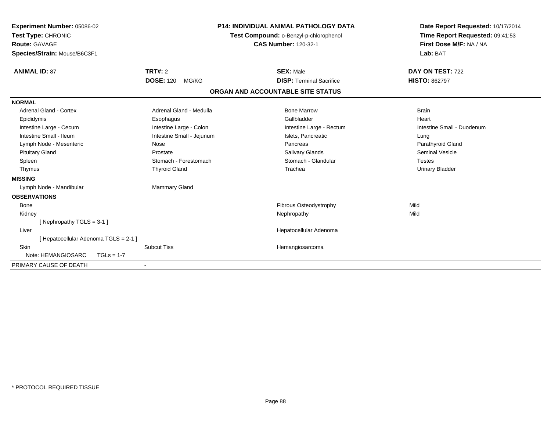| Experiment Number: 05086-02<br>Test Type: CHRONIC<br><b>Route: GAVAGE</b><br>Species/Strain: Mouse/B6C3F1 |                                      | <b>P14: INDIVIDUAL ANIMAL PATHOLOGY DATA</b><br>Test Compound: o-Benzyl-p-chlorophenol<br><b>CAS Number: 120-32-1</b> |                                                     | Date Report Requested: 10/17/2014<br>Time Report Requested: 09:41:53<br>First Dose M/F: NA / NA<br>Lab: BAT |
|-----------------------------------------------------------------------------------------------------------|--------------------------------------|-----------------------------------------------------------------------------------------------------------------------|-----------------------------------------------------|-------------------------------------------------------------------------------------------------------------|
| <b>ANIMAL ID: 87</b>                                                                                      | TRT#: 2<br><b>DOSE: 120</b><br>MG/KG |                                                                                                                       | <b>SEX: Male</b><br><b>DISP: Terminal Sacrifice</b> | DAY ON TEST: 722<br><b>HISTO: 862797</b>                                                                    |
|                                                                                                           |                                      |                                                                                                                       |                                                     |                                                                                                             |
|                                                                                                           |                                      |                                                                                                                       | ORGAN AND ACCOUNTABLE SITE STATUS                   |                                                                                                             |
| <b>NORMAL</b>                                                                                             |                                      |                                                                                                                       |                                                     |                                                                                                             |
| Adrenal Gland - Cortex                                                                                    | Adrenal Gland - Medulla              |                                                                                                                       | <b>Bone Marrow</b>                                  | <b>Brain</b>                                                                                                |
| Epididymis                                                                                                | Esophagus                            |                                                                                                                       | Gallbladder                                         | Heart                                                                                                       |
| Intestine Large - Cecum                                                                                   | Intestine Large - Colon              |                                                                                                                       | Intestine Large - Rectum                            | Intestine Small - Duodenum                                                                                  |
| Intestine Small - Ileum                                                                                   | Intestine Small - Jejunum            |                                                                                                                       | Islets, Pancreatic                                  | Lung                                                                                                        |
| Lymph Node - Mesenteric                                                                                   | Nose                                 |                                                                                                                       | Pancreas                                            | Parathyroid Gland                                                                                           |
| <b>Pituitary Gland</b>                                                                                    | Prostate                             |                                                                                                                       | <b>Salivary Glands</b>                              | <b>Seminal Vesicle</b>                                                                                      |
| Spleen                                                                                                    | Stomach - Forestomach                |                                                                                                                       | Stomach - Glandular                                 | <b>Testes</b>                                                                                               |
| Thymus                                                                                                    | <b>Thyroid Gland</b>                 |                                                                                                                       | Trachea                                             | <b>Urinary Bladder</b>                                                                                      |
| <b>MISSING</b>                                                                                            |                                      |                                                                                                                       |                                                     |                                                                                                             |
| Lymph Node - Mandibular                                                                                   | <b>Mammary Gland</b>                 |                                                                                                                       |                                                     |                                                                                                             |
| <b>OBSERVATIONS</b>                                                                                       |                                      |                                                                                                                       |                                                     |                                                                                                             |
| <b>Bone</b>                                                                                               |                                      |                                                                                                                       | <b>Fibrous Osteodystrophy</b>                       | Mild                                                                                                        |
| Kidney                                                                                                    |                                      |                                                                                                                       | Nephropathy                                         | Mild                                                                                                        |
| [Nephropathy TGLS = 3-1]                                                                                  |                                      |                                                                                                                       |                                                     |                                                                                                             |
| Liver                                                                                                     |                                      |                                                                                                                       | Hepatocellular Adenoma                              |                                                                                                             |
| [ Hepatocellular Adenoma TGLS = 2-1 ]                                                                     |                                      |                                                                                                                       |                                                     |                                                                                                             |
| <b>Skin</b>                                                                                               | <b>Subcut Tiss</b>                   |                                                                                                                       | Hemangiosarcoma                                     |                                                                                                             |
| Note: HEMANGIOSARC<br>$TGLs = 1-7$                                                                        |                                      |                                                                                                                       |                                                     |                                                                                                             |
| PRIMARY CAUSE OF DEATH                                                                                    |                                      |                                                                                                                       |                                                     |                                                                                                             |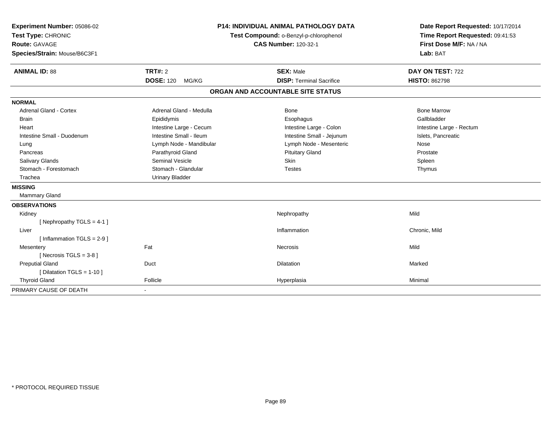| Experiment Number: 05086-02<br>Test Type: CHRONIC<br>Route: GAVAGE<br>Species/Strain: Mouse/B6C3F1 |                           | P14: INDIVIDUAL ANIMAL PATHOLOGY DATA<br>Test Compound: o-Benzyl-p-chlorophenol<br><b>CAS Number: 120-32-1</b> | Date Report Requested: 10/17/2014<br>Time Report Requested: 09:41:53<br>First Dose M/F: NA / NA<br>Lab: BAT |
|----------------------------------------------------------------------------------------------------|---------------------------|----------------------------------------------------------------------------------------------------------------|-------------------------------------------------------------------------------------------------------------|
| <b>ANIMAL ID: 88</b>                                                                               | TRT#: 2                   | <b>SEX: Male</b>                                                                                               | DAY ON TEST: 722                                                                                            |
|                                                                                                    | <b>DOSE: 120</b><br>MG/KG | <b>DISP: Terminal Sacrifice</b>                                                                                | <b>HISTO: 862798</b>                                                                                        |
|                                                                                                    |                           | ORGAN AND ACCOUNTABLE SITE STATUS                                                                              |                                                                                                             |
| <b>NORMAL</b>                                                                                      |                           |                                                                                                                |                                                                                                             |
| <b>Adrenal Gland - Cortex</b>                                                                      | Adrenal Gland - Medulla   | Bone                                                                                                           | <b>Bone Marrow</b>                                                                                          |
| <b>Brain</b>                                                                                       | Epididymis                | Esophagus                                                                                                      | Gallbladder                                                                                                 |
| Heart                                                                                              | Intestine Large - Cecum   | Intestine Large - Colon                                                                                        | Intestine Large - Rectum                                                                                    |
| Intestine Small - Duodenum                                                                         | Intestine Small - Ileum   | Intestine Small - Jejunum                                                                                      | Islets, Pancreatic                                                                                          |
| Lung                                                                                               | Lymph Node - Mandibular   | Lymph Node - Mesenteric                                                                                        | Nose                                                                                                        |
| Pancreas                                                                                           | Parathyroid Gland         | <b>Pituitary Gland</b>                                                                                         | Prostate                                                                                                    |
| Salivary Glands                                                                                    | <b>Seminal Vesicle</b>    | Skin                                                                                                           | Spleen                                                                                                      |
| Stomach - Forestomach                                                                              | Stomach - Glandular       | <b>Testes</b>                                                                                                  | Thymus                                                                                                      |
| Trachea                                                                                            | <b>Urinary Bladder</b>    |                                                                                                                |                                                                                                             |
| <b>MISSING</b>                                                                                     |                           |                                                                                                                |                                                                                                             |
| Mammary Gland                                                                                      |                           |                                                                                                                |                                                                                                             |
| <b>OBSERVATIONS</b>                                                                                |                           |                                                                                                                |                                                                                                             |
| Kidney                                                                                             |                           | Nephropathy                                                                                                    | Mild                                                                                                        |
| [Nephropathy TGLS = $4-1$ ]                                                                        |                           |                                                                                                                |                                                                                                             |
| Liver                                                                                              |                           | Inflammation                                                                                                   | Chronic, Mild                                                                                               |
| [Inflammation TGLS = $2-9$ ]                                                                       |                           |                                                                                                                |                                                                                                             |
| Mesentery                                                                                          | Fat                       | Necrosis                                                                                                       | Mild                                                                                                        |
| [Necrosis TGLS = $3-8$ ]                                                                           |                           |                                                                                                                |                                                                                                             |
| <b>Preputial Gland</b>                                                                             | Duct                      | <b>Dilatation</b>                                                                                              | Marked                                                                                                      |
| [ Dilatation TGLS = 1-10 ]                                                                         |                           |                                                                                                                |                                                                                                             |
| <b>Thyroid Gland</b>                                                                               | Follicle                  | Hyperplasia                                                                                                    | Minimal                                                                                                     |
| PRIMARY CAUSE OF DEATH                                                                             |                           |                                                                                                                |                                                                                                             |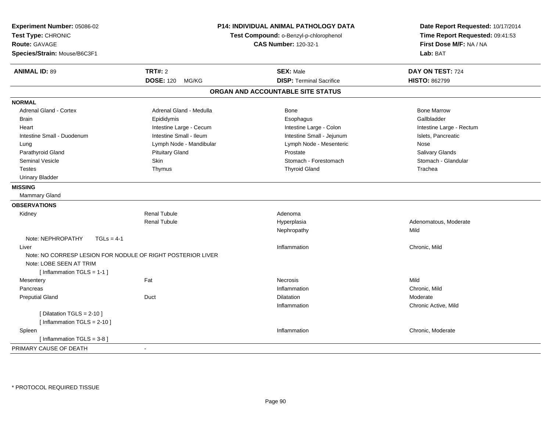| Experiment Number: 05086-02<br>Test Type: CHRONIC<br><b>Route: GAVAGE</b><br>Species/Strain: Mouse/B6C3F1              | <b>P14: INDIVIDUAL ANIMAL PATHOLOGY DATA</b><br>Test Compound: o-Benzyl-p-chlorophenol<br><b>CAS Number: 120-32-1</b> |                                   | Date Report Requested: 10/17/2014<br>Time Report Requested: 09:41:53<br>First Dose M/F: NA / NA<br>Lab: BAT |
|------------------------------------------------------------------------------------------------------------------------|-----------------------------------------------------------------------------------------------------------------------|-----------------------------------|-------------------------------------------------------------------------------------------------------------|
| <b>ANIMAL ID: 89</b>                                                                                                   | <b>TRT#: 2</b>                                                                                                        | <b>SEX: Male</b>                  | DAY ON TEST: 724                                                                                            |
|                                                                                                                        | <b>DOSE: 120</b><br>MG/KG                                                                                             | <b>DISP: Terminal Sacrifice</b>   | <b>HISTO: 862799</b>                                                                                        |
|                                                                                                                        |                                                                                                                       | ORGAN AND ACCOUNTABLE SITE STATUS |                                                                                                             |
| <b>NORMAL</b>                                                                                                          |                                                                                                                       |                                   |                                                                                                             |
| <b>Adrenal Gland - Cortex</b>                                                                                          | Adrenal Gland - Medulla                                                                                               | Bone                              | <b>Bone Marrow</b>                                                                                          |
| <b>Brain</b>                                                                                                           | Epididymis                                                                                                            | Esophagus                         | Gallbladder                                                                                                 |
| Heart                                                                                                                  | Intestine Large - Cecum                                                                                               | Intestine Large - Colon           | Intestine Large - Rectum                                                                                    |
| Intestine Small - Duodenum                                                                                             | Intestine Small - Ileum                                                                                               | Intestine Small - Jejunum         | Islets, Pancreatic                                                                                          |
| Lung                                                                                                                   | Lymph Node - Mandibular                                                                                               | Lymph Node - Mesenteric           | Nose                                                                                                        |
| Parathyroid Gland                                                                                                      | <b>Pituitary Gland</b>                                                                                                | Prostate                          | Salivary Glands                                                                                             |
| <b>Seminal Vesicle</b>                                                                                                 | Skin                                                                                                                  | Stomach - Forestomach             | Stomach - Glandular                                                                                         |
| Testes                                                                                                                 | Thymus                                                                                                                | <b>Thyroid Gland</b>              | Trachea                                                                                                     |
| <b>Urinary Bladder</b>                                                                                                 |                                                                                                                       |                                   |                                                                                                             |
| <b>MISSING</b>                                                                                                         |                                                                                                                       |                                   |                                                                                                             |
| <b>Mammary Gland</b>                                                                                                   |                                                                                                                       |                                   |                                                                                                             |
| <b>OBSERVATIONS</b>                                                                                                    |                                                                                                                       |                                   |                                                                                                             |
| Kidney                                                                                                                 | <b>Renal Tubule</b>                                                                                                   | Adenoma                           |                                                                                                             |
|                                                                                                                        | <b>Renal Tubule</b>                                                                                                   | Hyperplasia                       | Adenomatous, Moderate                                                                                       |
|                                                                                                                        |                                                                                                                       | Nephropathy                       | Mild                                                                                                        |
| Note: NEPHROPATHY<br>$TGLs = 4-1$                                                                                      |                                                                                                                       |                                   |                                                                                                             |
| Liver                                                                                                                  |                                                                                                                       | Inflammation                      | Chronic, Mild                                                                                               |
| Note: NO CORRESP LESION FOR NODULE OF RIGHT POSTERIOR LIVER<br>Note: LOBE SEEN AT TRIM<br>[Inflammation TGLS = $1-1$ ] |                                                                                                                       |                                   |                                                                                                             |
| Mesentery                                                                                                              | Fat                                                                                                                   | <b>Necrosis</b>                   | Mild                                                                                                        |
| Pancreas                                                                                                               |                                                                                                                       | Inflammation                      | Chronic, Mild                                                                                               |
| <b>Preputial Gland</b>                                                                                                 | Duct                                                                                                                  | Dilatation                        | Moderate                                                                                                    |
|                                                                                                                        |                                                                                                                       | Inflammation                      | Chronic Active, Mild                                                                                        |
| [ Dilatation TGLS = $2-10$ ]<br>[Inflammation TGLS = $2-10$ ]                                                          |                                                                                                                       |                                   |                                                                                                             |
| Spleen                                                                                                                 |                                                                                                                       | Inflammation                      | Chronic, Moderate                                                                                           |
| [Inflammation TGLS = $3-8$ ]                                                                                           |                                                                                                                       |                                   |                                                                                                             |
| PRIMARY CAUSE OF DEATH                                                                                                 | $\sim$                                                                                                                |                                   |                                                                                                             |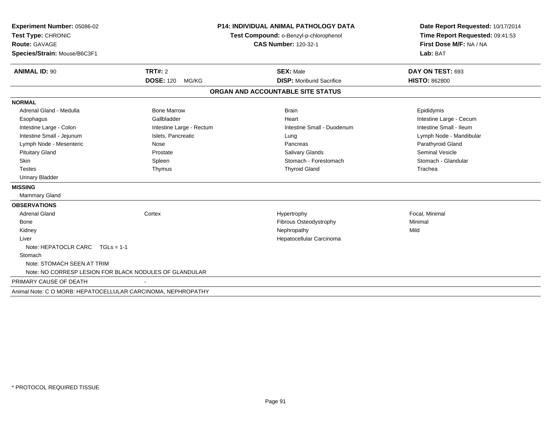| Experiment Number: 05086-02                                  |                                        | <b>P14: INDIVIDUAL ANIMAL PATHOLOGY DATA</b> | Date Report Requested: 10/17/2014 |  |
|--------------------------------------------------------------|----------------------------------------|----------------------------------------------|-----------------------------------|--|
| Test Type: CHRONIC                                           | Test Compound: o-Benzyl-p-chlorophenol |                                              | Time Report Requested: 09:41:53   |  |
| <b>Route: GAVAGE</b>                                         |                                        | <b>CAS Number: 120-32-1</b>                  | First Dose M/F: NA / NA           |  |
| Species/Strain: Mouse/B6C3F1                                 |                                        |                                              | Lab: BAT                          |  |
| <b>ANIMAL ID: 90</b>                                         | TRT#: 2                                | <b>SEX: Male</b>                             | DAY ON TEST: 693                  |  |
|                                                              | <b>DOSE: 120</b><br>MG/KG              | <b>DISP: Moribund Sacrifice</b>              | <b>HISTO: 862800</b>              |  |
|                                                              |                                        | ORGAN AND ACCOUNTABLE SITE STATUS            |                                   |  |
| <b>NORMAL</b>                                                |                                        |                                              |                                   |  |
| Adrenal Gland - Medulla                                      | <b>Bone Marrow</b>                     | <b>Brain</b>                                 | Epididymis                        |  |
| Esophagus                                                    | Gallbladder                            | Heart                                        | Intestine Large - Cecum           |  |
| Intestine Large - Colon                                      | Intestine Large - Rectum               | Intestine Small - Duodenum                   | Intestine Small - Ileum           |  |
| Intestine Small - Jejunum                                    | Islets, Pancreatic                     | Lung                                         | Lymph Node - Mandibular           |  |
| Lymph Node - Mesenteric                                      | Nose                                   | Pancreas                                     | Parathyroid Gland                 |  |
| <b>Pituitary Gland</b>                                       | Prostate                               | <b>Salivary Glands</b>                       | <b>Seminal Vesicle</b>            |  |
| <b>Skin</b>                                                  | Spleen                                 | Stomach - Forestomach                        | Stomach - Glandular               |  |
| <b>Testes</b>                                                | Thymus                                 | <b>Thyroid Gland</b>                         | Trachea                           |  |
| <b>Urinary Bladder</b>                                       |                                        |                                              |                                   |  |
| <b>MISSING</b>                                               |                                        |                                              |                                   |  |
| <b>Mammary Gland</b>                                         |                                        |                                              |                                   |  |
| <b>OBSERVATIONS</b>                                          |                                        |                                              |                                   |  |
| <b>Adrenal Gland</b>                                         | Cortex                                 | Hypertrophy                                  | Focal, Minimal                    |  |
| <b>Bone</b>                                                  |                                        | Fibrous Osteodystrophy                       | Minimal                           |  |
| Kidney                                                       |                                        | Nephropathy                                  | Mild                              |  |
| Liver                                                        |                                        | Hepatocellular Carcinoma                     |                                   |  |
| Note: HEPATOCLR CARC $TGLS = 1-1$                            |                                        |                                              |                                   |  |
| Stomach                                                      |                                        |                                              |                                   |  |
| Note: STOMACH SEEN AT TRIM                                   |                                        |                                              |                                   |  |
| Note: NO CORRESP LESION FOR BLACK NODULES OF GLANDULAR       |                                        |                                              |                                   |  |
| PRIMARY CAUSE OF DEATH                                       |                                        |                                              |                                   |  |
| Animal Note: C O MORB: HEPATOCELLULAR CARCINOMA, NEPHROPATHY |                                        |                                              |                                   |  |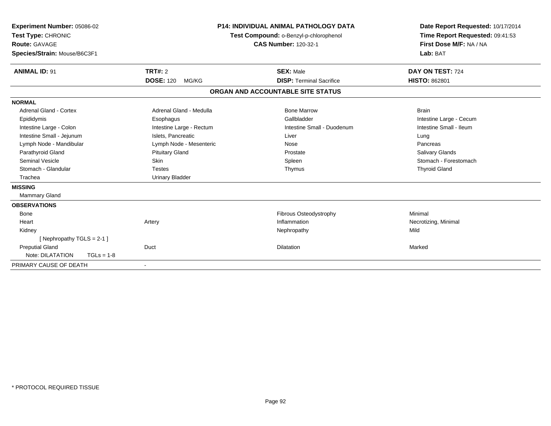| Experiment Number: 05086-02<br>Test Type: CHRONIC<br><b>Route: GAVAGE</b><br>Species/Strain: Mouse/B6C3F1 |              |                                             | <b>P14: INDIVIDUAL ANIMAL PATHOLOGY DATA</b><br>Test Compound: o-Benzyl-p-chlorophenol<br><b>CAS Number: 120-32-1</b> |                                                     | Date Report Requested: 10/17/2014<br>Time Report Requested: 09:41:53<br>First Dose M/F: NA / NA<br>Lab: BAT |  |
|-----------------------------------------------------------------------------------------------------------|--------------|---------------------------------------------|-----------------------------------------------------------------------------------------------------------------------|-----------------------------------------------------|-------------------------------------------------------------------------------------------------------------|--|
| <b>ANIMAL ID: 91</b>                                                                                      |              | <b>TRT#: 2</b><br><b>DOSE: 120</b><br>MG/KG |                                                                                                                       | <b>SEX: Male</b><br><b>DISP: Terminal Sacrifice</b> | DAY ON TEST: 724<br><b>HISTO: 862801</b>                                                                    |  |
|                                                                                                           |              |                                             |                                                                                                                       | ORGAN AND ACCOUNTABLE SITE STATUS                   |                                                                                                             |  |
| <b>NORMAL</b>                                                                                             |              |                                             |                                                                                                                       |                                                     |                                                                                                             |  |
| Adrenal Gland - Cortex                                                                                    |              | Adrenal Gland - Medulla                     |                                                                                                                       | <b>Bone Marrow</b>                                  | <b>Brain</b>                                                                                                |  |
| Epididymis                                                                                                |              | Esophagus                                   |                                                                                                                       | Gallbladder                                         | Intestine Large - Cecum                                                                                     |  |
| Intestine Large - Colon                                                                                   |              | Intestine Large - Rectum                    |                                                                                                                       | Intestine Small - Duodenum                          | Intestine Small - Ileum                                                                                     |  |
| Intestine Small - Jejunum                                                                                 |              | Islets, Pancreatic                          |                                                                                                                       | Liver                                               | Lung                                                                                                        |  |
| Lymph Node - Mandibular                                                                                   |              | Lymph Node - Mesenteric                     |                                                                                                                       | Nose                                                | Pancreas                                                                                                    |  |
| Parathyroid Gland                                                                                         |              | <b>Pituitary Gland</b>                      |                                                                                                                       | Prostate                                            | Salivary Glands                                                                                             |  |
| <b>Seminal Vesicle</b>                                                                                    |              | <b>Skin</b>                                 |                                                                                                                       | Spleen                                              | Stomach - Forestomach                                                                                       |  |
| Stomach - Glandular                                                                                       |              | <b>Testes</b>                               |                                                                                                                       | Thymus                                              | <b>Thyroid Gland</b>                                                                                        |  |
| Trachea                                                                                                   |              | <b>Urinary Bladder</b>                      |                                                                                                                       |                                                     |                                                                                                             |  |
| <b>MISSING</b>                                                                                            |              |                                             |                                                                                                                       |                                                     |                                                                                                             |  |
| Mammary Gland                                                                                             |              |                                             |                                                                                                                       |                                                     |                                                                                                             |  |
| <b>OBSERVATIONS</b>                                                                                       |              |                                             |                                                                                                                       |                                                     |                                                                                                             |  |
| <b>Bone</b>                                                                                               |              |                                             |                                                                                                                       | Fibrous Osteodystrophy                              | Minimal                                                                                                     |  |
| Heart                                                                                                     |              | Artery                                      |                                                                                                                       | Inflammation                                        | Necrotizing, Minimal                                                                                        |  |
| Kidney                                                                                                    |              |                                             |                                                                                                                       | Nephropathy                                         | Mild                                                                                                        |  |
| [Nephropathy TGLS = 2-1]                                                                                  |              |                                             |                                                                                                                       |                                                     |                                                                                                             |  |
| <b>Preputial Gland</b>                                                                                    |              | Duct                                        |                                                                                                                       | Dilatation                                          | Marked                                                                                                      |  |
| Note: DILATATION                                                                                          | $TGLs = 1-8$ |                                             |                                                                                                                       |                                                     |                                                                                                             |  |
| PRIMARY CAUSE OF DEATH                                                                                    |              | $\overline{\phantom{a}}$                    |                                                                                                                       |                                                     |                                                                                                             |  |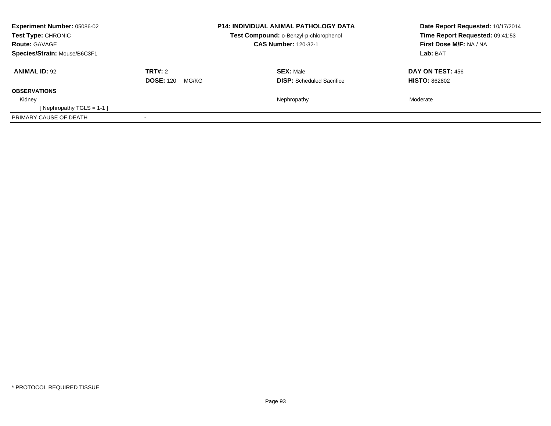| <b>Experiment Number: 05086-02</b><br>Test Type: CHRONIC<br><b>Route: GAVAGE</b><br>Species/Strain: Mouse/B6C3F1 |                                             | <b>P14: INDIVIDUAL ANIMAL PATHOLOGY DATA</b><br>Test Compound: o-Benzyl-p-chlorophenol<br><b>CAS Number: 120-32-1</b> | Date Report Requested: 10/17/2014<br>Time Report Requested: 09:41:53<br>First Dose M/F: NA / NA<br>Lab: BAT |
|------------------------------------------------------------------------------------------------------------------|---------------------------------------------|-----------------------------------------------------------------------------------------------------------------------|-------------------------------------------------------------------------------------------------------------|
| <b>ANIMAL ID: 92</b>                                                                                             | <b>TRT#: 2</b><br><b>DOSE: 120</b><br>MG/KG | <b>SEX: Male</b><br><b>DISP:</b> Scheduled Sacrifice                                                                  | DAY ON TEST: 456<br><b>HISTO: 862802</b>                                                                    |
| <b>OBSERVATIONS</b>                                                                                              |                                             |                                                                                                                       |                                                                                                             |
| Kidney                                                                                                           |                                             | Nephropathy                                                                                                           | Moderate                                                                                                    |
| [Nephropathy TGLS = $1-1$ ]                                                                                      |                                             |                                                                                                                       |                                                                                                             |
| PRIMARY CAUSE OF DEATH                                                                                           |                                             |                                                                                                                       |                                                                                                             |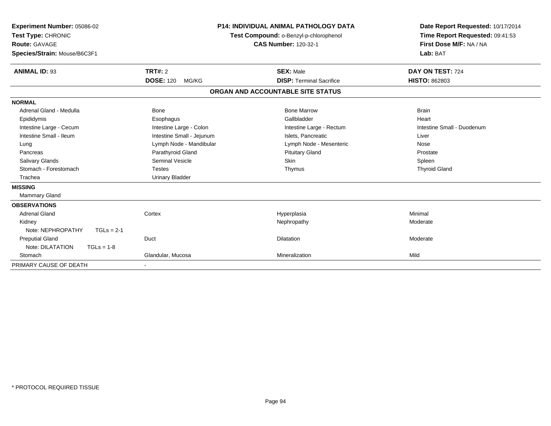| Experiment Number: 05086-02<br>Test Type: CHRONIC<br><b>Route: GAVAGE</b><br>Species/Strain: Mouse/B6C3F1 |                           | <b>P14: INDIVIDUAL ANIMAL PATHOLOGY DATA</b><br>Test Compound: o-Benzyl-p-chlorophenol<br><b>CAS Number: 120-32-1</b> | Date Report Requested: 10/17/2014<br>Time Report Requested: 09:41:53<br>First Dose M/F: NA / NA<br>Lab: BAT |
|-----------------------------------------------------------------------------------------------------------|---------------------------|-----------------------------------------------------------------------------------------------------------------------|-------------------------------------------------------------------------------------------------------------|
| <b>ANIMAL ID: 93</b>                                                                                      | <b>TRT#: 2</b>            | <b>SEX: Male</b>                                                                                                      | DAY ON TEST: 724                                                                                            |
|                                                                                                           | <b>DOSE: 120</b><br>MG/KG | <b>DISP: Terminal Sacrifice</b>                                                                                       | <b>HISTO: 862803</b>                                                                                        |
|                                                                                                           |                           | ORGAN AND ACCOUNTABLE SITE STATUS                                                                                     |                                                                                                             |
| <b>NORMAL</b>                                                                                             |                           |                                                                                                                       |                                                                                                             |
| Adrenal Gland - Medulla                                                                                   | Bone                      | <b>Bone Marrow</b>                                                                                                    | <b>Brain</b>                                                                                                |
| Epididymis                                                                                                | Esophagus                 | Gallbladder                                                                                                           | Heart                                                                                                       |
| Intestine Large - Cecum                                                                                   | Intestine Large - Colon   | Intestine Large - Rectum                                                                                              | Intestine Small - Duodenum                                                                                  |
| Intestine Small - Ileum                                                                                   | Intestine Small - Jejunum | Islets. Pancreatic                                                                                                    | Liver                                                                                                       |
| Lung                                                                                                      | Lymph Node - Mandibular   | Lymph Node - Mesenteric                                                                                               | Nose                                                                                                        |
| Pancreas                                                                                                  | Parathyroid Gland         | <b>Pituitary Gland</b>                                                                                                | Prostate                                                                                                    |
| <b>Salivary Glands</b>                                                                                    | Seminal Vesicle           | <b>Skin</b>                                                                                                           | Spleen                                                                                                      |
| Stomach - Forestomach                                                                                     | <b>Testes</b>             | Thymus                                                                                                                | <b>Thyroid Gland</b>                                                                                        |
| Trachea                                                                                                   | <b>Urinary Bladder</b>    |                                                                                                                       |                                                                                                             |
| <b>MISSING</b>                                                                                            |                           |                                                                                                                       |                                                                                                             |
| <b>Mammary Gland</b>                                                                                      |                           |                                                                                                                       |                                                                                                             |
| <b>OBSERVATIONS</b>                                                                                       |                           |                                                                                                                       |                                                                                                             |
| <b>Adrenal Gland</b>                                                                                      | Cortex                    | Hyperplasia                                                                                                           | Minimal                                                                                                     |
| Kidney                                                                                                    |                           | Nephropathy                                                                                                           | Moderate                                                                                                    |
| Note: NEPHROPATHY<br>$TGLs = 2-1$                                                                         |                           |                                                                                                                       |                                                                                                             |
| <b>Preputial Gland</b>                                                                                    | Duct                      | <b>Dilatation</b>                                                                                                     | Moderate                                                                                                    |
| Note: DILATATION<br>$TGLs = 1-8$                                                                          |                           |                                                                                                                       |                                                                                                             |
| Stomach                                                                                                   | Glandular, Mucosa         | Mineralization                                                                                                        | Mild                                                                                                        |
| PRIMARY CAUSE OF DEATH                                                                                    |                           |                                                                                                                       |                                                                                                             |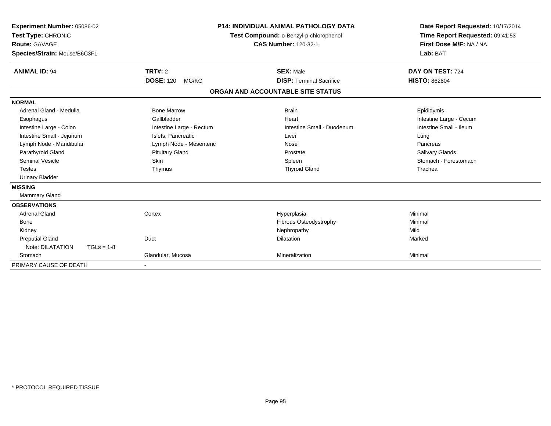| Experiment Number: 05086-02<br>Test Type: CHRONIC<br><b>Route: GAVAGE</b><br>Species/Strain: Mouse/B6C3F1 |                           | <b>P14: INDIVIDUAL ANIMAL PATHOLOGY DATA</b><br>Test Compound: o-Benzyl-p-chlorophenol<br><b>CAS Number: 120-32-1</b> | Date Report Requested: 10/17/2014<br>Time Report Requested: 09:41:53<br>First Dose M/F: NA / NA<br>Lab: BAT |
|-----------------------------------------------------------------------------------------------------------|---------------------------|-----------------------------------------------------------------------------------------------------------------------|-------------------------------------------------------------------------------------------------------------|
| <b>ANIMAL ID: 94</b>                                                                                      | <b>TRT#: 2</b>            | <b>SEX: Male</b>                                                                                                      | DAY ON TEST: 724                                                                                            |
|                                                                                                           | <b>DOSE: 120</b><br>MG/KG | <b>DISP: Terminal Sacrifice</b>                                                                                       | <b>HISTO: 862804</b>                                                                                        |
|                                                                                                           |                           | ORGAN AND ACCOUNTABLE SITE STATUS                                                                                     |                                                                                                             |
| <b>NORMAL</b>                                                                                             |                           |                                                                                                                       |                                                                                                             |
| Adrenal Gland - Medulla                                                                                   | <b>Bone Marrow</b>        | <b>Brain</b>                                                                                                          | Epididymis                                                                                                  |
| Esophagus                                                                                                 | Gallbladder               | Heart                                                                                                                 | Intestine Large - Cecum                                                                                     |
| Intestine Large - Colon                                                                                   | Intestine Large - Rectum  | Intestine Small - Duodenum                                                                                            | Intestine Small - Ileum                                                                                     |
| Intestine Small - Jejunum                                                                                 | Islets, Pancreatic        | Liver                                                                                                                 | Lung                                                                                                        |
| Lymph Node - Mandibular                                                                                   | Lymph Node - Mesenteric   | Nose                                                                                                                  | Pancreas                                                                                                    |
| Parathyroid Gland                                                                                         | <b>Pituitary Gland</b>    | Prostate                                                                                                              | <b>Salivary Glands</b>                                                                                      |
| Seminal Vesicle                                                                                           | <b>Skin</b>               | Spleen                                                                                                                | Stomach - Forestomach                                                                                       |
| <b>Testes</b>                                                                                             | Thymus                    | <b>Thyroid Gland</b>                                                                                                  | Trachea                                                                                                     |
| <b>Urinary Bladder</b>                                                                                    |                           |                                                                                                                       |                                                                                                             |
| <b>MISSING</b>                                                                                            |                           |                                                                                                                       |                                                                                                             |
| Mammary Gland                                                                                             |                           |                                                                                                                       |                                                                                                             |
| <b>OBSERVATIONS</b>                                                                                       |                           |                                                                                                                       |                                                                                                             |
| <b>Adrenal Gland</b>                                                                                      | Cortex                    | Hyperplasia                                                                                                           | Minimal                                                                                                     |
| <b>Bone</b>                                                                                               |                           | Fibrous Osteodystrophy                                                                                                | Minimal                                                                                                     |
| Kidney                                                                                                    |                           | Nephropathy                                                                                                           | Mild                                                                                                        |
| <b>Preputial Gland</b>                                                                                    | Duct                      | <b>Dilatation</b>                                                                                                     | Marked                                                                                                      |
| Note: DILATATION<br>$TGLs = 1-8$                                                                          |                           |                                                                                                                       |                                                                                                             |
| Stomach                                                                                                   | Glandular, Mucosa         | Mineralization                                                                                                        | Minimal                                                                                                     |
| PRIMARY CAUSE OF DEATH                                                                                    | $\blacksquare$            |                                                                                                                       |                                                                                                             |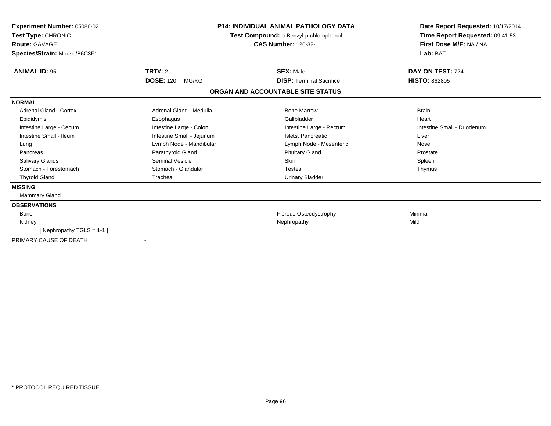| Experiment Number: 05086-02<br>Test Type: CHRONIC<br>Route: GAVAGE<br>Species/Strain: Mouse/B6C3F1 | <b>P14: INDIVIDUAL ANIMAL PATHOLOGY DATA</b><br>Test Compound: o-Benzyl-p-chlorophenol<br><b>CAS Number: 120-32-1</b> |                                   | Date Report Requested: 10/17/2014<br>Time Report Requested: 09:41:53<br>First Dose M/F: NA / NA<br>Lab: BAT |
|----------------------------------------------------------------------------------------------------|-----------------------------------------------------------------------------------------------------------------------|-----------------------------------|-------------------------------------------------------------------------------------------------------------|
| <b>ANIMAL ID: 95</b>                                                                               | <b>TRT#: 2</b>                                                                                                        | <b>SEX: Male</b>                  | DAY ON TEST: 724                                                                                            |
|                                                                                                    | <b>DOSE: 120</b><br>MG/KG                                                                                             | <b>DISP: Terminal Sacrifice</b>   | <b>HISTO: 862805</b>                                                                                        |
|                                                                                                    |                                                                                                                       | ORGAN AND ACCOUNTABLE SITE STATUS |                                                                                                             |
| <b>NORMAL</b>                                                                                      |                                                                                                                       |                                   |                                                                                                             |
| <b>Adrenal Gland - Cortex</b>                                                                      | Adrenal Gland - Medulla                                                                                               | <b>Bone Marrow</b>                | <b>Brain</b>                                                                                                |
| Epididymis                                                                                         | Esophagus                                                                                                             | Gallbladder                       | Heart                                                                                                       |
| Intestine Large - Cecum                                                                            | Intestine Large - Colon                                                                                               | Intestine Large - Rectum          | Intestine Small - Duodenum                                                                                  |
| Intestine Small - Ileum                                                                            | Intestine Small - Jejunum                                                                                             | Islets, Pancreatic                | Liver                                                                                                       |
| Lung                                                                                               | Lymph Node - Mandibular                                                                                               | Lymph Node - Mesenteric           | Nose                                                                                                        |
| Pancreas                                                                                           | Parathyroid Gland                                                                                                     | <b>Pituitary Gland</b>            | Prostate                                                                                                    |
| <b>Salivary Glands</b>                                                                             | <b>Seminal Vesicle</b>                                                                                                | <b>Skin</b>                       | Spleen                                                                                                      |
| Stomach - Forestomach                                                                              | Stomach - Glandular                                                                                                   | <b>Testes</b>                     | Thymus                                                                                                      |
| <b>Thyroid Gland</b>                                                                               | Trachea                                                                                                               | <b>Urinary Bladder</b>            |                                                                                                             |
| <b>MISSING</b>                                                                                     |                                                                                                                       |                                   |                                                                                                             |
| <b>Mammary Gland</b>                                                                               |                                                                                                                       |                                   |                                                                                                             |
| <b>OBSERVATIONS</b>                                                                                |                                                                                                                       |                                   |                                                                                                             |
| <b>Bone</b>                                                                                        |                                                                                                                       | Fibrous Osteodystrophy            | Minimal                                                                                                     |
| Kidney                                                                                             |                                                                                                                       | Nephropathy                       | Mild                                                                                                        |
| [Nephropathy TGLS = 1-1]                                                                           |                                                                                                                       |                                   |                                                                                                             |
| PRIMARY CAUSE OF DEATH                                                                             |                                                                                                                       |                                   |                                                                                                             |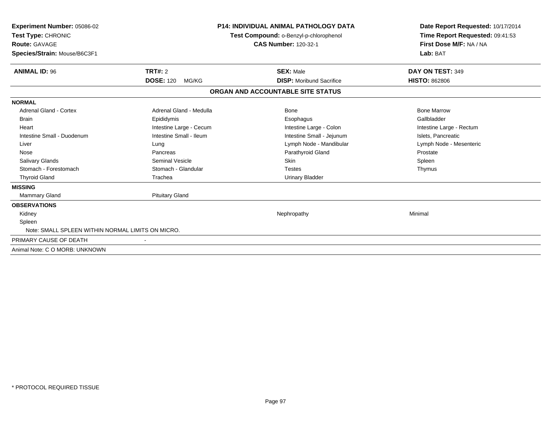| <b>Experiment Number: 05086-02</b><br>Test Type: CHRONIC<br><b>Route: GAVAGE</b><br>Species/Strain: Mouse/B6C3F1 |                           | <b>P14: INDIVIDUAL ANIMAL PATHOLOGY DATA</b><br>Test Compound: o-Benzyl-p-chlorophenol<br><b>CAS Number: 120-32-1</b> | Date Report Requested: 10/17/2014<br>Time Report Requested: 09:41:53<br>First Dose M/F: NA / NA<br>Lab: BAT |  |
|------------------------------------------------------------------------------------------------------------------|---------------------------|-----------------------------------------------------------------------------------------------------------------------|-------------------------------------------------------------------------------------------------------------|--|
| <b>ANIMAL ID: 96</b>                                                                                             | TRT#: 2                   | <b>SEX: Male</b>                                                                                                      | DAY ON TEST: 349                                                                                            |  |
|                                                                                                                  | <b>DOSE: 120</b><br>MG/KG | <b>DISP: Moribund Sacrifice</b>                                                                                       | <b>HISTO: 862806</b>                                                                                        |  |
|                                                                                                                  |                           | ORGAN AND ACCOUNTABLE SITE STATUS                                                                                     |                                                                                                             |  |
| <b>NORMAL</b>                                                                                                    |                           |                                                                                                                       |                                                                                                             |  |
| <b>Adrenal Gland - Cortex</b>                                                                                    | Adrenal Gland - Medulla   | <b>Bone</b>                                                                                                           | <b>Bone Marrow</b>                                                                                          |  |
| <b>Brain</b>                                                                                                     | Epididymis                | Esophagus                                                                                                             | Gallbladder                                                                                                 |  |
| Heart                                                                                                            | Intestine Large - Cecum   | Intestine Large - Colon                                                                                               | Intestine Large - Rectum                                                                                    |  |
| Intestine Small - Duodenum                                                                                       | Intestine Small - Ileum   | Intestine Small - Jejunum                                                                                             | Islets, Pancreatic                                                                                          |  |
| Liver                                                                                                            | Lung                      | Lymph Node - Mandibular                                                                                               | Lymph Node - Mesenteric                                                                                     |  |
| Nose                                                                                                             | Pancreas                  | Parathyroid Gland                                                                                                     | Prostate                                                                                                    |  |
| Salivary Glands                                                                                                  | <b>Seminal Vesicle</b>    | <b>Skin</b>                                                                                                           | Spleen                                                                                                      |  |
| Stomach - Forestomach                                                                                            | Stomach - Glandular       | <b>Testes</b>                                                                                                         | Thymus                                                                                                      |  |
| <b>Thyroid Gland</b>                                                                                             | Trachea                   | <b>Urinary Bladder</b>                                                                                                |                                                                                                             |  |
| <b>MISSING</b>                                                                                                   |                           |                                                                                                                       |                                                                                                             |  |
| Mammary Gland                                                                                                    | <b>Pituitary Gland</b>    |                                                                                                                       |                                                                                                             |  |
| <b>OBSERVATIONS</b>                                                                                              |                           |                                                                                                                       |                                                                                                             |  |
| Kidney                                                                                                           |                           | Nephropathy                                                                                                           | Minimal                                                                                                     |  |
| Spleen                                                                                                           |                           |                                                                                                                       |                                                                                                             |  |
| Note: SMALL SPLEEN WITHIN NORMAL LIMITS ON MICRO.                                                                |                           |                                                                                                                       |                                                                                                             |  |
| PRIMARY CAUSE OF DEATH                                                                                           |                           |                                                                                                                       |                                                                                                             |  |
| Animal Note: C O MORB: UNKNOWN                                                                                   |                           |                                                                                                                       |                                                                                                             |  |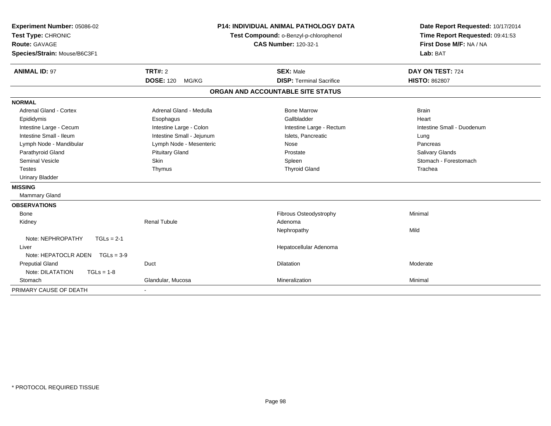| Experiment Number: 05086-02<br>Test Type: CHRONIC<br><b>Route: GAVAGE</b><br>Species/Strain: Mouse/B6C3F1<br><b>ANIMAL ID: 97</b> | TRT#: 2                   | <b>P14: INDIVIDUAL ANIMAL PATHOLOGY DATA</b><br>Test Compound: o-Benzyl-p-chlorophenol<br><b>CAS Number: 120-32-1</b><br><b>SEX: Male</b> | Date Report Requested: 10/17/2014<br>Time Report Requested: 09:41:53<br>First Dose M/F: NA / NA<br>Lab: BAT<br>DAY ON TEST: 724 |
|-----------------------------------------------------------------------------------------------------------------------------------|---------------------------|-------------------------------------------------------------------------------------------------------------------------------------------|---------------------------------------------------------------------------------------------------------------------------------|
|                                                                                                                                   | <b>DOSE: 120</b><br>MG/KG | <b>DISP: Terminal Sacrifice</b>                                                                                                           | <b>HISTO: 862807</b>                                                                                                            |
|                                                                                                                                   |                           | ORGAN AND ACCOUNTABLE SITE STATUS                                                                                                         |                                                                                                                                 |
| <b>NORMAL</b>                                                                                                                     |                           |                                                                                                                                           |                                                                                                                                 |
| Adrenal Gland - Cortex                                                                                                            | Adrenal Gland - Medulla   | <b>Bone Marrow</b>                                                                                                                        | <b>Brain</b>                                                                                                                    |
| Epididymis                                                                                                                        | Esophagus                 | Gallbladder                                                                                                                               | Heart                                                                                                                           |
| Intestine Large - Cecum                                                                                                           | Intestine Large - Colon   | Intestine Large - Rectum                                                                                                                  | Intestine Small - Duodenum                                                                                                      |
| Intestine Small - Ileum                                                                                                           | Intestine Small - Jejunum | Islets, Pancreatic                                                                                                                        | Lung                                                                                                                            |
| Lymph Node - Mandibular                                                                                                           | Lymph Node - Mesenteric   | Nose                                                                                                                                      | Pancreas                                                                                                                        |
| Parathyroid Gland                                                                                                                 | <b>Pituitary Gland</b>    | Prostate                                                                                                                                  | <b>Salivary Glands</b>                                                                                                          |
| <b>Seminal Vesicle</b>                                                                                                            | Skin                      | Spleen                                                                                                                                    | Stomach - Forestomach                                                                                                           |
| <b>Testes</b>                                                                                                                     | Thymus                    | <b>Thyroid Gland</b>                                                                                                                      | Trachea                                                                                                                         |
| <b>Urinary Bladder</b>                                                                                                            |                           |                                                                                                                                           |                                                                                                                                 |
| <b>MISSING</b>                                                                                                                    |                           |                                                                                                                                           |                                                                                                                                 |
| Mammary Gland                                                                                                                     |                           |                                                                                                                                           |                                                                                                                                 |
| <b>OBSERVATIONS</b>                                                                                                               |                           |                                                                                                                                           |                                                                                                                                 |
| <b>Bone</b>                                                                                                                       |                           | Fibrous Osteodystrophy                                                                                                                    | Minimal                                                                                                                         |
| Kidney                                                                                                                            | <b>Renal Tubule</b>       | Adenoma                                                                                                                                   |                                                                                                                                 |
|                                                                                                                                   |                           | Nephropathy                                                                                                                               | Mild                                                                                                                            |
| Note: NEPHROPATHY<br>$TGLs = 2-1$                                                                                                 |                           |                                                                                                                                           |                                                                                                                                 |
| Liver                                                                                                                             |                           | Hepatocellular Adenoma                                                                                                                    |                                                                                                                                 |
| Note: HEPATOCLR ADEN $TGLs = 3-9$                                                                                                 |                           |                                                                                                                                           |                                                                                                                                 |
| <b>Preputial Gland</b>                                                                                                            | Duct                      | Dilatation                                                                                                                                | Moderate                                                                                                                        |
| Note: DILATATION<br>$TGLs = 1-8$                                                                                                  |                           |                                                                                                                                           |                                                                                                                                 |
| Stomach                                                                                                                           | Glandular, Mucosa         | Mineralization                                                                                                                            | Minimal                                                                                                                         |
| PRIMARY CAUSE OF DEATH                                                                                                            |                           |                                                                                                                                           |                                                                                                                                 |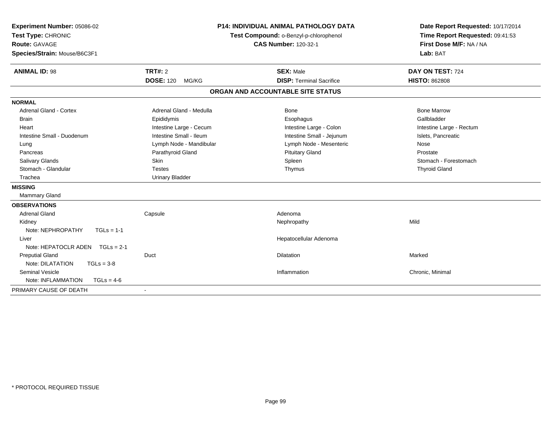| Experiment Number: 05086-02<br>Test Type: CHRONIC<br>Route: GAVAGE<br>Species/Strain: Mouse/B6C3F1 |                           | <b>P14: INDIVIDUAL ANIMAL PATHOLOGY DATA</b><br>Test Compound: o-Benzyl-p-chlorophenol<br><b>CAS Number: 120-32-1</b> | Date Report Requested: 10/17/2014<br>Time Report Requested: 09:41:53<br>First Dose M/F: NA / NA<br>Lab: BAT |
|----------------------------------------------------------------------------------------------------|---------------------------|-----------------------------------------------------------------------------------------------------------------------|-------------------------------------------------------------------------------------------------------------|
| <b>ANIMAL ID: 98</b>                                                                               | <b>TRT#: 2</b>            | <b>SEX: Male</b>                                                                                                      | DAY ON TEST: 724                                                                                            |
|                                                                                                    | <b>DOSE: 120</b><br>MG/KG | <b>DISP: Terminal Sacrifice</b>                                                                                       | <b>HISTO: 862808</b>                                                                                        |
|                                                                                                    |                           | ORGAN AND ACCOUNTABLE SITE STATUS                                                                                     |                                                                                                             |
| <b>NORMAL</b>                                                                                      |                           |                                                                                                                       |                                                                                                             |
| <b>Adrenal Gland - Cortex</b>                                                                      | Adrenal Gland - Medulla   | Bone                                                                                                                  | <b>Bone Marrow</b>                                                                                          |
| <b>Brain</b>                                                                                       | Epididymis                | Esophagus                                                                                                             | Gallbladder                                                                                                 |
| Heart                                                                                              | Intestine Large - Cecum   | Intestine Large - Colon                                                                                               | Intestine Large - Rectum                                                                                    |
| Intestine Small - Duodenum                                                                         | Intestine Small - Ileum   | Intestine Small - Jejunum                                                                                             | Islets, Pancreatic                                                                                          |
| Lung                                                                                               | Lymph Node - Mandibular   | Lymph Node - Mesenteric                                                                                               | Nose                                                                                                        |
| Pancreas                                                                                           | Parathyroid Gland         | <b>Pituitary Gland</b>                                                                                                | Prostate                                                                                                    |
| Salivary Glands                                                                                    | <b>Skin</b>               | Spleen                                                                                                                | Stomach - Forestomach                                                                                       |
| Stomach - Glandular                                                                                | <b>Testes</b>             | Thymus                                                                                                                | <b>Thyroid Gland</b>                                                                                        |
| Trachea                                                                                            | <b>Urinary Bladder</b>    |                                                                                                                       |                                                                                                             |
| <b>MISSING</b>                                                                                     |                           |                                                                                                                       |                                                                                                             |
| Mammary Gland                                                                                      |                           |                                                                                                                       |                                                                                                             |
| <b>OBSERVATIONS</b>                                                                                |                           |                                                                                                                       |                                                                                                             |
| <b>Adrenal Gland</b>                                                                               | Capsule                   | Adenoma                                                                                                               |                                                                                                             |
| Kidney                                                                                             |                           | Nephropathy                                                                                                           | Mild                                                                                                        |
| Note: NEPHROPATHY<br>$TGLs = 1-1$                                                                  |                           |                                                                                                                       |                                                                                                             |
| Liver                                                                                              |                           | Hepatocellular Adenoma                                                                                                |                                                                                                             |
| Note: HEPATOCLR ADEN TGLs = 2-1                                                                    |                           |                                                                                                                       |                                                                                                             |
| <b>Preputial Gland</b>                                                                             | Duct                      | Dilatation                                                                                                            | Marked                                                                                                      |
| Note: DILATATION<br>$TGLs = 3-8$                                                                   |                           |                                                                                                                       |                                                                                                             |
| Seminal Vesicle                                                                                    |                           | Inflammation                                                                                                          | Chronic, Minimal                                                                                            |
| Note: INFLAMMATION<br>$TGLs = 4-6$                                                                 |                           |                                                                                                                       |                                                                                                             |
| PRIMARY CAUSE OF DEATH                                                                             |                           |                                                                                                                       |                                                                                                             |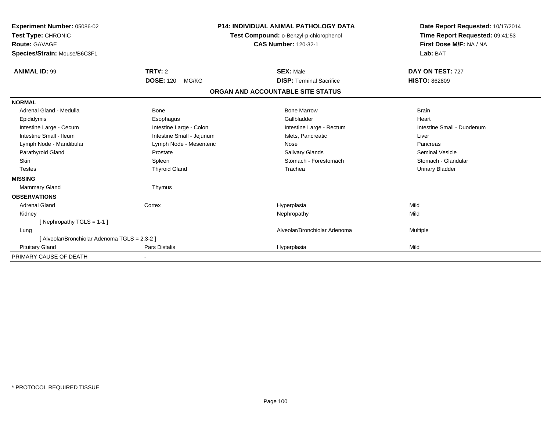| Experiment Number: 05086-02<br>Test Type: CHRONIC<br><b>Route: GAVAGE</b><br>Species/Strain: Mouse/B6C3F1 |                           | <b>P14: INDIVIDUAL ANIMAL PATHOLOGY DATA</b><br>Test Compound: o-Benzyl-p-chlorophenol<br><b>CAS Number: 120-32-1</b> | Date Report Requested: 10/17/2014<br>Time Report Requested: 09:41:53<br>First Dose M/F: NA / NA<br>Lab: BAT |
|-----------------------------------------------------------------------------------------------------------|---------------------------|-----------------------------------------------------------------------------------------------------------------------|-------------------------------------------------------------------------------------------------------------|
| <b>ANIMAL ID: 99</b>                                                                                      | <b>TRT#: 2</b>            | <b>SEX: Male</b>                                                                                                      | DAY ON TEST: 727                                                                                            |
|                                                                                                           | <b>DOSE: 120</b><br>MG/KG | <b>DISP: Terminal Sacrifice</b>                                                                                       | <b>HISTO: 862809</b>                                                                                        |
|                                                                                                           |                           | ORGAN AND ACCOUNTABLE SITE STATUS                                                                                     |                                                                                                             |
| <b>NORMAL</b>                                                                                             |                           |                                                                                                                       |                                                                                                             |
| Adrenal Gland - Medulla                                                                                   | <b>Bone</b>               | <b>Bone Marrow</b>                                                                                                    | <b>Brain</b>                                                                                                |
| Epididymis                                                                                                | Esophagus                 | Gallbladder                                                                                                           | Heart                                                                                                       |
| Intestine Large - Cecum                                                                                   | Intestine Large - Colon   | Intestine Large - Rectum                                                                                              | Intestine Small - Duodenum                                                                                  |
| Intestine Small - Ileum                                                                                   | Intestine Small - Jejunum | Islets, Pancreatic                                                                                                    | Liver                                                                                                       |
| Lymph Node - Mandibular                                                                                   | Lymph Node - Mesenteric   | Nose                                                                                                                  | Pancreas                                                                                                    |
| Parathyroid Gland                                                                                         | Prostate                  | <b>Salivary Glands</b>                                                                                                | <b>Seminal Vesicle</b>                                                                                      |
| <b>Skin</b>                                                                                               | Spleen                    | Stomach - Forestomach                                                                                                 | Stomach - Glandular                                                                                         |
| <b>Testes</b>                                                                                             | <b>Thyroid Gland</b>      | Trachea                                                                                                               | <b>Urinary Bladder</b>                                                                                      |
| <b>MISSING</b>                                                                                            |                           |                                                                                                                       |                                                                                                             |
| Mammary Gland                                                                                             | Thymus                    |                                                                                                                       |                                                                                                             |
| <b>OBSERVATIONS</b>                                                                                       |                           |                                                                                                                       |                                                                                                             |
| <b>Adrenal Gland</b>                                                                                      | Cortex                    | Hyperplasia                                                                                                           | Mild                                                                                                        |
| Kidney                                                                                                    |                           | Nephropathy                                                                                                           | Mild                                                                                                        |
| [Nephropathy TGLS = $1-1$ ]                                                                               |                           |                                                                                                                       |                                                                                                             |
| Lung                                                                                                      |                           | Alveolar/Bronchiolar Adenoma                                                                                          | Multiple                                                                                                    |
| [ Alveolar/Bronchiolar Adenoma TGLS = 2,3-2 ]                                                             |                           |                                                                                                                       |                                                                                                             |
| <b>Pituitary Gland</b>                                                                                    | Pars Distalis             | Hyperplasia                                                                                                           | Mild                                                                                                        |
| PRIMARY CAUSE OF DEATH                                                                                    |                           |                                                                                                                       |                                                                                                             |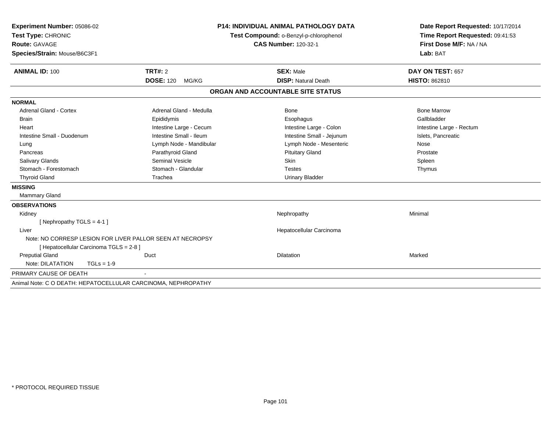| Experiment Number: 05086-02                                                                          | <b>P14: INDIVIDUAL ANIMAL PATHOLOGY DATA</b> |                                        | Date Report Requested: 10/17/2014 |  |
|------------------------------------------------------------------------------------------------------|----------------------------------------------|----------------------------------------|-----------------------------------|--|
| Test Type: CHRONIC                                                                                   |                                              | Test Compound: o-Benzyl-p-chlorophenol | Time Report Requested: 09:41:53   |  |
| <b>Route: GAVAGE</b>                                                                                 |                                              | <b>CAS Number: 120-32-1</b>            | First Dose M/F: NA / NA           |  |
| Species/Strain: Mouse/B6C3F1                                                                         |                                              |                                        | Lab: BAT                          |  |
| <b>ANIMAL ID: 100</b>                                                                                | <b>TRT#: 2</b>                               | <b>SEX: Male</b>                       | DAY ON TEST: 657                  |  |
|                                                                                                      | <b>DOSE: 120</b><br>MG/KG                    | <b>DISP: Natural Death</b>             | <b>HISTO: 862810</b>              |  |
|                                                                                                      |                                              | ORGAN AND ACCOUNTABLE SITE STATUS      |                                   |  |
| <b>NORMAL</b>                                                                                        |                                              |                                        |                                   |  |
| <b>Adrenal Gland - Cortex</b>                                                                        | Adrenal Gland - Medulla                      | <b>Bone</b>                            | <b>Bone Marrow</b>                |  |
| <b>Brain</b>                                                                                         | Epididymis                                   | Esophagus                              | Gallbladder                       |  |
| Heart                                                                                                | Intestine Large - Cecum                      | Intestine Large - Colon                | Intestine Large - Rectum          |  |
| Intestine Small - Duodenum                                                                           | Intestine Small - Ileum                      | Intestine Small - Jejunum              | Islets, Pancreatic                |  |
| Lung                                                                                                 | Lymph Node - Mandibular                      | Lymph Node - Mesenteric                | Nose                              |  |
| Pancreas                                                                                             | Parathyroid Gland                            | <b>Pituitary Gland</b>                 | Prostate                          |  |
| <b>Salivary Glands</b>                                                                               | <b>Seminal Vesicle</b>                       | <b>Skin</b>                            | Spleen                            |  |
| Stomach - Forestomach                                                                                | Stomach - Glandular                          | <b>Testes</b>                          | Thymus                            |  |
| <b>Thyroid Gland</b>                                                                                 | Trachea                                      | <b>Urinary Bladder</b>                 |                                   |  |
| <b>MISSING</b>                                                                                       |                                              |                                        |                                   |  |
| <b>Mammary Gland</b>                                                                                 |                                              |                                        |                                   |  |
| <b>OBSERVATIONS</b>                                                                                  |                                              |                                        |                                   |  |
| Kidney                                                                                               |                                              | Nephropathy                            | Minimal                           |  |
| [ Nephropathy TGLS = 4-1 ]                                                                           |                                              |                                        |                                   |  |
| Liver                                                                                                |                                              |                                        |                                   |  |
| Note: NO CORRESP LESION FOR LIVER PALLOR SEEN AT NECROPSY<br>[ Hepatocellular Carcinoma TGLS = 2-8 ] |                                              |                                        |                                   |  |
| <b>Preputial Gland</b>                                                                               | Duct                                         | <b>Dilatation</b>                      | Marked                            |  |
| Note: DILATATION<br>$TGLs = 1-9$                                                                     |                                              |                                        |                                   |  |
| PRIMARY CAUSE OF DEATH                                                                               |                                              |                                        |                                   |  |
| Animal Note: C O DEATH: HEPATOCELLULAR CARCINOMA, NEPHROPATHY                                        |                                              |                                        |                                   |  |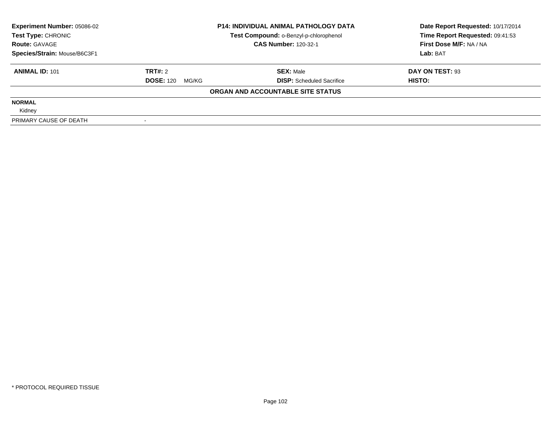| <b>P14: INDIVIDUAL ANIMAL PATHOLOGY DATA</b><br><b>Experiment Number: 05086-02</b> |                                        |                                   | Date Report Requested: 10/17/2014 |  |
|------------------------------------------------------------------------------------|----------------------------------------|-----------------------------------|-----------------------------------|--|
| Test Type: CHRONIC                                                                 | Test Compound: o-Benzyl-p-chlorophenol |                                   | Time Report Requested: 09:41:53   |  |
| <b>Route: GAVAGE</b>                                                               |                                        | <b>CAS Number: 120-32-1</b>       | First Dose M/F: NA / NA           |  |
| Species/Strain: Mouse/B6C3F1                                                       |                                        |                                   | Lab: BAT                          |  |
| <b>ANIMAL ID: 101</b>                                                              | TRT#: 2                                | <b>SEX: Male</b>                  | DAY ON TEST: 93                   |  |
|                                                                                    | <b>DOSE: 120</b><br>MG/KG              | <b>DISP:</b> Scheduled Sacrifice  | HISTO:                            |  |
|                                                                                    |                                        | ORGAN AND ACCOUNTABLE SITE STATUS |                                   |  |
| <b>NORMAL</b>                                                                      |                                        |                                   |                                   |  |
| Kidney                                                                             |                                        |                                   |                                   |  |
| PRIMARY CAUSE OF DEATH                                                             |                                        |                                   |                                   |  |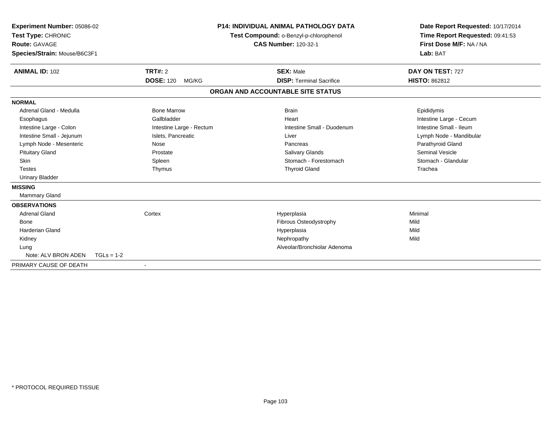| Experiment Number: 05086-02<br>Test Type: CHRONIC<br><b>Route: GAVAGE</b><br>Species/Strain: Mouse/B6C3F1 |                             |                          | <b>P14: INDIVIDUAL ANIMAL PATHOLOGY DATA</b><br>Test Compound: o-Benzyl-p-chlorophenol<br><b>CAS Number: 120-32-1</b> | Date Report Requested: 10/17/2014<br>Time Report Requested: 09:41:53<br>First Dose M/F: NA / NA<br>Lab: BAT |
|-----------------------------------------------------------------------------------------------------------|-----------------------------|--------------------------|-----------------------------------------------------------------------------------------------------------------------|-------------------------------------------------------------------------------------------------------------|
| <b>ANIMAL ID: 102</b>                                                                                     | TRT#: 2<br><b>DOSE: 120</b> | MG/KG                    | <b>SEX: Male</b><br><b>DISP: Terminal Sacrifice</b>                                                                   | DAY ON TEST: 727<br><b>HISTO: 862812</b>                                                                    |
|                                                                                                           |                             |                          |                                                                                                                       |                                                                                                             |
|                                                                                                           |                             |                          | ORGAN AND ACCOUNTABLE SITE STATUS                                                                                     |                                                                                                             |
| <b>NORMAL</b>                                                                                             |                             |                          |                                                                                                                       |                                                                                                             |
| Adrenal Gland - Medulla                                                                                   | <b>Bone Marrow</b>          |                          | <b>Brain</b>                                                                                                          | Epididymis                                                                                                  |
| Esophagus                                                                                                 | Gallbladder                 |                          | Heart                                                                                                                 | Intestine Large - Cecum                                                                                     |
| Intestine Large - Colon                                                                                   |                             | Intestine Large - Rectum | Intestine Small - Duodenum                                                                                            | Intestine Small - Ileum                                                                                     |
| Intestine Small - Jejunum                                                                                 | Islets, Pancreatic          |                          | Liver                                                                                                                 | Lymph Node - Mandibular                                                                                     |
| Lymph Node - Mesenteric                                                                                   | Nose                        |                          | Pancreas                                                                                                              | Parathyroid Gland                                                                                           |
| <b>Pituitary Gland</b>                                                                                    | Prostate                    |                          | Salivary Glands                                                                                                       | <b>Seminal Vesicle</b>                                                                                      |
| Skin                                                                                                      | Spleen                      |                          | Stomach - Forestomach                                                                                                 | Stomach - Glandular                                                                                         |
| <b>Testes</b>                                                                                             | Thymus                      |                          | <b>Thyroid Gland</b>                                                                                                  | Trachea                                                                                                     |
| <b>Urinary Bladder</b>                                                                                    |                             |                          |                                                                                                                       |                                                                                                             |
| <b>MISSING</b>                                                                                            |                             |                          |                                                                                                                       |                                                                                                             |
| Mammary Gland                                                                                             |                             |                          |                                                                                                                       |                                                                                                             |
| <b>OBSERVATIONS</b>                                                                                       |                             |                          |                                                                                                                       |                                                                                                             |
| <b>Adrenal Gland</b>                                                                                      | Cortex                      |                          | Hyperplasia                                                                                                           | Minimal                                                                                                     |
| Bone                                                                                                      |                             |                          | Fibrous Osteodystrophy                                                                                                | Mild                                                                                                        |
| <b>Harderian Gland</b>                                                                                    |                             |                          | Hyperplasia                                                                                                           | Mild                                                                                                        |
| Kidney                                                                                                    |                             |                          | Nephropathy                                                                                                           | Mild                                                                                                        |
| Lung                                                                                                      |                             |                          | Alveolar/Bronchiolar Adenoma                                                                                          |                                                                                                             |
| Note: ALV BRON ADEN                                                                                       | $TGLs = 1-2$                |                          |                                                                                                                       |                                                                                                             |
| PRIMARY CAUSE OF DEATH                                                                                    |                             |                          |                                                                                                                       |                                                                                                             |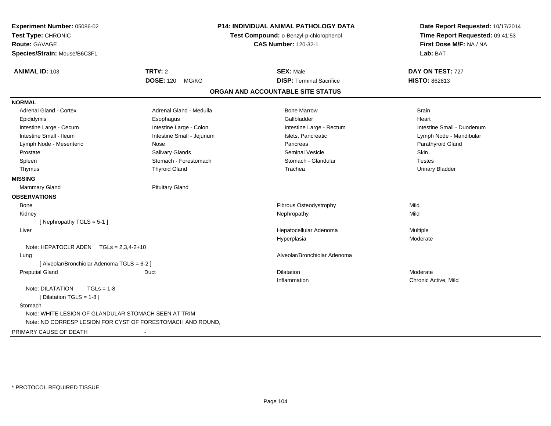| Experiment Number: 05086-02<br>Test Type: CHRONIC<br>Route: GAVAGE<br>Species/Strain: Mouse/B6C3F1 |                           | <b>P14: INDIVIDUAL ANIMAL PATHOLOGY DATA</b><br>Test Compound: o-Benzyl-p-chlorophenol<br><b>CAS Number: 120-32-1</b> | Date Report Requested: 10/17/2014<br>Time Report Requested: 09:41:53<br>First Dose M/F: NA / NA<br>Lab: BAT |  |
|----------------------------------------------------------------------------------------------------|---------------------------|-----------------------------------------------------------------------------------------------------------------------|-------------------------------------------------------------------------------------------------------------|--|
| <b>ANIMAL ID: 103</b>                                                                              | <b>TRT#: 2</b>            | <b>SEX: Male</b>                                                                                                      | DAY ON TEST: 727                                                                                            |  |
|                                                                                                    | <b>DOSE: 120 MG/KG</b>    | <b>DISP: Terminal Sacrifice</b>                                                                                       | HISTO: 862813                                                                                               |  |
|                                                                                                    |                           | ORGAN AND ACCOUNTABLE SITE STATUS                                                                                     |                                                                                                             |  |
| <b>NORMAL</b>                                                                                      |                           |                                                                                                                       |                                                                                                             |  |
| <b>Adrenal Gland - Cortex</b>                                                                      | Adrenal Gland - Medulla   | <b>Bone Marrow</b>                                                                                                    | <b>Brain</b>                                                                                                |  |
| Epididymis                                                                                         | Esophagus                 | Gallbladder                                                                                                           | Heart                                                                                                       |  |
| Intestine Large - Cecum                                                                            | Intestine Large - Colon   | Intestine Large - Rectum                                                                                              | Intestine Small - Duodenum                                                                                  |  |
| Intestine Small - Ileum                                                                            | Intestine Small - Jejunum | Islets, Pancreatic                                                                                                    | Lymph Node - Mandibular                                                                                     |  |
| Lymph Node - Mesenteric                                                                            | Nose                      | Pancreas                                                                                                              | Parathyroid Gland                                                                                           |  |
| Prostate                                                                                           | <b>Salivary Glands</b>    | <b>Seminal Vesicle</b>                                                                                                | <b>Skin</b>                                                                                                 |  |
| Spleen                                                                                             | Stomach - Forestomach     | Stomach - Glandular                                                                                                   | <b>Testes</b>                                                                                               |  |
| Thymus                                                                                             | <b>Thyroid Gland</b>      | Trachea                                                                                                               | <b>Urinary Bladder</b>                                                                                      |  |
| <b>MISSING</b>                                                                                     |                           |                                                                                                                       |                                                                                                             |  |
| Mammary Gland                                                                                      | <b>Pituitary Gland</b>    |                                                                                                                       |                                                                                                             |  |
| <b>OBSERVATIONS</b>                                                                                |                           |                                                                                                                       |                                                                                                             |  |
| Bone                                                                                               |                           | Fibrous Osteodystrophy                                                                                                | Mild                                                                                                        |  |
| Kidney                                                                                             |                           | Nephropathy                                                                                                           | Mild                                                                                                        |  |
| [Nephropathy TGLS = 5-1]                                                                           |                           |                                                                                                                       |                                                                                                             |  |
| Liver                                                                                              |                           | Hepatocellular Adenoma                                                                                                | Multiple                                                                                                    |  |
|                                                                                                    |                           | Hyperplasia                                                                                                           | Moderate                                                                                                    |  |
| Note: HEPATOCLR ADEN TGLs = 2,3,4-2+10                                                             |                           |                                                                                                                       |                                                                                                             |  |
| Lung                                                                                               |                           | Alveolar/Bronchiolar Adenoma                                                                                          |                                                                                                             |  |
| [ Alveolar/Bronchiolar Adenoma TGLS = 6-2 ]                                                        |                           |                                                                                                                       |                                                                                                             |  |
| <b>Preputial Gland</b>                                                                             | Duct                      | <b>Dilatation</b>                                                                                                     | Moderate                                                                                                    |  |
|                                                                                                    |                           | Inflammation                                                                                                          | Chronic Active, Mild                                                                                        |  |
| Note: DILATATION<br>$TGLs = 1-8$<br>[Dilatation TGLS = 1-8]                                        |                           |                                                                                                                       |                                                                                                             |  |
| Stomach                                                                                            |                           |                                                                                                                       |                                                                                                             |  |
| Note: WHITE LESION OF GLANDULAR STOMACH SEEN AT TRIM                                               |                           |                                                                                                                       |                                                                                                             |  |
| Note: NO CORRESP LESION FOR CYST OF FORESTOMACH AND ROUND,                                         |                           |                                                                                                                       |                                                                                                             |  |
| PRIMARY CAUSE OF DEATH                                                                             |                           |                                                                                                                       |                                                                                                             |  |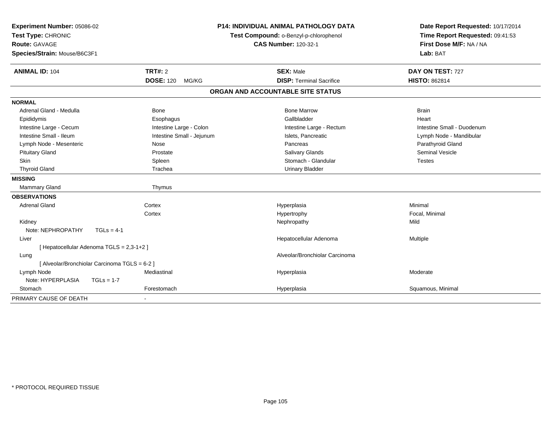| Experiment Number: 05086-02                   |                           | <b>P14: INDIVIDUAL ANIMAL PATHOLOGY DATA</b> | Date Report Requested: 10/17/2014                          |  |
|-----------------------------------------------|---------------------------|----------------------------------------------|------------------------------------------------------------|--|
| Test Type: CHRONIC                            |                           | Test Compound: o-Benzyl-p-chlorophenol       | Time Report Requested: 09:41:53<br>First Dose M/F: NA / NA |  |
| <b>Route: GAVAGE</b>                          |                           | <b>CAS Number: 120-32-1</b>                  |                                                            |  |
| Species/Strain: Mouse/B6C3F1                  |                           |                                              | Lab: BAT                                                   |  |
| <b>ANIMAL ID: 104</b>                         | <b>TRT#: 2</b>            | <b>SEX: Male</b>                             | DAY ON TEST: 727                                           |  |
|                                               | <b>DOSE: 120</b><br>MG/KG | <b>DISP: Terminal Sacrifice</b>              | <b>HISTO: 862814</b>                                       |  |
|                                               |                           | ORGAN AND ACCOUNTABLE SITE STATUS            |                                                            |  |
| <b>NORMAL</b>                                 |                           |                                              |                                                            |  |
| Adrenal Gland - Medulla                       | <b>Bone</b>               | <b>Bone Marrow</b>                           | <b>Brain</b>                                               |  |
| Epididymis                                    | Esophagus                 | Gallbladder                                  | Heart                                                      |  |
| Intestine Large - Cecum                       | Intestine Large - Colon   | Intestine Large - Rectum                     | Intestine Small - Duodenum                                 |  |
| Intestine Small - Ileum                       | Intestine Small - Jejunum | Islets, Pancreatic                           | Lymph Node - Mandibular                                    |  |
| Lymph Node - Mesenteric                       | Nose                      | Pancreas                                     | Parathyroid Gland                                          |  |
| <b>Pituitary Gland</b>                        | Prostate                  | Salivary Glands                              | <b>Seminal Vesicle</b>                                     |  |
| <b>Skin</b>                                   | Spleen                    | Stomach - Glandular                          | <b>Testes</b>                                              |  |
| <b>Thyroid Gland</b>                          | Trachea                   | <b>Urinary Bladder</b>                       |                                                            |  |
| <b>MISSING</b>                                |                           |                                              |                                                            |  |
| Mammary Gland                                 | Thymus                    |                                              |                                                            |  |
| <b>OBSERVATIONS</b>                           |                           |                                              |                                                            |  |
| <b>Adrenal Gland</b>                          | Cortex                    | Hyperplasia                                  | Minimal                                                    |  |
|                                               | Cortex                    | Hypertrophy                                  | Focal, Minimal                                             |  |
| Kidney                                        |                           | Nephropathy                                  | Mild                                                       |  |
| Note: NEPHROPATHY                             | $TGLs = 4-1$              |                                              |                                                            |  |
| Liver                                         |                           | Hepatocellular Adenoma                       | Multiple                                                   |  |
| [ Hepatocellular Adenoma TGLS = 2,3-1+2 ]     |                           |                                              |                                                            |  |
| Lung                                          |                           | Alveolar/Bronchiolar Carcinoma               |                                                            |  |
| [ Alveolar/Bronchiolar Carcinoma TGLS = 6-2 ] |                           |                                              |                                                            |  |
| Lymph Node                                    | Mediastinal               | Hyperplasia                                  | Moderate                                                   |  |
| Note: HYPERPLASIA<br>$TGLs = 1-7$             |                           |                                              |                                                            |  |
| Stomach                                       | Forestomach               | Hyperplasia                                  | Squamous, Minimal                                          |  |
| PRIMARY CAUSE OF DEATH                        |                           |                                              |                                                            |  |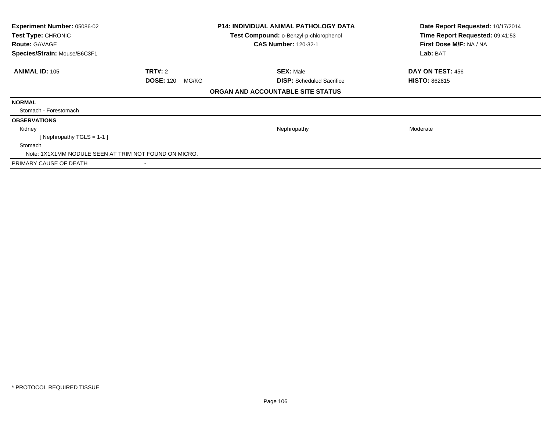| Experiment Number: 05086-02<br>Test Type: CHRONIC<br><b>Route: GAVAGE</b><br>Species/Strain: Mouse/B6C3F1 | <b>P14: INDIVIDUAL ANIMAL PATHOLOGY DATA</b><br>Test Compound: o-Benzyl-p-chlorophenol<br><b>CAS Number: 120-32-1</b> |                                   | Date Report Requested: 10/17/2014<br>Time Report Requested: 09:41:53<br>First Dose M/F: NA / NA<br>Lab: BAT |
|-----------------------------------------------------------------------------------------------------------|-----------------------------------------------------------------------------------------------------------------------|-----------------------------------|-------------------------------------------------------------------------------------------------------------|
| <b>ANIMAL ID: 105</b>                                                                                     | <b>TRT#: 2</b>                                                                                                        | <b>SEX: Male</b>                  | DAY ON TEST: 456                                                                                            |
|                                                                                                           | <b>DOSE: 120</b><br>MG/KG                                                                                             | <b>DISP:</b> Scheduled Sacrifice  | <b>HISTO: 862815</b>                                                                                        |
|                                                                                                           |                                                                                                                       | ORGAN AND ACCOUNTABLE SITE STATUS |                                                                                                             |
| <b>NORMAL</b>                                                                                             |                                                                                                                       |                                   |                                                                                                             |
| Stomach - Forestomach                                                                                     |                                                                                                                       |                                   |                                                                                                             |
| <b>OBSERVATIONS</b>                                                                                       |                                                                                                                       |                                   |                                                                                                             |
| Kidney                                                                                                    |                                                                                                                       | Nephropathy                       | Moderate                                                                                                    |
| Nephropathy TGLS = 1-1 ]                                                                                  |                                                                                                                       |                                   |                                                                                                             |
| Stomach                                                                                                   |                                                                                                                       |                                   |                                                                                                             |
| Note: 1X1X1MM NODULE SEEN AT TRIM NOT FOUND ON MICRO.                                                     |                                                                                                                       |                                   |                                                                                                             |
| PRIMARY CAUSE OF DEATH                                                                                    |                                                                                                                       |                                   |                                                                                                             |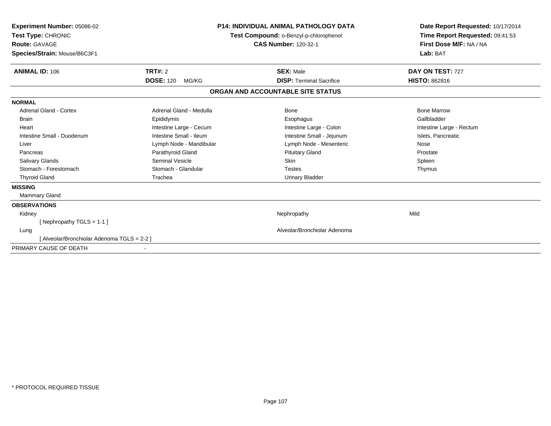| Experiment Number: 05086-02<br>Test Type: CHRONIC<br>Route: GAVAGE<br>Species/Strain: Mouse/B6C3F1 |                           | <b>P14: INDIVIDUAL ANIMAL PATHOLOGY DATA</b><br>Test Compound: o-Benzyl-p-chlorophenol<br><b>CAS Number: 120-32-1</b> | Date Report Requested: 10/17/2014<br>Time Report Requested: 09:41:53<br>First Dose M/F: NA / NA<br>Lab: BAT |  |
|----------------------------------------------------------------------------------------------------|---------------------------|-----------------------------------------------------------------------------------------------------------------------|-------------------------------------------------------------------------------------------------------------|--|
| <b>ANIMAL ID: 106</b>                                                                              | TRT#: 2                   | <b>SEX: Male</b>                                                                                                      | DAY ON TEST: 727                                                                                            |  |
|                                                                                                    | <b>DOSE: 120</b><br>MG/KG | <b>DISP: Terminal Sacrifice</b>                                                                                       | <b>HISTO: 862816</b>                                                                                        |  |
|                                                                                                    |                           | ORGAN AND ACCOUNTABLE SITE STATUS                                                                                     |                                                                                                             |  |
| <b>NORMAL</b>                                                                                      |                           |                                                                                                                       |                                                                                                             |  |
| Adrenal Gland - Cortex                                                                             | Adrenal Gland - Medulla   | Bone                                                                                                                  | <b>Bone Marrow</b>                                                                                          |  |
| <b>Brain</b>                                                                                       | Epididymis                | Esophagus                                                                                                             | Gallbladder                                                                                                 |  |
| Heart                                                                                              | Intestine Large - Cecum   | Intestine Large - Colon                                                                                               | Intestine Large - Rectum                                                                                    |  |
| Intestine Small - Duodenum                                                                         | Intestine Small - Ileum   | Intestine Small - Jejunum                                                                                             | Islets, Pancreatic                                                                                          |  |
| Liver                                                                                              | Lymph Node - Mandibular   | Lymph Node - Mesenteric                                                                                               | Nose                                                                                                        |  |
| Pancreas                                                                                           | Parathyroid Gland         | <b>Pituitary Gland</b>                                                                                                | Prostate                                                                                                    |  |
| <b>Salivary Glands</b>                                                                             | Seminal Vesicle           | <b>Skin</b>                                                                                                           | Spleen                                                                                                      |  |
| Stomach - Forestomach                                                                              | Stomach - Glandular       | <b>Testes</b>                                                                                                         | Thymus                                                                                                      |  |
| <b>Thyroid Gland</b>                                                                               | Trachea                   | <b>Urinary Bladder</b>                                                                                                |                                                                                                             |  |
| <b>MISSING</b>                                                                                     |                           |                                                                                                                       |                                                                                                             |  |
| Mammary Gland                                                                                      |                           |                                                                                                                       |                                                                                                             |  |
| <b>OBSERVATIONS</b>                                                                                |                           |                                                                                                                       |                                                                                                             |  |
| Kidney                                                                                             |                           | Nephropathy                                                                                                           | Mild                                                                                                        |  |
| [Nephropathy TGLS = 1-1]                                                                           |                           |                                                                                                                       |                                                                                                             |  |
| Lung                                                                                               |                           | Alveolar/Bronchiolar Adenoma                                                                                          |                                                                                                             |  |
| [ Alveolar/Bronchiolar Adenoma TGLS = 2-2 ]                                                        |                           |                                                                                                                       |                                                                                                             |  |
| PRIMARY CAUSE OF DEATH                                                                             |                           |                                                                                                                       |                                                                                                             |  |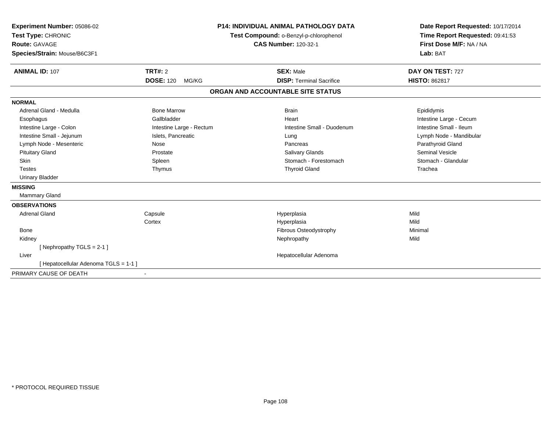| <b>Experiment Number: 05086-02</b><br>Test Type: CHRONIC | <b>P14: INDIVIDUAL ANIMAL PATHOLOGY DATA</b><br>Test Compound: o-Benzyl-p-chlorophenol<br><b>CAS Number: 120-32-1</b> |  | Date Report Requested: 10/17/2014<br>Time Report Requested: 09:41:53 |                         |
|----------------------------------------------------------|-----------------------------------------------------------------------------------------------------------------------|--|----------------------------------------------------------------------|-------------------------|
| Route: GAVAGE                                            |                                                                                                                       |  | First Dose M/F: NA / NA                                              |                         |
|                                                          |                                                                                                                       |  |                                                                      |                         |
| Species/Strain: Mouse/B6C3F1                             |                                                                                                                       |  |                                                                      | Lab: BAT                |
| <b>ANIMAL ID: 107</b>                                    | <b>TRT#: 2</b>                                                                                                        |  | <b>SEX: Male</b>                                                     | DAY ON TEST: 727        |
|                                                          | <b>DOSE: 120</b><br>MG/KG                                                                                             |  | <b>DISP: Terminal Sacrifice</b>                                      | <b>HISTO: 862817</b>    |
|                                                          |                                                                                                                       |  | ORGAN AND ACCOUNTABLE SITE STATUS                                    |                         |
| <b>NORMAL</b>                                            |                                                                                                                       |  |                                                                      |                         |
| Adrenal Gland - Medulla                                  | <b>Bone Marrow</b>                                                                                                    |  | <b>Brain</b>                                                         | Epididymis              |
| Esophagus                                                | Gallbladder                                                                                                           |  | Heart                                                                | Intestine Large - Cecum |
| Intestine Large - Colon                                  | Intestine Large - Rectum                                                                                              |  | Intestine Small - Duodenum                                           | Intestine Small - Ileum |
| Intestine Small - Jejunum                                | Islets, Pancreatic                                                                                                    |  | Lung                                                                 | Lymph Node - Mandibular |
| Lymph Node - Mesenteric                                  | Nose                                                                                                                  |  | Pancreas                                                             | Parathyroid Gland       |
| <b>Pituitary Gland</b>                                   | Prostate                                                                                                              |  | <b>Salivary Glands</b>                                               | <b>Seminal Vesicle</b>  |
| <b>Skin</b>                                              | Spleen                                                                                                                |  | Stomach - Forestomach                                                | Stomach - Glandular     |
| <b>Testes</b>                                            | Thymus                                                                                                                |  | <b>Thyroid Gland</b>                                                 | Trachea                 |
| <b>Urinary Bladder</b>                                   |                                                                                                                       |  |                                                                      |                         |
| <b>MISSING</b>                                           |                                                                                                                       |  |                                                                      |                         |
| Mammary Gland                                            |                                                                                                                       |  |                                                                      |                         |
| <b>OBSERVATIONS</b>                                      |                                                                                                                       |  |                                                                      |                         |
| <b>Adrenal Gland</b>                                     | Capsule                                                                                                               |  | Hyperplasia                                                          | Mild                    |
|                                                          | Cortex                                                                                                                |  | Hyperplasia                                                          | Mild                    |
| Bone                                                     |                                                                                                                       |  | Fibrous Osteodystrophy                                               | Minimal                 |
| Kidney                                                   |                                                                                                                       |  | Nephropathy                                                          | Mild                    |
| [Nephropathy TGLS = 2-1]                                 |                                                                                                                       |  |                                                                      |                         |
| Liver                                                    |                                                                                                                       |  | Hepatocellular Adenoma                                               |                         |
| [ Hepatocellular Adenoma TGLS = 1-1 ]                    |                                                                                                                       |  |                                                                      |                         |
| PRIMARY CAUSE OF DEATH                                   |                                                                                                                       |  |                                                                      |                         |
|                                                          |                                                                                                                       |  |                                                                      |                         |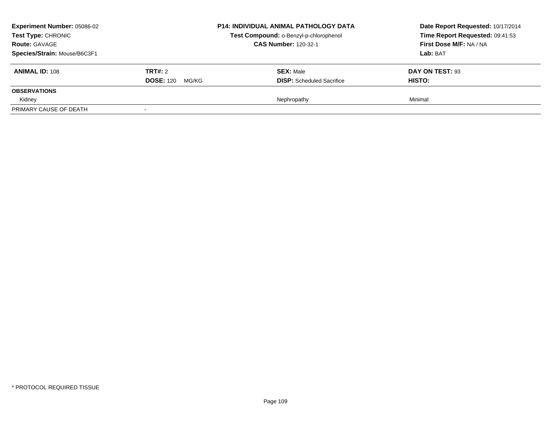| <b>Experiment Number: 05086-02</b><br>Test Type: CHRONIC<br><b>Route: GAVAGE</b><br>Species/Strain: Mouse/B6C3F1 |                                          | <b>P14: INDIVIDUAL ANIMAL PATHOLOGY DATA</b><br>Test Compound: o-Benzyl-p-chlorophenol<br><b>CAS Number: 120-32-1</b> | Date Report Requested: 10/17/2014<br>Time Report Requested: 09:41:53<br>First Dose M/F: NA / NA<br>Lab: BAT |
|------------------------------------------------------------------------------------------------------------------|------------------------------------------|-----------------------------------------------------------------------------------------------------------------------|-------------------------------------------------------------------------------------------------------------|
| <b>ANIMAL ID: 108</b>                                                                                            | <b>TRT#:</b> 2<br><b>DOSE: 120 MG/KG</b> | <b>SEX: Male</b><br><b>DISP:</b> Scheduled Sacrifice                                                                  | DAY ON TEST: 93<br><b>HISTO:</b>                                                                            |
| <b>OBSERVATIONS</b>                                                                                              |                                          |                                                                                                                       |                                                                                                             |
| Kidney                                                                                                           |                                          | Nephropathy                                                                                                           | Minimal                                                                                                     |
| PRIMARY CAUSE OF DEATH                                                                                           |                                          |                                                                                                                       |                                                                                                             |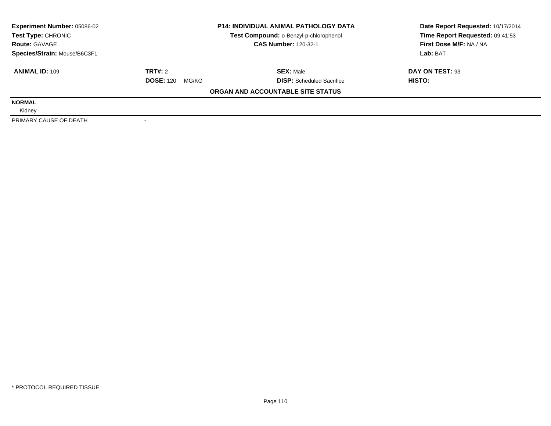| <b>Experiment Number: 05086-02</b> | <b>P14: INDIVIDUAL ANIMAL PATHOLOGY DATA</b> |                                        | Date Report Requested: 10/17/2014 |  |
|------------------------------------|----------------------------------------------|----------------------------------------|-----------------------------------|--|
| Test Type: CHRONIC                 |                                              | Test Compound: o-Benzyl-p-chlorophenol | Time Report Requested: 09:41:53   |  |
| <b>Route: GAVAGE</b>               | <b>CAS Number: 120-32-1</b>                  |                                        | First Dose M/F: NA / NA           |  |
| Species/Strain: Mouse/B6C3F1       |                                              |                                        | Lab: BAT                          |  |
| <b>ANIMAL ID: 109</b>              | TRT#: 2                                      | <b>SEX: Male</b>                       | DAY ON TEST: 93                   |  |
|                                    | <b>DOSE: 120</b><br>MG/KG                    | <b>DISP:</b> Scheduled Sacrifice       | HISTO:                            |  |
|                                    |                                              | ORGAN AND ACCOUNTABLE SITE STATUS      |                                   |  |
| <b>NORMAL</b>                      |                                              |                                        |                                   |  |
| Kidney                             |                                              |                                        |                                   |  |
| PRIMARY CAUSE OF DEATH             |                                              |                                        |                                   |  |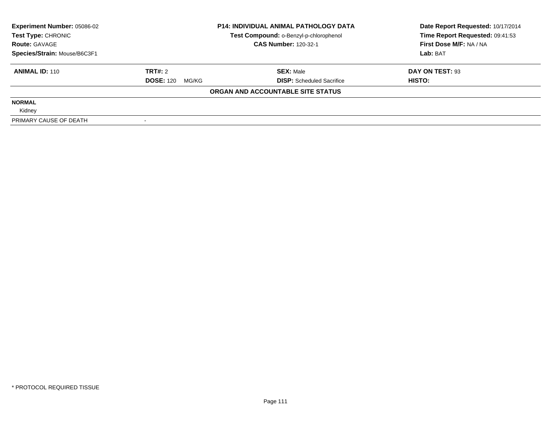| <b>Experiment Number: 05086-02</b> | <b>P14: INDIVIDUAL ANIMAL PATHOLOGY DATA</b> |                                        | Date Report Requested: 10/17/2014 |  |
|------------------------------------|----------------------------------------------|----------------------------------------|-----------------------------------|--|
| Test Type: CHRONIC                 |                                              | Test Compound: o-Benzyl-p-chlorophenol | Time Report Requested: 09:41:53   |  |
| <b>Route: GAVAGE</b>               |                                              | <b>CAS Number: 120-32-1</b>            | First Dose M/F: NA / NA           |  |
| Species/Strain: Mouse/B6C3F1       |                                              |                                        | Lab: BAT                          |  |
| <b>ANIMAL ID: 110</b>              | TRT#: 2                                      | <b>SEX: Male</b>                       | DAY ON TEST: 93                   |  |
|                                    | <b>DOSE: 120</b><br>MG/KG                    | <b>DISP:</b> Scheduled Sacrifice       | HISTO:                            |  |
|                                    |                                              | ORGAN AND ACCOUNTABLE SITE STATUS      |                                   |  |
| <b>NORMAL</b>                      |                                              |                                        |                                   |  |
| Kidney                             |                                              |                                        |                                   |  |
| PRIMARY CAUSE OF DEATH             |                                              |                                        |                                   |  |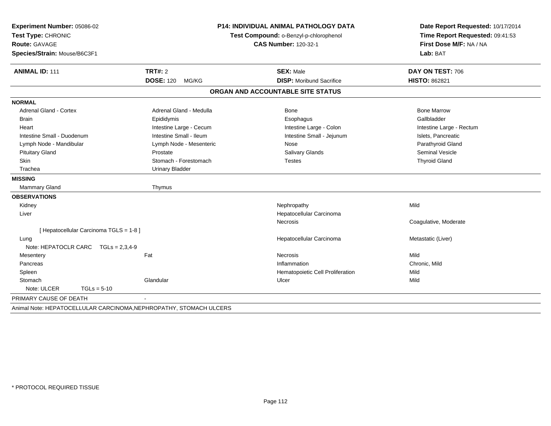| Experiment Number: 05086-02<br>Test Type: CHRONIC                  |                           | <b>P14: INDIVIDUAL ANIMAL PATHOLOGY DATA</b> | Date Report Requested: 10/17/2014<br>Time Report Requested: 09:41:53 |
|--------------------------------------------------------------------|---------------------------|----------------------------------------------|----------------------------------------------------------------------|
|                                                                    |                           | Test Compound: o-Benzyl-p-chlorophenol       |                                                                      |
| Route: GAVAGE                                                      |                           | <b>CAS Number: 120-32-1</b>                  | First Dose M/F: NA / NA                                              |
| Species/Strain: Mouse/B6C3F1                                       |                           |                                              | Lab: BAT                                                             |
| <b>ANIMAL ID: 111</b>                                              | TRT#: 2                   | <b>SEX: Male</b>                             | DAY ON TEST: 706                                                     |
|                                                                    | <b>DOSE: 120</b><br>MG/KG | <b>DISP:</b> Moribund Sacrifice              | <b>HISTO: 862821</b>                                                 |
|                                                                    |                           | ORGAN AND ACCOUNTABLE SITE STATUS            |                                                                      |
| <b>NORMAL</b>                                                      |                           |                                              |                                                                      |
| <b>Adrenal Gland - Cortex</b>                                      | Adrenal Gland - Medulla   | Bone                                         | <b>Bone Marrow</b>                                                   |
| Brain                                                              | Epididymis                | Esophagus                                    | Gallbladder                                                          |
| Heart                                                              | Intestine Large - Cecum   | Intestine Large - Colon                      | Intestine Large - Rectum                                             |
| Intestine Small - Duodenum                                         | Intestine Small - Ileum   | Intestine Small - Jejunum                    | Islets, Pancreatic                                                   |
| Lymph Node - Mandibular                                            | Lymph Node - Mesenteric   | Nose                                         | Parathyroid Gland                                                    |
| <b>Pituitary Gland</b>                                             | Prostate                  | Salivary Glands                              | <b>Seminal Vesicle</b>                                               |
| <b>Skin</b>                                                        | Stomach - Forestomach     | <b>Testes</b>                                | <b>Thyroid Gland</b>                                                 |
| Trachea                                                            | Urinary Bladder           |                                              |                                                                      |
| <b>MISSING</b>                                                     |                           |                                              |                                                                      |
| <b>Mammary Gland</b>                                               | Thymus                    |                                              |                                                                      |
| <b>OBSERVATIONS</b>                                                |                           |                                              |                                                                      |
| Kidney                                                             |                           | Nephropathy                                  | Mild                                                                 |
| Liver                                                              |                           | Hepatocellular Carcinoma                     |                                                                      |
|                                                                    |                           | Necrosis                                     | Coagulative, Moderate                                                |
| [ Hepatocellular Carcinoma TGLS = 1-8 ]                            |                           |                                              |                                                                      |
| Lung                                                               |                           | Hepatocellular Carcinoma                     | Metastatic (Liver)                                                   |
| Note: HEPATOCLR CARC TGLs = 2,3,4-9                                |                           |                                              |                                                                      |
| Mesentery                                                          | Fat                       | Necrosis                                     | Mild                                                                 |
| Pancreas                                                           |                           | Inflammation                                 | Chronic, Mild                                                        |
| Spleen                                                             |                           | Hematopoietic Cell Proliferation             | Mild                                                                 |
| Stomach                                                            | Glandular                 | Ulcer                                        | Mild                                                                 |
| Note: ULCER<br>$TGLs = 5-10$                                       |                           |                                              |                                                                      |
| PRIMARY CAUSE OF DEATH                                             |                           |                                              |                                                                      |
| Animal Note: HEPATOCELLULAR CARCINOMA, NEPHROPATHY, STOMACH ULCERS |                           |                                              |                                                                      |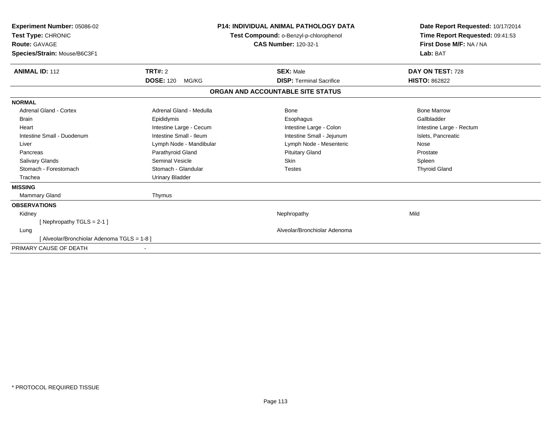| <b>Experiment Number: 05086-02</b><br>Test Type: CHRONIC<br><b>Route: GAVAGE</b><br>Species/Strain: Mouse/B6C3F1 | <b>P14: INDIVIDUAL ANIMAL PATHOLOGY DATA</b><br>Test Compound: o-Benzyl-p-chlorophenol<br><b>CAS Number: 120-32-1</b> |                                   | Date Report Requested: 10/17/2014<br>Time Report Requested: 09:41:53<br>First Dose M/F: NA / NA<br>Lab: BAT |  |
|------------------------------------------------------------------------------------------------------------------|-----------------------------------------------------------------------------------------------------------------------|-----------------------------------|-------------------------------------------------------------------------------------------------------------|--|
| <b>ANIMAL ID: 112</b>                                                                                            | TRT#: 2                                                                                                               | <b>SEX: Male</b>                  | DAY ON TEST: 728                                                                                            |  |
|                                                                                                                  | <b>DOSE: 120</b><br>MG/KG                                                                                             | <b>DISP: Terminal Sacrifice</b>   | <b>HISTO: 862822</b>                                                                                        |  |
|                                                                                                                  |                                                                                                                       | ORGAN AND ACCOUNTABLE SITE STATUS |                                                                                                             |  |
| <b>NORMAL</b>                                                                                                    |                                                                                                                       |                                   |                                                                                                             |  |
| Adrenal Gland - Cortex                                                                                           | Adrenal Gland - Medulla                                                                                               | Bone                              | <b>Bone Marrow</b>                                                                                          |  |
| <b>Brain</b>                                                                                                     | Epididymis                                                                                                            | Esophagus                         | Gallbladder                                                                                                 |  |
| Heart                                                                                                            | Intestine Large - Cecum                                                                                               | Intestine Large - Colon           | Intestine Large - Rectum                                                                                    |  |
| Intestine Small - Duodenum                                                                                       | Intestine Small - Ileum                                                                                               | Intestine Small - Jejunum         | Islets, Pancreatic                                                                                          |  |
| Liver                                                                                                            | Lymph Node - Mandibular                                                                                               | Lymph Node - Mesenteric           | Nose                                                                                                        |  |
| Pancreas                                                                                                         | Parathyroid Gland                                                                                                     | <b>Pituitary Gland</b>            | Prostate                                                                                                    |  |
| <b>Salivary Glands</b>                                                                                           | <b>Seminal Vesicle</b>                                                                                                | <b>Skin</b>                       | Spleen                                                                                                      |  |
| Stomach - Forestomach                                                                                            | Stomach - Glandular                                                                                                   | <b>Testes</b>                     | <b>Thyroid Gland</b>                                                                                        |  |
| Trachea                                                                                                          | <b>Urinary Bladder</b>                                                                                                |                                   |                                                                                                             |  |
| <b>MISSING</b>                                                                                                   |                                                                                                                       |                                   |                                                                                                             |  |
| <b>Mammary Gland</b>                                                                                             | Thymus                                                                                                                |                                   |                                                                                                             |  |
| <b>OBSERVATIONS</b>                                                                                              |                                                                                                                       |                                   |                                                                                                             |  |
| Kidney                                                                                                           |                                                                                                                       | Nephropathy                       | Mild                                                                                                        |  |
| [Nephropathy TGLS = 2-1]                                                                                         |                                                                                                                       |                                   |                                                                                                             |  |
| Lung                                                                                                             |                                                                                                                       | Alveolar/Bronchiolar Adenoma      |                                                                                                             |  |
| [Alveolar/Bronchiolar Adenoma TGLS = 1-8]                                                                        |                                                                                                                       |                                   |                                                                                                             |  |
| PRIMARY CAUSE OF DEATH                                                                                           |                                                                                                                       |                                   |                                                                                                             |  |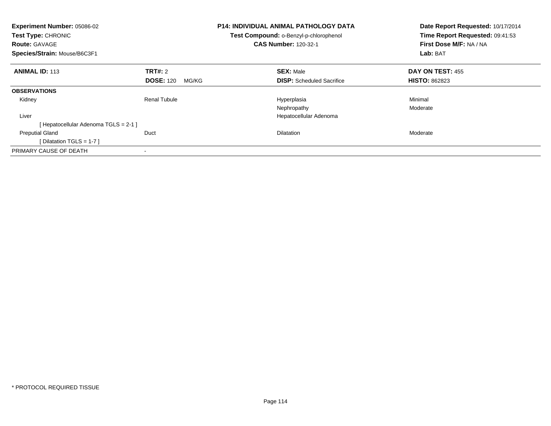| <b>Experiment Number: 05086-02</b><br>Test Type: CHRONIC<br><b>Route: GAVAGE</b><br>Species/Strain: Mouse/B6C3F1 |                           | <b>P14: INDIVIDUAL ANIMAL PATHOLOGY DATA</b><br>Test Compound: o-Benzyl-p-chlorophenol<br><b>CAS Number: 120-32-1</b> | Date Report Requested: 10/17/2014<br>Time Report Requested: 09:41:53<br>First Dose M/F: NA / NA<br>Lab: BAT |
|------------------------------------------------------------------------------------------------------------------|---------------------------|-----------------------------------------------------------------------------------------------------------------------|-------------------------------------------------------------------------------------------------------------|
| <b>ANIMAL ID: 113</b>                                                                                            | TRT#: 2                   | <b>SEX: Male</b>                                                                                                      | <b>DAY ON TEST: 455</b>                                                                                     |
|                                                                                                                  | <b>DOSE: 120</b><br>MG/KG | <b>DISP:</b> Scheduled Sacrifice                                                                                      | <b>HISTO: 862823</b>                                                                                        |
| <b>OBSERVATIONS</b>                                                                                              |                           |                                                                                                                       |                                                                                                             |
| Kidney                                                                                                           | <b>Renal Tubule</b>       | Hyperplasia                                                                                                           | Minimal                                                                                                     |
|                                                                                                                  |                           | Nephropathy                                                                                                           | Moderate                                                                                                    |
| Liver                                                                                                            |                           | Hepatocellular Adenoma                                                                                                |                                                                                                             |
| [Hepatocellular Adenoma TGLS = 2-1]                                                                              |                           |                                                                                                                       |                                                                                                             |
| <b>Preputial Gland</b>                                                                                           | Duct                      | Dilatation                                                                                                            | Moderate                                                                                                    |
| [Dilatation TGLS = 1-7 ]                                                                                         |                           |                                                                                                                       |                                                                                                             |
| PRIMARY CAUSE OF DEATH                                                                                           |                           |                                                                                                                       |                                                                                                             |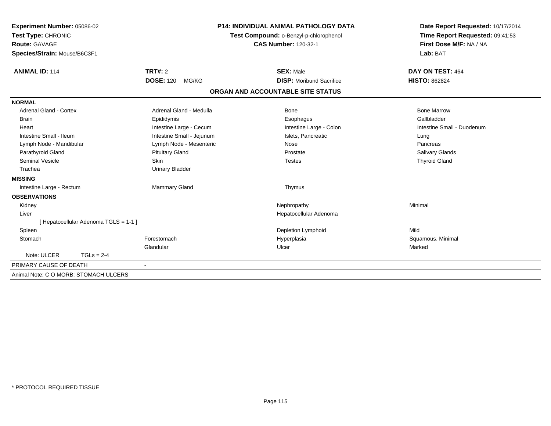| Experiment Number: 05086-02<br>Test Type: CHRONIC<br>Route: GAVAGE |                           | <b>P14: INDIVIDUAL ANIMAL PATHOLOGY DATA</b><br>Test Compound: o-Benzyl-p-chlorophenol | Date Report Requested: 10/17/2014<br>Time Report Requested: 09:41:53<br>First Dose M/F: NA / NA |
|--------------------------------------------------------------------|---------------------------|----------------------------------------------------------------------------------------|-------------------------------------------------------------------------------------------------|
|                                                                    |                           | <b>CAS Number: 120-32-1</b>                                                            |                                                                                                 |
|                                                                    |                           |                                                                                        | Lab: BAT                                                                                        |
| Species/Strain: Mouse/B6C3F1                                       |                           |                                                                                        |                                                                                                 |
| <b>ANIMAL ID: 114</b>                                              | TRT#: 2                   | <b>SEX: Male</b>                                                                       | DAY ON TEST: 464                                                                                |
|                                                                    | <b>DOSE: 120</b><br>MG/KG | <b>DISP:</b> Moribund Sacrifice                                                        | <b>HISTO: 862824</b>                                                                            |
|                                                                    |                           | ORGAN AND ACCOUNTABLE SITE STATUS                                                      |                                                                                                 |
| <b>NORMAL</b>                                                      |                           |                                                                                        |                                                                                                 |
| <b>Adrenal Gland - Cortex</b>                                      | Adrenal Gland - Medulla   | <b>Bone</b>                                                                            | <b>Bone Marrow</b>                                                                              |
| <b>Brain</b>                                                       | Epididymis                | Esophagus                                                                              | Gallbladder                                                                                     |
| Heart                                                              | Intestine Large - Cecum   | Intestine Large - Colon                                                                | Intestine Small - Duodenum                                                                      |
| Intestine Small - Ileum                                            | Intestine Small - Jejunum | Islets, Pancreatic                                                                     | Lung                                                                                            |
| Lymph Node - Mandibular                                            | Lymph Node - Mesenteric   | Nose                                                                                   | Pancreas                                                                                        |
| Parathyroid Gland                                                  | <b>Pituitary Gland</b>    | Prostate                                                                               | <b>Salivary Glands</b>                                                                          |
| Seminal Vesicle                                                    | <b>Skin</b>               | <b>Testes</b>                                                                          | <b>Thyroid Gland</b>                                                                            |
| Trachea                                                            | <b>Urinary Bladder</b>    |                                                                                        |                                                                                                 |
| <b>MISSING</b>                                                     |                           |                                                                                        |                                                                                                 |
| Intestine Large - Rectum                                           | Mammary Gland             | Thymus                                                                                 |                                                                                                 |
| <b>OBSERVATIONS</b>                                                |                           |                                                                                        |                                                                                                 |
| Kidney                                                             |                           | Nephropathy                                                                            | Minimal                                                                                         |
| Liver                                                              |                           | Hepatocellular Adenoma                                                                 |                                                                                                 |
| [ Hepatocellular Adenoma TGLS = 1-1 ]                              |                           |                                                                                        |                                                                                                 |
| Spleen                                                             |                           | Depletion Lymphoid                                                                     | Mild                                                                                            |
| Stomach                                                            | Forestomach               | Hyperplasia                                                                            | Squamous, Minimal                                                                               |
|                                                                    | Glandular                 | Ulcer                                                                                  | Marked                                                                                          |
| Note: ULCER<br>$TGLs = 2-4$                                        |                           |                                                                                        |                                                                                                 |
| PRIMARY CAUSE OF DEATH                                             |                           |                                                                                        |                                                                                                 |
| Animal Note: C O MORB: STOMACH ULCERS                              |                           |                                                                                        |                                                                                                 |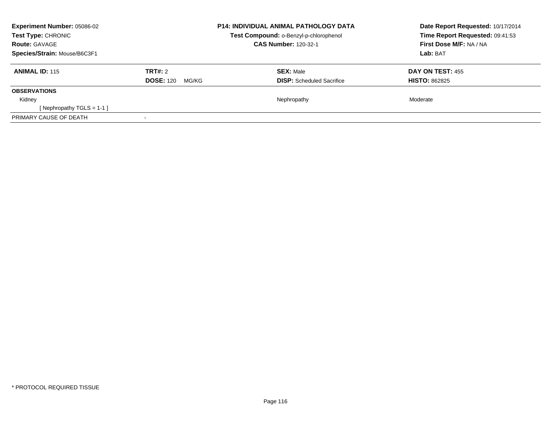| Experiment Number: 05086-02<br><b>Test Type: CHRONIC</b><br><b>Route: GAVAGE</b> |                           | <b>P14: INDIVIDUAL ANIMAL PATHOLOGY DATA</b><br>Test Compound: o-Benzyl-p-chlorophenol<br><b>CAS Number: 120-32-1</b> | Date Report Requested: 10/17/2014<br>Time Report Requested: 09:41:53<br>First Dose M/F: NA / NA |
|----------------------------------------------------------------------------------|---------------------------|-----------------------------------------------------------------------------------------------------------------------|-------------------------------------------------------------------------------------------------|
| Species/Strain: Mouse/B6C3F1                                                     |                           |                                                                                                                       | Lab: BAT                                                                                        |
| <b>ANIMAL ID: 115</b>                                                            | TRT#: 2                   | <b>SEX: Male</b>                                                                                                      | <b>DAY ON TEST: 455</b>                                                                         |
|                                                                                  | <b>DOSE: 120</b><br>MG/KG | <b>DISP:</b> Scheduled Sacrifice                                                                                      | <b>HISTO: 862825</b>                                                                            |
| <b>OBSERVATIONS</b>                                                              |                           |                                                                                                                       |                                                                                                 |
| Kidney                                                                           |                           | Nephropathy                                                                                                           | Moderate                                                                                        |
| [Nephropathy TGLS = 1-1 ]                                                        |                           |                                                                                                                       |                                                                                                 |
| PRIMARY CAUSE OF DEATH                                                           |                           |                                                                                                                       |                                                                                                 |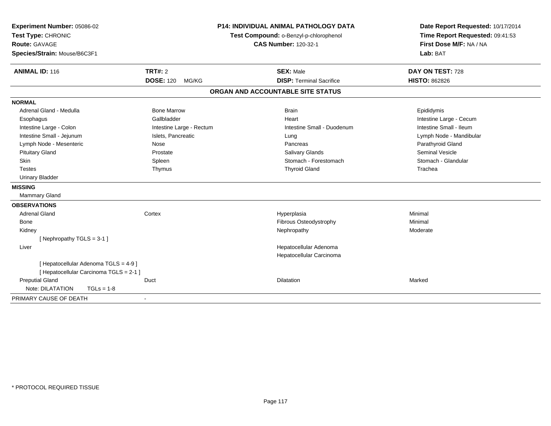| Experiment Number: 05086-02<br>Test Type: CHRONIC                                |                           | <b>P14: INDIVIDUAL ANIMAL PATHOLOGY DATA</b><br>Test Compound: o-Benzyl-p-chlorophenol | Date Report Requested: 10/17/2014<br>Time Report Requested: 09:41:53 |
|----------------------------------------------------------------------------------|---------------------------|----------------------------------------------------------------------------------------|----------------------------------------------------------------------|
| Route: GAVAGE<br>Species/Strain: Mouse/B6C3F1                                    |                           | <b>CAS Number: 120-32-1</b>                                                            | First Dose M/F: NA / NA<br>Lab: BAT                                  |
|                                                                                  |                           |                                                                                        |                                                                      |
| <b>ANIMAL ID: 116</b>                                                            | <b>TRT#: 2</b>            | <b>SEX: Male</b>                                                                       | DAY ON TEST: 728                                                     |
|                                                                                  | <b>DOSE: 120</b><br>MG/KG | <b>DISP: Terminal Sacrifice</b>                                                        | <b>HISTO: 862826</b>                                                 |
|                                                                                  |                           | ORGAN AND ACCOUNTABLE SITE STATUS                                                      |                                                                      |
| <b>NORMAL</b>                                                                    |                           |                                                                                        |                                                                      |
| Adrenal Gland - Medulla                                                          | <b>Bone Marrow</b>        | <b>Brain</b>                                                                           | Epididymis                                                           |
| Esophagus                                                                        | Gallbladder               | Heart                                                                                  | Intestine Large - Cecum                                              |
| Intestine Large - Colon                                                          | Intestine Large - Rectum  | Intestine Small - Duodenum                                                             | Intestine Small - Ileum                                              |
| Intestine Small - Jejunum                                                        | Islets, Pancreatic        | Lung                                                                                   | Lymph Node - Mandibular                                              |
| Lymph Node - Mesenteric                                                          | Nose                      | Pancreas                                                                               | Parathyroid Gland                                                    |
| <b>Pituitary Gland</b>                                                           | Prostate                  | <b>Salivary Glands</b>                                                                 | <b>Seminal Vesicle</b>                                               |
| <b>Skin</b>                                                                      | Spleen                    | Stomach - Forestomach                                                                  | Stomach - Glandular                                                  |
| <b>Testes</b>                                                                    | Thymus                    | <b>Thyroid Gland</b>                                                                   | Trachea                                                              |
| <b>Urinary Bladder</b>                                                           |                           |                                                                                        |                                                                      |
| <b>MISSING</b>                                                                   |                           |                                                                                        |                                                                      |
| <b>Mammary Gland</b>                                                             |                           |                                                                                        |                                                                      |
| <b>OBSERVATIONS</b>                                                              |                           |                                                                                        |                                                                      |
| <b>Adrenal Gland</b>                                                             | Cortex                    | Hyperplasia                                                                            | Minimal                                                              |
| Bone                                                                             |                           | Fibrous Osteodystrophy                                                                 | Minimal                                                              |
| Kidney                                                                           |                           | Nephropathy                                                                            | Moderate                                                             |
| [Nephropathy TGLS = 3-1]                                                         |                           |                                                                                        |                                                                      |
| Liver                                                                            |                           | Hepatocellular Adenoma                                                                 |                                                                      |
|                                                                                  |                           | Hepatocellular Carcinoma                                                               |                                                                      |
| [ Hepatocellular Adenoma TGLS = 4-9 ]<br>[ Hepatocellular Carcinoma TGLS = 2-1 ] |                           |                                                                                        |                                                                      |
| <b>Preputial Gland</b>                                                           | Duct                      | <b>Dilatation</b>                                                                      | Marked                                                               |
| Note: DILATATION<br>$TGLs = 1-8$                                                 |                           |                                                                                        |                                                                      |
| PRIMARY CAUSE OF DEATH                                                           |                           |                                                                                        |                                                                      |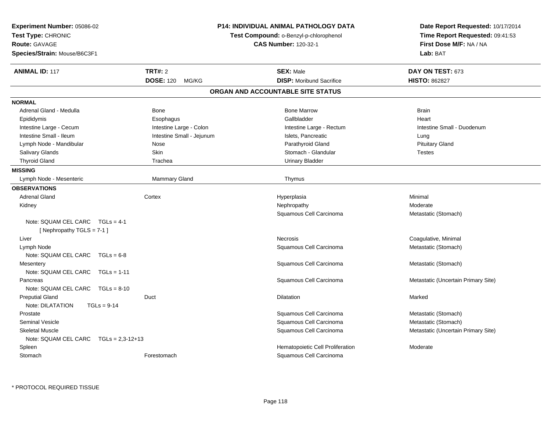| <b>Experiment Number: 05086-02</b><br>Test Type: CHRONIC<br><b>Route: GAVAGE</b><br>Species/Strain: Mouse/B6C3F1 |                                      | <b>P14: INDIVIDUAL ANIMAL PATHOLOGY DATA</b><br>Test Compound: o-Benzyl-p-chlorophenol<br><b>CAS Number: 120-32-1</b> | Date Report Requested: 10/17/2014<br>Time Report Requested: 09:41:53<br>First Dose M/F: NA / NA<br>Lab: BAT |
|------------------------------------------------------------------------------------------------------------------|--------------------------------------|-----------------------------------------------------------------------------------------------------------------------|-------------------------------------------------------------------------------------------------------------|
| <b>ANIMAL ID: 117</b>                                                                                            | TRT#: 2<br><b>DOSE: 120</b><br>MG/KG | <b>SEX: Male</b><br><b>DISP:</b> Moribund Sacrifice                                                                   | DAY ON TEST: 673<br><b>HISTO: 862827</b>                                                                    |
|                                                                                                                  |                                      | ORGAN AND ACCOUNTABLE SITE STATUS                                                                                     |                                                                                                             |
| <b>NORMAL</b>                                                                                                    |                                      |                                                                                                                       |                                                                                                             |
| Adrenal Gland - Medulla                                                                                          | Bone                                 | <b>Bone Marrow</b>                                                                                                    | <b>Brain</b>                                                                                                |
| Epididymis                                                                                                       | Esophagus                            | Gallbladder                                                                                                           | Heart                                                                                                       |
| Intestine Large - Cecum                                                                                          | Intestine Large - Colon              | Intestine Large - Rectum                                                                                              | Intestine Small - Duodenum                                                                                  |
| Intestine Small - Ileum                                                                                          | Intestine Small - Jejunum            | Islets, Pancreatic                                                                                                    | Lung                                                                                                        |
| Lymph Node - Mandibular                                                                                          | Nose                                 | Parathyroid Gland                                                                                                     | <b>Pituitary Gland</b>                                                                                      |
| Salivary Glands                                                                                                  | Skin                                 | Stomach - Glandular                                                                                                   | <b>Testes</b>                                                                                               |
| <b>Thyroid Gland</b>                                                                                             | Trachea                              | <b>Urinary Bladder</b>                                                                                                |                                                                                                             |
| <b>MISSING</b>                                                                                                   |                                      |                                                                                                                       |                                                                                                             |
| Lymph Node - Mesenteric                                                                                          | Mammary Gland                        | Thymus                                                                                                                |                                                                                                             |
| <b>OBSERVATIONS</b>                                                                                              |                                      |                                                                                                                       |                                                                                                             |
| <b>Adrenal Gland</b>                                                                                             | Cortex                               | Hyperplasia                                                                                                           | Minimal                                                                                                     |
| Kidney                                                                                                           |                                      | Nephropathy                                                                                                           | Moderate                                                                                                    |
|                                                                                                                  |                                      | Squamous Cell Carcinoma                                                                                               | Metastatic (Stomach)                                                                                        |
| Note: SQUAM CEL CARC<br>$TGLs = 4-1$<br>[Nephropathy TGLS = 7-1]                                                 |                                      |                                                                                                                       |                                                                                                             |
| Liver                                                                                                            |                                      | Necrosis                                                                                                              | Coagulative, Minimal                                                                                        |
| Lymph Node                                                                                                       |                                      | Squamous Cell Carcinoma                                                                                               | Metastatic (Stomach)                                                                                        |
| Note: SQUAM CEL CARC TGLs = 6-8                                                                                  |                                      |                                                                                                                       |                                                                                                             |
| Mesentery                                                                                                        |                                      | Squamous Cell Carcinoma                                                                                               | Metastatic (Stomach)                                                                                        |
| Note: SQUAM CEL CARC<br>$TGLs = 1-11$                                                                            |                                      |                                                                                                                       |                                                                                                             |
| Pancreas                                                                                                         |                                      | Squamous Cell Carcinoma                                                                                               | Metastatic (Uncertain Primary Site)                                                                         |
| Note: SQUAM CEL CARC<br>$TGLs = 8-10$                                                                            |                                      |                                                                                                                       |                                                                                                             |
| <b>Preputial Gland</b>                                                                                           | Duct                                 | <b>Dilatation</b>                                                                                                     | Marked                                                                                                      |
| Note: DILATATION<br>$TGLs = 9-14$                                                                                |                                      |                                                                                                                       |                                                                                                             |
| Prostate                                                                                                         |                                      | Squamous Cell Carcinoma                                                                                               | Metastatic (Stomach)                                                                                        |
| <b>Seminal Vesicle</b>                                                                                           |                                      | Squamous Cell Carcinoma                                                                                               | Metastatic (Stomach)                                                                                        |
| <b>Skeletal Muscle</b>                                                                                           |                                      | Squamous Cell Carcinoma                                                                                               | Metastatic (Uncertain Primary Site)                                                                         |
| Note: SQUAM CEL CARC TGLs = 2,3-12+13                                                                            |                                      |                                                                                                                       |                                                                                                             |
| Spleen                                                                                                           |                                      | Hematopoietic Cell Proliferation                                                                                      | Moderate                                                                                                    |
| Stomach                                                                                                          | Forestomach                          | Squamous Cell Carcinoma                                                                                               |                                                                                                             |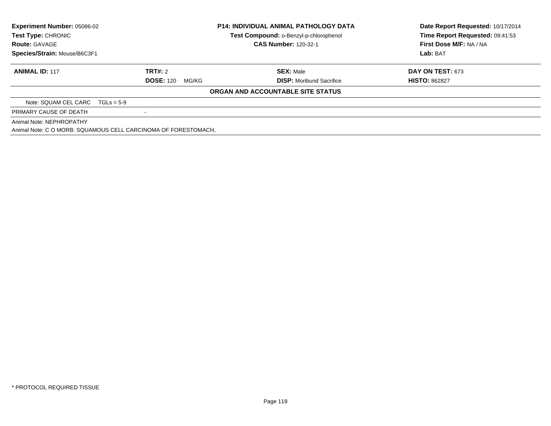| Experiment Number: 05086-02<br>Test Type: CHRONIC<br><b>Route: GAVAGE</b><br>Species/Strain: Mouse/B6C3F1 |                                                                | <b>P14: INDIVIDUAL ANIMAL PATHOLOGY DATA</b><br>Test Compound: o-Benzyl-p-chlorophenol<br><b>CAS Number: 120-32-1</b> | Date Report Requested: 10/17/2014<br>Time Report Requested: 09:41:53<br>First Dose M/F: NA / NA<br>Lab: BAT |
|-----------------------------------------------------------------------------------------------------------|----------------------------------------------------------------|-----------------------------------------------------------------------------------------------------------------------|-------------------------------------------------------------------------------------------------------------|
| <b>ANIMAL ID: 117</b>                                                                                     | TRT#: 2                                                        | <b>SEX:</b> Male                                                                                                      | <b>DAY ON TEST: 673</b>                                                                                     |
|                                                                                                           | <b>DOSE: 120</b><br>MG/KG                                      | <b>DISP:</b> Moribund Sacrifice<br>ORGAN AND ACCOUNTABLE SITE STATUS                                                  | <b>HISTO: 862827</b>                                                                                        |
| Note: SQUAM CEL CARC                                                                                      | $TGLs = 5-9$                                                   |                                                                                                                       |                                                                                                             |
| PRIMARY CAUSE OF DEATH                                                                                    |                                                                |                                                                                                                       |                                                                                                             |
| Animal Note: NEPHROPATHY                                                                                  | Animal Note: C O MORB: SQUAMOUS CELL CARCINOMA OF FORESTOMACH, |                                                                                                                       |                                                                                                             |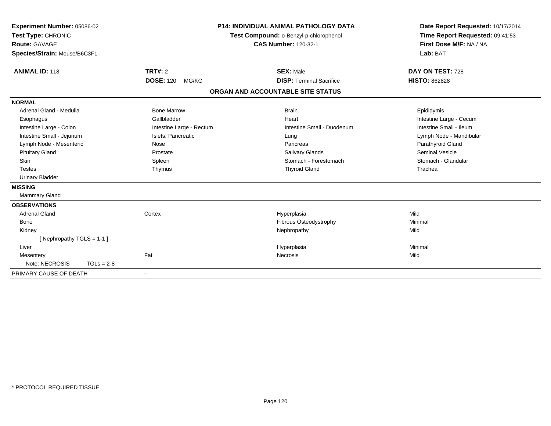| Experiment Number: 05086-02<br>Test Type: CHRONIC<br>Route: GAVAGE<br>Species/Strain: Mouse/B6C3F1<br><b>ANIMAL ID: 118</b>                                                                                                                                     | TRT#: 2<br><b>DOSE: 120</b><br>MG/KG                                                                                        | <b>P14: INDIVIDUAL ANIMAL PATHOLOGY DATA</b><br>Test Compound: o-Benzyl-p-chlorophenol<br><b>CAS Number: 120-32-1</b><br><b>SEX: Male</b><br><b>DISP: Terminal Sacrifice</b> | Date Report Requested: 10/17/2014<br>Time Report Requested: 09:41:53<br>First Dose M/F: NA / NA<br>Lab: BAT<br>DAY ON TEST: 728<br><b>HISTO: 862828</b>                      |
|-----------------------------------------------------------------------------------------------------------------------------------------------------------------------------------------------------------------------------------------------------------------|-----------------------------------------------------------------------------------------------------------------------------|------------------------------------------------------------------------------------------------------------------------------------------------------------------------------|------------------------------------------------------------------------------------------------------------------------------------------------------------------------------|
|                                                                                                                                                                                                                                                                 |                                                                                                                             | ORGAN AND ACCOUNTABLE SITE STATUS                                                                                                                                            |                                                                                                                                                                              |
| <b>NORMAL</b><br>Adrenal Gland - Medulla<br>Esophagus<br>Intestine Large - Colon<br>Intestine Small - Jejunum<br>Lymph Node - Mesenteric<br><b>Pituitary Gland</b><br><b>Skin</b><br><b>Testes</b><br><b>Urinary Bladder</b><br><b>MISSING</b><br>Mammary Gland | <b>Bone Marrow</b><br>Gallbladder<br>Intestine Large - Rectum<br>Islets, Pancreatic<br>Nose<br>Prostate<br>Spleen<br>Thymus | <b>Brain</b><br>Heart<br>Intestine Small - Duodenum<br>Lung<br>Pancreas<br><b>Salivary Glands</b><br>Stomach - Forestomach<br><b>Thyroid Gland</b>                           | Epididymis<br>Intestine Large - Cecum<br>Intestine Small - Ileum<br>Lymph Node - Mandibular<br>Parathyroid Gland<br><b>Seminal Vesicle</b><br>Stomach - Glandular<br>Trachea |
| <b>OBSERVATIONS</b><br><b>Adrenal Gland</b><br><b>Bone</b><br>Kidney<br>[Nephropathy TGLS = 1-1]<br>Liver<br>Mesentery<br>Note: NECROSIS<br>$TGLs = 2-8$<br>PRIMARY CAUSE OF DEATH                                                                              | Cortex<br>Fat<br>$\overline{\phantom{a}}$                                                                                   | Hyperplasia<br>Fibrous Osteodystrophy<br>Nephropathy<br>Hyperplasia<br>Necrosis                                                                                              | Mild<br>Minimal<br>Mild<br>Minimal<br>Mild                                                                                                                                   |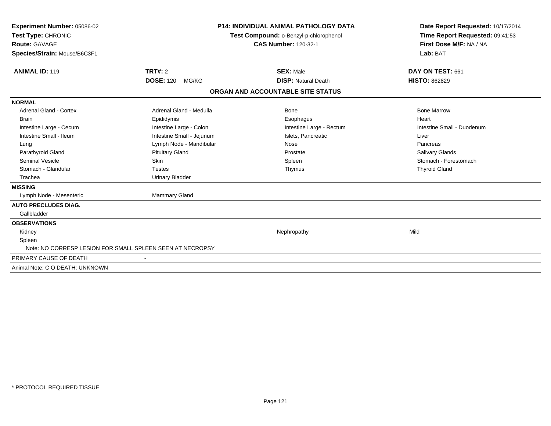| <b>Experiment Number: 05086-02</b><br>Test Type: CHRONIC<br>Route: GAVAGE<br>Species/Strain: Mouse/B6C3F1 | <b>P14: INDIVIDUAL ANIMAL PATHOLOGY DATA</b><br>Test Compound: o-Benzyl-p-chlorophenol<br><b>CAS Number: 120-32-1</b> |                                   | Date Report Requested: 10/17/2014<br>Time Report Requested: 09:41:53<br>First Dose M/F: NA / NA<br>Lab: BAT |
|-----------------------------------------------------------------------------------------------------------|-----------------------------------------------------------------------------------------------------------------------|-----------------------------------|-------------------------------------------------------------------------------------------------------------|
| <b>ANIMAL ID: 119</b>                                                                                     | TRT#: 2                                                                                                               | <b>SEX: Male</b>                  | DAY ON TEST: 661                                                                                            |
|                                                                                                           | <b>DOSE: 120</b><br>MG/KG                                                                                             | <b>DISP: Natural Death</b>        | <b>HISTO: 862829</b>                                                                                        |
|                                                                                                           |                                                                                                                       | ORGAN AND ACCOUNTABLE SITE STATUS |                                                                                                             |
| <b>NORMAL</b>                                                                                             |                                                                                                                       |                                   |                                                                                                             |
| <b>Adrenal Gland - Cortex</b>                                                                             | Adrenal Gland - Medulla                                                                                               | <b>Bone</b>                       | <b>Bone Marrow</b>                                                                                          |
| <b>Brain</b>                                                                                              | Epididymis                                                                                                            | Esophagus                         | Heart                                                                                                       |
| Intestine Large - Cecum                                                                                   | Intestine Large - Colon                                                                                               | Intestine Large - Rectum          | Intestine Small - Duodenum                                                                                  |
| Intestine Small - Ileum                                                                                   | Intestine Small - Jejunum                                                                                             | Islets, Pancreatic                | Liver                                                                                                       |
| Lung                                                                                                      | Lymph Node - Mandibular                                                                                               | Nose                              | Pancreas                                                                                                    |
| Parathyroid Gland                                                                                         | <b>Pituitary Gland</b>                                                                                                | Prostate                          | Salivary Glands                                                                                             |
| Seminal Vesicle                                                                                           | Skin                                                                                                                  | Spleen                            | Stomach - Forestomach                                                                                       |
| Stomach - Glandular                                                                                       | <b>Testes</b>                                                                                                         | Thymus                            | <b>Thyroid Gland</b>                                                                                        |
| Trachea                                                                                                   | <b>Urinary Bladder</b>                                                                                                |                                   |                                                                                                             |
| <b>MISSING</b>                                                                                            |                                                                                                                       |                                   |                                                                                                             |
| Lymph Node - Mesenteric                                                                                   | Mammary Gland                                                                                                         |                                   |                                                                                                             |
| <b>AUTO PRECLUDES DIAG.</b>                                                                               |                                                                                                                       |                                   |                                                                                                             |
| Gallbladder                                                                                               |                                                                                                                       |                                   |                                                                                                             |
| <b>OBSERVATIONS</b>                                                                                       |                                                                                                                       |                                   |                                                                                                             |
| Kidney                                                                                                    |                                                                                                                       | Nephropathy                       | Mild                                                                                                        |
| Spleen                                                                                                    |                                                                                                                       |                                   |                                                                                                             |
| Note: NO CORRESP LESION FOR SMALL SPLEEN SEEN AT NECROPSY                                                 |                                                                                                                       |                                   |                                                                                                             |
| PRIMARY CAUSE OF DEATH                                                                                    |                                                                                                                       |                                   |                                                                                                             |
| Animal Note: C O DEATH: UNKNOWN                                                                           |                                                                                                                       |                                   |                                                                                                             |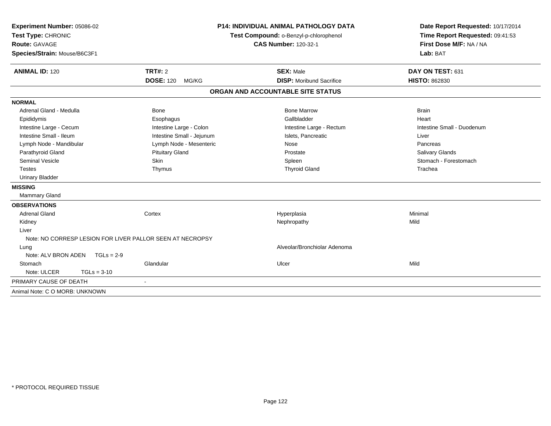| Experiment Number: 05086-02<br>Test Type: CHRONIC<br>Route: GAVAGE<br>Species/Strain: Mouse/B6C3F1 |                                                           | <b>P14: INDIVIDUAL ANIMAL PATHOLOGY DATA</b><br>Test Compound: o-Benzyl-p-chlorophenol<br><b>CAS Number: 120-32-1</b> | Date Report Requested: 10/17/2014<br>Time Report Requested: 09:41:53<br>First Dose M/F: NA / NA<br>Lab: BAT |
|----------------------------------------------------------------------------------------------------|-----------------------------------------------------------|-----------------------------------------------------------------------------------------------------------------------|-------------------------------------------------------------------------------------------------------------|
| <b>ANIMAL ID: 120</b>                                                                              | <b>TRT#: 2</b>                                            | <b>SEX: Male</b>                                                                                                      | DAY ON TEST: 631                                                                                            |
|                                                                                                    | <b>DOSE: 120</b><br>MG/KG                                 | <b>DISP:</b> Moribund Sacrifice                                                                                       | <b>HISTO: 862830</b>                                                                                        |
|                                                                                                    |                                                           | ORGAN AND ACCOUNTABLE SITE STATUS                                                                                     |                                                                                                             |
| <b>NORMAL</b>                                                                                      |                                                           |                                                                                                                       |                                                                                                             |
| Adrenal Gland - Medulla                                                                            | <b>Bone</b>                                               | <b>Bone Marrow</b>                                                                                                    | <b>Brain</b>                                                                                                |
| Epididymis                                                                                         | Esophagus                                                 | Gallbladder                                                                                                           | Heart                                                                                                       |
| Intestine Large - Cecum                                                                            | Intestine Large - Colon                                   | Intestine Large - Rectum                                                                                              | Intestine Small - Duodenum                                                                                  |
| Intestine Small - Ileum                                                                            | Intestine Small - Jejunum                                 | Islets, Pancreatic                                                                                                    | Liver                                                                                                       |
| Lymph Node - Mandibular                                                                            | Lymph Node - Mesenteric                                   | Nose                                                                                                                  | Pancreas                                                                                                    |
| Parathyroid Gland                                                                                  | <b>Pituitary Gland</b>                                    | Prostate                                                                                                              | Salivary Glands                                                                                             |
| <b>Seminal Vesicle</b>                                                                             | Skin                                                      | Spleen                                                                                                                | Stomach - Forestomach                                                                                       |
| <b>Testes</b>                                                                                      | Thymus                                                    | <b>Thyroid Gland</b>                                                                                                  | Trachea                                                                                                     |
| <b>Urinary Bladder</b>                                                                             |                                                           |                                                                                                                       |                                                                                                             |
| <b>MISSING</b>                                                                                     |                                                           |                                                                                                                       |                                                                                                             |
| Mammary Gland                                                                                      |                                                           |                                                                                                                       |                                                                                                             |
| <b>OBSERVATIONS</b>                                                                                |                                                           |                                                                                                                       |                                                                                                             |
| <b>Adrenal Gland</b>                                                                               | Cortex                                                    | Hyperplasia                                                                                                           | Minimal                                                                                                     |
| Kidney                                                                                             |                                                           | Nephropathy                                                                                                           | Mild                                                                                                        |
| Liver                                                                                              |                                                           |                                                                                                                       |                                                                                                             |
|                                                                                                    | Note: NO CORRESP LESION FOR LIVER PALLOR SEEN AT NECROPSY |                                                                                                                       |                                                                                                             |
| Lung                                                                                               |                                                           | Alveolar/Bronchiolar Adenoma                                                                                          |                                                                                                             |
| Note: ALV BRON ADEN                                                                                | $TGLs = 2-9$                                              |                                                                                                                       |                                                                                                             |
| Stomach                                                                                            | Glandular                                                 | Ulcer                                                                                                                 | Mild                                                                                                        |
| Note: ULCER                                                                                        | $TGLs = 3-10$                                             |                                                                                                                       |                                                                                                             |
| PRIMARY CAUSE OF DEATH                                                                             |                                                           |                                                                                                                       |                                                                                                             |
| Animal Note: C O MORB: UNKNOWN                                                                     |                                                           |                                                                                                                       |                                                                                                             |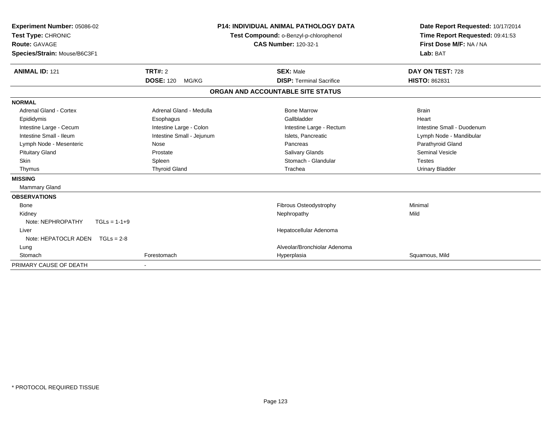| Experiment Number: 05086-02<br>Test Type: CHRONIC<br><b>Route: GAVAGE</b><br>Species/Strain: Mouse/B6C3F1 |                           | <b>P14: INDIVIDUAL ANIMAL PATHOLOGY DATA</b><br>Test Compound: o-Benzyl-p-chlorophenol<br><b>CAS Number: 120-32-1</b> |                                 | Date Report Requested: 10/17/2014<br>Time Report Requested: 09:41:53<br>First Dose M/F: NA / NA<br>Lab: BAT |
|-----------------------------------------------------------------------------------------------------------|---------------------------|-----------------------------------------------------------------------------------------------------------------------|---------------------------------|-------------------------------------------------------------------------------------------------------------|
| <b>ANIMAL ID: 121</b>                                                                                     | <b>TRT#: 2</b>            |                                                                                                                       | <b>SEX: Male</b>                | DAY ON TEST: 728                                                                                            |
|                                                                                                           | <b>DOSE: 120</b><br>MG/KG |                                                                                                                       | <b>DISP: Terminal Sacrifice</b> | <b>HISTO: 862831</b>                                                                                        |
|                                                                                                           |                           | ORGAN AND ACCOUNTABLE SITE STATUS                                                                                     |                                 |                                                                                                             |
| <b>NORMAL</b>                                                                                             |                           |                                                                                                                       |                                 |                                                                                                             |
| <b>Adrenal Gland - Cortex</b>                                                                             | Adrenal Gland - Medulla   |                                                                                                                       | <b>Bone Marrow</b>              | <b>Brain</b>                                                                                                |
| Epididymis                                                                                                | Esophagus                 |                                                                                                                       | Gallbladder                     | Heart                                                                                                       |
| Intestine Large - Cecum                                                                                   | Intestine Large - Colon   |                                                                                                                       | Intestine Large - Rectum        | Intestine Small - Duodenum                                                                                  |
| Intestine Small - Ileum                                                                                   | Intestine Small - Jejunum |                                                                                                                       | Islets, Pancreatic              | Lymph Node - Mandibular                                                                                     |
| Lymph Node - Mesenteric                                                                                   | Nose                      |                                                                                                                       | Pancreas                        | Parathyroid Gland                                                                                           |
| <b>Pituitary Gland</b>                                                                                    | Prostate                  |                                                                                                                       | <b>Salivary Glands</b>          | <b>Seminal Vesicle</b>                                                                                      |
| <b>Skin</b>                                                                                               | Spleen                    |                                                                                                                       | Stomach - Glandular             | <b>Testes</b>                                                                                               |
| Thymus                                                                                                    | <b>Thyroid Gland</b>      |                                                                                                                       | Trachea                         | <b>Urinary Bladder</b>                                                                                      |
| <b>MISSING</b>                                                                                            |                           |                                                                                                                       |                                 |                                                                                                             |
| Mammary Gland                                                                                             |                           |                                                                                                                       |                                 |                                                                                                             |
| <b>OBSERVATIONS</b>                                                                                       |                           |                                                                                                                       |                                 |                                                                                                             |
| <b>Bone</b>                                                                                               |                           |                                                                                                                       | <b>Fibrous Osteodystrophy</b>   | Minimal                                                                                                     |
| Kidney                                                                                                    |                           |                                                                                                                       | Nephropathy                     | Mild                                                                                                        |
| Note: NEPHROPATHY<br>$TGLs = 1-1+9$                                                                       |                           |                                                                                                                       |                                 |                                                                                                             |
| Liver                                                                                                     |                           |                                                                                                                       | Hepatocellular Adenoma          |                                                                                                             |
| Note: HEPATOCLR ADEN $TGLs = 2-8$                                                                         |                           |                                                                                                                       |                                 |                                                                                                             |
| Lung                                                                                                      |                           |                                                                                                                       | Alveolar/Bronchiolar Adenoma    |                                                                                                             |
| Stomach                                                                                                   | Forestomach               |                                                                                                                       | Hyperplasia                     | Squamous, Mild                                                                                              |
| PRIMARY CAUSE OF DEATH                                                                                    |                           |                                                                                                                       |                                 |                                                                                                             |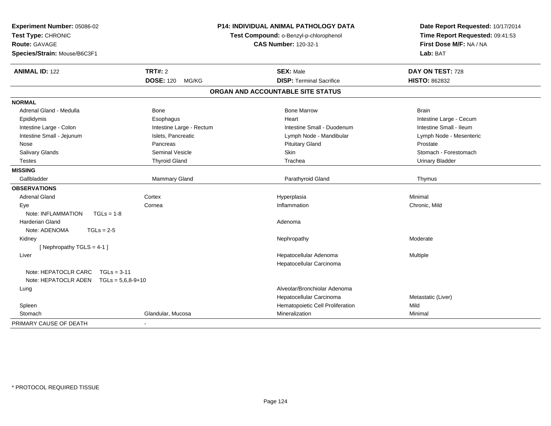| Experiment Number: 05086-02<br>Test Type: CHRONIC<br><b>Route: GAVAGE</b><br>Species/Strain: Mouse/B6C3F1 |                           | P14: INDIVIDUAL ANIMAL PATHOLOGY DATA<br>Test Compound: o-Benzyl-p-chlorophenol<br><b>CAS Number: 120-32-1</b> | Date Report Requested: 10/17/2014<br>Time Report Requested: 09:41:53<br>First Dose M/F: NA / NA<br>Lab: BAT |
|-----------------------------------------------------------------------------------------------------------|---------------------------|----------------------------------------------------------------------------------------------------------------|-------------------------------------------------------------------------------------------------------------|
| <b>ANIMAL ID: 122</b>                                                                                     | <b>TRT#: 2</b>            | <b>SEX: Male</b>                                                                                               | DAY ON TEST: 728                                                                                            |
|                                                                                                           | <b>DOSE: 120</b><br>MG/KG | <b>DISP: Terminal Sacrifice</b>                                                                                | <b>HISTO: 862832</b>                                                                                        |
|                                                                                                           |                           | ORGAN AND ACCOUNTABLE SITE STATUS                                                                              |                                                                                                             |
| <b>NORMAL</b>                                                                                             |                           |                                                                                                                |                                                                                                             |
| Adrenal Gland - Medulla                                                                                   | Bone                      | <b>Bone Marrow</b>                                                                                             | <b>Brain</b>                                                                                                |
| Epididymis                                                                                                | Esophagus                 | Heart                                                                                                          | Intestine Large - Cecum                                                                                     |
| Intestine Large - Colon                                                                                   | Intestine Large - Rectum  | Intestine Small - Duodenum                                                                                     | Intestine Small - Ileum                                                                                     |
| Intestine Small - Jejunum                                                                                 | Islets, Pancreatic        | Lymph Node - Mandibular                                                                                        | Lymph Node - Mesenteric                                                                                     |
| Nose                                                                                                      | Pancreas                  | <b>Pituitary Gland</b>                                                                                         | Prostate                                                                                                    |
| Salivary Glands                                                                                           | <b>Seminal Vesicle</b>    | Skin                                                                                                           | Stomach - Forestomach                                                                                       |
| <b>Testes</b>                                                                                             | <b>Thyroid Gland</b>      | Trachea                                                                                                        | <b>Urinary Bladder</b>                                                                                      |
| <b>MISSING</b>                                                                                            |                           |                                                                                                                |                                                                                                             |
| Gallbladder                                                                                               | Mammary Gland             | Parathyroid Gland                                                                                              | Thymus                                                                                                      |
| <b>OBSERVATIONS</b>                                                                                       |                           |                                                                                                                |                                                                                                             |
| <b>Adrenal Gland</b>                                                                                      | Cortex                    | Hyperplasia                                                                                                    | Minimal                                                                                                     |
| Eye                                                                                                       | Cornea                    | Inflammation                                                                                                   | Chronic, Mild                                                                                               |
| Note: INFLAMMATION<br>$TGLs = 1-8$                                                                        |                           |                                                                                                                |                                                                                                             |
| <b>Harderian Gland</b>                                                                                    |                           | Adenoma                                                                                                        |                                                                                                             |
| Note: ADENOMA<br>$TGLs = 2-5$                                                                             |                           |                                                                                                                |                                                                                                             |
| Kidney                                                                                                    |                           | Nephropathy                                                                                                    | Moderate                                                                                                    |
| [Nephropathy TGLS = 4-1]                                                                                  |                           |                                                                                                                |                                                                                                             |
| Liver                                                                                                     |                           | Hepatocellular Adenoma                                                                                         | Multiple                                                                                                    |
|                                                                                                           |                           | Hepatocellular Carcinoma                                                                                       |                                                                                                             |
| Note: HEPATOCLR CARC<br>$TGLs = 3-11$<br>Note: HEPATOCLR ADEN TGLs = 5,6,8-9+10                           |                           |                                                                                                                |                                                                                                             |
| Lung                                                                                                      |                           | Alveolar/Bronchiolar Adenoma                                                                                   |                                                                                                             |
|                                                                                                           |                           | Hepatocellular Carcinoma                                                                                       | Metastatic (Liver)                                                                                          |
| Spleen                                                                                                    |                           | Hematopoietic Cell Proliferation                                                                               | Mild                                                                                                        |
| Stomach                                                                                                   | Glandular, Mucosa         | Mineralization                                                                                                 | Minimal                                                                                                     |
| PRIMARY CAUSE OF DEATH                                                                                    | $\blacksquare$            |                                                                                                                |                                                                                                             |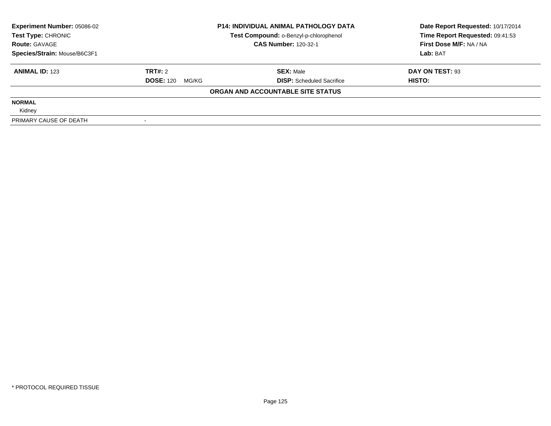| <b>Experiment Number: 05086-02</b> |                           | <b>P14: INDIVIDUAL ANIMAL PATHOLOGY DATA</b> | Date Report Requested: 10/17/2014 |  |
|------------------------------------|---------------------------|----------------------------------------------|-----------------------------------|--|
| Test Type: CHRONIC                 |                           | Test Compound: o-Benzyl-p-chlorophenol       | Time Report Requested: 09:41:53   |  |
| <b>Route: GAVAGE</b>               |                           | <b>CAS Number: 120-32-1</b>                  | First Dose M/F: NA / NA           |  |
| Species/Strain: Mouse/B6C3F1       |                           |                                              | Lab: BAT                          |  |
| <b>ANIMAL ID: 123</b>              | TRT#: 2                   | <b>SEX: Male</b>                             | DAY ON TEST: 93                   |  |
|                                    | <b>DOSE: 120</b><br>MG/KG | <b>DISP:</b> Scheduled Sacrifice             | HISTO:                            |  |
|                                    |                           | ORGAN AND ACCOUNTABLE SITE STATUS            |                                   |  |
| <b>NORMAL</b>                      |                           |                                              |                                   |  |
| Kidney                             |                           |                                              |                                   |  |
| PRIMARY CAUSE OF DEATH             |                           |                                              |                                   |  |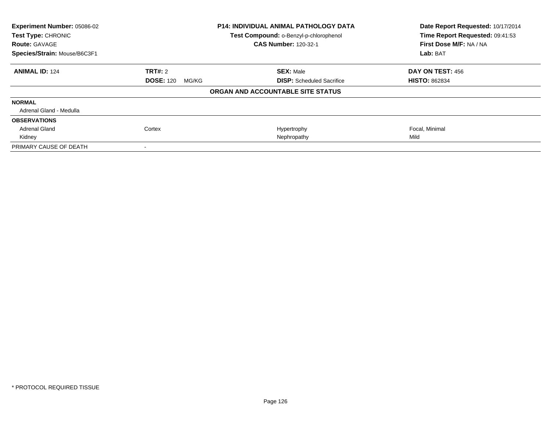| Experiment Number: 05086-02<br>Test Type: CHRONIC    |                           | <b>P14: INDIVIDUAL ANIMAL PATHOLOGY DATA</b><br>Test Compound: o-Benzyl-p-chlorophenol | Date Report Requested: 10/17/2014<br>Time Report Requested: 09:41:53 |
|------------------------------------------------------|---------------------------|----------------------------------------------------------------------------------------|----------------------------------------------------------------------|
| <b>Route: GAVAGE</b><br>Species/Strain: Mouse/B6C3F1 |                           | <b>CAS Number: 120-32-1</b>                                                            | First Dose M/F: NA / NA<br>Lab: BAT                                  |
|                                                      |                           |                                                                                        |                                                                      |
| <b>ANIMAL ID: 124</b>                                | TRT#: 2                   | <b>SEX: Male</b>                                                                       | DAY ON TEST: 456                                                     |
|                                                      | <b>DOSE: 120</b><br>MG/KG | <b>DISP:</b> Scheduled Sacrifice                                                       | <b>HISTO: 862834</b>                                                 |
|                                                      |                           | ORGAN AND ACCOUNTABLE SITE STATUS                                                      |                                                                      |
| <b>NORMAL</b>                                        |                           |                                                                                        |                                                                      |
| Adrenal Gland - Medulla                              |                           |                                                                                        |                                                                      |
| <b>OBSERVATIONS</b>                                  |                           |                                                                                        |                                                                      |
| <b>Adrenal Gland</b>                                 | Cortex                    | Hypertrophy                                                                            | Focal, Minimal                                                       |
| Kidney                                               |                           | Nephropathy                                                                            | Mild                                                                 |
| PRIMARY CAUSE OF DEATH                               |                           |                                                                                        |                                                                      |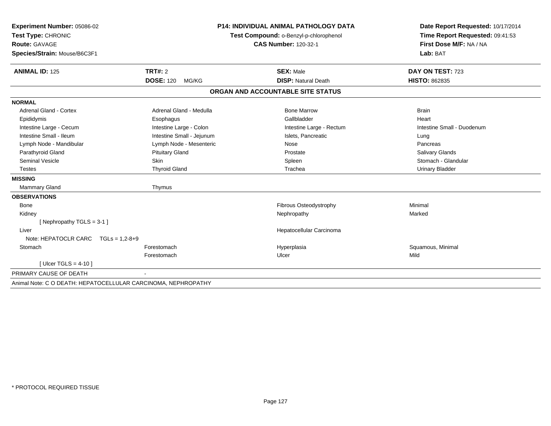| Experiment Number: 05086-02                                   | <b>P14: INDIVIDUAL ANIMAL PATHOLOGY DATA</b><br>Test Compound: o-Benzyl-p-chlorophenol |                             | Date Report Requested: 10/17/2014 |                            |
|---------------------------------------------------------------|----------------------------------------------------------------------------------------|-----------------------------|-----------------------------------|----------------------------|
| Test Type: CHRONIC                                            |                                                                                        |                             | Time Report Requested: 09:41:53   |                            |
| <b>Route: GAVAGE</b>                                          |                                                                                        | <b>CAS Number: 120-32-1</b> |                                   | First Dose M/F: NA / NA    |
| Species/Strain: Mouse/B6C3F1                                  |                                                                                        |                             |                                   | Lab: BAT                   |
|                                                               |                                                                                        |                             |                                   |                            |
| <b>ANIMAL ID: 125</b>                                         | TRT#: 2                                                                                |                             | <b>SEX: Male</b>                  | DAY ON TEST: 723           |
|                                                               | <b>DOSE: 120</b><br>MG/KG                                                              |                             | <b>DISP: Natural Death</b>        | <b>HISTO: 862835</b>       |
|                                                               |                                                                                        |                             | ORGAN AND ACCOUNTABLE SITE STATUS |                            |
| <b>NORMAL</b>                                                 |                                                                                        |                             |                                   |                            |
| Adrenal Gland - Cortex                                        | Adrenal Gland - Medulla                                                                |                             | <b>Bone Marrow</b>                | <b>Brain</b>               |
| Epididymis                                                    | Esophagus                                                                              |                             | Gallbladder                       | Heart                      |
| Intestine Large - Cecum                                       | Intestine Large - Colon                                                                |                             | Intestine Large - Rectum          | Intestine Small - Duodenum |
| Intestine Small - Ileum                                       | Intestine Small - Jejunum                                                              |                             | Islets, Pancreatic                | Lung                       |
| Lymph Node - Mandibular                                       | Lymph Node - Mesenteric                                                                |                             | Nose                              | Pancreas                   |
| Parathyroid Gland                                             | <b>Pituitary Gland</b>                                                                 |                             | Prostate                          | <b>Salivary Glands</b>     |
| <b>Seminal Vesicle</b>                                        | Skin                                                                                   |                             | Spleen                            | Stomach - Glandular        |
| <b>Testes</b>                                                 | <b>Thyroid Gland</b>                                                                   |                             | Trachea                           | <b>Urinary Bladder</b>     |
| <b>MISSING</b>                                                |                                                                                        |                             |                                   |                            |
| <b>Mammary Gland</b>                                          | Thymus                                                                                 |                             |                                   |                            |
| <b>OBSERVATIONS</b>                                           |                                                                                        |                             |                                   |                            |
| <b>Bone</b>                                                   |                                                                                        |                             | Fibrous Osteodystrophy            | Minimal                    |
| Kidney                                                        |                                                                                        |                             | Nephropathy                       | Marked                     |
| [Nephropathy TGLS = 3-1]                                      |                                                                                        |                             |                                   |                            |
| Liver                                                         |                                                                                        |                             | Hepatocellular Carcinoma          |                            |
| Note: HEPATOCLR CARC<br>$TGLs = 1.2 - 8 + 9$                  |                                                                                        |                             |                                   |                            |
| Stomach                                                       | Forestomach                                                                            |                             | Hyperplasia                       | Squamous, Minimal          |
|                                                               | Forestomach                                                                            |                             | Ulcer                             | Mild                       |
| [Ulcer TGLS = $4-10$ ]                                        |                                                                                        |                             |                                   |                            |
| PRIMARY CAUSE OF DEATH                                        |                                                                                        |                             |                                   |                            |
| Animal Note: C O DEATH: HEPATOCELLULAR CARCINOMA, NEPHROPATHY |                                                                                        |                             |                                   |                            |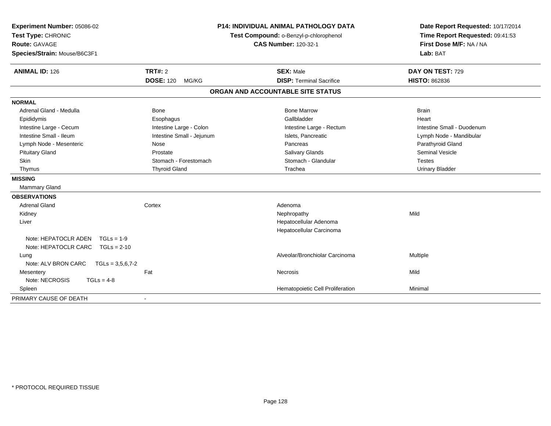| Experiment Number: 05086-02               | P14: INDIVIDUAL ANIMAL PATHOLOGY DATA |                                        | Date Report Requested: 10/17/2014 |
|-------------------------------------------|---------------------------------------|----------------------------------------|-----------------------------------|
| Test Type: CHRONIC                        |                                       | Test Compound: o-Benzyl-p-chlorophenol | Time Report Requested: 09:41:53   |
| <b>Route: GAVAGE</b>                      |                                       | <b>CAS Number: 120-32-1</b>            | First Dose M/F: NA / NA           |
| Species/Strain: Mouse/B6C3F1              |                                       |                                        | Lab: BAT                          |
| <b>ANIMAL ID: 126</b>                     | <b>TRT#: 2</b>                        | <b>SEX: Male</b>                       | DAY ON TEST: 729                  |
|                                           | <b>DOSE: 120</b><br>MG/KG             | <b>DISP: Terminal Sacrifice</b>        | <b>HISTO: 862836</b>              |
|                                           |                                       | ORGAN AND ACCOUNTABLE SITE STATUS      |                                   |
| <b>NORMAL</b>                             |                                       |                                        |                                   |
| Adrenal Gland - Medulla                   | <b>Bone</b>                           | <b>Bone Marrow</b>                     | <b>Brain</b>                      |
| Epididymis                                | Esophagus                             | Gallbladder                            | Heart                             |
| Intestine Large - Cecum                   | Intestine Large - Colon               | Intestine Large - Rectum               | Intestine Small - Duodenum        |
| Intestine Small - Ileum                   | Intestine Small - Jejunum             | Islets, Pancreatic                     | Lymph Node - Mandibular           |
| Lymph Node - Mesenteric                   | Nose                                  | Pancreas                               | Parathyroid Gland                 |
| <b>Pituitary Gland</b>                    | Prostate                              | Salivary Glands                        | <b>Seminal Vesicle</b>            |
| Skin                                      | Stomach - Forestomach                 | Stomach - Glandular                    | <b>Testes</b>                     |
| Thymus                                    | <b>Thyroid Gland</b>                  | Trachea                                | <b>Urinary Bladder</b>            |
| <b>MISSING</b>                            |                                       |                                        |                                   |
| <b>Mammary Gland</b>                      |                                       |                                        |                                   |
| <b>OBSERVATIONS</b>                       |                                       |                                        |                                   |
| <b>Adrenal Gland</b>                      | Cortex                                | Adenoma                                |                                   |
| Kidney                                    |                                       | Nephropathy                            | Mild                              |
| Liver                                     |                                       | Hepatocellular Adenoma                 |                                   |
|                                           |                                       | Hepatocellular Carcinoma               |                                   |
| Note: HEPATOCLR ADEN<br>$TGLs = 1-9$      |                                       |                                        |                                   |
| Note: HEPATOCLR CARC TGLs = 2-10          |                                       |                                        |                                   |
| Lung                                      |                                       | Alveolar/Bronchiolar Carcinoma         | Multiple                          |
| Note: ALV BRON CARC<br>$TGLs = 3,5,6,7-2$ |                                       |                                        |                                   |
| Mesentery                                 | Fat                                   | Necrosis                               | Mild                              |
| Note: NECROSIS<br>$TGLs = 4-8$            |                                       |                                        |                                   |
| Spleen                                    |                                       | Hematopoietic Cell Proliferation       | Minimal                           |
| PRIMARY CAUSE OF DEATH                    |                                       |                                        |                                   |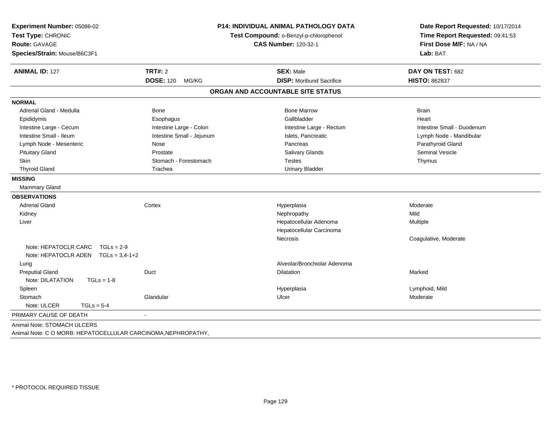| Experiment Number: 05086-02<br>Test Type: CHRONIC<br><b>Route: GAVAGE</b><br>Species/Strain: Mouse/B6C3F1 | <b>P14: INDIVIDUAL ANIMAL PATHOLOGY DATA</b><br>Test Compound: o-Benzyl-p-chlorophenol<br><b>CAS Number: 120-32-1</b> |                                   |                            |  | Date Report Requested: 10/17/2014<br>Time Report Requested: 09:41:53<br>First Dose M/F: NA / NA<br>Lab: BAT |
|-----------------------------------------------------------------------------------------------------------|-----------------------------------------------------------------------------------------------------------------------|-----------------------------------|----------------------------|--|-------------------------------------------------------------------------------------------------------------|
| <b>ANIMAL ID: 127</b>                                                                                     | <b>TRT#: 2</b>                                                                                                        | <b>SEX: Male</b>                  | DAY ON TEST: 682           |  |                                                                                                             |
|                                                                                                           | <b>DOSE: 120</b><br>MG/KG                                                                                             | <b>DISP:</b> Moribund Sacrifice   | <b>HISTO: 862837</b>       |  |                                                                                                             |
|                                                                                                           |                                                                                                                       | ORGAN AND ACCOUNTABLE SITE STATUS |                            |  |                                                                                                             |
| <b>NORMAL</b>                                                                                             |                                                                                                                       |                                   |                            |  |                                                                                                             |
| Adrenal Gland - Medulla                                                                                   | Bone                                                                                                                  | <b>Bone Marrow</b>                | <b>Brain</b>               |  |                                                                                                             |
| Epididymis                                                                                                | Esophagus                                                                                                             | Gallbladder                       | Heart                      |  |                                                                                                             |
| Intestine Large - Cecum                                                                                   | Intestine Large - Colon                                                                                               | Intestine Large - Rectum          | Intestine Small - Duodenum |  |                                                                                                             |
| Intestine Small - Ileum                                                                                   | Intestine Small - Jejunum                                                                                             | Islets, Pancreatic                | Lymph Node - Mandibular    |  |                                                                                                             |
| Lymph Node - Mesenteric                                                                                   | Nose                                                                                                                  | Pancreas                          | Parathyroid Gland          |  |                                                                                                             |
| <b>Pituitary Gland</b>                                                                                    | Prostate                                                                                                              | Salivary Glands                   | <b>Seminal Vesicle</b>     |  |                                                                                                             |
| <b>Skin</b>                                                                                               | Stomach - Forestomach                                                                                                 | <b>Testes</b>                     | Thymus                     |  |                                                                                                             |
| <b>Thyroid Gland</b>                                                                                      | Trachea                                                                                                               | <b>Urinary Bladder</b>            |                            |  |                                                                                                             |
| <b>MISSING</b>                                                                                            |                                                                                                                       |                                   |                            |  |                                                                                                             |
| Mammary Gland                                                                                             |                                                                                                                       |                                   |                            |  |                                                                                                             |
| <b>OBSERVATIONS</b>                                                                                       |                                                                                                                       |                                   |                            |  |                                                                                                             |
| <b>Adrenal Gland</b>                                                                                      | Cortex                                                                                                                | Hyperplasia                       | Moderate                   |  |                                                                                                             |
| Kidney                                                                                                    |                                                                                                                       | Nephropathy                       | Mild                       |  |                                                                                                             |
| Liver                                                                                                     |                                                                                                                       | Hepatocellular Adenoma            | Multiple                   |  |                                                                                                             |
|                                                                                                           |                                                                                                                       | Hepatocellular Carcinoma          |                            |  |                                                                                                             |
|                                                                                                           |                                                                                                                       | <b>Necrosis</b>                   | Coagulative, Moderate      |  |                                                                                                             |
| Note: HEPATOCLR CARC<br>$TGLs = 2-9$                                                                      |                                                                                                                       |                                   |                            |  |                                                                                                             |
| Note: HEPATOCLR ADEN TGLs = 3,4-1+2                                                                       |                                                                                                                       |                                   |                            |  |                                                                                                             |
| Lung                                                                                                      |                                                                                                                       | Alveolar/Bronchiolar Adenoma      |                            |  |                                                                                                             |
| <b>Preputial Gland</b>                                                                                    | Duct                                                                                                                  | <b>Dilatation</b>                 | Marked                     |  |                                                                                                             |
| Note: DILATATION<br>$TGLs = 1-8$                                                                          |                                                                                                                       |                                   |                            |  |                                                                                                             |
| Spleen                                                                                                    |                                                                                                                       | Hyperplasia                       | Lymphoid, Mild             |  |                                                                                                             |
| Stomach                                                                                                   | Glandular                                                                                                             | Ulcer                             | Moderate                   |  |                                                                                                             |
| Note: ULCER<br>$TGLs = 5-4$                                                                               |                                                                                                                       |                                   |                            |  |                                                                                                             |
| PRIMARY CAUSE OF DEATH                                                                                    |                                                                                                                       |                                   |                            |  |                                                                                                             |
| Animal Note: STOMACH ULCERS                                                                               |                                                                                                                       |                                   |                            |  |                                                                                                             |

Animal Note: C O MORB: HEPATOCELLULAR CARCINOMA,NEPHROPATHY,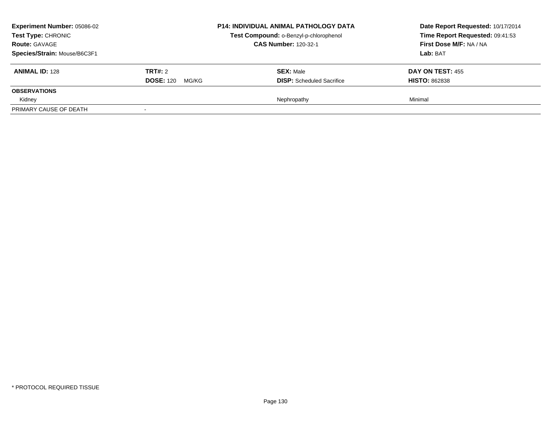| <b>Experiment Number: 05086-02</b><br>Test Type: CHRONIC<br><b>Route: GAVAGE</b><br>Species/Strain: Mouse/B6C3F1 |                                      | <b>P14: INDIVIDUAL ANIMAL PATHOLOGY DATA</b><br>Test Compound: o-Benzyl-p-chlorophenol<br><b>CAS Number: 120-32-1</b> | Date Report Requested: 10/17/2014<br>Time Report Requested: 09:41:53<br>First Dose M/F: NA / NA<br>Lab: BAT |
|------------------------------------------------------------------------------------------------------------------|--------------------------------------|-----------------------------------------------------------------------------------------------------------------------|-------------------------------------------------------------------------------------------------------------|
| <b>ANIMAL ID: 128</b>                                                                                            | TRT#: 2<br><b>DOSE: 120</b><br>MG/KG | <b>SEX: Male</b><br><b>DISP:</b> Scheduled Sacrifice                                                                  | <b>DAY ON TEST: 455</b><br><b>HISTO: 862838</b>                                                             |
| <b>OBSERVATIONS</b>                                                                                              |                                      |                                                                                                                       |                                                                                                             |
| Kidney<br>PRIMARY CAUSE OF DEATH                                                                                 |                                      | Nephropathy                                                                                                           | Minimal                                                                                                     |
|                                                                                                                  |                                      |                                                                                                                       |                                                                                                             |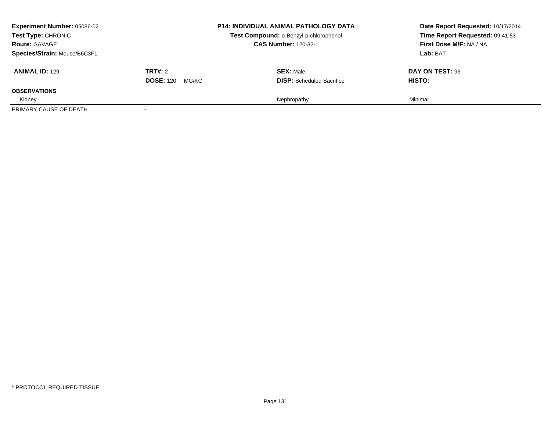| <b>Experiment Number: 05086-02</b><br>Test Type: CHRONIC<br><b>Route: GAVAGE</b><br>Species/Strain: Mouse/B6C3F1 |                                          | <b>P14: INDIVIDUAL ANIMAL PATHOLOGY DATA</b><br>Test Compound: o-Benzyl-p-chlorophenol<br><b>CAS Number: 120-32-1</b> | Date Report Requested: 10/17/2014<br>Time Report Requested: 09:41:53<br>First Dose M/F: NA / NA<br>Lab: BAT |
|------------------------------------------------------------------------------------------------------------------|------------------------------------------|-----------------------------------------------------------------------------------------------------------------------|-------------------------------------------------------------------------------------------------------------|
| <b>ANIMAL ID: 129</b>                                                                                            | <b>TRT#: 2</b><br><b>DOSE: 120 MG/KG</b> | <b>SEX: Male</b><br><b>DISP:</b> Scheduled Sacrifice                                                                  | DAY ON TEST: 93<br><b>HISTO:</b>                                                                            |
| <b>OBSERVATIONS</b>                                                                                              |                                          |                                                                                                                       |                                                                                                             |
| Kidney                                                                                                           |                                          | Nephropathy                                                                                                           | Minimal                                                                                                     |
| PRIMARY CAUSE OF DEATH                                                                                           |                                          |                                                                                                                       |                                                                                                             |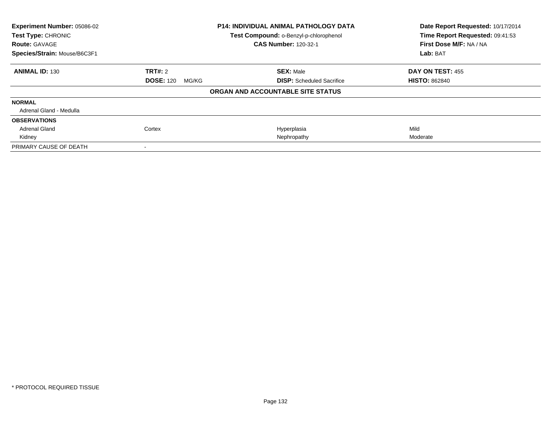| Experiment Number: 05086-02<br>Test Type: CHRONIC    |                           | <b>P14: INDIVIDUAL ANIMAL PATHOLOGY DATA</b><br>Test Compound: o-Benzyl-p-chlorophenol | Date Report Requested: 10/17/2014<br>Time Report Requested: 09:41:53 |
|------------------------------------------------------|---------------------------|----------------------------------------------------------------------------------------|----------------------------------------------------------------------|
| <b>Route: GAVAGE</b><br>Species/Strain: Mouse/B6C3F1 |                           | <b>CAS Number: 120-32-1</b>                                                            | First Dose M/F: NA / NA<br>Lab: BAT                                  |
|                                                      |                           |                                                                                        |                                                                      |
| <b>ANIMAL ID: 130</b>                                | TRT#: 2                   | <b>SEX: Male</b>                                                                       | <b>DAY ON TEST: 455</b>                                              |
|                                                      | <b>DOSE: 120</b><br>MG/KG | <b>DISP:</b> Scheduled Sacrifice                                                       | <b>HISTO: 862840</b>                                                 |
|                                                      |                           | ORGAN AND ACCOUNTABLE SITE STATUS                                                      |                                                                      |
| <b>NORMAL</b>                                        |                           |                                                                                        |                                                                      |
| Adrenal Gland - Medulla                              |                           |                                                                                        |                                                                      |
| <b>OBSERVATIONS</b>                                  |                           |                                                                                        |                                                                      |
| <b>Adrenal Gland</b>                                 | Cortex                    | Hyperplasia                                                                            | Mild                                                                 |
| Kidney                                               |                           | Nephropathy                                                                            | Moderate                                                             |
| PRIMARY CAUSE OF DEATH                               |                           |                                                                                        |                                                                      |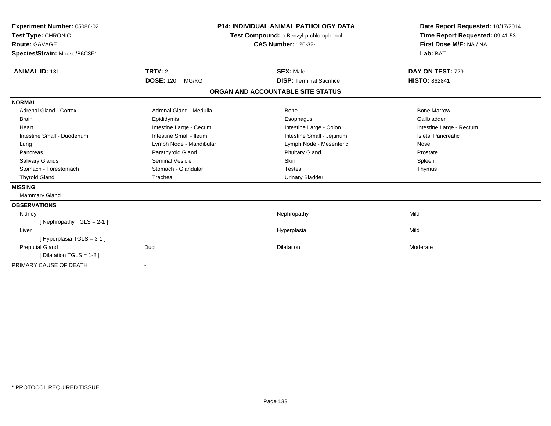| Experiment Number: 05086-02<br>Test Type: CHRONIC<br><b>Route: GAVAGE</b><br>Species/Strain: Mouse/B6C3F1<br><b>ANIMAL ID: 131</b> | TRT#: 2                   | <b>P14: INDIVIDUAL ANIMAL PATHOLOGY DATA</b><br>Test Compound: o-Benzyl-p-chlorophenol<br><b>CAS Number: 120-32-1</b><br><b>SEX: Male</b> | Date Report Requested: 10/17/2014<br>Time Report Requested: 09:41:53<br>First Dose M/F: NA / NA<br>Lab: BAT<br>DAY ON TEST: 729 |
|------------------------------------------------------------------------------------------------------------------------------------|---------------------------|-------------------------------------------------------------------------------------------------------------------------------------------|---------------------------------------------------------------------------------------------------------------------------------|
|                                                                                                                                    | <b>DOSE: 120</b><br>MG/KG | <b>DISP: Terminal Sacrifice</b>                                                                                                           | <b>HISTO: 862841</b>                                                                                                            |
|                                                                                                                                    |                           | ORGAN AND ACCOUNTABLE SITE STATUS                                                                                                         |                                                                                                                                 |
| <b>NORMAL</b>                                                                                                                      |                           |                                                                                                                                           |                                                                                                                                 |
| <b>Adrenal Gland - Cortex</b>                                                                                                      | Adrenal Gland - Medulla   | Bone                                                                                                                                      | <b>Bone Marrow</b>                                                                                                              |
| <b>Brain</b>                                                                                                                       | Epididymis                | Esophagus                                                                                                                                 | Gallbladder                                                                                                                     |
| Heart                                                                                                                              | Intestine Large - Cecum   | Intestine Large - Colon                                                                                                                   | Intestine Large - Rectum                                                                                                        |
| Intestine Small - Duodenum                                                                                                         | Intestine Small - Ileum   | Intestine Small - Jejunum                                                                                                                 | Islets, Pancreatic                                                                                                              |
| Lung                                                                                                                               | Lymph Node - Mandibular   | Lymph Node - Mesenteric                                                                                                                   | Nose                                                                                                                            |
| Pancreas                                                                                                                           | Parathyroid Gland         | <b>Pituitary Gland</b>                                                                                                                    | Prostate                                                                                                                        |
| <b>Salivary Glands</b>                                                                                                             | <b>Seminal Vesicle</b>    | Skin                                                                                                                                      | Spleen                                                                                                                          |
| Stomach - Forestomach                                                                                                              | Stomach - Glandular       | <b>Testes</b>                                                                                                                             | Thymus                                                                                                                          |
| <b>Thyroid Gland</b>                                                                                                               | Trachea                   | <b>Urinary Bladder</b>                                                                                                                    |                                                                                                                                 |
| <b>MISSING</b>                                                                                                                     |                           |                                                                                                                                           |                                                                                                                                 |
| Mammary Gland                                                                                                                      |                           |                                                                                                                                           |                                                                                                                                 |
| <b>OBSERVATIONS</b>                                                                                                                |                           |                                                                                                                                           |                                                                                                                                 |
| Kidney                                                                                                                             |                           | Nephropathy                                                                                                                               | Mild                                                                                                                            |
| [Nephropathy TGLS = 2-1]                                                                                                           |                           |                                                                                                                                           |                                                                                                                                 |
| Liver                                                                                                                              |                           | Hyperplasia                                                                                                                               | Mild                                                                                                                            |
| [Hyperplasia TGLS = 3-1]                                                                                                           |                           |                                                                                                                                           |                                                                                                                                 |
| <b>Preputial Gland</b>                                                                                                             | Duct                      | <b>Dilatation</b>                                                                                                                         | Moderate                                                                                                                        |
| [ Dilatation TGLS = 1-8 ]                                                                                                          |                           |                                                                                                                                           |                                                                                                                                 |
| PRIMARY CAUSE OF DEATH                                                                                                             |                           |                                                                                                                                           |                                                                                                                                 |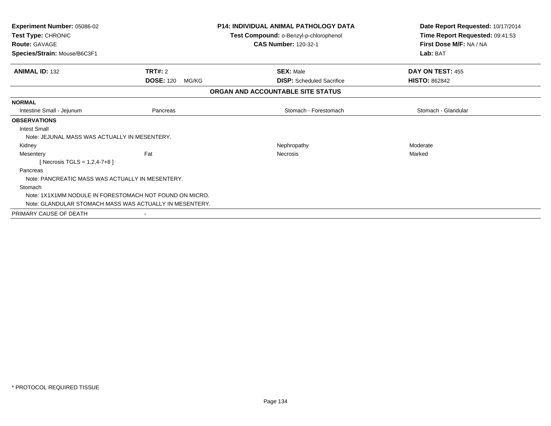| <b>Experiment Number: 05086-02</b><br>Test Type: CHRONIC |                                                         | <b>P14: INDIVIDUAL ANIMAL PATHOLOGY DATA</b> | Date Report Requested: 10/17/2014<br>Time Report Requested: 09:41:53 |
|----------------------------------------------------------|---------------------------------------------------------|----------------------------------------------|----------------------------------------------------------------------|
|                                                          |                                                         | Test Compound: o-Benzyl-p-chlorophenol       |                                                                      |
| <b>Route: GAVAGE</b>                                     |                                                         | <b>CAS Number: 120-32-1</b>                  | First Dose M/F: NA / NA                                              |
| Species/Strain: Mouse/B6C3F1                             |                                                         |                                              | Lab: BAT                                                             |
| <b>ANIMAL ID: 132</b>                                    | <b>TRT#: 2</b>                                          | <b>SEX: Male</b>                             | DAY ON TEST: 455                                                     |
|                                                          | <b>DOSE: 120</b><br>MG/KG                               | <b>DISP:</b> Scheduled Sacrifice             | <b>HISTO: 862842</b>                                                 |
|                                                          |                                                         | ORGAN AND ACCOUNTABLE SITE STATUS            |                                                                      |
| <b>NORMAL</b>                                            |                                                         |                                              |                                                                      |
| Intestine Small - Jejunum                                | Pancreas                                                | Stomach - Forestomach                        | Stomach - Glandular                                                  |
| <b>OBSERVATIONS</b>                                      |                                                         |                                              |                                                                      |
| <b>Intest Small</b>                                      |                                                         |                                              |                                                                      |
| Note: JEJUNAL MASS WAS ACTUALLY IN MESENTERY.            |                                                         |                                              |                                                                      |
| Kidney                                                   |                                                         | Nephropathy                                  | Moderate                                                             |
| Mesentery                                                | Fat                                                     | <b>Necrosis</b>                              | Marked                                                               |
| [Necrosis TGLS = $1,2,4-7+8$ ]                           |                                                         |                                              |                                                                      |
| Pancreas                                                 |                                                         |                                              |                                                                      |
| Note: PANCREATIC MASS WAS ACTUALLY IN MESENTERY.         |                                                         |                                              |                                                                      |
| Stomach                                                  |                                                         |                                              |                                                                      |
|                                                          | Note: 1X1X1MM NODULE IN FORESTOMACH NOT FOUND ON MICRO. |                                              |                                                                      |
|                                                          | Note: GLANDULAR STOMACH MASS WAS ACTUALLY IN MESENTERY. |                                              |                                                                      |
| PRIMARY CAUSE OF DEATH                                   |                                                         |                                              |                                                                      |
|                                                          |                                                         |                                              |                                                                      |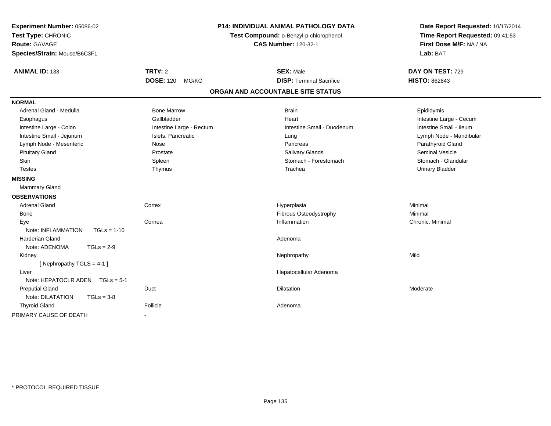| Experiment Number: 05086-02<br>Test Type: CHRONIC<br><b>Route: GAVAGE</b><br>Species/Strain: Mouse/B6C3F1 |                           | <b>P14: INDIVIDUAL ANIMAL PATHOLOGY DATA</b><br>Test Compound: o-Benzyl-p-chlorophenol<br><b>CAS Number: 120-32-1</b> | Date Report Requested: 10/17/2014<br>Time Report Requested: 09:41:53<br>First Dose M/F: NA / NA<br>Lab: BAT |
|-----------------------------------------------------------------------------------------------------------|---------------------------|-----------------------------------------------------------------------------------------------------------------------|-------------------------------------------------------------------------------------------------------------|
| <b>ANIMAL ID: 133</b>                                                                                     | <b>TRT#: 2</b>            | <b>SEX: Male</b>                                                                                                      | DAY ON TEST: 729                                                                                            |
|                                                                                                           | <b>DOSE: 120</b><br>MG/KG | <b>DISP: Terminal Sacrifice</b>                                                                                       | <b>HISTO: 862843</b>                                                                                        |
|                                                                                                           |                           | ORGAN AND ACCOUNTABLE SITE STATUS                                                                                     |                                                                                                             |
| <b>NORMAL</b>                                                                                             |                           |                                                                                                                       |                                                                                                             |
| Adrenal Gland - Medulla                                                                                   | <b>Bone Marrow</b>        | <b>Brain</b>                                                                                                          | Epididymis                                                                                                  |
| Esophagus                                                                                                 | Gallbladder               | Heart                                                                                                                 | Intestine Large - Cecum                                                                                     |
| Intestine Large - Colon                                                                                   | Intestine Large - Rectum  | Intestine Small - Duodenum                                                                                            | Intestine Small - Ileum                                                                                     |
| Intestine Small - Jejunum                                                                                 | Islets, Pancreatic        | Lung                                                                                                                  | Lymph Node - Mandibular                                                                                     |
| Lymph Node - Mesenteric                                                                                   | Nose                      | Pancreas                                                                                                              | Parathyroid Gland                                                                                           |
| <b>Pituitary Gland</b>                                                                                    | Prostate                  | <b>Salivary Glands</b>                                                                                                | <b>Seminal Vesicle</b>                                                                                      |
| <b>Skin</b>                                                                                               | Spleen                    | Stomach - Forestomach                                                                                                 | Stomach - Glandular                                                                                         |
| <b>Testes</b>                                                                                             | Thymus                    | Trachea                                                                                                               | <b>Urinary Bladder</b>                                                                                      |
| <b>MISSING</b>                                                                                            |                           |                                                                                                                       |                                                                                                             |
| <b>Mammary Gland</b>                                                                                      |                           |                                                                                                                       |                                                                                                             |
| <b>OBSERVATIONS</b>                                                                                       |                           |                                                                                                                       |                                                                                                             |
| <b>Adrenal Gland</b>                                                                                      | Cortex                    | Hyperplasia                                                                                                           | Minimal                                                                                                     |
| Bone                                                                                                      |                           | Fibrous Osteodystrophy                                                                                                | Minimal                                                                                                     |
| Eye                                                                                                       | Cornea                    | Inflammation                                                                                                          | Chronic, Minimal                                                                                            |
| Note: INFLAMMATION<br>$TGLs = 1-10$                                                                       |                           |                                                                                                                       |                                                                                                             |
| <b>Harderian Gland</b>                                                                                    |                           | Adenoma                                                                                                               |                                                                                                             |
| Note: ADENOMA<br>$TGLs = 2-9$                                                                             |                           |                                                                                                                       |                                                                                                             |
| Kidney                                                                                                    |                           | Nephropathy                                                                                                           | Mild                                                                                                        |
| [Nephropathy TGLS = 4-1]                                                                                  |                           |                                                                                                                       |                                                                                                             |
| Liver                                                                                                     |                           | Hepatocellular Adenoma                                                                                                |                                                                                                             |
| Note: HEPATOCLR ADEN $TGLs = 5-1$                                                                         |                           |                                                                                                                       |                                                                                                             |
| <b>Preputial Gland</b>                                                                                    | Duct                      | <b>Dilatation</b>                                                                                                     | Moderate                                                                                                    |
| Note: DILATATION<br>$TGLs = 3-8$                                                                          |                           |                                                                                                                       |                                                                                                             |
| <b>Thyroid Gland</b>                                                                                      | Follicle                  | Adenoma                                                                                                               |                                                                                                             |
| PRIMARY CAUSE OF DEATH                                                                                    |                           |                                                                                                                       |                                                                                                             |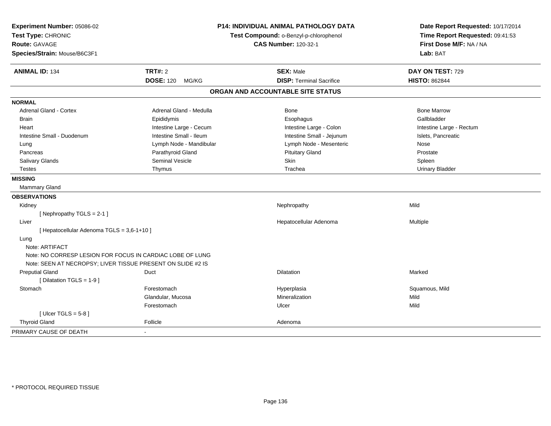| Experiment Number: 05086-02<br>Test Type: CHRONIC<br><b>Route: GAVAGE</b><br>Species/Strain: Mouse/B6C3F1                | <b>P14: INDIVIDUAL ANIMAL PATHOLOGY DATA</b><br>Test Compound: o-Benzyl-p-chlorophenol<br><b>CAS Number: 120-32-1</b> |                                   | Date Report Requested: 10/17/2014<br>Time Report Requested: 09:41:53<br>First Dose M/F: NA / NA<br>Lab: BAT |
|--------------------------------------------------------------------------------------------------------------------------|-----------------------------------------------------------------------------------------------------------------------|-----------------------------------|-------------------------------------------------------------------------------------------------------------|
| <b>ANIMAL ID: 134</b>                                                                                                    | <b>TRT#: 2</b>                                                                                                        | <b>SEX: Male</b>                  | DAY ON TEST: 729                                                                                            |
|                                                                                                                          | <b>DOSE: 120</b><br>MG/KG                                                                                             | <b>DISP: Terminal Sacrifice</b>   | <b>HISTO: 862844</b>                                                                                        |
|                                                                                                                          |                                                                                                                       | ORGAN AND ACCOUNTABLE SITE STATUS |                                                                                                             |
| <b>NORMAL</b>                                                                                                            |                                                                                                                       |                                   |                                                                                                             |
| Adrenal Gland - Cortex                                                                                                   | Adrenal Gland - Medulla                                                                                               | Bone                              | <b>Bone Marrow</b>                                                                                          |
| <b>Brain</b>                                                                                                             | Epididymis                                                                                                            | Esophagus                         | Gallbladder                                                                                                 |
| Heart                                                                                                                    | Intestine Large - Cecum                                                                                               | Intestine Large - Colon           | Intestine Large - Rectum                                                                                    |
| Intestine Small - Duodenum                                                                                               | Intestine Small - Ileum                                                                                               | Intestine Small - Jejunum         | Islets, Pancreatic                                                                                          |
| Lung                                                                                                                     | Lymph Node - Mandibular                                                                                               | Lymph Node - Mesenteric           | Nose                                                                                                        |
| Pancreas                                                                                                                 | Parathyroid Gland                                                                                                     | <b>Pituitary Gland</b>            | Prostate                                                                                                    |
| Salivary Glands                                                                                                          | Seminal Vesicle                                                                                                       | Skin                              | Spleen                                                                                                      |
| <b>Testes</b>                                                                                                            | Thymus                                                                                                                | Trachea                           | <b>Urinary Bladder</b>                                                                                      |
| <b>MISSING</b>                                                                                                           |                                                                                                                       |                                   |                                                                                                             |
| <b>Mammary Gland</b>                                                                                                     |                                                                                                                       |                                   |                                                                                                             |
| <b>OBSERVATIONS</b>                                                                                                      |                                                                                                                       |                                   |                                                                                                             |
| Kidney                                                                                                                   |                                                                                                                       | Nephropathy                       | Mild                                                                                                        |
| [ Nephropathy $TGLS = 2-1$ ]                                                                                             |                                                                                                                       |                                   |                                                                                                             |
| Liver                                                                                                                    |                                                                                                                       | Hepatocellular Adenoma            | <b>Multiple</b>                                                                                             |
| [ Hepatocellular Adenoma TGLS = 3,6-1+10 ]                                                                               |                                                                                                                       |                                   |                                                                                                             |
| Lung                                                                                                                     |                                                                                                                       |                                   |                                                                                                             |
| Note: ARTIFACT                                                                                                           |                                                                                                                       |                                   |                                                                                                             |
| Note: NO CORRESP LESION FOR FOCUS IN CARDIAC LOBE OF LUNG<br>Note: SEEN AT NECROPSY; LIVER TISSUE PRESENT ON SLIDE #2 IS |                                                                                                                       |                                   |                                                                                                             |
| <b>Preputial Gland</b><br>[ Dilatation TGLS = 1-9 ]                                                                      | Duct                                                                                                                  | Dilatation                        | Marked                                                                                                      |
| Stomach                                                                                                                  | Forestomach                                                                                                           | Hyperplasia                       | Squamous, Mild                                                                                              |
|                                                                                                                          | Glandular, Mucosa                                                                                                     | Mineralization                    | Mild                                                                                                        |
|                                                                                                                          | Forestomach                                                                                                           | Ulcer                             | Mild                                                                                                        |
| [Ulcer TGLS = $5-8$ ]                                                                                                    |                                                                                                                       |                                   |                                                                                                             |
| <b>Thyroid Gland</b>                                                                                                     | Follicle                                                                                                              | Adenoma                           |                                                                                                             |
| PRIMARY CAUSE OF DEATH                                                                                                   | $\blacksquare$                                                                                                        |                                   |                                                                                                             |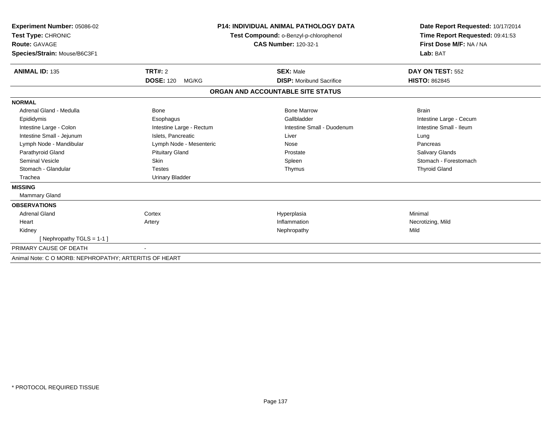| Experiment Number: 05086-02<br>Test Type: CHRONIC<br><b>Route: GAVAGE</b><br>Species/Strain: Mouse/B6C3F1 |                           | <b>P14: INDIVIDUAL ANIMAL PATHOLOGY DATA</b><br>Test Compound: o-Benzyl-p-chlorophenol<br><b>CAS Number: 120-32-1</b> | Date Report Requested: 10/17/2014<br>Time Report Requested: 09:41:53<br>First Dose M/F: NA / NA<br>Lab: BAT |
|-----------------------------------------------------------------------------------------------------------|---------------------------|-----------------------------------------------------------------------------------------------------------------------|-------------------------------------------------------------------------------------------------------------|
| <b>ANIMAL ID: 135</b>                                                                                     | <b>TRT#: 2</b>            | <b>SEX: Male</b>                                                                                                      | DAY ON TEST: 552                                                                                            |
|                                                                                                           | <b>DOSE: 120</b><br>MG/KG | <b>DISP:</b> Moribund Sacrifice                                                                                       | <b>HISTO: 862845</b>                                                                                        |
|                                                                                                           |                           | ORGAN AND ACCOUNTABLE SITE STATUS                                                                                     |                                                                                                             |
| <b>NORMAL</b>                                                                                             |                           |                                                                                                                       |                                                                                                             |
| Adrenal Gland - Medulla                                                                                   | <b>Bone</b>               | <b>Bone Marrow</b>                                                                                                    | <b>Brain</b>                                                                                                |
| Epididymis                                                                                                | Esophagus                 | Gallbladder                                                                                                           | Intestine Large - Cecum                                                                                     |
| Intestine Large - Colon                                                                                   | Intestine Large - Rectum  | Intestine Small - Duodenum                                                                                            | Intestine Small - Ileum                                                                                     |
| Intestine Small - Jejunum                                                                                 | Islets. Pancreatic        | Liver                                                                                                                 | Lung                                                                                                        |
| Lymph Node - Mandibular                                                                                   | Lymph Node - Mesenteric   | Nose                                                                                                                  | Pancreas                                                                                                    |
| Parathyroid Gland                                                                                         | <b>Pituitary Gland</b>    | Prostate                                                                                                              | <b>Salivary Glands</b>                                                                                      |
| <b>Seminal Vesicle</b>                                                                                    | Skin                      | Spleen                                                                                                                | Stomach - Forestomach                                                                                       |
| Stomach - Glandular                                                                                       | <b>Testes</b>             | Thymus                                                                                                                | <b>Thyroid Gland</b>                                                                                        |
| Trachea                                                                                                   | <b>Urinary Bladder</b>    |                                                                                                                       |                                                                                                             |
| <b>MISSING</b>                                                                                            |                           |                                                                                                                       |                                                                                                             |
| <b>Mammary Gland</b>                                                                                      |                           |                                                                                                                       |                                                                                                             |
| <b>OBSERVATIONS</b>                                                                                       |                           |                                                                                                                       |                                                                                                             |
| <b>Adrenal Gland</b>                                                                                      | Cortex                    | Hyperplasia                                                                                                           | Minimal                                                                                                     |
| Heart                                                                                                     | Artery                    | Inflammation                                                                                                          | Necrotizing, Mild                                                                                           |
| Kidney                                                                                                    |                           | Nephropathy                                                                                                           | Mild                                                                                                        |
| [Nephropathy TGLS = 1-1]                                                                                  |                           |                                                                                                                       |                                                                                                             |
| PRIMARY CAUSE OF DEATH                                                                                    |                           |                                                                                                                       |                                                                                                             |
| Animal Note: C O MORB: NEPHROPATHY; ARTERITIS OF HEART                                                    |                           |                                                                                                                       |                                                                                                             |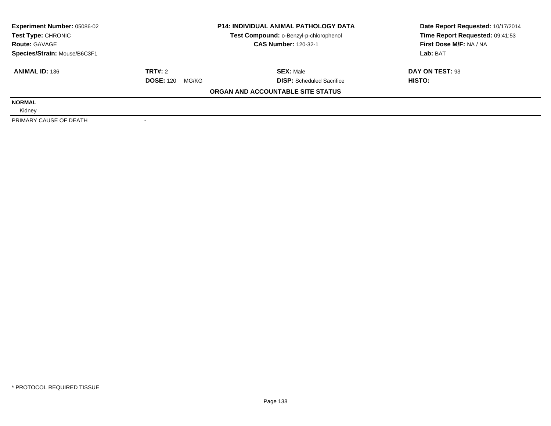| <b>Experiment Number: 05086-02</b> | <b>P14: INDIVIDUAL ANIMAL PATHOLOGY DATA</b><br>Test Compound: o-Benzyl-p-chlorophenol |                                   | Date Report Requested: 10/17/2014 |  |
|------------------------------------|----------------------------------------------------------------------------------------|-----------------------------------|-----------------------------------|--|
| Test Type: CHRONIC                 |                                                                                        |                                   | Time Report Requested: 09:41:53   |  |
| <b>Route: GAVAGE</b>               |                                                                                        | <b>CAS Number: 120-32-1</b>       | First Dose M/F: NA / NA           |  |
| Species/Strain: Mouse/B6C3F1       |                                                                                        |                                   | Lab: BAT                          |  |
| <b>ANIMAL ID: 136</b>              | TRT#: 2                                                                                | <b>SEX: Male</b>                  | DAY ON TEST: 93                   |  |
|                                    | <b>DOSE: 120</b><br>MG/KG                                                              | <b>DISP:</b> Scheduled Sacrifice  | HISTO:                            |  |
|                                    |                                                                                        | ORGAN AND ACCOUNTABLE SITE STATUS |                                   |  |
| <b>NORMAL</b>                      |                                                                                        |                                   |                                   |  |
| Kidney                             |                                                                                        |                                   |                                   |  |
| PRIMARY CAUSE OF DEATH             |                                                                                        |                                   |                                   |  |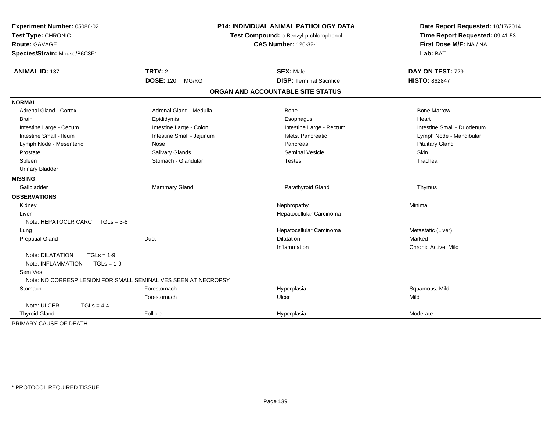| Experiment Number: 05086-02<br>Test Type: CHRONIC<br>Route: GAVAGE<br>Species/Strain: Mouse/B6C3F1 |                                             | P14: INDIVIDUAL ANIMAL PATHOLOGY DATA<br>Test Compound: o-Benzyl-p-chlorophenol<br><b>CAS Number: 120-32-1</b> | Date Report Requested: 10/17/2014<br>Time Report Requested: 09:41:53<br>First Dose M/F: NA / NA<br>Lab: BAT |
|----------------------------------------------------------------------------------------------------|---------------------------------------------|----------------------------------------------------------------------------------------------------------------|-------------------------------------------------------------------------------------------------------------|
| <b>ANIMAL ID: 137</b>                                                                              | <b>TRT#: 2</b><br><b>DOSE: 120</b><br>MG/KG | <b>SEX: Male</b><br><b>DISP: Terminal Sacrifice</b>                                                            | DAY ON TEST: 729<br><b>HISTO: 862847</b>                                                                    |
|                                                                                                    |                                             | ORGAN AND ACCOUNTABLE SITE STATUS                                                                              |                                                                                                             |
| <b>NORMAL</b>                                                                                      |                                             |                                                                                                                |                                                                                                             |
| <b>Adrenal Gland - Cortex</b>                                                                      | Adrenal Gland - Medulla                     | Bone                                                                                                           | <b>Bone Marrow</b>                                                                                          |
| <b>Brain</b>                                                                                       | Epididymis                                  | Esophagus                                                                                                      | Heart                                                                                                       |
| Intestine Large - Cecum                                                                            | Intestine Large - Colon                     | Intestine Large - Rectum                                                                                       | Intestine Small - Duodenum                                                                                  |
| Intestine Small - Ileum                                                                            | Intestine Small - Jejunum                   | Islets, Pancreatic                                                                                             | Lymph Node - Mandibular                                                                                     |
| Lymph Node - Mesenteric                                                                            | Nose                                        | Pancreas                                                                                                       | <b>Pituitary Gland</b>                                                                                      |
| Prostate                                                                                           | Salivary Glands                             | <b>Seminal Vesicle</b>                                                                                         | Skin                                                                                                        |
| Spleen                                                                                             | Stomach - Glandular                         | <b>Testes</b>                                                                                                  | Trachea                                                                                                     |
| <b>Urinary Bladder</b>                                                                             |                                             |                                                                                                                |                                                                                                             |
| <b>MISSING</b>                                                                                     |                                             |                                                                                                                |                                                                                                             |
| Gallbladder                                                                                        | Mammary Gland                               | Parathyroid Gland                                                                                              | Thymus                                                                                                      |
| <b>OBSERVATIONS</b>                                                                                |                                             |                                                                                                                |                                                                                                             |
| Kidney                                                                                             |                                             | Nephropathy                                                                                                    | Minimal                                                                                                     |
| Liver                                                                                              |                                             | Hepatocellular Carcinoma                                                                                       |                                                                                                             |
| Note: HEPATOCLR CARC TGLs = 3-8                                                                    |                                             |                                                                                                                |                                                                                                             |
| Lung                                                                                               |                                             | Hepatocellular Carcinoma                                                                                       | Metastatic (Liver)                                                                                          |
| <b>Preputial Gland</b>                                                                             | Duct                                        | Dilatation                                                                                                     | Marked                                                                                                      |
|                                                                                                    |                                             | Inflammation                                                                                                   | Chronic Active, Mild                                                                                        |
| Note: DILATATION<br>$TGLs = 1-9$                                                                   |                                             |                                                                                                                |                                                                                                             |
| Note: INFLAMMATION<br>$TGLs = 1-9$                                                                 |                                             |                                                                                                                |                                                                                                             |
| Sem Ves                                                                                            |                                             |                                                                                                                |                                                                                                             |
| Note: NO CORRESP LESION FOR SMALL SEMINAL VES SEEN AT NECROPSY                                     |                                             |                                                                                                                |                                                                                                             |
| Stomach                                                                                            | Forestomach                                 | Hyperplasia                                                                                                    | Squamous, Mild                                                                                              |
|                                                                                                    | Forestomach                                 | Ulcer                                                                                                          | Mild                                                                                                        |
| Note: ULCER<br>$TGLs = 4-4$                                                                        |                                             |                                                                                                                |                                                                                                             |
| <b>Thyroid Gland</b>                                                                               | Follicle                                    | Hyperplasia                                                                                                    | Moderate                                                                                                    |
| PRIMARY CAUSE OF DEATH                                                                             | $\blacksquare$                              |                                                                                                                |                                                                                                             |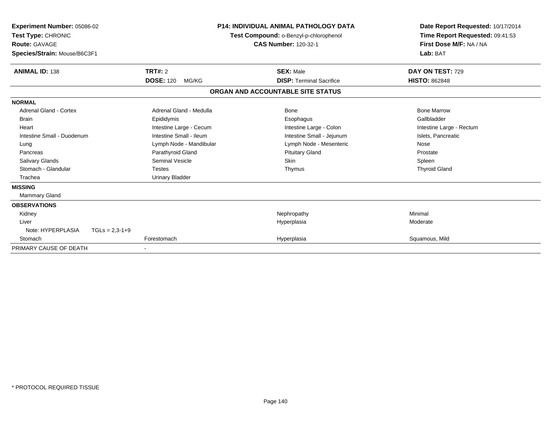| <b>Experiment Number: 05086-02</b><br>Test Type: CHRONIC<br><b>Route: GAVAGE</b><br>Species/Strain: Mouse/B6C3F1 |                           | <b>P14: INDIVIDUAL ANIMAL PATHOLOGY DATA</b><br>Test Compound: o-Benzyl-p-chlorophenol<br><b>CAS Number: 120-32-1</b> | Date Report Requested: 10/17/2014<br>Time Report Requested: 09:41:53<br>First Dose M/F: NA / NA<br>Lab: BAT |
|------------------------------------------------------------------------------------------------------------------|---------------------------|-----------------------------------------------------------------------------------------------------------------------|-------------------------------------------------------------------------------------------------------------|
| <b>ANIMAL ID: 138</b>                                                                                            | TRT#: 2                   | <b>SEX: Male</b>                                                                                                      | DAY ON TEST: 729                                                                                            |
|                                                                                                                  | <b>DOSE: 120</b><br>MG/KG | <b>DISP: Terminal Sacrifice</b>                                                                                       | <b>HISTO: 862848</b>                                                                                        |
|                                                                                                                  |                           | ORGAN AND ACCOUNTABLE SITE STATUS                                                                                     |                                                                                                             |
| <b>NORMAL</b>                                                                                                    |                           |                                                                                                                       |                                                                                                             |
| Adrenal Gland - Cortex                                                                                           | Adrenal Gland - Medulla   | Bone                                                                                                                  | <b>Bone Marrow</b>                                                                                          |
| <b>Brain</b>                                                                                                     | Epididymis                | Esophagus                                                                                                             | Gallbladder                                                                                                 |
| Heart                                                                                                            | Intestine Large - Cecum   | Intestine Large - Colon                                                                                               | Intestine Large - Rectum                                                                                    |
| Intestine Small - Duodenum                                                                                       | Intestine Small - Ileum   | Intestine Small - Jejunum                                                                                             | Islets, Pancreatic                                                                                          |
| Lung                                                                                                             | Lymph Node - Mandibular   | Lymph Node - Mesenteric                                                                                               | Nose                                                                                                        |
| Pancreas                                                                                                         | Parathyroid Gland         | <b>Pituitary Gland</b>                                                                                                | Prostate                                                                                                    |
| <b>Salivary Glands</b>                                                                                           | Seminal Vesicle           | <b>Skin</b>                                                                                                           | Spleen                                                                                                      |
| Stomach - Glandular                                                                                              | <b>Testes</b>             | Thymus                                                                                                                | <b>Thyroid Gland</b>                                                                                        |
| Trachea                                                                                                          | <b>Urinary Bladder</b>    |                                                                                                                       |                                                                                                             |
| <b>MISSING</b>                                                                                                   |                           |                                                                                                                       |                                                                                                             |
| <b>Mammary Gland</b>                                                                                             |                           |                                                                                                                       |                                                                                                             |
| <b>OBSERVATIONS</b>                                                                                              |                           |                                                                                                                       |                                                                                                             |
| Kidney                                                                                                           |                           | Nephropathy                                                                                                           | Minimal                                                                                                     |
| Liver                                                                                                            |                           | Hyperplasia                                                                                                           | Moderate                                                                                                    |
| Note: HYPERPLASIA<br>$TGLs = 2,3-1+9$                                                                            |                           |                                                                                                                       |                                                                                                             |
| Stomach                                                                                                          | Forestomach               | Hyperplasia                                                                                                           | Squamous, Mild                                                                                              |
| PRIMARY CAUSE OF DEATH                                                                                           |                           |                                                                                                                       |                                                                                                             |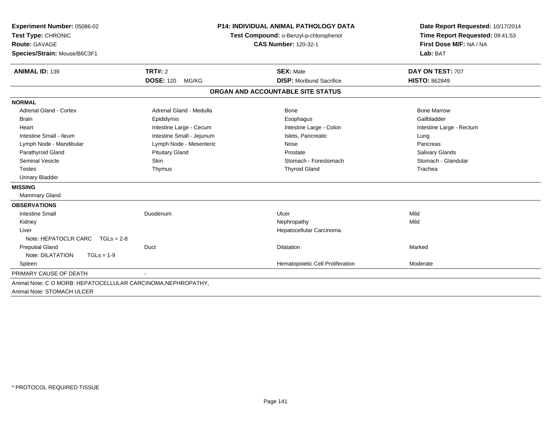| Experiment Number: 05086-02                                   |                                        | <b>P14: INDIVIDUAL ANIMAL PATHOLOGY DATA</b> | Date Report Requested: 10/17/2014 |
|---------------------------------------------------------------|----------------------------------------|----------------------------------------------|-----------------------------------|
| Test Type: CHRONIC                                            | Test Compound: o-Benzyl-p-chlorophenol |                                              | Time Report Requested: 09:41:53   |
| <b>Route: GAVAGE</b>                                          |                                        | <b>CAS Number: 120-32-1</b>                  | First Dose M/F: NA / NA           |
| Species/Strain: Mouse/B6C3F1                                  |                                        |                                              | Lab: BAT                          |
| <b>ANIMAL ID: 139</b>                                         | TRT#: 2                                | <b>SEX: Male</b>                             | DAY ON TEST: 707                  |
|                                                               | <b>DOSE: 120</b><br>MG/KG              | <b>DISP:</b> Moribund Sacrifice              | <b>HISTO: 862849</b>              |
|                                                               |                                        | ORGAN AND ACCOUNTABLE SITE STATUS            |                                   |
| <b>NORMAL</b>                                                 |                                        |                                              |                                   |
| <b>Adrenal Gland - Cortex</b>                                 | Adrenal Gland - Medulla                | Bone                                         | <b>Bone Marrow</b>                |
| <b>Brain</b>                                                  | Epididymis                             | Esophagus                                    | Gallbladder                       |
| Heart                                                         | Intestine Large - Cecum                | Intestine Large - Colon                      | Intestine Large - Rectum          |
| Intestine Small - Ileum                                       | Intestine Small - Jejunum              | Islets, Pancreatic                           | Lung                              |
| Lymph Node - Mandibular                                       | Lymph Node - Mesenteric                | Nose                                         | Pancreas                          |
| Parathyroid Gland                                             | <b>Pituitary Gland</b>                 | Prostate                                     | Salivary Glands                   |
| <b>Seminal Vesicle</b>                                        | Skin                                   | Stomach - Forestomach                        | Stomach - Glandular               |
| <b>Testes</b>                                                 | Thymus                                 | <b>Thyroid Gland</b>                         | Trachea                           |
| <b>Urinary Bladder</b>                                        |                                        |                                              |                                   |
| <b>MISSING</b>                                                |                                        |                                              |                                   |
| Mammary Gland                                                 |                                        |                                              |                                   |
| <b>OBSERVATIONS</b>                                           |                                        |                                              |                                   |
| <b>Intestine Small</b>                                        | Duodenum                               | Ulcer                                        | Mild                              |
| Kidney                                                        |                                        | Nephropathy                                  | Mild                              |
| Liver                                                         |                                        | Hepatocellular Carcinoma                     |                                   |
| Note: HEPATOCLR CARC<br>$TGLs = 2-8$                          |                                        |                                              |                                   |
| <b>Preputial Gland</b>                                        | Duct                                   | <b>Dilatation</b>                            | Marked                            |
| Note: DILATATION<br>$TGLs = 1-9$                              |                                        |                                              |                                   |
| Spleen                                                        |                                        | Hematopoietic Cell Proliferation             | Moderate                          |
| PRIMARY CAUSE OF DEATH                                        |                                        |                                              |                                   |
| Animal Note: C O MORB: HEPATOCELLULAR CARCINOMA, NEPHROPATHY, |                                        |                                              |                                   |
| Animal Note: STOMACH ULCER                                    |                                        |                                              |                                   |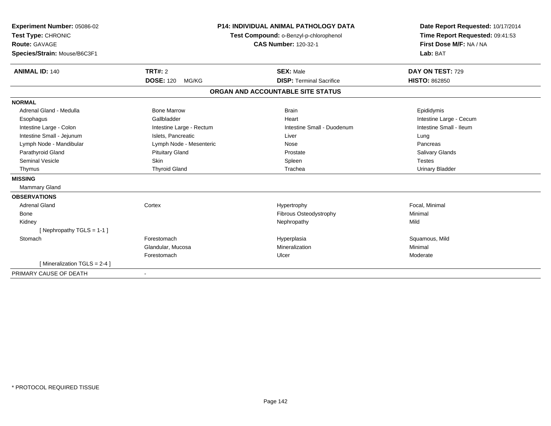| Experiment Number: 05086-02<br>Test Type: CHRONIC<br>Route: GAVAGE<br>Species/Strain: Mouse/B6C3F1<br><b>ANIMAL ID: 140</b>                                                                                                                 | <b>TRT#: 2</b>                                                                                                                                                           | <b>P14: INDIVIDUAL ANIMAL PATHOLOGY DATA</b><br>Test Compound: o-Benzyl-p-chlorophenol<br><b>CAS Number: 120-32-1</b><br><b>SEX: Male</b> | Date Report Requested: 10/17/2014<br>Time Report Requested: 09:41:53<br>First Dose M/F: NA / NA<br>Lab: BAT<br>DAY ON TEST: 729                           |
|---------------------------------------------------------------------------------------------------------------------------------------------------------------------------------------------------------------------------------------------|--------------------------------------------------------------------------------------------------------------------------------------------------------------------------|-------------------------------------------------------------------------------------------------------------------------------------------|-----------------------------------------------------------------------------------------------------------------------------------------------------------|
|                                                                                                                                                                                                                                             | <b>DOSE: 120</b><br>MG/KG                                                                                                                                                | <b>DISP: Terminal Sacrifice</b>                                                                                                           | <b>HISTO: 862850</b>                                                                                                                                      |
|                                                                                                                                                                                                                                             |                                                                                                                                                                          | ORGAN AND ACCOUNTABLE SITE STATUS                                                                                                         |                                                                                                                                                           |
|                                                                                                                                                                                                                                             |                                                                                                                                                                          |                                                                                                                                           |                                                                                                                                                           |
| <b>NORMAL</b><br>Adrenal Gland - Medulla<br>Esophagus<br>Intestine Large - Colon<br>Intestine Small - Jejunum<br>Lymph Node - Mandibular<br>Parathyroid Gland<br><b>Seminal Vesicle</b><br>Thymus<br><b>MISSING</b><br><b>Mammary Gland</b> | <b>Bone Marrow</b><br>Gallbladder<br>Intestine Large - Rectum<br>Islets, Pancreatic<br>Lymph Node - Mesenteric<br><b>Pituitary Gland</b><br>Skin<br><b>Thyroid Gland</b> | <b>Brain</b><br>Heart<br>Intestine Small - Duodenum<br>Liver<br>Nose<br>Prostate<br>Spleen<br>Trachea                                     | Epididymis<br>Intestine Large - Cecum<br>Intestine Small - Ileum<br>Lung<br>Pancreas<br><b>Salivary Glands</b><br><b>Testes</b><br><b>Urinary Bladder</b> |
| <b>OBSERVATIONS</b><br><b>Adrenal Gland</b><br>Bone<br>Kidney<br>[Nephropathy TGLS = 1-1]<br>Stomach                                                                                                                                        | Cortex<br>Forestomach<br>Glandular, Mucosa<br>Forestomach                                                                                                                | Hypertrophy<br>Fibrous Osteodystrophy<br>Nephropathy<br>Hyperplasia<br>Mineralization<br>Ulcer                                            | Focal, Minimal<br>Minimal<br>Mild<br>Squamous, Mild<br>Minimal<br>Moderate                                                                                |
| [Mineralization TGLS = 2-4 ]                                                                                                                                                                                                                |                                                                                                                                                                          |                                                                                                                                           |                                                                                                                                                           |
| PRIMARY CAUSE OF DEATH                                                                                                                                                                                                                      |                                                                                                                                                                          |                                                                                                                                           |                                                                                                                                                           |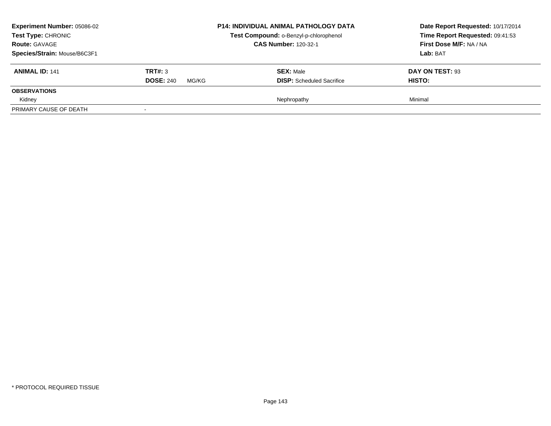| <b>Experiment Number: 05086-02</b><br>Test Type: CHRONIC<br><b>Route: GAVAGE</b><br>Species/Strain: Mouse/B6C3F1 |                                      | <b>P14: INDIVIDUAL ANIMAL PATHOLOGY DATA</b><br>Test Compound: o-Benzyl-p-chlorophenol<br><b>CAS Number: 120-32-1</b> | Date Report Requested: 10/17/2014<br>Time Report Requested: 09:41:53<br>First Dose M/F: NA / NA<br>Lab: BAT |
|------------------------------------------------------------------------------------------------------------------|--------------------------------------|-----------------------------------------------------------------------------------------------------------------------|-------------------------------------------------------------------------------------------------------------|
| <b>ANIMAL ID: 141</b>                                                                                            | TRT#: 3<br><b>DOSE: 240</b><br>MG/KG | <b>SEX: Male</b><br><b>DISP:</b> Scheduled Sacrifice                                                                  | DAY ON TEST: 93<br>HISTO:                                                                                   |
| <b>OBSERVATIONS</b><br>Kidney                                                                                    |                                      | Nephropathy                                                                                                           | Minimal                                                                                                     |
| PRIMARY CAUSE OF DEATH                                                                                           |                                      |                                                                                                                       |                                                                                                             |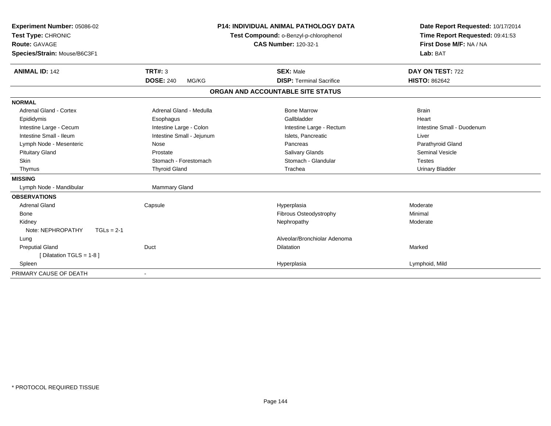| Experiment Number: 05086-02<br>Test Type: CHRONIC |                           | <b>P14: INDIVIDUAL ANIMAL PATHOLOGY DATA</b><br>Test Compound: o-Benzyl-p-chlorophenol | Date Report Requested: 10/17/2014<br>Time Report Requested: 09:41:53 |
|---------------------------------------------------|---------------------------|----------------------------------------------------------------------------------------|----------------------------------------------------------------------|
| Route: GAVAGE                                     |                           | <b>CAS Number: 120-32-1</b>                                                            | First Dose M/F: NA / NA                                              |
| Species/Strain: Mouse/B6C3F1                      |                           |                                                                                        | Lab: BAT                                                             |
| <b>ANIMAL ID: 142</b>                             | TRT#: 3                   | <b>SEX: Male</b>                                                                       | DAY ON TEST: 722                                                     |
|                                                   | <b>DOSE: 240</b><br>MG/KG | <b>DISP: Terminal Sacrifice</b>                                                        | <b>HISTO: 862642</b>                                                 |
|                                                   |                           | ORGAN AND ACCOUNTABLE SITE STATUS                                                      |                                                                      |
| <b>NORMAL</b>                                     |                           |                                                                                        |                                                                      |
| <b>Adrenal Gland - Cortex</b>                     | Adrenal Gland - Medulla   | <b>Bone Marrow</b>                                                                     | <b>Brain</b>                                                         |
| Epididymis                                        | Esophagus                 | Gallbladder                                                                            | Heart                                                                |
| Intestine Large - Cecum                           | Intestine Large - Colon   | Intestine Large - Rectum                                                               | Intestine Small - Duodenum                                           |
| Intestine Small - Ileum                           | Intestine Small - Jejunum | Islets. Pancreatic                                                                     | Liver                                                                |
| Lymph Node - Mesenteric                           | Nose                      | Pancreas                                                                               | Parathyroid Gland                                                    |
| <b>Pituitary Gland</b>                            | Prostate                  | <b>Salivary Glands</b>                                                                 | <b>Seminal Vesicle</b>                                               |
| Skin                                              | Stomach - Forestomach     | Stomach - Glandular                                                                    | <b>Testes</b>                                                        |
| Thymus                                            | <b>Thyroid Gland</b>      | Trachea                                                                                | <b>Urinary Bladder</b>                                               |
| <b>MISSING</b>                                    |                           |                                                                                        |                                                                      |
| Lymph Node - Mandibular                           | Mammary Gland             |                                                                                        |                                                                      |
| <b>OBSERVATIONS</b>                               |                           |                                                                                        |                                                                      |
| <b>Adrenal Gland</b>                              | Capsule                   | Hyperplasia                                                                            | Moderate                                                             |
| Bone                                              |                           | Fibrous Osteodystrophy                                                                 | Minimal                                                              |
| Kidney                                            |                           | Nephropathy                                                                            | Moderate                                                             |
| Note: NEPHROPATHY<br>$TGLs = 2-1$                 |                           |                                                                                        |                                                                      |
| Lung                                              |                           | Alveolar/Bronchiolar Adenoma                                                           |                                                                      |
| <b>Preputial Gland</b>                            | Duct                      | <b>Dilatation</b>                                                                      | Marked                                                               |
| [ Dilatation TGLS = $1-8$ ]                       |                           |                                                                                        |                                                                      |
| Spleen                                            |                           | Hyperplasia                                                                            | Lymphoid, Mild                                                       |
| PRIMARY CAUSE OF DEATH                            |                           |                                                                                        |                                                                      |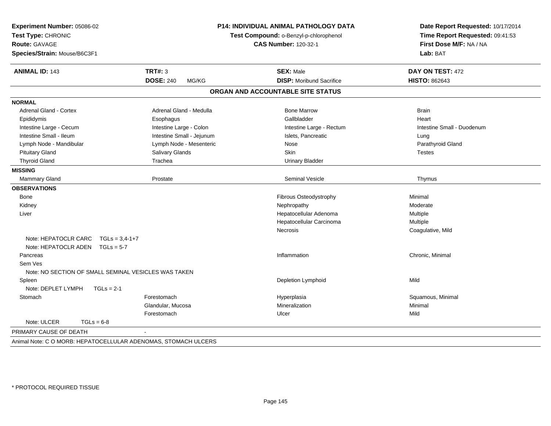| Experiment Number: 05086-02                                    |                           | P14: INDIVIDUAL ANIMAL PATHOLOGY DATA<br>Test Compound: o-Benzyl-p-chlorophenol | Date Report Requested: 10/17/2014 |
|----------------------------------------------------------------|---------------------------|---------------------------------------------------------------------------------|-----------------------------------|
| Test Type: CHRONIC                                             |                           | Time Report Requested: 09:41:53                                                 |                                   |
| <b>Route: GAVAGE</b>                                           |                           | <b>CAS Number: 120-32-1</b>                                                     | First Dose M/F: NA / NA           |
| Species/Strain: Mouse/B6C3F1                                   |                           |                                                                                 | Lab: BAT                          |
| <b>ANIMAL ID: 143</b>                                          | <b>TRT#: 3</b>            | <b>SEX: Male</b>                                                                | DAY ON TEST: 472                  |
|                                                                | <b>DOSE: 240</b><br>MG/KG | <b>DISP:</b> Moribund Sacrifice                                                 | <b>HISTO: 862643</b>              |
|                                                                |                           | ORGAN AND ACCOUNTABLE SITE STATUS                                               |                                   |
| <b>NORMAL</b>                                                  |                           |                                                                                 |                                   |
| Adrenal Gland - Cortex                                         | Adrenal Gland - Medulla   | <b>Bone Marrow</b>                                                              | <b>Brain</b>                      |
| Epididymis                                                     | Esophagus                 | Gallbladder                                                                     | Heart                             |
| Intestine Large - Cecum                                        | Intestine Large - Colon   | Intestine Large - Rectum                                                        | Intestine Small - Duodenum        |
| Intestine Small - Ileum                                        | Intestine Small - Jejunum | Islets, Pancreatic                                                              | Lung                              |
| Lymph Node - Mandibular                                        | Lymph Node - Mesenteric   | Nose                                                                            | Parathyroid Gland                 |
| <b>Pituitary Gland</b>                                         | Salivary Glands           | Skin                                                                            | <b>Testes</b>                     |
| <b>Thyroid Gland</b>                                           | Trachea                   | <b>Urinary Bladder</b>                                                          |                                   |
| <b>MISSING</b>                                                 |                           |                                                                                 |                                   |
| <b>Mammary Gland</b>                                           | Prostate                  | <b>Seminal Vesicle</b>                                                          | Thymus                            |
| <b>OBSERVATIONS</b>                                            |                           |                                                                                 |                                   |
| Bone                                                           |                           | Fibrous Osteodystrophy                                                          | Minimal                           |
| Kidney                                                         |                           | Nephropathy                                                                     | Moderate                          |
| Liver                                                          |                           | Hepatocellular Adenoma                                                          | Multiple                          |
|                                                                |                           | Hepatocellular Carcinoma                                                        | Multiple                          |
|                                                                |                           | Necrosis                                                                        | Coagulative, Mild                 |
| Note: HEPATOCLR CARC<br>$TGLs = 3.4 - 1 + 7$                   |                           |                                                                                 |                                   |
| Note: HEPATOCLR ADEN<br>$TGLs = 5-7$                           |                           |                                                                                 |                                   |
| Pancreas                                                       |                           | Inflammation                                                                    | Chronic, Minimal                  |
| Sem Ves                                                        |                           |                                                                                 |                                   |
| Note: NO SECTION OF SMALL SEMINAL VESICLES WAS TAKEN           |                           |                                                                                 |                                   |
| Spleen                                                         |                           | Depletion Lymphoid                                                              | Mild                              |
| Note: DEPLET LYMPH<br>$TGLs = 2-1$                             |                           |                                                                                 |                                   |
| Stomach                                                        | Forestomach               | Hyperplasia                                                                     | Squamous, Minimal                 |
|                                                                | Glandular, Mucosa         | Mineralization                                                                  | Minimal                           |
|                                                                | Forestomach               | Ulcer                                                                           | Mild                              |
| Note: ULCER<br>$TGLs = 6-8$                                    |                           |                                                                                 |                                   |
| PRIMARY CAUSE OF DEATH                                         |                           |                                                                                 |                                   |
| Animal Note: C O MORB: HEPATOCELLULAR ADENOMAS, STOMACH ULCERS |                           |                                                                                 |                                   |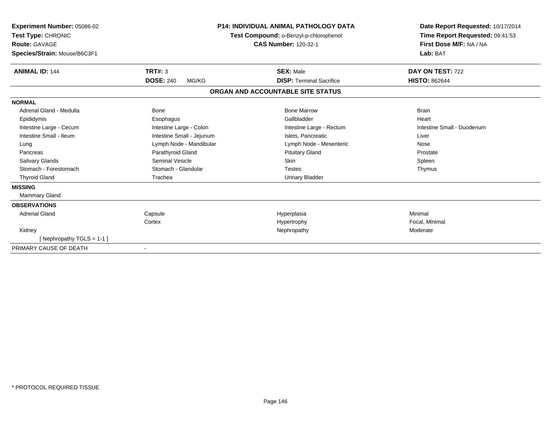| Experiment Number: 05086-02<br>Test Type: CHRONIC<br>Route: GAVAGE<br>Species/Strain: Mouse/B6C3F1 |                           | <b>P14: INDIVIDUAL ANIMAL PATHOLOGY DATA</b><br>Test Compound: o-Benzyl-p-chlorophenol<br><b>CAS Number: 120-32-1</b> | Date Report Requested: 10/17/2014<br>Time Report Requested: 09:41:53<br>First Dose M/F: NA / NA<br>Lab: BAT |  |
|----------------------------------------------------------------------------------------------------|---------------------------|-----------------------------------------------------------------------------------------------------------------------|-------------------------------------------------------------------------------------------------------------|--|
| <b>ANIMAL ID: 144</b>                                                                              | <b>TRT#: 3</b>            | <b>SEX: Male</b>                                                                                                      | DAY ON TEST: 722                                                                                            |  |
|                                                                                                    | <b>DOSE: 240</b><br>MG/KG | <b>DISP: Terminal Sacrifice</b>                                                                                       | <b>HISTO: 862644</b>                                                                                        |  |
|                                                                                                    |                           | ORGAN AND ACCOUNTABLE SITE STATUS                                                                                     |                                                                                                             |  |
| <b>NORMAL</b>                                                                                      |                           |                                                                                                                       |                                                                                                             |  |
| Adrenal Gland - Medulla                                                                            | <b>Bone</b>               | <b>Bone Marrow</b>                                                                                                    | <b>Brain</b>                                                                                                |  |
| Epididymis                                                                                         | Esophagus                 | Gallbladder                                                                                                           | Heart                                                                                                       |  |
| Intestine Large - Cecum                                                                            | Intestine Large - Colon   | Intestine Large - Rectum                                                                                              | Intestine Small - Duodenum                                                                                  |  |
| Intestine Small - Ileum                                                                            | Intestine Small - Jejunum | Islets, Pancreatic                                                                                                    | Liver                                                                                                       |  |
| Lung                                                                                               | Lymph Node - Mandibular   | Lymph Node - Mesenteric                                                                                               | Nose                                                                                                        |  |
| Pancreas                                                                                           | Parathyroid Gland         | <b>Pituitary Gland</b>                                                                                                | Prostate                                                                                                    |  |
| <b>Salivary Glands</b>                                                                             | Seminal Vesicle           | <b>Skin</b>                                                                                                           | Spleen                                                                                                      |  |
| Stomach - Forestomach                                                                              | Stomach - Glandular       | <b>Testes</b>                                                                                                         | Thymus                                                                                                      |  |
| <b>Thyroid Gland</b>                                                                               | Trachea                   | <b>Urinary Bladder</b>                                                                                                |                                                                                                             |  |
| <b>MISSING</b>                                                                                     |                           |                                                                                                                       |                                                                                                             |  |
| Mammary Gland                                                                                      |                           |                                                                                                                       |                                                                                                             |  |
| <b>OBSERVATIONS</b>                                                                                |                           |                                                                                                                       |                                                                                                             |  |
| <b>Adrenal Gland</b>                                                                               | Capsule                   | Hyperplasia                                                                                                           | Minimal                                                                                                     |  |
|                                                                                                    | Cortex                    | Hypertrophy                                                                                                           | Focal, Minimal                                                                                              |  |
| Kidney                                                                                             |                           | Nephropathy                                                                                                           | Moderate                                                                                                    |  |
| [Nephropathy TGLS = 1-1]                                                                           |                           |                                                                                                                       |                                                                                                             |  |
| PRIMARY CAUSE OF DEATH                                                                             | $\overline{\phantom{a}}$  |                                                                                                                       |                                                                                                             |  |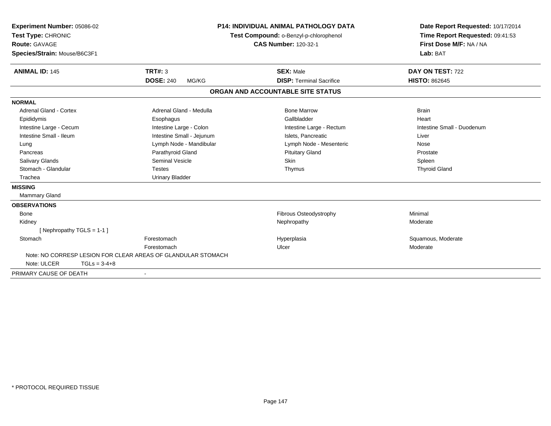| Experiment Number: 05086-02<br>Test Type: CHRONIC<br><b>Route: GAVAGE</b><br>Species/Strain: Mouse/B6C3F1<br><b>ANIMAL ID: 145</b> | TRT#: 3                                                      | P14: INDIVIDUAL ANIMAL PATHOLOGY DATA<br>Test Compound: o-Benzyl-p-chlorophenol<br><b>CAS Number: 120-32-1</b><br><b>SEX: Male</b> | Date Report Requested: 10/17/2014<br>Time Report Requested: 09:41:53<br>First Dose M/F: NA / NA<br>Lab: BAT<br>DAY ON TEST: 722 |
|------------------------------------------------------------------------------------------------------------------------------------|--------------------------------------------------------------|------------------------------------------------------------------------------------------------------------------------------------|---------------------------------------------------------------------------------------------------------------------------------|
|                                                                                                                                    | <b>DOSE: 240</b><br>MG/KG                                    | <b>DISP: Terminal Sacrifice</b>                                                                                                    | <b>HISTO: 862645</b>                                                                                                            |
|                                                                                                                                    |                                                              | ORGAN AND ACCOUNTABLE SITE STATUS                                                                                                  |                                                                                                                                 |
| <b>NORMAL</b>                                                                                                                      |                                                              |                                                                                                                                    |                                                                                                                                 |
| Adrenal Gland - Cortex                                                                                                             | Adrenal Gland - Medulla                                      | <b>Bone Marrow</b>                                                                                                                 | <b>Brain</b>                                                                                                                    |
| Epididymis                                                                                                                         | Esophagus                                                    | Gallbladder                                                                                                                        | Heart                                                                                                                           |
| Intestine Large - Cecum                                                                                                            | Intestine Large - Colon                                      | Intestine Large - Rectum                                                                                                           | Intestine Small - Duodenum                                                                                                      |
| Intestine Small - Ileum                                                                                                            | Intestine Small - Jejunum                                    | Islets. Pancreatic                                                                                                                 | Liver                                                                                                                           |
| Lung                                                                                                                               | Lymph Node - Mandibular                                      | Lymph Node - Mesenteric                                                                                                            | Nose                                                                                                                            |
| Pancreas                                                                                                                           | Parathyroid Gland                                            | <b>Pituitary Gland</b>                                                                                                             | Prostate                                                                                                                        |
| <b>Salivary Glands</b>                                                                                                             | <b>Seminal Vesicle</b>                                       | <b>Skin</b>                                                                                                                        | Spleen                                                                                                                          |
| Stomach - Glandular                                                                                                                | <b>Testes</b>                                                | Thymus                                                                                                                             | <b>Thyroid Gland</b>                                                                                                            |
| Trachea                                                                                                                            | <b>Urinary Bladder</b>                                       |                                                                                                                                    |                                                                                                                                 |
| <b>MISSING</b>                                                                                                                     |                                                              |                                                                                                                                    |                                                                                                                                 |
| <b>Mammary Gland</b>                                                                                                               |                                                              |                                                                                                                                    |                                                                                                                                 |
| <b>OBSERVATIONS</b>                                                                                                                |                                                              |                                                                                                                                    |                                                                                                                                 |
| Bone                                                                                                                               |                                                              | <b>Fibrous Osteodystrophy</b>                                                                                                      | Minimal                                                                                                                         |
| Kidney                                                                                                                             |                                                              | Nephropathy                                                                                                                        | Moderate                                                                                                                        |
| [Nephropathy TGLS = 1-1]                                                                                                           |                                                              |                                                                                                                                    |                                                                                                                                 |
| Stomach                                                                                                                            | Forestomach                                                  | Hyperplasia                                                                                                                        | Squamous, Moderate                                                                                                              |
|                                                                                                                                    | Forestomach                                                  | Ulcer                                                                                                                              | Moderate                                                                                                                        |
|                                                                                                                                    | Note: NO CORRESP LESION FOR CLEAR AREAS OF GLANDULAR STOMACH |                                                                                                                                    |                                                                                                                                 |
| Note: ULCER                                                                                                                        | $TGLs = 3-4+8$                                               |                                                                                                                                    |                                                                                                                                 |
| PRIMARY CAUSE OF DEATH                                                                                                             |                                                              |                                                                                                                                    |                                                                                                                                 |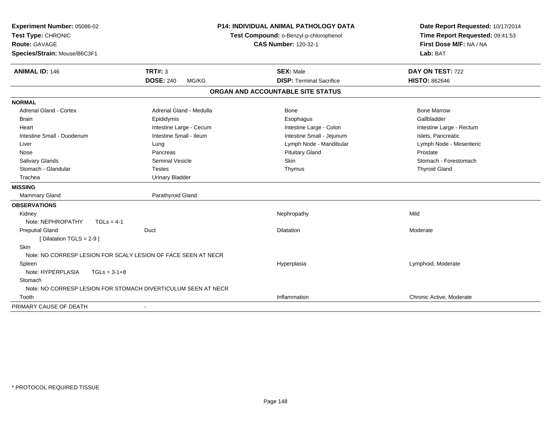| Experiment Number: 05086-02<br>Test Type: CHRONIC<br><b>Route: GAVAGE</b><br>Species/Strain: Mouse/B6C3F1 | <b>P14: INDIVIDUAL ANIMAL PATHOLOGY DATA</b><br>Test Compound: o-Benzyl-p-chlorophenol<br><b>CAS Number: 120-32-1</b> |                                   | Date Report Requested: 10/17/2014<br>Time Report Requested: 09:41:53<br>First Dose M/F: NA / NA<br>Lab: BAT |  |
|-----------------------------------------------------------------------------------------------------------|-----------------------------------------------------------------------------------------------------------------------|-----------------------------------|-------------------------------------------------------------------------------------------------------------|--|
| <b>ANIMAL ID: 146</b>                                                                                     | <b>TRT#: 3</b>                                                                                                        | <b>SEX: Male</b>                  | DAY ON TEST: 722                                                                                            |  |
|                                                                                                           | <b>DOSE: 240</b><br>MG/KG                                                                                             | <b>DISP: Terminal Sacrifice</b>   | <b>HISTO: 862646</b>                                                                                        |  |
|                                                                                                           |                                                                                                                       | ORGAN AND ACCOUNTABLE SITE STATUS |                                                                                                             |  |
| <b>NORMAL</b>                                                                                             |                                                                                                                       |                                   |                                                                                                             |  |
| <b>Adrenal Gland - Cortex</b>                                                                             | Adrenal Gland - Medulla                                                                                               | <b>Bone</b>                       | <b>Bone Marrow</b>                                                                                          |  |
| <b>Brain</b>                                                                                              | Epididymis                                                                                                            | Esophagus                         | Gallbladder                                                                                                 |  |
| Heart                                                                                                     | Intestine Large - Cecum                                                                                               | Intestine Large - Colon           | Intestine Large - Rectum                                                                                    |  |
| Intestine Small - Duodenum                                                                                | Intestine Small - Ileum                                                                                               | Intestine Small - Jejunum         | Islets, Pancreatic                                                                                          |  |
| Liver                                                                                                     | Lung                                                                                                                  | Lymph Node - Mandibular           | Lymph Node - Mesenteric                                                                                     |  |
| Nose                                                                                                      | Pancreas                                                                                                              | <b>Pituitary Gland</b>            | Prostate                                                                                                    |  |
| Salivary Glands                                                                                           | <b>Seminal Vesicle</b>                                                                                                | Skin                              | Stomach - Forestomach                                                                                       |  |
| Stomach - Glandular                                                                                       | <b>Testes</b>                                                                                                         | Thymus                            | <b>Thyroid Gland</b>                                                                                        |  |
| Trachea                                                                                                   | <b>Urinary Bladder</b>                                                                                                |                                   |                                                                                                             |  |
| <b>MISSING</b>                                                                                            |                                                                                                                       |                                   |                                                                                                             |  |
| Mammary Gland                                                                                             | Parathyroid Gland                                                                                                     |                                   |                                                                                                             |  |
| <b>OBSERVATIONS</b>                                                                                       |                                                                                                                       |                                   |                                                                                                             |  |
| Kidney                                                                                                    |                                                                                                                       | Nephropathy                       | Mild                                                                                                        |  |
| Note: NEPHROPATHY<br>$TGLs = 4-1$                                                                         |                                                                                                                       |                                   |                                                                                                             |  |
| <b>Preputial Gland</b>                                                                                    | Duct                                                                                                                  | Dilatation                        | Moderate                                                                                                    |  |
| [ Dilatation TGLS = 2-9 ]                                                                                 |                                                                                                                       |                                   |                                                                                                             |  |
| Skin                                                                                                      |                                                                                                                       |                                   |                                                                                                             |  |
|                                                                                                           | Note: NO CORRESP LESION FOR SCALY LESION OF FACE SEEN AT NECR                                                         |                                   |                                                                                                             |  |
| Spleen                                                                                                    |                                                                                                                       | Hyperplasia                       | Lymphoid, Moderate                                                                                          |  |
| Note: HYPERPLASIA<br>$TGLs = 3-1+8$                                                                       |                                                                                                                       |                                   |                                                                                                             |  |
| Stomach                                                                                                   |                                                                                                                       |                                   |                                                                                                             |  |
|                                                                                                           | Note: NO CORRESP LESION FOR STOMACH DIVERTICULUM SEEN AT NECR                                                         |                                   |                                                                                                             |  |
| Tooth                                                                                                     |                                                                                                                       | Inflammation                      | Chronic Active, Moderate                                                                                    |  |
| PRIMARY CAUSE OF DEATH                                                                                    | $\blacksquare$                                                                                                        |                                   |                                                                                                             |  |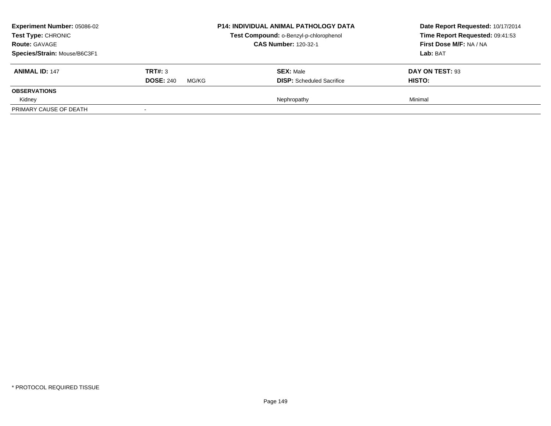| <b>Experiment Number: 05086-02</b><br>Test Type: CHRONIC<br><b>Route: GAVAGE</b> |                                      | <b>P14: INDIVIDUAL ANIMAL PATHOLOGY DATA</b><br>Test Compound: o-Benzyl-p-chlorophenol<br><b>CAS Number: 120-32-1</b> | Date Report Requested: 10/17/2014<br>Time Report Requested: 09:41:53<br>First Dose M/F: NA / NA |
|----------------------------------------------------------------------------------|--------------------------------------|-----------------------------------------------------------------------------------------------------------------------|-------------------------------------------------------------------------------------------------|
| Species/Strain: Mouse/B6C3F1<br><b>ANIMAL ID: 147</b>                            | TRT#: 3<br><b>DOSE: 240</b><br>MG/KG | <b>SEX: Male</b><br><b>DISP:</b> Scheduled Sacrifice                                                                  | Lab: BAT<br>DAY ON TEST: 93<br>HISTO:                                                           |
| <b>OBSERVATIONS</b><br>Kidney<br>PRIMARY CAUSE OF DEATH                          |                                      | Nephropathy                                                                                                           | Minimal                                                                                         |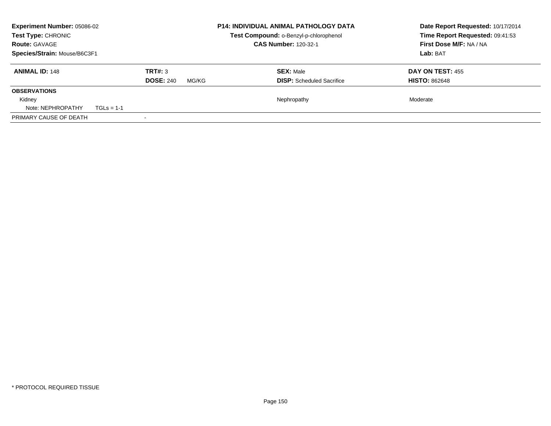| <b>Experiment Number: 05086-02</b><br>Test Type: CHRONIC |                           | <b>P14: INDIVIDUAL ANIMAL PATHOLOGY DATA</b><br>Test Compound: o-Benzyl-p-chlorophenol | Date Report Requested: 10/17/2014<br>Time Report Requested: 09:41:53 |
|----------------------------------------------------------|---------------------------|----------------------------------------------------------------------------------------|----------------------------------------------------------------------|
| <b>Route: GAVAGE</b>                                     |                           | <b>CAS Number: 120-32-1</b>                                                            | First Dose M/F: NA / NA                                              |
| Species/Strain: Mouse/B6C3F1                             |                           |                                                                                        | Lab: BAT                                                             |
| <b>ANIMAL ID: 148</b>                                    | TRT#: 3                   | <b>SEX: Male</b>                                                                       | DAY ON TEST: 455                                                     |
|                                                          | <b>DOSE: 240</b><br>MG/KG | <b>DISP:</b> Scheduled Sacrifice                                                       | <b>HISTO: 862648</b>                                                 |
| <b>OBSERVATIONS</b>                                      |                           |                                                                                        |                                                                      |
| Kidney                                                   |                           | Nephropathy                                                                            | Moderate                                                             |
| Note: NEPHROPATHY<br>$TGLs = 1-1$                        |                           |                                                                                        |                                                                      |
| PRIMARY CAUSE OF DEATH                                   |                           |                                                                                        |                                                                      |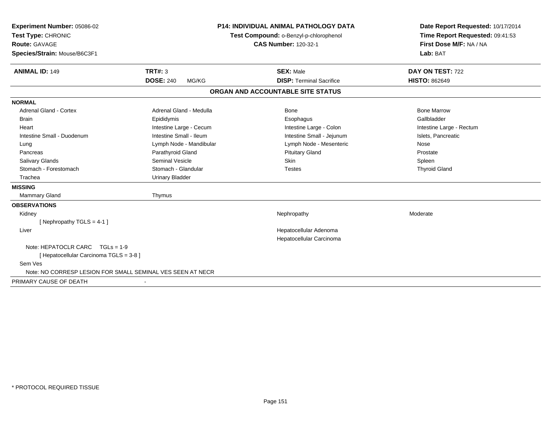| Experiment Number: 05086-02                                | <b>P14: INDIVIDUAL ANIMAL PATHOLOGY DATA</b> |                                   | Date Report Requested: 10/17/2014 |
|------------------------------------------------------------|----------------------------------------------|-----------------------------------|-----------------------------------|
| Test Type: CHRONIC                                         | Test Compound: o-Benzyl-p-chlorophenol       |                                   | Time Report Requested: 09:41:53   |
| <b>Route: GAVAGE</b>                                       |                                              | <b>CAS Number: 120-32-1</b>       | First Dose M/F: NA / NA           |
| Species/Strain: Mouse/B6C3F1                               |                                              |                                   | Lab: BAT                          |
| <b>ANIMAL ID: 149</b>                                      | TRT#: 3                                      | <b>SEX: Male</b>                  | DAY ON TEST: 722                  |
|                                                            | <b>DOSE: 240</b><br>MG/KG                    | <b>DISP: Terminal Sacrifice</b>   | <b>HISTO: 862649</b>              |
|                                                            |                                              | ORGAN AND ACCOUNTABLE SITE STATUS |                                   |
| <b>NORMAL</b>                                              |                                              |                                   |                                   |
| <b>Adrenal Gland - Cortex</b>                              | Adrenal Gland - Medulla                      | <b>Bone</b>                       | <b>Bone Marrow</b>                |
| <b>Brain</b>                                               | Epididymis                                   | Esophagus                         | Gallbladder                       |
| Heart                                                      | Intestine Large - Cecum                      | Intestine Large - Colon           | Intestine Large - Rectum          |
| Intestine Small - Duodenum                                 | Intestine Small - Ileum                      | Intestine Small - Jejunum         | Islets, Pancreatic                |
| Lung                                                       | Lymph Node - Mandibular                      | Lymph Node - Mesenteric           | Nose                              |
| Pancreas                                                   | Parathyroid Gland                            | <b>Pituitary Gland</b>            | Prostate                          |
| Salivary Glands                                            | Seminal Vesicle                              | Skin                              | Spleen                            |
| Stomach - Forestomach                                      | Stomach - Glandular                          | <b>Testes</b>                     | <b>Thyroid Gland</b>              |
| Trachea                                                    | <b>Urinary Bladder</b>                       |                                   |                                   |
| <b>MISSING</b>                                             |                                              |                                   |                                   |
| <b>Mammary Gland</b>                                       | Thymus                                       |                                   |                                   |
| <b>OBSERVATIONS</b>                                        |                                              |                                   |                                   |
| Kidney                                                     |                                              | Nephropathy                       | Moderate                          |
| [Nephropathy TGLS = 4-1]                                   |                                              |                                   |                                   |
| Liver                                                      |                                              | Hepatocellular Adenoma            |                                   |
|                                                            |                                              | Hepatocellular Carcinoma          |                                   |
| Note: HEPATOCLR CARC TGLs = 1-9                            |                                              |                                   |                                   |
| [ Hepatocellular Carcinoma TGLS = 3-8 ]                    |                                              |                                   |                                   |
| Sem Ves                                                    |                                              |                                   |                                   |
| Note: NO CORRESP LESION FOR SMALL SEMINAL VES SEEN AT NECR |                                              |                                   |                                   |
| PRIMARY CAUSE OF DEATH                                     |                                              |                                   |                                   |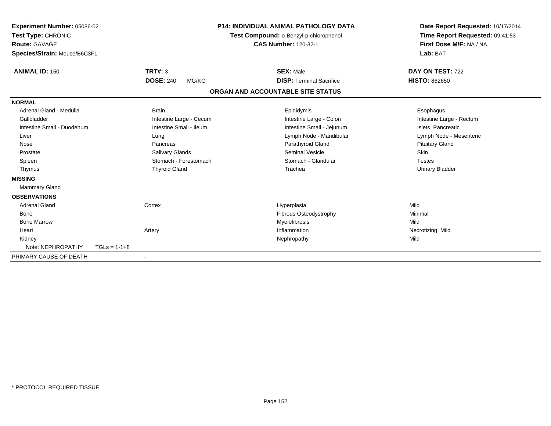| <b>Experiment Number: 05086-02</b><br>Test Type: CHRONIC<br><b>Route: GAVAGE</b><br>Species/Strain: Mouse/B6C3F1 |                |                           | <b>P14: INDIVIDUAL ANIMAL PATHOLOGY DATA</b><br>Test Compound: o-Benzyl-p-chlorophenol<br><b>CAS Number: 120-32-1</b> |                                   | Date Report Requested: 10/17/2014<br>Time Report Requested: 09:41:53<br>First Dose M/F: NA / NA<br>Lab: BAT |  |
|------------------------------------------------------------------------------------------------------------------|----------------|---------------------------|-----------------------------------------------------------------------------------------------------------------------|-----------------------------------|-------------------------------------------------------------------------------------------------------------|--|
| <b>ANIMAL ID: 150</b>                                                                                            |                | <b>TRT#: 3</b>            |                                                                                                                       | <b>SEX: Male</b>                  | DAY ON TEST: 722                                                                                            |  |
|                                                                                                                  |                | <b>DOSE: 240</b><br>MG/KG |                                                                                                                       | <b>DISP: Terminal Sacrifice</b>   | <b>HISTO: 862650</b>                                                                                        |  |
|                                                                                                                  |                |                           |                                                                                                                       | ORGAN AND ACCOUNTABLE SITE STATUS |                                                                                                             |  |
| <b>NORMAL</b>                                                                                                    |                |                           |                                                                                                                       |                                   |                                                                                                             |  |
| Adrenal Gland - Medulla                                                                                          |                | <b>Brain</b>              |                                                                                                                       | Epididymis                        | Esophagus                                                                                                   |  |
| Gallbladder                                                                                                      |                | Intestine Large - Cecum   |                                                                                                                       | Intestine Large - Colon           | Intestine Large - Rectum                                                                                    |  |
| Intestine Small - Duodenum                                                                                       |                | Intestine Small - Ileum   |                                                                                                                       | Intestine Small - Jejunum         | Islets, Pancreatic                                                                                          |  |
| Liver                                                                                                            |                | Lung                      |                                                                                                                       | Lymph Node - Mandibular           | Lymph Node - Mesenteric                                                                                     |  |
| Nose                                                                                                             |                | Pancreas                  |                                                                                                                       | Parathyroid Gland                 | <b>Pituitary Gland</b>                                                                                      |  |
| Prostate                                                                                                         |                | Salivary Glands           |                                                                                                                       | <b>Seminal Vesicle</b>            | <b>Skin</b>                                                                                                 |  |
| Spleen                                                                                                           |                | Stomach - Forestomach     |                                                                                                                       | Stomach - Glandular               | <b>Testes</b>                                                                                               |  |
| Thymus                                                                                                           |                | <b>Thyroid Gland</b>      |                                                                                                                       | Trachea                           | Urinary Bladder                                                                                             |  |
| <b>MISSING</b>                                                                                                   |                |                           |                                                                                                                       |                                   |                                                                                                             |  |
| <b>Mammary Gland</b>                                                                                             |                |                           |                                                                                                                       |                                   |                                                                                                             |  |
| <b>OBSERVATIONS</b>                                                                                              |                |                           |                                                                                                                       |                                   |                                                                                                             |  |
| <b>Adrenal Gland</b>                                                                                             |                | Cortex                    |                                                                                                                       | Hyperplasia                       | Mild                                                                                                        |  |
| Bone                                                                                                             |                |                           |                                                                                                                       | Fibrous Osteodystrophy            | Minimal                                                                                                     |  |
| <b>Bone Marrow</b>                                                                                               |                |                           |                                                                                                                       | Myelofibrosis                     | Mild                                                                                                        |  |
| Heart                                                                                                            |                | Artery                    |                                                                                                                       | Inflammation                      | Necrotizing, Mild                                                                                           |  |
| Kidney                                                                                                           |                |                           |                                                                                                                       | Nephropathy                       | Mild                                                                                                        |  |
| Note: NEPHROPATHY                                                                                                | $TGLs = 1-1+8$ |                           |                                                                                                                       |                                   |                                                                                                             |  |
| PRIMARY CAUSE OF DEATH                                                                                           |                |                           |                                                                                                                       |                                   |                                                                                                             |  |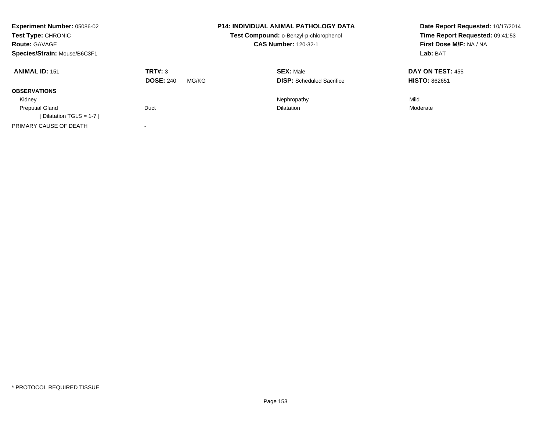| Experiment Number: 05086-02<br>Test Type: CHRONIC<br><b>Route: GAVAGE</b> |                           | <b>P14: INDIVIDUAL ANIMAL PATHOLOGY DATA</b>                                 | Date Report Requested: 10/17/2014                          |
|---------------------------------------------------------------------------|---------------------------|------------------------------------------------------------------------------|------------------------------------------------------------|
|                                                                           |                           | <b>Test Compound: o-Benzyl-p-chlorophenol</b><br><b>CAS Number: 120-32-1</b> | Time Report Requested: 09:41:53<br>First Dose M/F: NA / NA |
| Species/Strain: Mouse/B6C3F1                                              |                           |                                                                              | Lab: BAT                                                   |
| <b>ANIMAL ID: 151</b>                                                     | TRT#: 3                   | <b>SEX: Male</b>                                                             | DAY ON TEST: 455                                           |
|                                                                           | <b>DOSE: 240</b><br>MG/KG | <b>DISP:</b> Scheduled Sacrifice                                             | <b>HISTO: 862651</b>                                       |
| <b>OBSERVATIONS</b>                                                       |                           |                                                                              |                                                            |
| Kidney                                                                    |                           | Nephropathy                                                                  | Mild                                                       |
| <b>Preputial Gland</b>                                                    | Duct                      | <b>Dilatation</b>                                                            | Moderate                                                   |
| [ Dilatation TGLS = $1-7$ ]                                               |                           |                                                                              |                                                            |
| PRIMARY CAUSE OF DEATH                                                    |                           |                                                                              |                                                            |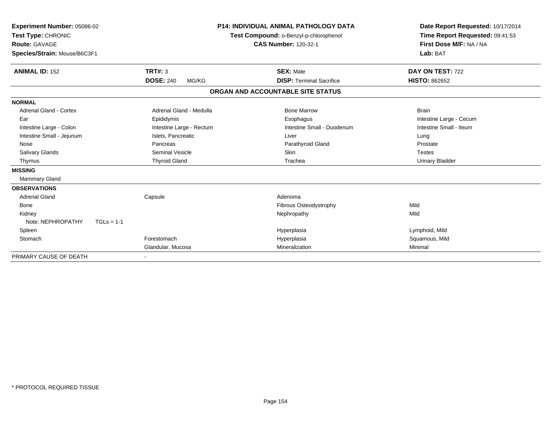| Experiment Number: 05086-02<br>Test Type: CHRONIC<br><b>Route: GAVAGE</b> |                           | <b>P14: INDIVIDUAL ANIMAL PATHOLOGY DATA</b><br>Test Compound: o-Benzyl-p-chlorophenol<br><b>CAS Number: 120-32-1</b> | Date Report Requested: 10/17/2014<br>Time Report Requested: 09:41:53<br>First Dose M/F: NA / NA |
|---------------------------------------------------------------------------|---------------------------|-----------------------------------------------------------------------------------------------------------------------|-------------------------------------------------------------------------------------------------|
| Species/Strain: Mouse/B6C3F1                                              |                           |                                                                                                                       | Lab: BAT                                                                                        |
| <b>ANIMAL ID: 152</b>                                                     | <b>TRT#: 3</b>            | <b>SEX: Male</b>                                                                                                      | DAY ON TEST: 722                                                                                |
|                                                                           | <b>DOSE: 240</b><br>MG/KG | <b>DISP: Terminal Sacrifice</b>                                                                                       | <b>HISTO: 862652</b>                                                                            |
|                                                                           |                           | ORGAN AND ACCOUNTABLE SITE STATUS                                                                                     |                                                                                                 |
| <b>NORMAL</b>                                                             |                           |                                                                                                                       |                                                                                                 |
| Adrenal Gland - Cortex                                                    | Adrenal Gland - Medulla   | <b>Bone Marrow</b>                                                                                                    | <b>Brain</b>                                                                                    |
| Ear                                                                       | Epididymis                | Esophagus                                                                                                             | Intestine Large - Cecum                                                                         |
| Intestine Large - Colon                                                   | Intestine Large - Rectum  | Intestine Small - Duodenum                                                                                            | Intestine Small - Ileum                                                                         |
| Intestine Small - Jejunum                                                 | Islets, Pancreatic        | Liver                                                                                                                 | Lung                                                                                            |
| Nose                                                                      | Pancreas                  | Parathyroid Gland                                                                                                     | Prostate                                                                                        |
| Salivary Glands                                                           | Seminal Vesicle           | <b>Skin</b>                                                                                                           | <b>Testes</b>                                                                                   |
| Thymus                                                                    | <b>Thyroid Gland</b>      | Trachea                                                                                                               | <b>Urinary Bladder</b>                                                                          |
| <b>MISSING</b>                                                            |                           |                                                                                                                       |                                                                                                 |
| <b>Mammary Gland</b>                                                      |                           |                                                                                                                       |                                                                                                 |
| <b>OBSERVATIONS</b>                                                       |                           |                                                                                                                       |                                                                                                 |
| <b>Adrenal Gland</b>                                                      | Capsule                   | Adenoma                                                                                                               |                                                                                                 |
| Bone                                                                      |                           | Fibrous Osteodystrophy                                                                                                | Mild                                                                                            |
| Kidney                                                                    |                           | Nephropathy                                                                                                           | Mild                                                                                            |
| Note: NEPHROPATHY<br>$TGLs = 1-1$                                         |                           |                                                                                                                       |                                                                                                 |
| Spleen                                                                    |                           | Hyperplasia                                                                                                           | Lymphoid, Mild                                                                                  |
| Stomach                                                                   | Forestomach               | Hyperplasia                                                                                                           | Squamous, Mild                                                                                  |
|                                                                           | Glandular, Mucosa         | Mineralization                                                                                                        | Minimal                                                                                         |
| PRIMARY CAUSE OF DEATH                                                    |                           |                                                                                                                       |                                                                                                 |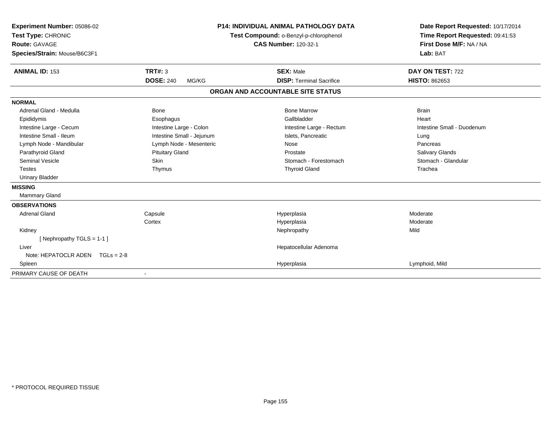| Experiment Number: 05086-02       |                           | <b>P14: INDIVIDUAL ANIMAL PATHOLOGY DATA</b> | Date Report Requested: 10/17/2014 |  |
|-----------------------------------|---------------------------|----------------------------------------------|-----------------------------------|--|
| Test Type: CHRONIC                |                           | Test Compound: o-Benzyl-p-chlorophenol       | Time Report Requested: 09:41:53   |  |
| Route: GAVAGE                     |                           | <b>CAS Number: 120-32-1</b>                  | First Dose M/F: NA / NA           |  |
| Species/Strain: Mouse/B6C3F1      |                           |                                              | Lab: BAT                          |  |
| <b>ANIMAL ID: 153</b>             | TRT#: 3                   | <b>SEX: Male</b>                             | DAY ON TEST: 722                  |  |
|                                   | <b>DOSE: 240</b><br>MG/KG | <b>DISP: Terminal Sacrifice</b>              | <b>HISTO: 862653</b>              |  |
|                                   |                           | ORGAN AND ACCOUNTABLE SITE STATUS            |                                   |  |
| <b>NORMAL</b>                     |                           |                                              |                                   |  |
| Adrenal Gland - Medulla           | <b>Bone</b>               | <b>Bone Marrow</b>                           | <b>Brain</b>                      |  |
| Epididymis                        | Esophagus                 | Gallbladder                                  | Heart                             |  |
| Intestine Large - Cecum           | Intestine Large - Colon   | Intestine Large - Rectum                     | Intestine Small - Duodenum        |  |
| Intestine Small - Ileum           | Intestine Small - Jejunum | Islets, Pancreatic                           | Lung                              |  |
| Lymph Node - Mandibular           | Lymph Node - Mesenteric   | Nose                                         | Pancreas                          |  |
| Parathyroid Gland                 | <b>Pituitary Gland</b>    | Prostate                                     | <b>Salivary Glands</b>            |  |
| <b>Seminal Vesicle</b>            | <b>Skin</b>               | Stomach - Forestomach                        | Stomach - Glandular               |  |
| <b>Testes</b>                     | Thymus                    | <b>Thyroid Gland</b>                         | Trachea                           |  |
| <b>Urinary Bladder</b>            |                           |                                              |                                   |  |
| <b>MISSING</b>                    |                           |                                              |                                   |  |
| <b>Mammary Gland</b>              |                           |                                              |                                   |  |
| <b>OBSERVATIONS</b>               |                           |                                              |                                   |  |
| <b>Adrenal Gland</b>              | Capsule                   | Hyperplasia                                  | Moderate                          |  |
|                                   | Cortex                    | Hyperplasia                                  | Moderate                          |  |
| Kidney                            |                           | Nephropathy                                  | Mild                              |  |
| [Nephropathy TGLS = 1-1]          |                           |                                              |                                   |  |
| Liver                             |                           | Hepatocellular Adenoma                       |                                   |  |
| Note: HEPATOCLR ADEN $TGLs = 2-8$ |                           |                                              |                                   |  |
| Spleen                            |                           | Hyperplasia                                  | Lymphoid, Mild                    |  |
| PRIMARY CAUSE OF DEATH            |                           |                                              |                                   |  |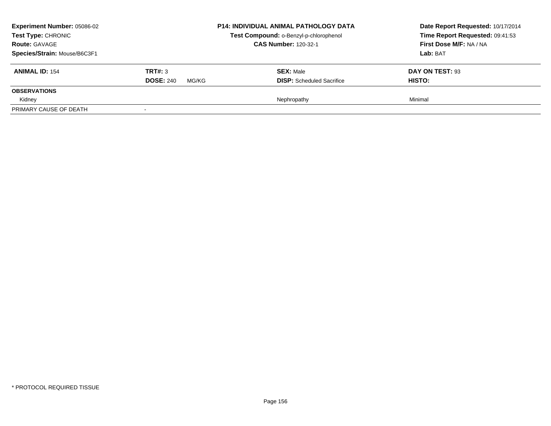| <b>Experiment Number: 05086-02</b>                    |                  | <b>P14: INDIVIDUAL ANIMAL PATHOLOGY DATA</b> | Date Report Requested: 10/17/2014 |
|-------------------------------------------------------|------------------|----------------------------------------------|-----------------------------------|
| Test Type: CHRONIC                                    |                  | Test Compound: o-Benzyl-p-chlorophenol       | Time Report Requested: 09:41:53   |
| <b>Route: GAVAGE</b>                                  |                  | <b>CAS Number: 120-32-1</b>                  | First Dose M/F: NA / NA           |
| Species/Strain: Mouse/B6C3F1<br><b>ANIMAL ID: 154</b> | TRT#: 3          | <b>SEX: Male</b>                             | Lab: BAT<br>DAY ON TEST: 93       |
| <b>OBSERVATIONS</b>                                   | <b>DOSE: 240</b> | <b>DISP:</b> Scheduled Sacrifice             | HISTO:                            |
| Kidney                                                | MG/KG            | Nephropathy                                  | Minimal                           |
| PRIMARY CAUSE OF DEATH                                |                  |                                              |                                   |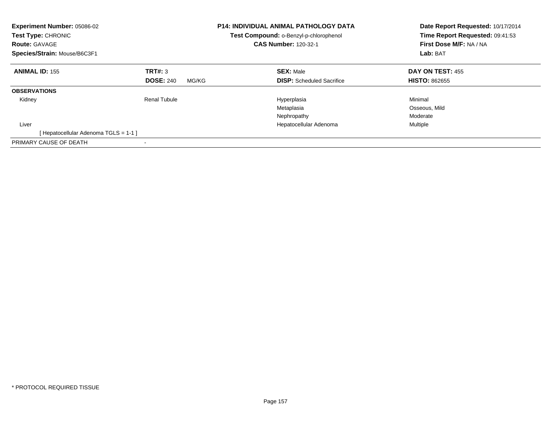| Experiment Number: 05086-02<br>Test Type: CHRONIC<br><b>Route: GAVAGE</b><br>Species/Strain: Mouse/B6C3F1 |                           | <b>P14: INDIVIDUAL ANIMAL PATHOLOGY DATA</b><br>Test Compound: o-Benzyl-p-chlorophenol<br><b>CAS Number: 120-32-1</b> | Date Report Requested: 10/17/2014<br>Time Report Requested: 09:41:53<br>First Dose M/F: NA / NA<br>Lab: BAT |
|-----------------------------------------------------------------------------------------------------------|---------------------------|-----------------------------------------------------------------------------------------------------------------------|-------------------------------------------------------------------------------------------------------------|
| <b>ANIMAL ID: 155</b>                                                                                     | TRT#: 3                   | <b>SEX: Male</b>                                                                                                      | <b>DAY ON TEST: 455</b>                                                                                     |
|                                                                                                           | <b>DOSE: 240</b><br>MG/KG | <b>DISP:</b> Scheduled Sacrifice                                                                                      | <b>HISTO: 862655</b>                                                                                        |
| <b>OBSERVATIONS</b>                                                                                       |                           |                                                                                                                       |                                                                                                             |
| Kidney                                                                                                    | <b>Renal Tubule</b>       | Hyperplasia                                                                                                           | Minimal                                                                                                     |
|                                                                                                           |                           | Metaplasia                                                                                                            | Osseous, Mild                                                                                               |
|                                                                                                           |                           | Nephropathy                                                                                                           | Moderate                                                                                                    |
| Liver                                                                                                     |                           | Hepatocellular Adenoma                                                                                                | Multiple                                                                                                    |
| [Hepatocellular Adenoma TGLS = 1-1 ]                                                                      |                           |                                                                                                                       |                                                                                                             |
| PRIMARY CAUSE OF DEATH                                                                                    |                           |                                                                                                                       |                                                                                                             |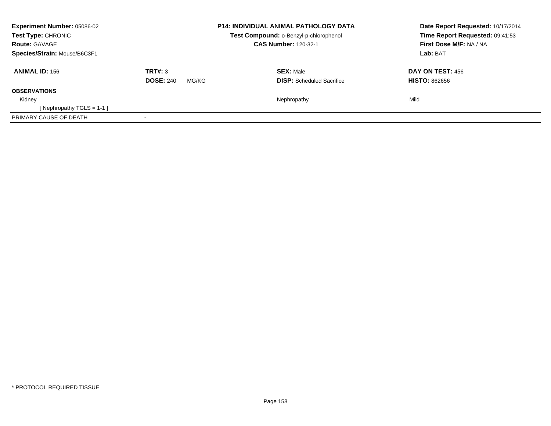| <b>Experiment Number: 05086-02</b><br>Test Type: CHRONIC<br><b>Route: GAVAGE</b> |                           | <b>P14: INDIVIDUAL ANIMAL PATHOLOGY DATA</b><br>Test Compound: o-Benzyl-p-chlorophenol | Date Report Requested: 10/17/2014<br>Time Report Requested: 09:41:53 |
|----------------------------------------------------------------------------------|---------------------------|----------------------------------------------------------------------------------------|----------------------------------------------------------------------|
|                                                                                  |                           | <b>CAS Number: 120-32-1</b>                                                            | First Dose M/F: NA / NA                                              |
| Species/Strain: Mouse/B6C3F1                                                     |                           |                                                                                        | Lab: BAT                                                             |
| <b>ANIMAL ID: 156</b>                                                            | TRT#: 3                   | <b>SEX: Male</b>                                                                       | DAY ON TEST: 456                                                     |
|                                                                                  | <b>DOSE: 240</b><br>MG/KG | <b>DISP:</b> Scheduled Sacrifice                                                       | <b>HISTO: 862656</b>                                                 |
| <b>OBSERVATIONS</b>                                                              |                           |                                                                                        |                                                                      |
| Kidney                                                                           |                           | Nephropathy                                                                            | Mild                                                                 |
| [Nephropathy TGLS = 1-1]                                                         |                           |                                                                                        |                                                                      |
| PRIMARY CAUSE OF DEATH                                                           |                           |                                                                                        |                                                                      |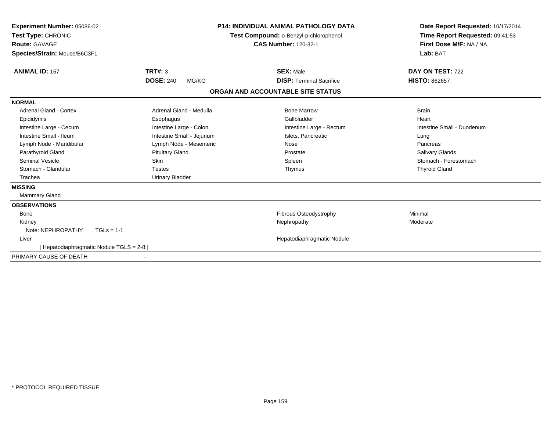| <b>Experiment Number: 05086-02</b><br>Test Type: CHRONIC<br>Route: GAVAGE<br>Species/Strain: Mouse/B6C3F1 |                                           | <b>P14: INDIVIDUAL ANIMAL PATHOLOGY DATA</b><br>Test Compound: o-Benzyl-p-chlorophenol<br><b>CAS Number: 120-32-1</b> | Date Report Requested: 10/17/2014<br>Time Report Requested: 09:41:53<br>First Dose M/F: NA / NA<br>Lab: BAT |
|-----------------------------------------------------------------------------------------------------------|-------------------------------------------|-----------------------------------------------------------------------------------------------------------------------|-------------------------------------------------------------------------------------------------------------|
| <b>ANIMAL ID: 157</b>                                                                                     | <b>TRT#: 3</b>                            | <b>SEX: Male</b>                                                                                                      | DAY ON TEST: 722                                                                                            |
|                                                                                                           | <b>DOSE: 240</b>                          | <b>DISP: Terminal Sacrifice</b><br>MG/KG                                                                              | <b>HISTO: 862657</b>                                                                                        |
|                                                                                                           |                                           | ORGAN AND ACCOUNTABLE SITE STATUS                                                                                     |                                                                                                             |
| <b>NORMAL</b>                                                                                             |                                           |                                                                                                                       |                                                                                                             |
| <b>Adrenal Gland - Cortex</b>                                                                             | Adrenal Gland - Medulla                   | <b>Bone Marrow</b>                                                                                                    | <b>Brain</b>                                                                                                |
| Epididymis                                                                                                | Esophagus                                 | Gallbladder                                                                                                           | Heart                                                                                                       |
| Intestine Large - Cecum                                                                                   | Intestine Large - Colon                   | Intestine Large - Rectum                                                                                              | Intestine Small - Duodenum                                                                                  |
| Intestine Small - Ileum                                                                                   | Intestine Small - Jejunum                 | Islets. Pancreatic                                                                                                    | Lung                                                                                                        |
| Lymph Node - Mandibular                                                                                   | Lymph Node - Mesenteric                   | Nose                                                                                                                  | Pancreas                                                                                                    |
| Parathyroid Gland                                                                                         | <b>Pituitary Gland</b>                    | Prostate                                                                                                              | <b>Salivary Glands</b>                                                                                      |
| <b>Seminal Vesicle</b>                                                                                    | <b>Skin</b>                               | Spleen                                                                                                                | Stomach - Forestomach                                                                                       |
| Stomach - Glandular                                                                                       | <b>Testes</b>                             | Thymus                                                                                                                | <b>Thyroid Gland</b>                                                                                        |
| Trachea                                                                                                   | <b>Urinary Bladder</b>                    |                                                                                                                       |                                                                                                             |
| <b>MISSING</b>                                                                                            |                                           |                                                                                                                       |                                                                                                             |
| Mammary Gland                                                                                             |                                           |                                                                                                                       |                                                                                                             |
| <b>OBSERVATIONS</b>                                                                                       |                                           |                                                                                                                       |                                                                                                             |
| <b>Bone</b>                                                                                               |                                           | Fibrous Osteodystrophy                                                                                                | Minimal                                                                                                     |
| Kidney                                                                                                    |                                           | Nephropathy                                                                                                           | Moderate                                                                                                    |
| Note: NEPHROPATHY                                                                                         | $TGLs = 1-1$                              |                                                                                                                       |                                                                                                             |
| Liver                                                                                                     |                                           | Hepatodiaphragmatic Nodule                                                                                            |                                                                                                             |
|                                                                                                           | [ Hepatodiaphragmatic Nodule TGLS = 2-8 ] |                                                                                                                       |                                                                                                             |
| PRIMARY CAUSE OF DEATH                                                                                    |                                           |                                                                                                                       |                                                                                                             |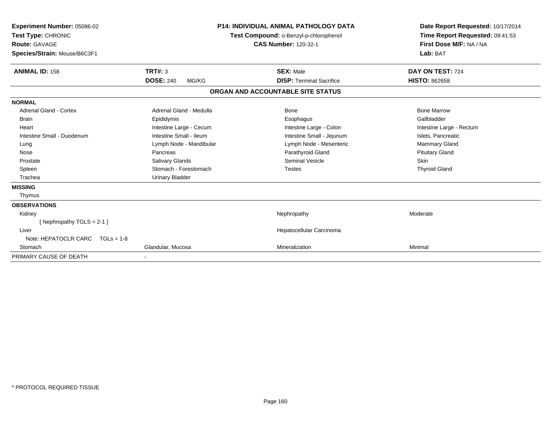| Experiment Number: 05086-02<br>Test Type: CHRONIC<br>Route: GAVAGE<br>Species/Strain: Mouse/B6C3F1 |                           | <b>P14: INDIVIDUAL ANIMAL PATHOLOGY DATA</b><br>Test Compound: o-Benzyl-p-chlorophenol<br><b>CAS Number: 120-32-1</b> | Date Report Requested: 10/17/2014<br>Time Report Requested: 09:41:53<br>First Dose M/F: NA / NA<br>Lab: BAT |  |
|----------------------------------------------------------------------------------------------------|---------------------------|-----------------------------------------------------------------------------------------------------------------------|-------------------------------------------------------------------------------------------------------------|--|
| <b>ANIMAL ID: 158</b>                                                                              | <b>TRT#: 3</b>            | <b>SEX: Male</b>                                                                                                      | DAY ON TEST: 724                                                                                            |  |
|                                                                                                    | <b>DOSE: 240</b><br>MG/KG | <b>DISP: Terminal Sacrifice</b>                                                                                       | <b>HISTO: 862658</b>                                                                                        |  |
|                                                                                                    |                           | ORGAN AND ACCOUNTABLE SITE STATUS                                                                                     |                                                                                                             |  |
| <b>NORMAL</b>                                                                                      |                           |                                                                                                                       |                                                                                                             |  |
| Adrenal Gland - Cortex                                                                             | Adrenal Gland - Medulla   | Bone                                                                                                                  | <b>Bone Marrow</b>                                                                                          |  |
| <b>Brain</b>                                                                                       | Epididymis                | Esophagus                                                                                                             | Gallbladder                                                                                                 |  |
| Heart                                                                                              | Intestine Large - Cecum   | Intestine Large - Colon                                                                                               | Intestine Large - Rectum                                                                                    |  |
| Intestine Small - Duodenum                                                                         | Intestine Small - Ileum   | Intestine Small - Jejunum                                                                                             | Islets, Pancreatic                                                                                          |  |
| Lung                                                                                               | Lymph Node - Mandibular   | Lymph Node - Mesenteric                                                                                               | <b>Mammary Gland</b>                                                                                        |  |
| Nose                                                                                               | Pancreas                  | Parathyroid Gland                                                                                                     | <b>Pituitary Gland</b>                                                                                      |  |
| Prostate                                                                                           | Salivary Glands           | Seminal Vesicle                                                                                                       | <b>Skin</b>                                                                                                 |  |
| Spleen                                                                                             | Stomach - Forestomach     | <b>Testes</b>                                                                                                         | <b>Thyroid Gland</b>                                                                                        |  |
| Trachea                                                                                            | <b>Urinary Bladder</b>    |                                                                                                                       |                                                                                                             |  |
| <b>MISSING</b>                                                                                     |                           |                                                                                                                       |                                                                                                             |  |
| Thymus                                                                                             |                           |                                                                                                                       |                                                                                                             |  |
| <b>OBSERVATIONS</b>                                                                                |                           |                                                                                                                       |                                                                                                             |  |
| Kidney                                                                                             |                           | Nephropathy                                                                                                           | Moderate                                                                                                    |  |
| [Nephropathy TGLS = 2-1]                                                                           |                           |                                                                                                                       |                                                                                                             |  |
| Liver                                                                                              |                           | Hepatocellular Carcinoma                                                                                              |                                                                                                             |  |
| Note: HEPATOCLR CARC<br>$TGLs = 1-8$                                                               |                           |                                                                                                                       |                                                                                                             |  |
| Stomach                                                                                            | Glandular, Mucosa         | Mineralization                                                                                                        | Minimal                                                                                                     |  |
| PRIMARY CAUSE OF DEATH                                                                             |                           |                                                                                                                       |                                                                                                             |  |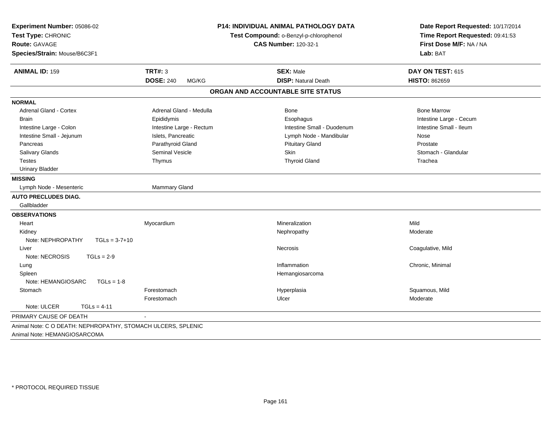| <b>P14: INDIVIDUAL ANIMAL PATHOLOGY DATA</b><br>Test Compound: o-Benzyl-p-chlorophenol<br><b>CAS Number: 120-32-1</b> | Date Report Requested: 10/17/2014<br>Time Report Requested: 09:41:53<br>First Dose M/F: NA / NA |
|-----------------------------------------------------------------------------------------------------------------------|-------------------------------------------------------------------------------------------------|
|                                                                                                                       | Lab: BAT                                                                                        |
| <b>SEX: Male</b>                                                                                                      | DAY ON TEST: 615                                                                                |
| <b>DISP: Natural Death</b>                                                                                            | <b>HISTO: 862659</b>                                                                            |
| ORGAN AND ACCOUNTABLE SITE STATUS                                                                                     |                                                                                                 |
|                                                                                                                       |                                                                                                 |
| Bone                                                                                                                  | <b>Bone Marrow</b>                                                                              |
| Esophagus                                                                                                             | Intestine Large - Cecum                                                                         |
| Intestine Small - Duodenum                                                                                            | Intestine Small - Ileum                                                                         |
| Lymph Node - Mandibular                                                                                               | Nose                                                                                            |
| <b>Pituitary Gland</b>                                                                                                | Prostate                                                                                        |
| <b>Skin</b>                                                                                                           | Stomach - Glandular                                                                             |
| <b>Thyroid Gland</b>                                                                                                  | Trachea                                                                                         |
|                                                                                                                       |                                                                                                 |
|                                                                                                                       |                                                                                                 |
|                                                                                                                       |                                                                                                 |
|                                                                                                                       |                                                                                                 |
|                                                                                                                       |                                                                                                 |
|                                                                                                                       |                                                                                                 |
| Mineralization                                                                                                        | Mild                                                                                            |
| Nephropathy                                                                                                           | Moderate                                                                                        |
|                                                                                                                       |                                                                                                 |
| <b>Necrosis</b>                                                                                                       | Coagulative, Mild                                                                               |
|                                                                                                                       |                                                                                                 |
| Inflammation                                                                                                          | Chronic, Minimal                                                                                |
| Hemangiosarcoma                                                                                                       |                                                                                                 |
|                                                                                                                       |                                                                                                 |
| Hyperplasia                                                                                                           | Squamous, Mild                                                                                  |
| Ulcer                                                                                                                 | Moderate                                                                                        |
|                                                                                                                       |                                                                                                 |
|                                                                                                                       |                                                                                                 |
|                                                                                                                       |                                                                                                 |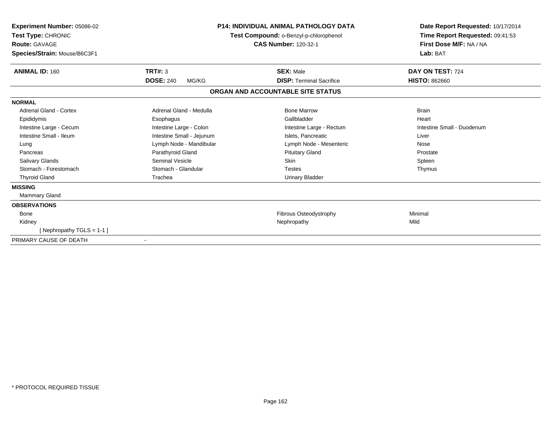| Experiment Number: 05086-02<br>Test Type: CHRONIC<br>Route: GAVAGE<br>Species/Strain: Mouse/B6C3F1 | <b>P14: INDIVIDUAL ANIMAL PATHOLOGY DATA</b><br>Test Compound: o-Benzyl-p-chlorophenol<br><b>CAS Number: 120-32-1</b> |                                   | Date Report Requested: 10/17/2014<br>Time Report Requested: 09:41:53<br>First Dose M/F: NA / NA<br>Lab: BAT |  |
|----------------------------------------------------------------------------------------------------|-----------------------------------------------------------------------------------------------------------------------|-----------------------------------|-------------------------------------------------------------------------------------------------------------|--|
| <b>ANIMAL ID: 160</b>                                                                              | TRT#: 3                                                                                                               | <b>SEX: Male</b>                  | DAY ON TEST: 724                                                                                            |  |
|                                                                                                    | <b>DOSE: 240</b><br>MG/KG                                                                                             | <b>DISP: Terminal Sacrifice</b>   | <b>HISTO: 862660</b>                                                                                        |  |
|                                                                                                    |                                                                                                                       | ORGAN AND ACCOUNTABLE SITE STATUS |                                                                                                             |  |
| <b>NORMAL</b>                                                                                      |                                                                                                                       |                                   |                                                                                                             |  |
| <b>Adrenal Gland - Cortex</b>                                                                      | Adrenal Gland - Medulla                                                                                               | <b>Bone Marrow</b>                | <b>Brain</b>                                                                                                |  |
| Epididymis                                                                                         | Esophagus                                                                                                             | Gallbladder                       | Heart                                                                                                       |  |
| Intestine Large - Cecum                                                                            | Intestine Large - Colon                                                                                               | Intestine Large - Rectum          | Intestine Small - Duodenum                                                                                  |  |
| Intestine Small - Ileum                                                                            | Intestine Small - Jejunum                                                                                             | Islets, Pancreatic                | Liver                                                                                                       |  |
| Lung                                                                                               | Lymph Node - Mandibular                                                                                               | Lymph Node - Mesenteric           | Nose                                                                                                        |  |
| Pancreas                                                                                           | Parathyroid Gland                                                                                                     | <b>Pituitary Gland</b>            | Prostate                                                                                                    |  |
| <b>Salivary Glands</b>                                                                             | <b>Seminal Vesicle</b>                                                                                                | <b>Skin</b>                       | Spleen                                                                                                      |  |
| Stomach - Forestomach                                                                              | Stomach - Glandular                                                                                                   | <b>Testes</b>                     | Thymus                                                                                                      |  |
| <b>Thyroid Gland</b>                                                                               | Trachea                                                                                                               | <b>Urinary Bladder</b>            |                                                                                                             |  |
| <b>MISSING</b>                                                                                     |                                                                                                                       |                                   |                                                                                                             |  |
| <b>Mammary Gland</b>                                                                               |                                                                                                                       |                                   |                                                                                                             |  |
| <b>OBSERVATIONS</b>                                                                                |                                                                                                                       |                                   |                                                                                                             |  |
| <b>Bone</b>                                                                                        |                                                                                                                       | Fibrous Osteodystrophy            | Minimal                                                                                                     |  |
| Kidney                                                                                             |                                                                                                                       | Nephropathy                       | Mild                                                                                                        |  |
| [Nephropathy TGLS = 1-1]                                                                           |                                                                                                                       |                                   |                                                                                                             |  |
| PRIMARY CAUSE OF DEATH                                                                             |                                                                                                                       |                                   |                                                                                                             |  |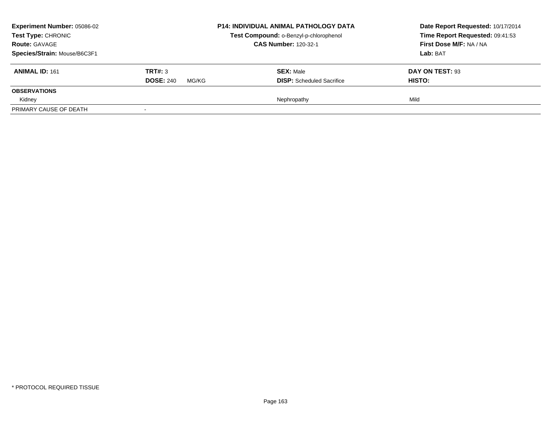| <b>Experiment Number: 05086-02</b><br><b>Test Type: CHRONIC</b> |                           | <b>P14: INDIVIDUAL ANIMAL PATHOLOGY DATA</b> | Date Report Requested: 10/17/2014 |
|-----------------------------------------------------------------|---------------------------|----------------------------------------------|-----------------------------------|
|                                                                 |                           | Test Compound: o-Benzyl-p-chlorophenol       | Time Report Requested: 09:41:53   |
| <b>Route: GAVAGE</b>                                            |                           | <b>CAS Number: 120-32-1</b>                  | First Dose M/F: NA / NA           |
| Species/Strain: Mouse/B6C3F1                                    |                           |                                              | Lab: BAT                          |
| <b>ANIMAL ID: 161</b>                                           | TRT#: 3                   | <b>SEX: Male</b>                             | DAY ON TEST: 93                   |
|                                                                 | <b>DOSE: 240</b><br>MG/KG | <b>DISP:</b> Scheduled Sacrifice             | HISTO:                            |
| <b>OBSERVATIONS</b>                                             |                           |                                              |                                   |
| Kidney                                                          |                           | Nephropathy                                  | Mild                              |
| PRIMARY CAUSE OF DEATH                                          |                           |                                              |                                   |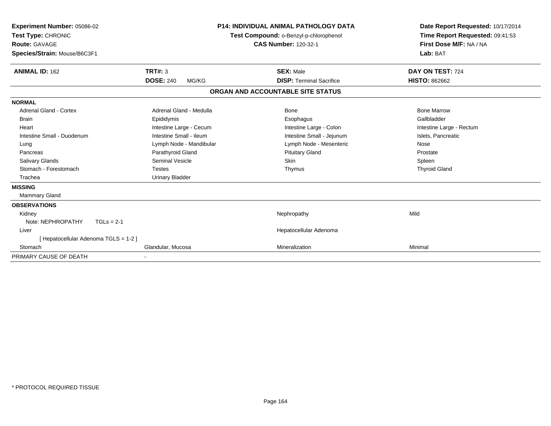| <b>Experiment Number: 05086-02</b><br>Test Type: CHRONIC<br><b>Route: GAVAGE</b><br>Species/Strain: Mouse/B6C3F1 |                           | <b>P14: INDIVIDUAL ANIMAL PATHOLOGY DATA</b><br>Test Compound: o-Benzyl-p-chlorophenol<br><b>CAS Number: 120-32-1</b> |                                 | Date Report Requested: 10/17/2014<br>Time Report Requested: 09:41:53<br>First Dose M/F: NA / NA<br>Lab: BAT |  |
|------------------------------------------------------------------------------------------------------------------|---------------------------|-----------------------------------------------------------------------------------------------------------------------|---------------------------------|-------------------------------------------------------------------------------------------------------------|--|
| <b>ANIMAL ID: 162</b>                                                                                            | <b>TRT#: 3</b>            |                                                                                                                       | <b>SEX: Male</b>                | DAY ON TEST: 724                                                                                            |  |
|                                                                                                                  | <b>DOSE: 240</b><br>MG/KG |                                                                                                                       | <b>DISP: Terminal Sacrifice</b> | <b>HISTO: 862662</b>                                                                                        |  |
|                                                                                                                  |                           | ORGAN AND ACCOUNTABLE SITE STATUS                                                                                     |                                 |                                                                                                             |  |
| <b>NORMAL</b>                                                                                                    |                           |                                                                                                                       |                                 |                                                                                                             |  |
| <b>Adrenal Gland - Cortex</b>                                                                                    | Adrenal Gland - Medulla   |                                                                                                                       | <b>Bone</b>                     | <b>Bone Marrow</b>                                                                                          |  |
| <b>Brain</b>                                                                                                     | Epididymis                |                                                                                                                       | Esophagus                       | Gallbladder                                                                                                 |  |
| Heart                                                                                                            | Intestine Large - Cecum   |                                                                                                                       | Intestine Large - Colon         | Intestine Large - Rectum                                                                                    |  |
| Intestine Small - Duodenum                                                                                       | Intestine Small - Ileum   |                                                                                                                       | Intestine Small - Jejunum       | Islets, Pancreatic                                                                                          |  |
| Lung                                                                                                             | Lymph Node - Mandibular   |                                                                                                                       | Lymph Node - Mesenteric         | Nose                                                                                                        |  |
| Pancreas                                                                                                         | Parathyroid Gland         |                                                                                                                       | <b>Pituitary Gland</b>          | Prostate                                                                                                    |  |
| Salivary Glands                                                                                                  | <b>Seminal Vesicle</b>    |                                                                                                                       | Skin                            | Spleen                                                                                                      |  |
| Stomach - Forestomach                                                                                            | <b>Testes</b>             |                                                                                                                       | Thymus                          | <b>Thyroid Gland</b>                                                                                        |  |
| Trachea                                                                                                          | <b>Urinary Bladder</b>    |                                                                                                                       |                                 |                                                                                                             |  |
| <b>MISSING</b><br>Mammary Gland                                                                                  |                           |                                                                                                                       |                                 |                                                                                                             |  |
| <b>OBSERVATIONS</b>                                                                                              |                           |                                                                                                                       |                                 |                                                                                                             |  |
| Kidney                                                                                                           |                           |                                                                                                                       | Nephropathy                     | Mild                                                                                                        |  |
| Note: NEPHROPATHY<br>$TGLs = 2-1$                                                                                |                           |                                                                                                                       |                                 |                                                                                                             |  |
| Liver                                                                                                            |                           |                                                                                                                       | Hepatocellular Adenoma          |                                                                                                             |  |
| [ Hepatocellular Adenoma TGLS = 1-2 ]                                                                            |                           |                                                                                                                       |                                 |                                                                                                             |  |
| Stomach                                                                                                          | Glandular, Mucosa         |                                                                                                                       | Mineralization                  | Minimal                                                                                                     |  |
| PRIMARY CAUSE OF DEATH                                                                                           |                           |                                                                                                                       |                                 |                                                                                                             |  |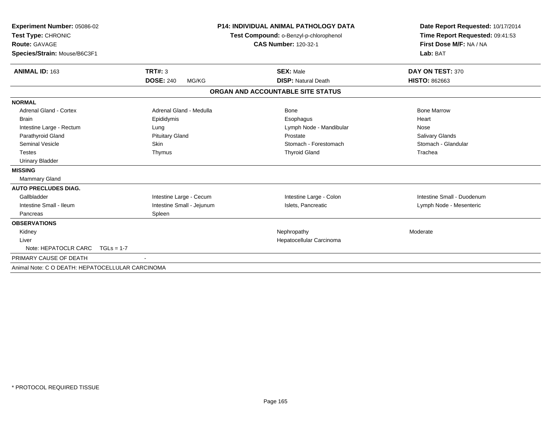| Experiment Number: 05086-02                      |                           | <b>P14: INDIVIDUAL ANIMAL PATHOLOGY DATA</b> | Date Report Requested: 10/17/2014 |
|--------------------------------------------------|---------------------------|----------------------------------------------|-----------------------------------|
| Test Type: CHRONIC                               |                           | Test Compound: o-Benzyl-p-chlorophenol       | Time Report Requested: 09:41:53   |
| Route: GAVAGE                                    |                           | <b>CAS Number: 120-32-1</b>                  | First Dose M/F: NA / NA           |
| Species/Strain: Mouse/B6C3F1                     |                           |                                              | Lab: BAT                          |
| <b>ANIMAL ID: 163</b>                            | TRT#: 3                   | <b>SEX: Male</b>                             | DAY ON TEST: 370                  |
|                                                  | <b>DOSE: 240</b><br>MG/KG | <b>DISP: Natural Death</b>                   | <b>HISTO: 862663</b>              |
|                                                  |                           | ORGAN AND ACCOUNTABLE SITE STATUS            |                                   |
| <b>NORMAL</b>                                    |                           |                                              |                                   |
| <b>Adrenal Gland - Cortex</b>                    | Adrenal Gland - Medulla   | Bone                                         | <b>Bone Marrow</b>                |
| <b>Brain</b>                                     | Epididymis                | Esophagus                                    | Heart                             |
| Intestine Large - Rectum                         | Lung                      | Lymph Node - Mandibular                      | Nose                              |
| Parathyroid Gland                                | <b>Pituitary Gland</b>    | Prostate                                     | Salivary Glands                   |
| <b>Seminal Vesicle</b>                           | Skin                      | Stomach - Forestomach                        | Stomach - Glandular               |
| <b>Testes</b>                                    | Thymus                    | <b>Thyroid Gland</b>                         | Trachea                           |
| <b>Urinary Bladder</b>                           |                           |                                              |                                   |
| <b>MISSING</b>                                   |                           |                                              |                                   |
| <b>Mammary Gland</b>                             |                           |                                              |                                   |
| <b>AUTO PRECLUDES DIAG.</b>                      |                           |                                              |                                   |
| Gallbladder                                      | Intestine Large - Cecum   | Intestine Large - Colon                      | Intestine Small - Duodenum        |
| Intestine Small - Ileum                          | Intestine Small - Jejunum | Islets, Pancreatic                           | Lymph Node - Mesenteric           |
| Pancreas                                         | Spleen                    |                                              |                                   |
| <b>OBSERVATIONS</b>                              |                           |                                              |                                   |
| Kidney                                           |                           | Nephropathy                                  | Moderate                          |
| Liver                                            |                           | Hepatocellular Carcinoma                     |                                   |
| Note: HEPATOCLR CARC $TGLs = 1-7$                |                           |                                              |                                   |
| PRIMARY CAUSE OF DEATH                           |                           |                                              |                                   |
| Animal Note: C O DEATH: HEPATOCELLULAR CARCINOMA |                           |                                              |                                   |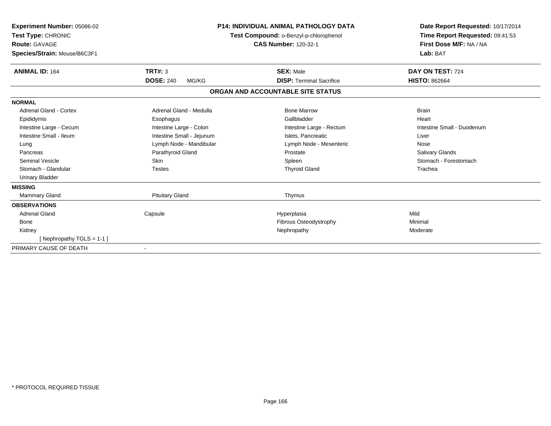| <b>Experiment Number: 05086-02</b><br>Test Type: CHRONIC<br><b>Route: GAVAGE</b><br>Species/Strain: Mouse/B6C3F1 |                           | <b>P14: INDIVIDUAL ANIMAL PATHOLOGY DATA</b><br>Test Compound: o-Benzyl-p-chlorophenol<br><b>CAS Number: 120-32-1</b> | Date Report Requested: 10/17/2014<br>Time Report Requested: 09:41:53<br>First Dose M/F: NA / NA<br>Lab: BAT |
|------------------------------------------------------------------------------------------------------------------|---------------------------|-----------------------------------------------------------------------------------------------------------------------|-------------------------------------------------------------------------------------------------------------|
| <b>ANIMAL ID: 164</b>                                                                                            | TRT#: 3                   | <b>SEX: Male</b>                                                                                                      | DAY ON TEST: 724                                                                                            |
|                                                                                                                  | <b>DOSE: 240</b><br>MG/KG | <b>DISP: Terminal Sacrifice</b>                                                                                       | <b>HISTO: 862664</b>                                                                                        |
|                                                                                                                  |                           | ORGAN AND ACCOUNTABLE SITE STATUS                                                                                     |                                                                                                             |
| <b>NORMAL</b>                                                                                                    |                           |                                                                                                                       |                                                                                                             |
| Adrenal Gland - Cortex                                                                                           | Adrenal Gland - Medulla   | <b>Bone Marrow</b>                                                                                                    | <b>Brain</b>                                                                                                |
| Epididymis                                                                                                       | Esophagus                 | Gallbladder                                                                                                           | Heart                                                                                                       |
| Intestine Large - Cecum                                                                                          | Intestine Large - Colon   | Intestine Large - Rectum                                                                                              | Intestine Small - Duodenum                                                                                  |
| Intestine Small - Ileum                                                                                          | Intestine Small - Jejunum | Islets, Pancreatic                                                                                                    | Liver                                                                                                       |
| Lung                                                                                                             | Lymph Node - Mandibular   | Lymph Node - Mesenteric                                                                                               | Nose                                                                                                        |
| Pancreas                                                                                                         | Parathyroid Gland         | Prostate                                                                                                              | <b>Salivary Glands</b>                                                                                      |
| Seminal Vesicle                                                                                                  | <b>Skin</b>               | Spleen                                                                                                                | Stomach - Forestomach                                                                                       |
| Stomach - Glandular                                                                                              | <b>Testes</b>             | <b>Thyroid Gland</b>                                                                                                  | Trachea                                                                                                     |
| <b>Urinary Bladder</b>                                                                                           |                           |                                                                                                                       |                                                                                                             |
| <b>MISSING</b>                                                                                                   |                           |                                                                                                                       |                                                                                                             |
| <b>Mammary Gland</b>                                                                                             | <b>Pituitary Gland</b>    | Thymus                                                                                                                |                                                                                                             |
| <b>OBSERVATIONS</b>                                                                                              |                           |                                                                                                                       |                                                                                                             |
| <b>Adrenal Gland</b>                                                                                             | Capsule                   | Hyperplasia                                                                                                           | Mild                                                                                                        |
| <b>Bone</b>                                                                                                      |                           | Fibrous Osteodystrophy                                                                                                | Minimal                                                                                                     |
| Kidney                                                                                                           |                           | Nephropathy                                                                                                           | Moderate                                                                                                    |
| [Nephropathy TGLS = 1-1]                                                                                         |                           |                                                                                                                       |                                                                                                             |
| PRIMARY CAUSE OF DEATH                                                                                           |                           |                                                                                                                       |                                                                                                             |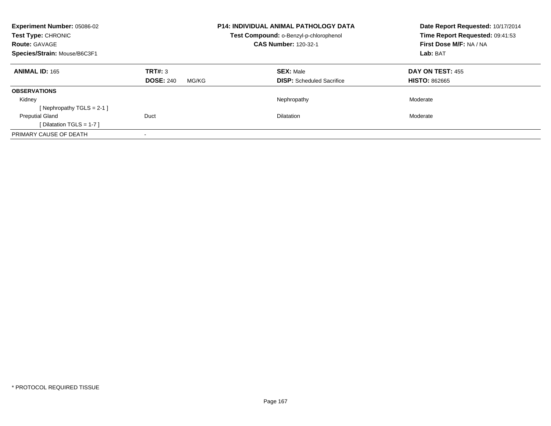| <b>Experiment Number: 05086-02</b><br>Test Type: CHRONIC<br><b>Route: GAVAGE</b><br>Species/Strain: Mouse/B6C3F1 |                                      | <b>P14: INDIVIDUAL ANIMAL PATHOLOGY DATA</b><br>Test Compound: o-Benzyl-p-chlorophenol<br><b>CAS Number: 120-32-1</b> | Date Report Requested: 10/17/2014<br>Time Report Requested: 09:41:53<br>First Dose M/F: NA / NA<br>Lab: BAT |
|------------------------------------------------------------------------------------------------------------------|--------------------------------------|-----------------------------------------------------------------------------------------------------------------------|-------------------------------------------------------------------------------------------------------------|
| <b>ANIMAL ID: 165</b>                                                                                            | TRT#: 3<br><b>DOSE: 240</b><br>MG/KG | <b>SEX: Male</b><br><b>DISP:</b> Scheduled Sacrifice                                                                  | DAY ON TEST: 455<br><b>HISTO: 862665</b>                                                                    |
| <b>OBSERVATIONS</b>                                                                                              |                                      |                                                                                                                       |                                                                                                             |
| Kidney                                                                                                           |                                      | Nephropathy                                                                                                           | Moderate                                                                                                    |
| [ Nephropathy $TGLS = 2-1$ ]                                                                                     |                                      |                                                                                                                       |                                                                                                             |
| <b>Preputial Gland</b>                                                                                           | Duct                                 | <b>Dilatation</b>                                                                                                     | Moderate                                                                                                    |
| [ Dilatation TGLS = $1-7$ ]                                                                                      |                                      |                                                                                                                       |                                                                                                             |
| PRIMARY CAUSE OF DEATH                                                                                           |                                      |                                                                                                                       |                                                                                                             |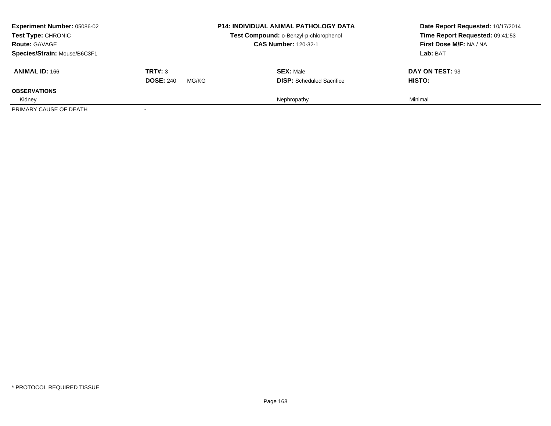| <b>Experiment Number: 05086-02</b><br>Test Type: CHRONIC<br><b>Route: GAVAGE</b><br>Species/Strain: Mouse/B6C3F1 |                                      | <b>P14: INDIVIDUAL ANIMAL PATHOLOGY DATA</b><br>Test Compound: o-Benzyl-p-chlorophenol<br><b>CAS Number: 120-32-1</b> | Date Report Requested: 10/17/2014<br>Time Report Requested: 09:41:53<br>First Dose M/F: NA / NA<br>Lab: BAT |
|------------------------------------------------------------------------------------------------------------------|--------------------------------------|-----------------------------------------------------------------------------------------------------------------------|-------------------------------------------------------------------------------------------------------------|
| <b>ANIMAL ID: 166</b>                                                                                            | TRT#: 3<br><b>DOSE: 240</b><br>MG/KG | <b>SEX: Male</b><br><b>DISP:</b> Scheduled Sacrifice                                                                  | DAY ON TEST: 93<br>HISTO:                                                                                   |
| <b>OBSERVATIONS</b><br>Kidney                                                                                    |                                      | Nephropathy                                                                                                           | Minimal                                                                                                     |
| PRIMARY CAUSE OF DEATH                                                                                           |                                      |                                                                                                                       |                                                                                                             |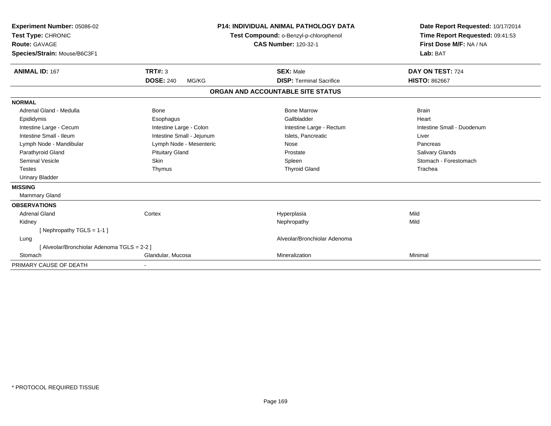| Experiment Number: 05086-02<br>Test Type: CHRONIC<br><b>Route: GAVAGE</b><br>Species/Strain: Mouse/B6C3F1<br><b>ANIMAL ID: 167</b> | <b>TRT#: 3</b>            | <b>P14: INDIVIDUAL ANIMAL PATHOLOGY DATA</b><br>Test Compound: o-Benzyl-p-chlorophenol<br><b>CAS Number: 120-32-1</b><br><b>SEX: Male</b> | Date Report Requested: 10/17/2014<br>Time Report Requested: 09:41:53<br>First Dose M/F: NA / NA<br>Lab: BAT<br>DAY ON TEST: 724 |
|------------------------------------------------------------------------------------------------------------------------------------|---------------------------|-------------------------------------------------------------------------------------------------------------------------------------------|---------------------------------------------------------------------------------------------------------------------------------|
|                                                                                                                                    | <b>DOSE: 240</b><br>MG/KG | <b>DISP: Terminal Sacrifice</b>                                                                                                           | <b>HISTO: 862667</b>                                                                                                            |
|                                                                                                                                    |                           | ORGAN AND ACCOUNTABLE SITE STATUS                                                                                                         |                                                                                                                                 |
| <b>NORMAL</b>                                                                                                                      |                           |                                                                                                                                           |                                                                                                                                 |
| Adrenal Gland - Medulla                                                                                                            | <b>Bone</b>               | <b>Bone Marrow</b>                                                                                                                        | <b>Brain</b>                                                                                                                    |
| Epididymis                                                                                                                         | Esophagus                 | Gallbladder                                                                                                                               | Heart                                                                                                                           |
| Intestine Large - Cecum                                                                                                            | Intestine Large - Colon   | Intestine Large - Rectum                                                                                                                  | Intestine Small - Duodenum                                                                                                      |
| Intestine Small - Ileum                                                                                                            | Intestine Small - Jejunum | Islets. Pancreatic                                                                                                                        | Liver                                                                                                                           |
| Lymph Node - Mandibular                                                                                                            | Lymph Node - Mesenteric   | Nose                                                                                                                                      | Pancreas                                                                                                                        |
| Parathyroid Gland                                                                                                                  | <b>Pituitary Gland</b>    | Prostate                                                                                                                                  | Salivary Glands                                                                                                                 |
| Seminal Vesicle                                                                                                                    | <b>Skin</b>               | Spleen                                                                                                                                    | Stomach - Forestomach                                                                                                           |
| Testes                                                                                                                             | Thymus                    | <b>Thyroid Gland</b>                                                                                                                      | Trachea                                                                                                                         |
| <b>Urinary Bladder</b>                                                                                                             |                           |                                                                                                                                           |                                                                                                                                 |
| <b>MISSING</b>                                                                                                                     |                           |                                                                                                                                           |                                                                                                                                 |
| Mammary Gland                                                                                                                      |                           |                                                                                                                                           |                                                                                                                                 |
| <b>OBSERVATIONS</b>                                                                                                                |                           |                                                                                                                                           |                                                                                                                                 |
| <b>Adrenal Gland</b>                                                                                                               | Cortex                    | Hyperplasia                                                                                                                               | Mild                                                                                                                            |
| Kidney                                                                                                                             |                           | Nephropathy                                                                                                                               | Mild                                                                                                                            |
| [ Nephropathy TGLS = $1-1$ ]                                                                                                       |                           |                                                                                                                                           |                                                                                                                                 |
| Lung                                                                                                                               |                           | Alveolar/Bronchiolar Adenoma                                                                                                              |                                                                                                                                 |
| [ Alveolar/Bronchiolar Adenoma TGLS = 2-2 ]                                                                                        |                           |                                                                                                                                           |                                                                                                                                 |
| Stomach                                                                                                                            | Glandular, Mucosa         | Mineralization                                                                                                                            | Minimal                                                                                                                         |
| PRIMARY CAUSE OF DEATH                                                                                                             |                           |                                                                                                                                           |                                                                                                                                 |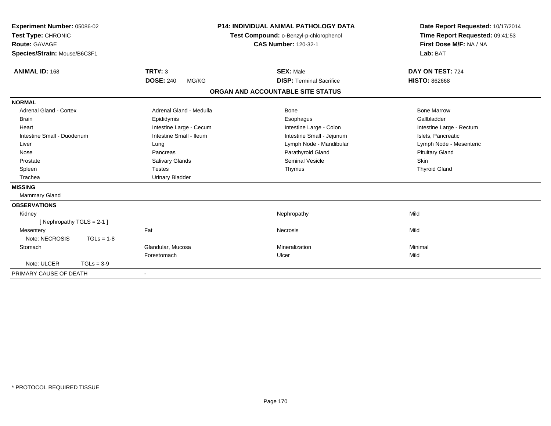| Experiment Number: 05086-02<br>Test Type: CHRONIC<br><b>Route: GAVAGE</b><br>Species/Strain: Mouse/B6C3F1<br><b>ANIMAL ID: 168</b> | TRT#: 3                   | P14: INDIVIDUAL ANIMAL PATHOLOGY DATA<br>Test Compound: o-Benzyl-p-chlorophenol<br><b>CAS Number: 120-32-1</b><br><b>SEX: Male</b> | Date Report Requested: 10/17/2014<br>Time Report Requested: 09:41:53<br>First Dose M/F: NA / NA<br>Lab: BAT<br>DAY ON TEST: 724 |
|------------------------------------------------------------------------------------------------------------------------------------|---------------------------|------------------------------------------------------------------------------------------------------------------------------------|---------------------------------------------------------------------------------------------------------------------------------|
|                                                                                                                                    | <b>DOSE: 240</b><br>MG/KG | <b>DISP: Terminal Sacrifice</b>                                                                                                    | <b>HISTO: 862668</b>                                                                                                            |
|                                                                                                                                    |                           | ORGAN AND ACCOUNTABLE SITE STATUS                                                                                                  |                                                                                                                                 |
| <b>NORMAL</b>                                                                                                                      |                           |                                                                                                                                    |                                                                                                                                 |
| <b>Adrenal Gland - Cortex</b>                                                                                                      | Adrenal Gland - Medulla   | Bone                                                                                                                               | <b>Bone Marrow</b>                                                                                                              |
| <b>Brain</b>                                                                                                                       | Epididymis                | Esophagus                                                                                                                          | Gallbladder                                                                                                                     |
| Heart                                                                                                                              | Intestine Large - Cecum   | Intestine Large - Colon                                                                                                            | Intestine Large - Rectum                                                                                                        |
| Intestine Small - Duodenum                                                                                                         | Intestine Small - Ileum   | Intestine Small - Jejunum                                                                                                          | Islets, Pancreatic                                                                                                              |
| Liver                                                                                                                              | Lung                      | Lymph Node - Mandibular                                                                                                            | Lymph Node - Mesenteric                                                                                                         |
| Nose                                                                                                                               | Pancreas                  | Parathyroid Gland                                                                                                                  | <b>Pituitary Gland</b>                                                                                                          |
| Prostate                                                                                                                           | Salivary Glands           | <b>Seminal Vesicle</b>                                                                                                             | Skin                                                                                                                            |
| Spleen                                                                                                                             | <b>Testes</b>             | Thymus                                                                                                                             | <b>Thyroid Gland</b>                                                                                                            |
| Trachea                                                                                                                            | <b>Urinary Bladder</b>    |                                                                                                                                    |                                                                                                                                 |
| <b>MISSING</b>                                                                                                                     |                           |                                                                                                                                    |                                                                                                                                 |
| Mammary Gland                                                                                                                      |                           |                                                                                                                                    |                                                                                                                                 |
| <b>OBSERVATIONS</b>                                                                                                                |                           |                                                                                                                                    |                                                                                                                                 |
| Kidney                                                                                                                             |                           | Nephropathy                                                                                                                        | Mild                                                                                                                            |
| [Nephropathy TGLS = 2-1]                                                                                                           |                           |                                                                                                                                    |                                                                                                                                 |
| Mesentery                                                                                                                          | Fat                       | Necrosis                                                                                                                           | Mild                                                                                                                            |
| Note: NECROSIS<br>$TGLs = 1-8$                                                                                                     |                           |                                                                                                                                    |                                                                                                                                 |
| Stomach                                                                                                                            | Glandular, Mucosa         | Mineralization                                                                                                                     | Minimal                                                                                                                         |
|                                                                                                                                    | Forestomach               | Ulcer                                                                                                                              | Mild                                                                                                                            |
| Note: ULCER<br>$TGLs = 3-9$                                                                                                        |                           |                                                                                                                                    |                                                                                                                                 |
| PRIMARY CAUSE OF DEATH                                                                                                             |                           |                                                                                                                                    |                                                                                                                                 |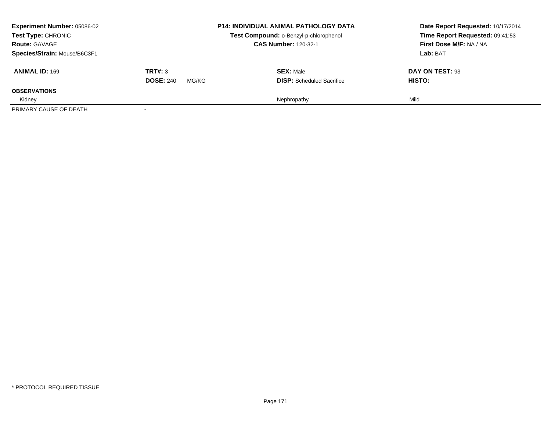| <b>Experiment Number: 05086-02</b> |                           | <b>P14: INDIVIDUAL ANIMAL PATHOLOGY DATA</b> | Date Report Requested: 10/17/2014 |
|------------------------------------|---------------------------|----------------------------------------------|-----------------------------------|
| <b>Test Type: CHRONIC</b>          |                           | Test Compound: o-Benzyl-p-chlorophenol       | Time Report Requested: 09:41:53   |
| <b>Route: GAVAGE</b>               |                           | <b>CAS Number: 120-32-1</b>                  | First Dose M/F: NA / NA           |
| Species/Strain: Mouse/B6C3F1       |                           |                                              | Lab: BAT                          |
| <b>ANIMAL ID: 169</b>              | TRT#: 3                   | <b>SEX: Male</b>                             | DAY ON TEST: 93                   |
|                                    | <b>DOSE: 240</b><br>MG/KG | <b>DISP:</b> Scheduled Sacrifice             | HISTO:                            |
| <b>OBSERVATIONS</b>                |                           |                                              |                                   |
| Kidney                             |                           | Nephropathy                                  | Mild                              |
| PRIMARY CAUSE OF DEATH             |                           |                                              |                                   |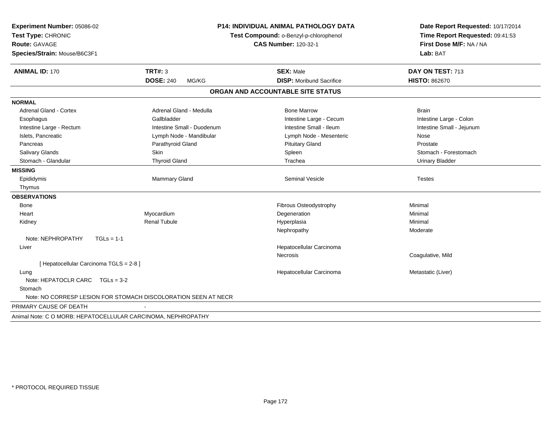| Experiment Number: 05086-02<br>Test Type: CHRONIC<br><b>Route: GAVAGE</b><br>Species/Strain: Mouse/B6C3F1 |                                                                | <b>P14: INDIVIDUAL ANIMAL PATHOLOGY DATA</b><br>Test Compound: o-Benzyl-p-chlorophenol<br><b>CAS Number: 120-32-1</b> | Date Report Requested: 10/17/2014<br>Time Report Requested: 09:41:53<br>First Dose M/F: NA / NA<br>Lab: BAT |  |
|-----------------------------------------------------------------------------------------------------------|----------------------------------------------------------------|-----------------------------------------------------------------------------------------------------------------------|-------------------------------------------------------------------------------------------------------------|--|
| <b>ANIMAL ID: 170</b>                                                                                     | TRT#: 3                                                        | <b>SEX: Male</b>                                                                                                      | DAY ON TEST: 713                                                                                            |  |
|                                                                                                           | <b>DOSE: 240</b><br>MG/KG                                      | <b>DISP: Moribund Sacrifice</b>                                                                                       | <b>HISTO: 862670</b>                                                                                        |  |
|                                                                                                           |                                                                | ORGAN AND ACCOUNTABLE SITE STATUS                                                                                     |                                                                                                             |  |
| <b>NORMAL</b>                                                                                             |                                                                |                                                                                                                       |                                                                                                             |  |
| Adrenal Gland - Cortex                                                                                    | Adrenal Gland - Medulla                                        | <b>Bone Marrow</b>                                                                                                    | <b>Brain</b>                                                                                                |  |
| Esophagus                                                                                                 | Gallbladder                                                    | Intestine Large - Cecum                                                                                               | Intestine Large - Colon                                                                                     |  |
| Intestine Large - Rectum                                                                                  | Intestine Small - Duodenum                                     | Intestine Small - Ileum                                                                                               | Intestine Small - Jejunum                                                                                   |  |
| Islets, Pancreatic                                                                                        | Lymph Node - Mandibular                                        | Lymph Node - Mesenteric                                                                                               | Nose                                                                                                        |  |
| Pancreas                                                                                                  | Parathyroid Gland                                              | <b>Pituitary Gland</b>                                                                                                | Prostate                                                                                                    |  |
| Salivary Glands                                                                                           | <b>Skin</b>                                                    | Spleen                                                                                                                | Stomach - Forestomach                                                                                       |  |
| Stomach - Glandular                                                                                       | <b>Thyroid Gland</b>                                           | Trachea                                                                                                               | <b>Urinary Bladder</b>                                                                                      |  |
| <b>MISSING</b>                                                                                            |                                                                |                                                                                                                       |                                                                                                             |  |
| Epididymis                                                                                                | <b>Mammary Gland</b>                                           | <b>Seminal Vesicle</b>                                                                                                | <b>Testes</b>                                                                                               |  |
| Thymus                                                                                                    |                                                                |                                                                                                                       |                                                                                                             |  |
| <b>OBSERVATIONS</b>                                                                                       |                                                                |                                                                                                                       |                                                                                                             |  |
| Bone                                                                                                      |                                                                | Fibrous Osteodystrophy                                                                                                | Minimal                                                                                                     |  |
| Heart                                                                                                     | Myocardium                                                     | Degeneration                                                                                                          | Minimal                                                                                                     |  |
| Kidney                                                                                                    | <b>Renal Tubule</b>                                            | Hyperplasia                                                                                                           | Minimal                                                                                                     |  |
|                                                                                                           |                                                                | Nephropathy                                                                                                           | Moderate                                                                                                    |  |
| Note: NEPHROPATHY<br>$TGLs = 1-1$                                                                         |                                                                |                                                                                                                       |                                                                                                             |  |
| Liver                                                                                                     |                                                                | Hepatocellular Carcinoma                                                                                              |                                                                                                             |  |
|                                                                                                           |                                                                | <b>Necrosis</b>                                                                                                       | Coagulative, Mild                                                                                           |  |
| [ Hepatocellular Carcinoma TGLS = 2-8 ]                                                                   |                                                                |                                                                                                                       |                                                                                                             |  |
| Lung                                                                                                      |                                                                | Hepatocellular Carcinoma                                                                                              | Metastatic (Liver)                                                                                          |  |
| Note: HEPATOCLR CARC TGLs = 3-2                                                                           |                                                                |                                                                                                                       |                                                                                                             |  |
| Stomach                                                                                                   |                                                                |                                                                                                                       |                                                                                                             |  |
|                                                                                                           | Note: NO CORRESP LESION FOR STOMACH DISCOLORATION SEEN AT NECR |                                                                                                                       |                                                                                                             |  |
| PRIMARY CAUSE OF DEATH                                                                                    |                                                                |                                                                                                                       |                                                                                                             |  |
| Animal Note: C O MORB: HEPATOCELLULAR CARCINOMA, NEPHROPATHY                                              |                                                                |                                                                                                                       |                                                                                                             |  |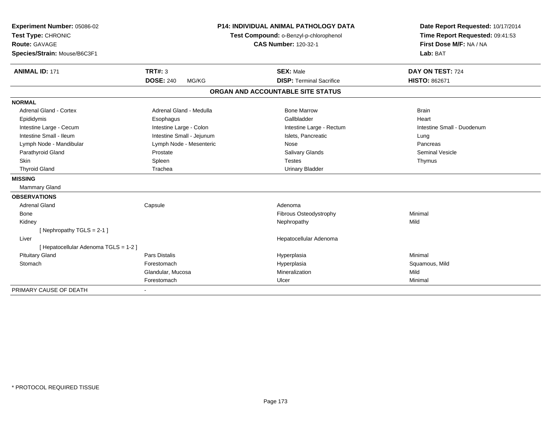| Experiment Number: 05086-02           | <b>P14: INDIVIDUAL ANIMAL PATHOLOGY DATA</b><br>Test Compound: o-Benzyl-p-chlorophenol<br><b>CAS Number: 120-32-1</b> |                                   | Date Report Requested: 10/17/2014                          |  |
|---------------------------------------|-----------------------------------------------------------------------------------------------------------------------|-----------------------------------|------------------------------------------------------------|--|
| Test Type: CHRONIC                    |                                                                                                                       |                                   | Time Report Requested: 09:41:53<br>First Dose M/F: NA / NA |  |
| Route: GAVAGE                         |                                                                                                                       |                                   |                                                            |  |
| Species/Strain: Mouse/B6C3F1          |                                                                                                                       |                                   | Lab: BAT                                                   |  |
| <b>ANIMAL ID: 171</b>                 | <b>TRT#: 3</b>                                                                                                        | <b>SEX: Male</b>                  | DAY ON TEST: 724                                           |  |
|                                       | <b>DOSE: 240</b><br>MG/KG                                                                                             | <b>DISP: Terminal Sacrifice</b>   | <b>HISTO: 862671</b>                                       |  |
|                                       |                                                                                                                       | ORGAN AND ACCOUNTABLE SITE STATUS |                                                            |  |
| <b>NORMAL</b>                         |                                                                                                                       |                                   |                                                            |  |
| <b>Adrenal Gland - Cortex</b>         | Adrenal Gland - Medulla                                                                                               | <b>Bone Marrow</b>                | <b>Brain</b>                                               |  |
| Epididymis                            | Esophagus                                                                                                             | Gallbladder                       | Heart                                                      |  |
| Intestine Large - Cecum               | Intestine Large - Colon                                                                                               | Intestine Large - Rectum          | Intestine Small - Duodenum                                 |  |
| Intestine Small - Ileum               | Intestine Small - Jejunum                                                                                             | Islets, Pancreatic                | Lung                                                       |  |
| Lymph Node - Mandibular               | Lymph Node - Mesenteric                                                                                               | Nose                              | Pancreas                                                   |  |
| Parathyroid Gland                     | Prostate                                                                                                              | <b>Salivary Glands</b>            | <b>Seminal Vesicle</b>                                     |  |
| Skin                                  | Spleen                                                                                                                | <b>Testes</b>                     | Thymus                                                     |  |
| <b>Thyroid Gland</b>                  | Trachea                                                                                                               | <b>Urinary Bladder</b>            |                                                            |  |
| <b>MISSING</b>                        |                                                                                                                       |                                   |                                                            |  |
| Mammary Gland                         |                                                                                                                       |                                   |                                                            |  |
| <b>OBSERVATIONS</b>                   |                                                                                                                       |                                   |                                                            |  |
| <b>Adrenal Gland</b>                  | Capsule                                                                                                               | Adenoma                           |                                                            |  |
| Bone                                  |                                                                                                                       | Fibrous Osteodystrophy            | Minimal                                                    |  |
| Kidney                                |                                                                                                                       | Nephropathy                       | Mild                                                       |  |
| [Nephropathy TGLS = 2-1]              |                                                                                                                       |                                   |                                                            |  |
| Liver                                 |                                                                                                                       | Hepatocellular Adenoma            |                                                            |  |
| [ Hepatocellular Adenoma TGLS = 1-2 ] |                                                                                                                       |                                   |                                                            |  |
| <b>Pituitary Gland</b>                | <b>Pars Distalis</b>                                                                                                  | Hyperplasia                       | Minimal                                                    |  |
| Stomach                               | Forestomach                                                                                                           | Hyperplasia                       | Squamous, Mild                                             |  |
|                                       | Glandular, Mucosa                                                                                                     | Mineralization                    | Mild                                                       |  |
|                                       | Forestomach                                                                                                           | Ulcer                             | Minimal                                                    |  |
| PRIMARY CAUSE OF DEATH                |                                                                                                                       |                                   |                                                            |  |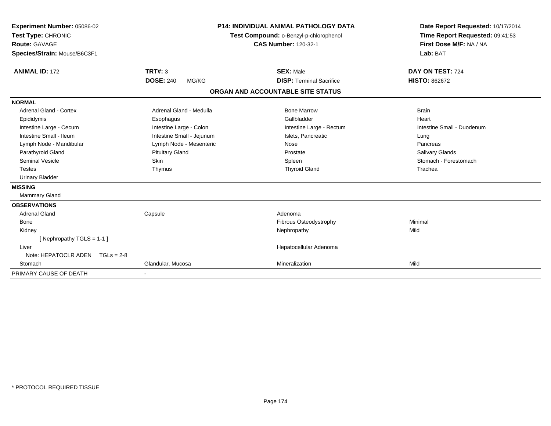| Experiment Number: 05086-02<br>Test Type: CHRONIC<br><b>Route: GAVAGE</b><br>Species/Strain: Mouse/B6C3F1 |                           | <b>P14: INDIVIDUAL ANIMAL PATHOLOGY DATA</b><br>Test Compound: o-Benzyl-p-chlorophenol<br><b>CAS Number: 120-32-1</b> | Date Report Requested: 10/17/2014<br>Time Report Requested: 09:41:53<br>First Dose M/F: NA / NA<br>Lab: BAT |  |
|-----------------------------------------------------------------------------------------------------------|---------------------------|-----------------------------------------------------------------------------------------------------------------------|-------------------------------------------------------------------------------------------------------------|--|
| <b>ANIMAL ID: 172</b>                                                                                     | TRT#: 3                   | <b>SEX: Male</b>                                                                                                      | DAY ON TEST: 724                                                                                            |  |
|                                                                                                           | <b>DOSE: 240</b><br>MG/KG | <b>DISP: Terminal Sacrifice</b>                                                                                       | <b>HISTO: 862672</b>                                                                                        |  |
|                                                                                                           |                           | ORGAN AND ACCOUNTABLE SITE STATUS                                                                                     |                                                                                                             |  |
| <b>NORMAL</b>                                                                                             |                           |                                                                                                                       |                                                                                                             |  |
| <b>Adrenal Gland - Cortex</b>                                                                             | Adrenal Gland - Medulla   | <b>Bone Marrow</b>                                                                                                    | <b>Brain</b>                                                                                                |  |
| Epididymis                                                                                                | Esophagus                 | Gallbladder                                                                                                           | Heart                                                                                                       |  |
| Intestine Large - Cecum                                                                                   | Intestine Large - Colon   | Intestine Large - Rectum                                                                                              | Intestine Small - Duodenum                                                                                  |  |
| Intestine Small - Ileum                                                                                   | Intestine Small - Jejunum | Islets. Pancreatic                                                                                                    | Lung                                                                                                        |  |
| Lymph Node - Mandibular                                                                                   | Lymph Node - Mesenteric   | Nose                                                                                                                  | Pancreas                                                                                                    |  |
| Parathyroid Gland                                                                                         | <b>Pituitary Gland</b>    | Prostate                                                                                                              | <b>Salivary Glands</b>                                                                                      |  |
| <b>Seminal Vesicle</b>                                                                                    | Skin                      | Spleen                                                                                                                | Stomach - Forestomach                                                                                       |  |
| <b>Testes</b>                                                                                             | Thymus                    | <b>Thyroid Gland</b>                                                                                                  | Trachea                                                                                                     |  |
| <b>Urinary Bladder</b>                                                                                    |                           |                                                                                                                       |                                                                                                             |  |
| <b>MISSING</b>                                                                                            |                           |                                                                                                                       |                                                                                                             |  |
| <b>Mammary Gland</b>                                                                                      |                           |                                                                                                                       |                                                                                                             |  |
| <b>OBSERVATIONS</b>                                                                                       |                           |                                                                                                                       |                                                                                                             |  |
| <b>Adrenal Gland</b>                                                                                      | Capsule                   | Adenoma                                                                                                               |                                                                                                             |  |
| <b>Bone</b>                                                                                               |                           | Fibrous Osteodystrophy                                                                                                | Minimal                                                                                                     |  |
| Kidney                                                                                                    |                           | Nephropathy                                                                                                           | Mild                                                                                                        |  |
| [Nephropathy TGLS = $1-1$ ]                                                                               |                           |                                                                                                                       |                                                                                                             |  |
| Liver                                                                                                     |                           | Hepatocellular Adenoma                                                                                                |                                                                                                             |  |
| Note: HEPATOCLR ADEN $TGLs = 2-8$                                                                         |                           |                                                                                                                       |                                                                                                             |  |
| Stomach                                                                                                   | Glandular, Mucosa         | Mineralization                                                                                                        | Mild                                                                                                        |  |
| PRIMARY CAUSE OF DEATH                                                                                    |                           |                                                                                                                       |                                                                                                             |  |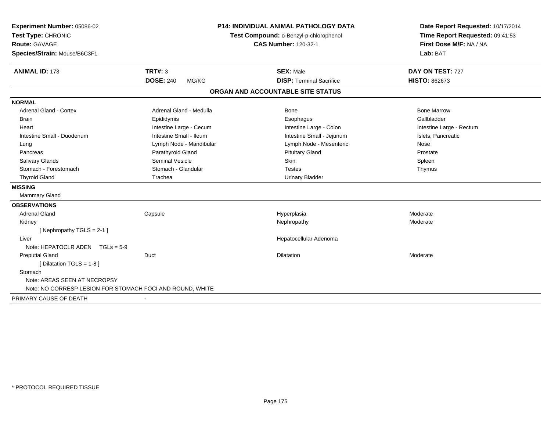| Experiment Number: 05086-02                               |                           | <b>P14: INDIVIDUAL ANIMAL PATHOLOGY DATA</b> | Date Report Requested: 10/17/2014                          |  |
|-----------------------------------------------------------|---------------------------|----------------------------------------------|------------------------------------------------------------|--|
| Test Type: CHRONIC                                        |                           | Test Compound: o-Benzyl-p-chlorophenol       | Time Report Requested: 09:41:53<br>First Dose M/F: NA / NA |  |
| Route: GAVAGE                                             |                           | <b>CAS Number: 120-32-1</b>                  |                                                            |  |
| Species/Strain: Mouse/B6C3F1                              |                           |                                              | Lab: BAT                                                   |  |
| <b>ANIMAL ID: 173</b>                                     | <b>TRT#: 3</b>            | <b>SEX: Male</b>                             | DAY ON TEST: 727                                           |  |
|                                                           | <b>DOSE: 240</b><br>MG/KG | <b>DISP: Terminal Sacrifice</b>              | <b>HISTO: 862673</b>                                       |  |
|                                                           |                           | ORGAN AND ACCOUNTABLE SITE STATUS            |                                                            |  |
| <b>NORMAL</b>                                             |                           |                                              |                                                            |  |
| <b>Adrenal Gland - Cortex</b>                             | Adrenal Gland - Medulla   | Bone                                         | <b>Bone Marrow</b>                                         |  |
| <b>Brain</b>                                              | Epididymis                | Esophagus                                    | Gallbladder                                                |  |
| Heart                                                     | Intestine Large - Cecum   | Intestine Large - Colon                      | Intestine Large - Rectum                                   |  |
| Intestine Small - Duodenum                                | Intestine Small - Ileum   | Intestine Small - Jejunum                    | Islets, Pancreatic                                         |  |
| Lung                                                      | Lymph Node - Mandibular   | Lymph Node - Mesenteric                      | Nose                                                       |  |
| Pancreas                                                  | Parathyroid Gland         | <b>Pituitary Gland</b>                       | Prostate                                                   |  |
| <b>Salivary Glands</b>                                    | <b>Seminal Vesicle</b>    | Skin                                         | Spleen                                                     |  |
| Stomach - Forestomach                                     | Stomach - Glandular       | <b>Testes</b>                                | Thymus                                                     |  |
| <b>Thyroid Gland</b>                                      | Trachea                   | <b>Urinary Bladder</b>                       |                                                            |  |
| <b>MISSING</b>                                            |                           |                                              |                                                            |  |
| Mammary Gland                                             |                           |                                              |                                                            |  |
| <b>OBSERVATIONS</b>                                       |                           |                                              |                                                            |  |
| <b>Adrenal Gland</b>                                      | Capsule                   | Hyperplasia                                  | Moderate                                                   |  |
| Kidney                                                    |                           | Nephropathy                                  | Moderate                                                   |  |
| [Nephropathy TGLS = 2-1]                                  |                           |                                              |                                                            |  |
| Liver                                                     |                           | Hepatocellular Adenoma                       |                                                            |  |
| Note: HEPATOCLR ADEN $TGLs = 5-9$                         |                           |                                              |                                                            |  |
| <b>Preputial Gland</b>                                    | Duct                      | <b>Dilatation</b>                            | Moderate                                                   |  |
| [ Dilatation TGLS = 1-8 ]                                 |                           |                                              |                                                            |  |
| Stomach                                                   |                           |                                              |                                                            |  |
| Note: AREAS SEEN AT NECROPSY                              |                           |                                              |                                                            |  |
| Note: NO CORRESP LESION FOR STOMACH FOCI AND ROUND, WHITE |                           |                                              |                                                            |  |
| PRIMARY CAUSE OF DEATH                                    |                           |                                              |                                                            |  |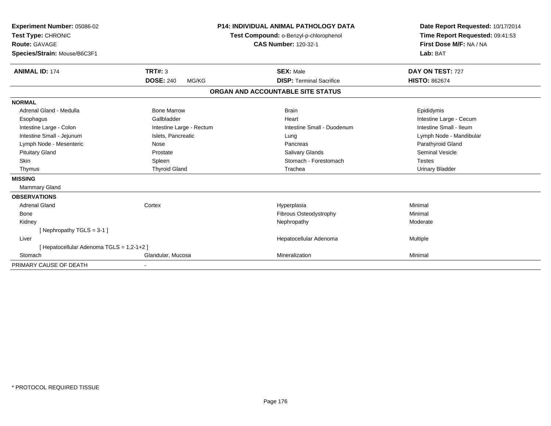| Experiment Number: 05086-02<br>Test Type: CHRONIC<br><b>Route: GAVAGE</b><br>Species/Strain: Mouse/B6C3F1 |                                             | <b>P14: INDIVIDUAL ANIMAL PATHOLOGY DATA</b><br>Test Compound: o-Benzyl-p-chlorophenol<br><b>CAS Number: 120-32-1</b> | Date Report Requested: 10/17/2014<br>Time Report Requested: 09:41:53<br>First Dose M/F: NA / NA<br>Lab: BAT |
|-----------------------------------------------------------------------------------------------------------|---------------------------------------------|-----------------------------------------------------------------------------------------------------------------------|-------------------------------------------------------------------------------------------------------------|
| <b>ANIMAL ID: 174</b>                                                                                     | <b>TRT#: 3</b><br><b>DOSE: 240</b><br>MG/KG | <b>SEX: Male</b><br><b>DISP: Terminal Sacrifice</b>                                                                   | DAY ON TEST: 727<br><b>HISTO: 862674</b>                                                                    |
|                                                                                                           |                                             | ORGAN AND ACCOUNTABLE SITE STATUS                                                                                     |                                                                                                             |
|                                                                                                           |                                             |                                                                                                                       |                                                                                                             |
| <b>NORMAL</b>                                                                                             |                                             |                                                                                                                       |                                                                                                             |
| Adrenal Gland - Medulla                                                                                   | <b>Bone Marrow</b>                          | <b>Brain</b>                                                                                                          | Epididymis                                                                                                  |
| Esophagus                                                                                                 | Gallbladder                                 | Heart                                                                                                                 | Intestine Large - Cecum                                                                                     |
| Intestine Large - Colon                                                                                   | Intestine Large - Rectum                    | Intestine Small - Duodenum                                                                                            | Intestine Small - Ileum                                                                                     |
| Intestine Small - Jejunum                                                                                 | Islets, Pancreatic                          | Lung                                                                                                                  | Lymph Node - Mandibular                                                                                     |
| Lymph Node - Mesenteric                                                                                   | Nose                                        | Pancreas                                                                                                              | Parathyroid Gland                                                                                           |
| <b>Pituitary Gland</b>                                                                                    | Prostate                                    | <b>Salivary Glands</b>                                                                                                | Seminal Vesicle                                                                                             |
| <b>Skin</b>                                                                                               | Spleen                                      | Stomach - Forestomach                                                                                                 | <b>Testes</b>                                                                                               |
| Thymus                                                                                                    | <b>Thyroid Gland</b>                        | Trachea                                                                                                               | <b>Urinary Bladder</b>                                                                                      |
| <b>MISSING</b>                                                                                            |                                             |                                                                                                                       |                                                                                                             |
| Mammary Gland                                                                                             |                                             |                                                                                                                       |                                                                                                             |
| <b>OBSERVATIONS</b>                                                                                       |                                             |                                                                                                                       |                                                                                                             |
| <b>Adrenal Gland</b>                                                                                      | Cortex                                      | Hyperplasia                                                                                                           | Minimal                                                                                                     |
| Bone                                                                                                      |                                             | Fibrous Osteodystrophy                                                                                                | Minimal                                                                                                     |
| Kidney                                                                                                    |                                             | Nephropathy                                                                                                           | Moderate                                                                                                    |
| [Nephropathy TGLS = $3-1$ ]                                                                               |                                             |                                                                                                                       |                                                                                                             |
| Liver                                                                                                     |                                             | Hepatocellular Adenoma                                                                                                | Multiple                                                                                                    |
| [ Hepatocellular Adenoma TGLS = 1,2-1+2 ]                                                                 |                                             |                                                                                                                       |                                                                                                             |
| Stomach                                                                                                   | Glandular, Mucosa                           | Mineralization                                                                                                        | Minimal                                                                                                     |
| PRIMARY CAUSE OF DEATH                                                                                    |                                             |                                                                                                                       |                                                                                                             |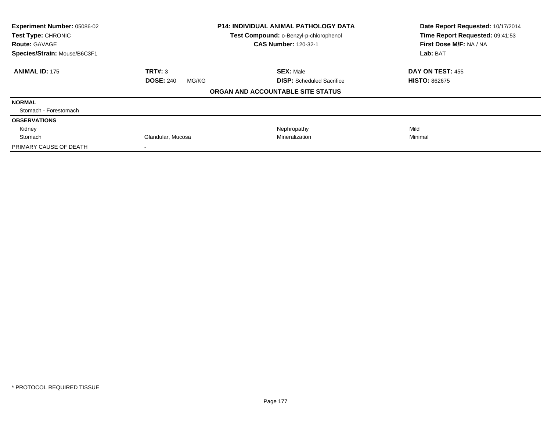| Experiment Number: 05086-02  | <b>P14: INDIVIDUAL ANIMAL PATHOLOGY DATA</b> |                                        | Date Report Requested: 10/17/2014 |  |
|------------------------------|----------------------------------------------|----------------------------------------|-----------------------------------|--|
| Test Type: CHRONIC           |                                              | Test Compound: o-Benzyl-p-chlorophenol | Time Report Requested: 09:41:53   |  |
| <b>Route: GAVAGE</b>         |                                              | <b>CAS Number: 120-32-1</b>            | First Dose M/F: NA / NA           |  |
| Species/Strain: Mouse/B6C3F1 |                                              |                                        | Lab: BAT                          |  |
| <b>ANIMAL ID: 175</b>        | TRT#: 3                                      | <b>SEX: Male</b>                       | DAY ON TEST: 455                  |  |
|                              | <b>DOSE: 240</b><br>MG/KG                    | <b>DISP:</b> Scheduled Sacrifice       | <b>HISTO: 862675</b>              |  |
|                              |                                              | ORGAN AND ACCOUNTABLE SITE STATUS      |                                   |  |
| <b>NORMAL</b>                |                                              |                                        |                                   |  |
| Stomach - Forestomach        |                                              |                                        |                                   |  |
| <b>OBSERVATIONS</b>          |                                              |                                        |                                   |  |
| Kidney                       |                                              | Nephropathy                            | Mild                              |  |
| Stomach                      | Glandular, Mucosa                            | Mineralization                         | Minimal                           |  |
| PRIMARY CAUSE OF DEATH       |                                              |                                        |                                   |  |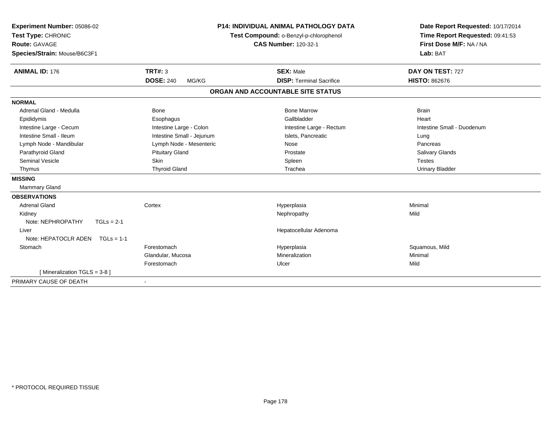| Experiment Number: 05086-02          |                           | <b>P14: INDIVIDUAL ANIMAL PATHOLOGY DATA</b> | Date Report Requested: 10/17/2014 |  |
|--------------------------------------|---------------------------|----------------------------------------------|-----------------------------------|--|
| Test Type: CHRONIC                   |                           | Test Compound: o-Benzyl-p-chlorophenol       | Time Report Requested: 09:41:53   |  |
| <b>Route: GAVAGE</b>                 |                           | <b>CAS Number: 120-32-1</b>                  | First Dose M/F: NA / NA           |  |
| Species/Strain: Mouse/B6C3F1         |                           |                                              | Lab: BAT                          |  |
| <b>ANIMAL ID: 176</b>                | TRT#: 3                   | <b>SEX: Male</b>                             | DAY ON TEST: 727                  |  |
|                                      | <b>DOSE: 240</b><br>MG/KG | <b>DISP: Terminal Sacrifice</b>              | <b>HISTO: 862676</b>              |  |
|                                      |                           | ORGAN AND ACCOUNTABLE SITE STATUS            |                                   |  |
| <b>NORMAL</b>                        |                           |                                              |                                   |  |
| Adrenal Gland - Medulla              | <b>Bone</b>               | <b>Bone Marrow</b>                           | <b>Brain</b>                      |  |
| Epididymis                           | Esophagus                 | Gallbladder                                  | Heart                             |  |
| Intestine Large - Cecum              | Intestine Large - Colon   | Intestine Large - Rectum                     | Intestine Small - Duodenum        |  |
| Intestine Small - Ileum              | Intestine Small - Jejunum | Islets, Pancreatic                           | Lung                              |  |
| Lymph Node - Mandibular              | Lymph Node - Mesenteric   | Nose                                         | Pancreas                          |  |
| Parathyroid Gland                    | <b>Pituitary Gland</b>    | Prostate                                     | Salivary Glands                   |  |
| Seminal Vesicle                      | <b>Skin</b>               | Spleen                                       | <b>Testes</b>                     |  |
| Thymus                               | <b>Thyroid Gland</b>      | Trachea                                      | <b>Urinary Bladder</b>            |  |
| <b>MISSING</b>                       |                           |                                              |                                   |  |
| <b>Mammary Gland</b>                 |                           |                                              |                                   |  |
| <b>OBSERVATIONS</b>                  |                           |                                              |                                   |  |
| <b>Adrenal Gland</b>                 | Cortex                    | Hyperplasia                                  | Minimal                           |  |
| Kidney                               |                           | Nephropathy                                  | Mild                              |  |
| Note: NEPHROPATHY<br>$TGLs = 2-1$    |                           |                                              |                                   |  |
| Liver                                |                           | Hepatocellular Adenoma                       |                                   |  |
| Note: HEPATOCLR ADEN<br>$TGLS = 1-1$ |                           |                                              |                                   |  |
| Stomach                              | Forestomach               | Hyperplasia                                  | Squamous, Mild                    |  |
|                                      | Glandular, Mucosa         | Mineralization                               | Minimal                           |  |
|                                      | Forestomach               | Ulcer                                        | Mild                              |  |
| [ Mineralization TGLS = 3-8 ]        |                           |                                              |                                   |  |
| PRIMARY CAUSE OF DEATH               |                           |                                              |                                   |  |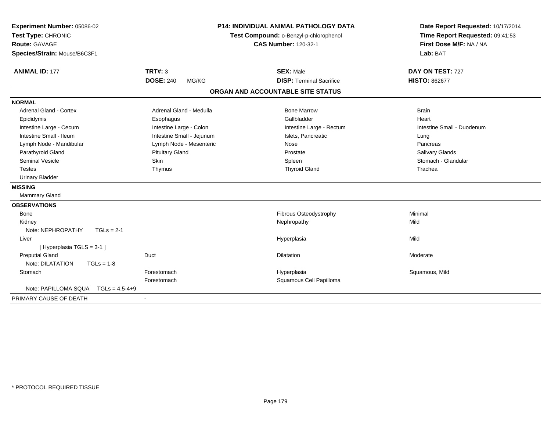| Experiment Number: 05086-02<br>Test Type: CHRONIC<br>Route: GAVAGE<br>Species/Strain: Mouse/B6C3F1 |                           | <b>P14: INDIVIDUAL ANIMAL PATHOLOGY DATA</b><br>Test Compound: o-Benzyl-p-chlorophenol<br><b>CAS Number: 120-32-1</b> | Date Report Requested: 10/17/2014<br>Time Report Requested: 09:41:53<br>First Dose M/F: NA / NA<br>Lab: BAT |  |
|----------------------------------------------------------------------------------------------------|---------------------------|-----------------------------------------------------------------------------------------------------------------------|-------------------------------------------------------------------------------------------------------------|--|
| <b>ANIMAL ID: 177</b>                                                                              | <b>TRT#: 3</b>            | <b>SEX: Male</b>                                                                                                      | DAY ON TEST: 727                                                                                            |  |
|                                                                                                    | <b>DOSE: 240</b><br>MG/KG | <b>DISP: Terminal Sacrifice</b>                                                                                       | <b>HISTO: 862677</b>                                                                                        |  |
|                                                                                                    |                           | ORGAN AND ACCOUNTABLE SITE STATUS                                                                                     |                                                                                                             |  |
| <b>NORMAL</b>                                                                                      |                           |                                                                                                                       |                                                                                                             |  |
| Adrenal Gland - Cortex                                                                             | Adrenal Gland - Medulla   | <b>Bone Marrow</b>                                                                                                    | <b>Brain</b>                                                                                                |  |
| Epididymis                                                                                         | Esophagus                 | Gallbladder                                                                                                           | Heart                                                                                                       |  |
| Intestine Large - Cecum                                                                            | Intestine Large - Colon   | Intestine Large - Rectum                                                                                              | Intestine Small - Duodenum                                                                                  |  |
| Intestine Small - Ileum                                                                            | Intestine Small - Jejunum | Islets, Pancreatic                                                                                                    | Lung                                                                                                        |  |
| Lymph Node - Mandibular                                                                            | Lymph Node - Mesenteric   | Nose                                                                                                                  | Pancreas                                                                                                    |  |
| Parathyroid Gland                                                                                  | <b>Pituitary Gland</b>    | Prostate                                                                                                              | Salivary Glands                                                                                             |  |
| <b>Seminal Vesicle</b>                                                                             | Skin                      | Spleen                                                                                                                | Stomach - Glandular                                                                                         |  |
| <b>Testes</b>                                                                                      | Thymus                    | <b>Thyroid Gland</b>                                                                                                  | Trachea                                                                                                     |  |
| <b>Urinary Bladder</b>                                                                             |                           |                                                                                                                       |                                                                                                             |  |
| <b>MISSING</b>                                                                                     |                           |                                                                                                                       |                                                                                                             |  |
| Mammary Gland                                                                                      |                           |                                                                                                                       |                                                                                                             |  |
| <b>OBSERVATIONS</b>                                                                                |                           |                                                                                                                       |                                                                                                             |  |
| <b>Bone</b>                                                                                        |                           | Fibrous Osteodystrophy                                                                                                | Minimal                                                                                                     |  |
| Kidney                                                                                             |                           | Nephropathy                                                                                                           | Mild                                                                                                        |  |
| Note: NEPHROPATHY<br>$TGLs = 2-1$                                                                  |                           |                                                                                                                       |                                                                                                             |  |
| Liver                                                                                              |                           | Hyperplasia                                                                                                           | Mild                                                                                                        |  |
| [ Hyperplasia TGLS = 3-1 ]                                                                         |                           |                                                                                                                       |                                                                                                             |  |
| <b>Preputial Gland</b>                                                                             | Duct                      | <b>Dilatation</b>                                                                                                     | Moderate                                                                                                    |  |
| Note: DILATATION<br>$TGLs = 1-8$                                                                   |                           |                                                                                                                       |                                                                                                             |  |
| Stomach                                                                                            | Forestomach               | Hyperplasia                                                                                                           | Squamous, Mild                                                                                              |  |
|                                                                                                    | Forestomach               | Squamous Cell Papilloma                                                                                               |                                                                                                             |  |
| Note: PAPILLOMA SQUA<br>$TGLs = 4.5 - 4 + 9$                                                       |                           |                                                                                                                       |                                                                                                             |  |
| PRIMARY CAUSE OF DEATH                                                                             |                           |                                                                                                                       |                                                                                                             |  |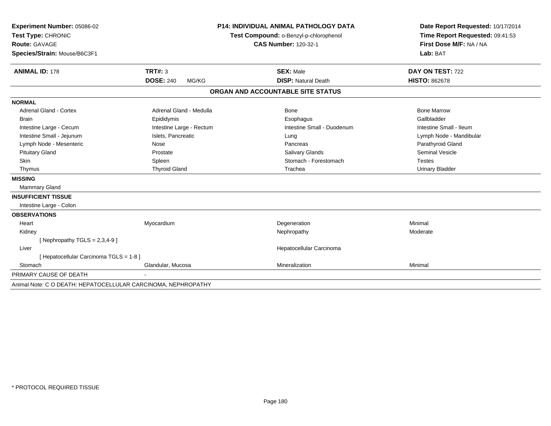| Experiment Number: 05086-02                                   | <b>P14: INDIVIDUAL ANIMAL PATHOLOGY DATA</b> |  | Date Report Requested: 10/17/2014      |                                 |
|---------------------------------------------------------------|----------------------------------------------|--|----------------------------------------|---------------------------------|
| Test Type: CHRONIC                                            |                                              |  | Test Compound: o-Benzyl-p-chlorophenol | Time Report Requested: 09:41:53 |
| <b>Route: GAVAGE</b>                                          |                                              |  | <b>CAS Number: 120-32-1</b>            | First Dose M/F: NA / NA         |
| Species/Strain: Mouse/B6C3F1                                  |                                              |  |                                        | Lab: BAT                        |
|                                                               |                                              |  |                                        |                                 |
| <b>ANIMAL ID: 178</b>                                         | TRT#: 3                                      |  | <b>SEX: Male</b>                       | DAY ON TEST: 722                |
|                                                               | <b>DOSE: 240</b><br>MG/KG                    |  | <b>DISP: Natural Death</b>             | <b>HISTO: 862678</b>            |
|                                                               |                                              |  | ORGAN AND ACCOUNTABLE SITE STATUS      |                                 |
| <b>NORMAL</b>                                                 |                                              |  |                                        |                                 |
| Adrenal Gland - Cortex                                        | Adrenal Gland - Medulla                      |  | Bone                                   | <b>Bone Marrow</b>              |
| <b>Brain</b>                                                  | Epididymis                                   |  | Esophagus                              | Gallbladder                     |
| Intestine Large - Cecum                                       | Intestine Large - Rectum                     |  | Intestine Small - Duodenum             | Intestine Small - Ileum         |
| Intestine Small - Jejunum                                     | Islets, Pancreatic                           |  | Lung                                   | Lymph Node - Mandibular         |
| Lymph Node - Mesenteric                                       | Nose                                         |  | Pancreas                               | Parathyroid Gland               |
| <b>Pituitary Gland</b>                                        | Prostate                                     |  | Salivary Glands                        | <b>Seminal Vesicle</b>          |
| <b>Skin</b>                                                   | Spleen                                       |  | Stomach - Forestomach                  | <b>Testes</b>                   |
| Thymus                                                        | <b>Thyroid Gland</b>                         |  | Trachea                                | <b>Urinary Bladder</b>          |
| <b>MISSING</b>                                                |                                              |  |                                        |                                 |
| <b>Mammary Gland</b>                                          |                                              |  |                                        |                                 |
| <b>INSUFFICIENT TISSUE</b>                                    |                                              |  |                                        |                                 |
| Intestine Large - Colon                                       |                                              |  |                                        |                                 |
| <b>OBSERVATIONS</b>                                           |                                              |  |                                        |                                 |
| Heart                                                         | Myocardium                                   |  | Degeneration                           | Minimal                         |
| Kidney                                                        |                                              |  | Nephropathy                            | Moderate                        |
| [Nephropathy TGLS = $2,3,4-9$ ]                               |                                              |  |                                        |                                 |
| Liver                                                         |                                              |  | Hepatocellular Carcinoma               |                                 |
| [Hepatocellular Carcinoma TGLS = 1-8]                         |                                              |  |                                        |                                 |
| Stomach                                                       | Glandular, Mucosa                            |  | Mineralization                         | Minimal                         |
| PRIMARY CAUSE OF DEATH                                        |                                              |  |                                        |                                 |
| Animal Note: C O DEATH: HEPATOCELLULAR CARCINOMA, NEPHROPATHY |                                              |  |                                        |                                 |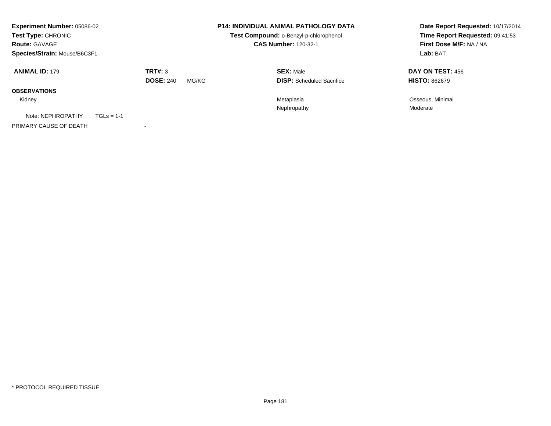| <b>Experiment Number: 05086-02</b><br>Test Type: CHRONIC<br><b>Route: GAVAGE</b><br>Species/Strain: Mouse/B6C3F1 |              |                             | <b>P14: INDIVIDUAL ANIMAL PATHOLOGY DATA</b><br>Test Compound: o-Benzyl-p-chlorophenol<br><b>CAS Number: 120-32-1</b> | Date Report Requested: 10/17/2014<br>Time Report Requested: 09:41:53<br><b>First Dose M/F: NA / NA</b><br>Lab: BAT |                                                 |
|------------------------------------------------------------------------------------------------------------------|--------------|-----------------------------|-----------------------------------------------------------------------------------------------------------------------|--------------------------------------------------------------------------------------------------------------------|-------------------------------------------------|
| <b>ANIMAL ID: 179</b>                                                                                            |              | TRT#: 3<br><b>DOSE: 240</b> | MG/KG                                                                                                                 | <b>SEX: Male</b><br><b>DISP:</b> Scheduled Sacrifice                                                               | <b>DAY ON TEST: 456</b><br><b>HISTO: 862679</b> |
| <b>OBSERVATIONS</b>                                                                                              |              |                             |                                                                                                                       |                                                                                                                    |                                                 |
| Kidney                                                                                                           |              |                             |                                                                                                                       | Metaplasia<br>Nephropathy                                                                                          | Osseous, Minimal<br>Moderate                    |
| Note: NEPHROPATHY                                                                                                | $TGLS = 1-1$ |                             |                                                                                                                       |                                                                                                                    |                                                 |
| PRIMARY CAUSE OF DEATH                                                                                           |              |                             |                                                                                                                       |                                                                                                                    |                                                 |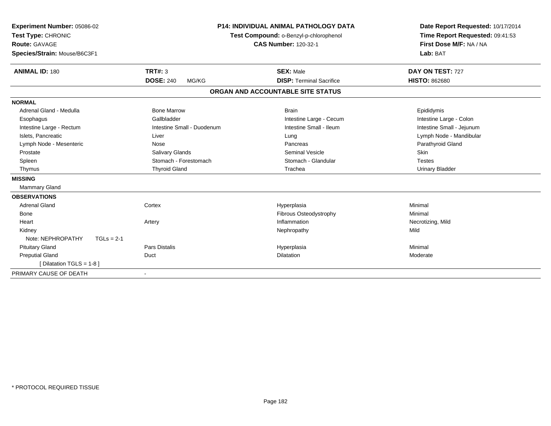| Experiment Number: 05086-02<br>Test Type: CHRONIC<br><b>Route: GAVAGE</b><br>Species/Strain: Mouse/B6C3F1 |                            | P14: INDIVIDUAL ANIMAL PATHOLOGY DATA<br>Test Compound: o-Benzyl-p-chlorophenol<br><b>CAS Number: 120-32-1</b> | Date Report Requested: 10/17/2014<br>Time Report Requested: 09:41:53<br>First Dose M/F: NA / NA<br>Lab: BAT |
|-----------------------------------------------------------------------------------------------------------|----------------------------|----------------------------------------------------------------------------------------------------------------|-------------------------------------------------------------------------------------------------------------|
| <b>ANIMAL ID: 180</b>                                                                                     | TRT#: 3                    | <b>SEX: Male</b>                                                                                               | DAY ON TEST: 727                                                                                            |
|                                                                                                           | <b>DOSE: 240</b><br>MG/KG  | <b>DISP: Terminal Sacrifice</b>                                                                                | <b>HISTO: 862680</b>                                                                                        |
|                                                                                                           |                            | ORGAN AND ACCOUNTABLE SITE STATUS                                                                              |                                                                                                             |
| <b>NORMAL</b>                                                                                             |                            |                                                                                                                |                                                                                                             |
| Adrenal Gland - Medulla                                                                                   | <b>Bone Marrow</b>         | <b>Brain</b>                                                                                                   | Epididymis                                                                                                  |
| Esophagus                                                                                                 | Gallbladder                | Intestine Large - Cecum                                                                                        | Intestine Large - Colon                                                                                     |
| Intestine Large - Rectum                                                                                  | Intestine Small - Duodenum | Intestine Small - Ileum                                                                                        | Intestine Small - Jejunum                                                                                   |
| Islets, Pancreatic                                                                                        | Liver                      | Lung                                                                                                           | Lymph Node - Mandibular                                                                                     |
| Lymph Node - Mesenteric                                                                                   | Nose                       | Pancreas                                                                                                       | Parathyroid Gland                                                                                           |
| Prostate                                                                                                  | Salivary Glands            | Seminal Vesicle                                                                                                | Skin                                                                                                        |
| Spleen                                                                                                    | Stomach - Forestomach      | Stomach - Glandular                                                                                            | <b>Testes</b>                                                                                               |
| Thymus                                                                                                    | <b>Thyroid Gland</b>       | Trachea                                                                                                        | <b>Urinary Bladder</b>                                                                                      |
| <b>MISSING</b>                                                                                            |                            |                                                                                                                |                                                                                                             |
| <b>Mammary Gland</b>                                                                                      |                            |                                                                                                                |                                                                                                             |
| <b>OBSERVATIONS</b>                                                                                       |                            |                                                                                                                |                                                                                                             |
| <b>Adrenal Gland</b>                                                                                      | Cortex                     | Hyperplasia                                                                                                    | Minimal                                                                                                     |
| Bone                                                                                                      |                            | <b>Fibrous Osteodystrophy</b>                                                                                  | Minimal                                                                                                     |
| Heart                                                                                                     | Artery                     | Inflammation                                                                                                   | Necrotizing, Mild                                                                                           |
| Kidney                                                                                                    |                            | Nephropathy                                                                                                    | Mild                                                                                                        |
| Note: NEPHROPATHY<br>$TGLs = 2-1$                                                                         |                            |                                                                                                                |                                                                                                             |
| <b>Pituitary Gland</b>                                                                                    | <b>Pars Distalis</b>       | Hyperplasia                                                                                                    | Minimal                                                                                                     |
| <b>Preputial Gland</b>                                                                                    | Duct                       | <b>Dilatation</b>                                                                                              | Moderate                                                                                                    |
| [ Dilatation TGLS = 1-8 ]                                                                                 |                            |                                                                                                                |                                                                                                             |
| PRIMARY CAUSE OF DEATH                                                                                    |                            |                                                                                                                |                                                                                                             |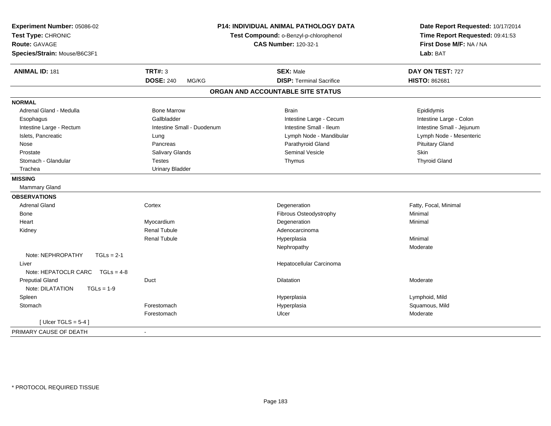| Experiment Number: 05086-02<br>Test Type: CHRONIC<br>Route: GAVAGE<br>Species/Strain: Mouse/B6C3F1 |                            | <b>P14: INDIVIDUAL ANIMAL PATHOLOGY DATA</b><br>Test Compound: o-Benzyl-p-chlorophenol<br><b>CAS Number: 120-32-1</b> | Date Report Requested: 10/17/2014<br>Time Report Requested: 09:41:53<br>First Dose M/F: NA / NA<br>Lab: BAT |
|----------------------------------------------------------------------------------------------------|----------------------------|-----------------------------------------------------------------------------------------------------------------------|-------------------------------------------------------------------------------------------------------------|
| <b>ANIMAL ID: 181</b>                                                                              | <b>TRT#: 3</b>             | <b>SEX: Male</b>                                                                                                      | DAY ON TEST: 727                                                                                            |
|                                                                                                    | <b>DOSE: 240</b><br>MG/KG  | <b>DISP: Terminal Sacrifice</b>                                                                                       | <b>HISTO: 862681</b>                                                                                        |
|                                                                                                    |                            | ORGAN AND ACCOUNTABLE SITE STATUS                                                                                     |                                                                                                             |
| <b>NORMAL</b>                                                                                      |                            |                                                                                                                       |                                                                                                             |
| Adrenal Gland - Medulla                                                                            | <b>Bone Marrow</b>         | <b>Brain</b>                                                                                                          | Epididymis                                                                                                  |
| Esophagus                                                                                          | Gallbladder                | Intestine Large - Cecum                                                                                               | Intestine Large - Colon                                                                                     |
| Intestine Large - Rectum                                                                           | Intestine Small - Duodenum | Intestine Small - Ileum                                                                                               | Intestine Small - Jejunum                                                                                   |
| Islets, Pancreatic                                                                                 | Lung                       | Lymph Node - Mandibular                                                                                               | Lymph Node - Mesenteric                                                                                     |
| Nose                                                                                               | Pancreas                   | Parathyroid Gland                                                                                                     | <b>Pituitary Gland</b>                                                                                      |
| Prostate                                                                                           | Salivary Glands            | <b>Seminal Vesicle</b>                                                                                                | Skin                                                                                                        |
| Stomach - Glandular                                                                                | <b>Testes</b>              | Thymus                                                                                                                | <b>Thyroid Gland</b>                                                                                        |
| Trachea                                                                                            | <b>Urinary Bladder</b>     |                                                                                                                       |                                                                                                             |
| <b>MISSING</b>                                                                                     |                            |                                                                                                                       |                                                                                                             |
| <b>Mammary Gland</b>                                                                               |                            |                                                                                                                       |                                                                                                             |
| <b>OBSERVATIONS</b>                                                                                |                            |                                                                                                                       |                                                                                                             |
| <b>Adrenal Gland</b>                                                                               | Cortex                     | Degeneration                                                                                                          | Fatty, Focal, Minimal                                                                                       |
| Bone                                                                                               |                            | Fibrous Osteodystrophy                                                                                                | Minimal                                                                                                     |
| Heart                                                                                              | Myocardium                 | Degeneration                                                                                                          | Minimal                                                                                                     |
| Kidney                                                                                             | <b>Renal Tubule</b>        | Adenocarcinoma                                                                                                        |                                                                                                             |
|                                                                                                    | <b>Renal Tubule</b>        | Hyperplasia                                                                                                           | Minimal                                                                                                     |
|                                                                                                    |                            | Nephropathy                                                                                                           | Moderate                                                                                                    |
| Note: NEPHROPATHY<br>$TGLs = 2-1$                                                                  |                            |                                                                                                                       |                                                                                                             |
| Liver<br>Note: HEPATOCLR CARC<br>$TGLs = 4-8$                                                      |                            | Hepatocellular Carcinoma                                                                                              |                                                                                                             |
| <b>Preputial Gland</b>                                                                             | Duct                       | Dilatation                                                                                                            | Moderate                                                                                                    |
| Note: DILATATION<br>$TGLs = 1-9$                                                                   |                            |                                                                                                                       |                                                                                                             |
| Spleen                                                                                             |                            | Hyperplasia                                                                                                           | Lymphoid, Mild                                                                                              |
| Stomach                                                                                            | Forestomach                | Hyperplasia                                                                                                           | Squamous, Mild                                                                                              |
|                                                                                                    | Forestomach                | Ulcer                                                                                                                 | Moderate                                                                                                    |
| [ Ulcer TGLS = $5-4$ ]                                                                             |                            |                                                                                                                       |                                                                                                             |
| PRIMARY CAUSE OF DEATH                                                                             | $\sim$                     |                                                                                                                       |                                                                                                             |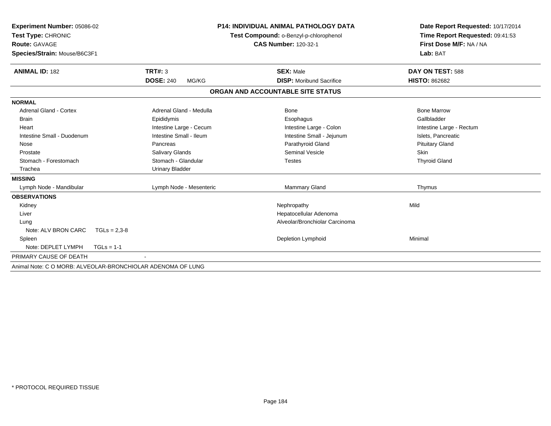| Experiment Number: 05086-02                                 |                           | <b>P14: INDIVIDUAL ANIMAL PATHOLOGY DATA</b> | Date Report Requested: 10/17/2014 |
|-------------------------------------------------------------|---------------------------|----------------------------------------------|-----------------------------------|
| Test Type: CHRONIC                                          |                           | Test Compound: o-Benzyl-p-chlorophenol       | Time Report Requested: 09:41:53   |
| <b>Route: GAVAGE</b>                                        |                           | <b>CAS Number: 120-32-1</b>                  | First Dose M/F: NA / NA           |
| Species/Strain: Mouse/B6C3F1                                |                           |                                              | Lab: BAT                          |
| <b>ANIMAL ID: 182</b>                                       | <b>TRT#: 3</b>            | <b>SEX: Male</b>                             | DAY ON TEST: 588                  |
|                                                             | <b>DOSE: 240</b><br>MG/KG | <b>DISP:</b> Moribund Sacrifice              | <b>HISTO: 862682</b>              |
|                                                             |                           | ORGAN AND ACCOUNTABLE SITE STATUS            |                                   |
| <b>NORMAL</b>                                               |                           |                                              |                                   |
| <b>Adrenal Gland - Cortex</b>                               | Adrenal Gland - Medulla   | <b>Bone</b>                                  | <b>Bone Marrow</b>                |
| <b>Brain</b>                                                | Epididymis                | Esophagus                                    | Gallbladder                       |
| Heart                                                       | Intestine Large - Cecum   | Intestine Large - Colon                      | Intestine Large - Rectum          |
| Intestine Small - Duodenum                                  | Intestine Small - Ileum   | Intestine Small - Jejunum                    | Islets, Pancreatic                |
| Nose                                                        | Pancreas                  | Parathyroid Gland                            | <b>Pituitary Gland</b>            |
| Prostate                                                    | Salivary Glands           | <b>Seminal Vesicle</b>                       | <b>Skin</b>                       |
| Stomach - Forestomach                                       | Stomach - Glandular       | <b>Testes</b>                                | <b>Thyroid Gland</b>              |
| Trachea                                                     | <b>Urinary Bladder</b>    |                                              |                                   |
| <b>MISSING</b>                                              |                           |                                              |                                   |
| Lymph Node - Mandibular                                     | Lymph Node - Mesenteric   | <b>Mammary Gland</b>                         | Thymus                            |
| <b>OBSERVATIONS</b>                                         |                           |                                              |                                   |
| Kidney                                                      |                           | Nephropathy                                  | Mild                              |
| Liver                                                       |                           | Hepatocellular Adenoma                       |                                   |
| Lung                                                        |                           | Alveolar/Bronchiolar Carcinoma               |                                   |
| Note: ALV BRON CARC<br>$TGLs = 2,3-8$                       |                           |                                              |                                   |
| Spleen                                                      |                           | Depletion Lymphoid                           | Minimal                           |
| Note: DEPLET LYMPH<br>$TGLs = 1-1$                          |                           |                                              |                                   |
| PRIMARY CAUSE OF DEATH                                      |                           |                                              |                                   |
| Animal Note: C O MORB: ALVEOLAR-BRONCHIOLAR ADENOMA OF LUNG |                           |                                              |                                   |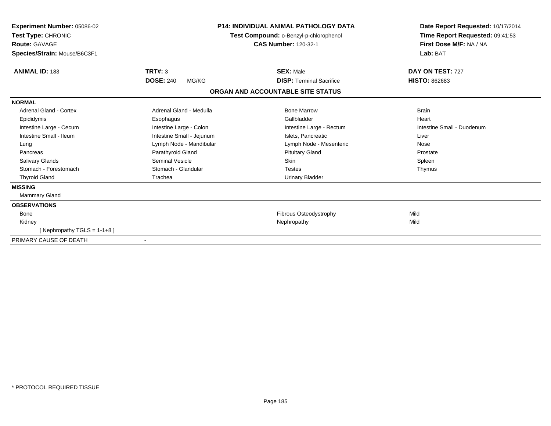| Experiment Number: 05086-02<br>Test Type: CHRONIC<br>Route: GAVAGE<br>Species/Strain: Mouse/B6C3F1 |                           | <b>P14: INDIVIDUAL ANIMAL PATHOLOGY DATA</b><br>Test Compound: o-Benzyl-p-chlorophenol<br><b>CAS Number: 120-32-1</b> | Date Report Requested: 10/17/2014<br>Time Report Requested: 09:41:53<br>First Dose M/F: NA / NA<br>Lab: BAT |
|----------------------------------------------------------------------------------------------------|---------------------------|-----------------------------------------------------------------------------------------------------------------------|-------------------------------------------------------------------------------------------------------------|
| <b>ANIMAL ID: 183</b>                                                                              | TRT#: 3                   | <b>SEX: Male</b>                                                                                                      | DAY ON TEST: 727                                                                                            |
|                                                                                                    | <b>DOSE: 240</b><br>MG/KG | <b>DISP: Terminal Sacrifice</b>                                                                                       | <b>HISTO: 862683</b>                                                                                        |
|                                                                                                    |                           | ORGAN AND ACCOUNTABLE SITE STATUS                                                                                     |                                                                                                             |
| <b>NORMAL</b>                                                                                      |                           |                                                                                                                       |                                                                                                             |
| <b>Adrenal Gland - Cortex</b>                                                                      | Adrenal Gland - Medulla   | <b>Bone Marrow</b>                                                                                                    | <b>Brain</b>                                                                                                |
| Epididymis                                                                                         | Esophagus                 | Gallbladder                                                                                                           | Heart                                                                                                       |
| Intestine Large - Cecum                                                                            | Intestine Large - Colon   | Intestine Large - Rectum                                                                                              | Intestine Small - Duodenum                                                                                  |
| Intestine Small - Ileum                                                                            | Intestine Small - Jejunum | Islets, Pancreatic                                                                                                    | Liver                                                                                                       |
| Lung                                                                                               | Lymph Node - Mandibular   | Lymph Node - Mesenteric                                                                                               | Nose                                                                                                        |
| Pancreas                                                                                           | Parathyroid Gland         | <b>Pituitary Gland</b>                                                                                                | Prostate                                                                                                    |
| Salivary Glands                                                                                    | Seminal Vesicle           | <b>Skin</b>                                                                                                           | Spleen                                                                                                      |
| Stomach - Forestomach                                                                              | Stomach - Glandular       | <b>Testes</b>                                                                                                         | Thymus                                                                                                      |
| <b>Thyroid Gland</b>                                                                               | Trachea                   | Urinary Bladder                                                                                                       |                                                                                                             |
| <b>MISSING</b>                                                                                     |                           |                                                                                                                       |                                                                                                             |
| <b>Mammary Gland</b>                                                                               |                           |                                                                                                                       |                                                                                                             |
| <b>OBSERVATIONS</b>                                                                                |                           |                                                                                                                       |                                                                                                             |
| <b>Bone</b>                                                                                        |                           | Fibrous Osteodystrophy                                                                                                | Mild                                                                                                        |
| Kidney                                                                                             |                           | Nephropathy                                                                                                           | Mild                                                                                                        |
| [Nephropathy TGLS = $1-1+8$ ]                                                                      |                           |                                                                                                                       |                                                                                                             |
| PRIMARY CAUSE OF DEATH                                                                             |                           |                                                                                                                       |                                                                                                             |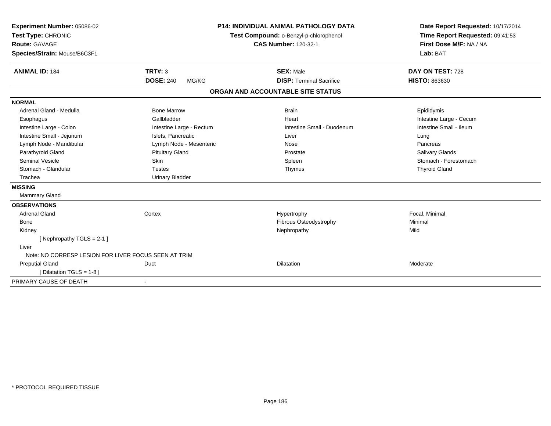| Experiment Number: 05086-02                          |                           | <b>P14: INDIVIDUAL ANIMAL PATHOLOGY DATA</b> | Date Report Requested: 10/17/2014 |
|------------------------------------------------------|---------------------------|----------------------------------------------|-----------------------------------|
| Test Type: CHRONIC                                   |                           | Test Compound: o-Benzyl-p-chlorophenol       | Time Report Requested: 09:41:53   |
| <b>Route: GAVAGE</b>                                 |                           | <b>CAS Number: 120-32-1</b>                  | First Dose M/F: NA / NA           |
| Species/Strain: Mouse/B6C3F1                         |                           |                                              | Lab: BAT                          |
| <b>ANIMAL ID: 184</b>                                | TRT#: 3                   | <b>SEX: Male</b>                             | DAY ON TEST: 728                  |
|                                                      | <b>DOSE: 240</b><br>MG/KG | <b>DISP: Terminal Sacrifice</b>              | <b>HISTO: 863630</b>              |
|                                                      |                           | ORGAN AND ACCOUNTABLE SITE STATUS            |                                   |
| <b>NORMAL</b>                                        |                           |                                              |                                   |
| Adrenal Gland - Medulla                              | <b>Bone Marrow</b>        | <b>Brain</b>                                 | Epididymis                        |
| Esophagus                                            | Gallbladder               | Heart                                        | Intestine Large - Cecum           |
| Intestine Large - Colon                              | Intestine Large - Rectum  | Intestine Small - Duodenum                   | Intestine Small - Ileum           |
| Intestine Small - Jejunum                            | Islets, Pancreatic        | Liver                                        | Lung                              |
| Lymph Node - Mandibular                              | Lymph Node - Mesenteric   | Nose                                         | Pancreas                          |
| Parathyroid Gland                                    | <b>Pituitary Gland</b>    | Prostate                                     | <b>Salivary Glands</b>            |
| Seminal Vesicle                                      | <b>Skin</b>               | Spleen                                       | Stomach - Forestomach             |
| Stomach - Glandular                                  | <b>Testes</b>             | Thymus                                       | <b>Thyroid Gland</b>              |
| Trachea                                              | <b>Urinary Bladder</b>    |                                              |                                   |
| <b>MISSING</b>                                       |                           |                                              |                                   |
| <b>Mammary Gland</b>                                 |                           |                                              |                                   |
| <b>OBSERVATIONS</b>                                  |                           |                                              |                                   |
| <b>Adrenal Gland</b>                                 | Cortex                    | Hypertrophy                                  | Focal, Minimal                    |
| Bone                                                 |                           | Fibrous Osteodystrophy                       | Minimal                           |
| Kidney                                               |                           | Nephropathy                                  | Mild                              |
| [Nephropathy TGLS = $2-1$ ]                          |                           |                                              |                                   |
| Liver                                                |                           |                                              |                                   |
| Note: NO CORRESP LESION FOR LIVER FOCUS SEEN AT TRIM |                           |                                              |                                   |
| <b>Preputial Gland</b>                               | Duct                      | <b>Dilatation</b>                            | Moderate                          |
| [ Dilatation TGLS = 1-8 ]                            |                           |                                              |                                   |
| PRIMARY CAUSE OF DEATH                               |                           |                                              |                                   |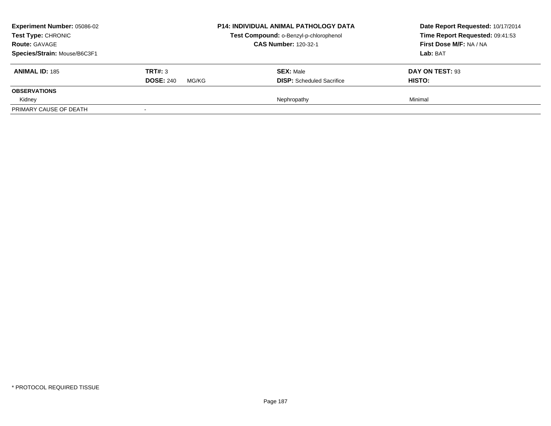| <b>Experiment Number: 05086-02</b><br>Test Type: CHRONIC<br><b>Route: GAVAGE</b> |                           | <b>P14: INDIVIDUAL ANIMAL PATHOLOGY DATA</b><br>Test Compound: o-Benzyl-p-chlorophenol<br><b>CAS Number: 120-32-1</b> | Date Report Requested: 10/17/2014<br>Time Report Requested: 09:41:53<br>First Dose M/F: NA / NA |
|----------------------------------------------------------------------------------|---------------------------|-----------------------------------------------------------------------------------------------------------------------|-------------------------------------------------------------------------------------------------|
| Species/Strain: Mouse/B6C3F1                                                     |                           |                                                                                                                       | Lab: BAT                                                                                        |
| <b>ANIMAL ID: 185</b>                                                            | TRT#: 3                   | <b>SEX: Male</b>                                                                                                      | DAY ON TEST: 93                                                                                 |
|                                                                                  | <b>DOSE: 240</b><br>MG/KG | <b>DISP:</b> Scheduled Sacrifice                                                                                      | HISTO:                                                                                          |
| <b>OBSERVATIONS</b>                                                              |                           |                                                                                                                       |                                                                                                 |
| Kidney                                                                           |                           | Nephropathy                                                                                                           | Minimal                                                                                         |
| PRIMARY CAUSE OF DEATH                                                           |                           |                                                                                                                       |                                                                                                 |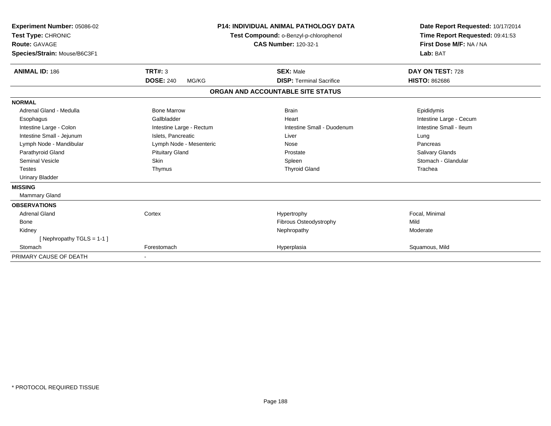| Experiment Number: 05086-02<br>Test Type: CHRONIC<br><b>Route: GAVAGE</b><br>Species/Strain: Mouse/B6C3F1 |                           | <b>P14: INDIVIDUAL ANIMAL PATHOLOGY DATA</b><br>Test Compound: o-Benzyl-p-chlorophenol<br><b>CAS Number: 120-32-1</b> | Date Report Requested: 10/17/2014<br>Time Report Requested: 09:41:53<br>First Dose M/F: NA / NA<br>Lab: BAT |
|-----------------------------------------------------------------------------------------------------------|---------------------------|-----------------------------------------------------------------------------------------------------------------------|-------------------------------------------------------------------------------------------------------------|
| <b>ANIMAL ID: 186</b>                                                                                     | <b>TRT#: 3</b>            | <b>SEX: Male</b>                                                                                                      | DAY ON TEST: 728                                                                                            |
|                                                                                                           | <b>DOSE: 240</b><br>MG/KG | <b>DISP: Terminal Sacrifice</b>                                                                                       | <b>HISTO: 862686</b>                                                                                        |
|                                                                                                           |                           | ORGAN AND ACCOUNTABLE SITE STATUS                                                                                     |                                                                                                             |
| <b>NORMAL</b>                                                                                             |                           |                                                                                                                       |                                                                                                             |
| Adrenal Gland - Medulla                                                                                   | <b>Bone Marrow</b>        | <b>Brain</b>                                                                                                          | Epididymis                                                                                                  |
| Esophagus                                                                                                 | Gallbladder               | Heart                                                                                                                 | Intestine Large - Cecum                                                                                     |
| Intestine Large - Colon                                                                                   | Intestine Large - Rectum  | Intestine Small - Duodenum                                                                                            | Intestine Small - Ileum                                                                                     |
| Intestine Small - Jejunum                                                                                 | Islets, Pancreatic        | Liver                                                                                                                 | Lung                                                                                                        |
| Lymph Node - Mandibular                                                                                   | Lymph Node - Mesenteric   | Nose                                                                                                                  | Pancreas                                                                                                    |
| Parathyroid Gland                                                                                         | <b>Pituitary Gland</b>    | Prostate                                                                                                              | <b>Salivary Glands</b>                                                                                      |
| Seminal Vesicle                                                                                           | <b>Skin</b>               | Spleen                                                                                                                | Stomach - Glandular                                                                                         |
| <b>Testes</b>                                                                                             | Thymus                    | <b>Thyroid Gland</b>                                                                                                  | Trachea                                                                                                     |
| <b>Urinary Bladder</b>                                                                                    |                           |                                                                                                                       |                                                                                                             |
| <b>MISSING</b>                                                                                            |                           |                                                                                                                       |                                                                                                             |
| Mammary Gland                                                                                             |                           |                                                                                                                       |                                                                                                             |
| <b>OBSERVATIONS</b>                                                                                       |                           |                                                                                                                       |                                                                                                             |
| <b>Adrenal Gland</b>                                                                                      | Cortex                    | Hypertrophy                                                                                                           | Focal, Minimal                                                                                              |
| Bone                                                                                                      |                           | Fibrous Osteodystrophy                                                                                                | Mild                                                                                                        |
| Kidney                                                                                                    |                           | Nephropathy                                                                                                           | Moderate                                                                                                    |
| [Nephropathy TGLS = 1-1]                                                                                  |                           |                                                                                                                       |                                                                                                             |
| Stomach                                                                                                   | Forestomach               | Hyperplasia                                                                                                           | Squamous, Mild                                                                                              |
| PRIMARY CAUSE OF DEATH                                                                                    | $\overline{\phantom{a}}$  |                                                                                                                       |                                                                                                             |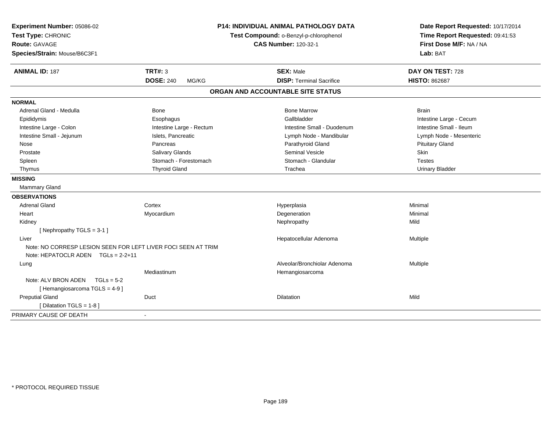| Experiment Number: 05086-02                                                                         |                                        | <b>P14: INDIVIDUAL ANIMAL PATHOLOGY DATA</b> | Date Report Requested: 10/17/2014 |
|-----------------------------------------------------------------------------------------------------|----------------------------------------|----------------------------------------------|-----------------------------------|
| Test Type: CHRONIC                                                                                  | Test Compound: o-Benzyl-p-chlorophenol |                                              | Time Report Requested: 09:41:53   |
| Route: GAVAGE                                                                                       |                                        | <b>CAS Number: 120-32-1</b>                  | First Dose M/F: NA / NA           |
| Species/Strain: Mouse/B6C3F1                                                                        |                                        |                                              | Lab: BAT                          |
| <b>ANIMAL ID: 187</b>                                                                               | TRT#: 3                                | <b>SEX: Male</b>                             | DAY ON TEST: 728                  |
|                                                                                                     | <b>DOSE: 240</b><br>MG/KG              | <b>DISP: Terminal Sacrifice</b>              | <b>HISTO: 862687</b>              |
|                                                                                                     |                                        | ORGAN AND ACCOUNTABLE SITE STATUS            |                                   |
| <b>NORMAL</b>                                                                                       |                                        |                                              |                                   |
| Adrenal Gland - Medulla                                                                             | Bone                                   | <b>Bone Marrow</b>                           | <b>Brain</b>                      |
| Epididymis                                                                                          | Esophagus                              | Gallbladder                                  | Intestine Large - Cecum           |
| Intestine Large - Colon                                                                             | Intestine Large - Rectum               | Intestine Small - Duodenum                   | Intestine Small - Ileum           |
| Intestine Small - Jejunum                                                                           | Islets, Pancreatic                     | Lymph Node - Mandibular                      | Lymph Node - Mesenteric           |
| Nose                                                                                                | Pancreas                               | Parathyroid Gland                            | <b>Pituitary Gland</b>            |
| Prostate                                                                                            | <b>Salivary Glands</b>                 | Seminal Vesicle                              | Skin                              |
| Spleen                                                                                              | Stomach - Forestomach                  | Stomach - Glandular                          | <b>Testes</b>                     |
| Thymus                                                                                              | <b>Thyroid Gland</b>                   | Trachea                                      | <b>Urinary Bladder</b>            |
| <b>MISSING</b>                                                                                      |                                        |                                              |                                   |
| Mammary Gland                                                                                       |                                        |                                              |                                   |
| <b>OBSERVATIONS</b>                                                                                 |                                        |                                              |                                   |
| <b>Adrenal Gland</b>                                                                                | Cortex                                 | Hyperplasia                                  | Minimal                           |
| Heart                                                                                               | Myocardium                             | Degeneration                                 | Minimal                           |
| Kidney                                                                                              |                                        | Nephropathy                                  | Mild                              |
| [ Nephropathy $TGLS = 3-1$ ]                                                                        |                                        |                                              |                                   |
| Liver                                                                                               |                                        | Hepatocellular Adenoma                       | Multiple                          |
| Note: NO CORRESP LESION SEEN FOR LEFT LIVER FOCI SEEN AT TRIM<br>Note: HEPATOCLR ADEN TGLs = 2-2+11 |                                        |                                              |                                   |
| Lung                                                                                                |                                        | Alveolar/Bronchiolar Adenoma                 | Multiple                          |
|                                                                                                     | Mediastinum                            | Hemangiosarcoma                              |                                   |
| Note: ALV BRON ADEN<br>$TGLs = 5-2$                                                                 |                                        |                                              |                                   |
| [Hemangiosarcoma TGLS = 4-9]                                                                        |                                        |                                              |                                   |
| <b>Preputial Gland</b>                                                                              | Duct                                   | Dilatation                                   | Mild                              |
| [ Dilatation TGLS = 1-8 ]                                                                           |                                        |                                              |                                   |
| PRIMARY CAUSE OF DEATH                                                                              |                                        |                                              |                                   |
|                                                                                                     | $\overline{a}$                         |                                              |                                   |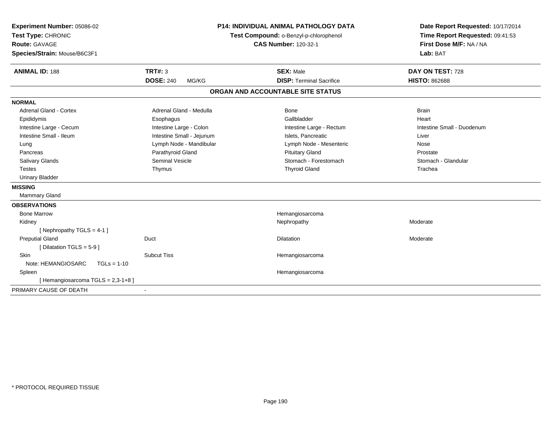| Experiment Number: 05086-02<br>Test Type: CHRONIC<br><b>Route: GAVAGE</b><br>Species/Strain: Mouse/B6C3F1 |                           | <b>P14: INDIVIDUAL ANIMAL PATHOLOGY DATA</b><br>Test Compound: o-Benzyl-p-chlorophenol<br><b>CAS Number: 120-32-1</b> | Date Report Requested: 10/17/2014<br>Time Report Requested: 09:41:53<br>First Dose M/F: NA / NA<br>Lab: BAT |
|-----------------------------------------------------------------------------------------------------------|---------------------------|-----------------------------------------------------------------------------------------------------------------------|-------------------------------------------------------------------------------------------------------------|
| <b>ANIMAL ID: 188</b>                                                                                     | TRT#: 3                   | <b>SEX: Male</b>                                                                                                      | DAY ON TEST: 728                                                                                            |
|                                                                                                           | <b>DOSE: 240</b><br>MG/KG | <b>DISP: Terminal Sacrifice</b>                                                                                       | <b>HISTO: 862688</b>                                                                                        |
|                                                                                                           |                           | ORGAN AND ACCOUNTABLE SITE STATUS                                                                                     |                                                                                                             |
| <b>NORMAL</b>                                                                                             |                           |                                                                                                                       |                                                                                                             |
| Adrenal Gland - Cortex                                                                                    | Adrenal Gland - Medulla   | <b>Bone</b>                                                                                                           | <b>Brain</b>                                                                                                |
| Epididymis                                                                                                | Esophagus                 | Gallbladder                                                                                                           | Heart                                                                                                       |
| Intestine Large - Cecum                                                                                   | Intestine Large - Colon   | Intestine Large - Rectum                                                                                              | Intestine Small - Duodenum                                                                                  |
| Intestine Small - Ileum                                                                                   | Intestine Small - Jejunum | Islets. Pancreatic                                                                                                    | Liver                                                                                                       |
| Lung                                                                                                      | Lymph Node - Mandibular   | Lymph Node - Mesenteric                                                                                               | Nose                                                                                                        |
| Pancreas                                                                                                  | Parathyroid Gland         | <b>Pituitary Gland</b>                                                                                                | Prostate                                                                                                    |
| Salivary Glands                                                                                           | <b>Seminal Vesicle</b>    | Stomach - Forestomach                                                                                                 | Stomach - Glandular                                                                                         |
| <b>Testes</b>                                                                                             | Thymus                    | <b>Thyroid Gland</b>                                                                                                  | Trachea                                                                                                     |
| <b>Urinary Bladder</b>                                                                                    |                           |                                                                                                                       |                                                                                                             |
| <b>MISSING</b>                                                                                            |                           |                                                                                                                       |                                                                                                             |
| Mammary Gland                                                                                             |                           |                                                                                                                       |                                                                                                             |
| <b>OBSERVATIONS</b>                                                                                       |                           |                                                                                                                       |                                                                                                             |
| <b>Bone Marrow</b>                                                                                        |                           | Hemangiosarcoma                                                                                                       |                                                                                                             |
| Kidney                                                                                                    |                           | Nephropathy                                                                                                           | Moderate                                                                                                    |
| [Nephropathy TGLS = 4-1]                                                                                  |                           |                                                                                                                       |                                                                                                             |
| <b>Preputial Gland</b>                                                                                    | Duct                      | <b>Dilatation</b>                                                                                                     | Moderate                                                                                                    |
| [Dilatation TGLS = $5-9$ ]                                                                                |                           |                                                                                                                       |                                                                                                             |
| <b>Skin</b>                                                                                               | <b>Subcut Tiss</b>        | Hemangiosarcoma                                                                                                       |                                                                                                             |
| Note: HEMANGIOSARC<br>$TGLs = 1-10$                                                                       |                           |                                                                                                                       |                                                                                                             |
| Spleen                                                                                                    |                           | Hemangiosarcoma                                                                                                       |                                                                                                             |
| [Hemangiosarcoma TGLS = 2,3-1+8]                                                                          |                           |                                                                                                                       |                                                                                                             |
| PRIMARY CAUSE OF DEATH                                                                                    |                           |                                                                                                                       |                                                                                                             |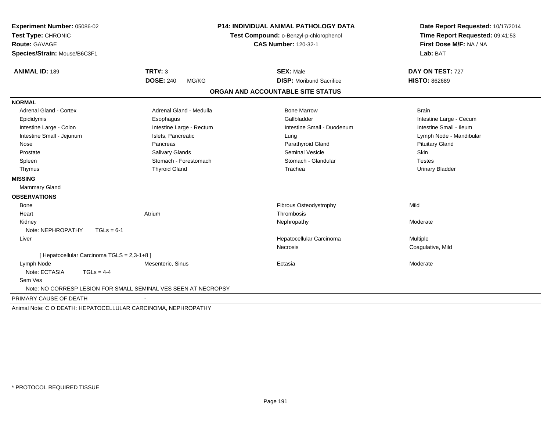| Experiment Number: 05086-02<br>Test Type: CHRONIC<br>Route: GAVAGE |                                                                | <b>P14: INDIVIDUAL ANIMAL PATHOLOGY DATA</b> | Date Report Requested: 10/17/2014<br>Time Report Requested: 09:41:53<br>First Dose M/F: NA / NA |  |
|--------------------------------------------------------------------|----------------------------------------------------------------|----------------------------------------------|-------------------------------------------------------------------------------------------------|--|
|                                                                    |                                                                | Test Compound: o-Benzyl-p-chlorophenol       |                                                                                                 |  |
|                                                                    |                                                                | <b>CAS Number: 120-32-1</b>                  |                                                                                                 |  |
| Species/Strain: Mouse/B6C3F1                                       |                                                                |                                              | Lab: BAT                                                                                        |  |
| <b>ANIMAL ID: 189</b>                                              | <b>TRT#: 3</b>                                                 | <b>SEX: Male</b>                             | DAY ON TEST: 727                                                                                |  |
|                                                                    | <b>DOSE: 240</b><br>MG/KG                                      | <b>DISP:</b> Moribund Sacrifice              | <b>HISTO: 862689</b>                                                                            |  |
|                                                                    |                                                                | ORGAN AND ACCOUNTABLE SITE STATUS            |                                                                                                 |  |
| <b>NORMAL</b>                                                      |                                                                |                                              |                                                                                                 |  |
| <b>Adrenal Gland - Cortex</b>                                      | Adrenal Gland - Medulla                                        | <b>Bone Marrow</b>                           | <b>Brain</b>                                                                                    |  |
| Epididymis                                                         | Esophagus                                                      | Gallbladder                                  | Intestine Large - Cecum                                                                         |  |
| Intestine Large - Colon                                            | Intestine Large - Rectum                                       | Intestine Small - Duodenum                   | Intestine Small - Ileum                                                                         |  |
| Intestine Small - Jejunum                                          | Islets, Pancreatic                                             | Lung                                         | Lymph Node - Mandibular                                                                         |  |
| Nose                                                               | Pancreas                                                       | Parathyroid Gland                            | <b>Pituitary Gland</b>                                                                          |  |
| Prostate                                                           | <b>Salivary Glands</b>                                         | <b>Seminal Vesicle</b>                       | Skin                                                                                            |  |
| Spleen                                                             | Stomach - Forestomach                                          | Stomach - Glandular                          | <b>Testes</b>                                                                                   |  |
| Thymus                                                             | <b>Thyroid Gland</b>                                           | Trachea                                      | <b>Urinary Bladder</b>                                                                          |  |
| <b>MISSING</b>                                                     |                                                                |                                              |                                                                                                 |  |
| <b>Mammary Gland</b>                                               |                                                                |                                              |                                                                                                 |  |
| <b>OBSERVATIONS</b>                                                |                                                                |                                              |                                                                                                 |  |
| <b>Bone</b>                                                        |                                                                | Fibrous Osteodystrophy                       | Mild                                                                                            |  |
| Heart                                                              | Atrium                                                         | Thrombosis                                   |                                                                                                 |  |
| Kidney                                                             |                                                                | Nephropathy                                  | Moderate                                                                                        |  |
| Note: NEPHROPATHY<br>$TGLs = 6-1$                                  |                                                                |                                              |                                                                                                 |  |
| Liver                                                              |                                                                | Hepatocellular Carcinoma                     | Multiple                                                                                        |  |
|                                                                    |                                                                | Necrosis                                     | Coagulative, Mild                                                                               |  |
| [ Hepatocellular Carcinoma TGLS = 2,3-1+8 ]                        |                                                                |                                              |                                                                                                 |  |
| Lymph Node                                                         | Mesenteric, Sinus                                              | Ectasia                                      | Moderate                                                                                        |  |
| Note: ECTASIA<br>$TGLs = 4-4$                                      |                                                                |                                              |                                                                                                 |  |
| Sem Ves                                                            |                                                                |                                              |                                                                                                 |  |
|                                                                    | Note: NO CORRESP LESION FOR SMALL SEMINAL VES SEEN AT NECROPSY |                                              |                                                                                                 |  |
| PRIMARY CAUSE OF DEATH                                             |                                                                |                                              |                                                                                                 |  |
| Animal Note: C O DEATH: HEPATOCELLULAR CARCINOMA, NEPHROPATHY      |                                                                |                                              |                                                                                                 |  |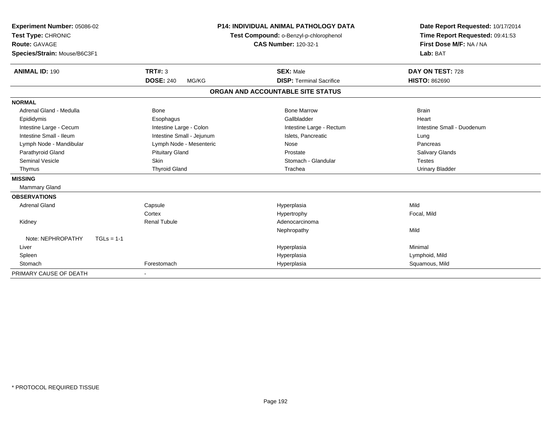| Experiment Number: 05086-02<br>Test Type: CHRONIC |                           | <b>P14: INDIVIDUAL ANIMAL PATHOLOGY DATA</b> | Date Report Requested: 10/17/2014 |
|---------------------------------------------------|---------------------------|----------------------------------------------|-----------------------------------|
|                                                   |                           | Test Compound: o-Benzyl-p-chlorophenol       | Time Report Requested: 09:41:53   |
| <b>Route: GAVAGE</b>                              |                           | <b>CAS Number: 120-32-1</b>                  | First Dose M/F: NA / NA           |
| Species/Strain: Mouse/B6C3F1                      |                           |                                              | Lab: BAT                          |
| <b>ANIMAL ID: 190</b>                             | TRT#: 3                   | <b>SEX: Male</b>                             | DAY ON TEST: 728                  |
|                                                   | <b>DOSE: 240</b><br>MG/KG | <b>DISP: Terminal Sacrifice</b>              | <b>HISTO: 862690</b>              |
|                                                   |                           | ORGAN AND ACCOUNTABLE SITE STATUS            |                                   |
| <b>NORMAL</b>                                     |                           |                                              |                                   |
| Adrenal Gland - Medulla                           | <b>Bone</b>               | <b>Bone Marrow</b>                           | <b>Brain</b>                      |
| Epididymis                                        | Esophagus                 | Gallbladder                                  | Heart                             |
| Intestine Large - Cecum                           | Intestine Large - Colon   | Intestine Large - Rectum                     | Intestine Small - Duodenum        |
| Intestine Small - Ileum                           | Intestine Small - Jejunum | Islets. Pancreatic                           | Lung                              |
| Lymph Node - Mandibular                           | Lymph Node - Mesenteric   | Nose                                         | Pancreas                          |
| Parathyroid Gland                                 | <b>Pituitary Gland</b>    | Prostate                                     | Salivary Glands                   |
| <b>Seminal Vesicle</b>                            | <b>Skin</b>               | Stomach - Glandular                          | <b>Testes</b>                     |
| Thymus                                            | <b>Thyroid Gland</b>      | Trachea                                      | Urinary Bladder                   |
| <b>MISSING</b>                                    |                           |                                              |                                   |
| Mammary Gland                                     |                           |                                              |                                   |
| <b>OBSERVATIONS</b>                               |                           |                                              |                                   |
| <b>Adrenal Gland</b>                              | Capsule                   | Hyperplasia                                  | Mild                              |
|                                                   | Cortex                    | Hypertrophy                                  | Focal, Mild                       |
| Kidney                                            | <b>Renal Tubule</b>       | Adenocarcinoma                               |                                   |
|                                                   |                           | Nephropathy                                  | Mild                              |
| Note: NEPHROPATHY<br>$TGLs = 1-1$                 |                           |                                              |                                   |
| Liver                                             |                           | Hyperplasia                                  | Minimal                           |
| Spleen                                            |                           | Hyperplasia                                  | Lymphoid, Mild                    |
| Stomach                                           | Forestomach               | Hyperplasia                                  | Squamous, Mild                    |
| PRIMARY CAUSE OF DEATH                            |                           |                                              |                                   |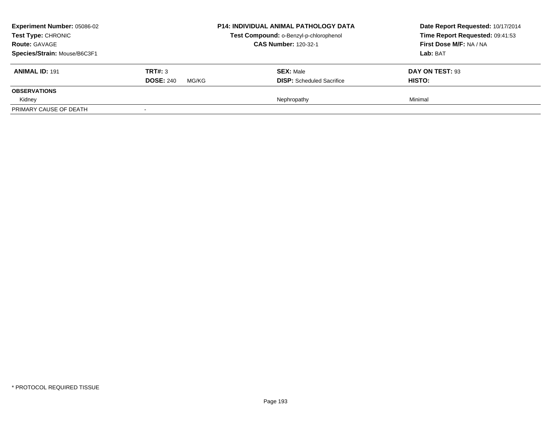| <b>Experiment Number: 05086-02</b><br>Test Type: CHRONIC<br><b>Route: GAVAGE</b> |                           | <b>P14: INDIVIDUAL ANIMAL PATHOLOGY DATA</b><br>Test Compound: o-Benzyl-p-chlorophenol<br><b>CAS Number: 120-32-1</b> | Date Report Requested: 10/17/2014<br>Time Report Requested: 09:41:53<br>First Dose M/F: NA / NA |
|----------------------------------------------------------------------------------|---------------------------|-----------------------------------------------------------------------------------------------------------------------|-------------------------------------------------------------------------------------------------|
| Species/Strain: Mouse/B6C3F1                                                     |                           |                                                                                                                       | Lab: BAT                                                                                        |
| <b>ANIMAL ID: 191</b>                                                            | TRT#: 3                   | <b>SEX: Male</b>                                                                                                      | DAY ON TEST: 93                                                                                 |
|                                                                                  | <b>DOSE: 240</b><br>MG/KG | <b>DISP:</b> Scheduled Sacrifice                                                                                      | HISTO:                                                                                          |
| <b>OBSERVATIONS</b>                                                              |                           |                                                                                                                       |                                                                                                 |
| Kidney                                                                           |                           | Nephropathy                                                                                                           | Minimal                                                                                         |
| PRIMARY CAUSE OF DEATH                                                           |                           |                                                                                                                       |                                                                                                 |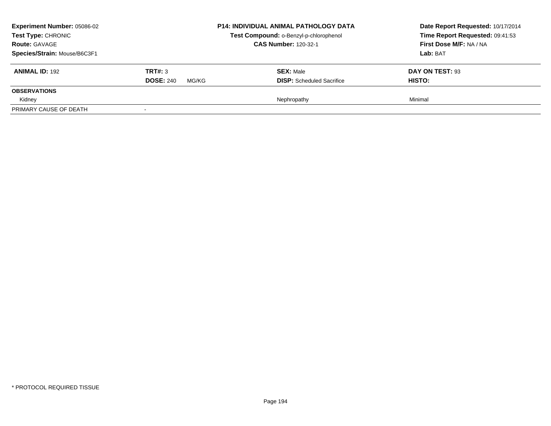| <b>Experiment Number: 05086-02</b><br>Test Type: CHRONIC<br><b>Route: GAVAGE</b><br>Species/Strain: Mouse/B6C3F1 |                                      | <b>P14: INDIVIDUAL ANIMAL PATHOLOGY DATA</b><br>Test Compound: o-Benzyl-p-chlorophenol<br><b>CAS Number: 120-32-1</b> | Date Report Requested: 10/17/2014<br>Time Report Requested: 09:41:53<br>First Dose M/F: NA / NA<br>Lab: BAT |
|------------------------------------------------------------------------------------------------------------------|--------------------------------------|-----------------------------------------------------------------------------------------------------------------------|-------------------------------------------------------------------------------------------------------------|
| <b>ANIMAL ID: 192</b>                                                                                            | TRT#: 3<br><b>DOSE: 240</b><br>MG/KG | <b>SEX: Male</b><br><b>DISP:</b> Scheduled Sacrifice                                                                  | DAY ON TEST: 93<br>HISTO:                                                                                   |
| <b>OBSERVATIONS</b><br>Kidney<br>PRIMARY CAUSE OF DEATH                                                          |                                      | Nephropathy                                                                                                           | Minimal                                                                                                     |
|                                                                                                                  |                                      |                                                                                                                       |                                                                                                             |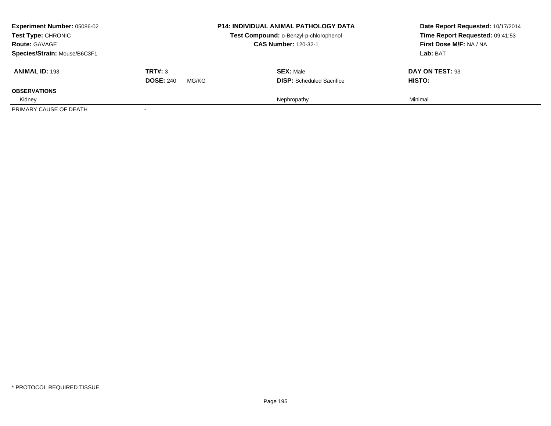| <b>Experiment Number: 05086-02</b><br>Test Type: CHRONIC<br><b>Route: GAVAGE</b><br>Species/Strain: Mouse/B6C3F1 |                                      | <b>P14: INDIVIDUAL ANIMAL PATHOLOGY DATA</b><br>Test Compound: o-Benzyl-p-chlorophenol<br><b>CAS Number: 120-32-1</b> | Date Report Requested: 10/17/2014<br>Time Report Requested: 09:41:53<br>First Dose M/F: NA / NA<br>Lab: BAT |
|------------------------------------------------------------------------------------------------------------------|--------------------------------------|-----------------------------------------------------------------------------------------------------------------------|-------------------------------------------------------------------------------------------------------------|
| <b>ANIMAL ID: 193</b>                                                                                            | TRT#: 3<br><b>DOSE: 240</b><br>MG/KG | <b>SEX: Male</b><br><b>DISP:</b> Scheduled Sacrifice                                                                  | DAY ON TEST: 93<br>HISTO:                                                                                   |
| <b>OBSERVATIONS</b><br>Kidney<br>PRIMARY CAUSE OF DEATH                                                          |                                      | Nephropathy                                                                                                           | Minimal                                                                                                     |
|                                                                                                                  |                                      |                                                                                                                       |                                                                                                             |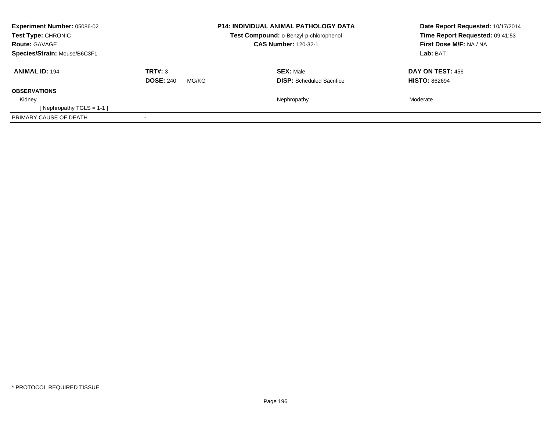| Experiment Number: 05086-02<br><b>Test Type: CHRONIC</b><br><b>Route: GAVAGE</b> |                           | <b>P14: INDIVIDUAL ANIMAL PATHOLOGY DATA</b><br>Test Compound: o-Benzyl-p-chlorophenol<br><b>CAS Number: 120-32-1</b> | Date Report Requested: 10/17/2014<br>Time Report Requested: 09:41:53<br>First Dose M/F: NA / NA |
|----------------------------------------------------------------------------------|---------------------------|-----------------------------------------------------------------------------------------------------------------------|-------------------------------------------------------------------------------------------------|
| Species/Strain: Mouse/B6C3F1                                                     |                           |                                                                                                                       | Lab: BAT                                                                                        |
| <b>ANIMAL ID: 194</b>                                                            | TRT#: 3                   | <b>SEX: Male</b>                                                                                                      | <b>DAY ON TEST: 456</b>                                                                         |
|                                                                                  | <b>DOSE: 240</b><br>MG/KG | <b>DISP:</b> Scheduled Sacrifice                                                                                      | <b>HISTO: 862694</b>                                                                            |
| <b>OBSERVATIONS</b>                                                              |                           |                                                                                                                       |                                                                                                 |
| Kidney                                                                           |                           | Nephropathy                                                                                                           | Moderate                                                                                        |
| [Nephropathy TGLS = 1-1]                                                         |                           |                                                                                                                       |                                                                                                 |
| PRIMARY CAUSE OF DEATH                                                           |                           |                                                                                                                       |                                                                                                 |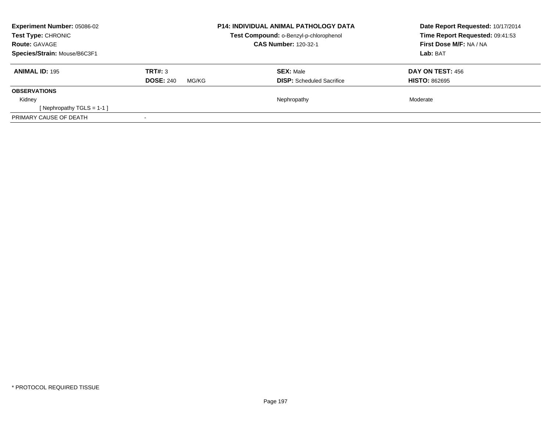| Experiment Number: 05086-02<br><b>Test Type: CHRONIC</b><br><b>Route: GAVAGE</b> |                           | <b>P14: INDIVIDUAL ANIMAL PATHOLOGY DATA</b><br>Test Compound: o-Benzyl-p-chlorophenol<br><b>CAS Number: 120-32-1</b> | Date Report Requested: 10/17/2014<br>Time Report Requested: 09:41:53<br>First Dose M/F: NA / NA |
|----------------------------------------------------------------------------------|---------------------------|-----------------------------------------------------------------------------------------------------------------------|-------------------------------------------------------------------------------------------------|
| Species/Strain: Mouse/B6C3F1                                                     |                           |                                                                                                                       | Lab: BAT                                                                                        |
| <b>ANIMAL ID: 195</b>                                                            | TRT#: 3                   | <b>SEX: Male</b>                                                                                                      | <b>DAY ON TEST: 456</b>                                                                         |
|                                                                                  | <b>DOSE: 240</b><br>MG/KG | <b>DISP:</b> Scheduled Sacrifice                                                                                      | <b>HISTO: 862695</b>                                                                            |
| <b>OBSERVATIONS</b>                                                              |                           |                                                                                                                       |                                                                                                 |
| Kidney                                                                           |                           | Nephropathy                                                                                                           | Moderate                                                                                        |
| [Nephropathy TGLS = 1-1]                                                         |                           |                                                                                                                       |                                                                                                 |
| PRIMARY CAUSE OF DEATH                                                           |                           |                                                                                                                       |                                                                                                 |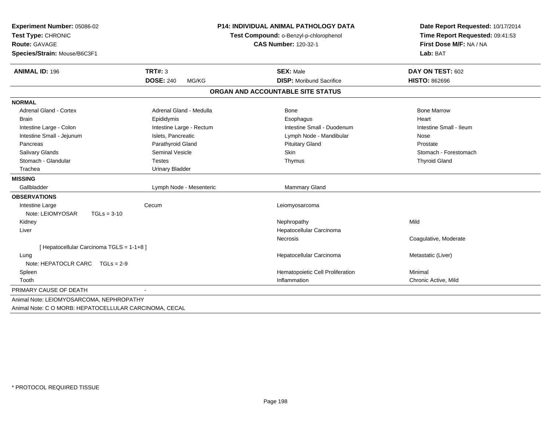| Experiment Number: 05086-02               | <b>P14: INDIVIDUAL ANIMAL PATHOLOGY DATA</b><br>Test Compound: o-Benzyl-p-chlorophenol |                                   | Date Report Requested: 10/17/2014<br>Time Report Requested: 09:41:53 |
|-------------------------------------------|----------------------------------------------------------------------------------------|-----------------------------------|----------------------------------------------------------------------|
| Test Type: CHRONIC                        |                                                                                        |                                   |                                                                      |
| Route: GAVAGE                             |                                                                                        | <b>CAS Number: 120-32-1</b>       | First Dose M/F: NA / NA                                              |
| Species/Strain: Mouse/B6C3F1              |                                                                                        |                                   | Lab: BAT                                                             |
| <b>ANIMAL ID: 196</b>                     | <b>TRT#: 3</b>                                                                         | <b>SEX: Male</b>                  | DAY ON TEST: 602                                                     |
|                                           | <b>DOSE: 240</b><br>MG/KG                                                              | <b>DISP:</b> Moribund Sacrifice   | <b>HISTO: 862696</b>                                                 |
|                                           |                                                                                        | ORGAN AND ACCOUNTABLE SITE STATUS |                                                                      |
| <b>NORMAL</b>                             |                                                                                        |                                   |                                                                      |
| <b>Adrenal Gland - Cortex</b>             | Adrenal Gland - Medulla                                                                | <b>Bone</b>                       | <b>Bone Marrow</b>                                                   |
| <b>Brain</b>                              | Epididymis                                                                             | Esophagus                         | Heart                                                                |
| Intestine Large - Colon                   | Intestine Large - Rectum                                                               | Intestine Small - Duodenum        | Intestine Small - Ileum                                              |
| Intestine Small - Jejunum                 | Islets, Pancreatic                                                                     | Lymph Node - Mandibular           | Nose                                                                 |
| Pancreas                                  | Parathyroid Gland                                                                      | <b>Pituitary Gland</b>            | Prostate                                                             |
| <b>Salivary Glands</b>                    | <b>Seminal Vesicle</b>                                                                 | Skin                              | Stomach - Forestomach                                                |
| Stomach - Glandular                       | <b>Testes</b>                                                                          | Thymus                            | <b>Thyroid Gland</b>                                                 |
| Trachea                                   | <b>Urinary Bladder</b>                                                                 |                                   |                                                                      |
| <b>MISSING</b>                            |                                                                                        |                                   |                                                                      |
| Gallbladder                               | Lymph Node - Mesenteric                                                                | <b>Mammary Gland</b>              |                                                                      |
| <b>OBSERVATIONS</b>                       |                                                                                        |                                   |                                                                      |
| Intestine Large                           | Cecum                                                                                  | Leiomyosarcoma                    |                                                                      |
| $TGLs = 3-10$<br>Note: LEIOMYOSAR         |                                                                                        |                                   |                                                                      |
| Kidney                                    |                                                                                        | Nephropathy                       | Mild                                                                 |
| Liver                                     |                                                                                        | Hepatocellular Carcinoma          |                                                                      |
|                                           |                                                                                        | Necrosis                          | Coagulative, Moderate                                                |
| [ Hepatocellular Carcinoma TGLS = 1-1+8 ] |                                                                                        |                                   |                                                                      |
| Lung                                      |                                                                                        | Hepatocellular Carcinoma          | Metastatic (Liver)                                                   |
| Note: HEPATOCLR CARC TGLs = 2-9           |                                                                                        |                                   |                                                                      |
| Spleen                                    |                                                                                        | Hematopoietic Cell Proliferation  | Minimal                                                              |
| Tooth                                     |                                                                                        | Inflammation                      | Chronic Active, Mild                                                 |
| PRIMARY CAUSE OF DEATH                    |                                                                                        |                                   |                                                                      |

Animal Note: C O MORB: HEPATOCELLULAR CARCINOMA, CECAL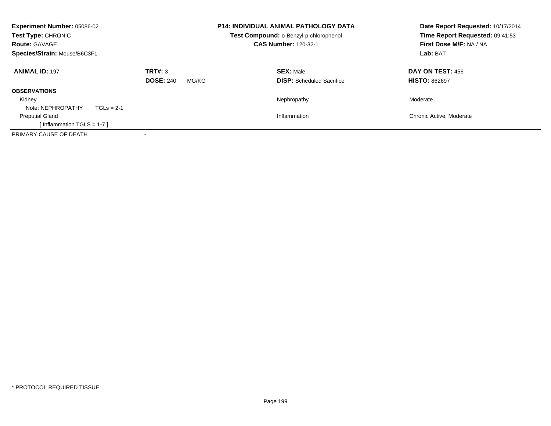| Experiment Number: 05086-02<br>Test Type: CHRONIC<br><b>Route: GAVAGE</b><br>Species/Strain: Mouse/B6C3F1 |                                      | <b>P14: INDIVIDUAL ANIMAL PATHOLOGY DATA</b><br><b>Test Compound: o-Benzyl-p-chlorophenol</b><br><b>CAS Number: 120-32-1</b> | Date Report Requested: 10/17/2014<br>Time Report Requested: 09:41:53<br>First Dose M/F: NA / NA<br>Lab: BAT |
|-----------------------------------------------------------------------------------------------------------|--------------------------------------|------------------------------------------------------------------------------------------------------------------------------|-------------------------------------------------------------------------------------------------------------|
| <b>ANIMAL ID: 197</b>                                                                                     | TRT#: 3<br><b>DOSE: 240</b><br>MG/KG | <b>SEX: Male</b><br><b>DISP:</b> Scheduled Sacrifice                                                                         | <b>DAY ON TEST: 456</b><br><b>HISTO: 862697</b>                                                             |
| <b>OBSERVATIONS</b>                                                                                       |                                      |                                                                                                                              |                                                                                                             |
| Kidney                                                                                                    |                                      | Nephropathy                                                                                                                  | Moderate                                                                                                    |
| Note: NEPHROPATHY<br>$TGLs = 2-1$                                                                         |                                      |                                                                                                                              |                                                                                                             |
| <b>Preputial Gland</b>                                                                                    |                                      | Inflammation                                                                                                                 | Chronic Active, Moderate                                                                                    |
| Inflammation $TGLS = 1-7$ ]                                                                               |                                      |                                                                                                                              |                                                                                                             |
| PRIMARY CAUSE OF DEATH                                                                                    |                                      |                                                                                                                              |                                                                                                             |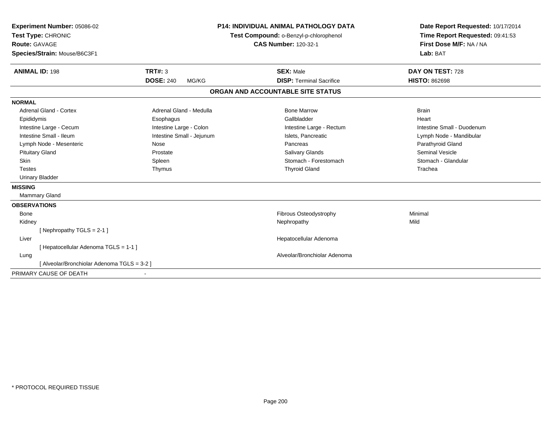| Experiment Number: 05086-02<br>Test Type: CHRONIC<br><b>Route: GAVAGE</b><br>Species/Strain: Mouse/B6C3F1 |                           | <b>P14: INDIVIDUAL ANIMAL PATHOLOGY DATA</b><br>Test Compound: o-Benzyl-p-chlorophenol<br><b>CAS Number: 120-32-1</b> | Date Report Requested: 10/17/2014<br>Time Report Requested: 09:41:53<br>First Dose M/F: NA / NA<br>Lab: BAT |
|-----------------------------------------------------------------------------------------------------------|---------------------------|-----------------------------------------------------------------------------------------------------------------------|-------------------------------------------------------------------------------------------------------------|
| <b>ANIMAL ID: 198</b>                                                                                     | TRT#: 3                   | <b>SEX: Male</b>                                                                                                      | DAY ON TEST: 728                                                                                            |
|                                                                                                           | <b>DOSE: 240</b><br>MG/KG | <b>DISP: Terminal Sacrifice</b>                                                                                       | <b>HISTO: 862698</b>                                                                                        |
|                                                                                                           |                           | ORGAN AND ACCOUNTABLE SITE STATUS                                                                                     |                                                                                                             |
| <b>NORMAL</b>                                                                                             |                           |                                                                                                                       |                                                                                                             |
| <b>Adrenal Gland - Cortex</b>                                                                             | Adrenal Gland - Medulla   | <b>Bone Marrow</b>                                                                                                    | <b>Brain</b>                                                                                                |
| Epididymis                                                                                                | Esophagus                 | Gallbladder                                                                                                           | Heart                                                                                                       |
| Intestine Large - Cecum                                                                                   | Intestine Large - Colon   | Intestine Large - Rectum                                                                                              | Intestine Small - Duodenum                                                                                  |
| Intestine Small - Ileum                                                                                   | Intestine Small - Jejunum | Islets. Pancreatic                                                                                                    | Lymph Node - Mandibular                                                                                     |
| Lymph Node - Mesenteric                                                                                   | Nose                      | Pancreas                                                                                                              | Parathyroid Gland                                                                                           |
| <b>Pituitary Gland</b>                                                                                    | Prostate                  | Salivary Glands                                                                                                       | <b>Seminal Vesicle</b>                                                                                      |
| Skin                                                                                                      | Spleen                    | Stomach - Forestomach                                                                                                 | Stomach - Glandular                                                                                         |
| <b>Testes</b>                                                                                             | Thymus                    | <b>Thyroid Gland</b>                                                                                                  | Trachea                                                                                                     |
| <b>Urinary Bladder</b>                                                                                    |                           |                                                                                                                       |                                                                                                             |
| <b>MISSING</b>                                                                                            |                           |                                                                                                                       |                                                                                                             |
| <b>Mammary Gland</b>                                                                                      |                           |                                                                                                                       |                                                                                                             |
| <b>OBSERVATIONS</b>                                                                                       |                           |                                                                                                                       |                                                                                                             |
| <b>Bone</b>                                                                                               |                           | Fibrous Osteodystrophy                                                                                                | Minimal                                                                                                     |
| Kidney                                                                                                    |                           | Nephropathy                                                                                                           | Mild                                                                                                        |
| [Nephropathy TGLS = 2-1]                                                                                  |                           |                                                                                                                       |                                                                                                             |
| Liver                                                                                                     |                           | Hepatocellular Adenoma                                                                                                |                                                                                                             |
| [ Hepatocellular Adenoma TGLS = 1-1 ]                                                                     |                           |                                                                                                                       |                                                                                                             |
| Lung                                                                                                      |                           | Alveolar/Bronchiolar Adenoma                                                                                          |                                                                                                             |
| [ Alveolar/Bronchiolar Adenoma TGLS = 3-2 ]                                                               |                           |                                                                                                                       |                                                                                                             |
| PRIMARY CAUSE OF DEATH                                                                                    |                           |                                                                                                                       |                                                                                                             |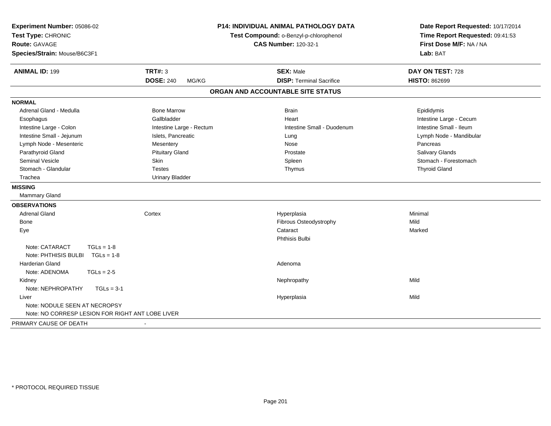| Experiment Number: 05086-02<br>Test Type: CHRONIC<br><b>Route: GAVAGE</b><br>Species/Strain: Mouse/B6C3F1 |                                             | <b>P14: INDIVIDUAL ANIMAL PATHOLOGY DATA</b><br>Test Compound: o-Benzyl-p-chlorophenol<br><b>CAS Number: 120-32-1</b> | Date Report Requested: 10/17/2014<br>Time Report Requested: 09:41:53<br>First Dose M/F: NA / NA<br>Lab: BAT |
|-----------------------------------------------------------------------------------------------------------|---------------------------------------------|-----------------------------------------------------------------------------------------------------------------------|-------------------------------------------------------------------------------------------------------------|
| <b>ANIMAL ID: 199</b>                                                                                     | <b>TRT#: 3</b><br><b>DOSE: 240</b><br>MG/KG | <b>SEX: Male</b><br><b>DISP: Terminal Sacrifice</b>                                                                   | DAY ON TEST: 728<br><b>HISTO: 862699</b>                                                                    |
|                                                                                                           |                                             | ORGAN AND ACCOUNTABLE SITE STATUS                                                                                     |                                                                                                             |
|                                                                                                           |                                             |                                                                                                                       |                                                                                                             |
| <b>NORMAL</b><br>Adrenal Gland - Medulla                                                                  | <b>Bone Marrow</b>                          |                                                                                                                       |                                                                                                             |
|                                                                                                           | Gallbladder                                 | <b>Brain</b>                                                                                                          | Epididymis                                                                                                  |
| Esophagus<br>Intestine Large - Colon                                                                      | Intestine Large - Rectum                    | Heart<br>Intestine Small - Duodenum                                                                                   | Intestine Large - Cecum<br>Intestine Small - Ileum                                                          |
| Intestine Small - Jejunum                                                                                 | Islets, Pancreatic                          | Lung                                                                                                                  | Lymph Node - Mandibular                                                                                     |
| Lymph Node - Mesenteric                                                                                   | Mesentery                                   | Nose                                                                                                                  | Pancreas                                                                                                    |
| Parathyroid Gland                                                                                         | <b>Pituitary Gland</b>                      | Prostate                                                                                                              | <b>Salivary Glands</b>                                                                                      |
| <b>Seminal Vesicle</b>                                                                                    | <b>Skin</b>                                 | Spleen                                                                                                                | Stomach - Forestomach                                                                                       |
| Stomach - Glandular                                                                                       | <b>Testes</b>                               | Thymus                                                                                                                | <b>Thyroid Gland</b>                                                                                        |
| Trachea                                                                                                   | <b>Urinary Bladder</b>                      |                                                                                                                       |                                                                                                             |
| <b>MISSING</b>                                                                                            |                                             |                                                                                                                       |                                                                                                             |
| Mammary Gland                                                                                             |                                             |                                                                                                                       |                                                                                                             |
| <b>OBSERVATIONS</b>                                                                                       |                                             |                                                                                                                       |                                                                                                             |
| <b>Adrenal Gland</b>                                                                                      | Cortex                                      | Hyperplasia                                                                                                           | Minimal                                                                                                     |
| Bone                                                                                                      |                                             | Fibrous Osteodystrophy                                                                                                | Mild                                                                                                        |
| Eye                                                                                                       |                                             | Cataract                                                                                                              | Marked                                                                                                      |
|                                                                                                           |                                             | Phthisis Bulbi                                                                                                        |                                                                                                             |
| Note: CATARACT<br>$TGLs = 1-8$                                                                            |                                             |                                                                                                                       |                                                                                                             |
| Note: PHTHISIS BULBI TGLs = 1-8                                                                           |                                             |                                                                                                                       |                                                                                                             |
| <b>Harderian Gland</b>                                                                                    |                                             | Adenoma                                                                                                               |                                                                                                             |
| Note: ADENOMA<br>$TGLs = 2-5$                                                                             |                                             |                                                                                                                       |                                                                                                             |
| Kidney                                                                                                    |                                             | Nephropathy                                                                                                           | Mild                                                                                                        |
| Note: NEPHROPATHY<br>$TGLs = 3-1$                                                                         |                                             |                                                                                                                       |                                                                                                             |
| Liver                                                                                                     |                                             | Hyperplasia                                                                                                           | Mild                                                                                                        |
| Note: NODULE SEEN AT NECROPSY                                                                             |                                             |                                                                                                                       |                                                                                                             |
| Note: NO CORRESP LESION FOR RIGHT ANT LOBE LIVER                                                          |                                             |                                                                                                                       |                                                                                                             |
| PRIMARY CAUSE OF DEATH                                                                                    |                                             |                                                                                                                       |                                                                                                             |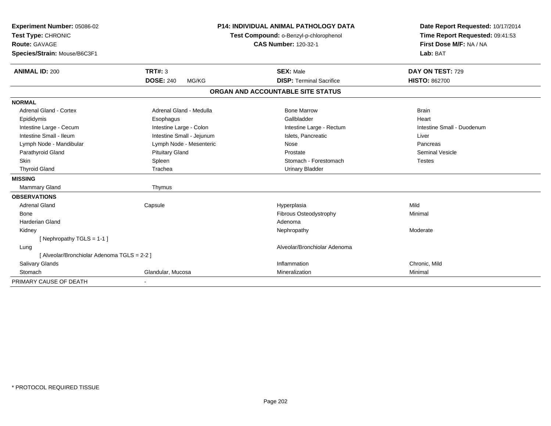| Experiment Number: 05086-02                 |                           | <b>P14: INDIVIDUAL ANIMAL PATHOLOGY DATA</b> | Date Report Requested: 10/17/2014 |
|---------------------------------------------|---------------------------|----------------------------------------------|-----------------------------------|
| Test Type: CHRONIC                          |                           | Test Compound: o-Benzyl-p-chlorophenol       | Time Report Requested: 09:41:53   |
| <b>Route: GAVAGE</b>                        |                           | <b>CAS Number: 120-32-1</b>                  | First Dose M/F: NA / NA           |
| Species/Strain: Mouse/B6C3F1                |                           |                                              | Lab: BAT                          |
| <b>ANIMAL ID: 200</b>                       | <b>TRT#: 3</b>            | <b>SEX: Male</b>                             | DAY ON TEST: 729                  |
|                                             | <b>DOSE: 240</b><br>MG/KG | <b>DISP: Terminal Sacrifice</b>              | <b>HISTO: 862700</b>              |
|                                             |                           | ORGAN AND ACCOUNTABLE SITE STATUS            |                                   |
| <b>NORMAL</b>                               |                           |                                              |                                   |
| <b>Adrenal Gland - Cortex</b>               | Adrenal Gland - Medulla   | <b>Bone Marrow</b>                           | <b>Brain</b>                      |
| Epididymis                                  | Esophagus                 | Gallbladder                                  | Heart                             |
| Intestine Large - Cecum                     | Intestine Large - Colon   | Intestine Large - Rectum                     | Intestine Small - Duodenum        |
| Intestine Small - Ileum                     | Intestine Small - Jejunum | Islets, Pancreatic                           | Liver                             |
| Lymph Node - Mandibular                     | Lymph Node - Mesenteric   | Nose                                         | Pancreas                          |
| Parathyroid Gland                           | <b>Pituitary Gland</b>    | Prostate                                     | <b>Seminal Vesicle</b>            |
| <b>Skin</b>                                 | Spleen                    | Stomach - Forestomach                        | <b>Testes</b>                     |
| <b>Thyroid Gland</b>                        | Trachea                   | <b>Urinary Bladder</b>                       |                                   |
| <b>MISSING</b>                              |                           |                                              |                                   |
| <b>Mammary Gland</b>                        | Thymus                    |                                              |                                   |
| <b>OBSERVATIONS</b>                         |                           |                                              |                                   |
| <b>Adrenal Gland</b>                        | Capsule                   | Hyperplasia                                  | Mild                              |
| <b>Bone</b>                                 |                           | Fibrous Osteodystrophy                       | Minimal                           |
| Harderian Gland                             |                           | Adenoma                                      |                                   |
| Kidney                                      |                           | Nephropathy                                  | Moderate                          |
| [Nephropathy TGLS = 1-1]                    |                           |                                              |                                   |
| Lung                                        |                           | Alveolar/Bronchiolar Adenoma                 |                                   |
| [ Alveolar/Bronchiolar Adenoma TGLS = 2-2 ] |                           |                                              |                                   |
| Salivary Glands                             |                           | Inflammation                                 | Chronic, Mild                     |
| Stomach                                     | Glandular, Mucosa         | Mineralization                               | Minimal                           |
| PRIMARY CAUSE OF DEATH                      |                           |                                              |                                   |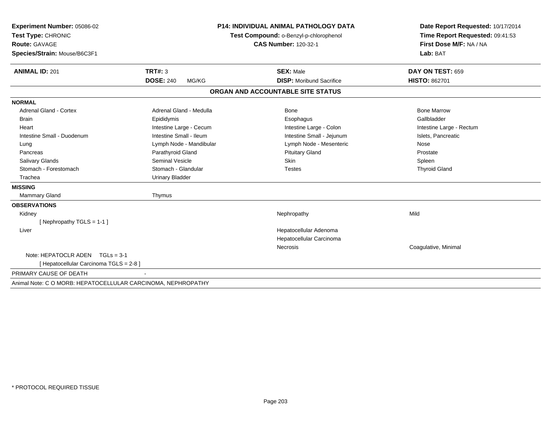| Experiment Number: 05086-02                                  |                           | <b>P14: INDIVIDUAL ANIMAL PATHOLOGY DATA</b> | Date Report Requested: 10/17/2014 |
|--------------------------------------------------------------|---------------------------|----------------------------------------------|-----------------------------------|
| Test Type: CHRONIC                                           |                           | Test Compound: o-Benzyl-p-chlorophenol       | Time Report Requested: 09:41:53   |
| <b>Route: GAVAGE</b>                                         |                           | <b>CAS Number: 120-32-1</b>                  | First Dose M/F: NA / NA           |
| Species/Strain: Mouse/B6C3F1                                 |                           |                                              | Lab: BAT                          |
| <b>ANIMAL ID: 201</b>                                        | TRT#: 3                   | <b>SEX: Male</b>                             | DAY ON TEST: 659                  |
|                                                              | <b>DOSE: 240</b><br>MG/KG | <b>DISP:</b> Moribund Sacrifice              | <b>HISTO: 862701</b>              |
|                                                              |                           | ORGAN AND ACCOUNTABLE SITE STATUS            |                                   |
| <b>NORMAL</b>                                                |                           |                                              |                                   |
| <b>Adrenal Gland - Cortex</b>                                | Adrenal Gland - Medulla   | <b>Bone</b>                                  | <b>Bone Marrow</b>                |
| <b>Brain</b>                                                 | Epididymis                | Esophagus                                    | Gallbladder                       |
| Heart                                                        | Intestine Large - Cecum   | Intestine Large - Colon                      | Intestine Large - Rectum          |
| Intestine Small - Duodenum                                   | Intestine Small - Ileum   | Intestine Small - Jejunum                    | Islets, Pancreatic                |
| Lung                                                         | Lymph Node - Mandibular   | Lymph Node - Mesenteric                      | Nose                              |
| Pancreas                                                     | Parathyroid Gland         | <b>Pituitary Gland</b>                       | Prostate                          |
| <b>Salivary Glands</b>                                       | Seminal Vesicle           | <b>Skin</b>                                  | Spleen                            |
| Stomach - Forestomach                                        | Stomach - Glandular       | <b>Testes</b>                                | <b>Thyroid Gland</b>              |
| Trachea                                                      | <b>Urinary Bladder</b>    |                                              |                                   |
| <b>MISSING</b>                                               |                           |                                              |                                   |
| <b>Mammary Gland</b>                                         | Thymus                    |                                              |                                   |
| <b>OBSERVATIONS</b>                                          |                           |                                              |                                   |
| Kidney                                                       |                           | Nephropathy                                  | Mild                              |
| [Nephropathy TGLS = 1-1]                                     |                           |                                              |                                   |
| Liver                                                        |                           | Hepatocellular Adenoma                       |                                   |
|                                                              |                           | Hepatocellular Carcinoma                     |                                   |
|                                                              |                           | <b>Necrosis</b>                              | Coagulative, Minimal              |
| Note: HEPATOCLR ADEN TGLs = 3-1                              |                           |                                              |                                   |
| [ Hepatocellular Carcinoma TGLS = 2-8 ]                      |                           |                                              |                                   |
| PRIMARY CAUSE OF DEATH                                       |                           |                                              |                                   |
| Animal Note: C O MORB: HEPATOCELLULAR CARCINOMA, NEPHROPATHY |                           |                                              |                                   |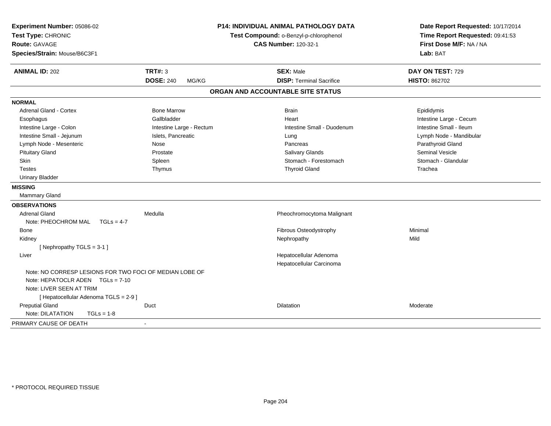| Experiment Number: 05086-02<br>Test Type: CHRONIC<br><b>Route: GAVAGE</b><br>Species/Strain: Mouse/B6C3F1 |                                    | <b>P14: INDIVIDUAL ANIMAL PATHOLOGY DATA</b><br>Test Compound: o-Benzyl-p-chlorophenol<br><b>CAS Number: 120-32-1</b> | Date Report Requested: 10/17/2014<br>Time Report Requested: 09:41:53<br>First Dose M/F: NA / NA<br>Lab: BAT |
|-----------------------------------------------------------------------------------------------------------|------------------------------------|-----------------------------------------------------------------------------------------------------------------------|-------------------------------------------------------------------------------------------------------------|
| <b>ANIMAL ID: 202</b>                                                                                     | <b>TRT#: 3</b><br><b>DOSE: 240</b> | <b>SEX: Male</b><br><b>DISP: Terminal Sacrifice</b>                                                                   | DAY ON TEST: 729<br><b>HISTO: 862702</b>                                                                    |
|                                                                                                           | MG/KG                              |                                                                                                                       |                                                                                                             |
|                                                                                                           |                                    | ORGAN AND ACCOUNTABLE SITE STATUS                                                                                     |                                                                                                             |
| <b>NORMAL</b>                                                                                             |                                    |                                                                                                                       |                                                                                                             |
| <b>Adrenal Gland - Cortex</b>                                                                             | <b>Bone Marrow</b>                 | <b>Brain</b>                                                                                                          | Epididymis                                                                                                  |
| Esophagus                                                                                                 | Gallbladder                        | Heart                                                                                                                 | Intestine Large - Cecum                                                                                     |
| Intestine Large - Colon                                                                                   | Intestine Large - Rectum           | Intestine Small - Duodenum                                                                                            | Intestine Small - Ileum                                                                                     |
| Intestine Small - Jejunum                                                                                 | Islets, Pancreatic                 | Lung                                                                                                                  | Lymph Node - Mandibular                                                                                     |
| Lymph Node - Mesenteric                                                                                   | Nose                               | Pancreas                                                                                                              | Parathyroid Gland                                                                                           |
| <b>Pituitary Gland</b>                                                                                    | Prostate                           | <b>Salivary Glands</b>                                                                                                | <b>Seminal Vesicle</b>                                                                                      |
| Skin                                                                                                      | Spleen                             | Stomach - Forestomach                                                                                                 | Stomach - Glandular                                                                                         |
| <b>Testes</b>                                                                                             | Thymus                             | <b>Thyroid Gland</b>                                                                                                  | Trachea                                                                                                     |
| <b>Urinary Bladder</b>                                                                                    |                                    |                                                                                                                       |                                                                                                             |
| <b>MISSING</b>                                                                                            |                                    |                                                                                                                       |                                                                                                             |
| <b>Mammary Gland</b>                                                                                      |                                    |                                                                                                                       |                                                                                                             |
| <b>OBSERVATIONS</b>                                                                                       |                                    |                                                                                                                       |                                                                                                             |
| <b>Adrenal Gland</b>                                                                                      | Medulla                            | Pheochromocytoma Malignant                                                                                            |                                                                                                             |
| Note: PHEOCHROM MAL<br>$TGLs = 4-7$                                                                       |                                    |                                                                                                                       |                                                                                                             |
| Bone                                                                                                      |                                    | Fibrous Osteodystrophy                                                                                                | Minimal                                                                                                     |
| Kidney                                                                                                    |                                    | Nephropathy                                                                                                           | Mild                                                                                                        |
| [Nephropathy TGLS = 3-1]                                                                                  |                                    |                                                                                                                       |                                                                                                             |
| Liver                                                                                                     |                                    | Hepatocellular Adenoma<br>Hepatocellular Carcinoma                                                                    |                                                                                                             |
| Note: NO CORRESP LESIONS FOR TWO FOCI OF MEDIAN LOBE OF                                                   |                                    |                                                                                                                       |                                                                                                             |
| Note: HEPATOCLR ADEN TGLs = 7-10                                                                          |                                    |                                                                                                                       |                                                                                                             |
| Note: LIVER SEEN AT TRIM                                                                                  |                                    |                                                                                                                       |                                                                                                             |
| [ Hepatocellular Adenoma TGLS = 2-9 ]                                                                     |                                    |                                                                                                                       |                                                                                                             |
| <b>Preputial Gland</b>                                                                                    | Duct                               | Dilatation                                                                                                            | Moderate                                                                                                    |
| Note: DILATATION<br>$TGLs = 1-8$                                                                          |                                    |                                                                                                                       |                                                                                                             |
| PRIMARY CAUSE OF DEATH                                                                                    |                                    |                                                                                                                       |                                                                                                             |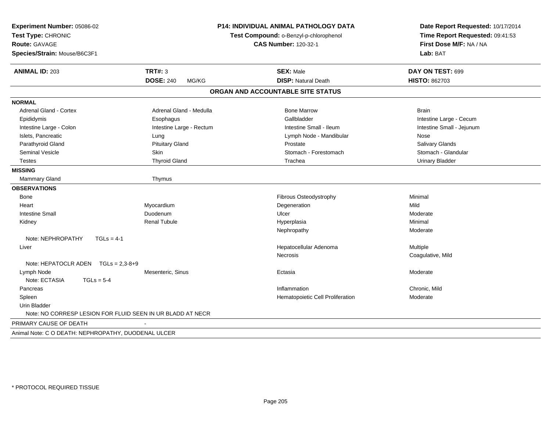| Experiment Number: 05086-02<br>Test Type: CHRONIC<br><b>Route: GAVAGE</b><br>Species/Strain: Mouse/B6C3F1 |                           | <b>P14: INDIVIDUAL ANIMAL PATHOLOGY DATA</b><br>Test Compound: o-Benzyl-p-chlorophenol<br><b>CAS Number: 120-32-1</b> | Date Report Requested: 10/17/2014<br>Time Report Requested: 09:41:53<br>First Dose M/F: NA / NA<br>Lab: BAT |
|-----------------------------------------------------------------------------------------------------------|---------------------------|-----------------------------------------------------------------------------------------------------------------------|-------------------------------------------------------------------------------------------------------------|
| <b>TRT#: 3</b><br><b>ANIMAL ID: 203</b>                                                                   |                           | <b>SEX: Male</b>                                                                                                      | DAY ON TEST: 699                                                                                            |
|                                                                                                           | <b>DOSE: 240</b><br>MG/KG | <b>DISP: Natural Death</b>                                                                                            | <b>HISTO: 862703</b>                                                                                        |
|                                                                                                           |                           | ORGAN AND ACCOUNTABLE SITE STATUS                                                                                     |                                                                                                             |
| <b>NORMAL</b>                                                                                             |                           |                                                                                                                       |                                                                                                             |
| <b>Adrenal Gland - Cortex</b>                                                                             | Adrenal Gland - Medulla   | <b>Bone Marrow</b>                                                                                                    | <b>Brain</b>                                                                                                |
| Epididymis                                                                                                | Esophagus                 | Gallbladder                                                                                                           | Intestine Large - Cecum                                                                                     |
| Intestine Large - Colon                                                                                   | Intestine Large - Rectum  | Intestine Small - Ileum                                                                                               | Intestine Small - Jejunum                                                                                   |
| Islets, Pancreatic<br>Lung                                                                                |                           | Lymph Node - Mandibular                                                                                               | Nose                                                                                                        |
| Parathyroid Gland                                                                                         | <b>Pituitary Gland</b>    | Prostate                                                                                                              | Salivary Glands                                                                                             |
| <b>Seminal Vesicle</b><br>Skin                                                                            |                           | Stomach - Forestomach                                                                                                 | Stomach - Glandular                                                                                         |
| <b>Testes</b>                                                                                             | <b>Thyroid Gland</b>      | Trachea                                                                                                               | <b>Urinary Bladder</b>                                                                                      |
| <b>MISSING</b>                                                                                            |                           |                                                                                                                       |                                                                                                             |
| Mammary Gland                                                                                             | Thymus                    |                                                                                                                       |                                                                                                             |
| <b>OBSERVATIONS</b>                                                                                       |                           |                                                                                                                       |                                                                                                             |
| Bone                                                                                                      |                           | Fibrous Osteodystrophy                                                                                                | Minimal                                                                                                     |
| Myocardium<br>Heart                                                                                       |                           | Degeneration                                                                                                          | Mild                                                                                                        |
| <b>Intestine Small</b><br>Duodenum                                                                        |                           | Ulcer                                                                                                                 | Moderate                                                                                                    |
| Kidney                                                                                                    | <b>Renal Tubule</b>       | Hyperplasia                                                                                                           | Minimal                                                                                                     |
|                                                                                                           |                           | Nephropathy                                                                                                           | Moderate                                                                                                    |
| Note: NEPHROPATHY<br>$TGLs = 4-1$                                                                         |                           |                                                                                                                       |                                                                                                             |
| Liver                                                                                                     |                           | Hepatocellular Adenoma                                                                                                | Multiple                                                                                                    |
|                                                                                                           |                           | <b>Necrosis</b>                                                                                                       | Coagulative, Mild                                                                                           |
| Note: HEPATOCLR ADEN $TGLs = 2,3-8+9$                                                                     |                           |                                                                                                                       |                                                                                                             |
| Lymph Node                                                                                                | Mesenteric, Sinus         | Ectasia                                                                                                               | Moderate                                                                                                    |
| Note: ECTASIA<br>$TGLs = 5-4$                                                                             |                           |                                                                                                                       |                                                                                                             |
| Pancreas                                                                                                  |                           | Inflammation                                                                                                          | Chronic, Mild                                                                                               |
| Spleen                                                                                                    |                           | Hematopoietic Cell Proliferation                                                                                      | Moderate                                                                                                    |
| <b>Urin Bladder</b>                                                                                       |                           |                                                                                                                       |                                                                                                             |
| Note: NO CORRESP LESION FOR FLUID SEEN IN UR BLADD AT NECR                                                |                           |                                                                                                                       |                                                                                                             |
| PRIMARY CAUSE OF DEATH                                                                                    |                           |                                                                                                                       |                                                                                                             |
| Animal Note: C O DEATH: NEPHROPATHY, DUODENAL ULCER                                                       |                           |                                                                                                                       |                                                                                                             |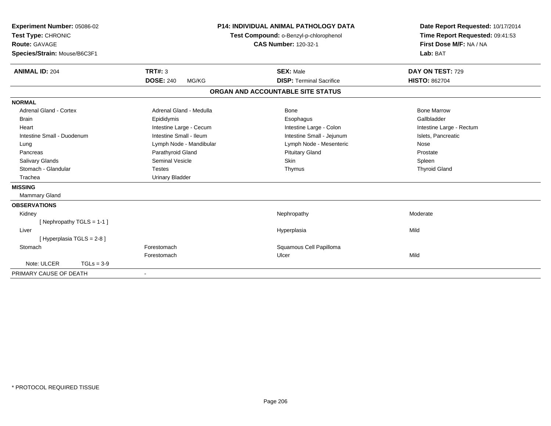| Experiment Number: 05086-02<br>Test Type: CHRONIC<br><b>Route: GAVAGE</b><br>Species/Strain: Mouse/B6C3F1<br><b>ANIMAL ID: 204</b> | TRT#: 3                   | P14: INDIVIDUAL ANIMAL PATHOLOGY DATA<br>Test Compound: o-Benzyl-p-chlorophenol<br><b>CAS Number: 120-32-1</b><br><b>SEX: Male</b> | Date Report Requested: 10/17/2014<br>Time Report Requested: 09:41:53<br>First Dose M/F: NA / NA<br>Lab: BAT<br>DAY ON TEST: 729 |
|------------------------------------------------------------------------------------------------------------------------------------|---------------------------|------------------------------------------------------------------------------------------------------------------------------------|---------------------------------------------------------------------------------------------------------------------------------|
|                                                                                                                                    | <b>DOSE: 240</b><br>MG/KG | <b>DISP: Terminal Sacrifice</b>                                                                                                    | <b>HISTO: 862704</b>                                                                                                            |
|                                                                                                                                    |                           | ORGAN AND ACCOUNTABLE SITE STATUS                                                                                                  |                                                                                                                                 |
| <b>NORMAL</b>                                                                                                                      |                           |                                                                                                                                    |                                                                                                                                 |
| Adrenal Gland - Cortex                                                                                                             | Adrenal Gland - Medulla   | <b>Bone</b>                                                                                                                        | <b>Bone Marrow</b>                                                                                                              |
| <b>Brain</b>                                                                                                                       | Epididymis                | Esophagus                                                                                                                          | Gallbladder                                                                                                                     |
| Heart                                                                                                                              | Intestine Large - Cecum   | Intestine Large - Colon                                                                                                            | Intestine Large - Rectum                                                                                                        |
| Intestine Small - Duodenum                                                                                                         | Intestine Small - Ileum   | Intestine Small - Jejunum                                                                                                          | Islets, Pancreatic                                                                                                              |
| Lung                                                                                                                               | Lymph Node - Mandibular   | Lymph Node - Mesenteric                                                                                                            | Nose                                                                                                                            |
| Pancreas                                                                                                                           | Parathyroid Gland         | <b>Pituitary Gland</b>                                                                                                             | Prostate                                                                                                                        |
| <b>Salivary Glands</b>                                                                                                             | <b>Seminal Vesicle</b>    | Skin                                                                                                                               | Spleen                                                                                                                          |
| Stomach - Glandular                                                                                                                | <b>Testes</b>             | Thymus                                                                                                                             | <b>Thyroid Gland</b>                                                                                                            |
| Trachea                                                                                                                            | <b>Urinary Bladder</b>    |                                                                                                                                    |                                                                                                                                 |
| <b>MISSING</b>                                                                                                                     |                           |                                                                                                                                    |                                                                                                                                 |
| <b>Mammary Gland</b>                                                                                                               |                           |                                                                                                                                    |                                                                                                                                 |
| <b>OBSERVATIONS</b>                                                                                                                |                           |                                                                                                                                    |                                                                                                                                 |
| Kidney                                                                                                                             |                           | Nephropathy                                                                                                                        | Moderate                                                                                                                        |
| [Nephropathy TGLS = 1-1]                                                                                                           |                           |                                                                                                                                    |                                                                                                                                 |
| Liver                                                                                                                              |                           | Hyperplasia                                                                                                                        | Mild                                                                                                                            |
| [ Hyperplasia TGLS = 2-8 ]                                                                                                         |                           |                                                                                                                                    |                                                                                                                                 |
| Stomach                                                                                                                            | Forestomach               | Squamous Cell Papilloma                                                                                                            |                                                                                                                                 |
|                                                                                                                                    | Forestomach               | Ulcer                                                                                                                              | Mild                                                                                                                            |
| Note: ULCER<br>$TGLs = 3-9$                                                                                                        |                           |                                                                                                                                    |                                                                                                                                 |
| PRIMARY CAUSE OF DEATH                                                                                                             |                           |                                                                                                                                    |                                                                                                                                 |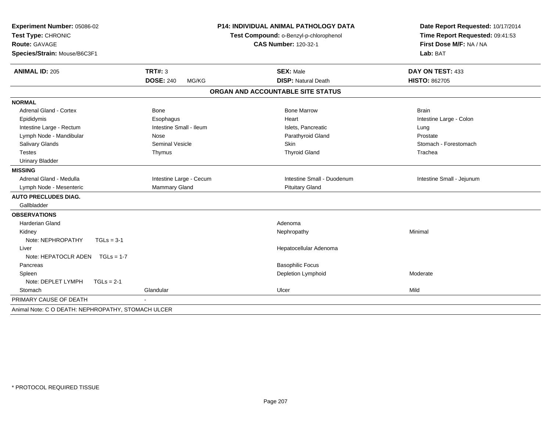| Experiment Number: 05086-02<br>Test Type: CHRONIC<br><b>Route: GAVAGE</b><br>Species/Strain: Mouse/B6C3F1 |                           | <b>P14: INDIVIDUAL ANIMAL PATHOLOGY DATA</b><br>Test Compound: o-Benzyl-p-chlorophenol<br><b>CAS Number: 120-32-1</b> | Date Report Requested: 10/17/2014<br>Time Report Requested: 09:41:53<br>First Dose M/F: NA / NA<br>Lab: BAT |
|-----------------------------------------------------------------------------------------------------------|---------------------------|-----------------------------------------------------------------------------------------------------------------------|-------------------------------------------------------------------------------------------------------------|
| <b>ANIMAL ID: 205</b>                                                                                     | TRT#: $3$                 | <b>SEX: Male</b>                                                                                                      | DAY ON TEST: 433                                                                                            |
|                                                                                                           | <b>DOSE: 240</b><br>MG/KG | <b>DISP: Natural Death</b>                                                                                            | <b>HISTO: 862705</b>                                                                                        |
|                                                                                                           |                           | ORGAN AND ACCOUNTABLE SITE STATUS                                                                                     |                                                                                                             |
| <b>NORMAL</b>                                                                                             |                           |                                                                                                                       |                                                                                                             |
| <b>Adrenal Gland - Cortex</b>                                                                             | Bone                      | <b>Bone Marrow</b>                                                                                                    | <b>Brain</b>                                                                                                |
| Epididymis                                                                                                | Esophagus                 | Heart                                                                                                                 | Intestine Large - Colon                                                                                     |
| Intestine Large - Rectum                                                                                  | Intestine Small - Ileum   | Islets, Pancreatic                                                                                                    | Lung                                                                                                        |
| Lymph Node - Mandibular                                                                                   | Nose                      | Parathyroid Gland                                                                                                     | Prostate                                                                                                    |
| Salivary Glands                                                                                           | <b>Seminal Vesicle</b>    | <b>Skin</b>                                                                                                           | Stomach - Forestomach                                                                                       |
| <b>Testes</b>                                                                                             | Thymus                    | <b>Thyroid Gland</b>                                                                                                  | Trachea                                                                                                     |
| <b>Urinary Bladder</b>                                                                                    |                           |                                                                                                                       |                                                                                                             |
| <b>MISSING</b>                                                                                            |                           |                                                                                                                       |                                                                                                             |
| Adrenal Gland - Medulla                                                                                   | Intestine Large - Cecum   | Intestine Small - Duodenum                                                                                            | Intestine Small - Jejunum                                                                                   |
| Lymph Node - Mesenteric                                                                                   | Mammary Gland             | <b>Pituitary Gland</b>                                                                                                |                                                                                                             |
| <b>AUTO PRECLUDES DIAG.</b>                                                                               |                           |                                                                                                                       |                                                                                                             |
| Gallbladder                                                                                               |                           |                                                                                                                       |                                                                                                             |
| <b>OBSERVATIONS</b>                                                                                       |                           |                                                                                                                       |                                                                                                             |
| <b>Harderian Gland</b>                                                                                    |                           | Adenoma                                                                                                               |                                                                                                             |
| Kidney                                                                                                    |                           | Nephropathy                                                                                                           | Minimal                                                                                                     |
| Note: NEPHROPATHY<br>$TGLs = 3-1$                                                                         |                           |                                                                                                                       |                                                                                                             |
| Liver                                                                                                     |                           | Hepatocellular Adenoma                                                                                                |                                                                                                             |
| Note: HEPATOCLR ADEN<br>$TGLs = 1-7$                                                                      |                           |                                                                                                                       |                                                                                                             |
| Pancreas                                                                                                  |                           | <b>Basophilic Focus</b>                                                                                               |                                                                                                             |
| Spleen                                                                                                    |                           | Depletion Lymphoid                                                                                                    | Moderate                                                                                                    |
| Note: DEPLET LYMPH<br>$TGLs = 2-1$                                                                        |                           |                                                                                                                       |                                                                                                             |
| Stomach                                                                                                   | Glandular                 | Ulcer                                                                                                                 | Mild                                                                                                        |
| PRIMARY CAUSE OF DEATH                                                                                    |                           |                                                                                                                       |                                                                                                             |
| Animal Note: C O DEATH: NEPHROPATHY, STOMACH ULCER                                                        |                           |                                                                                                                       |                                                                                                             |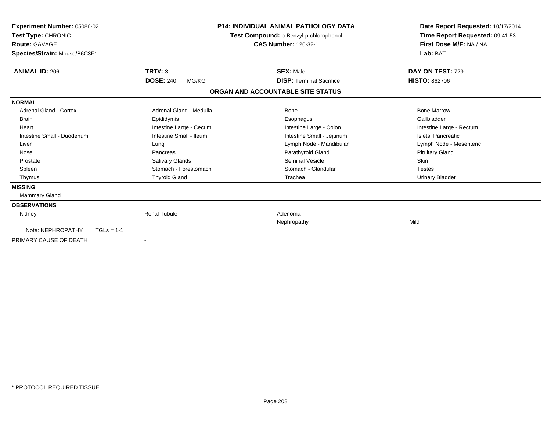| <b>Experiment Number: 05086-02</b><br>Test Type: CHRONIC<br><b>Route: GAVAGE</b><br>Species/Strain: Mouse/B6C3F1 |                           | <b>P14: INDIVIDUAL ANIMAL PATHOLOGY DATA</b><br>Test Compound: o-Benzyl-p-chlorophenol<br><b>CAS Number: 120-32-1</b> | Date Report Requested: 10/17/2014<br>Time Report Requested: 09:41:53<br>First Dose M/F: NA / NA<br>Lab: BAT |
|------------------------------------------------------------------------------------------------------------------|---------------------------|-----------------------------------------------------------------------------------------------------------------------|-------------------------------------------------------------------------------------------------------------|
| <b>ANIMAL ID: 206</b>                                                                                            | <b>TRT#: 3</b>            | <b>SEX: Male</b>                                                                                                      | DAY ON TEST: 729                                                                                            |
|                                                                                                                  | <b>DOSE: 240</b><br>MG/KG | <b>DISP: Terminal Sacrifice</b>                                                                                       | <b>HISTO: 862706</b>                                                                                        |
|                                                                                                                  |                           | ORGAN AND ACCOUNTABLE SITE STATUS                                                                                     |                                                                                                             |
| <b>NORMAL</b>                                                                                                    |                           |                                                                                                                       |                                                                                                             |
| <b>Adrenal Gland - Cortex</b>                                                                                    | Adrenal Gland - Medulla   | <b>Bone</b>                                                                                                           | <b>Bone Marrow</b>                                                                                          |
| <b>Brain</b>                                                                                                     | Epididymis                | Esophagus                                                                                                             | Gallbladder                                                                                                 |
| Heart                                                                                                            | Intestine Large - Cecum   | Intestine Large - Colon                                                                                               | Intestine Large - Rectum                                                                                    |
| Intestine Small - Duodenum                                                                                       | Intestine Small - Ileum   | Intestine Small - Jejunum                                                                                             | Islets, Pancreatic                                                                                          |
| Liver                                                                                                            | Lung                      | Lymph Node - Mandibular                                                                                               | Lymph Node - Mesenteric                                                                                     |
| Nose                                                                                                             | Pancreas                  | Parathyroid Gland                                                                                                     | <b>Pituitary Gland</b>                                                                                      |
| Prostate                                                                                                         | <b>Salivary Glands</b>    | Seminal Vesicle                                                                                                       | <b>Skin</b>                                                                                                 |
| Spleen                                                                                                           | Stomach - Forestomach     | Stomach - Glandular                                                                                                   | <b>Testes</b>                                                                                               |
| Thymus                                                                                                           | <b>Thyroid Gland</b>      | Trachea                                                                                                               | <b>Urinary Bladder</b>                                                                                      |
| <b>MISSING</b>                                                                                                   |                           |                                                                                                                       |                                                                                                             |
| Mammary Gland                                                                                                    |                           |                                                                                                                       |                                                                                                             |
| <b>OBSERVATIONS</b>                                                                                              |                           |                                                                                                                       |                                                                                                             |
| Kidney                                                                                                           | <b>Renal Tubule</b>       | Adenoma                                                                                                               |                                                                                                             |
|                                                                                                                  |                           | Nephropathy                                                                                                           | Mild                                                                                                        |
| Note: NEPHROPATHY                                                                                                | $TGLs = 1-1$              |                                                                                                                       |                                                                                                             |
| PRIMARY CAUSE OF DEATH                                                                                           | $\overline{\phantom{a}}$  |                                                                                                                       |                                                                                                             |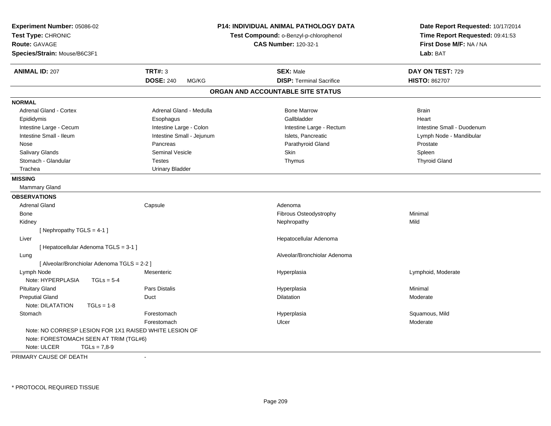| <b>Experiment Number: 05086-02</b><br>Test Type: CHRONIC<br><b>Route: GAVAGE</b><br>Species/Strain: Mouse/B6C3F1 |                           | P14: INDIVIDUAL ANIMAL PATHOLOGY DATA<br>Test Compound: o-Benzyl-p-chlorophenol<br><b>CAS Number: 120-32-1</b> | Date Report Requested: 10/17/2014<br>Time Report Requested: 09:41:53<br>First Dose M/F: NA / NA<br>Lab: BAT |
|------------------------------------------------------------------------------------------------------------------|---------------------------|----------------------------------------------------------------------------------------------------------------|-------------------------------------------------------------------------------------------------------------|
| <b>ANIMAL ID: 207</b>                                                                                            | <b>TRT#: 3</b>            | <b>SEX: Male</b>                                                                                               | DAY ON TEST: 729                                                                                            |
|                                                                                                                  | <b>DOSE: 240</b><br>MG/KG | <b>DISP: Terminal Sacrifice</b>                                                                                | <b>HISTO: 862707</b>                                                                                        |
|                                                                                                                  |                           | ORGAN AND ACCOUNTABLE SITE STATUS                                                                              |                                                                                                             |
| <b>NORMAL</b>                                                                                                    |                           |                                                                                                                |                                                                                                             |
| <b>Adrenal Gland - Cortex</b>                                                                                    | Adrenal Gland - Medulla   | <b>Bone Marrow</b>                                                                                             | <b>Brain</b>                                                                                                |
| Epididymis                                                                                                       | Esophagus                 | Gallbladder                                                                                                    | Heart                                                                                                       |
| Intestine Large - Cecum                                                                                          | Intestine Large - Colon   | Intestine Large - Rectum                                                                                       | Intestine Small - Duodenum                                                                                  |
| Intestine Small - Ileum                                                                                          | Intestine Small - Jejunum | Islets, Pancreatic                                                                                             | Lymph Node - Mandibular                                                                                     |
| Nose                                                                                                             | Pancreas                  | Parathyroid Gland                                                                                              | Prostate                                                                                                    |
| Salivary Glands                                                                                                  | <b>Seminal Vesicle</b>    | Skin                                                                                                           | Spleen                                                                                                      |
| Stomach - Glandular                                                                                              | <b>Testes</b>             | Thymus                                                                                                         | <b>Thyroid Gland</b>                                                                                        |
| Trachea                                                                                                          | <b>Urinary Bladder</b>    |                                                                                                                |                                                                                                             |
| <b>MISSING</b>                                                                                                   |                           |                                                                                                                |                                                                                                             |
| Mammary Gland                                                                                                    |                           |                                                                                                                |                                                                                                             |
| <b>OBSERVATIONS</b>                                                                                              |                           |                                                                                                                |                                                                                                             |
| <b>Adrenal Gland</b>                                                                                             | Capsule                   | Adenoma                                                                                                        |                                                                                                             |
| Bone                                                                                                             |                           | Fibrous Osteodystrophy                                                                                         | Minimal                                                                                                     |
| Kidney                                                                                                           |                           | Nephropathy                                                                                                    | Mild                                                                                                        |
| [Nephropathy TGLS = 4-1]                                                                                         |                           |                                                                                                                |                                                                                                             |
| Liver                                                                                                            |                           | Hepatocellular Adenoma                                                                                         |                                                                                                             |
| [ Hepatocellular Adenoma TGLS = 3-1 ]                                                                            |                           |                                                                                                                |                                                                                                             |
| Lung                                                                                                             |                           | Alveolar/Bronchiolar Adenoma                                                                                   |                                                                                                             |
| [ Alveolar/Bronchiolar Adenoma TGLS = 2-2 ]                                                                      |                           |                                                                                                                |                                                                                                             |
| Lymph Node                                                                                                       | Mesenteric                | Hyperplasia                                                                                                    | Lymphoid, Moderate                                                                                          |
| Note: HYPERPLASIA<br>$TGLs = 5-4$                                                                                |                           |                                                                                                                |                                                                                                             |
| <b>Pituitary Gland</b>                                                                                           | Pars Distalis             | Hyperplasia                                                                                                    | Minimal                                                                                                     |
| <b>Preputial Gland</b>                                                                                           | Duct                      | <b>Dilatation</b>                                                                                              | Moderate                                                                                                    |
| Note: DILATATION<br>$TGLs = 1-8$                                                                                 |                           |                                                                                                                |                                                                                                             |
| Stomach                                                                                                          | Forestomach               | Hyperplasia                                                                                                    | Squamous, Mild                                                                                              |
|                                                                                                                  | Forestomach               | Ulcer                                                                                                          | Moderate                                                                                                    |
| Note: NO CORRESP LESION FOR 1X1 RAISED WHITE LESION OF<br>Note: FORESTOMACH SEEN AT TRIM (TGL#6)                 |                           |                                                                                                                |                                                                                                             |
| Note: ULCER<br>$TGLs = 7,8-9$                                                                                    |                           |                                                                                                                |                                                                                                             |
| <b>DOILIADY OALIGE OF BEATLE</b>                                                                                 |                           |                                                                                                                |                                                                                                             |

PRIMARY CAUSE OF DEATH-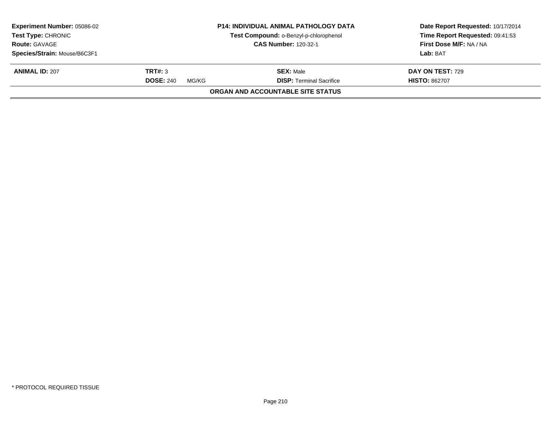| <b>Experiment Number: 05086-02</b><br>Test Type: CHRONIC |                           | <b>P14: INDIVIDUAL ANIMAL PATHOLOGY DATA</b><br>Test Compound: o-Benzyl-p-chlorophenol | Date Report Requested: 10/17/2014<br>Time Report Requested: 09:41:53 |
|----------------------------------------------------------|---------------------------|----------------------------------------------------------------------------------------|----------------------------------------------------------------------|
| <b>CAS Number: 120-32-1</b><br><b>Route: GAVAGE</b>      |                           |                                                                                        | First Dose M/F: NA / NA                                              |
| Species/Strain: Mouse/B6C3F1                             |                           |                                                                                        | Lab: BAT                                                             |
| <b>ANIMAL ID: 207</b>                                    | TRT#: 3                   | <b>SEX: Male</b>                                                                       | <b>DAY ON TEST: 729</b>                                              |
|                                                          | <b>DOSE: 240</b><br>MG/KG | <b>DISP: Terminal Sacrifice</b>                                                        | <b>HISTO: 862707</b>                                                 |
|                                                          |                           | ORGAN AND ACCOUNTABLE SITE STATUS                                                      |                                                                      |
|                                                          |                           |                                                                                        |                                                                      |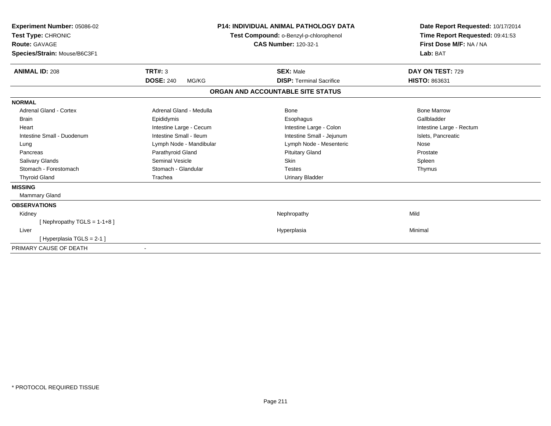| <b>Experiment Number: 05086-02</b><br>Test Type: CHRONIC<br><b>Route: GAVAGE</b><br>Species/Strain: Mouse/B6C3F1 | <b>P14: INDIVIDUAL ANIMAL PATHOLOGY DATA</b><br>Test Compound: o-Benzyl-p-chlorophenol<br><b>CAS Number: 120-32-1</b> |                                   | Date Report Requested: 10/17/2014<br>Time Report Requested: 09:41:53<br>First Dose M/F: NA / NA<br>Lab: BAT |  |
|------------------------------------------------------------------------------------------------------------------|-----------------------------------------------------------------------------------------------------------------------|-----------------------------------|-------------------------------------------------------------------------------------------------------------|--|
| <b>ANIMAL ID: 208</b>                                                                                            | <b>TRT#: 3</b>                                                                                                        | <b>SEX: Male</b>                  | DAY ON TEST: 729                                                                                            |  |
|                                                                                                                  | <b>DOSE: 240</b><br>MG/KG                                                                                             | <b>DISP: Terminal Sacrifice</b>   | HISTO: 863631                                                                                               |  |
|                                                                                                                  |                                                                                                                       | ORGAN AND ACCOUNTABLE SITE STATUS |                                                                                                             |  |
| <b>NORMAL</b>                                                                                                    |                                                                                                                       |                                   |                                                                                                             |  |
| Adrenal Gland - Cortex                                                                                           | Adrenal Gland - Medulla                                                                                               | <b>Bone</b>                       | <b>Bone Marrow</b>                                                                                          |  |
| <b>Brain</b>                                                                                                     | Epididymis                                                                                                            | Esophagus                         | Gallbladder                                                                                                 |  |
| Heart                                                                                                            | Intestine Large - Cecum                                                                                               | Intestine Large - Colon           | Intestine Large - Rectum                                                                                    |  |
| Intestine Small - Duodenum                                                                                       | Intestine Small - Ileum                                                                                               | Intestine Small - Jejunum         | Islets, Pancreatic                                                                                          |  |
| Lung                                                                                                             | Lymph Node - Mandibular                                                                                               | Lymph Node - Mesenteric           | Nose                                                                                                        |  |
| Pancreas                                                                                                         | Parathyroid Gland                                                                                                     | <b>Pituitary Gland</b>            | Prostate                                                                                                    |  |
| <b>Salivary Glands</b>                                                                                           | Seminal Vesicle                                                                                                       | <b>Skin</b>                       | Spleen                                                                                                      |  |
| Stomach - Forestomach                                                                                            | Stomach - Glandular                                                                                                   | <b>Testes</b>                     | Thymus                                                                                                      |  |
| <b>Thyroid Gland</b>                                                                                             | Trachea                                                                                                               | <b>Urinary Bladder</b>            |                                                                                                             |  |
| <b>MISSING</b>                                                                                                   |                                                                                                                       |                                   |                                                                                                             |  |
| <b>Mammary Gland</b>                                                                                             |                                                                                                                       |                                   |                                                                                                             |  |
| <b>OBSERVATIONS</b>                                                                                              |                                                                                                                       |                                   |                                                                                                             |  |
| Kidney                                                                                                           |                                                                                                                       | Nephropathy                       | Mild                                                                                                        |  |
| [Nephropathy TGLS = $1-1+8$ ]                                                                                    |                                                                                                                       |                                   |                                                                                                             |  |
| Liver                                                                                                            |                                                                                                                       | Hyperplasia                       | Minimal                                                                                                     |  |
| [Hyperplasia TGLS = 2-1]                                                                                         |                                                                                                                       |                                   |                                                                                                             |  |
| PRIMARY CAUSE OF DEATH                                                                                           | $\overline{\phantom{a}}$                                                                                              |                                   |                                                                                                             |  |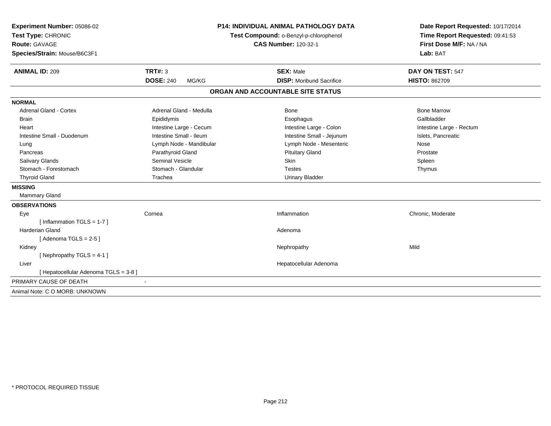| <b>P14: INDIVIDUAL ANIMAL PATHOLOGY DATA</b><br>Experiment Number: 05086-02 |                           |                                        | Date Report Requested: 10/17/2014 |
|-----------------------------------------------------------------------------|---------------------------|----------------------------------------|-----------------------------------|
| Test Type: CHRONIC                                                          |                           | Test Compound: o-Benzyl-p-chlorophenol | Time Report Requested: 09:41:53   |
| Route: GAVAGE                                                               |                           | <b>CAS Number: 120-32-1</b>            | First Dose M/F: NA / NA           |
| Species/Strain: Mouse/B6C3F1                                                |                           |                                        | Lab: BAT                          |
| <b>ANIMAL ID: 209</b>                                                       | <b>TRT#: 3</b>            | <b>SEX: Male</b>                       | DAY ON TEST: 547                  |
|                                                                             | <b>DOSE: 240</b><br>MG/KG | <b>DISP:</b> Moribund Sacrifice        | <b>HISTO: 862709</b>              |
|                                                                             |                           | ORGAN AND ACCOUNTABLE SITE STATUS      |                                   |
| <b>NORMAL</b>                                                               |                           |                                        |                                   |
| <b>Adrenal Gland - Cortex</b>                                               | Adrenal Gland - Medulla   | Bone                                   | <b>Bone Marrow</b>                |
| Brain                                                                       | Epididymis                | Esophagus                              | Gallbladder                       |
| Heart                                                                       | Intestine Large - Cecum   | Intestine Large - Colon                | Intestine Large - Rectum          |
| Intestine Small - Duodenum                                                  | Intestine Small - Ileum   | Intestine Small - Jejunum              | Islets, Pancreatic                |
| Lung                                                                        | Lymph Node - Mandibular   | Lymph Node - Mesenteric                | Nose                              |
| Pancreas                                                                    | Parathyroid Gland         | <b>Pituitary Gland</b>                 | Prostate                          |
| <b>Salivary Glands</b>                                                      | <b>Seminal Vesicle</b>    | Skin                                   | Spleen                            |
| Stomach - Forestomach                                                       | Stomach - Glandular       | <b>Testes</b>                          | Thymus                            |
| <b>Thyroid Gland</b>                                                        | Trachea                   | <b>Urinary Bladder</b>                 |                                   |
| <b>MISSING</b>                                                              |                           |                                        |                                   |
| Mammary Gland                                                               |                           |                                        |                                   |
| <b>OBSERVATIONS</b>                                                         |                           |                                        |                                   |
| Eye                                                                         | Cornea                    | Inflammation                           | Chronic, Moderate                 |
| [Inflammation TGLS = $1-7$ ]                                                |                           |                                        |                                   |
| <b>Harderian Gland</b>                                                      |                           | Adenoma                                |                                   |
| [Adenoma TGLS = $2-5$ ]                                                     |                           |                                        |                                   |
| Kidney                                                                      |                           | Nephropathy                            | Mild                              |
| [Nephropathy TGLS = 4-1]                                                    |                           |                                        |                                   |
| Liver                                                                       |                           | Hepatocellular Adenoma                 |                                   |
| [ Hepatocellular Adenoma TGLS = 3-8 ]                                       |                           |                                        |                                   |
| PRIMARY CAUSE OF DEATH                                                      |                           |                                        |                                   |
| Animal Note: C O MORB: UNKNOWN                                              |                           |                                        |                                   |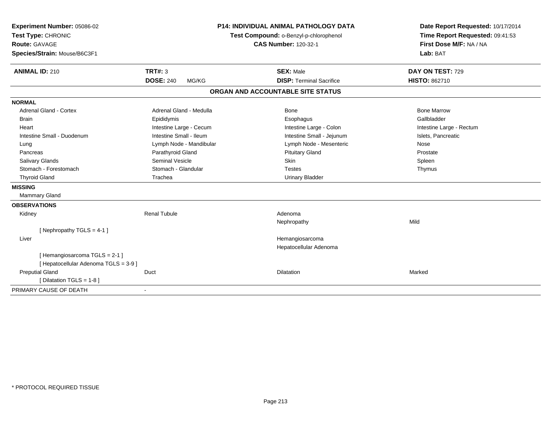| Experiment Number: 05086-02<br>Test Type: CHRONIC<br><b>Route: GAVAGE</b> |                           | <b>P14: INDIVIDUAL ANIMAL PATHOLOGY DATA</b><br>Test Compound: o-Benzyl-p-chlorophenol<br><b>CAS Number: 120-32-1</b> | Date Report Requested: 10/17/2014<br>Time Report Requested: 09:41:53<br>First Dose M/F: NA / NA |
|---------------------------------------------------------------------------|---------------------------|-----------------------------------------------------------------------------------------------------------------------|-------------------------------------------------------------------------------------------------|
| Species/Strain: Mouse/B6C3F1                                              |                           |                                                                                                                       | Lab: BAT                                                                                        |
| <b>ANIMAL ID: 210</b>                                                     | TRT#: 3                   | <b>SEX: Male</b>                                                                                                      | DAY ON TEST: 729                                                                                |
|                                                                           | <b>DOSE: 240</b><br>MG/KG | <b>DISP: Terminal Sacrifice</b>                                                                                       | <b>HISTO: 862710</b>                                                                            |
|                                                                           |                           | ORGAN AND ACCOUNTABLE SITE STATUS                                                                                     |                                                                                                 |
| <b>NORMAL</b>                                                             |                           |                                                                                                                       |                                                                                                 |
| Adrenal Gland - Cortex                                                    | Adrenal Gland - Medulla   | <b>Bone</b>                                                                                                           | <b>Bone Marrow</b>                                                                              |
| <b>Brain</b>                                                              | Epididymis                | Esophagus                                                                                                             | Gallbladder                                                                                     |
| Heart                                                                     | Intestine Large - Cecum   | Intestine Large - Colon                                                                                               | Intestine Large - Rectum                                                                        |
| Intestine Small - Duodenum                                                | Intestine Small - Ileum   | Intestine Small - Jejunum                                                                                             | Islets, Pancreatic                                                                              |
| Lung                                                                      | Lymph Node - Mandibular   | Lymph Node - Mesenteric                                                                                               | Nose                                                                                            |
| Pancreas                                                                  | Parathyroid Gland         | <b>Pituitary Gland</b>                                                                                                | Prostate                                                                                        |
| <b>Salivary Glands</b>                                                    | <b>Seminal Vesicle</b>    | Skin                                                                                                                  | Spleen                                                                                          |
| Stomach - Forestomach                                                     | Stomach - Glandular       | <b>Testes</b>                                                                                                         | Thymus                                                                                          |
| <b>Thyroid Gland</b>                                                      | Trachea                   | <b>Urinary Bladder</b>                                                                                                |                                                                                                 |
| <b>MISSING</b>                                                            |                           |                                                                                                                       |                                                                                                 |
| <b>Mammary Gland</b>                                                      |                           |                                                                                                                       |                                                                                                 |
| <b>OBSERVATIONS</b>                                                       |                           |                                                                                                                       |                                                                                                 |
| Kidney                                                                    | <b>Renal Tubule</b>       | Adenoma                                                                                                               |                                                                                                 |
|                                                                           |                           | Nephropathy                                                                                                           | Mild                                                                                            |
| [Nephropathy TGLS = 4-1]                                                  |                           |                                                                                                                       |                                                                                                 |
| Liver                                                                     |                           | Hemangiosarcoma                                                                                                       |                                                                                                 |
|                                                                           |                           | Hepatocellular Adenoma                                                                                                |                                                                                                 |
| [Hemangiosarcoma TGLS = 2-1]<br>[ Hepatocellular Adenoma TGLS = 3-9 ]     |                           |                                                                                                                       |                                                                                                 |
| <b>Preputial Gland</b>                                                    | Duct                      | <b>Dilatation</b>                                                                                                     | Marked                                                                                          |
| [ Dilatation TGLS = 1-8 ]                                                 |                           |                                                                                                                       |                                                                                                 |
| PRIMARY CAUSE OF DEATH                                                    |                           |                                                                                                                       |                                                                                                 |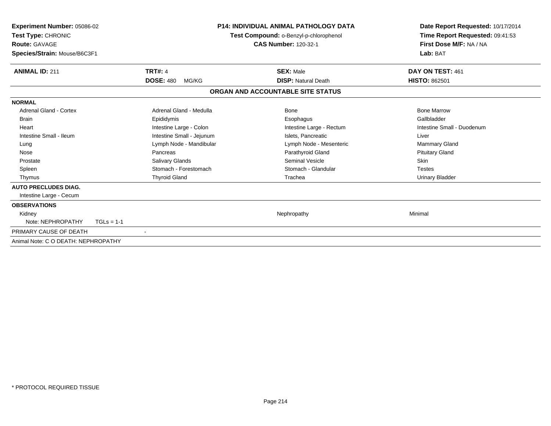| Experiment Number: 05086-02<br>Test Type: CHRONIC<br><b>Route: GAVAGE</b><br>Species/Strain: Mouse/B6C3F1 | <b>P14: INDIVIDUAL ANIMAL PATHOLOGY DATA</b><br>Test Compound: o-Benzyl-p-chlorophenol<br><b>CAS Number: 120-32-1</b> |                                   | Date Report Requested: 10/17/2014<br>Time Report Requested: 09:41:53<br>First Dose M/F: NA / NA<br>Lab: BAT |
|-----------------------------------------------------------------------------------------------------------|-----------------------------------------------------------------------------------------------------------------------|-----------------------------------|-------------------------------------------------------------------------------------------------------------|
| <b>ANIMAL ID: 211</b>                                                                                     | <b>TRT#: 4</b>                                                                                                        | <b>SEX: Male</b>                  | DAY ON TEST: 461                                                                                            |
|                                                                                                           | <b>DOSE: 480</b><br>MG/KG                                                                                             | <b>DISP: Natural Death</b>        | <b>HISTO: 862501</b>                                                                                        |
|                                                                                                           |                                                                                                                       | ORGAN AND ACCOUNTABLE SITE STATUS |                                                                                                             |
| <b>NORMAL</b>                                                                                             |                                                                                                                       |                                   |                                                                                                             |
| Adrenal Gland - Cortex                                                                                    | Adrenal Gland - Medulla                                                                                               | <b>Bone</b>                       | <b>Bone Marrow</b>                                                                                          |
| Brain                                                                                                     | Epididymis                                                                                                            | Esophagus                         | Gallbladder                                                                                                 |
| Heart                                                                                                     | Intestine Large - Colon                                                                                               | Intestine Large - Rectum          | Intestine Small - Duodenum                                                                                  |
| Intestine Small - Ileum                                                                                   | Intestine Small - Jejunum                                                                                             | Islets. Pancreatic                | Liver                                                                                                       |
| Lung                                                                                                      | Lymph Node - Mandibular                                                                                               | Lymph Node - Mesenteric           | <b>Mammary Gland</b>                                                                                        |
| Nose                                                                                                      | Pancreas                                                                                                              | Parathyroid Gland                 | <b>Pituitary Gland</b>                                                                                      |
| Prostate                                                                                                  | Salivary Glands                                                                                                       | <b>Seminal Vesicle</b>            | Skin                                                                                                        |
| Spleen                                                                                                    | Stomach - Forestomach                                                                                                 | Stomach - Glandular               | <b>Testes</b>                                                                                               |
| Thymus                                                                                                    | <b>Thyroid Gland</b>                                                                                                  | Trachea                           | <b>Urinary Bladder</b>                                                                                      |
| <b>AUTO PRECLUDES DIAG.</b>                                                                               |                                                                                                                       |                                   |                                                                                                             |
| Intestine Large - Cecum                                                                                   |                                                                                                                       |                                   |                                                                                                             |
| <b>OBSERVATIONS</b>                                                                                       |                                                                                                                       |                                   |                                                                                                             |
| Kidney                                                                                                    |                                                                                                                       | Nephropathy                       | Minimal                                                                                                     |
| Note: NEPHROPATHY<br>$TGLs = 1-1$                                                                         |                                                                                                                       |                                   |                                                                                                             |
| PRIMARY CAUSE OF DEATH                                                                                    |                                                                                                                       |                                   |                                                                                                             |
| Animal Note: C O DEATH: NEPHROPATHY                                                                       |                                                                                                                       |                                   |                                                                                                             |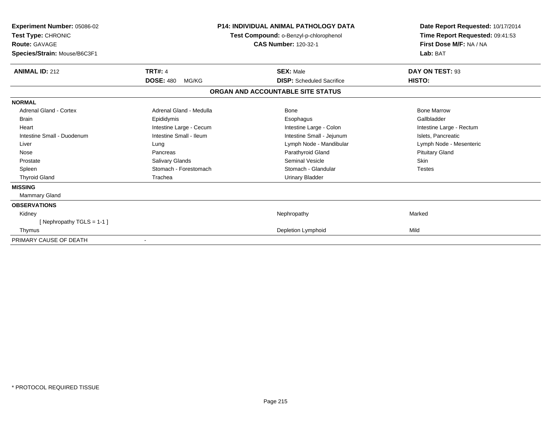| Experiment Number: 05086-02<br><b>Test Type: CHRONIC</b><br><b>Route: GAVAGE</b><br>Species/Strain: Mouse/B6C3F1 | <b>P14: INDIVIDUAL ANIMAL PATHOLOGY DATA</b><br>Test Compound: o-Benzyl-p-chlorophenol<br><b>CAS Number: 120-32-1</b> |                                   | Date Report Requested: 10/17/2014<br>Time Report Requested: 09:41:53<br>First Dose M/F: NA / NA<br>Lab: BAT |
|------------------------------------------------------------------------------------------------------------------|-----------------------------------------------------------------------------------------------------------------------|-----------------------------------|-------------------------------------------------------------------------------------------------------------|
| <b>ANIMAL ID: 212</b>                                                                                            | <b>TRT#: 4</b>                                                                                                        | <b>SEX: Male</b>                  | DAY ON TEST: 93                                                                                             |
|                                                                                                                  | <b>DOSE: 480</b><br>MG/KG                                                                                             | <b>DISP:</b> Scheduled Sacrifice  | HISTO:                                                                                                      |
|                                                                                                                  |                                                                                                                       | ORGAN AND ACCOUNTABLE SITE STATUS |                                                                                                             |
| <b>NORMAL</b>                                                                                                    |                                                                                                                       |                                   |                                                                                                             |
| <b>Adrenal Gland - Cortex</b>                                                                                    | Adrenal Gland - Medulla                                                                                               | Bone                              | <b>Bone Marrow</b>                                                                                          |
| <b>Brain</b>                                                                                                     | Epididymis                                                                                                            | Esophagus                         | Gallbladder                                                                                                 |
| Heart                                                                                                            | Intestine Large - Cecum                                                                                               | Intestine Large - Colon           | Intestine Large - Rectum                                                                                    |
| Intestine Small - Duodenum                                                                                       | Intestine Small - Ileum                                                                                               | Intestine Small - Jejunum         | Islets, Pancreatic                                                                                          |
| Liver                                                                                                            | Lung                                                                                                                  | Lymph Node - Mandibular           | Lymph Node - Mesenteric                                                                                     |
| Nose                                                                                                             | Pancreas                                                                                                              | Parathyroid Gland                 | <b>Pituitary Gland</b>                                                                                      |
| Prostate                                                                                                         | Salivary Glands                                                                                                       | <b>Seminal Vesicle</b>            | <b>Skin</b>                                                                                                 |
| Spleen                                                                                                           | Stomach - Forestomach                                                                                                 | Stomach - Glandular               | <b>Testes</b>                                                                                               |
| <b>Thyroid Gland</b>                                                                                             | Trachea                                                                                                               | <b>Urinary Bladder</b>            |                                                                                                             |
| <b>MISSING</b>                                                                                                   |                                                                                                                       |                                   |                                                                                                             |
| Mammary Gland                                                                                                    |                                                                                                                       |                                   |                                                                                                             |
| <b>OBSERVATIONS</b>                                                                                              |                                                                                                                       |                                   |                                                                                                             |
| Kidney                                                                                                           |                                                                                                                       | Nephropathy                       | Marked                                                                                                      |
| [ Nephropathy $TGLS = 1-1$ ]                                                                                     |                                                                                                                       |                                   |                                                                                                             |
| Thymus                                                                                                           |                                                                                                                       | <b>Depletion Lymphoid</b>         | Mild                                                                                                        |
| PRIMARY CAUSE OF DEATH                                                                                           |                                                                                                                       |                                   |                                                                                                             |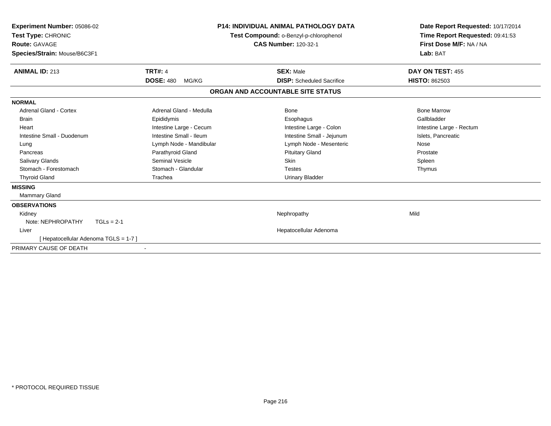| Experiment Number: 05086-02<br>Test Type: CHRONIC<br>Route: GAVAGE<br>Species/Strain: Mouse/B6C3F1 | <b>P14: INDIVIDUAL ANIMAL PATHOLOGY DATA</b><br>Test Compound: o-Benzyl-p-chlorophenol<br><b>CAS Number: 120-32-1</b> |                                   | Date Report Requested: 10/17/2014<br>Time Report Requested: 09:41:53<br>First Dose M/F: NA / NA<br>Lab: BAT |
|----------------------------------------------------------------------------------------------------|-----------------------------------------------------------------------------------------------------------------------|-----------------------------------|-------------------------------------------------------------------------------------------------------------|
| <b>ANIMAL ID: 213</b>                                                                              | <b>TRT#: 4</b>                                                                                                        | <b>SEX: Male</b>                  | DAY ON TEST: 455                                                                                            |
|                                                                                                    | <b>DOSE: 480</b><br>MG/KG                                                                                             | <b>DISP:</b> Scheduled Sacrifice  | <b>HISTO: 862503</b>                                                                                        |
|                                                                                                    |                                                                                                                       | ORGAN AND ACCOUNTABLE SITE STATUS |                                                                                                             |
| <b>NORMAL</b>                                                                                      |                                                                                                                       |                                   |                                                                                                             |
| <b>Adrenal Gland - Cortex</b>                                                                      | Adrenal Gland - Medulla                                                                                               | <b>Bone</b>                       | <b>Bone Marrow</b>                                                                                          |
| Brain                                                                                              | Epididymis                                                                                                            | Esophagus                         | Gallbladder                                                                                                 |
| Heart                                                                                              | Intestine Large - Cecum                                                                                               | Intestine Large - Colon           | Intestine Large - Rectum                                                                                    |
| Intestine Small - Duodenum                                                                         | Intestine Small - Ileum                                                                                               | Intestine Small - Jejunum         | Islets, Pancreatic                                                                                          |
| Lung                                                                                               | Lymph Node - Mandibular                                                                                               | Lymph Node - Mesenteric           | Nose                                                                                                        |
| Pancreas                                                                                           | Parathyroid Gland                                                                                                     | <b>Pituitary Gland</b>            | Prostate                                                                                                    |
| <b>Salivary Glands</b>                                                                             | Seminal Vesicle                                                                                                       | <b>Skin</b>                       | Spleen                                                                                                      |
| Stomach - Forestomach                                                                              | Stomach - Glandular                                                                                                   | <b>Testes</b>                     | Thymus                                                                                                      |
| <b>Thyroid Gland</b>                                                                               | Trachea                                                                                                               | <b>Urinary Bladder</b>            |                                                                                                             |
| <b>MISSING</b>                                                                                     |                                                                                                                       |                                   |                                                                                                             |
| <b>Mammary Gland</b>                                                                               |                                                                                                                       |                                   |                                                                                                             |
| <b>OBSERVATIONS</b>                                                                                |                                                                                                                       |                                   |                                                                                                             |
| Kidney                                                                                             |                                                                                                                       | Nephropathy                       | Mild                                                                                                        |
| Note: NEPHROPATHY<br>$TGLs = 2-1$                                                                  |                                                                                                                       |                                   |                                                                                                             |
| Liver                                                                                              |                                                                                                                       | Hepatocellular Adenoma            |                                                                                                             |
| [Hepatocellular Adenoma TGLS = 1-7]                                                                |                                                                                                                       |                                   |                                                                                                             |
| PRIMARY CAUSE OF DEATH                                                                             |                                                                                                                       |                                   |                                                                                                             |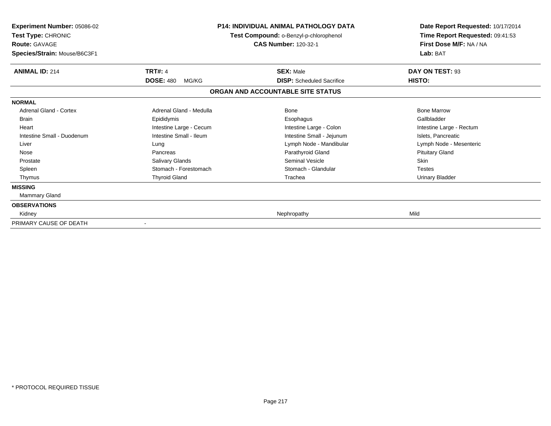| <b>Experiment Number: 05086-02</b><br>Test Type: CHRONIC<br><b>Route: GAVAGE</b><br>Species/Strain: Mouse/B6C3F1 | <b>P14: INDIVIDUAL ANIMAL PATHOLOGY DATA</b><br>Test Compound: o-Benzyl-p-chlorophenol<br><b>CAS Number: 120-32-1</b> |                                                      | Date Report Requested: 10/17/2014<br>Time Report Requested: 09:41:53<br>First Dose M/F: NA / NA<br>Lab: BAT |
|------------------------------------------------------------------------------------------------------------------|-----------------------------------------------------------------------------------------------------------------------|------------------------------------------------------|-------------------------------------------------------------------------------------------------------------|
| <b>ANIMAL ID: 214</b>                                                                                            | <b>TRT#: 4</b><br><b>DOSE: 480</b>                                                                                    | <b>SEX: Male</b><br><b>DISP:</b> Scheduled Sacrifice | DAY ON TEST: 93                                                                                             |
|                                                                                                                  | MG/KG                                                                                                                 | ORGAN AND ACCOUNTABLE SITE STATUS                    | HISTO:                                                                                                      |
| <b>NORMAL</b>                                                                                                    |                                                                                                                       |                                                      |                                                                                                             |
| Adrenal Gland - Cortex                                                                                           | Adrenal Gland - Medulla                                                                                               | Bone                                                 | <b>Bone Marrow</b>                                                                                          |
| <b>Brain</b>                                                                                                     | Epididymis                                                                                                            | Esophagus                                            | Gallbladder                                                                                                 |
| Heart                                                                                                            | Intestine Large - Cecum                                                                                               | Intestine Large - Colon                              | Intestine Large - Rectum                                                                                    |
| Intestine Small - Duodenum                                                                                       | Intestine Small - Ileum                                                                                               | Intestine Small - Jejunum                            | Islets, Pancreatic                                                                                          |
| Liver                                                                                                            | Lung                                                                                                                  | Lymph Node - Mandibular                              | Lymph Node - Mesenteric                                                                                     |
| Nose                                                                                                             | Pancreas                                                                                                              | Parathyroid Gland                                    | <b>Pituitary Gland</b>                                                                                      |
| Prostate                                                                                                         | Salivary Glands                                                                                                       | <b>Seminal Vesicle</b>                               | Skin                                                                                                        |
| Spleen                                                                                                           | Stomach - Forestomach                                                                                                 | Stomach - Glandular                                  | <b>Testes</b>                                                                                               |
| Thymus                                                                                                           | <b>Thyroid Gland</b>                                                                                                  | Trachea                                              | <b>Urinary Bladder</b>                                                                                      |
| <b>MISSING</b>                                                                                                   |                                                                                                                       |                                                      |                                                                                                             |
| Mammary Gland                                                                                                    |                                                                                                                       |                                                      |                                                                                                             |
| <b>OBSERVATIONS</b>                                                                                              |                                                                                                                       |                                                      |                                                                                                             |
| Kidney                                                                                                           |                                                                                                                       | Nephropathy                                          | Mild                                                                                                        |
| PRIMARY CAUSE OF DEATH                                                                                           |                                                                                                                       |                                                      |                                                                                                             |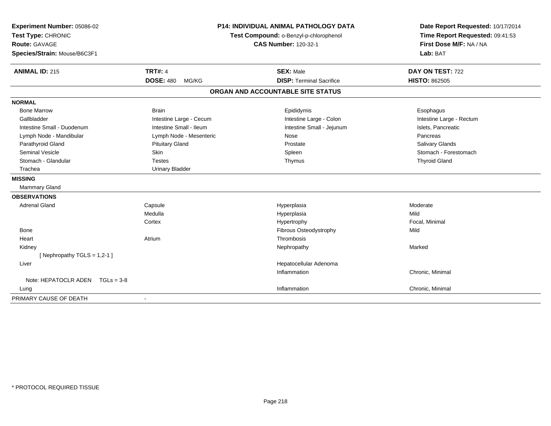| Experiment Number: 05086-02<br>Test Type: CHRONIC<br><b>Route: GAVAGE</b><br>Species/Strain: Mouse/B6C3F1 |                           | <b>P14: INDIVIDUAL ANIMAL PATHOLOGY DATA</b><br>Test Compound: o-Benzyl-p-chlorophenol<br><b>CAS Number: 120-32-1</b> | Date Report Requested: 10/17/2014<br>Time Report Requested: 09:41:53<br>First Dose M/F: NA / NA<br>Lab: BAT |
|-----------------------------------------------------------------------------------------------------------|---------------------------|-----------------------------------------------------------------------------------------------------------------------|-------------------------------------------------------------------------------------------------------------|
| <b>ANIMAL ID: 215</b>                                                                                     | <b>TRT#: 4</b>            | <b>SEX: Male</b>                                                                                                      | DAY ON TEST: 722                                                                                            |
|                                                                                                           | <b>DOSE: 480</b><br>MG/KG | <b>DISP: Terminal Sacrifice</b>                                                                                       | <b>HISTO: 862505</b>                                                                                        |
|                                                                                                           |                           | ORGAN AND ACCOUNTABLE SITE STATUS                                                                                     |                                                                                                             |
| <b>NORMAL</b>                                                                                             |                           |                                                                                                                       |                                                                                                             |
| <b>Bone Marrow</b>                                                                                        | <b>Brain</b>              | Epididymis                                                                                                            | Esophagus                                                                                                   |
| Gallbladder                                                                                               | Intestine Large - Cecum   | Intestine Large - Colon                                                                                               | Intestine Large - Rectum                                                                                    |
| Intestine Small - Duodenum                                                                                | Intestine Small - Ileum   | Intestine Small - Jejunum                                                                                             | Islets, Pancreatic                                                                                          |
| Lymph Node - Mandibular                                                                                   | Lymph Node - Mesenteric   | Nose                                                                                                                  | Pancreas                                                                                                    |
| Parathyroid Gland                                                                                         | <b>Pituitary Gland</b>    | Prostate                                                                                                              | <b>Salivary Glands</b>                                                                                      |
| <b>Seminal Vesicle</b>                                                                                    | <b>Skin</b>               | Spleen                                                                                                                | Stomach - Forestomach                                                                                       |
| Stomach - Glandular                                                                                       | <b>Testes</b>             | Thymus                                                                                                                | <b>Thyroid Gland</b>                                                                                        |
| Trachea                                                                                                   | <b>Urinary Bladder</b>    |                                                                                                                       |                                                                                                             |
| <b>MISSING</b>                                                                                            |                           |                                                                                                                       |                                                                                                             |
| <b>Mammary Gland</b>                                                                                      |                           |                                                                                                                       |                                                                                                             |
| <b>OBSERVATIONS</b>                                                                                       |                           |                                                                                                                       |                                                                                                             |
| <b>Adrenal Gland</b>                                                                                      | Capsule                   | Hyperplasia                                                                                                           | Moderate                                                                                                    |
|                                                                                                           | Medulla                   | Hyperplasia                                                                                                           | Mild                                                                                                        |
|                                                                                                           | Cortex                    | Hypertrophy                                                                                                           | Focal, Minimal                                                                                              |
| <b>Bone</b>                                                                                               |                           | Fibrous Osteodystrophy                                                                                                | Mild                                                                                                        |
| Heart                                                                                                     | Atrium                    | Thrombosis                                                                                                            |                                                                                                             |
| Kidney                                                                                                    |                           | Nephropathy                                                                                                           | Marked                                                                                                      |
| [ Nephropathy TGLS = $1,2-1$ ]                                                                            |                           |                                                                                                                       |                                                                                                             |
| Liver                                                                                                     |                           | Hepatocellular Adenoma                                                                                                |                                                                                                             |
|                                                                                                           |                           | Inflammation                                                                                                          | Chronic, Minimal                                                                                            |
| Note: HEPATOCLR ADEN TGLs = 3-8                                                                           |                           |                                                                                                                       |                                                                                                             |
| Lung                                                                                                      |                           | Inflammation                                                                                                          | Chronic, Minimal                                                                                            |
| PRIMARY CAUSE OF DEATH                                                                                    |                           |                                                                                                                       |                                                                                                             |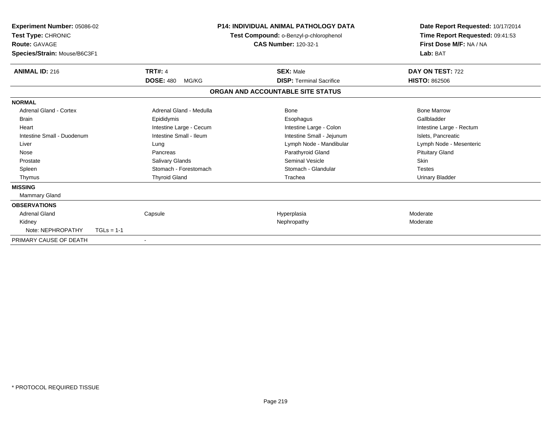| Experiment Number: 05086-02<br>Test Type: CHRONIC<br>Route: GAVAGE<br>Species/Strain: Mouse/B6C3F1 |                           | <b>P14: INDIVIDUAL ANIMAL PATHOLOGY DATA</b><br>Test Compound: o-Benzyl-p-chlorophenol<br><b>CAS Number: 120-32-1</b> | Date Report Requested: 10/17/2014<br>Time Report Requested: 09:41:53<br>First Dose M/F: NA / NA<br>Lab: BAT |
|----------------------------------------------------------------------------------------------------|---------------------------|-----------------------------------------------------------------------------------------------------------------------|-------------------------------------------------------------------------------------------------------------|
| <b>ANIMAL ID: 216</b>                                                                              | <b>TRT#: 4</b>            | <b>SEX: Male</b>                                                                                                      | DAY ON TEST: 722                                                                                            |
|                                                                                                    | <b>DOSE: 480</b><br>MG/KG | <b>DISP: Terminal Sacrifice</b>                                                                                       | <b>HISTO: 862506</b>                                                                                        |
|                                                                                                    |                           | ORGAN AND ACCOUNTABLE SITE STATUS                                                                                     |                                                                                                             |
| <b>NORMAL</b>                                                                                      |                           |                                                                                                                       |                                                                                                             |
| Adrenal Gland - Cortex                                                                             | Adrenal Gland - Medulla   | Bone                                                                                                                  | <b>Bone Marrow</b>                                                                                          |
| <b>Brain</b>                                                                                       | Epididymis                | Esophagus                                                                                                             | Gallbladder                                                                                                 |
| Heart                                                                                              | Intestine Large - Cecum   | Intestine Large - Colon                                                                                               | Intestine Large - Rectum                                                                                    |
| Intestine Small - Duodenum                                                                         | Intestine Small - Ileum   | Intestine Small - Jejunum                                                                                             | Islets, Pancreatic                                                                                          |
| Liver                                                                                              | Lung                      | Lymph Node - Mandibular                                                                                               | Lymph Node - Mesenteric                                                                                     |
| Nose                                                                                               | Pancreas                  | Parathyroid Gland                                                                                                     | <b>Pituitary Gland</b>                                                                                      |
| Prostate                                                                                           | Salivary Glands           | <b>Seminal Vesicle</b>                                                                                                | <b>Skin</b>                                                                                                 |
| Spleen                                                                                             | Stomach - Forestomach     | Stomach - Glandular                                                                                                   | <b>Testes</b>                                                                                               |
| Thymus                                                                                             | <b>Thyroid Gland</b>      | Trachea                                                                                                               | Urinary Bladder                                                                                             |
| <b>MISSING</b>                                                                                     |                           |                                                                                                                       |                                                                                                             |
| Mammary Gland                                                                                      |                           |                                                                                                                       |                                                                                                             |
| <b>OBSERVATIONS</b>                                                                                |                           |                                                                                                                       |                                                                                                             |
| <b>Adrenal Gland</b>                                                                               | Capsule                   | Hyperplasia                                                                                                           | Moderate                                                                                                    |
| Kidney                                                                                             |                           | Nephropathy                                                                                                           | Moderate                                                                                                    |
| Note: NEPHROPATHY                                                                                  | $TGLs = 1-1$              |                                                                                                                       |                                                                                                             |
| PRIMARY CAUSE OF DEATH                                                                             |                           |                                                                                                                       |                                                                                                             |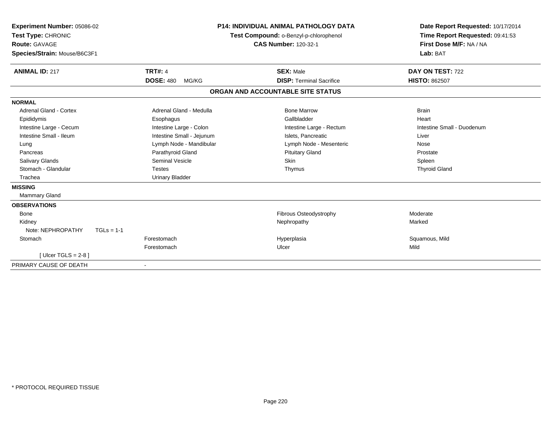| Experiment Number: 05086-02<br>Test Type: CHRONIC<br><b>Route: GAVAGE</b><br>Species/Strain: Mouse/B6C3F1 |                                             | P14: INDIVIDUAL ANIMAL PATHOLOGY DATA<br>Test Compound: o-Benzyl-p-chlorophenol<br><b>CAS Number: 120-32-1</b> | Date Report Requested: 10/17/2014<br>Time Report Requested: 09:41:53<br>First Dose M/F: NA / NA<br>Lab: BAT |
|-----------------------------------------------------------------------------------------------------------|---------------------------------------------|----------------------------------------------------------------------------------------------------------------|-------------------------------------------------------------------------------------------------------------|
| <b>ANIMAL ID: 217</b>                                                                                     | <b>TRT#: 4</b><br><b>DOSE: 480</b><br>MG/KG | <b>SEX: Male</b><br><b>DISP: Terminal Sacrifice</b>                                                            | DAY ON TEST: 722<br><b>HISTO: 862507</b>                                                                    |
|                                                                                                           |                                             | ORGAN AND ACCOUNTABLE SITE STATUS                                                                              |                                                                                                             |
|                                                                                                           |                                             |                                                                                                                |                                                                                                             |
| <b>NORMAL</b>                                                                                             |                                             |                                                                                                                |                                                                                                             |
| Adrenal Gland - Cortex                                                                                    | Adrenal Gland - Medulla                     | <b>Bone Marrow</b>                                                                                             | <b>Brain</b>                                                                                                |
| Epididymis                                                                                                | Esophagus                                   | Gallbladder                                                                                                    | Heart                                                                                                       |
| Intestine Large - Cecum                                                                                   | Intestine Large - Colon                     | Intestine Large - Rectum                                                                                       | Intestine Small - Duodenum                                                                                  |
| Intestine Small - Ileum                                                                                   | Intestine Small - Jejunum                   | Islets. Pancreatic                                                                                             | Liver                                                                                                       |
| Lung                                                                                                      | Lymph Node - Mandibular                     | Lymph Node - Mesenteric                                                                                        | Nose                                                                                                        |
| Pancreas                                                                                                  | Parathyroid Gland                           | <b>Pituitary Gland</b>                                                                                         | Prostate                                                                                                    |
| <b>Salivary Glands</b>                                                                                    | <b>Seminal Vesicle</b>                      | Skin                                                                                                           | Spleen                                                                                                      |
| Stomach - Glandular                                                                                       | <b>Testes</b>                               | Thymus                                                                                                         | <b>Thyroid Gland</b>                                                                                        |
| Trachea                                                                                                   | <b>Urinary Bladder</b>                      |                                                                                                                |                                                                                                             |
| <b>MISSING</b>                                                                                            |                                             |                                                                                                                |                                                                                                             |
| Mammary Gland                                                                                             |                                             |                                                                                                                |                                                                                                             |
| <b>OBSERVATIONS</b>                                                                                       |                                             |                                                                                                                |                                                                                                             |
| Bone                                                                                                      |                                             | Fibrous Osteodystrophy                                                                                         | Moderate                                                                                                    |
| Kidney                                                                                                    |                                             | Nephropathy                                                                                                    | Marked                                                                                                      |
| Note: NEPHROPATHY<br>$TGLs = 1-1$                                                                         |                                             |                                                                                                                |                                                                                                             |
| Stomach                                                                                                   | Forestomach                                 | Hyperplasia                                                                                                    | Squamous, Mild                                                                                              |
|                                                                                                           | Forestomach                                 | Ulcer                                                                                                          | Mild                                                                                                        |
| [ Ulcer TGLS = $2-8$ ]                                                                                    |                                             |                                                                                                                |                                                                                                             |
| PRIMARY CAUSE OF DEATH                                                                                    |                                             |                                                                                                                |                                                                                                             |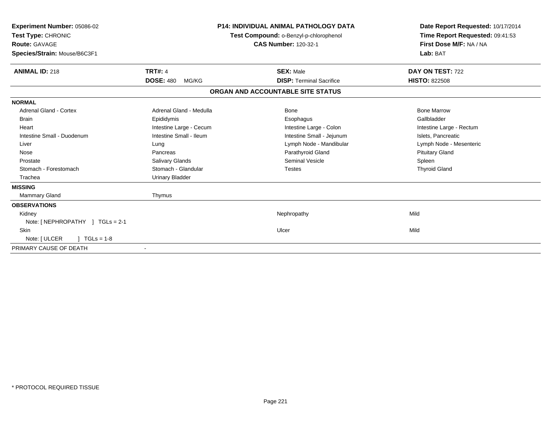| Experiment Number: 05086-02<br>Test Type: CHRONIC<br>Route: GAVAGE<br>Species/Strain: Mouse/B6C3F1 |                           | P14: INDIVIDUAL ANIMAL PATHOLOGY DATA<br>Test Compound: o-Benzyl-p-chlorophenol<br><b>CAS Number: 120-32-1</b> | Date Report Requested: 10/17/2014<br>Time Report Requested: 09:41:53<br>First Dose M/F: NA / NA<br>Lab: BAT |
|----------------------------------------------------------------------------------------------------|---------------------------|----------------------------------------------------------------------------------------------------------------|-------------------------------------------------------------------------------------------------------------|
| <b>ANIMAL ID: 218</b>                                                                              | <b>TRT#: 4</b>            | <b>SEX: Male</b>                                                                                               | DAY ON TEST: 722                                                                                            |
|                                                                                                    | <b>DOSE: 480</b><br>MG/KG | <b>DISP: Terminal Sacrifice</b>                                                                                | <b>HISTO: 822508</b>                                                                                        |
|                                                                                                    |                           | ORGAN AND ACCOUNTABLE SITE STATUS                                                                              |                                                                                                             |
| <b>NORMAL</b>                                                                                      |                           |                                                                                                                |                                                                                                             |
| <b>Adrenal Gland - Cortex</b>                                                                      | Adrenal Gland - Medulla   | <b>Bone</b>                                                                                                    | <b>Bone Marrow</b>                                                                                          |
| <b>Brain</b>                                                                                       | Epididymis                | Esophagus                                                                                                      | Gallbladder                                                                                                 |
| Heart                                                                                              | Intestine Large - Cecum   | Intestine Large - Colon                                                                                        | Intestine Large - Rectum                                                                                    |
| Intestine Small - Duodenum                                                                         | Intestine Small - Ileum   | Intestine Small - Jejunum                                                                                      | Islets, Pancreatic                                                                                          |
| Liver                                                                                              | Lung                      | Lymph Node - Mandibular                                                                                        | Lymph Node - Mesenteric                                                                                     |
| Nose                                                                                               | Pancreas                  | Parathyroid Gland                                                                                              | <b>Pituitary Gland</b>                                                                                      |
| Prostate                                                                                           | Salivary Glands           | <b>Seminal Vesicle</b>                                                                                         | Spleen                                                                                                      |
| Stomach - Forestomach                                                                              | Stomach - Glandular       | <b>Testes</b>                                                                                                  | <b>Thyroid Gland</b>                                                                                        |
| Trachea                                                                                            | <b>Urinary Bladder</b>    |                                                                                                                |                                                                                                             |
| <b>MISSING</b>                                                                                     |                           |                                                                                                                |                                                                                                             |
| <b>Mammary Gland</b>                                                                               | Thymus                    |                                                                                                                |                                                                                                             |
| <b>OBSERVATIONS</b>                                                                                |                           |                                                                                                                |                                                                                                             |
| Kidney                                                                                             |                           | Nephropathy                                                                                                    | Mild                                                                                                        |
| Note: [NEPHROPATHY ] TGLs = 2-1                                                                    |                           |                                                                                                                |                                                                                                             |
| <b>Skin</b>                                                                                        |                           | Ulcer                                                                                                          | Mild                                                                                                        |
| Note: [ ULCER<br>$TGLs = 1-8$                                                                      |                           |                                                                                                                |                                                                                                             |
| PRIMARY CAUSE OF DEATH                                                                             |                           |                                                                                                                |                                                                                                             |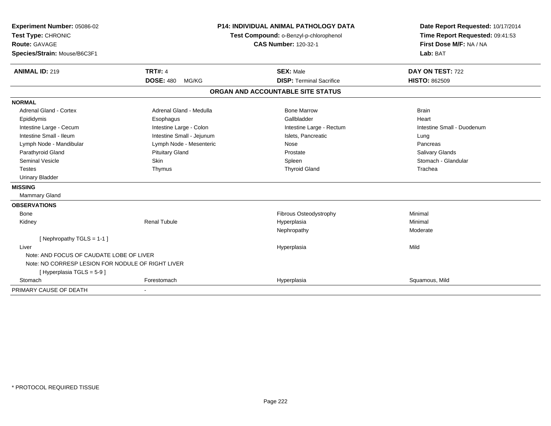| Experiment Number: 05086-02                       | <b>P14: INDIVIDUAL ANIMAL PATHOLOGY DATA</b><br>Test Compound: o-Benzyl-p-chlorophenol |                                   | Date Report Requested: 10/17/2014 |
|---------------------------------------------------|----------------------------------------------------------------------------------------|-----------------------------------|-----------------------------------|
| Test Type: CHRONIC                                |                                                                                        |                                   | Time Report Requested: 09:41:53   |
| <b>Route: GAVAGE</b>                              |                                                                                        | <b>CAS Number: 120-32-1</b>       | First Dose M/F: NA / NA           |
| Species/Strain: Mouse/B6C3F1                      |                                                                                        |                                   | Lab: BAT                          |
| <b>ANIMAL ID: 219</b>                             | <b>TRT#: 4</b>                                                                         | <b>SEX: Male</b>                  | DAY ON TEST: 722                  |
|                                                   | <b>DOSE: 480</b><br>MG/KG                                                              | <b>DISP: Terminal Sacrifice</b>   | <b>HISTO: 862509</b>              |
|                                                   |                                                                                        | ORGAN AND ACCOUNTABLE SITE STATUS |                                   |
| <b>NORMAL</b>                                     |                                                                                        |                                   |                                   |
| Adrenal Gland - Cortex                            | Adrenal Gland - Medulla                                                                | <b>Bone Marrow</b>                | <b>Brain</b>                      |
| Epididymis                                        | Esophagus                                                                              | Gallbladder                       | Heart                             |
| Intestine Large - Cecum                           | Intestine Large - Colon                                                                | Intestine Large - Rectum          | Intestine Small - Duodenum        |
| Intestine Small - Ileum                           | Intestine Small - Jejunum                                                              | Islets, Pancreatic                | Lung                              |
| Lymph Node - Mandibular                           | Lymph Node - Mesenteric                                                                | Nose                              | Pancreas                          |
| Parathyroid Gland                                 | <b>Pituitary Gland</b>                                                                 | Prostate                          | Salivary Glands                   |
| <b>Seminal Vesicle</b>                            | Skin                                                                                   | Spleen                            | Stomach - Glandular               |
| <b>Testes</b>                                     | Thymus                                                                                 | <b>Thyroid Gland</b>              | Trachea                           |
| <b>Urinary Bladder</b>                            |                                                                                        |                                   |                                   |
| <b>MISSING</b>                                    |                                                                                        |                                   |                                   |
| <b>Mammary Gland</b>                              |                                                                                        |                                   |                                   |
| <b>OBSERVATIONS</b>                               |                                                                                        |                                   |                                   |
| <b>Bone</b>                                       |                                                                                        | Fibrous Osteodystrophy            | Minimal                           |
| Kidney                                            | <b>Renal Tubule</b>                                                                    | Hyperplasia                       | Minimal                           |
|                                                   |                                                                                        | Nephropathy                       | Moderate                          |
| [ Nephropathy $TGLS = 1-1$ ]                      |                                                                                        |                                   |                                   |
| Liver                                             |                                                                                        | Hyperplasia                       | Mild                              |
| Note: AND FOCUS OF CAUDATE LOBE OF LIVER          |                                                                                        |                                   |                                   |
| Note: NO CORRESP LESION FOR NODULE OF RIGHT LIVER |                                                                                        |                                   |                                   |
| [ Hyperplasia TGLS = 5-9 ]                        |                                                                                        |                                   |                                   |
| Stomach                                           | Forestomach                                                                            | Hyperplasia                       | Squamous, Mild                    |
| PRIMARY CAUSE OF DEATH                            |                                                                                        |                                   |                                   |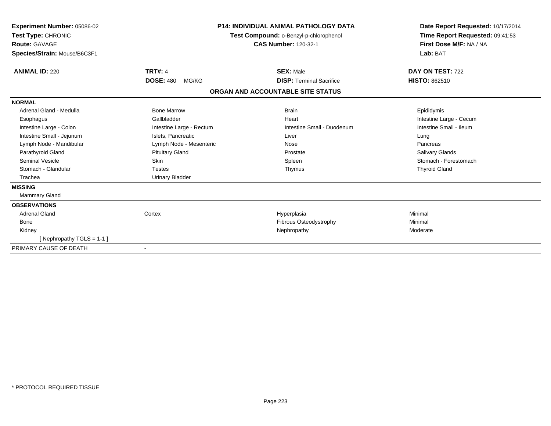| <b>Experiment Number: 05086-02</b><br>Test Type: CHRONIC<br><b>Route: GAVAGE</b><br>Species/Strain: Mouse/B6C3F1 |                           | <b>P14: INDIVIDUAL ANIMAL PATHOLOGY DATA</b><br>Test Compound: o-Benzyl-p-chlorophenol<br><b>CAS Number: 120-32-1</b> | Date Report Requested: 10/17/2014<br>Time Report Requested: 09:41:53<br>First Dose M/F: NA / NA<br>Lab: BAT |
|------------------------------------------------------------------------------------------------------------------|---------------------------|-----------------------------------------------------------------------------------------------------------------------|-------------------------------------------------------------------------------------------------------------|
| <b>ANIMAL ID: 220</b>                                                                                            | <b>TRT#: 4</b>            | <b>SEX: Male</b>                                                                                                      | DAY ON TEST: 722                                                                                            |
|                                                                                                                  | <b>DOSE: 480</b><br>MG/KG | <b>DISP: Terminal Sacrifice</b>                                                                                       | <b>HISTO: 862510</b>                                                                                        |
|                                                                                                                  |                           | ORGAN AND ACCOUNTABLE SITE STATUS                                                                                     |                                                                                                             |
| <b>NORMAL</b>                                                                                                    |                           |                                                                                                                       |                                                                                                             |
| Adrenal Gland - Medulla                                                                                          | <b>Bone Marrow</b>        | <b>Brain</b>                                                                                                          | Epididymis                                                                                                  |
| Esophagus                                                                                                        | Gallbladder               | Heart                                                                                                                 | Intestine Large - Cecum                                                                                     |
| Intestine Large - Colon                                                                                          | Intestine Large - Rectum  | Intestine Small - Duodenum                                                                                            | Intestine Small - Ileum                                                                                     |
| Intestine Small - Jejunum                                                                                        | Islets, Pancreatic        | Liver                                                                                                                 | Lung                                                                                                        |
| Lymph Node - Mandibular                                                                                          | Lymph Node - Mesenteric   | Nose                                                                                                                  | Pancreas                                                                                                    |
| Parathyroid Gland                                                                                                | <b>Pituitary Gland</b>    | Prostate                                                                                                              | <b>Salivary Glands</b>                                                                                      |
| <b>Seminal Vesicle</b>                                                                                           | Skin                      | Spleen                                                                                                                | Stomach - Forestomach                                                                                       |
| Stomach - Glandular                                                                                              | <b>Testes</b>             | Thymus                                                                                                                | <b>Thyroid Gland</b>                                                                                        |
| Trachea                                                                                                          | <b>Urinary Bladder</b>    |                                                                                                                       |                                                                                                             |
| <b>MISSING</b>                                                                                                   |                           |                                                                                                                       |                                                                                                             |
| Mammary Gland                                                                                                    |                           |                                                                                                                       |                                                                                                             |
| <b>OBSERVATIONS</b>                                                                                              |                           |                                                                                                                       |                                                                                                             |
| <b>Adrenal Gland</b>                                                                                             | Cortex                    | Hyperplasia                                                                                                           | Minimal                                                                                                     |
| Bone                                                                                                             |                           | Fibrous Osteodystrophy                                                                                                | Minimal                                                                                                     |
| Kidney                                                                                                           |                           | Nephropathy                                                                                                           | Moderate                                                                                                    |
| [Nephropathy TGLS = $1-1$ ]                                                                                      |                           |                                                                                                                       |                                                                                                             |
| PRIMARY CAUSE OF DEATH                                                                                           |                           |                                                                                                                       |                                                                                                             |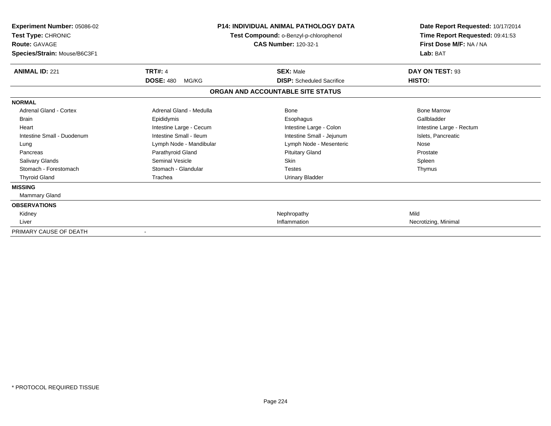| Experiment Number: 05086-02<br>Test Type: CHRONIC<br><b>Route: GAVAGE</b><br>Species/Strain: Mouse/B6C3F1 |                           | <b>P14: INDIVIDUAL ANIMAL PATHOLOGY DATA</b><br>Test Compound: o-Benzyl-p-chlorophenol<br><b>CAS Number: 120-32-1</b> | Date Report Requested: 10/17/2014<br>Time Report Requested: 09:41:53<br>First Dose M/F: NA / NA<br>Lab: BAT |
|-----------------------------------------------------------------------------------------------------------|---------------------------|-----------------------------------------------------------------------------------------------------------------------|-------------------------------------------------------------------------------------------------------------|
| <b>ANIMAL ID: 221</b>                                                                                     | <b>TRT#: 4</b>            | <b>SEX: Male</b>                                                                                                      | DAY ON TEST: 93                                                                                             |
|                                                                                                           | <b>DOSE: 480</b><br>MG/KG | <b>DISP:</b> Scheduled Sacrifice                                                                                      | HISTO:                                                                                                      |
|                                                                                                           |                           | ORGAN AND ACCOUNTABLE SITE STATUS                                                                                     |                                                                                                             |
| <b>NORMAL</b>                                                                                             |                           |                                                                                                                       |                                                                                                             |
| Adrenal Gland - Cortex                                                                                    | Adrenal Gland - Medulla   | Bone                                                                                                                  | <b>Bone Marrow</b>                                                                                          |
| <b>Brain</b>                                                                                              | Epididymis                | Esophagus                                                                                                             | Gallbladder                                                                                                 |
| Heart                                                                                                     | Intestine Large - Cecum   | Intestine Large - Colon                                                                                               | Intestine Large - Rectum                                                                                    |
| Intestine Small - Duodenum                                                                                | Intestine Small - Ileum   | Intestine Small - Jejunum                                                                                             | Islets, Pancreatic                                                                                          |
| Lung                                                                                                      | Lymph Node - Mandibular   | Lymph Node - Mesenteric                                                                                               | Nose                                                                                                        |
| Pancreas                                                                                                  | Parathyroid Gland         | <b>Pituitary Gland</b>                                                                                                | Prostate                                                                                                    |
| <b>Salivary Glands</b>                                                                                    | Seminal Vesicle           | <b>Skin</b>                                                                                                           | Spleen                                                                                                      |
| Stomach - Forestomach                                                                                     | Stomach - Glandular       | <b>Testes</b>                                                                                                         | Thymus                                                                                                      |
| <b>Thyroid Gland</b>                                                                                      | Trachea                   | <b>Urinary Bladder</b>                                                                                                |                                                                                                             |
| <b>MISSING</b>                                                                                            |                           |                                                                                                                       |                                                                                                             |
| Mammary Gland                                                                                             |                           |                                                                                                                       |                                                                                                             |
| <b>OBSERVATIONS</b>                                                                                       |                           |                                                                                                                       |                                                                                                             |
| Kidney                                                                                                    |                           | Nephropathy                                                                                                           | Mild                                                                                                        |
| Liver                                                                                                     |                           | Inflammation                                                                                                          | Necrotizing, Minimal                                                                                        |
| PRIMARY CAUSE OF DEATH                                                                                    |                           |                                                                                                                       |                                                                                                             |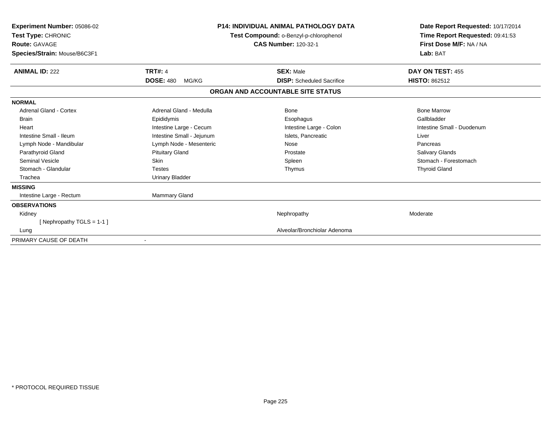| Experiment Number: 05086-02<br>Test Type: CHRONIC<br><b>Route: GAVAGE</b><br>Species/Strain: Mouse/B6C3F1 |                           | <b>P14: INDIVIDUAL ANIMAL PATHOLOGY DATA</b><br>Test Compound: o-Benzyl-p-chlorophenol<br><b>CAS Number: 120-32-1</b> | Date Report Requested: 10/17/2014<br>Time Report Requested: 09:41:53<br>First Dose M/F: NA / NA<br>Lab: BAT |
|-----------------------------------------------------------------------------------------------------------|---------------------------|-----------------------------------------------------------------------------------------------------------------------|-------------------------------------------------------------------------------------------------------------|
| <b>ANIMAL ID: 222</b>                                                                                     | <b>TRT#: 4</b>            | <b>SEX: Male</b>                                                                                                      | DAY ON TEST: 455                                                                                            |
|                                                                                                           | <b>DOSE: 480</b><br>MG/KG | <b>DISP:</b> Scheduled Sacrifice                                                                                      | <b>HISTO: 862512</b>                                                                                        |
|                                                                                                           |                           | ORGAN AND ACCOUNTABLE SITE STATUS                                                                                     |                                                                                                             |
| <b>NORMAL</b>                                                                                             |                           |                                                                                                                       |                                                                                                             |
| Adrenal Gland - Cortex                                                                                    | Adrenal Gland - Medulla   | Bone                                                                                                                  | <b>Bone Marrow</b>                                                                                          |
| <b>Brain</b>                                                                                              | Epididymis                | Esophagus                                                                                                             | Gallbladder                                                                                                 |
| Heart                                                                                                     | Intestine Large - Cecum   | Intestine Large - Colon                                                                                               | Intestine Small - Duodenum                                                                                  |
| Intestine Small - Ileum                                                                                   | Intestine Small - Jejunum | Islets. Pancreatic                                                                                                    | Liver                                                                                                       |
| Lymph Node - Mandibular                                                                                   | Lymph Node - Mesenteric   | Nose                                                                                                                  | Pancreas                                                                                                    |
| Parathyroid Gland                                                                                         | <b>Pituitary Gland</b>    | Prostate                                                                                                              | Salivary Glands                                                                                             |
| <b>Seminal Vesicle</b>                                                                                    | Skin                      | Spleen                                                                                                                | Stomach - Forestomach                                                                                       |
| Stomach - Glandular                                                                                       | <b>Testes</b>             | Thymus                                                                                                                | <b>Thyroid Gland</b>                                                                                        |
| Trachea                                                                                                   | <b>Urinary Bladder</b>    |                                                                                                                       |                                                                                                             |
| <b>MISSING</b>                                                                                            |                           |                                                                                                                       |                                                                                                             |
| Intestine Large - Rectum                                                                                  | <b>Mammary Gland</b>      |                                                                                                                       |                                                                                                             |
| <b>OBSERVATIONS</b>                                                                                       |                           |                                                                                                                       |                                                                                                             |
| Kidney                                                                                                    |                           | Nephropathy                                                                                                           | Moderate                                                                                                    |
| [Nephropathy TGLS = $1-1$ ]                                                                               |                           |                                                                                                                       |                                                                                                             |
| Lung                                                                                                      |                           | Alveolar/Bronchiolar Adenoma                                                                                          |                                                                                                             |
| PRIMARY CAUSE OF DEATH                                                                                    |                           |                                                                                                                       |                                                                                                             |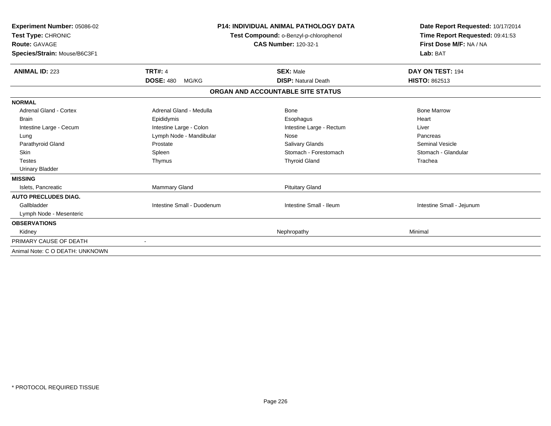| Experiment Number: 05086-02<br>Test Type: CHRONIC<br>Route: GAVAGE<br>Species/Strain: Mouse/B6C3F1 |                            | <b>P14: INDIVIDUAL ANIMAL PATHOLOGY DATA</b><br>Test Compound: o-Benzyl-p-chlorophenol<br><b>CAS Number: 120-32-1</b> | Date Report Requested: 10/17/2014<br>Time Report Requested: 09:41:53<br>First Dose M/F: NA / NA<br>Lab: BAT |
|----------------------------------------------------------------------------------------------------|----------------------------|-----------------------------------------------------------------------------------------------------------------------|-------------------------------------------------------------------------------------------------------------|
| <b>ANIMAL ID: 223</b>                                                                              | <b>TRT#: 4</b>             | <b>SEX: Male</b>                                                                                                      | DAY ON TEST: 194                                                                                            |
|                                                                                                    | <b>DOSE: 480</b><br>MG/KG  | <b>DISP: Natural Death</b>                                                                                            | <b>HISTO: 862513</b>                                                                                        |
|                                                                                                    |                            | ORGAN AND ACCOUNTABLE SITE STATUS                                                                                     |                                                                                                             |
| <b>NORMAL</b>                                                                                      |                            |                                                                                                                       |                                                                                                             |
| <b>Adrenal Gland - Cortex</b>                                                                      | Adrenal Gland - Medulla    | <b>Bone</b>                                                                                                           | <b>Bone Marrow</b>                                                                                          |
| <b>Brain</b>                                                                                       | Epididymis                 | Esophagus                                                                                                             | Heart                                                                                                       |
| Intestine Large - Cecum                                                                            | Intestine Large - Colon    | Intestine Large - Rectum                                                                                              | Liver                                                                                                       |
| Lung                                                                                               | Lymph Node - Mandibular    | Nose                                                                                                                  | Pancreas                                                                                                    |
| Parathyroid Gland                                                                                  | Prostate                   | Salivary Glands                                                                                                       | <b>Seminal Vesicle</b>                                                                                      |
| Skin                                                                                               | Spleen                     | Stomach - Forestomach                                                                                                 | Stomach - Glandular                                                                                         |
| <b>Testes</b>                                                                                      | Thymus                     | <b>Thyroid Gland</b>                                                                                                  | Trachea                                                                                                     |
| <b>Urinary Bladder</b>                                                                             |                            |                                                                                                                       |                                                                                                             |
| <b>MISSING</b>                                                                                     |                            |                                                                                                                       |                                                                                                             |
| Islets, Pancreatic                                                                                 | Mammary Gland              | <b>Pituitary Gland</b>                                                                                                |                                                                                                             |
| <b>AUTO PRECLUDES DIAG.</b>                                                                        |                            |                                                                                                                       |                                                                                                             |
| Gallbladder                                                                                        | Intestine Small - Duodenum | Intestine Small - Ileum                                                                                               | Intestine Small - Jejunum                                                                                   |
| Lymph Node - Mesenteric                                                                            |                            |                                                                                                                       |                                                                                                             |
| <b>OBSERVATIONS</b>                                                                                |                            |                                                                                                                       |                                                                                                             |
| Kidney                                                                                             |                            | Nephropathy                                                                                                           | Minimal                                                                                                     |
| PRIMARY CAUSE OF DEATH                                                                             |                            |                                                                                                                       |                                                                                                             |
| Animal Note: C O DEATH: UNKNOWN                                                                    |                            |                                                                                                                       |                                                                                                             |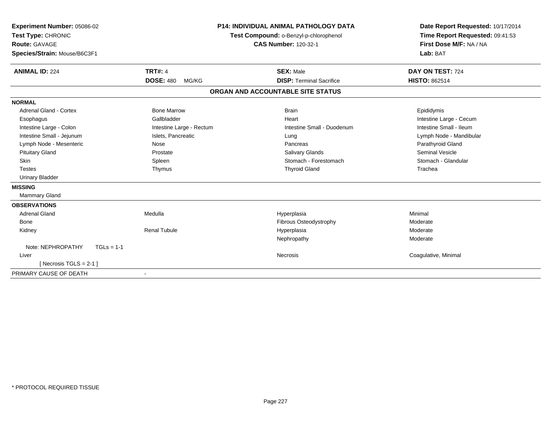| Experiment Number: 05086-02<br>Test Type: CHRONIC<br><b>Route: GAVAGE</b><br>Species/Strain: Mouse/B6C3F1<br><b>ANIMAL ID: 224</b> | <b>TRT#: 4</b>            | P14: INDIVIDUAL ANIMAL PATHOLOGY DATA<br>Test Compound: o-Benzyl-p-chlorophenol<br><b>CAS Number: 120-32-1</b><br><b>SEX: Male</b> | Date Report Requested: 10/17/2014<br>Time Report Requested: 09:41:53<br>First Dose M/F: NA / NA<br>Lab: BAT<br>DAY ON TEST: 724 |
|------------------------------------------------------------------------------------------------------------------------------------|---------------------------|------------------------------------------------------------------------------------------------------------------------------------|---------------------------------------------------------------------------------------------------------------------------------|
|                                                                                                                                    | <b>DOSE: 480</b><br>MG/KG | <b>DISP: Terminal Sacrifice</b>                                                                                                    | <b>HISTO: 862514</b>                                                                                                            |
|                                                                                                                                    |                           | ORGAN AND ACCOUNTABLE SITE STATUS                                                                                                  |                                                                                                                                 |
| <b>NORMAL</b>                                                                                                                      |                           |                                                                                                                                    |                                                                                                                                 |
| <b>Adrenal Gland - Cortex</b>                                                                                                      | <b>Bone Marrow</b>        | <b>Brain</b>                                                                                                                       | Epididymis                                                                                                                      |
| Esophagus                                                                                                                          | Gallbladder               | Heart                                                                                                                              | Intestine Large - Cecum                                                                                                         |
| Intestine Large - Colon                                                                                                            | Intestine Large - Rectum  | Intestine Small - Duodenum                                                                                                         | Intestine Small - Ileum                                                                                                         |
| Intestine Small - Jejunum                                                                                                          | Islets, Pancreatic        | Lung                                                                                                                               | Lymph Node - Mandibular                                                                                                         |
| Lymph Node - Mesenteric                                                                                                            | Nose                      | Pancreas                                                                                                                           | Parathyroid Gland                                                                                                               |
| <b>Pituitary Gland</b>                                                                                                             | Prostate                  | <b>Salivary Glands</b>                                                                                                             | <b>Seminal Vesicle</b>                                                                                                          |
| Skin                                                                                                                               | Spleen                    | Stomach - Forestomach                                                                                                              | Stomach - Glandular                                                                                                             |
| <b>Testes</b>                                                                                                                      | Thymus                    | <b>Thyroid Gland</b>                                                                                                               | Trachea                                                                                                                         |
| <b>Urinary Bladder</b>                                                                                                             |                           |                                                                                                                                    |                                                                                                                                 |
| <b>MISSING</b>                                                                                                                     |                           |                                                                                                                                    |                                                                                                                                 |
| Mammary Gland                                                                                                                      |                           |                                                                                                                                    |                                                                                                                                 |
| <b>OBSERVATIONS</b>                                                                                                                |                           |                                                                                                                                    |                                                                                                                                 |
| <b>Adrenal Gland</b>                                                                                                               | Medulla                   | Hyperplasia                                                                                                                        | Minimal                                                                                                                         |
| <b>Bone</b>                                                                                                                        |                           | Fibrous Osteodystrophy                                                                                                             | Moderate                                                                                                                        |
| Kidney                                                                                                                             | <b>Renal Tubule</b>       | Hyperplasia                                                                                                                        | Moderate                                                                                                                        |
|                                                                                                                                    |                           | Nephropathy                                                                                                                        | Moderate                                                                                                                        |
| Note: NEPHROPATHY<br>$TGLs = 1-1$                                                                                                  |                           |                                                                                                                                    |                                                                                                                                 |
| Liver                                                                                                                              |                           | Necrosis                                                                                                                           | Coagulative, Minimal                                                                                                            |
| [Necrosis TGLS = $2-1$ ]                                                                                                           |                           |                                                                                                                                    |                                                                                                                                 |
| PRIMARY CAUSE OF DEATH                                                                                                             |                           |                                                                                                                                    |                                                                                                                                 |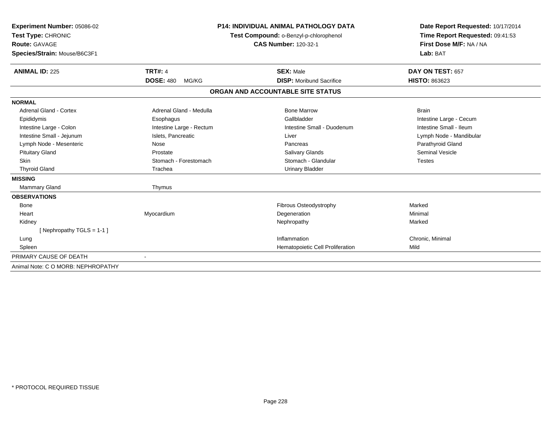| Experiment Number: 05086-02        | <b>P14: INDIVIDUAL ANIMAL PATHOLOGY DATA</b><br>Test Compound: o-Benzyl-p-chlorophenol |                                   | Date Report Requested: 10/17/2014 |
|------------------------------------|----------------------------------------------------------------------------------------|-----------------------------------|-----------------------------------|
| Test Type: CHRONIC                 |                                                                                        |                                   | Time Report Requested: 09:41:53   |
| <b>Route: GAVAGE</b>               |                                                                                        | <b>CAS Number: 120-32-1</b>       | First Dose M/F: NA / NA           |
| Species/Strain: Mouse/B6C3F1       |                                                                                        |                                   | Lab: BAT                          |
| <b>ANIMAL ID: 225</b>              | <b>TRT#: 4</b>                                                                         | <b>SEX: Male</b>                  | DAY ON TEST: 657                  |
|                                    | <b>DOSE: 480</b><br>MG/KG                                                              | <b>DISP:</b> Moribund Sacrifice   | <b>HISTO: 863623</b>              |
|                                    |                                                                                        | ORGAN AND ACCOUNTABLE SITE STATUS |                                   |
| <b>NORMAL</b>                      |                                                                                        |                                   |                                   |
| <b>Adrenal Gland - Cortex</b>      | Adrenal Gland - Medulla                                                                | <b>Bone Marrow</b>                | <b>Brain</b>                      |
| Epididymis                         | Esophagus                                                                              | Gallbladder                       | Intestine Large - Cecum           |
| Intestine Large - Colon            | Intestine Large - Rectum                                                               | Intestine Small - Duodenum        | Intestine Small - Ileum           |
| Intestine Small - Jejunum          | Islets, Pancreatic                                                                     | Liver                             | Lymph Node - Mandibular           |
| Lymph Node - Mesenteric            | Nose                                                                                   | Pancreas                          | Parathyroid Gland                 |
| <b>Pituitary Gland</b>             | Prostate                                                                               | <b>Salivary Glands</b>            | <b>Seminal Vesicle</b>            |
| <b>Skin</b>                        | Stomach - Forestomach                                                                  | Stomach - Glandular               | <b>Testes</b>                     |
| <b>Thyroid Gland</b>               | Trachea                                                                                | <b>Urinary Bladder</b>            |                                   |
| <b>MISSING</b>                     |                                                                                        |                                   |                                   |
| Mammary Gland                      | Thymus                                                                                 |                                   |                                   |
| <b>OBSERVATIONS</b>                |                                                                                        |                                   |                                   |
| <b>Bone</b>                        |                                                                                        | Fibrous Osteodystrophy            | Marked                            |
| Heart                              | Myocardium                                                                             | Degeneration                      | Minimal                           |
| Kidney                             |                                                                                        | Nephropathy                       | Marked                            |
| [Nephropathy TGLS = 1-1]           |                                                                                        |                                   |                                   |
| Lung                               |                                                                                        | Inflammation                      | Chronic, Minimal                  |
| Spleen                             |                                                                                        | Hematopoietic Cell Proliferation  | Mild                              |
| PRIMARY CAUSE OF DEATH             |                                                                                        |                                   |                                   |
| Animal Note: C O MORB: NEPHROPATHY |                                                                                        |                                   |                                   |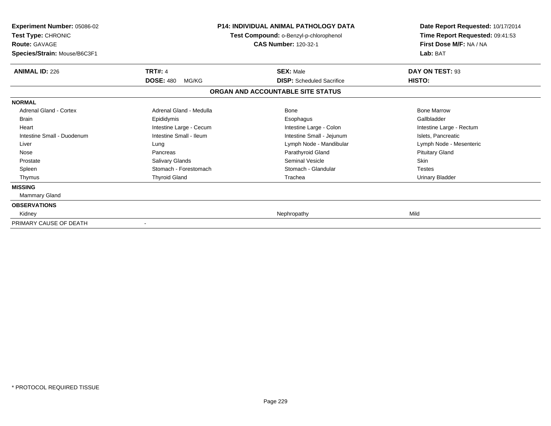| <b>Experiment Number: 05086-02</b><br>Test Type: CHRONIC<br><b>Route: GAVAGE</b><br>Species/Strain: Mouse/B6C3F1 | <b>P14: INDIVIDUAL ANIMAL PATHOLOGY DATA</b><br>Test Compound: o-Benzyl-p-chlorophenol<br><b>CAS Number: 120-32-1</b> |                                                                       | Date Report Requested: 10/17/2014<br>Time Report Requested: 09:41:53<br>First Dose M/F: NA / NA<br>Lab: BAT |
|------------------------------------------------------------------------------------------------------------------|-----------------------------------------------------------------------------------------------------------------------|-----------------------------------------------------------------------|-------------------------------------------------------------------------------------------------------------|
| <b>ANIMAL ID: 226</b>                                                                                            | <b>TRT#: 4</b>                                                                                                        | <b>SEX: Male</b>                                                      | DAY ON TEST: 93                                                                                             |
|                                                                                                                  | <b>DOSE: 480</b><br>MG/KG                                                                                             | <b>DISP:</b> Scheduled Sacrifice<br>ORGAN AND ACCOUNTABLE SITE STATUS | HISTO:                                                                                                      |
| <b>NORMAL</b>                                                                                                    |                                                                                                                       |                                                                       |                                                                                                             |
| <b>Adrenal Gland - Cortex</b>                                                                                    | Adrenal Gland - Medulla                                                                                               | Bone                                                                  | <b>Bone Marrow</b>                                                                                          |
| <b>Brain</b>                                                                                                     | Epididymis                                                                                                            | Esophagus                                                             | Gallbladder                                                                                                 |
| Heart                                                                                                            | Intestine Large - Cecum                                                                                               | Intestine Large - Colon                                               | Intestine Large - Rectum                                                                                    |
| Intestine Small - Duodenum                                                                                       | Intestine Small - Ileum                                                                                               | Intestine Small - Jejunum                                             | Islets, Pancreatic                                                                                          |
| Liver                                                                                                            | Lung                                                                                                                  | Lymph Node - Mandibular                                               | Lymph Node - Mesenteric                                                                                     |
| Nose                                                                                                             | Pancreas                                                                                                              | Parathyroid Gland                                                     | <b>Pituitary Gland</b>                                                                                      |
| Prostate                                                                                                         | Salivary Glands                                                                                                       | <b>Seminal Vesicle</b>                                                | Skin                                                                                                        |
| Spleen                                                                                                           | Stomach - Forestomach                                                                                                 | Stomach - Glandular                                                   | <b>Testes</b>                                                                                               |
| Thymus                                                                                                           | <b>Thyroid Gland</b>                                                                                                  | Trachea                                                               | <b>Urinary Bladder</b>                                                                                      |
| <b>MISSING</b>                                                                                                   |                                                                                                                       |                                                                       |                                                                                                             |
| Mammary Gland                                                                                                    |                                                                                                                       |                                                                       |                                                                                                             |
| <b>OBSERVATIONS</b>                                                                                              |                                                                                                                       |                                                                       |                                                                                                             |
| Kidney                                                                                                           |                                                                                                                       | Nephropathy                                                           | Mild                                                                                                        |
| PRIMARY CAUSE OF DEATH                                                                                           |                                                                                                                       |                                                                       |                                                                                                             |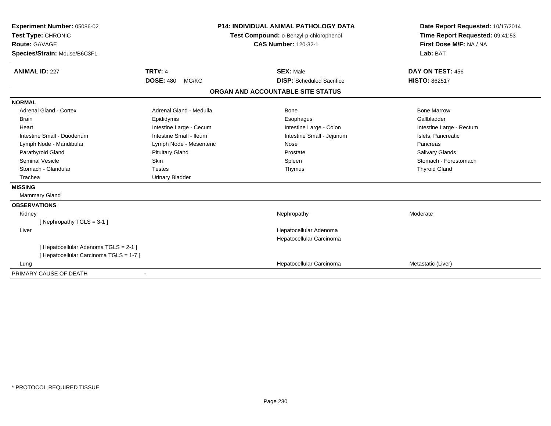| Experiment Number: 05086-02             |                           | <b>P14: INDIVIDUAL ANIMAL PATHOLOGY DATA</b> | Date Report Requested: 10/17/2014 |  |
|-----------------------------------------|---------------------------|----------------------------------------------|-----------------------------------|--|
| Test Type: CHRONIC                      |                           | Test Compound: o-Benzyl-p-chlorophenol       | Time Report Requested: 09:41:53   |  |
| Route: GAVAGE                           |                           | <b>CAS Number: 120-32-1</b>                  | First Dose M/F: NA / NA           |  |
| Species/Strain: Mouse/B6C3F1            |                           |                                              | Lab: BAT                          |  |
| <b>ANIMAL ID: 227</b>                   | <b>TRT#: 4</b>            | <b>SEX: Male</b>                             | DAY ON TEST: 456                  |  |
|                                         | <b>DOSE: 480</b><br>MG/KG | <b>DISP:</b> Scheduled Sacrifice             | <b>HISTO: 862517</b>              |  |
|                                         |                           | ORGAN AND ACCOUNTABLE SITE STATUS            |                                   |  |
| <b>NORMAL</b>                           |                           |                                              |                                   |  |
| <b>Adrenal Gland - Cortex</b>           | Adrenal Gland - Medulla   | <b>Bone</b>                                  | <b>Bone Marrow</b>                |  |
| <b>Brain</b>                            | Epididymis                | Esophagus                                    | Gallbladder                       |  |
| Heart                                   | Intestine Large - Cecum   | Intestine Large - Colon                      | Intestine Large - Rectum          |  |
| Intestine Small - Duodenum              | Intestine Small - Ileum   | Intestine Small - Jejunum                    | Islets, Pancreatic                |  |
| Lymph Node - Mandibular                 | Lymph Node - Mesenteric   | Nose                                         | Pancreas                          |  |
| Parathyroid Gland                       | <b>Pituitary Gland</b>    | Prostate                                     | Salivary Glands                   |  |
| <b>Seminal Vesicle</b>                  | Skin                      | Spleen                                       | Stomach - Forestomach             |  |
| Stomach - Glandular                     | <b>Testes</b>             | Thymus                                       | <b>Thyroid Gland</b>              |  |
| Trachea                                 | <b>Urinary Bladder</b>    |                                              |                                   |  |
| <b>MISSING</b>                          |                           |                                              |                                   |  |
| <b>Mammary Gland</b>                    |                           |                                              |                                   |  |
| <b>OBSERVATIONS</b>                     |                           |                                              |                                   |  |
| Kidney                                  |                           | Nephropathy                                  | Moderate                          |  |
| [Nephropathy TGLS = 3-1]                |                           |                                              |                                   |  |
| Liver                                   |                           | Hepatocellular Adenoma                       |                                   |  |
|                                         |                           | Hepatocellular Carcinoma                     |                                   |  |
| [ Hepatocellular Adenoma TGLS = 2-1 ]   |                           |                                              |                                   |  |
| [ Hepatocellular Carcinoma TGLS = 1-7 ] |                           |                                              |                                   |  |
| Lung                                    |                           | Hepatocellular Carcinoma                     | Metastatic (Liver)                |  |
| PRIMARY CAUSE OF DEATH                  |                           |                                              |                                   |  |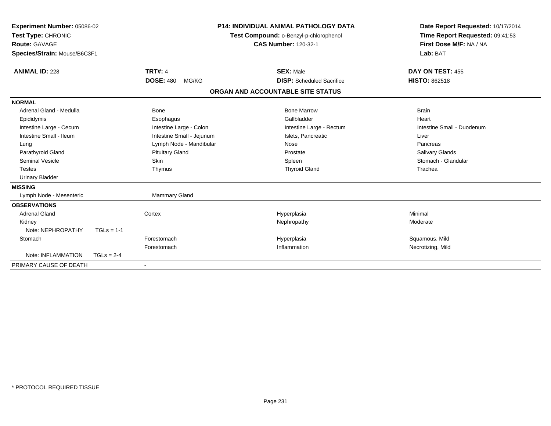| Experiment Number: 05086-02<br>Test Type: CHRONIC<br><b>Route: GAVAGE</b><br>Species/Strain: Mouse/B6C3F1<br><b>ANIMAL ID: 228</b> |              | <b>TRT#: 4</b>            | <b>P14: INDIVIDUAL ANIMAL PATHOLOGY DATA</b><br>Test Compound: o-Benzyl-p-chlorophenol<br><b>CAS Number: 120-32-1</b><br><b>SEX: Male</b> | Date Report Requested: 10/17/2014<br>Time Report Requested: 09:41:53<br>First Dose M/F: NA / NA<br>Lab: BAT<br>DAY ON TEST: 455 |  |
|------------------------------------------------------------------------------------------------------------------------------------|--------------|---------------------------|-------------------------------------------------------------------------------------------------------------------------------------------|---------------------------------------------------------------------------------------------------------------------------------|--|
|                                                                                                                                    |              | <b>DOSE: 480</b><br>MG/KG | <b>DISP:</b> Scheduled Sacrifice                                                                                                          | <b>HISTO: 862518</b>                                                                                                            |  |
|                                                                                                                                    |              |                           | ORGAN AND ACCOUNTABLE SITE STATUS                                                                                                         |                                                                                                                                 |  |
| <b>NORMAL</b>                                                                                                                      |              |                           |                                                                                                                                           |                                                                                                                                 |  |
| Adrenal Gland - Medulla                                                                                                            |              | <b>Bone</b>               | <b>Bone Marrow</b>                                                                                                                        | <b>Brain</b>                                                                                                                    |  |
| Epididymis                                                                                                                         |              | Esophagus                 | Gallbladder                                                                                                                               | Heart                                                                                                                           |  |
| Intestine Large - Cecum                                                                                                            |              | Intestine Large - Colon   | Intestine Large - Rectum                                                                                                                  | Intestine Small - Duodenum                                                                                                      |  |
| Intestine Small - Ileum                                                                                                            |              | Intestine Small - Jejunum | Islets, Pancreatic                                                                                                                        | Liver                                                                                                                           |  |
| Lung                                                                                                                               |              | Lymph Node - Mandibular   | Nose                                                                                                                                      | Pancreas                                                                                                                        |  |
| Parathyroid Gland                                                                                                                  |              | <b>Pituitary Gland</b>    | Prostate                                                                                                                                  | Salivary Glands                                                                                                                 |  |
| Seminal Vesicle                                                                                                                    |              | <b>Skin</b>               | Spleen                                                                                                                                    | Stomach - Glandular                                                                                                             |  |
| <b>Testes</b>                                                                                                                      |              | Thymus                    | <b>Thyroid Gland</b>                                                                                                                      | Trachea                                                                                                                         |  |
| <b>Urinary Bladder</b>                                                                                                             |              |                           |                                                                                                                                           |                                                                                                                                 |  |
| <b>MISSING</b>                                                                                                                     |              |                           |                                                                                                                                           |                                                                                                                                 |  |
| Lymph Node - Mesenteric                                                                                                            |              | Mammary Gland             |                                                                                                                                           |                                                                                                                                 |  |
| <b>OBSERVATIONS</b>                                                                                                                |              |                           |                                                                                                                                           |                                                                                                                                 |  |
| <b>Adrenal Gland</b>                                                                                                               |              | Cortex                    | Hyperplasia                                                                                                                               | Minimal                                                                                                                         |  |
| Kidney                                                                                                                             |              |                           | Nephropathy                                                                                                                               | Moderate                                                                                                                        |  |
| Note: NEPHROPATHY                                                                                                                  | $TGLs = 1-1$ |                           |                                                                                                                                           |                                                                                                                                 |  |
| Stomach                                                                                                                            |              | Forestomach               | Hyperplasia                                                                                                                               | Squamous, Mild                                                                                                                  |  |
|                                                                                                                                    |              | Forestomach               | Inflammation                                                                                                                              | Necrotizing, Mild                                                                                                               |  |
| Note: INFLAMMATION                                                                                                                 | $TGLs = 2-4$ |                           |                                                                                                                                           |                                                                                                                                 |  |
| PRIMARY CAUSE OF DEATH                                                                                                             |              |                           |                                                                                                                                           |                                                                                                                                 |  |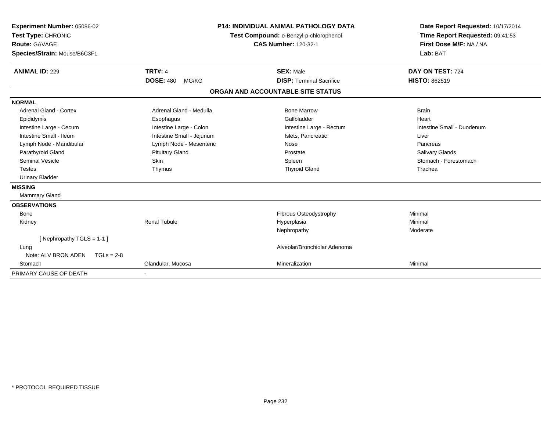| Experiment Number: 05086-02<br>Test Type: CHRONIC<br><b>Route: GAVAGE</b><br>Species/Strain: Mouse/B6C3F1<br><b>ANIMAL ID: 229</b> | <b>TRT#: 4</b>            | P14: INDIVIDUAL ANIMAL PATHOLOGY DATA<br>Test Compound: o-Benzyl-p-chlorophenol<br><b>CAS Number: 120-32-1</b><br><b>SEX: Male</b> | Date Report Requested: 10/17/2014<br>Time Report Requested: 09:41:53<br>First Dose M/F: NA / NA<br>Lab: BAT<br>DAY ON TEST: 724 |
|------------------------------------------------------------------------------------------------------------------------------------|---------------------------|------------------------------------------------------------------------------------------------------------------------------------|---------------------------------------------------------------------------------------------------------------------------------|
|                                                                                                                                    | <b>DOSE: 480</b><br>MG/KG | <b>DISP: Terminal Sacrifice</b>                                                                                                    | <b>HISTO: 862519</b>                                                                                                            |
|                                                                                                                                    |                           | ORGAN AND ACCOUNTABLE SITE STATUS                                                                                                  |                                                                                                                                 |
| <b>NORMAL</b>                                                                                                                      |                           |                                                                                                                                    |                                                                                                                                 |
| Adrenal Gland - Cortex                                                                                                             | Adrenal Gland - Medulla   | <b>Bone Marrow</b>                                                                                                                 | <b>Brain</b>                                                                                                                    |
| Epididymis                                                                                                                         | Esophagus                 | Gallbladder                                                                                                                        | Heart                                                                                                                           |
| Intestine Large - Cecum                                                                                                            | Intestine Large - Colon   | Intestine Large - Rectum                                                                                                           | Intestine Small - Duodenum                                                                                                      |
| Intestine Small - Ileum                                                                                                            | Intestine Small - Jejunum | Islets, Pancreatic                                                                                                                 | Liver                                                                                                                           |
| Lymph Node - Mandibular                                                                                                            | Lymph Node - Mesenteric   | Nose                                                                                                                               | Pancreas                                                                                                                        |
| Parathyroid Gland                                                                                                                  | <b>Pituitary Gland</b>    | Prostate                                                                                                                           | Salivary Glands                                                                                                                 |
| <b>Seminal Vesicle</b>                                                                                                             | Skin                      | Spleen                                                                                                                             | Stomach - Forestomach                                                                                                           |
| <b>Testes</b>                                                                                                                      | Thymus                    | <b>Thyroid Gland</b>                                                                                                               | Trachea                                                                                                                         |
| <b>Urinary Bladder</b>                                                                                                             |                           |                                                                                                                                    |                                                                                                                                 |
| <b>MISSING</b>                                                                                                                     |                           |                                                                                                                                    |                                                                                                                                 |
| <b>Mammary Gland</b>                                                                                                               |                           |                                                                                                                                    |                                                                                                                                 |
| <b>OBSERVATIONS</b>                                                                                                                |                           |                                                                                                                                    |                                                                                                                                 |
| <b>Bone</b>                                                                                                                        |                           | Fibrous Osteodystrophy                                                                                                             | Minimal                                                                                                                         |
| Kidney                                                                                                                             | <b>Renal Tubule</b>       | Hyperplasia                                                                                                                        | Minimal                                                                                                                         |
|                                                                                                                                    |                           | Nephropathy                                                                                                                        | Moderate                                                                                                                        |
| [Nephropathy TGLS = $1-1$ ]                                                                                                        |                           |                                                                                                                                    |                                                                                                                                 |
| Lung                                                                                                                               |                           | Alveolar/Bronchiolar Adenoma                                                                                                       |                                                                                                                                 |
| Note: ALV BRON ADEN<br>$TGLS = 2-8$                                                                                                |                           |                                                                                                                                    |                                                                                                                                 |
| Stomach                                                                                                                            | Glandular, Mucosa         | Mineralization                                                                                                                     | Minimal                                                                                                                         |
| PRIMARY CAUSE OF DEATH                                                                                                             |                           |                                                                                                                                    |                                                                                                                                 |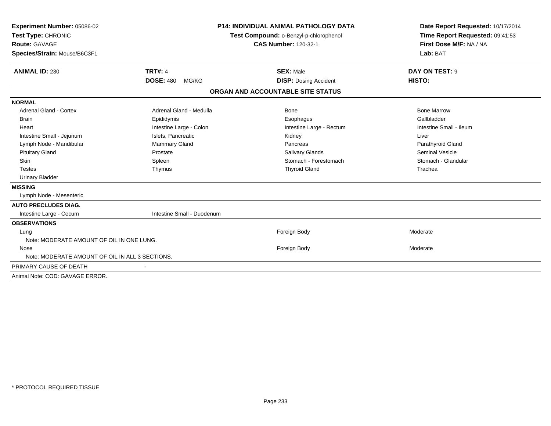| Experiment Number: 05086-02                     |                            | <b>P14: INDIVIDUAL ANIMAL PATHOLOGY DATA</b> | Date Report Requested: 10/17/2014 |
|-------------------------------------------------|----------------------------|----------------------------------------------|-----------------------------------|
| Test Type: CHRONIC                              |                            | Test Compound: o-Benzyl-p-chlorophenol       | Time Report Requested: 09:41:53   |
| Route: GAVAGE                                   |                            | <b>CAS Number: 120-32-1</b>                  | First Dose M/F: NA / NA           |
| Species/Strain: Mouse/B6C3F1                    |                            |                                              | Lab: BAT                          |
| <b>ANIMAL ID: 230</b>                           | <b>TRT#: 4</b>             | <b>SEX: Male</b>                             | DAY ON TEST: 9                    |
|                                                 | <b>DOSE: 480</b><br>MG/KG  | <b>DISP: Dosing Accident</b>                 | HISTO:                            |
|                                                 |                            | ORGAN AND ACCOUNTABLE SITE STATUS            |                                   |
| <b>NORMAL</b>                                   |                            |                                              |                                   |
| Adrenal Gland - Cortex                          | Adrenal Gland - Medulla    | Bone                                         | <b>Bone Marrow</b>                |
| <b>Brain</b>                                    | Epididymis                 | Esophagus                                    | Gallbladder                       |
| Heart                                           | Intestine Large - Colon    | Intestine Large - Rectum                     | Intestine Small - Ileum           |
| Intestine Small - Jejunum                       | Islets, Pancreatic         | Kidney                                       | Liver                             |
| Lymph Node - Mandibular                         | Mammary Gland              | Pancreas                                     | Parathyroid Gland                 |
| <b>Pituitary Gland</b>                          | Prostate                   | Salivary Glands                              | <b>Seminal Vesicle</b>            |
| Skin                                            | Spleen                     | Stomach - Forestomach                        | Stomach - Glandular               |
| <b>Testes</b>                                   | Thymus                     | <b>Thyroid Gland</b>                         | Trachea                           |
| <b>Urinary Bladder</b>                          |                            |                                              |                                   |
| <b>MISSING</b>                                  |                            |                                              |                                   |
| Lymph Node - Mesenteric                         |                            |                                              |                                   |
| <b>AUTO PRECLUDES DIAG.</b>                     |                            |                                              |                                   |
| Intestine Large - Cecum                         | Intestine Small - Duodenum |                                              |                                   |
| <b>OBSERVATIONS</b>                             |                            |                                              |                                   |
| Lung                                            |                            | Foreign Body                                 | Moderate                          |
| Note: MODERATE AMOUNT OF OIL IN ONE LUNG.       |                            |                                              |                                   |
| Nose                                            |                            | Foreign Body                                 | Moderate                          |
| Note: MODERATE AMOUNT OF OIL IN ALL 3 SECTIONS. |                            |                                              |                                   |
| PRIMARY CAUSE OF DEATH                          |                            |                                              |                                   |
| Animal Note: COD: GAVAGE ERROR.                 |                            |                                              |                                   |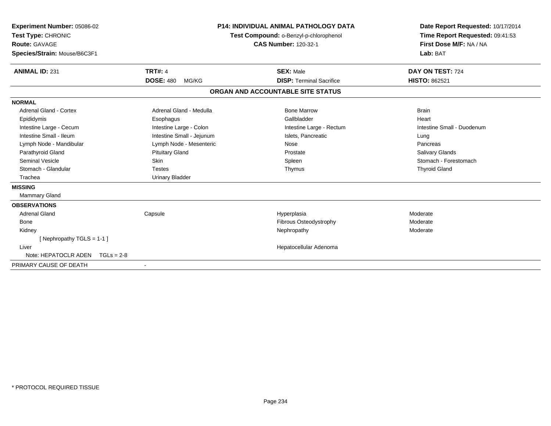| <b>Experiment Number: 05086-02</b><br>Test Type: CHRONIC<br><b>Route: GAVAGE</b><br>Species/Strain: Mouse/B6C3F1 |                                             | <b>P14: INDIVIDUAL ANIMAL PATHOLOGY DATA</b><br>Test Compound: o-Benzyl-p-chlorophenol<br><b>CAS Number: 120-32-1</b> | Date Report Requested: 10/17/2014<br>Time Report Requested: 09:41:53<br>First Dose M/F: NA / NA<br>Lab: BAT |
|------------------------------------------------------------------------------------------------------------------|---------------------------------------------|-----------------------------------------------------------------------------------------------------------------------|-------------------------------------------------------------------------------------------------------------|
| <b>ANIMAL ID: 231</b>                                                                                            | <b>TRT#: 4</b><br><b>DOSE: 480</b><br>MG/KG | <b>SEX: Male</b><br><b>DISP: Terminal Sacrifice</b>                                                                   | DAY ON TEST: 724<br><b>HISTO: 862521</b>                                                                    |
|                                                                                                                  |                                             | ORGAN AND ACCOUNTABLE SITE STATUS                                                                                     |                                                                                                             |
| <b>NORMAL</b>                                                                                                    |                                             |                                                                                                                       |                                                                                                             |
| Adrenal Gland - Cortex                                                                                           | Adrenal Gland - Medulla                     | <b>Bone Marrow</b>                                                                                                    | <b>Brain</b>                                                                                                |
| Epididymis                                                                                                       | Esophagus                                   | Gallbladder                                                                                                           | Heart                                                                                                       |
| Intestine Large - Cecum                                                                                          | Intestine Large - Colon                     | Intestine Large - Rectum                                                                                              | Intestine Small - Duodenum                                                                                  |
| Intestine Small - Ileum                                                                                          | Intestine Small - Jejunum                   | Islets. Pancreatic                                                                                                    | Lung                                                                                                        |
| Lymph Node - Mandibular                                                                                          | Lymph Node - Mesenteric                     | Nose                                                                                                                  | Pancreas                                                                                                    |
| Parathyroid Gland                                                                                                | <b>Pituitary Gland</b>                      | Prostate                                                                                                              | Salivary Glands                                                                                             |
| <b>Seminal Vesicle</b>                                                                                           | <b>Skin</b>                                 | Spleen                                                                                                                | Stomach - Forestomach                                                                                       |
| Stomach - Glandular                                                                                              | <b>Testes</b>                               | Thymus                                                                                                                | <b>Thyroid Gland</b>                                                                                        |
| Trachea                                                                                                          | <b>Urinary Bladder</b>                      |                                                                                                                       |                                                                                                             |
| <b>MISSING</b>                                                                                                   |                                             |                                                                                                                       |                                                                                                             |
| <b>Mammary Gland</b>                                                                                             |                                             |                                                                                                                       |                                                                                                             |
| <b>OBSERVATIONS</b>                                                                                              |                                             |                                                                                                                       |                                                                                                             |
| <b>Adrenal Gland</b>                                                                                             | Capsule                                     | Hyperplasia                                                                                                           | Moderate                                                                                                    |
| <b>Bone</b>                                                                                                      |                                             | Fibrous Osteodystrophy                                                                                                | Moderate                                                                                                    |
| Kidney                                                                                                           |                                             | Nephropathy                                                                                                           | Moderate                                                                                                    |
| [Nephropathy TGLS = 1-1]                                                                                         |                                             |                                                                                                                       |                                                                                                             |
| Liver                                                                                                            |                                             | Hepatocellular Adenoma                                                                                                |                                                                                                             |
| Note: HEPATOCLR ADEN<br>$TGLs = 2-8$                                                                             |                                             |                                                                                                                       |                                                                                                             |
| PRIMARY CAUSE OF DEATH                                                                                           |                                             |                                                                                                                       |                                                                                                             |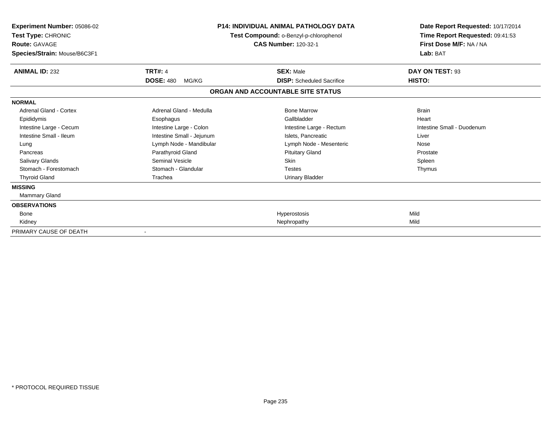| Experiment Number: 05086-02<br>Test Type: CHRONIC<br><b>Route: GAVAGE</b><br>Species/Strain: Mouse/B6C3F1 |                           | <b>P14: INDIVIDUAL ANIMAL PATHOLOGY DATA</b><br>Test Compound: o-Benzyl-p-chlorophenol<br><b>CAS Number: 120-32-1</b> | Date Report Requested: 10/17/2014<br>Time Report Requested: 09:41:53<br>First Dose M/F: NA / NA<br>Lab: BAT |
|-----------------------------------------------------------------------------------------------------------|---------------------------|-----------------------------------------------------------------------------------------------------------------------|-------------------------------------------------------------------------------------------------------------|
| <b>ANIMAL ID: 232</b>                                                                                     | <b>TRT#: 4</b>            | <b>SEX: Male</b>                                                                                                      | DAY ON TEST: 93                                                                                             |
|                                                                                                           | <b>DOSE: 480</b><br>MG/KG | <b>DISP:</b> Scheduled Sacrifice                                                                                      | HISTO:                                                                                                      |
|                                                                                                           |                           | ORGAN AND ACCOUNTABLE SITE STATUS                                                                                     |                                                                                                             |
| <b>NORMAL</b>                                                                                             |                           |                                                                                                                       |                                                                                                             |
| <b>Adrenal Gland - Cortex</b>                                                                             | Adrenal Gland - Medulla   | <b>Bone Marrow</b>                                                                                                    | <b>Brain</b>                                                                                                |
| Epididymis                                                                                                | Esophagus                 | Gallbladder                                                                                                           | Heart                                                                                                       |
| Intestine Large - Cecum                                                                                   | Intestine Large - Colon   | Intestine Large - Rectum                                                                                              | Intestine Small - Duodenum                                                                                  |
| Intestine Small - Ileum                                                                                   | Intestine Small - Jejunum | Islets. Pancreatic                                                                                                    | Liver                                                                                                       |
| Lung                                                                                                      | Lymph Node - Mandibular   | Lymph Node - Mesenteric                                                                                               | Nose                                                                                                        |
| Pancreas                                                                                                  | Parathyroid Gland         | <b>Pituitary Gland</b>                                                                                                | Prostate                                                                                                    |
| <b>Salivary Glands</b>                                                                                    | Seminal Vesicle           | Skin                                                                                                                  | Spleen                                                                                                      |
| Stomach - Forestomach                                                                                     | Stomach - Glandular       | <b>Testes</b>                                                                                                         | Thymus                                                                                                      |
| <b>Thyroid Gland</b>                                                                                      | Trachea                   | <b>Urinary Bladder</b>                                                                                                |                                                                                                             |
| <b>MISSING</b>                                                                                            |                           |                                                                                                                       |                                                                                                             |
| <b>Mammary Gland</b>                                                                                      |                           |                                                                                                                       |                                                                                                             |
| <b>OBSERVATIONS</b>                                                                                       |                           |                                                                                                                       |                                                                                                             |
| Bone                                                                                                      |                           | Hyperostosis                                                                                                          | Mild                                                                                                        |
| Kidney                                                                                                    |                           | Nephropathy                                                                                                           | Mild                                                                                                        |
| PRIMARY CAUSE OF DEATH                                                                                    |                           |                                                                                                                       |                                                                                                             |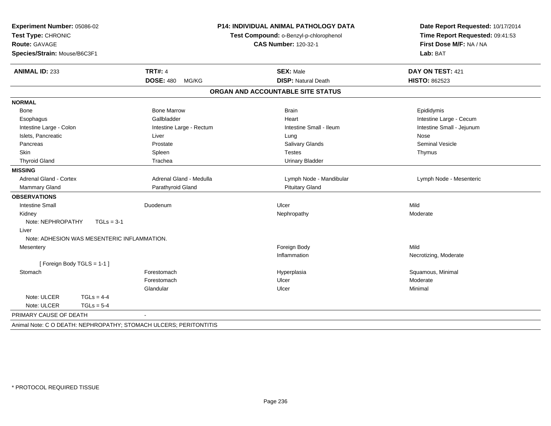| Experiment Number: 05086-02                                  |                           | P14: INDIVIDUAL ANIMAL PATHOLOGY DATA |                                 |
|--------------------------------------------------------------|---------------------------|---------------------------------------|---------------------------------|
| Test Type: CHRONIC<br>Test Compound: o-Benzyl-p-chlorophenol |                           |                                       | Time Report Requested: 09:41:53 |
| <b>Route: GAVAGE</b>                                         |                           | <b>CAS Number: 120-32-1</b>           | First Dose M/F: NA / NA         |
| Species/Strain: Mouse/B6C3F1                                 |                           |                                       | Lab: BAT                        |
| <b>ANIMAL ID: 233</b>                                        | <b>TRT#: 4</b>            | <b>SEX: Male</b>                      | DAY ON TEST: 421                |
|                                                              | <b>DOSE: 480</b><br>MG/KG | <b>DISP: Natural Death</b>            | <b>HISTO: 862523</b>            |
|                                                              |                           | ORGAN AND ACCOUNTABLE SITE STATUS     |                                 |
| <b>NORMAL</b>                                                |                           |                                       |                                 |
| Bone                                                         | <b>Bone Marrow</b>        | <b>Brain</b>                          | Epididymis                      |
| Esophagus                                                    | Gallbladder               | Heart                                 | Intestine Large - Cecum         |
| Intestine Large - Colon                                      | Intestine Large - Rectum  | Intestine Small - Ileum               | Intestine Small - Jejunum       |
| Islets, Pancreatic                                           | Liver                     | Lung                                  | Nose                            |
| Pancreas                                                     | Prostate                  | Salivary Glands                       | <b>Seminal Vesicle</b>          |
| Skin                                                         | Spleen                    | <b>Testes</b>                         | Thymus                          |
| <b>Thyroid Gland</b>                                         | Trachea                   | <b>Urinary Bladder</b>                |                                 |
| <b>MISSING</b>                                               |                           |                                       |                                 |
| Adrenal Gland - Cortex                                       | Adrenal Gland - Medulla   | Lymph Node - Mandibular               | Lymph Node - Mesenteric         |
| Mammary Gland                                                | Parathyroid Gland         | <b>Pituitary Gland</b>                |                                 |
| <b>OBSERVATIONS</b>                                          |                           |                                       |                                 |
| <b>Intestine Small</b>                                       | Duodenum                  | Ulcer                                 | Mild                            |
| Kidney                                                       |                           | Nephropathy                           | Moderate                        |
| Note: NEPHROPATHY<br>$TGLs = 3-1$                            |                           |                                       |                                 |
| Liver                                                        |                           |                                       |                                 |
| Note: ADHESION WAS MESENTERIC INFLAMMATION.                  |                           |                                       |                                 |
| Mesentery                                                    |                           | Foreign Body                          | Mild                            |
|                                                              |                           | Inflammation                          | Necrotizing, Moderate           |
| [Foreign Body TGLS = 1-1]                                    |                           |                                       |                                 |
| Stomach                                                      | Forestomach               | Hyperplasia                           | Squamous, Minimal               |
|                                                              | Forestomach               | Ulcer                                 | Moderate                        |
|                                                              | Glandular                 | Ulcer                                 | Minimal                         |
| Note: ULCER<br>$TGLs = 4-4$                                  |                           |                                       |                                 |
| Note: ULCER<br>$TGLs = 5-4$                                  |                           |                                       |                                 |
| PRIMARY CAUSE OF DEATH                                       |                           |                                       |                                 |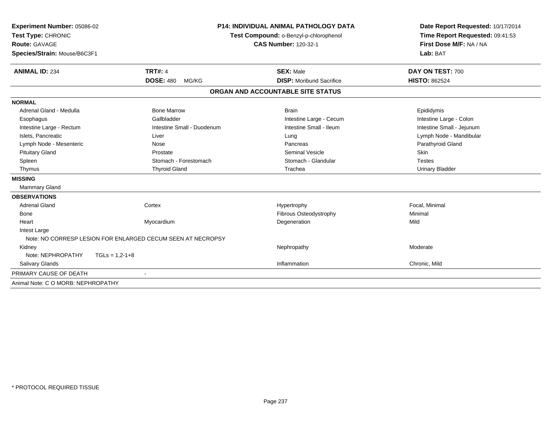| Experiment Number: 05086-02<br>Test Type: CHRONIC<br><b>Route: GAVAGE</b><br>Species/Strain: Mouse/B6C3F1 |                                                             | <b>P14: INDIVIDUAL ANIMAL PATHOLOGY DATA</b><br>Test Compound: o-Benzyl-p-chlorophenol<br><b>CAS Number: 120-32-1</b> | Date Report Requested: 10/17/2014<br>Time Report Requested: 09:41:53<br>First Dose M/F: NA / NA<br>Lab: BAT |
|-----------------------------------------------------------------------------------------------------------|-------------------------------------------------------------|-----------------------------------------------------------------------------------------------------------------------|-------------------------------------------------------------------------------------------------------------|
| <b>ANIMAL ID: 234</b>                                                                                     | <b>TRT#: 4</b><br><b>DOSE: 480</b><br>MG/KG                 | <b>SEX: Male</b><br><b>DISP:</b> Moribund Sacrifice                                                                   | DAY ON TEST: 700<br><b>HISTO: 862524</b>                                                                    |
|                                                                                                           |                                                             |                                                                                                                       |                                                                                                             |
|                                                                                                           |                                                             | ORGAN AND ACCOUNTABLE SITE STATUS                                                                                     |                                                                                                             |
| <b>NORMAL</b>                                                                                             |                                                             |                                                                                                                       |                                                                                                             |
| Adrenal Gland - Medulla                                                                                   | <b>Bone Marrow</b>                                          | <b>Brain</b>                                                                                                          | Epididymis                                                                                                  |
| Esophagus                                                                                                 | Gallbladder                                                 | Intestine Large - Cecum                                                                                               | Intestine Large - Colon                                                                                     |
| Intestine Large - Rectum                                                                                  | Intestine Small - Duodenum                                  | Intestine Small - Ileum                                                                                               | Intestine Small - Jejunum                                                                                   |
| Islets, Pancreatic                                                                                        | Liver                                                       | Lung                                                                                                                  | Lymph Node - Mandibular                                                                                     |
| Lymph Node - Mesenteric                                                                                   | Nose                                                        | Pancreas                                                                                                              | Parathyroid Gland                                                                                           |
| <b>Pituitary Gland</b>                                                                                    | Prostate                                                    | <b>Seminal Vesicle</b>                                                                                                | Skin                                                                                                        |
| Spleen                                                                                                    | Stomach - Forestomach                                       | Stomach - Glandular                                                                                                   | <b>Testes</b>                                                                                               |
| Thymus                                                                                                    | <b>Thyroid Gland</b>                                        | Trachea                                                                                                               | <b>Urinary Bladder</b>                                                                                      |
| <b>MISSING</b>                                                                                            |                                                             |                                                                                                                       |                                                                                                             |
| <b>Mammary Gland</b>                                                                                      |                                                             |                                                                                                                       |                                                                                                             |
| <b>OBSERVATIONS</b>                                                                                       |                                                             |                                                                                                                       |                                                                                                             |
| <b>Adrenal Gland</b>                                                                                      | Cortex                                                      | Hypertrophy                                                                                                           | Focal, Minimal                                                                                              |
| <b>Bone</b>                                                                                               |                                                             | Fibrous Osteodystrophy                                                                                                | Minimal                                                                                                     |
| Heart                                                                                                     | Myocardium                                                  | Degeneration                                                                                                          | Mild                                                                                                        |
| Intest Large                                                                                              |                                                             |                                                                                                                       |                                                                                                             |
|                                                                                                           | Note: NO CORRESP LESION FOR ENLARGED CECUM SEEN AT NECROPSY |                                                                                                                       |                                                                                                             |
| Kidney                                                                                                    |                                                             | Nephropathy                                                                                                           | Moderate                                                                                                    |
| Note: NEPHROPATHY                                                                                         | $TGLs = 1.2 - 1 + 8$                                        |                                                                                                                       |                                                                                                             |
| Salivary Glands                                                                                           |                                                             | Inflammation                                                                                                          | Chronic, Mild                                                                                               |
| PRIMARY CAUSE OF DEATH                                                                                    |                                                             |                                                                                                                       |                                                                                                             |
| Animal Note: C O MORB: NEPHROPATHY                                                                        |                                                             |                                                                                                                       |                                                                                                             |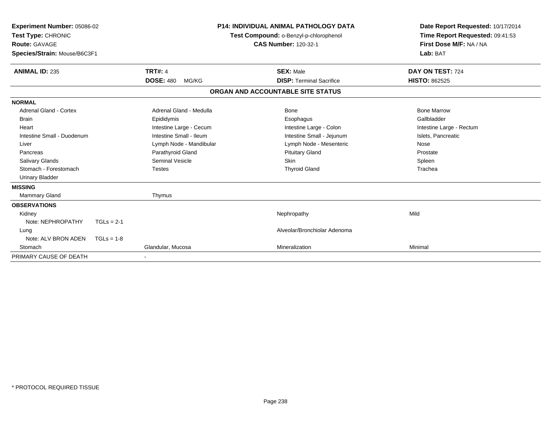| <b>Experiment Number: 05086-02</b><br>Test Type: CHRONIC<br><b>Route: GAVAGE</b><br>Species/Strain: Mouse/B6C3F1 |              |                           | P14: INDIVIDUAL ANIMAL PATHOLOGY DATA<br>Test Compound: o-Benzyl-p-chlorophenol<br><b>CAS Number: 120-32-1</b> | Date Report Requested: 10/17/2014<br>Time Report Requested: 09:41:53<br>First Dose M/F: NA / NA<br>Lab: BAT |
|------------------------------------------------------------------------------------------------------------------|--------------|---------------------------|----------------------------------------------------------------------------------------------------------------|-------------------------------------------------------------------------------------------------------------|
| <b>ANIMAL ID: 235</b>                                                                                            |              | <b>TRT#: 4</b>            | <b>SEX: Male</b>                                                                                               | DAY ON TEST: 724                                                                                            |
|                                                                                                                  |              | <b>DOSE: 480</b><br>MG/KG | <b>DISP: Terminal Sacrifice</b>                                                                                | <b>HISTO: 862525</b>                                                                                        |
|                                                                                                                  |              |                           | ORGAN AND ACCOUNTABLE SITE STATUS                                                                              |                                                                                                             |
| <b>NORMAL</b>                                                                                                    |              |                           |                                                                                                                |                                                                                                             |
| <b>Adrenal Gland - Cortex</b>                                                                                    |              | Adrenal Gland - Medulla   | <b>Bone</b>                                                                                                    | <b>Bone Marrow</b>                                                                                          |
| <b>Brain</b>                                                                                                     |              | Epididymis                | Esophagus                                                                                                      | Gallbladder                                                                                                 |
| Heart                                                                                                            |              | Intestine Large - Cecum   | Intestine Large - Colon                                                                                        | Intestine Large - Rectum                                                                                    |
| Intestine Small - Duodenum                                                                                       |              | Intestine Small - Ileum   | Intestine Small - Jejunum                                                                                      | Islets, Pancreatic                                                                                          |
| Liver                                                                                                            |              | Lymph Node - Mandibular   | Lymph Node - Mesenteric                                                                                        | Nose                                                                                                        |
| Pancreas                                                                                                         |              | Parathyroid Gland         | <b>Pituitary Gland</b>                                                                                         | Prostate                                                                                                    |
| Salivary Glands                                                                                                  |              | <b>Seminal Vesicle</b>    | Skin                                                                                                           | Spleen                                                                                                      |
| Stomach - Forestomach                                                                                            |              | <b>Testes</b>             | <b>Thyroid Gland</b>                                                                                           | Trachea                                                                                                     |
| <b>Urinary Bladder</b>                                                                                           |              |                           |                                                                                                                |                                                                                                             |
| <b>MISSING</b>                                                                                                   |              |                           |                                                                                                                |                                                                                                             |
| Mammary Gland                                                                                                    |              | Thymus                    |                                                                                                                |                                                                                                             |
| <b>OBSERVATIONS</b>                                                                                              |              |                           |                                                                                                                |                                                                                                             |
| Kidney                                                                                                           |              |                           | Nephropathy                                                                                                    | Mild                                                                                                        |
| Note: NEPHROPATHY                                                                                                | $TGLs = 2-1$ |                           |                                                                                                                |                                                                                                             |
| Lung                                                                                                             |              |                           | Alveolar/Bronchiolar Adenoma                                                                                   |                                                                                                             |
| Note: ALV BRON ADEN                                                                                              | $TGLs = 1-8$ |                           |                                                                                                                |                                                                                                             |
| Stomach                                                                                                          |              | Glandular, Mucosa         | Mineralization                                                                                                 | Minimal                                                                                                     |
| PRIMARY CAUSE OF DEATH                                                                                           |              |                           |                                                                                                                |                                                                                                             |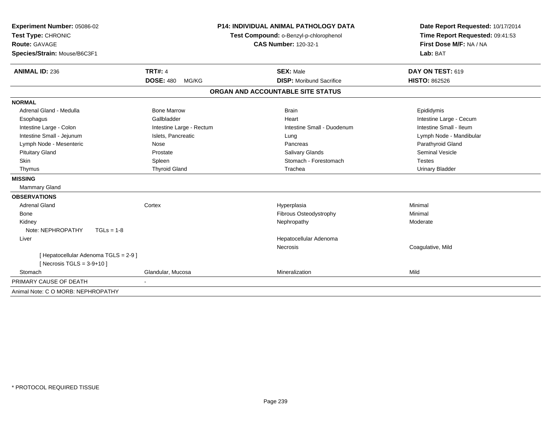| Experiment Number: 05086-02                                         | P14: INDIVIDUAL ANIMAL PATHOLOGY DATA |                                        | Date Report Requested: 10/17/2014 |  |
|---------------------------------------------------------------------|---------------------------------------|----------------------------------------|-----------------------------------|--|
| Test Type: CHRONIC                                                  |                                       | Test Compound: o-Benzyl-p-chlorophenol | Time Report Requested: 09:41:53   |  |
| <b>Route: GAVAGE</b>                                                |                                       | <b>CAS Number: 120-32-1</b>            | First Dose M/F: NA / NA           |  |
| Species/Strain: Mouse/B6C3F1                                        |                                       |                                        | Lab: BAT                          |  |
|                                                                     |                                       |                                        |                                   |  |
| <b>ANIMAL ID: 236</b>                                               | <b>TRT#: 4</b>                        | <b>SEX: Male</b>                       | DAY ON TEST: 619                  |  |
|                                                                     | <b>DOSE: 480</b><br>MG/KG             | <b>DISP:</b> Moribund Sacrifice        | <b>HISTO: 862526</b>              |  |
|                                                                     |                                       | ORGAN AND ACCOUNTABLE SITE STATUS      |                                   |  |
| <b>NORMAL</b>                                                       |                                       |                                        |                                   |  |
| Adrenal Gland - Medulla                                             | <b>Bone Marrow</b>                    | <b>Brain</b>                           | Epididymis                        |  |
| Esophagus                                                           | Gallbladder                           | Heart                                  | Intestine Large - Cecum           |  |
| Intestine Large - Colon                                             | Intestine Large - Rectum              | Intestine Small - Duodenum             | Intestine Small - Ileum           |  |
| Intestine Small - Jejunum                                           | Islets, Pancreatic                    | Lung                                   | Lymph Node - Mandibular           |  |
| Lymph Node - Mesenteric                                             | Nose                                  | Pancreas                               | Parathyroid Gland                 |  |
| <b>Pituitary Gland</b>                                              | Prostate                              | <b>Salivary Glands</b>                 | <b>Seminal Vesicle</b>            |  |
| Skin                                                                | Spleen                                | Stomach - Forestomach                  | <b>Testes</b>                     |  |
| Thymus                                                              | <b>Thyroid Gland</b>                  | Trachea                                | <b>Urinary Bladder</b>            |  |
| <b>MISSING</b>                                                      |                                       |                                        |                                   |  |
| Mammary Gland                                                       |                                       |                                        |                                   |  |
| <b>OBSERVATIONS</b>                                                 |                                       |                                        |                                   |  |
| Adrenal Gland                                                       | Cortex                                | Hyperplasia                            | Minimal                           |  |
| <b>Bone</b>                                                         |                                       | Fibrous Osteodystrophy                 | Minimal                           |  |
| Kidney                                                              |                                       | Nephropathy                            | Moderate                          |  |
| Note: NEPHROPATHY<br>$TGLs = 1-8$                                   |                                       |                                        |                                   |  |
| Liver                                                               |                                       | Hepatocellular Adenoma                 |                                   |  |
|                                                                     |                                       | <b>Necrosis</b>                        | Coagulative, Mild                 |  |
| [ Hepatocellular Adenoma TGLS = 2-9]<br>[Necrosis TGLS = $3-9+10$ ] |                                       |                                        |                                   |  |
| Stomach                                                             | Glandular, Mucosa                     | Mineralization                         | Mild                              |  |
| PRIMARY CAUSE OF DEATH                                              |                                       |                                        |                                   |  |
| Animal Note: C O MORB: NEPHROPATHY                                  |                                       |                                        |                                   |  |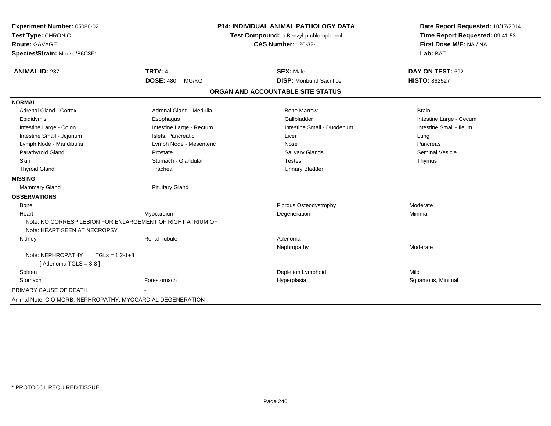| Experiment Number: 05086-02                                 | <b>P14: INDIVIDUAL ANIMAL PATHOLOGY DATA</b> |                                        | Date Report Requested: 10/17/2014   |  |
|-------------------------------------------------------------|----------------------------------------------|----------------------------------------|-------------------------------------|--|
| Test Type: CHRONIC                                          |                                              | Test Compound: o-Benzyl-p-chlorophenol | Time Report Requested: 09:41:53     |  |
| <b>Route: GAVAGE</b>                                        |                                              | <b>CAS Number: 120-32-1</b>            | First Dose M/F: NA / NA<br>Lab: BAT |  |
| Species/Strain: Mouse/B6C3F1                                |                                              |                                        |                                     |  |
| <b>ANIMAL ID: 237</b>                                       | <b>TRT#: 4</b>                               | <b>SEX: Male</b>                       | DAY ON TEST: 692                    |  |
|                                                             | <b>DOSE: 480</b><br>MG/KG                    | <b>DISP:</b> Moribund Sacrifice        | <b>HISTO: 862527</b>                |  |
|                                                             |                                              | ORGAN AND ACCOUNTABLE SITE STATUS      |                                     |  |
| <b>NORMAL</b>                                               |                                              |                                        |                                     |  |
| Adrenal Gland - Cortex                                      | Adrenal Gland - Medulla                      | <b>Bone Marrow</b>                     | <b>Brain</b>                        |  |
| Epididymis                                                  | Esophagus                                    | Gallbladder                            | Intestine Large - Cecum             |  |
| Intestine Large - Colon                                     | Intestine Large - Rectum                     | Intestine Small - Duodenum             | Intestine Small - Ileum             |  |
| Intestine Small - Jejunum                                   | Islets, Pancreatic                           | Liver                                  | Lung                                |  |
| Lymph Node - Mandibular                                     | Lymph Node - Mesenteric                      | Nose                                   | Pancreas                            |  |
| Parathyroid Gland                                           | Prostate                                     | <b>Salivary Glands</b>                 | <b>Seminal Vesicle</b>              |  |
| <b>Skin</b>                                                 | Stomach - Glandular                          | <b>Testes</b>                          | Thymus                              |  |
| <b>Thyroid Gland</b>                                        | Trachea                                      | <b>Urinary Bladder</b>                 |                                     |  |
| <b>MISSING</b>                                              |                                              |                                        |                                     |  |
| <b>Mammary Gland</b>                                        | <b>Pituitary Gland</b>                       |                                        |                                     |  |
| <b>OBSERVATIONS</b>                                         |                                              |                                        |                                     |  |
| <b>Bone</b>                                                 |                                              | Fibrous Osteodystrophy                 | Moderate                            |  |
| Heart                                                       | Myocardium                                   | Degeneration                           | Minimal                             |  |
| Note: NO CORRESP LESION FOR ENLARGEMENT OF RIGHT ATRIUM OF  |                                              |                                        |                                     |  |
| Note: HEART SEEN AT NECROPSY                                |                                              |                                        |                                     |  |
| Kidney                                                      | <b>Renal Tubule</b>                          | Adenoma                                |                                     |  |
|                                                             |                                              | Nephropathy                            | Moderate                            |  |
| Note: NEPHROPATHY<br>$TGLs = 1,2-1+8$                       |                                              |                                        |                                     |  |
| [Adenoma TGLS = 3-8]                                        |                                              |                                        |                                     |  |
| Spleen                                                      |                                              | Depletion Lymphoid                     | Mild                                |  |
| Stomach                                                     | Forestomach                                  | Hyperplasia                            | Squamous, Minimal                   |  |
| PRIMARY CAUSE OF DEATH                                      |                                              |                                        |                                     |  |
| Animal Note: C O MORB: NEPHROPATHY, MYOCARDIAL DEGENERATION |                                              |                                        |                                     |  |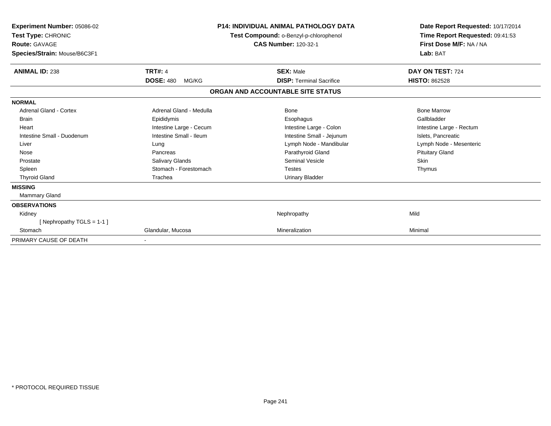| Experiment Number: 05086-02<br><b>Test Type: CHRONIC</b><br><b>Route: GAVAGE</b><br>Species/Strain: Mouse/B6C3F1 |                           | <b>P14: INDIVIDUAL ANIMAL PATHOLOGY DATA</b><br>Test Compound: o-Benzyl-p-chlorophenol<br><b>CAS Number: 120-32-1</b> | Date Report Requested: 10/17/2014<br>Time Report Requested: 09:41:53<br>First Dose M/F: NA / NA<br>Lab: BAT |
|------------------------------------------------------------------------------------------------------------------|---------------------------|-----------------------------------------------------------------------------------------------------------------------|-------------------------------------------------------------------------------------------------------------|
| <b>ANIMAL ID: 238</b>                                                                                            | <b>TRT#: 4</b>            | <b>SEX: Male</b>                                                                                                      | DAY ON TEST: 724                                                                                            |
|                                                                                                                  | <b>DOSE: 480</b><br>MG/KG | <b>DISP: Terminal Sacrifice</b>                                                                                       | <b>HISTO: 862528</b>                                                                                        |
|                                                                                                                  |                           | ORGAN AND ACCOUNTABLE SITE STATUS                                                                                     |                                                                                                             |
| <b>NORMAL</b>                                                                                                    |                           |                                                                                                                       |                                                                                                             |
| <b>Adrenal Gland - Cortex</b>                                                                                    | Adrenal Gland - Medulla   | <b>Bone</b>                                                                                                           | <b>Bone Marrow</b>                                                                                          |
| <b>Brain</b>                                                                                                     | Epididymis                | Esophagus                                                                                                             | Gallbladder                                                                                                 |
| Heart                                                                                                            | Intestine Large - Cecum   | Intestine Large - Colon                                                                                               | Intestine Large - Rectum                                                                                    |
| Intestine Small - Duodenum                                                                                       | Intestine Small - Ileum   | Intestine Small - Jejunum                                                                                             | Islets, Pancreatic                                                                                          |
| Liver                                                                                                            | Lung                      | Lymph Node - Mandibular                                                                                               | Lymph Node - Mesenteric                                                                                     |
| Nose                                                                                                             | Pancreas                  | Parathyroid Gland                                                                                                     | <b>Pituitary Gland</b>                                                                                      |
| Prostate                                                                                                         | <b>Salivary Glands</b>    | <b>Seminal Vesicle</b>                                                                                                | <b>Skin</b>                                                                                                 |
| Spleen                                                                                                           | Stomach - Forestomach     | <b>Testes</b>                                                                                                         | Thymus                                                                                                      |
| <b>Thyroid Gland</b>                                                                                             | Trachea                   | <b>Urinary Bladder</b>                                                                                                |                                                                                                             |
| <b>MISSING</b>                                                                                                   |                           |                                                                                                                       |                                                                                                             |
| Mammary Gland                                                                                                    |                           |                                                                                                                       |                                                                                                             |
| <b>OBSERVATIONS</b>                                                                                              |                           |                                                                                                                       |                                                                                                             |
| Kidney                                                                                                           |                           | Nephropathy                                                                                                           | Mild                                                                                                        |
| [Nephropathy TGLS = $1-1$ ]                                                                                      |                           |                                                                                                                       |                                                                                                             |
| Stomach                                                                                                          | Glandular, Mucosa         | Mineralization                                                                                                        | Minimal                                                                                                     |
| PRIMARY CAUSE OF DEATH                                                                                           |                           |                                                                                                                       |                                                                                                             |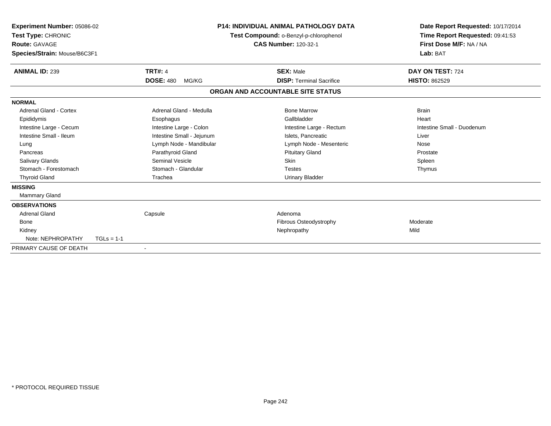| <b>Experiment Number: 05086-02</b><br>Test Type: CHRONIC<br>Route: GAVAGE<br>Species/Strain: Mouse/B6C3F1 |              |                           | P14: INDIVIDUAL ANIMAL PATHOLOGY DATA<br>Test Compound: o-Benzyl-p-chlorophenol<br><b>CAS Number: 120-32-1</b> |                                   | Date Report Requested: 10/17/2014<br>Time Report Requested: 09:41:53<br>First Dose M/F: NA / NA<br>Lab: BAT |
|-----------------------------------------------------------------------------------------------------------|--------------|---------------------------|----------------------------------------------------------------------------------------------------------------|-----------------------------------|-------------------------------------------------------------------------------------------------------------|
| <b>ANIMAL ID: 239</b>                                                                                     |              | <b>TRT#: 4</b>            |                                                                                                                | <b>SEX: Male</b>                  | DAY ON TEST: 724                                                                                            |
|                                                                                                           |              | <b>DOSE: 480</b><br>MG/KG |                                                                                                                | <b>DISP: Terminal Sacrifice</b>   | <b>HISTO: 862529</b>                                                                                        |
|                                                                                                           |              |                           |                                                                                                                | ORGAN AND ACCOUNTABLE SITE STATUS |                                                                                                             |
| <b>NORMAL</b>                                                                                             |              |                           |                                                                                                                |                                   |                                                                                                             |
| Adrenal Gland - Cortex                                                                                    |              | Adrenal Gland - Medulla   |                                                                                                                | <b>Bone Marrow</b>                | <b>Brain</b>                                                                                                |
| Epididymis                                                                                                |              | Esophagus                 |                                                                                                                | Gallbladder                       | Heart                                                                                                       |
| Intestine Large - Cecum                                                                                   |              | Intestine Large - Colon   |                                                                                                                | Intestine Large - Rectum          | Intestine Small - Duodenum                                                                                  |
| Intestine Small - Ileum                                                                                   |              | Intestine Small - Jejunum |                                                                                                                | Islets, Pancreatic                | Liver                                                                                                       |
| Lung                                                                                                      |              | Lymph Node - Mandibular   |                                                                                                                | Lymph Node - Mesenteric           | Nose                                                                                                        |
| Pancreas                                                                                                  |              | Parathyroid Gland         |                                                                                                                | <b>Pituitary Gland</b>            | Prostate                                                                                                    |
| <b>Salivary Glands</b>                                                                                    |              | Seminal Vesicle           |                                                                                                                | Skin                              | Spleen                                                                                                      |
| Stomach - Forestomach                                                                                     |              | Stomach - Glandular       |                                                                                                                | <b>Testes</b>                     | Thymus                                                                                                      |
| <b>Thyroid Gland</b>                                                                                      |              | Trachea                   |                                                                                                                | <b>Urinary Bladder</b>            |                                                                                                             |
| <b>MISSING</b>                                                                                            |              |                           |                                                                                                                |                                   |                                                                                                             |
| Mammary Gland                                                                                             |              |                           |                                                                                                                |                                   |                                                                                                             |
| <b>OBSERVATIONS</b>                                                                                       |              |                           |                                                                                                                |                                   |                                                                                                             |
| <b>Adrenal Gland</b>                                                                                      |              | Capsule                   |                                                                                                                | Adenoma                           |                                                                                                             |
| <b>Bone</b>                                                                                               |              |                           |                                                                                                                | Fibrous Osteodystrophy            | Moderate                                                                                                    |
| Kidney                                                                                                    |              |                           |                                                                                                                | Nephropathy                       | Mild                                                                                                        |
| Note: NEPHROPATHY                                                                                         | $TGLs = 1-1$ |                           |                                                                                                                |                                   |                                                                                                             |
| PRIMARY CAUSE OF DEATH                                                                                    |              |                           |                                                                                                                |                                   |                                                                                                             |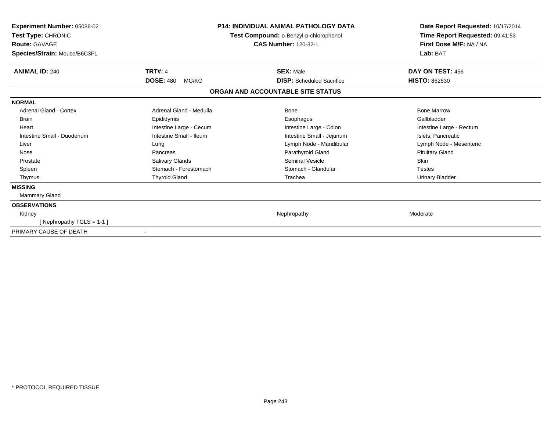| <b>Experiment Number: 05086-02</b><br>Test Type: CHRONIC<br><b>Route: GAVAGE</b><br>Species/Strain: Mouse/B6C3F1 |                           | <b>P14: INDIVIDUAL ANIMAL PATHOLOGY DATA</b><br>Test Compound: o-Benzyl-p-chlorophenol<br><b>CAS Number: 120-32-1</b> | Date Report Requested: 10/17/2014<br>Time Report Requested: 09:41:53<br>First Dose M/F: NA / NA<br>Lab: BAT |
|------------------------------------------------------------------------------------------------------------------|---------------------------|-----------------------------------------------------------------------------------------------------------------------|-------------------------------------------------------------------------------------------------------------|
| <b>ANIMAL ID: 240</b>                                                                                            | <b>TRT#: 4</b>            | <b>SEX: Male</b>                                                                                                      | DAY ON TEST: 456                                                                                            |
|                                                                                                                  | <b>DOSE: 480</b><br>MG/KG | <b>DISP:</b> Scheduled Sacrifice                                                                                      | <b>HISTO: 862530</b>                                                                                        |
|                                                                                                                  |                           | ORGAN AND ACCOUNTABLE SITE STATUS                                                                                     |                                                                                                             |
| <b>NORMAL</b>                                                                                                    |                           |                                                                                                                       |                                                                                                             |
| <b>Adrenal Gland - Cortex</b>                                                                                    | Adrenal Gland - Medulla   | Bone                                                                                                                  | <b>Bone Marrow</b>                                                                                          |
| <b>Brain</b>                                                                                                     | Epididymis                | Esophagus                                                                                                             | Gallbladder                                                                                                 |
| Heart                                                                                                            | Intestine Large - Cecum   | Intestine Large - Colon                                                                                               | Intestine Large - Rectum                                                                                    |
| Intestine Small - Duodenum                                                                                       | Intestine Small - Ileum   | Intestine Small - Jejunum                                                                                             | Islets, Pancreatic                                                                                          |
| Liver                                                                                                            | Lung                      | Lymph Node - Mandibular                                                                                               | Lymph Node - Mesenteric                                                                                     |
| Nose                                                                                                             | Pancreas                  | Parathyroid Gland                                                                                                     | <b>Pituitary Gland</b>                                                                                      |
| Prostate                                                                                                         | Salivary Glands           | <b>Seminal Vesicle</b>                                                                                                | Skin                                                                                                        |
| Spleen                                                                                                           | Stomach - Forestomach     | Stomach - Glandular                                                                                                   | <b>Testes</b>                                                                                               |
| Thymus                                                                                                           | <b>Thyroid Gland</b>      | Trachea                                                                                                               | <b>Urinary Bladder</b>                                                                                      |
| <b>MISSING</b>                                                                                                   |                           |                                                                                                                       |                                                                                                             |
| Mammary Gland                                                                                                    |                           |                                                                                                                       |                                                                                                             |
| <b>OBSERVATIONS</b>                                                                                              |                           |                                                                                                                       |                                                                                                             |
| Kidney                                                                                                           |                           | Nephropathy                                                                                                           | Moderate                                                                                                    |
| [Nephropathy TGLS = 1-1]                                                                                         |                           |                                                                                                                       |                                                                                                             |
| PRIMARY CAUSE OF DEATH                                                                                           |                           |                                                                                                                       |                                                                                                             |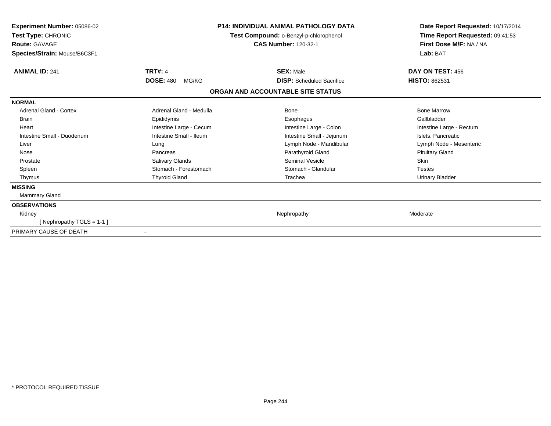| Experiment Number: 05086-02<br>Test Type: CHRONIC<br><b>Route: GAVAGE</b><br>Species/Strain: Mouse/B6C3F1 |                           | <b>P14: INDIVIDUAL ANIMAL PATHOLOGY DATA</b><br>Test Compound: o-Benzyl-p-chlorophenol<br><b>CAS Number: 120-32-1</b> | Date Report Requested: 10/17/2014<br>Time Report Requested: 09:41:53<br>First Dose M/F: NA / NA<br>Lab: BAT |
|-----------------------------------------------------------------------------------------------------------|---------------------------|-----------------------------------------------------------------------------------------------------------------------|-------------------------------------------------------------------------------------------------------------|
| <b>ANIMAL ID: 241</b>                                                                                     | <b>TRT#: 4</b>            | <b>SEX: Male</b>                                                                                                      | DAY ON TEST: 456                                                                                            |
|                                                                                                           | <b>DOSE: 480</b><br>MG/KG | <b>DISP:</b> Scheduled Sacrifice                                                                                      | <b>HISTO: 862531</b>                                                                                        |
|                                                                                                           |                           | ORGAN AND ACCOUNTABLE SITE STATUS                                                                                     |                                                                                                             |
| <b>NORMAL</b>                                                                                             |                           |                                                                                                                       |                                                                                                             |
| Adrenal Gland - Cortex                                                                                    | Adrenal Gland - Medulla   | Bone                                                                                                                  | <b>Bone Marrow</b>                                                                                          |
| <b>Brain</b>                                                                                              | Epididymis                | Esophagus                                                                                                             | Gallbladder                                                                                                 |
| Heart                                                                                                     | Intestine Large - Cecum   | Intestine Large - Colon                                                                                               | Intestine Large - Rectum                                                                                    |
| Intestine Small - Duodenum                                                                                | Intestine Small - Ileum   | Intestine Small - Jejunum                                                                                             | Islets, Pancreatic                                                                                          |
| Liver                                                                                                     | Lung                      | Lymph Node - Mandibular                                                                                               | Lymph Node - Mesenteric                                                                                     |
| Nose                                                                                                      | Pancreas                  | Parathyroid Gland                                                                                                     | <b>Pituitary Gland</b>                                                                                      |
| Prostate                                                                                                  | Salivary Glands           | Seminal Vesicle                                                                                                       | Skin                                                                                                        |
| Spleen                                                                                                    | Stomach - Forestomach     | Stomach - Glandular                                                                                                   | <b>Testes</b>                                                                                               |
| Thymus                                                                                                    | <b>Thyroid Gland</b>      | Trachea                                                                                                               | <b>Urinary Bladder</b>                                                                                      |
| <b>MISSING</b>                                                                                            |                           |                                                                                                                       |                                                                                                             |
| Mammary Gland                                                                                             |                           |                                                                                                                       |                                                                                                             |
| <b>OBSERVATIONS</b>                                                                                       |                           |                                                                                                                       |                                                                                                             |
| Kidney                                                                                                    |                           | Nephropathy                                                                                                           | Moderate                                                                                                    |
| [Nephropathy TGLS = 1-1]                                                                                  |                           |                                                                                                                       |                                                                                                             |
| PRIMARY CAUSE OF DEATH                                                                                    |                           |                                                                                                                       |                                                                                                             |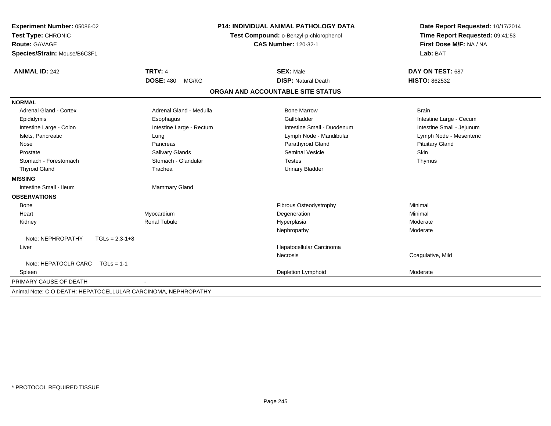|                           | <b>P14: INDIVIDUAL ANIMAL PATHOLOGY DATA</b>                  | Date Report Requested: 10/17/2014<br>Time Report Requested: 09:41:53<br>First Dose M/F: NA / NA<br>Lab: BAT |  |
|---------------------------|---------------------------------------------------------------|-------------------------------------------------------------------------------------------------------------|--|
|                           |                                                               |                                                                                                             |  |
|                           | <b>CAS Number: 120-32-1</b>                                   |                                                                                                             |  |
|                           |                                                               |                                                                                                             |  |
| <b>TRT#: 4</b>            | <b>SEX: Male</b>                                              | DAY ON TEST: 687                                                                                            |  |
| <b>DOSE: 480</b><br>MG/KG | <b>DISP: Natural Death</b>                                    | <b>HISTO: 862532</b>                                                                                        |  |
|                           |                                                               |                                                                                                             |  |
|                           |                                                               |                                                                                                             |  |
| Adrenal Gland - Medulla   | <b>Bone Marrow</b>                                            | <b>Brain</b>                                                                                                |  |
| Esophagus                 | Gallbladder                                                   | Intestine Large - Cecum                                                                                     |  |
| Intestine Large - Rectum  | Intestine Small - Duodenum                                    | Intestine Small - Jejunum                                                                                   |  |
| Lung                      | Lymph Node - Mandibular                                       | Lymph Node - Mesenteric                                                                                     |  |
| Pancreas                  | Parathyroid Gland                                             | <b>Pituitary Gland</b>                                                                                      |  |
| Salivary Glands           | <b>Seminal Vesicle</b>                                        | Skin                                                                                                        |  |
| Stomach - Glandular       | <b>Testes</b>                                                 | Thymus                                                                                                      |  |
| Trachea                   | <b>Urinary Bladder</b>                                        |                                                                                                             |  |
|                           |                                                               |                                                                                                             |  |
| Mammary Gland             |                                                               |                                                                                                             |  |
|                           |                                                               |                                                                                                             |  |
|                           | Fibrous Osteodystrophy                                        | Minimal                                                                                                     |  |
| Myocardium                | Degeneration                                                  | Minimal                                                                                                     |  |
| <b>Renal Tubule</b>       | Hyperplasia                                                   | Moderate                                                                                                    |  |
|                           | Nephropathy                                                   | Moderate                                                                                                    |  |
|                           |                                                               |                                                                                                             |  |
|                           | Hepatocellular Carcinoma                                      |                                                                                                             |  |
|                           | Necrosis                                                      | Coagulative, Mild                                                                                           |  |
|                           |                                                               |                                                                                                             |  |
|                           | Depletion Lymphoid                                            | Moderate                                                                                                    |  |
|                           |                                                               |                                                                                                             |  |
|                           | Animal Note: C O DEATH: HEPATOCELLULAR CARCINOMA, NEPHROPATHY | Test Compound: o-Benzyl-p-chlorophenol<br>ORGAN AND ACCOUNTABLE SITE STATUS                                 |  |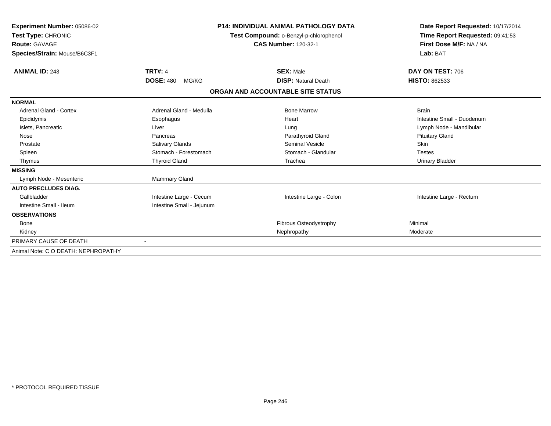| Experiment Number: 05086-02<br>Test Type: CHRONIC<br>Route: GAVAGE<br>Species/Strain: Mouse/B6C3F1 |                           | <b>P14: INDIVIDUAL ANIMAL PATHOLOGY DATA</b><br>Test Compound: o-Benzyl-p-chlorophenol<br><b>CAS Number: 120-32-1</b> | Date Report Requested: 10/17/2014<br>Time Report Requested: 09:41:53<br>First Dose M/F: NA / NA<br>Lab: BAT |  |
|----------------------------------------------------------------------------------------------------|---------------------------|-----------------------------------------------------------------------------------------------------------------------|-------------------------------------------------------------------------------------------------------------|--|
| <b>ANIMAL ID: 243</b>                                                                              | <b>TRT#: 4</b>            | <b>SEX: Male</b>                                                                                                      | DAY ON TEST: 706                                                                                            |  |
|                                                                                                    | <b>DOSE: 480</b><br>MG/KG | <b>DISP: Natural Death</b>                                                                                            | <b>HISTO: 862533</b>                                                                                        |  |
|                                                                                                    |                           | ORGAN AND ACCOUNTABLE SITE STATUS                                                                                     |                                                                                                             |  |
| <b>NORMAL</b>                                                                                      |                           |                                                                                                                       |                                                                                                             |  |
| <b>Adrenal Gland - Cortex</b>                                                                      | Adrenal Gland - Medulla   | <b>Bone Marrow</b>                                                                                                    | <b>Brain</b>                                                                                                |  |
| Epididymis                                                                                         | Esophagus                 | Heart                                                                                                                 | Intestine Small - Duodenum                                                                                  |  |
| Islets, Pancreatic                                                                                 | Liver                     | Lung                                                                                                                  | Lymph Node - Mandibular                                                                                     |  |
| Nose                                                                                               | Pancreas                  | Parathyroid Gland                                                                                                     | <b>Pituitary Gland</b>                                                                                      |  |
| Prostate                                                                                           | Salivary Glands           | <b>Seminal Vesicle</b>                                                                                                | <b>Skin</b>                                                                                                 |  |
| Spleen                                                                                             | Stomach - Forestomach     | Stomach - Glandular                                                                                                   | <b>Testes</b>                                                                                               |  |
| Thymus                                                                                             | <b>Thyroid Gland</b>      | Trachea                                                                                                               | <b>Urinary Bladder</b>                                                                                      |  |
| <b>MISSING</b>                                                                                     |                           |                                                                                                                       |                                                                                                             |  |
| Lymph Node - Mesenteric                                                                            | <b>Mammary Gland</b>      |                                                                                                                       |                                                                                                             |  |
| <b>AUTO PRECLUDES DIAG.</b>                                                                        |                           |                                                                                                                       |                                                                                                             |  |
| Gallbladder                                                                                        | Intestine Large - Cecum   | Intestine Large - Colon                                                                                               | Intestine Large - Rectum                                                                                    |  |
| Intestine Small - Ileum                                                                            | Intestine Small - Jejunum |                                                                                                                       |                                                                                                             |  |
| <b>OBSERVATIONS</b>                                                                                |                           |                                                                                                                       |                                                                                                             |  |
| Bone                                                                                               |                           | Fibrous Osteodystrophy                                                                                                | Minimal                                                                                                     |  |
| Kidney                                                                                             |                           | Nephropathy                                                                                                           | Moderate                                                                                                    |  |
| PRIMARY CAUSE OF DEATH                                                                             |                           |                                                                                                                       |                                                                                                             |  |
| Animal Note: C O DEATH: NEPHROPATHY                                                                |                           |                                                                                                                       |                                                                                                             |  |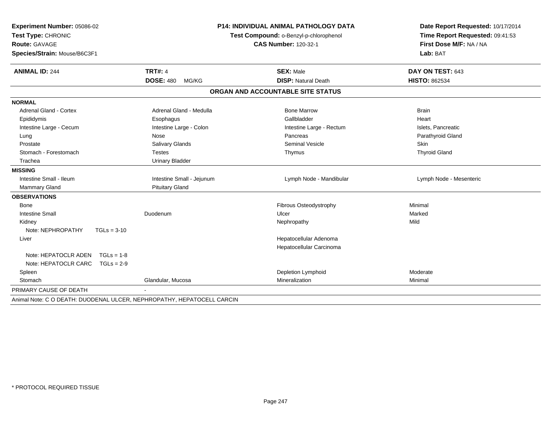| Experiment Number: 05086-02                                            |                           | <b>P14: INDIVIDUAL ANIMAL PATHOLOGY DATA</b> | Date Report Requested: 10/17/2014 |  |
|------------------------------------------------------------------------|---------------------------|----------------------------------------------|-----------------------------------|--|
| Test Type: CHRONIC                                                     |                           | Test Compound: o-Benzyl-p-chlorophenol       | Time Report Requested: 09:41:53   |  |
| Route: GAVAGE                                                          |                           | <b>CAS Number: 120-32-1</b>                  | First Dose M/F: NA / NA           |  |
| Species/Strain: Mouse/B6C3F1                                           |                           |                                              | Lab: BAT                          |  |
| <b>ANIMAL ID: 244</b>                                                  | <b>TRT#: 4</b>            | <b>SEX: Male</b>                             | DAY ON TEST: 643                  |  |
|                                                                        | <b>DOSE: 480</b><br>MG/KG | <b>DISP: Natural Death</b>                   | <b>HISTO: 862534</b>              |  |
|                                                                        |                           | ORGAN AND ACCOUNTABLE SITE STATUS            |                                   |  |
| <b>NORMAL</b>                                                          |                           |                                              |                                   |  |
| <b>Adrenal Gland - Cortex</b>                                          | Adrenal Gland - Medulla   | <b>Bone Marrow</b>                           | <b>Brain</b>                      |  |
| Epididymis                                                             | Esophagus                 | Gallbladder                                  | Heart                             |  |
| Intestine Large - Cecum                                                | Intestine Large - Colon   | Intestine Large - Rectum                     | Islets, Pancreatic                |  |
| Lung                                                                   | Nose                      | Pancreas                                     | Parathyroid Gland                 |  |
| Prostate                                                               | Salivary Glands           | <b>Seminal Vesicle</b>                       | Skin                              |  |
| Stomach - Forestomach                                                  | <b>Testes</b>             | Thymus                                       | <b>Thyroid Gland</b>              |  |
| Trachea                                                                | <b>Urinary Bladder</b>    |                                              |                                   |  |
| <b>MISSING</b>                                                         |                           |                                              |                                   |  |
| Intestine Small - Ileum                                                | Intestine Small - Jejunum | Lymph Node - Mandibular                      | Lymph Node - Mesenteric           |  |
| <b>Mammary Gland</b>                                                   | <b>Pituitary Gland</b>    |                                              |                                   |  |
| <b>OBSERVATIONS</b>                                                    |                           |                                              |                                   |  |
| Bone                                                                   |                           | Fibrous Osteodystrophy                       | Minimal                           |  |
| <b>Intestine Small</b>                                                 | Duodenum                  | Ulcer                                        | Marked                            |  |
| Kidney                                                                 |                           | Nephropathy                                  | Mild                              |  |
| Note: NEPHROPATHY<br>$TGLs = 3-10$                                     |                           |                                              |                                   |  |
| Liver                                                                  |                           | Hepatocellular Adenoma                       |                                   |  |
|                                                                        |                           | Hepatocellular Carcinoma                     |                                   |  |
| Note: HEPATOCLR ADEN<br>$TGLs = 1-8$                                   |                           |                                              |                                   |  |
| Note: HEPATOCLR CARC<br>$TGLs = 2-9$                                   |                           |                                              |                                   |  |
| Spleen                                                                 |                           | Depletion Lymphoid                           | Moderate                          |  |
| Stomach                                                                | Glandular, Mucosa         | Mineralization                               | Minimal                           |  |
| PRIMARY CAUSE OF DEATH                                                 |                           |                                              |                                   |  |
| Animal Note: C O DEATH: DUODENAL ULCER, NEPHROPATHY, HEPATOCELL CARCIN |                           |                                              |                                   |  |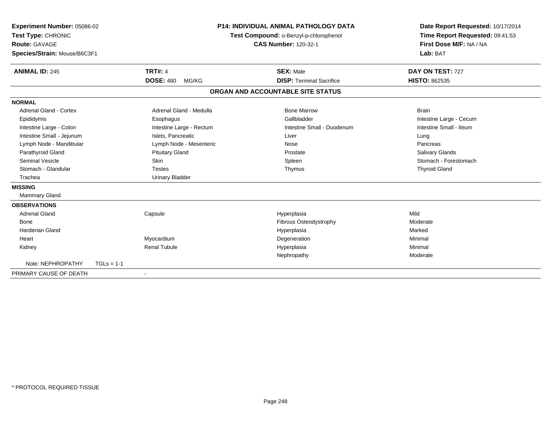| Experiment Number: 05086-02<br>Test Type: CHRONIC<br><b>Route: GAVAGE</b><br>Species/Strain: Mouse/B6C3F1<br><b>ANIMAL ID: 245</b> |              | <b>TRT#: 4</b>            | P14: INDIVIDUAL ANIMAL PATHOLOGY DATA<br>Test Compound: o-Benzyl-p-chlorophenol<br><b>CAS Number: 120-32-1</b><br><b>SEX: Male</b> |                                   | Date Report Requested: 10/17/2014<br>Time Report Requested: 09:41:53<br>First Dose M/F: NA / NA<br>Lab: BAT<br>DAY ON TEST: 727 |  |
|------------------------------------------------------------------------------------------------------------------------------------|--------------|---------------------------|------------------------------------------------------------------------------------------------------------------------------------|-----------------------------------|---------------------------------------------------------------------------------------------------------------------------------|--|
|                                                                                                                                    |              | <b>DOSE: 480</b><br>MG/KG |                                                                                                                                    | <b>DISP: Terminal Sacrifice</b>   | <b>HISTO: 862535</b>                                                                                                            |  |
|                                                                                                                                    |              |                           |                                                                                                                                    | ORGAN AND ACCOUNTABLE SITE STATUS |                                                                                                                                 |  |
| <b>NORMAL</b>                                                                                                                      |              |                           |                                                                                                                                    |                                   |                                                                                                                                 |  |
| <b>Adrenal Gland - Cortex</b>                                                                                                      |              | Adrenal Gland - Medulla   |                                                                                                                                    | <b>Bone Marrow</b>                | <b>Brain</b>                                                                                                                    |  |
| Epididymis                                                                                                                         |              | Esophagus                 |                                                                                                                                    | Gallbladder                       | Intestine Large - Cecum                                                                                                         |  |
| Intestine Large - Colon                                                                                                            |              | Intestine Large - Rectum  |                                                                                                                                    | Intestine Small - Duodenum        | Intestine Small - Ileum                                                                                                         |  |
| Intestine Small - Jejunum                                                                                                          |              | Islets, Pancreatic        |                                                                                                                                    | Liver                             | Lung                                                                                                                            |  |
| Lymph Node - Mandibular                                                                                                            |              | Lymph Node - Mesenteric   |                                                                                                                                    | Nose                              | Pancreas                                                                                                                        |  |
| Parathyroid Gland                                                                                                                  |              | <b>Pituitary Gland</b>    |                                                                                                                                    | Prostate                          | <b>Salivary Glands</b>                                                                                                          |  |
| <b>Seminal Vesicle</b>                                                                                                             |              | <b>Skin</b>               |                                                                                                                                    | Spleen                            | Stomach - Forestomach                                                                                                           |  |
| Stomach - Glandular                                                                                                                |              | <b>Testes</b>             |                                                                                                                                    | Thymus                            | <b>Thyroid Gland</b>                                                                                                            |  |
| Trachea                                                                                                                            |              | <b>Urinary Bladder</b>    |                                                                                                                                    |                                   |                                                                                                                                 |  |
| <b>MISSING</b>                                                                                                                     |              |                           |                                                                                                                                    |                                   |                                                                                                                                 |  |
| <b>Mammary Gland</b>                                                                                                               |              |                           |                                                                                                                                    |                                   |                                                                                                                                 |  |
| <b>OBSERVATIONS</b>                                                                                                                |              |                           |                                                                                                                                    |                                   |                                                                                                                                 |  |
| <b>Adrenal Gland</b>                                                                                                               |              | Capsule                   |                                                                                                                                    | Hyperplasia                       | Mild                                                                                                                            |  |
| <b>Bone</b>                                                                                                                        |              |                           |                                                                                                                                    | <b>Fibrous Osteodystrophy</b>     | Moderate                                                                                                                        |  |
| Harderian Gland                                                                                                                    |              |                           |                                                                                                                                    | Hyperplasia                       | Marked                                                                                                                          |  |
| Heart                                                                                                                              |              | Myocardium                |                                                                                                                                    | Degeneration                      | Minimal                                                                                                                         |  |
| Kidney                                                                                                                             |              | <b>Renal Tubule</b>       |                                                                                                                                    | Hyperplasia                       | Minimal                                                                                                                         |  |
|                                                                                                                                    |              |                           |                                                                                                                                    | Nephropathy                       | Moderate                                                                                                                        |  |
| Note: NEPHROPATHY                                                                                                                  | $TGLs = 1-1$ |                           |                                                                                                                                    |                                   |                                                                                                                                 |  |
| PRIMARY CAUSE OF DEATH                                                                                                             |              |                           |                                                                                                                                    |                                   |                                                                                                                                 |  |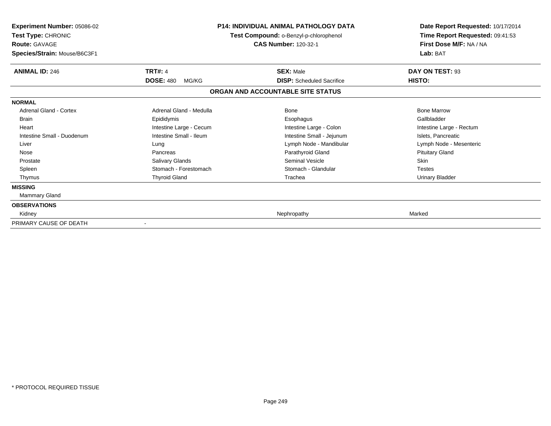| <b>Experiment Number: 05086-02</b><br>Test Type: CHRONIC<br><b>Route: GAVAGE</b><br>Species/Strain: Mouse/B6C3F1 |                                             | P14: INDIVIDUAL ANIMAL PATHOLOGY DATA<br>Test Compound: o-Benzyl-p-chlorophenol<br><b>CAS Number: 120-32-1</b> | Date Report Requested: 10/17/2014<br>Time Report Requested: 09:41:53<br>First Dose M/F: NA / NA<br>Lab: BAT |
|------------------------------------------------------------------------------------------------------------------|---------------------------------------------|----------------------------------------------------------------------------------------------------------------|-------------------------------------------------------------------------------------------------------------|
| <b>ANIMAL ID: 246</b>                                                                                            | <b>TRT#: 4</b><br><b>DOSE: 480</b><br>MG/KG | <b>SEX: Male</b><br><b>DISP:</b> Scheduled Sacrifice                                                           | DAY ON TEST: 93<br>HISTO:                                                                                   |
|                                                                                                                  |                                             | ORGAN AND ACCOUNTABLE SITE STATUS                                                                              |                                                                                                             |
| <b>NORMAL</b>                                                                                                    |                                             |                                                                                                                |                                                                                                             |
| <b>Adrenal Gland - Cortex</b>                                                                                    | Adrenal Gland - Medulla                     | Bone                                                                                                           | <b>Bone Marrow</b>                                                                                          |
| <b>Brain</b>                                                                                                     | Epididymis                                  | Esophagus                                                                                                      | Gallbladder                                                                                                 |
| Heart                                                                                                            | Intestine Large - Cecum                     | Intestine Large - Colon                                                                                        | Intestine Large - Rectum                                                                                    |
| Intestine Small - Duodenum                                                                                       | Intestine Small - Ileum                     | Intestine Small - Jejunum                                                                                      | Islets, Pancreatic                                                                                          |
| Liver                                                                                                            | Lung                                        | Lymph Node - Mandibular                                                                                        | Lymph Node - Mesenteric                                                                                     |
| Nose                                                                                                             | Pancreas                                    | Parathyroid Gland                                                                                              | <b>Pituitary Gland</b>                                                                                      |
| Prostate                                                                                                         | Salivary Glands                             | <b>Seminal Vesicle</b>                                                                                         | Skin                                                                                                        |
| Spleen                                                                                                           | Stomach - Forestomach                       | Stomach - Glandular                                                                                            | <b>Testes</b>                                                                                               |
| Thymus                                                                                                           | <b>Thyroid Gland</b>                        | Trachea                                                                                                        | <b>Urinary Bladder</b>                                                                                      |
| <b>MISSING</b>                                                                                                   |                                             |                                                                                                                |                                                                                                             |
| Mammary Gland                                                                                                    |                                             |                                                                                                                |                                                                                                             |
| <b>OBSERVATIONS</b>                                                                                              |                                             |                                                                                                                |                                                                                                             |
| Kidney                                                                                                           |                                             | Nephropathy                                                                                                    | Marked                                                                                                      |
| PRIMARY CAUSE OF DEATH                                                                                           |                                             |                                                                                                                |                                                                                                             |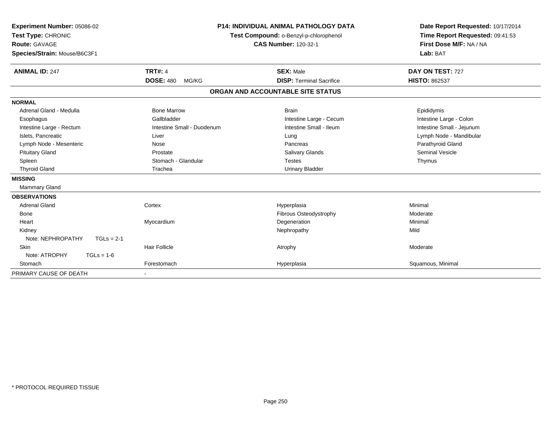| Experiment Number: 05086-02<br>Test Type: CHRONIC<br><b>Route: GAVAGE</b><br>Species/Strain: Mouse/B6C3F1<br><b>ANIMAL ID: 247</b>                                                                               | <b>TRT#: 4</b><br><b>DOSE: 480</b><br>MG/KG                                                                                    | <b>P14: INDIVIDUAL ANIMAL PATHOLOGY DATA</b><br>Test Compound: o-Benzyl-p-chlorophenol<br><b>CAS Number: 120-32-1</b><br><b>SEX: Male</b><br><b>DISP: Terminal Sacrifice</b> | Date Report Requested: 10/17/2014<br>Time Report Requested: 09:41:53<br>First Dose M/F: NA / NA<br>Lab: BAT<br>DAY ON TEST: 727<br><b>HISTO: 862537</b> |
|------------------------------------------------------------------------------------------------------------------------------------------------------------------------------------------------------------------|--------------------------------------------------------------------------------------------------------------------------------|------------------------------------------------------------------------------------------------------------------------------------------------------------------------------|---------------------------------------------------------------------------------------------------------------------------------------------------------|
|                                                                                                                                                                                                                  |                                                                                                                                | ORGAN AND ACCOUNTABLE SITE STATUS                                                                                                                                            |                                                                                                                                                         |
| <b>NORMAL</b>                                                                                                                                                                                                    |                                                                                                                                |                                                                                                                                                                              |                                                                                                                                                         |
| Adrenal Gland - Medulla<br>Esophagus<br>Intestine Large - Rectum<br>Islets, Pancreatic<br>Lymph Node - Mesenteric<br><b>Pituitary Gland</b><br>Spleen<br><b>Thyroid Gland</b><br><b>MISSING</b><br>Mammary Gland | <b>Bone Marrow</b><br>Gallbladder<br>Intestine Small - Duodenum<br>Liver<br>Nose<br>Prostate<br>Stomach - Glandular<br>Trachea | <b>Brain</b><br>Intestine Large - Cecum<br>Intestine Small - Ileum<br>Lung<br>Pancreas<br><b>Salivary Glands</b><br><b>Testes</b><br><b>Urinary Bladder</b>                  | Epididymis<br>Intestine Large - Colon<br>Intestine Small - Jejunum<br>Lymph Node - Mandibular<br>Parathyroid Gland<br><b>Seminal Vesicle</b><br>Thymus  |
| <b>OBSERVATIONS</b><br><b>Adrenal Gland</b><br>Bone<br>Heart<br>Kidney<br>Note: NEPHROPATHY<br>$TGLs = 2-1$                                                                                                      | Cortex<br>Myocardium                                                                                                           | Hyperplasia<br>Fibrous Osteodystrophy<br>Degeneration<br>Nephropathy                                                                                                         | Minimal<br>Moderate<br>Minimal<br>Mild                                                                                                                  |
| Skin<br>Note: ATROPHY<br>$TGLs = 1-6$<br>Stomach<br>PRIMARY CAUSE OF DEATH                                                                                                                                       | <b>Hair Follicle</b><br>Forestomach                                                                                            | Atrophy<br>Hyperplasia                                                                                                                                                       | Moderate<br>Squamous, Minimal                                                                                                                           |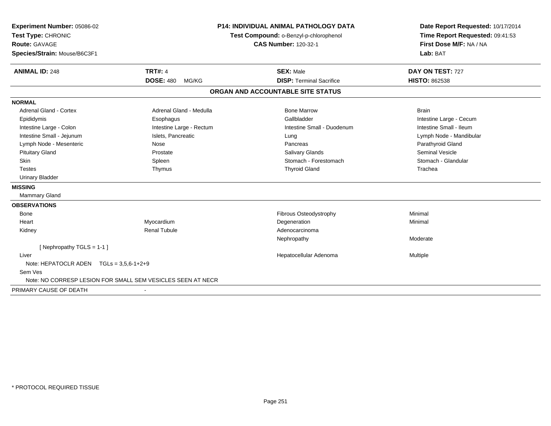| Experiment Number: 05086-02                                 |                           | <b>P14: INDIVIDUAL ANIMAL PATHOLOGY DATA</b> | Date Report Requested: 10/17/2014 |  |
|-------------------------------------------------------------|---------------------------|----------------------------------------------|-----------------------------------|--|
| Test Type: CHRONIC                                          |                           | Test Compound: o-Benzyl-p-chlorophenol       | Time Report Requested: 09:41:53   |  |
| <b>Route: GAVAGE</b>                                        |                           | <b>CAS Number: 120-32-1</b>                  | First Dose M/F: NA / NA           |  |
| Species/Strain: Mouse/B6C3F1                                |                           |                                              | Lab: BAT                          |  |
| <b>ANIMAL ID: 248</b>                                       | <b>TRT#: 4</b>            | <b>SEX: Male</b>                             | DAY ON TEST: 727                  |  |
|                                                             | <b>DOSE: 480</b><br>MG/KG | <b>DISP: Terminal Sacrifice</b>              | <b>HISTO: 862538</b>              |  |
|                                                             |                           | ORGAN AND ACCOUNTABLE SITE STATUS            |                                   |  |
| <b>NORMAL</b>                                               |                           |                                              |                                   |  |
| Adrenal Gland - Cortex                                      | Adrenal Gland - Medulla   | <b>Bone Marrow</b>                           | <b>Brain</b>                      |  |
| Epididymis                                                  | Esophagus                 | Gallbladder                                  | Intestine Large - Cecum           |  |
| Intestine Large - Colon                                     | Intestine Large - Rectum  | Intestine Small - Duodenum                   | Intestine Small - Ileum           |  |
| Intestine Small - Jejunum                                   | Islets, Pancreatic        | Lung                                         | Lymph Node - Mandibular           |  |
| Lymph Node - Mesenteric                                     | Nose                      | Pancreas                                     | Parathyroid Gland                 |  |
| <b>Pituitary Gland</b>                                      | Prostate                  | <b>Salivary Glands</b>                       | <b>Seminal Vesicle</b>            |  |
| <b>Skin</b>                                                 | Spleen                    | Stomach - Forestomach                        | Stomach - Glandular               |  |
| <b>Testes</b>                                               | Thymus                    | <b>Thyroid Gland</b>                         | Trachea                           |  |
| <b>Urinary Bladder</b>                                      |                           |                                              |                                   |  |
| <b>MISSING</b>                                              |                           |                                              |                                   |  |
| <b>Mammary Gland</b>                                        |                           |                                              |                                   |  |
| <b>OBSERVATIONS</b>                                         |                           |                                              |                                   |  |
| Bone                                                        |                           | Fibrous Osteodystrophy                       | Minimal                           |  |
| Heart                                                       | Myocardium                | Degeneration                                 | Minimal                           |  |
| Kidney                                                      | <b>Renal Tubule</b>       | Adenocarcinoma                               |                                   |  |
|                                                             |                           | Nephropathy                                  | Moderate                          |  |
| [Nephropathy TGLS = 1-1]                                    |                           |                                              |                                   |  |
| Liver                                                       |                           | Hepatocellular Adenoma                       | <b>Multiple</b>                   |  |
| Note: HEPATOCLR ADEN $TGLs = 3.5.6 - 1 + 2 + 9$             |                           |                                              |                                   |  |
| Sem Ves                                                     |                           |                                              |                                   |  |
| Note: NO CORRESP LESION FOR SMALL SEM VESICLES SEEN AT NECR |                           |                                              |                                   |  |
| PRIMARY CAUSE OF DEATH                                      |                           |                                              |                                   |  |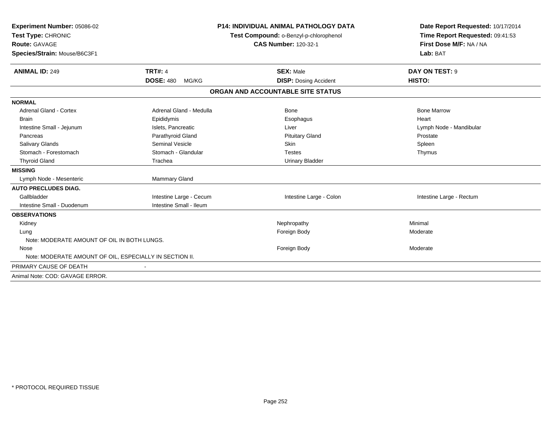| Experiment Number: 05086-02<br>Test Type: CHRONIC<br>Route: GAVAGE |                           | <b>P14: INDIVIDUAL ANIMAL PATHOLOGY DATA</b> | Date Report Requested: 10/17/2014                          |  |
|--------------------------------------------------------------------|---------------------------|----------------------------------------------|------------------------------------------------------------|--|
|                                                                    |                           | Test Compound: o-Benzyl-p-chlorophenol       | Time Report Requested: 09:41:53<br>First Dose M/F: NA / NA |  |
|                                                                    |                           | <b>CAS Number: 120-32-1</b>                  |                                                            |  |
| Species/Strain: Mouse/B6C3F1                                       |                           |                                              | Lab: BAT                                                   |  |
|                                                                    |                           |                                              |                                                            |  |
| <b>ANIMAL ID: 249</b>                                              | <b>TRT#: 4</b>            | <b>SEX: Male</b>                             | DAY ON TEST: 9                                             |  |
|                                                                    | <b>DOSE: 480</b><br>MG/KG | <b>DISP: Dosing Accident</b>                 | HISTO:                                                     |  |
|                                                                    |                           | ORGAN AND ACCOUNTABLE SITE STATUS            |                                                            |  |
| <b>NORMAL</b>                                                      |                           |                                              |                                                            |  |
| <b>Adrenal Gland - Cortex</b>                                      | Adrenal Gland - Medulla   | <b>Bone</b>                                  | <b>Bone Marrow</b>                                         |  |
| <b>Brain</b>                                                       | Epididymis                | Esophagus                                    | Heart                                                      |  |
| Intestine Small - Jejunum                                          | Islets, Pancreatic        | Liver                                        | Lymph Node - Mandibular                                    |  |
| Pancreas                                                           | Parathyroid Gland         | <b>Pituitary Gland</b>                       | Prostate                                                   |  |
| Salivary Glands                                                    | <b>Seminal Vesicle</b>    | <b>Skin</b>                                  | Spleen                                                     |  |
| Stomach - Forestomach                                              | Stomach - Glandular       | <b>Testes</b>                                | Thymus                                                     |  |
| <b>Thyroid Gland</b>                                               | Trachea                   | <b>Urinary Bladder</b>                       |                                                            |  |
| <b>MISSING</b>                                                     |                           |                                              |                                                            |  |
| Lymph Node - Mesenteric                                            | Mammary Gland             |                                              |                                                            |  |
| <b>AUTO PRECLUDES DIAG.</b>                                        |                           |                                              |                                                            |  |
| Gallbladder                                                        | Intestine Large - Cecum   | Intestine Large - Colon                      | Intestine Large - Rectum                                   |  |
| Intestine Small - Duodenum                                         | Intestine Small - Ileum   |                                              |                                                            |  |
| <b>OBSERVATIONS</b>                                                |                           |                                              |                                                            |  |
| Kidney                                                             |                           | Nephropathy                                  | Minimal                                                    |  |
| Lung                                                               |                           | Foreign Body                                 | Moderate                                                   |  |
| Note: MODERATE AMOUNT OF OIL IN BOTH LUNGS.                        |                           |                                              |                                                            |  |
| Nose                                                               |                           | Foreign Body                                 | Moderate                                                   |  |
| Note: MODERATE AMOUNT OF OIL, ESPECIALLY IN SECTION II.            |                           |                                              |                                                            |  |
| PRIMARY CAUSE OF DEATH                                             |                           |                                              |                                                            |  |
| Animal Note: COD: GAVAGE ERROR.                                    |                           |                                              |                                                            |  |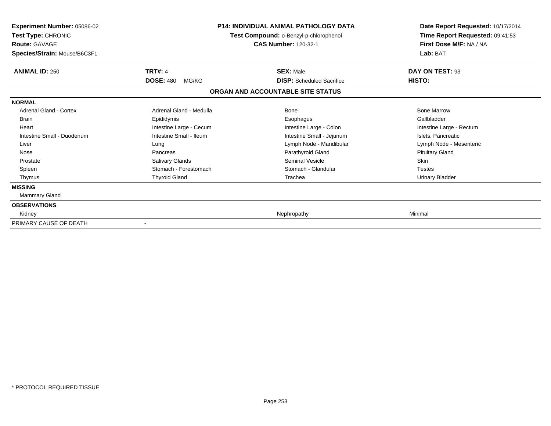| <b>Experiment Number: 05086-02</b><br>Test Type: CHRONIC<br><b>Route: GAVAGE</b><br>Species/Strain: Mouse/B6C3F1 | P14: INDIVIDUAL ANIMAL PATHOLOGY DATA<br>Test Compound: o-Benzyl-p-chlorophenol<br><b>CAS Number: 120-32-1</b> |                                                      | Date Report Requested: 10/17/2014<br>Time Report Requested: 09:41:53<br>First Dose M/F: NA / NA<br>Lab: BAT |  |
|------------------------------------------------------------------------------------------------------------------|----------------------------------------------------------------------------------------------------------------|------------------------------------------------------|-------------------------------------------------------------------------------------------------------------|--|
| <b>ANIMAL ID: 250</b>                                                                                            | <b>TRT#: 4</b><br><b>DOSE: 480</b><br>MG/KG                                                                    | <b>SEX: Male</b><br><b>DISP:</b> Scheduled Sacrifice | DAY ON TEST: 93<br>HISTO:                                                                                   |  |
|                                                                                                                  |                                                                                                                | ORGAN AND ACCOUNTABLE SITE STATUS                    |                                                                                                             |  |
| <b>NORMAL</b>                                                                                                    |                                                                                                                |                                                      |                                                                                                             |  |
| <b>Adrenal Gland - Cortex</b>                                                                                    | Adrenal Gland - Medulla                                                                                        | <b>Bone</b>                                          | <b>Bone Marrow</b>                                                                                          |  |
| <b>Brain</b>                                                                                                     | Epididymis                                                                                                     | Esophagus                                            | Gallbladder                                                                                                 |  |
| Heart                                                                                                            | Intestine Large - Cecum                                                                                        | Intestine Large - Colon                              | Intestine Large - Rectum                                                                                    |  |
| Intestine Small - Duodenum                                                                                       | Intestine Small - Ileum                                                                                        | Intestine Small - Jejunum                            | Islets, Pancreatic                                                                                          |  |
| Liver                                                                                                            | Lung                                                                                                           | Lymph Node - Mandibular                              | Lymph Node - Mesenteric                                                                                     |  |
| Nose                                                                                                             | Pancreas                                                                                                       | Parathyroid Gland                                    | <b>Pituitary Gland</b>                                                                                      |  |
| Prostate                                                                                                         | Salivary Glands                                                                                                | <b>Seminal Vesicle</b>                               | Skin                                                                                                        |  |
| Spleen                                                                                                           | Stomach - Forestomach                                                                                          | Stomach - Glandular                                  | <b>Testes</b>                                                                                               |  |
| Thymus                                                                                                           | <b>Thyroid Gland</b>                                                                                           | Trachea                                              | <b>Urinary Bladder</b>                                                                                      |  |
| <b>MISSING</b>                                                                                                   |                                                                                                                |                                                      |                                                                                                             |  |
| Mammary Gland                                                                                                    |                                                                                                                |                                                      |                                                                                                             |  |
| <b>OBSERVATIONS</b>                                                                                              |                                                                                                                |                                                      |                                                                                                             |  |
| Kidney                                                                                                           |                                                                                                                | Nephropathy                                          | Minimal                                                                                                     |  |
| PRIMARY CAUSE OF DEATH                                                                                           |                                                                                                                |                                                      |                                                                                                             |  |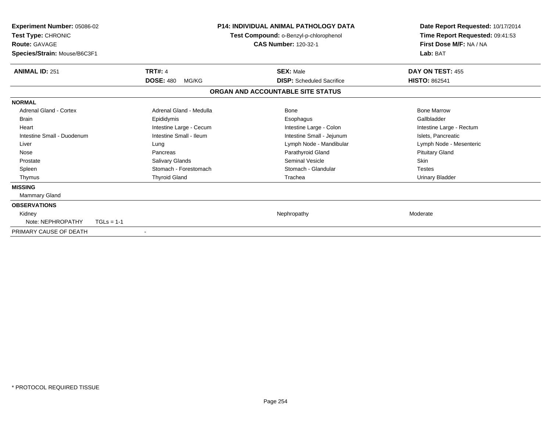| Experiment Number: 05086-02<br>Test Type: CHRONIC<br><b>Route: GAVAGE</b><br>Species/Strain: Mouse/B6C3F1 |                           | <b>P14: INDIVIDUAL ANIMAL PATHOLOGY DATA</b><br>Test Compound: o-Benzyl-p-chlorophenol<br><b>CAS Number: 120-32-1</b> | Date Report Requested: 10/17/2014<br>Time Report Requested: 09:41:53<br>First Dose M/F: NA / NA<br>Lab: BAT |
|-----------------------------------------------------------------------------------------------------------|---------------------------|-----------------------------------------------------------------------------------------------------------------------|-------------------------------------------------------------------------------------------------------------|
| <b>ANIMAL ID: 251</b>                                                                                     | <b>TRT#: 4</b>            | <b>SEX: Male</b>                                                                                                      | DAY ON TEST: 455                                                                                            |
|                                                                                                           | <b>DOSE: 480</b><br>MG/KG | <b>DISP:</b> Scheduled Sacrifice                                                                                      | <b>HISTO: 862541</b>                                                                                        |
|                                                                                                           |                           | ORGAN AND ACCOUNTABLE SITE STATUS                                                                                     |                                                                                                             |
| <b>NORMAL</b>                                                                                             |                           |                                                                                                                       |                                                                                                             |
| <b>Adrenal Gland - Cortex</b>                                                                             | Adrenal Gland - Medulla   | <b>Bone</b>                                                                                                           | <b>Bone Marrow</b>                                                                                          |
| <b>Brain</b>                                                                                              | Epididymis                | Esophagus                                                                                                             | Gallbladder                                                                                                 |
| Heart                                                                                                     | Intestine Large - Cecum   | Intestine Large - Colon                                                                                               | Intestine Large - Rectum                                                                                    |
| Intestine Small - Duodenum                                                                                | Intestine Small - Ileum   | Intestine Small - Jejunum                                                                                             | Islets, Pancreatic                                                                                          |
| Liver                                                                                                     | Lung                      | Lymph Node - Mandibular                                                                                               | Lymph Node - Mesenteric                                                                                     |
| Nose                                                                                                      | Pancreas                  | Parathyroid Gland                                                                                                     | <b>Pituitary Gland</b>                                                                                      |
| Prostate                                                                                                  | <b>Salivary Glands</b>    | Seminal Vesicle                                                                                                       | <b>Skin</b>                                                                                                 |
| Spleen                                                                                                    | Stomach - Forestomach     | Stomach - Glandular                                                                                                   | <b>Testes</b>                                                                                               |
| Thymus                                                                                                    | <b>Thyroid Gland</b>      | Trachea                                                                                                               | <b>Urinary Bladder</b>                                                                                      |
| <b>MISSING</b>                                                                                            |                           |                                                                                                                       |                                                                                                             |
| <b>Mammary Gland</b>                                                                                      |                           |                                                                                                                       |                                                                                                             |
| <b>OBSERVATIONS</b>                                                                                       |                           |                                                                                                                       |                                                                                                             |
| Kidney                                                                                                    |                           | Nephropathy                                                                                                           | Moderate                                                                                                    |
| Note: NEPHROPATHY                                                                                         | $TGLs = 1-1$              |                                                                                                                       |                                                                                                             |
| PRIMARY CAUSE OF DEATH                                                                                    |                           |                                                                                                                       |                                                                                                             |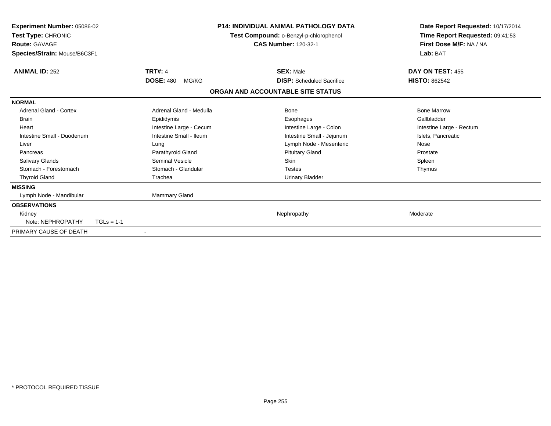| Experiment Number: 05086-02<br>Test Type: CHRONIC<br><b>Route: GAVAGE</b><br>Species/Strain: Mouse/B6C3F1 |                           | <b>P14: INDIVIDUAL ANIMAL PATHOLOGY DATA</b><br>Test Compound: o-Benzyl-p-chlorophenol<br><b>CAS Number: 120-32-1</b> | Date Report Requested: 10/17/2014<br>Time Report Requested: 09:41:53<br>First Dose M/F: NA / NA<br>Lab: BAT |
|-----------------------------------------------------------------------------------------------------------|---------------------------|-----------------------------------------------------------------------------------------------------------------------|-------------------------------------------------------------------------------------------------------------|
| <b>ANIMAL ID: 252</b>                                                                                     | <b>TRT#: 4</b>            | <b>SEX: Male</b>                                                                                                      | DAY ON TEST: 455                                                                                            |
|                                                                                                           | <b>DOSE: 480</b><br>MG/KG | <b>DISP:</b> Scheduled Sacrifice                                                                                      | <b>HISTO: 862542</b>                                                                                        |
|                                                                                                           |                           | ORGAN AND ACCOUNTABLE SITE STATUS                                                                                     |                                                                                                             |
| <b>NORMAL</b>                                                                                             |                           |                                                                                                                       |                                                                                                             |
| <b>Adrenal Gland - Cortex</b>                                                                             | Adrenal Gland - Medulla   | <b>Bone</b>                                                                                                           | <b>Bone Marrow</b>                                                                                          |
| <b>Brain</b>                                                                                              | Epididymis                | Esophagus                                                                                                             | Gallbladder                                                                                                 |
| Heart                                                                                                     | Intestine Large - Cecum   | Intestine Large - Colon                                                                                               | Intestine Large - Rectum                                                                                    |
| Intestine Small - Duodenum                                                                                | Intestine Small - Ileum   | Intestine Small - Jejunum                                                                                             | Islets, Pancreatic                                                                                          |
| Liver                                                                                                     | Lung                      | Lymph Node - Mesenteric                                                                                               | Nose                                                                                                        |
| Pancreas                                                                                                  | Parathyroid Gland         | <b>Pituitary Gland</b>                                                                                                | Prostate                                                                                                    |
| <b>Salivary Glands</b>                                                                                    | <b>Seminal Vesicle</b>    | <b>Skin</b>                                                                                                           | Spleen                                                                                                      |
| Stomach - Forestomach                                                                                     | Stomach - Glandular       | Testes                                                                                                                | Thymus                                                                                                      |
| <b>Thyroid Gland</b>                                                                                      | Trachea                   | <b>Urinary Bladder</b>                                                                                                |                                                                                                             |
| <b>MISSING</b>                                                                                            |                           |                                                                                                                       |                                                                                                             |
| Lymph Node - Mandibular                                                                                   | Mammary Gland             |                                                                                                                       |                                                                                                             |
| <b>OBSERVATIONS</b>                                                                                       |                           |                                                                                                                       |                                                                                                             |
| Kidney                                                                                                    |                           | Nephropathy                                                                                                           | Moderate                                                                                                    |
| Note: NEPHROPATHY                                                                                         | $TGLs = 1-1$              |                                                                                                                       |                                                                                                             |
| PRIMARY CAUSE OF DEATH                                                                                    | $\blacksquare$            |                                                                                                                       |                                                                                                             |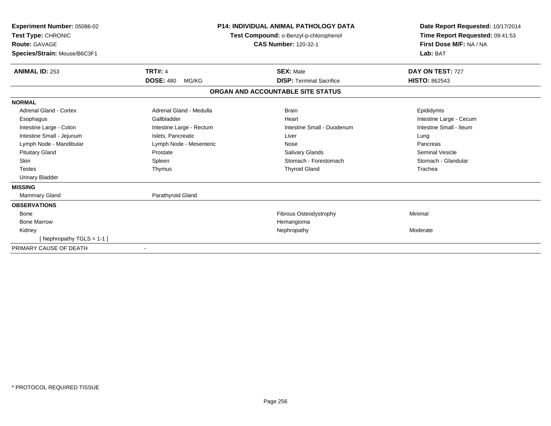| Experiment Number: 05086-02<br>Test Type: CHRONIC<br><b>Route: GAVAGE</b><br>Species/Strain: Mouse/B6C3F1 |                           | <b>P14: INDIVIDUAL ANIMAL PATHOLOGY DATA</b><br>Test Compound: o-Benzyl-p-chlorophenol<br><b>CAS Number: 120-32-1</b> | Date Report Requested: 10/17/2014<br>Time Report Requested: 09:41:53<br>First Dose M/F: NA / NA<br>Lab: BAT |  |
|-----------------------------------------------------------------------------------------------------------|---------------------------|-----------------------------------------------------------------------------------------------------------------------|-------------------------------------------------------------------------------------------------------------|--|
| <b>ANIMAL ID: 253</b>                                                                                     | <b>TRT#: 4</b>            | <b>SEX: Male</b>                                                                                                      | DAY ON TEST: 727                                                                                            |  |
|                                                                                                           | <b>DOSE: 480</b><br>MG/KG | <b>DISP:</b> Terminal Sacrifice                                                                                       | <b>HISTO: 862543</b>                                                                                        |  |
|                                                                                                           |                           | ORGAN AND ACCOUNTABLE SITE STATUS                                                                                     |                                                                                                             |  |
| <b>NORMAL</b>                                                                                             |                           |                                                                                                                       |                                                                                                             |  |
| Adrenal Gland - Cortex                                                                                    | Adrenal Gland - Medulla   | <b>Brain</b>                                                                                                          | Epididymis                                                                                                  |  |
| Esophagus                                                                                                 | Gallbladder               | Heart                                                                                                                 | Intestine Large - Cecum                                                                                     |  |
| Intestine Large - Colon                                                                                   | Intestine Large - Rectum  | Intestine Small - Duodenum                                                                                            | Intestine Small - Ileum                                                                                     |  |
| Intestine Small - Jejunum                                                                                 | Islets, Pancreatic        | Liver                                                                                                                 | Lung                                                                                                        |  |
| Lymph Node - Mandibular                                                                                   | Lymph Node - Mesenteric   | Nose                                                                                                                  | Pancreas                                                                                                    |  |
| <b>Pituitary Gland</b>                                                                                    | Prostate                  | <b>Salivary Glands</b>                                                                                                | Seminal Vesicle                                                                                             |  |
| <b>Skin</b>                                                                                               | Spleen                    | Stomach - Forestomach                                                                                                 | Stomach - Glandular                                                                                         |  |
| <b>Testes</b>                                                                                             | Thymus                    | <b>Thyroid Gland</b>                                                                                                  | Trachea                                                                                                     |  |
| <b>Urinary Bladder</b>                                                                                    |                           |                                                                                                                       |                                                                                                             |  |
| <b>MISSING</b>                                                                                            |                           |                                                                                                                       |                                                                                                             |  |
| Mammary Gland                                                                                             | Parathyroid Gland         |                                                                                                                       |                                                                                                             |  |
| <b>OBSERVATIONS</b>                                                                                       |                           |                                                                                                                       |                                                                                                             |  |
| Bone                                                                                                      |                           | <b>Fibrous Osteodystrophy</b>                                                                                         | Minimal                                                                                                     |  |
| <b>Bone Marrow</b>                                                                                        |                           | Hemangioma                                                                                                            |                                                                                                             |  |
| Kidney                                                                                                    |                           | Nephropathy                                                                                                           | Moderate                                                                                                    |  |
| [Nephropathy TGLS = 1-1]                                                                                  |                           |                                                                                                                       |                                                                                                             |  |
| PRIMARY CAUSE OF DEATH                                                                                    |                           |                                                                                                                       |                                                                                                             |  |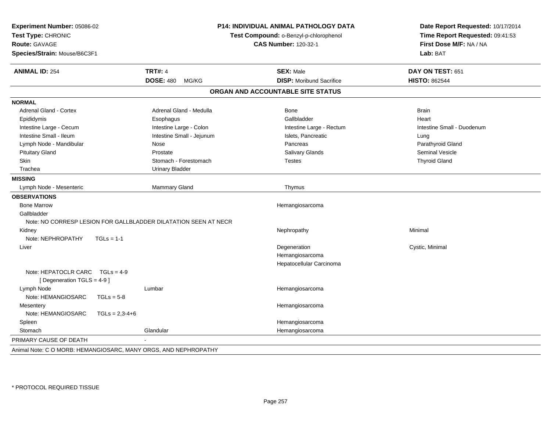| Experiment Number: 05086-02<br>Test Type: CHRONIC<br><b>Route: GAVAGE</b><br>Species/Strain: Mouse/B6C3F1 | <b>P14: INDIVIDUAL ANIMAL PATHOLOGY DATA</b><br>Test Compound: o-Benzyl-p-chlorophenol<br><b>CAS Number: 120-32-1</b> |                                   | Date Report Requested: 10/17/2014<br>Time Report Requested: 09:41:53<br>First Dose M/F: NA / NA<br>Lab: BAT |  |
|-----------------------------------------------------------------------------------------------------------|-----------------------------------------------------------------------------------------------------------------------|-----------------------------------|-------------------------------------------------------------------------------------------------------------|--|
| <b>ANIMAL ID: 254</b>                                                                                     | <b>TRT#: 4</b>                                                                                                        | <b>SEX: Male</b>                  | DAY ON TEST: 651                                                                                            |  |
|                                                                                                           | <b>DOSE: 480</b><br>MG/KG                                                                                             | <b>DISP:</b> Moribund Sacrifice   | <b>HISTO: 862544</b>                                                                                        |  |
|                                                                                                           |                                                                                                                       | ORGAN AND ACCOUNTABLE SITE STATUS |                                                                                                             |  |
| <b>NORMAL</b>                                                                                             |                                                                                                                       |                                   |                                                                                                             |  |
| <b>Adrenal Gland - Cortex</b>                                                                             | Adrenal Gland - Medulla                                                                                               | Bone                              | <b>Brain</b>                                                                                                |  |
| Epididymis                                                                                                | Esophagus                                                                                                             | Gallbladder                       | Heart                                                                                                       |  |
| Intestine Large - Cecum                                                                                   | Intestine Large - Colon                                                                                               | Intestine Large - Rectum          | Intestine Small - Duodenum                                                                                  |  |
| Intestine Small - Ileum                                                                                   | Intestine Small - Jejunum                                                                                             | Islets, Pancreatic                | Lung                                                                                                        |  |
| Lymph Node - Mandibular                                                                                   | Nose                                                                                                                  | Pancreas                          | Parathyroid Gland                                                                                           |  |
| <b>Pituitary Gland</b>                                                                                    | Prostate                                                                                                              | Salivary Glands                   | <b>Seminal Vesicle</b>                                                                                      |  |
| <b>Skin</b>                                                                                               | Stomach - Forestomach                                                                                                 | <b>Testes</b>                     | <b>Thyroid Gland</b>                                                                                        |  |
| Trachea                                                                                                   | <b>Urinary Bladder</b>                                                                                                |                                   |                                                                                                             |  |
| <b>MISSING</b>                                                                                            |                                                                                                                       |                                   |                                                                                                             |  |
| Lymph Node - Mesenteric                                                                                   | Mammary Gland                                                                                                         | Thymus                            |                                                                                                             |  |
| <b>OBSERVATIONS</b>                                                                                       |                                                                                                                       |                                   |                                                                                                             |  |
| <b>Bone Marrow</b>                                                                                        |                                                                                                                       | Hemangiosarcoma                   |                                                                                                             |  |
| Gallbladder                                                                                               |                                                                                                                       |                                   |                                                                                                             |  |
| Note: NO CORRESP LESION FOR GALLBLADDER DILATATION SEEN AT NECR                                           |                                                                                                                       |                                   |                                                                                                             |  |
| Kidney                                                                                                    |                                                                                                                       | Nephropathy                       | Minimal                                                                                                     |  |
| Note: NEPHROPATHY<br>$TGLs = 1-1$                                                                         |                                                                                                                       |                                   |                                                                                                             |  |
| Liver                                                                                                     |                                                                                                                       | Degeneration                      | Cystic, Minimal                                                                                             |  |
|                                                                                                           |                                                                                                                       | Hemangiosarcoma                   |                                                                                                             |  |
|                                                                                                           |                                                                                                                       | Hepatocellular Carcinoma          |                                                                                                             |  |
| Note: HEPATOCLR CARC<br>$TGLS = 4-9$<br>[ Degeneration TGLS = 4-9 ]                                       |                                                                                                                       |                                   |                                                                                                             |  |
| Lymph Node                                                                                                | Lumbar                                                                                                                | Hemangiosarcoma                   |                                                                                                             |  |
| Note: HEMANGIOSARC<br>$TGLs = 5-8$                                                                        |                                                                                                                       |                                   |                                                                                                             |  |
| Mesentery                                                                                                 |                                                                                                                       | Hemangiosarcoma                   |                                                                                                             |  |
| Note: HEMANGIOSARC<br>$TGLs = 2,3-4+6$                                                                    |                                                                                                                       |                                   |                                                                                                             |  |
| Spleen                                                                                                    |                                                                                                                       | Hemangiosarcoma                   |                                                                                                             |  |
| Stomach                                                                                                   | Glandular                                                                                                             | Hemangiosarcoma                   |                                                                                                             |  |
| PRIMARY CAUSE OF DEATH                                                                                    |                                                                                                                       |                                   |                                                                                                             |  |
| Animal Note: C O MORB: HEMANGIOSARC, MANY ORGS, AND NEPHROPATHY                                           |                                                                                                                       |                                   |                                                                                                             |  |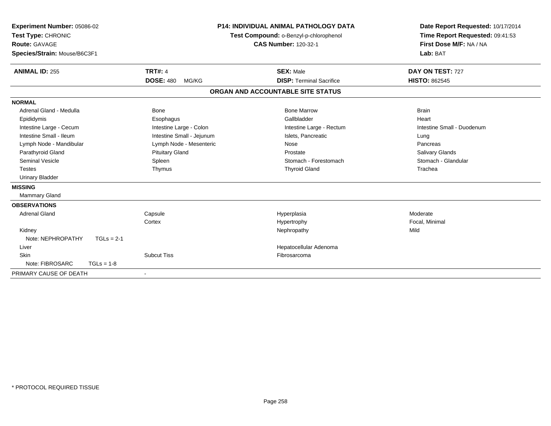| Experiment Number: 05086-02<br>Test Type: CHRONIC<br>Route: GAVAGE<br>Species/Strain: Mouse/B6C3F1<br><b>ANIMAL ID: 255</b> | <b>TRT#: 4</b><br><b>DOSE: 480</b><br>MG/KG | <b>P14: INDIVIDUAL ANIMAL PATHOLOGY DATA</b><br>Test Compound: o-Benzyl-p-chlorophenol<br><b>CAS Number: 120-32-1</b><br><b>SEX: Male</b><br><b>DISP: Terminal Sacrifice</b> | Date Report Requested: 10/17/2014<br>Time Report Requested: 09:41:53<br>First Dose M/F: NA / NA<br>Lab: BAT<br>DAY ON TEST: 727<br><b>HISTO: 862545</b> |
|-----------------------------------------------------------------------------------------------------------------------------|---------------------------------------------|------------------------------------------------------------------------------------------------------------------------------------------------------------------------------|---------------------------------------------------------------------------------------------------------------------------------------------------------|
|                                                                                                                             |                                             | ORGAN AND ACCOUNTABLE SITE STATUS                                                                                                                                            |                                                                                                                                                         |
| <b>NORMAL</b>                                                                                                               |                                             |                                                                                                                                                                              |                                                                                                                                                         |
| Adrenal Gland - Medulla                                                                                                     | Bone                                        | <b>Bone Marrow</b>                                                                                                                                                           | <b>Brain</b>                                                                                                                                            |
| Epididymis                                                                                                                  | Esophagus                                   | Gallbladder                                                                                                                                                                  | Heart                                                                                                                                                   |
| Intestine Large - Cecum                                                                                                     | Intestine Large - Colon                     | Intestine Large - Rectum                                                                                                                                                     | Intestine Small - Duodenum                                                                                                                              |
| Intestine Small - Ileum                                                                                                     | Intestine Small - Jejunum                   | Islets, Pancreatic                                                                                                                                                           | Lung                                                                                                                                                    |
| Lymph Node - Mandibular                                                                                                     | Lymph Node - Mesenteric                     | Nose                                                                                                                                                                         | Pancreas                                                                                                                                                |
| Parathyroid Gland                                                                                                           | <b>Pituitary Gland</b>                      | Prostate                                                                                                                                                                     | <b>Salivary Glands</b>                                                                                                                                  |
| <b>Seminal Vesicle</b>                                                                                                      | Spleen                                      | Stomach - Forestomach                                                                                                                                                        | Stomach - Glandular                                                                                                                                     |
| <b>Testes</b>                                                                                                               | Thymus                                      | <b>Thyroid Gland</b>                                                                                                                                                         | Trachea                                                                                                                                                 |
| <b>Urinary Bladder</b>                                                                                                      |                                             |                                                                                                                                                                              |                                                                                                                                                         |
| <b>MISSING</b>                                                                                                              |                                             |                                                                                                                                                                              |                                                                                                                                                         |
| <b>Mammary Gland</b>                                                                                                        |                                             |                                                                                                                                                                              |                                                                                                                                                         |
| <b>OBSERVATIONS</b>                                                                                                         |                                             |                                                                                                                                                                              |                                                                                                                                                         |
| <b>Adrenal Gland</b>                                                                                                        | Capsule                                     | Hyperplasia                                                                                                                                                                  | Moderate                                                                                                                                                |
|                                                                                                                             | Cortex                                      | Hypertrophy                                                                                                                                                                  | Focal, Minimal                                                                                                                                          |
| Kidney                                                                                                                      |                                             | Nephropathy                                                                                                                                                                  | Mild                                                                                                                                                    |
| Note: NEPHROPATHY<br>$TGLs = 2-1$                                                                                           |                                             |                                                                                                                                                                              |                                                                                                                                                         |
| Liver                                                                                                                       |                                             | Hepatocellular Adenoma                                                                                                                                                       |                                                                                                                                                         |
| Skin                                                                                                                        | <b>Subcut Tiss</b>                          | Fibrosarcoma                                                                                                                                                                 |                                                                                                                                                         |
| Note: FIBROSARC<br>$TGLs = 1-8$                                                                                             |                                             |                                                                                                                                                                              |                                                                                                                                                         |
| PRIMARY CAUSE OF DEATH                                                                                                      | $\blacksquare$                              |                                                                                                                                                                              |                                                                                                                                                         |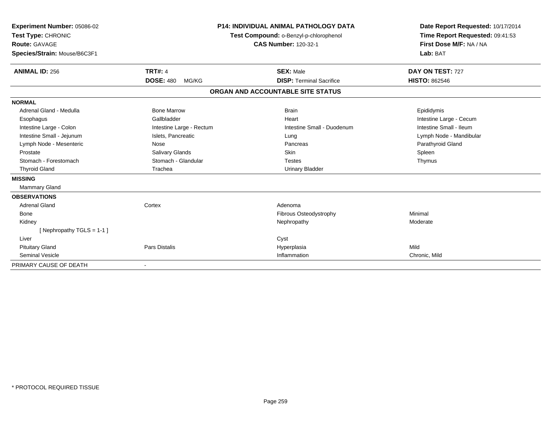| Experiment Number: 05086-02<br>Test Type: CHRONIC<br>Route: GAVAGE<br>Species/Strain: Mouse/B6C3F1 |                           | <b>P14: INDIVIDUAL ANIMAL PATHOLOGY DATA</b><br>Test Compound: o-Benzyl-p-chlorophenol<br><b>CAS Number: 120-32-1</b> | Date Report Requested: 10/17/2014<br>Time Report Requested: 09:41:53<br>First Dose M/F: NA / NA<br>Lab: BAT |
|----------------------------------------------------------------------------------------------------|---------------------------|-----------------------------------------------------------------------------------------------------------------------|-------------------------------------------------------------------------------------------------------------|
| <b>ANIMAL ID: 256</b>                                                                              | <b>TRT#: 4</b>            | <b>SEX: Male</b>                                                                                                      | DAY ON TEST: 727                                                                                            |
|                                                                                                    | <b>DOSE: 480</b><br>MG/KG | <b>DISP: Terminal Sacrifice</b>                                                                                       | <b>HISTO: 862546</b>                                                                                        |
|                                                                                                    |                           | ORGAN AND ACCOUNTABLE SITE STATUS                                                                                     |                                                                                                             |
| <b>NORMAL</b>                                                                                      |                           |                                                                                                                       |                                                                                                             |
| Adrenal Gland - Medulla                                                                            | <b>Bone Marrow</b>        | <b>Brain</b>                                                                                                          | Epididymis                                                                                                  |
| Esophagus                                                                                          | Gallbladder               | Heart                                                                                                                 | Intestine Large - Cecum                                                                                     |
| Intestine Large - Colon                                                                            | Intestine Large - Rectum  | Intestine Small - Duodenum                                                                                            | Intestine Small - Ileum                                                                                     |
| Intestine Small - Jejunum                                                                          | Islets, Pancreatic        | Lung                                                                                                                  | Lymph Node - Mandibular                                                                                     |
| Lymph Node - Mesenteric                                                                            | Nose                      | Pancreas                                                                                                              | Parathyroid Gland                                                                                           |
| Prostate                                                                                           | <b>Salivary Glands</b>    | <b>Skin</b>                                                                                                           | Spleen                                                                                                      |
| Stomach - Forestomach                                                                              | Stomach - Glandular       | <b>Testes</b>                                                                                                         | Thymus                                                                                                      |
| <b>Thyroid Gland</b>                                                                               | Trachea                   | <b>Urinary Bladder</b>                                                                                                |                                                                                                             |
| <b>MISSING</b>                                                                                     |                           |                                                                                                                       |                                                                                                             |
| Mammary Gland                                                                                      |                           |                                                                                                                       |                                                                                                             |
| <b>OBSERVATIONS</b>                                                                                |                           |                                                                                                                       |                                                                                                             |
| <b>Adrenal Gland</b>                                                                               | Cortex                    | Adenoma                                                                                                               |                                                                                                             |
| Bone                                                                                               |                           | Fibrous Osteodystrophy                                                                                                | Minimal                                                                                                     |
| Kidney                                                                                             |                           | Nephropathy                                                                                                           | Moderate                                                                                                    |
| [Nephropathy TGLS = 1-1]                                                                           |                           |                                                                                                                       |                                                                                                             |
| Liver                                                                                              |                           | Cyst                                                                                                                  |                                                                                                             |
| <b>Pituitary Gland</b>                                                                             | <b>Pars Distalis</b>      | Hyperplasia                                                                                                           | Mild                                                                                                        |
| <b>Seminal Vesicle</b>                                                                             |                           | Inflammation                                                                                                          | Chronic, Mild                                                                                               |
| PRIMARY CAUSE OF DEATH                                                                             | $\overline{\phantom{a}}$  |                                                                                                                       |                                                                                                             |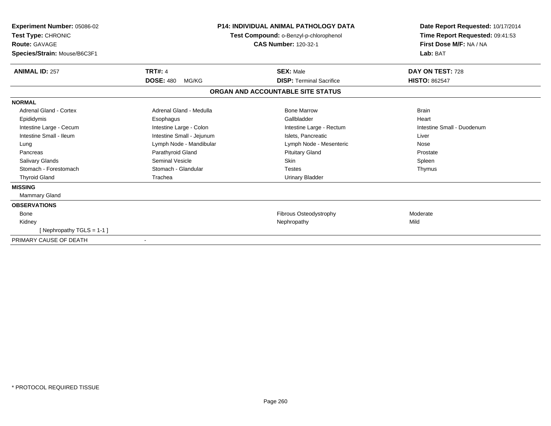| <b>Experiment Number: 05086-02</b><br>Test Type: CHRONIC<br><b>Route: GAVAGE</b><br>Species/Strain: Mouse/B6C3F1 |                           | <b>P14: INDIVIDUAL ANIMAL PATHOLOGY DATA</b><br>Test Compound: o-Benzyl-p-chlorophenol<br><b>CAS Number: 120-32-1</b> | Date Report Requested: 10/17/2014<br>Time Report Requested: 09:41:53<br>First Dose M/F: NA / NA<br>Lab: BAT |  |
|------------------------------------------------------------------------------------------------------------------|---------------------------|-----------------------------------------------------------------------------------------------------------------------|-------------------------------------------------------------------------------------------------------------|--|
| <b>ANIMAL ID: 257</b>                                                                                            | <b>TRT#: 4</b>            | <b>SEX: Male</b>                                                                                                      | DAY ON TEST: 728                                                                                            |  |
|                                                                                                                  | <b>DOSE: 480</b><br>MG/KG | <b>DISP: Terminal Sacrifice</b>                                                                                       | <b>HISTO: 862547</b>                                                                                        |  |
|                                                                                                                  |                           | ORGAN AND ACCOUNTABLE SITE STATUS                                                                                     |                                                                                                             |  |
| <b>NORMAL</b>                                                                                                    |                           |                                                                                                                       |                                                                                                             |  |
| Adrenal Gland - Cortex                                                                                           | Adrenal Gland - Medulla   | <b>Bone Marrow</b>                                                                                                    | <b>Brain</b>                                                                                                |  |
| Epididymis                                                                                                       | Esophagus                 | Gallbladder                                                                                                           | Heart                                                                                                       |  |
| Intestine Large - Cecum                                                                                          | Intestine Large - Colon   | Intestine Large - Rectum                                                                                              | Intestine Small - Duodenum                                                                                  |  |
| Intestine Small - Ileum                                                                                          | Intestine Small - Jejunum | Islets. Pancreatic                                                                                                    | Liver                                                                                                       |  |
| Lung                                                                                                             | Lymph Node - Mandibular   | Lymph Node - Mesenteric                                                                                               | Nose                                                                                                        |  |
| Pancreas                                                                                                         | Parathyroid Gland         | <b>Pituitary Gland</b>                                                                                                | Prostate                                                                                                    |  |
| <b>Salivary Glands</b>                                                                                           | <b>Seminal Vesicle</b>    | <b>Skin</b>                                                                                                           | Spleen                                                                                                      |  |
| Stomach - Forestomach                                                                                            | Stomach - Glandular       | <b>Testes</b>                                                                                                         | Thymus                                                                                                      |  |
| <b>Thyroid Gland</b>                                                                                             | Trachea                   | <b>Urinary Bladder</b>                                                                                                |                                                                                                             |  |
| <b>MISSING</b>                                                                                                   |                           |                                                                                                                       |                                                                                                             |  |
| Mammary Gland                                                                                                    |                           |                                                                                                                       |                                                                                                             |  |
| <b>OBSERVATIONS</b>                                                                                              |                           |                                                                                                                       |                                                                                                             |  |
| <b>Bone</b>                                                                                                      |                           | Fibrous Osteodystrophy                                                                                                | Moderate                                                                                                    |  |
| Kidney                                                                                                           |                           | Nephropathy                                                                                                           | Mild                                                                                                        |  |
| [Nephropathy TGLS = 1-1]                                                                                         |                           |                                                                                                                       |                                                                                                             |  |
| PRIMARY CAUSE OF DEATH                                                                                           |                           |                                                                                                                       |                                                                                                             |  |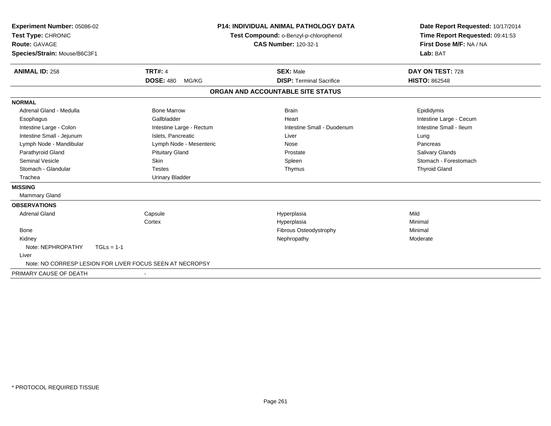| Experiment Number: 05086-02<br>Test Type: CHRONIC<br><b>Route: GAVAGE</b><br>Species/Strain: Mouse/B6C3F1 |                                                          | P14: INDIVIDUAL ANIMAL PATHOLOGY DATA<br>Test Compound: o-Benzyl-p-chlorophenol<br><b>CAS Number: 120-32-1</b> | Lab: BAT               | Date Report Requested: 10/17/2014<br>Time Report Requested: 09:41:53<br>First Dose M/F: NA / NA |
|-----------------------------------------------------------------------------------------------------------|----------------------------------------------------------|----------------------------------------------------------------------------------------------------------------|------------------------|-------------------------------------------------------------------------------------------------|
| <b>ANIMAL ID: 258</b>                                                                                     | <b>TRT#: 4</b>                                           | <b>SEX: Male</b>                                                                                               | DAY ON TEST: 728       |                                                                                                 |
|                                                                                                           | <b>DOSE: 480</b><br>MG/KG                                | <b>DISP: Terminal Sacrifice</b>                                                                                | <b>HISTO: 862548</b>   |                                                                                                 |
|                                                                                                           |                                                          | ORGAN AND ACCOUNTABLE SITE STATUS                                                                              |                        |                                                                                                 |
| <b>NORMAL</b>                                                                                             |                                                          |                                                                                                                |                        |                                                                                                 |
| Adrenal Gland - Medulla                                                                                   | <b>Bone Marrow</b>                                       | <b>Brain</b>                                                                                                   | Epididymis             |                                                                                                 |
| Esophagus                                                                                                 | Gallbladder                                              | Heart                                                                                                          |                        | Intestine Large - Cecum                                                                         |
| Intestine Large - Colon                                                                                   | Intestine Large - Rectum                                 | Intestine Small - Duodenum                                                                                     |                        | Intestine Small - Ileum                                                                         |
| Intestine Small - Jejunum                                                                                 | Islets, Pancreatic                                       | Liver                                                                                                          | Lung                   |                                                                                                 |
| Lymph Node - Mandibular                                                                                   | Lymph Node - Mesenteric                                  | Nose                                                                                                           | Pancreas               |                                                                                                 |
| Parathyroid Gland                                                                                         | <b>Pituitary Gland</b>                                   | Prostate                                                                                                       | <b>Salivary Glands</b> |                                                                                                 |
| <b>Seminal Vesicle</b>                                                                                    | Skin                                                     | Spleen                                                                                                         |                        | Stomach - Forestomach                                                                           |
| Stomach - Glandular                                                                                       | <b>Testes</b>                                            | Thymus                                                                                                         | <b>Thyroid Gland</b>   |                                                                                                 |
| Trachea                                                                                                   | <b>Urinary Bladder</b>                                   |                                                                                                                |                        |                                                                                                 |
| <b>MISSING</b>                                                                                            |                                                          |                                                                                                                |                        |                                                                                                 |
| Mammary Gland                                                                                             |                                                          |                                                                                                                |                        |                                                                                                 |
| <b>OBSERVATIONS</b>                                                                                       |                                                          |                                                                                                                |                        |                                                                                                 |
| <b>Adrenal Gland</b>                                                                                      | Capsule                                                  | Hyperplasia                                                                                                    | Mild                   |                                                                                                 |
|                                                                                                           | Cortex                                                   | Hyperplasia                                                                                                    | Minimal                |                                                                                                 |
| <b>Bone</b>                                                                                               |                                                          | Fibrous Osteodystrophy                                                                                         | Minimal                |                                                                                                 |
| Kidney                                                                                                    |                                                          | Nephropathy                                                                                                    | Moderate               |                                                                                                 |
| Note: NEPHROPATHY                                                                                         | $TGLs = 1-1$                                             |                                                                                                                |                        |                                                                                                 |
| Liver                                                                                                     |                                                          |                                                                                                                |                        |                                                                                                 |
|                                                                                                           | Note: NO CORRESP LESION FOR LIVER FOCUS SEEN AT NECROPSY |                                                                                                                |                        |                                                                                                 |
| PRIMARY CAUSE OF DEATH                                                                                    |                                                          |                                                                                                                |                        |                                                                                                 |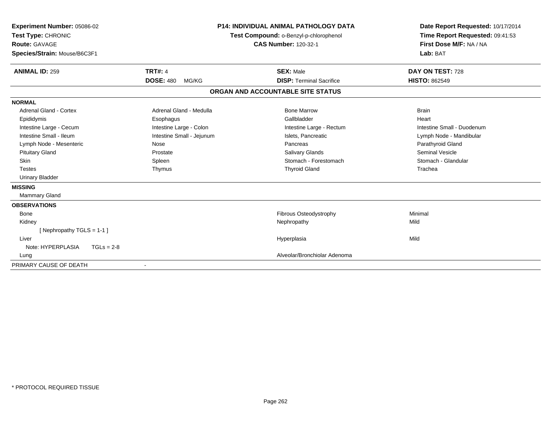| Experiment Number: 05086-02<br>Test Type: CHRONIC<br><b>Route: GAVAGE</b><br>Species/Strain: Mouse/B6C3F1 |                           | <b>P14: INDIVIDUAL ANIMAL PATHOLOGY DATA</b><br>Test Compound: o-Benzyl-p-chlorophenol<br><b>CAS Number: 120-32-1</b> | Date Report Requested: 10/17/2014<br>Time Report Requested: 09:41:53<br>First Dose M/F: NA / NA<br>Lab: BAT |
|-----------------------------------------------------------------------------------------------------------|---------------------------|-----------------------------------------------------------------------------------------------------------------------|-------------------------------------------------------------------------------------------------------------|
| <b>ANIMAL ID: 259</b>                                                                                     | <b>TRT#: 4</b>            | <b>SEX: Male</b>                                                                                                      | DAY ON TEST: 728                                                                                            |
|                                                                                                           | <b>DOSE: 480</b><br>MG/KG | <b>DISP: Terminal Sacrifice</b>                                                                                       | <b>HISTO: 862549</b>                                                                                        |
|                                                                                                           |                           | ORGAN AND ACCOUNTABLE SITE STATUS                                                                                     |                                                                                                             |
| <b>NORMAL</b>                                                                                             |                           |                                                                                                                       |                                                                                                             |
| Adrenal Gland - Cortex                                                                                    | Adrenal Gland - Medulla   | <b>Bone Marrow</b>                                                                                                    | <b>Brain</b>                                                                                                |
| Epididymis                                                                                                | Esophagus                 | Gallbladder                                                                                                           | Heart                                                                                                       |
| Intestine Large - Cecum                                                                                   | Intestine Large - Colon   | Intestine Large - Rectum                                                                                              | Intestine Small - Duodenum                                                                                  |
| Intestine Small - Ileum                                                                                   | Intestine Small - Jejunum | Islets, Pancreatic                                                                                                    | Lymph Node - Mandibular                                                                                     |
| Lymph Node - Mesenteric                                                                                   | Nose                      | Pancreas                                                                                                              | Parathyroid Gland                                                                                           |
| <b>Pituitary Gland</b>                                                                                    | Prostate                  | Salivary Glands                                                                                                       | <b>Seminal Vesicle</b>                                                                                      |
| Skin                                                                                                      | Spleen                    | Stomach - Forestomach                                                                                                 | Stomach - Glandular                                                                                         |
| <b>Testes</b>                                                                                             | Thymus                    | <b>Thyroid Gland</b>                                                                                                  | Trachea                                                                                                     |
| <b>Urinary Bladder</b>                                                                                    |                           |                                                                                                                       |                                                                                                             |
| <b>MISSING</b>                                                                                            |                           |                                                                                                                       |                                                                                                             |
| Mammary Gland                                                                                             |                           |                                                                                                                       |                                                                                                             |
| <b>OBSERVATIONS</b>                                                                                       |                           |                                                                                                                       |                                                                                                             |
| <b>Bone</b>                                                                                               |                           | Fibrous Osteodystrophy                                                                                                | Minimal                                                                                                     |
| Kidney                                                                                                    |                           | Nephropathy                                                                                                           | Mild                                                                                                        |
| [Nephropathy TGLS = 1-1]                                                                                  |                           |                                                                                                                       |                                                                                                             |
| Liver                                                                                                     |                           | Hyperplasia                                                                                                           | Mild                                                                                                        |
| Note: HYPERPLASIA<br>$TGLs = 2-8$                                                                         |                           |                                                                                                                       |                                                                                                             |
| Lung                                                                                                      |                           | Alveolar/Bronchiolar Adenoma                                                                                          |                                                                                                             |
| PRIMARY CAUSE OF DEATH                                                                                    |                           |                                                                                                                       |                                                                                                             |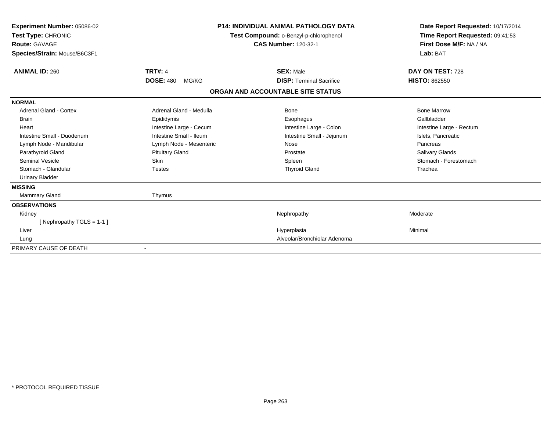| <b>Experiment Number: 05086-02</b><br>Test Type: CHRONIC<br><b>Route: GAVAGE</b><br>Species/Strain: Mouse/B6C3F1 |                           | <b>P14: INDIVIDUAL ANIMAL PATHOLOGY DATA</b><br>Test Compound: o-Benzyl-p-chlorophenol<br><b>CAS Number: 120-32-1</b> | Date Report Requested: 10/17/2014<br>Time Report Requested: 09:41:53<br>First Dose M/F: NA / NA<br>Lab: BAT |  |
|------------------------------------------------------------------------------------------------------------------|---------------------------|-----------------------------------------------------------------------------------------------------------------------|-------------------------------------------------------------------------------------------------------------|--|
| <b>ANIMAL ID: 260</b>                                                                                            | <b>TRT#: 4</b>            | <b>SEX: Male</b>                                                                                                      | DAY ON TEST: 728                                                                                            |  |
|                                                                                                                  | <b>DOSE: 480</b><br>MG/KG | <b>DISP: Terminal Sacrifice</b>                                                                                       | <b>HISTO: 862550</b>                                                                                        |  |
|                                                                                                                  |                           | ORGAN AND ACCOUNTABLE SITE STATUS                                                                                     |                                                                                                             |  |
| <b>NORMAL</b>                                                                                                    |                           |                                                                                                                       |                                                                                                             |  |
| Adrenal Gland - Cortex                                                                                           | Adrenal Gland - Medulla   | Bone                                                                                                                  | <b>Bone Marrow</b>                                                                                          |  |
| <b>Brain</b>                                                                                                     | Epididymis                | Esophagus                                                                                                             | Gallbladder                                                                                                 |  |
| Heart                                                                                                            | Intestine Large - Cecum   | Intestine Large - Colon                                                                                               | Intestine Large - Rectum                                                                                    |  |
| Intestine Small - Duodenum                                                                                       | Intestine Small - Ileum   | Intestine Small - Jejunum                                                                                             | Islets, Pancreatic                                                                                          |  |
| Lymph Node - Mandibular                                                                                          | Lymph Node - Mesenteric   | Nose                                                                                                                  | Pancreas                                                                                                    |  |
| Parathyroid Gland                                                                                                | <b>Pituitary Gland</b>    | Prostate                                                                                                              | Salivary Glands                                                                                             |  |
| <b>Seminal Vesicle</b>                                                                                           | <b>Skin</b>               | Spleen                                                                                                                | Stomach - Forestomach                                                                                       |  |
| Stomach - Glandular                                                                                              | <b>Testes</b>             | <b>Thyroid Gland</b>                                                                                                  | Trachea                                                                                                     |  |
| <b>Urinary Bladder</b>                                                                                           |                           |                                                                                                                       |                                                                                                             |  |
| <b>MISSING</b>                                                                                                   |                           |                                                                                                                       |                                                                                                             |  |
| <b>Mammary Gland</b>                                                                                             | Thymus                    |                                                                                                                       |                                                                                                             |  |
| <b>OBSERVATIONS</b>                                                                                              |                           |                                                                                                                       |                                                                                                             |  |
| Kidney                                                                                                           |                           | Nephropathy                                                                                                           | Moderate                                                                                                    |  |
| [Nephropathy TGLS = 1-1]                                                                                         |                           |                                                                                                                       |                                                                                                             |  |
| Liver                                                                                                            |                           | Hyperplasia                                                                                                           | Minimal                                                                                                     |  |
| Lung                                                                                                             |                           | Alveolar/Bronchiolar Adenoma                                                                                          |                                                                                                             |  |
| PRIMARY CAUSE OF DEATH                                                                                           |                           |                                                                                                                       |                                                                                                             |  |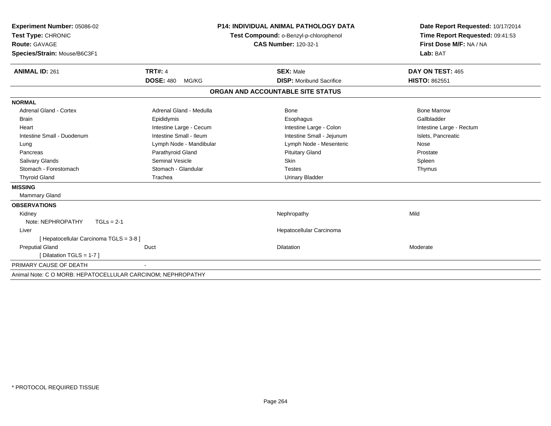| <b>Experiment Number: 05086-02</b><br>Test Type: CHRONIC<br><b>Route: GAVAGE</b><br>Species/Strain: Mouse/B6C3F1 |                           | <b>P14: INDIVIDUAL ANIMAL PATHOLOGY DATA</b><br>Test Compound: o-Benzyl-p-chlorophenol<br><b>CAS Number: 120-32-1</b> | Date Report Requested: 10/17/2014<br>Time Report Requested: 09:41:53<br>First Dose M/F: NA / NA<br>Lab: BAT |
|------------------------------------------------------------------------------------------------------------------|---------------------------|-----------------------------------------------------------------------------------------------------------------------|-------------------------------------------------------------------------------------------------------------|
|                                                                                                                  |                           |                                                                                                                       |                                                                                                             |
| <b>ANIMAL ID: 261</b>                                                                                            | <b>TRT#: 4</b>            | <b>SEX: Male</b>                                                                                                      | DAY ON TEST: 465                                                                                            |
|                                                                                                                  | <b>DOSE: 480</b><br>MG/KG | <b>DISP:</b> Moribund Sacrifice                                                                                       | <b>HISTO: 862551</b>                                                                                        |
|                                                                                                                  |                           | ORGAN AND ACCOUNTABLE SITE STATUS                                                                                     |                                                                                                             |
| <b>NORMAL</b>                                                                                                    |                           |                                                                                                                       |                                                                                                             |
| <b>Adrenal Gland - Cortex</b>                                                                                    | Adrenal Gland - Medulla   | <b>Bone</b>                                                                                                           | <b>Bone Marrow</b>                                                                                          |
| <b>Brain</b>                                                                                                     | Epididymis                | Esophagus                                                                                                             | Gallbladder                                                                                                 |
| Heart                                                                                                            | Intestine Large - Cecum   | Intestine Large - Colon                                                                                               | Intestine Large - Rectum                                                                                    |
| Intestine Small - Duodenum                                                                                       | Intestine Small - Ileum   | Intestine Small - Jejunum                                                                                             | Islets, Pancreatic                                                                                          |
| Lung                                                                                                             | Lymph Node - Mandibular   | Lymph Node - Mesenteric                                                                                               | Nose                                                                                                        |
| Pancreas                                                                                                         | Parathyroid Gland         | <b>Pituitary Gland</b>                                                                                                | Prostate                                                                                                    |
| Salivary Glands                                                                                                  | <b>Seminal Vesicle</b>    | Skin                                                                                                                  | Spleen                                                                                                      |
| Stomach - Forestomach                                                                                            | Stomach - Glandular       | <b>Testes</b>                                                                                                         | Thymus                                                                                                      |
| <b>Thyroid Gland</b>                                                                                             | Trachea                   | <b>Urinary Bladder</b>                                                                                                |                                                                                                             |
| <b>MISSING</b>                                                                                                   |                           |                                                                                                                       |                                                                                                             |
| <b>Mammary Gland</b>                                                                                             |                           |                                                                                                                       |                                                                                                             |
| <b>OBSERVATIONS</b>                                                                                              |                           |                                                                                                                       |                                                                                                             |
| Kidney                                                                                                           |                           | Nephropathy                                                                                                           | Mild                                                                                                        |
| Note: NEPHROPATHY<br>$TGLs = 2-1$                                                                                |                           |                                                                                                                       |                                                                                                             |
| Liver                                                                                                            |                           | Hepatocellular Carcinoma                                                                                              |                                                                                                             |
| [ Hepatocellular Carcinoma TGLS = 3-8 ]                                                                          |                           |                                                                                                                       |                                                                                                             |
| <b>Preputial Gland</b>                                                                                           | Duct                      | Dilatation                                                                                                            | Moderate                                                                                                    |
| [ Dilatation TGLS = $1-7$ ]                                                                                      |                           |                                                                                                                       |                                                                                                             |
| PRIMARY CAUSE OF DEATH                                                                                           |                           |                                                                                                                       |                                                                                                             |
| Animal Note: C O MORB: HEPATOCELLULAR CARCINOM; NEPHROPATHY                                                      |                           |                                                                                                                       |                                                                                                             |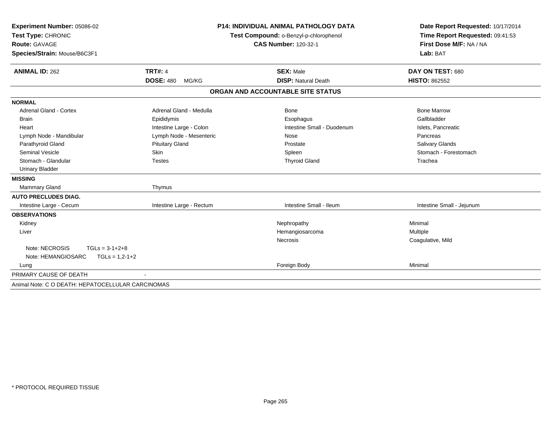| Experiment Number: 05086-02                       | <b>P14: INDIVIDUAL ANIMAL PATHOLOGY DATA</b><br>Test Compound: o-Benzyl-p-chlorophenol<br><b>CAS Number: 120-32-1</b> |                                   | Date Report Requested: 10/17/2014                          |  |
|---------------------------------------------------|-----------------------------------------------------------------------------------------------------------------------|-----------------------------------|------------------------------------------------------------|--|
| Test Type: CHRONIC                                |                                                                                                                       |                                   | Time Report Requested: 09:41:53<br>First Dose M/F: NA / NA |  |
| <b>Route: GAVAGE</b>                              |                                                                                                                       |                                   |                                                            |  |
| Species/Strain: Mouse/B6C3F1                      |                                                                                                                       |                                   | Lab: BAT                                                   |  |
|                                                   |                                                                                                                       |                                   |                                                            |  |
| <b>ANIMAL ID: 262</b>                             | <b>TRT#: 4</b>                                                                                                        | <b>SEX: Male</b>                  | DAY ON TEST: 680                                           |  |
|                                                   | <b>DOSE: 480</b><br>MG/KG                                                                                             | <b>DISP: Natural Death</b>        | <b>HISTO: 862552</b>                                       |  |
|                                                   |                                                                                                                       | ORGAN AND ACCOUNTABLE SITE STATUS |                                                            |  |
| <b>NORMAL</b>                                     |                                                                                                                       |                                   |                                                            |  |
| <b>Adrenal Gland - Cortex</b>                     | Adrenal Gland - Medulla                                                                                               | Bone                              | <b>Bone Marrow</b>                                         |  |
| <b>Brain</b>                                      | Epididymis                                                                                                            | Esophagus                         | Gallbladder                                                |  |
| Heart                                             | Intestine Large - Colon                                                                                               | Intestine Small - Duodenum        | Islets, Pancreatic                                         |  |
| Lymph Node - Mandibular                           | Lymph Node - Mesenteric                                                                                               | Nose                              | Pancreas                                                   |  |
| Parathyroid Gland                                 | <b>Pituitary Gland</b>                                                                                                | Prostate                          | Salivary Glands                                            |  |
| <b>Seminal Vesicle</b>                            | <b>Skin</b>                                                                                                           | Spleen                            | Stomach - Forestomach                                      |  |
| Stomach - Glandular                               | <b>Testes</b>                                                                                                         | <b>Thyroid Gland</b>              | Trachea                                                    |  |
| <b>Urinary Bladder</b>                            |                                                                                                                       |                                   |                                                            |  |
| <b>MISSING</b>                                    |                                                                                                                       |                                   |                                                            |  |
| <b>Mammary Gland</b>                              | Thymus                                                                                                                |                                   |                                                            |  |
| <b>AUTO PRECLUDES DIAG.</b>                       |                                                                                                                       |                                   |                                                            |  |
| Intestine Large - Cecum                           | Intestine Large - Rectum                                                                                              | Intestine Small - Ileum           | Intestine Small - Jejunum                                  |  |
| <b>OBSERVATIONS</b>                               |                                                                                                                       |                                   |                                                            |  |
| Kidney                                            |                                                                                                                       | Nephropathy                       | Minimal                                                    |  |
| Liver                                             |                                                                                                                       | Hemangiosarcoma                   | Multiple                                                   |  |
|                                                   |                                                                                                                       | <b>Necrosis</b>                   | Coagulative, Mild                                          |  |
| Note: NECROSIS<br>$TGLs = 3-1+2+8$                |                                                                                                                       |                                   |                                                            |  |
| $TGLs = 1,2-1+2$<br>Note: HEMANGIOSARC            |                                                                                                                       |                                   |                                                            |  |
| Lung                                              |                                                                                                                       | Foreign Body                      | Minimal                                                    |  |
| PRIMARY CAUSE OF DEATH                            |                                                                                                                       |                                   |                                                            |  |
| Animal Note: C O DEATH: HEPATOCELLULAR CARCINOMAS |                                                                                                                       |                                   |                                                            |  |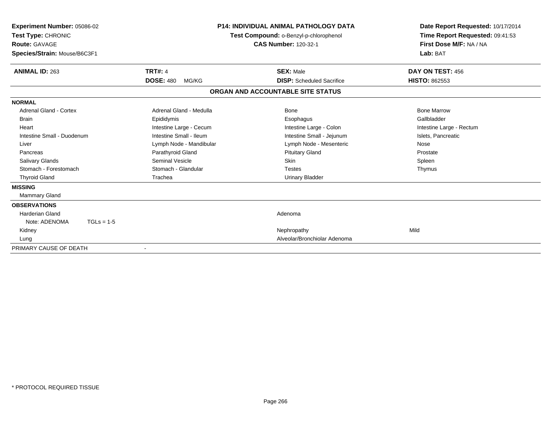| Experiment Number: 05086-02<br>Test Type: CHRONIC<br>Route: GAVAGE<br>Species/Strain: Mouse/B6C3F1 |                           | <b>P14: INDIVIDUAL ANIMAL PATHOLOGY DATA</b><br>Test Compound: o-Benzyl-p-chlorophenol<br><b>CAS Number: 120-32-1</b> | Date Report Requested: 10/17/2014<br>Time Report Requested: 09:41:53<br>First Dose M/F: NA / NA<br>Lab: BAT |
|----------------------------------------------------------------------------------------------------|---------------------------|-----------------------------------------------------------------------------------------------------------------------|-------------------------------------------------------------------------------------------------------------|
| <b>ANIMAL ID: 263</b>                                                                              | <b>TRT#: 4</b>            | <b>SEX: Male</b>                                                                                                      | DAY ON TEST: 456                                                                                            |
|                                                                                                    | <b>DOSE: 480</b><br>MG/KG | <b>DISP:</b> Scheduled Sacrifice                                                                                      | <b>HISTO: 862553</b>                                                                                        |
|                                                                                                    |                           | ORGAN AND ACCOUNTABLE SITE STATUS                                                                                     |                                                                                                             |
| <b>NORMAL</b>                                                                                      |                           |                                                                                                                       |                                                                                                             |
| <b>Adrenal Gland - Cortex</b>                                                                      | Adrenal Gland - Medulla   | Bone                                                                                                                  | <b>Bone Marrow</b>                                                                                          |
| <b>Brain</b>                                                                                       | Epididymis                | Esophagus                                                                                                             | Gallbladder                                                                                                 |
| Heart                                                                                              | Intestine Large - Cecum   | Intestine Large - Colon                                                                                               | Intestine Large - Rectum                                                                                    |
| Intestine Small - Duodenum                                                                         | Intestine Small - Ileum   | Intestine Small - Jejunum                                                                                             | Islets, Pancreatic                                                                                          |
| Liver                                                                                              | Lymph Node - Mandibular   | Lymph Node - Mesenteric                                                                                               | Nose                                                                                                        |
| Pancreas                                                                                           | Parathyroid Gland         | <b>Pituitary Gland</b>                                                                                                | Prostate                                                                                                    |
| <b>Salivary Glands</b>                                                                             | <b>Seminal Vesicle</b>    | <b>Skin</b>                                                                                                           | Spleen                                                                                                      |
| Stomach - Forestomach                                                                              | Stomach - Glandular       | <b>Testes</b>                                                                                                         | Thymus                                                                                                      |
| <b>Thyroid Gland</b>                                                                               | Trachea                   | <b>Urinary Bladder</b>                                                                                                |                                                                                                             |
| <b>MISSING</b>                                                                                     |                           |                                                                                                                       |                                                                                                             |
| Mammary Gland                                                                                      |                           |                                                                                                                       |                                                                                                             |
| <b>OBSERVATIONS</b>                                                                                |                           |                                                                                                                       |                                                                                                             |
| <b>Harderian Gland</b>                                                                             |                           | Adenoma                                                                                                               |                                                                                                             |
| Note: ADENOMA<br>$TGLs = 1-5$                                                                      |                           |                                                                                                                       |                                                                                                             |
| Kidney                                                                                             |                           | Nephropathy                                                                                                           | Mild                                                                                                        |
| Lung                                                                                               |                           | Alveolar/Bronchiolar Adenoma                                                                                          |                                                                                                             |
| PRIMARY CAUSE OF DEATH                                                                             |                           |                                                                                                                       |                                                                                                             |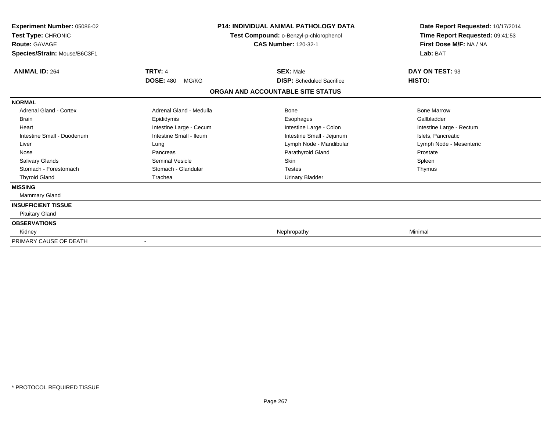| Experiment Number: 05086-02<br>Test Type: CHRONIC<br><b>Route: GAVAGE</b><br>Species/Strain: Mouse/B6C3F1 |                           | <b>P14: INDIVIDUAL ANIMAL PATHOLOGY DATA</b><br>Test Compound: o-Benzyl-p-chlorophenol<br><b>CAS Number: 120-32-1</b> | Date Report Requested: 10/17/2014<br>Time Report Requested: 09:41:53<br>First Dose M/F: NA / NA<br>Lab: BAT |
|-----------------------------------------------------------------------------------------------------------|---------------------------|-----------------------------------------------------------------------------------------------------------------------|-------------------------------------------------------------------------------------------------------------|
| <b>ANIMAL ID: 264</b>                                                                                     | <b>TRT#: 4</b>            | <b>SEX: Male</b>                                                                                                      | DAY ON TEST: 93                                                                                             |
|                                                                                                           | <b>DOSE: 480</b><br>MG/KG | <b>DISP:</b> Scheduled Sacrifice                                                                                      | HISTO:                                                                                                      |
|                                                                                                           |                           | ORGAN AND ACCOUNTABLE SITE STATUS                                                                                     |                                                                                                             |
| <b>NORMAL</b>                                                                                             |                           |                                                                                                                       |                                                                                                             |
| <b>Adrenal Gland - Cortex</b>                                                                             | Adrenal Gland - Medulla   | Bone                                                                                                                  | <b>Bone Marrow</b>                                                                                          |
| <b>Brain</b>                                                                                              | Epididymis                | Esophagus                                                                                                             | Gallbladder                                                                                                 |
| Heart                                                                                                     | Intestine Large - Cecum   | Intestine Large - Colon                                                                                               | Intestine Large - Rectum                                                                                    |
| Intestine Small - Duodenum                                                                                | Intestine Small - Ileum   | Intestine Small - Jejunum                                                                                             | Islets, Pancreatic                                                                                          |
| Liver                                                                                                     | Lung                      | Lymph Node - Mandibular                                                                                               | Lymph Node - Mesenteric                                                                                     |
| Nose                                                                                                      | Pancreas                  | Parathyroid Gland                                                                                                     | Prostate                                                                                                    |
| <b>Salivary Glands</b>                                                                                    | <b>Seminal Vesicle</b>    | <b>Skin</b>                                                                                                           | Spleen                                                                                                      |
| Stomach - Forestomach                                                                                     | Stomach - Glandular       | <b>Testes</b>                                                                                                         | Thymus                                                                                                      |
| <b>Thyroid Gland</b>                                                                                      | Trachea                   | <b>Urinary Bladder</b>                                                                                                |                                                                                                             |
| <b>MISSING</b>                                                                                            |                           |                                                                                                                       |                                                                                                             |
| <b>Mammary Gland</b>                                                                                      |                           |                                                                                                                       |                                                                                                             |
| <b>INSUFFICIENT TISSUE</b>                                                                                |                           |                                                                                                                       |                                                                                                             |
| <b>Pituitary Gland</b>                                                                                    |                           |                                                                                                                       |                                                                                                             |
| <b>OBSERVATIONS</b>                                                                                       |                           |                                                                                                                       |                                                                                                             |
| Kidney                                                                                                    |                           | Nephropathy                                                                                                           | Minimal                                                                                                     |
| PRIMARY CAUSE OF DEATH                                                                                    |                           |                                                                                                                       |                                                                                                             |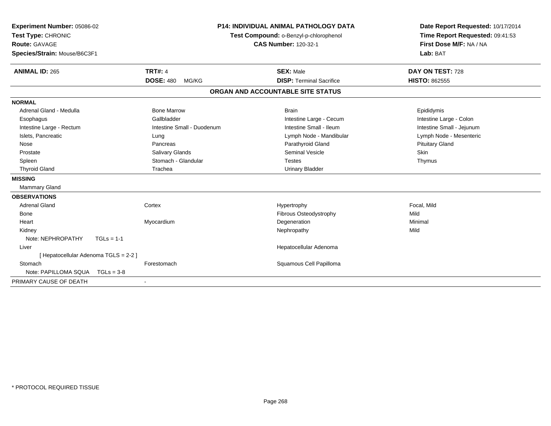| Experiment Number: 05086-02<br>Test Type: CHRONIC<br><b>Route: GAVAGE</b><br>Species/Strain: Mouse/B6C3F1<br><b>ANIMAL ID: 265</b> | <b>TRT#: 4</b>             | <b>P14: INDIVIDUAL ANIMAL PATHOLOGY DATA</b><br>Test Compound: o-Benzyl-p-chlorophenol<br><b>CAS Number: 120-32-1</b><br><b>SEX: Male</b> | Date Report Requested: 10/17/2014<br>Time Report Requested: 09:41:53<br>First Dose M/F: NA / NA<br>Lab: BAT<br>DAY ON TEST: 728 |
|------------------------------------------------------------------------------------------------------------------------------------|----------------------------|-------------------------------------------------------------------------------------------------------------------------------------------|---------------------------------------------------------------------------------------------------------------------------------|
|                                                                                                                                    | <b>DOSE: 480</b><br>MG/KG  | <b>DISP: Terminal Sacrifice</b>                                                                                                           | <b>HISTO: 862555</b>                                                                                                            |
|                                                                                                                                    |                            | ORGAN AND ACCOUNTABLE SITE STATUS                                                                                                         |                                                                                                                                 |
| <b>NORMAL</b>                                                                                                                      |                            |                                                                                                                                           |                                                                                                                                 |
| Adrenal Gland - Medulla                                                                                                            | <b>Bone Marrow</b>         | <b>Brain</b>                                                                                                                              | Epididymis                                                                                                                      |
| Esophagus                                                                                                                          | Gallbladder                | Intestine Large - Cecum                                                                                                                   | Intestine Large - Colon                                                                                                         |
| Intestine Large - Rectum                                                                                                           | Intestine Small - Duodenum | Intestine Small - Ileum                                                                                                                   | Intestine Small - Jejunum                                                                                                       |
| Islets, Pancreatic                                                                                                                 | Lung                       | Lymph Node - Mandibular                                                                                                                   | Lymph Node - Mesenteric                                                                                                         |
| Nose                                                                                                                               | Pancreas                   | Parathyroid Gland                                                                                                                         | <b>Pituitary Gland</b>                                                                                                          |
| Prostate                                                                                                                           | Salivary Glands            | <b>Seminal Vesicle</b>                                                                                                                    | <b>Skin</b>                                                                                                                     |
| Spleen                                                                                                                             | Stomach - Glandular        | <b>Testes</b>                                                                                                                             | Thymus                                                                                                                          |
| <b>Thyroid Gland</b>                                                                                                               | Trachea                    | <b>Urinary Bladder</b>                                                                                                                    |                                                                                                                                 |
| <b>MISSING</b>                                                                                                                     |                            |                                                                                                                                           |                                                                                                                                 |
| Mammary Gland                                                                                                                      |                            |                                                                                                                                           |                                                                                                                                 |
| <b>OBSERVATIONS</b>                                                                                                                |                            |                                                                                                                                           |                                                                                                                                 |
| <b>Adrenal Gland</b>                                                                                                               | Cortex                     | Hypertrophy                                                                                                                               | Focal, Mild                                                                                                                     |
| Bone                                                                                                                               |                            | Fibrous Osteodystrophy                                                                                                                    | Mild                                                                                                                            |
| Heart                                                                                                                              | Myocardium                 | Degeneration                                                                                                                              | Minimal                                                                                                                         |
| Kidney                                                                                                                             |                            | Nephropathy                                                                                                                               | Mild                                                                                                                            |
| Note: NEPHROPATHY<br>$TGLs = 1-1$                                                                                                  |                            |                                                                                                                                           |                                                                                                                                 |
| Liver                                                                                                                              |                            | Hepatocellular Adenoma                                                                                                                    |                                                                                                                                 |
| [Hepatocellular Adenoma TGLS = 2-2]                                                                                                |                            |                                                                                                                                           |                                                                                                                                 |
| Stomach                                                                                                                            | Forestomach                | Squamous Cell Papilloma                                                                                                                   |                                                                                                                                 |
| Note: PAPILLOMA SQUA<br>$TGLs = 3-8$                                                                                               |                            |                                                                                                                                           |                                                                                                                                 |
| PRIMARY CAUSE OF DEATH                                                                                                             | $\sim$                     |                                                                                                                                           |                                                                                                                                 |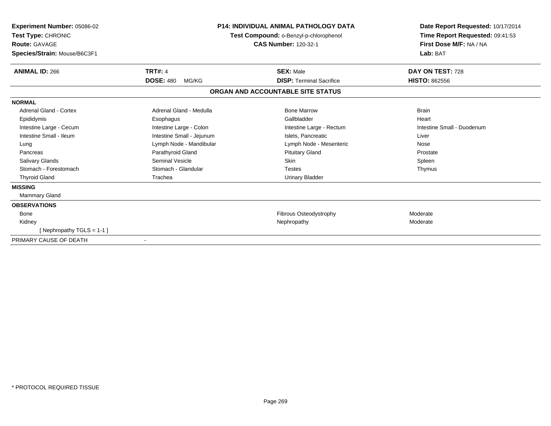| <b>Experiment Number: 05086-02</b><br>Test Type: CHRONIC<br><b>Route: GAVAGE</b><br>Species/Strain: Mouse/B6C3F1 | <b>P14: INDIVIDUAL ANIMAL PATHOLOGY DATA</b><br>Test Compound: o-Benzyl-p-chlorophenol<br><b>CAS Number: 120-32-1</b> |                                   | Date Report Requested: 10/17/2014<br>Time Report Requested: 09:41:53<br>First Dose M/F: NA / NA<br>Lab: BAT |
|------------------------------------------------------------------------------------------------------------------|-----------------------------------------------------------------------------------------------------------------------|-----------------------------------|-------------------------------------------------------------------------------------------------------------|
| <b>ANIMAL ID: 266</b>                                                                                            | <b>TRT#: 4</b>                                                                                                        | <b>SEX: Male</b>                  | DAY ON TEST: 728                                                                                            |
|                                                                                                                  | <b>DOSE: 480</b><br>MG/KG                                                                                             | <b>DISP: Terminal Sacrifice</b>   | <b>HISTO: 862556</b>                                                                                        |
|                                                                                                                  |                                                                                                                       | ORGAN AND ACCOUNTABLE SITE STATUS |                                                                                                             |
| <b>NORMAL</b>                                                                                                    |                                                                                                                       |                                   |                                                                                                             |
| Adrenal Gland - Cortex                                                                                           | Adrenal Gland - Medulla                                                                                               | <b>Bone Marrow</b>                | <b>Brain</b>                                                                                                |
| Epididymis                                                                                                       | Esophagus                                                                                                             | Gallbladder                       | Heart                                                                                                       |
| Intestine Large - Cecum                                                                                          | Intestine Large - Colon                                                                                               | Intestine Large - Rectum          | Intestine Small - Duodenum                                                                                  |
| Intestine Small - Ileum                                                                                          | Intestine Small - Jejunum                                                                                             | Islets. Pancreatic                | Liver                                                                                                       |
| Lung                                                                                                             | Lymph Node - Mandibular                                                                                               | Lymph Node - Mesenteric           | Nose                                                                                                        |
| Pancreas                                                                                                         | Parathyroid Gland                                                                                                     | <b>Pituitary Gland</b>            | Prostate                                                                                                    |
| <b>Salivary Glands</b>                                                                                           | <b>Seminal Vesicle</b>                                                                                                | <b>Skin</b>                       | Spleen                                                                                                      |
| Stomach - Forestomach                                                                                            | Stomach - Glandular                                                                                                   | <b>Testes</b>                     | Thymus                                                                                                      |
| <b>Thyroid Gland</b>                                                                                             | Trachea                                                                                                               | <b>Urinary Bladder</b>            |                                                                                                             |
| <b>MISSING</b>                                                                                                   |                                                                                                                       |                                   |                                                                                                             |
| Mammary Gland                                                                                                    |                                                                                                                       |                                   |                                                                                                             |
| <b>OBSERVATIONS</b>                                                                                              |                                                                                                                       |                                   |                                                                                                             |
| <b>Bone</b>                                                                                                      |                                                                                                                       | Fibrous Osteodystrophy            | Moderate                                                                                                    |
| Kidney                                                                                                           |                                                                                                                       | Nephropathy                       | Moderate                                                                                                    |
| [Nephropathy TGLS = 1-1]                                                                                         |                                                                                                                       |                                   |                                                                                                             |
| PRIMARY CAUSE OF DEATH                                                                                           |                                                                                                                       |                                   |                                                                                                             |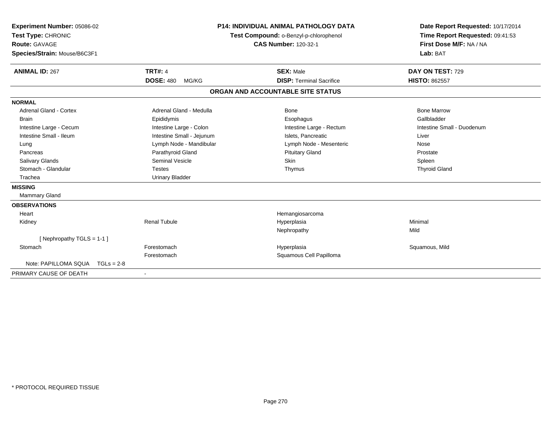| Experiment Number: 05086-02<br>Test Type: CHRONIC<br><b>Route: GAVAGE</b><br>Species/Strain: Mouse/B6C3F1<br><b>ANIMAL ID: 267</b> | <b>TRT#: 4</b>            | <b>P14: INDIVIDUAL ANIMAL PATHOLOGY DATA</b><br>Test Compound: o-Benzyl-p-chlorophenol<br><b>CAS Number: 120-32-1</b><br><b>SEX: Male</b> | Date Report Requested: 10/17/2014<br>Time Report Requested: 09:41:53<br>First Dose M/F: NA / NA<br>Lab: BAT<br>DAY ON TEST: 729 |
|------------------------------------------------------------------------------------------------------------------------------------|---------------------------|-------------------------------------------------------------------------------------------------------------------------------------------|---------------------------------------------------------------------------------------------------------------------------------|
|                                                                                                                                    | <b>DOSE: 480</b><br>MG/KG | <b>DISP: Terminal Sacrifice</b>                                                                                                           | <b>HISTO: 862557</b>                                                                                                            |
|                                                                                                                                    |                           | ORGAN AND ACCOUNTABLE SITE STATUS                                                                                                         |                                                                                                                                 |
| <b>NORMAL</b>                                                                                                                      |                           |                                                                                                                                           |                                                                                                                                 |
| <b>Adrenal Gland - Cortex</b>                                                                                                      | Adrenal Gland - Medulla   | Bone                                                                                                                                      | <b>Bone Marrow</b>                                                                                                              |
| Brain                                                                                                                              | Epididymis                | Esophagus                                                                                                                                 | Gallbladder                                                                                                                     |
| Intestine Large - Cecum                                                                                                            | Intestine Large - Colon   | Intestine Large - Rectum                                                                                                                  | Intestine Small - Duodenum                                                                                                      |
| Intestine Small - Ileum                                                                                                            | Intestine Small - Jejunum | Islets, Pancreatic                                                                                                                        | Liver                                                                                                                           |
| Lung                                                                                                                               | Lymph Node - Mandibular   | Lymph Node - Mesenteric                                                                                                                   | Nose                                                                                                                            |
| Pancreas                                                                                                                           | Parathyroid Gland         | <b>Pituitary Gland</b>                                                                                                                    | Prostate                                                                                                                        |
| <b>Salivary Glands</b>                                                                                                             | Seminal Vesicle           | <b>Skin</b>                                                                                                                               | Spleen                                                                                                                          |
| Stomach - Glandular                                                                                                                | <b>Testes</b>             | Thymus                                                                                                                                    | <b>Thyroid Gland</b>                                                                                                            |
| Trachea                                                                                                                            | <b>Urinary Bladder</b>    |                                                                                                                                           |                                                                                                                                 |
| <b>MISSING</b>                                                                                                                     |                           |                                                                                                                                           |                                                                                                                                 |
| Mammary Gland                                                                                                                      |                           |                                                                                                                                           |                                                                                                                                 |
| <b>OBSERVATIONS</b>                                                                                                                |                           |                                                                                                                                           |                                                                                                                                 |
| Heart                                                                                                                              |                           | Hemangiosarcoma                                                                                                                           |                                                                                                                                 |
| Kidney                                                                                                                             | <b>Renal Tubule</b>       | Hyperplasia                                                                                                                               | Minimal                                                                                                                         |
|                                                                                                                                    |                           | Nephropathy                                                                                                                               | Mild                                                                                                                            |
| [Nephropathy TGLS = $1-1$ ]                                                                                                        |                           |                                                                                                                                           |                                                                                                                                 |
| Stomach                                                                                                                            | Forestomach               | Hyperplasia                                                                                                                               | Squamous, Mild                                                                                                                  |
|                                                                                                                                    | Forestomach               | Squamous Cell Papilloma                                                                                                                   |                                                                                                                                 |
| Note: PAPILLOMA SQUA<br>$TGLs = 2-8$                                                                                               |                           |                                                                                                                                           |                                                                                                                                 |
| PRIMARY CAUSE OF DEATH                                                                                                             |                           |                                                                                                                                           |                                                                                                                                 |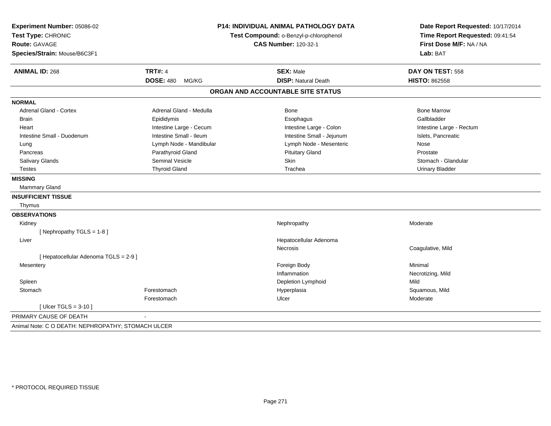| Experiment Number: 05086-02                        | P14: INDIVIDUAL ANIMAL PATHOLOGY DATA |                                        | Date Report Requested: 10/17/2014 |
|----------------------------------------------------|---------------------------------------|----------------------------------------|-----------------------------------|
| Test Type: CHRONIC                                 |                                       | Test Compound: o-Benzyl-p-chlorophenol | Time Report Requested: 09:41:54   |
| <b>Route: GAVAGE</b>                               |                                       | <b>CAS Number: 120-32-1</b>            | First Dose M/F: NA / NA           |
| Species/Strain: Mouse/B6C3F1                       |                                       |                                        | Lab: BAT                          |
| <b>ANIMAL ID: 268</b>                              | <b>TRT#: 4</b>                        | <b>SEX: Male</b>                       | DAY ON TEST: 558                  |
|                                                    | <b>DOSE: 480</b><br>MG/KG             | <b>DISP: Natural Death</b>             | <b>HISTO: 862558</b>              |
|                                                    |                                       | ORGAN AND ACCOUNTABLE SITE STATUS      |                                   |
| <b>NORMAL</b>                                      |                                       |                                        |                                   |
| Adrenal Gland - Cortex                             | Adrenal Gland - Medulla               | <b>Bone</b>                            | <b>Bone Marrow</b>                |
| <b>Brain</b>                                       | Epididymis                            | Esophagus                              | Gallbladder                       |
| Heart                                              | Intestine Large - Cecum               | Intestine Large - Colon                | Intestine Large - Rectum          |
| Intestine Small - Duodenum                         | Intestine Small - Ileum               | Intestine Small - Jejunum              | Islets, Pancreatic                |
| Lung                                               | Lymph Node - Mandibular               | Lymph Node - Mesenteric                | Nose                              |
| Pancreas                                           | Parathyroid Gland                     | <b>Pituitary Gland</b>                 | Prostate                          |
| <b>Salivary Glands</b>                             | Seminal Vesicle                       | Skin                                   | Stomach - Glandular               |
| <b>Testes</b>                                      | <b>Thyroid Gland</b>                  | Trachea                                | <b>Urinary Bladder</b>            |
| <b>MISSING</b>                                     |                                       |                                        |                                   |
| Mammary Gland                                      |                                       |                                        |                                   |
| <b>INSUFFICIENT TISSUE</b>                         |                                       |                                        |                                   |
| Thymus                                             |                                       |                                        |                                   |
| <b>OBSERVATIONS</b>                                |                                       |                                        |                                   |
| Kidney                                             |                                       | Nephropathy                            | Moderate                          |
| [Nephropathy TGLS = $1-8$ ]                        |                                       |                                        |                                   |
| Liver                                              |                                       | Hepatocellular Adenoma                 |                                   |
|                                                    |                                       | Necrosis                               | Coagulative, Mild                 |
| [ Hepatocellular Adenoma TGLS = 2-9 ]              |                                       |                                        |                                   |
| Mesentery                                          |                                       | Foreign Body                           | Minimal                           |
|                                                    |                                       | Inflammation                           | Necrotizing, Mild                 |
| Spleen                                             |                                       | Depletion Lymphoid                     | Mild                              |
| Stomach                                            | Forestomach                           | Hyperplasia                            | Squamous, Mild                    |
|                                                    | Forestomach                           | Ulcer                                  | Moderate                          |
| [ Ulcer TGLS = $3-10$ ]                            |                                       |                                        |                                   |
| PRIMARY CAUSE OF DEATH                             |                                       |                                        |                                   |
| Animal Note: C O DEATH: NEPHROPATHY; STOMACH ULCER |                                       |                                        |                                   |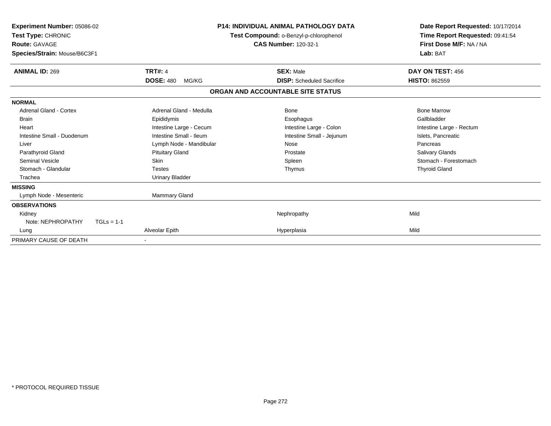| Experiment Number: 05086-02<br><b>Test Type: CHRONIC</b><br><b>Route: GAVAGE</b><br>Species/Strain: Mouse/B6C3F1 | <b>P14: INDIVIDUAL ANIMAL PATHOLOGY DATA</b><br>Test Compound: o-Benzyl-p-chlorophenol<br><b>CAS Number: 120-32-1</b> |                                   | Date Report Requested: 10/17/2014<br>Time Report Requested: 09:41:54<br>First Dose M/F: NA / NA<br>Lab: BAT |
|------------------------------------------------------------------------------------------------------------------|-----------------------------------------------------------------------------------------------------------------------|-----------------------------------|-------------------------------------------------------------------------------------------------------------|
| <b>ANIMAL ID: 269</b>                                                                                            | <b>TRT#: 4</b>                                                                                                        | <b>SEX: Male</b>                  | DAY ON TEST: 456                                                                                            |
|                                                                                                                  | <b>DOSE: 480</b><br>MG/KG                                                                                             | <b>DISP:</b> Scheduled Sacrifice  | <b>HISTO: 862559</b>                                                                                        |
|                                                                                                                  |                                                                                                                       | ORGAN AND ACCOUNTABLE SITE STATUS |                                                                                                             |
| <b>NORMAL</b>                                                                                                    |                                                                                                                       |                                   |                                                                                                             |
| Adrenal Gland - Cortex                                                                                           | Adrenal Gland - Medulla                                                                                               | Bone                              | <b>Bone Marrow</b>                                                                                          |
| Brain                                                                                                            | Epididymis                                                                                                            | Esophagus                         | Gallbladder                                                                                                 |
| Heart                                                                                                            | Intestine Large - Cecum                                                                                               | Intestine Large - Colon           | Intestine Large - Rectum                                                                                    |
| Intestine Small - Duodenum                                                                                       | Intestine Small - Ileum                                                                                               | Intestine Small - Jejunum         | Islets, Pancreatic                                                                                          |
| Liver                                                                                                            | Lymph Node - Mandibular                                                                                               | Nose                              | Pancreas                                                                                                    |
| Parathyroid Gland                                                                                                | <b>Pituitary Gland</b>                                                                                                | Prostate                          | <b>Salivary Glands</b>                                                                                      |
| <b>Seminal Vesicle</b>                                                                                           | <b>Skin</b>                                                                                                           | Spleen                            | Stomach - Forestomach                                                                                       |
| Stomach - Glandular                                                                                              | <b>Testes</b>                                                                                                         | Thymus                            | <b>Thyroid Gland</b>                                                                                        |
| Trachea                                                                                                          | <b>Urinary Bladder</b>                                                                                                |                                   |                                                                                                             |
| <b>MISSING</b>                                                                                                   |                                                                                                                       |                                   |                                                                                                             |
| Lymph Node - Mesenteric                                                                                          | Mammary Gland                                                                                                         |                                   |                                                                                                             |
| <b>OBSERVATIONS</b>                                                                                              |                                                                                                                       |                                   |                                                                                                             |
| Kidney                                                                                                           |                                                                                                                       | Nephropathy                       | Mild                                                                                                        |
| Note: NEPHROPATHY<br>$TGLs = 1-1$                                                                                |                                                                                                                       |                                   |                                                                                                             |
| Lung                                                                                                             | Alveolar Epith                                                                                                        | Hyperplasia                       | Mild                                                                                                        |
| PRIMARY CAUSE OF DEATH                                                                                           |                                                                                                                       |                                   |                                                                                                             |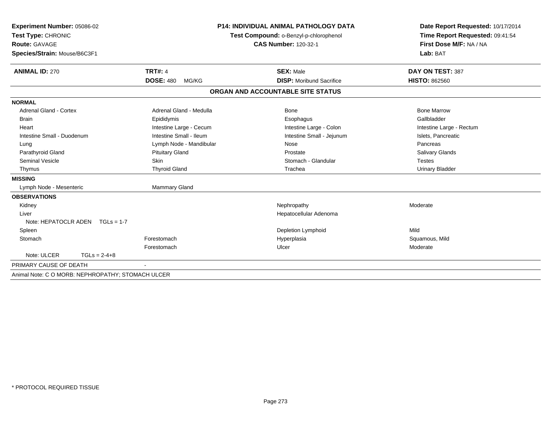| Experiment Number: 05086-02<br>Test Type: CHRONIC |                           | <b>P14: INDIVIDUAL ANIMAL PATHOLOGY DATA</b><br>Test Compound: o-Benzyl-p-chlorophenol | Date Report Requested: 10/17/2014<br>Time Report Requested: 09:41:54<br>First Dose M/F: NA / NA<br>Lab: BAT |
|---------------------------------------------------|---------------------------|----------------------------------------------------------------------------------------|-------------------------------------------------------------------------------------------------------------|
| Route: GAVAGE                                     |                           | <b>CAS Number: 120-32-1</b>                                                            |                                                                                                             |
| Species/Strain: Mouse/B6C3F1                      |                           |                                                                                        |                                                                                                             |
| <b>ANIMAL ID: 270</b>                             | <b>TRT#: 4</b>            | <b>SEX: Male</b>                                                                       | DAY ON TEST: 387                                                                                            |
|                                                   | <b>DOSE: 480</b><br>MG/KG | <b>DISP:</b> Moribund Sacrifice                                                        | <b>HISTO: 862560</b>                                                                                        |
|                                                   |                           | ORGAN AND ACCOUNTABLE SITE STATUS                                                      |                                                                                                             |
| <b>NORMAL</b>                                     |                           |                                                                                        |                                                                                                             |
| <b>Adrenal Gland - Cortex</b>                     | Adrenal Gland - Medulla   | <b>Bone</b>                                                                            | <b>Bone Marrow</b>                                                                                          |
| <b>Brain</b>                                      | Epididymis                | Esophagus                                                                              | Gallbladder                                                                                                 |
| Heart                                             | Intestine Large - Cecum   | Intestine Large - Colon                                                                | Intestine Large - Rectum                                                                                    |
| Intestine Small - Duodenum                        | Intestine Small - Ileum   | Intestine Small - Jejunum                                                              | Islets, Pancreatic                                                                                          |
| Lung                                              | Lymph Node - Mandibular   | Nose                                                                                   | Pancreas                                                                                                    |
| Parathyroid Gland                                 | <b>Pituitary Gland</b>    | Prostate                                                                               | Salivary Glands                                                                                             |
| <b>Seminal Vesicle</b>                            | Skin                      | Stomach - Glandular                                                                    | Testes                                                                                                      |
| Thymus                                            | <b>Thyroid Gland</b>      | Trachea                                                                                | <b>Urinary Bladder</b>                                                                                      |
| <b>MISSING</b>                                    |                           |                                                                                        |                                                                                                             |
| Lymph Node - Mesenteric                           | Mammary Gland             |                                                                                        |                                                                                                             |
| <b>OBSERVATIONS</b>                               |                           |                                                                                        |                                                                                                             |
| Kidney                                            |                           | Nephropathy                                                                            | Moderate                                                                                                    |
| Liver                                             |                           | Hepatocellular Adenoma                                                                 |                                                                                                             |
| Note: HEPATOCLR ADEN $TGLs = 1-7$                 |                           |                                                                                        |                                                                                                             |
| Spleen                                            |                           | Depletion Lymphoid                                                                     | Mild                                                                                                        |
| Stomach                                           | Forestomach               | Hyperplasia                                                                            | Squamous, Mild                                                                                              |
|                                                   | Forestomach               | Ulcer                                                                                  | Moderate                                                                                                    |
| Note: ULCER<br>$TGLs = 2-4+8$                     |                           |                                                                                        |                                                                                                             |
| PRIMARY CAUSE OF DEATH                            |                           |                                                                                        |                                                                                                             |
| Animal Note: C O MORB: NEPHROPATHY; STOMACH ULCER |                           |                                                                                        |                                                                                                             |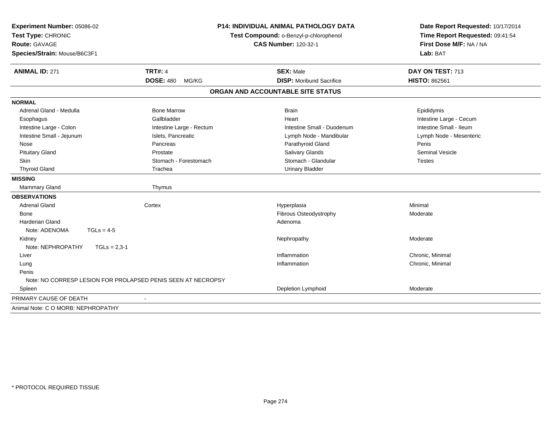| Experiment Number: 05086-02<br>Test Type: CHRONIC<br><b>Route: GAVAGE</b><br>Species/Strain: Mouse/B6C3F1 |                                                              | <b>P14: INDIVIDUAL ANIMAL PATHOLOGY DATA</b><br>Test Compound: o-Benzyl-p-chlorophenol<br><b>CAS Number: 120-32-1</b> | Date Report Requested: 10/17/2014<br>Time Report Requested: 09:41:54<br>First Dose M/F: NA / NA<br>Lab: BAT |
|-----------------------------------------------------------------------------------------------------------|--------------------------------------------------------------|-----------------------------------------------------------------------------------------------------------------------|-------------------------------------------------------------------------------------------------------------|
| <b>ANIMAL ID: 271</b>                                                                                     | <b>TRT#: 4</b>                                               | <b>SEX: Male</b>                                                                                                      | DAY ON TEST: 713                                                                                            |
|                                                                                                           | <b>DOSE: 480</b><br>MG/KG                                    | <b>DISP: Moribund Sacrifice</b>                                                                                       | <b>HISTO: 862561</b>                                                                                        |
|                                                                                                           |                                                              | ORGAN AND ACCOUNTABLE SITE STATUS                                                                                     |                                                                                                             |
| <b>NORMAL</b>                                                                                             |                                                              |                                                                                                                       |                                                                                                             |
| Adrenal Gland - Medulla                                                                                   | <b>Bone Marrow</b>                                           | <b>Brain</b>                                                                                                          | Epididymis                                                                                                  |
| Esophagus                                                                                                 | Gallbladder                                                  | Heart                                                                                                                 | Intestine Large - Cecum                                                                                     |
| Intestine Large - Colon                                                                                   | Intestine Large - Rectum                                     | Intestine Small - Duodenum                                                                                            | Intestine Small - Ileum                                                                                     |
| Intestine Small - Jejunum                                                                                 | Islets, Pancreatic                                           | Lymph Node - Mandibular                                                                                               | Lymph Node - Mesenteric                                                                                     |
| Nose                                                                                                      | Pancreas                                                     | Parathyroid Gland                                                                                                     | Penis                                                                                                       |
| <b>Pituitary Gland</b>                                                                                    | Prostate                                                     | Salivary Glands                                                                                                       | <b>Seminal Vesicle</b>                                                                                      |
| Skin                                                                                                      | Stomach - Forestomach                                        | Stomach - Glandular                                                                                                   | <b>Testes</b>                                                                                               |
| <b>Thyroid Gland</b>                                                                                      | Trachea                                                      | <b>Urinary Bladder</b>                                                                                                |                                                                                                             |
| <b>MISSING</b>                                                                                            |                                                              |                                                                                                                       |                                                                                                             |
| <b>Mammary Gland</b>                                                                                      | Thymus                                                       |                                                                                                                       |                                                                                                             |
| <b>OBSERVATIONS</b>                                                                                       |                                                              |                                                                                                                       |                                                                                                             |
| <b>Adrenal Gland</b>                                                                                      | Cortex                                                       | Hyperplasia                                                                                                           | Minimal                                                                                                     |
| Bone                                                                                                      |                                                              | Fibrous Osteodystrophy                                                                                                | Moderate                                                                                                    |
| <b>Harderian Gland</b>                                                                                    |                                                              | Adenoma                                                                                                               |                                                                                                             |
| Note: ADENOMA<br>$TGLs = 4-5$                                                                             |                                                              |                                                                                                                       |                                                                                                             |
| Kidney                                                                                                    |                                                              | Nephropathy                                                                                                           | Moderate                                                                                                    |
| Note: NEPHROPATHY<br>$TGLs = 2,3-1$                                                                       |                                                              |                                                                                                                       |                                                                                                             |
| Liver                                                                                                     |                                                              | Inflammation                                                                                                          | Chronic, Minimal                                                                                            |
| Lung                                                                                                      |                                                              | Inflammation                                                                                                          | Chronic, Minimal                                                                                            |
| Penis                                                                                                     |                                                              |                                                                                                                       |                                                                                                             |
|                                                                                                           | Note: NO CORRESP LESION FOR PROLAPSED PENIS SEEN AT NECROPSY |                                                                                                                       |                                                                                                             |
| Spleen                                                                                                    |                                                              | Depletion Lymphoid                                                                                                    | Moderate                                                                                                    |
| PRIMARY CAUSE OF DEATH                                                                                    |                                                              |                                                                                                                       |                                                                                                             |
| Animal Note: C O MORB: NEPHROPATHY                                                                        |                                                              |                                                                                                                       |                                                                                                             |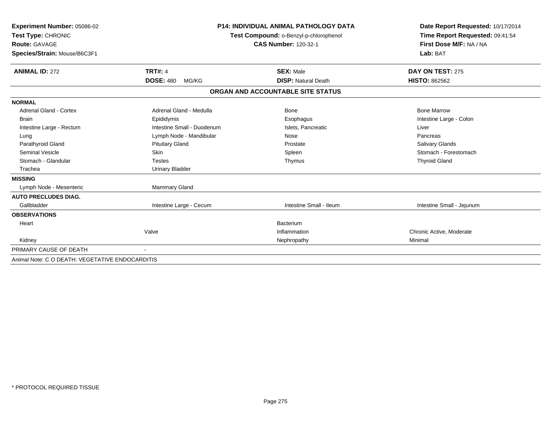| Experiment Number: 05086-02                     | <b>P14: INDIVIDUAL ANIMAL PATHOLOGY DATA</b><br>Test Compound: o-Benzyl-p-chlorophenol |                                   | Date Report Requested: 10/17/2014<br>Time Report Requested: 09:41:54 |
|-------------------------------------------------|----------------------------------------------------------------------------------------|-----------------------------------|----------------------------------------------------------------------|
| Test Type: CHRONIC                              |                                                                                        |                                   |                                                                      |
| <b>Route: GAVAGE</b>                            |                                                                                        | <b>CAS Number: 120-32-1</b>       | First Dose M/F: NA / NA                                              |
| Species/Strain: Mouse/B6C3F1                    |                                                                                        |                                   | Lab: BAT                                                             |
| <b>ANIMAL ID: 272</b>                           | <b>TRT#: 4</b>                                                                         | <b>SEX: Male</b>                  | DAY ON TEST: 275                                                     |
|                                                 | <b>DOSE: 480</b><br>MG/KG                                                              | <b>DISP: Natural Death</b>        | <b>HISTO: 862562</b>                                                 |
|                                                 |                                                                                        | ORGAN AND ACCOUNTABLE SITE STATUS |                                                                      |
| <b>NORMAL</b>                                   |                                                                                        |                                   |                                                                      |
| Adrenal Gland - Cortex                          | Adrenal Gland - Medulla                                                                | Bone                              | <b>Bone Marrow</b>                                                   |
| <b>Brain</b>                                    | Epididymis                                                                             | Esophagus                         | Intestine Large - Colon                                              |
| Intestine Large - Rectum                        | Intestine Small - Duodenum                                                             | Islets, Pancreatic                | Liver                                                                |
| Lung                                            | Lymph Node - Mandibular                                                                | Nose                              | Pancreas                                                             |
| Parathyroid Gland                               | <b>Pituitary Gland</b>                                                                 | Prostate                          | Salivary Glands                                                      |
| <b>Seminal Vesicle</b>                          | Skin                                                                                   | Spleen                            | Stomach - Forestomach                                                |
| Stomach - Glandular                             | <b>Testes</b>                                                                          | Thymus                            | <b>Thyroid Gland</b>                                                 |
| Trachea                                         | <b>Urinary Bladder</b>                                                                 |                                   |                                                                      |
| <b>MISSING</b>                                  |                                                                                        |                                   |                                                                      |
| Lymph Node - Mesenteric                         | <b>Mammary Gland</b>                                                                   |                                   |                                                                      |
| <b>AUTO PRECLUDES DIAG.</b>                     |                                                                                        |                                   |                                                                      |
| Gallbladder                                     | Intestine Large - Cecum                                                                | Intestine Small - Ileum           | Intestine Small - Jejunum                                            |
| <b>OBSERVATIONS</b>                             |                                                                                        |                                   |                                                                      |
| Heart                                           |                                                                                        | <b>Bacterium</b>                  |                                                                      |
|                                                 | Valve                                                                                  | Inflammation                      | Chronic Active, Moderate                                             |
| Kidney                                          |                                                                                        | Nephropathy                       | Minimal                                                              |
| PRIMARY CAUSE OF DEATH                          |                                                                                        |                                   |                                                                      |
| Animal Note: C O DEATH: VEGETATIVE ENDOCARDITIS |                                                                                        |                                   |                                                                      |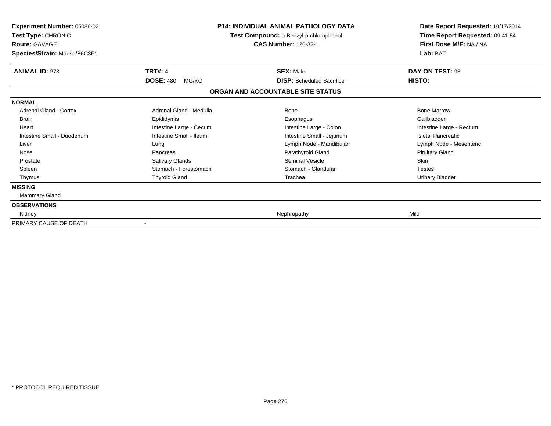| <b>Experiment Number: 05086-02</b><br>Test Type: CHRONIC<br><b>Route: GAVAGE</b><br>Species/Strain: Mouse/B6C3F1 | <b>P14: INDIVIDUAL ANIMAL PATHOLOGY DATA</b><br>Test Compound: o-Benzyl-p-chlorophenol<br><b>CAS Number: 120-32-1</b> |                                                      | Date Report Requested: 10/17/2014<br>Time Report Requested: 09:41:54<br>First Dose M/F: NA / NA<br>Lab: BAT |
|------------------------------------------------------------------------------------------------------------------|-----------------------------------------------------------------------------------------------------------------------|------------------------------------------------------|-------------------------------------------------------------------------------------------------------------|
| <b>ANIMAL ID: 273</b>                                                                                            | <b>TRT#: 4</b><br><b>DOSE: 480</b><br>MG/KG                                                                           | <b>SEX: Male</b><br><b>DISP:</b> Scheduled Sacrifice | DAY ON TEST: 93<br>HISTO:                                                                                   |
|                                                                                                                  |                                                                                                                       | ORGAN AND ACCOUNTABLE SITE STATUS                    |                                                                                                             |
| <b>NORMAL</b>                                                                                                    |                                                                                                                       |                                                      |                                                                                                             |
| Adrenal Gland - Cortex                                                                                           | Adrenal Gland - Medulla                                                                                               | Bone                                                 | <b>Bone Marrow</b>                                                                                          |
| <b>Brain</b>                                                                                                     | Epididymis                                                                                                            | Esophagus                                            | Gallbladder                                                                                                 |
| Heart                                                                                                            | Intestine Large - Cecum                                                                                               | Intestine Large - Colon                              | Intestine Large - Rectum                                                                                    |
| Intestine Small - Duodenum                                                                                       | Intestine Small - Ileum                                                                                               | Intestine Small - Jejunum                            | Islets, Pancreatic                                                                                          |
| Liver                                                                                                            | Lung                                                                                                                  | Lymph Node - Mandibular                              | Lymph Node - Mesenteric                                                                                     |
| Nose                                                                                                             | Pancreas                                                                                                              | Parathyroid Gland                                    | <b>Pituitary Gland</b>                                                                                      |
| Prostate                                                                                                         | Salivary Glands                                                                                                       | <b>Seminal Vesicle</b>                               | <b>Skin</b>                                                                                                 |
| Spleen                                                                                                           | Stomach - Forestomach                                                                                                 | Stomach - Glandular                                  | <b>Testes</b>                                                                                               |
| Thymus                                                                                                           | <b>Thyroid Gland</b>                                                                                                  | Trachea                                              | Urinary Bladder                                                                                             |
| <b>MISSING</b>                                                                                                   |                                                                                                                       |                                                      |                                                                                                             |
| Mammary Gland                                                                                                    |                                                                                                                       |                                                      |                                                                                                             |
| <b>OBSERVATIONS</b>                                                                                              |                                                                                                                       |                                                      |                                                                                                             |
| Kidney                                                                                                           |                                                                                                                       | Nephropathy                                          | Mild                                                                                                        |
| PRIMARY CAUSE OF DEATH                                                                                           |                                                                                                                       |                                                      |                                                                                                             |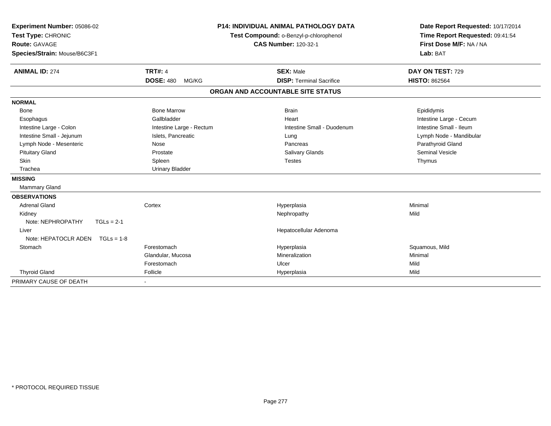| Experiment Number: 05086-02          | <b>P14: INDIVIDUAL ANIMAL PATHOLOGY DATA</b> |                                        | Date Report Requested: 10/17/2014 |                                 |
|--------------------------------------|----------------------------------------------|----------------------------------------|-----------------------------------|---------------------------------|
| Test Type: CHRONIC                   |                                              | Test Compound: o-Benzyl-p-chlorophenol |                                   | Time Report Requested: 09:41:54 |
| <b>Route: GAVAGE</b>                 |                                              |                                        | <b>CAS Number: 120-32-1</b>       | First Dose M/F: NA / NA         |
| Species/Strain: Mouse/B6C3F1         |                                              |                                        |                                   | Lab: BAT                        |
|                                      |                                              |                                        |                                   |                                 |
| <b>ANIMAL ID: 274</b>                | <b>TRT#: 4</b>                               |                                        | <b>SEX: Male</b>                  | DAY ON TEST: 729                |
|                                      | <b>DOSE: 480</b><br>MG/KG                    |                                        | <b>DISP: Terminal Sacrifice</b>   | <b>HISTO: 862564</b>            |
|                                      |                                              |                                        | ORGAN AND ACCOUNTABLE SITE STATUS |                                 |
| <b>NORMAL</b>                        |                                              |                                        |                                   |                                 |
| Bone                                 | <b>Bone Marrow</b>                           |                                        | <b>Brain</b>                      | Epididymis                      |
| Esophagus                            | Gallbladder                                  |                                        | Heart                             | Intestine Large - Cecum         |
| Intestine Large - Colon              | Intestine Large - Rectum                     |                                        | Intestine Small - Duodenum        | Intestine Small - Ileum         |
| Intestine Small - Jejunum            | Islets, Pancreatic                           |                                        | Lung                              | Lymph Node - Mandibular         |
| Lymph Node - Mesenteric              | Nose                                         |                                        | Pancreas                          | Parathyroid Gland               |
| <b>Pituitary Gland</b>               | Prostate                                     |                                        | Salivary Glands                   | <b>Seminal Vesicle</b>          |
| Skin                                 | Spleen                                       |                                        | <b>Testes</b>                     | Thymus                          |
| Trachea                              | <b>Urinary Bladder</b>                       |                                        |                                   |                                 |
| <b>MISSING</b>                       |                                              |                                        |                                   |                                 |
| <b>Mammary Gland</b>                 |                                              |                                        |                                   |                                 |
| <b>OBSERVATIONS</b>                  |                                              |                                        |                                   |                                 |
| <b>Adrenal Gland</b>                 | Cortex                                       |                                        | Hyperplasia                       | Minimal                         |
| Kidney                               |                                              |                                        | Nephropathy                       | Mild                            |
| Note: NEPHROPATHY<br>$TGLs = 2-1$    |                                              |                                        |                                   |                                 |
| Liver                                |                                              |                                        | Hepatocellular Adenoma            |                                 |
| Note: HEPATOCLR ADEN<br>$TGLs = 1-8$ |                                              |                                        |                                   |                                 |
| Stomach                              | Forestomach                                  |                                        | Hyperplasia                       | Squamous, Mild                  |
|                                      | Glandular, Mucosa                            |                                        | Mineralization                    | Minimal                         |
|                                      | Forestomach                                  |                                        | Ulcer                             | Mild                            |
| <b>Thyroid Gland</b>                 | Follicle                                     |                                        | Hyperplasia                       | Mild                            |
| PRIMARY CAUSE OF DEATH               |                                              |                                        |                                   |                                 |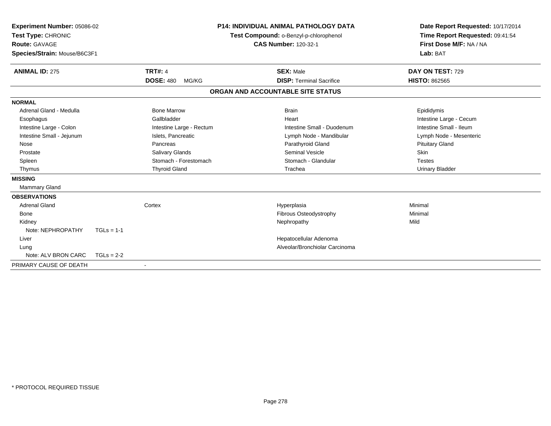| Experiment Number: 05086-02<br>Test Type: CHRONIC<br><b>Route: GAVAGE</b><br>Species/Strain: Mouse/B6C3F1 |              |                           | <b>P14: INDIVIDUAL ANIMAL PATHOLOGY DATA</b><br>Test Compound: o-Benzyl-p-chlorophenol<br><b>CAS Number: 120-32-1</b> |                                   | Date Report Requested: 10/17/2014<br>Time Report Requested: 09:41:54<br>First Dose M/F: NA / NA<br>Lab: BAT |  |
|-----------------------------------------------------------------------------------------------------------|--------------|---------------------------|-----------------------------------------------------------------------------------------------------------------------|-----------------------------------|-------------------------------------------------------------------------------------------------------------|--|
| <b>ANIMAL ID: 275</b>                                                                                     |              | <b>TRT#: 4</b>            |                                                                                                                       | <b>SEX: Male</b>                  | DAY ON TEST: 729                                                                                            |  |
|                                                                                                           |              | <b>DOSE: 480</b><br>MG/KG |                                                                                                                       | <b>DISP: Terminal Sacrifice</b>   | <b>HISTO: 862565</b>                                                                                        |  |
|                                                                                                           |              |                           |                                                                                                                       | ORGAN AND ACCOUNTABLE SITE STATUS |                                                                                                             |  |
| <b>NORMAL</b>                                                                                             |              |                           |                                                                                                                       |                                   |                                                                                                             |  |
| Adrenal Gland - Medulla                                                                                   |              | <b>Bone Marrow</b>        |                                                                                                                       | <b>Brain</b>                      | Epididymis                                                                                                  |  |
| Esophagus                                                                                                 |              | Gallbladder               |                                                                                                                       | Heart                             | Intestine Large - Cecum                                                                                     |  |
| Intestine Large - Colon                                                                                   |              | Intestine Large - Rectum  |                                                                                                                       | Intestine Small - Duodenum        | Intestine Small - Ileum                                                                                     |  |
| Intestine Small - Jejunum                                                                                 |              | Islets. Pancreatic        |                                                                                                                       | Lymph Node - Mandibular           | Lymph Node - Mesenteric                                                                                     |  |
| Nose                                                                                                      |              | Pancreas                  |                                                                                                                       | Parathyroid Gland                 | <b>Pituitary Gland</b>                                                                                      |  |
| Prostate                                                                                                  |              | Salivary Glands           |                                                                                                                       | <b>Seminal Vesicle</b>            | <b>Skin</b>                                                                                                 |  |
| Spleen                                                                                                    |              | Stomach - Forestomach     |                                                                                                                       | Stomach - Glandular               | <b>Testes</b>                                                                                               |  |
| Thymus                                                                                                    |              | <b>Thyroid Gland</b>      |                                                                                                                       | Trachea                           | <b>Urinary Bladder</b>                                                                                      |  |
| <b>MISSING</b>                                                                                            |              |                           |                                                                                                                       |                                   |                                                                                                             |  |
| Mammary Gland                                                                                             |              |                           |                                                                                                                       |                                   |                                                                                                             |  |
| <b>OBSERVATIONS</b>                                                                                       |              |                           |                                                                                                                       |                                   |                                                                                                             |  |
| <b>Adrenal Gland</b>                                                                                      |              | Cortex                    |                                                                                                                       | Hyperplasia                       | Minimal                                                                                                     |  |
| <b>Bone</b>                                                                                               |              |                           |                                                                                                                       | Fibrous Osteodystrophy            | Minimal                                                                                                     |  |
| Kidney                                                                                                    |              |                           |                                                                                                                       | Nephropathy                       | Mild                                                                                                        |  |
| Note: NEPHROPATHY                                                                                         | $TGLs = 1-1$ |                           |                                                                                                                       |                                   |                                                                                                             |  |
| Liver                                                                                                     |              |                           |                                                                                                                       | Hepatocellular Adenoma            |                                                                                                             |  |
| Lung                                                                                                      |              |                           |                                                                                                                       | Alveolar/Bronchiolar Carcinoma    |                                                                                                             |  |
| Note: ALV BRON CARC                                                                                       | $TGLs = 2-2$ |                           |                                                                                                                       |                                   |                                                                                                             |  |
| PRIMARY CAUSE OF DEATH                                                                                    |              |                           |                                                                                                                       |                                   |                                                                                                             |  |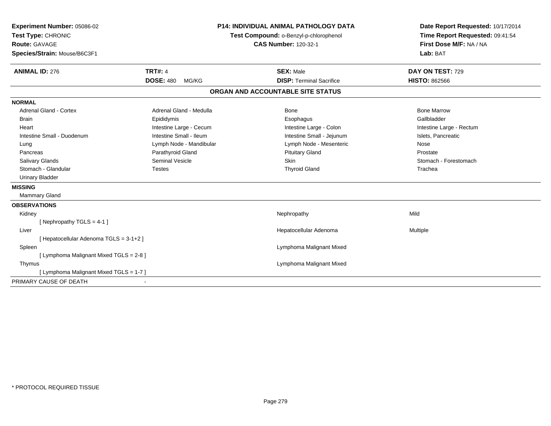| Experiment Number: 05086-02             |                           | <b>P14: INDIVIDUAL ANIMAL PATHOLOGY DATA</b> | Date Report Requested: 10/17/2014 |
|-----------------------------------------|---------------------------|----------------------------------------------|-----------------------------------|
| Test Type: CHRONIC                      |                           | Test Compound: o-Benzyl-p-chlorophenol       | Time Report Requested: 09:41:54   |
| <b>Route: GAVAGE</b>                    |                           | <b>CAS Number: 120-32-1</b>                  | First Dose M/F: NA / NA           |
| Species/Strain: Mouse/B6C3F1            |                           |                                              | Lab: BAT                          |
| <b>ANIMAL ID: 276</b>                   | <b>TRT#: 4</b>            | <b>SEX: Male</b>                             | DAY ON TEST: 729                  |
|                                         | <b>DOSE: 480</b><br>MG/KG | <b>DISP: Terminal Sacrifice</b>              | <b>HISTO: 862566</b>              |
|                                         |                           | ORGAN AND ACCOUNTABLE SITE STATUS            |                                   |
| <b>NORMAL</b>                           |                           |                                              |                                   |
| <b>Adrenal Gland - Cortex</b>           | Adrenal Gland - Medulla   | Bone                                         | <b>Bone Marrow</b>                |
| <b>Brain</b>                            | Epididymis                | Esophagus                                    | Gallbladder                       |
| Heart                                   | Intestine Large - Cecum   | Intestine Large - Colon                      | Intestine Large - Rectum          |
| Intestine Small - Duodenum              | Intestine Small - Ileum   | Intestine Small - Jejunum                    | Islets, Pancreatic                |
| Lung                                    | Lymph Node - Mandibular   | Lymph Node - Mesenteric                      | Nose                              |
| Pancreas                                | Parathyroid Gland         | <b>Pituitary Gland</b>                       | Prostate                          |
| Salivary Glands                         | <b>Seminal Vesicle</b>    | Skin                                         | Stomach - Forestomach             |
| Stomach - Glandular                     | <b>Testes</b>             | <b>Thyroid Gland</b>                         | Trachea                           |
| <b>Urinary Bladder</b>                  |                           |                                              |                                   |
| <b>MISSING</b>                          |                           |                                              |                                   |
| <b>Mammary Gland</b>                    |                           |                                              |                                   |
| <b>OBSERVATIONS</b>                     |                           |                                              |                                   |
| Kidney                                  |                           | Nephropathy                                  | Mild                              |
| [Nephropathy TGLS = 4-1]                |                           |                                              |                                   |
| Liver                                   |                           | Hepatocellular Adenoma                       | Multiple                          |
| [ Hepatocellular Adenoma TGLS = 3-1+2 ] |                           |                                              |                                   |
| Spleen                                  |                           | Lymphoma Malignant Mixed                     |                                   |
| [ Lymphoma Malignant Mixed TGLS = 2-8 ] |                           |                                              |                                   |
| Thymus                                  |                           | Lymphoma Malignant Mixed                     |                                   |
| [ Lymphoma Malignant Mixed TGLS = 1-7 ] |                           |                                              |                                   |
| PRIMARY CAUSE OF DEATH                  |                           |                                              |                                   |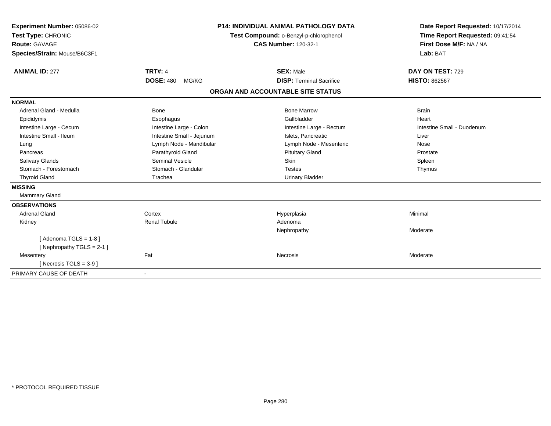| Experiment Number: 05086-02  | <b>P14: INDIVIDUAL ANIMAL PATHOLOGY DATA</b> |                                        | Date Report Requested: 10/17/2014 |
|------------------------------|----------------------------------------------|----------------------------------------|-----------------------------------|
| Test Type: CHRONIC           |                                              | Test Compound: o-Benzyl-p-chlorophenol | Time Report Requested: 09:41:54   |
| <b>Route: GAVAGE</b>         |                                              | <b>CAS Number: 120-32-1</b>            | First Dose M/F: NA / NA           |
| Species/Strain: Mouse/B6C3F1 |                                              |                                        | Lab: BAT                          |
| <b>ANIMAL ID: 277</b>        | <b>TRT#: 4</b>                               | <b>SEX: Male</b>                       | DAY ON TEST: 729                  |
|                              | <b>DOSE: 480</b><br>MG/KG                    | <b>DISP: Terminal Sacrifice</b>        | <b>HISTO: 862567</b>              |
|                              |                                              | ORGAN AND ACCOUNTABLE SITE STATUS      |                                   |
| <b>NORMAL</b>                |                                              |                                        |                                   |
| Adrenal Gland - Medulla      | <b>Bone</b>                                  | <b>Bone Marrow</b>                     | <b>Brain</b>                      |
| Epididymis                   | Esophagus                                    | Gallbladder                            | Heart                             |
| Intestine Large - Cecum      | Intestine Large - Colon                      | Intestine Large - Rectum               | Intestine Small - Duodenum        |
| Intestine Small - Ileum      | Intestine Small - Jejunum                    | Islets. Pancreatic                     | Liver                             |
| Lung                         | Lymph Node - Mandibular                      | Lymph Node - Mesenteric                | Nose                              |
| Pancreas                     | Parathyroid Gland                            | <b>Pituitary Gland</b>                 | Prostate                          |
| <b>Salivary Glands</b>       | Seminal Vesicle                              | <b>Skin</b>                            | Spleen                            |
| Stomach - Forestomach        | Stomach - Glandular                          | <b>Testes</b>                          | Thymus                            |
| <b>Thyroid Gland</b>         | Trachea                                      | <b>Urinary Bladder</b>                 |                                   |
| <b>MISSING</b>               |                                              |                                        |                                   |
| <b>Mammary Gland</b>         |                                              |                                        |                                   |
| <b>OBSERVATIONS</b>          |                                              |                                        |                                   |
| <b>Adrenal Gland</b>         | Cortex                                       | Hyperplasia                            | Minimal                           |
| Kidney                       | <b>Renal Tubule</b>                          | Adenoma                                |                                   |
|                              |                                              | Nephropathy                            | Moderate                          |
| [Adenoma TGLS = $1-8$ ]      |                                              |                                        |                                   |
| [Nephropathy TGLS = $2-1$ ]  |                                              |                                        |                                   |
| Mesentery                    | Fat                                          | <b>Necrosis</b>                        | Moderate                          |
| [ Necrosis $TGLS = 3-9$ ]    |                                              |                                        |                                   |
| PRIMARY CAUSE OF DEATH       |                                              |                                        |                                   |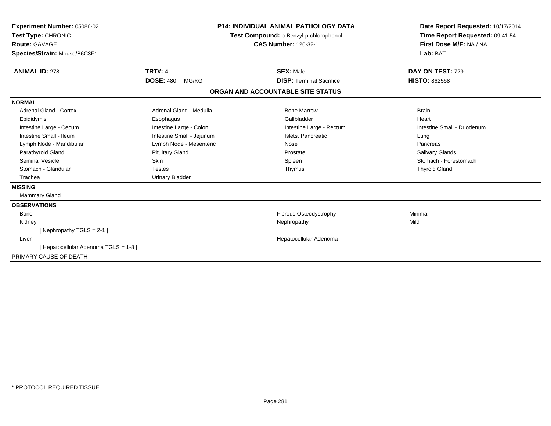| Experiment Number: 05086-02<br>Test Type: CHRONIC<br>Route: GAVAGE<br>Species/Strain: Mouse/B6C3F1 |                           | P14: INDIVIDUAL ANIMAL PATHOLOGY DATA<br>Test Compound: o-Benzyl-p-chlorophenol<br><b>CAS Number: 120-32-1</b> | Date Report Requested: 10/17/2014<br>Time Report Requested: 09:41:54<br>First Dose M/F: NA / NA<br>Lab: BAT |
|----------------------------------------------------------------------------------------------------|---------------------------|----------------------------------------------------------------------------------------------------------------|-------------------------------------------------------------------------------------------------------------|
| <b>ANIMAL ID: 278</b>                                                                              | <b>TRT#: 4</b>            | <b>SEX: Male</b>                                                                                               | DAY ON TEST: 729                                                                                            |
|                                                                                                    | <b>DOSE: 480</b><br>MG/KG | <b>DISP: Terminal Sacrifice</b>                                                                                | <b>HISTO: 862568</b>                                                                                        |
|                                                                                                    |                           | ORGAN AND ACCOUNTABLE SITE STATUS                                                                              |                                                                                                             |
| <b>NORMAL</b>                                                                                      |                           |                                                                                                                |                                                                                                             |
| <b>Adrenal Gland - Cortex</b>                                                                      | Adrenal Gland - Medulla   | <b>Bone Marrow</b>                                                                                             | <b>Brain</b>                                                                                                |
| Epididymis                                                                                         | Esophagus                 | Gallbladder                                                                                                    | Heart                                                                                                       |
| Intestine Large - Cecum                                                                            | Intestine Large - Colon   | Intestine Large - Rectum                                                                                       | Intestine Small - Duodenum                                                                                  |
| Intestine Small - Ileum                                                                            | Intestine Small - Jejunum | Islets. Pancreatic                                                                                             | Lung                                                                                                        |
| Lymph Node - Mandibular                                                                            | Lymph Node - Mesenteric   | Nose                                                                                                           | Pancreas                                                                                                    |
| Parathyroid Gland                                                                                  | <b>Pituitary Gland</b>    | Prostate                                                                                                       | <b>Salivary Glands</b>                                                                                      |
| <b>Seminal Vesicle</b>                                                                             | Skin                      | Spleen                                                                                                         | Stomach - Forestomach                                                                                       |
| Stomach - Glandular                                                                                | <b>Testes</b>             | Thymus                                                                                                         | <b>Thyroid Gland</b>                                                                                        |
| Trachea                                                                                            | <b>Urinary Bladder</b>    |                                                                                                                |                                                                                                             |
| <b>MISSING</b>                                                                                     |                           |                                                                                                                |                                                                                                             |
| <b>Mammary Gland</b>                                                                               |                           |                                                                                                                |                                                                                                             |
| <b>OBSERVATIONS</b>                                                                                |                           |                                                                                                                |                                                                                                             |
| <b>Bone</b>                                                                                        |                           | Fibrous Osteodystrophy                                                                                         | Minimal                                                                                                     |
| Kidney                                                                                             |                           | Nephropathy                                                                                                    | Mild                                                                                                        |
| [Nephropathy TGLS = 2-1]                                                                           |                           |                                                                                                                |                                                                                                             |
| Liver                                                                                              |                           | Hepatocellular Adenoma                                                                                         |                                                                                                             |
| [Hepatocellular Adenoma TGLS = 1-8]                                                                |                           |                                                                                                                |                                                                                                             |
| PRIMARY CAUSE OF DEATH                                                                             |                           |                                                                                                                |                                                                                                             |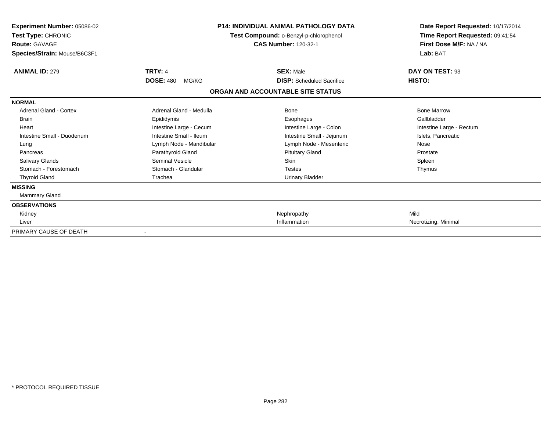| Experiment Number: 05086-02<br>Test Type: CHRONIC<br><b>Route: GAVAGE</b><br>Species/Strain: Mouse/B6C3F1 |                           | <b>P14: INDIVIDUAL ANIMAL PATHOLOGY DATA</b><br>Test Compound: o-Benzyl-p-chlorophenol<br><b>CAS Number: 120-32-1</b> | Date Report Requested: 10/17/2014<br>Time Report Requested: 09:41:54<br>First Dose M/F: NA / NA<br>Lab: BAT |
|-----------------------------------------------------------------------------------------------------------|---------------------------|-----------------------------------------------------------------------------------------------------------------------|-------------------------------------------------------------------------------------------------------------|
| <b>ANIMAL ID: 279</b>                                                                                     | <b>TRT#: 4</b>            | <b>SEX: Male</b>                                                                                                      | DAY ON TEST: 93                                                                                             |
|                                                                                                           | <b>DOSE: 480</b><br>MG/KG | <b>DISP:</b> Scheduled Sacrifice                                                                                      | HISTO:                                                                                                      |
|                                                                                                           |                           | ORGAN AND ACCOUNTABLE SITE STATUS                                                                                     |                                                                                                             |
| <b>NORMAL</b>                                                                                             |                           |                                                                                                                       |                                                                                                             |
| Adrenal Gland - Cortex                                                                                    | Adrenal Gland - Medulla   | Bone                                                                                                                  | <b>Bone Marrow</b>                                                                                          |
| <b>Brain</b>                                                                                              | Epididymis                | Esophagus                                                                                                             | Gallbladder                                                                                                 |
| Heart                                                                                                     | Intestine Large - Cecum   | Intestine Large - Colon                                                                                               | Intestine Large - Rectum                                                                                    |
| Intestine Small - Duodenum                                                                                | Intestine Small - Ileum   | Intestine Small - Jejunum                                                                                             | Islets, Pancreatic                                                                                          |
| Lung                                                                                                      | Lymph Node - Mandibular   | Lymph Node - Mesenteric                                                                                               | Nose                                                                                                        |
| Pancreas                                                                                                  | Parathyroid Gland         | <b>Pituitary Gland</b>                                                                                                | Prostate                                                                                                    |
| <b>Salivary Glands</b>                                                                                    | Seminal Vesicle           | <b>Skin</b>                                                                                                           | Spleen                                                                                                      |
| Stomach - Forestomach                                                                                     | Stomach - Glandular       | <b>Testes</b>                                                                                                         | Thymus                                                                                                      |
| <b>Thyroid Gland</b>                                                                                      | Trachea                   | <b>Urinary Bladder</b>                                                                                                |                                                                                                             |
| <b>MISSING</b>                                                                                            |                           |                                                                                                                       |                                                                                                             |
| Mammary Gland                                                                                             |                           |                                                                                                                       |                                                                                                             |
| <b>OBSERVATIONS</b>                                                                                       |                           |                                                                                                                       |                                                                                                             |
| Kidney                                                                                                    |                           | Nephropathy                                                                                                           | Mild                                                                                                        |
| Liver                                                                                                     |                           | Inflammation                                                                                                          | Necrotizing, Minimal                                                                                        |
| PRIMARY CAUSE OF DEATH                                                                                    |                           |                                                                                                                       |                                                                                                             |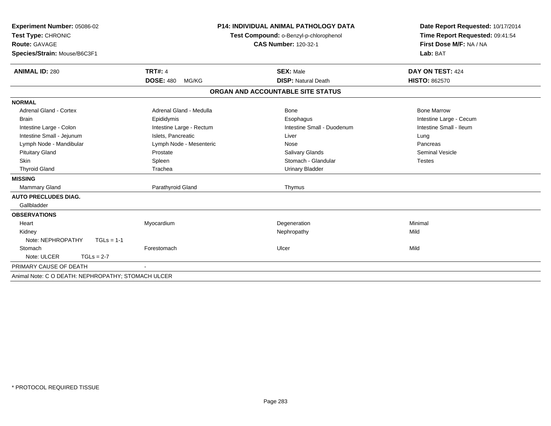| Experiment Number: 05086-02<br>Test Type: CHRONIC<br>Route: GAVAGE<br>Species/Strain: Mouse/B6C3F1 |                           | <b>P14: INDIVIDUAL ANIMAL PATHOLOGY DATA</b><br>Test Compound: o-Benzyl-p-chlorophenol<br><b>CAS Number: 120-32-1</b> | Date Report Requested: 10/17/2014<br>Time Report Requested: 09:41:54<br>First Dose M/F: NA / NA<br>Lab: BAT |
|----------------------------------------------------------------------------------------------------|---------------------------|-----------------------------------------------------------------------------------------------------------------------|-------------------------------------------------------------------------------------------------------------|
| <b>ANIMAL ID: 280</b>                                                                              | <b>TRT#: 4</b>            | <b>SEX: Male</b>                                                                                                      | DAY ON TEST: 424                                                                                            |
|                                                                                                    | <b>DOSE: 480</b><br>MG/KG | <b>DISP: Natural Death</b>                                                                                            | <b>HISTO: 862570</b>                                                                                        |
|                                                                                                    |                           | ORGAN AND ACCOUNTABLE SITE STATUS                                                                                     |                                                                                                             |
| <b>NORMAL</b>                                                                                      |                           |                                                                                                                       |                                                                                                             |
| <b>Adrenal Gland - Cortex</b>                                                                      | Adrenal Gland - Medulla   | Bone                                                                                                                  | <b>Bone Marrow</b>                                                                                          |
| <b>Brain</b>                                                                                       | Epididymis                | Esophagus                                                                                                             | Intestine Large - Cecum                                                                                     |
| Intestine Large - Colon                                                                            | Intestine Large - Rectum  | Intestine Small - Duodenum                                                                                            | Intestine Small - Ileum                                                                                     |
| Intestine Small - Jejunum                                                                          | Islets. Pancreatic        | Liver                                                                                                                 | Lung                                                                                                        |
| Lymph Node - Mandibular                                                                            | Lymph Node - Mesenteric   | Nose                                                                                                                  | Pancreas                                                                                                    |
| <b>Pituitary Gland</b>                                                                             | Prostate                  | Salivary Glands                                                                                                       | <b>Seminal Vesicle</b>                                                                                      |
| Skin                                                                                               | Spleen                    | Stomach - Glandular                                                                                                   | <b>Testes</b>                                                                                               |
| <b>Thyroid Gland</b>                                                                               | Trachea                   | <b>Urinary Bladder</b>                                                                                                |                                                                                                             |
| <b>MISSING</b>                                                                                     |                           |                                                                                                                       |                                                                                                             |
| <b>Mammary Gland</b>                                                                               | Parathyroid Gland         | Thymus                                                                                                                |                                                                                                             |
| <b>AUTO PRECLUDES DIAG.</b>                                                                        |                           |                                                                                                                       |                                                                                                             |
| Gallbladder                                                                                        |                           |                                                                                                                       |                                                                                                             |
| <b>OBSERVATIONS</b>                                                                                |                           |                                                                                                                       |                                                                                                             |
| Heart                                                                                              | Myocardium                | Degeneration                                                                                                          | Minimal                                                                                                     |
| Kidney                                                                                             |                           | Nephropathy                                                                                                           | Mild                                                                                                        |
| Note: NEPHROPATHY<br>$TGLs = 1-1$                                                                  |                           |                                                                                                                       |                                                                                                             |
| Stomach                                                                                            | Forestomach               | Ulcer                                                                                                                 | Mild                                                                                                        |
| Note: ULCER<br>$TGLs = 2-7$                                                                        |                           |                                                                                                                       |                                                                                                             |
| PRIMARY CAUSE OF DEATH                                                                             |                           |                                                                                                                       |                                                                                                             |
| Animal Note: C O DEATH: NEPHROPATHY; STOMACH ULCER                                                 |                           |                                                                                                                       |                                                                                                             |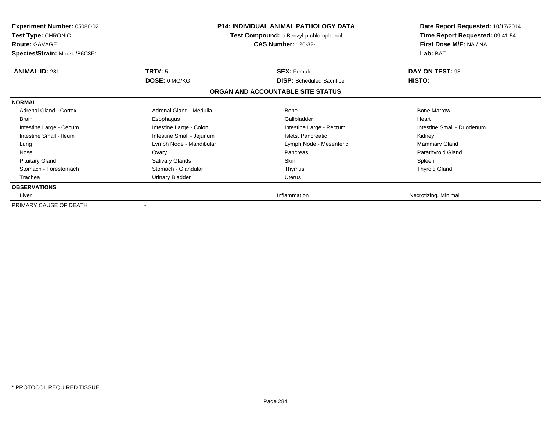| <b>Experiment Number: 05086-02</b><br><b>Test Type: CHRONIC</b><br><b>Route: GAVAGE</b><br>Species/Strain: Mouse/B6C3F1 |                           | <b>P14: INDIVIDUAL ANIMAL PATHOLOGY DATA</b><br>Test Compound: o-Benzyl-p-chlorophenol<br><b>CAS Number: 120-32-1</b> | Date Report Requested: 10/17/2014<br>Time Report Requested: 09:41:54<br>First Dose M/F: NA / NA<br>Lab: BAT |
|-------------------------------------------------------------------------------------------------------------------------|---------------------------|-----------------------------------------------------------------------------------------------------------------------|-------------------------------------------------------------------------------------------------------------|
| <b>ANIMAL ID: 281</b>                                                                                                   | TRT#: 5                   | <b>SEX: Female</b>                                                                                                    | DAY ON TEST: 93                                                                                             |
|                                                                                                                         | DOSE: 0 MG/KG             | <b>DISP:</b> Scheduled Sacrifice                                                                                      | HISTO:                                                                                                      |
|                                                                                                                         |                           | ORGAN AND ACCOUNTABLE SITE STATUS                                                                                     |                                                                                                             |
| <b>NORMAL</b>                                                                                                           |                           |                                                                                                                       |                                                                                                             |
| Adrenal Gland - Cortex                                                                                                  | Adrenal Gland - Medulla   | Bone                                                                                                                  | <b>Bone Marrow</b>                                                                                          |
| <b>Brain</b>                                                                                                            | Esophagus                 | Gallbladder                                                                                                           | Heart                                                                                                       |
| Intestine Large - Cecum                                                                                                 | Intestine Large - Colon   | Intestine Large - Rectum                                                                                              | Intestine Small - Duodenum                                                                                  |
| Intestine Small - Ileum                                                                                                 | Intestine Small - Jejunum | Islets, Pancreatic                                                                                                    | Kidney                                                                                                      |
| Lung                                                                                                                    | Lymph Node - Mandibular   | Lymph Node - Mesenteric                                                                                               | <b>Mammary Gland</b>                                                                                        |
| Nose                                                                                                                    | Ovary                     | Pancreas                                                                                                              | Parathyroid Gland                                                                                           |
| <b>Pituitary Gland</b>                                                                                                  | Salivary Glands           | <b>Skin</b>                                                                                                           | Spleen                                                                                                      |
| Stomach - Forestomach                                                                                                   | Stomach - Glandular       | Thymus                                                                                                                | <b>Thyroid Gland</b>                                                                                        |
| Trachea                                                                                                                 | <b>Urinary Bladder</b>    | Uterus                                                                                                                |                                                                                                             |
| <b>OBSERVATIONS</b>                                                                                                     |                           |                                                                                                                       |                                                                                                             |
| Liver                                                                                                                   |                           | Inflammation                                                                                                          | Necrotizing, Minimal                                                                                        |
| PRIMARY CAUSE OF DEATH                                                                                                  |                           |                                                                                                                       |                                                                                                             |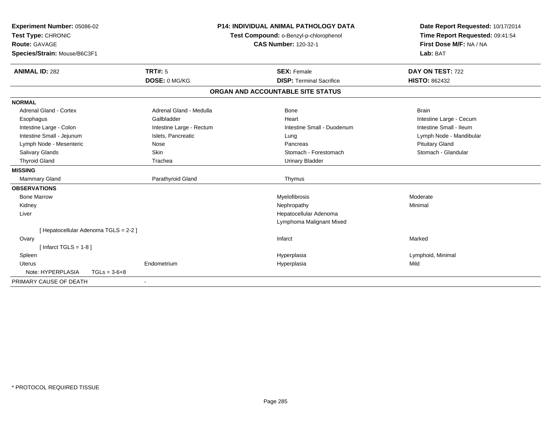| Experiment Number: 05086-02<br>Test Type: CHRONIC | <b>P14: INDIVIDUAL ANIMAL PATHOLOGY DATA</b><br>Test Compound: o-Benzyl-p-chlorophenol |                                   | Date Report Requested: 10/17/2014<br>Time Report Requested: 09:41:54 |
|---------------------------------------------------|----------------------------------------------------------------------------------------|-----------------------------------|----------------------------------------------------------------------|
| <b>Route: GAVAGE</b>                              |                                                                                        | <b>CAS Number: 120-32-1</b>       | First Dose M/F: NA / NA                                              |
| Species/Strain: Mouse/B6C3F1                      |                                                                                        |                                   | Lab: BAT                                                             |
| <b>ANIMAL ID: 282</b>                             | TRT#: 5                                                                                | <b>SEX: Female</b>                | DAY ON TEST: 722                                                     |
|                                                   | DOSE: 0 MG/KG                                                                          | <b>DISP: Terminal Sacrifice</b>   | <b>HISTO: 862432</b>                                                 |
|                                                   |                                                                                        | ORGAN AND ACCOUNTABLE SITE STATUS |                                                                      |
| <b>NORMAL</b>                                     |                                                                                        |                                   |                                                                      |
| <b>Adrenal Gland - Cortex</b>                     | Adrenal Gland - Medulla                                                                | <b>Bone</b>                       | <b>Brain</b>                                                         |
| Esophagus                                         | Gallbladder                                                                            | Heart                             | Intestine Large - Cecum                                              |
| Intestine Large - Colon                           | Intestine Large - Rectum                                                               | Intestine Small - Duodenum        | Intestine Small - Ileum                                              |
| Intestine Small - Jejunum                         | Islets, Pancreatic                                                                     | Lung                              | Lymph Node - Mandibular                                              |
| Lymph Node - Mesenteric                           | Nose                                                                                   | Pancreas                          | <b>Pituitary Gland</b>                                               |
| Salivary Glands                                   | Skin                                                                                   | Stomach - Forestomach             | Stomach - Glandular                                                  |
| <b>Thyroid Gland</b>                              | Trachea                                                                                | <b>Urinary Bladder</b>            |                                                                      |
| <b>MISSING</b>                                    |                                                                                        |                                   |                                                                      |
| <b>Mammary Gland</b>                              | Parathyroid Gland                                                                      | Thymus                            |                                                                      |
| <b>OBSERVATIONS</b>                               |                                                                                        |                                   |                                                                      |
| <b>Bone Marrow</b>                                |                                                                                        | Myelofibrosis                     | Moderate                                                             |
| Kidney                                            |                                                                                        | Nephropathy                       | Minimal                                                              |
| Liver                                             |                                                                                        | Hepatocellular Adenoma            |                                                                      |
|                                                   |                                                                                        | Lymphoma Malignant Mixed          |                                                                      |
| [ Hepatocellular Adenoma TGLS = 2-2 ]             |                                                                                        |                                   |                                                                      |
| Ovary                                             |                                                                                        | Infarct                           | Marked                                                               |
| [Infarct TGLS = $1-8$ ]                           |                                                                                        |                                   |                                                                      |
| Spleen                                            |                                                                                        | Hyperplasia                       | Lymphoid, Minimal                                                    |
| <b>Uterus</b>                                     | Endometrium                                                                            | Hyperplasia                       | Mild                                                                 |
| Note: HYPERPLASIA<br>$TGLs = 3-6+8$               |                                                                                        |                                   |                                                                      |
| PRIMARY CAUSE OF DEATH                            |                                                                                        |                                   |                                                                      |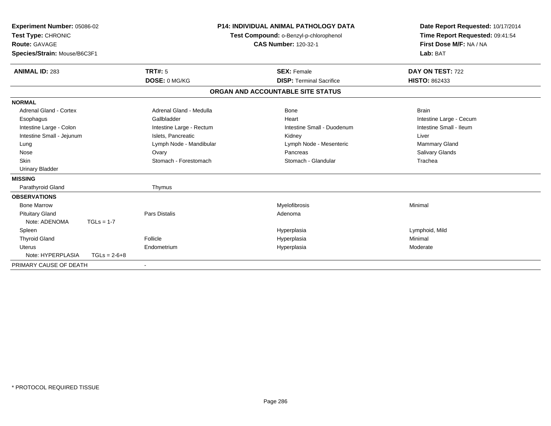| Experiment Number: 05086-02<br>Test Type: CHRONIC<br><b>Route: GAVAGE</b><br>Species/Strain: Mouse/B6C3F1 |                |                          | <b>P14: INDIVIDUAL ANIMAL PATHOLOGY DATA</b><br>Test Compound: o-Benzyl-p-chlorophenol<br><b>CAS Number: 120-32-1</b> |                                   | Date Report Requested: 10/17/2014<br>Time Report Requested: 09:41:54<br>First Dose M/F: NA / NA<br>Lab: BAT |  |
|-----------------------------------------------------------------------------------------------------------|----------------|--------------------------|-----------------------------------------------------------------------------------------------------------------------|-----------------------------------|-------------------------------------------------------------------------------------------------------------|--|
| <b>ANIMAL ID: 283</b>                                                                                     |                | TRT#: 5                  |                                                                                                                       | <b>SEX: Female</b>                | DAY ON TEST: 722                                                                                            |  |
|                                                                                                           |                | DOSE: 0 MG/KG            |                                                                                                                       | <b>DISP: Terminal Sacrifice</b>   | <b>HISTO: 862433</b>                                                                                        |  |
|                                                                                                           |                |                          |                                                                                                                       | ORGAN AND ACCOUNTABLE SITE STATUS |                                                                                                             |  |
| <b>NORMAL</b>                                                                                             |                |                          |                                                                                                                       |                                   |                                                                                                             |  |
| Adrenal Gland - Cortex                                                                                    |                | Adrenal Gland - Medulla  |                                                                                                                       | Bone                              | <b>Brain</b>                                                                                                |  |
| Esophagus                                                                                                 |                | Gallbladder              |                                                                                                                       | Heart                             | Intestine Large - Cecum                                                                                     |  |
| Intestine Large - Colon                                                                                   |                | Intestine Large - Rectum |                                                                                                                       | Intestine Small - Duodenum        | Intestine Small - Ileum                                                                                     |  |
| Intestine Small - Jejunum                                                                                 |                | Islets, Pancreatic       |                                                                                                                       | Kidney                            | Liver                                                                                                       |  |
| Lung                                                                                                      |                | Lymph Node - Mandibular  |                                                                                                                       | Lymph Node - Mesenteric           | Mammary Gland                                                                                               |  |
| Nose                                                                                                      |                | Ovary                    |                                                                                                                       | Pancreas                          | Salivary Glands                                                                                             |  |
| Skin                                                                                                      |                | Stomach - Forestomach    |                                                                                                                       | Stomach - Glandular               | Trachea                                                                                                     |  |
| <b>Urinary Bladder</b>                                                                                    |                |                          |                                                                                                                       |                                   |                                                                                                             |  |
| <b>MISSING</b>                                                                                            |                |                          |                                                                                                                       |                                   |                                                                                                             |  |
| Parathyroid Gland                                                                                         |                | Thymus                   |                                                                                                                       |                                   |                                                                                                             |  |
| <b>OBSERVATIONS</b>                                                                                       |                |                          |                                                                                                                       |                                   |                                                                                                             |  |
| <b>Bone Marrow</b>                                                                                        |                |                          |                                                                                                                       | Myelofibrosis                     | Minimal                                                                                                     |  |
| <b>Pituitary Gland</b>                                                                                    |                | <b>Pars Distalis</b>     |                                                                                                                       | Adenoma                           |                                                                                                             |  |
| Note: ADENOMA                                                                                             | $TGLs = 1-7$   |                          |                                                                                                                       |                                   |                                                                                                             |  |
| Spleen                                                                                                    |                |                          |                                                                                                                       | Hyperplasia                       | Lymphoid, Mild                                                                                              |  |
| <b>Thyroid Gland</b>                                                                                      |                | Follicle                 |                                                                                                                       | Hyperplasia                       | Minimal                                                                                                     |  |
| <b>Uterus</b>                                                                                             |                | Endometrium              |                                                                                                                       | Hyperplasia                       | Moderate                                                                                                    |  |
| Note: HYPERPLASIA                                                                                         | $TGLs = 2-6+8$ |                          |                                                                                                                       |                                   |                                                                                                             |  |
| PRIMARY CAUSE OF DEATH                                                                                    |                |                          |                                                                                                                       |                                   |                                                                                                             |  |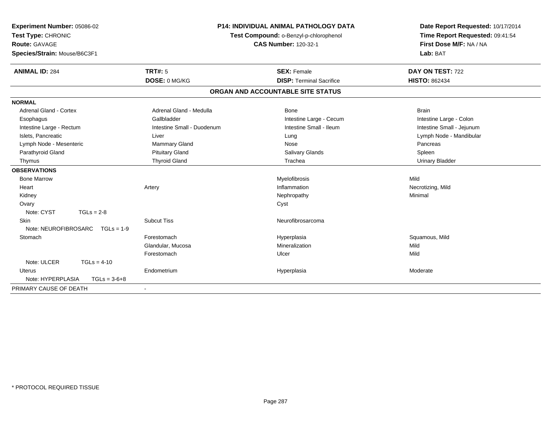| Experiment Number: 05086-02<br>Test Type: CHRONIC<br>Route: GAVAGE<br>Species/Strain: Mouse/B6C3F1 | P14: INDIVIDUAL ANIMAL PATHOLOGY DATA<br>Test Compound: o-Benzyl-p-chlorophenol<br><b>CAS Number: 120-32-1</b> |                                   | Date Report Requested: 10/17/2014<br>Time Report Requested: 09:41:54<br>First Dose M/F: NA / NA<br>Lab: BAT |
|----------------------------------------------------------------------------------------------------|----------------------------------------------------------------------------------------------------------------|-----------------------------------|-------------------------------------------------------------------------------------------------------------|
| <b>ANIMAL ID: 284</b>                                                                              | <b>TRT#: 5</b>                                                                                                 | <b>SEX: Female</b>                | DAY ON TEST: 722                                                                                            |
|                                                                                                    | DOSE: 0 MG/KG                                                                                                  | <b>DISP: Terminal Sacrifice</b>   | <b>HISTO: 862434</b>                                                                                        |
|                                                                                                    |                                                                                                                | ORGAN AND ACCOUNTABLE SITE STATUS |                                                                                                             |
| <b>NORMAL</b>                                                                                      |                                                                                                                |                                   |                                                                                                             |
| Adrenal Gland - Cortex                                                                             | Adrenal Gland - Medulla                                                                                        | <b>Bone</b>                       | <b>Brain</b>                                                                                                |
| Esophagus                                                                                          | Gallbladder                                                                                                    | Intestine Large - Cecum           | Intestine Large - Colon                                                                                     |
| Intestine Large - Rectum                                                                           | Intestine Small - Duodenum                                                                                     | Intestine Small - Ileum           | Intestine Small - Jejunum                                                                                   |
| Islets, Pancreatic                                                                                 | Liver                                                                                                          | Lung                              | Lymph Node - Mandibular                                                                                     |
| Lymph Node - Mesenteric                                                                            | <b>Mammary Gland</b>                                                                                           | Nose                              | Pancreas                                                                                                    |
| Parathyroid Gland                                                                                  | <b>Pituitary Gland</b>                                                                                         | <b>Salivary Glands</b>            | Spleen                                                                                                      |
| Thymus                                                                                             | <b>Thyroid Gland</b>                                                                                           | Trachea                           | <b>Urinary Bladder</b>                                                                                      |
| <b>OBSERVATIONS</b>                                                                                |                                                                                                                |                                   |                                                                                                             |
| <b>Bone Marrow</b>                                                                                 |                                                                                                                | Myelofibrosis                     | Mild                                                                                                        |
| Heart                                                                                              | Artery                                                                                                         | Inflammation                      | Necrotizing, Mild                                                                                           |
| Kidney                                                                                             |                                                                                                                | Nephropathy                       | Minimal                                                                                                     |
| Ovary                                                                                              |                                                                                                                | Cyst                              |                                                                                                             |
| Note: CYST<br>$TGLs = 2-8$                                                                         |                                                                                                                |                                   |                                                                                                             |
| Skin                                                                                               | <b>Subcut Tiss</b>                                                                                             | Neurofibrosarcoma                 |                                                                                                             |
| Note: NEUROFIBROSARC<br>$TGLs = 1-9$                                                               |                                                                                                                |                                   |                                                                                                             |
| Stomach                                                                                            | Forestomach                                                                                                    | Hyperplasia                       | Squamous, Mild                                                                                              |
|                                                                                                    | Glandular, Mucosa                                                                                              | Mineralization                    | Mild                                                                                                        |
|                                                                                                    | Forestomach                                                                                                    | Ulcer                             | Mild                                                                                                        |
| Note: ULCER<br>$TGLs = 4-10$                                                                       |                                                                                                                |                                   |                                                                                                             |
| Uterus                                                                                             | Endometrium                                                                                                    | Hyperplasia                       | Moderate                                                                                                    |
| Note: HYPERPLASIA<br>$TGLs = 3-6+8$                                                                |                                                                                                                |                                   |                                                                                                             |
| PRIMARY CAUSE OF DEATH                                                                             |                                                                                                                |                                   |                                                                                                             |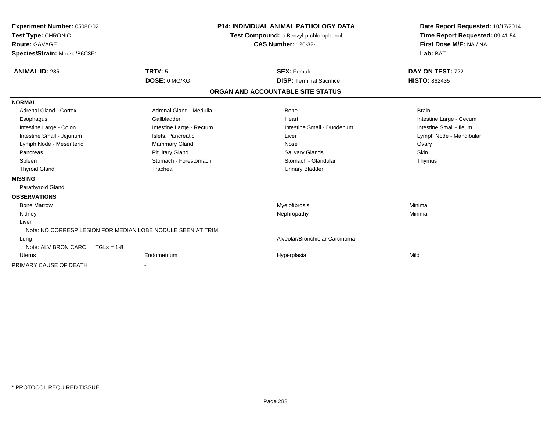| Experiment Number: 05086-02<br>Test Type: CHRONIC<br><b>Route: GAVAGE</b><br>Species/Strain: Mouse/B6C3F1 |                                                             | <b>P14: INDIVIDUAL ANIMAL PATHOLOGY DATA</b><br>Test Compound: o-Benzyl-p-chlorophenol<br><b>CAS Number: 120-32-1</b> | Date Report Requested: 10/17/2014<br>Time Report Requested: 09:41:54<br>First Dose M/F: NA / NA<br>Lab: BAT |
|-----------------------------------------------------------------------------------------------------------|-------------------------------------------------------------|-----------------------------------------------------------------------------------------------------------------------|-------------------------------------------------------------------------------------------------------------|
| <b>ANIMAL ID: 285</b>                                                                                     | <b>TRT#: 5</b><br>DOSE: 0 MG/KG                             | <b>SEX: Female</b><br><b>DISP: Terminal Sacrifice</b>                                                                 | DAY ON TEST: 722<br><b>HISTO: 862435</b>                                                                    |
|                                                                                                           |                                                             |                                                                                                                       |                                                                                                             |
|                                                                                                           |                                                             | ORGAN AND ACCOUNTABLE SITE STATUS                                                                                     |                                                                                                             |
| <b>NORMAL</b>                                                                                             |                                                             |                                                                                                                       |                                                                                                             |
| Adrenal Gland - Cortex                                                                                    | Adrenal Gland - Medulla                                     | Bone                                                                                                                  | <b>Brain</b>                                                                                                |
| Esophagus                                                                                                 | Gallbladder                                                 | Heart                                                                                                                 | Intestine Large - Cecum                                                                                     |
| Intestine Large - Colon                                                                                   | Intestine Large - Rectum                                    | Intestine Small - Duodenum                                                                                            | Intestine Small - Ileum                                                                                     |
| Intestine Small - Jejunum                                                                                 | Islets, Pancreatic                                          | Liver                                                                                                                 | Lymph Node - Mandibular                                                                                     |
| Lymph Node - Mesenteric                                                                                   | Mammary Gland                                               | Nose                                                                                                                  | Ovary                                                                                                       |
| Pancreas                                                                                                  | <b>Pituitary Gland</b>                                      | Salivary Glands                                                                                                       | Skin                                                                                                        |
| Spleen                                                                                                    | Stomach - Forestomach                                       | Stomach - Glandular                                                                                                   | Thymus                                                                                                      |
| <b>Thyroid Gland</b>                                                                                      | Trachea                                                     | <b>Urinary Bladder</b>                                                                                                |                                                                                                             |
| <b>MISSING</b>                                                                                            |                                                             |                                                                                                                       |                                                                                                             |
| Parathyroid Gland                                                                                         |                                                             |                                                                                                                       |                                                                                                             |
| <b>OBSERVATIONS</b>                                                                                       |                                                             |                                                                                                                       |                                                                                                             |
| <b>Bone Marrow</b>                                                                                        |                                                             | Myelofibrosis                                                                                                         | Minimal                                                                                                     |
| Kidney                                                                                                    |                                                             | Nephropathy                                                                                                           | Minimal                                                                                                     |
| Liver                                                                                                     |                                                             |                                                                                                                       |                                                                                                             |
|                                                                                                           | Note: NO CORRESP LESION FOR MEDIAN LOBE NODULE SEEN AT TRIM |                                                                                                                       |                                                                                                             |
| Lung                                                                                                      |                                                             | Alveolar/Bronchiolar Carcinoma                                                                                        |                                                                                                             |
| Note: ALV BRON CARC                                                                                       | $TGLs = 1-8$                                                |                                                                                                                       |                                                                                                             |
| <b>Uterus</b>                                                                                             | Endometrium                                                 | Hyperplasia                                                                                                           | Mild                                                                                                        |
| PRIMARY CAUSE OF DEATH                                                                                    |                                                             |                                                                                                                       |                                                                                                             |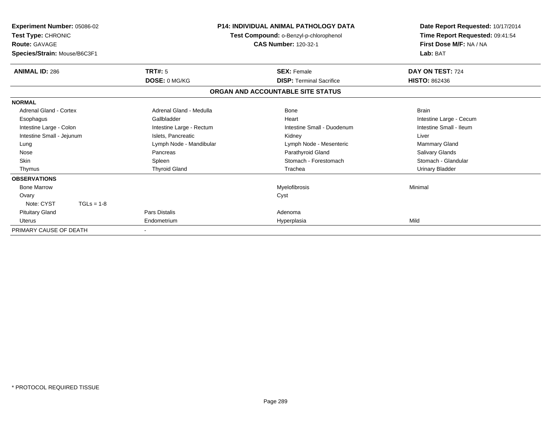| Experiment Number: 05086-02<br>Test Type: CHRONIC<br><b>Route: GAVAGE</b><br>Species/Strain: Mouse/B6C3F1 |                          | <b>P14: INDIVIDUAL ANIMAL PATHOLOGY DATA</b><br>Test Compound: o-Benzyl-p-chlorophenol<br><b>CAS Number: 120-32-1</b> | Date Report Requested: 10/17/2014<br>Time Report Requested: 09:41:54<br>First Dose M/F: NA / NA<br>Lab: BAT |  |  |
|-----------------------------------------------------------------------------------------------------------|--------------------------|-----------------------------------------------------------------------------------------------------------------------|-------------------------------------------------------------------------------------------------------------|--|--|
| <b>ANIMAL ID: 286</b>                                                                                     | TRT#: 5                  | <b>SEX: Female</b>                                                                                                    | DAY ON TEST: 724                                                                                            |  |  |
|                                                                                                           | DOSE: 0 MG/KG            | <b>DISP: Terminal Sacrifice</b>                                                                                       | <b>HISTO: 862436</b>                                                                                        |  |  |
|                                                                                                           |                          | ORGAN AND ACCOUNTABLE SITE STATUS                                                                                     |                                                                                                             |  |  |
| <b>NORMAL</b>                                                                                             |                          |                                                                                                                       |                                                                                                             |  |  |
| Adrenal Gland - Cortex                                                                                    | Adrenal Gland - Medulla  | Bone                                                                                                                  | <b>Brain</b>                                                                                                |  |  |
| Esophagus                                                                                                 | Gallbladder              | Heart                                                                                                                 | Intestine Large - Cecum                                                                                     |  |  |
| Intestine Large - Colon                                                                                   | Intestine Large - Rectum | Intestine Small - Duodenum                                                                                            | Intestine Small - Ileum                                                                                     |  |  |
| Intestine Small - Jejunum                                                                                 | Islets, Pancreatic       | Kidney                                                                                                                | Liver                                                                                                       |  |  |
| Lung                                                                                                      | Lymph Node - Mandibular  | Lymph Node - Mesenteric                                                                                               | <b>Mammary Gland</b>                                                                                        |  |  |
| Nose                                                                                                      | Pancreas                 | Parathyroid Gland                                                                                                     | <b>Salivary Glands</b>                                                                                      |  |  |
| <b>Skin</b>                                                                                               | Spleen                   | Stomach - Forestomach                                                                                                 | Stomach - Glandular                                                                                         |  |  |
| Thymus                                                                                                    | <b>Thyroid Gland</b>     | Trachea                                                                                                               | Urinary Bladder                                                                                             |  |  |
| <b>OBSERVATIONS</b>                                                                                       |                          |                                                                                                                       |                                                                                                             |  |  |
| <b>Bone Marrow</b>                                                                                        |                          | Myelofibrosis                                                                                                         | Minimal                                                                                                     |  |  |
| Ovary                                                                                                     |                          | Cyst                                                                                                                  |                                                                                                             |  |  |
| Note: CYST<br>$TGLs = 1-8$                                                                                |                          |                                                                                                                       |                                                                                                             |  |  |
| <b>Pituitary Gland</b>                                                                                    | Pars Distalis            | Adenoma                                                                                                               |                                                                                                             |  |  |
| <b>Uterus</b>                                                                                             | Endometrium              | Hyperplasia                                                                                                           | Mild                                                                                                        |  |  |
| PRIMARY CAUSE OF DEATH                                                                                    |                          |                                                                                                                       |                                                                                                             |  |  |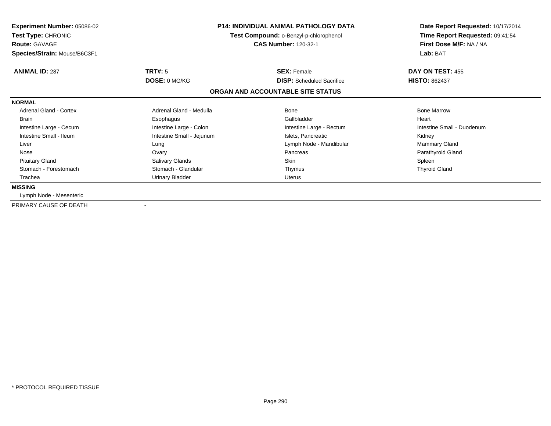| Experiment Number: 05086-02<br>Test Type: CHRONIC<br><b>Route: GAVAGE</b><br>Species/Strain: Mouse/B6C3F1 |                           | <b>P14: INDIVIDUAL ANIMAL PATHOLOGY DATA</b><br>Test Compound: o-Benzyl-p-chlorophenol<br><b>CAS Number: 120-32-1</b> | Date Report Requested: 10/17/2014<br>Time Report Requested: 09:41:54<br>First Dose M/F: NA / NA<br>Lab: BAT |
|-----------------------------------------------------------------------------------------------------------|---------------------------|-----------------------------------------------------------------------------------------------------------------------|-------------------------------------------------------------------------------------------------------------|
| <b>ANIMAL ID: 287</b>                                                                                     | TRT#: 5                   | <b>SEX: Female</b>                                                                                                    | DAY ON TEST: 455                                                                                            |
|                                                                                                           | DOSE: 0 MG/KG             | <b>DISP:</b> Scheduled Sacrifice                                                                                      | <b>HISTO: 862437</b>                                                                                        |
|                                                                                                           |                           | ORGAN AND ACCOUNTABLE SITE STATUS                                                                                     |                                                                                                             |
| <b>NORMAL</b>                                                                                             |                           |                                                                                                                       |                                                                                                             |
| <b>Adrenal Gland - Cortex</b>                                                                             | Adrenal Gland - Medulla   | <b>Bone</b>                                                                                                           | <b>Bone Marrow</b>                                                                                          |
| <b>Brain</b>                                                                                              | Esophagus                 | Gallbladder                                                                                                           | Heart                                                                                                       |
| Intestine Large - Cecum                                                                                   | Intestine Large - Colon   | Intestine Large - Rectum                                                                                              | Intestine Small - Duodenum                                                                                  |
| Intestine Small - Ileum                                                                                   | Intestine Small - Jejunum | Islets, Pancreatic                                                                                                    | Kidney                                                                                                      |
| Liver                                                                                                     | Lung                      | Lymph Node - Mandibular                                                                                               | <b>Mammary Gland</b>                                                                                        |
| Nose                                                                                                      | Ovary                     | Pancreas                                                                                                              | Parathyroid Gland                                                                                           |
| <b>Pituitary Gland</b>                                                                                    | Salivary Glands           | <b>Skin</b>                                                                                                           | Spleen                                                                                                      |
| Stomach - Forestomach                                                                                     | Stomach - Glandular       | Thymus                                                                                                                | <b>Thyroid Gland</b>                                                                                        |
| Trachea                                                                                                   | <b>Urinary Bladder</b>    | Uterus                                                                                                                |                                                                                                             |
| <b>MISSING</b>                                                                                            |                           |                                                                                                                       |                                                                                                             |
| Lymph Node - Mesenteric                                                                                   |                           |                                                                                                                       |                                                                                                             |
| PRIMARY CAUSE OF DEATH                                                                                    |                           |                                                                                                                       |                                                                                                             |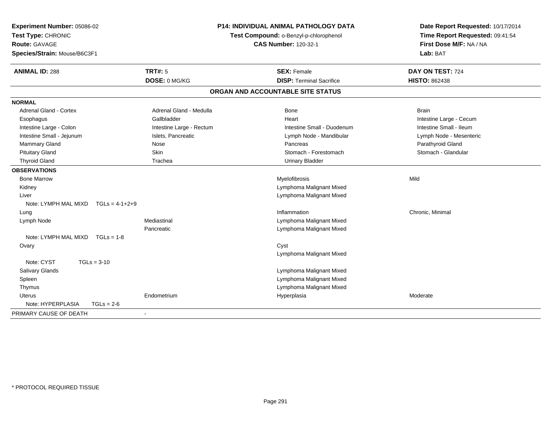| Experiment Number: 05086-02<br>Test Type: CHRONIC |                          | <b>P14: INDIVIDUAL ANIMAL PATHOLOGY DATA</b><br>Test Compound: o-Benzyl-p-chlorophenol | Date Report Requested: 10/17/2014<br>Time Report Requested: 09:41:54 |
|---------------------------------------------------|--------------------------|----------------------------------------------------------------------------------------|----------------------------------------------------------------------|
| <b>Route: GAVAGE</b>                              |                          | <b>CAS Number: 120-32-1</b>                                                            | First Dose M/F: NA / NA                                              |
| Species/Strain: Mouse/B6C3F1                      |                          |                                                                                        | Lab: BAT                                                             |
| <b>ANIMAL ID: 288</b>                             | <b>TRT#: 5</b>           | <b>SEX: Female</b>                                                                     | DAY ON TEST: 724                                                     |
|                                                   | DOSE: 0 MG/KG            | <b>DISP: Terminal Sacrifice</b>                                                        | <b>HISTO: 862438</b>                                                 |
|                                                   |                          | ORGAN AND ACCOUNTABLE SITE STATUS                                                      |                                                                      |
| <b>NORMAL</b>                                     |                          |                                                                                        |                                                                      |
| <b>Adrenal Gland - Cortex</b>                     | Adrenal Gland - Medulla  | Bone                                                                                   | <b>Brain</b>                                                         |
| Esophagus                                         | Gallbladder              | Heart                                                                                  | Intestine Large - Cecum                                              |
| Intestine Large - Colon                           | Intestine Large - Rectum | Intestine Small - Duodenum                                                             | Intestine Small - Ileum                                              |
| Intestine Small - Jejunum                         | Islets, Pancreatic       | Lymph Node - Mandibular                                                                | Lymph Node - Mesenteric                                              |
| Mammary Gland                                     | Nose                     | Pancreas                                                                               | Parathyroid Gland                                                    |
| <b>Pituitary Gland</b>                            | Skin                     | Stomach - Forestomach                                                                  | Stomach - Glandular                                                  |
| <b>Thyroid Gland</b>                              | Trachea                  | <b>Urinary Bladder</b>                                                                 |                                                                      |
| <b>OBSERVATIONS</b>                               |                          |                                                                                        |                                                                      |
| <b>Bone Marrow</b>                                |                          | Myelofibrosis                                                                          | Mild                                                                 |
| Kidney                                            |                          | Lymphoma Malignant Mixed                                                               |                                                                      |
| Liver                                             |                          | Lymphoma Malignant Mixed                                                               |                                                                      |
| Note: LYMPH MAL MIXD<br>$TGLs = 4-1+2+9$          |                          |                                                                                        |                                                                      |
| Lung                                              |                          | Inflammation                                                                           | Chronic, Minimal                                                     |
| Lymph Node                                        | Mediastinal              | Lymphoma Malignant Mixed                                                               |                                                                      |
|                                                   | Pancreatic               | Lymphoma Malignant Mixed                                                               |                                                                      |
| Note: LYMPH MAL MIXD<br>$TGLs = 1-8$              |                          |                                                                                        |                                                                      |
| Ovary                                             |                          | Cyst                                                                                   |                                                                      |
|                                                   |                          | Lymphoma Malignant Mixed                                                               |                                                                      |
| Note: CYST<br>$TGLs = 3-10$                       |                          |                                                                                        |                                                                      |
| <b>Salivary Glands</b>                            |                          | Lymphoma Malignant Mixed                                                               |                                                                      |
| Spleen                                            |                          | Lymphoma Malignant Mixed                                                               |                                                                      |
| Thymus                                            |                          | Lymphoma Malignant Mixed                                                               |                                                                      |
| <b>Uterus</b>                                     | Endometrium              | Hyperplasia                                                                            | Moderate                                                             |
| Note: HYPERPLASIA<br>$TGLs = 2-6$                 |                          |                                                                                        |                                                                      |
| PRIMARY CAUSE OF DEATH                            |                          |                                                                                        |                                                                      |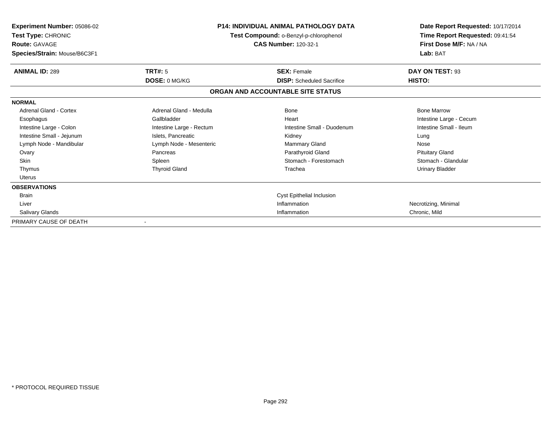| <b>Experiment Number: 05086-02</b><br>Test Type: CHRONIC<br><b>Route: GAVAGE</b><br>Species/Strain: Mouse/B6C3F1 |                          | <b>P14: INDIVIDUAL ANIMAL PATHOLOGY DATA</b><br>Test Compound: o-Benzyl-p-chlorophenol<br><b>CAS Number: 120-32-1</b> | Date Report Requested: 10/17/2014<br>Time Report Requested: 09:41:54<br>First Dose M/F: NA / NA<br>Lab: BAT |
|------------------------------------------------------------------------------------------------------------------|--------------------------|-----------------------------------------------------------------------------------------------------------------------|-------------------------------------------------------------------------------------------------------------|
| <b>ANIMAL ID: 289</b>                                                                                            | <b>TRT#: 5</b>           | <b>SEX: Female</b>                                                                                                    | DAY ON TEST: 93                                                                                             |
|                                                                                                                  | DOSE: 0 MG/KG            | <b>DISP:</b> Scheduled Sacrifice                                                                                      | HISTO:                                                                                                      |
|                                                                                                                  |                          | ORGAN AND ACCOUNTABLE SITE STATUS                                                                                     |                                                                                                             |
| <b>NORMAL</b>                                                                                                    |                          |                                                                                                                       |                                                                                                             |
| <b>Adrenal Gland - Cortex</b>                                                                                    | Adrenal Gland - Medulla  | Bone                                                                                                                  | <b>Bone Marrow</b>                                                                                          |
| Esophagus                                                                                                        | Gallbladder              | Heart                                                                                                                 | Intestine Large - Cecum                                                                                     |
| Intestine Large - Colon                                                                                          | Intestine Large - Rectum | Intestine Small - Duodenum                                                                                            | Intestine Small - Ileum                                                                                     |
| Intestine Small - Jejunum                                                                                        | Islets, Pancreatic       | Kidney                                                                                                                | Lung                                                                                                        |
| Lymph Node - Mandibular                                                                                          | Lymph Node - Mesenteric  | Mammary Gland                                                                                                         | Nose                                                                                                        |
| Ovary                                                                                                            | Pancreas                 | Parathyroid Gland                                                                                                     | <b>Pituitary Gland</b>                                                                                      |
| <b>Skin</b>                                                                                                      | Spleen                   | Stomach - Forestomach                                                                                                 | Stomach - Glandular                                                                                         |
| Thymus                                                                                                           | <b>Thyroid Gland</b>     | Trachea                                                                                                               | <b>Urinary Bladder</b>                                                                                      |
| Uterus                                                                                                           |                          |                                                                                                                       |                                                                                                             |
| <b>OBSERVATIONS</b>                                                                                              |                          |                                                                                                                       |                                                                                                             |
| <b>Brain</b>                                                                                                     |                          | Cyst Epithelial Inclusion                                                                                             |                                                                                                             |
| Liver                                                                                                            |                          | Inflammation                                                                                                          | Necrotizing, Minimal                                                                                        |
| Salivary Glands                                                                                                  |                          | Inflammation                                                                                                          | Chronic, Mild                                                                                               |
| PRIMARY CAUSE OF DEATH                                                                                           |                          |                                                                                                                       |                                                                                                             |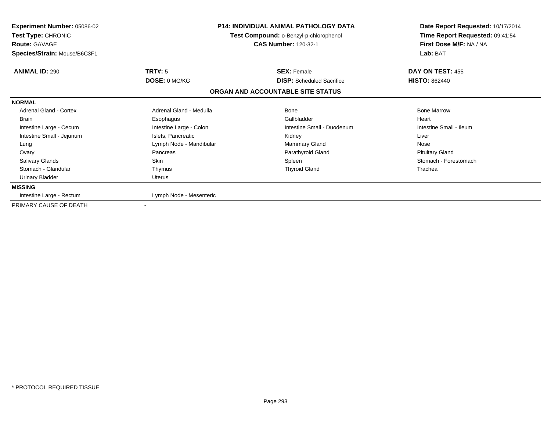| <b>Experiment Number: 05086-02</b><br>Test Type: CHRONIC<br><b>Route: GAVAGE</b><br>Species/Strain: Mouse/B6C3F1 |                                                   | <b>P14: INDIVIDUAL ANIMAL PATHOLOGY DATA</b><br>Test Compound: o-Benzyl-p-chlorophenol<br><b>CAS Number: 120-32-1</b> | Date Report Requested: 10/17/2014<br>Time Report Requested: 09:41:54<br>First Dose M/F: NA / NA<br>Lab: BAT |
|------------------------------------------------------------------------------------------------------------------|---------------------------------------------------|-----------------------------------------------------------------------------------------------------------------------|-------------------------------------------------------------------------------------------------------------|
| <b>ANIMAL ID: 290</b>                                                                                            | <b>TRT#: 5</b>                                    | <b>SEX: Female</b>                                                                                                    | DAY ON TEST: 455                                                                                            |
|                                                                                                                  | DOSE: 0 MG/KG<br><b>DISP:</b> Scheduled Sacrifice |                                                                                                                       | <b>HISTO: 862440</b>                                                                                        |
|                                                                                                                  |                                                   | ORGAN AND ACCOUNTABLE SITE STATUS                                                                                     |                                                                                                             |
| <b>NORMAL</b>                                                                                                    |                                                   |                                                                                                                       |                                                                                                             |
| <b>Adrenal Gland - Cortex</b>                                                                                    | Adrenal Gland - Medulla                           | Bone                                                                                                                  | <b>Bone Marrow</b>                                                                                          |
| <b>Brain</b>                                                                                                     | Esophagus                                         | Gallbladder                                                                                                           | Heart                                                                                                       |
| Intestine Large - Cecum                                                                                          | Intestine Large - Colon                           | Intestine Small - Duodenum                                                                                            | Intestine Small - Ileum                                                                                     |
| Intestine Small - Jejunum                                                                                        | Islets, Pancreatic                                | Kidney                                                                                                                | Liver                                                                                                       |
| Lung                                                                                                             | Lymph Node - Mandibular                           | <b>Mammary Gland</b>                                                                                                  | Nose                                                                                                        |
| Ovary                                                                                                            | Pancreas                                          | Parathyroid Gland                                                                                                     | <b>Pituitary Gland</b>                                                                                      |
| Salivary Glands                                                                                                  | Skin                                              | Spleen                                                                                                                | Stomach - Forestomach                                                                                       |
| Stomach - Glandular                                                                                              | Thymus                                            | <b>Thyroid Gland</b>                                                                                                  | Trachea                                                                                                     |
| <b>Urinary Bladder</b>                                                                                           | Uterus                                            |                                                                                                                       |                                                                                                             |
| <b>MISSING</b>                                                                                                   |                                                   |                                                                                                                       |                                                                                                             |
| Intestine Large - Rectum                                                                                         | Lymph Node - Mesenteric                           |                                                                                                                       |                                                                                                             |
| PRIMARY CAUSE OF DEATH                                                                                           |                                                   |                                                                                                                       |                                                                                                             |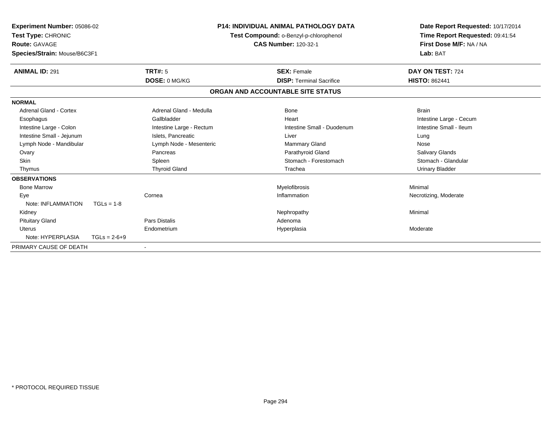| Experiment Number: 05086-02<br>Test Type: CHRONIC<br><b>Route: GAVAGE</b><br>Species/Strain: Mouse/B6C3F1 |                |                          | <b>P14: INDIVIDUAL ANIMAL PATHOLOGY DATA</b><br>Test Compound: o-Benzyl-p-chlorophenol<br><b>CAS Number: 120-32-1</b> |                                   | Date Report Requested: 10/17/2014<br>Time Report Requested: 09:41:54<br>First Dose M/F: NA / NA<br>Lab: BAT |
|-----------------------------------------------------------------------------------------------------------|----------------|--------------------------|-----------------------------------------------------------------------------------------------------------------------|-----------------------------------|-------------------------------------------------------------------------------------------------------------|
| <b>ANIMAL ID: 291</b>                                                                                     |                | TRT#: 5                  |                                                                                                                       | <b>SEX: Female</b>                | DAY ON TEST: 724                                                                                            |
|                                                                                                           |                | DOSE: 0 MG/KG            |                                                                                                                       | <b>DISP: Terminal Sacrifice</b>   | <b>HISTO: 862441</b>                                                                                        |
|                                                                                                           |                |                          |                                                                                                                       | ORGAN AND ACCOUNTABLE SITE STATUS |                                                                                                             |
| <b>NORMAL</b>                                                                                             |                |                          |                                                                                                                       |                                   |                                                                                                             |
| <b>Adrenal Gland - Cortex</b>                                                                             |                | Adrenal Gland - Medulla  |                                                                                                                       | Bone                              | <b>Brain</b>                                                                                                |
| Esophagus                                                                                                 |                | Gallbladder              |                                                                                                                       | Heart                             | Intestine Large - Cecum                                                                                     |
| Intestine Large - Colon                                                                                   |                | Intestine Large - Rectum |                                                                                                                       | Intestine Small - Duodenum        | Intestine Small - Ileum                                                                                     |
| Intestine Small - Jejunum                                                                                 |                | Islets, Pancreatic       |                                                                                                                       | Liver                             | Lung                                                                                                        |
| Lymph Node - Mandibular                                                                                   |                | Lymph Node - Mesenteric  |                                                                                                                       | <b>Mammary Gland</b>              | Nose                                                                                                        |
| Ovary                                                                                                     |                | Pancreas                 |                                                                                                                       | Parathyroid Gland                 | <b>Salivary Glands</b>                                                                                      |
| <b>Skin</b>                                                                                               |                | Spleen                   |                                                                                                                       | Stomach - Forestomach             | Stomach - Glandular                                                                                         |
| Thymus                                                                                                    |                | <b>Thyroid Gland</b>     |                                                                                                                       | Trachea                           | <b>Urinary Bladder</b>                                                                                      |
| <b>OBSERVATIONS</b>                                                                                       |                |                          |                                                                                                                       |                                   |                                                                                                             |
| <b>Bone Marrow</b>                                                                                        |                |                          |                                                                                                                       | Myelofibrosis                     | Minimal                                                                                                     |
| Eye                                                                                                       |                | Cornea                   |                                                                                                                       | Inflammation                      | Necrotizing, Moderate                                                                                       |
| Note: INFLAMMATION                                                                                        | $TGLs = 1-8$   |                          |                                                                                                                       |                                   |                                                                                                             |
| Kidney                                                                                                    |                |                          |                                                                                                                       | Nephropathy                       | Minimal                                                                                                     |
| <b>Pituitary Gland</b>                                                                                    |                | <b>Pars Distalis</b>     |                                                                                                                       | Adenoma                           |                                                                                                             |
| Uterus                                                                                                    |                | Endometrium              |                                                                                                                       | Hyperplasia                       | Moderate                                                                                                    |
| Note: HYPERPLASIA                                                                                         | $TGLs = 2-6+9$ |                          |                                                                                                                       |                                   |                                                                                                             |
| PRIMARY CAUSE OF DEATH                                                                                    |                |                          |                                                                                                                       |                                   |                                                                                                             |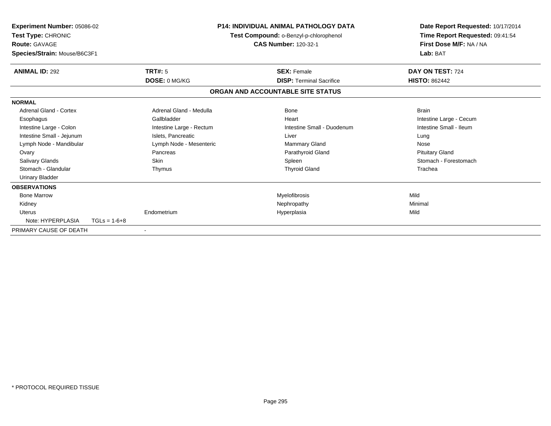| Experiment Number: 05086-02<br>Test Type: CHRONIC<br><b>Route: GAVAGE</b><br>Species/Strain: Mouse/B6C3F1 |                |                          | <b>P14: INDIVIDUAL ANIMAL PATHOLOGY DATA</b><br>Test Compound: o-Benzyl-p-chlorophenol<br><b>CAS Number: 120-32-1</b> |                                   |  | Date Report Requested: 10/17/2014<br>Time Report Requested: 09:41:54<br>First Dose M/F: NA / NA<br>Lab: BAT |
|-----------------------------------------------------------------------------------------------------------|----------------|--------------------------|-----------------------------------------------------------------------------------------------------------------------|-----------------------------------|--|-------------------------------------------------------------------------------------------------------------|
| <b>ANIMAL ID: 292</b>                                                                                     |                | <b>TRT#: 5</b>           |                                                                                                                       | <b>SEX: Female</b>                |  | DAY ON TEST: 724                                                                                            |
|                                                                                                           |                | DOSE: 0 MG/KG            |                                                                                                                       | <b>DISP: Terminal Sacrifice</b>   |  | <b>HISTO: 862442</b>                                                                                        |
|                                                                                                           |                |                          |                                                                                                                       | ORGAN AND ACCOUNTABLE SITE STATUS |  |                                                                                                             |
| <b>NORMAL</b>                                                                                             |                |                          |                                                                                                                       |                                   |  |                                                                                                             |
| Adrenal Gland - Cortex                                                                                    |                | Adrenal Gland - Medulla  |                                                                                                                       | <b>Bone</b>                       |  | <b>Brain</b>                                                                                                |
| Esophagus                                                                                                 |                | Gallbladder              |                                                                                                                       | Heart                             |  | Intestine Large - Cecum                                                                                     |
| Intestine Large - Colon                                                                                   |                | Intestine Large - Rectum |                                                                                                                       | Intestine Small - Duodenum        |  | Intestine Small - Ileum                                                                                     |
| Intestine Small - Jejunum                                                                                 |                | Islets, Pancreatic       |                                                                                                                       | Liver                             |  | Lung                                                                                                        |
| Lymph Node - Mandibular                                                                                   |                | Lymph Node - Mesenteric  |                                                                                                                       | Mammary Gland                     |  | Nose                                                                                                        |
| Ovary                                                                                                     |                | Pancreas                 |                                                                                                                       | Parathyroid Gland                 |  | <b>Pituitary Gland</b>                                                                                      |
| Salivary Glands                                                                                           |                | <b>Skin</b>              |                                                                                                                       | Spleen                            |  | Stomach - Forestomach                                                                                       |
| Stomach - Glandular                                                                                       |                | Thymus                   |                                                                                                                       | <b>Thyroid Gland</b>              |  | Trachea                                                                                                     |
| <b>Urinary Bladder</b>                                                                                    |                |                          |                                                                                                                       |                                   |  |                                                                                                             |
| <b>OBSERVATIONS</b>                                                                                       |                |                          |                                                                                                                       |                                   |  |                                                                                                             |
| <b>Bone Marrow</b>                                                                                        |                |                          |                                                                                                                       | Myelofibrosis                     |  | Mild                                                                                                        |
| Kidney                                                                                                    |                |                          |                                                                                                                       | Nephropathy                       |  | Minimal                                                                                                     |
| <b>Uterus</b>                                                                                             |                | Endometrium              |                                                                                                                       | Hyperplasia                       |  | Mild                                                                                                        |
| Note: HYPERPLASIA                                                                                         | $TGLs = 1-6+8$ |                          |                                                                                                                       |                                   |  |                                                                                                             |
| PRIMARY CAUSE OF DEATH                                                                                    |                | $\overline{\phantom{a}}$ |                                                                                                                       |                                   |  |                                                                                                             |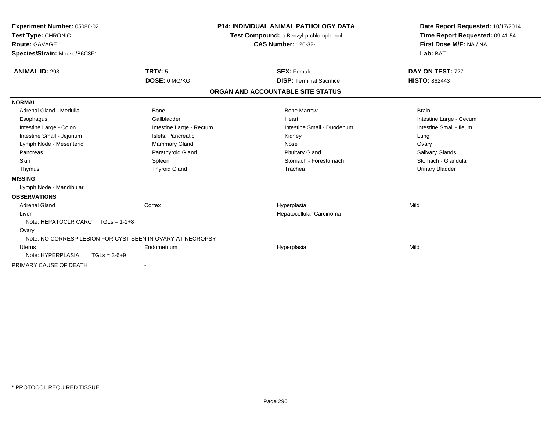| Experiment Number: 05086-02<br>Test Type: CHRONIC<br><b>Route: GAVAGE</b><br>Species/Strain: Mouse/B6C3F1 |                                                            | <b>P14: INDIVIDUAL ANIMAL PATHOLOGY DATA</b><br>Test Compound: o-Benzyl-p-chlorophenol<br><b>CAS Number: 120-32-1</b> | Date Report Requested: 10/17/2014<br>Time Report Requested: 09:41:54<br>First Dose M/F: NA / NA<br>Lab: BAT |
|-----------------------------------------------------------------------------------------------------------|------------------------------------------------------------|-----------------------------------------------------------------------------------------------------------------------|-------------------------------------------------------------------------------------------------------------|
| <b>ANIMAL ID: 293</b>                                                                                     | <b>TRT#: 5</b>                                             | <b>SEX: Female</b>                                                                                                    | DAY ON TEST: 727                                                                                            |
|                                                                                                           | DOSE: 0 MG/KG                                              | <b>DISP: Terminal Sacrifice</b>                                                                                       | <b>HISTO: 862443</b>                                                                                        |
|                                                                                                           |                                                            | ORGAN AND ACCOUNTABLE SITE STATUS                                                                                     |                                                                                                             |
| <b>NORMAL</b>                                                                                             |                                                            |                                                                                                                       |                                                                                                             |
| Adrenal Gland - Medulla                                                                                   | <b>Bone</b>                                                | <b>Bone Marrow</b>                                                                                                    | <b>Brain</b>                                                                                                |
| Esophagus                                                                                                 | Gallbladder                                                | Heart                                                                                                                 | Intestine Large - Cecum                                                                                     |
| Intestine Large - Colon                                                                                   | Intestine Large - Rectum                                   | Intestine Small - Duodenum                                                                                            | Intestine Small - Ileum                                                                                     |
| Intestine Small - Jejunum                                                                                 | Islets, Pancreatic                                         | Kidney                                                                                                                | Lung                                                                                                        |
| Lymph Node - Mesenteric                                                                                   | <b>Mammary Gland</b>                                       | Nose                                                                                                                  | Ovary                                                                                                       |
| Pancreas                                                                                                  | Parathyroid Gland                                          | <b>Pituitary Gland</b>                                                                                                | <b>Salivary Glands</b>                                                                                      |
| <b>Skin</b>                                                                                               | Spleen                                                     | Stomach - Forestomach                                                                                                 | Stomach - Glandular                                                                                         |
| Thymus                                                                                                    | <b>Thyroid Gland</b>                                       | Trachea                                                                                                               | <b>Urinary Bladder</b>                                                                                      |
| <b>MISSING</b>                                                                                            |                                                            |                                                                                                                       |                                                                                                             |
| Lymph Node - Mandibular                                                                                   |                                                            |                                                                                                                       |                                                                                                             |
| <b>OBSERVATIONS</b>                                                                                       |                                                            |                                                                                                                       |                                                                                                             |
| <b>Adrenal Gland</b>                                                                                      | Cortex                                                     | Hyperplasia                                                                                                           | Mild                                                                                                        |
| Liver                                                                                                     |                                                            | Hepatocellular Carcinoma                                                                                              |                                                                                                             |
| Note: HEPATOCLR CARC $TGLs = 1-1+8$                                                                       |                                                            |                                                                                                                       |                                                                                                             |
| Ovary                                                                                                     |                                                            |                                                                                                                       |                                                                                                             |
|                                                                                                           | Note: NO CORRESP LESION FOR CYST SEEN IN OVARY AT NECROPSY |                                                                                                                       |                                                                                                             |
| <b>Uterus</b>                                                                                             | Endometrium                                                | Hyperplasia                                                                                                           | Mild                                                                                                        |
| Note: HYPERPLASIA                                                                                         | $TGLs = 3-6+9$                                             |                                                                                                                       |                                                                                                             |
| PRIMARY CAUSE OF DEATH                                                                                    |                                                            |                                                                                                                       |                                                                                                             |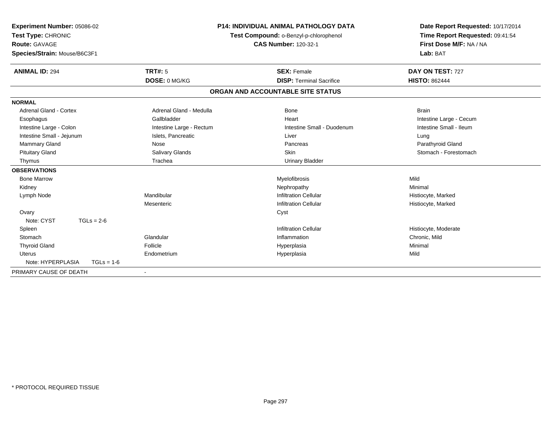| <b>Experiment Number: 05086-02</b><br>Test Type: CHRONIC<br>Route: GAVAGE<br>Species/Strain: Mouse/B6C3F1 |                          | P14: INDIVIDUAL ANIMAL PATHOLOGY DATA<br>Test Compound: o-Benzyl-p-chlorophenol<br><b>CAS Number: 120-32-1</b> | Date Report Requested: 10/17/2014<br>Time Report Requested: 09:41:54<br>First Dose M/F: NA / NA<br>Lab: BAT |
|-----------------------------------------------------------------------------------------------------------|--------------------------|----------------------------------------------------------------------------------------------------------------|-------------------------------------------------------------------------------------------------------------|
| <b>ANIMAL ID: 294</b>                                                                                     | TRT#: 5                  | <b>SEX: Female</b>                                                                                             | DAY ON TEST: 727                                                                                            |
|                                                                                                           | DOSE: 0 MG/KG            | <b>DISP: Terminal Sacrifice</b>                                                                                | <b>HISTO: 862444</b>                                                                                        |
|                                                                                                           |                          | ORGAN AND ACCOUNTABLE SITE STATUS                                                                              |                                                                                                             |
| <b>NORMAL</b>                                                                                             |                          |                                                                                                                |                                                                                                             |
| <b>Adrenal Gland - Cortex</b>                                                                             | Adrenal Gland - Medulla  | Bone                                                                                                           | <b>Brain</b>                                                                                                |
| Esophagus                                                                                                 | Gallbladder              | Heart                                                                                                          | Intestine Large - Cecum                                                                                     |
| Intestine Large - Colon                                                                                   | Intestine Large - Rectum | Intestine Small - Duodenum                                                                                     | Intestine Small - Ileum                                                                                     |
| Intestine Small - Jejunum                                                                                 | Islets, Pancreatic       | Liver                                                                                                          | Lung                                                                                                        |
| <b>Mammary Gland</b>                                                                                      | Nose                     | Pancreas                                                                                                       | Parathyroid Gland                                                                                           |
| <b>Pituitary Gland</b>                                                                                    | Salivary Glands          | <b>Skin</b>                                                                                                    | Stomach - Forestomach                                                                                       |
| Thymus                                                                                                    | Trachea                  | <b>Urinary Bladder</b>                                                                                         |                                                                                                             |
| <b>OBSERVATIONS</b>                                                                                       |                          |                                                                                                                |                                                                                                             |
| <b>Bone Marrow</b>                                                                                        |                          | Myelofibrosis                                                                                                  | Mild                                                                                                        |
| Kidney                                                                                                    |                          | Nephropathy                                                                                                    | Minimal                                                                                                     |
| Lymph Node                                                                                                | Mandibular               | <b>Infiltration Cellular</b>                                                                                   | Histiocyte, Marked                                                                                          |
|                                                                                                           | Mesenteric               | <b>Infiltration Cellular</b>                                                                                   | Histiocyte, Marked                                                                                          |
| Ovary                                                                                                     |                          | Cyst                                                                                                           |                                                                                                             |
| Note: CYST<br>$TGLs = 2-6$                                                                                |                          |                                                                                                                |                                                                                                             |
| Spleen                                                                                                    |                          | <b>Infiltration Cellular</b>                                                                                   | Histiocyte, Moderate                                                                                        |
| Stomach                                                                                                   | Glandular                | Inflammation                                                                                                   | Chronic, Mild                                                                                               |
| <b>Thyroid Gland</b>                                                                                      | Follicle                 | Hyperplasia                                                                                                    | Minimal                                                                                                     |
| Uterus                                                                                                    | Endometrium              | Hyperplasia                                                                                                    | Mild                                                                                                        |
| Note: HYPERPLASIA<br>$TGLs = 1-6$                                                                         |                          |                                                                                                                |                                                                                                             |
| PRIMARY CAUSE OF DEATH                                                                                    |                          |                                                                                                                |                                                                                                             |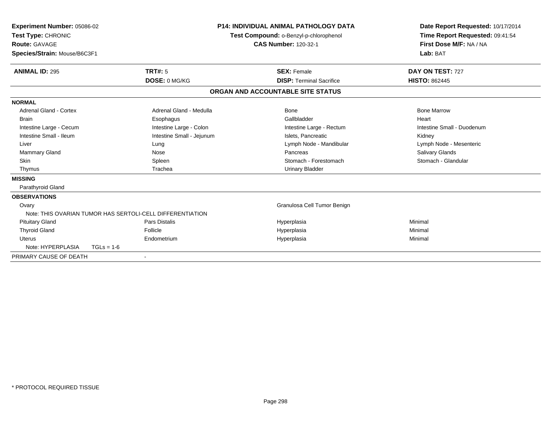| Experiment Number: 05086-02<br>Test Type: CHRONIC<br>Route: GAVAGE<br>Species/Strain: Mouse/B6C3F1 |                                                           | <b>P14: INDIVIDUAL ANIMAL PATHOLOGY DATA</b><br>Test Compound: o-Benzyl-p-chlorophenol<br><b>CAS Number: 120-32-1</b> |                        | Date Report Requested: 10/17/2014<br>Time Report Requested: 09:41:54<br>First Dose M/F: NA / NA<br>Lab: BAT |
|----------------------------------------------------------------------------------------------------|-----------------------------------------------------------|-----------------------------------------------------------------------------------------------------------------------|------------------------|-------------------------------------------------------------------------------------------------------------|
| <b>ANIMAL ID: 295</b>                                                                              | <b>TRT#: 5</b>                                            | <b>SEX: Female</b>                                                                                                    | DAY ON TEST: 727       |                                                                                                             |
|                                                                                                    | DOSE: 0 MG/KG                                             | <b>DISP: Terminal Sacrifice</b>                                                                                       | <b>HISTO: 862445</b>   |                                                                                                             |
|                                                                                                    |                                                           | ORGAN AND ACCOUNTABLE SITE STATUS                                                                                     |                        |                                                                                                             |
| <b>NORMAL</b>                                                                                      |                                                           |                                                                                                                       |                        |                                                                                                             |
| Adrenal Gland - Cortex                                                                             | Adrenal Gland - Medulla                                   | <b>Bone</b>                                                                                                           | <b>Bone Marrow</b>     |                                                                                                             |
| Brain                                                                                              | Esophagus                                                 | Gallbladder                                                                                                           | Heart                  |                                                                                                             |
| Intestine Large - Cecum                                                                            | Intestine Large - Colon                                   | Intestine Large - Rectum                                                                                              |                        | Intestine Small - Duodenum                                                                                  |
| Intestine Small - Ileum                                                                            | Intestine Small - Jejunum                                 | Islets, Pancreatic                                                                                                    | Kidney                 |                                                                                                             |
| Liver                                                                                              | Lung                                                      | Lymph Node - Mandibular                                                                                               |                        | Lymph Node - Mesenteric                                                                                     |
| <b>Mammary Gland</b>                                                                               | Nose                                                      | Pancreas                                                                                                              | <b>Salivary Glands</b> |                                                                                                             |
| <b>Skin</b>                                                                                        | Spleen                                                    | Stomach - Forestomach                                                                                                 | Stomach - Glandular    |                                                                                                             |
| Thymus                                                                                             | Trachea                                                   | <b>Urinary Bladder</b>                                                                                                |                        |                                                                                                             |
| <b>MISSING</b>                                                                                     |                                                           |                                                                                                                       |                        |                                                                                                             |
| Parathyroid Gland                                                                                  |                                                           |                                                                                                                       |                        |                                                                                                             |
| <b>OBSERVATIONS</b>                                                                                |                                                           |                                                                                                                       |                        |                                                                                                             |
| Ovary                                                                                              |                                                           | Granulosa Cell Tumor Benign                                                                                           |                        |                                                                                                             |
|                                                                                                    | Note: THIS OVARIAN TUMOR HAS SERTOLI-CELL DIFFERENTIATION |                                                                                                                       |                        |                                                                                                             |
| <b>Pituitary Gland</b>                                                                             | <b>Pars Distalis</b>                                      | Hyperplasia                                                                                                           | Minimal                |                                                                                                             |
| <b>Thyroid Gland</b>                                                                               | Follicle                                                  | Hyperplasia                                                                                                           | Minimal                |                                                                                                             |
| <b>Uterus</b>                                                                                      | Endometrium                                               | Hyperplasia                                                                                                           | Minimal                |                                                                                                             |
| Note: HYPERPLASIA                                                                                  | $TGLs = 1-6$                                              |                                                                                                                       |                        |                                                                                                             |
| PRIMARY CAUSE OF DEATH                                                                             |                                                           |                                                                                                                       |                        |                                                                                                             |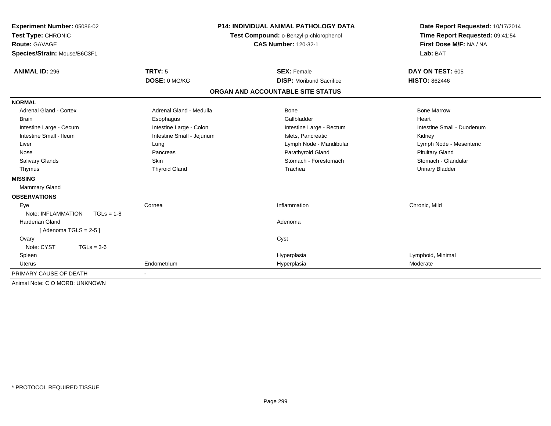| Experiment Number: 05086-02<br>Test Type: CHRONIC |                           | <b>P14: INDIVIDUAL ANIMAL PATHOLOGY DATA</b><br>Test Compound: o-Benzyl-p-chlorophenol | Date Report Requested: 10/17/2014<br>Time Report Requested: 09:41:54 |
|---------------------------------------------------|---------------------------|----------------------------------------------------------------------------------------|----------------------------------------------------------------------|
| <b>Route: GAVAGE</b>                              |                           | <b>CAS Number: 120-32-1</b>                                                            | First Dose M/F: NA / NA                                              |
| Species/Strain: Mouse/B6C3F1                      |                           |                                                                                        | Lab: BAT                                                             |
| <b>ANIMAL ID: 296</b>                             | <b>TRT#: 5</b>            | <b>SEX: Female</b>                                                                     | DAY ON TEST: 605                                                     |
|                                                   | DOSE: 0 MG/KG             | <b>DISP:</b> Moribund Sacrifice                                                        | <b>HISTO: 862446</b>                                                 |
|                                                   |                           | ORGAN AND ACCOUNTABLE SITE STATUS                                                      |                                                                      |
| <b>NORMAL</b>                                     |                           |                                                                                        |                                                                      |
| <b>Adrenal Gland - Cortex</b>                     | Adrenal Gland - Medulla   | Bone                                                                                   | <b>Bone Marrow</b>                                                   |
| <b>Brain</b>                                      | Esophagus                 | Gallbladder                                                                            | Heart                                                                |
| Intestine Large - Cecum                           | Intestine Large - Colon   | Intestine Large - Rectum                                                               | Intestine Small - Duodenum                                           |
| Intestine Small - Ileum                           | Intestine Small - Jejunum | Islets. Pancreatic                                                                     | Kidney                                                               |
| Liver                                             | Lung                      | Lymph Node - Mandibular                                                                | Lymph Node - Mesenteric                                              |
| Nose                                              | Pancreas                  | Parathyroid Gland                                                                      | <b>Pituitary Gland</b>                                               |
| Salivary Glands                                   | Skin                      | Stomach - Forestomach                                                                  | Stomach - Glandular                                                  |
| Thymus                                            | <b>Thyroid Gland</b>      | Trachea                                                                                | <b>Urinary Bladder</b>                                               |
| <b>MISSING</b>                                    |                           |                                                                                        |                                                                      |
| <b>Mammary Gland</b>                              |                           |                                                                                        |                                                                      |
| <b>OBSERVATIONS</b>                               |                           |                                                                                        |                                                                      |
| Eye                                               | Cornea                    | Inflammation                                                                           | Chronic, Mild                                                        |
| Note: INFLAMMATION<br>$TGLs = 1-8$                |                           |                                                                                        |                                                                      |
| <b>Harderian Gland</b>                            |                           | Adenoma                                                                                |                                                                      |
| [Adenoma TGLS = $2-5$ ]                           |                           |                                                                                        |                                                                      |
| Ovary                                             |                           | Cyst                                                                                   |                                                                      |
| Note: CYST<br>$TGLs = 3-6$                        |                           |                                                                                        |                                                                      |
| Spleen                                            |                           | Hyperplasia                                                                            | Lymphoid, Minimal                                                    |
| <b>Uterus</b>                                     | Endometrium               | Hyperplasia                                                                            | Moderate                                                             |
| PRIMARY CAUSE OF DEATH                            |                           |                                                                                        |                                                                      |
| Animal Note: C O MORB: UNKNOWN                    |                           |                                                                                        |                                                                      |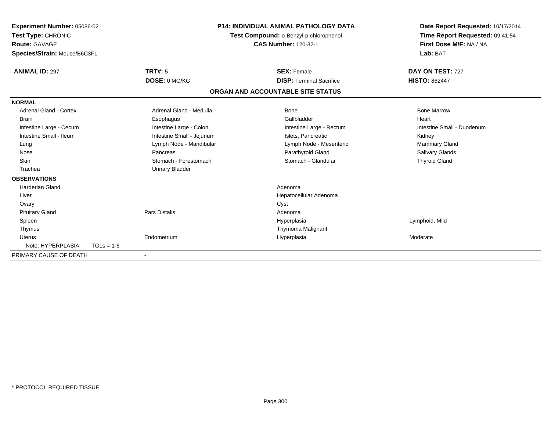| Experiment Number: 05086-02<br>Test Type: CHRONIC<br><b>Route: GAVAGE</b><br>Species/Strain: Mouse/B6C3F1 |              |                           | <b>P14: INDIVIDUAL ANIMAL PATHOLOGY DATA</b><br>Test Compound: o-Benzyl-p-chlorophenol<br><b>CAS Number: 120-32-1</b> |                                   | Date Report Requested: 10/17/2014<br>Time Report Requested: 09:41:54<br>First Dose M/F: NA / NA<br>Lab: BAT |
|-----------------------------------------------------------------------------------------------------------|--------------|---------------------------|-----------------------------------------------------------------------------------------------------------------------|-----------------------------------|-------------------------------------------------------------------------------------------------------------|
| <b>ANIMAL ID: 297</b>                                                                                     |              | TRT#: 5                   |                                                                                                                       | <b>SEX: Female</b>                | DAY ON TEST: 727                                                                                            |
|                                                                                                           |              | DOSE: 0 MG/KG             |                                                                                                                       | <b>DISP: Terminal Sacrifice</b>   | <b>HISTO: 862447</b>                                                                                        |
|                                                                                                           |              |                           |                                                                                                                       | ORGAN AND ACCOUNTABLE SITE STATUS |                                                                                                             |
| <b>NORMAL</b>                                                                                             |              |                           |                                                                                                                       |                                   |                                                                                                             |
| <b>Adrenal Gland - Cortex</b>                                                                             |              | Adrenal Gland - Medulla   |                                                                                                                       | Bone                              | <b>Bone Marrow</b>                                                                                          |
| <b>Brain</b>                                                                                              |              | Esophagus                 |                                                                                                                       | Gallbladder                       | Heart                                                                                                       |
| Intestine Large - Cecum                                                                                   |              | Intestine Large - Colon   |                                                                                                                       | Intestine Large - Rectum          | Intestine Small - Duodenum                                                                                  |
| Intestine Small - Ileum                                                                                   |              | Intestine Small - Jejunum |                                                                                                                       | Islets. Pancreatic                | Kidney                                                                                                      |
| Lung                                                                                                      |              | Lymph Node - Mandibular   |                                                                                                                       | Lymph Node - Mesenteric           | <b>Mammary Gland</b>                                                                                        |
| Nose                                                                                                      |              | Pancreas                  |                                                                                                                       | Parathyroid Gland                 | <b>Salivary Glands</b>                                                                                      |
| <b>Skin</b>                                                                                               |              | Stomach - Forestomach     |                                                                                                                       | Stomach - Glandular               | <b>Thyroid Gland</b>                                                                                        |
| Trachea                                                                                                   |              | <b>Urinary Bladder</b>    |                                                                                                                       |                                   |                                                                                                             |
| <b>OBSERVATIONS</b>                                                                                       |              |                           |                                                                                                                       |                                   |                                                                                                             |
| <b>Harderian Gland</b>                                                                                    |              |                           |                                                                                                                       | Adenoma                           |                                                                                                             |
| Liver                                                                                                     |              |                           |                                                                                                                       | Hepatocellular Adenoma            |                                                                                                             |
| Ovary                                                                                                     |              |                           |                                                                                                                       | Cyst                              |                                                                                                             |
| <b>Pituitary Gland</b>                                                                                    |              | <b>Pars Distalis</b>      |                                                                                                                       | Adenoma                           |                                                                                                             |
| Spleen                                                                                                    |              |                           |                                                                                                                       | Hyperplasia                       | Lymphoid, Mild                                                                                              |
| Thymus                                                                                                    |              |                           |                                                                                                                       | Thymoma Malignant                 |                                                                                                             |
| <b>Uterus</b>                                                                                             |              | Endometrium               |                                                                                                                       | Hyperplasia                       | Moderate                                                                                                    |
| Note: HYPERPLASIA                                                                                         | $TGLs = 1-6$ |                           |                                                                                                                       |                                   |                                                                                                             |
| PRIMARY CAUSE OF DEATH                                                                                    |              |                           |                                                                                                                       |                                   |                                                                                                             |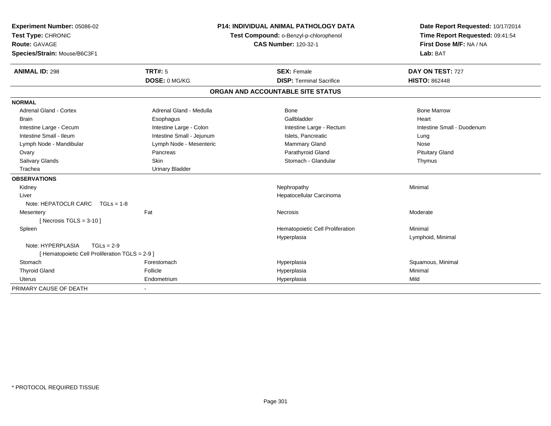| Experiment Number: 05086-02                     |                           | <b>P14: INDIVIDUAL ANIMAL PATHOLOGY DATA</b> | Date Report Requested: 10/17/2014 |
|-------------------------------------------------|---------------------------|----------------------------------------------|-----------------------------------|
| Test Type: CHRONIC                              |                           | Test Compound: o-Benzyl-p-chlorophenol       | Time Report Requested: 09:41:54   |
| <b>Route: GAVAGE</b>                            |                           | <b>CAS Number: 120-32-1</b>                  | First Dose M/F: NA / NA           |
| Species/Strain: Mouse/B6C3F1                    |                           |                                              | Lab: BAT                          |
| <b>ANIMAL ID: 298</b>                           | TRT#: 5                   | <b>SEX: Female</b>                           | DAY ON TEST: 727                  |
|                                                 | DOSE: 0 MG/KG             | <b>DISP: Terminal Sacrifice</b>              | <b>HISTO: 862448</b>              |
|                                                 |                           | ORGAN AND ACCOUNTABLE SITE STATUS            |                                   |
| <b>NORMAL</b>                                   |                           |                                              |                                   |
| <b>Adrenal Gland - Cortex</b>                   | Adrenal Gland - Medulla   | <b>Bone</b>                                  | <b>Bone Marrow</b>                |
| <b>Brain</b>                                    | Esophagus                 | Gallbladder                                  | Heart                             |
| Intestine Large - Cecum                         | Intestine Large - Colon   | Intestine Large - Rectum                     | Intestine Small - Duodenum        |
| Intestine Small - Ileum                         | Intestine Small - Jejunum | Islets, Pancreatic                           | Lung                              |
| Lymph Node - Mandibular                         | Lymph Node - Mesenteric   | Mammary Gland                                | Nose                              |
| Ovary                                           | Pancreas                  | Parathyroid Gland                            | <b>Pituitary Gland</b>            |
| Salivary Glands                                 | <b>Skin</b>               | Stomach - Glandular                          | Thymus                            |
| Trachea                                         | <b>Urinary Bladder</b>    |                                              |                                   |
| <b>OBSERVATIONS</b>                             |                           |                                              |                                   |
| Kidney                                          |                           | Nephropathy                                  | Minimal                           |
| Liver                                           |                           | Hepatocellular Carcinoma                     |                                   |
| Note: HEPATOCLR CARC $TGLs = 1-8$               |                           |                                              |                                   |
| Mesentery                                       | Fat                       | <b>Necrosis</b>                              | Moderate                          |
| [Necrosis $TGLS = 3-10$ ]                       |                           |                                              |                                   |
| Spleen                                          |                           | Hematopoietic Cell Proliferation             | Minimal                           |
|                                                 |                           | Hyperplasia                                  | Lymphoid, Minimal                 |
| Note: HYPERPLASIA<br>$TGLs = 2-9$               |                           |                                              |                                   |
| [ Hematopoietic Cell Proliferation TGLS = 2-9 ] |                           |                                              |                                   |
| Stomach                                         | Forestomach               | Hyperplasia                                  | Squamous, Minimal                 |
| <b>Thyroid Gland</b>                            | Follicle                  | Hyperplasia                                  | Minimal                           |
| Uterus                                          | Endometrium               | Hyperplasia                                  | Mild                              |
| PRIMARY CAUSE OF DEATH                          |                           |                                              |                                   |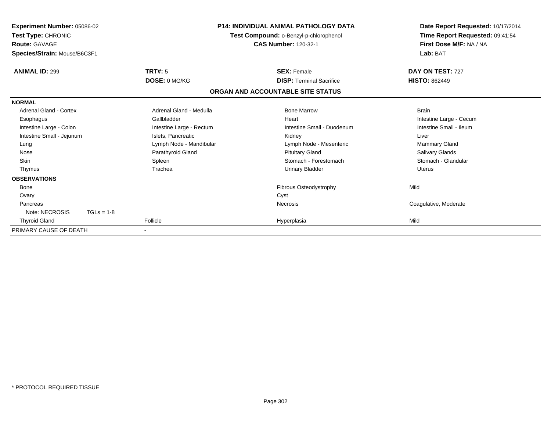| <b>Experiment Number: 05086-02</b><br>Test Type: CHRONIC<br><b>Route: GAVAGE</b><br>Species/Strain: Mouse/B6C3F1 |                          | <b>P14: INDIVIDUAL ANIMAL PATHOLOGY DATA</b><br>Test Compound: o-Benzyl-p-chlorophenol<br><b>CAS Number: 120-32-1</b> | Date Report Requested: 10/17/2014<br>Time Report Requested: 09:41:54<br>First Dose M/F: NA / NA<br>Lab: BAT |
|------------------------------------------------------------------------------------------------------------------|--------------------------|-----------------------------------------------------------------------------------------------------------------------|-------------------------------------------------------------------------------------------------------------|
| <b>ANIMAL ID: 299</b>                                                                                            | TRT#: 5                  | <b>SEX: Female</b>                                                                                                    | DAY ON TEST: 727                                                                                            |
|                                                                                                                  | DOSE: 0 MG/KG            | <b>DISP: Terminal Sacrifice</b>                                                                                       | <b>HISTO: 862449</b>                                                                                        |
|                                                                                                                  |                          | ORGAN AND ACCOUNTABLE SITE STATUS                                                                                     |                                                                                                             |
| <b>NORMAL</b>                                                                                                    |                          |                                                                                                                       |                                                                                                             |
| Adrenal Gland - Cortex                                                                                           | Adrenal Gland - Medulla  | <b>Bone Marrow</b>                                                                                                    | <b>Brain</b>                                                                                                |
| Esophagus                                                                                                        | Gallbladder              | Heart                                                                                                                 | Intestine Large - Cecum                                                                                     |
| Intestine Large - Colon                                                                                          | Intestine Large - Rectum | Intestine Small - Duodenum                                                                                            | Intestine Small - Ileum                                                                                     |
| Intestine Small - Jejunum                                                                                        | Islets. Pancreatic       | Kidney                                                                                                                | Liver                                                                                                       |
| Lung                                                                                                             | Lymph Node - Mandibular  | Lymph Node - Mesenteric                                                                                               | <b>Mammary Gland</b>                                                                                        |
| Nose                                                                                                             | Parathyroid Gland        | <b>Pituitary Gland</b>                                                                                                | Salivary Glands                                                                                             |
| <b>Skin</b>                                                                                                      | Spleen                   | Stomach - Forestomach                                                                                                 | Stomach - Glandular                                                                                         |
| Thymus                                                                                                           | Trachea                  | Urinary Bladder                                                                                                       | <b>Uterus</b>                                                                                               |
| <b>OBSERVATIONS</b>                                                                                              |                          |                                                                                                                       |                                                                                                             |
| Bone                                                                                                             |                          | Fibrous Osteodystrophy                                                                                                | Mild                                                                                                        |
| Ovary                                                                                                            |                          | Cyst                                                                                                                  |                                                                                                             |
| Pancreas                                                                                                         |                          | <b>Necrosis</b>                                                                                                       | Coagulative, Moderate                                                                                       |
| Note: NECROSIS<br>$TGLs = 1-8$                                                                                   |                          |                                                                                                                       |                                                                                                             |
| <b>Thyroid Gland</b>                                                                                             | Follicle                 | Hyperplasia                                                                                                           | Mild                                                                                                        |
| PRIMARY CAUSE OF DEATH                                                                                           |                          |                                                                                                                       |                                                                                                             |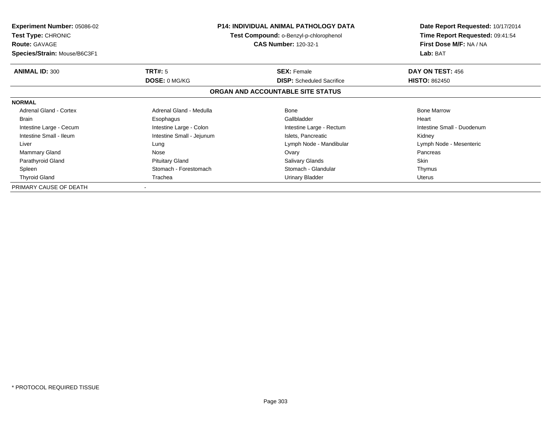| <b>Experiment Number: 05086-02</b><br><b>Test Type: CHRONIC</b><br><b>Route: GAVAGE</b> |                           | <b>P14: INDIVIDUAL ANIMAL PATHOLOGY DATA</b><br>Test Compound: o-Benzyl-p-chlorophenol<br><b>CAS Number: 120-32-1</b> | Date Report Requested: 10/17/2014<br>Time Report Requested: 09:41:54<br>First Dose M/F: NA / NA |  |
|-----------------------------------------------------------------------------------------|---------------------------|-----------------------------------------------------------------------------------------------------------------------|-------------------------------------------------------------------------------------------------|--|
| Species/Strain: Mouse/B6C3F1                                                            |                           |                                                                                                                       | Lab: BAT                                                                                        |  |
| <b>ANIMAL ID: 300</b>                                                                   | <b>TRT#: 5</b>            | <b>SEX: Female</b>                                                                                                    | DAY ON TEST: 456                                                                                |  |
|                                                                                         | DOSE: 0 MG/KG             | <b>DISP:</b> Scheduled Sacrifice                                                                                      | <b>HISTO: 862450</b>                                                                            |  |
|                                                                                         |                           | ORGAN AND ACCOUNTABLE SITE STATUS                                                                                     |                                                                                                 |  |
| <b>NORMAL</b>                                                                           |                           |                                                                                                                       |                                                                                                 |  |
| <b>Adrenal Gland - Cortex</b>                                                           | Adrenal Gland - Medulla   | Bone                                                                                                                  | <b>Bone Marrow</b>                                                                              |  |
| <b>Brain</b>                                                                            | Esophagus                 | Gallbladder                                                                                                           | Heart                                                                                           |  |
| Intestine Large - Cecum                                                                 | Intestine Large - Colon   | Intestine Large - Rectum                                                                                              | Intestine Small - Duodenum                                                                      |  |
| Intestine Small - Ileum                                                                 | Intestine Small - Jejunum | Islets, Pancreatic                                                                                                    | Kidney                                                                                          |  |
| Liver                                                                                   | Lung                      | Lymph Node - Mandibular                                                                                               | Lymph Node - Mesenteric                                                                         |  |
| Mammary Gland                                                                           | Nose                      | Ovary                                                                                                                 | Pancreas                                                                                        |  |
| Parathyroid Gland                                                                       | <b>Pituitary Gland</b>    | <b>Salivary Glands</b>                                                                                                | Skin                                                                                            |  |
| Spleen                                                                                  | Stomach - Forestomach     | Stomach - Glandular                                                                                                   | Thymus                                                                                          |  |
| <b>Thyroid Gland</b>                                                                    | Trachea                   | Urinary Bladder                                                                                                       | Uterus                                                                                          |  |
| PRIMARY CAUSE OF DEATH                                                                  |                           |                                                                                                                       |                                                                                                 |  |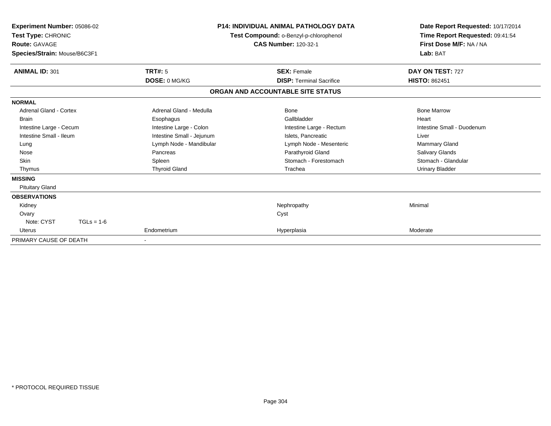| Experiment Number: 05086-02<br>Test Type: CHRONIC<br><b>Route: GAVAGE</b><br>Species/Strain: Mouse/B6C3F1 |                           | <b>P14: INDIVIDUAL ANIMAL PATHOLOGY DATA</b><br>Test Compound: o-Benzyl-p-chlorophenol<br><b>CAS Number: 120-32-1</b> | Date Report Requested: 10/17/2014<br>Time Report Requested: 09:41:54<br>First Dose M/F: NA / NA<br>Lab: BAT |
|-----------------------------------------------------------------------------------------------------------|---------------------------|-----------------------------------------------------------------------------------------------------------------------|-------------------------------------------------------------------------------------------------------------|
| <b>ANIMAL ID: 301</b>                                                                                     | TRT#: 5                   | <b>SEX: Female</b>                                                                                                    | DAY ON TEST: 727                                                                                            |
|                                                                                                           | DOSE: 0 MG/KG             | <b>DISP: Terminal Sacrifice</b>                                                                                       | <b>HISTO: 862451</b>                                                                                        |
|                                                                                                           |                           | ORGAN AND ACCOUNTABLE SITE STATUS                                                                                     |                                                                                                             |
| <b>NORMAL</b>                                                                                             |                           |                                                                                                                       |                                                                                                             |
| Adrenal Gland - Cortex                                                                                    | Adrenal Gland - Medulla   | Bone                                                                                                                  | <b>Bone Marrow</b>                                                                                          |
| <b>Brain</b>                                                                                              | Esophagus                 | Gallbladder                                                                                                           | Heart                                                                                                       |
| Intestine Large - Cecum                                                                                   | Intestine Large - Colon   | Intestine Large - Rectum                                                                                              | Intestine Small - Duodenum                                                                                  |
| Intestine Small - Ileum                                                                                   | Intestine Small - Jejunum | Islets, Pancreatic                                                                                                    | Liver                                                                                                       |
| Lung                                                                                                      | Lymph Node - Mandibular   | Lymph Node - Mesenteric                                                                                               | <b>Mammary Gland</b>                                                                                        |
| Nose                                                                                                      | Pancreas                  | Parathyroid Gland                                                                                                     | <b>Salivary Glands</b>                                                                                      |
| <b>Skin</b>                                                                                               | Spleen                    | Stomach - Forestomach                                                                                                 | Stomach - Glandular                                                                                         |
| Thymus                                                                                                    | <b>Thyroid Gland</b>      | Trachea                                                                                                               | <b>Urinary Bladder</b>                                                                                      |
| <b>MISSING</b>                                                                                            |                           |                                                                                                                       |                                                                                                             |
| <b>Pituitary Gland</b>                                                                                    |                           |                                                                                                                       |                                                                                                             |
| <b>OBSERVATIONS</b>                                                                                       |                           |                                                                                                                       |                                                                                                             |
| Kidney                                                                                                    |                           | Nephropathy                                                                                                           | Minimal                                                                                                     |
| Ovary                                                                                                     |                           | Cyst                                                                                                                  |                                                                                                             |
| Note: CYST<br>$TGLs = 1-6$                                                                                |                           |                                                                                                                       |                                                                                                             |
| <b>Uterus</b>                                                                                             | Endometrium               | Hyperplasia                                                                                                           | Moderate                                                                                                    |
| PRIMARY CAUSE OF DEATH                                                                                    |                           |                                                                                                                       |                                                                                                             |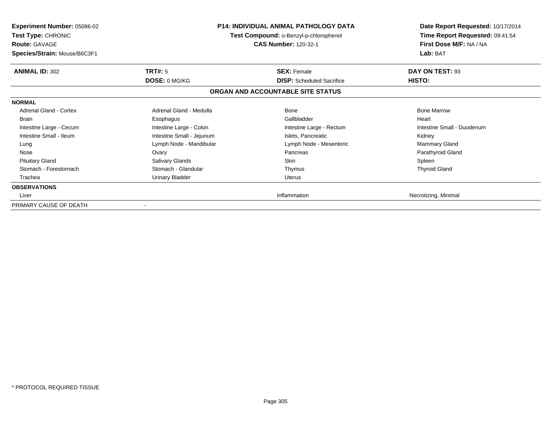| <b>Experiment Number: 05086-02</b><br><b>Test Type: CHRONIC</b><br><b>Route: GAVAGE</b><br>Species/Strain: Mouse/B6C3F1 |                           | <b>P14: INDIVIDUAL ANIMAL PATHOLOGY DATA</b><br>Test Compound: o-Benzyl-p-chlorophenol<br><b>CAS Number: 120-32-1</b> | Date Report Requested: 10/17/2014<br>Time Report Requested: 09:41:54<br>First Dose M/F: NA / NA<br>Lab: BAT |
|-------------------------------------------------------------------------------------------------------------------------|---------------------------|-----------------------------------------------------------------------------------------------------------------------|-------------------------------------------------------------------------------------------------------------|
| <b>ANIMAL ID: 302</b>                                                                                                   | TRT#: 5                   | <b>SEX: Female</b>                                                                                                    | DAY ON TEST: 93                                                                                             |
|                                                                                                                         | DOSE: 0 MG/KG             | <b>DISP:</b> Scheduled Sacrifice                                                                                      | HISTO:                                                                                                      |
|                                                                                                                         |                           | ORGAN AND ACCOUNTABLE SITE STATUS                                                                                     |                                                                                                             |
| <b>NORMAL</b>                                                                                                           |                           |                                                                                                                       |                                                                                                             |
| Adrenal Gland - Cortex                                                                                                  | Adrenal Gland - Medulla   | <b>Bone</b>                                                                                                           | <b>Bone Marrow</b>                                                                                          |
| <b>Brain</b>                                                                                                            | Esophagus                 | Gallbladder                                                                                                           | Heart                                                                                                       |
| Intestine Large - Cecum                                                                                                 | Intestine Large - Colon   | Intestine Large - Rectum                                                                                              | Intestine Small - Duodenum                                                                                  |
| Intestine Small - Ileum                                                                                                 | Intestine Small - Jejunum | Islets, Pancreatic                                                                                                    | Kidney                                                                                                      |
| Lung                                                                                                                    | Lymph Node - Mandibular   | Lymph Node - Mesenteric                                                                                               | <b>Mammary Gland</b>                                                                                        |
| Nose                                                                                                                    | Ovary                     | Pancreas                                                                                                              | Parathyroid Gland                                                                                           |
| <b>Pituitary Gland</b>                                                                                                  | Salivary Glands           | <b>Skin</b>                                                                                                           | Spleen                                                                                                      |
| Stomach - Forestomach                                                                                                   | Stomach - Glandular       | Thymus                                                                                                                | <b>Thyroid Gland</b>                                                                                        |
| Trachea                                                                                                                 | <b>Urinary Bladder</b>    | Uterus                                                                                                                |                                                                                                             |
| <b>OBSERVATIONS</b>                                                                                                     |                           |                                                                                                                       |                                                                                                             |
| Liver                                                                                                                   |                           | Inflammation                                                                                                          | Necrotizing, Minimal                                                                                        |
| PRIMARY CAUSE OF DEATH                                                                                                  |                           |                                                                                                                       |                                                                                                             |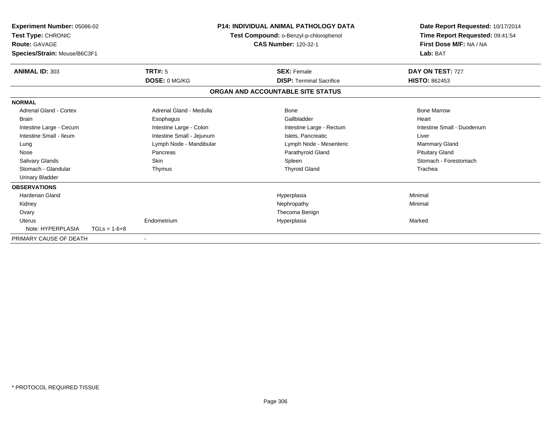| <b>Experiment Number: 05086-02</b><br>Test Type: CHRONIC<br><b>Route: GAVAGE</b><br>Species/Strain: Mouse/B6C3F1 |                | P14: INDIVIDUAL ANIMAL PATHOLOGY DATA<br>Test Compound: o-Benzyl-p-chlorophenol<br><b>CAS Number: 120-32-1</b> |  | Date Report Requested: 10/17/2014<br>Time Report Requested: 09:41:54<br>First Dose M/F: NA / NA<br>Lab: BAT |                            |  |
|------------------------------------------------------------------------------------------------------------------|----------------|----------------------------------------------------------------------------------------------------------------|--|-------------------------------------------------------------------------------------------------------------|----------------------------|--|
| <b>ANIMAL ID: 303</b>                                                                                            |                | <b>TRT#: 5</b>                                                                                                 |  | <b>SEX: Female</b>                                                                                          | DAY ON TEST: 727           |  |
|                                                                                                                  |                | DOSE: 0 MG/KG                                                                                                  |  | <b>DISP: Terminal Sacrifice</b>                                                                             | <b>HISTO: 862453</b>       |  |
|                                                                                                                  |                |                                                                                                                |  | ORGAN AND ACCOUNTABLE SITE STATUS                                                                           |                            |  |
| <b>NORMAL</b>                                                                                                    |                |                                                                                                                |  |                                                                                                             |                            |  |
| <b>Adrenal Gland - Cortex</b>                                                                                    |                | Adrenal Gland - Medulla                                                                                        |  | Bone                                                                                                        | <b>Bone Marrow</b>         |  |
| <b>Brain</b>                                                                                                     |                | Esophagus                                                                                                      |  | Gallbladder                                                                                                 | Heart                      |  |
| Intestine Large - Cecum                                                                                          |                | Intestine Large - Colon                                                                                        |  | Intestine Large - Rectum                                                                                    | Intestine Small - Duodenum |  |
| Intestine Small - Ileum                                                                                          |                | Intestine Small - Jejunum                                                                                      |  | Islets, Pancreatic                                                                                          | Liver                      |  |
| Lung                                                                                                             |                | Lymph Node - Mandibular                                                                                        |  | Lymph Node - Mesenteric                                                                                     | <b>Mammary Gland</b>       |  |
| Nose                                                                                                             |                | Pancreas                                                                                                       |  | Parathyroid Gland                                                                                           | <b>Pituitary Gland</b>     |  |
| <b>Salivary Glands</b>                                                                                           |                | <b>Skin</b>                                                                                                    |  | Spleen                                                                                                      | Stomach - Forestomach      |  |
| Stomach - Glandular                                                                                              |                | Thymus                                                                                                         |  | <b>Thyroid Gland</b>                                                                                        | Trachea                    |  |
| <b>Urinary Bladder</b>                                                                                           |                |                                                                                                                |  |                                                                                                             |                            |  |
| <b>OBSERVATIONS</b>                                                                                              |                |                                                                                                                |  |                                                                                                             |                            |  |
| Harderian Gland                                                                                                  |                |                                                                                                                |  | Hyperplasia                                                                                                 | Minimal                    |  |
| Kidney                                                                                                           |                |                                                                                                                |  | Nephropathy                                                                                                 | Minimal                    |  |
| Ovary                                                                                                            |                |                                                                                                                |  | Thecoma Benign                                                                                              |                            |  |
| <b>Uterus</b>                                                                                                    |                | Endometrium                                                                                                    |  | Hyperplasia                                                                                                 | Marked                     |  |
| Note: HYPERPLASIA                                                                                                | $TGLs = 1-6+8$ |                                                                                                                |  |                                                                                                             |                            |  |
| PRIMARY CAUSE OF DEATH                                                                                           |                |                                                                                                                |  |                                                                                                             |                            |  |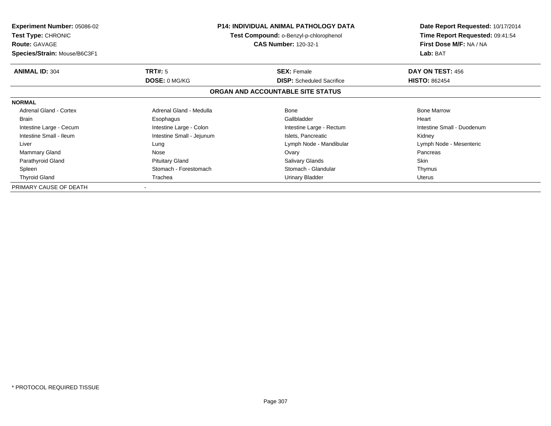| <b>Experiment Number: 05086-02</b><br><b>Test Type: CHRONIC</b><br><b>Route: GAVAGE</b> |                           | <b>P14: INDIVIDUAL ANIMAL PATHOLOGY DATA</b><br>Test Compound: o-Benzyl-p-chlorophenol<br><b>CAS Number: 120-32-1</b> | Date Report Requested: 10/17/2014<br>Time Report Requested: 09:41:54<br>First Dose M/F: NA / NA |  |
|-----------------------------------------------------------------------------------------|---------------------------|-----------------------------------------------------------------------------------------------------------------------|-------------------------------------------------------------------------------------------------|--|
| Species/Strain: Mouse/B6C3F1                                                            |                           |                                                                                                                       | Lab: BAT                                                                                        |  |
| <b>ANIMAL ID: 304</b>                                                                   | <b>TRT#: 5</b>            | <b>SEX: Female</b>                                                                                                    | DAY ON TEST: 456                                                                                |  |
|                                                                                         | DOSE: 0 MG/KG             | <b>DISP:</b> Scheduled Sacrifice                                                                                      | <b>HISTO: 862454</b>                                                                            |  |
|                                                                                         |                           | ORGAN AND ACCOUNTABLE SITE STATUS                                                                                     |                                                                                                 |  |
| <b>NORMAL</b>                                                                           |                           |                                                                                                                       |                                                                                                 |  |
| <b>Adrenal Gland - Cortex</b>                                                           | Adrenal Gland - Medulla   | Bone                                                                                                                  | <b>Bone Marrow</b>                                                                              |  |
| <b>Brain</b>                                                                            | Esophagus                 | Gallbladder                                                                                                           | Heart                                                                                           |  |
| Intestine Large - Cecum                                                                 | Intestine Large - Colon   | Intestine Large - Rectum                                                                                              | Intestine Small - Duodenum                                                                      |  |
| Intestine Small - Ileum                                                                 | Intestine Small - Jejunum | Islets, Pancreatic                                                                                                    | Kidney                                                                                          |  |
| Liver                                                                                   | Lung                      | Lymph Node - Mandibular                                                                                               | Lymph Node - Mesenteric                                                                         |  |
| Mammary Gland                                                                           | Nose                      | Ovary                                                                                                                 | Pancreas                                                                                        |  |
| Parathyroid Gland                                                                       | <b>Pituitary Gland</b>    | <b>Salivary Glands</b>                                                                                                | Skin                                                                                            |  |
| Spleen                                                                                  | Stomach - Forestomach     | Stomach - Glandular                                                                                                   | Thymus                                                                                          |  |
| <b>Thyroid Gland</b>                                                                    | Trachea                   | Urinary Bladder                                                                                                       | Uterus                                                                                          |  |
| PRIMARY CAUSE OF DEATH                                                                  |                           |                                                                                                                       |                                                                                                 |  |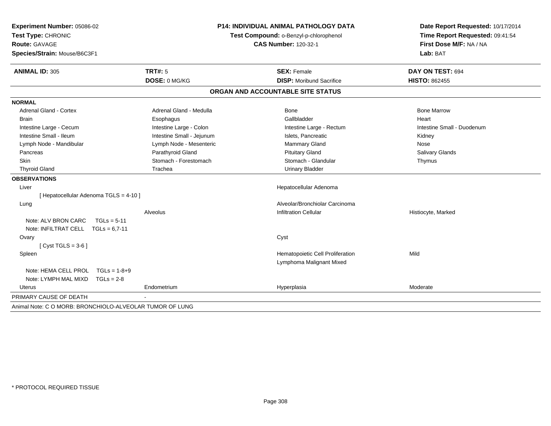| Experiment Number: 05086-02<br>Test Type: CHRONIC<br><b>Route: GAVAGE</b><br>Species/Strain: Mouse/B6C3F1 | <b>P14: INDIVIDUAL ANIMAL PATHOLOGY DATA</b><br>Test Compound: o-Benzyl-p-chlorophenol<br><b>CAS Number: 120-32-1</b> |                                   | Date Report Requested: 10/17/2014<br>Time Report Requested: 09:41:54<br>First Dose M/F: NA / NA<br>Lab: BAT |  |
|-----------------------------------------------------------------------------------------------------------|-----------------------------------------------------------------------------------------------------------------------|-----------------------------------|-------------------------------------------------------------------------------------------------------------|--|
| <b>ANIMAL ID: 305</b>                                                                                     | <b>TRT#: 5</b>                                                                                                        | <b>SEX: Female</b>                | DAY ON TEST: 694                                                                                            |  |
|                                                                                                           | DOSE: 0 MG/KG                                                                                                         | <b>DISP:</b> Moribund Sacrifice   | <b>HISTO: 862455</b>                                                                                        |  |
|                                                                                                           |                                                                                                                       | ORGAN AND ACCOUNTABLE SITE STATUS |                                                                                                             |  |
| <b>NORMAL</b>                                                                                             |                                                                                                                       |                                   |                                                                                                             |  |
| <b>Adrenal Gland - Cortex</b>                                                                             | Adrenal Gland - Medulla                                                                                               | Bone                              | <b>Bone Marrow</b>                                                                                          |  |
| <b>Brain</b>                                                                                              | Esophagus                                                                                                             | Gallbladder                       | Heart                                                                                                       |  |
| Intestine Large - Cecum                                                                                   | Intestine Large - Colon                                                                                               | Intestine Large - Rectum          | Intestine Small - Duodenum                                                                                  |  |
| Intestine Small - Ileum                                                                                   | Intestine Small - Jejunum                                                                                             | Islets, Pancreatic                | Kidney                                                                                                      |  |
| Lymph Node - Mandibular                                                                                   | Lymph Node - Mesenteric                                                                                               | Mammary Gland                     | Nose                                                                                                        |  |
| Pancreas                                                                                                  | Parathyroid Gland                                                                                                     | <b>Pituitary Gland</b>            | <b>Salivary Glands</b>                                                                                      |  |
| Skin                                                                                                      | Stomach - Forestomach                                                                                                 | Stomach - Glandular               | Thymus                                                                                                      |  |
| <b>Thyroid Gland</b>                                                                                      | Trachea                                                                                                               | <b>Urinary Bladder</b>            |                                                                                                             |  |
| <b>OBSERVATIONS</b>                                                                                       |                                                                                                                       |                                   |                                                                                                             |  |
| Liver                                                                                                     |                                                                                                                       | Hepatocellular Adenoma            |                                                                                                             |  |
| [ Hepatocellular Adenoma TGLS = 4-10 ]                                                                    |                                                                                                                       |                                   |                                                                                                             |  |
| Lung                                                                                                      |                                                                                                                       | Alveolar/Bronchiolar Carcinoma    |                                                                                                             |  |
|                                                                                                           | Alveolus                                                                                                              | <b>Infiltration Cellular</b>      | Histiocyte, Marked                                                                                          |  |
| Note: ALV BRON CARC<br>$TGLs = 5-11$                                                                      |                                                                                                                       |                                   |                                                                                                             |  |
| Note: INFILTRAT CELL $TGLs = 6.7-11$                                                                      |                                                                                                                       |                                   |                                                                                                             |  |
| Ovary                                                                                                     |                                                                                                                       | Cyst                              |                                                                                                             |  |
| [ $Cyst TGLS = 3-6$ ]                                                                                     |                                                                                                                       |                                   |                                                                                                             |  |
| Spleen                                                                                                    |                                                                                                                       | Hematopoietic Cell Proliferation  | Mild                                                                                                        |  |
|                                                                                                           |                                                                                                                       | Lymphoma Malignant Mixed          |                                                                                                             |  |
| Note: HEMA CELL PROL TGLs = 1-8+9                                                                         |                                                                                                                       |                                   |                                                                                                             |  |
| Note: LYMPH MAL MIXD<br>$TGLs = 2-8$                                                                      |                                                                                                                       |                                   |                                                                                                             |  |
| Uterus                                                                                                    | Endometrium                                                                                                           | Hyperplasia                       | Moderate                                                                                                    |  |
| PRIMARY CAUSE OF DEATH                                                                                    |                                                                                                                       |                                   |                                                                                                             |  |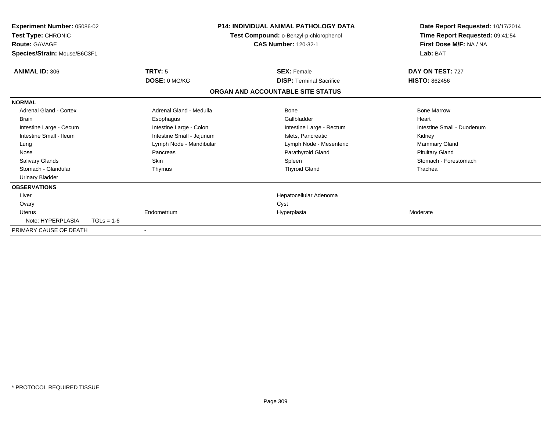| Experiment Number: 05086-02<br>Test Type: CHRONIC<br><b>Route: GAVAGE</b><br>Species/Strain: Mouse/B6C3F1 |              | <b>P14: INDIVIDUAL ANIMAL PATHOLOGY DATA</b><br>Test Compound: o-Benzyl-p-chlorophenol<br><b>CAS Number: 120-32-1</b> |                                   | Date Report Requested: 10/17/2014<br>Time Report Requested: 09:41:54<br>First Dose M/F: NA / NA<br>Lab: BAT |
|-----------------------------------------------------------------------------------------------------------|--------------|-----------------------------------------------------------------------------------------------------------------------|-----------------------------------|-------------------------------------------------------------------------------------------------------------|
| <b>ANIMAL ID: 306</b>                                                                                     |              | TRT#: 5                                                                                                               | <b>SEX: Female</b>                | DAY ON TEST: 727                                                                                            |
|                                                                                                           |              | DOSE: 0 MG/KG                                                                                                         | <b>DISP: Terminal Sacrifice</b>   | <b>HISTO: 862456</b>                                                                                        |
|                                                                                                           |              |                                                                                                                       | ORGAN AND ACCOUNTABLE SITE STATUS |                                                                                                             |
| <b>NORMAL</b>                                                                                             |              |                                                                                                                       |                                   |                                                                                                             |
| <b>Adrenal Gland - Cortex</b>                                                                             |              | Adrenal Gland - Medulla                                                                                               | Bone                              | <b>Bone Marrow</b>                                                                                          |
| <b>Brain</b>                                                                                              |              | Esophagus                                                                                                             | Gallbladder                       | Heart                                                                                                       |
| Intestine Large - Cecum                                                                                   |              | Intestine Large - Colon                                                                                               | Intestine Large - Rectum          | Intestine Small - Duodenum                                                                                  |
| Intestine Small - Ileum                                                                                   |              | Intestine Small - Jejunum                                                                                             | Islets. Pancreatic                | Kidney                                                                                                      |
| Lung                                                                                                      |              | Lymph Node - Mandibular                                                                                               | Lymph Node - Mesenteric           | Mammary Gland                                                                                               |
| Nose                                                                                                      |              | Pancreas                                                                                                              | Parathyroid Gland                 | <b>Pituitary Gland</b>                                                                                      |
| <b>Salivary Glands</b>                                                                                    |              | <b>Skin</b>                                                                                                           | Spleen                            | Stomach - Forestomach                                                                                       |
| Stomach - Glandular                                                                                       |              | Thymus                                                                                                                | <b>Thyroid Gland</b>              | Trachea                                                                                                     |
| <b>Urinary Bladder</b>                                                                                    |              |                                                                                                                       |                                   |                                                                                                             |
| <b>OBSERVATIONS</b>                                                                                       |              |                                                                                                                       |                                   |                                                                                                             |
| Liver                                                                                                     |              |                                                                                                                       | Hepatocellular Adenoma            |                                                                                                             |
| Ovary                                                                                                     |              |                                                                                                                       | Cyst                              |                                                                                                             |
| <b>Uterus</b>                                                                                             |              | Endometrium                                                                                                           | Hyperplasia                       | Moderate                                                                                                    |
| Note: HYPERPLASIA                                                                                         | $TGLs = 1-6$ |                                                                                                                       |                                   |                                                                                                             |
| PRIMARY CAUSE OF DEATH                                                                                    |              |                                                                                                                       |                                   |                                                                                                             |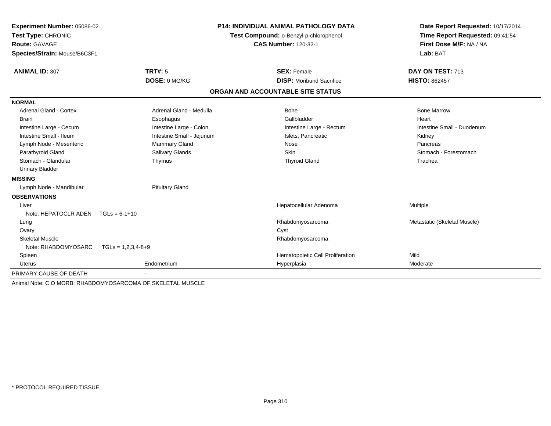| Experiment Number: 05086-02          |                                                            | <b>P14: INDIVIDUAL ANIMAL PATHOLOGY DATA</b> | Date Report Requested: 10/17/2014 |
|--------------------------------------|------------------------------------------------------------|----------------------------------------------|-----------------------------------|
| Test Type: CHRONIC                   |                                                            | Test Compound: o-Benzyl-p-chlorophenol       | Time Report Requested: 09:41:54   |
| <b>Route: GAVAGE</b>                 |                                                            | <b>CAS Number: 120-32-1</b>                  | First Dose M/F: NA / NA           |
| Species/Strain: Mouse/B6C3F1         |                                                            |                                              | Lab: BAT                          |
| <b>ANIMAL ID: 307</b>                | <b>TRT#: 5</b>                                             | <b>SEX: Female</b>                           | DAY ON TEST: 713                  |
|                                      | DOSE: 0 MG/KG                                              | <b>DISP:</b> Moribund Sacrifice              | <b>HISTO: 862457</b>              |
|                                      |                                                            | ORGAN AND ACCOUNTABLE SITE STATUS            |                                   |
| <b>NORMAL</b>                        |                                                            |                                              |                                   |
| <b>Adrenal Gland - Cortex</b>        | Adrenal Gland - Medulla                                    | Bone                                         | <b>Bone Marrow</b>                |
| <b>Brain</b>                         | Esophagus                                                  | Gallbladder                                  | Heart                             |
| Intestine Large - Cecum              | Intestine Large - Colon                                    | Intestine Large - Rectum                     | Intestine Small - Duodenum        |
| Intestine Small - Ileum              | Intestine Small - Jejunum                                  | Islets, Pancreatic                           | Kidney                            |
| Lymph Node - Mesenteric              | <b>Mammary Gland</b>                                       | Nose                                         | Pancreas                          |
| Parathyroid Gland                    | Salivary Glands                                            | <b>Skin</b>                                  | Stomach - Forestomach             |
| Stomach - Glandular                  | Thymus                                                     | <b>Thyroid Gland</b>                         | Trachea                           |
| <b>Urinary Bladder</b>               |                                                            |                                              |                                   |
| <b>MISSING</b>                       |                                                            |                                              |                                   |
| Lymph Node - Mandibular              | <b>Pituitary Gland</b>                                     |                                              |                                   |
| <b>OBSERVATIONS</b>                  |                                                            |                                              |                                   |
| Liver                                |                                                            | Hepatocellular Adenoma                       | Multiple                          |
| Note: HEPATOCLR ADEN $TGLs = 6-1+10$ |                                                            |                                              |                                   |
| Lung                                 |                                                            | Rhabdomyosarcoma                             | Metastatic (Skeletal Muscle)      |
| Ovary                                |                                                            | Cyst                                         |                                   |
| <b>Skeletal Muscle</b>               |                                                            | Rhabdomyosarcoma                             |                                   |
| Note: RHABDOMYOSARC                  | $TGLS = 1,2,3,4-8+9$                                       |                                              |                                   |
| Spleen                               |                                                            | Hematopoietic Cell Proliferation             | Mild                              |
| <b>Uterus</b>                        | Endometrium                                                | Hyperplasia                                  | Moderate                          |
| PRIMARY CAUSE OF DEATH               |                                                            |                                              |                                   |
|                                      | Animal Note: C O MORB: RHABDOMYOSARCOMA OF SKELETAL MUSCLE |                                              |                                   |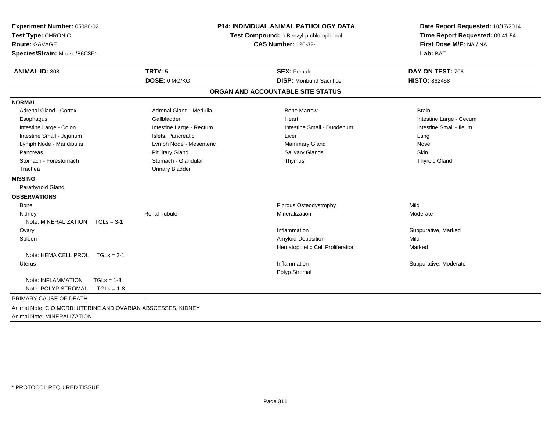| Experiment Number: 05086-02<br>Test Type: CHRONIC<br><b>Route: GAVAGE</b><br>Species/Strain: Mouse/B6C3F1 | <b>P14: INDIVIDUAL ANIMAL PATHOLOGY DATA</b><br>Test Compound: o-Benzyl-p-chlorophenol<br><b>CAS Number: 120-32-1</b> |                                   | Date Report Requested: 10/17/2014<br>Time Report Requested: 09:41:54<br>First Dose M/F: NA / NA<br>Lab: BAT |
|-----------------------------------------------------------------------------------------------------------|-----------------------------------------------------------------------------------------------------------------------|-----------------------------------|-------------------------------------------------------------------------------------------------------------|
| <b>ANIMAL ID: 308</b>                                                                                     | <b>TRT#: 5</b>                                                                                                        | <b>SEX: Female</b>                | DAY ON TEST: 706                                                                                            |
|                                                                                                           | DOSE: 0 MG/KG                                                                                                         | <b>DISP:</b> Moribund Sacrifice   | <b>HISTO: 862458</b>                                                                                        |
|                                                                                                           |                                                                                                                       | ORGAN AND ACCOUNTABLE SITE STATUS |                                                                                                             |
| <b>NORMAL</b>                                                                                             |                                                                                                                       |                                   |                                                                                                             |
| <b>Adrenal Gland - Cortex</b>                                                                             | Adrenal Gland - Medulla                                                                                               | <b>Bone Marrow</b>                | <b>Brain</b>                                                                                                |
| Esophagus                                                                                                 | Gallbladder                                                                                                           | Heart                             | Intestine Large - Cecum                                                                                     |
| Intestine Large - Colon                                                                                   | Intestine Large - Rectum                                                                                              | Intestine Small - Duodenum        | Intestine Small - Ileum                                                                                     |
| Intestine Small - Jejunum                                                                                 | Islets, Pancreatic                                                                                                    | Liver                             | Lung                                                                                                        |
| Lymph Node - Mandibular                                                                                   | Lymph Node - Mesenteric                                                                                               | Mammary Gland                     | Nose                                                                                                        |
| Pancreas                                                                                                  | <b>Pituitary Gland</b>                                                                                                | <b>Salivary Glands</b>            | Skin                                                                                                        |
| Stomach - Forestomach                                                                                     | Stomach - Glandular                                                                                                   | Thymus                            | <b>Thyroid Gland</b>                                                                                        |
| Trachea                                                                                                   | <b>Urinary Bladder</b>                                                                                                |                                   |                                                                                                             |
| <b>MISSING</b>                                                                                            |                                                                                                                       |                                   |                                                                                                             |
| Parathyroid Gland                                                                                         |                                                                                                                       |                                   |                                                                                                             |
| <b>OBSERVATIONS</b>                                                                                       |                                                                                                                       |                                   |                                                                                                             |
| Bone                                                                                                      |                                                                                                                       | Fibrous Osteodystrophy            | Mild                                                                                                        |
| Kidney                                                                                                    | <b>Renal Tubule</b>                                                                                                   | Mineralization                    | Moderate                                                                                                    |
| Note: MINERALIZATION<br>$TGLs = 3-1$                                                                      |                                                                                                                       |                                   |                                                                                                             |
| Ovary                                                                                                     |                                                                                                                       | Inflammation                      | Suppurative, Marked                                                                                         |
| Spleen                                                                                                    |                                                                                                                       | Amyloid Deposition                | Mild                                                                                                        |
|                                                                                                           |                                                                                                                       | Hematopoietic Cell Proliferation  | Marked                                                                                                      |
| Note: HEMA CELL PROL TGLs = 2-1                                                                           |                                                                                                                       |                                   |                                                                                                             |
| <b>Uterus</b>                                                                                             |                                                                                                                       | Inflammation                      | Suppurative, Moderate                                                                                       |
|                                                                                                           |                                                                                                                       | Polyp Stromal                     |                                                                                                             |
| Note: INFLAMMATION<br>$TGLs = 1-8$                                                                        |                                                                                                                       |                                   |                                                                                                             |
| Note: POLYP STROMAL<br>$TGLs = 1-8$                                                                       |                                                                                                                       |                                   |                                                                                                             |
| PRIMARY CAUSE OF DEATH                                                                                    |                                                                                                                       |                                   |                                                                                                             |
| Animal Note: C O MORB: UTERINE AND OVARIAN ABSCESSES, KIDNEY<br>Animal Note: MINERALIZATION               |                                                                                                                       |                                   |                                                                                                             |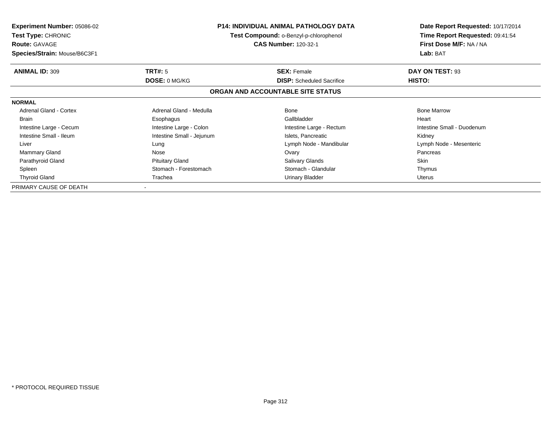| <b>Experiment Number: 05086-02</b><br><b>Test Type: CHRONIC</b><br><b>Route: GAVAGE</b> |                           | <b>P14: INDIVIDUAL ANIMAL PATHOLOGY DATA</b><br>Test Compound: o-Benzyl-p-chlorophenol<br><b>CAS Number: 120-32-1</b> | Date Report Requested: 10/17/2014<br>Time Report Requested: 09:41:54<br>First Dose M/F: NA / NA |  |
|-----------------------------------------------------------------------------------------|---------------------------|-----------------------------------------------------------------------------------------------------------------------|-------------------------------------------------------------------------------------------------|--|
| Species/Strain: Mouse/B6C3F1                                                            |                           |                                                                                                                       | Lab: BAT                                                                                        |  |
| <b>ANIMAL ID: 309</b>                                                                   | <b>TRT#: 5</b>            | <b>SEX: Female</b>                                                                                                    | DAY ON TEST: 93                                                                                 |  |
|                                                                                         | DOSE: 0 MG/KG             | <b>DISP:</b> Scheduled Sacrifice                                                                                      | <b>HISTO:</b>                                                                                   |  |
|                                                                                         |                           | ORGAN AND ACCOUNTABLE SITE STATUS                                                                                     |                                                                                                 |  |
| <b>NORMAL</b>                                                                           |                           |                                                                                                                       |                                                                                                 |  |
| <b>Adrenal Gland - Cortex</b>                                                           | Adrenal Gland - Medulla   | Bone                                                                                                                  | <b>Bone Marrow</b>                                                                              |  |
| <b>Brain</b>                                                                            | Esophagus                 | Gallbladder                                                                                                           | Heart                                                                                           |  |
| Intestine Large - Cecum                                                                 | Intestine Large - Colon   | Intestine Large - Rectum                                                                                              | Intestine Small - Duodenum                                                                      |  |
| Intestine Small - Ileum                                                                 | Intestine Small - Jejunum | Islets, Pancreatic                                                                                                    | Kidney                                                                                          |  |
| Liver                                                                                   | Lung                      | Lymph Node - Mandibular                                                                                               | Lymph Node - Mesenteric                                                                         |  |
| Mammary Gland                                                                           | Nose                      | Ovary                                                                                                                 | Pancreas                                                                                        |  |
| Parathyroid Gland                                                                       | <b>Pituitary Gland</b>    | <b>Salivary Glands</b>                                                                                                | Skin                                                                                            |  |
| Spleen                                                                                  | Stomach - Forestomach     | Stomach - Glandular                                                                                                   | Thymus                                                                                          |  |
| <b>Thyroid Gland</b>                                                                    | Trachea                   | Urinary Bladder                                                                                                       | Uterus                                                                                          |  |
| PRIMARY CAUSE OF DEATH                                                                  |                           |                                                                                                                       |                                                                                                 |  |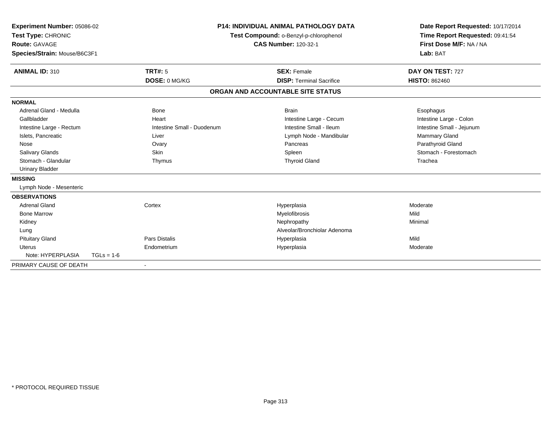| Experiment Number: 05086-02<br>Test Type: CHRONIC<br><b>Route: GAVAGE</b><br>Species/Strain: Mouse/B6C3F1 |              |                            | <b>P14: INDIVIDUAL ANIMAL PATHOLOGY DATA</b><br>Test Compound: o-Benzyl-p-chlorophenol<br><b>CAS Number: 120-32-1</b> |                                   | Date Report Requested: 10/17/2014<br>Time Report Requested: 09:41:54<br>First Dose M/F: NA / NA<br>Lab: BAT |  |
|-----------------------------------------------------------------------------------------------------------|--------------|----------------------------|-----------------------------------------------------------------------------------------------------------------------|-----------------------------------|-------------------------------------------------------------------------------------------------------------|--|
| <b>ANIMAL ID: 310</b>                                                                                     |              | <b>TRT#: 5</b>             |                                                                                                                       | <b>SEX: Female</b>                | DAY ON TEST: 727                                                                                            |  |
|                                                                                                           |              | DOSE: 0 MG/KG              |                                                                                                                       | <b>DISP: Terminal Sacrifice</b>   | <b>HISTO: 862460</b>                                                                                        |  |
|                                                                                                           |              |                            |                                                                                                                       | ORGAN AND ACCOUNTABLE SITE STATUS |                                                                                                             |  |
| <b>NORMAL</b>                                                                                             |              |                            |                                                                                                                       |                                   |                                                                                                             |  |
| Adrenal Gland - Medulla                                                                                   |              | <b>Bone</b>                |                                                                                                                       | <b>Brain</b>                      | Esophagus                                                                                                   |  |
| Gallbladder                                                                                               |              | Heart                      |                                                                                                                       | Intestine Large - Cecum           | Intestine Large - Colon                                                                                     |  |
| Intestine Large - Rectum                                                                                  |              | Intestine Small - Duodenum |                                                                                                                       | Intestine Small - Ileum           | Intestine Small - Jejunum                                                                                   |  |
| Islets, Pancreatic                                                                                        |              | Liver                      |                                                                                                                       | Lymph Node - Mandibular           | Mammary Gland                                                                                               |  |
| Nose                                                                                                      |              | Ovary                      |                                                                                                                       | Pancreas                          | Parathyroid Gland                                                                                           |  |
| Salivary Glands                                                                                           |              | Skin                       |                                                                                                                       | Spleen                            | Stomach - Forestomach                                                                                       |  |
| Stomach - Glandular                                                                                       |              | Thymus                     |                                                                                                                       | <b>Thyroid Gland</b>              | Trachea                                                                                                     |  |
| <b>Urinary Bladder</b>                                                                                    |              |                            |                                                                                                                       |                                   |                                                                                                             |  |
| <b>MISSING</b>                                                                                            |              |                            |                                                                                                                       |                                   |                                                                                                             |  |
| Lymph Node - Mesenteric                                                                                   |              |                            |                                                                                                                       |                                   |                                                                                                             |  |
| <b>OBSERVATIONS</b>                                                                                       |              |                            |                                                                                                                       |                                   |                                                                                                             |  |
| <b>Adrenal Gland</b>                                                                                      |              | Cortex                     |                                                                                                                       | Hyperplasia                       | Moderate                                                                                                    |  |
| <b>Bone Marrow</b>                                                                                        |              |                            |                                                                                                                       | Myelofibrosis                     | Mild                                                                                                        |  |
| Kidney                                                                                                    |              |                            |                                                                                                                       | Nephropathy                       | Minimal                                                                                                     |  |
| Lung                                                                                                      |              |                            |                                                                                                                       | Alveolar/Bronchiolar Adenoma      |                                                                                                             |  |
| <b>Pituitary Gland</b>                                                                                    |              | Pars Distalis              |                                                                                                                       | Hyperplasia                       | Mild                                                                                                        |  |
| <b>Uterus</b>                                                                                             |              | Endometrium                |                                                                                                                       | Hyperplasia                       | Moderate                                                                                                    |  |
| Note: HYPERPLASIA                                                                                         | $TGLs = 1-6$ |                            |                                                                                                                       |                                   |                                                                                                             |  |
| PRIMARY CAUSE OF DEATH                                                                                    |              |                            |                                                                                                                       |                                   |                                                                                                             |  |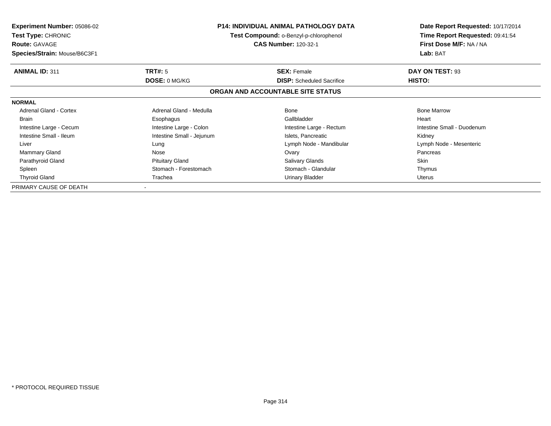| <b>Experiment Number: 05086-02</b><br><b>Test Type: CHRONIC</b><br><b>Route: GAVAGE</b> |                           | <b>P14: INDIVIDUAL ANIMAL PATHOLOGY DATA</b><br>Test Compound: o-Benzyl-p-chlorophenol<br><b>CAS Number: 120-32-1</b> | Date Report Requested: 10/17/2014<br>Time Report Requested: 09:41:54<br>First Dose M/F: NA / NA |  |
|-----------------------------------------------------------------------------------------|---------------------------|-----------------------------------------------------------------------------------------------------------------------|-------------------------------------------------------------------------------------------------|--|
| Species/Strain: Mouse/B6C3F1                                                            |                           |                                                                                                                       | Lab: BAT                                                                                        |  |
| <b>ANIMAL ID: 311</b>                                                                   | <b>TRT#: 5</b>            | <b>SEX: Female</b>                                                                                                    | DAY ON TEST: 93                                                                                 |  |
|                                                                                         | DOSE: 0 MG/KG             | <b>DISP:</b> Scheduled Sacrifice                                                                                      | <b>HISTO:</b>                                                                                   |  |
|                                                                                         |                           | ORGAN AND ACCOUNTABLE SITE STATUS                                                                                     |                                                                                                 |  |
| <b>NORMAL</b>                                                                           |                           |                                                                                                                       |                                                                                                 |  |
| <b>Adrenal Gland - Cortex</b>                                                           | Adrenal Gland - Medulla   | Bone                                                                                                                  | <b>Bone Marrow</b>                                                                              |  |
| <b>Brain</b>                                                                            | Esophagus                 | Gallbladder                                                                                                           | Heart                                                                                           |  |
| Intestine Large - Cecum                                                                 | Intestine Large - Colon   | Intestine Large - Rectum                                                                                              | Intestine Small - Duodenum                                                                      |  |
| Intestine Small - Ileum                                                                 | Intestine Small - Jejunum | Islets, Pancreatic                                                                                                    | Kidney                                                                                          |  |
| Liver                                                                                   | Lung                      | Lymph Node - Mandibular                                                                                               | Lymph Node - Mesenteric                                                                         |  |
| Mammary Gland                                                                           | Nose                      | Ovary                                                                                                                 | Pancreas                                                                                        |  |
| Parathyroid Gland                                                                       | <b>Pituitary Gland</b>    | <b>Salivary Glands</b>                                                                                                | Skin                                                                                            |  |
| Spleen                                                                                  | Stomach - Forestomach     | Stomach - Glandular                                                                                                   | Thymus                                                                                          |  |
| <b>Thyroid Gland</b>                                                                    | Trachea                   | Urinary Bladder                                                                                                       | Uterus                                                                                          |  |
| PRIMARY CAUSE OF DEATH                                                                  |                           |                                                                                                                       |                                                                                                 |  |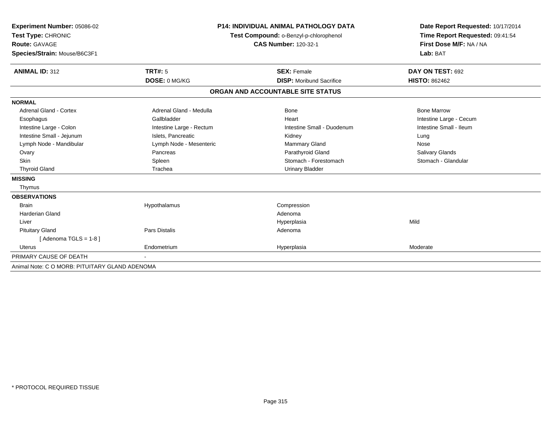| Experiment Number: 05086-02<br>Test Type: CHRONIC<br><b>Route: GAVAGE</b><br>Species/Strain: Mouse/B6C3F1<br>TRT#: 5<br><b>ANIMAL ID: 312</b> |                          | <b>P14: INDIVIDUAL ANIMAL PATHOLOGY DATA</b><br>Test Compound: o-Benzyl-p-chlorophenol<br><b>CAS Number: 120-32-1</b><br><b>SEX: Female</b> | Date Report Requested: 10/17/2014<br>Time Report Requested: 09:41:54<br>First Dose M/F: NA / NA<br>Lab: BAT<br>DAY ON TEST: 692 |  |
|-----------------------------------------------------------------------------------------------------------------------------------------------|--------------------------|---------------------------------------------------------------------------------------------------------------------------------------------|---------------------------------------------------------------------------------------------------------------------------------|--|
|                                                                                                                                               | DOSE: 0 MG/KG            | <b>DISP:</b> Moribund Sacrifice                                                                                                             | <b>HISTO: 862462</b>                                                                                                            |  |
|                                                                                                                                               |                          | ORGAN AND ACCOUNTABLE SITE STATUS                                                                                                           |                                                                                                                                 |  |
| <b>NORMAL</b>                                                                                                                                 |                          |                                                                                                                                             |                                                                                                                                 |  |
| <b>Adrenal Gland - Cortex</b>                                                                                                                 | Adrenal Gland - Medulla  | Bone                                                                                                                                        | <b>Bone Marrow</b>                                                                                                              |  |
| Esophagus                                                                                                                                     | Gallbladder              | Heart                                                                                                                                       | Intestine Large - Cecum                                                                                                         |  |
| Intestine Large - Colon                                                                                                                       | Intestine Large - Rectum | Intestine Small - Duodenum                                                                                                                  | Intestine Small - Ileum                                                                                                         |  |
| Intestine Small - Jejunum                                                                                                                     | Islets, Pancreatic       | Kidney                                                                                                                                      | Lung                                                                                                                            |  |
| Lymph Node - Mandibular                                                                                                                       | Lymph Node - Mesenteric  | <b>Mammary Gland</b>                                                                                                                        | Nose                                                                                                                            |  |
| Ovary                                                                                                                                         | Pancreas                 | Parathyroid Gland                                                                                                                           | Salivary Glands                                                                                                                 |  |
| Skin                                                                                                                                          | Spleen                   | Stomach - Forestomach                                                                                                                       | Stomach - Glandular                                                                                                             |  |
| <b>Thyroid Gland</b>                                                                                                                          | Trachea                  | <b>Urinary Bladder</b>                                                                                                                      |                                                                                                                                 |  |
| <b>MISSING</b>                                                                                                                                |                          |                                                                                                                                             |                                                                                                                                 |  |
| Thymus                                                                                                                                        |                          |                                                                                                                                             |                                                                                                                                 |  |
| <b>OBSERVATIONS</b>                                                                                                                           |                          |                                                                                                                                             |                                                                                                                                 |  |
| <b>Brain</b>                                                                                                                                  | Hypothalamus             | Compression                                                                                                                                 |                                                                                                                                 |  |
| Harderian Gland                                                                                                                               |                          | Adenoma                                                                                                                                     |                                                                                                                                 |  |
| Liver                                                                                                                                         |                          | Hyperplasia                                                                                                                                 | Mild                                                                                                                            |  |
| <b>Pituitary Gland</b>                                                                                                                        | Pars Distalis            | Adenoma                                                                                                                                     |                                                                                                                                 |  |
| [Adenoma TGLS = 1-8]                                                                                                                          |                          |                                                                                                                                             |                                                                                                                                 |  |
| <b>Uterus</b>                                                                                                                                 | Endometrium              | Hyperplasia                                                                                                                                 | Moderate                                                                                                                        |  |
| PRIMARY CAUSE OF DEATH                                                                                                                        |                          |                                                                                                                                             |                                                                                                                                 |  |
| Animal Note: C O MORB: PITUITARY GLAND ADENOMA                                                                                                |                          |                                                                                                                                             |                                                                                                                                 |  |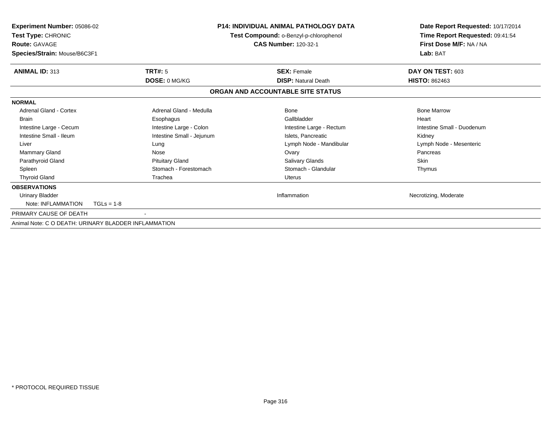| Experiment Number: 05086-02<br>Test Type: CHRONIC<br><b>Route: GAVAGE</b><br>Species/Strain: Mouse/B6C3F1 |                           | <b>P14: INDIVIDUAL ANIMAL PATHOLOGY DATA</b><br>Test Compound: o-Benzyl-p-chlorophenol<br><b>CAS Number: 120-32-1</b> | Date Report Requested: 10/17/2014<br>Time Report Requested: 09:41:54<br>First Dose M/F: NA / NA<br>Lab: BAT |  |
|-----------------------------------------------------------------------------------------------------------|---------------------------|-----------------------------------------------------------------------------------------------------------------------|-------------------------------------------------------------------------------------------------------------|--|
| <b>ANIMAL ID: 313</b>                                                                                     | TRT#: 5                   | <b>SEX: Female</b>                                                                                                    | DAY ON TEST: 603                                                                                            |  |
|                                                                                                           | DOSE: 0 MG/KG             | <b>DISP: Natural Death</b>                                                                                            | <b>HISTO: 862463</b>                                                                                        |  |
|                                                                                                           |                           | ORGAN AND ACCOUNTABLE SITE STATUS                                                                                     |                                                                                                             |  |
| <b>NORMAL</b>                                                                                             |                           |                                                                                                                       |                                                                                                             |  |
| Adrenal Gland - Cortex                                                                                    | Adrenal Gland - Medulla   | Bone                                                                                                                  | <b>Bone Marrow</b>                                                                                          |  |
| <b>Brain</b>                                                                                              | Esophagus                 | Gallbladder                                                                                                           | Heart                                                                                                       |  |
| Intestine Large - Cecum                                                                                   | Intestine Large - Colon   | Intestine Large - Rectum                                                                                              | Intestine Small - Duodenum                                                                                  |  |
| Intestine Small - Ileum                                                                                   | Intestine Small - Jejunum | Islets. Pancreatic                                                                                                    | Kidney                                                                                                      |  |
| Liver                                                                                                     | Lung                      | Lymph Node - Mandibular                                                                                               | Lymph Node - Mesenteric                                                                                     |  |
| Mammary Gland                                                                                             | Nose                      | Ovary                                                                                                                 | Pancreas                                                                                                    |  |
| Parathyroid Gland                                                                                         | <b>Pituitary Gland</b>    | <b>Salivary Glands</b>                                                                                                | <b>Skin</b>                                                                                                 |  |
| Spleen                                                                                                    | Stomach - Forestomach     | Stomach - Glandular                                                                                                   | Thymus                                                                                                      |  |
| <b>Thyroid Gland</b>                                                                                      | Trachea                   | <b>Uterus</b>                                                                                                         |                                                                                                             |  |
| <b>OBSERVATIONS</b>                                                                                       |                           |                                                                                                                       |                                                                                                             |  |
| <b>Urinary Bladder</b>                                                                                    |                           | Inflammation                                                                                                          | Necrotizing, Moderate                                                                                       |  |
| Note: INFLAMMATION<br>$TGLs = 1-8$                                                                        |                           |                                                                                                                       |                                                                                                             |  |
| PRIMARY CAUSE OF DEATH                                                                                    |                           |                                                                                                                       |                                                                                                             |  |
| Animal Note: C O DEATH: URINARY BLADDER INFLAMMATION                                                      |                           |                                                                                                                       |                                                                                                             |  |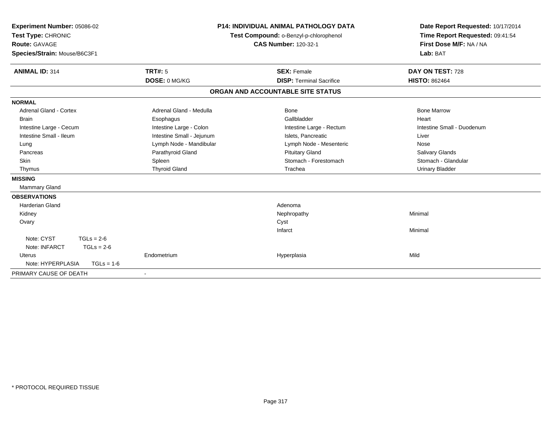| Experiment Number: 05086-02<br>Test Type: CHRONIC |                           | P14: INDIVIDUAL ANIMAL PATHOLOGY DATA<br>Test Compound: o-Benzyl-p-chlorophenol | Date Report Requested: 10/17/2014<br>Time Report Requested: 09:41:54 |
|---------------------------------------------------|---------------------------|---------------------------------------------------------------------------------|----------------------------------------------------------------------|
| <b>Route: GAVAGE</b>                              |                           | <b>CAS Number: 120-32-1</b>                                                     | First Dose M/F: NA / NA                                              |
|                                                   |                           |                                                                                 | Lab: BAT                                                             |
| Species/Strain: Mouse/B6C3F1                      |                           |                                                                                 |                                                                      |
| <b>ANIMAL ID: 314</b>                             | <b>TRT#: 5</b>            | <b>SEX: Female</b>                                                              | DAY ON TEST: 728                                                     |
|                                                   | DOSE: 0 MG/KG             | <b>DISP: Terminal Sacrifice</b>                                                 | <b>HISTO: 862464</b>                                                 |
|                                                   |                           | ORGAN AND ACCOUNTABLE SITE STATUS                                               |                                                                      |
| <b>NORMAL</b>                                     |                           |                                                                                 |                                                                      |
| <b>Adrenal Gland - Cortex</b>                     | Adrenal Gland - Medulla   | <b>Bone</b>                                                                     | <b>Bone Marrow</b>                                                   |
| <b>Brain</b>                                      | Esophagus                 | Gallbladder                                                                     | Heart                                                                |
| Intestine Large - Cecum                           | Intestine Large - Colon   | Intestine Large - Rectum                                                        | Intestine Small - Duodenum                                           |
| Intestine Small - Ileum                           | Intestine Small - Jejunum | Islets, Pancreatic                                                              | Liver                                                                |
| Lung                                              | Lymph Node - Mandibular   | Lymph Node - Mesenteric                                                         | Nose                                                                 |
| Pancreas                                          | Parathyroid Gland         | <b>Pituitary Gland</b>                                                          | Salivary Glands                                                      |
| Skin                                              | Spleen                    | Stomach - Forestomach                                                           | Stomach - Glandular                                                  |
| Thymus                                            | <b>Thyroid Gland</b>      | Trachea                                                                         | <b>Urinary Bladder</b>                                               |
| <b>MISSING</b>                                    |                           |                                                                                 |                                                                      |
| Mammary Gland                                     |                           |                                                                                 |                                                                      |
| <b>OBSERVATIONS</b>                               |                           |                                                                                 |                                                                      |
| <b>Harderian Gland</b>                            |                           | Adenoma                                                                         |                                                                      |
| Kidney                                            |                           | Nephropathy                                                                     | Minimal                                                              |
| Ovary                                             |                           | Cyst                                                                            |                                                                      |
|                                                   |                           | Infarct                                                                         | Minimal                                                              |
| Note: CYST<br>$TGLs = 2-6$                        |                           |                                                                                 |                                                                      |
| Note: INFARCT<br>$TGLs = 2-6$                     |                           |                                                                                 |                                                                      |
| <b>Uterus</b>                                     | Endometrium               | Hyperplasia                                                                     | Mild                                                                 |
| Note: HYPERPLASIA<br>$TGLs = 1-6$                 |                           |                                                                                 |                                                                      |
| PRIMARY CAUSE OF DEATH                            |                           |                                                                                 |                                                                      |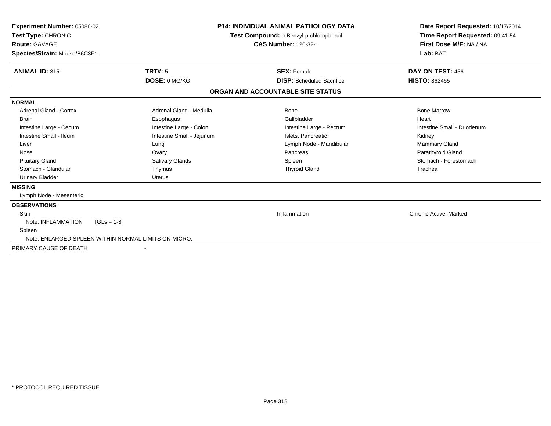| <b>Experiment Number: 05086-02</b><br>Test Type: CHRONIC<br><b>Route: GAVAGE</b><br>Species/Strain: Mouse/B6C3F1 |                                                      | <b>P14: INDIVIDUAL ANIMAL PATHOLOGY DATA</b><br>Test Compound: o-Benzyl-p-chlorophenol<br><b>CAS Number: 120-32-1</b> | Date Report Requested: 10/17/2014<br>Time Report Requested: 09:41:54<br>First Dose M/F: NA / NA<br>Lab: BAT |
|------------------------------------------------------------------------------------------------------------------|------------------------------------------------------|-----------------------------------------------------------------------------------------------------------------------|-------------------------------------------------------------------------------------------------------------|
| <b>ANIMAL ID: 315</b>                                                                                            | TRT#: 5                                              | <b>SEX: Female</b>                                                                                                    | DAY ON TEST: 456                                                                                            |
|                                                                                                                  | DOSE: 0 MG/KG                                        | <b>DISP:</b> Scheduled Sacrifice                                                                                      | <b>HISTO: 862465</b>                                                                                        |
|                                                                                                                  |                                                      | ORGAN AND ACCOUNTABLE SITE STATUS                                                                                     |                                                                                                             |
| <b>NORMAL</b>                                                                                                    |                                                      |                                                                                                                       |                                                                                                             |
| Adrenal Gland - Cortex                                                                                           | Adrenal Gland - Medulla                              | Bone                                                                                                                  | <b>Bone Marrow</b>                                                                                          |
| <b>Brain</b>                                                                                                     | Esophagus                                            | Gallbladder                                                                                                           | Heart                                                                                                       |
| Intestine Large - Cecum                                                                                          | Intestine Large - Colon                              | Intestine Large - Rectum                                                                                              | Intestine Small - Duodenum                                                                                  |
| Intestine Small - Ileum                                                                                          | Intestine Small - Jejunum                            | Islets, Pancreatic                                                                                                    | Kidney                                                                                                      |
| Liver                                                                                                            | Lung                                                 | Lymph Node - Mandibular                                                                                               | Mammary Gland                                                                                               |
| Nose                                                                                                             | Ovary                                                | Pancreas                                                                                                              | Parathyroid Gland                                                                                           |
| <b>Pituitary Gland</b>                                                                                           | Salivary Glands                                      | Spleen                                                                                                                | Stomach - Forestomach                                                                                       |
| Stomach - Glandular                                                                                              | Thymus                                               | <b>Thyroid Gland</b>                                                                                                  | Trachea                                                                                                     |
| <b>Urinary Bladder</b>                                                                                           | Uterus                                               |                                                                                                                       |                                                                                                             |
| <b>MISSING</b>                                                                                                   |                                                      |                                                                                                                       |                                                                                                             |
| Lymph Node - Mesenteric                                                                                          |                                                      |                                                                                                                       |                                                                                                             |
| <b>OBSERVATIONS</b>                                                                                              |                                                      |                                                                                                                       |                                                                                                             |
| Skin                                                                                                             |                                                      | Inflammation                                                                                                          | Chronic Active, Marked                                                                                      |
| Note: INFLAMMATION                                                                                               | $TGLs = 1-8$                                         |                                                                                                                       |                                                                                                             |
| Spleen                                                                                                           |                                                      |                                                                                                                       |                                                                                                             |
|                                                                                                                  | Note: ENLARGED SPLEEN WITHIN NORMAL LIMITS ON MICRO. |                                                                                                                       |                                                                                                             |
| PRIMARY CAUSE OF DEATH                                                                                           |                                                      |                                                                                                                       |                                                                                                             |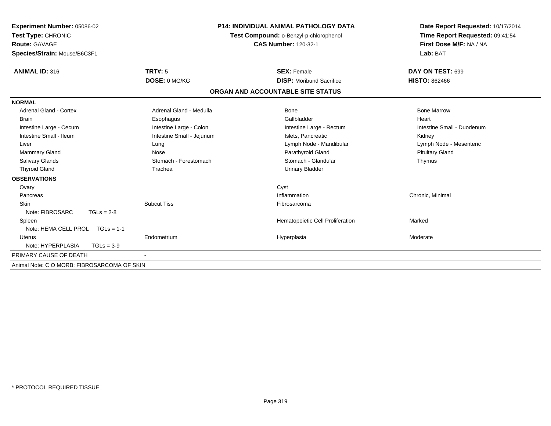| Experiment Number: 05086-02                 |                           | <b>P14: INDIVIDUAL ANIMAL PATHOLOGY DATA</b> | Date Report Requested: 10/17/2014 |  |
|---------------------------------------------|---------------------------|----------------------------------------------|-----------------------------------|--|
| Test Type: CHRONIC                          |                           | Test Compound: o-Benzyl-p-chlorophenol       | Time Report Requested: 09:41:54   |  |
| <b>Route: GAVAGE</b>                        |                           | <b>CAS Number: 120-32-1</b>                  | First Dose M/F: NA / NA           |  |
| Species/Strain: Mouse/B6C3F1                |                           |                                              | Lab: BAT                          |  |
| ANIMAL ID: 316                              | <b>TRT#: 5</b>            | <b>SEX: Female</b>                           | DAY ON TEST: 699                  |  |
|                                             | DOSE: 0 MG/KG             | <b>DISP:</b> Moribund Sacrifice              | <b>HISTO: 862466</b>              |  |
|                                             |                           | ORGAN AND ACCOUNTABLE SITE STATUS            |                                   |  |
| <b>NORMAL</b>                               |                           |                                              |                                   |  |
| <b>Adrenal Gland - Cortex</b>               | Adrenal Gland - Medulla   | Bone                                         | <b>Bone Marrow</b>                |  |
| <b>Brain</b>                                | Esophagus                 | Gallbladder                                  | Heart                             |  |
| Intestine Large - Cecum                     | Intestine Large - Colon   | Intestine Large - Rectum                     | Intestine Small - Duodenum        |  |
| Intestine Small - Ileum                     | Intestine Small - Jejunum | Islets, Pancreatic                           | Kidney                            |  |
| Liver                                       | Lung                      | Lymph Node - Mandibular                      | Lymph Node - Mesenteric           |  |
| Mammary Gland                               | Nose                      | Parathyroid Gland                            | <b>Pituitary Gland</b>            |  |
| Salivary Glands                             | Stomach - Forestomach     | Stomach - Glandular                          | Thymus                            |  |
| <b>Thyroid Gland</b>                        | Trachea                   | <b>Urinary Bladder</b>                       |                                   |  |
| <b>OBSERVATIONS</b>                         |                           |                                              |                                   |  |
| Ovary                                       |                           | Cyst                                         |                                   |  |
| Pancreas                                    |                           | Inflammation                                 | Chronic, Minimal                  |  |
| <b>Skin</b>                                 | <b>Subcut Tiss</b>        | Fibrosarcoma                                 |                                   |  |
| Note: FIBROSARC<br>$TGLs = 2-8$             |                           |                                              |                                   |  |
| Spleen                                      |                           | Hematopoietic Cell Proliferation             | Marked                            |  |
| Note: HEMA CELL PROL TGLs = 1-1             |                           |                                              |                                   |  |
| <b>Uterus</b>                               | Endometrium               | Hyperplasia                                  | Moderate                          |  |
| Note: HYPERPLASIA<br>$TGLs = 3-9$           |                           |                                              |                                   |  |
| PRIMARY CAUSE OF DEATH                      |                           |                                              |                                   |  |
| Animal Note: C O MORB: FIBROSARCOMA OF SKIN |                           |                                              |                                   |  |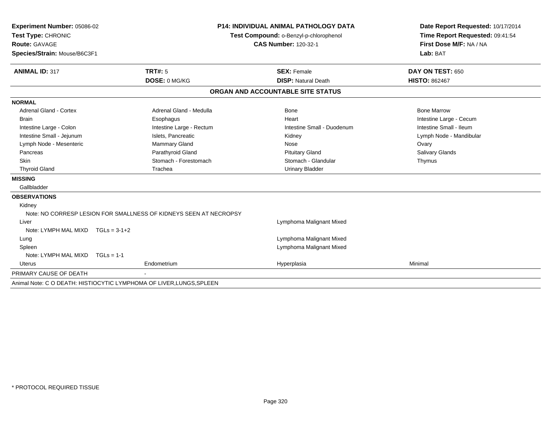| Experiment Number: 05086-02       |                                                                      | <b>P14: INDIVIDUAL ANIMAL PATHOLOGY DATA</b> | Date Report Requested: 10/17/2014 |
|-----------------------------------|----------------------------------------------------------------------|----------------------------------------------|-----------------------------------|
| Test Type: CHRONIC                |                                                                      | Test Compound: o-Benzyl-p-chlorophenol       | Time Report Requested: 09:41:54   |
| <b>Route: GAVAGE</b>              |                                                                      | <b>CAS Number: 120-32-1</b>                  | First Dose M/F: NA / NA           |
| Species/Strain: Mouse/B6C3F1      |                                                                      |                                              | Lab: BAT                          |
|                                   |                                                                      |                                              |                                   |
| <b>ANIMAL ID: 317</b>             | TRT#: 5                                                              | <b>SEX: Female</b>                           | DAY ON TEST: 650                  |
|                                   | DOSE: 0 MG/KG                                                        | <b>DISP: Natural Death</b>                   | <b>HISTO: 862467</b>              |
|                                   |                                                                      | ORGAN AND ACCOUNTABLE SITE STATUS            |                                   |
| <b>NORMAL</b>                     |                                                                      |                                              |                                   |
| <b>Adrenal Gland - Cortex</b>     | Adrenal Gland - Medulla                                              | Bone                                         | <b>Bone Marrow</b>                |
| <b>Brain</b>                      | Esophagus                                                            | Heart                                        | Intestine Large - Cecum           |
| Intestine Large - Colon           | Intestine Large - Rectum                                             | Intestine Small - Duodenum                   | Intestine Small - Ileum           |
| Intestine Small - Jejunum         | Islets, Pancreatic                                                   | Kidney                                       | Lymph Node - Mandibular           |
| Lymph Node - Mesenteric           | Mammary Gland                                                        | Nose                                         | Ovary                             |
| Pancreas                          | Parathyroid Gland                                                    | <b>Pituitary Gland</b>                       | Salivary Glands                   |
| Skin                              | Stomach - Forestomach                                                | Stomach - Glandular                          | Thymus                            |
| <b>Thyroid Gland</b>              | Trachea                                                              | <b>Urinary Bladder</b>                       |                                   |
| <b>MISSING</b>                    |                                                                      |                                              |                                   |
| Gallbladder                       |                                                                      |                                              |                                   |
| <b>OBSERVATIONS</b>               |                                                                      |                                              |                                   |
| Kidney                            |                                                                      |                                              |                                   |
|                                   | Note: NO CORRESP LESION FOR SMALLNESS OF KIDNEYS SEEN AT NECROPSY    |                                              |                                   |
| Liver                             |                                                                      | Lymphoma Malignant Mixed                     |                                   |
| Note: LYMPH MAL MIXD TGLs = 3-1+2 |                                                                      |                                              |                                   |
| Lung                              |                                                                      | Lymphoma Malignant Mixed                     |                                   |
| Spleen                            |                                                                      | Lymphoma Malignant Mixed                     |                                   |
| Note: LYMPH MAL MIXD              | $TGLs = 1-1$                                                         |                                              |                                   |
| Uterus                            | Endometrium                                                          | Hyperplasia                                  | Minimal                           |
| PRIMARY CAUSE OF DEATH            |                                                                      |                                              |                                   |
|                                   | Animal Note: C O DEATH: HISTIOCYTIC LYMPHOMA OF LIVER, LUNGS, SPLEEN |                                              |                                   |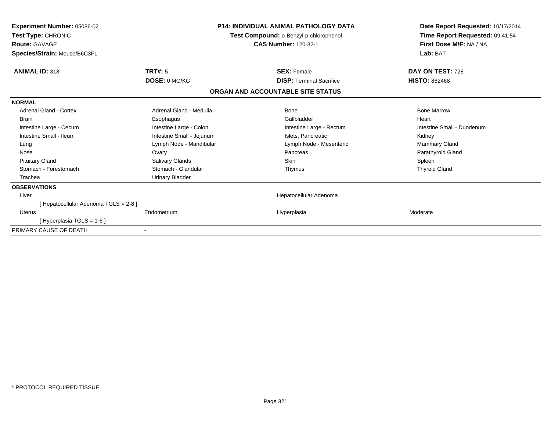| Experiment Number: 05086-02<br>Test Type: CHRONIC<br><b>Route: GAVAGE</b><br>Species/Strain: Mouse/B6C3F1 |                           | <b>P14: INDIVIDUAL ANIMAL PATHOLOGY DATA</b><br>Test Compound: o-Benzyl-p-chlorophenol<br><b>CAS Number: 120-32-1</b> | Date Report Requested: 10/17/2014<br>Time Report Requested: 09:41:54<br>First Dose M/F: NA / NA<br>Lab: BAT |
|-----------------------------------------------------------------------------------------------------------|---------------------------|-----------------------------------------------------------------------------------------------------------------------|-------------------------------------------------------------------------------------------------------------|
| <b>ANIMAL ID: 318</b>                                                                                     | TRT#: 5                   | <b>SEX: Female</b>                                                                                                    | DAY ON TEST: 728                                                                                            |
|                                                                                                           | <b>DOSE: 0 MG/KG</b>      | <b>DISP:</b> Terminal Sacrifice                                                                                       | <b>HISTO: 862468</b>                                                                                        |
|                                                                                                           |                           | ORGAN AND ACCOUNTABLE SITE STATUS                                                                                     |                                                                                                             |
| <b>NORMAL</b>                                                                                             |                           |                                                                                                                       |                                                                                                             |
| Adrenal Gland - Cortex                                                                                    | Adrenal Gland - Medulla   | <b>Bone</b>                                                                                                           | <b>Bone Marrow</b>                                                                                          |
| <b>Brain</b>                                                                                              | Esophagus                 | Gallbladder                                                                                                           | Heart                                                                                                       |
| Intestine Large - Cecum                                                                                   | Intestine Large - Colon   | Intestine Large - Rectum                                                                                              | Intestine Small - Duodenum                                                                                  |
| Intestine Small - Ileum                                                                                   | Intestine Small - Jejunum | Islets, Pancreatic                                                                                                    | Kidney                                                                                                      |
| Lung                                                                                                      | Lymph Node - Mandibular   | Lymph Node - Mesenteric                                                                                               | Mammary Gland                                                                                               |
| Nose                                                                                                      | Ovary                     | Pancreas                                                                                                              | Parathyroid Gland                                                                                           |
| <b>Pituitary Gland</b>                                                                                    | Salivary Glands           | <b>Skin</b>                                                                                                           | Spleen                                                                                                      |
| Stomach - Forestomach                                                                                     | Stomach - Glandular       | Thymus                                                                                                                | <b>Thyroid Gland</b>                                                                                        |
| Trachea                                                                                                   | Urinary Bladder           |                                                                                                                       |                                                                                                             |
| <b>OBSERVATIONS</b>                                                                                       |                           |                                                                                                                       |                                                                                                             |
| Liver                                                                                                     |                           | Hepatocellular Adenoma                                                                                                |                                                                                                             |
| [Hepatocellular Adenoma TGLS = 2-8]                                                                       |                           |                                                                                                                       |                                                                                                             |
| <b>Uterus</b>                                                                                             | Endometrium               | Hyperplasia                                                                                                           | Moderate                                                                                                    |
| [Hyperplasia TGLS = 1-6]                                                                                  |                           |                                                                                                                       |                                                                                                             |
| PRIMARY CAUSE OF DEATH                                                                                    |                           |                                                                                                                       |                                                                                                             |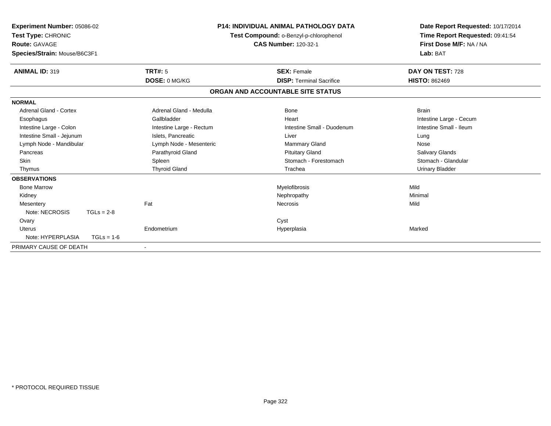| Experiment Number: 05086-02<br>Test Type: CHRONIC<br>Route: GAVAGE<br>Species/Strain: Mouse/B6C3F1 |                      | <b>P14: INDIVIDUAL ANIMAL PATHOLOGY DATA</b><br>Test Compound: o-Benzyl-p-chlorophenol<br><b>CAS Number: 120-32-1</b> |                                   | Date Report Requested: 10/17/2014<br>Time Report Requested: 09:41:54<br>First Dose M/F: NA / NA<br>Lab: BAT |  |
|----------------------------------------------------------------------------------------------------|----------------------|-----------------------------------------------------------------------------------------------------------------------|-----------------------------------|-------------------------------------------------------------------------------------------------------------|--|
| <b>ANIMAL ID: 319</b>                                                                              | <b>TRT#: 5</b>       |                                                                                                                       | <b>SEX: Female</b>                | DAY ON TEST: 728                                                                                            |  |
|                                                                                                    | DOSE: 0 MG/KG        |                                                                                                                       | <b>DISP: Terminal Sacrifice</b>   | <b>HISTO: 862469</b>                                                                                        |  |
|                                                                                                    |                      |                                                                                                                       | ORGAN AND ACCOUNTABLE SITE STATUS |                                                                                                             |  |
| <b>NORMAL</b>                                                                                      |                      |                                                                                                                       |                                   |                                                                                                             |  |
| <b>Adrenal Gland - Cortex</b>                                                                      |                      | Adrenal Gland - Medulla                                                                                               | Bone                              | <b>Brain</b>                                                                                                |  |
| Esophagus                                                                                          | Gallbladder          |                                                                                                                       | Heart                             | Intestine Large - Cecum                                                                                     |  |
| Intestine Large - Colon                                                                            |                      | Intestine Large - Rectum                                                                                              | Intestine Small - Duodenum        | Intestine Small - Ileum                                                                                     |  |
| Intestine Small - Jejunum                                                                          | Islets, Pancreatic   |                                                                                                                       | Liver                             | Lung                                                                                                        |  |
| Lymph Node - Mandibular                                                                            |                      | Lymph Node - Mesenteric                                                                                               | <b>Mammary Gland</b>              | Nose                                                                                                        |  |
| Pancreas                                                                                           | Parathyroid Gland    |                                                                                                                       | <b>Pituitary Gland</b>            | <b>Salivary Glands</b>                                                                                      |  |
| <b>Skin</b>                                                                                        | Spleen               |                                                                                                                       | Stomach - Forestomach             | Stomach - Glandular                                                                                         |  |
| Thymus                                                                                             | <b>Thyroid Gland</b> |                                                                                                                       | Trachea                           | <b>Urinary Bladder</b>                                                                                      |  |
| <b>OBSERVATIONS</b>                                                                                |                      |                                                                                                                       |                                   |                                                                                                             |  |
| <b>Bone Marrow</b>                                                                                 |                      |                                                                                                                       | Myelofibrosis                     | Mild                                                                                                        |  |
| Kidney                                                                                             |                      |                                                                                                                       | Nephropathy                       | Minimal                                                                                                     |  |
| Mesentery                                                                                          | Fat                  |                                                                                                                       | Necrosis                          | Mild                                                                                                        |  |
| Note: NECROSIS                                                                                     | $TGLs = 2-8$         |                                                                                                                       |                                   |                                                                                                             |  |
| Ovary                                                                                              |                      |                                                                                                                       | Cyst                              |                                                                                                             |  |
| Uterus                                                                                             | Endometrium          |                                                                                                                       | Hyperplasia                       | Marked                                                                                                      |  |
| Note: HYPERPLASIA                                                                                  | $TGLs = 1-6$         |                                                                                                                       |                                   |                                                                                                             |  |
| PRIMARY CAUSE OF DEATH                                                                             |                      |                                                                                                                       |                                   |                                                                                                             |  |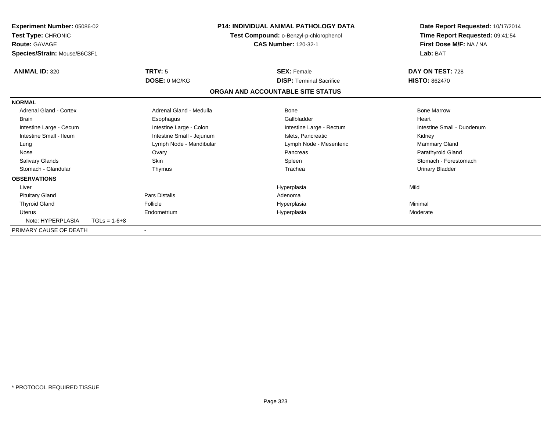| <b>Experiment Number: 05086-02</b><br>Test Type: CHRONIC<br><b>Route: GAVAGE</b><br>Species/Strain: Mouse/B6C3F1 |                | <b>P14: INDIVIDUAL ANIMAL PATHOLOGY DATA</b><br>Test Compound: o-Benzyl-p-chlorophenol<br><b>CAS Number: 120-32-1</b> |  |                                   | Date Report Requested: 10/17/2014<br>Time Report Requested: 09:41:54<br>First Dose M/F: NA / NA<br>Lab: BAT |
|------------------------------------------------------------------------------------------------------------------|----------------|-----------------------------------------------------------------------------------------------------------------------|--|-----------------------------------|-------------------------------------------------------------------------------------------------------------|
| <b>ANIMAL ID: 320</b>                                                                                            |                | TRT#: 5                                                                                                               |  | <b>SEX: Female</b>                | DAY ON TEST: 728                                                                                            |
|                                                                                                                  |                | DOSE: 0 MG/KG                                                                                                         |  | <b>DISP: Terminal Sacrifice</b>   | <b>HISTO: 862470</b>                                                                                        |
|                                                                                                                  |                |                                                                                                                       |  | ORGAN AND ACCOUNTABLE SITE STATUS |                                                                                                             |
| <b>NORMAL</b>                                                                                                    |                |                                                                                                                       |  |                                   |                                                                                                             |
| <b>Adrenal Gland - Cortex</b>                                                                                    |                | Adrenal Gland - Medulla                                                                                               |  | Bone                              | <b>Bone Marrow</b>                                                                                          |
| <b>Brain</b>                                                                                                     |                | Esophagus                                                                                                             |  | Gallbladder                       | Heart                                                                                                       |
| Intestine Large - Cecum                                                                                          |                | Intestine Large - Colon                                                                                               |  | Intestine Large - Rectum          | Intestine Small - Duodenum                                                                                  |
| Intestine Small - Ileum                                                                                          |                | Intestine Small - Jejunum                                                                                             |  | Islets. Pancreatic                | Kidney                                                                                                      |
| Lung                                                                                                             |                | Lymph Node - Mandibular                                                                                               |  | Lymph Node - Mesenteric           | <b>Mammary Gland</b>                                                                                        |
| Nose                                                                                                             |                | Ovary                                                                                                                 |  | Pancreas                          | Parathyroid Gland                                                                                           |
| Salivary Glands                                                                                                  |                | <b>Skin</b>                                                                                                           |  | Spleen                            | Stomach - Forestomach                                                                                       |
| Stomach - Glandular                                                                                              |                | Thymus                                                                                                                |  | Trachea                           | Urinary Bladder                                                                                             |
| <b>OBSERVATIONS</b>                                                                                              |                |                                                                                                                       |  |                                   |                                                                                                             |
| Liver                                                                                                            |                |                                                                                                                       |  | Hyperplasia                       | Mild                                                                                                        |
| <b>Pituitary Gland</b>                                                                                           |                | <b>Pars Distalis</b>                                                                                                  |  | Adenoma                           |                                                                                                             |
| <b>Thyroid Gland</b>                                                                                             |                | Follicle                                                                                                              |  | Hyperplasia                       | Minimal                                                                                                     |
| <b>Uterus</b>                                                                                                    |                | Endometrium                                                                                                           |  | Hyperplasia                       | Moderate                                                                                                    |
| Note: HYPERPLASIA                                                                                                | $TGLs = 1-6+8$ |                                                                                                                       |  |                                   |                                                                                                             |
| PRIMARY CAUSE OF DEATH                                                                                           |                |                                                                                                                       |  |                                   |                                                                                                             |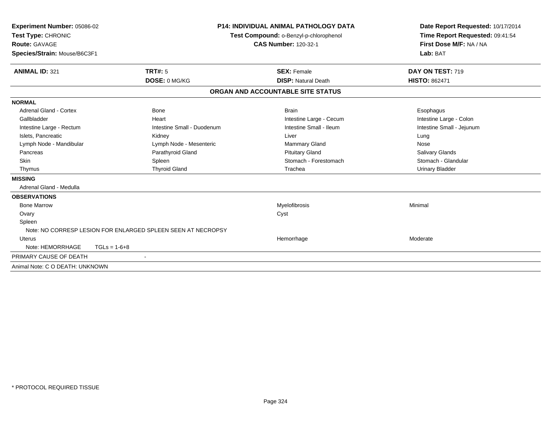| Experiment Number: 05086-02<br>Test Type: CHRONIC<br><b>Route: GAVAGE</b><br>Species/Strain: Mouse/B6C3F1 |                                                              | <b>P14: INDIVIDUAL ANIMAL PATHOLOGY DATA</b><br>Test Compound: o-Benzyl-p-chlorophenol<br><b>CAS Number: 120-32-1</b> | Date Report Requested: 10/17/2014<br>Time Report Requested: 09:41:54<br>First Dose M/F: NA / NA<br>Lab: BAT |
|-----------------------------------------------------------------------------------------------------------|--------------------------------------------------------------|-----------------------------------------------------------------------------------------------------------------------|-------------------------------------------------------------------------------------------------------------|
| <b>ANIMAL ID: 321</b>                                                                                     | TRT#: 5                                                      | <b>SEX: Female</b>                                                                                                    | DAY ON TEST: 719                                                                                            |
|                                                                                                           | DOSE: 0 MG/KG                                                | <b>DISP: Natural Death</b>                                                                                            | <b>HISTO: 862471</b>                                                                                        |
|                                                                                                           |                                                              | ORGAN AND ACCOUNTABLE SITE STATUS                                                                                     |                                                                                                             |
| <b>NORMAL</b>                                                                                             |                                                              |                                                                                                                       |                                                                                                             |
| <b>Adrenal Gland - Cortex</b>                                                                             | <b>Bone</b>                                                  | <b>Brain</b>                                                                                                          | Esophagus                                                                                                   |
| Gallbladder                                                                                               | Heart                                                        | Intestine Large - Cecum                                                                                               | Intestine Large - Colon                                                                                     |
| Intestine Large - Rectum                                                                                  | Intestine Small - Duodenum                                   | Intestine Small - Ileum                                                                                               | Intestine Small - Jejunum                                                                                   |
| Islets, Pancreatic                                                                                        | Kidney                                                       | Liver                                                                                                                 | Lung                                                                                                        |
| Lymph Node - Mandibular                                                                                   | Lymph Node - Mesenteric                                      | <b>Mammary Gland</b>                                                                                                  | Nose                                                                                                        |
| Pancreas                                                                                                  | Parathyroid Gland                                            | <b>Pituitary Gland</b>                                                                                                | Salivary Glands                                                                                             |
| Skin                                                                                                      | Spleen                                                       | Stomach - Forestomach                                                                                                 | Stomach - Glandular                                                                                         |
| Thymus                                                                                                    | <b>Thyroid Gland</b>                                         | Trachea                                                                                                               | <b>Urinary Bladder</b>                                                                                      |
| <b>MISSING</b>                                                                                            |                                                              |                                                                                                                       |                                                                                                             |
| Adrenal Gland - Medulla                                                                                   |                                                              |                                                                                                                       |                                                                                                             |
| <b>OBSERVATIONS</b>                                                                                       |                                                              |                                                                                                                       |                                                                                                             |
| <b>Bone Marrow</b>                                                                                        |                                                              | Myelofibrosis                                                                                                         | Minimal                                                                                                     |
| Ovary                                                                                                     |                                                              | Cyst                                                                                                                  |                                                                                                             |
| Spleen                                                                                                    |                                                              |                                                                                                                       |                                                                                                             |
|                                                                                                           | Note: NO CORRESP LESION FOR ENLARGED SPLEEN SEEN AT NECROPSY |                                                                                                                       |                                                                                                             |
| <b>Uterus</b>                                                                                             |                                                              | Hemorrhage                                                                                                            | Moderate                                                                                                    |
| Note: HEMORRHAGE                                                                                          | $TGLs = 1-6+8$                                               |                                                                                                                       |                                                                                                             |
| PRIMARY CAUSE OF DEATH                                                                                    |                                                              |                                                                                                                       |                                                                                                             |
| Animal Note: C O DEATH: UNKNOWN                                                                           |                                                              |                                                                                                                       |                                                                                                             |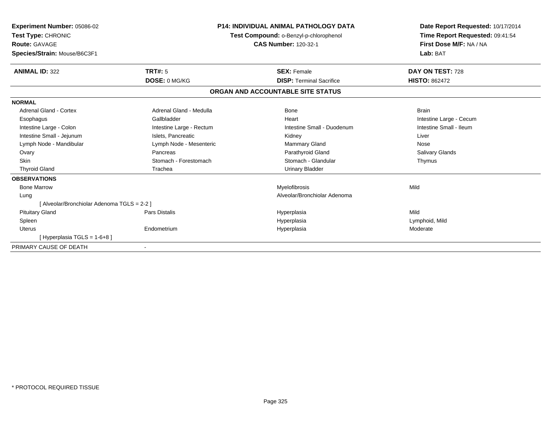| Experiment Number: 05086-02<br>Test Type: CHRONIC<br><b>Route: GAVAGE</b><br>Species/Strain: Mouse/B6C3F1 |                          | <b>P14: INDIVIDUAL ANIMAL PATHOLOGY DATA</b><br>Test Compound: o-Benzyl-p-chlorophenol<br><b>CAS Number: 120-32-1</b> | Date Report Requested: 10/17/2014<br>Time Report Requested: 09:41:54<br>First Dose M/F: NA / NA<br>Lab: BAT |
|-----------------------------------------------------------------------------------------------------------|--------------------------|-----------------------------------------------------------------------------------------------------------------------|-------------------------------------------------------------------------------------------------------------|
| <b>ANIMAL ID: 322</b>                                                                                     | TRT#: 5                  | <b>SEX: Female</b>                                                                                                    | DAY ON TEST: 728                                                                                            |
|                                                                                                           | DOSE: 0 MG/KG            | <b>DISP: Terminal Sacrifice</b>                                                                                       | <b>HISTO: 862472</b>                                                                                        |
|                                                                                                           |                          | ORGAN AND ACCOUNTABLE SITE STATUS                                                                                     |                                                                                                             |
| <b>NORMAL</b>                                                                                             |                          |                                                                                                                       |                                                                                                             |
| Adrenal Gland - Cortex                                                                                    | Adrenal Gland - Medulla  | Bone                                                                                                                  | <b>Brain</b>                                                                                                |
| Esophagus                                                                                                 | Gallbladder              | Heart                                                                                                                 | Intestine Large - Cecum                                                                                     |
| Intestine Large - Colon                                                                                   | Intestine Large - Rectum | Intestine Small - Duodenum                                                                                            | Intestine Small - Ileum                                                                                     |
| Intestine Small - Jejunum                                                                                 | Islets, Pancreatic       | Kidney                                                                                                                | Liver                                                                                                       |
| Lymph Node - Mandibular                                                                                   | Lymph Node - Mesenteric  | <b>Mammary Gland</b>                                                                                                  | Nose                                                                                                        |
| Ovary                                                                                                     | Pancreas                 | Parathyroid Gland                                                                                                     | Salivary Glands                                                                                             |
| <b>Skin</b>                                                                                               | Stomach - Forestomach    | Stomach - Glandular                                                                                                   | Thymus                                                                                                      |
| <b>Thyroid Gland</b>                                                                                      | Trachea                  | <b>Urinary Bladder</b>                                                                                                |                                                                                                             |
| <b>OBSERVATIONS</b>                                                                                       |                          |                                                                                                                       |                                                                                                             |
| <b>Bone Marrow</b>                                                                                        |                          | Myelofibrosis                                                                                                         | Mild                                                                                                        |
| Lung                                                                                                      |                          | Alveolar/Bronchiolar Adenoma                                                                                          |                                                                                                             |
| [ Alveolar/Bronchiolar Adenoma TGLS = 2-2 ]                                                               |                          |                                                                                                                       |                                                                                                             |
| <b>Pituitary Gland</b>                                                                                    | Pars Distalis            | Hyperplasia                                                                                                           | Mild                                                                                                        |
| Spleen                                                                                                    |                          | Hyperplasia                                                                                                           | Lymphoid, Mild                                                                                              |
| <b>Uterus</b>                                                                                             | Endometrium              | Hyperplasia                                                                                                           | Moderate                                                                                                    |
| [Hyperplasia TGLS = 1-6+8]                                                                                |                          |                                                                                                                       |                                                                                                             |
| PRIMARY CAUSE OF DEATH                                                                                    |                          |                                                                                                                       |                                                                                                             |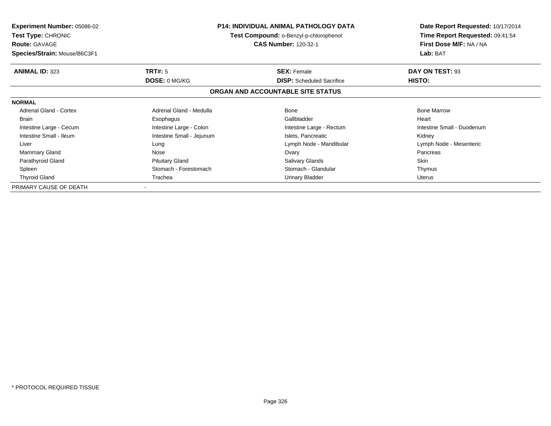| <b>Experiment Number: 05086-02</b><br><b>Test Type: CHRONIC</b><br><b>Route: GAVAGE</b> |                           | <b>P14: INDIVIDUAL ANIMAL PATHOLOGY DATA</b><br>Test Compound: o-Benzyl-p-chlorophenol<br><b>CAS Number: 120-32-1</b> | Date Report Requested: 10/17/2014<br>Time Report Requested: 09:41:54<br>First Dose M/F: NA / NA |
|-----------------------------------------------------------------------------------------|---------------------------|-----------------------------------------------------------------------------------------------------------------------|-------------------------------------------------------------------------------------------------|
| Species/Strain: Mouse/B6C3F1                                                            |                           |                                                                                                                       | Lab: BAT                                                                                        |
| <b>ANIMAL ID: 323</b>                                                                   | <b>TRT#: 5</b>            | <b>SEX: Female</b>                                                                                                    | DAY ON TEST: 93                                                                                 |
|                                                                                         | DOSE: 0 MG/KG             | <b>DISP:</b> Scheduled Sacrifice                                                                                      | <b>HISTO:</b>                                                                                   |
|                                                                                         |                           | ORGAN AND ACCOUNTABLE SITE STATUS                                                                                     |                                                                                                 |
| <b>NORMAL</b>                                                                           |                           |                                                                                                                       |                                                                                                 |
| <b>Adrenal Gland - Cortex</b>                                                           | Adrenal Gland - Medulla   | Bone                                                                                                                  | <b>Bone Marrow</b>                                                                              |
| <b>Brain</b>                                                                            | Esophagus                 | Gallbladder                                                                                                           | Heart                                                                                           |
| Intestine Large - Cecum                                                                 | Intestine Large - Colon   | Intestine Large - Rectum                                                                                              | Intestine Small - Duodenum                                                                      |
| Intestine Small - Ileum                                                                 | Intestine Small - Jejunum | Islets, Pancreatic                                                                                                    | Kidney                                                                                          |
| Liver                                                                                   | Lung                      | Lymph Node - Mandibular                                                                                               | Lymph Node - Mesenteric                                                                         |
| Mammary Gland                                                                           | Nose                      | Ovary                                                                                                                 | Pancreas                                                                                        |
| Parathyroid Gland                                                                       | <b>Pituitary Gland</b>    | <b>Salivary Glands</b>                                                                                                | Skin                                                                                            |
| Spleen                                                                                  | Stomach - Forestomach     | Stomach - Glandular                                                                                                   | Thymus                                                                                          |
| <b>Thyroid Gland</b>                                                                    | Trachea                   | Urinary Bladder                                                                                                       | Uterus                                                                                          |
| PRIMARY CAUSE OF DEATH                                                                  |                           |                                                                                                                       |                                                                                                 |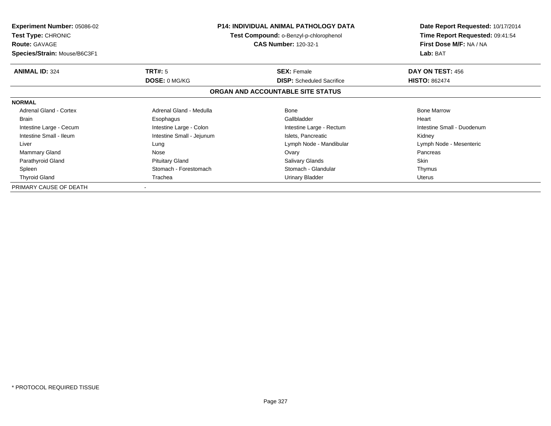| <b>Experiment Number: 05086-02</b><br><b>Test Type: CHRONIC</b><br><b>Route: GAVAGE</b> |                           | <b>P14: INDIVIDUAL ANIMAL PATHOLOGY DATA</b><br>Test Compound: o-Benzyl-p-chlorophenol<br><b>CAS Number: 120-32-1</b> | Date Report Requested: 10/17/2014<br>Time Report Requested: 09:41:54<br>First Dose M/F: NA / NA |
|-----------------------------------------------------------------------------------------|---------------------------|-----------------------------------------------------------------------------------------------------------------------|-------------------------------------------------------------------------------------------------|
| Species/Strain: Mouse/B6C3F1                                                            |                           |                                                                                                                       | Lab: BAT                                                                                        |
| <b>ANIMAL ID: 324</b>                                                                   | <b>TRT#: 5</b>            | <b>SEX: Female</b>                                                                                                    | DAY ON TEST: 456                                                                                |
|                                                                                         | DOSE: 0 MG/KG             | <b>DISP:</b> Scheduled Sacrifice                                                                                      | <b>HISTO: 862474</b>                                                                            |
|                                                                                         |                           | ORGAN AND ACCOUNTABLE SITE STATUS                                                                                     |                                                                                                 |
| <b>NORMAL</b>                                                                           |                           |                                                                                                                       |                                                                                                 |
| <b>Adrenal Gland - Cortex</b>                                                           | Adrenal Gland - Medulla   | Bone                                                                                                                  | <b>Bone Marrow</b>                                                                              |
| <b>Brain</b>                                                                            | Esophagus                 | Gallbladder                                                                                                           | Heart                                                                                           |
| Intestine Large - Cecum                                                                 | Intestine Large - Colon   | Intestine Large - Rectum                                                                                              | Intestine Small - Duodenum                                                                      |
| Intestine Small - Ileum                                                                 | Intestine Small - Jejunum | Islets, Pancreatic                                                                                                    | Kidney                                                                                          |
| Liver                                                                                   | Lung                      | Lymph Node - Mandibular                                                                                               | Lymph Node - Mesenteric                                                                         |
| Mammary Gland                                                                           | Nose                      | Ovary                                                                                                                 | Pancreas                                                                                        |
| Parathyroid Gland                                                                       | <b>Pituitary Gland</b>    | <b>Salivary Glands</b>                                                                                                | Skin                                                                                            |
| Spleen                                                                                  | Stomach - Forestomach     | Stomach - Glandular                                                                                                   | Thymus                                                                                          |
| <b>Thyroid Gland</b>                                                                    | Trachea                   | Urinary Bladder                                                                                                       | Uterus                                                                                          |
| PRIMARY CAUSE OF DEATH                                                                  |                           |                                                                                                                       |                                                                                                 |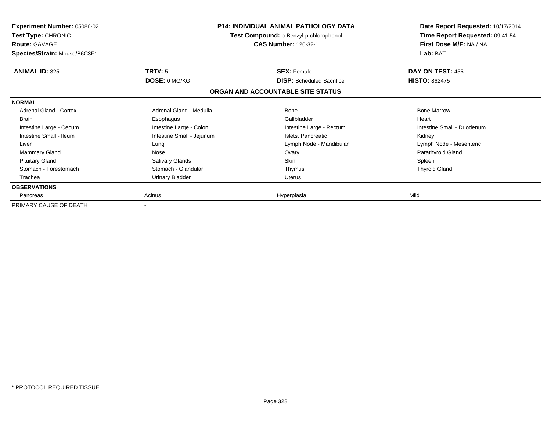| <b>Experiment Number: 05086-02</b><br><b>Test Type: CHRONIC</b><br><b>Route: GAVAGE</b><br>Species/Strain: Mouse/B6C3F1 | <b>P14: INDIVIDUAL ANIMAL PATHOLOGY DATA</b><br>Test Compound: o-Benzyl-p-chlorophenol<br><b>CAS Number: 120-32-1</b> |                                   | Date Report Requested: 10/17/2014<br>Time Report Requested: 09:41:54<br>First Dose M/F: NA / NA<br>Lab: BAT |
|-------------------------------------------------------------------------------------------------------------------------|-----------------------------------------------------------------------------------------------------------------------|-----------------------------------|-------------------------------------------------------------------------------------------------------------|
| <b>ANIMAL ID: 325</b>                                                                                                   | TRT#: 5                                                                                                               | <b>SEX: Female</b>                | DAY ON TEST: 455                                                                                            |
|                                                                                                                         | DOSE: 0 MG/KG                                                                                                         | <b>DISP:</b> Scheduled Sacrifice  | <b>HISTO: 862475</b>                                                                                        |
|                                                                                                                         |                                                                                                                       | ORGAN AND ACCOUNTABLE SITE STATUS |                                                                                                             |
| <b>NORMAL</b>                                                                                                           |                                                                                                                       |                                   |                                                                                                             |
| Adrenal Gland - Cortex                                                                                                  | Adrenal Gland - Medulla                                                                                               | Bone                              | <b>Bone Marrow</b>                                                                                          |
| <b>Brain</b>                                                                                                            | Esophagus                                                                                                             | Gallbladder                       | Heart                                                                                                       |
| Intestine Large - Cecum                                                                                                 | Intestine Large - Colon                                                                                               | Intestine Large - Rectum          | Intestine Small - Duodenum                                                                                  |
| Intestine Small - Ileum                                                                                                 | Intestine Small - Jejunum                                                                                             | Islets, Pancreatic                | Kidney                                                                                                      |
| Liver                                                                                                                   | Lung                                                                                                                  | Lymph Node - Mandibular           | Lymph Node - Mesenteric                                                                                     |
| <b>Mammary Gland</b>                                                                                                    | Nose                                                                                                                  | Ovary                             | Parathyroid Gland                                                                                           |
| <b>Pituitary Gland</b>                                                                                                  | Salivary Glands                                                                                                       | Skin                              | Spleen                                                                                                      |
| Stomach - Forestomach                                                                                                   | Stomach - Glandular                                                                                                   | Thymus                            | <b>Thyroid Gland</b>                                                                                        |
| Trachea                                                                                                                 | <b>Urinary Bladder</b>                                                                                                | Uterus                            |                                                                                                             |
| <b>OBSERVATIONS</b>                                                                                                     |                                                                                                                       |                                   |                                                                                                             |
| Pancreas                                                                                                                | Acinus                                                                                                                | Hyperplasia                       | Mild                                                                                                        |
| PRIMARY CAUSE OF DEATH                                                                                                  |                                                                                                                       |                                   |                                                                                                             |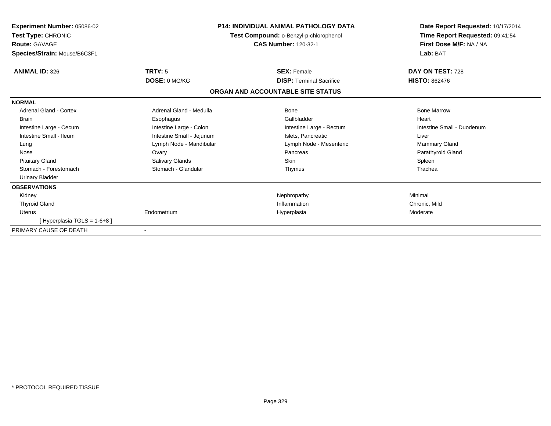| Experiment Number: 05086-02<br>Test Type: CHRONIC<br><b>Route: GAVAGE</b><br>Species/Strain: Mouse/B6C3F1 | <b>P14: INDIVIDUAL ANIMAL PATHOLOGY DATA</b><br>Test Compound: o-Benzyl-p-chlorophenol<br><b>CAS Number: 120-32-1</b> |                                   | Date Report Requested: 10/17/2014<br>Time Report Requested: 09:41:54<br>First Dose M/F: NA / NA<br>Lab: BAT |
|-----------------------------------------------------------------------------------------------------------|-----------------------------------------------------------------------------------------------------------------------|-----------------------------------|-------------------------------------------------------------------------------------------------------------|
| <b>ANIMAL ID: 326</b>                                                                                     | TRT#: 5                                                                                                               | <b>SEX: Female</b>                | DAY ON TEST: 728                                                                                            |
|                                                                                                           | <b>DOSE: 0 MG/KG</b>                                                                                                  | <b>DISP:</b> Terminal Sacrifice   | <b>HISTO: 862476</b>                                                                                        |
|                                                                                                           |                                                                                                                       | ORGAN AND ACCOUNTABLE SITE STATUS |                                                                                                             |
| <b>NORMAL</b>                                                                                             |                                                                                                                       |                                   |                                                                                                             |
| Adrenal Gland - Cortex                                                                                    | Adrenal Gland - Medulla                                                                                               | <b>Bone</b>                       | <b>Bone Marrow</b>                                                                                          |
| <b>Brain</b>                                                                                              | Esophagus                                                                                                             | Gallbladder                       | Heart                                                                                                       |
| Intestine Large - Cecum                                                                                   | Intestine Large - Colon                                                                                               | Intestine Large - Rectum          | Intestine Small - Duodenum                                                                                  |
| Intestine Small - Ileum                                                                                   | Intestine Small - Jejunum                                                                                             | Islets, Pancreatic                | Liver                                                                                                       |
| Lung                                                                                                      | Lymph Node - Mandibular                                                                                               | Lymph Node - Mesenteric           | <b>Mammary Gland</b>                                                                                        |
| Nose                                                                                                      | Ovary                                                                                                                 | Pancreas                          | Parathyroid Gland                                                                                           |
| <b>Pituitary Gland</b>                                                                                    | Salivary Glands                                                                                                       | <b>Skin</b>                       | Spleen                                                                                                      |
| Stomach - Forestomach                                                                                     | Stomach - Glandular                                                                                                   | Thymus                            | Trachea                                                                                                     |
| <b>Urinary Bladder</b>                                                                                    |                                                                                                                       |                                   |                                                                                                             |
| <b>OBSERVATIONS</b>                                                                                       |                                                                                                                       |                                   |                                                                                                             |
| Kidney                                                                                                    |                                                                                                                       | Nephropathy                       | Minimal                                                                                                     |
| <b>Thyroid Gland</b>                                                                                      |                                                                                                                       | Inflammation                      | Chronic, Mild                                                                                               |
| <b>Uterus</b>                                                                                             | Endometrium                                                                                                           | Hyperplasia                       | Moderate                                                                                                    |
| [Hyperplasia TGLS = 1-6+8]                                                                                |                                                                                                                       |                                   |                                                                                                             |
| PRIMARY CAUSE OF DEATH                                                                                    |                                                                                                                       |                                   |                                                                                                             |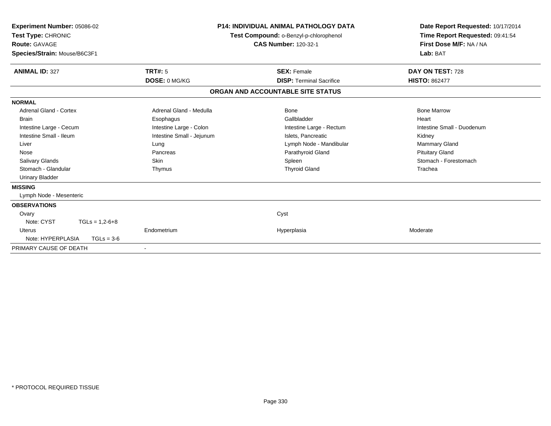| Experiment Number: 05086-02<br>Test Type: CHRONIC<br><b>Route: GAVAGE</b><br>Species/Strain: Mouse/B6C3F1 |                           | <b>P14: INDIVIDUAL ANIMAL PATHOLOGY DATA</b><br>Test Compound: o-Benzyl-p-chlorophenol<br><b>CAS Number: 120-32-1</b> | Date Report Requested: 10/17/2014<br>Time Report Requested: 09:41:54<br>First Dose M/F: NA / NA<br>Lab: BAT |
|-----------------------------------------------------------------------------------------------------------|---------------------------|-----------------------------------------------------------------------------------------------------------------------|-------------------------------------------------------------------------------------------------------------|
| <b>ANIMAL ID: 327</b>                                                                                     | <b>TRT#: 5</b>            | <b>SEX: Female</b>                                                                                                    | DAY ON TEST: 728                                                                                            |
|                                                                                                           | DOSE: 0 MG/KG             | <b>DISP: Terminal Sacrifice</b>                                                                                       | <b>HISTO: 862477</b>                                                                                        |
|                                                                                                           |                           | ORGAN AND ACCOUNTABLE SITE STATUS                                                                                     |                                                                                                             |
| <b>NORMAL</b>                                                                                             |                           |                                                                                                                       |                                                                                                             |
| Adrenal Gland - Cortex                                                                                    | Adrenal Gland - Medulla   | Bone                                                                                                                  | <b>Bone Marrow</b>                                                                                          |
| <b>Brain</b>                                                                                              | Esophagus                 | Gallbladder                                                                                                           | Heart                                                                                                       |
| Intestine Large - Cecum                                                                                   | Intestine Large - Colon   | Intestine Large - Rectum                                                                                              | Intestine Small - Duodenum                                                                                  |
| Intestine Small - Ileum                                                                                   | Intestine Small - Jejunum | Islets, Pancreatic                                                                                                    | Kidney                                                                                                      |
| Liver                                                                                                     | Lung                      | Lymph Node - Mandibular                                                                                               | <b>Mammary Gland</b>                                                                                        |
| Nose                                                                                                      | Pancreas                  | Parathyroid Gland                                                                                                     | <b>Pituitary Gland</b>                                                                                      |
| <b>Salivary Glands</b>                                                                                    | <b>Skin</b>               | Spleen                                                                                                                | Stomach - Forestomach                                                                                       |
| Stomach - Glandular                                                                                       | Thymus                    | <b>Thyroid Gland</b>                                                                                                  | Trachea                                                                                                     |
| <b>Urinary Bladder</b>                                                                                    |                           |                                                                                                                       |                                                                                                             |
| <b>MISSING</b>                                                                                            |                           |                                                                                                                       |                                                                                                             |
| Lymph Node - Mesenteric                                                                                   |                           |                                                                                                                       |                                                                                                             |
| <b>OBSERVATIONS</b>                                                                                       |                           |                                                                                                                       |                                                                                                             |
| Ovary                                                                                                     |                           | Cyst                                                                                                                  |                                                                                                             |
| Note: CYST<br>$TGLs = 1,2-6+8$                                                                            |                           |                                                                                                                       |                                                                                                             |
| <b>Uterus</b>                                                                                             | Endometrium               | Hyperplasia                                                                                                           | Moderate                                                                                                    |
| Note: HYPERPLASIA<br>$TGLs = 3-6$                                                                         |                           |                                                                                                                       |                                                                                                             |
| PRIMARY CAUSE OF DEATH                                                                                    | $\overline{\phantom{a}}$  |                                                                                                                       |                                                                                                             |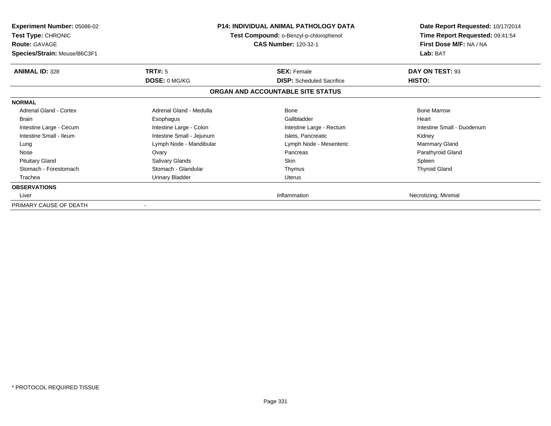| <b>Experiment Number: 05086-02</b><br><b>Test Type: CHRONIC</b><br><b>Route: GAVAGE</b><br>Species/Strain: Mouse/B6C3F1 |                           | <b>P14: INDIVIDUAL ANIMAL PATHOLOGY DATA</b><br>Test Compound: o-Benzyl-p-chlorophenol<br><b>CAS Number: 120-32-1</b> | Date Report Requested: 10/17/2014<br>Time Report Requested: 09:41:54<br>First Dose M/F: NA / NA<br>Lab: BAT |
|-------------------------------------------------------------------------------------------------------------------------|---------------------------|-----------------------------------------------------------------------------------------------------------------------|-------------------------------------------------------------------------------------------------------------|
| <b>ANIMAL ID: 328</b>                                                                                                   | TRT#: 5                   | <b>SEX: Female</b>                                                                                                    | DAY ON TEST: 93                                                                                             |
|                                                                                                                         | DOSE: 0 MG/KG             | <b>DISP:</b> Scheduled Sacrifice                                                                                      | HISTO:                                                                                                      |
|                                                                                                                         |                           | ORGAN AND ACCOUNTABLE SITE STATUS                                                                                     |                                                                                                             |
| <b>NORMAL</b>                                                                                                           |                           |                                                                                                                       |                                                                                                             |
| Adrenal Gland - Cortex                                                                                                  | Adrenal Gland - Medulla   | <b>Bone</b>                                                                                                           | <b>Bone Marrow</b>                                                                                          |
| <b>Brain</b>                                                                                                            | Esophagus                 | Gallbladder                                                                                                           | Heart                                                                                                       |
| Intestine Large - Cecum                                                                                                 | Intestine Large - Colon   | Intestine Large - Rectum                                                                                              | Intestine Small - Duodenum                                                                                  |
| Intestine Small - Ileum                                                                                                 | Intestine Small - Jejunum | Islets, Pancreatic                                                                                                    | Kidney                                                                                                      |
| Lung                                                                                                                    | Lymph Node - Mandibular   | Lymph Node - Mesenteric                                                                                               | <b>Mammary Gland</b>                                                                                        |
| Nose                                                                                                                    | Ovary                     | Pancreas                                                                                                              | Parathyroid Gland                                                                                           |
| <b>Pituitary Gland</b>                                                                                                  | Salivary Glands           | <b>Skin</b>                                                                                                           | Spleen                                                                                                      |
| Stomach - Forestomach                                                                                                   | Stomach - Glandular       | Thymus                                                                                                                | <b>Thyroid Gland</b>                                                                                        |
| Trachea                                                                                                                 | <b>Urinary Bladder</b>    | Uterus                                                                                                                |                                                                                                             |
| <b>OBSERVATIONS</b>                                                                                                     |                           |                                                                                                                       |                                                                                                             |
| Liver                                                                                                                   |                           | Inflammation                                                                                                          | Necrotizing, Minimal                                                                                        |
| PRIMARY CAUSE OF DEATH                                                                                                  |                           |                                                                                                                       |                                                                                                             |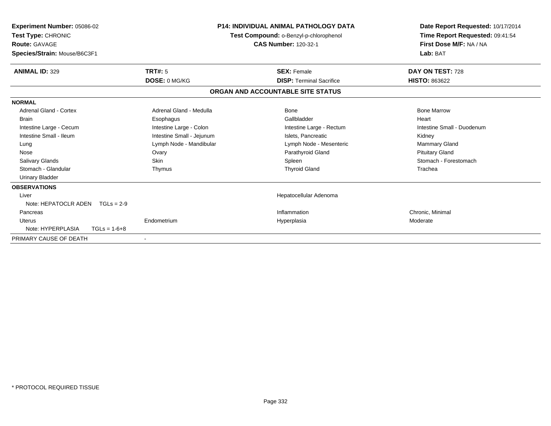| Experiment Number: 05086-02<br>Test Type: CHRONIC<br><b>Route: GAVAGE</b><br>Species/Strain: Mouse/B6C3F1 |                           | <b>P14: INDIVIDUAL ANIMAL PATHOLOGY DATA</b><br>Test Compound: o-Benzyl-p-chlorophenol<br><b>CAS Number: 120-32-1</b> | Date Report Requested: 10/17/2014<br>Time Report Requested: 09:41:54<br>First Dose M/F: NA / NA<br>Lab: BAT |
|-----------------------------------------------------------------------------------------------------------|---------------------------|-----------------------------------------------------------------------------------------------------------------------|-------------------------------------------------------------------------------------------------------------|
| <b>ANIMAL ID: 329</b>                                                                                     | TRT#: 5                   | <b>SEX: Female</b>                                                                                                    | DAY ON TEST: 728                                                                                            |
|                                                                                                           | DOSE: 0 MG/KG             | <b>DISP: Terminal Sacrifice</b>                                                                                       | <b>HISTO: 863622</b>                                                                                        |
|                                                                                                           |                           | ORGAN AND ACCOUNTABLE SITE STATUS                                                                                     |                                                                                                             |
| <b>NORMAL</b>                                                                                             |                           |                                                                                                                       |                                                                                                             |
| <b>Adrenal Gland - Cortex</b>                                                                             | Adrenal Gland - Medulla   | Bone                                                                                                                  | <b>Bone Marrow</b>                                                                                          |
| <b>Brain</b>                                                                                              | Esophagus                 | Gallbladder                                                                                                           | Heart                                                                                                       |
| Intestine Large - Cecum                                                                                   | Intestine Large - Colon   | Intestine Large - Rectum                                                                                              | Intestine Small - Duodenum                                                                                  |
| Intestine Small - Ileum                                                                                   | Intestine Small - Jejunum | Islets. Pancreatic                                                                                                    | Kidney                                                                                                      |
| Lung                                                                                                      | Lymph Node - Mandibular   | Lymph Node - Mesenteric                                                                                               | <b>Mammary Gland</b>                                                                                        |
| Nose                                                                                                      | Ovary                     | Parathyroid Gland                                                                                                     | <b>Pituitary Gland</b>                                                                                      |
| <b>Salivary Glands</b>                                                                                    | <b>Skin</b>               | Spleen                                                                                                                | Stomach - Forestomach                                                                                       |
| Stomach - Glandular                                                                                       | Thymus                    | <b>Thyroid Gland</b>                                                                                                  | Trachea                                                                                                     |
| <b>Urinary Bladder</b>                                                                                    |                           |                                                                                                                       |                                                                                                             |
| <b>OBSERVATIONS</b>                                                                                       |                           |                                                                                                                       |                                                                                                             |
| Liver                                                                                                     |                           | Hepatocellular Adenoma                                                                                                |                                                                                                             |
| Note: HEPATOCLR ADEN<br>$TGLs = 2-9$                                                                      |                           |                                                                                                                       |                                                                                                             |
| Pancreas                                                                                                  |                           | Inflammation                                                                                                          | Chronic, Minimal                                                                                            |
| Uterus                                                                                                    | Endometrium               | Hyperplasia                                                                                                           | Moderate                                                                                                    |
| Note: HYPERPLASIA<br>$TGLs = 1-6+8$                                                                       |                           |                                                                                                                       |                                                                                                             |
| PRIMARY CAUSE OF DEATH                                                                                    |                           |                                                                                                                       |                                                                                                             |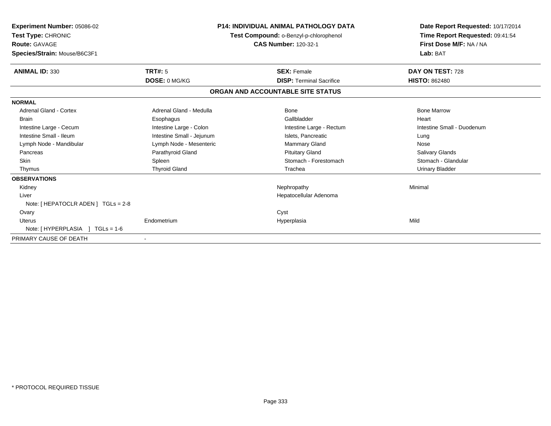| Experiment Number: 05086-02<br>Test Type: CHRONIC<br><b>Route: GAVAGE</b><br>Species/Strain: Mouse/B6C3F1 |                           | <b>P14: INDIVIDUAL ANIMAL PATHOLOGY DATA</b><br>Test Compound: o-Benzyl-p-chlorophenol<br><b>CAS Number: 120-32-1</b> | Date Report Requested: 10/17/2014<br>Time Report Requested: 09:41:54<br>First Dose M/F: NA / NA<br>Lab: BAT |
|-----------------------------------------------------------------------------------------------------------|---------------------------|-----------------------------------------------------------------------------------------------------------------------|-------------------------------------------------------------------------------------------------------------|
| <b>ANIMAL ID: 330</b>                                                                                     | TRT#: 5                   | <b>SEX: Female</b>                                                                                                    | DAY ON TEST: 728                                                                                            |
|                                                                                                           | DOSE: 0 MG/KG             | <b>DISP: Terminal Sacrifice</b>                                                                                       | <b>HISTO: 862480</b>                                                                                        |
|                                                                                                           |                           | ORGAN AND ACCOUNTABLE SITE STATUS                                                                                     |                                                                                                             |
| <b>NORMAL</b>                                                                                             |                           |                                                                                                                       |                                                                                                             |
| <b>Adrenal Gland - Cortex</b>                                                                             | Adrenal Gland - Medulla   | <b>Bone</b>                                                                                                           | <b>Bone Marrow</b>                                                                                          |
| <b>Brain</b>                                                                                              | Esophagus                 | Gallbladder                                                                                                           | Heart                                                                                                       |
| Intestine Large - Cecum                                                                                   | Intestine Large - Colon   | Intestine Large - Rectum                                                                                              | Intestine Small - Duodenum                                                                                  |
| Intestine Small - Ileum                                                                                   | Intestine Small - Jejunum | Islets, Pancreatic                                                                                                    | Lung                                                                                                        |
| Lymph Node - Mandibular                                                                                   | Lymph Node - Mesenteric   | Mammary Gland                                                                                                         | Nose                                                                                                        |
| Pancreas                                                                                                  | Parathyroid Gland         | <b>Pituitary Gland</b>                                                                                                | <b>Salivary Glands</b>                                                                                      |
| <b>Skin</b>                                                                                               | Spleen                    | Stomach - Forestomach                                                                                                 | Stomach - Glandular                                                                                         |
| Thymus                                                                                                    | <b>Thyroid Gland</b>      | Trachea                                                                                                               | <b>Urinary Bladder</b>                                                                                      |
| <b>OBSERVATIONS</b>                                                                                       |                           |                                                                                                                       |                                                                                                             |
| Kidney                                                                                                    |                           | Nephropathy                                                                                                           | Minimal                                                                                                     |
| Liver                                                                                                     |                           | Hepatocellular Adenoma                                                                                                |                                                                                                             |
| Note: [ HEPATOCLR ADEN ] TGLs = 2-8                                                                       |                           |                                                                                                                       |                                                                                                             |
| Ovary                                                                                                     |                           | Cyst                                                                                                                  |                                                                                                             |
| Uterus                                                                                                    | Endometrium               | Hyperplasia                                                                                                           | Mild                                                                                                        |
| Note: [HYPERPLASIA ] TGLs = 1-6                                                                           |                           |                                                                                                                       |                                                                                                             |
| PRIMARY CAUSE OF DEATH                                                                                    |                           |                                                                                                                       |                                                                                                             |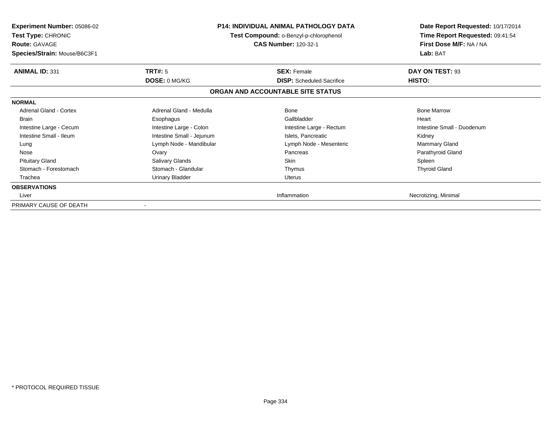| <b>Experiment Number: 05086-02</b><br><b>Test Type: CHRONIC</b><br><b>Route: GAVAGE</b><br>Species/Strain: Mouse/B6C3F1 |                           | <b>P14: INDIVIDUAL ANIMAL PATHOLOGY DATA</b><br>Test Compound: o-Benzyl-p-chlorophenol<br><b>CAS Number: 120-32-1</b> | Date Report Requested: 10/17/2014<br>Time Report Requested: 09:41:54<br>First Dose M/F: NA / NA<br>Lab: BAT |
|-------------------------------------------------------------------------------------------------------------------------|---------------------------|-----------------------------------------------------------------------------------------------------------------------|-------------------------------------------------------------------------------------------------------------|
| <b>ANIMAL ID: 331</b>                                                                                                   | TRT#: 5                   | <b>SEX: Female</b>                                                                                                    | DAY ON TEST: 93                                                                                             |
|                                                                                                                         | DOSE: 0 MG/KG             | <b>DISP:</b> Scheduled Sacrifice                                                                                      | HISTO:                                                                                                      |
|                                                                                                                         |                           | ORGAN AND ACCOUNTABLE SITE STATUS                                                                                     |                                                                                                             |
| <b>NORMAL</b>                                                                                                           |                           |                                                                                                                       |                                                                                                             |
| Adrenal Gland - Cortex                                                                                                  | Adrenal Gland - Medulla   | <b>Bone</b>                                                                                                           | <b>Bone Marrow</b>                                                                                          |
| <b>Brain</b>                                                                                                            | Esophagus                 | Gallbladder                                                                                                           | Heart                                                                                                       |
| Intestine Large - Cecum                                                                                                 | Intestine Large - Colon   | Intestine Large - Rectum                                                                                              | Intestine Small - Duodenum                                                                                  |
| Intestine Small - Ileum                                                                                                 | Intestine Small - Jejunum | Islets, Pancreatic                                                                                                    | Kidney                                                                                                      |
| Lung                                                                                                                    | Lymph Node - Mandibular   | Lymph Node - Mesenteric                                                                                               | <b>Mammary Gland</b>                                                                                        |
| Nose                                                                                                                    | Ovary                     | Pancreas                                                                                                              | Parathyroid Gland                                                                                           |
| <b>Pituitary Gland</b>                                                                                                  | Salivary Glands           | <b>Skin</b>                                                                                                           | Spleen                                                                                                      |
| Stomach - Forestomach                                                                                                   | Stomach - Glandular       | Thymus                                                                                                                | <b>Thyroid Gland</b>                                                                                        |
| Trachea                                                                                                                 | <b>Urinary Bladder</b>    | Uterus                                                                                                                |                                                                                                             |
| <b>OBSERVATIONS</b>                                                                                                     |                           |                                                                                                                       |                                                                                                             |
| Liver                                                                                                                   |                           | Inflammation                                                                                                          | Necrotizing, Minimal                                                                                        |
| PRIMARY CAUSE OF DEATH                                                                                                  |                           |                                                                                                                       |                                                                                                             |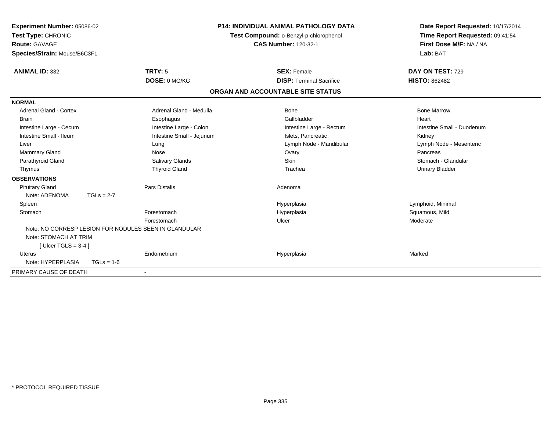| <b>Experiment Number: 05086-02</b><br>Test Type: CHRONIC<br>Route: GAVAGE<br>Species/Strain: Mouse/B6C3F1 |              |                                                       | <b>P14: INDIVIDUAL ANIMAL PATHOLOGY DATA</b><br>Test Compound: o-Benzyl-p-chlorophenol<br><b>CAS Number: 120-32-1</b> | Date Report Requested: 10/17/2014<br>Time Report Requested: 09:41:54<br>First Dose M/F: NA / NA<br>Lab: BAT |
|-----------------------------------------------------------------------------------------------------------|--------------|-------------------------------------------------------|-----------------------------------------------------------------------------------------------------------------------|-------------------------------------------------------------------------------------------------------------|
| <b>ANIMAL ID: 332</b>                                                                                     |              | <b>TRT#: 5</b>                                        | <b>SEX: Female</b>                                                                                                    | DAY ON TEST: 729                                                                                            |
|                                                                                                           |              | DOSE: 0 MG/KG                                         | <b>DISP: Terminal Sacrifice</b>                                                                                       | <b>HISTO: 862482</b>                                                                                        |
|                                                                                                           |              |                                                       | ORGAN AND ACCOUNTABLE SITE STATUS                                                                                     |                                                                                                             |
| <b>NORMAL</b>                                                                                             |              |                                                       |                                                                                                                       |                                                                                                             |
| <b>Adrenal Gland - Cortex</b>                                                                             |              | Adrenal Gland - Medulla                               | Bone                                                                                                                  | <b>Bone Marrow</b>                                                                                          |
| <b>Brain</b>                                                                                              |              | Esophagus                                             | Gallbladder                                                                                                           | Heart                                                                                                       |
| Intestine Large - Cecum                                                                                   |              | Intestine Large - Colon                               | Intestine Large - Rectum                                                                                              | Intestine Small - Duodenum                                                                                  |
| Intestine Small - Ileum                                                                                   |              | Intestine Small - Jejunum                             | Islets. Pancreatic                                                                                                    | Kidney                                                                                                      |
| Liver                                                                                                     |              | Lung                                                  | Lymph Node - Mandibular                                                                                               | Lymph Node - Mesenteric                                                                                     |
| Mammary Gland                                                                                             |              | <b>Nose</b>                                           | Ovary                                                                                                                 | Pancreas                                                                                                    |
| Parathyroid Gland                                                                                         |              | Salivary Glands                                       | Skin                                                                                                                  | Stomach - Glandular                                                                                         |
| Thymus                                                                                                    |              | <b>Thyroid Gland</b>                                  | Trachea                                                                                                               | Urinary Bladder                                                                                             |
| <b>OBSERVATIONS</b>                                                                                       |              |                                                       |                                                                                                                       |                                                                                                             |
| <b>Pituitary Gland</b>                                                                                    |              | <b>Pars Distalis</b>                                  | Adenoma                                                                                                               |                                                                                                             |
| Note: ADENOMA                                                                                             | $TGLs = 2-7$ |                                                       |                                                                                                                       |                                                                                                             |
| Spleen                                                                                                    |              |                                                       | Hyperplasia                                                                                                           | Lymphoid, Minimal                                                                                           |
| Stomach                                                                                                   |              | Forestomach                                           | Hyperplasia                                                                                                           | Squamous, Mild                                                                                              |
|                                                                                                           |              | Forestomach                                           | Ulcer                                                                                                                 | Moderate                                                                                                    |
|                                                                                                           |              | Note: NO CORRESP LESION FOR NODULES SEEN IN GLANDULAR |                                                                                                                       |                                                                                                             |
| Note: STOMACH AT TRIM                                                                                     |              |                                                       |                                                                                                                       |                                                                                                             |
| [Ulcer TGLS = $3-4$ ]                                                                                     |              |                                                       |                                                                                                                       |                                                                                                             |
| Uterus                                                                                                    |              | Endometrium                                           | Hyperplasia                                                                                                           | Marked                                                                                                      |
| Note: HYPERPLASIA                                                                                         | $TGLs = 1-6$ |                                                       |                                                                                                                       |                                                                                                             |
| PRIMARY CAUSE OF DEATH                                                                                    |              |                                                       |                                                                                                                       |                                                                                                             |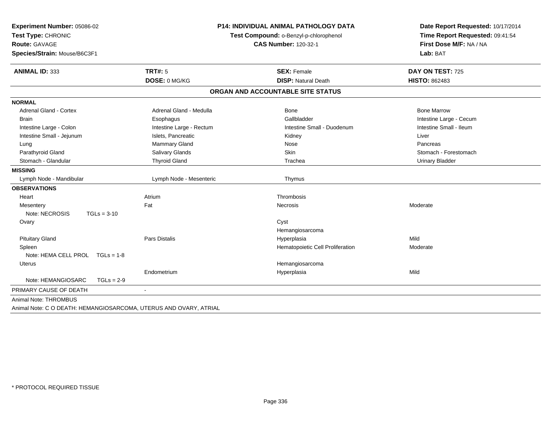| <b>ANIMAL ID: 333</b>              | <b>TRT#: 5</b><br>DOSE: 0 MG/KG | <b>SEX: Female</b>                | DAY ON TEST: 725        |
|------------------------------------|---------------------------------|-----------------------------------|-------------------------|
|                                    |                                 |                                   |                         |
|                                    |                                 | <b>DISP: Natural Death</b>        | <b>HISTO: 862483</b>    |
|                                    |                                 | ORGAN AND ACCOUNTABLE SITE STATUS |                         |
| <b>NORMAL</b>                      |                                 |                                   |                         |
| Adrenal Gland - Cortex             | Adrenal Gland - Medulla         | Bone                              | <b>Bone Marrow</b>      |
| <b>Brain</b>                       | Esophagus                       | Gallbladder                       | Intestine Large - Cecum |
| Intestine Large - Colon            | Intestine Large - Rectum        | Intestine Small - Duodenum        | Intestine Small - Ileum |
| Intestine Small - Jejunum          | Islets, Pancreatic              | Kidney                            | Liver                   |
| Lung                               | Mammary Gland                   | Nose                              | Pancreas                |
| Parathyroid Gland                  | Salivary Glands                 | Skin                              | Stomach - Forestomach   |
| Stomach - Glandular                | <b>Thyroid Gland</b>            | Trachea                           | <b>Urinary Bladder</b>  |
| <b>MISSING</b>                     |                                 |                                   |                         |
| Lymph Node - Mandibular            | Lymph Node - Mesenteric         | Thymus                            |                         |
| <b>OBSERVATIONS</b>                |                                 |                                   |                         |
| Heart                              | Atrium                          | Thrombosis                        |                         |
| Mesentery                          | Fat                             | Necrosis                          | Moderate                |
| Note: NECROSIS<br>$TGLs = 3-10$    |                                 |                                   |                         |
| Ovary                              |                                 | Cyst                              |                         |
|                                    |                                 | Hemangiosarcoma                   |                         |
| <b>Pituitary Gland</b>             | <b>Pars Distalis</b>            | Hyperplasia                       | Mild                    |
| Spleen                             |                                 | Hematopoietic Cell Proliferation  | Moderate                |
| Note: HEMA CELL PROL TGLs = 1-8    |                                 |                                   |                         |
| Uterus                             |                                 | Hemangiosarcoma                   |                         |
|                                    | Endometrium                     | Hyperplasia                       | Mild                    |
| Note: HEMANGIOSARC<br>$TGLs = 2-9$ |                                 |                                   |                         |
| PRIMARY CAUSE OF DEATH             |                                 |                                   |                         |
| Animal Note: THROMBUS              |                                 |                                   |                         |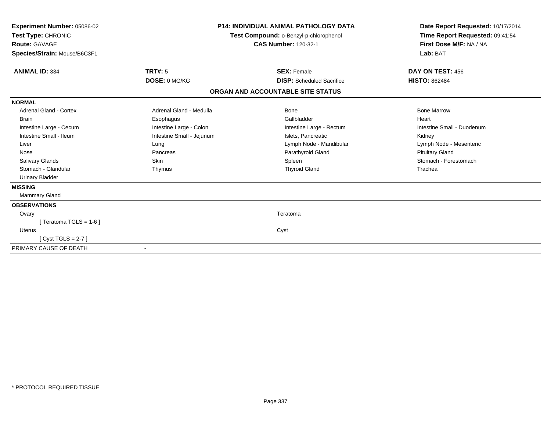| <b>Experiment Number: 05086-02</b><br>Test Type: CHRONIC<br><b>Route: GAVAGE</b><br>Species/Strain: Mouse/B6C3F1 |                           | <b>P14: INDIVIDUAL ANIMAL PATHOLOGY DATA</b><br>Test Compound: o-Benzyl-p-chlorophenol<br><b>CAS Number: 120-32-1</b> | Date Report Requested: 10/17/2014<br>Time Report Requested: 09:41:54<br>First Dose M/F: NA / NA<br>Lab: BAT |
|------------------------------------------------------------------------------------------------------------------|---------------------------|-----------------------------------------------------------------------------------------------------------------------|-------------------------------------------------------------------------------------------------------------|
| <b>ANIMAL ID: 334</b>                                                                                            | <b>TRT#: 5</b>            | <b>SEX: Female</b>                                                                                                    | DAY ON TEST: 456                                                                                            |
|                                                                                                                  | DOSE: 0 MG/KG             | <b>DISP:</b> Scheduled Sacrifice                                                                                      | <b>HISTO: 862484</b>                                                                                        |
|                                                                                                                  |                           | ORGAN AND ACCOUNTABLE SITE STATUS                                                                                     |                                                                                                             |
| <b>NORMAL</b>                                                                                                    |                           |                                                                                                                       |                                                                                                             |
| Adrenal Gland - Cortex                                                                                           | Adrenal Gland - Medulla   | Bone                                                                                                                  | <b>Bone Marrow</b>                                                                                          |
| <b>Brain</b>                                                                                                     | Esophagus                 | Gallbladder                                                                                                           | Heart                                                                                                       |
| Intestine Large - Cecum                                                                                          | Intestine Large - Colon   | Intestine Large - Rectum                                                                                              | Intestine Small - Duodenum                                                                                  |
| Intestine Small - Ileum                                                                                          | Intestine Small - Jejunum | Islets, Pancreatic                                                                                                    | Kidney                                                                                                      |
| Liver                                                                                                            | Lung                      | Lymph Node - Mandibular                                                                                               | Lymph Node - Mesenteric                                                                                     |
| Nose                                                                                                             | Pancreas                  | Parathyroid Gland                                                                                                     | <b>Pituitary Gland</b>                                                                                      |
| <b>Salivary Glands</b>                                                                                           | Skin                      | Spleen                                                                                                                | Stomach - Forestomach                                                                                       |
| Stomach - Glandular                                                                                              | Thymus                    | <b>Thyroid Gland</b>                                                                                                  | Trachea                                                                                                     |
| <b>Urinary Bladder</b>                                                                                           |                           |                                                                                                                       |                                                                                                             |
| <b>MISSING</b>                                                                                                   |                           |                                                                                                                       |                                                                                                             |
| <b>Mammary Gland</b>                                                                                             |                           |                                                                                                                       |                                                                                                             |
| <b>OBSERVATIONS</b>                                                                                              |                           |                                                                                                                       |                                                                                                             |
| Ovary                                                                                                            |                           | Teratoma                                                                                                              |                                                                                                             |
| Teratoma TGLS = 1-6 ]                                                                                            |                           |                                                                                                                       |                                                                                                             |
| Uterus                                                                                                           |                           | Cyst                                                                                                                  |                                                                                                             |
| [Cyst TGLS = $2-7$ ]                                                                                             |                           |                                                                                                                       |                                                                                                             |
| PRIMARY CAUSE OF DEATH                                                                                           |                           |                                                                                                                       |                                                                                                             |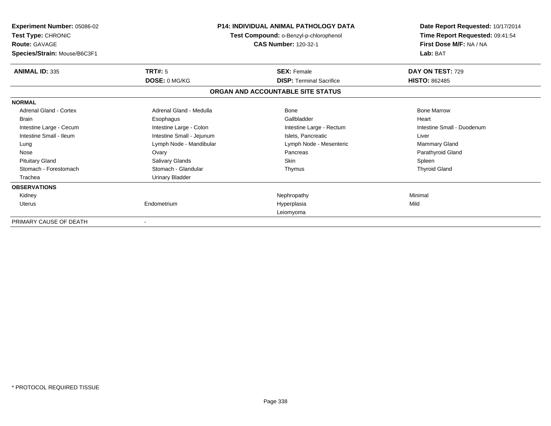| Experiment Number: 05086-02<br>Test Type: CHRONIC<br><b>Route: GAVAGE</b><br>Species/Strain: Mouse/B6C3F1 |                           | <b>P14: INDIVIDUAL ANIMAL PATHOLOGY DATA</b><br>Test Compound: o-Benzyl-p-chlorophenol<br><b>CAS Number: 120-32-1</b> | Date Report Requested: 10/17/2014<br>Time Report Requested: 09:41:54<br>First Dose M/F: NA / NA<br>Lab: BAT |
|-----------------------------------------------------------------------------------------------------------|---------------------------|-----------------------------------------------------------------------------------------------------------------------|-------------------------------------------------------------------------------------------------------------|
| <b>ANIMAL ID: 335</b>                                                                                     | <b>TRT#: 5</b>            | <b>SEX: Female</b>                                                                                                    | DAY ON TEST: 729                                                                                            |
|                                                                                                           | DOSE: 0 MG/KG             | <b>DISP: Terminal Sacrifice</b>                                                                                       | <b>HISTO: 862485</b>                                                                                        |
|                                                                                                           |                           | ORGAN AND ACCOUNTABLE SITE STATUS                                                                                     |                                                                                                             |
| <b>NORMAL</b>                                                                                             |                           |                                                                                                                       |                                                                                                             |
| <b>Adrenal Gland - Cortex</b>                                                                             | Adrenal Gland - Medulla   | Bone                                                                                                                  | <b>Bone Marrow</b>                                                                                          |
| <b>Brain</b>                                                                                              | Esophagus                 | Gallbladder                                                                                                           | Heart                                                                                                       |
| Intestine Large - Cecum                                                                                   | Intestine Large - Colon   | Intestine Large - Rectum                                                                                              | Intestine Small - Duodenum                                                                                  |
| Intestine Small - Ileum                                                                                   | Intestine Small - Jejunum | Islets. Pancreatic                                                                                                    | Liver                                                                                                       |
| Lung                                                                                                      | Lymph Node - Mandibular   | Lymph Node - Mesenteric                                                                                               | Mammary Gland                                                                                               |
| Nose                                                                                                      | Ovary                     | Pancreas                                                                                                              | Parathyroid Gland                                                                                           |
| <b>Pituitary Gland</b>                                                                                    | Salivary Glands           | Skin                                                                                                                  | Spleen                                                                                                      |
| Stomach - Forestomach                                                                                     | Stomach - Glandular       | Thymus                                                                                                                | <b>Thyroid Gland</b>                                                                                        |
| Trachea                                                                                                   | <b>Urinary Bladder</b>    |                                                                                                                       |                                                                                                             |
| <b>OBSERVATIONS</b>                                                                                       |                           |                                                                                                                       |                                                                                                             |
| Kidney                                                                                                    |                           | Nephropathy                                                                                                           | Minimal                                                                                                     |
| <b>Uterus</b>                                                                                             | Endometrium               | Hyperplasia                                                                                                           | Mild                                                                                                        |
|                                                                                                           |                           | Leiomyoma                                                                                                             |                                                                                                             |
| PRIMARY CAUSE OF DEATH                                                                                    |                           |                                                                                                                       |                                                                                                             |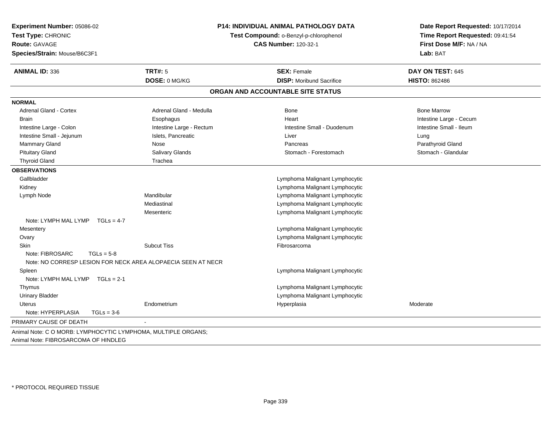| Experiment Number: 05086-02<br>Test Type: CHRONIC             |                                                              | <b>P14: INDIVIDUAL ANIMAL PATHOLOGY DATA</b><br>Test Compound: o-Benzyl-p-chlorophenol | Date Report Requested: 10/17/2014<br>Time Report Requested: 09:41:54 |  |
|---------------------------------------------------------------|--------------------------------------------------------------|----------------------------------------------------------------------------------------|----------------------------------------------------------------------|--|
| Route: GAVAGE                                                 |                                                              | <b>CAS Number: 120-32-1</b>                                                            | First Dose M/F: NA / NA                                              |  |
| Species/Strain: Mouse/B6C3F1                                  |                                                              |                                                                                        | Lab: BAT                                                             |  |
| <b>ANIMAL ID: 336</b>                                         | <b>TRT#: 5</b>                                               | <b>SEX: Female</b>                                                                     | DAY ON TEST: 645                                                     |  |
|                                                               | DOSE: 0 MG/KG                                                | <b>DISP: Moribund Sacrifice</b>                                                        | <b>HISTO: 862486</b>                                                 |  |
|                                                               |                                                              | ORGAN AND ACCOUNTABLE SITE STATUS                                                      |                                                                      |  |
| <b>NORMAL</b>                                                 |                                                              |                                                                                        |                                                                      |  |
| <b>Adrenal Gland - Cortex</b>                                 | Adrenal Gland - Medulla                                      | Bone                                                                                   | <b>Bone Marrow</b>                                                   |  |
| <b>Brain</b>                                                  | Esophagus                                                    | Heart                                                                                  | Intestine Large - Cecum                                              |  |
| Intestine Large - Colon                                       | Intestine Large - Rectum                                     | Intestine Small - Duodenum                                                             | Intestine Small - Ileum                                              |  |
| Intestine Small - Jejunum                                     | Islets, Pancreatic                                           | Liver                                                                                  | Lung                                                                 |  |
| Mammary Gland                                                 | Nose                                                         | Pancreas                                                                               | Parathyroid Gland                                                    |  |
| <b>Pituitary Gland</b>                                        | Salivary Glands                                              | Stomach - Forestomach                                                                  | Stomach - Glandular                                                  |  |
| <b>Thyroid Gland</b>                                          | Trachea                                                      |                                                                                        |                                                                      |  |
| <b>OBSERVATIONS</b>                                           |                                                              |                                                                                        |                                                                      |  |
| Gallbladder                                                   |                                                              | Lymphoma Malignant Lymphocytic                                                         |                                                                      |  |
| Kidney                                                        |                                                              | Lymphoma Malignant Lymphocytic                                                         |                                                                      |  |
| Lymph Node                                                    | Mandibular                                                   | Lymphoma Malignant Lymphocytic                                                         |                                                                      |  |
|                                                               | Mediastinal                                                  | Lymphoma Malignant Lymphocytic                                                         |                                                                      |  |
|                                                               | Mesenteric                                                   | Lymphoma Malignant Lymphocytic                                                         |                                                                      |  |
| Note: LYMPH MAL LYMP<br>$TGLs = 4-7$                          |                                                              |                                                                                        |                                                                      |  |
| Mesentery                                                     |                                                              | Lymphoma Malignant Lymphocytic                                                         |                                                                      |  |
| Ovary                                                         |                                                              | Lymphoma Malignant Lymphocytic                                                         |                                                                      |  |
| Skin                                                          | <b>Subcut Tiss</b>                                           | Fibrosarcoma                                                                           |                                                                      |  |
| Note: FIBROSARC<br>$TGLs = 5-8$                               | Note: NO CORRESP LESION FOR NECK AREA ALOPAECIA SEEN AT NECR |                                                                                        |                                                                      |  |
| Spleen                                                        |                                                              | Lymphoma Malignant Lymphocytic                                                         |                                                                      |  |
| Note: LYMPH MAL LYMP $TGLs = 2-1$                             |                                                              |                                                                                        |                                                                      |  |
| Thymus                                                        |                                                              | Lymphoma Malignant Lymphocytic                                                         |                                                                      |  |
| <b>Urinary Bladder</b>                                        |                                                              | Lymphoma Malignant Lymphocytic                                                         |                                                                      |  |
| <b>Uterus</b>                                                 | Endometrium                                                  | Hyperplasia                                                                            | Moderate                                                             |  |
| Note: HYPERPLASIA<br>$TGLs = 3-6$                             |                                                              |                                                                                        |                                                                      |  |
| PRIMARY CAUSE OF DEATH                                        |                                                              |                                                                                        |                                                                      |  |
| Animal Note: C O MORB: LYMPHOCYTIC LYMPHOMA, MULTIPLE ORGANS; |                                                              |                                                                                        |                                                                      |  |
| Animal Note: FIBROSARCOMA OF HINDLEG                          |                                                              |                                                                                        |                                                                      |  |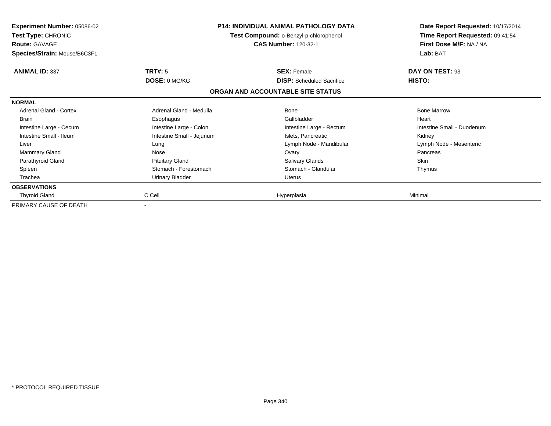| <b>Experiment Number: 05086-02</b><br><b>Test Type: CHRONIC</b><br><b>Route: GAVAGE</b><br>Species/Strain: Mouse/B6C3F1 |                           | <b>P14: INDIVIDUAL ANIMAL PATHOLOGY DATA</b><br>Test Compound: o-Benzyl-p-chlorophenol<br><b>CAS Number: 120-32-1</b> | Date Report Requested: 10/17/2014<br>Time Report Requested: 09:41:54<br>First Dose M/F: NA / NA<br>Lab: BAT |
|-------------------------------------------------------------------------------------------------------------------------|---------------------------|-----------------------------------------------------------------------------------------------------------------------|-------------------------------------------------------------------------------------------------------------|
| <b>ANIMAL ID: 337</b>                                                                                                   | TRT#: 5                   | <b>SEX: Female</b>                                                                                                    | DAY ON TEST: 93                                                                                             |
|                                                                                                                         | DOSE: 0 MG/KG             | <b>DISP:</b> Scheduled Sacrifice                                                                                      | HISTO:                                                                                                      |
|                                                                                                                         |                           | ORGAN AND ACCOUNTABLE SITE STATUS                                                                                     |                                                                                                             |
| <b>NORMAL</b>                                                                                                           |                           |                                                                                                                       |                                                                                                             |
| Adrenal Gland - Cortex                                                                                                  | Adrenal Gland - Medulla   | Bone                                                                                                                  | <b>Bone Marrow</b>                                                                                          |
| <b>Brain</b>                                                                                                            | Esophagus                 | Gallbladder                                                                                                           | Heart                                                                                                       |
| Intestine Large - Cecum                                                                                                 | Intestine Large - Colon   | Intestine Large - Rectum                                                                                              | Intestine Small - Duodenum                                                                                  |
| Intestine Small - Ileum                                                                                                 | Intestine Small - Jejunum | Islets, Pancreatic                                                                                                    | Kidney                                                                                                      |
| Liver                                                                                                                   | Lung                      | Lymph Node - Mandibular                                                                                               | Lymph Node - Mesenteric                                                                                     |
| Mammary Gland                                                                                                           | Nose                      | Ovary                                                                                                                 | Pancreas                                                                                                    |
| Parathyroid Gland                                                                                                       | <b>Pituitary Gland</b>    | Salivary Glands                                                                                                       | <b>Skin</b>                                                                                                 |
| Spleen                                                                                                                  | Stomach - Forestomach     | Stomach - Glandular                                                                                                   | Thymus                                                                                                      |
| Trachea                                                                                                                 | <b>Urinary Bladder</b>    | Uterus                                                                                                                |                                                                                                             |
| <b>OBSERVATIONS</b>                                                                                                     |                           |                                                                                                                       |                                                                                                             |
| <b>Thyroid Gland</b>                                                                                                    | C Cell                    | Hyperplasia                                                                                                           | Minimal                                                                                                     |
| PRIMARY CAUSE OF DEATH                                                                                                  |                           |                                                                                                                       |                                                                                                             |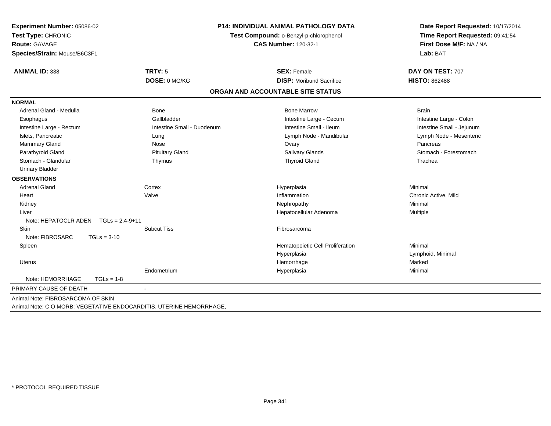|                                        | <b>P14: INDIVIDUAL ANIMAL PATHOLOGY DATA</b><br>Experiment Number: 05086-02<br>Test Type: CHRONIC<br>Test Compound: o-Benzyl-p-chlorophenol<br>Route: GAVAGE<br><b>CAS Number: 120-32-1</b><br>Species/Strain: Mouse/B6C3F1 |                                   | Date Report Requested: 10/17/2014<br>Time Report Requested: 09:41:54<br>First Dose M/F: NA / NA<br>Lab: BAT |  |
|----------------------------------------|-----------------------------------------------------------------------------------------------------------------------------------------------------------------------------------------------------------------------------|-----------------------------------|-------------------------------------------------------------------------------------------------------------|--|
| <b>ANIMAL ID: 338</b>                  | <b>TRT#: 5</b>                                                                                                                                                                                                              | <b>SEX: Female</b>                | DAY ON TEST: 707                                                                                            |  |
|                                        | DOSE: 0 MG/KG                                                                                                                                                                                                               | <b>DISP:</b> Moribund Sacrifice   | <b>HISTO: 862488</b>                                                                                        |  |
|                                        |                                                                                                                                                                                                                             | ORGAN AND ACCOUNTABLE SITE STATUS |                                                                                                             |  |
| <b>NORMAL</b>                          |                                                                                                                                                                                                                             |                                   |                                                                                                             |  |
| Adrenal Gland - Medulla                | Bone                                                                                                                                                                                                                        | <b>Bone Marrow</b>                | <b>Brain</b>                                                                                                |  |
| Esophagus                              | Gallbladder                                                                                                                                                                                                                 | Intestine Large - Cecum           | Intestine Large - Colon                                                                                     |  |
| Intestine Large - Rectum               | Intestine Small - Duodenum                                                                                                                                                                                                  | Intestine Small - Ileum           | Intestine Small - Jejunum                                                                                   |  |
| Islets, Pancreatic                     | Lung                                                                                                                                                                                                                        | Lymph Node - Mandibular           | Lymph Node - Mesenteric                                                                                     |  |
| Mammary Gland                          | Nose                                                                                                                                                                                                                        | Ovary                             | Pancreas                                                                                                    |  |
| Parathyroid Gland                      | <b>Pituitary Gland</b>                                                                                                                                                                                                      | Salivary Glands                   | Stomach - Forestomach                                                                                       |  |
| Stomach - Glandular                    | Thymus                                                                                                                                                                                                                      | <b>Thyroid Gland</b>              | Trachea                                                                                                     |  |
| <b>Urinary Bladder</b>                 |                                                                                                                                                                                                                             |                                   |                                                                                                             |  |
| <b>OBSERVATIONS</b>                    |                                                                                                                                                                                                                             |                                   |                                                                                                             |  |
| <b>Adrenal Gland</b>                   | Cortex                                                                                                                                                                                                                      | Hyperplasia                       | Minimal                                                                                                     |  |
| Heart                                  | Valve                                                                                                                                                                                                                       | Inflammation                      | Chronic Active, Mild                                                                                        |  |
| Kidney                                 |                                                                                                                                                                                                                             | Nephropathy                       | Minimal                                                                                                     |  |
| Liver                                  |                                                                                                                                                                                                                             | Hepatocellular Adenoma            | Multiple                                                                                                    |  |
| Note: HEPATOCLR ADEN $TGLs = 2.4-9+11$ |                                                                                                                                                                                                                             |                                   |                                                                                                             |  |
| Skin                                   | <b>Subcut Tiss</b>                                                                                                                                                                                                          | Fibrosarcoma                      |                                                                                                             |  |
| Note: FIBROSARC<br>$TGLs = 3-10$       |                                                                                                                                                                                                                             |                                   |                                                                                                             |  |
| Spleen                                 |                                                                                                                                                                                                                             | Hematopoietic Cell Proliferation  | Minimal                                                                                                     |  |
|                                        |                                                                                                                                                                                                                             | Hyperplasia                       | Lymphoid, Minimal                                                                                           |  |
| <b>Uterus</b>                          |                                                                                                                                                                                                                             | Hemorrhage                        | Marked                                                                                                      |  |
|                                        | Endometrium                                                                                                                                                                                                                 | Hyperplasia                       | Minimal                                                                                                     |  |
| Note: HEMORRHAGE<br>$TGLs = 1-8$       |                                                                                                                                                                                                                             |                                   |                                                                                                             |  |
| PRIMARY CAUSE OF DEATH                 | $\blacksquare$                                                                                                                                                                                                              |                                   |                                                                                                             |  |
| Animal Note: FIBROSARCOMA OF SKIN      |                                                                                                                                                                                                                             |                                   |                                                                                                             |  |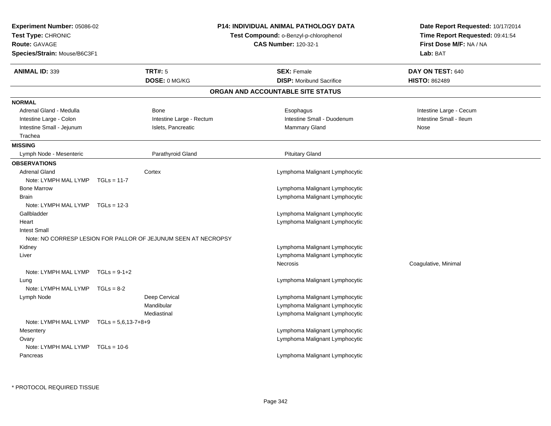| Experiment Number: 05086-02<br>Test Type: CHRONIC<br><b>Route: GAVAGE</b><br><b>CAS Number: 120-32-1</b><br>Species/Strain: Mouse/B6C3F1 |                                                                | <b>P14: INDIVIDUAL ANIMAL PATHOLOGY DATA</b><br>Test Compound: o-Benzyl-p-chlorophenol | Date Report Requested: 10/17/2014<br>Time Report Requested: 09:41:54<br>First Dose M/F: NA / NA<br>Lab: BAT |
|------------------------------------------------------------------------------------------------------------------------------------------|----------------------------------------------------------------|----------------------------------------------------------------------------------------|-------------------------------------------------------------------------------------------------------------|
| <b>ANIMAL ID: 339</b>                                                                                                                    | <b>TRT#: 5</b>                                                 | <b>SEX: Female</b>                                                                     | DAY ON TEST: 640                                                                                            |
|                                                                                                                                          | DOSE: 0 MG/KG                                                  | <b>DISP:</b> Moribund Sacrifice                                                        | <b>HISTO: 862489</b>                                                                                        |
|                                                                                                                                          |                                                                | ORGAN AND ACCOUNTABLE SITE STATUS                                                      |                                                                                                             |
| <b>NORMAL</b>                                                                                                                            |                                                                |                                                                                        |                                                                                                             |
| Adrenal Gland - Medulla                                                                                                                  | Bone                                                           | Esophagus                                                                              | Intestine Large - Cecum                                                                                     |
| Intestine Large - Colon                                                                                                                  | Intestine Large - Rectum                                       | Intestine Small - Duodenum                                                             | Intestine Small - Ileum                                                                                     |
| Intestine Small - Jejunum                                                                                                                | Islets, Pancreatic                                             | <b>Mammary Gland</b>                                                                   | Nose                                                                                                        |
| Trachea                                                                                                                                  |                                                                |                                                                                        |                                                                                                             |
| <b>MISSING</b>                                                                                                                           |                                                                |                                                                                        |                                                                                                             |
| Lymph Node - Mesenteric                                                                                                                  | Parathyroid Gland                                              | <b>Pituitary Gland</b>                                                                 |                                                                                                             |
| <b>OBSERVATIONS</b>                                                                                                                      |                                                                |                                                                                        |                                                                                                             |
| <b>Adrenal Gland</b>                                                                                                                     | Cortex                                                         | Lymphoma Malignant Lymphocytic                                                         |                                                                                                             |
| Note: LYMPH MAL LYMP                                                                                                                     | $TGLs = 11-7$                                                  |                                                                                        |                                                                                                             |
| <b>Bone Marrow</b>                                                                                                                       |                                                                | Lymphoma Malignant Lymphocytic                                                         |                                                                                                             |
| Brain                                                                                                                                    |                                                                | Lymphoma Malignant Lymphocytic                                                         |                                                                                                             |
| Note: LYMPH MAL LYMP TGLs = 12-3                                                                                                         |                                                                |                                                                                        |                                                                                                             |
| Gallbladder                                                                                                                              |                                                                | Lymphoma Malignant Lymphocytic                                                         |                                                                                                             |
| Heart                                                                                                                                    |                                                                | Lymphoma Malignant Lymphocytic                                                         |                                                                                                             |
| <b>Intest Small</b>                                                                                                                      |                                                                |                                                                                        |                                                                                                             |
|                                                                                                                                          | Note: NO CORRESP LESION FOR PALLOR OF JEJUNUM SEEN AT NECROPSY |                                                                                        |                                                                                                             |
| Kidney                                                                                                                                   |                                                                | Lymphoma Malignant Lymphocytic                                                         |                                                                                                             |
| Liver                                                                                                                                    |                                                                | Lymphoma Malignant Lymphocytic                                                         |                                                                                                             |
|                                                                                                                                          |                                                                | <b>Necrosis</b>                                                                        | Coagulative, Minimal                                                                                        |
| Note: LYMPH MAL LYMP                                                                                                                     | $TGLs = 9-1+2$                                                 |                                                                                        |                                                                                                             |
| Lung                                                                                                                                     |                                                                | Lymphoma Malignant Lymphocytic                                                         |                                                                                                             |
| Note: LYMPH MAL LYMP                                                                                                                     | $TGLs = 8-2$                                                   |                                                                                        |                                                                                                             |
| Lymph Node                                                                                                                               | Deep Cervical                                                  | Lymphoma Malignant Lymphocytic                                                         |                                                                                                             |
|                                                                                                                                          | Mandibular                                                     | Lymphoma Malignant Lymphocytic                                                         |                                                                                                             |
|                                                                                                                                          | Mediastinal                                                    | Lymphoma Malignant Lymphocytic                                                         |                                                                                                             |
| Note: LYMPH MAL LYMP $TGLs = 5.6.13 - 7 + 8 + 9$                                                                                         |                                                                |                                                                                        |                                                                                                             |
| Mesentery                                                                                                                                |                                                                | Lymphoma Malignant Lymphocytic                                                         |                                                                                                             |
| Ovary                                                                                                                                    |                                                                | Lymphoma Malignant Lymphocytic                                                         |                                                                                                             |
| Note: LYMPH MAL LYMP                                                                                                                     | $TGLs = 10-6$                                                  |                                                                                        |                                                                                                             |
| Pancreas                                                                                                                                 |                                                                | Lymphoma Malignant Lymphocytic                                                         |                                                                                                             |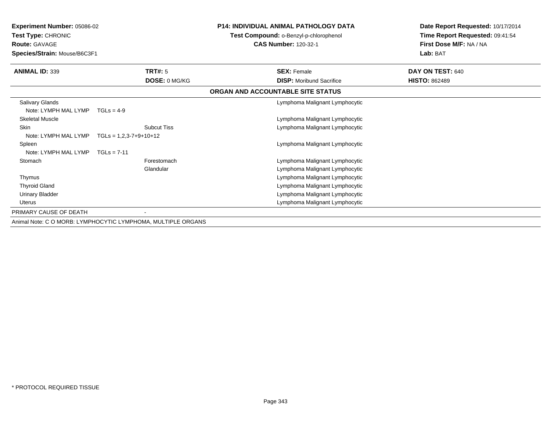| <b>Experiment Number: 05086-02</b><br><b>Test Type: CHRONIC</b> |                                                              | <b>P14: INDIVIDUAL ANIMAL PATHOLOGY DATA</b><br>Test Compound: o-Benzyl-p-chlorophenol | Date Report Requested: 10/17/2014<br>Time Report Requested: 09:41:54 |  |
|-----------------------------------------------------------------|--------------------------------------------------------------|----------------------------------------------------------------------------------------|----------------------------------------------------------------------|--|
| <b>Route: GAVAGE</b><br>Species/Strain: Mouse/B6C3F1            |                                                              | <b>CAS Number: 120-32-1</b>                                                            | First Dose M/F: NA / NA<br>Lab: BAT                                  |  |
| <b>ANIMAL ID: 339</b>                                           | <b>TRT#: 5</b>                                               | <b>SEX: Female</b>                                                                     | DAY ON TEST: 640                                                     |  |
|                                                                 | DOSE: 0 MG/KG                                                | <b>DISP:</b> Moribund Sacrifice                                                        | <b>HISTO: 862489</b>                                                 |  |
|                                                                 |                                                              | ORGAN AND ACCOUNTABLE SITE STATUS                                                      |                                                                      |  |
| <b>Salivary Glands</b>                                          |                                                              | Lymphoma Malignant Lymphocytic                                                         |                                                                      |  |
| Note: LYMPH MAL LYMP                                            | $TGLS = 4-9$                                                 |                                                                                        |                                                                      |  |
| <b>Skeletal Muscle</b>                                          |                                                              | Lymphoma Malignant Lymphocytic                                                         |                                                                      |  |
| <b>Skin</b>                                                     | <b>Subcut Tiss</b>                                           | Lymphoma Malignant Lymphocytic                                                         |                                                                      |  |
| Note: LYMPH MAL LYMP                                            | $TGLs = 1,2,3-7+9+10+12$                                     |                                                                                        |                                                                      |  |
| Spleen                                                          |                                                              | Lymphoma Malignant Lymphocytic                                                         |                                                                      |  |
| Note: LYMPH MAL LYMP                                            | $TGLs = 7-11$                                                |                                                                                        |                                                                      |  |
| Stomach                                                         | Forestomach                                                  | Lymphoma Malignant Lymphocytic                                                         |                                                                      |  |
|                                                                 | Glandular                                                    | Lymphoma Malignant Lymphocytic                                                         |                                                                      |  |
| Thymus                                                          |                                                              | Lymphoma Malignant Lymphocytic                                                         |                                                                      |  |
| <b>Thyroid Gland</b>                                            |                                                              | Lymphoma Malignant Lymphocytic                                                         |                                                                      |  |
| Urinary Bladder                                                 |                                                              | Lymphoma Malignant Lymphocytic                                                         |                                                                      |  |
| <b>Uterus</b>                                                   |                                                              | Lymphoma Malignant Lymphocytic                                                         |                                                                      |  |
| PRIMARY CAUSE OF DEATH                                          |                                                              |                                                                                        |                                                                      |  |
|                                                                 | Animal Note: C O MORB: LYMPHOCYTIC LYMPHOMA, MULTIPLE ORGANS |                                                                                        |                                                                      |  |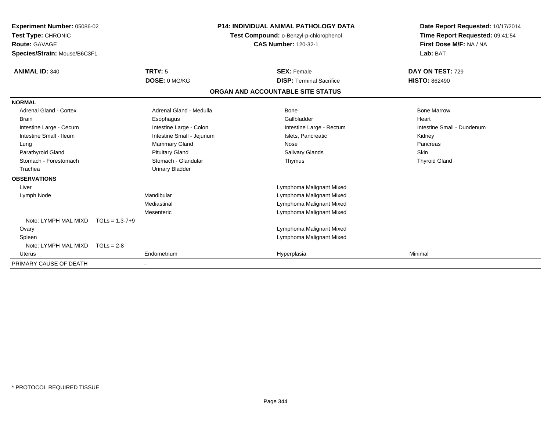| <b>Experiment Number: 05086-02</b><br>Test Type: CHRONIC<br><b>Route: GAVAGE</b><br>Species/Strain: Mouse/B6C3F1<br><b>ANIMAL ID: 340</b> |                      | <b>TRT#: 5</b>            | <b>P14: INDIVIDUAL ANIMAL PATHOLOGY DATA</b><br>Test Compound: o-Benzyl-p-chlorophenol<br><b>CAS Number: 120-32-1</b> |                                                       | Date Report Requested: 10/17/2014<br>Time Report Requested: 09:41:54<br>First Dose M/F: NA / NA<br>Lab: BAT<br>DAY ON TEST: 729 |  |
|-------------------------------------------------------------------------------------------------------------------------------------------|----------------------|---------------------------|-----------------------------------------------------------------------------------------------------------------------|-------------------------------------------------------|---------------------------------------------------------------------------------------------------------------------------------|--|
|                                                                                                                                           |                      | DOSE: 0 MG/KG             |                                                                                                                       | <b>SEX: Female</b><br><b>DISP: Terminal Sacrifice</b> | <b>HISTO: 862490</b>                                                                                                            |  |
|                                                                                                                                           |                      |                           |                                                                                                                       | ORGAN AND ACCOUNTABLE SITE STATUS                     |                                                                                                                                 |  |
| <b>NORMAL</b>                                                                                                                             |                      |                           |                                                                                                                       |                                                       |                                                                                                                                 |  |
| <b>Adrenal Gland - Cortex</b>                                                                                                             |                      | Adrenal Gland - Medulla   |                                                                                                                       | Bone                                                  | <b>Bone Marrow</b>                                                                                                              |  |
| <b>Brain</b>                                                                                                                              |                      | Esophagus                 |                                                                                                                       | Gallbladder                                           | Heart                                                                                                                           |  |
| Intestine Large - Cecum                                                                                                                   |                      | Intestine Large - Colon   |                                                                                                                       | Intestine Large - Rectum                              | Intestine Small - Duodenum                                                                                                      |  |
| Intestine Small - Ileum                                                                                                                   |                      | Intestine Small - Jejunum |                                                                                                                       | Islets, Pancreatic                                    | Kidney                                                                                                                          |  |
| Lung                                                                                                                                      |                      | Mammary Gland             |                                                                                                                       | Nose                                                  | Pancreas                                                                                                                        |  |
| Parathyroid Gland                                                                                                                         |                      | <b>Pituitary Gland</b>    |                                                                                                                       | <b>Salivary Glands</b>                                | Skin                                                                                                                            |  |
| Stomach - Forestomach                                                                                                                     |                      | Stomach - Glandular       |                                                                                                                       | Thymus                                                | <b>Thyroid Gland</b>                                                                                                            |  |
| Trachea                                                                                                                                   |                      | <b>Urinary Bladder</b>    |                                                                                                                       |                                                       |                                                                                                                                 |  |
| <b>OBSERVATIONS</b>                                                                                                                       |                      |                           |                                                                                                                       |                                                       |                                                                                                                                 |  |
| Liver                                                                                                                                     |                      |                           |                                                                                                                       | Lymphoma Malignant Mixed                              |                                                                                                                                 |  |
| Lymph Node                                                                                                                                |                      | Mandibular                |                                                                                                                       | Lymphoma Malignant Mixed                              |                                                                                                                                 |  |
|                                                                                                                                           |                      | Mediastinal               |                                                                                                                       | Lymphoma Malignant Mixed                              |                                                                                                                                 |  |
|                                                                                                                                           |                      | Mesenteric                |                                                                                                                       | Lymphoma Malignant Mixed                              |                                                                                                                                 |  |
| Note: LYMPH MAL MIXD                                                                                                                      | $TGLs = 1.3 - 7 + 9$ |                           |                                                                                                                       |                                                       |                                                                                                                                 |  |
| Ovary                                                                                                                                     |                      |                           |                                                                                                                       | Lymphoma Malignant Mixed                              |                                                                                                                                 |  |
| Spleen                                                                                                                                    |                      |                           |                                                                                                                       | Lymphoma Malignant Mixed                              |                                                                                                                                 |  |
| Note: LYMPH MAL MIXD                                                                                                                      | $TGLs = 2-8$         |                           |                                                                                                                       |                                                       |                                                                                                                                 |  |
| <b>Uterus</b>                                                                                                                             |                      | Endometrium               |                                                                                                                       | Hyperplasia                                           | Minimal                                                                                                                         |  |
| PRIMARY CAUSE OF DEATH                                                                                                                    |                      |                           |                                                                                                                       |                                                       |                                                                                                                                 |  |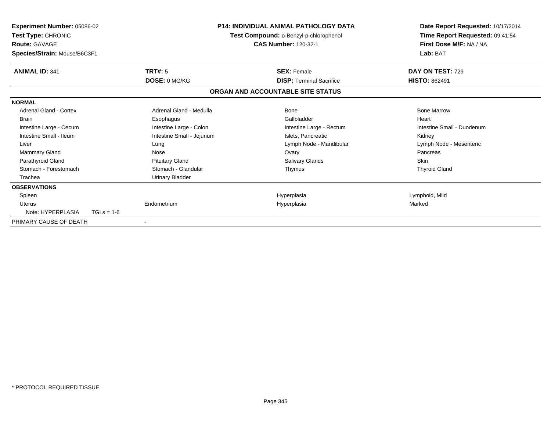| <b>Experiment Number: 05086-02</b><br>Test Type: CHRONIC<br><b>Route: GAVAGE</b><br>Species/Strain: Mouse/B6C3F1 |              |                           | <b>P14: INDIVIDUAL ANIMAL PATHOLOGY DATA</b><br>Test Compound: o-Benzyl-p-chlorophenol<br><b>CAS Number: 120-32-1</b> |                                   | Date Report Requested: 10/17/2014<br>Time Report Requested: 09:41:54<br>First Dose M/F: NA / NA<br>Lab: BAT |
|------------------------------------------------------------------------------------------------------------------|--------------|---------------------------|-----------------------------------------------------------------------------------------------------------------------|-----------------------------------|-------------------------------------------------------------------------------------------------------------|
| <b>ANIMAL ID: 341</b>                                                                                            |              | <b>TRT#: 5</b>            |                                                                                                                       | <b>SEX: Female</b>                | DAY ON TEST: 729                                                                                            |
|                                                                                                                  |              | DOSE: 0 MG/KG             |                                                                                                                       | <b>DISP: Terminal Sacrifice</b>   | <b>HISTO: 862491</b>                                                                                        |
|                                                                                                                  |              |                           |                                                                                                                       | ORGAN AND ACCOUNTABLE SITE STATUS |                                                                                                             |
| <b>NORMAL</b>                                                                                                    |              |                           |                                                                                                                       |                                   |                                                                                                             |
| <b>Adrenal Gland - Cortex</b>                                                                                    |              | Adrenal Gland - Medulla   |                                                                                                                       | Bone                              | <b>Bone Marrow</b>                                                                                          |
| <b>Brain</b>                                                                                                     |              | Esophagus                 |                                                                                                                       | Gallbladder                       | Heart                                                                                                       |
| Intestine Large - Cecum                                                                                          |              | Intestine Large - Colon   |                                                                                                                       | Intestine Large - Rectum          | Intestine Small - Duodenum                                                                                  |
| Intestine Small - Ileum                                                                                          |              | Intestine Small - Jejunum |                                                                                                                       | Islets, Pancreatic                | Kidney                                                                                                      |
| Liver                                                                                                            |              | Lung                      |                                                                                                                       | Lymph Node - Mandibular           | Lymph Node - Mesenteric                                                                                     |
| Mammary Gland                                                                                                    |              | Nose                      |                                                                                                                       | Ovary                             | Pancreas                                                                                                    |
| Parathyroid Gland                                                                                                |              | <b>Pituitary Gland</b>    |                                                                                                                       | <b>Salivary Glands</b>            | <b>Skin</b>                                                                                                 |
| Stomach - Forestomach                                                                                            |              | Stomach - Glandular       |                                                                                                                       | Thymus                            | <b>Thyroid Gland</b>                                                                                        |
| Trachea                                                                                                          |              | <b>Urinary Bladder</b>    |                                                                                                                       |                                   |                                                                                                             |
| <b>OBSERVATIONS</b>                                                                                              |              |                           |                                                                                                                       |                                   |                                                                                                             |
| Spleen                                                                                                           |              |                           |                                                                                                                       | Hyperplasia                       | Lymphoid, Mild                                                                                              |
| <b>Uterus</b>                                                                                                    |              | Endometrium               |                                                                                                                       | Hyperplasia                       | Marked                                                                                                      |
| Note: HYPERPLASIA                                                                                                | $TGLs = 1-6$ |                           |                                                                                                                       |                                   |                                                                                                             |
| PRIMARY CAUSE OF DEATH                                                                                           |              |                           |                                                                                                                       |                                   |                                                                                                             |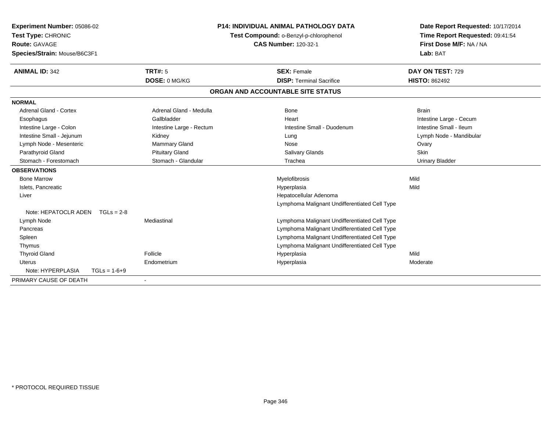| Experiment Number: 05086-02<br>Test Type: CHRONIC<br>Route: GAVAGE<br>Species/Strain: Mouse/B6C3F1 |                |                          | <b>P14: INDIVIDUAL ANIMAL PATHOLOGY DATA</b><br>Test Compound: o-Benzyl-p-chlorophenol<br><b>CAS Number: 120-32-1</b> |                                               | Date Report Requested: 10/17/2014<br>Time Report Requested: 09:41:54<br>First Dose M/F: NA / NA<br>Lab: BAT |
|----------------------------------------------------------------------------------------------------|----------------|--------------------------|-----------------------------------------------------------------------------------------------------------------------|-----------------------------------------------|-------------------------------------------------------------------------------------------------------------|
| <b>ANIMAL ID: 342</b>                                                                              |                | <b>TRT#: 5</b>           |                                                                                                                       | <b>SEX: Female</b>                            | DAY ON TEST: 729                                                                                            |
|                                                                                                    |                | DOSE: 0 MG/KG            |                                                                                                                       | <b>DISP: Terminal Sacrifice</b>               | <b>HISTO: 862492</b>                                                                                        |
|                                                                                                    |                |                          |                                                                                                                       | ORGAN AND ACCOUNTABLE SITE STATUS             |                                                                                                             |
| <b>NORMAL</b>                                                                                      |                |                          |                                                                                                                       |                                               |                                                                                                             |
| <b>Adrenal Gland - Cortex</b>                                                                      |                | Adrenal Gland - Medulla  |                                                                                                                       | <b>Bone</b>                                   | <b>Brain</b>                                                                                                |
| Esophagus                                                                                          |                | Gallbladder              |                                                                                                                       | Heart                                         | Intestine Large - Cecum                                                                                     |
| Intestine Large - Colon                                                                            |                | Intestine Large - Rectum |                                                                                                                       | Intestine Small - Duodenum                    | Intestine Small - Ileum                                                                                     |
| Intestine Small - Jejunum                                                                          |                | Kidney                   |                                                                                                                       | Lung                                          | Lymph Node - Mandibular                                                                                     |
| Lymph Node - Mesenteric                                                                            |                | Mammary Gland            |                                                                                                                       | Nose                                          | Ovary                                                                                                       |
| Parathyroid Gland                                                                                  |                | <b>Pituitary Gland</b>   |                                                                                                                       | <b>Salivary Glands</b>                        | <b>Skin</b>                                                                                                 |
| Stomach - Forestomach                                                                              |                | Stomach - Glandular      |                                                                                                                       | Trachea                                       | <b>Urinary Bladder</b>                                                                                      |
| <b>OBSERVATIONS</b>                                                                                |                |                          |                                                                                                                       |                                               |                                                                                                             |
| <b>Bone Marrow</b>                                                                                 |                |                          |                                                                                                                       | Myelofibrosis                                 | Mild                                                                                                        |
| Islets, Pancreatic                                                                                 |                |                          |                                                                                                                       | Hyperplasia                                   | Mild                                                                                                        |
| Liver                                                                                              |                |                          |                                                                                                                       | Hepatocellular Adenoma                        |                                                                                                             |
|                                                                                                    |                |                          |                                                                                                                       | Lymphoma Malignant Undifferentiated Cell Type |                                                                                                             |
| Note: HEPATOCLR ADEN                                                                               | $TGLs = 2-8$   |                          |                                                                                                                       |                                               |                                                                                                             |
| Lymph Node                                                                                         |                | Mediastinal              |                                                                                                                       | Lymphoma Malignant Undifferentiated Cell Type |                                                                                                             |
| Pancreas                                                                                           |                |                          |                                                                                                                       | Lymphoma Malignant Undifferentiated Cell Type |                                                                                                             |
| Spleen                                                                                             |                |                          |                                                                                                                       | Lymphoma Malignant Undifferentiated Cell Type |                                                                                                             |
| Thymus                                                                                             |                |                          |                                                                                                                       | Lymphoma Malignant Undifferentiated Cell Type |                                                                                                             |
| <b>Thyroid Gland</b>                                                                               |                | Follicle                 |                                                                                                                       | Hyperplasia                                   | Mild                                                                                                        |
| Uterus                                                                                             |                | Endometrium              |                                                                                                                       | Hyperplasia                                   | Moderate                                                                                                    |
| Note: HYPERPLASIA                                                                                  | $TGLs = 1-6+9$ |                          |                                                                                                                       |                                               |                                                                                                             |
| PRIMARY CAUSE OF DEATH                                                                             |                |                          |                                                                                                                       |                                               |                                                                                                             |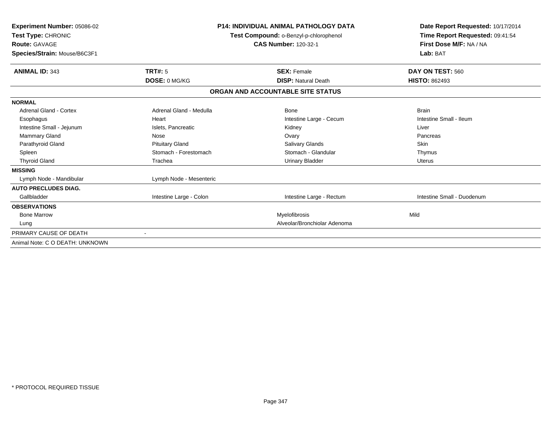| Experiment Number: 05086-02<br>Test Type: CHRONIC<br><b>Route: GAVAGE</b><br>Species/Strain: Mouse/B6C3F1 |                         | <b>P14: INDIVIDUAL ANIMAL PATHOLOGY DATA</b><br>Test Compound: o-Benzyl-p-chlorophenol<br><b>CAS Number: 120-32-1</b> |                            |
|-----------------------------------------------------------------------------------------------------------|-------------------------|-----------------------------------------------------------------------------------------------------------------------|----------------------------|
| <b>ANIMAL ID: 343</b>                                                                                     | <b>TRT#: 5</b>          | <b>SEX: Female</b>                                                                                                    | DAY ON TEST: 560           |
|                                                                                                           | DOSE: 0 MG/KG           | <b>DISP: Natural Death</b>                                                                                            | <b>HISTO: 862493</b>       |
|                                                                                                           |                         | ORGAN AND ACCOUNTABLE SITE STATUS                                                                                     |                            |
| <b>NORMAL</b>                                                                                             |                         |                                                                                                                       |                            |
| Adrenal Gland - Cortex                                                                                    | Adrenal Gland - Medulla | Bone                                                                                                                  | <b>Brain</b>               |
| Esophagus                                                                                                 | Heart                   | Intestine Large - Cecum                                                                                               | Intestine Small - Ileum    |
| Intestine Small - Jejunum                                                                                 | Islets, Pancreatic      | Kidney                                                                                                                | Liver                      |
| <b>Mammary Gland</b>                                                                                      | Nose                    | Ovary                                                                                                                 | Pancreas                   |
| Parathyroid Gland                                                                                         | <b>Pituitary Gland</b>  | <b>Salivary Glands</b>                                                                                                | <b>Skin</b>                |
| Spleen                                                                                                    | Stomach - Forestomach   | Stomach - Glandular                                                                                                   | Thymus                     |
| <b>Thyroid Gland</b>                                                                                      | Trachea                 | <b>Urinary Bladder</b>                                                                                                | Uterus                     |
| <b>MISSING</b>                                                                                            |                         |                                                                                                                       |                            |
| Lymph Node - Mandibular                                                                                   | Lymph Node - Mesenteric |                                                                                                                       |                            |
| <b>AUTO PRECLUDES DIAG.</b>                                                                               |                         |                                                                                                                       |                            |
| Gallbladder                                                                                               | Intestine Large - Colon | Intestine Large - Rectum                                                                                              | Intestine Small - Duodenum |
| <b>OBSERVATIONS</b>                                                                                       |                         |                                                                                                                       |                            |
| <b>Bone Marrow</b>                                                                                        |                         | <b>Myelofibrosis</b>                                                                                                  | Mild                       |
| Lung                                                                                                      |                         | Alveolar/Bronchiolar Adenoma                                                                                          |                            |
| PRIMARY CAUSE OF DEATH                                                                                    |                         |                                                                                                                       |                            |
| Animal Note: C O DEATH: UNKNOWN                                                                           |                         |                                                                                                                       |                            |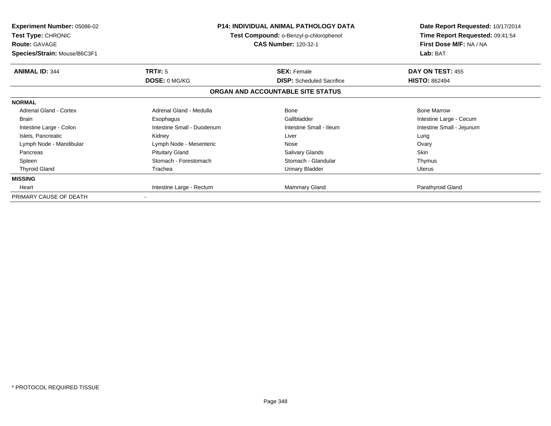| <b>Experiment Number: 05086-02</b><br>Test Type: CHRONIC<br><b>Route: GAVAGE</b><br>Species/Strain: Mouse/B6C3F1 |                                        | P14: INDIVIDUAL ANIMAL PATHOLOGY DATA<br>Test Compound: o-Benzyl-p-chlorophenol<br><b>CAS Number: 120-32-1</b> | Date Report Requested: 10/17/2014<br>Time Report Requested: 09:41:54<br>First Dose M/F: NA / NA<br>Lab: BAT |
|------------------------------------------------------------------------------------------------------------------|----------------------------------------|----------------------------------------------------------------------------------------------------------------|-------------------------------------------------------------------------------------------------------------|
| <b>ANIMAL ID: 344</b>                                                                                            | <b>TRT#: 5</b><br><b>DOSE: 0 MG/KG</b> | <b>SEX: Female</b><br><b>DISP:</b> Scheduled Sacrifice                                                         | DAY ON TEST: 455<br><b>HISTO: 862494</b>                                                                    |
|                                                                                                                  |                                        | ORGAN AND ACCOUNTABLE SITE STATUS                                                                              |                                                                                                             |
| <b>NORMAL</b>                                                                                                    |                                        |                                                                                                                |                                                                                                             |
| <b>Adrenal Gland - Cortex</b>                                                                                    | Adrenal Gland - Medulla                | Bone                                                                                                           | <b>Bone Marrow</b>                                                                                          |
| <b>Brain</b>                                                                                                     | Esophagus                              | Gallbladder                                                                                                    | Intestine Large - Cecum                                                                                     |
| Intestine Large - Colon                                                                                          | Intestine Small - Duodenum             | Intestine Small - Ileum                                                                                        | Intestine Small - Jejunum                                                                                   |
| Islets, Pancreatic                                                                                               | Kidney                                 | Liver                                                                                                          | Lung                                                                                                        |
| Lymph Node - Mandibular                                                                                          | Lymph Node - Mesenteric                | Nose                                                                                                           | Ovary                                                                                                       |
| Pancreas                                                                                                         | <b>Pituitary Gland</b>                 | Salivary Glands                                                                                                | <b>Skin</b>                                                                                                 |
| Spleen                                                                                                           | Stomach - Forestomach                  | Stomach - Glandular                                                                                            | Thymus                                                                                                      |
| <b>Thyroid Gland</b>                                                                                             | Trachea                                | Urinary Bladder                                                                                                | Uterus                                                                                                      |
| <b>MISSING</b>                                                                                                   |                                        |                                                                                                                |                                                                                                             |
| Heart                                                                                                            | Intestine Large - Rectum               | Mammary Gland                                                                                                  | Parathyroid Gland                                                                                           |
| PRIMARY CAUSE OF DEATH                                                                                           | $\blacksquare$                         |                                                                                                                |                                                                                                             |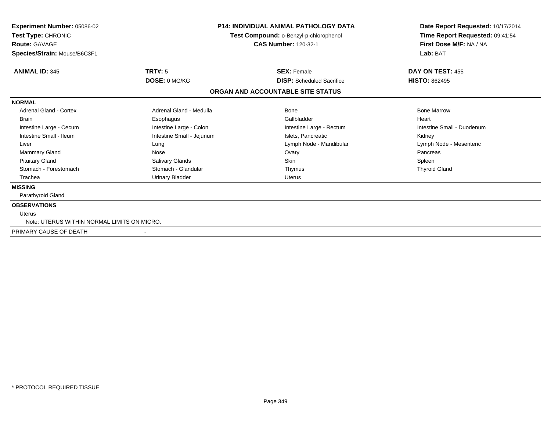| <b>Experiment Number: 05086-02</b><br>Test Type: CHRONIC<br><b>Route: GAVAGE</b> | <b>P14: INDIVIDUAL ANIMAL PATHOLOGY DATA</b><br>Test Compound: o-Benzyl-p-chlorophenol<br><b>CAS Number: 120-32-1</b> |                                   | Date Report Requested: 10/17/2014<br>Time Report Requested: 09:41:54<br>First Dose M/F: NA / NA |  |
|----------------------------------------------------------------------------------|-----------------------------------------------------------------------------------------------------------------------|-----------------------------------|-------------------------------------------------------------------------------------------------|--|
| Species/Strain: Mouse/B6C3F1                                                     |                                                                                                                       |                                   | Lab: BAT                                                                                        |  |
| <b>ANIMAL ID: 345</b>                                                            | TRT#: 5                                                                                                               | <b>SEX: Female</b>                | DAY ON TEST: 455                                                                                |  |
|                                                                                  | <b>DOSE: 0 MG/KG</b>                                                                                                  | <b>DISP:</b> Scheduled Sacrifice  | <b>HISTO: 862495</b>                                                                            |  |
|                                                                                  |                                                                                                                       | ORGAN AND ACCOUNTABLE SITE STATUS |                                                                                                 |  |
| <b>NORMAL</b>                                                                    |                                                                                                                       |                                   |                                                                                                 |  |
| Adrenal Gland - Cortex                                                           | Adrenal Gland - Medulla                                                                                               | Bone                              | <b>Bone Marrow</b>                                                                              |  |
| <b>Brain</b>                                                                     | Esophagus                                                                                                             | Gallbladder                       | Heart                                                                                           |  |
| Intestine Large - Cecum                                                          | Intestine Large - Colon                                                                                               | Intestine Large - Rectum          | Intestine Small - Duodenum                                                                      |  |
| Intestine Small - Ileum                                                          | Intestine Small - Jejunum                                                                                             | Islets, Pancreatic                | Kidney                                                                                          |  |
| Liver                                                                            | Lung                                                                                                                  | Lymph Node - Mandibular           | Lymph Node - Mesenteric                                                                         |  |
| <b>Mammary Gland</b>                                                             | Nose                                                                                                                  | Ovary                             | Pancreas                                                                                        |  |
| <b>Pituitary Gland</b>                                                           | Salivary Glands                                                                                                       | <b>Skin</b>                       | Spleen                                                                                          |  |
| Stomach - Forestomach                                                            | Stomach - Glandular                                                                                                   | Thymus                            | <b>Thyroid Gland</b>                                                                            |  |
| Trachea                                                                          | <b>Urinary Bladder</b>                                                                                                | <b>Uterus</b>                     |                                                                                                 |  |
| <b>MISSING</b>                                                                   |                                                                                                                       |                                   |                                                                                                 |  |
| Parathyroid Gland                                                                |                                                                                                                       |                                   |                                                                                                 |  |
| <b>OBSERVATIONS</b>                                                              |                                                                                                                       |                                   |                                                                                                 |  |
| <b>Uterus</b>                                                                    |                                                                                                                       |                                   |                                                                                                 |  |
| Note: UTERUS WITHIN NORMAL LIMITS ON MICRO.                                      |                                                                                                                       |                                   |                                                                                                 |  |
| PRIMARY CAUSE OF DEATH                                                           |                                                                                                                       |                                   |                                                                                                 |  |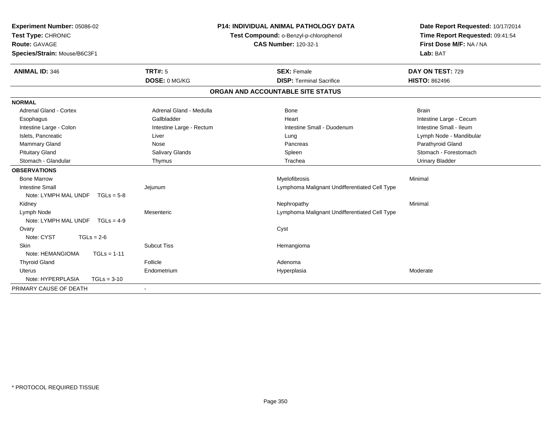| Experiment Number: 05086-02<br>Test Type: CHRONIC |                          | <b>P14: INDIVIDUAL ANIMAL PATHOLOGY DATA</b><br>Test Compound: o-Benzyl-p-chlorophenol | Date Report Requested: 10/17/2014<br>Time Report Requested: 09:41:54 |
|---------------------------------------------------|--------------------------|----------------------------------------------------------------------------------------|----------------------------------------------------------------------|
| <b>Route: GAVAGE</b>                              |                          | <b>CAS Number: 120-32-1</b>                                                            | First Dose M/F: NA / NA                                              |
| Species/Strain: Mouse/B6C3F1                      |                          |                                                                                        | Lab: BAT                                                             |
| <b>ANIMAL ID: 346</b>                             | <b>TRT#: 5</b>           | <b>SEX: Female</b>                                                                     | DAY ON TEST: 729                                                     |
|                                                   | DOSE: 0 MG/KG            | <b>DISP: Terminal Sacrifice</b>                                                        | <b>HISTO: 862496</b>                                                 |
|                                                   |                          | ORGAN AND ACCOUNTABLE SITE STATUS                                                      |                                                                      |
| <b>NORMAL</b>                                     |                          |                                                                                        |                                                                      |
| <b>Adrenal Gland - Cortex</b>                     | Adrenal Gland - Medulla  | <b>Bone</b>                                                                            | <b>Brain</b>                                                         |
| Esophagus                                         | Gallbladder              | Heart                                                                                  | Intestine Large - Cecum                                              |
| Intestine Large - Colon                           | Intestine Large - Rectum | Intestine Small - Duodenum                                                             | Intestine Small - Ileum                                              |
| Islets, Pancreatic                                | Liver                    | Lung                                                                                   | Lymph Node - Mandibular                                              |
| Mammary Gland                                     | Nose                     | Pancreas                                                                               | Parathyroid Gland                                                    |
| <b>Pituitary Gland</b>                            | Salivary Glands          | Spleen                                                                                 | Stomach - Forestomach                                                |
| Stomach - Glandular                               | Thymus                   | Trachea                                                                                | <b>Urinary Bladder</b>                                               |
| <b>OBSERVATIONS</b>                               |                          |                                                                                        |                                                                      |
| <b>Bone Marrow</b>                                |                          | Myelofibrosis                                                                          | Minimal                                                              |
| <b>Intestine Small</b>                            | Jejunum                  | Lymphoma Malignant Undifferentiated Cell Type                                          |                                                                      |
| Note: LYMPH MAL UNDF $TGLs = 5-8$                 |                          |                                                                                        |                                                                      |
| Kidney                                            |                          | Nephropathy                                                                            | Minimal                                                              |
| Lymph Node                                        | Mesenteric               | Lymphoma Malignant Undifferentiated Cell Type                                          |                                                                      |
| Note: LYMPH MAL UNDF $TGLs = 4-9$                 |                          |                                                                                        |                                                                      |
| Ovary                                             |                          | Cyst                                                                                   |                                                                      |
| Note: CYST<br>$TGLs = 2-6$                        |                          |                                                                                        |                                                                      |
| Skin                                              | <b>Subcut Tiss</b>       | Hemangioma                                                                             |                                                                      |
| Note: HEMANGIOMA<br>$TGLs = 1-11$                 |                          |                                                                                        |                                                                      |
| <b>Thyroid Gland</b>                              | Follicle                 | Adenoma                                                                                |                                                                      |
| <b>Uterus</b>                                     | Endometrium              | Hyperplasia                                                                            | Moderate                                                             |
| Note: HYPERPLASIA<br>$TGLs = 3-10$                |                          |                                                                                        |                                                                      |
| PRIMARY CAUSE OF DEATH                            |                          |                                                                                        |                                                                      |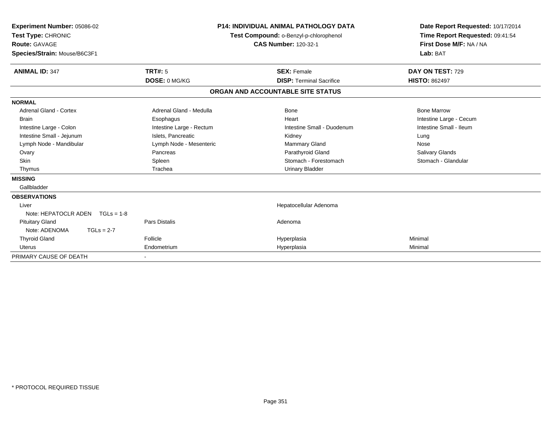| Experiment Number: 05086-02<br>Test Type: CHRONIC<br><b>Route: GAVAGE</b> |                          | <b>P14: INDIVIDUAL ANIMAL PATHOLOGY DATA</b><br>Test Compound: o-Benzyl-p-chlorophenol<br><b>CAS Number: 120-32-1</b> |                                   | Date Report Requested: 10/17/2014<br>Time Report Requested: 09:41:54<br>First Dose M/F: NA / NA |
|---------------------------------------------------------------------------|--------------------------|-----------------------------------------------------------------------------------------------------------------------|-----------------------------------|-------------------------------------------------------------------------------------------------|
| Species/Strain: Mouse/B6C3F1                                              |                          |                                                                                                                       |                                   | Lab: BAT                                                                                        |
| <b>ANIMAL ID: 347</b>                                                     | TRT#: 5                  |                                                                                                                       | <b>SEX: Female</b>                | DAY ON TEST: 729                                                                                |
|                                                                           | DOSE: 0 MG/KG            |                                                                                                                       | <b>DISP: Terminal Sacrifice</b>   | <b>HISTO: 862497</b>                                                                            |
|                                                                           |                          |                                                                                                                       | ORGAN AND ACCOUNTABLE SITE STATUS |                                                                                                 |
| <b>NORMAL</b>                                                             |                          |                                                                                                                       |                                   |                                                                                                 |
| Adrenal Gland - Cortex                                                    | Adrenal Gland - Medulla  |                                                                                                                       | Bone                              | <b>Bone Marrow</b>                                                                              |
| <b>Brain</b>                                                              | Esophagus                |                                                                                                                       | Heart                             | Intestine Large - Cecum                                                                         |
| Intestine Large - Colon                                                   | Intestine Large - Rectum |                                                                                                                       | Intestine Small - Duodenum        | Intestine Small - Ileum                                                                         |
| Intestine Small - Jejunum                                                 | Islets, Pancreatic       |                                                                                                                       | Kidney                            | Lung                                                                                            |
| Lymph Node - Mandibular                                                   | Lymph Node - Mesenteric  |                                                                                                                       | <b>Mammary Gland</b>              | Nose                                                                                            |
| Ovary                                                                     | Pancreas                 |                                                                                                                       | Parathyroid Gland                 | <b>Salivary Glands</b>                                                                          |
| <b>Skin</b>                                                               | Spleen                   |                                                                                                                       | Stomach - Forestomach             | Stomach - Glandular                                                                             |
| Thymus                                                                    | Trachea                  |                                                                                                                       | <b>Urinary Bladder</b>            |                                                                                                 |
| <b>MISSING</b>                                                            |                          |                                                                                                                       |                                   |                                                                                                 |
| Gallbladder                                                               |                          |                                                                                                                       |                                   |                                                                                                 |
| <b>OBSERVATIONS</b>                                                       |                          |                                                                                                                       |                                   |                                                                                                 |
| Liver                                                                     |                          |                                                                                                                       | Hepatocellular Adenoma            |                                                                                                 |
| Note: HEPATOCLR ADEN<br>$TGLs = 1-8$                                      |                          |                                                                                                                       |                                   |                                                                                                 |
| <b>Pituitary Gland</b>                                                    | <b>Pars Distalis</b>     |                                                                                                                       | Adenoma                           |                                                                                                 |
| Note: ADENOMA<br>$TGLs = 2-7$                                             |                          |                                                                                                                       |                                   |                                                                                                 |
| <b>Thyroid Gland</b>                                                      | Follicle                 |                                                                                                                       | Hyperplasia                       | Minimal                                                                                         |
| <b>Uterus</b>                                                             | Endometrium              |                                                                                                                       | Hyperplasia                       | Minimal                                                                                         |
| PRIMARY CAUSE OF DEATH                                                    |                          |                                                                                                                       |                                   |                                                                                                 |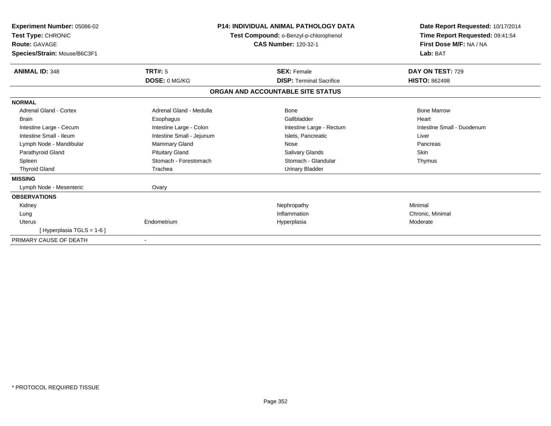| <b>Experiment Number: 05086-02</b><br>Test Type: CHRONIC<br><b>Route: GAVAGE</b><br>Species/Strain: Mouse/B6C3F1 |                           | P14: INDIVIDUAL ANIMAL PATHOLOGY DATA<br>Test Compound: o-Benzyl-p-chlorophenol<br><b>CAS Number: 120-32-1</b> | Date Report Requested: 10/17/2014<br>Time Report Requested: 09:41:54<br>First Dose M/F: NA / NA<br>Lab: BAT |
|------------------------------------------------------------------------------------------------------------------|---------------------------|----------------------------------------------------------------------------------------------------------------|-------------------------------------------------------------------------------------------------------------|
| <b>ANIMAL ID: 348</b>                                                                                            | <b>TRT#: 5</b>            | <b>SEX: Female</b>                                                                                             | DAY ON TEST: 729                                                                                            |
|                                                                                                                  | DOSE: 0 MG/KG             | <b>DISP: Terminal Sacrifice</b>                                                                                | <b>HISTO: 862498</b>                                                                                        |
|                                                                                                                  |                           | ORGAN AND ACCOUNTABLE SITE STATUS                                                                              |                                                                                                             |
| <b>NORMAL</b>                                                                                                    |                           |                                                                                                                |                                                                                                             |
| <b>Adrenal Gland - Cortex</b>                                                                                    | Adrenal Gland - Medulla   | <b>Bone</b>                                                                                                    | <b>Bone Marrow</b>                                                                                          |
| <b>Brain</b>                                                                                                     | Esophagus                 | Gallbladder                                                                                                    | Heart                                                                                                       |
| Intestine Large - Cecum                                                                                          | Intestine Large - Colon   | Intestine Large - Rectum                                                                                       | Intestine Small - Duodenum                                                                                  |
| Intestine Small - Ileum                                                                                          | Intestine Small - Jejunum | Islets, Pancreatic                                                                                             | Liver                                                                                                       |
| Lymph Node - Mandibular                                                                                          | Mammary Gland             | Nose                                                                                                           | Pancreas                                                                                                    |
| Parathyroid Gland                                                                                                | <b>Pituitary Gland</b>    | Salivary Glands                                                                                                | <b>Skin</b>                                                                                                 |
| Spleen                                                                                                           | Stomach - Forestomach     | Stomach - Glandular                                                                                            | Thymus                                                                                                      |
| <b>Thyroid Gland</b>                                                                                             | Trachea                   | <b>Urinary Bladder</b>                                                                                         |                                                                                                             |
| <b>MISSING</b>                                                                                                   |                           |                                                                                                                |                                                                                                             |
| Lymph Node - Mesenteric                                                                                          | Ovary                     |                                                                                                                |                                                                                                             |
| <b>OBSERVATIONS</b>                                                                                              |                           |                                                                                                                |                                                                                                             |
| Kidney                                                                                                           |                           | Nephropathy                                                                                                    | Minimal                                                                                                     |
| Lung                                                                                                             |                           | Inflammation                                                                                                   | Chronic, Minimal                                                                                            |
| Uterus                                                                                                           | Endometrium               | Hyperplasia                                                                                                    | Moderate                                                                                                    |
| [Hyperplasia TGLS = 1-6]                                                                                         |                           |                                                                                                                |                                                                                                             |
| PRIMARY CAUSE OF DEATH                                                                                           |                           |                                                                                                                |                                                                                                             |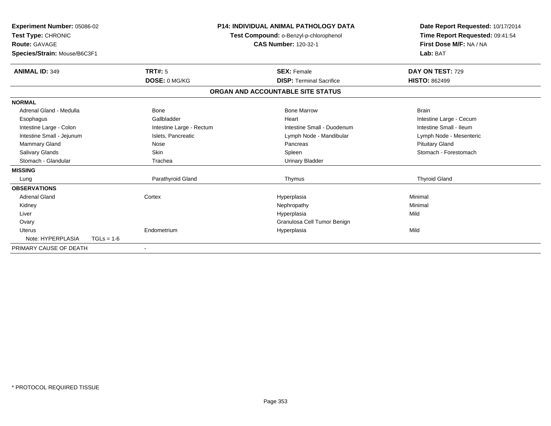| Experiment Number: 05086-02<br>Test Type: CHRONIC<br><b>Route: GAVAGE</b><br>Species/Strain: Mouse/B6C3F1 |              |                          | <b>P14: INDIVIDUAL ANIMAL PATHOLOGY DATA</b><br>Test Compound: o-Benzyl-p-chlorophenol<br><b>CAS Number: 120-32-1</b> |                                   | Date Report Requested: 10/17/2014<br>Time Report Requested: 09:41:54<br>First Dose M/F: NA / NA<br>Lab: BAT |
|-----------------------------------------------------------------------------------------------------------|--------------|--------------------------|-----------------------------------------------------------------------------------------------------------------------|-----------------------------------|-------------------------------------------------------------------------------------------------------------|
| <b>ANIMAL ID: 349</b>                                                                                     |              | TRT#: 5                  |                                                                                                                       | <b>SEX: Female</b>                | DAY ON TEST: 729                                                                                            |
|                                                                                                           |              | DOSE: 0 MG/KG            |                                                                                                                       | <b>DISP: Terminal Sacrifice</b>   | <b>HISTO: 862499</b>                                                                                        |
|                                                                                                           |              |                          |                                                                                                                       | ORGAN AND ACCOUNTABLE SITE STATUS |                                                                                                             |
| <b>NORMAL</b>                                                                                             |              |                          |                                                                                                                       |                                   |                                                                                                             |
| Adrenal Gland - Medulla                                                                                   |              | <b>Bone</b>              |                                                                                                                       | <b>Bone Marrow</b>                | <b>Brain</b>                                                                                                |
| Esophagus                                                                                                 |              | Gallbladder              |                                                                                                                       | Heart                             | Intestine Large - Cecum                                                                                     |
| Intestine Large - Colon                                                                                   |              | Intestine Large - Rectum | Intestine Small - Duodenum                                                                                            |                                   | Intestine Small - Ileum                                                                                     |
| Intestine Small - Jejunum                                                                                 |              | Islets, Pancreatic       |                                                                                                                       | Lymph Node - Mandibular           | Lymph Node - Mesenteric                                                                                     |
| Mammary Gland                                                                                             |              | Nose                     |                                                                                                                       | Pancreas                          | <b>Pituitary Gland</b>                                                                                      |
| <b>Salivary Glands</b>                                                                                    |              | <b>Skin</b>              |                                                                                                                       | Spleen                            | Stomach - Forestomach                                                                                       |
| Stomach - Glandular                                                                                       |              | Trachea                  |                                                                                                                       | <b>Urinary Bladder</b>            |                                                                                                             |
| <b>MISSING</b>                                                                                            |              |                          |                                                                                                                       |                                   |                                                                                                             |
| Lung                                                                                                      |              | Parathyroid Gland        |                                                                                                                       | Thymus                            | <b>Thyroid Gland</b>                                                                                        |
| <b>OBSERVATIONS</b>                                                                                       |              |                          |                                                                                                                       |                                   |                                                                                                             |
| <b>Adrenal Gland</b>                                                                                      |              | Cortex                   |                                                                                                                       | Hyperplasia                       | Minimal                                                                                                     |
| Kidney                                                                                                    |              |                          |                                                                                                                       | Nephropathy                       | Minimal                                                                                                     |
| Liver                                                                                                     |              |                          |                                                                                                                       | Hyperplasia                       | Mild                                                                                                        |
| Ovary                                                                                                     |              |                          |                                                                                                                       | Granulosa Cell Tumor Benign       |                                                                                                             |
| <b>Uterus</b>                                                                                             |              | Endometrium              |                                                                                                                       | Hyperplasia                       | Mild                                                                                                        |
| Note: HYPERPLASIA                                                                                         | $TGLs = 1-6$ |                          |                                                                                                                       |                                   |                                                                                                             |
| PRIMARY CAUSE OF DEATH                                                                                    |              |                          |                                                                                                                       |                                   |                                                                                                             |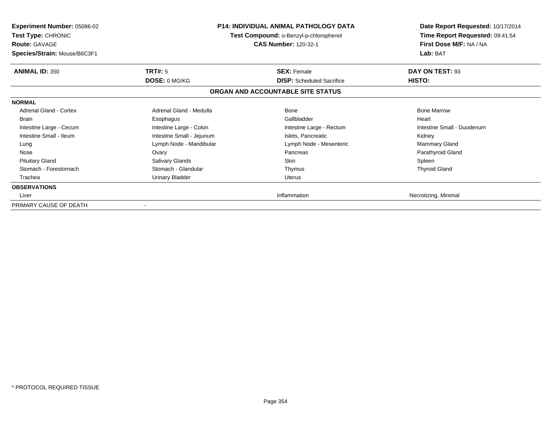| <b>Experiment Number: 05086-02</b><br><b>Test Type: CHRONIC</b><br><b>Route: GAVAGE</b><br>Species/Strain: Mouse/B6C3F1 | <b>P14: INDIVIDUAL ANIMAL PATHOLOGY DATA</b><br>Test Compound: o-Benzyl-p-chlorophenol<br><b>CAS Number: 120-32-1</b> |                                   | Date Report Requested: 10/17/2014<br>Time Report Requested: 09:41:54<br>First Dose M/F: NA / NA<br>Lab: BAT |
|-------------------------------------------------------------------------------------------------------------------------|-----------------------------------------------------------------------------------------------------------------------|-----------------------------------|-------------------------------------------------------------------------------------------------------------|
| <b>ANIMAL ID: 350</b>                                                                                                   | TRT#: 5                                                                                                               | <b>SEX: Female</b>                | DAY ON TEST: 93                                                                                             |
|                                                                                                                         | DOSE: 0 MG/KG                                                                                                         | <b>DISP:</b> Scheduled Sacrifice  | HISTO:                                                                                                      |
|                                                                                                                         |                                                                                                                       | ORGAN AND ACCOUNTABLE SITE STATUS |                                                                                                             |
| <b>NORMAL</b>                                                                                                           |                                                                                                                       |                                   |                                                                                                             |
| Adrenal Gland - Cortex                                                                                                  | Adrenal Gland - Medulla                                                                                               | Bone                              | <b>Bone Marrow</b>                                                                                          |
| <b>Brain</b>                                                                                                            | Esophagus                                                                                                             | Gallbladder                       | Heart                                                                                                       |
| Intestine Large - Cecum                                                                                                 | Intestine Large - Colon                                                                                               | Intestine Large - Rectum          | Intestine Small - Duodenum                                                                                  |
| Intestine Small - Ileum                                                                                                 | Intestine Small - Jejunum                                                                                             | Islets, Pancreatic                | Kidney                                                                                                      |
| Lung                                                                                                                    | Lymph Node - Mandibular                                                                                               | Lymph Node - Mesenteric           | <b>Mammary Gland</b>                                                                                        |
| Nose                                                                                                                    | Ovary                                                                                                                 | Pancreas                          | Parathyroid Gland                                                                                           |
| <b>Pituitary Gland</b>                                                                                                  | Salivary Glands                                                                                                       | <b>Skin</b>                       | Spleen                                                                                                      |
| Stomach - Forestomach                                                                                                   | Stomach - Glandular                                                                                                   | Thymus                            | <b>Thyroid Gland</b>                                                                                        |
| Trachea                                                                                                                 | <b>Urinary Bladder</b>                                                                                                | Uterus                            |                                                                                                             |
| <b>OBSERVATIONS</b>                                                                                                     |                                                                                                                       |                                   |                                                                                                             |
| Liver                                                                                                                   |                                                                                                                       | Inflammation                      | Necrotizing, Minimal                                                                                        |
| PRIMARY CAUSE OF DEATH                                                                                                  |                                                                                                                       |                                   |                                                                                                             |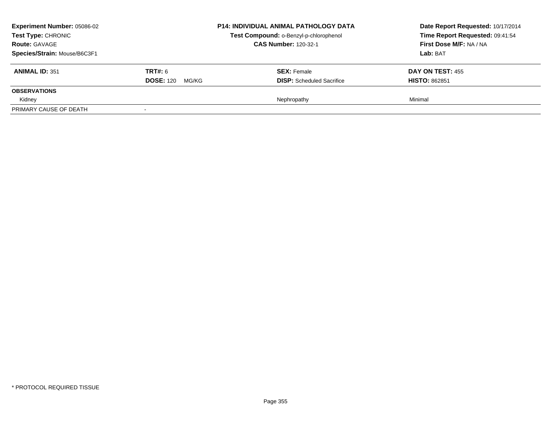| <b>Experiment Number: 05086-02</b><br><b>Test Type: CHRONIC</b><br><b>Route: GAVAGE</b><br>Species/Strain: Mouse/B6C3F1 |                                             | <b>P14: INDIVIDUAL ANIMAL PATHOLOGY DATA</b><br>Test Compound: o-Benzyl-p-chlorophenol<br><b>CAS Number: 120-32-1</b> | Date Report Requested: 10/17/2014<br>Time Report Requested: 09:41:54<br>First Dose M/F: NA / NA<br>Lab: BAT |
|-------------------------------------------------------------------------------------------------------------------------|---------------------------------------------|-----------------------------------------------------------------------------------------------------------------------|-------------------------------------------------------------------------------------------------------------|
| <b>ANIMAL ID: 351</b>                                                                                                   | <b>TRT#: 6</b><br><b>DOSE: 120</b><br>MG/KG | <b>SEX:</b> Female<br><b>DISP:</b> Scheduled Sacrifice                                                                | DAY ON TEST: 455<br><b>HISTO: 862851</b>                                                                    |
| <b>OBSERVATIONS</b>                                                                                                     |                                             |                                                                                                                       |                                                                                                             |
| Kidney<br>PRIMARY CAUSE OF DEATH                                                                                        |                                             | Nephropathy                                                                                                           | Minimal                                                                                                     |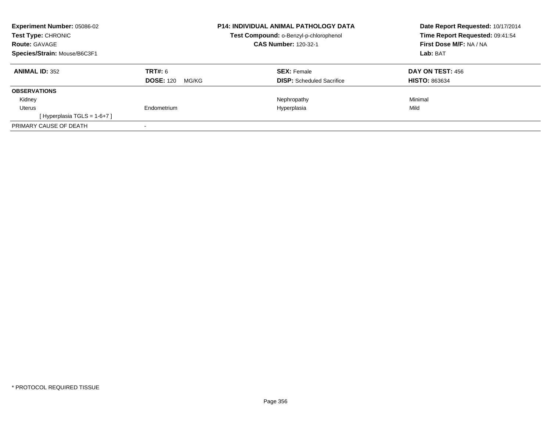| Experiment Number: 05086-02<br><b>Test Type: CHRONIC</b><br><b>Route: GAVAGE</b><br>Species/Strain: Mouse/B6C3F1 |                                      | <b>P14: INDIVIDUAL ANIMAL PATHOLOGY DATA</b><br>Test Compound: o-Benzyl-p-chlorophenol<br><b>CAS Number: 120-32-1</b> | Date Report Requested: 10/17/2014<br>Time Report Requested: 09:41:54<br>First Dose M/F: NA / NA<br>Lab: BAT |  |
|------------------------------------------------------------------------------------------------------------------|--------------------------------------|-----------------------------------------------------------------------------------------------------------------------|-------------------------------------------------------------------------------------------------------------|--|
| <b>ANIMAL ID: 352</b>                                                                                            | TRT#: 6<br><b>DOSE: 120</b><br>MG/KG | <b>SEX: Female</b><br><b>DISP:</b> Scheduled Sacrifice                                                                | DAY ON TEST: 456<br><b>HISTO: 863634</b>                                                                    |  |
| <b>OBSERVATIONS</b>                                                                                              |                                      |                                                                                                                       |                                                                                                             |  |
| Kidney                                                                                                           |                                      | Nephropathy                                                                                                           | Minimal                                                                                                     |  |
| Uterus                                                                                                           | Endometrium                          | Hyperplasia                                                                                                           | Mild                                                                                                        |  |
| [Hyperplasia TGLS = $1-6+7$ ]                                                                                    |                                      |                                                                                                                       |                                                                                                             |  |
| PRIMARY CAUSE OF DEATH                                                                                           |                                      |                                                                                                                       |                                                                                                             |  |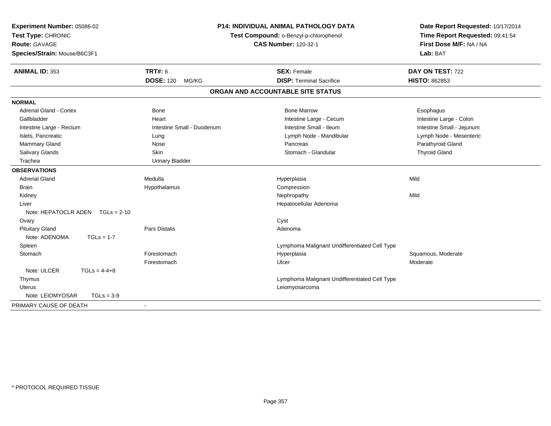| Experiment Number: 05086-02<br>Test Type: CHRONIC<br><b>Route: GAVAGE</b><br>Species/Strain: Mouse/B6C3F1 | <b>P14: INDIVIDUAL ANIMAL PATHOLOGY DATA</b><br>Test Compound: o-Benzyl-p-chlorophenol<br><b>CAS Number: 120-32-1</b> |                                               | Date Report Requested: 10/17/2014<br>Time Report Requested: 09:41:54<br>First Dose M/F: NA / NA<br>Lab: BAT |
|-----------------------------------------------------------------------------------------------------------|-----------------------------------------------------------------------------------------------------------------------|-----------------------------------------------|-------------------------------------------------------------------------------------------------------------|
| <b>ANIMAL ID: 353</b>                                                                                     | <b>TRT#: 6</b>                                                                                                        | <b>SEX: Female</b>                            | DAY ON TEST: 722                                                                                            |
|                                                                                                           | <b>DOSE: 120</b><br>MG/KG                                                                                             | <b>DISP: Terminal Sacrifice</b>               | HISTO: 862853                                                                                               |
|                                                                                                           |                                                                                                                       | ORGAN AND ACCOUNTABLE SITE STATUS             |                                                                                                             |
| <b>NORMAL</b>                                                                                             |                                                                                                                       |                                               |                                                                                                             |
| <b>Adrenal Gland - Cortex</b>                                                                             | <b>Bone</b>                                                                                                           | <b>Bone Marrow</b>                            | Esophagus                                                                                                   |
| Gallbladder                                                                                               | Heart                                                                                                                 | Intestine Large - Cecum                       | Intestine Large - Colon                                                                                     |
| Intestine Large - Rectum                                                                                  | Intestine Small - Duodenum                                                                                            | Intestine Small - Ileum                       | Intestine Small - Jejunum                                                                                   |
| Islets, Pancreatic                                                                                        | Lung                                                                                                                  | Lymph Node - Mandibular                       | Lymph Node - Mesenteric                                                                                     |
| Mammary Gland                                                                                             | Nose                                                                                                                  | Pancreas                                      | Parathyroid Gland                                                                                           |
| Salivary Glands                                                                                           | Skin                                                                                                                  | Stomach - Glandular                           | <b>Thyroid Gland</b>                                                                                        |
| Trachea                                                                                                   | <b>Urinary Bladder</b>                                                                                                |                                               |                                                                                                             |
| <b>OBSERVATIONS</b>                                                                                       |                                                                                                                       |                                               |                                                                                                             |
| <b>Adrenal Gland</b>                                                                                      | Medulla                                                                                                               | Hyperplasia                                   | Mild                                                                                                        |
| <b>Brain</b>                                                                                              | Hypothalamus                                                                                                          | Compression                                   |                                                                                                             |
| Kidney                                                                                                    |                                                                                                                       | Nephropathy                                   | Mild                                                                                                        |
| Liver                                                                                                     |                                                                                                                       | Hepatocellular Adenoma                        |                                                                                                             |
| Note: HEPATOCLR ADEN $TGLs = 2-10$                                                                        |                                                                                                                       |                                               |                                                                                                             |
| Ovary                                                                                                     |                                                                                                                       | Cyst                                          |                                                                                                             |
| <b>Pituitary Gland</b>                                                                                    | <b>Pars Distalis</b>                                                                                                  | Adenoma                                       |                                                                                                             |
| Note: ADENOMA<br>$TGLs = 1-7$                                                                             |                                                                                                                       |                                               |                                                                                                             |
| Spleen                                                                                                    |                                                                                                                       | Lymphoma Malignant Undifferentiated Cell Type |                                                                                                             |
| Stomach                                                                                                   | Forestomach                                                                                                           | Hyperplasia                                   | Squamous, Moderate                                                                                          |
|                                                                                                           | Forestomach                                                                                                           | Ulcer                                         | Moderate                                                                                                    |
| Note: ULCER<br>$TGLs = 4-4+8$                                                                             |                                                                                                                       |                                               |                                                                                                             |
| Thymus                                                                                                    |                                                                                                                       | Lymphoma Malignant Undifferentiated Cell Type |                                                                                                             |
| <b>Uterus</b>                                                                                             |                                                                                                                       | Leiomyosarcoma                                |                                                                                                             |
| Note: LEIOMYOSAR<br>$TGLs = 3-9$                                                                          |                                                                                                                       |                                               |                                                                                                             |
| PRIMARY CAUSE OF DEATH                                                                                    | $\blacksquare$                                                                                                        |                                               |                                                                                                             |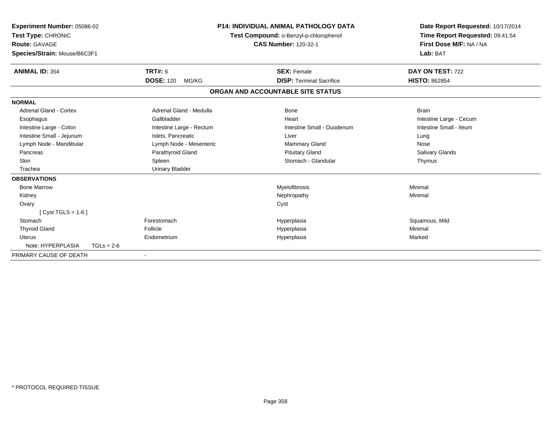| Experiment Number: 05086-02<br>Test Type: CHRONIC<br>Route: GAVAGE<br>Species/Strain: Mouse/B6C3F1 |                  |                                                        | <b>P14: INDIVIDUAL ANIMAL PATHOLOGY DATA</b><br>Test Compound: o-Benzyl-p-chlorophenol<br><b>CAS Number: 120-32-1</b> |              | Date Report Requested: 10/17/2014<br>Time Report Requested: 09:41:54<br>First Dose M/F: NA / NA<br>Lab: BAT |  |
|----------------------------------------------------------------------------------------------------|------------------|--------------------------------------------------------|-----------------------------------------------------------------------------------------------------------------------|--------------|-------------------------------------------------------------------------------------------------------------|--|
|                                                                                                    |                  |                                                        |                                                                                                                       |              |                                                                                                             |  |
| <b>ANIMAL ID: 354</b>                                                                              | TRT#: 6          |                                                        | <b>SEX: Female</b>                                                                                                    |              | DAY ON TEST: 722                                                                                            |  |
|                                                                                                    | <b>DOSE: 120</b> | MG/KG                                                  | <b>DISP: Terminal Sacrifice</b>                                                                                       |              | <b>HISTO: 862854</b>                                                                                        |  |
|                                                                                                    |                  |                                                        | ORGAN AND ACCOUNTABLE SITE STATUS                                                                                     |              |                                                                                                             |  |
| <b>NORMAL</b>                                                                                      |                  |                                                        |                                                                                                                       |              |                                                                                                             |  |
| Adrenal Gland - Cortex                                                                             |                  | Adrenal Gland - Medulla                                | Bone                                                                                                                  | <b>Brain</b> |                                                                                                             |  |
| Esophagus                                                                                          | Gallbladder      |                                                        | Heart                                                                                                                 |              | Intestine Large - Cecum                                                                                     |  |
| Intestine Large - Colon                                                                            |                  | Intestine Large - Rectum<br>Intestine Small - Duodenum |                                                                                                                       |              | Intestine Small - Ileum                                                                                     |  |
| Intestine Small - Jejunum                                                                          |                  | Islets, Pancreatic                                     | Liver                                                                                                                 | Lung         |                                                                                                             |  |
| Lymph Node - Mandibular                                                                            |                  | Lymph Node - Mesenteric                                | <b>Mammary Gland</b>                                                                                                  | Nose         |                                                                                                             |  |
| Pancreas                                                                                           |                  | Parathyroid Gland                                      | <b>Pituitary Gland</b>                                                                                                |              | <b>Salivary Glands</b>                                                                                      |  |
| Skin                                                                                               | Spleen           |                                                        | Stomach - Glandular                                                                                                   |              | Thymus                                                                                                      |  |
| Trachea                                                                                            |                  | <b>Urinary Bladder</b>                                 |                                                                                                                       |              |                                                                                                             |  |
| <b>OBSERVATIONS</b>                                                                                |                  |                                                        |                                                                                                                       |              |                                                                                                             |  |
| <b>Bone Marrow</b>                                                                                 |                  |                                                        | Myelofibrosis                                                                                                         | Minimal      |                                                                                                             |  |
| Kidney                                                                                             |                  |                                                        | Nephropathy                                                                                                           | Minimal      |                                                                                                             |  |
| Ovary                                                                                              |                  |                                                        | Cyst                                                                                                                  |              |                                                                                                             |  |
| $[Cyst TGLS = 1-6]$                                                                                |                  |                                                        |                                                                                                                       |              |                                                                                                             |  |
| Stomach                                                                                            | Forestomach      |                                                        | Hyperplasia                                                                                                           |              | Squamous, Mild                                                                                              |  |
| <b>Thyroid Gland</b>                                                                               | Follicle         |                                                        | Hyperplasia                                                                                                           | Minimal      |                                                                                                             |  |
| Uterus                                                                                             | Endometrium      |                                                        | Hyperplasia                                                                                                           | Marked       |                                                                                                             |  |
| Note: HYPERPLASIA                                                                                  | $TGLs = 2-6$     |                                                        |                                                                                                                       |              |                                                                                                             |  |
| PRIMARY CAUSE OF DEATH                                                                             |                  |                                                        |                                                                                                                       |              |                                                                                                             |  |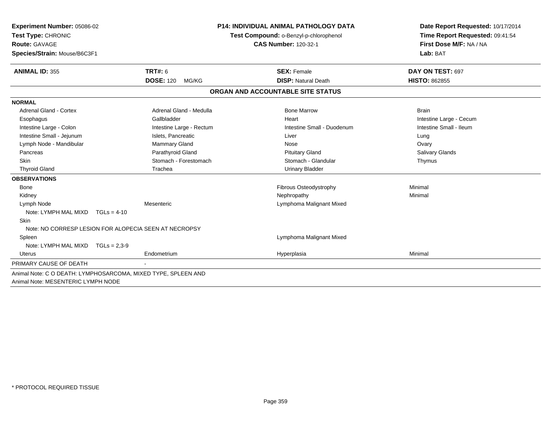| Experiment Number: 05086-02        |                                                               | P14: INDIVIDUAL ANIMAL PATHOLOGY DATA  | Date Report Requested: 10/17/2014 |
|------------------------------------|---------------------------------------------------------------|----------------------------------------|-----------------------------------|
| Test Type: CHRONIC                 |                                                               | Test Compound: o-Benzyl-p-chlorophenol | Time Report Requested: 09:41:54   |
| Route: GAVAGE                      |                                                               | <b>CAS Number: 120-32-1</b>            | First Dose M/F: NA / NA           |
| Species/Strain: Mouse/B6C3F1       |                                                               |                                        | Lab: BAT                          |
| <b>ANIMAL ID: 355</b>              | <b>TRT#: 6</b>                                                | <b>SEX: Female</b>                     | DAY ON TEST: 697                  |
|                                    | <b>DOSE: 120</b><br>MG/KG                                     | <b>DISP: Natural Death</b>             | <b>HISTO: 862855</b>              |
|                                    |                                                               | ORGAN AND ACCOUNTABLE SITE STATUS      |                                   |
| <b>NORMAL</b>                      |                                                               |                                        |                                   |
| Adrenal Gland - Cortex             | Adrenal Gland - Medulla                                       | <b>Bone Marrow</b>                     | <b>Brain</b>                      |
| Esophagus                          | Gallbladder                                                   | Heart                                  | Intestine Large - Cecum           |
| Intestine Large - Colon            | Intestine Large - Rectum                                      | Intestine Small - Duodenum             | Intestine Small - Ileum           |
| Intestine Small - Jejunum          | Islets, Pancreatic                                            | Liver                                  | Lung                              |
| Lymph Node - Mandibular            | <b>Mammary Gland</b>                                          | Nose                                   | Ovary                             |
| Pancreas                           | Parathyroid Gland                                             | <b>Pituitary Gland</b>                 | <b>Salivary Glands</b>            |
| <b>Skin</b>                        | Stomach - Forestomach                                         | Stomach - Glandular                    | Thymus                            |
| <b>Thyroid Gland</b>               | Trachea                                                       | <b>Urinary Bladder</b>                 |                                   |
| <b>OBSERVATIONS</b>                |                                                               |                                        |                                   |
| <b>Bone</b>                        |                                                               | Fibrous Osteodystrophy                 | Minimal                           |
| Kidney                             |                                                               | Nephropathy                            | Minimal                           |
| Lymph Node                         | Mesenteric                                                    | Lymphoma Malignant Mixed               |                                   |
| Note: LYMPH MAL MIXD               | $TGLs = 4-10$                                                 |                                        |                                   |
| <b>Skin</b>                        |                                                               |                                        |                                   |
|                                    | Note: NO CORRESP LESION FOR ALOPECIA SEEN AT NECROPSY         |                                        |                                   |
| Spleen                             |                                                               | Lymphoma Malignant Mixed               |                                   |
| Note: LYMPH MAL MIXD TGLs = 2,3-9  |                                                               |                                        |                                   |
| Uterus                             | Endometrium                                                   | Hyperplasia                            | Minimal                           |
| PRIMARY CAUSE OF DEATH             |                                                               |                                        |                                   |
|                                    | Animal Note: C O DEATH: LYMPHOSARCOMA, MIXED TYPE, SPLEEN AND |                                        |                                   |
| Animal Note: MESENTERIC LYMPH NODE |                                                               |                                        |                                   |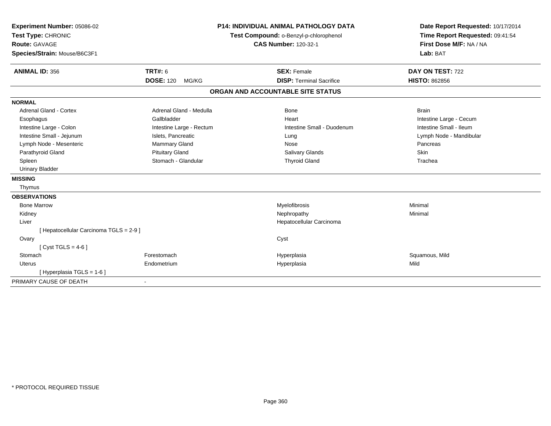| Experiment Number: 05086-02<br>Test Type: CHRONIC |                           | <b>P14: INDIVIDUAL ANIMAL PATHOLOGY DATA</b><br>Test Compound: o-Benzyl-p-chlorophenol |                                   |  | Date Report Requested: 10/17/2014<br>Time Report Requested: 09:41:54 |  |  |
|---------------------------------------------------|---------------------------|----------------------------------------------------------------------------------------|-----------------------------------|--|----------------------------------------------------------------------|--|--|
| <b>Route: GAVAGE</b>                              |                           |                                                                                        | <b>CAS Number: 120-32-1</b>       |  | First Dose M/F: NA / NA                                              |  |  |
| Species/Strain: Mouse/B6C3F1                      |                           |                                                                                        |                                   |  | Lab: BAT                                                             |  |  |
| <b>ANIMAL ID: 356</b>                             | TRT#: 6                   |                                                                                        | <b>SEX: Female</b>                |  | DAY ON TEST: 722                                                     |  |  |
|                                                   | <b>DOSE: 120</b><br>MG/KG |                                                                                        | <b>DISP: Terminal Sacrifice</b>   |  | <b>HISTO: 862856</b>                                                 |  |  |
|                                                   |                           |                                                                                        | ORGAN AND ACCOUNTABLE SITE STATUS |  |                                                                      |  |  |
| <b>NORMAL</b>                                     |                           |                                                                                        |                                   |  |                                                                      |  |  |
| <b>Adrenal Gland - Cortex</b>                     | Adrenal Gland - Medulla   |                                                                                        | <b>Bone</b>                       |  | <b>Brain</b>                                                         |  |  |
| Esophagus                                         | Gallbladder               |                                                                                        | Heart                             |  | Intestine Large - Cecum                                              |  |  |
| Intestine Large - Colon                           | Intestine Large - Rectum  |                                                                                        | Intestine Small - Duodenum        |  | Intestine Small - Ileum                                              |  |  |
| Intestine Small - Jejunum                         | Islets, Pancreatic        |                                                                                        | Lung                              |  | Lymph Node - Mandibular                                              |  |  |
| Lymph Node - Mesenteric                           | Mammary Gland             |                                                                                        | Nose                              |  | Pancreas                                                             |  |  |
| Parathyroid Gland                                 | <b>Pituitary Gland</b>    |                                                                                        | Salivary Glands                   |  | Skin                                                                 |  |  |
| Spleen                                            | Stomach - Glandular       |                                                                                        | <b>Thyroid Gland</b>              |  | Trachea                                                              |  |  |
| <b>Urinary Bladder</b>                            |                           |                                                                                        |                                   |  |                                                                      |  |  |
| <b>MISSING</b>                                    |                           |                                                                                        |                                   |  |                                                                      |  |  |
| Thymus                                            |                           |                                                                                        |                                   |  |                                                                      |  |  |
| <b>OBSERVATIONS</b>                               |                           |                                                                                        |                                   |  |                                                                      |  |  |
| <b>Bone Marrow</b>                                |                           |                                                                                        | Myelofibrosis                     |  | Minimal                                                              |  |  |
| Kidney                                            |                           |                                                                                        | Nephropathy                       |  | Minimal                                                              |  |  |
| Liver                                             |                           |                                                                                        | Hepatocellular Carcinoma          |  |                                                                      |  |  |
| [ Hepatocellular Carcinoma TGLS = 2-9 ]           |                           |                                                                                        |                                   |  |                                                                      |  |  |
| Ovary                                             |                           |                                                                                        | Cyst                              |  |                                                                      |  |  |
| [Cyst TGLS = $4-6$ ]                              |                           |                                                                                        |                                   |  |                                                                      |  |  |
| Stomach                                           | Forestomach               |                                                                                        | Hyperplasia                       |  | Squamous, Mild                                                       |  |  |
| <b>Uterus</b>                                     | Endometrium               |                                                                                        | Hyperplasia                       |  | Mild                                                                 |  |  |
| [Hyperplasia TGLS = 1-6]                          |                           |                                                                                        |                                   |  |                                                                      |  |  |
| PRIMARY CAUSE OF DEATH                            |                           |                                                                                        |                                   |  |                                                                      |  |  |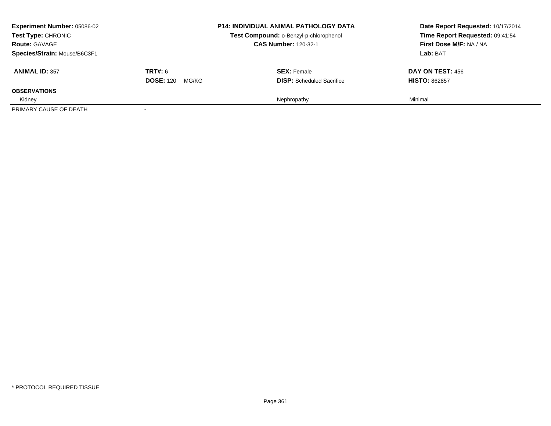| <b>Experiment Number: 05086-02</b><br><b>Test Type: CHRONIC</b><br><b>Route: GAVAGE</b><br>Species/Strain: Mouse/B6C3F1 |                                             | <b>P14: INDIVIDUAL ANIMAL PATHOLOGY DATA</b><br>Test Compound: o-Benzyl-p-chlorophenol<br><b>CAS Number: 120-32-1</b> | Date Report Requested: 10/17/2014<br>Time Report Requested: 09:41:54<br>First Dose M/F: NA / NA<br>Lab: BAT |
|-------------------------------------------------------------------------------------------------------------------------|---------------------------------------------|-----------------------------------------------------------------------------------------------------------------------|-------------------------------------------------------------------------------------------------------------|
| <b>ANIMAL ID: 357</b>                                                                                                   | <b>TRT#: 6</b><br><b>DOSE: 120</b><br>MG/KG | <b>SEX: Female</b><br><b>DISP:</b> Scheduled Sacrifice                                                                | DAY ON TEST: 456<br><b>HISTO: 862857</b>                                                                    |
| <b>OBSERVATIONS</b>                                                                                                     |                                             |                                                                                                                       |                                                                                                             |
| Kidney                                                                                                                  |                                             | Nephropathy                                                                                                           | Minimal                                                                                                     |
| PRIMARY CAUSE OF DEATH                                                                                                  |                                             |                                                                                                                       |                                                                                                             |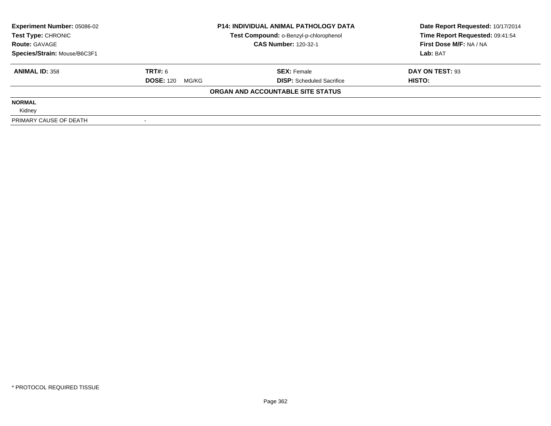| <b>Experiment Number: 05086-02</b> |                           | <b>P14: INDIVIDUAL ANIMAL PATHOLOGY DATA</b> | Date Report Requested: 10/17/2014 |  |
|------------------------------------|---------------------------|----------------------------------------------|-----------------------------------|--|
| Test Type: CHRONIC                 |                           | Test Compound: o-Benzyl-p-chlorophenol       | Time Report Requested: 09:41:54   |  |
| <b>Route: GAVAGE</b>               |                           | <b>CAS Number: 120-32-1</b>                  | First Dose M/F: NA / NA           |  |
| Species/Strain: Mouse/B6C3F1       |                           |                                              | Lab: BAT                          |  |
| <b>ANIMAL ID: 358</b>              | TRT#: 6                   | <b>SEX: Female</b>                           | DAY ON TEST: 93                   |  |
|                                    | <b>DOSE: 120</b><br>MG/KG | <b>DISP:</b> Scheduled Sacrifice             | HISTO:                            |  |
|                                    |                           | ORGAN AND ACCOUNTABLE SITE STATUS            |                                   |  |
| <b>NORMAL</b>                      |                           |                                              |                                   |  |
| Kidney                             |                           |                                              |                                   |  |
| PRIMARY CAUSE OF DEATH             |                           |                                              |                                   |  |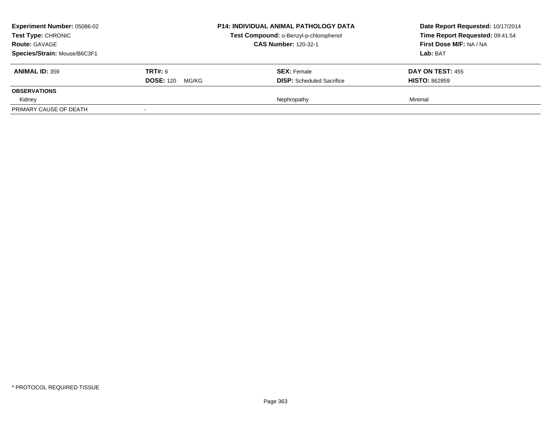| <b>Experiment Number: 05086-02</b><br><b>Test Type: CHRONIC</b><br><b>Route: GAVAGE</b><br>Species/Strain: Mouse/B6C3F1 |                                             | <b>P14: INDIVIDUAL ANIMAL PATHOLOGY DATA</b><br>Test Compound: o-Benzyl-p-chlorophenol<br><b>CAS Number: 120-32-1</b> | Date Report Requested: 10/17/2014<br>Time Report Requested: 09:41:54<br>First Dose M/F: NA / NA<br>Lab: BAT |
|-------------------------------------------------------------------------------------------------------------------------|---------------------------------------------|-----------------------------------------------------------------------------------------------------------------------|-------------------------------------------------------------------------------------------------------------|
| <b>ANIMAL ID: 359</b>                                                                                                   | <b>TRT#: 6</b><br><b>DOSE: 120</b><br>MG/KG | <b>SEX: Female</b><br><b>DISP:</b> Scheduled Sacrifice                                                                | DAY ON TEST: 455<br><b>HISTO: 862859</b>                                                                    |
| <b>OBSERVATIONS</b>                                                                                                     |                                             |                                                                                                                       |                                                                                                             |
| Kidney                                                                                                                  |                                             | Nephropathy                                                                                                           | Minimal                                                                                                     |
| PRIMARY CAUSE OF DEATH                                                                                                  |                                             |                                                                                                                       |                                                                                                             |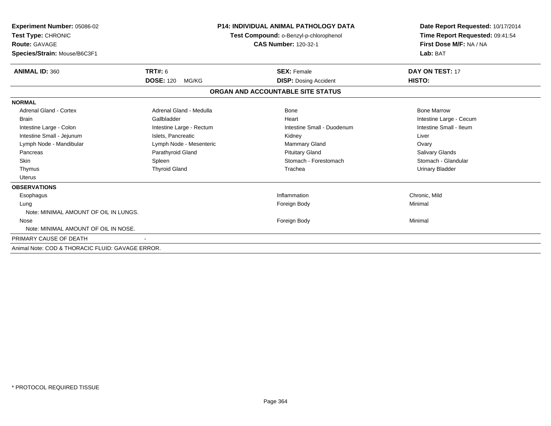| Experiment Number: 05086-02<br>Test Type: CHRONIC<br><b>Route: GAVAGE</b><br>Species/Strain: Mouse/B6C3F1 |                           | <b>P14: INDIVIDUAL ANIMAL PATHOLOGY DATA</b><br>Test Compound: o-Benzyl-p-chlorophenol<br><b>CAS Number: 120-32-1</b> | Date Report Requested: 10/17/2014<br>Time Report Requested: 09:41:54<br>First Dose M/F: NA / NA<br>Lab: BAT |
|-----------------------------------------------------------------------------------------------------------|---------------------------|-----------------------------------------------------------------------------------------------------------------------|-------------------------------------------------------------------------------------------------------------|
| <b>ANIMAL ID: 360</b>                                                                                     | TRT#: 6                   | <b>SEX: Female</b>                                                                                                    | DAY ON TEST: 17                                                                                             |
|                                                                                                           | <b>DOSE: 120</b><br>MG/KG | <b>DISP: Dosing Accident</b>                                                                                          | HISTO:                                                                                                      |
|                                                                                                           |                           | ORGAN AND ACCOUNTABLE SITE STATUS                                                                                     |                                                                                                             |
| <b>NORMAL</b>                                                                                             |                           |                                                                                                                       |                                                                                                             |
| <b>Adrenal Gland - Cortex</b>                                                                             | Adrenal Gland - Medulla   | <b>Bone</b>                                                                                                           | <b>Bone Marrow</b>                                                                                          |
| <b>Brain</b>                                                                                              | Gallbladder               | Heart                                                                                                                 | Intestine Large - Cecum                                                                                     |
| Intestine Large - Colon                                                                                   | Intestine Large - Rectum  | Intestine Small - Duodenum                                                                                            | Intestine Small - Ileum                                                                                     |
| Intestine Small - Jejunum                                                                                 | Islets, Pancreatic        | Kidney                                                                                                                | Liver                                                                                                       |
| Lymph Node - Mandibular                                                                                   | Lymph Node - Mesenteric   | Mammary Gland                                                                                                         | Ovary                                                                                                       |
| Pancreas                                                                                                  | Parathyroid Gland         | <b>Pituitary Gland</b>                                                                                                | Salivary Glands                                                                                             |
| Skin                                                                                                      | Spleen                    | Stomach - Forestomach                                                                                                 | Stomach - Glandular                                                                                         |
| Thymus                                                                                                    | <b>Thyroid Gland</b>      | Trachea                                                                                                               | <b>Urinary Bladder</b>                                                                                      |
| <b>Uterus</b>                                                                                             |                           |                                                                                                                       |                                                                                                             |
| <b>OBSERVATIONS</b>                                                                                       |                           |                                                                                                                       |                                                                                                             |
| Esophagus                                                                                                 |                           | Inflammation                                                                                                          | Chronic, Mild                                                                                               |
| Lung                                                                                                      |                           | Foreign Body                                                                                                          | Minimal                                                                                                     |
| Note: MINIMAL AMOUNT OF OIL IN LUNGS.                                                                     |                           |                                                                                                                       |                                                                                                             |
| Nose                                                                                                      |                           | Foreign Body                                                                                                          | Minimal                                                                                                     |
| Note: MINIMAL AMOUNT OF OIL IN NOSE.                                                                      |                           |                                                                                                                       |                                                                                                             |
| PRIMARY CAUSE OF DEATH                                                                                    |                           |                                                                                                                       |                                                                                                             |
| Animal Note: COD & THORACIC FLUID: GAVAGE ERROR.                                                          |                           |                                                                                                                       |                                                                                                             |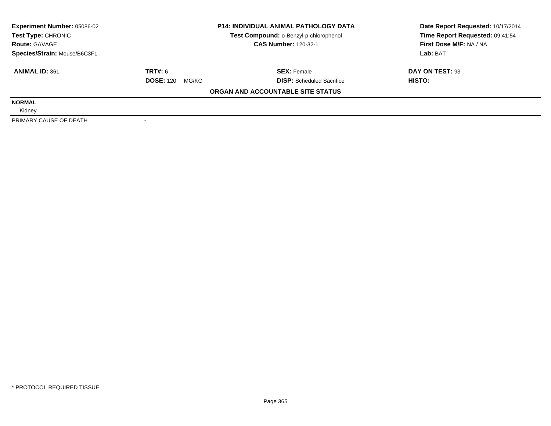| <b>Experiment Number: 05086-02</b> |                           | <b>P14: INDIVIDUAL ANIMAL PATHOLOGY DATA</b> | Date Report Requested: 10/17/2014 |  |
|------------------------------------|---------------------------|----------------------------------------------|-----------------------------------|--|
| Test Type: CHRONIC                 |                           | Test Compound: o-Benzyl-p-chlorophenol       | Time Report Requested: 09:41:54   |  |
| <b>Route: GAVAGE</b>               |                           | <b>CAS Number: 120-32-1</b>                  | First Dose M/F: NA / NA           |  |
| Species/Strain: Mouse/B6C3F1       |                           |                                              | Lab: BAT                          |  |
| <b>ANIMAL ID: 361</b>              | TRT#: 6                   | <b>SEX: Female</b>                           | DAY ON TEST: 93                   |  |
|                                    | <b>DOSE: 120</b><br>MG/KG | <b>DISP:</b> Scheduled Sacrifice             | HISTO:                            |  |
|                                    |                           | ORGAN AND ACCOUNTABLE SITE STATUS            |                                   |  |
| <b>NORMAL</b>                      |                           |                                              |                                   |  |
| Kidney                             |                           |                                              |                                   |  |
| PRIMARY CAUSE OF DEATH             |                           |                                              |                                   |  |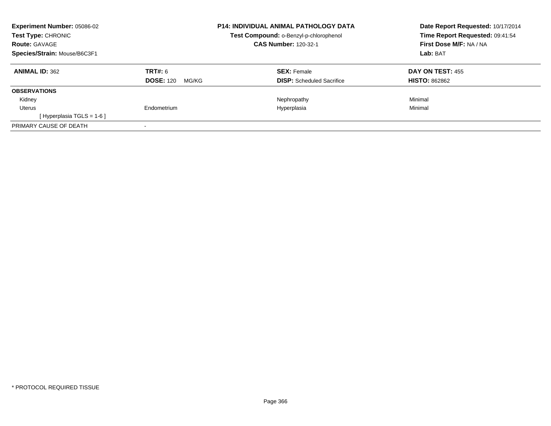| <b>Experiment Number: 05086-02</b><br><b>Test Type: CHRONIC</b><br><b>Route: GAVAGE</b><br>Species/Strain: Mouse/B6C3F1 |                           | <b>P14: INDIVIDUAL ANIMAL PATHOLOGY DATA</b><br>Test Compound: o-Benzyl-p-chlorophenol<br><b>CAS Number: 120-32-1</b> | Date Report Requested: 10/17/2014<br>Time Report Requested: 09:41:54<br>First Dose M/F: NA / NA<br>Lab: BAT |
|-------------------------------------------------------------------------------------------------------------------------|---------------------------|-----------------------------------------------------------------------------------------------------------------------|-------------------------------------------------------------------------------------------------------------|
| <b>ANIMAL ID: 362</b>                                                                                                   | <b>TRT#: 6</b>            | <b>SEX: Female</b>                                                                                                    | <b>DAY ON TEST: 455</b>                                                                                     |
|                                                                                                                         | <b>DOSE: 120</b><br>MG/KG | <b>DISP:</b> Scheduled Sacrifice                                                                                      | <b>HISTO: 862862</b>                                                                                        |
| <b>OBSERVATIONS</b>                                                                                                     |                           |                                                                                                                       |                                                                                                             |
| Kidney                                                                                                                  |                           | Nephropathy                                                                                                           | Minimal                                                                                                     |
| Uterus                                                                                                                  | Endometrium               | Hyperplasia                                                                                                           | Minimal                                                                                                     |
| [Hyperplasia TGLS = $1-6$ ]                                                                                             |                           |                                                                                                                       |                                                                                                             |
| PRIMARY CAUSE OF DEATH                                                                                                  |                           |                                                                                                                       |                                                                                                             |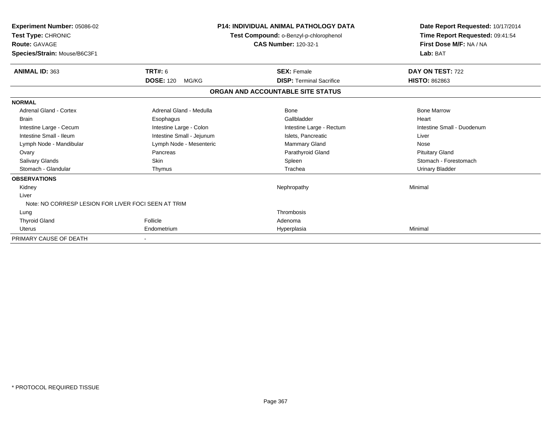| Experiment Number: 05086-02<br>Test Type: CHRONIC<br><b>Route: GAVAGE</b><br>Species/Strain: Mouse/B6C3F1 | <b>P14: INDIVIDUAL ANIMAL PATHOLOGY DATA</b><br>Test Compound: o-Benzyl-p-chlorophenol<br><b>CAS Number: 120-32-1</b> |                                   | Date Report Requested: 10/17/2014<br>Time Report Requested: 09:41:54<br>First Dose M/F: NA / NA<br>Lab: BAT |  |
|-----------------------------------------------------------------------------------------------------------|-----------------------------------------------------------------------------------------------------------------------|-----------------------------------|-------------------------------------------------------------------------------------------------------------|--|
| <b>ANIMAL ID: 363</b>                                                                                     | TRT#: 6                                                                                                               | <b>SEX: Female</b>                | DAY ON TEST: 722                                                                                            |  |
|                                                                                                           | <b>DOSE: 120</b><br>MG/KG                                                                                             | <b>DISP: Terminal Sacrifice</b>   | <b>HISTO: 862863</b>                                                                                        |  |
|                                                                                                           |                                                                                                                       | ORGAN AND ACCOUNTABLE SITE STATUS |                                                                                                             |  |
| <b>NORMAL</b>                                                                                             |                                                                                                                       |                                   |                                                                                                             |  |
| Adrenal Gland - Cortex                                                                                    | Adrenal Gland - Medulla                                                                                               | Bone                              | <b>Bone Marrow</b>                                                                                          |  |
| <b>Brain</b>                                                                                              | Esophagus                                                                                                             | Gallbladder                       | Heart                                                                                                       |  |
| Intestine Large - Cecum                                                                                   | Intestine Large - Colon                                                                                               | Intestine Large - Rectum          | Intestine Small - Duodenum                                                                                  |  |
| Intestine Small - Ileum                                                                                   | Intestine Small - Jejunum                                                                                             | Islets, Pancreatic                | Liver                                                                                                       |  |
| Lymph Node - Mandibular                                                                                   | Lymph Node - Mesenteric                                                                                               | Mammary Gland                     | Nose                                                                                                        |  |
| Ovary                                                                                                     | Pancreas                                                                                                              | Parathyroid Gland                 | <b>Pituitary Gland</b>                                                                                      |  |
| <b>Salivary Glands</b>                                                                                    | Skin                                                                                                                  | Spleen                            | Stomach - Forestomach                                                                                       |  |
| Stomach - Glandular                                                                                       | Thymus                                                                                                                | Trachea                           | <b>Urinary Bladder</b>                                                                                      |  |
| <b>OBSERVATIONS</b>                                                                                       |                                                                                                                       |                                   |                                                                                                             |  |
| Kidney                                                                                                    |                                                                                                                       | Nephropathy                       | Minimal                                                                                                     |  |
| Liver                                                                                                     |                                                                                                                       |                                   |                                                                                                             |  |
| Note: NO CORRESP LESION FOR LIVER FOCI SEEN AT TRIM                                                       |                                                                                                                       |                                   |                                                                                                             |  |
| Lung                                                                                                      |                                                                                                                       | Thrombosis                        |                                                                                                             |  |
| <b>Thyroid Gland</b>                                                                                      | Follicle                                                                                                              | Adenoma                           |                                                                                                             |  |
| Uterus                                                                                                    | Endometrium                                                                                                           | Hyperplasia                       | Minimal                                                                                                     |  |
| PRIMARY CAUSE OF DEATH                                                                                    |                                                                                                                       |                                   |                                                                                                             |  |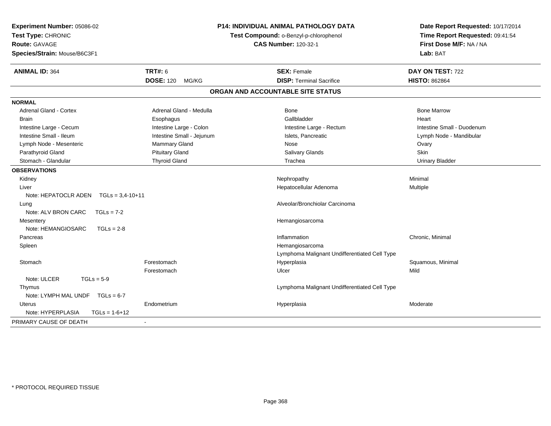| Experiment Number: 05086-02<br>Test Type: CHRONIC<br><b>Route: GAVAGE</b><br>Species/Strain: Mouse/B6C3F1 |                           | P14: INDIVIDUAL ANIMAL PATHOLOGY DATA<br>Test Compound: o-Benzyl-p-chlorophenol<br><b>CAS Number: 120-32-1</b> | Date Report Requested: 10/17/2014<br>Time Report Requested: 09:41:54<br>First Dose M/F: NA / NA<br>Lab: BAT |  |
|-----------------------------------------------------------------------------------------------------------|---------------------------|----------------------------------------------------------------------------------------------------------------|-------------------------------------------------------------------------------------------------------------|--|
| <b>ANIMAL ID: 364</b>                                                                                     | <b>TRT#: 6</b>            | <b>SEX: Female</b>                                                                                             | DAY ON TEST: 722                                                                                            |  |
|                                                                                                           | <b>DOSE: 120</b><br>MG/KG | <b>DISP: Terminal Sacrifice</b>                                                                                | <b>HISTO: 862864</b>                                                                                        |  |
|                                                                                                           |                           | ORGAN AND ACCOUNTABLE SITE STATUS                                                                              |                                                                                                             |  |
| <b>NORMAL</b>                                                                                             |                           |                                                                                                                |                                                                                                             |  |
| <b>Adrenal Gland - Cortex</b>                                                                             | Adrenal Gland - Medulla   | <b>Bone</b>                                                                                                    | <b>Bone Marrow</b>                                                                                          |  |
| <b>Brain</b>                                                                                              | Esophagus                 | Gallbladder                                                                                                    | Heart                                                                                                       |  |
| Intestine Large - Cecum                                                                                   | Intestine Large - Colon   | Intestine Large - Rectum                                                                                       | Intestine Small - Duodenum                                                                                  |  |
| Intestine Small - Ileum                                                                                   | Intestine Small - Jejunum | Islets, Pancreatic                                                                                             | Lymph Node - Mandibular                                                                                     |  |
| Lymph Node - Mesenteric                                                                                   | Mammary Gland             | Nose                                                                                                           | Ovary                                                                                                       |  |
| Parathyroid Gland                                                                                         | <b>Pituitary Gland</b>    | Salivary Glands                                                                                                | <b>Skin</b>                                                                                                 |  |
| Stomach - Glandular                                                                                       | <b>Thyroid Gland</b>      | Trachea                                                                                                        | <b>Urinary Bladder</b>                                                                                      |  |
| <b>OBSERVATIONS</b>                                                                                       |                           |                                                                                                                |                                                                                                             |  |
| Kidney                                                                                                    |                           | Nephropathy                                                                                                    | Minimal                                                                                                     |  |
| Liver                                                                                                     |                           | Hepatocellular Adenoma                                                                                         | Multiple                                                                                                    |  |
| Note: HEPATOCLR ADEN<br>$TGLs = 3,4-10+11$                                                                |                           |                                                                                                                |                                                                                                             |  |
| Lung                                                                                                      |                           | Alveolar/Bronchiolar Carcinoma                                                                                 |                                                                                                             |  |
| Note: ALV BRON CARC<br>$TGLs = 7-2$                                                                       |                           |                                                                                                                |                                                                                                             |  |
| Mesentery                                                                                                 |                           | Hemangiosarcoma                                                                                                |                                                                                                             |  |
| Note: HEMANGIOSARC<br>$TGLs = 2-8$                                                                        |                           |                                                                                                                |                                                                                                             |  |
| Pancreas                                                                                                  |                           | Inflammation                                                                                                   | Chronic, Minimal                                                                                            |  |
| Spleen                                                                                                    |                           | Hemangiosarcoma                                                                                                |                                                                                                             |  |
|                                                                                                           |                           | Lymphoma Malignant Undifferentiated Cell Type                                                                  |                                                                                                             |  |
| Stomach                                                                                                   | Forestomach               | Hyperplasia                                                                                                    | Squamous, Minimal                                                                                           |  |
|                                                                                                           | Forestomach               | Ulcer                                                                                                          | Mild                                                                                                        |  |
| Note: ULCER<br>$TGLs = 5-9$                                                                               |                           |                                                                                                                |                                                                                                             |  |
| Thymus                                                                                                    |                           | Lymphoma Malignant Undifferentiated Cell Type                                                                  |                                                                                                             |  |
| Note: LYMPH MAL UNDF TGLs = 6-7                                                                           |                           |                                                                                                                |                                                                                                             |  |
| Uterus                                                                                                    | Endometrium               | Hyperplasia                                                                                                    | Moderate                                                                                                    |  |
| Note: HYPERPLASIA<br>$TGLs = 1-6+12$                                                                      |                           |                                                                                                                |                                                                                                             |  |
| PRIMARY CAUSE OF DEATH                                                                                    |                           |                                                                                                                |                                                                                                             |  |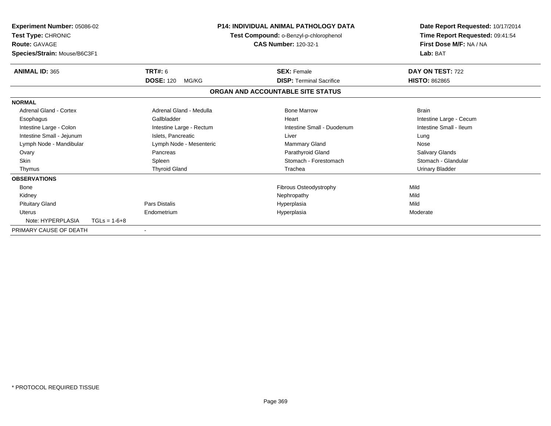| Experiment Number: 05086-02<br>Test Type: CHRONIC<br><b>Route: GAVAGE</b><br>Species/Strain: Mouse/B6C3F1 |                | <b>P14: INDIVIDUAL ANIMAL PATHOLOGY DATA</b><br>Test Compound: o-Benzyl-p-chlorophenol<br><b>CAS Number: 120-32-1</b> |  | Date Report Requested: 10/17/2014<br>Time Report Requested: 09:41:54<br>First Dose M/F: NA / NA<br>Lab: BAT |                         |
|-----------------------------------------------------------------------------------------------------------|----------------|-----------------------------------------------------------------------------------------------------------------------|--|-------------------------------------------------------------------------------------------------------------|-------------------------|
| <b>ANIMAL ID: 365</b>                                                                                     |                | TRT#: 6                                                                                                               |  | <b>SEX: Female</b>                                                                                          | DAY ON TEST: 722        |
|                                                                                                           |                | <b>DOSE: 120</b><br>MG/KG                                                                                             |  | <b>DISP: Terminal Sacrifice</b>                                                                             | <b>HISTO: 862865</b>    |
|                                                                                                           |                |                                                                                                                       |  | ORGAN AND ACCOUNTABLE SITE STATUS                                                                           |                         |
| <b>NORMAL</b>                                                                                             |                |                                                                                                                       |  |                                                                                                             |                         |
| Adrenal Gland - Cortex                                                                                    |                | Adrenal Gland - Medulla                                                                                               |  | <b>Bone Marrow</b>                                                                                          | <b>Brain</b>            |
| Esophagus                                                                                                 |                | Gallbladder                                                                                                           |  | Heart                                                                                                       | Intestine Large - Cecum |
| Intestine Large - Colon                                                                                   |                | Intestine Large - Rectum                                                                                              |  | Intestine Small - Duodenum                                                                                  | Intestine Small - Ileum |
| Intestine Small - Jejunum                                                                                 |                | Islets. Pancreatic                                                                                                    |  | Liver                                                                                                       | Lung                    |
| Lymph Node - Mandibular                                                                                   |                | Lymph Node - Mesenteric                                                                                               |  | <b>Mammary Gland</b>                                                                                        | Nose                    |
| Ovary                                                                                                     |                | Pancreas                                                                                                              |  | Parathyroid Gland                                                                                           | <b>Salivary Glands</b>  |
| <b>Skin</b>                                                                                               |                | Spleen                                                                                                                |  | Stomach - Forestomach                                                                                       | Stomach - Glandular     |
| Thymus                                                                                                    |                | <b>Thyroid Gland</b>                                                                                                  |  | Trachea                                                                                                     | <b>Urinary Bladder</b>  |
| <b>OBSERVATIONS</b>                                                                                       |                |                                                                                                                       |  |                                                                                                             |                         |
| Bone                                                                                                      |                |                                                                                                                       |  | Fibrous Osteodystrophy                                                                                      | Mild                    |
| Kidney                                                                                                    |                |                                                                                                                       |  | Nephropathy                                                                                                 | Mild                    |
| <b>Pituitary Gland</b>                                                                                    |                | <b>Pars Distalis</b>                                                                                                  |  | Hyperplasia                                                                                                 | Mild                    |
| <b>Uterus</b>                                                                                             |                | Endometrium                                                                                                           |  | Hyperplasia                                                                                                 | Moderate                |
| Note: HYPERPLASIA                                                                                         | $TGLs = 1-6+8$ |                                                                                                                       |  |                                                                                                             |                         |
| PRIMARY CAUSE OF DEATH                                                                                    |                |                                                                                                                       |  |                                                                                                             |                         |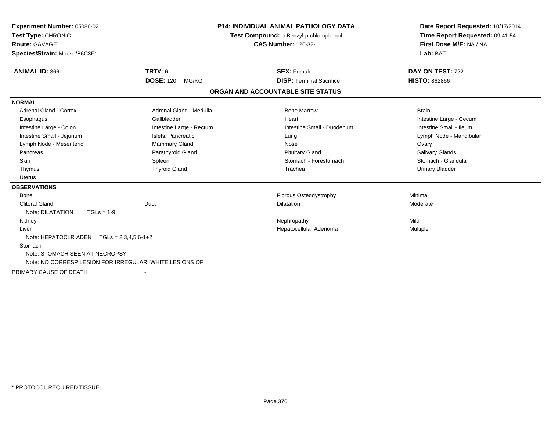| Experiment Number: 05086-02<br>Test Type: CHRONIC<br>Route: GAVAGE | <b>P14: INDIVIDUAL ANIMAL PATHOLOGY DATA</b><br>Test Compound: o-Benzyl-p-chlorophenol<br><b>CAS Number: 120-32-1</b> |                                   | Date Report Requested: 10/17/2014<br>Time Report Requested: 09:41:54<br>First Dose M/F: NA / NA |  |
|--------------------------------------------------------------------|-----------------------------------------------------------------------------------------------------------------------|-----------------------------------|-------------------------------------------------------------------------------------------------|--|
| Species/Strain: Mouse/B6C3F1                                       |                                                                                                                       |                                   | Lab: BAT                                                                                        |  |
| <b>ANIMAL ID: 366</b>                                              | <b>TRT#: 6</b>                                                                                                        | <b>SEX: Female</b>                | DAY ON TEST: 722                                                                                |  |
|                                                                    | <b>DOSE: 120</b><br>MG/KG                                                                                             | <b>DISP: Terminal Sacrifice</b>   | <b>HISTO: 862866</b>                                                                            |  |
|                                                                    |                                                                                                                       | ORGAN AND ACCOUNTABLE SITE STATUS |                                                                                                 |  |
| <b>NORMAL</b>                                                      |                                                                                                                       |                                   |                                                                                                 |  |
| Adrenal Gland - Cortex                                             | Adrenal Gland - Medulla                                                                                               | <b>Bone Marrow</b>                | <b>Brain</b>                                                                                    |  |
| Esophagus                                                          | Gallbladder                                                                                                           | Heart                             | Intestine Large - Cecum                                                                         |  |
| Intestine Large - Colon                                            | Intestine Large - Rectum                                                                                              | Intestine Small - Duodenum        | Intestine Small - Ileum                                                                         |  |
| Intestine Small - Jejunum                                          | Islets, Pancreatic                                                                                                    | Lung                              | Lymph Node - Mandibular                                                                         |  |
| Lymph Node - Mesenteric                                            | Mammary Gland                                                                                                         | Nose                              | Ovary                                                                                           |  |
| Pancreas                                                           | Parathyroid Gland                                                                                                     | <b>Pituitary Gland</b>            | Salivary Glands                                                                                 |  |
| <b>Skin</b>                                                        | Spleen                                                                                                                | Stomach - Forestomach             | Stomach - Glandular                                                                             |  |
| Thymus                                                             | <b>Thyroid Gland</b>                                                                                                  | Trachea                           | <b>Urinary Bladder</b>                                                                          |  |
| <b>Uterus</b>                                                      |                                                                                                                       |                                   |                                                                                                 |  |
| <b>OBSERVATIONS</b>                                                |                                                                                                                       |                                   |                                                                                                 |  |
| Bone                                                               |                                                                                                                       | Fibrous Osteodystrophy            | Minimal                                                                                         |  |
| <b>Clitoral Gland</b>                                              | Duct                                                                                                                  | <b>Dilatation</b>                 | Moderate                                                                                        |  |
| Note: DILATATION<br>$TGLs = 1-9$                                   |                                                                                                                       |                                   |                                                                                                 |  |
| Kidney                                                             |                                                                                                                       | Nephropathy                       | Mild                                                                                            |  |
| Liver                                                              |                                                                                                                       | Hepatocellular Adenoma            | Multiple                                                                                        |  |
| Note: HEPATOCLR ADEN $TGLs = 2,3,4,5,6-1+2$                        |                                                                                                                       |                                   |                                                                                                 |  |
| Stomach                                                            |                                                                                                                       |                                   |                                                                                                 |  |
| Note: STOMACH SEEN AT NECROPSY                                     |                                                                                                                       |                                   |                                                                                                 |  |
| Note: NO CORRESP LESION FOR IRREGULAR, WHITE LESIONS OF            |                                                                                                                       |                                   |                                                                                                 |  |
| PRIMARY CAUSE OF DEATH                                             |                                                                                                                       |                                   |                                                                                                 |  |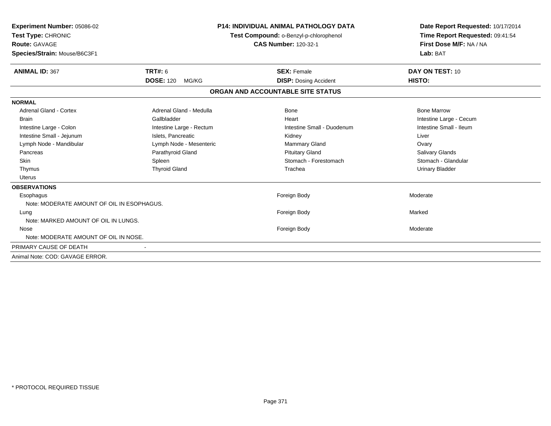| <b>Experiment Number: 05086-02</b><br>Test Type: CHRONIC<br><b>Route: GAVAGE</b><br>Species/Strain: Mouse/B6C3F1 |                           | <b>P14: INDIVIDUAL ANIMAL PATHOLOGY DATA</b><br>Test Compound: o-Benzyl-p-chlorophenol<br><b>CAS Number: 120-32-1</b> | Date Report Requested: 10/17/2014<br>Time Report Requested: 09:41:54<br>First Dose M/F: NA / NA<br>Lab: BAT |
|------------------------------------------------------------------------------------------------------------------|---------------------------|-----------------------------------------------------------------------------------------------------------------------|-------------------------------------------------------------------------------------------------------------|
| <b>ANIMAL ID: 367</b>                                                                                            | TRT#: 6                   | <b>SEX: Female</b>                                                                                                    | DAY ON TEST: 10                                                                                             |
|                                                                                                                  | <b>DOSE: 120</b><br>MG/KG | <b>DISP:</b> Dosing Accident                                                                                          | HISTO:                                                                                                      |
|                                                                                                                  |                           | ORGAN AND ACCOUNTABLE SITE STATUS                                                                                     |                                                                                                             |
| <b>NORMAL</b>                                                                                                    |                           |                                                                                                                       |                                                                                                             |
| <b>Adrenal Gland - Cortex</b>                                                                                    | Adrenal Gland - Medulla   | <b>Bone</b>                                                                                                           | <b>Bone Marrow</b>                                                                                          |
| <b>Brain</b>                                                                                                     | Gallbladder               | Heart                                                                                                                 | Intestine Large - Cecum                                                                                     |
| Intestine Large - Colon                                                                                          | Intestine Large - Rectum  | Intestine Small - Duodenum                                                                                            | Intestine Small - Ileum                                                                                     |
| Intestine Small - Jejunum                                                                                        | Islets, Pancreatic        | Kidney                                                                                                                | Liver                                                                                                       |
| Lymph Node - Mandibular                                                                                          | Lymph Node - Mesenteric   | <b>Mammary Gland</b>                                                                                                  | Ovary                                                                                                       |
| Pancreas                                                                                                         | Parathyroid Gland         | <b>Pituitary Gland</b>                                                                                                | <b>Salivary Glands</b>                                                                                      |
| <b>Skin</b>                                                                                                      | Spleen                    | Stomach - Forestomach                                                                                                 | Stomach - Glandular                                                                                         |
| Thymus                                                                                                           | <b>Thyroid Gland</b>      | Trachea                                                                                                               | <b>Urinary Bladder</b>                                                                                      |
| <b>Uterus</b>                                                                                                    |                           |                                                                                                                       |                                                                                                             |
| <b>OBSERVATIONS</b>                                                                                              |                           |                                                                                                                       |                                                                                                             |
| Esophagus                                                                                                        |                           | Foreign Body                                                                                                          | Moderate                                                                                                    |
| Note: MODERATE AMOUNT OF OIL IN ESOPHAGUS.                                                                       |                           |                                                                                                                       |                                                                                                             |
| Lung                                                                                                             |                           | Foreign Body                                                                                                          | Marked                                                                                                      |
| Note: MARKED AMOUNT OF OIL IN LUNGS.                                                                             |                           |                                                                                                                       |                                                                                                             |
| Nose                                                                                                             |                           | Foreign Body                                                                                                          | Moderate                                                                                                    |
| Note: MODERATE AMOUNT OF OIL IN NOSE.                                                                            |                           |                                                                                                                       |                                                                                                             |
| PRIMARY CAUSE OF DEATH                                                                                           |                           |                                                                                                                       |                                                                                                             |
| Animal Note: COD: GAVAGE ERROR.                                                                                  |                           |                                                                                                                       |                                                                                                             |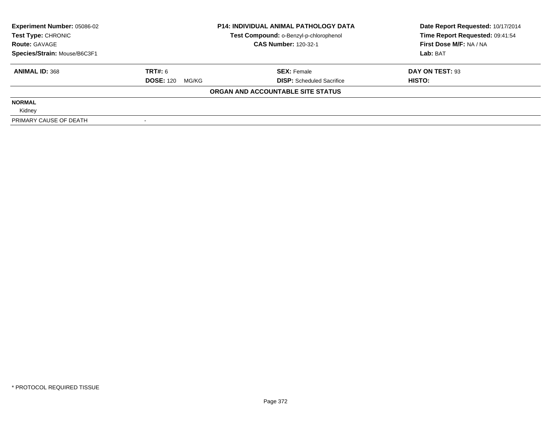| <b>Experiment Number: 05086-02</b> |                           | <b>P14: INDIVIDUAL ANIMAL PATHOLOGY DATA</b> | Date Report Requested: 10/17/2014 |  |
|------------------------------------|---------------------------|----------------------------------------------|-----------------------------------|--|
| Test Type: CHRONIC                 |                           | Test Compound: o-Benzyl-p-chlorophenol       | Time Report Requested: 09:41:54   |  |
| <b>Route: GAVAGE</b>               |                           | <b>CAS Number: 120-32-1</b>                  | First Dose M/F: NA / NA           |  |
| Species/Strain: Mouse/B6C3F1       |                           |                                              | Lab: BAT                          |  |
| <b>ANIMAL ID: 368</b>              | TRT#: 6                   | <b>SEX: Female</b>                           | DAY ON TEST: 93                   |  |
|                                    | <b>DOSE: 120</b><br>MG/KG | <b>DISP:</b> Scheduled Sacrifice             | HISTO:                            |  |
|                                    |                           | ORGAN AND ACCOUNTABLE SITE STATUS            |                                   |  |
| <b>NORMAL</b>                      |                           |                                              |                                   |  |
| Kidney                             |                           |                                              |                                   |  |
| PRIMARY CAUSE OF DEATH             |                           |                                              |                                   |  |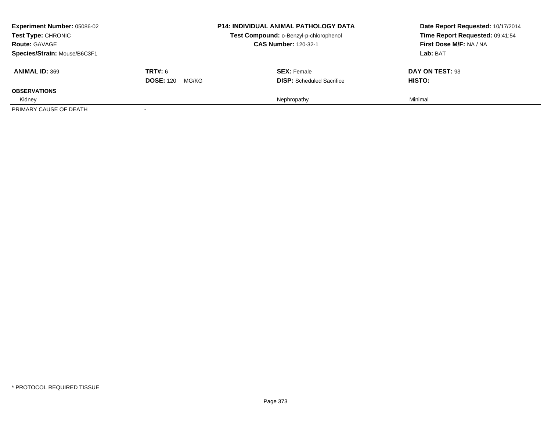| <b>Experiment Number: 05086-02</b><br><b>Test Type: CHRONIC</b><br><b>Route: GAVAGE</b><br>Species/Strain: Mouse/B6C3F1 |                                             | <b>P14: INDIVIDUAL ANIMAL PATHOLOGY DATA</b><br>Test Compound: o-Benzyl-p-chlorophenol<br><b>CAS Number: 120-32-1</b> | Date Report Requested: 10/17/2014<br>Time Report Requested: 09:41:54<br>First Dose M/F: NA / NA<br>Lab: BAT |
|-------------------------------------------------------------------------------------------------------------------------|---------------------------------------------|-----------------------------------------------------------------------------------------------------------------------|-------------------------------------------------------------------------------------------------------------|
| <b>ANIMAL ID: 369</b>                                                                                                   | <b>TRT#:</b> 6<br><b>DOSE: 120</b><br>MG/KG | <b>SEX:</b> Female<br><b>DISP:</b> Scheduled Sacrifice                                                                | DAY ON TEST: 93<br><b>HISTO:</b>                                                                            |
| <b>OBSERVATIONS</b>                                                                                                     |                                             |                                                                                                                       |                                                                                                             |
| Kidney                                                                                                                  |                                             | Nephropathy                                                                                                           | Minimal                                                                                                     |
| PRIMARY CAUSE OF DEATH                                                                                                  |                                             |                                                                                                                       |                                                                                                             |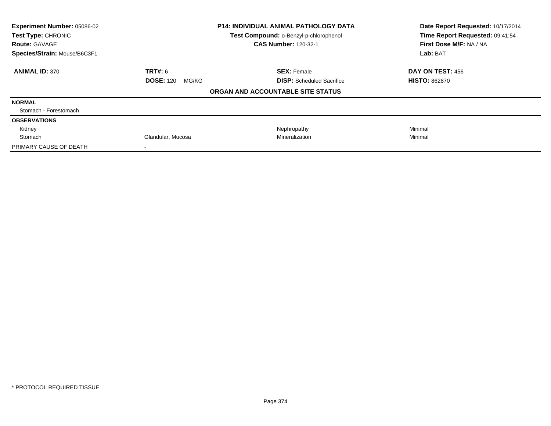| Experiment Number: 05086-02<br>Test Type: CHRONIC<br><b>Route: GAVAGE</b> |                           | <b>P14: INDIVIDUAL ANIMAL PATHOLOGY DATA</b><br>Test Compound: o-Benzyl-p-chlorophenol<br><b>CAS Number: 120-32-1</b> | Date Report Requested: 10/17/2014<br>Time Report Requested: 09:41:54<br>First Dose M/F: NA / NA |  |
|---------------------------------------------------------------------------|---------------------------|-----------------------------------------------------------------------------------------------------------------------|-------------------------------------------------------------------------------------------------|--|
| Species/Strain: Mouse/B6C3F1                                              |                           |                                                                                                                       | Lab: BAT                                                                                        |  |
| <b>ANIMAL ID: 370</b>                                                     | <b>TRT#:</b> 6            | <b>SEX: Female</b>                                                                                                    | DAY ON TEST: 456                                                                                |  |
|                                                                           | <b>DOSE: 120</b><br>MG/KG | <b>DISP:</b> Scheduled Sacrifice                                                                                      | <b>HISTO: 862870</b>                                                                            |  |
|                                                                           |                           | ORGAN AND ACCOUNTABLE SITE STATUS                                                                                     |                                                                                                 |  |
| <b>NORMAL</b>                                                             |                           |                                                                                                                       |                                                                                                 |  |
| Stomach - Forestomach                                                     |                           |                                                                                                                       |                                                                                                 |  |
| <b>OBSERVATIONS</b>                                                       |                           |                                                                                                                       |                                                                                                 |  |
| Kidney                                                                    |                           | Nephropathy                                                                                                           | Minimal                                                                                         |  |
| Stomach                                                                   | Glandular, Mucosa         | Mineralization                                                                                                        | Minimal                                                                                         |  |
| PRIMARY CAUSE OF DEATH                                                    |                           |                                                                                                                       |                                                                                                 |  |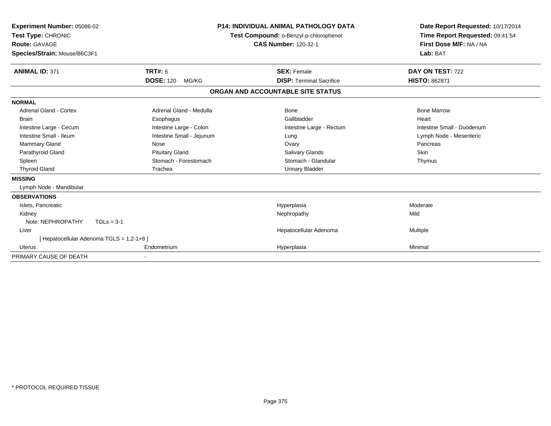| Experiment Number: 05086-02<br>Test Type: CHRONIC |                                           | <b>P14: INDIVIDUAL ANIMAL PATHOLOGY DATA</b><br>Test Compound: o-Benzyl-p-chlorophenol | Date Report Requested: 10/17/2014<br>Time Report Requested: 09:41:54 |
|---------------------------------------------------|-------------------------------------------|----------------------------------------------------------------------------------------|----------------------------------------------------------------------|
| <b>Route: GAVAGE</b>                              |                                           | <b>CAS Number: 120-32-1</b>                                                            | First Dose M/F: NA / NA                                              |
| Species/Strain: Mouse/B6C3F1                      |                                           |                                                                                        | Lab: BAT                                                             |
| <b>ANIMAL ID: 371</b>                             | <b>TRT#: 6</b>                            | <b>SEX: Female</b>                                                                     | DAY ON TEST: 722                                                     |
|                                                   | <b>DOSE: 120</b><br>MG/KG                 | <b>DISP: Terminal Sacrifice</b>                                                        | <b>HISTO: 862871</b>                                                 |
|                                                   |                                           | ORGAN AND ACCOUNTABLE SITE STATUS                                                      |                                                                      |
| <b>NORMAL</b>                                     |                                           |                                                                                        |                                                                      |
| Adrenal Gland - Cortex                            | Adrenal Gland - Medulla                   | <b>Bone</b>                                                                            | <b>Bone Marrow</b>                                                   |
| <b>Brain</b>                                      | Esophagus                                 | Gallbladder                                                                            | Heart                                                                |
| Intestine Large - Cecum                           | Intestine Large - Colon                   | Intestine Large - Rectum                                                               | Intestine Small - Duodenum                                           |
| Intestine Small - Ileum                           | Intestine Small - Jejunum                 | Lung                                                                                   | Lymph Node - Mesenteric                                              |
| <b>Mammary Gland</b>                              | Nose                                      | Ovary                                                                                  | Pancreas                                                             |
| Parathyroid Gland                                 | <b>Pituitary Gland</b>                    | Salivary Glands                                                                        | Skin                                                                 |
| Spleen                                            | Stomach - Forestomach                     | Stomach - Glandular                                                                    | Thymus                                                               |
| <b>Thyroid Gland</b>                              | Trachea                                   | <b>Urinary Bladder</b>                                                                 |                                                                      |
| <b>MISSING</b>                                    |                                           |                                                                                        |                                                                      |
| Lymph Node - Mandibular                           |                                           |                                                                                        |                                                                      |
| <b>OBSERVATIONS</b>                               |                                           |                                                                                        |                                                                      |
| Islets, Pancreatic                                |                                           | Hyperplasia                                                                            | Moderate                                                             |
| Kidney                                            |                                           | Nephropathy                                                                            | Mild                                                                 |
| Note: NEPHROPATHY                                 | $TGLs = 3-1$                              |                                                                                        |                                                                      |
| Liver                                             |                                           | Hepatocellular Adenoma                                                                 | Multiple                                                             |
|                                                   | [ Hepatocellular Adenoma TGLS = 1,2-1+8 ] |                                                                                        |                                                                      |
| <b>Uterus</b>                                     | Endometrium                               | Hyperplasia                                                                            | Minimal                                                              |
| PRIMARY CAUSE OF DEATH                            |                                           |                                                                                        |                                                                      |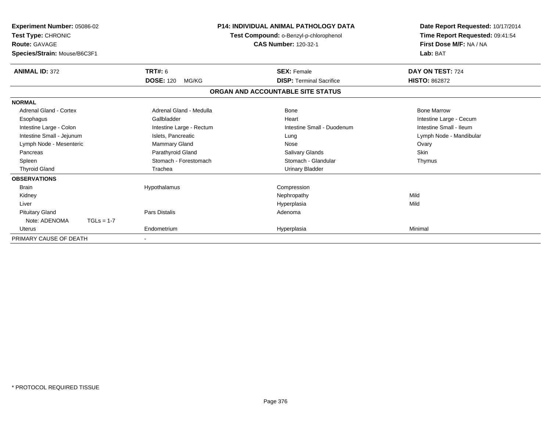| Experiment Number: 05086-02<br>Test Type: CHRONIC<br><b>Route: GAVAGE</b><br>Species/Strain: Mouse/B6C3F1 |                           | <b>P14: INDIVIDUAL ANIMAL PATHOLOGY DATA</b><br>Test Compound: o-Benzyl-p-chlorophenol<br><b>CAS Number: 120-32-1</b> | Date Report Requested: 10/17/2014<br>Time Report Requested: 09:41:54<br>First Dose M/F: NA / NA<br>Lab: BAT |  |
|-----------------------------------------------------------------------------------------------------------|---------------------------|-----------------------------------------------------------------------------------------------------------------------|-------------------------------------------------------------------------------------------------------------|--|
| <b>ANIMAL ID: 372</b>                                                                                     | <b>TRT#: 6</b>            | <b>SEX: Female</b>                                                                                                    | DAY ON TEST: 724                                                                                            |  |
|                                                                                                           | <b>DOSE: 120</b><br>MG/KG | <b>DISP: Terminal Sacrifice</b>                                                                                       | <b>HISTO: 862872</b>                                                                                        |  |
|                                                                                                           |                           | ORGAN AND ACCOUNTABLE SITE STATUS                                                                                     |                                                                                                             |  |
| <b>NORMAL</b>                                                                                             |                           |                                                                                                                       |                                                                                                             |  |
| Adrenal Gland - Cortex                                                                                    | Adrenal Gland - Medulla   | <b>Bone</b>                                                                                                           | <b>Bone Marrow</b>                                                                                          |  |
| Esophagus                                                                                                 | Gallbladder               | Heart                                                                                                                 | Intestine Large - Cecum                                                                                     |  |
| Intestine Large - Colon                                                                                   | Intestine Large - Rectum  | Intestine Small - Duodenum                                                                                            | Intestine Small - Ileum                                                                                     |  |
| Intestine Small - Jejunum                                                                                 | Islets, Pancreatic        | Lung                                                                                                                  | Lymph Node - Mandibular                                                                                     |  |
| Lymph Node - Mesenteric                                                                                   | Mammary Gland             | Nose                                                                                                                  | Ovary                                                                                                       |  |
| Pancreas                                                                                                  | Parathyroid Gland         | Salivary Glands                                                                                                       | Skin                                                                                                        |  |
| Spleen                                                                                                    | Stomach - Forestomach     | Stomach - Glandular                                                                                                   | Thymus                                                                                                      |  |
| <b>Thyroid Gland</b>                                                                                      | Trachea                   | <b>Urinary Bladder</b>                                                                                                |                                                                                                             |  |
| <b>OBSERVATIONS</b>                                                                                       |                           |                                                                                                                       |                                                                                                             |  |
| <b>Brain</b>                                                                                              | Hypothalamus              | Compression                                                                                                           |                                                                                                             |  |
| Kidney                                                                                                    |                           | Nephropathy                                                                                                           | Mild                                                                                                        |  |
| Liver                                                                                                     |                           | Hyperplasia                                                                                                           | Mild                                                                                                        |  |
| <b>Pituitary Gland</b>                                                                                    | Pars Distalis             | Adenoma                                                                                                               |                                                                                                             |  |
| Note: ADENOMA<br>$TGLs = 1-7$                                                                             |                           |                                                                                                                       |                                                                                                             |  |
| Uterus                                                                                                    | Endometrium               | Hyperplasia                                                                                                           | Minimal                                                                                                     |  |
| PRIMARY CAUSE OF DEATH                                                                                    |                           |                                                                                                                       |                                                                                                             |  |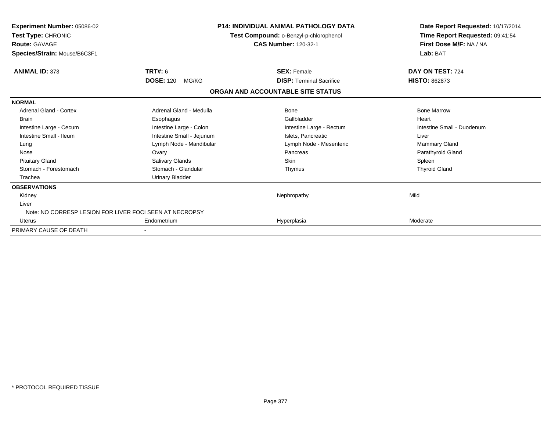| Experiment Number: 05086-02<br>Test Type: CHRONIC<br><b>Route: GAVAGE</b><br>Species/Strain: Mouse/B6C3F1 | <b>P14: INDIVIDUAL ANIMAL PATHOLOGY DATA</b><br>Test Compound: o-Benzyl-p-chlorophenol<br><b>CAS Number: 120-32-1</b> |                                   | Date Report Requested: 10/17/2014<br>Time Report Requested: 09:41:54<br>First Dose M/F: NA / NA<br>Lab: BAT |  |
|-----------------------------------------------------------------------------------------------------------|-----------------------------------------------------------------------------------------------------------------------|-----------------------------------|-------------------------------------------------------------------------------------------------------------|--|
| <b>ANIMAL ID: 373</b>                                                                                     | TRT#: 6                                                                                                               | <b>SEX: Female</b>                | DAY ON TEST: 724                                                                                            |  |
|                                                                                                           | <b>DOSE: 120</b><br>MG/KG                                                                                             | <b>DISP: Terminal Sacrifice</b>   | <b>HISTO: 862873</b>                                                                                        |  |
|                                                                                                           |                                                                                                                       | ORGAN AND ACCOUNTABLE SITE STATUS |                                                                                                             |  |
| <b>NORMAL</b>                                                                                             |                                                                                                                       |                                   |                                                                                                             |  |
| Adrenal Gland - Cortex                                                                                    | Adrenal Gland - Medulla                                                                                               | <b>Bone</b>                       | <b>Bone Marrow</b>                                                                                          |  |
| <b>Brain</b>                                                                                              | Esophagus                                                                                                             | Gallbladder                       | Heart                                                                                                       |  |
| Intestine Large - Cecum                                                                                   | Intestine Large - Colon                                                                                               | Intestine Large - Rectum          | Intestine Small - Duodenum                                                                                  |  |
| Intestine Small - Ileum                                                                                   | Intestine Small - Jejunum                                                                                             | Islets. Pancreatic                | Liver                                                                                                       |  |
| Lung                                                                                                      | Lymph Node - Mandibular                                                                                               | Lymph Node - Mesenteric           | Mammary Gland                                                                                               |  |
| Nose                                                                                                      | Ovary                                                                                                                 | Pancreas                          | Parathyroid Gland                                                                                           |  |
| <b>Pituitary Gland</b>                                                                                    | Salivary Glands                                                                                                       | <b>Skin</b>                       | Spleen                                                                                                      |  |
| Stomach - Forestomach                                                                                     | Stomach - Glandular                                                                                                   | Thymus                            | <b>Thyroid Gland</b>                                                                                        |  |
| Trachea                                                                                                   | <b>Urinary Bladder</b>                                                                                                |                                   |                                                                                                             |  |
| <b>OBSERVATIONS</b>                                                                                       |                                                                                                                       |                                   |                                                                                                             |  |
| Kidney                                                                                                    |                                                                                                                       | Nephropathy                       | Mild                                                                                                        |  |
| Liver                                                                                                     |                                                                                                                       |                                   |                                                                                                             |  |
| Note: NO CORRESP LESION FOR LIVER FOCI SEEN AT NECROPSY                                                   |                                                                                                                       |                                   |                                                                                                             |  |
| <b>Uterus</b>                                                                                             | Endometrium                                                                                                           | Hyperplasia                       | Moderate                                                                                                    |  |
| PRIMARY CAUSE OF DEATH                                                                                    |                                                                                                                       |                                   |                                                                                                             |  |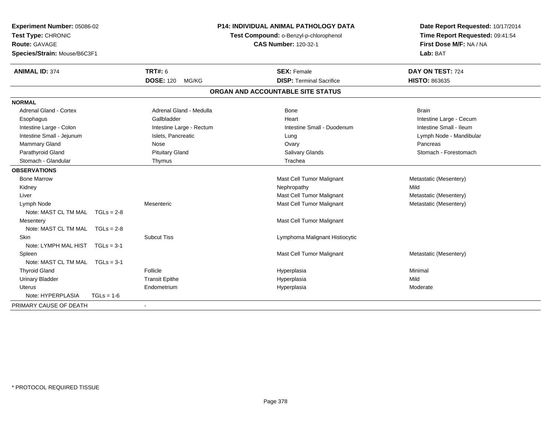| Experiment Number: 05086-02<br>Test Type: CHRONIC<br>Route: GAVAGE<br>Species/Strain: Mouse/B6C3F1 | <b>P14: INDIVIDUAL ANIMAL PATHOLOGY DATA</b><br>Test Compound: o-Benzyl-p-chlorophenol<br><b>CAS Number: 120-32-1</b> |                                   | Date Report Requested: 10/17/2014<br>Time Report Requested: 09:41:54<br>First Dose M/F: NA / NA<br>Lab: BAT |
|----------------------------------------------------------------------------------------------------|-----------------------------------------------------------------------------------------------------------------------|-----------------------------------|-------------------------------------------------------------------------------------------------------------|
| <b>ANIMAL ID: 374</b>                                                                              | <b>TRT#: 6</b>                                                                                                        | <b>SEX: Female</b>                | DAY ON TEST: 724                                                                                            |
|                                                                                                    | <b>DOSE: 120</b><br>MG/KG                                                                                             | <b>DISP: Terminal Sacrifice</b>   | <b>HISTO: 863635</b>                                                                                        |
|                                                                                                    |                                                                                                                       | ORGAN AND ACCOUNTABLE SITE STATUS |                                                                                                             |
| <b>NORMAL</b>                                                                                      |                                                                                                                       |                                   |                                                                                                             |
| <b>Adrenal Gland - Cortex</b>                                                                      | Adrenal Gland - Medulla                                                                                               | Bone                              | <b>Brain</b>                                                                                                |
| Esophagus                                                                                          | Gallbladder                                                                                                           | Heart                             | Intestine Large - Cecum                                                                                     |
| Intestine Large - Colon                                                                            | Intestine Large - Rectum                                                                                              | Intestine Small - Duodenum        | Intestine Small - Ileum                                                                                     |
| Intestine Small - Jejunum                                                                          | Islets, Pancreatic                                                                                                    | Lung                              | Lymph Node - Mandibular                                                                                     |
| Mammary Gland                                                                                      | Nose                                                                                                                  | Ovary                             | Pancreas                                                                                                    |
| Parathyroid Gland                                                                                  | <b>Pituitary Gland</b>                                                                                                | <b>Salivary Glands</b>            | Stomach - Forestomach                                                                                       |
| Stomach - Glandular                                                                                | Thymus                                                                                                                | Trachea                           |                                                                                                             |
| <b>OBSERVATIONS</b>                                                                                |                                                                                                                       |                                   |                                                                                                             |
| <b>Bone Marrow</b>                                                                                 |                                                                                                                       | Mast Cell Tumor Malignant         | Metastatic (Mesentery)                                                                                      |
| Kidney                                                                                             |                                                                                                                       | Nephropathy                       | Mild                                                                                                        |
| Liver                                                                                              |                                                                                                                       | Mast Cell Tumor Malignant         | Metastatic (Mesentery)                                                                                      |
| Lymph Node                                                                                         | Mesenteric                                                                                                            | Mast Cell Tumor Malignant         | Metastatic (Mesentery)                                                                                      |
| Note: MAST CL TM MAL $TGLs = 2-8$                                                                  |                                                                                                                       |                                   |                                                                                                             |
| Mesentery                                                                                          |                                                                                                                       | Mast Cell Tumor Malignant         |                                                                                                             |
| Note: MAST CL TM MAL $TGLs = 2-8$                                                                  |                                                                                                                       |                                   |                                                                                                             |
| Skin                                                                                               | <b>Subcut Tiss</b>                                                                                                    | Lymphoma Malignant Histiocytic    |                                                                                                             |
| Note: LYMPH MAL HIST<br>$TGLs = 3-1$                                                               |                                                                                                                       |                                   |                                                                                                             |
| Spleen                                                                                             |                                                                                                                       | Mast Cell Tumor Malignant         | Metastatic (Mesentery)                                                                                      |
| Note: MAST CL TM MAL TGLs = 3-1                                                                    |                                                                                                                       |                                   |                                                                                                             |
| <b>Thyroid Gland</b>                                                                               | Follicle                                                                                                              | Hyperplasia                       | Minimal                                                                                                     |
| <b>Urinary Bladder</b>                                                                             | <b>Transit Epithe</b>                                                                                                 | Hyperplasia                       | Mild                                                                                                        |
| <b>Uterus</b>                                                                                      | Endometrium                                                                                                           | Hyperplasia                       | Moderate                                                                                                    |
| Note: HYPERPLASIA<br>$TGLs = 1-6$                                                                  |                                                                                                                       |                                   |                                                                                                             |
| PRIMARY CAUSE OF DEATH                                                                             |                                                                                                                       |                                   |                                                                                                             |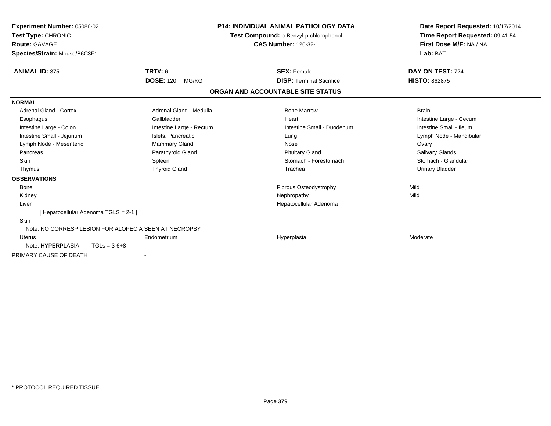| Experiment Number: 05086-02<br>Test Type: CHRONIC<br>Route: GAVAGE<br>Species/Strain: Mouse/B6C3F1 |                                                       | <b>P14: INDIVIDUAL ANIMAL PATHOLOGY DATA</b><br>Test Compound: o-Benzyl-p-chlorophenol<br><b>CAS Number: 120-32-1</b> | Date Report Requested: 10/17/2014<br>Time Report Requested: 09:41:54<br>First Dose M/F: NA / NA<br>Lab: BAT |
|----------------------------------------------------------------------------------------------------|-------------------------------------------------------|-----------------------------------------------------------------------------------------------------------------------|-------------------------------------------------------------------------------------------------------------|
| <b>ANIMAL ID: 375</b>                                                                              | <b>TRT#: 6</b>                                        | <b>SEX: Female</b>                                                                                                    | DAY ON TEST: 724                                                                                            |
|                                                                                                    | <b>DOSE: 120</b><br>MG/KG                             | <b>DISP: Terminal Sacrifice</b>                                                                                       | <b>HISTO: 862875</b>                                                                                        |
|                                                                                                    |                                                       | ORGAN AND ACCOUNTABLE SITE STATUS                                                                                     |                                                                                                             |
| <b>NORMAL</b>                                                                                      |                                                       |                                                                                                                       |                                                                                                             |
| Adrenal Gland - Cortex                                                                             | Adrenal Gland - Medulla                               | <b>Bone Marrow</b>                                                                                                    | <b>Brain</b>                                                                                                |
| Esophagus                                                                                          | Gallbladder                                           | Heart                                                                                                                 | Intestine Large - Cecum                                                                                     |
| Intestine Large - Colon                                                                            | Intestine Large - Rectum                              | Intestine Small - Duodenum                                                                                            | Intestine Small - Ileum                                                                                     |
| Intestine Small - Jejunum                                                                          | Islets, Pancreatic                                    | Lung                                                                                                                  | Lymph Node - Mandibular                                                                                     |
| Lymph Node - Mesenteric                                                                            | <b>Mammary Gland</b>                                  | Nose                                                                                                                  | Ovary                                                                                                       |
| Pancreas                                                                                           | Parathyroid Gland                                     | <b>Pituitary Gland</b>                                                                                                | <b>Salivary Glands</b>                                                                                      |
| Skin                                                                                               | Spleen                                                | Stomach - Forestomach                                                                                                 | Stomach - Glandular                                                                                         |
| Thymus                                                                                             | <b>Thyroid Gland</b>                                  | Trachea                                                                                                               | <b>Urinary Bladder</b>                                                                                      |
| <b>OBSERVATIONS</b>                                                                                |                                                       |                                                                                                                       |                                                                                                             |
| Bone                                                                                               |                                                       | Fibrous Osteodystrophy                                                                                                | Mild                                                                                                        |
| Kidney                                                                                             |                                                       | Nephropathy                                                                                                           | Mild                                                                                                        |
| Liver                                                                                              |                                                       | Hepatocellular Adenoma                                                                                                |                                                                                                             |
|                                                                                                    | [Hepatocellular Adenoma TGLS = 2-1 ]                  |                                                                                                                       |                                                                                                             |
| <b>Skin</b>                                                                                        |                                                       |                                                                                                                       |                                                                                                             |
|                                                                                                    | Note: NO CORRESP LESION FOR ALOPECIA SEEN AT NECROPSY |                                                                                                                       |                                                                                                             |
| Uterus                                                                                             | Endometrium                                           | Hyperplasia                                                                                                           | Moderate                                                                                                    |
| Note: HYPERPLASIA                                                                                  | $TGLs = 3-6+8$                                        |                                                                                                                       |                                                                                                             |
| PRIMARY CAUSE OF DEATH                                                                             |                                                       |                                                                                                                       |                                                                                                             |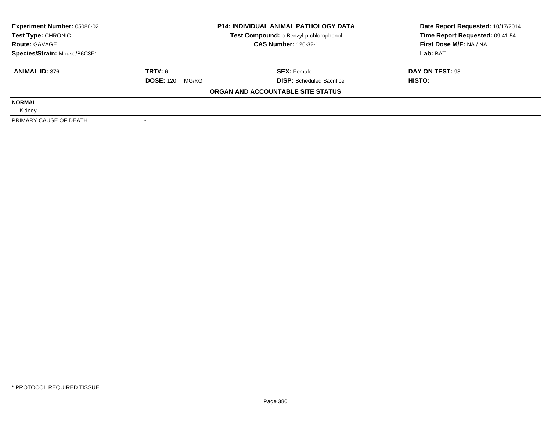| <b>Experiment Number: 05086-02</b> |                           | <b>P14: INDIVIDUAL ANIMAL PATHOLOGY DATA</b> | Date Report Requested: 10/17/2014 |  |
|------------------------------------|---------------------------|----------------------------------------------|-----------------------------------|--|
| Test Type: CHRONIC                 |                           | Test Compound: o-Benzyl-p-chlorophenol       | Time Report Requested: 09:41:54   |  |
| <b>Route: GAVAGE</b>               |                           | <b>CAS Number: 120-32-1</b>                  | First Dose M/F: NA / NA           |  |
| Species/Strain: Mouse/B6C3F1       |                           |                                              | Lab: BAT                          |  |
| <b>ANIMAL ID: 376</b>              | TRT#: 6                   | <b>SEX: Female</b>                           | DAY ON TEST: 93                   |  |
|                                    | <b>DOSE: 120</b><br>MG/KG | <b>DISP:</b> Scheduled Sacrifice             | HISTO:                            |  |
|                                    |                           | ORGAN AND ACCOUNTABLE SITE STATUS            |                                   |  |
| <b>NORMAL</b>                      |                           |                                              |                                   |  |
| Kidney                             |                           |                                              |                                   |  |
| PRIMARY CAUSE OF DEATH             |                           |                                              |                                   |  |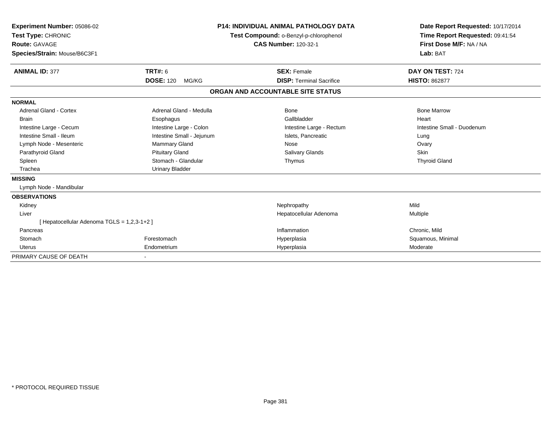| Experiment Number: 05086-02<br>Test Type: CHRONIC<br><b>Route: GAVAGE</b><br>Species/Strain: Mouse/B6C3F1 |                           | <b>P14: INDIVIDUAL ANIMAL PATHOLOGY DATA</b><br>Test Compound: o-Benzyl-p-chlorophenol<br><b>CAS Number: 120-32-1</b> | Date Report Requested: 10/17/2014<br>Time Report Requested: 09:41:54<br>First Dose M/F: NA / NA<br>Lab: BAT |  |
|-----------------------------------------------------------------------------------------------------------|---------------------------|-----------------------------------------------------------------------------------------------------------------------|-------------------------------------------------------------------------------------------------------------|--|
| <b>ANIMAL ID: 377</b>                                                                                     | <b>TRT#: 6</b>            | <b>SEX: Female</b>                                                                                                    | DAY ON TEST: 724                                                                                            |  |
|                                                                                                           | <b>DOSE: 120</b><br>MG/KG | <b>DISP: Terminal Sacrifice</b>                                                                                       | <b>HISTO: 862877</b>                                                                                        |  |
|                                                                                                           |                           | ORGAN AND ACCOUNTABLE SITE STATUS                                                                                     |                                                                                                             |  |
| <b>NORMAL</b>                                                                                             |                           |                                                                                                                       |                                                                                                             |  |
| Adrenal Gland - Cortex                                                                                    | Adrenal Gland - Medulla   | <b>Bone</b>                                                                                                           | <b>Bone Marrow</b>                                                                                          |  |
| <b>Brain</b>                                                                                              | Esophagus                 | Gallbladder                                                                                                           | Heart                                                                                                       |  |
| Intestine Large - Cecum                                                                                   | Intestine Large - Colon   | Intestine Large - Rectum                                                                                              | Intestine Small - Duodenum                                                                                  |  |
| Intestine Small - Ileum                                                                                   | Intestine Small - Jejunum | Islets, Pancreatic                                                                                                    | Lung                                                                                                        |  |
| Lymph Node - Mesenteric                                                                                   | <b>Mammary Gland</b>      | Nose                                                                                                                  | Ovary                                                                                                       |  |
| Parathyroid Gland                                                                                         | <b>Pituitary Gland</b>    | <b>Salivary Glands</b>                                                                                                | <b>Skin</b>                                                                                                 |  |
| Spleen                                                                                                    | Stomach - Glandular       | Thymus                                                                                                                | <b>Thyroid Gland</b>                                                                                        |  |
| Trachea                                                                                                   | <b>Urinary Bladder</b>    |                                                                                                                       |                                                                                                             |  |
| <b>MISSING</b>                                                                                            |                           |                                                                                                                       |                                                                                                             |  |
| Lymph Node - Mandibular                                                                                   |                           |                                                                                                                       |                                                                                                             |  |
| <b>OBSERVATIONS</b>                                                                                       |                           |                                                                                                                       |                                                                                                             |  |
| Kidney                                                                                                    |                           | Nephropathy                                                                                                           | Mild                                                                                                        |  |
| Liver                                                                                                     |                           | Hepatocellular Adenoma                                                                                                | Multiple                                                                                                    |  |
| [ Hepatocellular Adenoma TGLS = 1,2,3-1+2 ]                                                               |                           |                                                                                                                       |                                                                                                             |  |
| Pancreas                                                                                                  |                           | Inflammation                                                                                                          | Chronic, Mild                                                                                               |  |
| Stomach                                                                                                   | Forestomach               | Hyperplasia                                                                                                           | Squamous, Minimal                                                                                           |  |
| <b>Uterus</b>                                                                                             | Endometrium               | Hyperplasia                                                                                                           | Moderate                                                                                                    |  |
| PRIMARY CAUSE OF DEATH                                                                                    |                           |                                                                                                                       |                                                                                                             |  |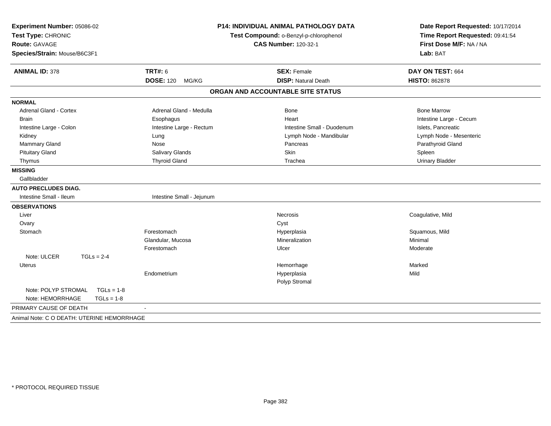| Experiment Number: 05086-02<br>Test Type: CHRONIC<br>Route: GAVAGE<br>Species/Strain: Mouse/B6C3F1 |                           | P14: INDIVIDUAL ANIMAL PATHOLOGY DATA<br>Test Compound: o-Benzyl-p-chlorophenol<br><b>CAS Number: 120-32-1</b> | Date Report Requested: 10/17/2014<br>Time Report Requested: 09:41:54<br>First Dose M/F: NA / NA<br>Lab: BAT |  |
|----------------------------------------------------------------------------------------------------|---------------------------|----------------------------------------------------------------------------------------------------------------|-------------------------------------------------------------------------------------------------------------|--|
| <b>ANIMAL ID: 378</b>                                                                              | <b>TRT#: 6</b>            | <b>SEX: Female</b>                                                                                             | DAY ON TEST: 664                                                                                            |  |
|                                                                                                    | <b>DOSE: 120</b><br>MG/KG | <b>DISP: Natural Death</b>                                                                                     | <b>HISTO: 862878</b>                                                                                        |  |
|                                                                                                    |                           | ORGAN AND ACCOUNTABLE SITE STATUS                                                                              |                                                                                                             |  |
| <b>NORMAL</b>                                                                                      |                           |                                                                                                                |                                                                                                             |  |
| <b>Adrenal Gland - Cortex</b>                                                                      | Adrenal Gland - Medulla   | <b>Bone</b>                                                                                                    | <b>Bone Marrow</b>                                                                                          |  |
| <b>Brain</b>                                                                                       | Esophagus                 | Heart                                                                                                          | Intestine Large - Cecum                                                                                     |  |
| Intestine Large - Colon                                                                            | Intestine Large - Rectum  | Intestine Small - Duodenum                                                                                     | Islets, Pancreatic                                                                                          |  |
| Kidney                                                                                             | Lung                      | Lymph Node - Mandibular                                                                                        | Lymph Node - Mesenteric                                                                                     |  |
| Mammary Gland                                                                                      | Nose                      | Pancreas                                                                                                       | Parathyroid Gland                                                                                           |  |
| <b>Pituitary Gland</b>                                                                             | Salivary Glands           | Skin                                                                                                           | Spleen                                                                                                      |  |
| Thymus                                                                                             | <b>Thyroid Gland</b>      | Trachea                                                                                                        | <b>Urinary Bladder</b>                                                                                      |  |
| <b>MISSING</b>                                                                                     |                           |                                                                                                                |                                                                                                             |  |
| Gallbladder                                                                                        |                           |                                                                                                                |                                                                                                             |  |
| <b>AUTO PRECLUDES DIAG.</b>                                                                        |                           |                                                                                                                |                                                                                                             |  |
| Intestine Small - Ileum                                                                            | Intestine Small - Jejunum |                                                                                                                |                                                                                                             |  |
| <b>OBSERVATIONS</b>                                                                                |                           |                                                                                                                |                                                                                                             |  |
| Liver                                                                                              |                           | <b>Necrosis</b>                                                                                                | Coagulative, Mild                                                                                           |  |
| Ovary                                                                                              |                           | Cyst                                                                                                           |                                                                                                             |  |
| Stomach                                                                                            | Forestomach               | Hyperplasia                                                                                                    | Squamous, Mild                                                                                              |  |
|                                                                                                    | Glandular, Mucosa         | Mineralization                                                                                                 | Minimal                                                                                                     |  |
|                                                                                                    | Forestomach               | Ulcer                                                                                                          | Moderate                                                                                                    |  |
| Note: ULCER<br>$TGLs = 2-4$                                                                        |                           |                                                                                                                |                                                                                                             |  |
| <b>Uterus</b>                                                                                      |                           | Hemorrhage                                                                                                     | Marked                                                                                                      |  |
|                                                                                                    | Endometrium               | Hyperplasia                                                                                                    | Mild                                                                                                        |  |
|                                                                                                    |                           | Polyp Stromal                                                                                                  |                                                                                                             |  |
| Note: POLYP STROMAL<br>$TGLs = 1-8$                                                                |                           |                                                                                                                |                                                                                                             |  |
| Note: HEMORRHAGE<br>$TGLs = 1-8$                                                                   |                           |                                                                                                                |                                                                                                             |  |
| PRIMARY CAUSE OF DEATH                                                                             |                           |                                                                                                                |                                                                                                             |  |
| Animal Note: C O DEATH: UTERINE HEMORRHAGE                                                         |                           |                                                                                                                |                                                                                                             |  |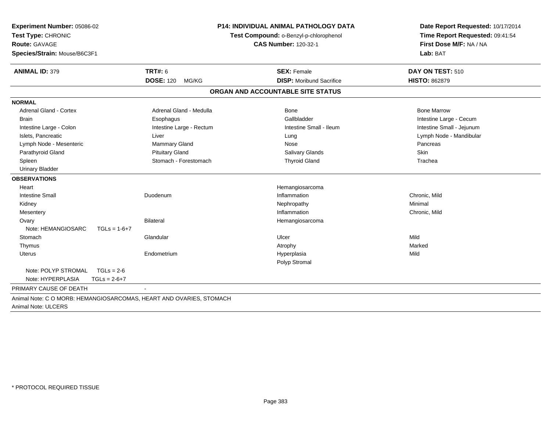| Experiment Number: 05086-02<br>Test Type: CHRONIC<br>Route: GAVAGE<br>Species/Strain: Mouse/B6C3F1 | <b>P14: INDIVIDUAL ANIMAL PATHOLOGY DATA</b><br>Test Compound: o-Benzyl-p-chlorophenol<br><b>CAS Number: 120-32-1</b> |                                   | Date Report Requested: 10/17/2014<br>Time Report Requested: 09:41:54<br>First Dose M/F: NA / NA<br>Lab: BAT |  |
|----------------------------------------------------------------------------------------------------|-----------------------------------------------------------------------------------------------------------------------|-----------------------------------|-------------------------------------------------------------------------------------------------------------|--|
| <b>ANIMAL ID: 379</b>                                                                              | <b>TRT#: 6</b>                                                                                                        | <b>SEX: Female</b>                | DAY ON TEST: 510                                                                                            |  |
|                                                                                                    | <b>DOSE: 120</b><br>MG/KG                                                                                             | <b>DISP:</b> Moribund Sacrifice   | <b>HISTO: 862879</b>                                                                                        |  |
|                                                                                                    |                                                                                                                       | ORGAN AND ACCOUNTABLE SITE STATUS |                                                                                                             |  |
| <b>NORMAL</b>                                                                                      |                                                                                                                       |                                   |                                                                                                             |  |
| Adrenal Gland - Cortex                                                                             | Adrenal Gland - Medulla                                                                                               | <b>Bone</b>                       | <b>Bone Marrow</b>                                                                                          |  |
| <b>Brain</b>                                                                                       | Esophagus                                                                                                             | Gallbladder                       | Intestine Large - Cecum                                                                                     |  |
| Intestine Large - Colon                                                                            | Intestine Large - Rectum                                                                                              | Intestine Small - Ileum           | Intestine Small - Jejunum                                                                                   |  |
| Islets. Pancreatic                                                                                 | Liver                                                                                                                 | Lung                              | Lymph Node - Mandibular                                                                                     |  |
| Lymph Node - Mesenteric                                                                            | <b>Mammary Gland</b>                                                                                                  | Nose                              | Pancreas                                                                                                    |  |
| Parathyroid Gland                                                                                  | <b>Pituitary Gland</b>                                                                                                | Salivary Glands                   | Skin                                                                                                        |  |
| Spleen                                                                                             | Stomach - Forestomach                                                                                                 | <b>Thyroid Gland</b>              | Trachea                                                                                                     |  |
| <b>Urinary Bladder</b>                                                                             |                                                                                                                       |                                   |                                                                                                             |  |
| <b>OBSERVATIONS</b>                                                                                |                                                                                                                       |                                   |                                                                                                             |  |
| Heart                                                                                              |                                                                                                                       | Hemangiosarcoma                   |                                                                                                             |  |
| <b>Intestine Small</b>                                                                             | Duodenum                                                                                                              | Inflammation                      | Chronic, Mild                                                                                               |  |
| Kidney                                                                                             |                                                                                                                       | Nephropathy                       | Minimal                                                                                                     |  |
| Mesentery                                                                                          |                                                                                                                       | Inflammation                      | Chronic, Mild                                                                                               |  |
| Ovary                                                                                              | <b>Bilateral</b>                                                                                                      | Hemangiosarcoma                   |                                                                                                             |  |
| Note: HEMANGIOSARC<br>$TGLs = 1-6+7$                                                               |                                                                                                                       |                                   |                                                                                                             |  |
| Stomach                                                                                            | Glandular                                                                                                             | Ulcer                             | Mild                                                                                                        |  |
| Thymus                                                                                             |                                                                                                                       | Atrophy                           | Marked                                                                                                      |  |
| Uterus                                                                                             | Endometrium                                                                                                           | Hyperplasia                       | Mild                                                                                                        |  |
|                                                                                                    |                                                                                                                       | Polyp Stromal                     |                                                                                                             |  |
| Note: POLYP STROMAL<br>$TGLs = 2-6$                                                                |                                                                                                                       |                                   |                                                                                                             |  |
| Note: HYPERPLASIA<br>$TGLs = 2-6+7$                                                                |                                                                                                                       |                                   |                                                                                                             |  |
| PRIMARY CAUSE OF DEATH                                                                             |                                                                                                                       |                                   |                                                                                                             |  |
| Animal Note: C O MORB: HEMANGIOSARCOMAS, HEART AND OVARIES, STOMACH<br>Animal Note: ULCERS         |                                                                                                                       |                                   |                                                                                                             |  |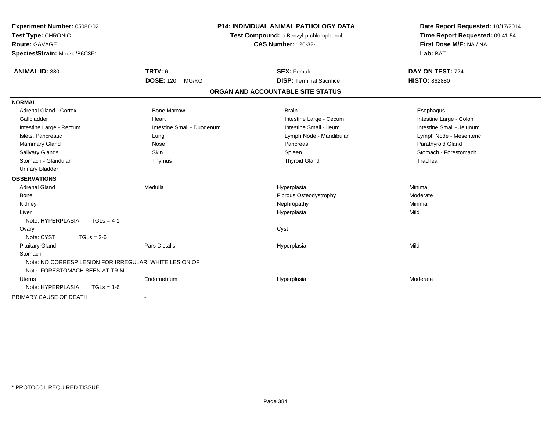| Experiment Number: 05086-02<br>Test Type: CHRONIC<br><b>Route: GAVAGE</b>                |                            | <b>P14: INDIVIDUAL ANIMAL PATHOLOGY DATA</b><br>Test Compound: o-Benzyl-p-chlorophenol<br><b>CAS Number: 120-32-1</b> | Date Report Requested: 10/17/2014<br>Time Report Requested: 09:41:54<br>First Dose M/F: NA / NA |
|------------------------------------------------------------------------------------------|----------------------------|-----------------------------------------------------------------------------------------------------------------------|-------------------------------------------------------------------------------------------------|
| Species/Strain: Mouse/B6C3F1                                                             |                            |                                                                                                                       | Lab: BAT                                                                                        |
| <b>ANIMAL ID: 380</b>                                                                    | <b>TRT#: 6</b>             | <b>SEX: Female</b>                                                                                                    | DAY ON TEST: 724                                                                                |
|                                                                                          | <b>DOSE: 120</b><br>MG/KG  | <b>DISP: Terminal Sacrifice</b>                                                                                       | <b>HISTO: 862880</b>                                                                            |
|                                                                                          |                            | ORGAN AND ACCOUNTABLE SITE STATUS                                                                                     |                                                                                                 |
| <b>NORMAL</b>                                                                            |                            |                                                                                                                       |                                                                                                 |
| Adrenal Gland - Cortex                                                                   | <b>Bone Marrow</b>         | <b>Brain</b>                                                                                                          | Esophagus                                                                                       |
| Gallbladder                                                                              | Heart                      | Intestine Large - Cecum                                                                                               | Intestine Large - Colon                                                                         |
| Intestine Large - Rectum                                                                 | Intestine Small - Duodenum | Intestine Small - Ileum                                                                                               | Intestine Small - Jejunum                                                                       |
| Islets, Pancreatic                                                                       | Lung                       | Lymph Node - Mandibular                                                                                               | Lymph Node - Mesenteric                                                                         |
| Mammary Gland                                                                            | Nose                       | Pancreas                                                                                                              | Parathyroid Gland                                                                               |
| Salivary Glands                                                                          | Skin                       | Spleen                                                                                                                | Stomach - Forestomach                                                                           |
| Stomach - Glandular                                                                      | Thymus                     | <b>Thyroid Gland</b>                                                                                                  | Trachea                                                                                         |
| <b>Urinary Bladder</b>                                                                   |                            |                                                                                                                       |                                                                                                 |
| <b>OBSERVATIONS</b>                                                                      |                            |                                                                                                                       |                                                                                                 |
| <b>Adrenal Gland</b>                                                                     | Medulla                    | Hyperplasia                                                                                                           | Minimal                                                                                         |
| Bone                                                                                     |                            | Fibrous Osteodystrophy                                                                                                | Moderate                                                                                        |
| Kidney                                                                                   |                            | Nephropathy                                                                                                           | Minimal                                                                                         |
| Liver                                                                                    |                            | Hyperplasia                                                                                                           | Mild                                                                                            |
| Note: HYPERPLASIA<br>$TGLs = 4-1$                                                        |                            |                                                                                                                       |                                                                                                 |
| Ovary                                                                                    |                            | Cyst                                                                                                                  |                                                                                                 |
| Note: CYST<br>$TGLs = 2-6$                                                               |                            |                                                                                                                       |                                                                                                 |
| <b>Pituitary Gland</b>                                                                   | <b>Pars Distalis</b>       | Hyperplasia                                                                                                           | Mild                                                                                            |
| Stomach                                                                                  |                            |                                                                                                                       |                                                                                                 |
| Note: NO CORRESP LESION FOR IRREGULAR, WHITE LESION OF<br>Note: FORESTOMACH SEEN AT TRIM |                            |                                                                                                                       |                                                                                                 |
| <b>Uterus</b>                                                                            | Endometrium                | Hyperplasia                                                                                                           | Moderate                                                                                        |
| Note: HYPERPLASIA<br>$TGLs = 1-6$                                                        |                            |                                                                                                                       |                                                                                                 |
| PRIMARY CAUSE OF DEATH                                                                   |                            |                                                                                                                       |                                                                                                 |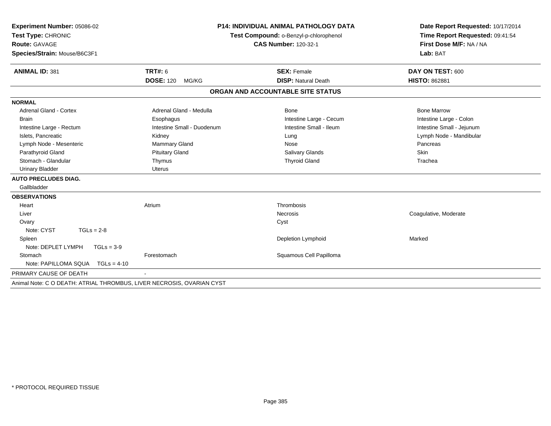| Experiment Number: 05086-02<br>Test Type: CHRONIC<br><b>Route: GAVAGE</b><br>Species/Strain: Mouse/B6C3F1 |                            | <b>P14: INDIVIDUAL ANIMAL PATHOLOGY DATA</b><br>Test Compound: o-Benzyl-p-chlorophenol<br><b>CAS Number: 120-32-1</b> | Date Report Requested: 10/17/2014<br>Time Report Requested: 09:41:54<br>First Dose M/F: NA / NA<br>Lab: BAT |
|-----------------------------------------------------------------------------------------------------------|----------------------------|-----------------------------------------------------------------------------------------------------------------------|-------------------------------------------------------------------------------------------------------------|
|                                                                                                           |                            |                                                                                                                       |                                                                                                             |
| <b>ANIMAL ID: 381</b>                                                                                     | <b>TRT#: 6</b>             | <b>SEX: Female</b>                                                                                                    | DAY ON TEST: 600                                                                                            |
|                                                                                                           | <b>DOSE: 120</b><br>MG/KG  | <b>DISP: Natural Death</b>                                                                                            | <b>HISTO: 862881</b>                                                                                        |
|                                                                                                           |                            | ORGAN AND ACCOUNTABLE SITE STATUS                                                                                     |                                                                                                             |
| <b>NORMAL</b>                                                                                             |                            |                                                                                                                       |                                                                                                             |
| <b>Adrenal Gland - Cortex</b>                                                                             | Adrenal Gland - Medulla    | Bone                                                                                                                  | <b>Bone Marrow</b>                                                                                          |
| <b>Brain</b>                                                                                              | Esophagus                  | Intestine Large - Cecum                                                                                               | Intestine Large - Colon                                                                                     |
| Intestine Large - Rectum                                                                                  | Intestine Small - Duodenum | Intestine Small - Ileum                                                                                               | Intestine Small - Jejunum                                                                                   |
| Islets. Pancreatic                                                                                        | Kidney                     | Lung                                                                                                                  | Lymph Node - Mandibular                                                                                     |
| Lymph Node - Mesenteric                                                                                   | Mammary Gland              | Nose                                                                                                                  | Pancreas                                                                                                    |
| Parathyroid Gland                                                                                         | <b>Pituitary Gland</b>     | <b>Salivary Glands</b>                                                                                                | Skin                                                                                                        |
| Stomach - Glandular                                                                                       | Thymus                     | <b>Thyroid Gland</b>                                                                                                  | Trachea                                                                                                     |
| <b>Urinary Bladder</b>                                                                                    | <b>Uterus</b>              |                                                                                                                       |                                                                                                             |
| <b>AUTO PRECLUDES DIAG.</b>                                                                               |                            |                                                                                                                       |                                                                                                             |
| Gallbladder                                                                                               |                            |                                                                                                                       |                                                                                                             |
| <b>OBSERVATIONS</b>                                                                                       |                            |                                                                                                                       |                                                                                                             |
| Heart                                                                                                     | Atrium                     | Thrombosis                                                                                                            |                                                                                                             |
| Liver                                                                                                     |                            | <b>Necrosis</b>                                                                                                       | Coagulative, Moderate                                                                                       |
| Ovary                                                                                                     |                            | Cyst                                                                                                                  |                                                                                                             |
| Note: CYST<br>$TGLs = 2-8$                                                                                |                            |                                                                                                                       |                                                                                                             |
| Spleen                                                                                                    |                            | Depletion Lymphoid                                                                                                    | Marked                                                                                                      |
| Note: DEPLET LYMPH<br>$TGLs = 3-9$                                                                        |                            |                                                                                                                       |                                                                                                             |
| Stomach                                                                                                   | Forestomach                | Squamous Cell Papilloma                                                                                               |                                                                                                             |
| Note: PAPILLOMA SQUA<br>$TGLs = 4-10$                                                                     |                            |                                                                                                                       |                                                                                                             |
| PRIMARY CAUSE OF DEATH                                                                                    | $\overline{\phantom{a}}$   |                                                                                                                       |                                                                                                             |
| Animal Note: C O DEATH: ATRIAL THROMBUS, LIVER NECROSIS, OVARIAN CYST                                     |                            |                                                                                                                       |                                                                                                             |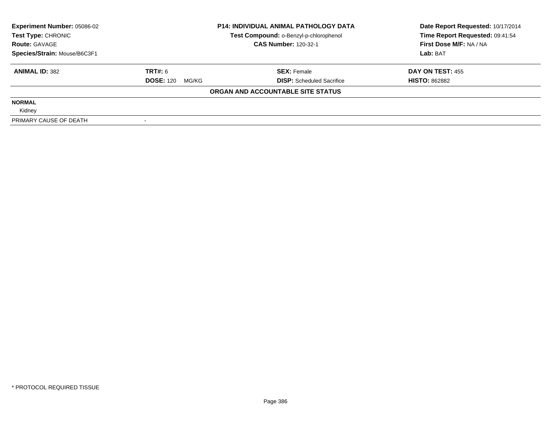| <b>Experiment Number: 05086-02</b><br>Test Type: CHRONIC |                           | <b>P14: INDIVIDUAL ANIMAL PATHOLOGY DATA</b> | Date Report Requested: 10/17/2014 |  |
|----------------------------------------------------------|---------------------------|----------------------------------------------|-----------------------------------|--|
|                                                          |                           | Test Compound: o-Benzyl-p-chlorophenol       | Time Report Requested: 09:41:54   |  |
| <b>Route: GAVAGE</b>                                     |                           | <b>CAS Number: 120-32-1</b>                  | First Dose M/F: NA / NA           |  |
| Species/Strain: Mouse/B6C3F1                             |                           |                                              | Lab: BAT                          |  |
| <b>ANIMAL ID: 382</b>                                    | TRT#: 6                   | <b>SEX: Female</b>                           | <b>DAY ON TEST: 455</b>           |  |
|                                                          | <b>DOSE: 120</b><br>MG/KG | <b>DISP:</b> Scheduled Sacrifice             | <b>HISTO: 862882</b>              |  |
|                                                          |                           | ORGAN AND ACCOUNTABLE SITE STATUS            |                                   |  |
| <b>NORMAL</b>                                            |                           |                                              |                                   |  |
| Kidney                                                   |                           |                                              |                                   |  |
| PRIMARY CAUSE OF DEATH                                   |                           |                                              |                                   |  |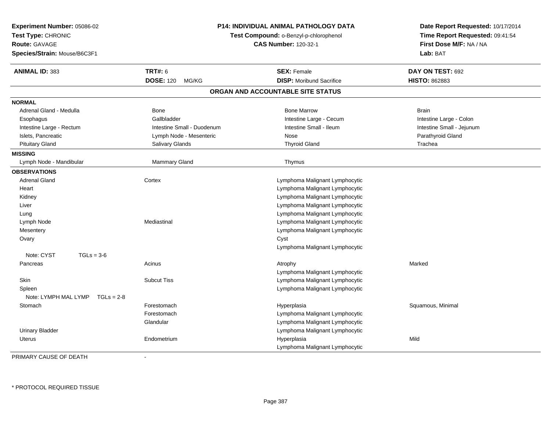| <b>Experiment Number: 05086-02</b><br>Test Type: CHRONIC<br>Route: GAVAGE<br>Species/Strain: Mouse/B6C3F1 |                            | P14: INDIVIDUAL ANIMAL PATHOLOGY DATA<br>Test Compound: o-Benzyl-p-chlorophenol<br><b>CAS Number: 120-32-1</b> | Date Report Requested: 10/17/2014<br>Time Report Requested: 09:41:54<br>First Dose M/F: NA / NA<br>Lab: BAT |
|-----------------------------------------------------------------------------------------------------------|----------------------------|----------------------------------------------------------------------------------------------------------------|-------------------------------------------------------------------------------------------------------------|
| <b>ANIMAL ID: 383</b>                                                                                     | <b>TRT#: 6</b>             | <b>SEX: Female</b>                                                                                             | DAY ON TEST: 692                                                                                            |
|                                                                                                           | <b>DOSE: 120</b><br>MG/KG  | <b>DISP:</b> Moribund Sacrifice                                                                                | <b>HISTO: 862883</b>                                                                                        |
|                                                                                                           |                            | ORGAN AND ACCOUNTABLE SITE STATUS                                                                              |                                                                                                             |
| <b>NORMAL</b>                                                                                             |                            |                                                                                                                |                                                                                                             |
| Adrenal Gland - Medulla                                                                                   | <b>Bone</b>                | <b>Bone Marrow</b>                                                                                             | <b>Brain</b>                                                                                                |
| Esophagus                                                                                                 | Gallbladder                | Intestine Large - Cecum                                                                                        | Intestine Large - Colon                                                                                     |
| Intestine Large - Rectum                                                                                  | Intestine Small - Duodenum | Intestine Small - Ileum                                                                                        | Intestine Small - Jejunum                                                                                   |
| Islets, Pancreatic                                                                                        | Lymph Node - Mesenteric    | Nose                                                                                                           | Parathyroid Gland                                                                                           |
| <b>Pituitary Gland</b>                                                                                    | Salivary Glands            | <b>Thyroid Gland</b>                                                                                           | Trachea                                                                                                     |
| <b>MISSING</b>                                                                                            |                            |                                                                                                                |                                                                                                             |
| Lymph Node - Mandibular                                                                                   | <b>Mammary Gland</b>       | Thymus                                                                                                         |                                                                                                             |
| <b>OBSERVATIONS</b>                                                                                       |                            |                                                                                                                |                                                                                                             |
| <b>Adrenal Gland</b>                                                                                      | Cortex                     | Lymphoma Malignant Lymphocytic                                                                                 |                                                                                                             |
| Heart                                                                                                     |                            | Lymphoma Malignant Lymphocytic                                                                                 |                                                                                                             |
| Kidney                                                                                                    |                            | Lymphoma Malignant Lymphocytic                                                                                 |                                                                                                             |
| Liver                                                                                                     |                            | Lymphoma Malignant Lymphocytic                                                                                 |                                                                                                             |
| Lung                                                                                                      |                            | Lymphoma Malignant Lymphocytic                                                                                 |                                                                                                             |
| Lymph Node                                                                                                | Mediastinal                | Lymphoma Malignant Lymphocytic                                                                                 |                                                                                                             |
| Mesentery                                                                                                 |                            | Lymphoma Malignant Lymphocytic                                                                                 |                                                                                                             |
| Ovary                                                                                                     |                            | Cyst                                                                                                           |                                                                                                             |
|                                                                                                           |                            | Lymphoma Malignant Lymphocytic                                                                                 |                                                                                                             |
| Note: CYST<br>$TGLs = 3-6$                                                                                |                            |                                                                                                                |                                                                                                             |
| Pancreas                                                                                                  | Acinus                     | Atrophy                                                                                                        | Marked                                                                                                      |
|                                                                                                           |                            | Lymphoma Malignant Lymphocytic                                                                                 |                                                                                                             |
| Skin                                                                                                      | <b>Subcut Tiss</b>         | Lymphoma Malignant Lymphocytic                                                                                 |                                                                                                             |
| Spleen                                                                                                    |                            | Lymphoma Malignant Lymphocytic                                                                                 |                                                                                                             |
| Note: LYMPH MAL LYMP<br>$TGLs = 2-8$                                                                      |                            |                                                                                                                |                                                                                                             |
| Stomach                                                                                                   | Forestomach                | Hyperplasia                                                                                                    | Squamous, Minimal                                                                                           |
|                                                                                                           | Forestomach                | Lymphoma Malignant Lymphocytic                                                                                 |                                                                                                             |
|                                                                                                           | Glandular                  | Lymphoma Malignant Lymphocytic                                                                                 |                                                                                                             |
| <b>Urinary Bladder</b>                                                                                    |                            | Lymphoma Malignant Lymphocytic                                                                                 |                                                                                                             |
| <b>Uterus</b>                                                                                             | Endometrium                | Hyperplasia                                                                                                    | Mild                                                                                                        |
|                                                                                                           |                            | Lymphoma Malignant Lymphocytic                                                                                 |                                                                                                             |

PRIMARY CAUSE OF DEATH-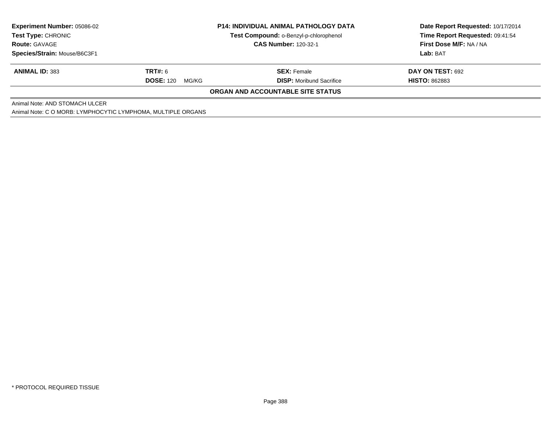| <b>Experiment Number: 05086-02</b>                           |                                        | <b>P14: INDIVIDUAL ANIMAL PATHOLOGY DATA</b> | Date Report Requested: 10/17/2014 |  |  |  |
|--------------------------------------------------------------|----------------------------------------|----------------------------------------------|-----------------------------------|--|--|--|
| <b>Test Type: CHRONIC</b>                                    | Test Compound: o-Benzyl-p-chlorophenol |                                              | Time Report Requested: 09:41:54   |  |  |  |
| <b>Route: GAVAGE</b>                                         |                                        | <b>CAS Number: 120-32-1</b>                  | First Dose M/F: NA / NA           |  |  |  |
| Species/Strain: Mouse/B6C3F1                                 |                                        |                                              | <b>Lab:</b> BAT                   |  |  |  |
| <b>ANIMAL ID: 383</b>                                        | <b>TRT#: 6</b>                         | <b>SEX: Female</b>                           | DAY ON TEST: 692                  |  |  |  |
|                                                              | <b>DOSE: 120</b><br>MG/KG              | <b>DISP:</b> Moribund Sacrifice              | <b>HISTO: 862883</b>              |  |  |  |
| <b>ORGAN AND ACCOUNTABLE SITE STATUS</b>                     |                                        |                                              |                                   |  |  |  |
| Animal Note: AND STOMACH ULCER                               |                                        |                                              |                                   |  |  |  |
| Animal Note: C O MORB: LYMPHOCYTIC LYMPHOMA, MULTIPLE ORGANS |                                        |                                              |                                   |  |  |  |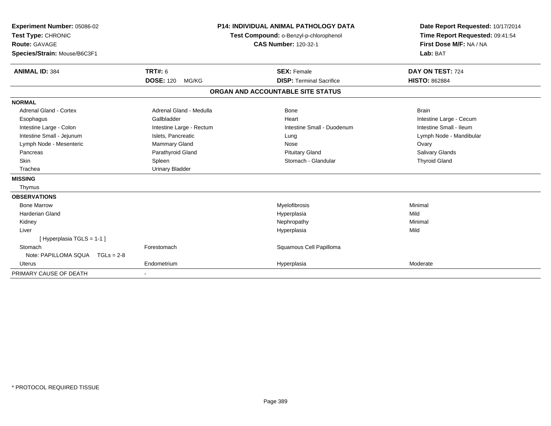| Experiment Number: 05086-02<br>Test Type: CHRONIC<br><b>Route: GAVAGE</b><br>Species/Strain: Mouse/B6C3F1 |                           | <b>P14: INDIVIDUAL ANIMAL PATHOLOGY DATA</b><br>Test Compound: o-Benzyl-p-chlorophenol<br><b>CAS Number: 120-32-1</b> | Date Report Requested: 10/17/2014<br>Time Report Requested: 09:41:54<br>First Dose M/F: NA / NA<br>Lab: BAT |
|-----------------------------------------------------------------------------------------------------------|---------------------------|-----------------------------------------------------------------------------------------------------------------------|-------------------------------------------------------------------------------------------------------------|
| <b>ANIMAL ID: 384</b>                                                                                     | <b>TRT#: 6</b>            | <b>SEX: Female</b>                                                                                                    | DAY ON TEST: 724                                                                                            |
|                                                                                                           | <b>DOSE: 120</b><br>MG/KG | <b>DISP: Terminal Sacrifice</b>                                                                                       | <b>HISTO: 862884</b>                                                                                        |
|                                                                                                           |                           | ORGAN AND ACCOUNTABLE SITE STATUS                                                                                     |                                                                                                             |
| <b>NORMAL</b>                                                                                             |                           |                                                                                                                       |                                                                                                             |
| <b>Adrenal Gland - Cortex</b>                                                                             | Adrenal Gland - Medulla   | <b>Bone</b>                                                                                                           | <b>Brain</b>                                                                                                |
| Esophagus                                                                                                 | Gallbladder               | Heart                                                                                                                 | Intestine Large - Cecum                                                                                     |
| Intestine Large - Colon                                                                                   | Intestine Large - Rectum  | Intestine Small - Duodenum                                                                                            | Intestine Small - Ileum                                                                                     |
| Intestine Small - Jejunum                                                                                 | Islets, Pancreatic        | Lung                                                                                                                  | Lymph Node - Mandibular                                                                                     |
| Lymph Node - Mesenteric                                                                                   | Mammary Gland             | Nose                                                                                                                  | Ovary                                                                                                       |
| Pancreas                                                                                                  | Parathyroid Gland         | <b>Pituitary Gland</b>                                                                                                | <b>Salivary Glands</b>                                                                                      |
| Skin                                                                                                      | Spleen                    | Stomach - Glandular                                                                                                   | <b>Thyroid Gland</b>                                                                                        |
| Trachea                                                                                                   | <b>Urinary Bladder</b>    |                                                                                                                       |                                                                                                             |
| <b>MISSING</b>                                                                                            |                           |                                                                                                                       |                                                                                                             |
| Thymus                                                                                                    |                           |                                                                                                                       |                                                                                                             |
| <b>OBSERVATIONS</b>                                                                                       |                           |                                                                                                                       |                                                                                                             |
| <b>Bone Marrow</b>                                                                                        |                           | Myelofibrosis                                                                                                         | Minimal                                                                                                     |
| <b>Harderian Gland</b>                                                                                    |                           | Hyperplasia                                                                                                           | Mild                                                                                                        |
| Kidney                                                                                                    |                           | Nephropathy                                                                                                           | Minimal                                                                                                     |
| Liver                                                                                                     |                           | Hyperplasia                                                                                                           | Mild                                                                                                        |
| [Hyperplasia TGLS = 1-1]                                                                                  |                           |                                                                                                                       |                                                                                                             |
| Stomach                                                                                                   | Forestomach               | Squamous Cell Papilloma                                                                                               |                                                                                                             |
| Note: PAPILLOMA SQUA  TGLs = 2-8                                                                          |                           |                                                                                                                       |                                                                                                             |
| <b>Uterus</b>                                                                                             | Endometrium               | Hyperplasia                                                                                                           | Moderate                                                                                                    |
| PRIMARY CAUSE OF DEATH                                                                                    |                           |                                                                                                                       |                                                                                                             |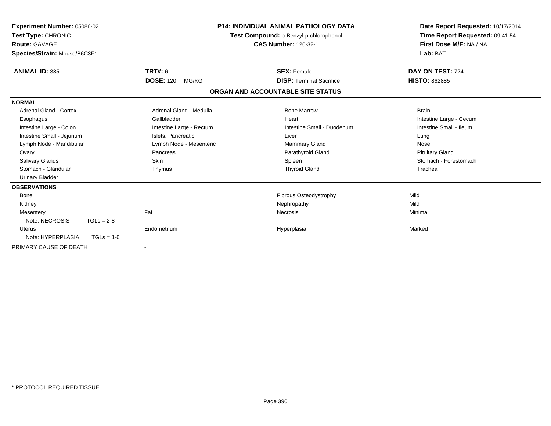| Experiment Number: 05086-02<br>Test Type: CHRONIC<br><b>Route: GAVAGE</b><br>Species/Strain: Mouse/B6C3F1 |                           | <b>P14: INDIVIDUAL ANIMAL PATHOLOGY DATA</b><br>Test Compound: o-Benzyl-p-chlorophenol<br><b>CAS Number: 120-32-1</b> | Date Report Requested: 10/17/2014<br>Time Report Requested: 09:41:54<br>First Dose M/F: NA / NA<br>Lab: BAT |  |
|-----------------------------------------------------------------------------------------------------------|---------------------------|-----------------------------------------------------------------------------------------------------------------------|-------------------------------------------------------------------------------------------------------------|--|
| <b>ANIMAL ID: 385</b>                                                                                     | TRT#: 6                   | <b>SEX: Female</b>                                                                                                    | DAY ON TEST: 724                                                                                            |  |
|                                                                                                           | <b>DOSE: 120</b><br>MG/KG | <b>DISP: Terminal Sacrifice</b>                                                                                       | <b>HISTO: 862885</b>                                                                                        |  |
|                                                                                                           |                           | ORGAN AND ACCOUNTABLE SITE STATUS                                                                                     |                                                                                                             |  |
| <b>NORMAL</b>                                                                                             |                           |                                                                                                                       |                                                                                                             |  |
| <b>Adrenal Gland - Cortex</b>                                                                             | Adrenal Gland - Medulla   | <b>Bone Marrow</b>                                                                                                    | <b>Brain</b>                                                                                                |  |
| Esophagus                                                                                                 | Gallbladder               | Heart                                                                                                                 | Intestine Large - Cecum                                                                                     |  |
| Intestine Large - Colon                                                                                   | Intestine Large - Rectum  | Intestine Small - Duodenum                                                                                            | Intestine Small - Ileum                                                                                     |  |
| Intestine Small - Jejunum                                                                                 | Islets, Pancreatic        | Liver                                                                                                                 | Lung                                                                                                        |  |
| Lymph Node - Mandibular                                                                                   | Lymph Node - Mesenteric   | Mammary Gland                                                                                                         | Nose                                                                                                        |  |
| Ovary                                                                                                     | Pancreas                  | Parathyroid Gland                                                                                                     | <b>Pituitary Gland</b>                                                                                      |  |
| <b>Salivary Glands</b>                                                                                    | Skin                      | Spleen                                                                                                                | Stomach - Forestomach                                                                                       |  |
| Stomach - Glandular                                                                                       | Thymus                    | <b>Thyroid Gland</b>                                                                                                  | Trachea                                                                                                     |  |
| <b>Urinary Bladder</b>                                                                                    |                           |                                                                                                                       |                                                                                                             |  |
| <b>OBSERVATIONS</b>                                                                                       |                           |                                                                                                                       |                                                                                                             |  |
| Bone                                                                                                      |                           | Fibrous Osteodystrophy                                                                                                | Mild                                                                                                        |  |
| Kidney                                                                                                    |                           | Nephropathy                                                                                                           | Mild                                                                                                        |  |
| Mesentery                                                                                                 | Fat                       | Necrosis                                                                                                              | Minimal                                                                                                     |  |
| Note: NECROSIS<br>$TGLs = 2-8$                                                                            |                           |                                                                                                                       |                                                                                                             |  |
| <b>Uterus</b>                                                                                             | Endometrium               | Hyperplasia                                                                                                           | Marked                                                                                                      |  |
| Note: HYPERPLASIA<br>$TGLs = 1-6$                                                                         |                           |                                                                                                                       |                                                                                                             |  |
| PRIMARY CAUSE OF DEATH                                                                                    |                           |                                                                                                                       |                                                                                                             |  |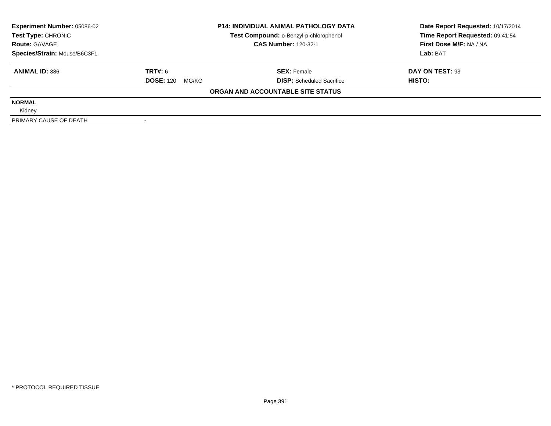| <b>Experiment Number: 05086-02</b><br><b>P14: INDIVIDUAL ANIMAL PATHOLOGY DATA</b><br>Test Compound: o-Benzyl-p-chlorophenol<br>Test Type: CHRONIC |                           | Date Report Requested: 10/17/2014 |                                 |  |
|----------------------------------------------------------------------------------------------------------------------------------------------------|---------------------------|-----------------------------------|---------------------------------|--|
|                                                                                                                                                    |                           |                                   | Time Report Requested: 09:41:54 |  |
| <b>Route: GAVAGE</b>                                                                                                                               |                           | <b>CAS Number: 120-32-1</b>       | First Dose M/F: NA / NA         |  |
| Species/Strain: Mouse/B6C3F1                                                                                                                       |                           |                                   | Lab: BAT                        |  |
| <b>ANIMAL ID: 386</b>                                                                                                                              | TRT#: 6                   | <b>SEX: Female</b>                | DAY ON TEST: 93                 |  |
|                                                                                                                                                    | <b>DOSE: 120</b><br>MG/KG | <b>DISP:</b> Scheduled Sacrifice  | HISTO:                          |  |
|                                                                                                                                                    |                           | ORGAN AND ACCOUNTABLE SITE STATUS |                                 |  |
| <b>NORMAL</b>                                                                                                                                      |                           |                                   |                                 |  |
| Kidney                                                                                                                                             |                           |                                   |                                 |  |
| PRIMARY CAUSE OF DEATH                                                                                                                             |                           |                                   |                                 |  |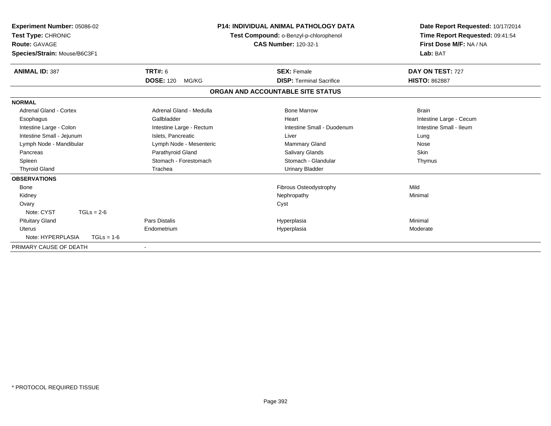| Experiment Number: 05086-02<br><b>Test Type: CHRONIC</b><br>Route: GAVAGE<br>Species/Strain: Mouse/B6C3F1 |                           | <b>P14: INDIVIDUAL ANIMAL PATHOLOGY DATA</b><br>Test Compound: o-Benzyl-p-chlorophenol<br><b>CAS Number: 120-32-1</b> | Date Report Requested: 10/17/2014<br>Time Report Requested: 09:41:54<br>First Dose M/F: NA / NA<br>Lab: BAT |  |
|-----------------------------------------------------------------------------------------------------------|---------------------------|-----------------------------------------------------------------------------------------------------------------------|-------------------------------------------------------------------------------------------------------------|--|
| <b>ANIMAL ID: 387</b>                                                                                     | <b>TRT#: 6</b>            | <b>SEX: Female</b>                                                                                                    | DAY ON TEST: 727                                                                                            |  |
|                                                                                                           | <b>DOSE: 120</b><br>MG/KG | <b>DISP: Terminal Sacrifice</b>                                                                                       | <b>HISTO: 862887</b>                                                                                        |  |
|                                                                                                           |                           | ORGAN AND ACCOUNTABLE SITE STATUS                                                                                     |                                                                                                             |  |
| <b>NORMAL</b>                                                                                             |                           |                                                                                                                       |                                                                                                             |  |
| <b>Adrenal Gland - Cortex</b>                                                                             | Adrenal Gland - Medulla   | <b>Bone Marrow</b>                                                                                                    | <b>Brain</b>                                                                                                |  |
| Esophagus                                                                                                 | Gallbladder               | Heart                                                                                                                 | Intestine Large - Cecum                                                                                     |  |
| Intestine Large - Colon                                                                                   | Intestine Large - Rectum  | Intestine Small - Duodenum                                                                                            | Intestine Small - Ileum                                                                                     |  |
| Intestine Small - Jejunum                                                                                 | Islets, Pancreatic        | Liver                                                                                                                 | Lung                                                                                                        |  |
| Lymph Node - Mandibular                                                                                   | Lymph Node - Mesenteric   | Mammary Gland                                                                                                         | Nose                                                                                                        |  |
| Pancreas                                                                                                  | Parathyroid Gland         | Salivary Glands                                                                                                       | <b>Skin</b>                                                                                                 |  |
| Spleen                                                                                                    | Stomach - Forestomach     | Stomach - Glandular                                                                                                   | Thymus                                                                                                      |  |
| <b>Thyroid Gland</b>                                                                                      | Trachea                   | <b>Urinary Bladder</b>                                                                                                |                                                                                                             |  |
| <b>OBSERVATIONS</b>                                                                                       |                           |                                                                                                                       |                                                                                                             |  |
| Bone                                                                                                      |                           | Fibrous Osteodystrophy                                                                                                | Mild                                                                                                        |  |
| Kidney                                                                                                    |                           | Nephropathy                                                                                                           | Minimal                                                                                                     |  |
| Ovary                                                                                                     |                           | Cyst                                                                                                                  |                                                                                                             |  |
| Note: CYST<br>$TGLs = 2-6$                                                                                |                           |                                                                                                                       |                                                                                                             |  |
| <b>Pituitary Gland</b>                                                                                    | Pars Distalis             | Hyperplasia                                                                                                           | Minimal                                                                                                     |  |
| <b>Uterus</b>                                                                                             | Endometrium               | Hyperplasia                                                                                                           | Moderate                                                                                                    |  |
| Note: HYPERPLASIA<br>$TGLs = 1-6$                                                                         |                           |                                                                                                                       |                                                                                                             |  |
| PRIMARY CAUSE OF DEATH                                                                                    | $\overline{\phantom{a}}$  |                                                                                                                       |                                                                                                             |  |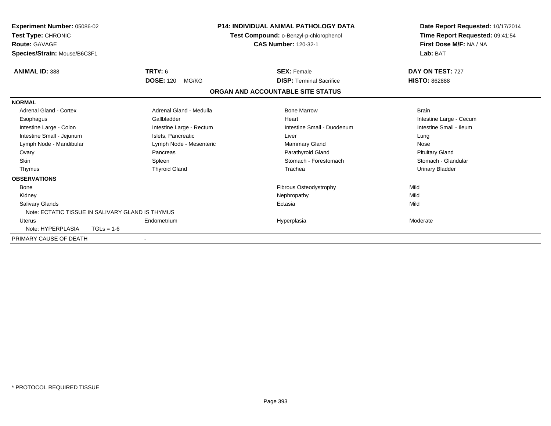| <b>Experiment Number: 05086-02</b><br>Test Type: CHRONIC<br><b>Route: GAVAGE</b><br>Species/Strain: Mouse/B6C3F1 |                                                  | <b>P14: INDIVIDUAL ANIMAL PATHOLOGY DATA</b><br>Test Compound: o-Benzyl-p-chlorophenol<br><b>CAS Number: 120-32-1</b> |                                 | Date Report Requested: 10/17/2014<br>Time Report Requested: 09:41:54<br>First Dose M/F: NA / NA<br>Lab: BAT |  |
|------------------------------------------------------------------------------------------------------------------|--------------------------------------------------|-----------------------------------------------------------------------------------------------------------------------|---------------------------------|-------------------------------------------------------------------------------------------------------------|--|
| <b>ANIMAL ID: 388</b>                                                                                            | <b>TRT#: 6</b>                                   | <b>SEX: Female</b>                                                                                                    |                                 | DAY ON TEST: 727                                                                                            |  |
|                                                                                                                  | <b>DOSE: 120</b><br>MG/KG                        |                                                                                                                       | <b>DISP: Terminal Sacrifice</b> | <b>HISTO: 862888</b>                                                                                        |  |
|                                                                                                                  |                                                  | ORGAN AND ACCOUNTABLE SITE STATUS                                                                                     |                                 |                                                                                                             |  |
| <b>NORMAL</b>                                                                                                    |                                                  |                                                                                                                       |                                 |                                                                                                             |  |
| <b>Adrenal Gland - Cortex</b>                                                                                    | Adrenal Gland - Medulla                          | <b>Bone Marrow</b>                                                                                                    |                                 | <b>Brain</b>                                                                                                |  |
| Esophagus                                                                                                        | Gallbladder                                      | Heart                                                                                                                 |                                 | Intestine Large - Cecum                                                                                     |  |
| Intestine Large - Colon                                                                                          | Intestine Large - Rectum                         |                                                                                                                       | Intestine Small - Duodenum      | Intestine Small - Ileum                                                                                     |  |
| Intestine Small - Jejunum                                                                                        | Islets, Pancreatic                               | Liver                                                                                                                 |                                 | Lung                                                                                                        |  |
| Lymph Node - Mandibular                                                                                          | Lymph Node - Mesenteric                          | <b>Mammary Gland</b>                                                                                                  |                                 | Nose                                                                                                        |  |
| Ovary                                                                                                            | Pancreas                                         | Parathyroid Gland                                                                                                     |                                 | <b>Pituitary Gland</b>                                                                                      |  |
| <b>Skin</b>                                                                                                      | Spleen                                           |                                                                                                                       | Stomach - Forestomach           | Stomach - Glandular                                                                                         |  |
| Thymus                                                                                                           | <b>Thyroid Gland</b>                             | Trachea                                                                                                               |                                 | <b>Urinary Bladder</b>                                                                                      |  |
| <b>OBSERVATIONS</b>                                                                                              |                                                  |                                                                                                                       |                                 |                                                                                                             |  |
| <b>Bone</b>                                                                                                      |                                                  | Fibrous Osteodystrophy                                                                                                |                                 | Mild                                                                                                        |  |
| Kidney                                                                                                           |                                                  | Nephropathy                                                                                                           |                                 | Mild                                                                                                        |  |
| Salivary Glands                                                                                                  |                                                  | Ectasia                                                                                                               |                                 | Mild                                                                                                        |  |
|                                                                                                                  | Note: ECTATIC TISSUE IN SALIVARY GLAND IS THYMUS |                                                                                                                       |                                 |                                                                                                             |  |
| <b>Uterus</b>                                                                                                    | Endometrium                                      | Hyperplasia                                                                                                           |                                 | Moderate                                                                                                    |  |
| Note: HYPERPLASIA                                                                                                | $TGLs = 1-6$                                     |                                                                                                                       |                                 |                                                                                                             |  |
| PRIMARY CAUSE OF DEATH                                                                                           |                                                  |                                                                                                                       |                                 |                                                                                                             |  |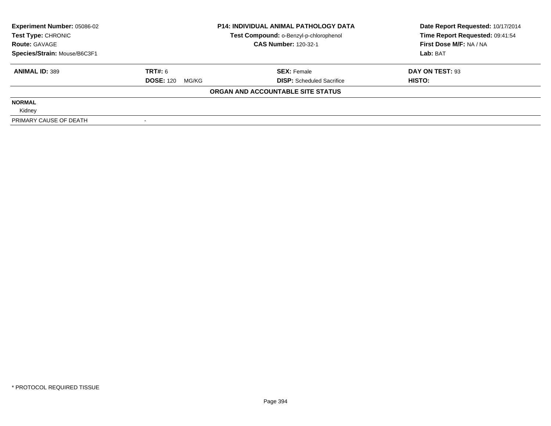| <b>Experiment Number: 05086-02</b> | <b>P14: INDIVIDUAL ANIMAL PATHOLOGY DATA</b><br>Test Compound: o-Benzyl-p-chlorophenol |                                   | Date Report Requested: 10/17/2014 |  |
|------------------------------------|----------------------------------------------------------------------------------------|-----------------------------------|-----------------------------------|--|
| Test Type: CHRONIC                 |                                                                                        |                                   | Time Report Requested: 09:41:54   |  |
| <b>Route: GAVAGE</b>               |                                                                                        | <b>CAS Number: 120-32-1</b>       | First Dose M/F: NA / NA           |  |
| Species/Strain: Mouse/B6C3F1       |                                                                                        |                                   | Lab: BAT                          |  |
| <b>ANIMAL ID: 389</b>              | TRT#: 6                                                                                | <b>SEX: Female</b>                | DAY ON TEST: 93                   |  |
|                                    | <b>DOSE: 120</b><br>MG/KG                                                              | <b>DISP:</b> Scheduled Sacrifice  | HISTO:                            |  |
|                                    |                                                                                        | ORGAN AND ACCOUNTABLE SITE STATUS |                                   |  |
| <b>NORMAL</b>                      |                                                                                        |                                   |                                   |  |
| Kidney                             |                                                                                        |                                   |                                   |  |
| PRIMARY CAUSE OF DEATH             |                                                                                        |                                   |                                   |  |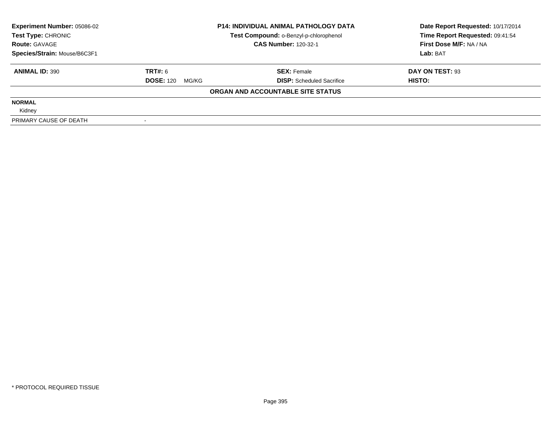| <b>Experiment Number: 05086-02</b>                           | <b>P14: INDIVIDUAL ANIMAL PATHOLOGY DATA</b> |                                   | Date Report Requested: 10/17/2014 |  |
|--------------------------------------------------------------|----------------------------------------------|-----------------------------------|-----------------------------------|--|
| Test Compound: o-Benzyl-p-chlorophenol<br>Test Type: CHRONIC |                                              | Time Report Requested: 09:41:54   |                                   |  |
| <b>Route: GAVAGE</b>                                         |                                              | <b>CAS Number: 120-32-1</b>       | First Dose M/F: NA / NA           |  |
| Species/Strain: Mouse/B6C3F1                                 |                                              |                                   | Lab: BAT                          |  |
| <b>ANIMAL ID: 390</b>                                        | TRT#: 6                                      | <b>SEX: Female</b>                | DAY ON TEST: 93                   |  |
|                                                              | <b>DOSE: 120</b><br>MG/KG                    | <b>DISP:</b> Scheduled Sacrifice  | HISTO:                            |  |
|                                                              |                                              | ORGAN AND ACCOUNTABLE SITE STATUS |                                   |  |
| <b>NORMAL</b>                                                |                                              |                                   |                                   |  |
| Kidney                                                       |                                              |                                   |                                   |  |
| PRIMARY CAUSE OF DEATH                                       |                                              |                                   |                                   |  |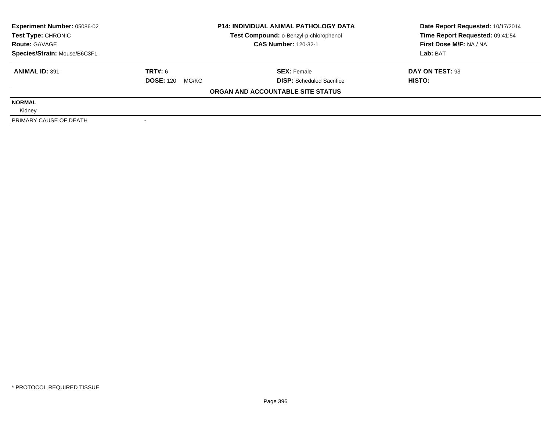| <b>Experiment Number: 05086-02</b><br><b>P14: INDIVIDUAL ANIMAL PATHOLOGY DATA</b><br>Test Compound: o-Benzyl-p-chlorophenol<br>Test Type: CHRONIC |                           | Date Report Requested: 10/17/2014 |                                 |  |
|----------------------------------------------------------------------------------------------------------------------------------------------------|---------------------------|-----------------------------------|---------------------------------|--|
|                                                                                                                                                    |                           |                                   | Time Report Requested: 09:41:54 |  |
| <b>Route: GAVAGE</b>                                                                                                                               |                           | <b>CAS Number: 120-32-1</b>       | First Dose M/F: NA / NA         |  |
| Species/Strain: Mouse/B6C3F1                                                                                                                       |                           |                                   | Lab: BAT                        |  |
| <b>ANIMAL ID: 391</b>                                                                                                                              | TRT#: 6                   | <b>SEX: Female</b>                | DAY ON TEST: 93                 |  |
|                                                                                                                                                    | <b>DOSE: 120</b><br>MG/KG | <b>DISP:</b> Scheduled Sacrifice  | HISTO:                          |  |
|                                                                                                                                                    |                           | ORGAN AND ACCOUNTABLE SITE STATUS |                                 |  |
| <b>NORMAL</b>                                                                                                                                      |                           |                                   |                                 |  |
| Kidney                                                                                                                                             |                           |                                   |                                 |  |
| PRIMARY CAUSE OF DEATH                                                                                                                             |                           |                                   |                                 |  |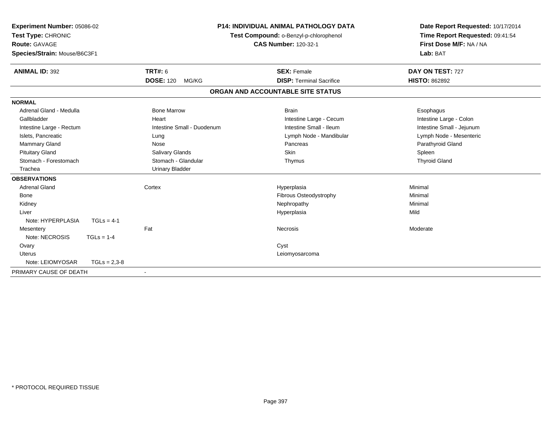| Experiment Number: 05086-02<br>Test Type: CHRONIC<br>Route: GAVAGE<br>Species/Strain: Mouse/B6C3F1 |                |                            | <b>P14: INDIVIDUAL ANIMAL PATHOLOGY DATA</b><br>Test Compound: o-Benzyl-p-chlorophenol<br><b>CAS Number: 120-32-1</b> |                                   | Date Report Requested: 10/17/2014<br>Time Report Requested: 09:41:54<br>First Dose M/F: NA / NA<br>Lab: BAT |
|----------------------------------------------------------------------------------------------------|----------------|----------------------------|-----------------------------------------------------------------------------------------------------------------------|-----------------------------------|-------------------------------------------------------------------------------------------------------------|
| <b>ANIMAL ID: 392</b>                                                                              |                | <b>TRT#: 6</b>             |                                                                                                                       | <b>SEX: Female</b>                | DAY ON TEST: 727                                                                                            |
|                                                                                                    |                | <b>DOSE: 120</b><br>MG/KG  |                                                                                                                       | <b>DISP: Terminal Sacrifice</b>   | <b>HISTO: 862892</b>                                                                                        |
|                                                                                                    |                |                            |                                                                                                                       | ORGAN AND ACCOUNTABLE SITE STATUS |                                                                                                             |
| <b>NORMAL</b>                                                                                      |                |                            |                                                                                                                       |                                   |                                                                                                             |
| Adrenal Gland - Medulla                                                                            |                | <b>Bone Marrow</b>         |                                                                                                                       | <b>Brain</b>                      | Esophagus                                                                                                   |
| Gallbladder                                                                                        |                | Heart                      |                                                                                                                       | Intestine Large - Cecum           | Intestine Large - Colon                                                                                     |
| Intestine Large - Rectum                                                                           |                | Intestine Small - Duodenum |                                                                                                                       | Intestine Small - Ileum           | Intestine Small - Jejunum                                                                                   |
| Islets, Pancreatic                                                                                 |                | Lung                       |                                                                                                                       | Lymph Node - Mandibular           | Lymph Node - Mesenteric                                                                                     |
| Mammary Gland                                                                                      |                | Nose                       |                                                                                                                       | Pancreas                          | Parathyroid Gland                                                                                           |
| <b>Pituitary Gland</b>                                                                             |                | Salivary Glands            |                                                                                                                       | Skin                              | Spleen                                                                                                      |
| Stomach - Forestomach                                                                              |                | Stomach - Glandular        |                                                                                                                       | Thymus                            | <b>Thyroid Gland</b>                                                                                        |
| Trachea                                                                                            |                | <b>Urinary Bladder</b>     |                                                                                                                       |                                   |                                                                                                             |
| <b>OBSERVATIONS</b>                                                                                |                |                            |                                                                                                                       |                                   |                                                                                                             |
| <b>Adrenal Gland</b>                                                                               |                | Cortex                     |                                                                                                                       | Hyperplasia                       | Minimal                                                                                                     |
| Bone                                                                                               |                |                            |                                                                                                                       | Fibrous Osteodystrophy            | Minimal                                                                                                     |
| Kidney                                                                                             |                |                            |                                                                                                                       | Nephropathy                       | Minimal                                                                                                     |
| Liver                                                                                              |                |                            |                                                                                                                       | Hyperplasia                       | Mild                                                                                                        |
| Note: HYPERPLASIA                                                                                  | $TGLs = 4-1$   |                            |                                                                                                                       |                                   |                                                                                                             |
| Mesentery                                                                                          |                | Fat                        |                                                                                                                       | Necrosis                          | Moderate                                                                                                    |
| Note: NECROSIS                                                                                     | $TGLs = 1-4$   |                            |                                                                                                                       |                                   |                                                                                                             |
| Ovary                                                                                              |                |                            |                                                                                                                       | Cyst                              |                                                                                                             |
| Uterus                                                                                             |                |                            |                                                                                                                       | Leiomyosarcoma                    |                                                                                                             |
| Note: LEIOMYOSAR                                                                                   | $TGLs = 2,3-8$ |                            |                                                                                                                       |                                   |                                                                                                             |
| PRIMARY CAUSE OF DEATH                                                                             |                |                            |                                                                                                                       |                                   |                                                                                                             |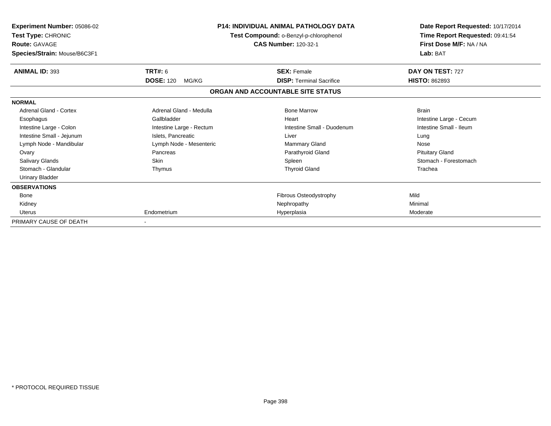| <b>Experiment Number: 05086-02</b><br>Test Type: CHRONIC<br><b>Route: GAVAGE</b><br>Species/Strain: Mouse/B6C3F1 |                           | <b>P14: INDIVIDUAL ANIMAL PATHOLOGY DATA</b><br>Test Compound: o-Benzyl-p-chlorophenol<br><b>CAS Number: 120-32-1</b> | Date Report Requested: 10/17/2014<br>Time Report Requested: 09:41:54<br>First Dose M/F: NA / NA<br>Lab: BAT |  |
|------------------------------------------------------------------------------------------------------------------|---------------------------|-----------------------------------------------------------------------------------------------------------------------|-------------------------------------------------------------------------------------------------------------|--|
| <b>ANIMAL ID: 393</b>                                                                                            | <b>TRT#: 6</b>            | <b>SEX: Female</b>                                                                                                    | DAY ON TEST: 727                                                                                            |  |
|                                                                                                                  | <b>DOSE: 120</b><br>MG/KG | <b>DISP:</b> Terminal Sacrifice                                                                                       | <b>HISTO: 862893</b>                                                                                        |  |
|                                                                                                                  |                           | ORGAN AND ACCOUNTABLE SITE STATUS                                                                                     |                                                                                                             |  |
| <b>NORMAL</b>                                                                                                    |                           |                                                                                                                       |                                                                                                             |  |
| Adrenal Gland - Cortex                                                                                           | Adrenal Gland - Medulla   | <b>Bone Marrow</b>                                                                                                    | <b>Brain</b>                                                                                                |  |
| Esophagus                                                                                                        | Gallbladder               | Heart                                                                                                                 | Intestine Large - Cecum                                                                                     |  |
| Intestine Large - Colon                                                                                          | Intestine Large - Rectum  | Intestine Small - Duodenum                                                                                            | Intestine Small - Ileum                                                                                     |  |
| Intestine Small - Jejunum                                                                                        | Islets, Pancreatic        | Liver                                                                                                                 | Lung                                                                                                        |  |
| Lymph Node - Mandibular                                                                                          | Lymph Node - Mesenteric   | Mammary Gland                                                                                                         | Nose                                                                                                        |  |
| Ovary                                                                                                            | Pancreas                  | Parathyroid Gland                                                                                                     | <b>Pituitary Gland</b>                                                                                      |  |
| <b>Salivary Glands</b>                                                                                           | Skin                      | Spleen                                                                                                                | Stomach - Forestomach                                                                                       |  |
| Stomach - Glandular                                                                                              | Thymus                    | <b>Thyroid Gland</b>                                                                                                  | Trachea                                                                                                     |  |
| <b>Urinary Bladder</b>                                                                                           |                           |                                                                                                                       |                                                                                                             |  |
| <b>OBSERVATIONS</b>                                                                                              |                           |                                                                                                                       |                                                                                                             |  |
| Bone                                                                                                             |                           | Fibrous Osteodystrophy                                                                                                | Mild                                                                                                        |  |
| Kidney                                                                                                           |                           | Nephropathy                                                                                                           | Minimal                                                                                                     |  |
| Uterus                                                                                                           | Endometrium               | Hyperplasia                                                                                                           | Moderate                                                                                                    |  |
| PRIMARY CAUSE OF DEATH                                                                                           |                           |                                                                                                                       |                                                                                                             |  |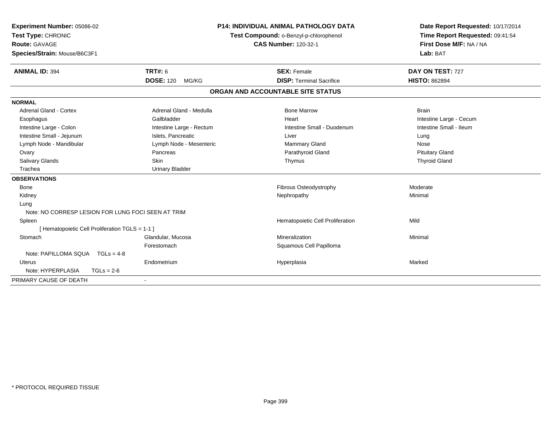| Experiment Number: 05086-02<br>Test Type: CHRONIC<br>Route: GAVAGE<br>Species/Strain: Mouse/B6C3F1 |                           | <b>P14: INDIVIDUAL ANIMAL PATHOLOGY DATA</b><br>Test Compound: o-Benzyl-p-chlorophenol<br><b>CAS Number: 120-32-1</b> |                                   | Date Report Requested: 10/17/2014<br>Time Report Requested: 09:41:54<br>First Dose M/F: NA / NA<br>Lab: BAT |  |
|----------------------------------------------------------------------------------------------------|---------------------------|-----------------------------------------------------------------------------------------------------------------------|-----------------------------------|-------------------------------------------------------------------------------------------------------------|--|
| <b>ANIMAL ID: 394</b>                                                                              | <b>TRT#: 6</b>            |                                                                                                                       | <b>SEX: Female</b>                | DAY ON TEST: 727                                                                                            |  |
|                                                                                                    | <b>DOSE: 120</b><br>MG/KG |                                                                                                                       | <b>DISP: Terminal Sacrifice</b>   | <b>HISTO: 862894</b>                                                                                        |  |
|                                                                                                    |                           |                                                                                                                       | ORGAN AND ACCOUNTABLE SITE STATUS |                                                                                                             |  |
| <b>NORMAL</b>                                                                                      |                           |                                                                                                                       |                                   |                                                                                                             |  |
| <b>Adrenal Gland - Cortex</b>                                                                      | Adrenal Gland - Medulla   |                                                                                                                       | <b>Bone Marrow</b>                | <b>Brain</b>                                                                                                |  |
| Esophagus                                                                                          | Gallbladder               |                                                                                                                       | Heart                             | Intestine Large - Cecum                                                                                     |  |
| Intestine Large - Colon                                                                            | Intestine Large - Rectum  |                                                                                                                       | Intestine Small - Duodenum        | Intestine Small - Ileum                                                                                     |  |
| Intestine Small - Jejunum                                                                          | Islets. Pancreatic        |                                                                                                                       | Liver                             | Lung                                                                                                        |  |
| Lymph Node - Mandibular                                                                            | Lymph Node - Mesenteric   |                                                                                                                       | Mammary Gland                     | Nose                                                                                                        |  |
| Ovary                                                                                              | Pancreas                  |                                                                                                                       | Parathyroid Gland                 | <b>Pituitary Gland</b>                                                                                      |  |
| Salivary Glands                                                                                    | <b>Skin</b>               |                                                                                                                       | Thymus                            | <b>Thyroid Gland</b>                                                                                        |  |
| Trachea                                                                                            | <b>Urinary Bladder</b>    |                                                                                                                       |                                   |                                                                                                             |  |
| <b>OBSERVATIONS</b>                                                                                |                           |                                                                                                                       |                                   |                                                                                                             |  |
| Bone                                                                                               |                           |                                                                                                                       | <b>Fibrous Osteodystrophy</b>     | Moderate                                                                                                    |  |
| Kidney                                                                                             |                           |                                                                                                                       | Nephropathy                       | Minimal                                                                                                     |  |
| Lung                                                                                               |                           |                                                                                                                       |                                   |                                                                                                             |  |
| Note: NO CORRESP LESION FOR LUNG FOCI SEEN AT TRIM                                                 |                           |                                                                                                                       |                                   |                                                                                                             |  |
| Spleen                                                                                             |                           |                                                                                                                       | Hematopoietic Cell Proliferation  | Mild                                                                                                        |  |
| [ Hematopoietic Cell Proliferation TGLS = 1-1 ]                                                    |                           |                                                                                                                       |                                   |                                                                                                             |  |
| Stomach                                                                                            | Glandular, Mucosa         |                                                                                                                       | Mineralization                    | Minimal                                                                                                     |  |
|                                                                                                    | Forestomach               |                                                                                                                       | Squamous Cell Papilloma           |                                                                                                             |  |
| Note: PAPILLOMA SQUA TGLs = 4-8                                                                    |                           |                                                                                                                       |                                   |                                                                                                             |  |
| Uterus                                                                                             | Endometrium               |                                                                                                                       | Hyperplasia                       | Marked                                                                                                      |  |
| Note: HYPERPLASIA<br>$TGLs = 2-6$                                                                  |                           |                                                                                                                       |                                   |                                                                                                             |  |
| PRIMARY CAUSE OF DEATH                                                                             |                           |                                                                                                                       |                                   |                                                                                                             |  |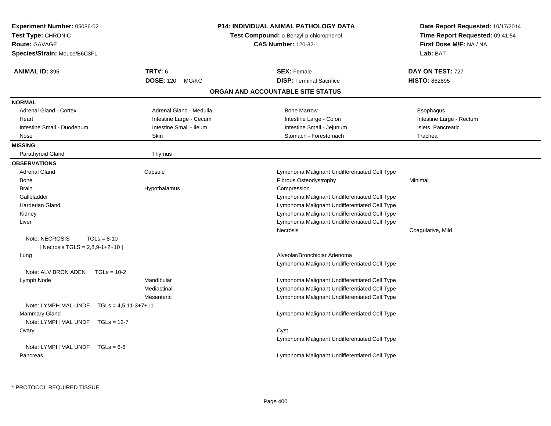| <b>Experiment Number: 05086-02</b><br>Test Type: CHRONIC<br><b>Route: GAVAGE</b><br>Species/Strain: Mouse/B6C3F1 | <b>P14: INDIVIDUAL ANIMAL PATHOLOGY DATA</b><br>Test Compound: o-Benzyl-p-chlorophenol<br><b>CAS Number: 120-32-1</b> | Date Report Requested: 10/17/2014<br>Time Report Requested: 09:41:54<br>First Dose M/F: NA / NA<br>Lab: BAT |
|------------------------------------------------------------------------------------------------------------------|-----------------------------------------------------------------------------------------------------------------------|-------------------------------------------------------------------------------------------------------------|
| <b>TRT#: 6</b><br><b>ANIMAL ID: 395</b>                                                                          | <b>SEX: Female</b>                                                                                                    | DAY ON TEST: 727                                                                                            |
| <b>DOSE: 120</b>                                                                                                 | <b>DISP: Terminal Sacrifice</b><br>MG/KG                                                                              | <b>HISTO: 862895</b>                                                                                        |
|                                                                                                                  | ORGAN AND ACCOUNTABLE SITE STATUS                                                                                     |                                                                                                             |
| <b>NORMAL</b>                                                                                                    |                                                                                                                       |                                                                                                             |
| Adrenal Gland - Cortex                                                                                           | Adrenal Gland - Medulla<br><b>Bone Marrow</b>                                                                         | Esophagus                                                                                                   |
| Heart                                                                                                            | Intestine Large - Cecum<br>Intestine Large - Colon                                                                    | Intestine Large - Rectum                                                                                    |
| Intestine Small - Duodenum                                                                                       | Intestine Small - Ileum<br>Intestine Small - Jejunum                                                                  | Islets, Pancreatic                                                                                          |
| Skin<br>Nose                                                                                                     | Stomach - Forestomach                                                                                                 | Trachea                                                                                                     |
| <b>MISSING</b>                                                                                                   |                                                                                                                       |                                                                                                             |
| Parathyroid Gland<br>Thymus                                                                                      |                                                                                                                       |                                                                                                             |
| <b>OBSERVATIONS</b>                                                                                              |                                                                                                                       |                                                                                                             |
| <b>Adrenal Gland</b><br>Capsule                                                                                  | Lymphoma Malignant Undifferentiated Cell Type                                                                         |                                                                                                             |
| <b>Bone</b>                                                                                                      | Fibrous Osteodystrophy                                                                                                | Minimal                                                                                                     |
| <b>Brain</b><br>Hypothalamus                                                                                     | Compression                                                                                                           |                                                                                                             |
| Gallbladder                                                                                                      | Lymphoma Malignant Undifferentiated Cell Type                                                                         |                                                                                                             |
| <b>Harderian Gland</b>                                                                                           | Lymphoma Malignant Undifferentiated Cell Type                                                                         |                                                                                                             |
| Kidney                                                                                                           | Lymphoma Malignant Undifferentiated Cell Type                                                                         |                                                                                                             |
| Liver                                                                                                            | Lymphoma Malignant Undifferentiated Cell Type                                                                         |                                                                                                             |
|                                                                                                                  | <b>Necrosis</b>                                                                                                       | Coagulative, Mild                                                                                           |
| Note: NECROSIS<br>$TGLs = 8-10$                                                                                  |                                                                                                                       |                                                                                                             |
| [ Necrosis TGLS = $2,8,9-1+2+10$ ]                                                                               |                                                                                                                       |                                                                                                             |
| Lung                                                                                                             | Alveolar/Bronchiolar Adenoma                                                                                          |                                                                                                             |
|                                                                                                                  | Lymphoma Malignant Undifferentiated Cell Type                                                                         |                                                                                                             |
| Note: ALV BRON ADEN<br>$TGLs = 10-2$                                                                             |                                                                                                                       |                                                                                                             |
| Mandibular<br>Lymph Node                                                                                         | Lymphoma Malignant Undifferentiated Cell Type                                                                         |                                                                                                             |
| Mediastinal                                                                                                      | Lymphoma Malignant Undifferentiated Cell Type                                                                         |                                                                                                             |
| Mesenteric<br>Note: LYMPH MAL UNDF TGLs = 4,5,11-3+7+11                                                          | Lymphoma Malignant Undifferentiated Cell Type                                                                         |                                                                                                             |
| Mammary Gland                                                                                                    | Lymphoma Malignant Undifferentiated Cell Type                                                                         |                                                                                                             |
| Note: LYMPH MAL UNDF TGLs = 12-7                                                                                 |                                                                                                                       |                                                                                                             |
| Ovary                                                                                                            | Cyst                                                                                                                  |                                                                                                             |
|                                                                                                                  | Lymphoma Malignant Undifferentiated Cell Type                                                                         |                                                                                                             |
| Note: LYMPH MAL UNDF $TGLs = 6-6$                                                                                |                                                                                                                       |                                                                                                             |
| Pancreas                                                                                                         | Lymphoma Malignant Undifferentiated Cell Type                                                                         |                                                                                                             |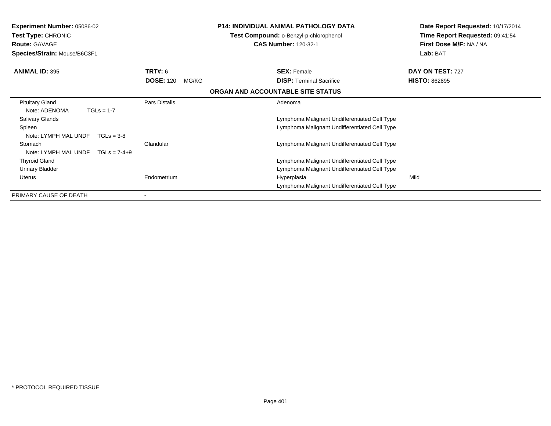| <b>Experiment Number: 05086-02</b><br>Test Type: CHRONIC<br><b>Route: GAVAGE</b><br>Species/Strain: Mouse/B6C3F1 |                                             | <b>P14: INDIVIDUAL ANIMAL PATHOLOGY DATA</b><br>Test Compound: o-Benzyl-p-chlorophenol<br><b>CAS Number: 120-32-1</b> | Date Report Requested: 10/17/2014<br>Time Report Requested: 09:41:54<br>First Dose M/F: NA / NA<br>Lab: BAT |  |
|------------------------------------------------------------------------------------------------------------------|---------------------------------------------|-----------------------------------------------------------------------------------------------------------------------|-------------------------------------------------------------------------------------------------------------|--|
|                                                                                                                  |                                             |                                                                                                                       |                                                                                                             |  |
| <b>ANIMAL ID: 395</b>                                                                                            | <b>TRT#:</b> 6<br><b>DOSE: 120</b><br>MG/KG | <b>SEX: Female</b><br><b>DISP:</b> Terminal Sacrifice                                                                 | DAY ON TEST: 727<br><b>HISTO: 862895</b>                                                                    |  |
|                                                                                                                  |                                             | ORGAN AND ACCOUNTABLE SITE STATUS                                                                                     |                                                                                                             |  |
| <b>Pituitary Gland</b><br>Note: ADENOMA<br>$TGLs = 1-7$                                                          | Pars Distalis                               | Adenoma                                                                                                               |                                                                                                             |  |
| <b>Salivary Glands</b>                                                                                           |                                             | Lymphoma Malignant Undifferentiated Cell Type                                                                         |                                                                                                             |  |
| Spleen<br>Note: LYMPH MAL UNDF<br>$TGLs = 3-8$                                                                   |                                             | Lymphoma Malignant Undifferentiated Cell Type                                                                         |                                                                                                             |  |
| Stomach<br>Note: LYMPH MAL UNDF<br>$TGLs = 7-4+9$                                                                | Glandular                                   | Lymphoma Malignant Undifferentiated Cell Type                                                                         |                                                                                                             |  |
| <b>Thyroid Gland</b>                                                                                             |                                             | Lymphoma Malignant Undifferentiated Cell Type                                                                         |                                                                                                             |  |
| Urinary Bladder                                                                                                  |                                             | Lymphoma Malignant Undifferentiated Cell Type                                                                         |                                                                                                             |  |
| Uterus                                                                                                           | Endometrium                                 | Hyperplasia<br>Lymphoma Malignant Undifferentiated Cell Type                                                          | Mild                                                                                                        |  |
| PRIMARY CAUSE OF DEATH                                                                                           |                                             |                                                                                                                       |                                                                                                             |  |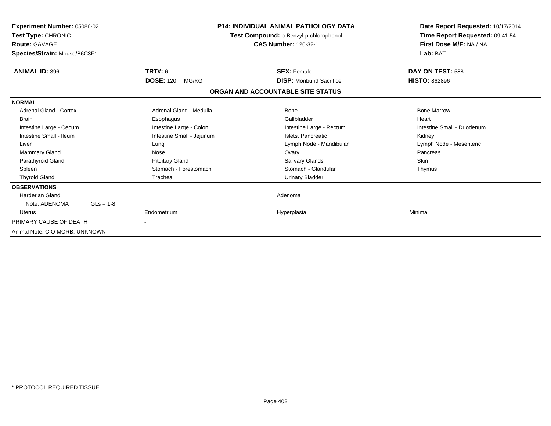| Experiment Number: 05086-02<br>Test Type: CHRONIC<br><b>Route: GAVAGE</b><br>Species/Strain: Mouse/B6C3F1 |                           | <b>P14: INDIVIDUAL ANIMAL PATHOLOGY DATA</b><br>Test Compound: o-Benzyl-p-chlorophenol<br><b>CAS Number: 120-32-1</b> | Date Report Requested: 10/17/2014<br>Time Report Requested: 09:41:54<br>First Dose M/F: NA / NA<br>Lab: BAT |  |
|-----------------------------------------------------------------------------------------------------------|---------------------------|-----------------------------------------------------------------------------------------------------------------------|-------------------------------------------------------------------------------------------------------------|--|
| <b>ANIMAL ID: 396</b>                                                                                     | <b>TRT#: 6</b>            | <b>SEX: Female</b>                                                                                                    | DAY ON TEST: 588                                                                                            |  |
|                                                                                                           | <b>DOSE: 120</b><br>MG/KG | <b>DISP:</b> Moribund Sacrifice                                                                                       | <b>HISTO: 862896</b>                                                                                        |  |
|                                                                                                           |                           | ORGAN AND ACCOUNTABLE SITE STATUS                                                                                     |                                                                                                             |  |
| <b>NORMAL</b>                                                                                             |                           |                                                                                                                       |                                                                                                             |  |
| <b>Adrenal Gland - Cortex</b>                                                                             | Adrenal Gland - Medulla   | <b>Bone</b>                                                                                                           | <b>Bone Marrow</b>                                                                                          |  |
| <b>Brain</b>                                                                                              | Esophagus                 | Gallbladder                                                                                                           | Heart                                                                                                       |  |
| Intestine Large - Cecum                                                                                   | Intestine Large - Colon   | Intestine Large - Rectum                                                                                              | Intestine Small - Duodenum                                                                                  |  |
| Intestine Small - Ileum                                                                                   | Intestine Small - Jejunum | Islets, Pancreatic                                                                                                    | Kidney                                                                                                      |  |
| Liver                                                                                                     | Lung                      | Lymph Node - Mandibular                                                                                               | Lymph Node - Mesenteric                                                                                     |  |
| Mammary Gland                                                                                             | Nose                      | Ovary                                                                                                                 | Pancreas                                                                                                    |  |
| Parathyroid Gland                                                                                         | <b>Pituitary Gland</b>    | Salivary Glands                                                                                                       | Skin                                                                                                        |  |
| Spleen                                                                                                    | Stomach - Forestomach     | Stomach - Glandular                                                                                                   | Thymus                                                                                                      |  |
| <b>Thyroid Gland</b>                                                                                      | Trachea                   | <b>Urinary Bladder</b>                                                                                                |                                                                                                             |  |
| <b>OBSERVATIONS</b>                                                                                       |                           |                                                                                                                       |                                                                                                             |  |
| <b>Harderian Gland</b>                                                                                    |                           | Adenoma                                                                                                               |                                                                                                             |  |
| Note: ADENOMA<br>$TGLs = 1-8$                                                                             |                           |                                                                                                                       |                                                                                                             |  |
| Uterus                                                                                                    | Endometrium               | Hyperplasia                                                                                                           | Minimal                                                                                                     |  |
| PRIMARY CAUSE OF DEATH                                                                                    | $\blacksquare$            |                                                                                                                       |                                                                                                             |  |
| Animal Note: C O MORB: UNKNOWN                                                                            |                           |                                                                                                                       |                                                                                                             |  |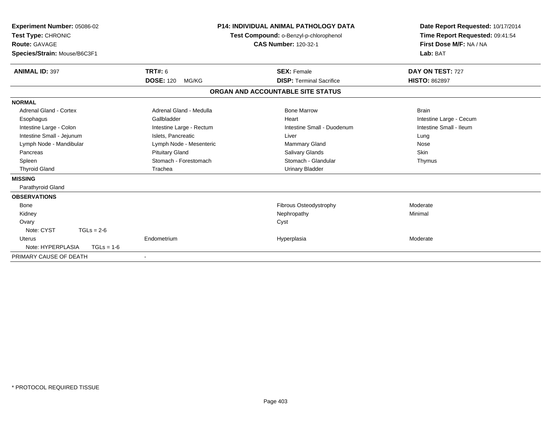| Experiment Number: 05086-02<br>Test Type: CHRONIC<br>Route: GAVAGE<br>Species/Strain: Mouse/B6C3F1 |                           | <b>P14: INDIVIDUAL ANIMAL PATHOLOGY DATA</b><br>Test Compound: o-Benzyl-p-chlorophenol<br><b>CAS Number: 120-32-1</b> | Date Report Requested: 10/17/2014<br>Time Report Requested: 09:41:54<br>First Dose M/F: NA / NA<br>Lab: BAT |  |
|----------------------------------------------------------------------------------------------------|---------------------------|-----------------------------------------------------------------------------------------------------------------------|-------------------------------------------------------------------------------------------------------------|--|
| <b>ANIMAL ID: 397</b>                                                                              | <b>TRT#: 6</b>            | <b>SEX: Female</b>                                                                                                    | DAY ON TEST: 727                                                                                            |  |
|                                                                                                    | <b>DOSE: 120</b><br>MG/KG | <b>DISP: Terminal Sacrifice</b>                                                                                       | <b>HISTO: 862897</b>                                                                                        |  |
|                                                                                                    |                           | ORGAN AND ACCOUNTABLE SITE STATUS                                                                                     |                                                                                                             |  |
| <b>NORMAL</b>                                                                                      |                           |                                                                                                                       |                                                                                                             |  |
| Adrenal Gland - Cortex                                                                             | Adrenal Gland - Medulla   | <b>Bone Marrow</b>                                                                                                    | <b>Brain</b>                                                                                                |  |
| Esophagus                                                                                          | Gallbladder               | Heart                                                                                                                 | Intestine Large - Cecum                                                                                     |  |
| Intestine Large - Colon                                                                            | Intestine Large - Rectum  | Intestine Small - Duodenum                                                                                            | Intestine Small - Ileum                                                                                     |  |
| Intestine Small - Jejunum                                                                          | Islets, Pancreatic        | Liver                                                                                                                 | Lung                                                                                                        |  |
| Lymph Node - Mandibular                                                                            | Lymph Node - Mesenteric   | <b>Mammary Gland</b>                                                                                                  | Nose                                                                                                        |  |
| Pancreas                                                                                           | <b>Pituitary Gland</b>    | Salivary Glands                                                                                                       | Skin                                                                                                        |  |
| Spleen                                                                                             | Stomach - Forestomach     | Stomach - Glandular                                                                                                   | Thymus                                                                                                      |  |
| <b>Thyroid Gland</b>                                                                               | Trachea                   | <b>Urinary Bladder</b>                                                                                                |                                                                                                             |  |
| <b>MISSING</b>                                                                                     |                           |                                                                                                                       |                                                                                                             |  |
| Parathyroid Gland                                                                                  |                           |                                                                                                                       |                                                                                                             |  |
| <b>OBSERVATIONS</b>                                                                                |                           |                                                                                                                       |                                                                                                             |  |
| Bone                                                                                               |                           | <b>Fibrous Osteodystrophy</b>                                                                                         | Moderate                                                                                                    |  |
| Kidney                                                                                             |                           | Nephropathy                                                                                                           | Minimal                                                                                                     |  |
| Ovary                                                                                              |                           | Cyst                                                                                                                  |                                                                                                             |  |
| Note: CYST<br>$TGLs = 2-6$                                                                         |                           |                                                                                                                       |                                                                                                             |  |
| <b>Uterus</b>                                                                                      | Endometrium               | Hyperplasia                                                                                                           | Moderate                                                                                                    |  |
| Note: HYPERPLASIA<br>$TGLs = 1-6$                                                                  |                           |                                                                                                                       |                                                                                                             |  |
| PRIMARY CAUSE OF DEATH                                                                             | $\overline{\phantom{a}}$  |                                                                                                                       |                                                                                                             |  |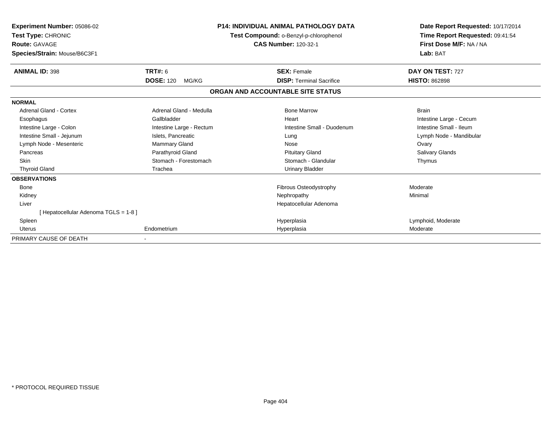| Experiment Number: 05086-02<br>Test Type: CHRONIC<br><b>Route: GAVAGE</b><br>Species/Strain: Mouse/B6C3F1 |                           | <b>P14: INDIVIDUAL ANIMAL PATHOLOGY DATA</b><br>Test Compound: o-Benzyl-p-chlorophenol<br><b>CAS Number: 120-32-1</b> |                                   | Date Report Requested: 10/17/2014<br>Time Report Requested: 09:41:54<br>First Dose M/F: NA / NA<br>Lab: BAT |  |
|-----------------------------------------------------------------------------------------------------------|---------------------------|-----------------------------------------------------------------------------------------------------------------------|-----------------------------------|-------------------------------------------------------------------------------------------------------------|--|
| <b>ANIMAL ID: 398</b>                                                                                     | <b>TRT#: 6</b>            |                                                                                                                       | <b>SEX: Female</b>                | DAY ON TEST: 727                                                                                            |  |
|                                                                                                           | <b>DOSE: 120</b><br>MG/KG |                                                                                                                       | <b>DISP: Terminal Sacrifice</b>   | <b>HISTO: 862898</b>                                                                                        |  |
|                                                                                                           |                           |                                                                                                                       | ORGAN AND ACCOUNTABLE SITE STATUS |                                                                                                             |  |
| <b>NORMAL</b>                                                                                             |                           |                                                                                                                       |                                   |                                                                                                             |  |
| Adrenal Gland - Cortex                                                                                    | Adrenal Gland - Medulla   |                                                                                                                       | <b>Bone Marrow</b>                | <b>Brain</b>                                                                                                |  |
| Esophagus                                                                                                 | Gallbladder               |                                                                                                                       | Heart                             | Intestine Large - Cecum                                                                                     |  |
| Intestine Large - Colon                                                                                   | Intestine Large - Rectum  |                                                                                                                       | Intestine Small - Duodenum        | Intestine Small - Ileum                                                                                     |  |
| Intestine Small - Jejunum                                                                                 | Islets, Pancreatic        |                                                                                                                       | Lung                              | Lymph Node - Mandibular                                                                                     |  |
| Lymph Node - Mesenteric                                                                                   | Mammary Gland             |                                                                                                                       | Nose                              | Ovary                                                                                                       |  |
| Pancreas                                                                                                  | Parathyroid Gland         |                                                                                                                       | <b>Pituitary Gland</b>            | Salivary Glands                                                                                             |  |
| <b>Skin</b>                                                                                               | Stomach - Forestomach     |                                                                                                                       | Stomach - Glandular               | Thymus                                                                                                      |  |
| <b>Thyroid Gland</b>                                                                                      | Trachea                   |                                                                                                                       | <b>Urinary Bladder</b>            |                                                                                                             |  |
| <b>OBSERVATIONS</b>                                                                                       |                           |                                                                                                                       |                                   |                                                                                                             |  |
| Bone                                                                                                      |                           |                                                                                                                       | Fibrous Osteodystrophy            | Moderate                                                                                                    |  |
| Kidney                                                                                                    |                           |                                                                                                                       | Nephropathy                       | Minimal                                                                                                     |  |
| Liver                                                                                                     |                           |                                                                                                                       | Hepatocellular Adenoma            |                                                                                                             |  |
| [Hepatocellular Adenoma TGLS = 1-8]                                                                       |                           |                                                                                                                       |                                   |                                                                                                             |  |
| Spleen                                                                                                    |                           |                                                                                                                       | Hyperplasia                       | Lymphoid, Moderate                                                                                          |  |
| Uterus                                                                                                    | Endometrium               |                                                                                                                       | Hyperplasia                       | Moderate                                                                                                    |  |
| PRIMARY CAUSE OF DEATH                                                                                    |                           |                                                                                                                       |                                   |                                                                                                             |  |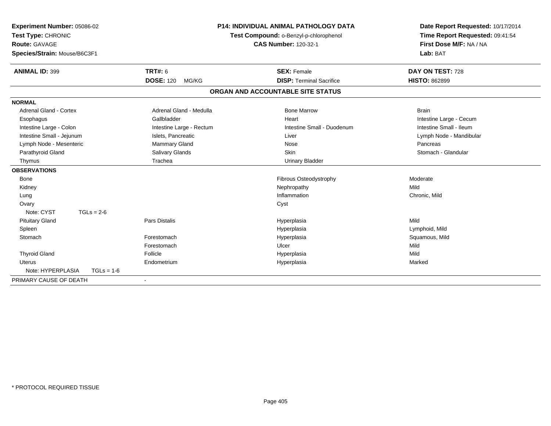| Experiment Number: 05086-02<br>Test Type: CHRONIC<br><b>Route: GAVAGE</b><br>Species/Strain: Mouse/B6C3F1<br><b>ANIMAL ID: 399</b> | <b>P14: INDIVIDUAL ANIMAL PATHOLOGY DATA</b><br>Test Compound: o-Benzyl-p-chlorophenol<br><b>CAS Number: 120-32-1</b> |                                                       | Date Report Requested: 10/17/2014<br>Time Report Requested: 09:41:54<br>First Dose M/F: NA / NA<br>Lab: BAT<br>DAY ON TEST: 728 |
|------------------------------------------------------------------------------------------------------------------------------------|-----------------------------------------------------------------------------------------------------------------------|-------------------------------------------------------|---------------------------------------------------------------------------------------------------------------------------------|
|                                                                                                                                    | <b>TRT#: 6</b><br><b>DOSE: 120</b><br>MG/KG                                                                           | <b>SEX: Female</b><br><b>DISP: Terminal Sacrifice</b> | <b>HISTO: 862899</b>                                                                                                            |
|                                                                                                                                    |                                                                                                                       |                                                       |                                                                                                                                 |
|                                                                                                                                    |                                                                                                                       | ORGAN AND ACCOUNTABLE SITE STATUS                     |                                                                                                                                 |
| <b>NORMAL</b>                                                                                                                      |                                                                                                                       |                                                       |                                                                                                                                 |
| <b>Adrenal Gland - Cortex</b>                                                                                                      | Adrenal Gland - Medulla                                                                                               | <b>Bone Marrow</b>                                    | <b>Brain</b>                                                                                                                    |
| Esophagus                                                                                                                          | Gallbladder                                                                                                           | Heart                                                 | Intestine Large - Cecum                                                                                                         |
| Intestine Large - Colon                                                                                                            | Intestine Large - Rectum                                                                                              | Intestine Small - Duodenum                            | Intestine Small - Ileum                                                                                                         |
| Intestine Small - Jejunum                                                                                                          | Islets, Pancreatic                                                                                                    | Liver                                                 | Lymph Node - Mandibular                                                                                                         |
| Lymph Node - Mesenteric                                                                                                            | Mammary Gland                                                                                                         | Nose                                                  | Pancreas                                                                                                                        |
| Parathyroid Gland                                                                                                                  | Salivary Glands                                                                                                       | <b>Skin</b>                                           | Stomach - Glandular                                                                                                             |
| Thymus                                                                                                                             | Trachea                                                                                                               | <b>Urinary Bladder</b>                                |                                                                                                                                 |
| <b>OBSERVATIONS</b>                                                                                                                |                                                                                                                       |                                                       |                                                                                                                                 |
| Bone                                                                                                                               |                                                                                                                       | Fibrous Osteodystrophy                                | Moderate                                                                                                                        |
| Kidney                                                                                                                             |                                                                                                                       | Nephropathy                                           | Mild                                                                                                                            |
| Lung                                                                                                                               |                                                                                                                       | Inflammation                                          | Chronic, Mild                                                                                                                   |
| Ovary                                                                                                                              |                                                                                                                       | Cyst                                                  |                                                                                                                                 |
| Note: CYST<br>$TGLs = 2-6$                                                                                                         |                                                                                                                       |                                                       |                                                                                                                                 |
| <b>Pituitary Gland</b>                                                                                                             | <b>Pars Distalis</b>                                                                                                  | Hyperplasia                                           | Mild                                                                                                                            |
| Spleen                                                                                                                             |                                                                                                                       | Hyperplasia                                           | Lymphoid, Mild                                                                                                                  |
| Stomach                                                                                                                            | Forestomach                                                                                                           | Hyperplasia                                           | Squamous, Mild                                                                                                                  |
|                                                                                                                                    | Forestomach                                                                                                           | Ulcer                                                 | Mild                                                                                                                            |
| <b>Thyroid Gland</b>                                                                                                               | Follicle                                                                                                              | Hyperplasia                                           | Mild                                                                                                                            |
| <b>Uterus</b>                                                                                                                      | Endometrium                                                                                                           | Hyperplasia                                           | Marked                                                                                                                          |
| Note: HYPERPLASIA<br>$TGLs = 1-6$                                                                                                  |                                                                                                                       |                                                       |                                                                                                                                 |
| PRIMARY CAUSE OF DEATH                                                                                                             | $\blacksquare$                                                                                                        |                                                       |                                                                                                                                 |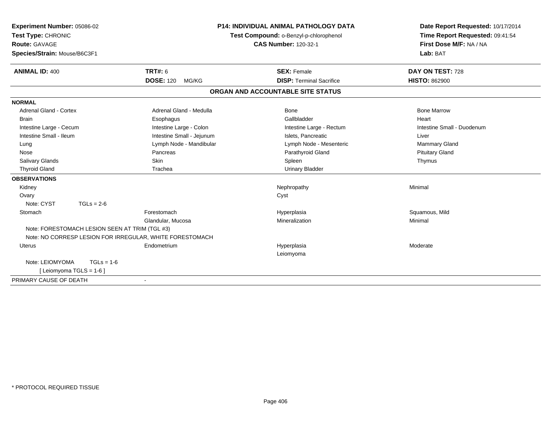| Experiment Number: 05086-02                              |                           |                                        | <b>P14: INDIVIDUAL ANIMAL PATHOLOGY DATA</b> | Date Report Requested: 10/17/2014 |
|----------------------------------------------------------|---------------------------|----------------------------------------|----------------------------------------------|-----------------------------------|
| Test Type: CHRONIC                                       |                           | Test Compound: o-Benzyl-p-chlorophenol |                                              | Time Report Requested: 09:41:54   |
| <b>Route: GAVAGE</b>                                     |                           | <b>CAS Number: 120-32-1</b>            |                                              | First Dose M/F: NA / NA           |
| Species/Strain: Mouse/B6C3F1                             |                           |                                        |                                              | Lab: BAT                          |
| <b>ANIMAL ID: 400</b>                                    | <b>TRT#: 6</b>            |                                        | <b>SEX: Female</b>                           | DAY ON TEST: 728                  |
|                                                          | <b>DOSE: 120</b><br>MG/KG |                                        | <b>DISP: Terminal Sacrifice</b>              | <b>HISTO: 862900</b>              |
|                                                          |                           |                                        | ORGAN AND ACCOUNTABLE SITE STATUS            |                                   |
| <b>NORMAL</b>                                            |                           |                                        |                                              |                                   |
| <b>Adrenal Gland - Cortex</b>                            | Adrenal Gland - Medulla   |                                        | <b>Bone</b>                                  | <b>Bone Marrow</b>                |
| Brain                                                    | Esophagus                 |                                        | Gallbladder                                  | Heart                             |
| Intestine Large - Cecum                                  | Intestine Large - Colon   |                                        | Intestine Large - Rectum                     | Intestine Small - Duodenum        |
| Intestine Small - Ileum                                  | Intestine Small - Jejunum |                                        | Islets, Pancreatic                           | Liver                             |
| Lung                                                     | Lymph Node - Mandibular   |                                        | Lymph Node - Mesenteric                      | Mammary Gland                     |
| Nose                                                     | Pancreas                  |                                        | Parathyroid Gland                            | <b>Pituitary Gland</b>            |
| Salivary Glands                                          | Skin                      |                                        | Spleen                                       | Thymus                            |
| <b>Thyroid Gland</b>                                     | Trachea                   |                                        | <b>Urinary Bladder</b>                       |                                   |
| <b>OBSERVATIONS</b>                                      |                           |                                        |                                              |                                   |
| Kidney                                                   |                           |                                        | Nephropathy                                  | Minimal                           |
| Ovary                                                    |                           |                                        | Cyst                                         |                                   |
| Note: CYST<br>$TGLs = 2-6$                               |                           |                                        |                                              |                                   |
| Stomach                                                  | Forestomach               |                                        | Hyperplasia                                  | Squamous, Mild                    |
|                                                          | Glandular, Mucosa         |                                        | Mineralization                               | Minimal                           |
| Note: FORESTOMACH LESION SEEN AT TRIM (TGL #3)           |                           |                                        |                                              |                                   |
| Note: NO CORRESP LESION FOR IRREGULAR, WHITE FORESTOMACH |                           |                                        |                                              |                                   |
| <b>Uterus</b>                                            | Endometrium               |                                        | Hyperplasia                                  | Moderate                          |
|                                                          |                           |                                        | Leiomyoma                                    |                                   |
| Note: LEIOMYOMA<br>$TGLs = 1-6$                          |                           |                                        |                                              |                                   |
| [ Leiomyoma TGLS = $1-6$ ]                               |                           |                                        |                                              |                                   |
| PRIMARY CAUSE OF DEATH                                   | ٠                         |                                        |                                              |                                   |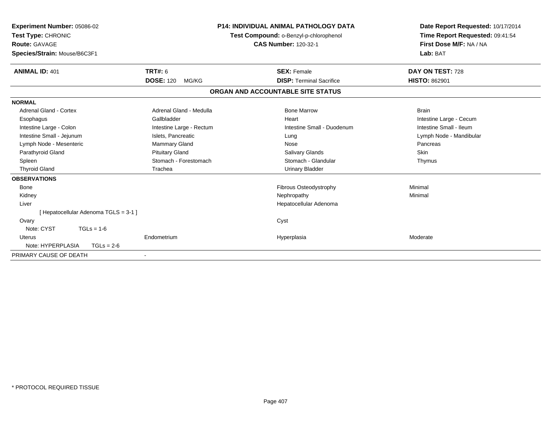| Experiment Number: 05086-02<br>Test Type: CHRONIC<br>Route: GAVAGE<br>Species/Strain: Mouse/B6C3F1 |                           | <b>P14: INDIVIDUAL ANIMAL PATHOLOGY DATA</b><br>Test Compound: o-Benzyl-p-chlorophenol<br><b>CAS Number: 120-32-1</b> | Date Report Requested: 10/17/2014<br>Time Report Requested: 09:41:54<br>First Dose M/F: NA / NA<br>Lab: BAT |
|----------------------------------------------------------------------------------------------------|---------------------------|-----------------------------------------------------------------------------------------------------------------------|-------------------------------------------------------------------------------------------------------------|
| <b>ANIMAL ID: 401</b>                                                                              | <b>TRT#: 6</b>            | <b>SEX: Female</b>                                                                                                    | DAY ON TEST: 728                                                                                            |
|                                                                                                    | <b>DOSE: 120</b><br>MG/KG | <b>DISP: Terminal Sacrifice</b>                                                                                       | <b>HISTO: 862901</b>                                                                                        |
|                                                                                                    |                           | ORGAN AND ACCOUNTABLE SITE STATUS                                                                                     |                                                                                                             |
| <b>NORMAL</b>                                                                                      |                           |                                                                                                                       |                                                                                                             |
| Adrenal Gland - Cortex                                                                             | Adrenal Gland - Medulla   | <b>Bone Marrow</b>                                                                                                    | <b>Brain</b>                                                                                                |
| Esophagus                                                                                          | Gallbladder               | Heart                                                                                                                 | Intestine Large - Cecum                                                                                     |
| Intestine Large - Colon                                                                            | Intestine Large - Rectum  | Intestine Small - Duodenum                                                                                            | Intestine Small - Ileum                                                                                     |
| Intestine Small - Jejunum                                                                          | Islets, Pancreatic        | Lung                                                                                                                  | Lymph Node - Mandibular                                                                                     |
| Lymph Node - Mesenteric                                                                            | <b>Mammary Gland</b>      | Nose                                                                                                                  | Pancreas                                                                                                    |
| Parathyroid Gland                                                                                  | <b>Pituitary Gland</b>    | Salivary Glands                                                                                                       | Skin                                                                                                        |
| Spleen                                                                                             | Stomach - Forestomach     | Stomach - Glandular                                                                                                   | Thymus                                                                                                      |
| <b>Thyroid Gland</b>                                                                               | Trachea                   | <b>Urinary Bladder</b>                                                                                                |                                                                                                             |
| <b>OBSERVATIONS</b>                                                                                |                           |                                                                                                                       |                                                                                                             |
| Bone                                                                                               |                           | <b>Fibrous Osteodystrophy</b>                                                                                         | Minimal                                                                                                     |
| Kidney                                                                                             |                           | Nephropathy                                                                                                           | Minimal                                                                                                     |
| Liver                                                                                              |                           | Hepatocellular Adenoma                                                                                                |                                                                                                             |
| [Hepatocellular Adenoma TGLS = 3-1]                                                                |                           |                                                                                                                       |                                                                                                             |
| Ovary                                                                                              |                           | Cyst                                                                                                                  |                                                                                                             |
| Note: CYST<br>$TGLs = 1-6$                                                                         |                           |                                                                                                                       |                                                                                                             |
| Uterus                                                                                             | Endometrium               | Hyperplasia                                                                                                           | Moderate                                                                                                    |
| Note: HYPERPLASIA<br>$TGLs = 2-6$                                                                  |                           |                                                                                                                       |                                                                                                             |
| PRIMARY CAUSE OF DEATH                                                                             |                           |                                                                                                                       |                                                                                                             |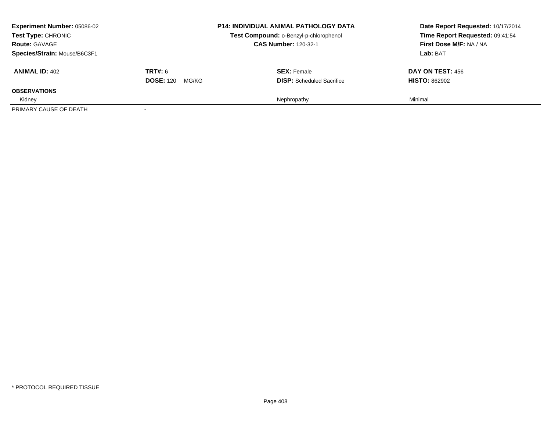| <b>Experiment Number: 05086-02</b><br><b>Test Type: CHRONIC</b><br><b>Route: GAVAGE</b><br>Species/Strain: Mouse/B6C3F1 |                                             | <b>P14: INDIVIDUAL ANIMAL PATHOLOGY DATA</b><br>Test Compound: o-Benzyl-p-chlorophenol<br><b>CAS Number: 120-32-1</b> | Date Report Requested: 10/17/2014<br>Time Report Requested: 09:41:54<br>First Dose M/F: NA / NA<br>Lab: BAT |
|-------------------------------------------------------------------------------------------------------------------------|---------------------------------------------|-----------------------------------------------------------------------------------------------------------------------|-------------------------------------------------------------------------------------------------------------|
| <b>ANIMAL ID: 402</b>                                                                                                   | <b>TRT#: 6</b><br><b>DOSE: 120</b><br>MG/KG | <b>SEX: Female</b><br><b>DISP:</b> Scheduled Sacrifice                                                                | DAY ON TEST: 456<br><b>HISTO: 862902</b>                                                                    |
| <b>OBSERVATIONS</b>                                                                                                     |                                             |                                                                                                                       |                                                                                                             |
| Kidney                                                                                                                  |                                             | Nephropathy                                                                                                           | Minimal                                                                                                     |
| PRIMARY CAUSE OF DEATH                                                                                                  |                                             |                                                                                                                       |                                                                                                             |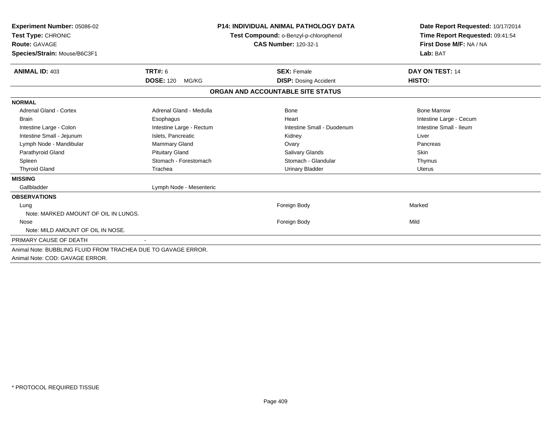| Experiment Number: 05086-02<br>Test Type: CHRONIC<br><b>Route: GAVAGE</b><br>Species/Strain: Mouse/B6C3F1 |                           | <b>P14: INDIVIDUAL ANIMAL PATHOLOGY DATA</b><br>Test Compound: o-Benzyl-p-chlorophenol<br><b>CAS Number: 120-32-1</b> | Date Report Requested: 10/17/2014<br>Time Report Requested: 09:41:54<br>First Dose M/F: NA / NA<br>Lab: BAT |
|-----------------------------------------------------------------------------------------------------------|---------------------------|-----------------------------------------------------------------------------------------------------------------------|-------------------------------------------------------------------------------------------------------------|
| <b>ANIMAL ID: 403</b>                                                                                     | <b>TRT#: 6</b>            | <b>SEX: Female</b>                                                                                                    | DAY ON TEST: 14                                                                                             |
|                                                                                                           | <b>DOSE: 120</b><br>MG/KG | <b>DISP:</b> Dosing Accident                                                                                          | HISTO:                                                                                                      |
|                                                                                                           |                           | ORGAN AND ACCOUNTABLE SITE STATUS                                                                                     |                                                                                                             |
| <b>NORMAL</b>                                                                                             |                           |                                                                                                                       |                                                                                                             |
| <b>Adrenal Gland - Cortex</b>                                                                             | Adrenal Gland - Medulla   | Bone                                                                                                                  | <b>Bone Marrow</b>                                                                                          |
| <b>Brain</b>                                                                                              | Esophagus                 | Heart                                                                                                                 | Intestine Large - Cecum                                                                                     |
| Intestine Large - Colon                                                                                   | Intestine Large - Rectum  | Intestine Small - Duodenum                                                                                            | Intestine Small - Ileum                                                                                     |
| Intestine Small - Jejunum                                                                                 | Islets, Pancreatic        | Kidney                                                                                                                | Liver                                                                                                       |
| Lymph Node - Mandibular                                                                                   | <b>Mammary Gland</b>      | Ovary                                                                                                                 | Pancreas                                                                                                    |
| Parathyroid Gland                                                                                         | <b>Pituitary Gland</b>    | <b>Salivary Glands</b>                                                                                                | Skin                                                                                                        |
| Spleen                                                                                                    | Stomach - Forestomach     | Stomach - Glandular                                                                                                   | Thymus                                                                                                      |
| <b>Thyroid Gland</b>                                                                                      | Trachea                   | <b>Urinary Bladder</b>                                                                                                | Uterus                                                                                                      |
| <b>MISSING</b>                                                                                            |                           |                                                                                                                       |                                                                                                             |
| Gallbladder                                                                                               | Lymph Node - Mesenteric   |                                                                                                                       |                                                                                                             |
| <b>OBSERVATIONS</b>                                                                                       |                           |                                                                                                                       |                                                                                                             |
| Lung                                                                                                      |                           | Foreign Body                                                                                                          | Marked                                                                                                      |
| Note: MARKED AMOUNT OF OIL IN LUNGS.                                                                      |                           |                                                                                                                       |                                                                                                             |
| Nose                                                                                                      |                           | Foreign Body                                                                                                          | Mild                                                                                                        |
| Note: MILD AMOUNT OF OIL IN NOSE.                                                                         |                           |                                                                                                                       |                                                                                                             |
| PRIMARY CAUSE OF DEATH                                                                                    |                           |                                                                                                                       |                                                                                                             |
| Animal Note: BUBBLING FLUID FROM TRACHEA DUE TO GAVAGE ERROR.<br>Animal Note: COD: GAVAGE ERROR.          |                           |                                                                                                                       |                                                                                                             |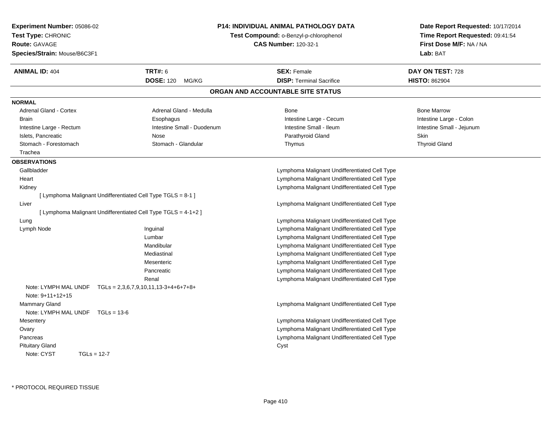| Experiment Number: 05086-02                                    |                                        | <b>P14: INDIVIDUAL ANIMAL PATHOLOGY DATA</b>  |                                                                      |
|----------------------------------------------------------------|----------------------------------------|-----------------------------------------------|----------------------------------------------------------------------|
| Test Type: CHRONIC                                             |                                        | Test Compound: o-Benzyl-p-chlorophenol        | Date Report Requested: 10/17/2014<br>Time Report Requested: 09:41:54 |
| <b>Route: GAVAGE</b>                                           | <b>CAS Number: 120-32-1</b>            |                                               | First Dose M/F: NA / NA                                              |
| Species/Strain: Mouse/B6C3F1                                   |                                        |                                               | Lab: BAT                                                             |
| <b>ANIMAL ID: 404</b>                                          | <b>TRT#: 6</b>                         | <b>SEX: Female</b>                            | DAY ON TEST: 728                                                     |
|                                                                | DOSE: 120 MG/KG                        | <b>DISP: Terminal Sacrifice</b>               | <b>HISTO: 862904</b>                                                 |
|                                                                |                                        | ORGAN AND ACCOUNTABLE SITE STATUS             |                                                                      |
| <b>NORMAL</b>                                                  |                                        |                                               |                                                                      |
| <b>Adrenal Gland - Cortex</b>                                  | Adrenal Gland - Medulla                | <b>Bone</b>                                   | <b>Bone Marrow</b>                                                   |
| <b>Brain</b>                                                   | Esophagus                              | Intestine Large - Cecum                       | Intestine Large - Colon                                              |
| Intestine Large - Rectum                                       | Intestine Small - Duodenum             | Intestine Small - Ileum                       | Intestine Small - Jejunum                                            |
| Islets, Pancreatic                                             | Nose                                   | Parathyroid Gland                             | Skin                                                                 |
| Stomach - Forestomach                                          | Stomach - Glandular                    | Thymus                                        | <b>Thyroid Gland</b>                                                 |
| Trachea                                                        |                                        |                                               |                                                                      |
| <b>OBSERVATIONS</b>                                            |                                        |                                               |                                                                      |
| Gallbladder                                                    |                                        | Lymphoma Malignant Undifferentiated Cell Type |                                                                      |
| Heart                                                          |                                        | Lymphoma Malignant Undifferentiated Cell Type |                                                                      |
| Kidney                                                         |                                        | Lymphoma Malignant Undifferentiated Cell Type |                                                                      |
| [ Lymphoma Malignant Undifferentiated Cell Type TGLS = 8-1 ]   |                                        |                                               |                                                                      |
| Liver                                                          |                                        | Lymphoma Malignant Undifferentiated Cell Type |                                                                      |
| [ Lymphoma Malignant Undifferentiated Cell Type TGLS = 4-1+2 ] |                                        |                                               |                                                                      |
| Lung                                                           |                                        | Lymphoma Malignant Undifferentiated Cell Type |                                                                      |
| Lymph Node                                                     | Inguinal                               | Lymphoma Malignant Undifferentiated Cell Type |                                                                      |
|                                                                | Lumbar                                 | Lymphoma Malignant Undifferentiated Cell Type |                                                                      |
|                                                                | Mandibular                             | Lymphoma Malignant Undifferentiated Cell Type |                                                                      |
|                                                                | Mediastinal                            | Lymphoma Malignant Undifferentiated Cell Type |                                                                      |
|                                                                | Mesenteric                             | Lymphoma Malignant Undifferentiated Cell Type |                                                                      |
|                                                                | Pancreatic                             | Lymphoma Malignant Undifferentiated Cell Type |                                                                      |
|                                                                | Renal                                  | Lymphoma Malignant Undifferentiated Cell Type |                                                                      |
| Note: LYMPH MAL UNDF<br>Note: 9+11+12+15                       | $TGLs = 2,3,6,7,9,10,11,13-3+4+6+7+8+$ |                                               |                                                                      |
| Mammary Gland                                                  |                                        | Lymphoma Malignant Undifferentiated Cell Type |                                                                      |
| Note: LYMPH MAL UNDF TGLs = 13-6                               |                                        |                                               |                                                                      |
| Mesentery                                                      |                                        | Lymphoma Malignant Undifferentiated Cell Type |                                                                      |
| Ovary                                                          |                                        | Lymphoma Malignant Undifferentiated Cell Type |                                                                      |
| Pancreas                                                       |                                        | Lymphoma Malignant Undifferentiated Cell Type |                                                                      |
| <b>Pituitary Gland</b>                                         |                                        | Cyst                                          |                                                                      |
| Note: CYST<br>$TGLs = 12-7$                                    |                                        |                                               |                                                                      |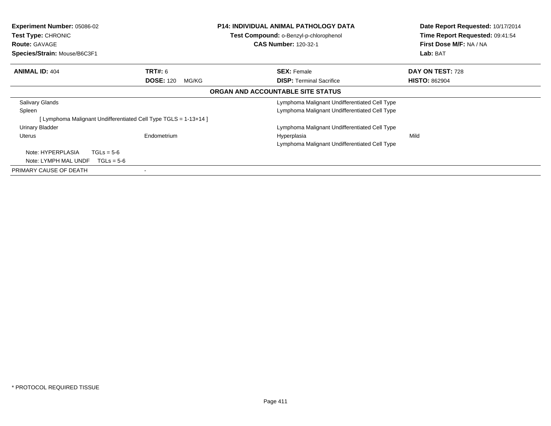| <b>Experiment Number: 05086-02</b><br><b>Test Type: CHRONIC</b><br><b>Route: GAVAGE</b><br>Species/Strain: Mouse/B6C3F1 |                                                                 | <b>P14: INDIVIDUAL ANIMAL PATHOLOGY DATA</b><br><b>Test Compound: o-Benzyl-p-chlorophenol</b><br><b>CAS Number: 120-32-1</b> | Date Report Requested: 10/17/2014<br>Time Report Requested: 09:41:54<br>First Dose M/F: NA / NA<br>Lab: BAT |
|-------------------------------------------------------------------------------------------------------------------------|-----------------------------------------------------------------|------------------------------------------------------------------------------------------------------------------------------|-------------------------------------------------------------------------------------------------------------|
| <b>ANIMAL ID: 404</b>                                                                                                   | <b>TRT#: 6</b>                                                  | <b>SEX: Female</b>                                                                                                           | DAY ON TEST: 728                                                                                            |
|                                                                                                                         | <b>DOSE: 120</b><br>MG/KG                                       | <b>DISP: Terminal Sacrifice</b>                                                                                              | <b>HISTO: 862904</b>                                                                                        |
|                                                                                                                         |                                                                 | ORGAN AND ACCOUNTABLE SITE STATUS                                                                                            |                                                                                                             |
| Salivary Glands                                                                                                         |                                                                 | Lymphoma Malignant Undifferentiated Cell Type                                                                                |                                                                                                             |
| Spleen                                                                                                                  |                                                                 | Lymphoma Malignant Undifferentiated Cell Type                                                                                |                                                                                                             |
|                                                                                                                         | [Lymphoma Malignant Undifferentiated Cell Type TGLS = 1-13+14 ] |                                                                                                                              |                                                                                                             |
| Urinary Bladder                                                                                                         |                                                                 | Lymphoma Malignant Undifferentiated Cell Type                                                                                |                                                                                                             |
| <b>Uterus</b>                                                                                                           | Endometrium                                                     | Hyperplasia                                                                                                                  | Mild                                                                                                        |
|                                                                                                                         |                                                                 | Lymphoma Malignant Undifferentiated Cell Type                                                                                |                                                                                                             |
| Note: HYPERPLASIA<br>$TGLs = 5-6$                                                                                       |                                                                 |                                                                                                                              |                                                                                                             |
| $TGLs = 5-6$<br>Note: LYMPH MAL UNDF                                                                                    |                                                                 |                                                                                                                              |                                                                                                             |
| PRIMARY CAUSE OF DEATH                                                                                                  |                                                                 |                                                                                                                              |                                                                                                             |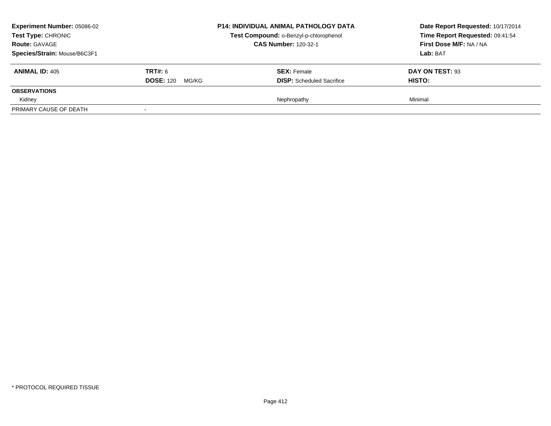| <b>Experiment Number: 05086-02</b><br><b>Test Type: CHRONIC</b><br><b>Route: GAVAGE</b><br>Species/Strain: Mouse/B6C3F1 |                                             | <b>P14: INDIVIDUAL ANIMAL PATHOLOGY DATA</b><br>Test Compound: o-Benzyl-p-chlorophenol<br><b>CAS Number: 120-32-1</b> | Date Report Requested: 10/17/2014<br>Time Report Requested: 09:41:54<br>First Dose M/F: NA / NA<br>Lab: BAT |
|-------------------------------------------------------------------------------------------------------------------------|---------------------------------------------|-----------------------------------------------------------------------------------------------------------------------|-------------------------------------------------------------------------------------------------------------|
| <b>ANIMAL ID: 405</b>                                                                                                   | <b>TRT#:</b> 6<br><b>DOSE: 120</b><br>MG/KG | <b>SEX:</b> Female<br><b>DISP:</b> Scheduled Sacrifice                                                                | DAY ON TEST: 93<br><b>HISTO:</b>                                                                            |
| <b>OBSERVATIONS</b>                                                                                                     |                                             |                                                                                                                       |                                                                                                             |
| Kidney                                                                                                                  |                                             | Nephropathy                                                                                                           | Minimal                                                                                                     |
| PRIMARY CAUSE OF DEATH                                                                                                  |                                             |                                                                                                                       |                                                                                                             |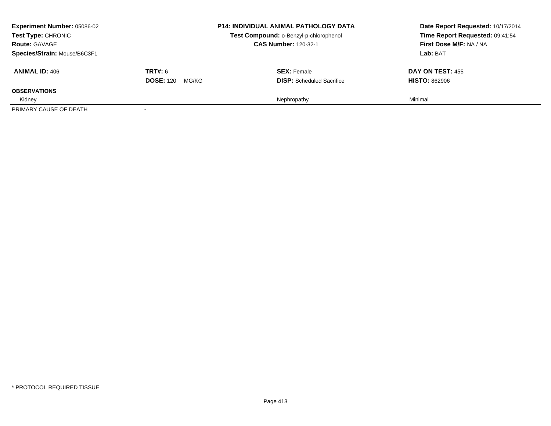| <b>Experiment Number: 05086-02</b><br><b>Test Type: CHRONIC</b><br><b>Route: GAVAGE</b><br>Species/Strain: Mouse/B6C3F1 |                                             | <b>P14: INDIVIDUAL ANIMAL PATHOLOGY DATA</b><br>Test Compound: o-Benzyl-p-chlorophenol<br><b>CAS Number: 120-32-1</b> | Date Report Requested: 10/17/2014<br>Time Report Requested: 09:41:54<br>First Dose M/F: NA / NA<br>Lab: BAT |
|-------------------------------------------------------------------------------------------------------------------------|---------------------------------------------|-----------------------------------------------------------------------------------------------------------------------|-------------------------------------------------------------------------------------------------------------|
| <b>ANIMAL ID: 406</b>                                                                                                   | <b>TRT#: 6</b><br><b>DOSE: 120</b><br>MG/KG | <b>SEX: Female</b><br><b>DISP:</b> Scheduled Sacrifice                                                                | DAY ON TEST: 455<br><b>HISTO: 862906</b>                                                                    |
| <b>OBSERVATIONS</b>                                                                                                     |                                             |                                                                                                                       |                                                                                                             |
| Kidney                                                                                                                  |                                             | Nephropathy                                                                                                           | Minimal                                                                                                     |
| PRIMARY CAUSE OF DEATH                                                                                                  |                                             |                                                                                                                       |                                                                                                             |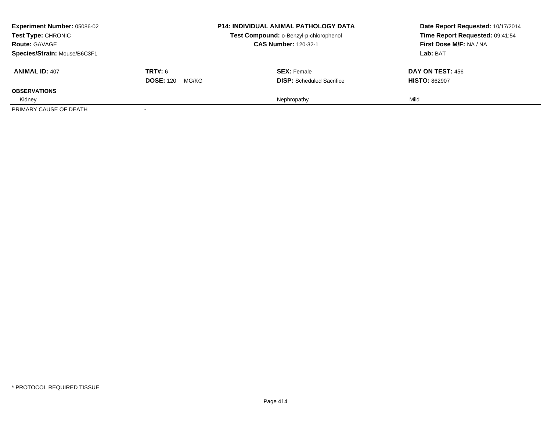| <b>Experiment Number: 05086-02</b><br>Test Type: CHRONIC<br><b>Route: GAVAGE</b><br>Species/Strain: Mouse/B6C3F1 |                           | <b>P14: INDIVIDUAL ANIMAL PATHOLOGY DATA</b><br>Test Compound: o-Benzyl-p-chlorophenol<br><b>CAS Number: 120-32-1</b> | Date Report Requested: 10/17/2014<br>Time Report Requested: 09:41:54<br>First Dose M/F: NA / NA<br>Lab: BAT |
|------------------------------------------------------------------------------------------------------------------|---------------------------|-----------------------------------------------------------------------------------------------------------------------|-------------------------------------------------------------------------------------------------------------|
| <b>ANIMAL ID: 407</b>                                                                                            | <b>TRT#:</b> 6            | <b>SEX:</b> Female                                                                                                    | <b>DAY ON TEST: 456</b>                                                                                     |
|                                                                                                                  | <b>DOSE: 120</b><br>MG/KG | <b>DISP:</b> Scheduled Sacrifice                                                                                      | <b>HISTO: 862907</b>                                                                                        |
| <b>OBSERVATIONS</b>                                                                                              |                           |                                                                                                                       |                                                                                                             |
| Kidney                                                                                                           |                           | Nephropathy                                                                                                           | Mild                                                                                                        |
| PRIMARY CAUSE OF DEATH                                                                                           |                           |                                                                                                                       |                                                                                                             |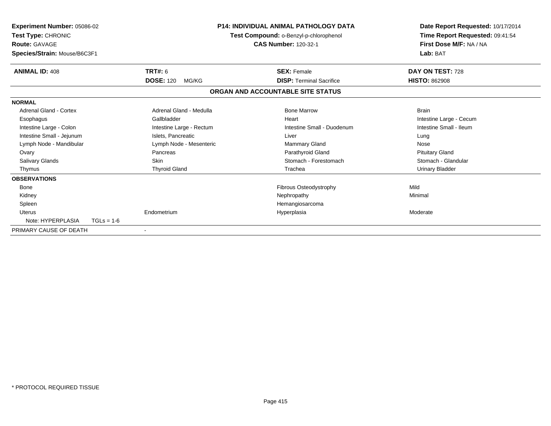| Experiment Number: 05086-02<br>Test Type: CHRONIC<br><b>Route: GAVAGE</b><br>Species/Strain: Mouse/B6C3F1 |                           | <b>P14: INDIVIDUAL ANIMAL PATHOLOGY DATA</b><br>Test Compound: o-Benzyl-p-chlorophenol<br><b>CAS Number: 120-32-1</b> |                            | Date Report Requested: 10/17/2014<br>Time Report Requested: 09:41:54<br>First Dose M/F: NA / NA<br>Lab: BAT |  |
|-----------------------------------------------------------------------------------------------------------|---------------------------|-----------------------------------------------------------------------------------------------------------------------|----------------------------|-------------------------------------------------------------------------------------------------------------|--|
| <b>ANIMAL ID: 408</b>                                                                                     | TRT#: 6                   | <b>SEX: Female</b>                                                                                                    |                            | DAY ON TEST: 728                                                                                            |  |
|                                                                                                           | <b>DOSE: 120</b><br>MG/KG | <b>DISP: Terminal Sacrifice</b>                                                                                       |                            | <b>HISTO: 862908</b>                                                                                        |  |
|                                                                                                           |                           | ORGAN AND ACCOUNTABLE SITE STATUS                                                                                     |                            |                                                                                                             |  |
| <b>NORMAL</b>                                                                                             |                           |                                                                                                                       |                            |                                                                                                             |  |
| Adrenal Gland - Cortex                                                                                    | Adrenal Gland - Medulla   | <b>Bone Marrow</b>                                                                                                    |                            | <b>Brain</b>                                                                                                |  |
| Esophagus                                                                                                 | Gallbladder               | Heart                                                                                                                 |                            | Intestine Large - Cecum                                                                                     |  |
| Intestine Large - Colon                                                                                   | Intestine Large - Rectum  |                                                                                                                       | Intestine Small - Duodenum | Intestine Small - Ileum                                                                                     |  |
| Intestine Small - Jejunum                                                                                 | Islets. Pancreatic        | Liver                                                                                                                 |                            | Lung                                                                                                        |  |
| Lymph Node - Mandibular                                                                                   | Lymph Node - Mesenteric   | Mammary Gland                                                                                                         |                            | Nose                                                                                                        |  |
| Ovary                                                                                                     | Pancreas                  | Parathyroid Gland                                                                                                     |                            | <b>Pituitary Gland</b>                                                                                      |  |
| <b>Salivary Glands</b>                                                                                    | <b>Skin</b>               |                                                                                                                       | Stomach - Forestomach      | Stomach - Glandular                                                                                         |  |
| Thymus                                                                                                    | <b>Thyroid Gland</b>      | Trachea                                                                                                               |                            | <b>Urinary Bladder</b>                                                                                      |  |
| <b>OBSERVATIONS</b>                                                                                       |                           |                                                                                                                       |                            |                                                                                                             |  |
| Bone                                                                                                      |                           | Fibrous Osteodystrophy                                                                                                |                            | Mild                                                                                                        |  |
| Kidney                                                                                                    |                           | Nephropathy                                                                                                           |                            | Minimal                                                                                                     |  |
| Spleen                                                                                                    |                           | Hemangiosarcoma                                                                                                       |                            |                                                                                                             |  |
| <b>Uterus</b>                                                                                             | Endometrium               | Hyperplasia                                                                                                           |                            | Moderate                                                                                                    |  |
| Note: HYPERPLASIA                                                                                         | $TGLs = 1-6$              |                                                                                                                       |                            |                                                                                                             |  |
| PRIMARY CAUSE OF DEATH                                                                                    |                           |                                                                                                                       |                            |                                                                                                             |  |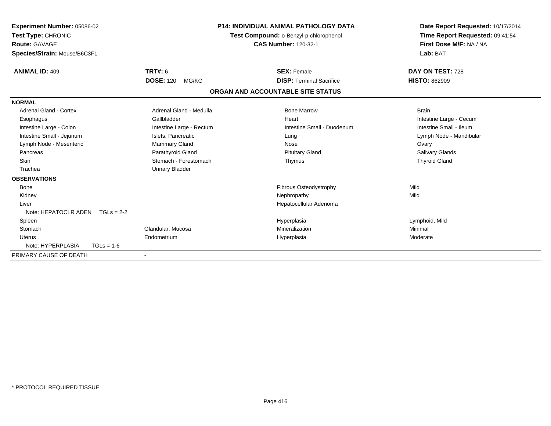| <b>Experiment Number: 05086-02</b><br>Test Type: CHRONIC<br><b>Route: GAVAGE</b><br>Species/Strain: Mouse/B6C3F1 |                           | <b>P14: INDIVIDUAL ANIMAL PATHOLOGY DATA</b><br>Test Compound: o-Benzyl-p-chlorophenol<br><b>CAS Number: 120-32-1</b> | Date Report Requested: 10/17/2014<br>Time Report Requested: 09:41:54<br>First Dose M/F: NA / NA<br>Lab: BAT |
|------------------------------------------------------------------------------------------------------------------|---------------------------|-----------------------------------------------------------------------------------------------------------------------|-------------------------------------------------------------------------------------------------------------|
| <b>ANIMAL ID: 409</b>                                                                                            | TRT#: 6                   | <b>SEX: Female</b>                                                                                                    | DAY ON TEST: 728                                                                                            |
|                                                                                                                  | <b>DOSE: 120</b><br>MG/KG | <b>DISP: Terminal Sacrifice</b>                                                                                       | <b>HISTO: 862909</b>                                                                                        |
|                                                                                                                  |                           | ORGAN AND ACCOUNTABLE SITE STATUS                                                                                     |                                                                                                             |
| <b>NORMAL</b>                                                                                                    |                           |                                                                                                                       |                                                                                                             |
| <b>Adrenal Gland - Cortex</b>                                                                                    | Adrenal Gland - Medulla   | <b>Bone Marrow</b>                                                                                                    | <b>Brain</b>                                                                                                |
| Esophagus                                                                                                        | Gallbladder               | Heart                                                                                                                 | Intestine Large - Cecum                                                                                     |
| Intestine Large - Colon                                                                                          | Intestine Large - Rectum  | Intestine Small - Duodenum                                                                                            | Intestine Small - Ileum                                                                                     |
| Intestine Small - Jejunum                                                                                        | Islets, Pancreatic        | Lung                                                                                                                  | Lymph Node - Mandibular                                                                                     |
| Lymph Node - Mesenteric                                                                                          | Mammary Gland             | Nose                                                                                                                  | Ovary                                                                                                       |
| Pancreas                                                                                                         | Parathyroid Gland         | <b>Pituitary Gland</b>                                                                                                | Salivary Glands                                                                                             |
| <b>Skin</b>                                                                                                      | Stomach - Forestomach     | Thymus                                                                                                                | <b>Thyroid Gland</b>                                                                                        |
| Trachea                                                                                                          | <b>Urinary Bladder</b>    |                                                                                                                       |                                                                                                             |
| <b>OBSERVATIONS</b>                                                                                              |                           |                                                                                                                       |                                                                                                             |
| Bone                                                                                                             |                           | Fibrous Osteodystrophy                                                                                                | Mild                                                                                                        |
| Kidney                                                                                                           |                           | Nephropathy                                                                                                           | Mild                                                                                                        |
| Liver                                                                                                            |                           | Hepatocellular Adenoma                                                                                                |                                                                                                             |
| Note: HEPATOCLR ADEN $TGLs = 2-2$                                                                                |                           |                                                                                                                       |                                                                                                             |
| Spleen                                                                                                           |                           | Hyperplasia                                                                                                           | Lymphoid, Mild                                                                                              |
| Stomach                                                                                                          | Glandular, Mucosa         | Mineralization                                                                                                        | Minimal                                                                                                     |
| <b>Uterus</b>                                                                                                    | Endometrium               | Hyperplasia                                                                                                           | Moderate                                                                                                    |
| Note: HYPERPLASIA<br>$TGLs = 1-6$                                                                                |                           |                                                                                                                       |                                                                                                             |
| PRIMARY CAUSE OF DEATH                                                                                           |                           |                                                                                                                       |                                                                                                             |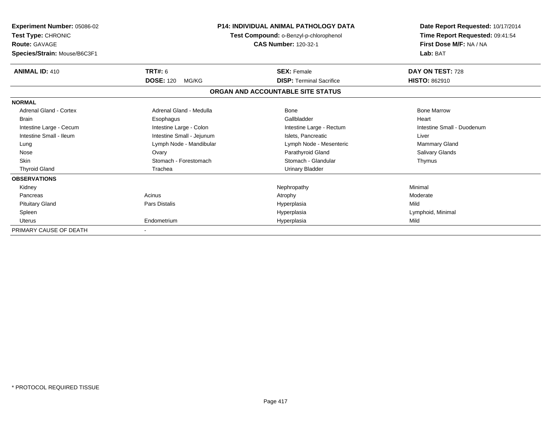| Experiment Number: 05086-02<br>Test Type: CHRONIC<br><b>Route: GAVAGE</b><br>Species/Strain: Mouse/B6C3F1 | <b>P14: INDIVIDUAL ANIMAL PATHOLOGY DATA</b><br>Test Compound: o-Benzyl-p-chlorophenol<br><b>CAS Number: 120-32-1</b> |                                   | Date Report Requested: 10/17/2014<br>Time Report Requested: 09:41:54<br>First Dose M/F: NA / NA<br>Lab: BAT |
|-----------------------------------------------------------------------------------------------------------|-----------------------------------------------------------------------------------------------------------------------|-----------------------------------|-------------------------------------------------------------------------------------------------------------|
| <b>ANIMAL ID: 410</b>                                                                                     | TRT#: 6                                                                                                               | <b>SEX: Female</b>                | DAY ON TEST: 728                                                                                            |
|                                                                                                           | <b>DOSE: 120</b><br>MG/KG                                                                                             | <b>DISP: Terminal Sacrifice</b>   | <b>HISTO: 862910</b>                                                                                        |
|                                                                                                           |                                                                                                                       | ORGAN AND ACCOUNTABLE SITE STATUS |                                                                                                             |
| <b>NORMAL</b>                                                                                             |                                                                                                                       |                                   |                                                                                                             |
| <b>Adrenal Gland - Cortex</b>                                                                             | Adrenal Gland - Medulla                                                                                               | Bone                              | <b>Bone Marrow</b>                                                                                          |
| <b>Brain</b>                                                                                              | Esophagus                                                                                                             | Gallbladder                       | Heart                                                                                                       |
| Intestine Large - Cecum                                                                                   | Intestine Large - Colon                                                                                               | Intestine Large - Rectum          | Intestine Small - Duodenum                                                                                  |
| Intestine Small - Ileum                                                                                   | Intestine Small - Jejunum                                                                                             | Islets. Pancreatic                | Liver                                                                                                       |
| Lung                                                                                                      | Lymph Node - Mandibular                                                                                               | Lymph Node - Mesenteric           | Mammary Gland                                                                                               |
| Nose                                                                                                      | Ovary                                                                                                                 | Parathyroid Gland                 | <b>Salivary Glands</b>                                                                                      |
| Skin                                                                                                      | Stomach - Forestomach                                                                                                 | Stomach - Glandular               | Thymus                                                                                                      |
| <b>Thyroid Gland</b>                                                                                      | Trachea                                                                                                               | <b>Urinary Bladder</b>            |                                                                                                             |
| <b>OBSERVATIONS</b>                                                                                       |                                                                                                                       |                                   |                                                                                                             |
| Kidney                                                                                                    |                                                                                                                       | Nephropathy                       | Minimal                                                                                                     |
| Pancreas                                                                                                  | Acinus                                                                                                                | Atrophy                           | Moderate                                                                                                    |
| <b>Pituitary Gland</b>                                                                                    | <b>Pars Distalis</b>                                                                                                  | Hyperplasia                       | Mild                                                                                                        |
| Spleen                                                                                                    |                                                                                                                       | Hyperplasia                       | Lymphoid, Minimal                                                                                           |
| <b>Uterus</b>                                                                                             | Endometrium                                                                                                           | Hyperplasia                       | Mild                                                                                                        |
| PRIMARY CAUSE OF DEATH                                                                                    |                                                                                                                       |                                   |                                                                                                             |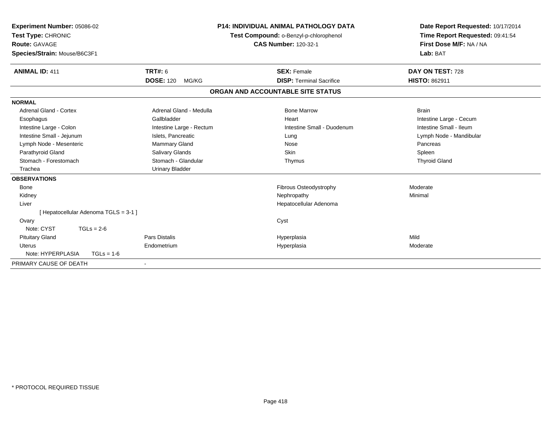| Experiment Number: 05086-02<br>Test Type: CHRONIC<br>Route: GAVAGE<br>Species/Strain: Mouse/B6C3F1 |                           | <b>P14: INDIVIDUAL ANIMAL PATHOLOGY DATA</b><br>Test Compound: o-Benzyl-p-chlorophenol<br><b>CAS Number: 120-32-1</b> | Date Report Requested: 10/17/2014<br>Time Report Requested: 09:41:54<br>First Dose M/F: NA / NA<br>Lab: BAT |
|----------------------------------------------------------------------------------------------------|---------------------------|-----------------------------------------------------------------------------------------------------------------------|-------------------------------------------------------------------------------------------------------------|
| <b>ANIMAL ID: 411</b>                                                                              | <b>TRT#: 6</b>            | <b>SEX: Female</b>                                                                                                    | DAY ON TEST: 728                                                                                            |
|                                                                                                    | <b>DOSE: 120</b><br>MG/KG | <b>DISP: Terminal Sacrifice</b>                                                                                       | <b>HISTO: 862911</b>                                                                                        |
|                                                                                                    |                           | ORGAN AND ACCOUNTABLE SITE STATUS                                                                                     |                                                                                                             |
| <b>NORMAL</b>                                                                                      |                           |                                                                                                                       |                                                                                                             |
| <b>Adrenal Gland - Cortex</b>                                                                      | Adrenal Gland - Medulla   | <b>Bone Marrow</b>                                                                                                    | <b>Brain</b>                                                                                                |
| Esophagus                                                                                          | Gallbladder               | Heart                                                                                                                 | Intestine Large - Cecum                                                                                     |
| Intestine Large - Colon                                                                            | Intestine Large - Rectum  | Intestine Small - Duodenum                                                                                            | Intestine Small - Ileum                                                                                     |
| Intestine Small - Jejunum                                                                          | Islets, Pancreatic        | Lung                                                                                                                  | Lymph Node - Mandibular                                                                                     |
| Lymph Node - Mesenteric                                                                            | Mammary Gland             | Nose                                                                                                                  | Pancreas                                                                                                    |
| Parathyroid Gland                                                                                  | Salivary Glands           | <b>Skin</b>                                                                                                           | Spleen                                                                                                      |
| Stomach - Forestomach                                                                              | Stomach - Glandular       | Thymus                                                                                                                | <b>Thyroid Gland</b>                                                                                        |
| Trachea                                                                                            | <b>Urinary Bladder</b>    |                                                                                                                       |                                                                                                             |
| <b>OBSERVATIONS</b>                                                                                |                           |                                                                                                                       |                                                                                                             |
| <b>Bone</b>                                                                                        |                           | <b>Fibrous Osteodystrophy</b>                                                                                         | Moderate                                                                                                    |
| Kidney                                                                                             |                           | Nephropathy                                                                                                           | Minimal                                                                                                     |
| Liver                                                                                              |                           | Hepatocellular Adenoma                                                                                                |                                                                                                             |
| [Hepatocellular Adenoma TGLS = 3-1]                                                                |                           |                                                                                                                       |                                                                                                             |
| Ovary                                                                                              |                           | Cyst                                                                                                                  |                                                                                                             |
| Note: CYST<br>$TGLs = 2-6$                                                                         |                           |                                                                                                                       |                                                                                                             |
| <b>Pituitary Gland</b>                                                                             | <b>Pars Distalis</b>      | Hyperplasia                                                                                                           | Mild                                                                                                        |
| <b>Uterus</b>                                                                                      | Endometrium               | Hyperplasia                                                                                                           | Moderate                                                                                                    |
| Note: HYPERPLASIA<br>$TGLs = 1-6$                                                                  |                           |                                                                                                                       |                                                                                                             |
| PRIMARY CAUSE OF DEATH                                                                             |                           |                                                                                                                       |                                                                                                             |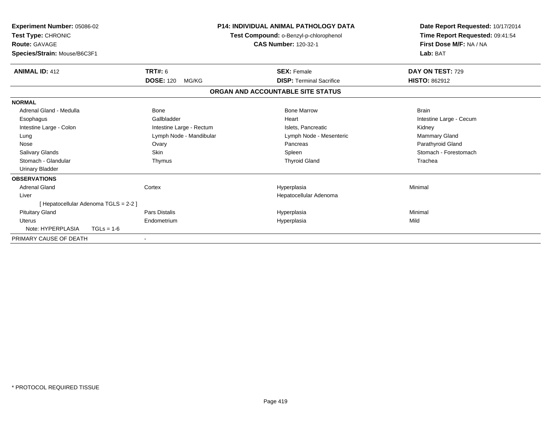| <b>Experiment Number: 05086-02</b><br>Test Type: CHRONIC<br><b>Route: GAVAGE</b><br>Species/Strain: Mouse/B6C3F1 |                           | <b>P14: INDIVIDUAL ANIMAL PATHOLOGY DATA</b><br>Test Compound: o-Benzyl-p-chlorophenol<br><b>CAS Number: 120-32-1</b> | Date Report Requested: 10/17/2014<br>Time Report Requested: 09:41:54<br>First Dose M/F: NA / NA<br>Lab: BAT |
|------------------------------------------------------------------------------------------------------------------|---------------------------|-----------------------------------------------------------------------------------------------------------------------|-------------------------------------------------------------------------------------------------------------|
| <b>ANIMAL ID: 412</b>                                                                                            | <b>TRT#: 6</b>            | <b>SEX: Female</b>                                                                                                    | DAY ON TEST: 729                                                                                            |
|                                                                                                                  | <b>DOSE: 120</b><br>MG/KG | <b>DISP: Terminal Sacrifice</b>                                                                                       | <b>HISTO: 862912</b>                                                                                        |
|                                                                                                                  |                           | ORGAN AND ACCOUNTABLE SITE STATUS                                                                                     |                                                                                                             |
| <b>NORMAL</b>                                                                                                    |                           |                                                                                                                       |                                                                                                             |
| Adrenal Gland - Medulla                                                                                          | <b>Bone</b>               | <b>Bone Marrow</b>                                                                                                    | <b>Brain</b>                                                                                                |
| Esophagus                                                                                                        | Gallbladder               | Heart                                                                                                                 | Intestine Large - Cecum                                                                                     |
| Intestine Large - Colon                                                                                          | Intestine Large - Rectum  | Islets, Pancreatic                                                                                                    | Kidney                                                                                                      |
| Lung                                                                                                             | Lymph Node - Mandibular   | Lymph Node - Mesenteric                                                                                               | <b>Mammary Gland</b>                                                                                        |
| Nose                                                                                                             | Ovary                     | Pancreas                                                                                                              | Parathyroid Gland                                                                                           |
| <b>Salivary Glands</b>                                                                                           | <b>Skin</b>               | Spleen                                                                                                                | Stomach - Forestomach                                                                                       |
| Stomach - Glandular                                                                                              | Thymus                    | <b>Thyroid Gland</b>                                                                                                  | Trachea                                                                                                     |
| <b>Urinary Bladder</b>                                                                                           |                           |                                                                                                                       |                                                                                                             |
| <b>OBSERVATIONS</b>                                                                                              |                           |                                                                                                                       |                                                                                                             |
| <b>Adrenal Gland</b>                                                                                             | Cortex                    | Hyperplasia                                                                                                           | Minimal                                                                                                     |
| Liver                                                                                                            |                           | Hepatocellular Adenoma                                                                                                |                                                                                                             |
| [ Hepatocellular Adenoma TGLS = 2-2 ]                                                                            |                           |                                                                                                                       |                                                                                                             |
| <b>Pituitary Gland</b>                                                                                           | Pars Distalis             | Hyperplasia                                                                                                           | Minimal                                                                                                     |
| Uterus                                                                                                           | Endometrium               | Hyperplasia                                                                                                           | Mild                                                                                                        |
| Note: HYPERPLASIA                                                                                                | $TGLs = 1-6$              |                                                                                                                       |                                                                                                             |
| PRIMARY CAUSE OF DEATH                                                                                           |                           |                                                                                                                       |                                                                                                             |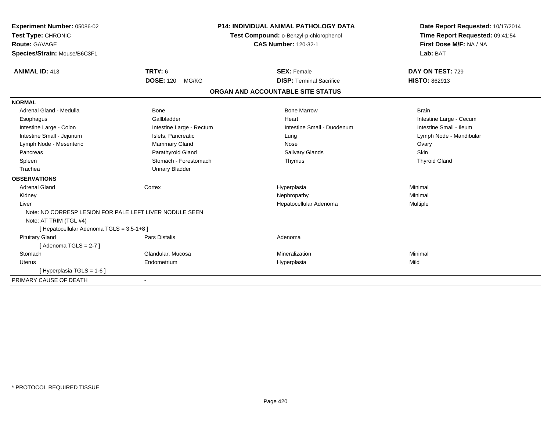| Experiment Number: 05086-02                             |                           | <b>P14: INDIVIDUAL ANIMAL PATHOLOGY DATA</b> | Date Report Requested: 10/17/2014 |
|---------------------------------------------------------|---------------------------|----------------------------------------------|-----------------------------------|
| Test Type: CHRONIC                                      |                           | Test Compound: o-Benzyl-p-chlorophenol       | Time Report Requested: 09:41:54   |
| Route: GAVAGE                                           |                           | <b>CAS Number: 120-32-1</b>                  | First Dose M/F: NA / NA           |
| Species/Strain: Mouse/B6C3F1                            |                           |                                              | Lab: BAT                          |
| <b>ANIMAL ID: 413</b>                                   | <b>TRT#: 6</b>            | <b>SEX: Female</b>                           | DAY ON TEST: 729                  |
|                                                         | <b>DOSE: 120</b><br>MG/KG | <b>DISP: Terminal Sacrifice</b>              | HISTO: 862913                     |
|                                                         |                           | ORGAN AND ACCOUNTABLE SITE STATUS            |                                   |
| <b>NORMAL</b>                                           |                           |                                              |                                   |
| Adrenal Gland - Medulla                                 | Bone                      | <b>Bone Marrow</b>                           | <b>Brain</b>                      |
| Esophagus                                               | Gallbladder               | Heart                                        | Intestine Large - Cecum           |
| Intestine Large - Colon                                 | Intestine Large - Rectum  | Intestine Small - Duodenum                   | Intestine Small - Ileum           |
| Intestine Small - Jejunum                               | Islets, Pancreatic        | Lung                                         | Lymph Node - Mandibular           |
| Lymph Node - Mesenteric                                 | <b>Mammary Gland</b>      | Nose                                         | Ovary                             |
| Pancreas                                                | Parathyroid Gland         | <b>Salivary Glands</b>                       | <b>Skin</b>                       |
| Spleen                                                  | Stomach - Forestomach     | Thymus                                       | <b>Thyroid Gland</b>              |
| Trachea                                                 | <b>Urinary Bladder</b>    |                                              |                                   |
| <b>OBSERVATIONS</b>                                     |                           |                                              |                                   |
| <b>Adrenal Gland</b>                                    | Cortex                    | Hyperplasia                                  | Minimal                           |
| Kidney                                                  |                           | Nephropathy                                  | Minimal                           |
| Liver                                                   |                           | Hepatocellular Adenoma                       | Multiple                          |
| Note: NO CORRESP LESION FOR PALE LEFT LIVER NODULE SEEN |                           |                                              |                                   |
| Note: AT TRIM (TGL #4)                                  |                           |                                              |                                   |
| [ Hepatocellular Adenoma TGLS = 3,5-1+8 ]               |                           |                                              |                                   |
| <b>Pituitary Gland</b>                                  | Pars Distalis             | Adenoma                                      |                                   |
| [Adenoma TGLS = $2-7$ ]                                 |                           |                                              |                                   |
| Stomach                                                 | Glandular, Mucosa         | Mineralization                               | Minimal                           |
| Uterus                                                  | Endometrium               | Hyperplasia                                  | Mild                              |
| [ Hyperplasia TGLS = 1-6 ]                              |                           |                                              |                                   |
| PRIMARY CAUSE OF DEATH                                  |                           |                                              |                                   |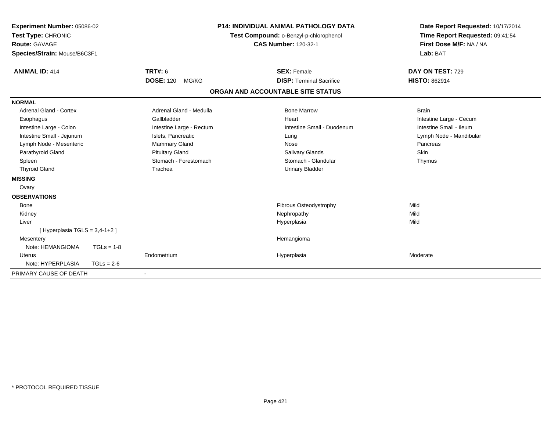| Experiment Number: 05086-02<br>Test Type: CHRONIC<br>Route: GAVAGE<br>Species/Strain: Mouse/B6C3F1<br><b>ANIMAL ID: 414</b><br>TRT#: 6 |              | <b>P14: INDIVIDUAL ANIMAL PATHOLOGY DATA</b><br>Test Compound: o-Benzyl-p-chlorophenol<br><b>CAS Number: 120-32-1</b><br><b>SEX: Female</b> |  | Date Report Requested: 10/17/2014<br>Time Report Requested: 09:41:54<br>First Dose M/F: NA / NA<br>Lab: BAT<br>DAY ON TEST: 729 |                         |
|----------------------------------------------------------------------------------------------------------------------------------------|--------------|---------------------------------------------------------------------------------------------------------------------------------------------|--|---------------------------------------------------------------------------------------------------------------------------------|-------------------------|
|                                                                                                                                        |              | <b>DOSE: 120</b><br>MG/KG                                                                                                                   |  | <b>DISP: Terminal Sacrifice</b>                                                                                                 | <b>HISTO: 862914</b>    |
|                                                                                                                                        |              |                                                                                                                                             |  | ORGAN AND ACCOUNTABLE SITE STATUS                                                                                               |                         |
| <b>NORMAL</b>                                                                                                                          |              |                                                                                                                                             |  |                                                                                                                                 |                         |
| <b>Adrenal Gland - Cortex</b>                                                                                                          |              | Adrenal Gland - Medulla                                                                                                                     |  | <b>Bone Marrow</b>                                                                                                              | <b>Brain</b>            |
| Esophagus                                                                                                                              |              | Gallbladder                                                                                                                                 |  | Heart                                                                                                                           | Intestine Large - Cecum |
| Intestine Large - Colon                                                                                                                |              | Intestine Large - Rectum                                                                                                                    |  | Intestine Small - Duodenum                                                                                                      | Intestine Small - Ileum |
| Intestine Small - Jejunum                                                                                                              |              | Islets, Pancreatic                                                                                                                          |  | Lung                                                                                                                            | Lymph Node - Mandibular |
| Lymph Node - Mesenteric                                                                                                                |              | <b>Mammary Gland</b>                                                                                                                        |  | Nose                                                                                                                            | Pancreas                |
| Parathyroid Gland                                                                                                                      |              | <b>Pituitary Gland</b>                                                                                                                      |  | <b>Salivary Glands</b>                                                                                                          | Skin                    |
| Spleen                                                                                                                                 |              | Stomach - Forestomach                                                                                                                       |  | Stomach - Glandular                                                                                                             | Thymus                  |
| <b>Thyroid Gland</b>                                                                                                                   |              | Trachea                                                                                                                                     |  | <b>Urinary Bladder</b>                                                                                                          |                         |
| <b>MISSING</b>                                                                                                                         |              |                                                                                                                                             |  |                                                                                                                                 |                         |
| Ovary                                                                                                                                  |              |                                                                                                                                             |  |                                                                                                                                 |                         |
| <b>OBSERVATIONS</b>                                                                                                                    |              |                                                                                                                                             |  |                                                                                                                                 |                         |
| <b>Bone</b>                                                                                                                            |              |                                                                                                                                             |  | <b>Fibrous Osteodystrophy</b>                                                                                                   | Mild                    |
| Kidney                                                                                                                                 |              |                                                                                                                                             |  | Nephropathy                                                                                                                     | Mild                    |
| Liver                                                                                                                                  |              |                                                                                                                                             |  | Hyperplasia                                                                                                                     | Mild                    |
| [Hyperplasia TGLS = $3,4-1+2$ ]                                                                                                        |              |                                                                                                                                             |  |                                                                                                                                 |                         |
| Mesentery                                                                                                                              |              |                                                                                                                                             |  | Hemangioma                                                                                                                      |                         |
| Note: HEMANGIOMA                                                                                                                       | $TGLs = 1-8$ |                                                                                                                                             |  |                                                                                                                                 |                         |
| <b>Uterus</b>                                                                                                                          |              | Endometrium                                                                                                                                 |  | Hyperplasia                                                                                                                     | Moderate                |
| Note: HYPERPLASIA                                                                                                                      | $TGLs = 2-6$ |                                                                                                                                             |  |                                                                                                                                 |                         |
| PRIMARY CAUSE OF DEATH                                                                                                                 |              |                                                                                                                                             |  |                                                                                                                                 |                         |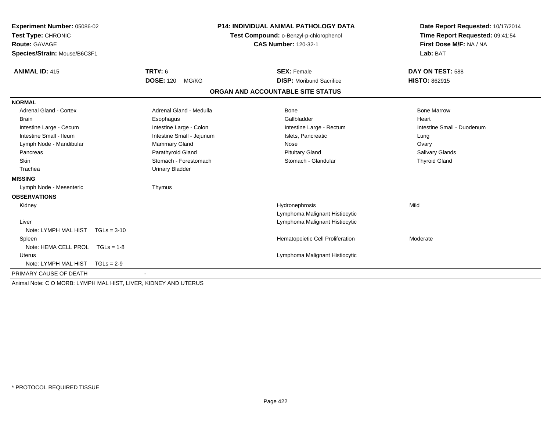| Experiment Number: 05086-02                                     |                           | <b>P14: INDIVIDUAL ANIMAL PATHOLOGY DATA</b> | Date Report Requested: 10/17/2014 |
|-----------------------------------------------------------------|---------------------------|----------------------------------------------|-----------------------------------|
| Test Type: CHRONIC                                              |                           | Test Compound: o-Benzyl-p-chlorophenol       | Time Report Requested: 09:41:54   |
| <b>Route: GAVAGE</b>                                            |                           | <b>CAS Number: 120-32-1</b>                  | First Dose M/F: NA / NA           |
| Species/Strain: Mouse/B6C3F1                                    |                           |                                              | Lab: BAT                          |
|                                                                 |                           |                                              |                                   |
| <b>ANIMAL ID: 415</b>                                           | <b>TRT#: 6</b>            | <b>SEX: Female</b>                           | DAY ON TEST: 588                  |
|                                                                 | <b>DOSE: 120</b><br>MG/KG | <b>DISP:</b> Moribund Sacrifice              | <b>HISTO: 862915</b>              |
|                                                                 |                           | ORGAN AND ACCOUNTABLE SITE STATUS            |                                   |
| <b>NORMAL</b>                                                   |                           |                                              |                                   |
| <b>Adrenal Gland - Cortex</b>                                   | Adrenal Gland - Medulla   | Bone                                         | <b>Bone Marrow</b>                |
| <b>Brain</b>                                                    | Esophagus                 | Gallbladder                                  | Heart                             |
| Intestine Large - Cecum                                         | Intestine Large - Colon   | Intestine Large - Rectum                     | Intestine Small - Duodenum        |
| Intestine Small - Ileum                                         | Intestine Small - Jejunum | Islets, Pancreatic                           | Lung                              |
| Lymph Node - Mandibular                                         | Mammary Gland             | Nose                                         | Ovary                             |
| Pancreas                                                        | Parathyroid Gland         | <b>Pituitary Gland</b>                       | <b>Salivary Glands</b>            |
| Skin                                                            | Stomach - Forestomach     | Stomach - Glandular                          | <b>Thyroid Gland</b>              |
| Trachea                                                         | <b>Urinary Bladder</b>    |                                              |                                   |
| <b>MISSING</b>                                                  |                           |                                              |                                   |
| Lymph Node - Mesenteric                                         | Thymus                    |                                              |                                   |
| <b>OBSERVATIONS</b>                                             |                           |                                              |                                   |
| Kidney                                                          |                           | Hydronephrosis                               | Mild                              |
|                                                                 |                           | Lymphoma Malignant Histiocytic               |                                   |
| Liver                                                           |                           | Lymphoma Malignant Histiocytic               |                                   |
| Note: LYMPH MAL HIST TGLs = 3-10                                |                           |                                              |                                   |
| Spleen                                                          |                           | Hematopoietic Cell Proliferation             | Moderate                          |
| Note: HEMA CELL PROL TGLs = 1-8                                 |                           |                                              |                                   |
| <b>Uterus</b>                                                   |                           | Lymphoma Malignant Histiocytic               |                                   |
| Note: LYMPH MAL HIST<br>$TGLs = 2-9$                            |                           |                                              |                                   |
| PRIMARY CAUSE OF DEATH                                          |                           |                                              |                                   |
| Animal Note: C O MORB: LYMPH MAL HIST, LIVER, KIDNEY AND UTERUS |                           |                                              |                                   |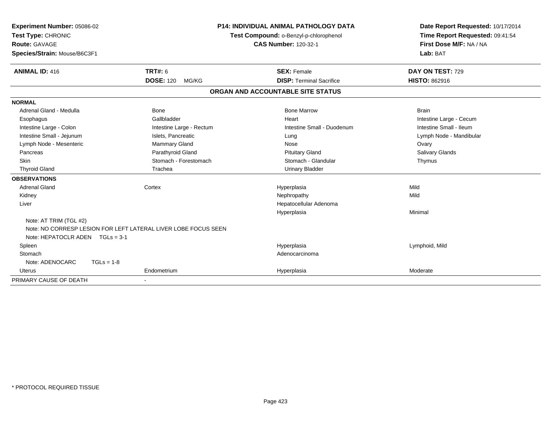| Experiment Number: 05086-02<br>Test Type: CHRONIC |                                                                | <b>P14: INDIVIDUAL ANIMAL PATHOLOGY DATA</b><br>Test Compound: o-Benzyl-p-chlorophenol | Date Report Requested: 10/17/2014<br>Time Report Requested: 09:41:54 |
|---------------------------------------------------|----------------------------------------------------------------|----------------------------------------------------------------------------------------|----------------------------------------------------------------------|
| Route: GAVAGE                                     |                                                                | <b>CAS Number: 120-32-1</b>                                                            | First Dose M/F: NA / NA                                              |
| Species/Strain: Mouse/B6C3F1                      |                                                                |                                                                                        | Lab: BAT                                                             |
| <b>ANIMAL ID: 416</b>                             | <b>TRT#: 6</b>                                                 | <b>SEX: Female</b>                                                                     | DAY ON TEST: 729                                                     |
|                                                   | <b>DOSE: 120</b><br>MG/KG                                      | <b>DISP: Terminal Sacrifice</b>                                                        | <b>HISTO: 862916</b>                                                 |
|                                                   |                                                                | ORGAN AND ACCOUNTABLE SITE STATUS                                                      |                                                                      |
| <b>NORMAL</b>                                     |                                                                |                                                                                        |                                                                      |
| Adrenal Gland - Medulla                           | <b>Bone</b>                                                    | <b>Bone Marrow</b>                                                                     | <b>Brain</b>                                                         |
| Esophagus                                         | Gallbladder                                                    | Heart                                                                                  | Intestine Large - Cecum                                              |
| Intestine Large - Colon                           | Intestine Large - Rectum                                       | Intestine Small - Duodenum                                                             | Intestine Small - Ileum                                              |
| Intestine Small - Jejunum                         | Islets, Pancreatic                                             | Lung                                                                                   | Lymph Node - Mandibular                                              |
| Lymph Node - Mesenteric                           | <b>Mammary Gland</b>                                           | Nose                                                                                   | Ovary                                                                |
| Pancreas                                          | Parathyroid Gland                                              | <b>Pituitary Gland</b>                                                                 | <b>Salivary Glands</b>                                               |
| <b>Skin</b>                                       | Stomach - Forestomach                                          | Stomach - Glandular                                                                    | Thymus                                                               |
| <b>Thyroid Gland</b>                              | Trachea                                                        | <b>Urinary Bladder</b>                                                                 |                                                                      |
| <b>OBSERVATIONS</b>                               |                                                                |                                                                                        |                                                                      |
| <b>Adrenal Gland</b>                              | Cortex                                                         | Hyperplasia                                                                            | Mild                                                                 |
| Kidney                                            |                                                                | Nephropathy                                                                            | Mild                                                                 |
| Liver                                             |                                                                | Hepatocellular Adenoma                                                                 |                                                                      |
|                                                   |                                                                | Hyperplasia                                                                            | Minimal                                                              |
| Note: AT TRIM (TGL #2)                            |                                                                |                                                                                        |                                                                      |
|                                                   | Note: NO CORRESP LESION FOR LEFT LATERAL LIVER LOBE FOCUS SEEN |                                                                                        |                                                                      |
| Note: HEPATOCLR ADEN $TGLs = 3-1$                 |                                                                |                                                                                        |                                                                      |
| Spleen                                            |                                                                | Hyperplasia                                                                            | Lymphoid, Mild                                                       |
| Stomach                                           |                                                                | Adenocarcinoma                                                                         |                                                                      |
| Note: ADENOCARC<br>$TGLs = 1-8$                   |                                                                |                                                                                        |                                                                      |
| <b>Uterus</b>                                     | Endometrium                                                    | Hyperplasia                                                                            | Moderate                                                             |
| PRIMARY CAUSE OF DEATH                            |                                                                |                                                                                        |                                                                      |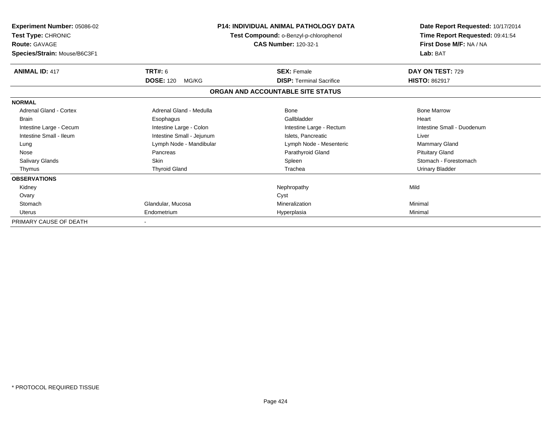| Experiment Number: 05086-02<br>Test Type: CHRONIC<br><b>Route: GAVAGE</b><br>Species/Strain: Mouse/B6C3F1 | <b>P14: INDIVIDUAL ANIMAL PATHOLOGY DATA</b><br>Test Compound: o-Benzyl-p-chlorophenol<br><b>CAS Number: 120-32-1</b> |                                   | Date Report Requested: 10/17/2014<br>Time Report Requested: 09:41:54<br>First Dose M/F: NA / NA<br>Lab: BAT |
|-----------------------------------------------------------------------------------------------------------|-----------------------------------------------------------------------------------------------------------------------|-----------------------------------|-------------------------------------------------------------------------------------------------------------|
| <b>ANIMAL ID: 417</b>                                                                                     | TRT#: 6                                                                                                               | <b>SEX: Female</b>                | DAY ON TEST: 729                                                                                            |
|                                                                                                           | <b>DOSE: 120</b><br>MG/KG                                                                                             | <b>DISP: Terminal Sacrifice</b>   | <b>HISTO: 862917</b>                                                                                        |
|                                                                                                           |                                                                                                                       | ORGAN AND ACCOUNTABLE SITE STATUS |                                                                                                             |
| <b>NORMAL</b>                                                                                             |                                                                                                                       |                                   |                                                                                                             |
| <b>Adrenal Gland - Cortex</b>                                                                             | Adrenal Gland - Medulla                                                                                               | Bone                              | <b>Bone Marrow</b>                                                                                          |
| <b>Brain</b>                                                                                              | Esophagus                                                                                                             | Gallbladder                       | Heart                                                                                                       |
| Intestine Large - Cecum                                                                                   | Intestine Large - Colon                                                                                               | Intestine Large - Rectum          | Intestine Small - Duodenum                                                                                  |
| Intestine Small - Ileum                                                                                   | Intestine Small - Jejunum                                                                                             | Islets, Pancreatic                | Liver                                                                                                       |
| Lung                                                                                                      | Lymph Node - Mandibular                                                                                               | Lymph Node - Mesenteric           | <b>Mammary Gland</b>                                                                                        |
| Nose                                                                                                      | Pancreas                                                                                                              | Parathyroid Gland                 | <b>Pituitary Gland</b>                                                                                      |
| Salivary Glands                                                                                           | Skin                                                                                                                  | Spleen                            | Stomach - Forestomach                                                                                       |
| Thymus                                                                                                    | <b>Thyroid Gland</b>                                                                                                  | Trachea                           | Urinary Bladder                                                                                             |
| <b>OBSERVATIONS</b>                                                                                       |                                                                                                                       |                                   |                                                                                                             |
| Kidney                                                                                                    |                                                                                                                       | Nephropathy                       | Mild                                                                                                        |
| Ovary                                                                                                     |                                                                                                                       | Cyst                              |                                                                                                             |
| Stomach                                                                                                   | Glandular, Mucosa                                                                                                     | Mineralization                    | Minimal                                                                                                     |
| <b>Uterus</b>                                                                                             | Endometrium                                                                                                           | Hyperplasia                       | Minimal                                                                                                     |
| PRIMARY CAUSE OF DEATH                                                                                    |                                                                                                                       |                                   |                                                                                                             |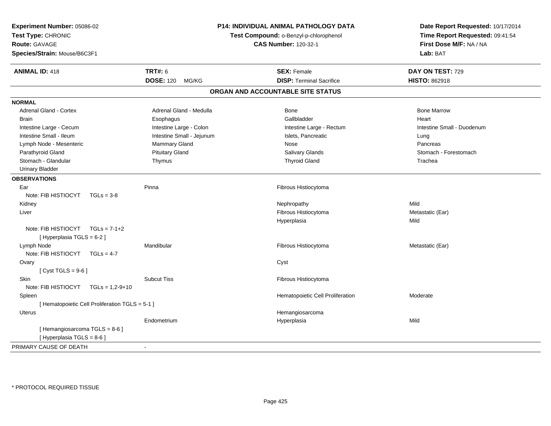| Experiment Number: 05086-02<br>Test Type: CHRONIC<br><b>Route: GAVAGE</b><br>Species/Strain: Mouse/B6C3F1 |                                                 | P14: INDIVIDUAL ANIMAL PATHOLOGY DATA<br>Test Compound: o-Benzyl-p-chlorophenol<br><b>CAS Number: 120-32-1</b> |                                   | Date Report Requested: 10/17/2014<br>Time Report Requested: 09:41:54<br>First Dose M/F: NA / NA<br>Lab: BAT |                            |
|-----------------------------------------------------------------------------------------------------------|-------------------------------------------------|----------------------------------------------------------------------------------------------------------------|-----------------------------------|-------------------------------------------------------------------------------------------------------------|----------------------------|
| <b>ANIMAL ID: 418</b>                                                                                     |                                                 | <b>TRT#: 6</b>                                                                                                 |                                   | <b>SEX: Female</b>                                                                                          | DAY ON TEST: 729           |
|                                                                                                           |                                                 | <b>DOSE: 120</b><br>MG/KG                                                                                      |                                   | <b>DISP: Terminal Sacrifice</b>                                                                             | <b>HISTO: 862918</b>       |
|                                                                                                           |                                                 |                                                                                                                | ORGAN AND ACCOUNTABLE SITE STATUS |                                                                                                             |                            |
| <b>NORMAL</b>                                                                                             |                                                 |                                                                                                                |                                   |                                                                                                             |                            |
| Adrenal Gland - Cortex                                                                                    |                                                 | Adrenal Gland - Medulla                                                                                        |                                   | <b>Bone</b>                                                                                                 | <b>Bone Marrow</b>         |
| <b>Brain</b>                                                                                              |                                                 | Esophagus                                                                                                      |                                   | Gallbladder                                                                                                 | Heart                      |
| Intestine Large - Cecum                                                                                   |                                                 | Intestine Large - Colon                                                                                        |                                   | Intestine Large - Rectum                                                                                    | Intestine Small - Duodenum |
| Intestine Small - Ileum                                                                                   |                                                 | Intestine Small - Jejunum                                                                                      |                                   | Islets, Pancreatic                                                                                          | Lung                       |
| Lymph Node - Mesenteric                                                                                   |                                                 | Mammary Gland                                                                                                  |                                   | Nose                                                                                                        | Pancreas                   |
| Parathyroid Gland                                                                                         |                                                 | <b>Pituitary Gland</b>                                                                                         |                                   | <b>Salivary Glands</b>                                                                                      | Stomach - Forestomach      |
| Stomach - Glandular                                                                                       |                                                 | Thymus                                                                                                         |                                   | <b>Thyroid Gland</b>                                                                                        | Trachea                    |
| <b>Urinary Bladder</b>                                                                                    |                                                 |                                                                                                                |                                   |                                                                                                             |                            |
| <b>OBSERVATIONS</b>                                                                                       |                                                 |                                                                                                                |                                   |                                                                                                             |                            |
| Ear                                                                                                       |                                                 | Pinna                                                                                                          |                                   | Fibrous Histiocytoma                                                                                        |                            |
| Note: FIB HISTIOCYT                                                                                       | $TGLs = 3-8$                                    |                                                                                                                |                                   |                                                                                                             |                            |
| Kidney                                                                                                    |                                                 |                                                                                                                |                                   | Nephropathy                                                                                                 | Mild                       |
| Liver                                                                                                     |                                                 |                                                                                                                |                                   | Fibrous Histiocytoma                                                                                        | Metastatic (Ear)           |
|                                                                                                           |                                                 |                                                                                                                |                                   | Hyperplasia                                                                                                 | Mild                       |
| Note: FIB HISTIOCYT $TGLs = 7-1+2$                                                                        |                                                 |                                                                                                                |                                   |                                                                                                             |                            |
| [ Hyperplasia TGLS = 6-2 ]                                                                                |                                                 |                                                                                                                |                                   |                                                                                                             |                            |
| Lymph Node                                                                                                |                                                 | Mandibular                                                                                                     |                                   | Fibrous Histiocytoma                                                                                        | Metastatic (Ear)           |
| Note: FIB HISTIOCYT TGLs = 4-7                                                                            |                                                 |                                                                                                                |                                   |                                                                                                             |                            |
| Ovary                                                                                                     |                                                 |                                                                                                                |                                   | Cyst                                                                                                        |                            |
| [Cyst TGLS = $9-6$ ]                                                                                      |                                                 |                                                                                                                |                                   |                                                                                                             |                            |
| <b>Skin</b>                                                                                               |                                                 | <b>Subcut Tiss</b>                                                                                             |                                   | Fibrous Histiocytoma                                                                                        |                            |
| Note: FIB HISTIOCYT TGLs = 1,2-9+10                                                                       |                                                 |                                                                                                                |                                   |                                                                                                             |                            |
| Spleen                                                                                                    |                                                 |                                                                                                                |                                   | Hematopoietic Cell Proliferation                                                                            | Moderate                   |
|                                                                                                           | [ Hematopoietic Cell Proliferation TGLS = 5-1 ] |                                                                                                                |                                   |                                                                                                             |                            |
| <b>Uterus</b>                                                                                             |                                                 |                                                                                                                |                                   | Hemangiosarcoma                                                                                             |                            |
|                                                                                                           |                                                 | Endometrium                                                                                                    |                                   | Hyperplasia                                                                                                 | Mild                       |
| [Hemangiosarcoma TGLS = 8-6]                                                                              |                                                 |                                                                                                                |                                   |                                                                                                             |                            |
| [ Hyperplasia TGLS = 8-6 ]                                                                                |                                                 |                                                                                                                |                                   |                                                                                                             |                            |
| PRIMARY CAUSE OF DEATH                                                                                    |                                                 | $\sim$                                                                                                         |                                   |                                                                                                             |                            |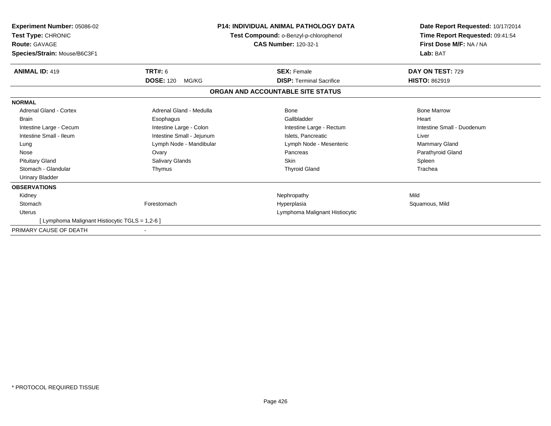| <b>Experiment Number: 05086-02</b><br>Test Type: CHRONIC<br><b>Route: GAVAGE</b><br>Species/Strain: Mouse/B6C3F1 | <b>P14: INDIVIDUAL ANIMAL PATHOLOGY DATA</b><br>Test Compound: o-Benzyl-p-chlorophenol<br><b>CAS Number: 120-32-1</b> |                                   | Date Report Requested: 10/17/2014<br>Time Report Requested: 09:41:54<br>First Dose M/F: NA / NA<br>Lab: BAT |
|------------------------------------------------------------------------------------------------------------------|-----------------------------------------------------------------------------------------------------------------------|-----------------------------------|-------------------------------------------------------------------------------------------------------------|
| <b>ANIMAL ID: 419</b>                                                                                            | TRT#: 6                                                                                                               | <b>SEX: Female</b>                | DAY ON TEST: 729                                                                                            |
|                                                                                                                  | <b>DOSE: 120</b><br>MG/KG                                                                                             | <b>DISP: Terminal Sacrifice</b>   | <b>HISTO: 862919</b>                                                                                        |
|                                                                                                                  |                                                                                                                       | ORGAN AND ACCOUNTABLE SITE STATUS |                                                                                                             |
| <b>NORMAL</b>                                                                                                    |                                                                                                                       |                                   |                                                                                                             |
| <b>Adrenal Gland - Cortex</b>                                                                                    | Adrenal Gland - Medulla                                                                                               | Bone                              | <b>Bone Marrow</b>                                                                                          |
| <b>Brain</b>                                                                                                     | Esophagus                                                                                                             | Gallbladder                       | Heart                                                                                                       |
| Intestine Large - Cecum                                                                                          | Intestine Large - Colon                                                                                               | Intestine Large - Rectum          | Intestine Small - Duodenum                                                                                  |
| Intestine Small - Ileum                                                                                          | Intestine Small - Jejunum                                                                                             | Islets, Pancreatic                | Liver                                                                                                       |
| Lung                                                                                                             | Lymph Node - Mandibular                                                                                               | Lymph Node - Mesenteric           | Mammary Gland                                                                                               |
| Nose                                                                                                             | Ovary                                                                                                                 | Pancreas                          | Parathyroid Gland                                                                                           |
| <b>Pituitary Gland</b>                                                                                           | Salivary Glands                                                                                                       | <b>Skin</b>                       | Spleen                                                                                                      |
| Stomach - Glandular                                                                                              | Thymus                                                                                                                | <b>Thyroid Gland</b>              | Trachea                                                                                                     |
| <b>Urinary Bladder</b>                                                                                           |                                                                                                                       |                                   |                                                                                                             |
| <b>OBSERVATIONS</b>                                                                                              |                                                                                                                       |                                   |                                                                                                             |
| Kidney                                                                                                           |                                                                                                                       | Nephropathy                       | Mild                                                                                                        |
| Stomach                                                                                                          | Forestomach                                                                                                           | Hyperplasia                       | Squamous, Mild                                                                                              |
| <b>Uterus</b>                                                                                                    |                                                                                                                       | Lymphoma Malignant Histiocytic    |                                                                                                             |
| [ Lymphoma Malignant Histiocytic TGLS = 1,2-6 ]                                                                  |                                                                                                                       |                                   |                                                                                                             |
| PRIMARY CAUSE OF DEATH                                                                                           |                                                                                                                       |                                   |                                                                                                             |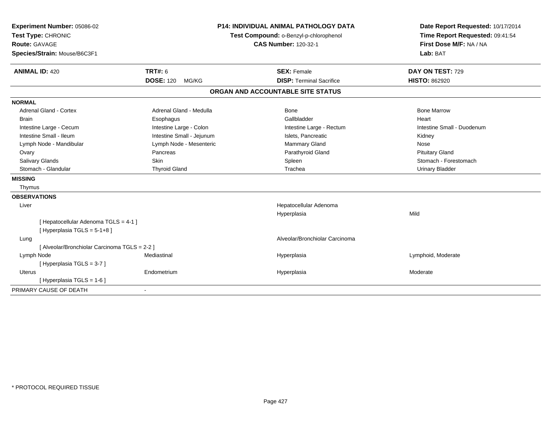| Experiment Number: 05086-02                   |                           | <b>P14: INDIVIDUAL ANIMAL PATHOLOGY DATA</b> | Date Report Requested: 10/17/2014 |  |
|-----------------------------------------------|---------------------------|----------------------------------------------|-----------------------------------|--|
| Test Type: CHRONIC                            |                           | Test Compound: o-Benzyl-p-chlorophenol       | Time Report Requested: 09:41:54   |  |
| <b>Route: GAVAGE</b>                          |                           | <b>CAS Number: 120-32-1</b>                  | First Dose M/F: NA / NA           |  |
| Species/Strain: Mouse/B6C3F1                  |                           |                                              | Lab: BAT                          |  |
| <b>ANIMAL ID: 420</b>                         | <b>TRT#: 6</b>            | <b>SEX: Female</b>                           | DAY ON TEST: 729                  |  |
|                                               | <b>DOSE: 120</b><br>MG/KG | <b>DISP: Terminal Sacrifice</b>              | <b>HISTO: 862920</b>              |  |
|                                               |                           | ORGAN AND ACCOUNTABLE SITE STATUS            |                                   |  |
| <b>NORMAL</b>                                 |                           |                                              |                                   |  |
| <b>Adrenal Gland - Cortex</b>                 | Adrenal Gland - Medulla   | Bone                                         | <b>Bone Marrow</b>                |  |
| <b>Brain</b>                                  | Esophagus                 | Gallbladder                                  | Heart                             |  |
| Intestine Large - Cecum                       | Intestine Large - Colon   | Intestine Large - Rectum                     | Intestine Small - Duodenum        |  |
| Intestine Small - Ileum                       | Intestine Small - Jejunum | Islets. Pancreatic                           | Kidney                            |  |
| Lymph Node - Mandibular                       | Lymph Node - Mesenteric   | Mammary Gland                                | Nose                              |  |
| Ovary                                         | Pancreas                  | Parathyroid Gland                            | <b>Pituitary Gland</b>            |  |
| <b>Salivary Glands</b>                        | Skin                      | Spleen                                       | Stomach - Forestomach             |  |
| Stomach - Glandular                           | <b>Thyroid Gland</b>      | Trachea                                      | <b>Urinary Bladder</b>            |  |
| <b>MISSING</b>                                |                           |                                              |                                   |  |
| Thymus                                        |                           |                                              |                                   |  |
| <b>OBSERVATIONS</b>                           |                           |                                              |                                   |  |
| Liver                                         |                           | Hepatocellular Adenoma                       |                                   |  |
|                                               |                           | Hyperplasia                                  | Mild                              |  |
| [ Hepatocellular Adenoma TGLS = 4-1 ]         |                           |                                              |                                   |  |
| [Hyperplasia TGLS = $5-1+8$ ]                 |                           |                                              |                                   |  |
| Lung                                          |                           | Alveolar/Bronchiolar Carcinoma               |                                   |  |
| [ Alveolar/Bronchiolar Carcinoma TGLS = 2-2 ] |                           |                                              |                                   |  |
| Lymph Node                                    | Mediastinal               | Hyperplasia                                  | Lymphoid, Moderate                |  |
| [Hyperplasia TGLS = 3-7]                      |                           |                                              |                                   |  |
| Uterus                                        | Endometrium               | Hyperplasia                                  | Moderate                          |  |
| [ Hyperplasia TGLS = 1-6 ]                    |                           |                                              |                                   |  |
| PRIMARY CAUSE OF DEATH                        | $\blacksquare$            |                                              |                                   |  |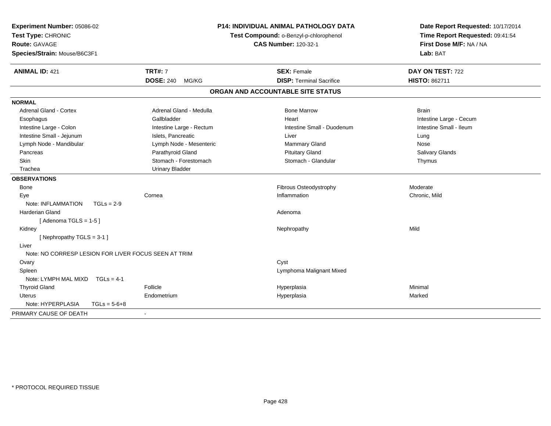| Experiment Number: 05086-02<br>Test Type: CHRONIC<br>Route: GAVAGE<br>Species/Strain: Mouse/B6C3F1 |                           | <b>P14: INDIVIDUAL ANIMAL PATHOLOGY DATA</b><br>Test Compound: o-Benzyl-p-chlorophenol<br><b>CAS Number: 120-32-1</b> | Date Report Requested: 10/17/2014<br>Time Report Requested: 09:41:54<br>First Dose M/F: NA / NA<br>Lab: BAT |  |
|----------------------------------------------------------------------------------------------------|---------------------------|-----------------------------------------------------------------------------------------------------------------------|-------------------------------------------------------------------------------------------------------------|--|
| <b>ANIMAL ID: 421</b>                                                                              | <b>TRT#: 7</b>            | <b>SEX: Female</b>                                                                                                    | DAY ON TEST: 722                                                                                            |  |
|                                                                                                    | <b>DOSE: 240</b><br>MG/KG | <b>DISP: Terminal Sacrifice</b>                                                                                       | <b>HISTO: 862711</b>                                                                                        |  |
|                                                                                                    |                           | ORGAN AND ACCOUNTABLE SITE STATUS                                                                                     |                                                                                                             |  |
| <b>NORMAL</b>                                                                                      |                           |                                                                                                                       |                                                                                                             |  |
| Adrenal Gland - Cortex                                                                             | Adrenal Gland - Medulla   | <b>Bone Marrow</b>                                                                                                    | <b>Brain</b>                                                                                                |  |
| Esophagus                                                                                          | Gallbladder               | Heart                                                                                                                 | Intestine Large - Cecum                                                                                     |  |
| Intestine Large - Colon                                                                            | Intestine Large - Rectum  | Intestine Small - Duodenum                                                                                            | Intestine Small - Ileum                                                                                     |  |
| Intestine Small - Jejunum                                                                          | Islets, Pancreatic        | Liver                                                                                                                 | Lung                                                                                                        |  |
| Lymph Node - Mandibular                                                                            | Lymph Node - Mesenteric   | <b>Mammary Gland</b>                                                                                                  | Nose                                                                                                        |  |
| Pancreas                                                                                           | Parathyroid Gland         | <b>Pituitary Gland</b>                                                                                                | Salivary Glands                                                                                             |  |
| Skin                                                                                               | Stomach - Forestomach     | Stomach - Glandular                                                                                                   | Thymus                                                                                                      |  |
| Trachea                                                                                            | <b>Urinary Bladder</b>    |                                                                                                                       |                                                                                                             |  |
| <b>OBSERVATIONS</b>                                                                                |                           |                                                                                                                       |                                                                                                             |  |
| <b>Bone</b>                                                                                        |                           | Fibrous Osteodystrophy                                                                                                | Moderate                                                                                                    |  |
| Eye                                                                                                | Cornea                    | Inflammation                                                                                                          | Chronic, Mild                                                                                               |  |
| Note: INFLAMMATION<br>$TGLs = 2-9$                                                                 |                           |                                                                                                                       |                                                                                                             |  |
| <b>Harderian Gland</b>                                                                             |                           | Adenoma                                                                                                               |                                                                                                             |  |
| [Adenoma TGLS = $1-5$ ]                                                                            |                           |                                                                                                                       |                                                                                                             |  |
| Kidney                                                                                             |                           | Nephropathy                                                                                                           | Mild                                                                                                        |  |
| [Nephropathy TGLS = 3-1]                                                                           |                           |                                                                                                                       |                                                                                                             |  |
| Liver                                                                                              |                           |                                                                                                                       |                                                                                                             |  |
| Note: NO CORRESP LESION FOR LIVER FOCUS SEEN AT TRIM                                               |                           |                                                                                                                       |                                                                                                             |  |
| Ovary                                                                                              |                           | Cyst                                                                                                                  |                                                                                                             |  |
| Spleen                                                                                             |                           | Lymphoma Malignant Mixed                                                                                              |                                                                                                             |  |
| Note: LYMPH MAL MIXD<br>$TGLs = 4-1$                                                               |                           |                                                                                                                       |                                                                                                             |  |
| <b>Thyroid Gland</b>                                                                               | Follicle                  | Hyperplasia                                                                                                           | Minimal                                                                                                     |  |
| <b>Uterus</b>                                                                                      | Endometrium               | Hyperplasia                                                                                                           | Marked                                                                                                      |  |
| Note: HYPERPLASIA<br>$TGLs = 5-6+8$                                                                |                           |                                                                                                                       |                                                                                                             |  |
| PRIMARY CAUSE OF DEATH                                                                             |                           |                                                                                                                       |                                                                                                             |  |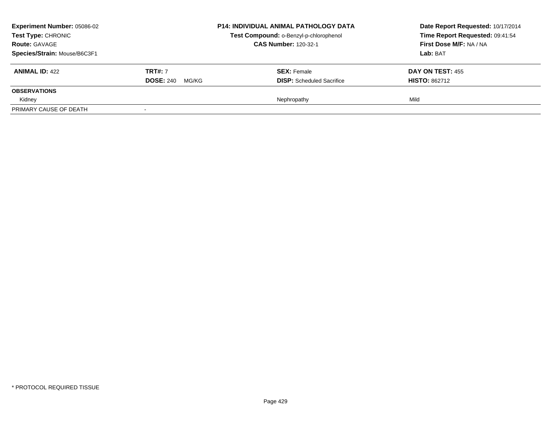| <b>Experiment Number: 05086-02</b><br>Test Type: CHRONIC<br><b>Route: GAVAGE</b><br>Species/Strain: Mouse/B6C3F1 |                           | <b>P14: INDIVIDUAL ANIMAL PATHOLOGY DATA</b><br>Test Compound: o-Benzyl-p-chlorophenol<br><b>CAS Number: 120-32-1</b> | Date Report Requested: 10/17/2014<br>Time Report Requested: 09:41:54<br>First Dose M/F: NA / NA<br>Lab: BAT |
|------------------------------------------------------------------------------------------------------------------|---------------------------|-----------------------------------------------------------------------------------------------------------------------|-------------------------------------------------------------------------------------------------------------|
| <b>ANIMAL ID: 422</b>                                                                                            | <b>TRT#:</b> 7            | <b>SEX:</b> Female                                                                                                    | <b>DAY ON TEST: 455</b>                                                                                     |
|                                                                                                                  | <b>DOSE: 240</b><br>MG/KG | <b>DISP:</b> Scheduled Sacrifice                                                                                      | <b>HISTO: 862712</b>                                                                                        |
| <b>OBSERVATIONS</b>                                                                                              |                           |                                                                                                                       |                                                                                                             |
| Kidney                                                                                                           |                           | Nephropathy                                                                                                           | Mild                                                                                                        |
| PRIMARY CAUSE OF DEATH                                                                                           |                           |                                                                                                                       |                                                                                                             |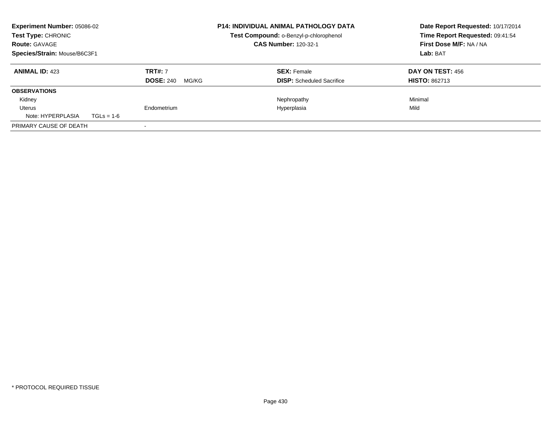| Experiment Number: 05086-02<br><b>Test Type: CHRONIC</b><br><b>Route: GAVAGE</b><br>Species/Strain: Mouse/B6C3F1 |              | <b>P14: INDIVIDUAL ANIMAL PATHOLOGY DATA</b><br>Test Compound: o-Benzyl-p-chlorophenol<br><b>CAS Number: 120-32-1</b> | Date Report Requested: 10/17/2014<br>Time Report Requested: 09:41:54<br>First Dose M/F: NA / NA<br>Lab: BAT |                                          |
|------------------------------------------------------------------------------------------------------------------|--------------|-----------------------------------------------------------------------------------------------------------------------|-------------------------------------------------------------------------------------------------------------|------------------------------------------|
| <b>ANIMAL ID: 423</b>                                                                                            |              | <b>TRT#: 7</b><br><b>DOSE: 240</b><br>MG/KG                                                                           | <b>SEX: Female</b><br><b>DISP:</b> Scheduled Sacrifice                                                      | DAY ON TEST: 456<br><b>HISTO: 862713</b> |
| <b>OBSERVATIONS</b>                                                                                              |              |                                                                                                                       |                                                                                                             |                                          |
| Kidney                                                                                                           |              |                                                                                                                       | Nephropathy                                                                                                 | Minimal                                  |
| Uterus                                                                                                           |              | Endometrium                                                                                                           | Hyperplasia                                                                                                 | Mild                                     |
| Note: HYPERPLASIA                                                                                                | $TGLs = 1-6$ |                                                                                                                       |                                                                                                             |                                          |
| PRIMARY CAUSE OF DEATH                                                                                           |              |                                                                                                                       |                                                                                                             |                                          |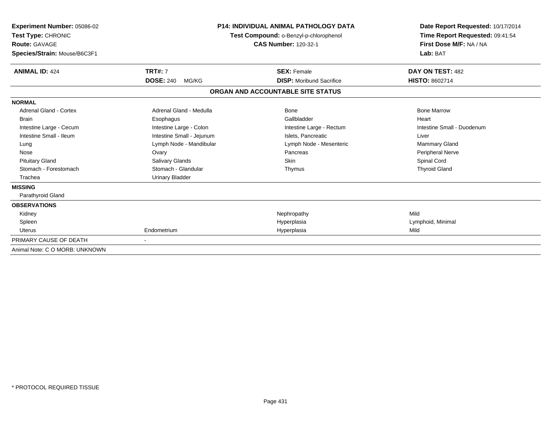| Experiment Number: 05086-02<br>Test Type: CHRONIC<br><b>Route: GAVAGE</b><br>Species/Strain: Mouse/B6C3F1 |                           | <b>P14: INDIVIDUAL ANIMAL PATHOLOGY DATA</b><br>Test Compound: o-Benzyl-p-chlorophenol<br><b>CAS Number: 120-32-1</b> | Date Report Requested: 10/17/2014<br>Time Report Requested: 09:41:54<br>First Dose M/F: NA / NA<br>Lab: BAT |  |
|-----------------------------------------------------------------------------------------------------------|---------------------------|-----------------------------------------------------------------------------------------------------------------------|-------------------------------------------------------------------------------------------------------------|--|
| <b>ANIMAL ID: 424</b>                                                                                     | <b>TRT#: 7</b>            | <b>SEX: Female</b>                                                                                                    | DAY ON TEST: 482                                                                                            |  |
|                                                                                                           | <b>DOSE: 240</b><br>MG/KG | <b>DISP:</b> Moribund Sacrifice                                                                                       | <b>HISTO: 8602714</b>                                                                                       |  |
|                                                                                                           |                           | ORGAN AND ACCOUNTABLE SITE STATUS                                                                                     |                                                                                                             |  |
| <b>NORMAL</b>                                                                                             |                           |                                                                                                                       |                                                                                                             |  |
| Adrenal Gland - Cortex                                                                                    | Adrenal Gland - Medulla   | <b>Bone</b>                                                                                                           | <b>Bone Marrow</b>                                                                                          |  |
| <b>Brain</b>                                                                                              | Esophagus                 | Gallbladder                                                                                                           | Heart                                                                                                       |  |
| Intestine Large - Cecum                                                                                   | Intestine Large - Colon   | Intestine Large - Rectum                                                                                              | Intestine Small - Duodenum                                                                                  |  |
| Intestine Small - Ileum                                                                                   | Intestine Small - Jejunum | Islets, Pancreatic                                                                                                    | Liver                                                                                                       |  |
| Lung                                                                                                      | Lymph Node - Mandibular   | Lymph Node - Mesenteric                                                                                               | <b>Mammary Gland</b>                                                                                        |  |
| Nose                                                                                                      | Ovary                     | Pancreas                                                                                                              | Peripheral Nerve                                                                                            |  |
| <b>Pituitary Gland</b>                                                                                    | Salivary Glands           | Skin                                                                                                                  | Spinal Cord                                                                                                 |  |
| Stomach - Forestomach                                                                                     | Stomach - Glandular       | Thymus                                                                                                                | <b>Thyroid Gland</b>                                                                                        |  |
| Trachea                                                                                                   | <b>Urinary Bladder</b>    |                                                                                                                       |                                                                                                             |  |
| <b>MISSING</b>                                                                                            |                           |                                                                                                                       |                                                                                                             |  |
| Parathyroid Gland                                                                                         |                           |                                                                                                                       |                                                                                                             |  |
| <b>OBSERVATIONS</b>                                                                                       |                           |                                                                                                                       |                                                                                                             |  |
| Kidney                                                                                                    |                           | Nephropathy                                                                                                           | Mild                                                                                                        |  |
| Spleen                                                                                                    |                           | Hyperplasia                                                                                                           | Lymphoid, Minimal                                                                                           |  |
| Uterus                                                                                                    | Endometrium               | Hyperplasia                                                                                                           | Mild                                                                                                        |  |
| PRIMARY CAUSE OF DEATH                                                                                    |                           |                                                                                                                       |                                                                                                             |  |
| Animal Note: C O MORB: UNKNOWN                                                                            |                           |                                                                                                                       |                                                                                                             |  |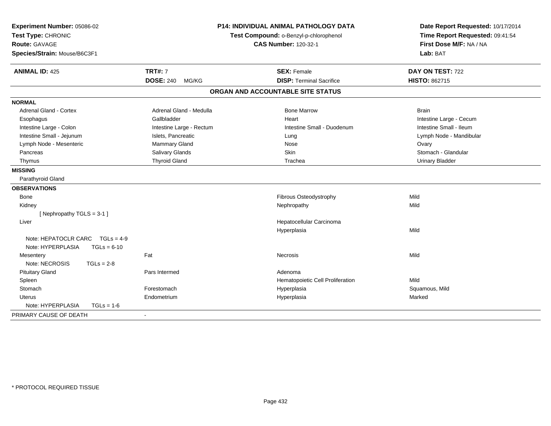| Experiment Number: 05086-02<br>Test Type: CHRONIC<br>Route: GAVAGE |                          |                                   | <b>P14: INDIVIDUAL ANIMAL PATHOLOGY DATA</b><br>Test Compound: o-Benzyl-p-chlorophenol<br><b>CAS Number: 120-32-1</b> | Date Report Requested: 10/17/2014<br>Time Report Requested: 09:41:54<br>First Dose M/F: NA / NA |  |
|--------------------------------------------------------------------|--------------------------|-----------------------------------|-----------------------------------------------------------------------------------------------------------------------|-------------------------------------------------------------------------------------------------|--|
| Species/Strain: Mouse/B6C3F1                                       |                          |                                   |                                                                                                                       | Lab: BAT                                                                                        |  |
| <b>ANIMAL ID: 425</b>                                              | <b>TRT#: 7</b>           |                                   | <b>SEX: Female</b>                                                                                                    | DAY ON TEST: 722                                                                                |  |
|                                                                    | <b>DOSE: 240</b>         | MG/KG                             | <b>DISP: Terminal Sacrifice</b>                                                                                       | HISTO: 862715                                                                                   |  |
|                                                                    |                          | ORGAN AND ACCOUNTABLE SITE STATUS |                                                                                                                       |                                                                                                 |  |
| <b>NORMAL</b>                                                      |                          |                                   |                                                                                                                       |                                                                                                 |  |
| <b>Adrenal Gland - Cortex</b>                                      | Adrenal Gland - Medulla  |                                   | <b>Bone Marrow</b>                                                                                                    | <b>Brain</b>                                                                                    |  |
| Esophagus                                                          | Gallbladder              |                                   | Heart                                                                                                                 | Intestine Large - Cecum                                                                         |  |
| Intestine Large - Colon                                            | Intestine Large - Rectum |                                   | Intestine Small - Duodenum                                                                                            | Intestine Small - Ileum                                                                         |  |
| Intestine Small - Jejunum                                          | Islets, Pancreatic       |                                   | Lung                                                                                                                  | Lymph Node - Mandibular                                                                         |  |
| Lymph Node - Mesenteric                                            | Mammary Gland            |                                   | Nose                                                                                                                  | Ovary                                                                                           |  |
| Pancreas                                                           | Salivary Glands          |                                   | Skin                                                                                                                  | Stomach - Glandular                                                                             |  |
| Thymus                                                             | <b>Thyroid Gland</b>     |                                   | Trachea                                                                                                               | <b>Urinary Bladder</b>                                                                          |  |
| <b>MISSING</b>                                                     |                          |                                   |                                                                                                                       |                                                                                                 |  |
| Parathyroid Gland                                                  |                          |                                   |                                                                                                                       |                                                                                                 |  |
| <b>OBSERVATIONS</b>                                                |                          |                                   |                                                                                                                       |                                                                                                 |  |
| Bone                                                               |                          |                                   | Fibrous Osteodystrophy                                                                                                | Mild                                                                                            |  |
| Kidney                                                             |                          |                                   | Nephropathy                                                                                                           | Mild                                                                                            |  |
| [Nephropathy TGLS = 3-1]                                           |                          |                                   |                                                                                                                       |                                                                                                 |  |
| Liver                                                              |                          |                                   | Hepatocellular Carcinoma                                                                                              |                                                                                                 |  |
|                                                                    |                          |                                   | Hyperplasia                                                                                                           | Mild                                                                                            |  |
| Note: HEPATOCLR CARC $TGLs = 4-9$                                  |                          |                                   |                                                                                                                       |                                                                                                 |  |
| Note: HYPERPLASIA                                                  | $TGLs = 6-10$            |                                   |                                                                                                                       |                                                                                                 |  |
| Mesentery                                                          | Fat                      |                                   | <b>Necrosis</b>                                                                                                       | Mild                                                                                            |  |
| Note: NECROSIS                                                     | $TGLs = 2-8$             |                                   |                                                                                                                       |                                                                                                 |  |
| <b>Pituitary Gland</b>                                             | Pars Intermed            |                                   | Adenoma                                                                                                               |                                                                                                 |  |
| Spleen                                                             |                          |                                   | Hematopoietic Cell Proliferation                                                                                      | Mild                                                                                            |  |
| Stomach                                                            | Forestomach              |                                   | Hyperplasia                                                                                                           | Squamous, Mild                                                                                  |  |
| Uterus                                                             | Endometrium              |                                   | Hyperplasia                                                                                                           | Marked                                                                                          |  |
| Note: HYPERPLASIA                                                  | $TGLs = 1-6$             |                                   |                                                                                                                       |                                                                                                 |  |
| PRIMARY CAUSE OF DEATH                                             |                          |                                   |                                                                                                                       |                                                                                                 |  |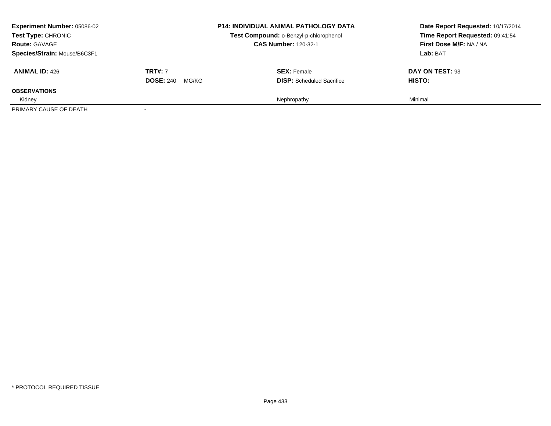| <b>Experiment Number: 05086-02</b><br>Test Type: CHRONIC<br><b>Route: GAVAGE</b><br>Species/Strain: Mouse/B6C3F1 |                                             | <b>P14: INDIVIDUAL ANIMAL PATHOLOGY DATA</b><br>Test Compound: o-Benzyl-p-chlorophenol<br><b>CAS Number: 120-32-1</b> | Date Report Requested: 10/17/2014<br>Time Report Requested: 09:41:54<br>First Dose M/F: NA / NA<br>Lab: BAT |
|------------------------------------------------------------------------------------------------------------------|---------------------------------------------|-----------------------------------------------------------------------------------------------------------------------|-------------------------------------------------------------------------------------------------------------|
| <b>ANIMAL ID: 426</b>                                                                                            | <b>TRT#: 7</b><br><b>DOSE: 240</b><br>MG/KG | <b>SEX:</b> Female<br><b>DISP:</b> Scheduled Sacrifice                                                                | DAY ON TEST: 93<br><b>HISTO:</b>                                                                            |
| <b>OBSERVATIONS</b>                                                                                              |                                             |                                                                                                                       |                                                                                                             |
| Kidney<br>PRIMARY CAUSE OF DEATH                                                                                 |                                             | Nephropathy                                                                                                           | Minimal                                                                                                     |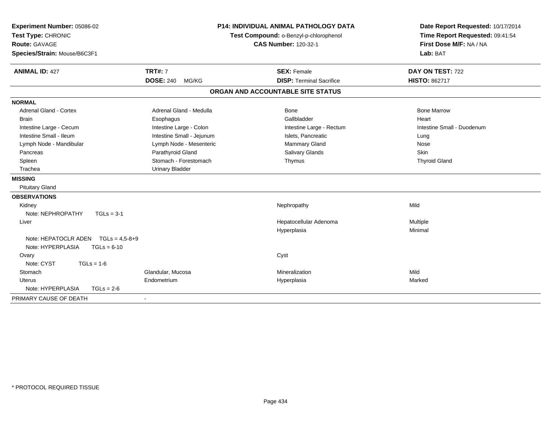| Experiment Number: 05086-02<br>Test Type: CHRONIC<br>Route: GAVAGE |                           | <b>P14: INDIVIDUAL ANIMAL PATHOLOGY DATA</b><br>Test Compound: o-Benzyl-p-chlorophenol<br><b>CAS Number: 120-32-1</b> | Date Report Requested: 10/17/2014<br>Time Report Requested: 09:41:54<br>First Dose M/F: NA / NA |
|--------------------------------------------------------------------|---------------------------|-----------------------------------------------------------------------------------------------------------------------|-------------------------------------------------------------------------------------------------|
| Species/Strain: Mouse/B6C3F1                                       |                           |                                                                                                                       | Lab: BAT                                                                                        |
| <b>ANIMAL ID: 427</b>                                              | <b>TRT#: 7</b>            | <b>SEX: Female</b>                                                                                                    | DAY ON TEST: 722                                                                                |
|                                                                    | <b>DOSE: 240</b><br>MG/KG | <b>DISP: Terminal Sacrifice</b>                                                                                       | <b>HISTO: 862717</b>                                                                            |
|                                                                    |                           | ORGAN AND ACCOUNTABLE SITE STATUS                                                                                     |                                                                                                 |
| <b>NORMAL</b>                                                      |                           |                                                                                                                       |                                                                                                 |
| <b>Adrenal Gland - Cortex</b>                                      | Adrenal Gland - Medulla   | <b>Bone</b>                                                                                                           | <b>Bone Marrow</b>                                                                              |
| <b>Brain</b>                                                       | Esophagus                 | Gallbladder                                                                                                           | Heart                                                                                           |
| Intestine Large - Cecum                                            | Intestine Large - Colon   | Intestine Large - Rectum                                                                                              | Intestine Small - Duodenum                                                                      |
| Intestine Small - Ileum                                            | Intestine Small - Jejunum | Islets, Pancreatic                                                                                                    | Lung                                                                                            |
| Lymph Node - Mandibular                                            | Lymph Node - Mesenteric   | Mammary Gland                                                                                                         | Nose                                                                                            |
| Pancreas                                                           | Parathyroid Gland         | Salivary Glands                                                                                                       | Skin                                                                                            |
| Spleen                                                             | Stomach - Forestomach     | Thymus                                                                                                                | <b>Thyroid Gland</b>                                                                            |
| Trachea                                                            | <b>Urinary Bladder</b>    |                                                                                                                       |                                                                                                 |
| <b>MISSING</b>                                                     |                           |                                                                                                                       |                                                                                                 |
| <b>Pituitary Gland</b>                                             |                           |                                                                                                                       |                                                                                                 |
| <b>OBSERVATIONS</b>                                                |                           |                                                                                                                       |                                                                                                 |
| Kidney                                                             |                           | Nephropathy                                                                                                           | Mild                                                                                            |
| Note: NEPHROPATHY<br>$TGLs = 3-1$                                  |                           |                                                                                                                       |                                                                                                 |
| Liver                                                              |                           | Hepatocellular Adenoma                                                                                                | Multiple                                                                                        |
|                                                                    |                           | Hyperplasia                                                                                                           | Minimal                                                                                         |
| Note: HEPATOCLR ADEN $TGLs = 4.5-8+9$                              |                           |                                                                                                                       |                                                                                                 |
| Note: HYPERPLASIA<br>$TGLs = 6-10$                                 |                           |                                                                                                                       |                                                                                                 |
| Ovary                                                              |                           | Cyst                                                                                                                  |                                                                                                 |
| Note: CYST<br>$TGLs = 1-6$                                         |                           |                                                                                                                       |                                                                                                 |
| Stomach                                                            | Glandular, Mucosa         | Mineralization                                                                                                        | Mild                                                                                            |
| <b>Uterus</b>                                                      | Endometrium               | Hyperplasia                                                                                                           | Marked                                                                                          |
| Note: HYPERPLASIA<br>$TGLs = 2-6$                                  |                           |                                                                                                                       |                                                                                                 |
| PRIMARY CAUSE OF DEATH                                             |                           |                                                                                                                       |                                                                                                 |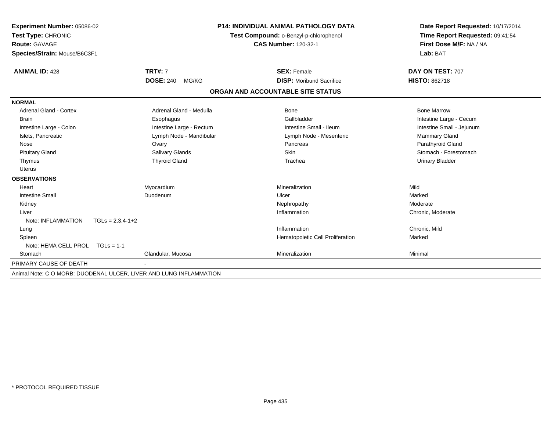| Experiment Number: 05086-02<br>Test Type: CHRONIC                  |                           | <b>P14: INDIVIDUAL ANIMAL PATHOLOGY DATA</b><br>Test Compound: o-Benzyl-p-chlorophenol | Date Report Requested: 10/17/2014<br>Time Report Requested: 09:41:54 |
|--------------------------------------------------------------------|---------------------------|----------------------------------------------------------------------------------------|----------------------------------------------------------------------|
| <b>Route: GAVAGE</b>                                               |                           | <b>CAS Number: 120-32-1</b>                                                            | First Dose M/F: NA / NA                                              |
| Species/Strain: Mouse/B6C3F1                                       |                           |                                                                                        | Lab: BAT                                                             |
| <b>ANIMAL ID: 428</b>                                              | <b>TRT#: 7</b>            | <b>SEX: Female</b>                                                                     | DAY ON TEST: 707                                                     |
|                                                                    | <b>DOSE: 240</b><br>MG/KG | <b>DISP:</b> Moribund Sacrifice                                                        | <b>HISTO: 862718</b>                                                 |
|                                                                    |                           | ORGAN AND ACCOUNTABLE SITE STATUS                                                      |                                                                      |
| <b>NORMAL</b>                                                      |                           |                                                                                        |                                                                      |
| <b>Adrenal Gland - Cortex</b>                                      | Adrenal Gland - Medulla   | Bone                                                                                   | <b>Bone Marrow</b>                                                   |
| <b>Brain</b>                                                       | Esophagus                 | Gallbladder                                                                            | Intestine Large - Cecum                                              |
| Intestine Large - Colon                                            | Intestine Large - Rectum  | Intestine Small - Ileum                                                                | Intestine Small - Jejunum                                            |
| Islets, Pancreatic                                                 | Lymph Node - Mandibular   | Lymph Node - Mesenteric                                                                | Mammary Gland                                                        |
| Nose                                                               | Ovary                     | Pancreas                                                                               | Parathyroid Gland                                                    |
| <b>Pituitary Gland</b>                                             | Salivary Glands           | Skin                                                                                   | Stomach - Forestomach                                                |
| Thymus                                                             | <b>Thyroid Gland</b>      | Trachea                                                                                | <b>Urinary Bladder</b>                                               |
| Uterus                                                             |                           |                                                                                        |                                                                      |
| <b>OBSERVATIONS</b>                                                |                           |                                                                                        |                                                                      |
| Heart                                                              | Myocardium                | Mineralization                                                                         | Mild                                                                 |
| <b>Intestine Small</b>                                             | Duodenum                  | Ulcer                                                                                  | Marked                                                               |
| Kidney                                                             |                           | Nephropathy                                                                            | Moderate                                                             |
| Liver                                                              |                           | Inflammation                                                                           | Chronic, Moderate                                                    |
| Note: INFLAMMATION<br>$TGLs = 2,3,4-1+2$                           |                           |                                                                                        |                                                                      |
| Lung                                                               |                           | Inflammation                                                                           | Chronic, Mild                                                        |
| Spleen                                                             |                           | Hematopoietic Cell Proliferation                                                       | Marked                                                               |
| Note: HEMA CELL PROL TGLs = 1-1                                    |                           |                                                                                        |                                                                      |
| Stomach                                                            | Glandular, Mucosa         | Mineralization                                                                         | Minimal                                                              |
| PRIMARY CAUSE OF DEATH                                             |                           |                                                                                        |                                                                      |
| Animal Note: C O MORB: DUODENAL ULCER, LIVER AND LUNG INFLAMMATION |                           |                                                                                        |                                                                      |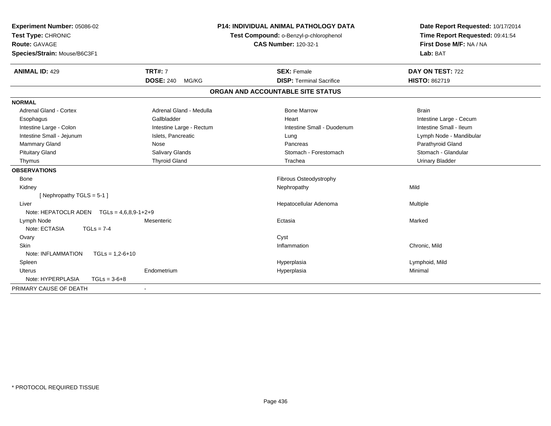| Experiment Number: 05086-02                       |                                        | <b>P14: INDIVIDUAL ANIMAL PATHOLOGY DATA</b> | Date Report Requested: 10/17/2014 |
|---------------------------------------------------|----------------------------------------|----------------------------------------------|-----------------------------------|
| Test Type: CHRONIC                                | Test Compound: o-Benzyl-p-chlorophenol |                                              | Time Report Requested: 09:41:54   |
| Route: GAVAGE                                     |                                        | <b>CAS Number: 120-32-1</b>                  | First Dose M/F: NA / NA           |
| Species/Strain: Mouse/B6C3F1                      |                                        |                                              | Lab: BAT                          |
| <b>ANIMAL ID: 429</b>                             | <b>TRT#: 7</b>                         | <b>SEX: Female</b>                           | DAY ON TEST: 722                  |
|                                                   | <b>DOSE: 240</b><br>MG/KG              | <b>DISP: Terminal Sacrifice</b>              | HISTO: 862719                     |
|                                                   |                                        | ORGAN AND ACCOUNTABLE SITE STATUS            |                                   |
| <b>NORMAL</b>                                     |                                        |                                              |                                   |
| <b>Adrenal Gland - Cortex</b>                     | Adrenal Gland - Medulla                | <b>Bone Marrow</b>                           | Brain                             |
| Esophagus                                         | Gallbladder                            | Heart                                        | Intestine Large - Cecum           |
| Intestine Large - Colon                           | Intestine Large - Rectum               | Intestine Small - Duodenum                   | Intestine Small - Ileum           |
| Intestine Small - Jejunum                         | Islets, Pancreatic                     | Lung                                         | Lymph Node - Mandibular           |
| <b>Mammary Gland</b>                              | Nose                                   | Pancreas                                     | Parathyroid Gland                 |
| <b>Pituitary Gland</b>                            | <b>Salivary Glands</b>                 | Stomach - Forestomach                        | Stomach - Glandular               |
| Thymus                                            | <b>Thyroid Gland</b>                   | Trachea                                      | <b>Urinary Bladder</b>            |
| <b>OBSERVATIONS</b>                               |                                        |                                              |                                   |
| Bone                                              |                                        | Fibrous Osteodystrophy                       |                                   |
| Kidney                                            |                                        | Nephropathy                                  | Mild                              |
| [Nephropathy TGLS = $5-1$ ]                       |                                        |                                              |                                   |
| Liver                                             |                                        | Hepatocellular Adenoma                       | Multiple                          |
| Note: HEPATOCLR ADEN $TGLS = 4.6.8.9 - 1 + 2 + 9$ |                                        |                                              |                                   |
| Lymph Node                                        | Mesenteric                             | Ectasia                                      | Marked                            |
| Note: ECTASIA<br>$TGLs = 7-4$                     |                                        |                                              |                                   |
| Ovary                                             |                                        | Cyst                                         |                                   |
| <b>Skin</b>                                       |                                        | Inflammation                                 | Chronic, Mild                     |
| Note: INFLAMMATION<br>$TGLs = 1,2-6+10$           |                                        |                                              |                                   |
| Spleen                                            |                                        | Hyperplasia                                  | Lymphoid, Mild                    |
| Uterus                                            | Endometrium                            | Hyperplasia                                  | Minimal                           |
| Note: HYPERPLASIA<br>$TGLs = 3-6+8$               |                                        |                                              |                                   |
| PRIMARY CAUSE OF DEATH                            | $\blacksquare$                         |                                              |                                   |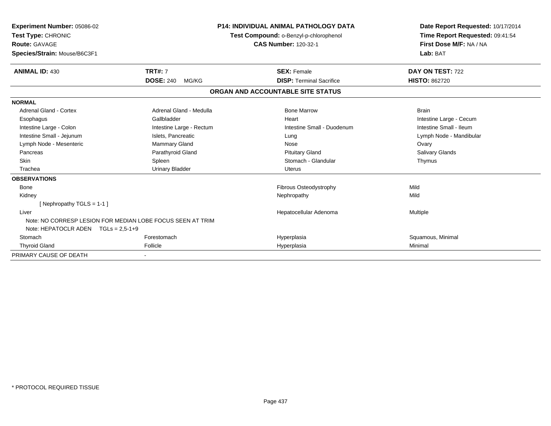| Experiment Number: 05086-02<br>Test Type: CHRONIC<br>Route: GAVAGE<br>Species/Strain: Mouse/B6C3F1 |                           | <b>P14: INDIVIDUAL ANIMAL PATHOLOGY DATA</b><br>Test Compound: o-Benzyl-p-chlorophenol<br><b>CAS Number: 120-32-1</b> | Date Report Requested: 10/17/2014<br>Time Report Requested: 09:41:54<br>First Dose M/F: NA / NA<br>Lab: BAT |
|----------------------------------------------------------------------------------------------------|---------------------------|-----------------------------------------------------------------------------------------------------------------------|-------------------------------------------------------------------------------------------------------------|
| <b>ANIMAL ID: 430</b>                                                                              | <b>TRT#: 7</b>            | <b>SEX: Female</b>                                                                                                    | DAY ON TEST: 722                                                                                            |
|                                                                                                    | <b>DOSE: 240</b><br>MG/KG | <b>DISP: Terminal Sacrifice</b>                                                                                       | <b>HISTO: 862720</b>                                                                                        |
|                                                                                                    |                           | ORGAN AND ACCOUNTABLE SITE STATUS                                                                                     |                                                                                                             |
| <b>NORMAL</b>                                                                                      |                           |                                                                                                                       |                                                                                                             |
| Adrenal Gland - Cortex                                                                             | Adrenal Gland - Medulla   | <b>Bone Marrow</b>                                                                                                    | <b>Brain</b>                                                                                                |
| Esophagus                                                                                          | Gallbladder               | Heart                                                                                                                 | Intestine Large - Cecum                                                                                     |
| Intestine Large - Colon                                                                            | Intestine Large - Rectum  | Intestine Small - Duodenum                                                                                            | Intestine Small - Ileum                                                                                     |
| Intestine Small - Jejunum                                                                          | Islets, Pancreatic        | Lung                                                                                                                  | Lymph Node - Mandibular                                                                                     |
| Lymph Node - Mesenteric                                                                            | Mammary Gland             | Nose                                                                                                                  | Ovary                                                                                                       |
| Pancreas                                                                                           | Parathyroid Gland         | <b>Pituitary Gland</b>                                                                                                | Salivary Glands                                                                                             |
| <b>Skin</b>                                                                                        | Spleen                    | Stomach - Glandular                                                                                                   | Thymus                                                                                                      |
| Trachea                                                                                            | <b>Urinary Bladder</b>    | Uterus                                                                                                                |                                                                                                             |
| <b>OBSERVATIONS</b>                                                                                |                           |                                                                                                                       |                                                                                                             |
| Bone                                                                                               |                           | Fibrous Osteodystrophy                                                                                                | Mild                                                                                                        |
| Kidney                                                                                             |                           | Nephropathy                                                                                                           | Mild                                                                                                        |
| [Nephropathy TGLS = $1-1$ ]                                                                        |                           |                                                                                                                       |                                                                                                             |
| Liver                                                                                              |                           | Hepatocellular Adenoma                                                                                                | <b>Multiple</b>                                                                                             |
| Note: NO CORRESP LESION FOR MEDIAN LOBE FOCUS SEEN AT TRIM                                         |                           |                                                                                                                       |                                                                                                             |
| Note: HEPATOCLR ADEN TGLs = 2,5-1+9                                                                |                           |                                                                                                                       |                                                                                                             |
| Stomach                                                                                            | Forestomach               | Hyperplasia                                                                                                           | Squamous, Minimal                                                                                           |
| <b>Thyroid Gland</b>                                                                               | Follicle                  | Hyperplasia                                                                                                           | Minimal                                                                                                     |
| PRIMARY CAUSE OF DEATH                                                                             |                           |                                                                                                                       |                                                                                                             |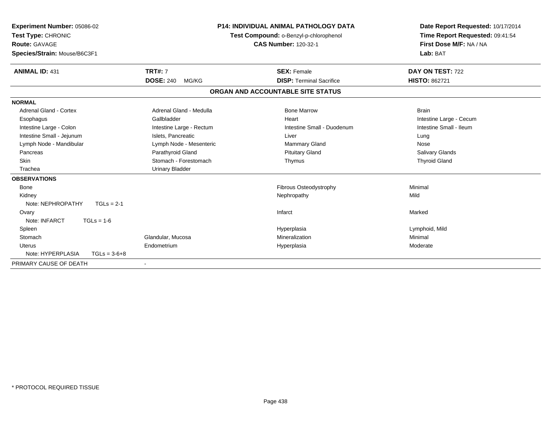| Experiment Number: 05086-02<br>Test Type: CHRONIC<br>Route: GAVAGE<br>Species/Strain: Mouse/B6C3F1 |                           | <b>P14: INDIVIDUAL ANIMAL PATHOLOGY DATA</b><br>Test Compound: o-Benzyl-p-chlorophenol<br><b>CAS Number: 120-32-1</b> | Date Report Requested: 10/17/2014<br>Time Report Requested: 09:41:54<br>First Dose M/F: NA / NA<br>Lab: BAT |
|----------------------------------------------------------------------------------------------------|---------------------------|-----------------------------------------------------------------------------------------------------------------------|-------------------------------------------------------------------------------------------------------------|
| <b>ANIMAL ID: 431</b>                                                                              | <b>TRT#: 7</b>            | <b>SEX: Female</b>                                                                                                    | DAY ON TEST: 722                                                                                            |
|                                                                                                    | <b>DOSE: 240</b><br>MG/KG | <b>DISP: Terminal Sacrifice</b>                                                                                       | <b>HISTO: 862721</b>                                                                                        |
|                                                                                                    |                           | ORGAN AND ACCOUNTABLE SITE STATUS                                                                                     |                                                                                                             |
| <b>NORMAL</b>                                                                                      |                           |                                                                                                                       |                                                                                                             |
| <b>Adrenal Gland - Cortex</b>                                                                      | Adrenal Gland - Medulla   | <b>Bone Marrow</b>                                                                                                    | <b>Brain</b>                                                                                                |
| Esophagus                                                                                          | Gallbladder               | Heart                                                                                                                 | Intestine Large - Cecum                                                                                     |
| Intestine Large - Colon                                                                            | Intestine Large - Rectum  | Intestine Small - Duodenum                                                                                            | Intestine Small - Ileum                                                                                     |
| Intestine Small - Jejunum                                                                          | Islets, Pancreatic        | Liver                                                                                                                 | Lung                                                                                                        |
| Lymph Node - Mandibular                                                                            | Lymph Node - Mesenteric   | Mammary Gland                                                                                                         | Nose                                                                                                        |
| Pancreas                                                                                           | Parathyroid Gland         | <b>Pituitary Gland</b>                                                                                                | Salivary Glands                                                                                             |
| Skin                                                                                               | Stomach - Forestomach     | Thymus                                                                                                                | <b>Thyroid Gland</b>                                                                                        |
| Trachea                                                                                            | <b>Urinary Bladder</b>    |                                                                                                                       |                                                                                                             |
| <b>OBSERVATIONS</b>                                                                                |                           |                                                                                                                       |                                                                                                             |
| <b>Bone</b>                                                                                        |                           | Fibrous Osteodystrophy                                                                                                | Minimal                                                                                                     |
| Kidney                                                                                             |                           | Nephropathy                                                                                                           | Mild                                                                                                        |
| Note: NEPHROPATHY<br>$TGLs = 2-1$                                                                  |                           |                                                                                                                       |                                                                                                             |
| Ovary                                                                                              |                           | Infarct                                                                                                               | Marked                                                                                                      |
| Note: INFARCT<br>$TGLs = 1-6$                                                                      |                           |                                                                                                                       |                                                                                                             |
| Spleen                                                                                             |                           | Hyperplasia                                                                                                           | Lymphoid, Mild                                                                                              |
| Stomach                                                                                            | Glandular, Mucosa         | Mineralization                                                                                                        | Minimal                                                                                                     |
| <b>Uterus</b>                                                                                      | Endometrium               | Hyperplasia                                                                                                           | Moderate                                                                                                    |
| Note: HYPERPLASIA<br>$TGLs = 3-6+8$                                                                |                           |                                                                                                                       |                                                                                                             |
| PRIMARY CAUSE OF DEATH                                                                             |                           |                                                                                                                       |                                                                                                             |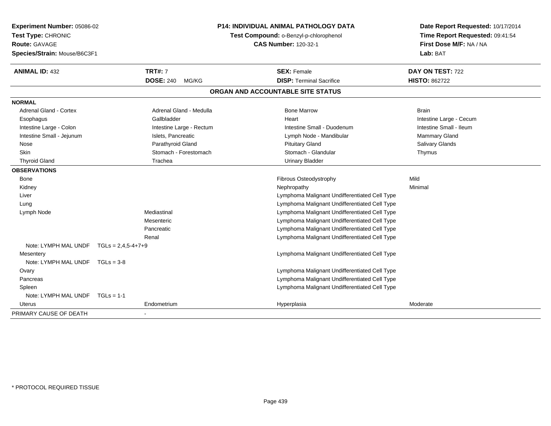| Experiment Number: 05086-02<br>Test Type: CHRONIC<br><b>Route: GAVAGE</b><br>Species/Strain: Mouse/B6C3F1 |                           | <b>P14: INDIVIDUAL ANIMAL PATHOLOGY DATA</b><br>Test Compound: o-Benzyl-p-chlorophenol<br><b>CAS Number: 120-32-1</b> | Date Report Requested: 10/17/2014<br>Time Report Requested: 09:41:54<br>First Dose M/F: NA / NA<br>Lab: BAT |
|-----------------------------------------------------------------------------------------------------------|---------------------------|-----------------------------------------------------------------------------------------------------------------------|-------------------------------------------------------------------------------------------------------------|
| <b>ANIMAL ID: 432</b>                                                                                     | <b>TRT#: 7</b>            | <b>SEX: Female</b>                                                                                                    | DAY ON TEST: 722                                                                                            |
|                                                                                                           | <b>DOSE: 240</b><br>MG/KG | <b>DISP: Terminal Sacrifice</b>                                                                                       | <b>HISTO: 862722</b>                                                                                        |
|                                                                                                           |                           | ORGAN AND ACCOUNTABLE SITE STATUS                                                                                     |                                                                                                             |
| <b>NORMAL</b>                                                                                             |                           |                                                                                                                       |                                                                                                             |
| <b>Adrenal Gland - Cortex</b>                                                                             | Adrenal Gland - Medulla   | <b>Bone Marrow</b>                                                                                                    | <b>Brain</b>                                                                                                |
| Esophagus                                                                                                 | Gallbladder               | Heart                                                                                                                 | Intestine Large - Cecum                                                                                     |
| Intestine Large - Colon                                                                                   | Intestine Large - Rectum  | Intestine Small - Duodenum                                                                                            | Intestine Small - Ileum                                                                                     |
| Intestine Small - Jejunum                                                                                 | Islets, Pancreatic        | Lymph Node - Mandibular                                                                                               | <b>Mammary Gland</b>                                                                                        |
| Nose                                                                                                      | Parathyroid Gland         | <b>Pituitary Gland</b>                                                                                                | Salivary Glands                                                                                             |
| Skin                                                                                                      | Stomach - Forestomach     | Stomach - Glandular                                                                                                   | Thymus                                                                                                      |
| <b>Thyroid Gland</b>                                                                                      | Trachea                   | <b>Urinary Bladder</b>                                                                                                |                                                                                                             |
| <b>OBSERVATIONS</b>                                                                                       |                           |                                                                                                                       |                                                                                                             |
| Bone                                                                                                      |                           | Fibrous Osteodystrophy                                                                                                | Mild                                                                                                        |
| Kidney                                                                                                    |                           | Nephropathy                                                                                                           | Minimal                                                                                                     |
| Liver                                                                                                     |                           | Lymphoma Malignant Undifferentiated Cell Type                                                                         |                                                                                                             |
| Lung                                                                                                      |                           | Lymphoma Malignant Undifferentiated Cell Type                                                                         |                                                                                                             |
| Lymph Node                                                                                                | Mediastinal               | Lymphoma Malignant Undifferentiated Cell Type                                                                         |                                                                                                             |
|                                                                                                           | Mesenteric                | Lymphoma Malignant Undifferentiated Cell Type                                                                         |                                                                                                             |
|                                                                                                           | Pancreatic                | Lymphoma Malignant Undifferentiated Cell Type                                                                         |                                                                                                             |
|                                                                                                           | Renal                     | Lymphoma Malignant Undifferentiated Cell Type                                                                         |                                                                                                             |
| Note: LYMPH MAL UNDF                                                                                      | $TGLs = 2,4,5-4+7+9$      |                                                                                                                       |                                                                                                             |
| Mesentery                                                                                                 |                           | Lymphoma Malignant Undifferentiated Cell Type                                                                         |                                                                                                             |
| Note: LYMPH MAL UNDF TGLs = 3-8                                                                           |                           |                                                                                                                       |                                                                                                             |
| Ovary                                                                                                     |                           | Lymphoma Malignant Undifferentiated Cell Type                                                                         |                                                                                                             |
| Pancreas                                                                                                  |                           | Lymphoma Malignant Undifferentiated Cell Type                                                                         |                                                                                                             |
| Spleen                                                                                                    |                           | Lymphoma Malignant Undifferentiated Cell Type                                                                         |                                                                                                             |
| Note: LYMPH MAL UNDF TGLs = 1-1                                                                           |                           |                                                                                                                       |                                                                                                             |
| Uterus                                                                                                    | Endometrium               | Hyperplasia                                                                                                           | Moderate                                                                                                    |
| PRIMARY CAUSE OF DEATH                                                                                    |                           |                                                                                                                       |                                                                                                             |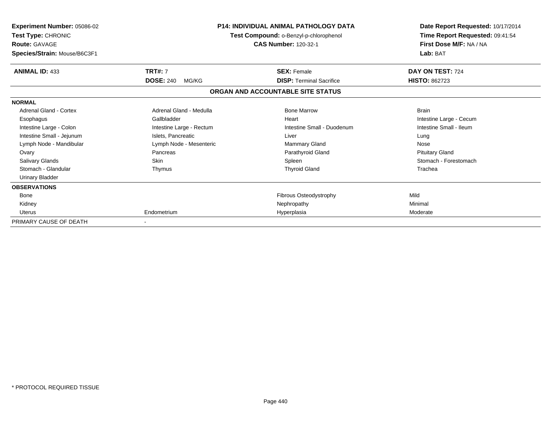| <b>Experiment Number: 05086-02</b><br>Test Type: CHRONIC<br><b>Route: GAVAGE</b><br>Species/Strain: Mouse/B6C3F1 |                           | <b>P14: INDIVIDUAL ANIMAL PATHOLOGY DATA</b><br>Test Compound: o-Benzyl-p-chlorophenol<br><b>CAS Number: 120-32-1</b> | Date Report Requested: 10/17/2014<br>Time Report Requested: 09:41:54<br>First Dose M/F: NA / NA<br>Lab: BAT |
|------------------------------------------------------------------------------------------------------------------|---------------------------|-----------------------------------------------------------------------------------------------------------------------|-------------------------------------------------------------------------------------------------------------|
| <b>ANIMAL ID: 433</b>                                                                                            | <b>TRT#: 7</b>            | <b>SEX: Female</b>                                                                                                    | DAY ON TEST: 724                                                                                            |
|                                                                                                                  | <b>DOSE: 240</b><br>MG/KG | <b>DISP: Terminal Sacrifice</b>                                                                                       | <b>HISTO: 862723</b>                                                                                        |
|                                                                                                                  |                           | ORGAN AND ACCOUNTABLE SITE STATUS                                                                                     |                                                                                                             |
| <b>NORMAL</b>                                                                                                    |                           |                                                                                                                       |                                                                                                             |
| Adrenal Gland - Cortex                                                                                           | Adrenal Gland - Medulla   | <b>Bone Marrow</b>                                                                                                    | <b>Brain</b>                                                                                                |
| Esophagus                                                                                                        | Gallbladder               | Heart                                                                                                                 | Intestine Large - Cecum                                                                                     |
| Intestine Large - Colon                                                                                          | Intestine Large - Rectum  | Intestine Small - Duodenum                                                                                            | Intestine Small - Ileum                                                                                     |
| Intestine Small - Jejunum                                                                                        | Islets, Pancreatic        | Liver                                                                                                                 | Lung                                                                                                        |
| Lymph Node - Mandibular                                                                                          | Lymph Node - Mesenteric   | Mammary Gland                                                                                                         | Nose                                                                                                        |
| Ovary                                                                                                            | Pancreas                  | Parathyroid Gland                                                                                                     | <b>Pituitary Gland</b>                                                                                      |
| <b>Salivary Glands</b>                                                                                           | <b>Skin</b>               | Spleen                                                                                                                | Stomach - Forestomach                                                                                       |
| Stomach - Glandular                                                                                              | Thymus                    | <b>Thyroid Gland</b>                                                                                                  | Trachea                                                                                                     |
| <b>Urinary Bladder</b>                                                                                           |                           |                                                                                                                       |                                                                                                             |
| <b>OBSERVATIONS</b>                                                                                              |                           |                                                                                                                       |                                                                                                             |
| <b>Bone</b>                                                                                                      |                           | Fibrous Osteodystrophy                                                                                                | Mild                                                                                                        |
| Kidney                                                                                                           |                           | Nephropathy                                                                                                           | Minimal                                                                                                     |
| Uterus                                                                                                           | Endometrium               | Hyperplasia                                                                                                           | Moderate                                                                                                    |
| PRIMARY CAUSE OF DEATH                                                                                           |                           |                                                                                                                       |                                                                                                             |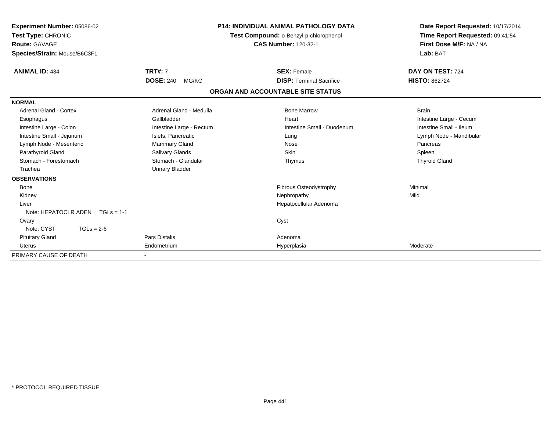| Experiment Number: 05086-02<br>Test Type: CHRONIC<br><b>Route: GAVAGE</b><br>Species/Strain: Mouse/B6C3F1 | <b>P14: INDIVIDUAL ANIMAL PATHOLOGY DATA</b><br>Test Compound: o-Benzyl-p-chlorophenol<br><b>CAS Number: 120-32-1</b> |                                   | Date Report Requested: 10/17/2014<br>Time Report Requested: 09:41:54<br>First Dose M/F: NA / NA<br>Lab: BAT |
|-----------------------------------------------------------------------------------------------------------|-----------------------------------------------------------------------------------------------------------------------|-----------------------------------|-------------------------------------------------------------------------------------------------------------|
| <b>ANIMAL ID: 434</b>                                                                                     | <b>TRT#: 7</b>                                                                                                        | <b>SEX: Female</b>                | DAY ON TEST: 724                                                                                            |
|                                                                                                           | <b>DOSE: 240</b><br>MG/KG                                                                                             | <b>DISP: Terminal Sacrifice</b>   | <b>HISTO: 862724</b>                                                                                        |
|                                                                                                           |                                                                                                                       | ORGAN AND ACCOUNTABLE SITE STATUS |                                                                                                             |
| <b>NORMAL</b>                                                                                             |                                                                                                                       |                                   |                                                                                                             |
| <b>Adrenal Gland - Cortex</b>                                                                             | Adrenal Gland - Medulla                                                                                               | <b>Bone Marrow</b>                | <b>Brain</b>                                                                                                |
| Esophagus                                                                                                 | Gallbladder                                                                                                           | Heart                             | Intestine Large - Cecum                                                                                     |
| Intestine Large - Colon                                                                                   | Intestine Large - Rectum                                                                                              | Intestine Small - Duodenum        | Intestine Small - Ileum                                                                                     |
| Intestine Small - Jejunum                                                                                 | Islets, Pancreatic                                                                                                    | Lung                              | Lymph Node - Mandibular                                                                                     |
| Lymph Node - Mesenteric                                                                                   | <b>Mammary Gland</b>                                                                                                  | Nose                              | Pancreas                                                                                                    |
| Parathyroid Gland                                                                                         | Salivary Glands                                                                                                       | <b>Skin</b>                       | Spleen                                                                                                      |
| Stomach - Forestomach                                                                                     | Stomach - Glandular                                                                                                   | Thymus                            | <b>Thyroid Gland</b>                                                                                        |
| Trachea                                                                                                   | <b>Urinary Bladder</b>                                                                                                |                                   |                                                                                                             |
| <b>OBSERVATIONS</b>                                                                                       |                                                                                                                       |                                   |                                                                                                             |
| Bone                                                                                                      |                                                                                                                       | Fibrous Osteodystrophy            | Minimal                                                                                                     |
| Kidney                                                                                                    |                                                                                                                       | Nephropathy                       | Mild                                                                                                        |
| Liver                                                                                                     |                                                                                                                       | Hepatocellular Adenoma            |                                                                                                             |
| Note: HEPATOCLR ADEN $TGLs = 1-1$                                                                         |                                                                                                                       |                                   |                                                                                                             |
| Ovary                                                                                                     |                                                                                                                       | Cyst                              |                                                                                                             |
| Note: CYST<br>$TGLs = 2-6$                                                                                |                                                                                                                       |                                   |                                                                                                             |
| <b>Pituitary Gland</b>                                                                                    | <b>Pars Distalis</b>                                                                                                  | Adenoma                           |                                                                                                             |
| <b>Uterus</b>                                                                                             | Endometrium                                                                                                           | Hyperplasia                       | Moderate                                                                                                    |
| PRIMARY CAUSE OF DEATH                                                                                    |                                                                                                                       |                                   |                                                                                                             |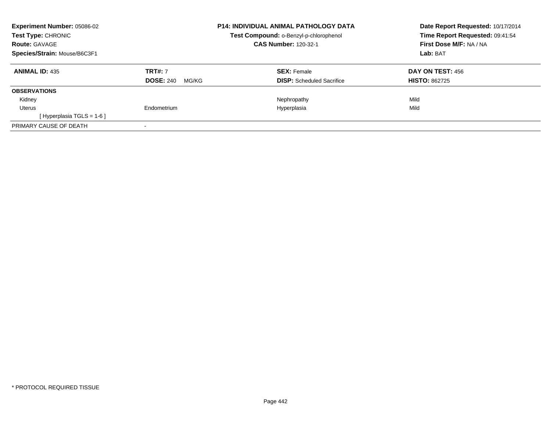| <b>Experiment Number: 05086-02</b><br><b>Test Type: CHRONIC</b><br><b>Route: GAVAGE</b> |                           | <b>P14: INDIVIDUAL ANIMAL PATHOLOGY DATA</b><br>Test Compound: o-Benzyl-p-chlorophenol<br><b>CAS Number: 120-32-1</b> | Date Report Requested: 10/17/2014<br>Time Report Requested: 09:41:54<br>First Dose M/F: NA / NA |
|-----------------------------------------------------------------------------------------|---------------------------|-----------------------------------------------------------------------------------------------------------------------|-------------------------------------------------------------------------------------------------|
| Species/Strain: Mouse/B6C3F1                                                            |                           |                                                                                                                       | Lab: BAT                                                                                        |
| <b>ANIMAL ID: 435</b>                                                                   | <b>TRT#: 7</b>            | <b>SEX: Female</b>                                                                                                    | DAY ON TEST: 456                                                                                |
|                                                                                         | <b>DOSE: 240</b><br>MG/KG | <b>DISP:</b> Scheduled Sacrifice                                                                                      | <b>HISTO: 862725</b>                                                                            |
| <b>OBSERVATIONS</b>                                                                     |                           |                                                                                                                       |                                                                                                 |
| Kidney                                                                                  |                           | Nephropathy                                                                                                           | Mild                                                                                            |
| Uterus                                                                                  | Endometrium               | Hyperplasia                                                                                                           | Mild                                                                                            |
| [Hyperplasia TGLS = $1-6$ ]                                                             |                           |                                                                                                                       |                                                                                                 |
| PRIMARY CAUSE OF DEATH                                                                  |                           |                                                                                                                       |                                                                                                 |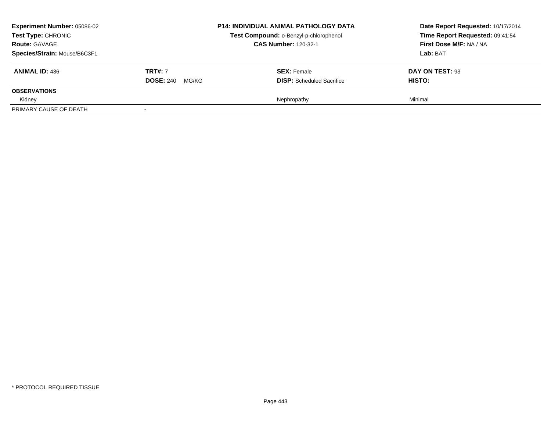| <b>Experiment Number: 05086-02</b><br><b>Test Type: CHRONIC</b><br><b>Route: GAVAGE</b><br>Species/Strain: Mouse/B6C3F1 |                                             | <b>P14: INDIVIDUAL ANIMAL PATHOLOGY DATA</b><br>Test Compound: o-Benzyl-p-chlorophenol<br><b>CAS Number: 120-32-1</b> | Date Report Requested: 10/17/2014<br>Time Report Requested: 09:41:54<br>First Dose M/F: NA / NA<br>Lab: BAT |
|-------------------------------------------------------------------------------------------------------------------------|---------------------------------------------|-----------------------------------------------------------------------------------------------------------------------|-------------------------------------------------------------------------------------------------------------|
| <b>ANIMAL ID: 436</b>                                                                                                   | <b>TRT#: 7</b><br><b>DOSE: 240</b><br>MG/KG | <b>SEX: Female</b><br><b>DISP:</b> Scheduled Sacrifice                                                                | DAY ON TEST: 93<br><b>HISTO:</b>                                                                            |
| <b>OBSERVATIONS</b>                                                                                                     |                                             |                                                                                                                       |                                                                                                             |
| Kidney                                                                                                                  |                                             | Nephropathy                                                                                                           | Minimal                                                                                                     |
| PRIMARY CAUSE OF DEATH                                                                                                  |                                             |                                                                                                                       |                                                                                                             |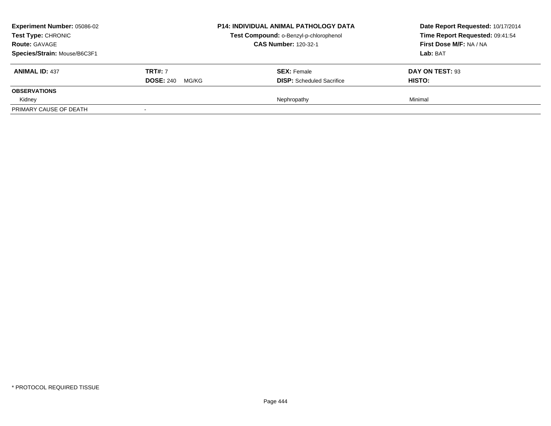| <b>Experiment Number: 05086-02</b><br>Test Type: CHRONIC<br><b>Route: GAVAGE</b><br>Species/Strain: Mouse/B6C3F1 |                                             | <b>P14: INDIVIDUAL ANIMAL PATHOLOGY DATA</b><br>Test Compound: o-Benzyl-p-chlorophenol<br><b>CAS Number: 120-32-1</b> | Date Report Requested: 10/17/2014<br>Time Report Requested: 09:41:54<br>First Dose M/F: NA / NA<br>Lab: BAT |
|------------------------------------------------------------------------------------------------------------------|---------------------------------------------|-----------------------------------------------------------------------------------------------------------------------|-------------------------------------------------------------------------------------------------------------|
| <b>ANIMAL ID: 437</b>                                                                                            | <b>TRT#: 7</b><br><b>DOSE: 240</b><br>MG/KG | <b>SEX:</b> Female<br><b>DISP:</b> Scheduled Sacrifice                                                                | DAY ON TEST: 93<br><b>HISTO:</b>                                                                            |
| <b>OBSERVATIONS</b>                                                                                              |                                             |                                                                                                                       |                                                                                                             |
| Kidney<br>PRIMARY CAUSE OF DEATH                                                                                 |                                             | Nephropathy                                                                                                           | Minimal                                                                                                     |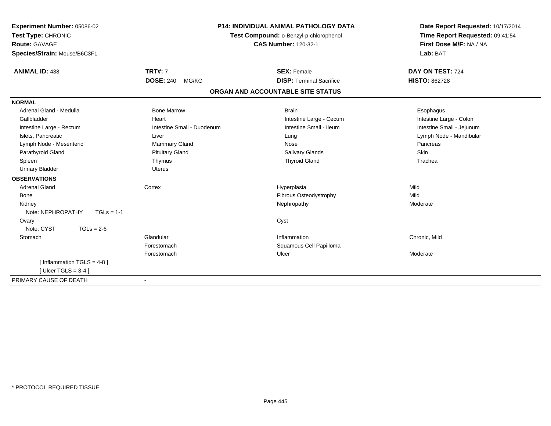| Experiment Number: 05086-02<br>Test Type: CHRONIC<br>Route: GAVAGE<br>Species/Strain: Mouse/B6C3F1 |                            | <b>P14: INDIVIDUAL ANIMAL PATHOLOGY DATA</b><br>Test Compound: o-Benzyl-p-chlorophenol<br><b>CAS Number: 120-32-1</b> | Date Report Requested: 10/17/2014<br>Time Report Requested: 09:41:54<br>First Dose M/F: NA / NA<br>Lab: BAT |
|----------------------------------------------------------------------------------------------------|----------------------------|-----------------------------------------------------------------------------------------------------------------------|-------------------------------------------------------------------------------------------------------------|
| <b>ANIMAL ID: 438</b>                                                                              | <b>TRT#: 7</b>             | <b>SEX: Female</b>                                                                                                    | DAY ON TEST: 724                                                                                            |
|                                                                                                    | <b>DOSE: 240</b><br>MG/KG  | <b>DISP: Terminal Sacrifice</b>                                                                                       | <b>HISTO: 862728</b>                                                                                        |
|                                                                                                    |                            | ORGAN AND ACCOUNTABLE SITE STATUS                                                                                     |                                                                                                             |
| <b>NORMAL</b>                                                                                      |                            |                                                                                                                       |                                                                                                             |
| Adrenal Gland - Medulla                                                                            | <b>Bone Marrow</b>         | <b>Brain</b>                                                                                                          | Esophagus                                                                                                   |
| Gallbladder                                                                                        | Heart                      | Intestine Large - Cecum                                                                                               | Intestine Large - Colon                                                                                     |
| Intestine Large - Rectum                                                                           | Intestine Small - Duodenum | Intestine Small - Ileum                                                                                               | Intestine Small - Jejunum                                                                                   |
| Islets, Pancreatic                                                                                 | Liver                      | Lung                                                                                                                  | Lymph Node - Mandibular                                                                                     |
| Lymph Node - Mesenteric                                                                            | Mammary Gland              | Nose                                                                                                                  | Pancreas                                                                                                    |
| Parathyroid Gland                                                                                  | <b>Pituitary Gland</b>     | Salivary Glands                                                                                                       | Skin                                                                                                        |
| Spleen                                                                                             | Thymus                     | <b>Thyroid Gland</b>                                                                                                  | Trachea                                                                                                     |
| <b>Urinary Bladder</b>                                                                             | Uterus                     |                                                                                                                       |                                                                                                             |
| <b>OBSERVATIONS</b>                                                                                |                            |                                                                                                                       |                                                                                                             |
| <b>Adrenal Gland</b>                                                                               | Cortex                     | Hyperplasia                                                                                                           | Mild                                                                                                        |
| Bone                                                                                               |                            | Fibrous Osteodystrophy                                                                                                | Mild                                                                                                        |
| Kidney                                                                                             |                            | Nephropathy                                                                                                           | Moderate                                                                                                    |
| Note: NEPHROPATHY<br>$TGLs = 1-1$                                                                  |                            |                                                                                                                       |                                                                                                             |
| Ovary                                                                                              |                            | Cyst                                                                                                                  |                                                                                                             |
| Note: CYST<br>$TGLs = 2-6$                                                                         |                            |                                                                                                                       |                                                                                                             |
| Stomach                                                                                            | Glandular                  | Inflammation                                                                                                          | Chronic, Mild                                                                                               |
|                                                                                                    | Forestomach                | Squamous Cell Papilloma                                                                                               |                                                                                                             |
|                                                                                                    | Forestomach                | Ulcer                                                                                                                 | Moderate                                                                                                    |
| [ Inflammation TGLS = $4-8$ ]                                                                      |                            |                                                                                                                       |                                                                                                             |
| [ Ulcer TGLS = $3-4$ ]                                                                             |                            |                                                                                                                       |                                                                                                             |
| PRIMARY CAUSE OF DEATH                                                                             |                            |                                                                                                                       |                                                                                                             |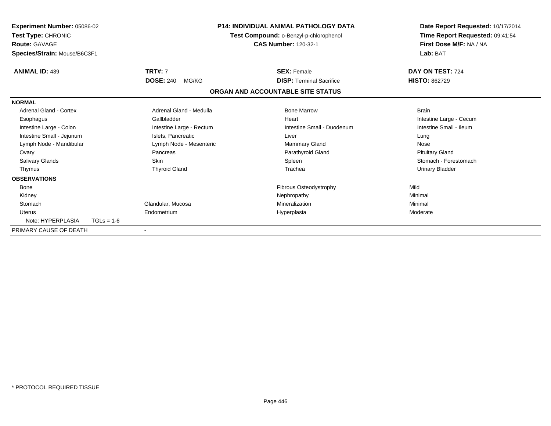| Experiment Number: 05086-02<br>Test Type: CHRONIC<br><b>Route: GAVAGE</b><br>Species/Strain: Mouse/B6C3F1 |                           | <b>P14: INDIVIDUAL ANIMAL PATHOLOGY DATA</b><br>Test Compound: o-Benzyl-p-chlorophenol<br><b>CAS Number: 120-32-1</b> |                                 | Date Report Requested: 10/17/2014<br>Time Report Requested: 09:41:54<br>First Dose M/F: NA / NA<br>Lab: BAT |
|-----------------------------------------------------------------------------------------------------------|---------------------------|-----------------------------------------------------------------------------------------------------------------------|---------------------------------|-------------------------------------------------------------------------------------------------------------|
| <b>ANIMAL ID: 439</b>                                                                                     | <b>TRT#: 7</b>            |                                                                                                                       | <b>SEX: Female</b>              | DAY ON TEST: 724                                                                                            |
|                                                                                                           | <b>DOSE: 240</b><br>MG/KG |                                                                                                                       | <b>DISP: Terminal Sacrifice</b> | <b>HISTO: 862729</b>                                                                                        |
|                                                                                                           |                           | ORGAN AND ACCOUNTABLE SITE STATUS                                                                                     |                                 |                                                                                                             |
| <b>NORMAL</b>                                                                                             |                           |                                                                                                                       |                                 |                                                                                                             |
| Adrenal Gland - Cortex                                                                                    | Adrenal Gland - Medulla   |                                                                                                                       | <b>Bone Marrow</b>              | <b>Brain</b>                                                                                                |
| Esophagus                                                                                                 | Gallbladder               |                                                                                                                       | Heart                           | Intestine Large - Cecum                                                                                     |
| Intestine Large - Colon                                                                                   | Intestine Large - Rectum  |                                                                                                                       | Intestine Small - Duodenum      | Intestine Small - Ileum                                                                                     |
| Intestine Small - Jejunum                                                                                 | Islets. Pancreatic        |                                                                                                                       | Liver                           | Lung                                                                                                        |
| Lymph Node - Mandibular                                                                                   | Lymph Node - Mesenteric   |                                                                                                                       | <b>Mammary Gland</b>            | Nose                                                                                                        |
| Ovary                                                                                                     | Pancreas                  |                                                                                                                       | Parathyroid Gland               | <b>Pituitary Gland</b>                                                                                      |
| Salivary Glands                                                                                           | <b>Skin</b>               |                                                                                                                       | Spleen                          | Stomach - Forestomach                                                                                       |
| Thymus                                                                                                    | <b>Thyroid Gland</b>      |                                                                                                                       | Trachea                         | <b>Urinary Bladder</b>                                                                                      |
| <b>OBSERVATIONS</b>                                                                                       |                           |                                                                                                                       |                                 |                                                                                                             |
| Bone                                                                                                      |                           |                                                                                                                       | Fibrous Osteodystrophy          | Mild                                                                                                        |
| Kidney                                                                                                    |                           |                                                                                                                       | Nephropathy                     | Minimal                                                                                                     |
| Stomach                                                                                                   | Glandular, Mucosa         |                                                                                                                       | Mineralization                  | Minimal                                                                                                     |
| <b>Uterus</b>                                                                                             | Endometrium               |                                                                                                                       | Hyperplasia                     | Moderate                                                                                                    |
| Note: HYPERPLASIA                                                                                         | $TGLs = 1-6$              |                                                                                                                       |                                 |                                                                                                             |
| PRIMARY CAUSE OF DEATH                                                                                    |                           |                                                                                                                       |                                 |                                                                                                             |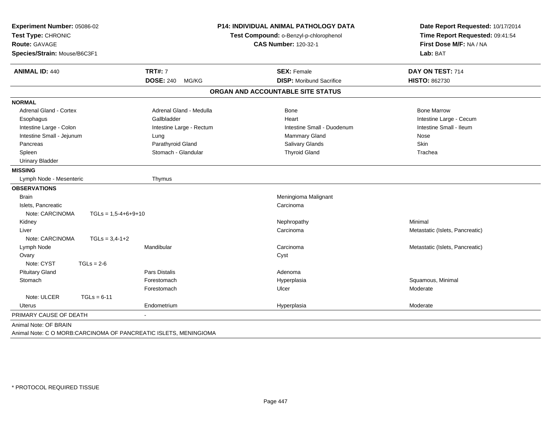| Experiment Number: 05086-02<br>Test Type: CHRONIC<br>Route: GAVAGE<br>Species/Strain: Mouse/B6C3F1 |                           | <b>P14: INDIVIDUAL ANIMAL PATHOLOGY DATA</b><br>Test Compound: o-Benzyl-p-chlorophenol<br><b>CAS Number: 120-32-1</b> | Date Report Requested: 10/17/2014<br>Time Report Requested: 09:41:54<br>First Dose M/F: NA / NA<br>Lab: BAT |
|----------------------------------------------------------------------------------------------------|---------------------------|-----------------------------------------------------------------------------------------------------------------------|-------------------------------------------------------------------------------------------------------------|
| <b>ANIMAL ID: 440</b>                                                                              | <b>TRT#: 7</b>            | <b>SEX: Female</b>                                                                                                    | DAY ON TEST: 714                                                                                            |
|                                                                                                    | <b>DOSE: 240</b><br>MG/KG | <b>DISP:</b> Moribund Sacrifice                                                                                       | <b>HISTO: 862730</b>                                                                                        |
|                                                                                                    |                           | ORGAN AND ACCOUNTABLE SITE STATUS                                                                                     |                                                                                                             |
| <b>NORMAL</b>                                                                                      |                           |                                                                                                                       |                                                                                                             |
| <b>Adrenal Gland - Cortex</b>                                                                      | Adrenal Gland - Medulla   | Bone                                                                                                                  | <b>Bone Marrow</b>                                                                                          |
| Esophagus                                                                                          | Gallbladder               | Heart                                                                                                                 | Intestine Large - Cecum                                                                                     |
| Intestine Large - Colon                                                                            | Intestine Large - Rectum  | Intestine Small - Duodenum                                                                                            | Intestine Small - Ileum                                                                                     |
| Intestine Small - Jejunum                                                                          | Lung                      | Mammary Gland                                                                                                         | Nose                                                                                                        |
| Pancreas                                                                                           | Parathyroid Gland         | Salivary Glands                                                                                                       | Skin                                                                                                        |
| Spleen                                                                                             | Stomach - Glandular       | <b>Thyroid Gland</b>                                                                                                  | Trachea                                                                                                     |
| <b>Urinary Bladder</b>                                                                             |                           |                                                                                                                       |                                                                                                             |
| <b>MISSING</b>                                                                                     |                           |                                                                                                                       |                                                                                                             |
| Lymph Node - Mesenteric                                                                            | Thymus                    |                                                                                                                       |                                                                                                             |
| <b>OBSERVATIONS</b>                                                                                |                           |                                                                                                                       |                                                                                                             |
| <b>Brain</b>                                                                                       |                           | Meningioma Malignant                                                                                                  |                                                                                                             |
| Islets, Pancreatic                                                                                 |                           | Carcinoma                                                                                                             |                                                                                                             |
| Note: CARCINOMA                                                                                    | $TGLs = 1,5-4+6+9+10$     |                                                                                                                       |                                                                                                             |
| Kidney                                                                                             |                           | Nephropathy                                                                                                           | Minimal                                                                                                     |
| Liver                                                                                              |                           | Carcinoma                                                                                                             | Metastatic (Islets, Pancreatic)                                                                             |
| Note: CARCINOMA<br>$TGLs = 3,4-1+2$                                                                |                           |                                                                                                                       |                                                                                                             |
| Lymph Node                                                                                         | Mandibular                | Carcinoma                                                                                                             | Metastatic (Islets, Pancreatic)                                                                             |
| Ovary                                                                                              |                           | Cyst                                                                                                                  |                                                                                                             |
| Note: CYST<br>$TGLs = 2-6$                                                                         |                           |                                                                                                                       |                                                                                                             |
| <b>Pituitary Gland</b>                                                                             | Pars Distalis             | Adenoma                                                                                                               |                                                                                                             |
| Stomach                                                                                            | Forestomach               | Hyperplasia                                                                                                           | Squamous, Minimal                                                                                           |
|                                                                                                    | Forestomach               | Ulcer                                                                                                                 | Moderate                                                                                                    |
| Note: ULCER<br>$TGLs = 6-11$                                                                       |                           |                                                                                                                       |                                                                                                             |
| <b>Uterus</b>                                                                                      | Endometrium               | Hyperplasia                                                                                                           | Moderate                                                                                                    |
| PRIMARY CAUSE OF DEATH                                                                             | $\blacksquare$            |                                                                                                                       |                                                                                                             |
| Animal Note: OF BRAIN                                                                              |                           |                                                                                                                       |                                                                                                             |

Animal Note: C O MORB:CARCINOMA OF PANCREATIC ISLETS, MENINGIOMA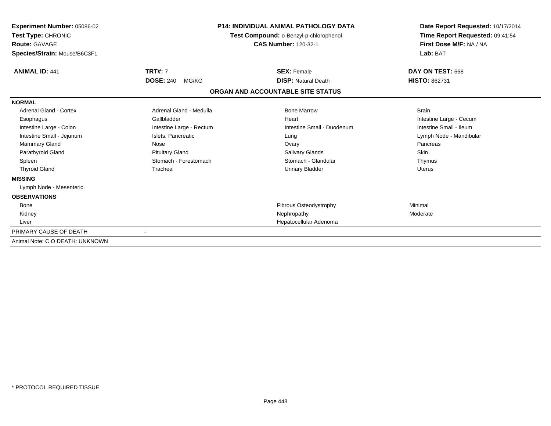| Experiment Number: 05086-02<br>Test Type: CHRONIC<br><b>Route: GAVAGE</b><br>Species/Strain: Mouse/B6C3F1 | <b>P14: INDIVIDUAL ANIMAL PATHOLOGY DATA</b><br>Test Compound: o-Benzyl-p-chlorophenol<br><b>CAS Number: 120-32-1</b> |                                   | Date Report Requested: 10/17/2014<br>Time Report Requested: 09:41:54<br>First Dose M/F: NA / NA<br>Lab: BAT |
|-----------------------------------------------------------------------------------------------------------|-----------------------------------------------------------------------------------------------------------------------|-----------------------------------|-------------------------------------------------------------------------------------------------------------|
| <b>ANIMAL ID: 441</b>                                                                                     | <b>TRT#: 7</b>                                                                                                        | <b>SEX: Female</b>                | DAY ON TEST: 668                                                                                            |
|                                                                                                           | <b>DOSE: 240</b><br>MG/KG                                                                                             | <b>DISP: Natural Death</b>        | <b>HISTO: 862731</b>                                                                                        |
|                                                                                                           |                                                                                                                       | ORGAN AND ACCOUNTABLE SITE STATUS |                                                                                                             |
| <b>NORMAL</b>                                                                                             |                                                                                                                       |                                   |                                                                                                             |
| Adrenal Gland - Cortex                                                                                    | Adrenal Gland - Medulla                                                                                               | <b>Bone Marrow</b>                | <b>Brain</b>                                                                                                |
| Esophagus                                                                                                 | Gallbladder                                                                                                           | Heart                             | Intestine Large - Cecum                                                                                     |
| Intestine Large - Colon                                                                                   | Intestine Large - Rectum                                                                                              | Intestine Small - Duodenum        | Intestine Small - Ileum                                                                                     |
| Intestine Small - Jejunum                                                                                 | Islets, Pancreatic                                                                                                    | Lung                              | Lymph Node - Mandibular                                                                                     |
| <b>Mammary Gland</b>                                                                                      | <b>Nose</b>                                                                                                           | Ovary                             | Pancreas                                                                                                    |
| Parathyroid Gland                                                                                         | <b>Pituitary Gland</b>                                                                                                | <b>Salivary Glands</b>            | Skin                                                                                                        |
| Spleen                                                                                                    | Stomach - Forestomach                                                                                                 | Stomach - Glandular               | Thymus                                                                                                      |
| <b>Thyroid Gland</b>                                                                                      | Trachea                                                                                                               | <b>Urinary Bladder</b>            | Uterus                                                                                                      |
| <b>MISSING</b>                                                                                            |                                                                                                                       |                                   |                                                                                                             |
| Lymph Node - Mesenteric                                                                                   |                                                                                                                       |                                   |                                                                                                             |
| <b>OBSERVATIONS</b>                                                                                       |                                                                                                                       |                                   |                                                                                                             |
| Bone                                                                                                      |                                                                                                                       | <b>Fibrous Osteodystrophy</b>     | Minimal                                                                                                     |
| Kidney                                                                                                    |                                                                                                                       | Nephropathy                       | Moderate                                                                                                    |
| Liver                                                                                                     |                                                                                                                       | Hepatocellular Adenoma            |                                                                                                             |
| PRIMARY CAUSE OF DEATH                                                                                    |                                                                                                                       |                                   |                                                                                                             |
| Animal Note: C O DEATH: UNKNOWN                                                                           |                                                                                                                       |                                   |                                                                                                             |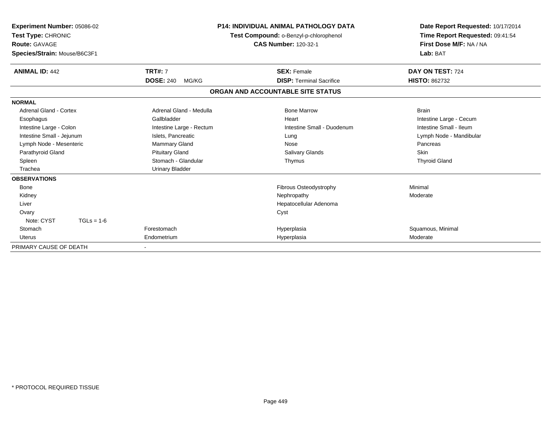| Experiment Number: 05086-02<br>Test Type: CHRONIC<br>Route: GAVAGE<br>Species/Strain: Mouse/B6C3F1 |                           | <b>P14: INDIVIDUAL ANIMAL PATHOLOGY DATA</b><br>Test Compound: o-Benzyl-p-chlorophenol<br><b>CAS Number: 120-32-1</b> | Date Report Requested: 10/17/2014<br>Time Report Requested: 09:41:54<br>First Dose M/F: NA / NA<br>Lab: BAT |
|----------------------------------------------------------------------------------------------------|---------------------------|-----------------------------------------------------------------------------------------------------------------------|-------------------------------------------------------------------------------------------------------------|
| <b>ANIMAL ID: 442</b>                                                                              | <b>TRT#: 7</b>            | <b>SEX: Female</b>                                                                                                    | DAY ON TEST: 724                                                                                            |
|                                                                                                    | <b>DOSE: 240</b><br>MG/KG | <b>DISP: Terminal Sacrifice</b>                                                                                       | <b>HISTO: 862732</b>                                                                                        |
|                                                                                                    |                           | ORGAN AND ACCOUNTABLE SITE STATUS                                                                                     |                                                                                                             |
| <b>NORMAL</b>                                                                                      |                           |                                                                                                                       |                                                                                                             |
| <b>Adrenal Gland - Cortex</b>                                                                      | Adrenal Gland - Medulla   | <b>Bone Marrow</b>                                                                                                    | <b>Brain</b>                                                                                                |
| Esophagus                                                                                          | Gallbladder               | Heart                                                                                                                 | Intestine Large - Cecum                                                                                     |
| Intestine Large - Colon                                                                            | Intestine Large - Rectum  | Intestine Small - Duodenum                                                                                            | Intestine Small - Ileum                                                                                     |
| Intestine Small - Jejunum                                                                          | Islets, Pancreatic        | Lung                                                                                                                  | Lymph Node - Mandibular                                                                                     |
| Lymph Node - Mesenteric                                                                            | <b>Mammary Gland</b>      | Nose                                                                                                                  | Pancreas                                                                                                    |
| Parathyroid Gland                                                                                  | <b>Pituitary Gland</b>    | Salivary Glands                                                                                                       | <b>Skin</b>                                                                                                 |
| Spleen                                                                                             | Stomach - Glandular       | Thymus                                                                                                                | <b>Thyroid Gland</b>                                                                                        |
| Trachea                                                                                            | <b>Urinary Bladder</b>    |                                                                                                                       |                                                                                                             |
| <b>OBSERVATIONS</b>                                                                                |                           |                                                                                                                       |                                                                                                             |
| Bone                                                                                               |                           | Fibrous Osteodystrophy                                                                                                | Minimal                                                                                                     |
| Kidney                                                                                             |                           | Nephropathy                                                                                                           | Moderate                                                                                                    |
| Liver                                                                                              |                           | Hepatocellular Adenoma                                                                                                |                                                                                                             |
| Ovary                                                                                              |                           | Cyst                                                                                                                  |                                                                                                             |
| Note: CYST<br>$TGLs = 1-6$                                                                         |                           |                                                                                                                       |                                                                                                             |
| Stomach                                                                                            | Forestomach               | Hyperplasia                                                                                                           | Squamous, Minimal                                                                                           |
| <b>Uterus</b>                                                                                      | Endometrium               | Hyperplasia                                                                                                           | Moderate                                                                                                    |
| PRIMARY CAUSE OF DEATH                                                                             |                           |                                                                                                                       |                                                                                                             |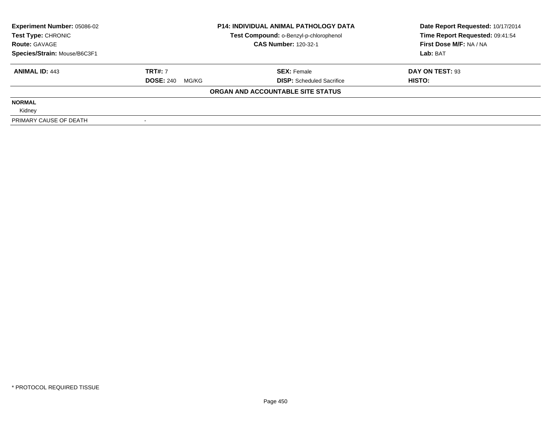| <b>Experiment Number: 05086-02</b> | <b>P14: INDIVIDUAL ANIMAL PATHOLOGY DATA</b> |                                        | Date Report Requested: 10/17/2014 |  |
|------------------------------------|----------------------------------------------|----------------------------------------|-----------------------------------|--|
| Test Type: CHRONIC                 |                                              | Test Compound: o-Benzyl-p-chlorophenol | Time Report Requested: 09:41:54   |  |
| <b>Route: GAVAGE</b>               |                                              | <b>CAS Number: 120-32-1</b>            | First Dose M/F: NA / NA           |  |
| Species/Strain: Mouse/B6C3F1       |                                              |                                        | Lab: BAT                          |  |
| <b>ANIMAL ID: 443</b>              | <b>TRT#: 7</b>                               | <b>SEX: Female</b>                     | DAY ON TEST: 93                   |  |
|                                    | <b>DOSE: 240 MG/KG</b>                       | <b>DISP:</b> Scheduled Sacrifice       | HISTO:                            |  |
|                                    |                                              | ORGAN AND ACCOUNTABLE SITE STATUS      |                                   |  |
| <b>NORMAL</b>                      |                                              |                                        |                                   |  |
| Kidney                             |                                              |                                        |                                   |  |
| PRIMARY CAUSE OF DEATH             |                                              |                                        |                                   |  |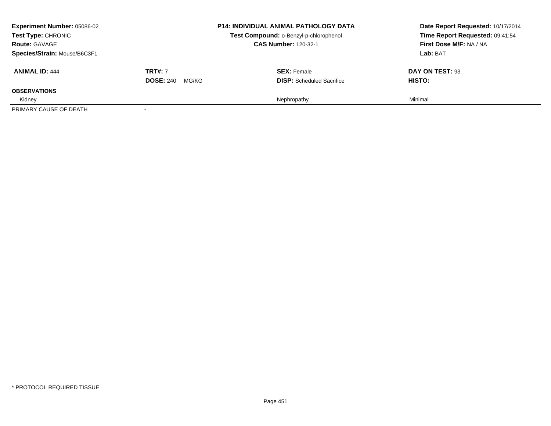| <b>Experiment Number: 05086-02</b><br>Test Type: CHRONIC<br><b>Route: GAVAGE</b><br>Species/Strain: Mouse/B6C3F1 |                                             | <b>P14: INDIVIDUAL ANIMAL PATHOLOGY DATA</b><br>Test Compound: o-Benzyl-p-chlorophenol<br><b>CAS Number: 120-32-1</b> | Date Report Requested: 10/17/2014<br>Time Report Requested: 09:41:54<br>First Dose M/F: NA / NA<br>Lab: BAT |
|------------------------------------------------------------------------------------------------------------------|---------------------------------------------|-----------------------------------------------------------------------------------------------------------------------|-------------------------------------------------------------------------------------------------------------|
| <b>ANIMAL ID: 444</b>                                                                                            | <b>TRT#: 7</b><br><b>DOSE: 240</b><br>MG/KG | <b>SEX:</b> Female<br><b>DISP:</b> Scheduled Sacrifice                                                                | DAY ON TEST: 93<br><b>HISTO:</b>                                                                            |
| <b>OBSERVATIONS</b>                                                                                              |                                             |                                                                                                                       |                                                                                                             |
| Kidney<br>PRIMARY CAUSE OF DEATH                                                                                 |                                             | Nephropathy                                                                                                           | Minimal                                                                                                     |
|                                                                                                                  |                                             |                                                                                                                       |                                                                                                             |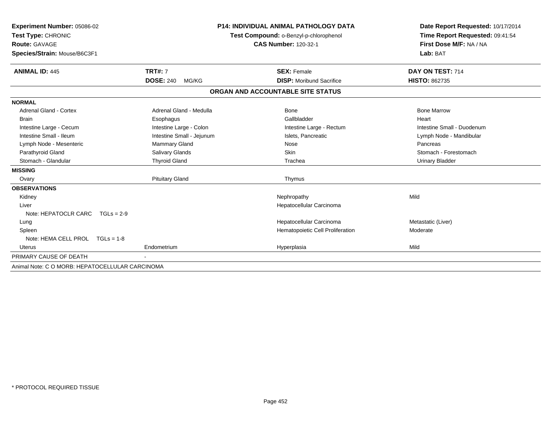| Experiment Number: 05086-02                     |                           | <b>P14: INDIVIDUAL ANIMAL PATHOLOGY DATA</b> | Date Report Requested: 10/17/2014                          |  |
|-------------------------------------------------|---------------------------|----------------------------------------------|------------------------------------------------------------|--|
| Test Type: CHRONIC                              |                           | Test Compound: o-Benzyl-p-chlorophenol       | Time Report Requested: 09:41:54<br>First Dose M/F: NA / NA |  |
| Route: GAVAGE                                   |                           | <b>CAS Number: 120-32-1</b>                  |                                                            |  |
| Species/Strain: Mouse/B6C3F1                    |                           |                                              | Lab: BAT                                                   |  |
| <b>ANIMAL ID: 445</b>                           | <b>TRT#: 7</b>            | <b>SEX: Female</b>                           | DAY ON TEST: 714                                           |  |
|                                                 | <b>DOSE: 240</b><br>MG/KG | <b>DISP:</b> Moribund Sacrifice              | <b>HISTO: 862735</b>                                       |  |
|                                                 |                           | ORGAN AND ACCOUNTABLE SITE STATUS            |                                                            |  |
| <b>NORMAL</b>                                   |                           |                                              |                                                            |  |
| <b>Adrenal Gland - Cortex</b>                   | Adrenal Gland - Medulla   | <b>Bone</b>                                  | <b>Bone Marrow</b>                                         |  |
| <b>Brain</b>                                    | Esophagus                 | Gallbladder                                  | Heart                                                      |  |
| Intestine Large - Cecum                         | Intestine Large - Colon   | Intestine Large - Rectum                     | Intestine Small - Duodenum                                 |  |
| Intestine Small - Ileum                         | Intestine Small - Jejunum | Islets, Pancreatic                           | Lymph Node - Mandibular                                    |  |
| Lymph Node - Mesenteric                         | <b>Mammary Gland</b>      | Nose                                         | Pancreas                                                   |  |
| Parathyroid Gland                               | Salivary Glands           | Skin                                         | Stomach - Forestomach                                      |  |
| Stomach - Glandular                             | <b>Thyroid Gland</b>      | Trachea                                      | <b>Urinary Bladder</b>                                     |  |
| <b>MISSING</b>                                  |                           |                                              |                                                            |  |
| Ovary                                           | <b>Pituitary Gland</b>    | Thymus                                       |                                                            |  |
| <b>OBSERVATIONS</b>                             |                           |                                              |                                                            |  |
| Kidney                                          |                           | Nephropathy                                  | Mild                                                       |  |
| Liver                                           |                           | Hepatocellular Carcinoma                     |                                                            |  |
| Note: HEPATOCLR CARC $TGLs = 2-9$               |                           |                                              |                                                            |  |
| Lung                                            |                           | Hepatocellular Carcinoma                     | Metastatic (Liver)                                         |  |
| Spleen                                          |                           | Hematopoietic Cell Proliferation             | Moderate                                                   |  |
| Note: HEMA CELL PROL TGLs = 1-8                 |                           |                                              |                                                            |  |
| <b>Uterus</b>                                   | Endometrium               | Hyperplasia                                  | Mild                                                       |  |
| PRIMARY CAUSE OF DEATH                          |                           |                                              |                                                            |  |
| Animal Note: C O MORB: HEPATOCELLULAR CARCINOMA |                           |                                              |                                                            |  |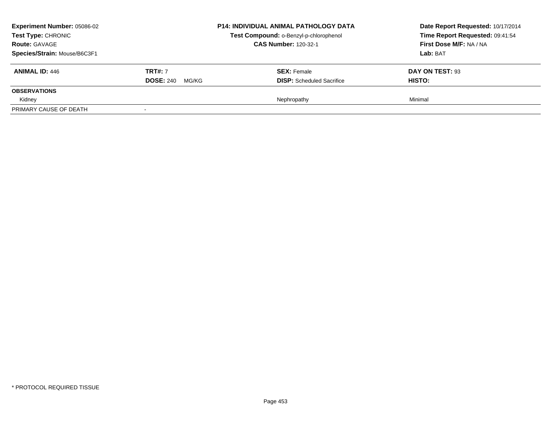|                | <b>P14: INDIVIDUAL ANIMAL PATHOLOGY DATA</b><br>Test Compound: o-Benzyl-p-chlorophenol<br><b>CAS Number: 120-32-1</b> | Date Report Requested: 10/17/2014<br>Time Report Requested: 09:41:54<br>First Dose M/F: NA / NA<br>Lab: BAT |
|----------------|-----------------------------------------------------------------------------------------------------------------------|-------------------------------------------------------------------------------------------------------------|
| <b>TRT#: 7</b> | <b>SEX:</b> Female                                                                                                    | DAY ON TEST: 93<br><b>HISTO:</b>                                                                            |
|                |                                                                                                                       |                                                                                                             |
|                |                                                                                                                       | Minimal                                                                                                     |
|                | <b>DOSE: 240</b><br>MG/KG                                                                                             | <b>DISP:</b> Scheduled Sacrifice<br>Nephropathy                                                             |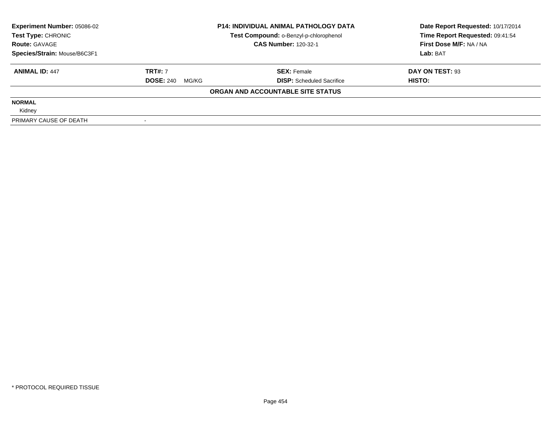| <b>Experiment Number: 05086-02</b> |                        | <b>P14: INDIVIDUAL ANIMAL PATHOLOGY DATA</b> | Date Report Requested: 10/17/2014 |  |
|------------------------------------|------------------------|----------------------------------------------|-----------------------------------|--|
| Test Type: CHRONIC                 |                        | Test Compound: o-Benzyl-p-chlorophenol       | Time Report Requested: 09:41:54   |  |
| <b>Route: GAVAGE</b>               |                        | <b>CAS Number: 120-32-1</b>                  | First Dose M/F: NA / NA           |  |
| Species/Strain: Mouse/B6C3F1       |                        |                                              | Lab: BAT                          |  |
| <b>ANIMAL ID: 447</b>              | <b>TRT#: 7</b>         | <b>SEX: Female</b>                           | DAY ON TEST: 93                   |  |
|                                    | <b>DOSE: 240 MG/KG</b> | <b>DISP:</b> Scheduled Sacrifice             | HISTO:                            |  |
|                                    |                        | ORGAN AND ACCOUNTABLE SITE STATUS            |                                   |  |
| <b>NORMAL</b>                      |                        |                                              |                                   |  |
| Kidney                             |                        |                                              |                                   |  |
| PRIMARY CAUSE OF DEATH             |                        |                                              |                                   |  |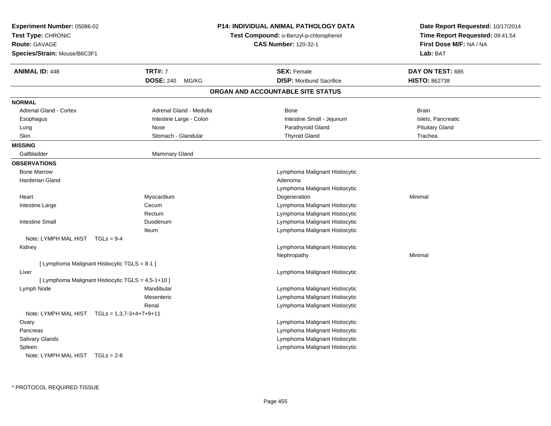| Experiment Number: 05086-02<br>Test Type: CHRONIC<br><b>Route: GAVAGE</b><br>Species/Strain: Mouse/B6C3F1 |                           | <b>P14: INDIVIDUAL ANIMAL PATHOLOGY DATA</b><br>Test Compound: o-Benzyl-p-chlorophenol<br><b>CAS Number: 120-32-1</b> | Date Report Requested: 10/17/2014<br>Time Report Requested: 09:41:54<br>First Dose M/F: NA / NA<br>Lab: BAT |
|-----------------------------------------------------------------------------------------------------------|---------------------------|-----------------------------------------------------------------------------------------------------------------------|-------------------------------------------------------------------------------------------------------------|
| <b>ANIMAL ID: 448</b>                                                                                     | <b>TRT#: 7</b>            | <b>SEX: Female</b>                                                                                                    | DAY ON TEST: 685                                                                                            |
|                                                                                                           | <b>DOSE: 240</b><br>MG/KG | <b>DISP:</b> Moribund Sacrifice                                                                                       | <b>HISTO: 862738</b>                                                                                        |
|                                                                                                           |                           | ORGAN AND ACCOUNTABLE SITE STATUS                                                                                     |                                                                                                             |
| <b>NORMAL</b>                                                                                             |                           |                                                                                                                       |                                                                                                             |
| Adrenal Gland - Cortex                                                                                    | Adrenal Gland - Medulla   | Bone                                                                                                                  | Brain                                                                                                       |
| Esophagus                                                                                                 | Intestine Large - Colon   | Intestine Small - Jejunum                                                                                             | Islets, Pancreatic                                                                                          |
| Lung                                                                                                      | Nose                      | Parathyroid Gland                                                                                                     | <b>Pituitary Gland</b>                                                                                      |
| Skin                                                                                                      | Stomach - Glandular       | <b>Thyroid Gland</b>                                                                                                  | Trachea                                                                                                     |
| <b>MISSING</b>                                                                                            |                           |                                                                                                                       |                                                                                                             |
| Gallbladder                                                                                               | <b>Mammary Gland</b>      |                                                                                                                       |                                                                                                             |
| <b>OBSERVATIONS</b>                                                                                       |                           |                                                                                                                       |                                                                                                             |
| <b>Bone Marrow</b>                                                                                        |                           | Lymphoma Malignant Histiocytic                                                                                        |                                                                                                             |
| <b>Harderian Gland</b>                                                                                    |                           | Adenoma                                                                                                               |                                                                                                             |
|                                                                                                           |                           | Lymphoma Malignant Histiocytic                                                                                        |                                                                                                             |
| Heart                                                                                                     | Myocardium                | Degeneration                                                                                                          | Minimal                                                                                                     |
| Intestine Large                                                                                           | Cecum                     | Lymphoma Malignant Histiocytic                                                                                        |                                                                                                             |
|                                                                                                           | Rectum                    | Lymphoma Malignant Histiocytic                                                                                        |                                                                                                             |
| <b>Intestine Small</b>                                                                                    | Duodenum                  | Lymphoma Malignant Histiocytic                                                                                        |                                                                                                             |
|                                                                                                           | <b>Ileum</b>              | Lymphoma Malignant Histiocytic                                                                                        |                                                                                                             |
| Note: LYMPH MAL HIST TGLs = 9-4                                                                           |                           |                                                                                                                       |                                                                                                             |
| Kidney                                                                                                    |                           | Lymphoma Malignant Histiocytic                                                                                        |                                                                                                             |
|                                                                                                           |                           | Nephropathy                                                                                                           | Minimal                                                                                                     |
| [ Lymphoma Malignant Histiocytic TGLS = 8-1 ]                                                             |                           |                                                                                                                       |                                                                                                             |
| Liver                                                                                                     |                           | Lymphoma Malignant Histiocytic                                                                                        |                                                                                                             |
| [ Lymphoma Malignant Histiocytic TGLS = 4,5-1+10 ]                                                        |                           |                                                                                                                       |                                                                                                             |
| Lymph Node                                                                                                | Mandibular                | Lymphoma Malignant Histiocytic                                                                                        |                                                                                                             |
|                                                                                                           | Mesenteric                | Lymphoma Malignant Histiocytic                                                                                        |                                                                                                             |
|                                                                                                           | Renal                     | Lymphoma Malignant Histiocytic                                                                                        |                                                                                                             |
| Note: LYMPH MAL HIST $TGLs = 1,3,7-3+4+7+9+11$                                                            |                           |                                                                                                                       |                                                                                                             |
| Ovary                                                                                                     |                           | Lymphoma Malignant Histiocytic                                                                                        |                                                                                                             |
| Pancreas                                                                                                  |                           | Lymphoma Malignant Histiocytic                                                                                        |                                                                                                             |
| Salivary Glands                                                                                           |                           | Lymphoma Malignant Histiocytic                                                                                        |                                                                                                             |
| Spleen                                                                                                    |                           | Lymphoma Malignant Histiocytic                                                                                        |                                                                                                             |
| Note: LYMPH MAL HIST TGLs = 2-8                                                                           |                           |                                                                                                                       |                                                                                                             |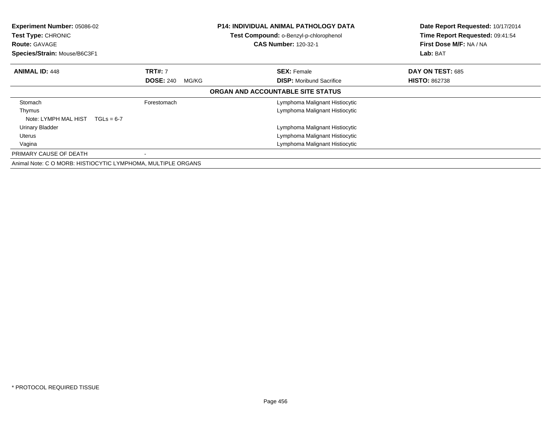| Experiment Number: 05086-02<br><b>Test Type: CHRONIC</b><br><b>Route: GAVAGE</b><br>Species/Strain: Mouse/B6C3F1 |                           | <b>P14: INDIVIDUAL ANIMAL PATHOLOGY DATA</b><br>Test Compound: o-Benzyl-p-chlorophenol<br><b>CAS Number: 120-32-1</b> | Date Report Requested: 10/17/2014<br>Time Report Requested: 09:41:54<br>First Dose M/F: NA / NA<br>Lab: BAT |
|------------------------------------------------------------------------------------------------------------------|---------------------------|-----------------------------------------------------------------------------------------------------------------------|-------------------------------------------------------------------------------------------------------------|
| <b>ANIMAL ID: 448</b>                                                                                            | <b>TRT#: 7</b>            | <b>SEX: Female</b>                                                                                                    | DAY ON TEST: 685                                                                                            |
|                                                                                                                  | <b>DOSE: 240</b><br>MG/KG | <b>DISP:</b> Moribund Sacrifice                                                                                       | <b>HISTO: 862738</b>                                                                                        |
|                                                                                                                  |                           | ORGAN AND ACCOUNTABLE SITE STATUS                                                                                     |                                                                                                             |
| Stomach                                                                                                          | Forestomach               | Lymphoma Malignant Histiocytic                                                                                        |                                                                                                             |
| Thymus<br>Note: LYMPH MAL HIST<br>$TGLs = 6-7$                                                                   |                           | Lymphoma Malignant Histiocytic                                                                                        |                                                                                                             |
| Urinary Bladder                                                                                                  |                           | Lymphoma Malignant Histiocytic                                                                                        |                                                                                                             |
| Uterus                                                                                                           |                           | Lymphoma Malignant Histiocytic                                                                                        |                                                                                                             |
| Vagina                                                                                                           |                           | Lymphoma Malignant Histiocytic                                                                                        |                                                                                                             |
| PRIMARY CAUSE OF DEATH                                                                                           |                           |                                                                                                                       |                                                                                                             |
| Animal Note: C O MORB: HISTIOCYTIC LYMPHOMA, MULTIPLE ORGANS                                                     |                           |                                                                                                                       |                                                                                                             |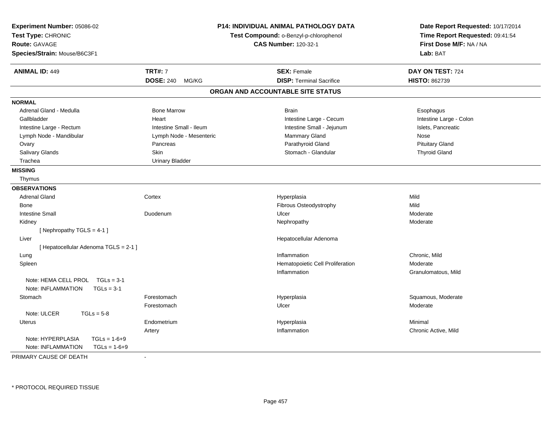| Experiment Number: 05086-02<br>Test Type: CHRONIC<br><b>Route: GAVAGE</b><br>Species/Strain: Mouse/B6C3F1 |                           | P14: INDIVIDUAL ANIMAL PATHOLOGY DATA<br>Test Compound: o-Benzyl-p-chlorophenol<br><b>CAS Number: 120-32-1</b> | Date Report Requested: 10/17/2014<br>Time Report Requested: 09:41:54<br>First Dose M/F: NA / NA<br>Lab: BAT |
|-----------------------------------------------------------------------------------------------------------|---------------------------|----------------------------------------------------------------------------------------------------------------|-------------------------------------------------------------------------------------------------------------|
| <b>ANIMAL ID: 449</b>                                                                                     | <b>TRT#: 7</b>            | <b>SEX: Female</b>                                                                                             | DAY ON TEST: 724                                                                                            |
|                                                                                                           | <b>DOSE: 240</b><br>MG/KG | <b>DISP: Terminal Sacrifice</b>                                                                                | <b>HISTO: 862739</b>                                                                                        |
|                                                                                                           |                           | ORGAN AND ACCOUNTABLE SITE STATUS                                                                              |                                                                                                             |
| <b>NORMAL</b>                                                                                             |                           |                                                                                                                |                                                                                                             |
| Adrenal Gland - Medulla                                                                                   | <b>Bone Marrow</b>        | <b>Brain</b>                                                                                                   | Esophagus                                                                                                   |
| Gallbladder                                                                                               | Heart                     | Intestine Large - Cecum                                                                                        | Intestine Large - Colon                                                                                     |
| Intestine Large - Rectum                                                                                  | Intestine Small - Ileum   | Intestine Small - Jejunum                                                                                      | Islets, Pancreatic                                                                                          |
| Lymph Node - Mandibular                                                                                   | Lymph Node - Mesenteric   | Mammary Gland                                                                                                  | Nose                                                                                                        |
| Ovary                                                                                                     | Pancreas                  | Parathyroid Gland                                                                                              | <b>Pituitary Gland</b>                                                                                      |
| Salivary Glands                                                                                           | Skin                      | Stomach - Glandular                                                                                            | <b>Thyroid Gland</b>                                                                                        |
| Trachea                                                                                                   | <b>Urinary Bladder</b>    |                                                                                                                |                                                                                                             |
| <b>MISSING</b>                                                                                            |                           |                                                                                                                |                                                                                                             |
| Thymus                                                                                                    |                           |                                                                                                                |                                                                                                             |
| <b>OBSERVATIONS</b>                                                                                       |                           |                                                                                                                |                                                                                                             |
| <b>Adrenal Gland</b>                                                                                      | Cortex                    | Hyperplasia                                                                                                    | Mild                                                                                                        |
| Bone                                                                                                      |                           | Fibrous Osteodystrophy                                                                                         | Mild                                                                                                        |
| <b>Intestine Small</b>                                                                                    | Duodenum                  | Ulcer                                                                                                          | Moderate                                                                                                    |
| Kidney                                                                                                    |                           | Nephropathy                                                                                                    | Moderate                                                                                                    |
| [Nephropathy TGLS = 4-1]                                                                                  |                           |                                                                                                                |                                                                                                             |
| Liver                                                                                                     |                           | Hepatocellular Adenoma                                                                                         |                                                                                                             |
| [ Hepatocellular Adenoma TGLS = 2-1 ]                                                                     |                           |                                                                                                                |                                                                                                             |
| Lung                                                                                                      |                           | Inflammation                                                                                                   | Chronic, Mild                                                                                               |
| Spleen                                                                                                    |                           | Hematopoietic Cell Proliferation                                                                               | Moderate                                                                                                    |
|                                                                                                           |                           | Inflammation                                                                                                   | Granulomatous, Mild                                                                                         |
| Note: HEMA CELL PROL TGLs = 3-1<br>Note: INFLAMMATION<br>$TGLs = 3-1$                                     |                           |                                                                                                                |                                                                                                             |
| Stomach                                                                                                   | Forestomach               | Hyperplasia                                                                                                    | Squamous, Moderate                                                                                          |
|                                                                                                           | Forestomach               | Ulcer                                                                                                          | Moderate                                                                                                    |
| Note: ULCER<br>$TGLs = 5-8$                                                                               |                           |                                                                                                                |                                                                                                             |
| Uterus                                                                                                    | Endometrium               | Hyperplasia                                                                                                    | Minimal                                                                                                     |
|                                                                                                           | Artery                    | Inflammation                                                                                                   | Chronic Active, Mild                                                                                        |
| Note: HYPERPLASIA<br>$TGLs = 1-6+9$                                                                       |                           |                                                                                                                |                                                                                                             |
| Note: INFLAMMATION<br>$TGLs = 1-6+9$                                                                      |                           |                                                                                                                |                                                                                                             |

PRIMARY CAUSE OF DEATH-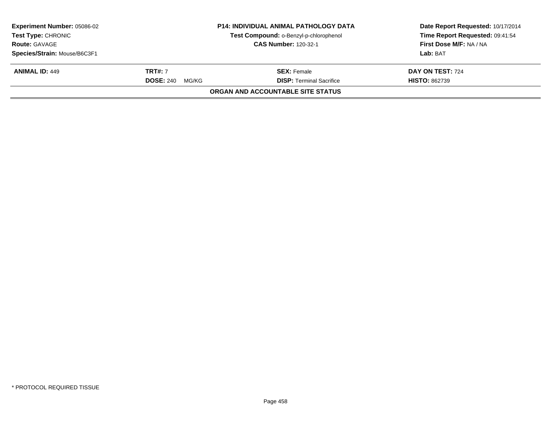| <b>Experiment Number: 05086-02</b><br><b>Test Type: CHRONIC</b><br><b>Route: GAVAGE</b><br>Species/Strain: Mouse/B6C3F1 |                                             | <b>P14: INDIVIDUAL ANIMAL PATHOLOGY DATA</b><br>Test Compound: o-Benzyl-p-chlorophenol<br><b>CAS Number: 120-32-1</b> | Date Report Requested: 10/17/2014<br>Time Report Requested: 09:41:54<br>First Dose M/F: NA / NA<br>Lab: BAT |
|-------------------------------------------------------------------------------------------------------------------------|---------------------------------------------|-----------------------------------------------------------------------------------------------------------------------|-------------------------------------------------------------------------------------------------------------|
| <b>ANIMAL ID: 449</b>                                                                                                   | <b>TRT#: 7</b><br><b>DOSE: 240</b><br>MG/KG | <b>SEX:</b> Female<br><b>DISP:</b> Terminal Sacrifice                                                                 | DAY ON TEST: 724<br><b>HISTO: 862739</b>                                                                    |
|                                                                                                                         |                                             | <b>ORGAN AND ACCOUNTABLE SITE STATUS</b>                                                                              |                                                                                                             |
|                                                                                                                         |                                             |                                                                                                                       |                                                                                                             |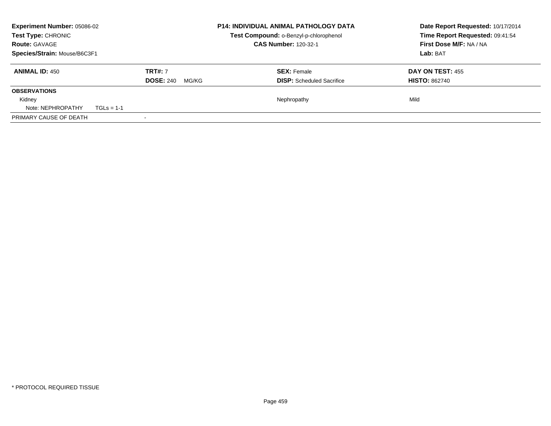| <b>Experiment Number: 05086-02</b><br>Test Type: CHRONIC<br><b>Route: GAVAGE</b> |                             |                                    |          | <b>P14: INDIVIDUAL ANIMAL PATHOLOGY DATA</b><br>Test Compound: o-Benzyl-p-chlorophenol | Date Report Requested: 10/17/2014<br>Time Report Requested: 09:41:54<br>First Dose M/F: NA / NA |  |
|----------------------------------------------------------------------------------|-----------------------------|------------------------------------|----------|----------------------------------------------------------------------------------------|-------------------------------------------------------------------------------------------------|--|
| Species/Strain: Mouse/B6C3F1                                                     | <b>CAS Number: 120-32-1</b> |                                    | Lab: BAT |                                                                                        |                                                                                                 |  |
| <b>ANIMAL ID: 450</b>                                                            |                             | <b>TRT#: 7</b><br><b>DOSE: 240</b> | MG/KG    | <b>SEX: Female</b><br><b>DISP:</b> Scheduled Sacrifice                                 | <b>DAY ON TEST: 455</b><br><b>HISTO: 862740</b>                                                 |  |
| <b>OBSERVATIONS</b>                                                              |                             |                                    |          |                                                                                        |                                                                                                 |  |
| Kidney<br>Note: NEPHROPATHY                                                      | $TGLs = 1-1$                |                                    |          | Nephropathy                                                                            | Mild                                                                                            |  |
| PRIMARY CAUSE OF DEATH                                                           |                             |                                    |          |                                                                                        |                                                                                                 |  |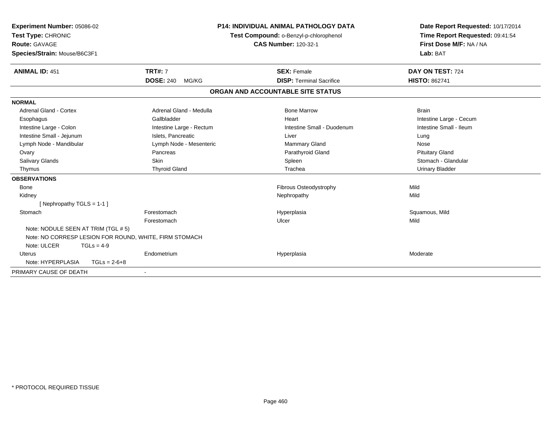| Experiment Number: 05086-02<br>Test Type: CHRONIC<br>Route: GAVAGE<br>Species/Strain: Mouse/B6C3F1 | <b>P14: INDIVIDUAL ANIMAL PATHOLOGY DATA</b><br>Test Compound: o-Benzyl-p-chlorophenol<br><b>CAS Number: 120-32-1</b> |                                   | Date Report Requested: 10/17/2014<br>Time Report Requested: 09:41:54<br>First Dose M/F: NA / NA<br>Lab: BAT |  |
|----------------------------------------------------------------------------------------------------|-----------------------------------------------------------------------------------------------------------------------|-----------------------------------|-------------------------------------------------------------------------------------------------------------|--|
| <b>ANIMAL ID: 451</b>                                                                              | <b>TRT#: 7</b>                                                                                                        | <b>SEX: Female</b>                | DAY ON TEST: 724                                                                                            |  |
|                                                                                                    | <b>DOSE: 240</b><br>MG/KG                                                                                             | <b>DISP: Terminal Sacrifice</b>   | <b>HISTO: 862741</b>                                                                                        |  |
|                                                                                                    |                                                                                                                       | ORGAN AND ACCOUNTABLE SITE STATUS |                                                                                                             |  |
| <b>NORMAL</b>                                                                                      |                                                                                                                       |                                   |                                                                                                             |  |
| Adrenal Gland - Cortex                                                                             | Adrenal Gland - Medulla                                                                                               | <b>Bone Marrow</b>                | <b>Brain</b>                                                                                                |  |
| Esophagus                                                                                          | Gallbladder                                                                                                           | Heart                             | Intestine Large - Cecum                                                                                     |  |
| Intestine Large - Colon                                                                            | Intestine Large - Rectum                                                                                              | Intestine Small - Duodenum        | Intestine Small - Ileum                                                                                     |  |
| Intestine Small - Jejunum                                                                          | Islets, Pancreatic                                                                                                    | Liver                             | Lung                                                                                                        |  |
| Lymph Node - Mandibular                                                                            | Lymph Node - Mesenteric                                                                                               | <b>Mammary Gland</b>              | Nose                                                                                                        |  |
| Ovary                                                                                              | Pancreas                                                                                                              | Parathyroid Gland                 | <b>Pituitary Gland</b>                                                                                      |  |
| Salivary Glands                                                                                    | <b>Skin</b>                                                                                                           | Spleen                            | Stomach - Glandular                                                                                         |  |
| Thymus                                                                                             | <b>Thyroid Gland</b>                                                                                                  | Trachea                           | <b>Urinary Bladder</b>                                                                                      |  |
| <b>OBSERVATIONS</b>                                                                                |                                                                                                                       |                                   |                                                                                                             |  |
| <b>Bone</b>                                                                                        |                                                                                                                       | Fibrous Osteodystrophy            | Mild                                                                                                        |  |
| Kidney                                                                                             |                                                                                                                       | Nephropathy                       | Mild                                                                                                        |  |
| [Nephropathy TGLS = $1-1$ ]                                                                        |                                                                                                                       |                                   |                                                                                                             |  |
| Stomach                                                                                            | Forestomach                                                                                                           | Hyperplasia                       | Squamous, Mild                                                                                              |  |
|                                                                                                    | Forestomach                                                                                                           | Ulcer                             | Mild                                                                                                        |  |
| Note: NODULE SEEN AT TRIM (TGL # 5)                                                                |                                                                                                                       |                                   |                                                                                                             |  |
| Note: NO CORRESP LESION FOR ROUND, WHITE, FIRM STOMACH                                             |                                                                                                                       |                                   |                                                                                                             |  |
| Note: ULCER<br>$TGLs = 4-9$                                                                        |                                                                                                                       |                                   |                                                                                                             |  |
| Uterus                                                                                             | Endometrium                                                                                                           | Hyperplasia                       | Moderate                                                                                                    |  |
| Note: HYPERPLASIA<br>$TGLs = 2-6+8$                                                                |                                                                                                                       |                                   |                                                                                                             |  |
| PRIMARY CAUSE OF DEATH                                                                             |                                                                                                                       |                                   |                                                                                                             |  |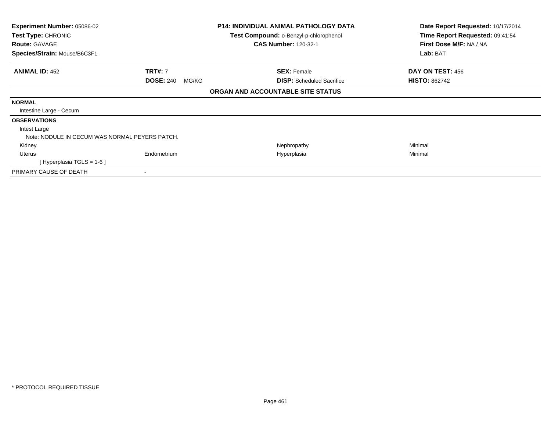| <b>Experiment Number: 05086-02</b>             |                           | <b>P14: INDIVIDUAL ANIMAL PATHOLOGY DATA</b>                          | Date Report Requested: 10/17/2014                          |
|------------------------------------------------|---------------------------|-----------------------------------------------------------------------|------------------------------------------------------------|
| Test Type: CHRONIC<br><b>Route: GAVAGE</b>     |                           | Test Compound: o-Benzyl-p-chlorophenol<br><b>CAS Number: 120-32-1</b> | Time Report Requested: 09:41:54<br>First Dose M/F: NA / NA |
| Species/Strain: Mouse/B6C3F1                   |                           |                                                                       | Lab: BAT                                                   |
| <b>ANIMAL ID: 452</b>                          | <b>TRT#: 7</b>            | <b>SEX: Female</b>                                                    | DAY ON TEST: 456                                           |
|                                                | <b>DOSE: 240</b><br>MG/KG | <b>DISP:</b> Scheduled Sacrifice                                      | <b>HISTO: 862742</b>                                       |
|                                                |                           | ORGAN AND ACCOUNTABLE SITE STATUS                                     |                                                            |
| <b>NORMAL</b>                                  |                           |                                                                       |                                                            |
| Intestine Large - Cecum                        |                           |                                                                       |                                                            |
| <b>OBSERVATIONS</b>                            |                           |                                                                       |                                                            |
| Intest Large                                   |                           |                                                                       |                                                            |
| Note: NODULE IN CECUM WAS NORMAL PEYERS PATCH. |                           |                                                                       |                                                            |
| Kidney                                         |                           | Nephropathy                                                           | Minimal                                                    |
| <b>Uterus</b>                                  | Endometrium               | Hyperplasia                                                           | Minimal                                                    |
| [ Hyperplasia TGLS = 1-6 ]                     |                           |                                                                       |                                                            |
| PRIMARY CAUSE OF DEATH                         |                           |                                                                       |                                                            |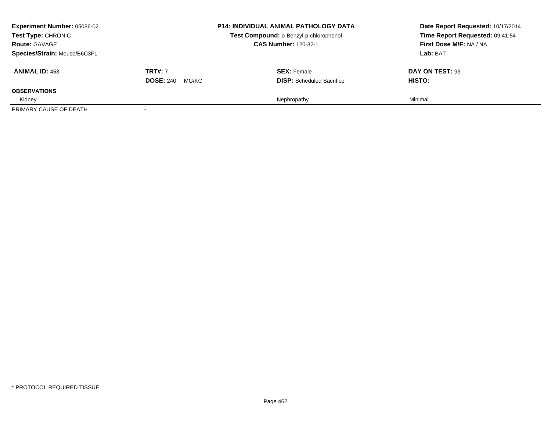| <b>Experiment Number: 05086-02</b><br>Test Type: CHRONIC<br><b>Route: GAVAGE</b><br>Species/Strain: Mouse/B6C3F1 |                                             | <b>P14: INDIVIDUAL ANIMAL PATHOLOGY DATA</b><br>Test Compound: o-Benzyl-p-chlorophenol<br><b>CAS Number: 120-32-1</b> | Date Report Requested: 10/17/2014<br>Time Report Requested: 09:41:54<br>First Dose M/F: NA / NA<br>Lab: BAT |  |
|------------------------------------------------------------------------------------------------------------------|---------------------------------------------|-----------------------------------------------------------------------------------------------------------------------|-------------------------------------------------------------------------------------------------------------|--|
| <b>ANIMAL ID: 453</b>                                                                                            | <b>TRT#: 7</b><br><b>DOSE: 240</b><br>MG/KG | <b>SEX:</b> Female<br><b>DISP:</b> Scheduled Sacrifice                                                                | DAY ON TEST: 93<br><b>HISTO:</b>                                                                            |  |
| <b>OBSERVATIONS</b>                                                                                              |                                             |                                                                                                                       |                                                                                                             |  |
| Kidney<br>PRIMARY CAUSE OF DEATH                                                                                 |                                             | Nephropathy                                                                                                           | Minimal                                                                                                     |  |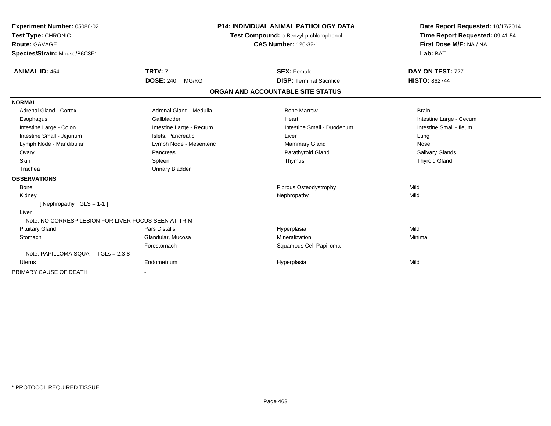| Experiment Number: 05086-02<br>Test Type: CHRONIC<br>Route: GAVAGE<br>Species/Strain: Mouse/B6C3F1<br><b>ANIMAL ID: 454</b> | <b>P14: INDIVIDUAL ANIMAL PATHOLOGY DATA</b><br>Test Compound: o-Benzyl-p-chlorophenol<br><b>CAS Number: 120-32-1</b><br><b>TRT#: 7</b><br><b>SEX: Female</b> |  | Date Report Requested: 10/17/2014<br>Time Report Requested: 09:41:54<br>First Dose M/F: NA / NA<br>Lab: BAT<br>DAY ON TEST: 727 |                         |
|-----------------------------------------------------------------------------------------------------------------------------|---------------------------------------------------------------------------------------------------------------------------------------------------------------|--|---------------------------------------------------------------------------------------------------------------------------------|-------------------------|
|                                                                                                                             | <b>DOSE: 240</b><br>MG/KG                                                                                                                                     |  | <b>DISP: Terminal Sacrifice</b>                                                                                                 | <b>HISTO: 862744</b>    |
|                                                                                                                             |                                                                                                                                                               |  | ORGAN AND ACCOUNTABLE SITE STATUS                                                                                               |                         |
| <b>NORMAL</b>                                                                                                               |                                                                                                                                                               |  |                                                                                                                                 |                         |
| Adrenal Gland - Cortex                                                                                                      | Adrenal Gland - Medulla                                                                                                                                       |  | <b>Bone Marrow</b>                                                                                                              | <b>Brain</b>            |
| Esophagus                                                                                                                   | Gallbladder                                                                                                                                                   |  | Heart                                                                                                                           | Intestine Large - Cecum |
| Intestine Large - Colon                                                                                                     | Intestine Large - Rectum                                                                                                                                      |  | Intestine Small - Duodenum                                                                                                      | Intestine Small - Ileum |
| Intestine Small - Jejunum                                                                                                   | Islets, Pancreatic                                                                                                                                            |  | Liver                                                                                                                           | Lung                    |
| Lymph Node - Mandibular                                                                                                     | Lymph Node - Mesenteric                                                                                                                                       |  | <b>Mammary Gland</b>                                                                                                            | Nose                    |
| Ovary                                                                                                                       | Pancreas                                                                                                                                                      |  | Parathyroid Gland                                                                                                               | <b>Salivary Glands</b>  |
| Skin                                                                                                                        | Spleen                                                                                                                                                        |  | Thymus                                                                                                                          | <b>Thyroid Gland</b>    |
| Trachea                                                                                                                     | <b>Urinary Bladder</b>                                                                                                                                        |  |                                                                                                                                 |                         |
| <b>OBSERVATIONS</b>                                                                                                         |                                                                                                                                                               |  |                                                                                                                                 |                         |
| <b>Bone</b>                                                                                                                 |                                                                                                                                                               |  | Fibrous Osteodystrophy                                                                                                          | Mild                    |
| Kidney                                                                                                                      |                                                                                                                                                               |  | Nephropathy                                                                                                                     | Mild                    |
| [Nephropathy TGLS = $1-1$ ]                                                                                                 |                                                                                                                                                               |  |                                                                                                                                 |                         |
| Liver                                                                                                                       |                                                                                                                                                               |  |                                                                                                                                 |                         |
| Note: NO CORRESP LESION FOR LIVER FOCUS SEEN AT TRIM                                                                        |                                                                                                                                                               |  |                                                                                                                                 |                         |
| <b>Pituitary Gland</b>                                                                                                      | Pars Distalis                                                                                                                                                 |  | Hyperplasia                                                                                                                     | Mild                    |
| Stomach                                                                                                                     | Glandular, Mucosa                                                                                                                                             |  | Mineralization                                                                                                                  | Minimal                 |
|                                                                                                                             | Forestomach                                                                                                                                                   |  | Squamous Cell Papilloma                                                                                                         |                         |
| Note: PAPILLOMA SQUA TGLs = 2,3-8                                                                                           |                                                                                                                                                               |  |                                                                                                                                 |                         |
| <b>Uterus</b>                                                                                                               | Endometrium                                                                                                                                                   |  | Hyperplasia                                                                                                                     | Mild                    |
| PRIMARY CAUSE OF DEATH                                                                                                      |                                                                                                                                                               |  |                                                                                                                                 |                         |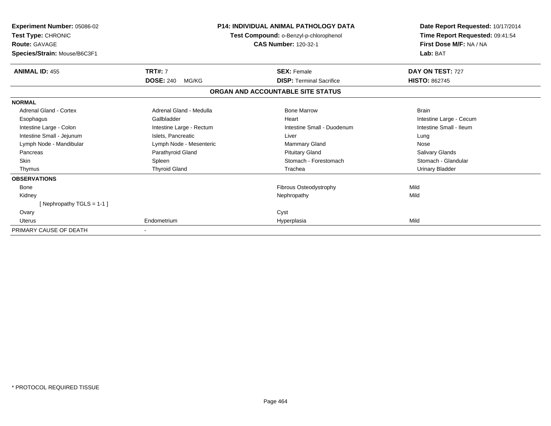| Experiment Number: 05086-02<br>Test Type: CHRONIC<br>Route: GAVAGE<br>Species/Strain: Mouse/B6C3F1 | <b>P14: INDIVIDUAL ANIMAL PATHOLOGY DATA</b><br>Test Compound: o-Benzyl-p-chlorophenol<br><b>CAS Number: 120-32-1</b> |                                   | Date Report Requested: 10/17/2014<br>Time Report Requested: 09:41:54<br>First Dose M/F: NA / NA<br>Lab: BAT |
|----------------------------------------------------------------------------------------------------|-----------------------------------------------------------------------------------------------------------------------|-----------------------------------|-------------------------------------------------------------------------------------------------------------|
| <b>ANIMAL ID: 455</b>                                                                              | <b>TRT#: 7</b>                                                                                                        | <b>SEX: Female</b>                | DAY ON TEST: 727                                                                                            |
|                                                                                                    | <b>DOSE: 240</b><br>MG/KG                                                                                             | <b>DISP: Terminal Sacrifice</b>   | <b>HISTO: 862745</b>                                                                                        |
|                                                                                                    |                                                                                                                       | ORGAN AND ACCOUNTABLE SITE STATUS |                                                                                                             |
| <b>NORMAL</b>                                                                                      |                                                                                                                       |                                   |                                                                                                             |
| <b>Adrenal Gland - Cortex</b>                                                                      | Adrenal Gland - Medulla                                                                                               | <b>Bone Marrow</b>                | <b>Brain</b>                                                                                                |
| Esophagus                                                                                          | Gallbladder                                                                                                           | Heart                             | Intestine Large - Cecum                                                                                     |
| Intestine Large - Colon                                                                            | Intestine Large - Rectum                                                                                              | Intestine Small - Duodenum        | Intestine Small - Ileum                                                                                     |
| Intestine Small - Jejunum                                                                          | Islets, Pancreatic                                                                                                    | Liver                             | Lung                                                                                                        |
| Lymph Node - Mandibular                                                                            | Lymph Node - Mesenteric                                                                                               | Mammary Gland                     | Nose                                                                                                        |
| Pancreas                                                                                           | Parathyroid Gland                                                                                                     | <b>Pituitary Gland</b>            | Salivary Glands                                                                                             |
| <b>Skin</b>                                                                                        | Spleen                                                                                                                | Stomach - Forestomach             | Stomach - Glandular                                                                                         |
| Thymus                                                                                             | <b>Thyroid Gland</b>                                                                                                  | Trachea                           | Urinary Bladder                                                                                             |
| <b>OBSERVATIONS</b>                                                                                |                                                                                                                       |                                   |                                                                                                             |
| <b>Bone</b>                                                                                        |                                                                                                                       | Fibrous Osteodystrophy            | Mild                                                                                                        |
| Kidney                                                                                             |                                                                                                                       | Nephropathy                       | Mild                                                                                                        |
| [Nephropathy TGLS = 1-1]                                                                           |                                                                                                                       |                                   |                                                                                                             |
| Ovary                                                                                              |                                                                                                                       | Cyst                              |                                                                                                             |
| <b>Uterus</b>                                                                                      | Endometrium                                                                                                           | Hyperplasia                       | Mild                                                                                                        |
| PRIMARY CAUSE OF DEATH                                                                             |                                                                                                                       |                                   |                                                                                                             |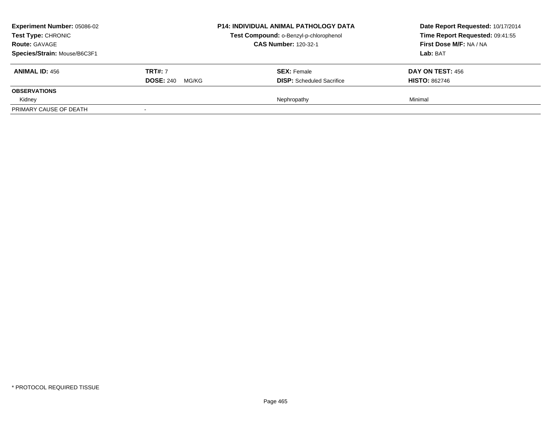| <b>Experiment Number: 05086-02</b><br>Test Type: CHRONIC<br><b>Route: GAVAGE</b><br>Species/Strain: Mouse/B6C3F1 |                           | <b>P14: INDIVIDUAL ANIMAL PATHOLOGY DATA</b><br>Test Compound: o-Benzyl-p-chlorophenol<br><b>CAS Number: 120-32-1</b> | Date Report Requested: 10/17/2014<br>Time Report Requested: 09:41:55<br>First Dose M/F: NA / NA<br>Lab: BAT |
|------------------------------------------------------------------------------------------------------------------|---------------------------|-----------------------------------------------------------------------------------------------------------------------|-------------------------------------------------------------------------------------------------------------|
| <b>ANIMAL ID: 456</b>                                                                                            | <b>TRT#: 7</b>            | <b>SEX: Female</b>                                                                                                    | <b>DAY ON TEST: 456</b>                                                                                     |
|                                                                                                                  | <b>DOSE: 240</b><br>MG/KG | <b>DISP:</b> Scheduled Sacrifice                                                                                      | <b>HISTO: 862746</b>                                                                                        |
| <b>OBSERVATIONS</b>                                                                                              |                           |                                                                                                                       |                                                                                                             |
| Kidney                                                                                                           |                           | Nephropathy                                                                                                           | Minimal                                                                                                     |
| PRIMARY CAUSE OF DEATH                                                                                           | $\overline{\phantom{a}}$  |                                                                                                                       |                                                                                                             |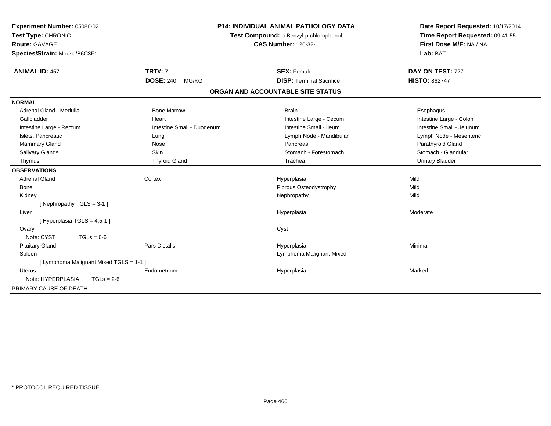| Experiment Number: 05086-02             |                            | P14: INDIVIDUAL ANIMAL PATHOLOGY DATA  | Date Report Requested: 10/17/2014 |
|-----------------------------------------|----------------------------|----------------------------------------|-----------------------------------|
| Test Type: CHRONIC                      |                            | Test Compound: o-Benzyl-p-chlorophenol | Time Report Requested: 09:41:55   |
| <b>Route: GAVAGE</b>                    |                            | <b>CAS Number: 120-32-1</b>            | First Dose M/F: NA / NA           |
| Species/Strain: Mouse/B6C3F1            |                            |                                        | Lab: BAT                          |
| <b>ANIMAL ID: 457</b>                   | <b>TRT#: 7</b>             | <b>SEX: Female</b>                     | DAY ON TEST: 727                  |
|                                         | <b>DOSE: 240</b><br>MG/KG  | <b>DISP: Terminal Sacrifice</b>        | <b>HISTO: 862747</b>              |
|                                         |                            | ORGAN AND ACCOUNTABLE SITE STATUS      |                                   |
| <b>NORMAL</b>                           |                            |                                        |                                   |
| Adrenal Gland - Medulla                 | <b>Bone Marrow</b>         | <b>Brain</b>                           | Esophagus                         |
| Gallbladder                             | Heart                      | Intestine Large - Cecum                | Intestine Large - Colon           |
| Intestine Large - Rectum                | Intestine Small - Duodenum | Intestine Small - Ileum                | Intestine Small - Jejunum         |
| Islets, Pancreatic                      | Lung                       | Lymph Node - Mandibular                | Lymph Node - Mesenteric           |
| Mammary Gland                           | Nose                       | Pancreas                               | Parathyroid Gland                 |
| Salivary Glands                         | Skin                       | Stomach - Forestomach                  | Stomach - Glandular               |
| Thymus                                  | <b>Thyroid Gland</b>       | Trachea                                | <b>Urinary Bladder</b>            |
| <b>OBSERVATIONS</b>                     |                            |                                        |                                   |
| <b>Adrenal Gland</b>                    | Cortex                     | Hyperplasia                            | Mild                              |
| <b>Bone</b>                             |                            | Fibrous Osteodystrophy                 | Mild                              |
| Kidney                                  |                            | Nephropathy                            | Mild                              |
| [Nephropathy TGLS = 3-1]                |                            |                                        |                                   |
| Liver                                   |                            | Hyperplasia                            | Moderate                          |
| [Hyperplasia TGLS = 4,5-1]              |                            |                                        |                                   |
| Ovary                                   |                            | Cyst                                   |                                   |
| Note: CYST<br>$TGLs = 6-6$              |                            |                                        |                                   |
| <b>Pituitary Gland</b>                  | <b>Pars Distalis</b>       | Hyperplasia                            | Minimal                           |
| Spleen                                  |                            | Lymphoma Malignant Mixed               |                                   |
| [ Lymphoma Malignant Mixed TGLS = 1-1 ] |                            |                                        |                                   |
| <b>Uterus</b>                           | Endometrium                | Hyperplasia                            | Marked                            |
| Note: HYPERPLASIA<br>$TGLs = 2-6$       |                            |                                        |                                   |
| PRIMARY CAUSE OF DEATH                  | $\overline{\phantom{a}}$   |                                        |                                   |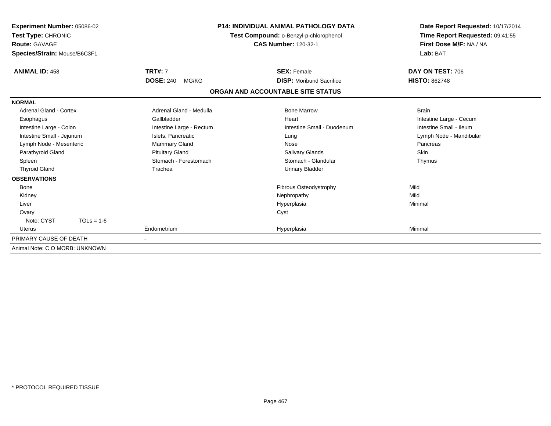| <b>Experiment Number: 05086-02</b><br>Test Type: CHRONIC<br><b>Route: GAVAGE</b><br>Species/Strain: Mouse/B6C3F1 |                           | <b>P14: INDIVIDUAL ANIMAL PATHOLOGY DATA</b><br>Test Compound: o-Benzyl-p-chlorophenol<br><b>CAS Number: 120-32-1</b> | Date Report Requested: 10/17/2014<br>Time Report Requested: 09:41:55<br>First Dose M/F: NA / NA<br>Lab: BAT |
|------------------------------------------------------------------------------------------------------------------|---------------------------|-----------------------------------------------------------------------------------------------------------------------|-------------------------------------------------------------------------------------------------------------|
| <b>ANIMAL ID: 458</b>                                                                                            | <b>TRT#: 7</b>            | <b>SEX: Female</b>                                                                                                    | DAY ON TEST: 706                                                                                            |
|                                                                                                                  | <b>DOSE: 240</b><br>MG/KG | <b>DISP:</b> Moribund Sacrifice                                                                                       | <b>HISTO: 862748</b>                                                                                        |
|                                                                                                                  |                           | ORGAN AND ACCOUNTABLE SITE STATUS                                                                                     |                                                                                                             |
| <b>NORMAL</b>                                                                                                    |                           |                                                                                                                       |                                                                                                             |
| <b>Adrenal Gland - Cortex</b>                                                                                    | Adrenal Gland - Medulla   | <b>Bone Marrow</b>                                                                                                    | <b>Brain</b>                                                                                                |
| Esophagus                                                                                                        | Gallbladder               | Heart                                                                                                                 | Intestine Large - Cecum                                                                                     |
| Intestine Large - Colon                                                                                          | Intestine Large - Rectum  | Intestine Small - Duodenum                                                                                            | Intestine Small - Ileum                                                                                     |
| Intestine Small - Jejunum                                                                                        | Islets, Pancreatic        | Lung                                                                                                                  | Lymph Node - Mandibular                                                                                     |
| Lymph Node - Mesenteric                                                                                          | <b>Mammary Gland</b>      | Nose                                                                                                                  | Pancreas                                                                                                    |
| Parathyroid Gland                                                                                                | <b>Pituitary Gland</b>    | Salivary Glands                                                                                                       | Skin                                                                                                        |
| Spleen                                                                                                           | Stomach - Forestomach     | Stomach - Glandular                                                                                                   | Thymus                                                                                                      |
| <b>Thyroid Gland</b>                                                                                             | Trachea                   | <b>Urinary Bladder</b>                                                                                                |                                                                                                             |
| <b>OBSERVATIONS</b>                                                                                              |                           |                                                                                                                       |                                                                                                             |
| Bone                                                                                                             |                           | Fibrous Osteodystrophy                                                                                                | Mild                                                                                                        |
| Kidney                                                                                                           |                           | Nephropathy                                                                                                           | Mild                                                                                                        |
| Liver                                                                                                            |                           | Hyperplasia                                                                                                           | Minimal                                                                                                     |
| Ovary                                                                                                            |                           | Cyst                                                                                                                  |                                                                                                             |
| Note: CYST<br>$TGLs = 1-6$                                                                                       |                           |                                                                                                                       |                                                                                                             |
| Uterus                                                                                                           | Endometrium               | Hyperplasia                                                                                                           | Minimal                                                                                                     |
| PRIMARY CAUSE OF DEATH                                                                                           |                           |                                                                                                                       |                                                                                                             |
| Animal Note: C O MORB: UNKNOWN                                                                                   |                           |                                                                                                                       |                                                                                                             |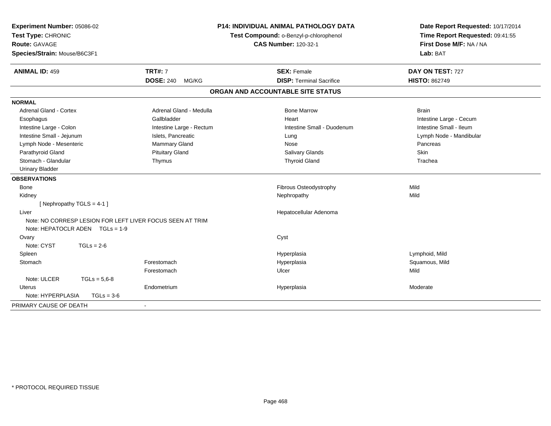| Experiment Number: 05086-02<br>Test Type: CHRONIC<br><b>Route: GAVAGE</b><br>Species/Strain: Mouse/B6C3F1 | <b>P14: INDIVIDUAL ANIMAL PATHOLOGY DATA</b><br>Test Compound: o-Benzyl-p-chlorophenol<br><b>CAS Number: 120-32-1</b> |                                   | Date Report Requested: 10/17/2014<br>Time Report Requested: 09:41:55<br>First Dose M/F: NA / NA<br>Lab: BAT |  |
|-----------------------------------------------------------------------------------------------------------|-----------------------------------------------------------------------------------------------------------------------|-----------------------------------|-------------------------------------------------------------------------------------------------------------|--|
| <b>ANIMAL ID: 459</b>                                                                                     | <b>TRT#: 7</b>                                                                                                        | <b>SEX: Female</b>                | DAY ON TEST: 727                                                                                            |  |
|                                                                                                           | <b>DOSE: 240</b><br>MG/KG                                                                                             | <b>DISP: Terminal Sacrifice</b>   | <b>HISTO: 862749</b>                                                                                        |  |
|                                                                                                           |                                                                                                                       | ORGAN AND ACCOUNTABLE SITE STATUS |                                                                                                             |  |
| <b>NORMAL</b>                                                                                             |                                                                                                                       |                                   |                                                                                                             |  |
| Adrenal Gland - Cortex                                                                                    | Adrenal Gland - Medulla                                                                                               | <b>Bone Marrow</b>                | <b>Brain</b>                                                                                                |  |
| Esophagus                                                                                                 | Gallbladder                                                                                                           | Heart                             | Intestine Large - Cecum                                                                                     |  |
| Intestine Large - Colon                                                                                   | Intestine Large - Rectum                                                                                              | Intestine Small - Duodenum        | Intestine Small - Ileum                                                                                     |  |
| Intestine Small - Jejunum                                                                                 | Islets, Pancreatic                                                                                                    | Lung                              | Lymph Node - Mandibular                                                                                     |  |
| Lymph Node - Mesenteric                                                                                   | Mammary Gland                                                                                                         | Nose                              | Pancreas                                                                                                    |  |
| Parathyroid Gland                                                                                         | <b>Pituitary Gland</b>                                                                                                | <b>Salivary Glands</b>            | <b>Skin</b>                                                                                                 |  |
| Stomach - Glandular                                                                                       | Thymus                                                                                                                | <b>Thyroid Gland</b>              | Trachea                                                                                                     |  |
| <b>Urinary Bladder</b>                                                                                    |                                                                                                                       |                                   |                                                                                                             |  |
| <b>OBSERVATIONS</b>                                                                                       |                                                                                                                       |                                   |                                                                                                             |  |
| <b>Bone</b>                                                                                               |                                                                                                                       | Fibrous Osteodystrophy            | Mild                                                                                                        |  |
| Kidney                                                                                                    |                                                                                                                       | Nephropathy                       | Mild                                                                                                        |  |
| [ Nephropathy TGLS = 4-1 ]                                                                                |                                                                                                                       |                                   |                                                                                                             |  |
| Liver                                                                                                     |                                                                                                                       | Hepatocellular Adenoma            |                                                                                                             |  |
| Note: NO CORRESP LESION FOR LEFT LIVER FOCUS SEEN AT TRIM<br>Note: HEPATOCLR ADEN TGLs = 1-9              |                                                                                                                       |                                   |                                                                                                             |  |
| Ovary                                                                                                     |                                                                                                                       | Cyst                              |                                                                                                             |  |
| Note: CYST<br>$TGLs = 2-6$                                                                                |                                                                                                                       |                                   |                                                                                                             |  |
| Spleen                                                                                                    |                                                                                                                       | Hyperplasia                       | Lymphoid, Mild                                                                                              |  |
| Stomach                                                                                                   | Forestomach                                                                                                           | Hyperplasia                       | Squamous, Mild                                                                                              |  |
|                                                                                                           | Forestomach                                                                                                           | Ulcer                             | Mild                                                                                                        |  |
| Note: ULCER<br>$TGLs = 5.6 - 8$                                                                           |                                                                                                                       |                                   |                                                                                                             |  |
| <b>Uterus</b>                                                                                             | Endometrium                                                                                                           | Hyperplasia                       | Moderate                                                                                                    |  |
| Note: HYPERPLASIA<br>$TGLs = 3-6$                                                                         |                                                                                                                       |                                   |                                                                                                             |  |
| PRIMARY CAUSE OF DEATH                                                                                    |                                                                                                                       |                                   |                                                                                                             |  |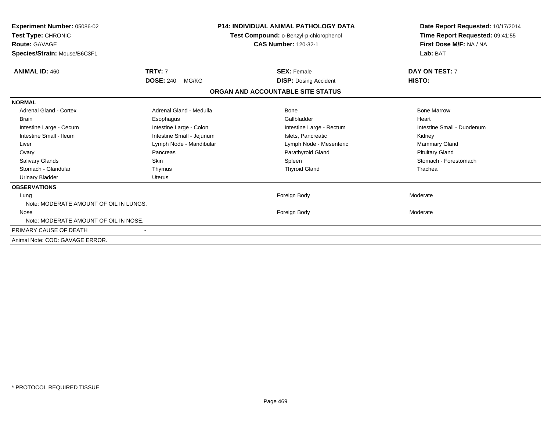| <b>Experiment Number: 05086-02</b><br>Test Type: CHRONIC<br><b>Route: GAVAGE</b><br>Species/Strain: Mouse/B6C3F1 | P14: INDIVIDUAL ANIMAL PATHOLOGY DATA<br>Test Compound: o-Benzyl-p-chlorophenol<br><b>CAS Number: 120-32-1</b> |                                   | Date Report Requested: 10/17/2014<br>Time Report Requested: 09:41:55<br>First Dose M/F: NA / NA<br>Lab: BAT |
|------------------------------------------------------------------------------------------------------------------|----------------------------------------------------------------------------------------------------------------|-----------------------------------|-------------------------------------------------------------------------------------------------------------|
| <b>ANIMAL ID: 460</b>                                                                                            | <b>TRT#: 7</b>                                                                                                 | <b>SEX: Female</b>                | DAY ON TEST: 7                                                                                              |
|                                                                                                                  | <b>DOSE: 240</b><br>MG/KG                                                                                      | <b>DISP: Dosing Accident</b>      | HISTO:                                                                                                      |
|                                                                                                                  |                                                                                                                | ORGAN AND ACCOUNTABLE SITE STATUS |                                                                                                             |
| <b>NORMAL</b>                                                                                                    |                                                                                                                |                                   |                                                                                                             |
| <b>Adrenal Gland - Cortex</b>                                                                                    | Adrenal Gland - Medulla                                                                                        | Bone                              | <b>Bone Marrow</b>                                                                                          |
| <b>Brain</b>                                                                                                     | Esophagus                                                                                                      | Gallbladder                       | Heart                                                                                                       |
| Intestine Large - Cecum                                                                                          | Intestine Large - Colon                                                                                        | Intestine Large - Rectum          | Intestine Small - Duodenum                                                                                  |
| Intestine Small - Ileum                                                                                          | Intestine Small - Jejunum                                                                                      | Islets, Pancreatic                | Kidney                                                                                                      |
| Liver                                                                                                            | Lymph Node - Mandibular                                                                                        | Lymph Node - Mesenteric           | <b>Mammary Gland</b>                                                                                        |
| Ovary                                                                                                            | Pancreas                                                                                                       | Parathyroid Gland                 | <b>Pituitary Gland</b>                                                                                      |
| <b>Salivary Glands</b>                                                                                           | <b>Skin</b>                                                                                                    | Spleen                            | Stomach - Forestomach                                                                                       |
| Stomach - Glandular                                                                                              | Thymus                                                                                                         | <b>Thyroid Gland</b>              | Trachea                                                                                                     |
| <b>Urinary Bladder</b>                                                                                           | <b>Uterus</b>                                                                                                  |                                   |                                                                                                             |
| <b>OBSERVATIONS</b>                                                                                              |                                                                                                                |                                   |                                                                                                             |
| Lung                                                                                                             |                                                                                                                | Foreign Body                      | Moderate                                                                                                    |
| Note: MODERATE AMOUNT OF OIL IN LUNGS.                                                                           |                                                                                                                |                                   |                                                                                                             |
| Nose                                                                                                             |                                                                                                                | Foreign Body                      | Moderate                                                                                                    |
| Note: MODERATE AMOUNT OF OIL IN NOSE.                                                                            |                                                                                                                |                                   |                                                                                                             |
| PRIMARY CAUSE OF DEATH                                                                                           |                                                                                                                |                                   |                                                                                                             |
| Animal Note: COD: GAVAGE ERROR.                                                                                  |                                                                                                                |                                   |                                                                                                             |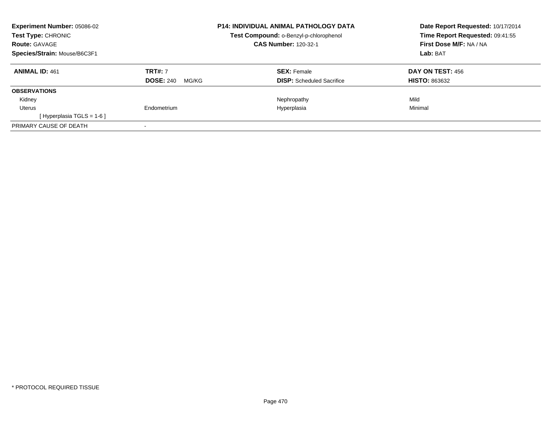| <b>Experiment Number: 05086-02</b><br><b>Test Type: CHRONIC</b><br><b>Route: GAVAGE</b><br>Species/Strain: Mouse/B6C3F1 |                                             | <b>P14: INDIVIDUAL ANIMAL PATHOLOGY DATA</b><br>Test Compound: o-Benzyl-p-chlorophenol<br><b>CAS Number: 120-32-1</b> | Date Report Requested: 10/17/2014<br>Time Report Requested: 09:41:55<br>First Dose M/F: NA / NA<br>Lab: BAT |  |
|-------------------------------------------------------------------------------------------------------------------------|---------------------------------------------|-----------------------------------------------------------------------------------------------------------------------|-------------------------------------------------------------------------------------------------------------|--|
| <b>ANIMAL ID: 461</b>                                                                                                   | <b>TRT#: 7</b><br><b>DOSE: 240</b><br>MG/KG | <b>SEX: Female</b><br><b>DISP:</b> Scheduled Sacrifice                                                                | DAY ON TEST: 456<br><b>HISTO: 863632</b>                                                                    |  |
| <b>OBSERVATIONS</b>                                                                                                     |                                             |                                                                                                                       |                                                                                                             |  |
| Kidney                                                                                                                  |                                             | Nephropathy                                                                                                           | Mild                                                                                                        |  |
| Uterus                                                                                                                  | Endometrium                                 | Hyperplasia                                                                                                           | Minimal                                                                                                     |  |
| [Hyperplasia TGLS = $1-6$ ]                                                                                             |                                             |                                                                                                                       |                                                                                                             |  |
| PRIMARY CAUSE OF DEATH                                                                                                  |                                             |                                                                                                                       |                                                                                                             |  |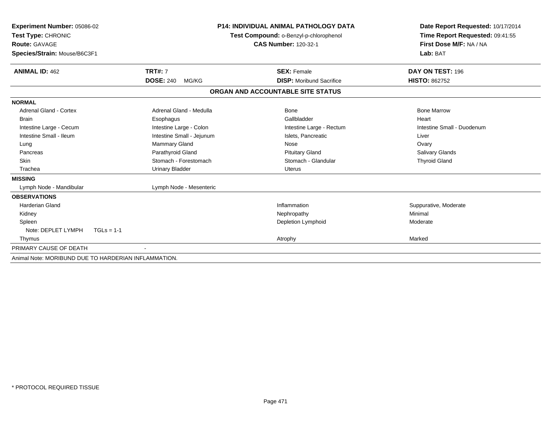| Experiment Number: 05086-02<br><b>Test Type: CHRONIC</b><br><b>Route: GAVAGE</b> |                           | <b>P14: INDIVIDUAL ANIMAL PATHOLOGY DATA</b><br>Test Compound: o-Benzyl-p-chlorophenol | Date Report Requested: 10/17/2014                          |  |  |
|----------------------------------------------------------------------------------|---------------------------|----------------------------------------------------------------------------------------|------------------------------------------------------------|--|--|
|                                                                                  |                           | <b>CAS Number: 120-32-1</b>                                                            | Time Report Requested: 09:41:55<br>First Dose M/F: NA / NA |  |  |
| Species/Strain: Mouse/B6C3F1                                                     |                           |                                                                                        | Lab: BAT                                                   |  |  |
|                                                                                  |                           |                                                                                        |                                                            |  |  |
| <b>ANIMAL ID: 462</b>                                                            | <b>TRT#: 7</b>            | <b>SEX: Female</b>                                                                     | DAY ON TEST: 196                                           |  |  |
|                                                                                  | <b>DOSE: 240</b><br>MG/KG | <b>DISP:</b> Moribund Sacrifice                                                        | <b>HISTO: 862752</b>                                       |  |  |
|                                                                                  |                           | ORGAN AND ACCOUNTABLE SITE STATUS                                                      |                                                            |  |  |
| <b>NORMAL</b>                                                                    |                           |                                                                                        |                                                            |  |  |
| <b>Adrenal Gland - Cortex</b>                                                    | Adrenal Gland - Medulla   | <b>Bone</b>                                                                            | <b>Bone Marrow</b>                                         |  |  |
| <b>Brain</b>                                                                     | Esophagus                 | Gallbladder                                                                            | Heart                                                      |  |  |
| Intestine Large - Cecum                                                          | Intestine Large - Colon   | Intestine Large - Rectum                                                               | Intestine Small - Duodenum                                 |  |  |
| Intestine Small - Ileum                                                          | Intestine Small - Jejunum | Islets, Pancreatic                                                                     | Liver                                                      |  |  |
| Lung                                                                             | Mammary Gland             | Nose                                                                                   | Ovary                                                      |  |  |
| Pancreas                                                                         | Parathyroid Gland         | <b>Pituitary Gland</b>                                                                 | Salivary Glands                                            |  |  |
| <b>Skin</b>                                                                      | Stomach - Forestomach     | Stomach - Glandular                                                                    | <b>Thyroid Gland</b>                                       |  |  |
| Trachea                                                                          | <b>Urinary Bladder</b>    | <b>Uterus</b>                                                                          |                                                            |  |  |
| <b>MISSING</b>                                                                   |                           |                                                                                        |                                                            |  |  |
| Lymph Node - Mandibular                                                          | Lymph Node - Mesenteric   |                                                                                        |                                                            |  |  |
| <b>OBSERVATIONS</b>                                                              |                           |                                                                                        |                                                            |  |  |
| <b>Harderian Gland</b>                                                           |                           | Inflammation                                                                           | Suppurative, Moderate                                      |  |  |
| Kidney                                                                           |                           | Nephropathy                                                                            | Minimal                                                    |  |  |
| Spleen                                                                           |                           | Depletion Lymphoid                                                                     | Moderate                                                   |  |  |
| Note: DEPLET LYMPH<br>$TGLs = 1-1$                                               |                           |                                                                                        |                                                            |  |  |
| Thymus                                                                           |                           | Atrophy                                                                                | Marked                                                     |  |  |
| PRIMARY CAUSE OF DEATH                                                           |                           |                                                                                        |                                                            |  |  |
| Animal Note: MORIBUND DUE TO HARDERIAN INFLAMMATION.                             |                           |                                                                                        |                                                            |  |  |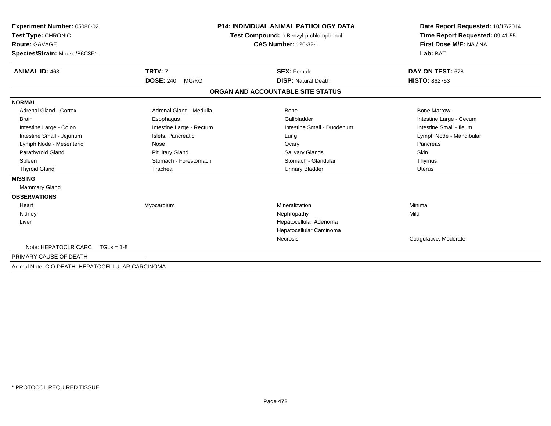| Experiment Number: 05086-02<br>Test Type: CHRONIC<br><b>Route: GAVAGE</b> |                           | <b>P14: INDIVIDUAL ANIMAL PATHOLOGY DATA</b><br>Test Compound: o-Benzyl-p-chlorophenol<br><b>CAS Number: 120-32-1</b> | Date Report Requested: 10/17/2014<br>Time Report Requested: 09:41:55<br>First Dose M/F: NA / NA |  |  |
|---------------------------------------------------------------------------|---------------------------|-----------------------------------------------------------------------------------------------------------------------|-------------------------------------------------------------------------------------------------|--|--|
| Species/Strain: Mouse/B6C3F1                                              |                           |                                                                                                                       | Lab: BAT                                                                                        |  |  |
| <b>ANIMAL ID: 463</b>                                                     | <b>TRT#: 7</b>            | <b>SEX: Female</b>                                                                                                    | DAY ON TEST: 678                                                                                |  |  |
|                                                                           | <b>DOSE: 240</b><br>MG/KG | <b>DISP: Natural Death</b>                                                                                            | <b>HISTO: 862753</b>                                                                            |  |  |
|                                                                           |                           | ORGAN AND ACCOUNTABLE SITE STATUS                                                                                     |                                                                                                 |  |  |
| <b>NORMAL</b>                                                             |                           |                                                                                                                       |                                                                                                 |  |  |
| <b>Adrenal Gland - Cortex</b>                                             | Adrenal Gland - Medulla   | Bone                                                                                                                  | <b>Bone Marrow</b>                                                                              |  |  |
| <b>Brain</b>                                                              | Esophagus                 | Gallbladder                                                                                                           | Intestine Large - Cecum                                                                         |  |  |
| Intestine Large - Colon                                                   | Intestine Large - Rectum  | Intestine Small - Duodenum                                                                                            | Intestine Small - Ileum                                                                         |  |  |
| Intestine Small - Jejunum                                                 | Islets, Pancreatic        | Lung                                                                                                                  | Lymph Node - Mandibular                                                                         |  |  |
| Lymph Node - Mesenteric                                                   | Nose                      | Ovary                                                                                                                 | Pancreas                                                                                        |  |  |
| Parathyroid Gland                                                         | <b>Pituitary Gland</b>    | <b>Salivary Glands</b>                                                                                                | Skin                                                                                            |  |  |
| Spleen                                                                    | Stomach - Forestomach     | Stomach - Glandular                                                                                                   | Thymus                                                                                          |  |  |
| <b>Thyroid Gland</b>                                                      | Trachea                   | <b>Urinary Bladder</b>                                                                                                | Uterus                                                                                          |  |  |
| <b>MISSING</b>                                                            |                           |                                                                                                                       |                                                                                                 |  |  |
| <b>Mammary Gland</b>                                                      |                           |                                                                                                                       |                                                                                                 |  |  |
| <b>OBSERVATIONS</b>                                                       |                           |                                                                                                                       |                                                                                                 |  |  |
| Heart                                                                     | Myocardium                | Mineralization                                                                                                        | Minimal                                                                                         |  |  |
| Kidney                                                                    |                           | Nephropathy                                                                                                           | Mild                                                                                            |  |  |
| Liver                                                                     |                           | Hepatocellular Adenoma                                                                                                |                                                                                                 |  |  |
|                                                                           |                           | Hepatocellular Carcinoma                                                                                              |                                                                                                 |  |  |
|                                                                           |                           | Necrosis                                                                                                              | Coagulative, Moderate                                                                           |  |  |
| Note: HEPATOCLR CARC<br>$TGLs = 1-8$                                      |                           |                                                                                                                       |                                                                                                 |  |  |
| PRIMARY CAUSE OF DEATH                                                    |                           |                                                                                                                       |                                                                                                 |  |  |
| Animal Note: C O DEATH: HEPATOCELLULAR CARCINOMA                          |                           |                                                                                                                       |                                                                                                 |  |  |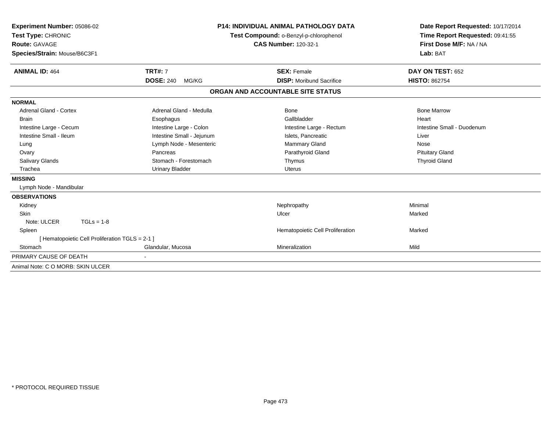| Experiment Number: 05086-02                    |                           | <b>P14: INDIVIDUAL ANIMAL PATHOLOGY DATA</b> | Date Report Requested: 10/17/2014 |  |  |
|------------------------------------------------|---------------------------|----------------------------------------------|-----------------------------------|--|--|
| Test Type: CHRONIC                             |                           | Test Compound: o-Benzyl-p-chlorophenol       | Time Report Requested: 09:41:55   |  |  |
| Route: GAVAGE                                  |                           | <b>CAS Number: 120-32-1</b>                  | First Dose M/F: NA / NA           |  |  |
| Species/Strain: Mouse/B6C3F1                   |                           |                                              | Lab: BAT                          |  |  |
| <b>ANIMAL ID: 464</b>                          | <b>TRT#: 7</b>            | <b>SEX: Female</b>                           | DAY ON TEST: 652                  |  |  |
|                                                | <b>DOSE: 240</b><br>MG/KG | <b>DISP:</b> Moribund Sacrifice              | <b>HISTO: 862754</b>              |  |  |
|                                                |                           | ORGAN AND ACCOUNTABLE SITE STATUS            |                                   |  |  |
| <b>NORMAL</b>                                  |                           |                                              |                                   |  |  |
| <b>Adrenal Gland - Cortex</b>                  | Adrenal Gland - Medulla   | <b>Bone</b>                                  | <b>Bone Marrow</b>                |  |  |
| <b>Brain</b>                                   | Esophagus                 | Gallbladder                                  | Heart                             |  |  |
| Intestine Large - Cecum                        | Intestine Large - Colon   | Intestine Large - Rectum                     | Intestine Small - Duodenum        |  |  |
| Intestine Small - Ileum                        | Intestine Small - Jejunum | Islets, Pancreatic                           | Liver                             |  |  |
| Lung                                           | Lymph Node - Mesenteric   | Mammary Gland                                | Nose                              |  |  |
| Ovary                                          | Pancreas                  | Parathyroid Gland                            | <b>Pituitary Gland</b>            |  |  |
| <b>Salivary Glands</b>                         | Stomach - Forestomach     | Thymus                                       | <b>Thyroid Gland</b>              |  |  |
| Trachea                                        | <b>Urinary Bladder</b>    | <b>Uterus</b>                                |                                   |  |  |
| <b>MISSING</b>                                 |                           |                                              |                                   |  |  |
| Lymph Node - Mandibular                        |                           |                                              |                                   |  |  |
| <b>OBSERVATIONS</b>                            |                           |                                              |                                   |  |  |
| Kidney                                         |                           | Nephropathy                                  | Minimal                           |  |  |
| Skin                                           |                           | Ulcer                                        | Marked                            |  |  |
| Note: ULCER<br>$TGLs = 1-8$                    |                           |                                              |                                   |  |  |
| Spleen                                         |                           | Hematopoietic Cell Proliferation             | Marked                            |  |  |
| [Hematopoietic Cell Proliferation TGLS = 2-1 ] |                           |                                              |                                   |  |  |
| Stomach                                        | Glandular, Mucosa         | Mineralization                               | Mild                              |  |  |
| PRIMARY CAUSE OF DEATH                         |                           |                                              |                                   |  |  |
| Animal Note: C O MORB: SKIN ULCER              |                           |                                              |                                   |  |  |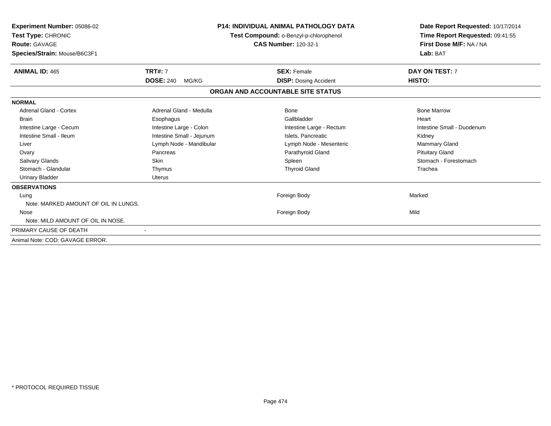| <b>Experiment Number: 05086-02</b><br>Test Type: CHRONIC<br><b>Route: GAVAGE</b><br>Species/Strain: Mouse/B6C3F1 |                           | <b>P14: INDIVIDUAL ANIMAL PATHOLOGY DATA</b><br>Test Compound: o-Benzyl-p-chlorophenol<br><b>CAS Number: 120-32-1</b> | Date Report Requested: 10/17/2014<br>Time Report Requested: 09:41:55<br>First Dose M/F: NA / NA<br>Lab: BAT |
|------------------------------------------------------------------------------------------------------------------|---------------------------|-----------------------------------------------------------------------------------------------------------------------|-------------------------------------------------------------------------------------------------------------|
| <b>ANIMAL ID: 465</b>                                                                                            | <b>TRT#: 7</b>            | <b>SEX: Female</b>                                                                                                    | DAY ON TEST: 7                                                                                              |
|                                                                                                                  | <b>DOSE: 240</b><br>MG/KG | <b>DISP: Dosing Accident</b>                                                                                          | HISTO:                                                                                                      |
|                                                                                                                  |                           | ORGAN AND ACCOUNTABLE SITE STATUS                                                                                     |                                                                                                             |
| <b>NORMAL</b>                                                                                                    |                           |                                                                                                                       |                                                                                                             |
| Adrenal Gland - Cortex                                                                                           | Adrenal Gland - Medulla   | Bone                                                                                                                  | <b>Bone Marrow</b>                                                                                          |
| <b>Brain</b>                                                                                                     | Esophagus                 | Gallbladder                                                                                                           | Heart                                                                                                       |
| Intestine Large - Cecum                                                                                          | Intestine Large - Colon   | Intestine Large - Rectum                                                                                              | Intestine Small - Duodenum                                                                                  |
| Intestine Small - Ileum                                                                                          | Intestine Small - Jejunum | Islets, Pancreatic                                                                                                    | Kidney                                                                                                      |
| Liver                                                                                                            | Lymph Node - Mandibular   | Lymph Node - Mesenteric                                                                                               | Mammary Gland                                                                                               |
| Ovary                                                                                                            | Pancreas                  | Parathyroid Gland                                                                                                     | <b>Pituitary Gland</b>                                                                                      |
| <b>Salivary Glands</b>                                                                                           | <b>Skin</b>               | Spleen                                                                                                                | Stomach - Forestomach                                                                                       |
| Stomach - Glandular                                                                                              | Thymus                    | <b>Thyroid Gland</b>                                                                                                  | Trachea                                                                                                     |
| <b>Urinary Bladder</b>                                                                                           | <b>Uterus</b>             |                                                                                                                       |                                                                                                             |
| <b>OBSERVATIONS</b>                                                                                              |                           |                                                                                                                       |                                                                                                             |
| Lung                                                                                                             |                           | Foreign Body                                                                                                          | Marked                                                                                                      |
| Note: MARKED AMOUNT OF OIL IN LUNGS.                                                                             |                           |                                                                                                                       |                                                                                                             |
| Nose                                                                                                             |                           | Foreign Body                                                                                                          | Mild                                                                                                        |
| Note: MILD AMOUNT OF OIL IN NOSE.                                                                                |                           |                                                                                                                       |                                                                                                             |
| PRIMARY CAUSE OF DEATH                                                                                           |                           |                                                                                                                       |                                                                                                             |
| Animal Note: COD: GAVAGE ERROR.                                                                                  |                           |                                                                                                                       |                                                                                                             |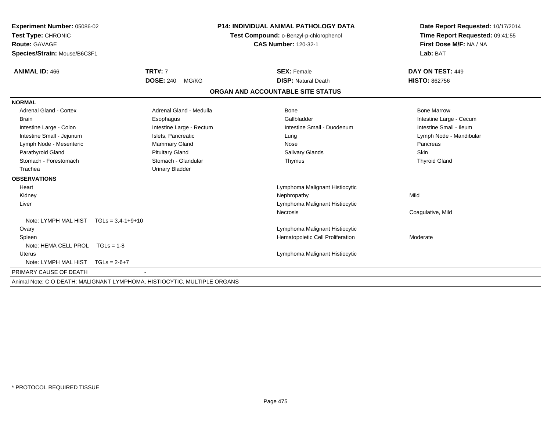| Experiment Number: 05086-02              |                                                                          | <b>P14: INDIVIDUAL ANIMAL PATHOLOGY DATA</b> | Date Report Requested: 10/17/2014 |
|------------------------------------------|--------------------------------------------------------------------------|----------------------------------------------|-----------------------------------|
| Test Type: CHRONIC                       |                                                                          | Test Compound: o-Benzyl-p-chlorophenol       | Time Report Requested: 09:41:55   |
| <b>Route: GAVAGE</b>                     |                                                                          | <b>CAS Number: 120-32-1</b>                  | First Dose M/F: NA / NA           |
| Species/Strain: Mouse/B6C3F1             |                                                                          |                                              | Lab: BAT                          |
| <b>ANIMAL ID: 466</b>                    | <b>TRT#: 7</b>                                                           | <b>SEX: Female</b>                           | DAY ON TEST: 449                  |
|                                          | <b>DOSE: 240</b><br>MG/KG                                                | <b>DISP: Natural Death</b>                   | <b>HISTO: 862756</b>              |
|                                          |                                                                          | ORGAN AND ACCOUNTABLE SITE STATUS            |                                   |
| <b>NORMAL</b>                            |                                                                          |                                              |                                   |
| <b>Adrenal Gland - Cortex</b>            | Adrenal Gland - Medulla                                                  | Bone                                         | <b>Bone Marrow</b>                |
| <b>Brain</b>                             | Esophagus                                                                | Gallbladder                                  | Intestine Large - Cecum           |
| Intestine Large - Colon                  | Intestine Large - Rectum                                                 | Intestine Small - Duodenum                   | Intestine Small - Ileum           |
| Intestine Small - Jejunum                | Islets, Pancreatic                                                       | Lung                                         | Lymph Node - Mandibular           |
| Lymph Node - Mesenteric                  | <b>Mammary Gland</b>                                                     | Nose                                         | Pancreas                          |
| Parathyroid Gland                        | <b>Pituitary Gland</b>                                                   | <b>Salivary Glands</b>                       | <b>Skin</b>                       |
| Stomach - Forestomach                    | Stomach - Glandular                                                      | Thymus                                       | <b>Thyroid Gland</b>              |
| Trachea                                  | <b>Urinary Bladder</b>                                                   |                                              |                                   |
| <b>OBSERVATIONS</b>                      |                                                                          |                                              |                                   |
| Heart                                    |                                                                          | Lymphoma Malignant Histiocytic               |                                   |
| Kidney                                   |                                                                          | Nephropathy                                  | Mild                              |
| Liver                                    |                                                                          | Lymphoma Malignant Histiocytic               |                                   |
|                                          |                                                                          | <b>Necrosis</b>                              | Coagulative, Mild                 |
| Note: LYMPH MAL HIST $TGLs = 3.4-1+9+10$ |                                                                          |                                              |                                   |
| Ovary                                    |                                                                          | Lymphoma Malignant Histiocytic               |                                   |
| Spleen                                   |                                                                          | Hematopoietic Cell Proliferation             | Moderate                          |
| Note: HEMA CELL PROL TGLs = 1-8          |                                                                          |                                              |                                   |
| Uterus                                   |                                                                          | Lymphoma Malignant Histiocytic               |                                   |
| Note: LYMPH MAL HIST TGLs = 2-6+7        |                                                                          |                                              |                                   |
| PRIMARY CAUSE OF DEATH                   |                                                                          |                                              |                                   |
|                                          | Animal Note: C O DEATH: MALIGNANT LYMPHOMA, HISTIOCYTIC, MULTIPLE ORGANS |                                              |                                   |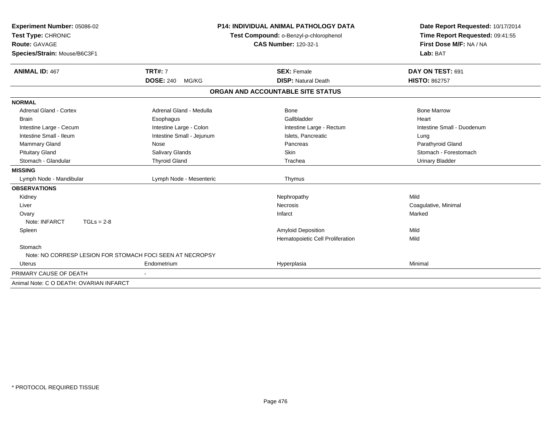| Experiment Number: 05086-02                               |                           | <b>P14: INDIVIDUAL ANIMAL PATHOLOGY DATA</b> | Date Report Requested: 10/17/2014                          |  |  |
|-----------------------------------------------------------|---------------------------|----------------------------------------------|------------------------------------------------------------|--|--|
| Test Type: CHRONIC                                        |                           | Test Compound: o-Benzyl-p-chlorophenol       | Time Report Requested: 09:41:55<br>First Dose M/F: NA / NA |  |  |
| <b>Route: GAVAGE</b>                                      |                           | <b>CAS Number: 120-32-1</b>                  |                                                            |  |  |
| Species/Strain: Mouse/B6C3F1                              |                           |                                              | Lab: BAT                                                   |  |  |
|                                                           |                           |                                              |                                                            |  |  |
| <b>ANIMAL ID: 467</b>                                     | <b>TRT#: 7</b>            | <b>SEX: Female</b>                           | DAY ON TEST: 691                                           |  |  |
|                                                           | <b>DOSE: 240</b><br>MG/KG | <b>DISP: Natural Death</b>                   | <b>HISTO: 862757</b>                                       |  |  |
|                                                           |                           | ORGAN AND ACCOUNTABLE SITE STATUS            |                                                            |  |  |
| <b>NORMAL</b>                                             |                           |                                              |                                                            |  |  |
| <b>Adrenal Gland - Cortex</b>                             | Adrenal Gland - Medulla   | Bone                                         | <b>Bone Marrow</b>                                         |  |  |
| <b>Brain</b>                                              | Esophagus                 | Gallbladder                                  | Heart                                                      |  |  |
| Intestine Large - Cecum                                   | Intestine Large - Colon   | Intestine Large - Rectum                     | Intestine Small - Duodenum                                 |  |  |
| Intestine Small - Ileum                                   | Intestine Small - Jejunum | Islets, Pancreatic                           | Lung                                                       |  |  |
| <b>Mammary Gland</b>                                      | Nose                      | Pancreas                                     | Parathyroid Gland                                          |  |  |
| <b>Pituitary Gland</b>                                    | Salivary Glands           | <b>Skin</b>                                  | Stomach - Forestomach                                      |  |  |
| Stomach - Glandular                                       | <b>Thyroid Gland</b>      | Trachea                                      | <b>Urinary Bladder</b>                                     |  |  |
| <b>MISSING</b>                                            |                           |                                              |                                                            |  |  |
| Lymph Node - Mandibular                                   | Lymph Node - Mesenteric   | Thymus                                       |                                                            |  |  |
| <b>OBSERVATIONS</b>                                       |                           |                                              |                                                            |  |  |
| Kidney                                                    |                           | Nephropathy                                  | Mild                                                       |  |  |
| Liver                                                     |                           | Necrosis                                     | Coagulative, Minimal                                       |  |  |
| Ovary                                                     |                           | Infarct                                      | Marked                                                     |  |  |
| Note: INFARCT<br>$TGLs = 2-8$                             |                           |                                              |                                                            |  |  |
| Spleen                                                    |                           | Amyloid Deposition                           | Mild                                                       |  |  |
|                                                           |                           | Hematopoietic Cell Proliferation             | Mild                                                       |  |  |
| Stomach                                                   |                           |                                              |                                                            |  |  |
| Note: NO CORRESP LESION FOR STOMACH FOCI SEEN AT NECROPSY |                           |                                              |                                                            |  |  |
| <b>Uterus</b>                                             | Endometrium               | Hyperplasia                                  | Minimal                                                    |  |  |
| PRIMARY CAUSE OF DEATH                                    |                           |                                              |                                                            |  |  |
| Animal Note: C O DEATH: OVARIAN INFARCT                   |                           |                                              |                                                            |  |  |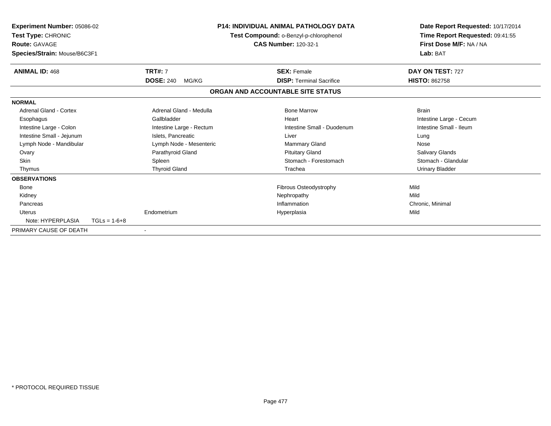| Experiment Number: 05086-02<br>Test Type: CHRONIC<br><b>Route: GAVAGE</b><br>Species/Strain: Mouse/B6C3F1 |                |                           | <b>P14: INDIVIDUAL ANIMAL PATHOLOGY DATA</b><br>Test Compound: o-Benzyl-p-chlorophenol<br><b>CAS Number: 120-32-1</b> |                                   | Date Report Requested: 10/17/2014<br>Time Report Requested: 09:41:55<br>First Dose M/F: NA / NA<br>Lab: BAT |
|-----------------------------------------------------------------------------------------------------------|----------------|---------------------------|-----------------------------------------------------------------------------------------------------------------------|-----------------------------------|-------------------------------------------------------------------------------------------------------------|
| <b>ANIMAL ID: 468</b>                                                                                     |                | <b>TRT#: 7</b>            |                                                                                                                       | <b>SEX: Female</b>                | DAY ON TEST: 727                                                                                            |
|                                                                                                           |                | <b>DOSE: 240</b><br>MG/KG |                                                                                                                       | <b>DISP: Terminal Sacrifice</b>   | <b>HISTO: 862758</b>                                                                                        |
|                                                                                                           |                |                           |                                                                                                                       | ORGAN AND ACCOUNTABLE SITE STATUS |                                                                                                             |
| <b>NORMAL</b>                                                                                             |                |                           |                                                                                                                       |                                   |                                                                                                             |
| Adrenal Gland - Cortex                                                                                    |                | Adrenal Gland - Medulla   |                                                                                                                       | <b>Bone Marrow</b>                | <b>Brain</b>                                                                                                |
| Esophagus                                                                                                 |                | Gallbladder               |                                                                                                                       | Heart                             | Intestine Large - Cecum                                                                                     |
| Intestine Large - Colon                                                                                   |                | Intestine Large - Rectum  |                                                                                                                       | Intestine Small - Duodenum        | Intestine Small - Ileum                                                                                     |
| Intestine Small - Jejunum                                                                                 |                | Islets. Pancreatic        |                                                                                                                       | Liver                             | Lung                                                                                                        |
| Lymph Node - Mandibular                                                                                   |                | Lymph Node - Mesenteric   |                                                                                                                       | <b>Mammary Gland</b>              | Nose                                                                                                        |
| Ovary                                                                                                     |                | Parathyroid Gland         |                                                                                                                       | <b>Pituitary Gland</b>            | Salivary Glands                                                                                             |
| <b>Skin</b>                                                                                               |                | Spleen                    |                                                                                                                       | Stomach - Forestomach             | Stomach - Glandular                                                                                         |
| Thymus                                                                                                    |                | <b>Thyroid Gland</b>      |                                                                                                                       | Trachea                           | <b>Urinary Bladder</b>                                                                                      |
| <b>OBSERVATIONS</b>                                                                                       |                |                           |                                                                                                                       |                                   |                                                                                                             |
| Bone                                                                                                      |                |                           |                                                                                                                       | Fibrous Osteodystrophy            | Mild                                                                                                        |
| Kidney                                                                                                    |                |                           |                                                                                                                       | Nephropathy                       | Mild                                                                                                        |
| Pancreas                                                                                                  |                |                           |                                                                                                                       | Inflammation                      | Chronic, Minimal                                                                                            |
| <b>Uterus</b>                                                                                             |                | Endometrium               |                                                                                                                       | Hyperplasia                       | Mild                                                                                                        |
| Note: HYPERPLASIA                                                                                         | $TGLs = 1-6+8$ |                           |                                                                                                                       |                                   |                                                                                                             |
| PRIMARY CAUSE OF DEATH                                                                                    |                |                           |                                                                                                                       |                                   |                                                                                                             |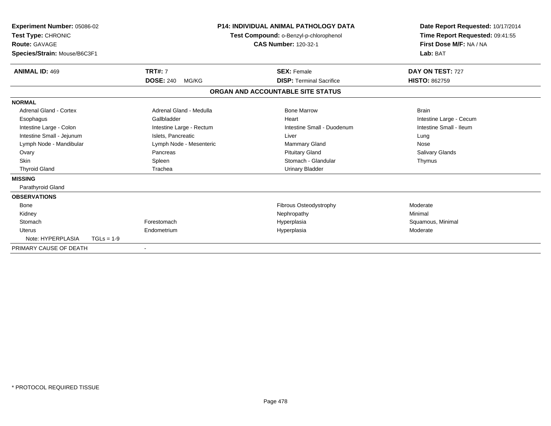| <b>Experiment Number: 05086-02</b><br>Test Type: CHRONIC<br><b>Route: GAVAGE</b><br>Species/Strain: Mouse/B6C3F1 |              |                           | <b>P14: INDIVIDUAL ANIMAL PATHOLOGY DATA</b><br>Test Compound: o-Benzyl-p-chlorophenol<br><b>CAS Number: 120-32-1</b> |                                   | Date Report Requested: 10/17/2014<br>Time Report Requested: 09:41:55<br>First Dose M/F: NA / NA<br>Lab: BAT |  |
|------------------------------------------------------------------------------------------------------------------|--------------|---------------------------|-----------------------------------------------------------------------------------------------------------------------|-----------------------------------|-------------------------------------------------------------------------------------------------------------|--|
| <b>ANIMAL ID: 469</b>                                                                                            |              | <b>TRT#: 7</b>            |                                                                                                                       | <b>SEX: Female</b>                | DAY ON TEST: 727                                                                                            |  |
|                                                                                                                  |              | <b>DOSE: 240</b><br>MG/KG |                                                                                                                       | <b>DISP: Terminal Sacrifice</b>   | <b>HISTO: 862759</b>                                                                                        |  |
|                                                                                                                  |              |                           |                                                                                                                       | ORGAN AND ACCOUNTABLE SITE STATUS |                                                                                                             |  |
| <b>NORMAL</b>                                                                                                    |              |                           |                                                                                                                       |                                   |                                                                                                             |  |
| Adrenal Gland - Cortex                                                                                           |              | Adrenal Gland - Medulla   |                                                                                                                       | <b>Bone Marrow</b>                | <b>Brain</b>                                                                                                |  |
| Esophagus                                                                                                        |              | Gallbladder               |                                                                                                                       | Heart                             | Intestine Large - Cecum                                                                                     |  |
| Intestine Large - Colon                                                                                          |              | Intestine Large - Rectum  |                                                                                                                       | Intestine Small - Duodenum        | Intestine Small - Ileum                                                                                     |  |
| Intestine Small - Jejunum                                                                                        |              | Islets, Pancreatic        |                                                                                                                       | Liver                             | Lung                                                                                                        |  |
| Lymph Node - Mandibular                                                                                          |              | Lymph Node - Mesenteric   |                                                                                                                       | <b>Mammary Gland</b>              | Nose                                                                                                        |  |
| Ovary                                                                                                            |              | Pancreas                  |                                                                                                                       | <b>Pituitary Gland</b>            | <b>Salivary Glands</b>                                                                                      |  |
| <b>Skin</b>                                                                                                      |              | Spleen                    |                                                                                                                       | Stomach - Glandular               | Thymus                                                                                                      |  |
| <b>Thyroid Gland</b>                                                                                             |              | Trachea                   |                                                                                                                       | <b>Urinary Bladder</b>            |                                                                                                             |  |
| <b>MISSING</b>                                                                                                   |              |                           |                                                                                                                       |                                   |                                                                                                             |  |
| Parathyroid Gland                                                                                                |              |                           |                                                                                                                       |                                   |                                                                                                             |  |
| <b>OBSERVATIONS</b>                                                                                              |              |                           |                                                                                                                       |                                   |                                                                                                             |  |
| Bone                                                                                                             |              |                           |                                                                                                                       | Fibrous Osteodystrophy            | Moderate                                                                                                    |  |
| Kidney                                                                                                           |              |                           |                                                                                                                       | Nephropathy                       | Minimal                                                                                                     |  |
| Stomach                                                                                                          |              | Forestomach               |                                                                                                                       | Hyperplasia                       | Squamous, Minimal                                                                                           |  |
| <b>Uterus</b>                                                                                                    |              | Endometrium               |                                                                                                                       | Hyperplasia                       | Moderate                                                                                                    |  |
| Note: HYPERPLASIA                                                                                                | $TGLs = 1-9$ |                           |                                                                                                                       |                                   |                                                                                                             |  |
| PRIMARY CAUSE OF DEATH                                                                                           |              |                           |                                                                                                                       |                                   |                                                                                                             |  |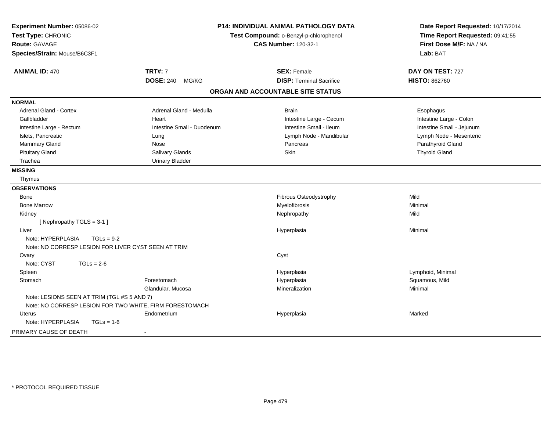| Experiment Number: 05086-02<br>Test Type: CHRONIC<br><b>Route: GAVAGE</b><br>Species/Strain: Mouse/B6C3F1 |                            | <b>P14: INDIVIDUAL ANIMAL PATHOLOGY DATA</b><br>Test Compound: o-Benzyl-p-chlorophenol<br><b>CAS Number: 120-32-1</b> | Date Report Requested: 10/17/2014<br>Time Report Requested: 09:41:55<br>First Dose M/F: NA / NA<br>Lab: BAT |
|-----------------------------------------------------------------------------------------------------------|----------------------------|-----------------------------------------------------------------------------------------------------------------------|-------------------------------------------------------------------------------------------------------------|
| <b>ANIMAL ID: 470</b>                                                                                     | <b>TRT#: 7</b>             | <b>SEX: Female</b>                                                                                                    | DAY ON TEST: 727                                                                                            |
|                                                                                                           | <b>DOSE: 240</b><br>MG/KG  | <b>DISP: Terminal Sacrifice</b>                                                                                       | <b>HISTO: 862760</b>                                                                                        |
|                                                                                                           |                            | ORGAN AND ACCOUNTABLE SITE STATUS                                                                                     |                                                                                                             |
| <b>NORMAL</b>                                                                                             |                            |                                                                                                                       |                                                                                                             |
| <b>Adrenal Gland - Cortex</b>                                                                             | Adrenal Gland - Medulla    | <b>Brain</b>                                                                                                          | Esophagus                                                                                                   |
| Gallbladder                                                                                               | Heart                      | Intestine Large - Cecum                                                                                               | Intestine Large - Colon                                                                                     |
| Intestine Large - Rectum                                                                                  | Intestine Small - Duodenum | Intestine Small - Ileum                                                                                               | Intestine Small - Jejunum                                                                                   |
| Islets, Pancreatic                                                                                        | Lung                       | Lymph Node - Mandibular                                                                                               | Lymph Node - Mesenteric                                                                                     |
| <b>Mammary Gland</b>                                                                                      | Nose                       | Pancreas                                                                                                              | Parathyroid Gland                                                                                           |
| <b>Pituitary Gland</b>                                                                                    | Salivary Glands            | Skin                                                                                                                  | <b>Thyroid Gland</b>                                                                                        |
| Trachea                                                                                                   | <b>Urinary Bladder</b>     |                                                                                                                       |                                                                                                             |
| <b>MISSING</b>                                                                                            |                            |                                                                                                                       |                                                                                                             |
| Thymus                                                                                                    |                            |                                                                                                                       |                                                                                                             |
| <b>OBSERVATIONS</b>                                                                                       |                            |                                                                                                                       |                                                                                                             |
| Bone                                                                                                      |                            | Fibrous Osteodystrophy                                                                                                | Mild                                                                                                        |
| <b>Bone Marrow</b>                                                                                        |                            | Myelofibrosis                                                                                                         | Minimal                                                                                                     |
| Kidney                                                                                                    |                            | Nephropathy                                                                                                           | Mild                                                                                                        |
| [ Nephropathy $TGLS = 3-1$ ]                                                                              |                            |                                                                                                                       |                                                                                                             |
| Liver                                                                                                     |                            | Hyperplasia                                                                                                           | Minimal                                                                                                     |
| Note: HYPERPLASIA<br>$TGLs = 9-2$                                                                         |                            |                                                                                                                       |                                                                                                             |
| Note: NO CORRESP LESION FOR LIVER CYST SEEN AT TRIM                                                       |                            |                                                                                                                       |                                                                                                             |
| Ovary                                                                                                     |                            | Cyst                                                                                                                  |                                                                                                             |
| Note: CYST<br>$TGLs = 2-6$                                                                                |                            |                                                                                                                       |                                                                                                             |
| Spleen                                                                                                    |                            | Hyperplasia                                                                                                           | Lymphoid, Minimal                                                                                           |
| Stomach                                                                                                   | Forestomach                | Hyperplasia                                                                                                           | Squamous, Mild                                                                                              |
|                                                                                                           | Glandular, Mucosa          | Mineralization                                                                                                        | Minimal                                                                                                     |
| Note: LESIONS SEEN AT TRIM (TGL #S 5 AND 7)                                                               |                            |                                                                                                                       |                                                                                                             |
| Note: NO CORRESP LESION FOR TWO WHITE, FIRM FORESTOMACH                                                   |                            |                                                                                                                       |                                                                                                             |
| <b>Uterus</b>                                                                                             | Endometrium                | Hyperplasia                                                                                                           | Marked                                                                                                      |
| Note: HYPERPLASIA<br>$TGLs = 1-6$                                                                         |                            |                                                                                                                       |                                                                                                             |
| PRIMARY CAUSE OF DEATH                                                                                    | $\sim$                     |                                                                                                                       |                                                                                                             |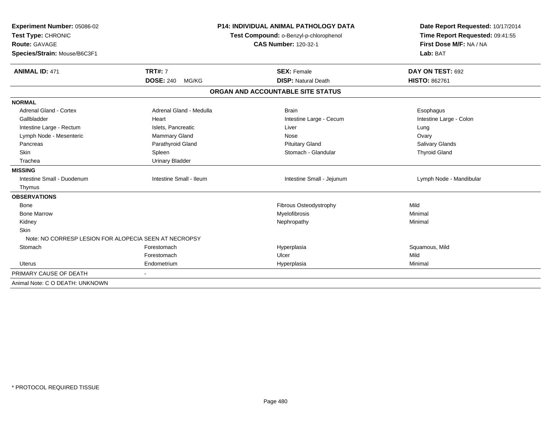| Experiment Number: 05086-02<br>Test Type: CHRONIC<br><b>Route: GAVAGE</b><br>Species/Strain: Mouse/B6C3F1 |                           | <b>P14: INDIVIDUAL ANIMAL PATHOLOGY DATA</b><br>Test Compound: o-Benzyl-p-chlorophenol<br><b>CAS Number: 120-32-1</b> |                                   | Date Report Requested: 10/17/2014<br>Time Report Requested: 09:41:55<br>First Dose M/F: NA / NA<br>Lab: BAT |
|-----------------------------------------------------------------------------------------------------------|---------------------------|-----------------------------------------------------------------------------------------------------------------------|-----------------------------------|-------------------------------------------------------------------------------------------------------------|
| <b>ANIMAL ID: 471</b>                                                                                     | <b>TRT#: 7</b>            |                                                                                                                       | <b>SEX: Female</b>                | DAY ON TEST: 692                                                                                            |
|                                                                                                           | <b>DOSE: 240</b><br>MG/KG |                                                                                                                       | <b>DISP: Natural Death</b>        | <b>HISTO: 862761</b>                                                                                        |
|                                                                                                           |                           |                                                                                                                       | ORGAN AND ACCOUNTABLE SITE STATUS |                                                                                                             |
| <b>NORMAL</b>                                                                                             |                           |                                                                                                                       |                                   |                                                                                                             |
| <b>Adrenal Gland - Cortex</b>                                                                             | Adrenal Gland - Medulla   |                                                                                                                       | <b>Brain</b>                      | Esophagus                                                                                                   |
| Gallbladder                                                                                               | Heart                     |                                                                                                                       | Intestine Large - Cecum           | Intestine Large - Colon                                                                                     |
| Intestine Large - Rectum                                                                                  | Islets, Pancreatic        |                                                                                                                       | Liver                             | Lung                                                                                                        |
| Lymph Node - Mesenteric                                                                                   | <b>Mammary Gland</b>      |                                                                                                                       | Nose                              | Ovary                                                                                                       |
| Pancreas                                                                                                  | Parathyroid Gland         |                                                                                                                       | <b>Pituitary Gland</b>            | <b>Salivary Glands</b>                                                                                      |
| <b>Skin</b>                                                                                               | Spleen                    |                                                                                                                       | Stomach - Glandular               | <b>Thyroid Gland</b>                                                                                        |
| Trachea                                                                                                   | <b>Urinary Bladder</b>    |                                                                                                                       |                                   |                                                                                                             |
| <b>MISSING</b>                                                                                            |                           |                                                                                                                       |                                   |                                                                                                             |
| Intestine Small - Duodenum                                                                                | Intestine Small - Ileum   |                                                                                                                       | Intestine Small - Jejunum         | Lymph Node - Mandibular                                                                                     |
| Thymus                                                                                                    |                           |                                                                                                                       |                                   |                                                                                                             |
| <b>OBSERVATIONS</b>                                                                                       |                           |                                                                                                                       |                                   |                                                                                                             |
| <b>Bone</b>                                                                                               |                           |                                                                                                                       | Fibrous Osteodystrophy            | Mild                                                                                                        |
| <b>Bone Marrow</b>                                                                                        |                           |                                                                                                                       | Myelofibrosis                     | Minimal                                                                                                     |
| Kidney                                                                                                    |                           |                                                                                                                       | Nephropathy                       | Minimal                                                                                                     |
| <b>Skin</b>                                                                                               |                           |                                                                                                                       |                                   |                                                                                                             |
| Note: NO CORRESP LESION FOR ALOPECIA SEEN AT NECROPSY                                                     |                           |                                                                                                                       |                                   |                                                                                                             |
| Stomach                                                                                                   | Forestomach               |                                                                                                                       | Hyperplasia                       | Squamous, Mild                                                                                              |
|                                                                                                           | Forestomach               |                                                                                                                       | Ulcer                             | Mild                                                                                                        |
| Uterus                                                                                                    | Endometrium               |                                                                                                                       | Hyperplasia                       | Minimal                                                                                                     |
| PRIMARY CAUSE OF DEATH                                                                                    |                           |                                                                                                                       |                                   |                                                                                                             |
| Animal Note: C O DEATH: UNKNOWN                                                                           |                           |                                                                                                                       |                                   |                                                                                                             |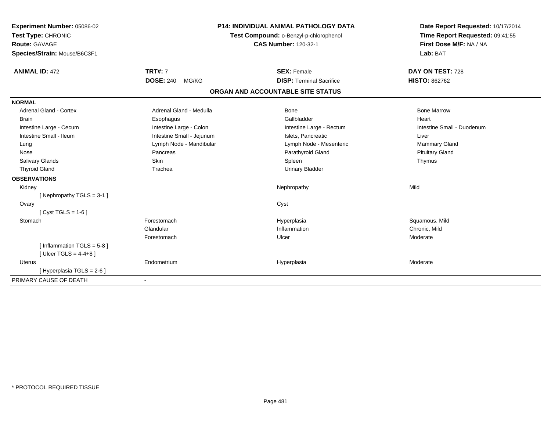| Experiment Number: 05086-02   |                           | <b>P14: INDIVIDUAL ANIMAL PATHOLOGY DATA</b> |                                        | Date Report Requested: 10/17/2014 |
|-------------------------------|---------------------------|----------------------------------------------|----------------------------------------|-----------------------------------|
| Test Type: CHRONIC            |                           |                                              | Test Compound: o-Benzyl-p-chlorophenol | Time Report Requested: 09:41:55   |
| Route: GAVAGE                 |                           |                                              | <b>CAS Number: 120-32-1</b>            | First Dose M/F: NA / NA           |
| Species/Strain: Mouse/B6C3F1  |                           |                                              |                                        | Lab: BAT                          |
| <b>ANIMAL ID: 472</b>         | <b>TRT#: 7</b>            |                                              | <b>SEX: Female</b>                     | DAY ON TEST: 728                  |
|                               | <b>DOSE: 240</b><br>MG/KG |                                              | <b>DISP: Terminal Sacrifice</b>        | <b>HISTO: 862762</b>              |
|                               |                           | ORGAN AND ACCOUNTABLE SITE STATUS            |                                        |                                   |
| <b>NORMAL</b>                 |                           |                                              |                                        |                                   |
| <b>Adrenal Gland - Cortex</b> | Adrenal Gland - Medulla   |                                              | Bone                                   | <b>Bone Marrow</b>                |
| Brain                         | Esophagus                 |                                              | Gallbladder                            | Heart                             |
| Intestine Large - Cecum       | Intestine Large - Colon   |                                              | Intestine Large - Rectum               | Intestine Small - Duodenum        |
| Intestine Small - Ileum       | Intestine Small - Jejunum |                                              | Islets. Pancreatic                     | Liver                             |
| Lung                          | Lymph Node - Mandibular   |                                              | Lymph Node - Mesenteric                | Mammary Gland                     |
| Nose                          | Pancreas                  |                                              | Parathyroid Gland                      | <b>Pituitary Gland</b>            |
| Salivary Glands               | <b>Skin</b>               |                                              | Spleen                                 | Thymus                            |
| <b>Thyroid Gland</b>          | Trachea                   |                                              | <b>Urinary Bladder</b>                 |                                   |
| <b>OBSERVATIONS</b>           |                           |                                              |                                        |                                   |
| Kidney                        |                           |                                              | Nephropathy                            | Mild                              |
| [Nephropathy TGLS = $3-1$ ]   |                           |                                              |                                        |                                   |
| Ovary                         |                           | Cyst                                         |                                        |                                   |
| [ $Cyst TGLS = 1-6$ ]         |                           |                                              |                                        |                                   |
| Stomach                       | Forestomach               |                                              | Hyperplasia                            | Squamous, Mild                    |
|                               | Glandular                 |                                              | Inflammation                           | Chronic, Mild                     |
|                               | Forestomach               | Ulcer                                        |                                        | Moderate                          |
| [Inflammation TGLS = $5-8$ ]  |                           |                                              |                                        |                                   |
| [ Ulcer TGLS = $4-4+8$ ]      |                           |                                              |                                        |                                   |
| <b>Uterus</b>                 | Endometrium               |                                              | Hyperplasia                            | Moderate                          |
| [ Hyperplasia TGLS = 2-6 ]    |                           |                                              |                                        |                                   |
| PRIMARY CAUSE OF DEATH        |                           |                                              |                                        |                                   |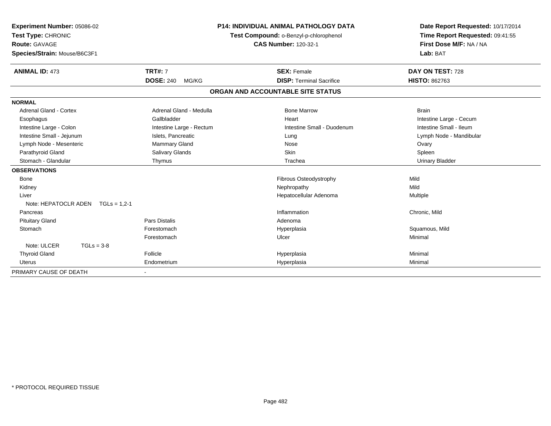| Experiment Number: 05086-02<br>Test Type: CHRONIC<br><b>Route: GAVAGE</b><br>Species/Strain: Mouse/B6C3F1 |                           | <b>P14: INDIVIDUAL ANIMAL PATHOLOGY DATA</b><br>Test Compound: o-Benzyl-p-chlorophenol<br><b>CAS Number: 120-32-1</b> | Date Report Requested: 10/17/2014<br>Time Report Requested: 09:41:55<br>First Dose M/F: NA / NA<br>Lab: BAT |
|-----------------------------------------------------------------------------------------------------------|---------------------------|-----------------------------------------------------------------------------------------------------------------------|-------------------------------------------------------------------------------------------------------------|
| <b>ANIMAL ID: 473</b>                                                                                     | <b>TRT#: 7</b>            | <b>SEX: Female</b>                                                                                                    | DAY ON TEST: 728                                                                                            |
|                                                                                                           | <b>DOSE: 240</b><br>MG/KG | <b>DISP: Terminal Sacrifice</b>                                                                                       | <b>HISTO: 862763</b>                                                                                        |
|                                                                                                           |                           | ORGAN AND ACCOUNTABLE SITE STATUS                                                                                     |                                                                                                             |
| <b>NORMAL</b>                                                                                             |                           |                                                                                                                       |                                                                                                             |
| Adrenal Gland - Cortex                                                                                    | Adrenal Gland - Medulla   | <b>Bone Marrow</b>                                                                                                    | <b>Brain</b>                                                                                                |
| Esophagus                                                                                                 | Gallbladder               | Heart                                                                                                                 | Intestine Large - Cecum                                                                                     |
| Intestine Large - Colon                                                                                   | Intestine Large - Rectum  | Intestine Small - Duodenum                                                                                            | Intestine Small - Ileum                                                                                     |
| Intestine Small - Jejunum                                                                                 | Islets, Pancreatic        | Lung                                                                                                                  | Lymph Node - Mandibular                                                                                     |
| Lymph Node - Mesenteric                                                                                   | <b>Mammary Gland</b>      | Nose                                                                                                                  | Ovary                                                                                                       |
| Parathyroid Gland                                                                                         | Salivary Glands           | Skin                                                                                                                  | Spleen                                                                                                      |
| Stomach - Glandular                                                                                       | Thymus                    | Trachea                                                                                                               | <b>Urinary Bladder</b>                                                                                      |
| <b>OBSERVATIONS</b>                                                                                       |                           |                                                                                                                       |                                                                                                             |
| Bone                                                                                                      |                           | Fibrous Osteodystrophy                                                                                                | Mild                                                                                                        |
| Kidney                                                                                                    |                           | Nephropathy                                                                                                           | Mild                                                                                                        |
| Liver                                                                                                     |                           | Hepatocellular Adenoma                                                                                                | Multiple                                                                                                    |
| Note: HEPATOCLR ADEN $TGLs = 1.2-1$                                                                       |                           |                                                                                                                       |                                                                                                             |
| Pancreas                                                                                                  |                           | Inflammation                                                                                                          | Chronic, Mild                                                                                               |
| <b>Pituitary Gland</b>                                                                                    | <b>Pars Distalis</b>      | Adenoma                                                                                                               |                                                                                                             |
| Stomach                                                                                                   | Forestomach               | Hyperplasia                                                                                                           | Squamous, Mild                                                                                              |
|                                                                                                           | Forestomach               | Ulcer                                                                                                                 | Minimal                                                                                                     |
| Note: ULCER<br>$TGLs = 3-8$                                                                               |                           |                                                                                                                       |                                                                                                             |
| <b>Thyroid Gland</b>                                                                                      | Follicle                  | Hyperplasia                                                                                                           | Minimal                                                                                                     |
| Uterus                                                                                                    | Endometrium               | Hyperplasia                                                                                                           | Minimal                                                                                                     |
| PRIMARY CAUSE OF DEATH                                                                                    |                           |                                                                                                                       |                                                                                                             |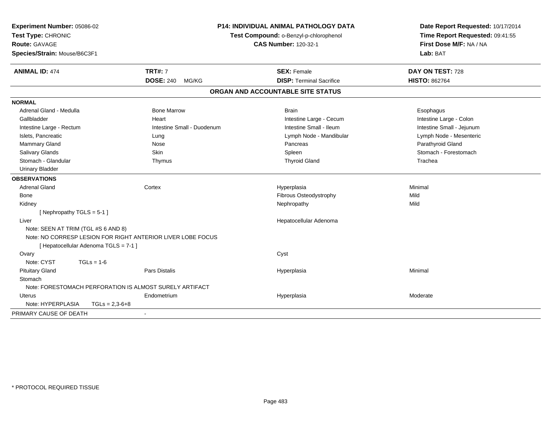| Experiment Number: 05086-02<br>Test Type: CHRONIC<br>Route: GAVAGE<br>Species/Strain: Mouse/B6C3F1 |                                                             | <b>P14: INDIVIDUAL ANIMAL PATHOLOGY DATA</b><br>Test Compound: o-Benzyl-p-chlorophenol<br><b>CAS Number: 120-32-1</b> | Date Report Requested: 10/17/2014<br>Time Report Requested: 09:41:55<br>First Dose M/F: NA / NA<br>Lab: BAT |
|----------------------------------------------------------------------------------------------------|-------------------------------------------------------------|-----------------------------------------------------------------------------------------------------------------------|-------------------------------------------------------------------------------------------------------------|
| <b>ANIMAL ID: 474</b>                                                                              | <b>TRT#: 7</b>                                              | <b>SEX: Female</b>                                                                                                    | DAY ON TEST: 728                                                                                            |
|                                                                                                    | <b>DOSE: 240</b><br>MG/KG                                   | <b>DISP: Terminal Sacrifice</b>                                                                                       | <b>HISTO: 862764</b>                                                                                        |
|                                                                                                    |                                                             | ORGAN AND ACCOUNTABLE SITE STATUS                                                                                     |                                                                                                             |
| <b>NORMAL</b>                                                                                      |                                                             |                                                                                                                       |                                                                                                             |
| Adrenal Gland - Medulla                                                                            | <b>Bone Marrow</b>                                          | <b>Brain</b>                                                                                                          | Esophagus                                                                                                   |
| Gallbladder                                                                                        | Heart                                                       | Intestine Large - Cecum                                                                                               | Intestine Large - Colon                                                                                     |
| Intestine Large - Rectum                                                                           | Intestine Small - Duodenum                                  | Intestine Small - Ileum                                                                                               | Intestine Small - Jejunum                                                                                   |
| Islets, Pancreatic                                                                                 | Lung                                                        | Lymph Node - Mandibular                                                                                               | Lymph Node - Mesenteric                                                                                     |
| Mammary Gland                                                                                      | Nose                                                        | Pancreas                                                                                                              | Parathyroid Gland                                                                                           |
| Salivary Glands                                                                                    | Skin                                                        | Spleen                                                                                                                | Stomach - Forestomach                                                                                       |
| Stomach - Glandular                                                                                | Thymus                                                      | <b>Thyroid Gland</b>                                                                                                  | Trachea                                                                                                     |
| <b>Urinary Bladder</b>                                                                             |                                                             |                                                                                                                       |                                                                                                             |
| <b>OBSERVATIONS</b>                                                                                |                                                             |                                                                                                                       |                                                                                                             |
| <b>Adrenal Gland</b>                                                                               | Cortex                                                      | Hyperplasia                                                                                                           | Minimal                                                                                                     |
| Bone                                                                                               |                                                             | Fibrous Osteodystrophy                                                                                                | Mild                                                                                                        |
| Kidney                                                                                             |                                                             | Nephropathy                                                                                                           | Mild                                                                                                        |
| [Nephropathy TGLS = 5-1]                                                                           |                                                             |                                                                                                                       |                                                                                                             |
| Liver                                                                                              |                                                             | Hepatocellular Adenoma                                                                                                |                                                                                                             |
| Note: SEEN AT TRIM (TGL #S 6 AND 8)                                                                |                                                             |                                                                                                                       |                                                                                                             |
|                                                                                                    | Note: NO CORRESP LESION FOR RIGHT ANTERIOR LIVER LOBE FOCUS |                                                                                                                       |                                                                                                             |
|                                                                                                    | [ Hepatocellular Adenoma TGLS = 7-1 ]                       |                                                                                                                       |                                                                                                             |
| Ovary                                                                                              |                                                             | Cyst                                                                                                                  |                                                                                                             |
| Note: CYST                                                                                         | $TGLs = 1-6$                                                |                                                                                                                       |                                                                                                             |
| <b>Pituitary Gland</b>                                                                             | Pars Distalis                                               | Hyperplasia                                                                                                           | Minimal                                                                                                     |
| Stomach                                                                                            |                                                             |                                                                                                                       |                                                                                                             |
|                                                                                                    | Note: FORESTOMACH PERFORATION IS ALMOST SURELY ARTIFACT     |                                                                                                                       |                                                                                                             |
| <b>Uterus</b>                                                                                      | Endometrium                                                 | Hyperplasia                                                                                                           | Moderate                                                                                                    |
| Note: HYPERPLASIA                                                                                  | $TGLs = 2,3-6+8$                                            |                                                                                                                       |                                                                                                             |
| PRIMARY CAUSE OF DEATH                                                                             | $\overline{\phantom{a}}$                                    |                                                                                                                       |                                                                                                             |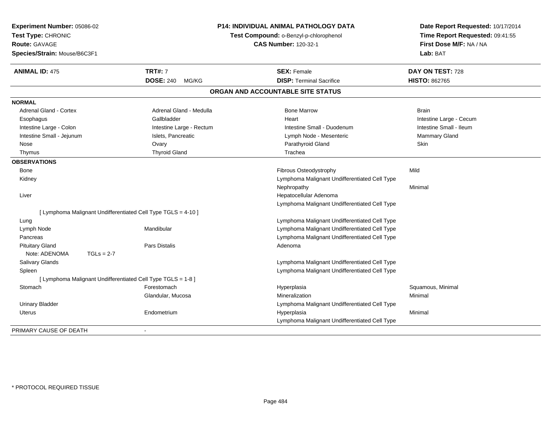| Experiment Number: 05086-02<br>Test Type: CHRONIC<br><b>Route: GAVAGE</b> |                           | <b>P14: INDIVIDUAL ANIMAL PATHOLOGY DATA</b><br>Test Compound: o-Benzyl-p-chlorophenol<br><b>CAS Number: 120-32-1</b> | Date Report Requested: 10/17/2014<br>Time Report Requested: 09:41:55<br>First Dose M/F: NA / NA |
|---------------------------------------------------------------------------|---------------------------|-----------------------------------------------------------------------------------------------------------------------|-------------------------------------------------------------------------------------------------|
| Species/Strain: Mouse/B6C3F1                                              |                           |                                                                                                                       | Lab: BAT                                                                                        |
| <b>ANIMAL ID: 475</b>                                                     | <b>TRT#: 7</b>            | <b>SEX: Female</b>                                                                                                    | DAY ON TEST: 728                                                                                |
|                                                                           | <b>DOSE: 240</b><br>MG/KG | <b>DISP: Terminal Sacrifice</b>                                                                                       | <b>HISTO: 862765</b>                                                                            |
|                                                                           |                           | ORGAN AND ACCOUNTABLE SITE STATUS                                                                                     |                                                                                                 |
| <b>NORMAL</b>                                                             |                           |                                                                                                                       |                                                                                                 |
| <b>Adrenal Gland - Cortex</b>                                             | Adrenal Gland - Medulla   | <b>Bone Marrow</b>                                                                                                    | <b>Brain</b>                                                                                    |
| Esophagus                                                                 | Gallbladder               | Heart                                                                                                                 | Intestine Large - Cecum                                                                         |
| Intestine Large - Colon                                                   | Intestine Large - Rectum  | Intestine Small - Duodenum                                                                                            | Intestine Small - Ileum                                                                         |
| Intestine Small - Jejunum                                                 | Islets, Pancreatic        | Lymph Node - Mesenteric                                                                                               | Mammary Gland                                                                                   |
| Nose                                                                      | Ovary                     | Parathyroid Gland                                                                                                     | <b>Skin</b>                                                                                     |
| Thymus                                                                    | <b>Thyroid Gland</b>      | Trachea                                                                                                               |                                                                                                 |
| <b>OBSERVATIONS</b>                                                       |                           |                                                                                                                       |                                                                                                 |
| Bone                                                                      |                           | Fibrous Osteodystrophy                                                                                                | Mild                                                                                            |
| Kidney                                                                    |                           | Lymphoma Malignant Undifferentiated Cell Type                                                                         |                                                                                                 |
|                                                                           |                           | Nephropathy                                                                                                           | Minimal                                                                                         |
| Liver                                                                     |                           | Hepatocellular Adenoma                                                                                                |                                                                                                 |
|                                                                           |                           | Lymphoma Malignant Undifferentiated Cell Type                                                                         |                                                                                                 |
| [ Lymphoma Malignant Undifferentiated Cell Type TGLS = 4-10 ]             |                           |                                                                                                                       |                                                                                                 |
| Lung                                                                      |                           | Lymphoma Malignant Undifferentiated Cell Type                                                                         |                                                                                                 |
| Lymph Node                                                                | Mandibular                | Lymphoma Malignant Undifferentiated Cell Type                                                                         |                                                                                                 |
| Pancreas                                                                  |                           | Lymphoma Malignant Undifferentiated Cell Type                                                                         |                                                                                                 |
| <b>Pituitary Gland</b>                                                    | <b>Pars Distalis</b>      | Adenoma                                                                                                               |                                                                                                 |
| Note: ADENOMA<br>$TGLs = 2-7$                                             |                           |                                                                                                                       |                                                                                                 |
| Salivary Glands                                                           |                           | Lymphoma Malignant Undifferentiated Cell Type                                                                         |                                                                                                 |
| Spleen                                                                    |                           | Lymphoma Malignant Undifferentiated Cell Type                                                                         |                                                                                                 |
| [ Lymphoma Malignant Undifferentiated Cell Type TGLS = 1-8 ]              |                           |                                                                                                                       |                                                                                                 |
| Stomach                                                                   | Forestomach               | Hyperplasia                                                                                                           | Squamous, Minimal                                                                               |
|                                                                           | Glandular, Mucosa         | Mineralization                                                                                                        | Minimal                                                                                         |
| <b>Urinary Bladder</b>                                                    |                           | Lymphoma Malignant Undifferentiated Cell Type                                                                         |                                                                                                 |
| Uterus                                                                    | Endometrium               | Hyperplasia                                                                                                           | Minimal                                                                                         |
|                                                                           |                           | Lymphoma Malignant Undifferentiated Cell Type                                                                         |                                                                                                 |
| PRIMARY CAUSE OF DEATH                                                    |                           |                                                                                                                       |                                                                                                 |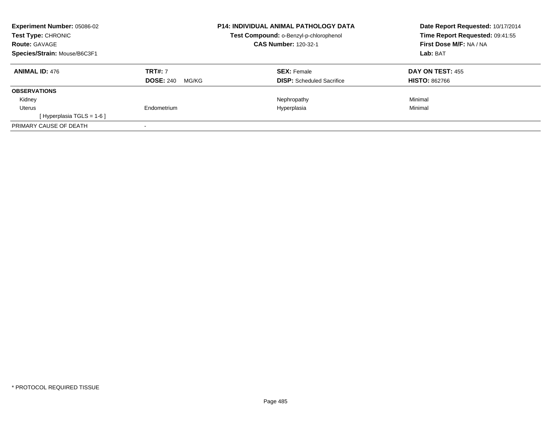| Experiment Number: 05086-02<br><b>Test Type: CHRONIC</b><br><b>Route: GAVAGE</b><br>Species/Strain: Mouse/B6C3F1 |                                             | <b>P14: INDIVIDUAL ANIMAL PATHOLOGY DATA</b><br>Test Compound: o-Benzyl-p-chlorophenol<br><b>CAS Number: 120-32-1</b> | Date Report Requested: 10/17/2014<br>Time Report Requested: 09:41:55<br>First Dose M/F: NA / NA<br>Lab: BAT |
|------------------------------------------------------------------------------------------------------------------|---------------------------------------------|-----------------------------------------------------------------------------------------------------------------------|-------------------------------------------------------------------------------------------------------------|
| <b>ANIMAL ID: 476</b>                                                                                            | <b>TRT#: 7</b><br><b>DOSE: 240</b><br>MG/KG | <b>SEX: Female</b><br><b>DISP:</b> Scheduled Sacrifice                                                                | <b>DAY ON TEST: 455</b><br><b>HISTO: 862766</b>                                                             |
| <b>OBSERVATIONS</b>                                                                                              |                                             |                                                                                                                       |                                                                                                             |
| Kidney                                                                                                           |                                             | Nephropathy                                                                                                           | Minimal                                                                                                     |
| Uterus                                                                                                           | Endometrium                                 | Hyperplasia                                                                                                           | Minimal                                                                                                     |
| [Hyperplasia TGLS = $1-6$ ]                                                                                      |                                             |                                                                                                                       |                                                                                                             |
| PRIMARY CAUSE OF DEATH                                                                                           |                                             |                                                                                                                       |                                                                                                             |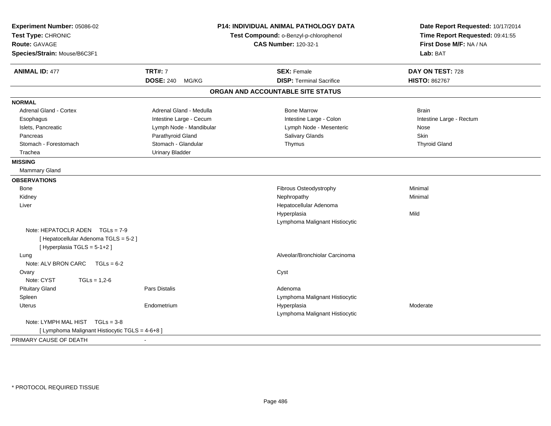| Experiment Number: 05086-02<br>Test Type: CHRONIC<br><b>Route: GAVAGE</b><br>Species/Strain: Mouse/B6C3F1 |                           | <b>P14: INDIVIDUAL ANIMAL PATHOLOGY DATA</b><br>Test Compound: o-Benzyl-p-chlorophenol<br><b>CAS Number: 120-32-1</b> | Date Report Requested: 10/17/2014<br>Time Report Requested: 09:41:55<br>First Dose M/F: NA / NA<br>Lab: BAT |
|-----------------------------------------------------------------------------------------------------------|---------------------------|-----------------------------------------------------------------------------------------------------------------------|-------------------------------------------------------------------------------------------------------------|
| <b>ANIMAL ID: 477</b>                                                                                     | <b>TRT#: 7</b>            | <b>SEX: Female</b>                                                                                                    | DAY ON TEST: 728                                                                                            |
|                                                                                                           | <b>DOSE: 240</b><br>MG/KG | <b>DISP: Terminal Sacrifice</b>                                                                                       | <b>HISTO: 862767</b>                                                                                        |
|                                                                                                           |                           | ORGAN AND ACCOUNTABLE SITE STATUS                                                                                     |                                                                                                             |
| <b>NORMAL</b>                                                                                             |                           |                                                                                                                       |                                                                                                             |
| Adrenal Gland - Cortex                                                                                    | Adrenal Gland - Medulla   | <b>Bone Marrow</b>                                                                                                    | <b>Brain</b>                                                                                                |
| Esophagus                                                                                                 | Intestine Large - Cecum   | Intestine Large - Colon                                                                                               | Intestine Large - Rectum                                                                                    |
| Islets, Pancreatic                                                                                        | Lymph Node - Mandibular   | Lymph Node - Mesenteric                                                                                               | Nose                                                                                                        |
| Pancreas                                                                                                  | Parathyroid Gland         | Salivary Glands                                                                                                       | <b>Skin</b>                                                                                                 |
| Stomach - Forestomach                                                                                     | Stomach - Glandular       | Thymus                                                                                                                | <b>Thyroid Gland</b>                                                                                        |
| Trachea                                                                                                   | <b>Urinary Bladder</b>    |                                                                                                                       |                                                                                                             |
| <b>MISSING</b>                                                                                            |                           |                                                                                                                       |                                                                                                             |
| <b>Mammary Gland</b>                                                                                      |                           |                                                                                                                       |                                                                                                             |
| <b>OBSERVATIONS</b>                                                                                       |                           |                                                                                                                       |                                                                                                             |
| Bone                                                                                                      |                           | Fibrous Osteodystrophy                                                                                                | Minimal                                                                                                     |
| Kidney                                                                                                    |                           | Nephropathy                                                                                                           | Minimal                                                                                                     |
| Liver                                                                                                     |                           | Hepatocellular Adenoma                                                                                                |                                                                                                             |
|                                                                                                           |                           | Hyperplasia                                                                                                           | Mild                                                                                                        |
|                                                                                                           |                           | Lymphoma Malignant Histiocytic                                                                                        |                                                                                                             |
| Note: HEPATOCLR ADEN $TGLs = 7-9$                                                                         |                           |                                                                                                                       |                                                                                                             |
| [ Hepatocellular Adenoma TGLS = 5-2 ]<br>[Hyperplasia TGLS = 5-1+2]                                       |                           |                                                                                                                       |                                                                                                             |
| Lung                                                                                                      |                           | Alveolar/Bronchiolar Carcinoma                                                                                        |                                                                                                             |
| Note: ALV BRON CARC<br>$TGLs = 6-2$                                                                       |                           |                                                                                                                       |                                                                                                             |
| Ovary                                                                                                     |                           | Cyst                                                                                                                  |                                                                                                             |
| Note: CYST<br>$TGLs = 1,2-6$                                                                              |                           |                                                                                                                       |                                                                                                             |
| <b>Pituitary Gland</b>                                                                                    | Pars Distalis             | Adenoma                                                                                                               |                                                                                                             |
| Spleen                                                                                                    |                           | Lymphoma Malignant Histiocytic                                                                                        |                                                                                                             |
| Uterus                                                                                                    | Endometrium               | Hyperplasia                                                                                                           | Moderate                                                                                                    |
|                                                                                                           |                           | Lymphoma Malignant Histiocytic                                                                                        |                                                                                                             |
| Note: LYMPH MAL HIST TGLs = 3-8                                                                           |                           |                                                                                                                       |                                                                                                             |
| [ Lymphoma Malignant Histiocytic TGLS = 4-6+8 ]                                                           |                           |                                                                                                                       |                                                                                                             |
| PRIMARY CAUSE OF DEATH                                                                                    |                           |                                                                                                                       |                                                                                                             |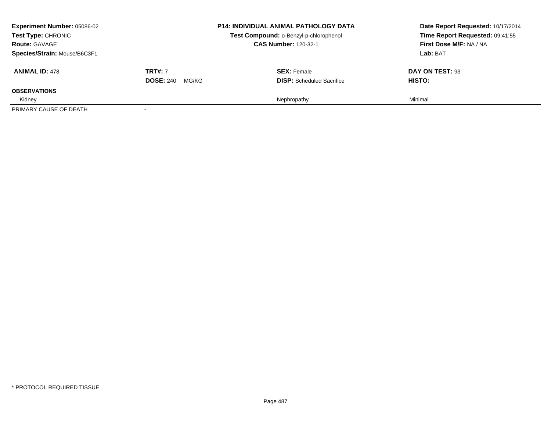| <b>Experiment Number: 05086-02</b><br>Test Type: CHRONIC<br><b>Route: GAVAGE</b><br>Species/Strain: Mouse/B6C3F1 |                                             | <b>P14: INDIVIDUAL ANIMAL PATHOLOGY DATA</b><br>Test Compound: o-Benzyl-p-chlorophenol<br><b>CAS Number: 120-32-1</b> | Date Report Requested: 10/17/2014<br>Time Report Requested: 09:41:55<br>First Dose M/F: NA / NA<br>Lab: BAT |
|------------------------------------------------------------------------------------------------------------------|---------------------------------------------|-----------------------------------------------------------------------------------------------------------------------|-------------------------------------------------------------------------------------------------------------|
| <b>ANIMAL ID: 478</b>                                                                                            | <b>TRT#: 7</b><br><b>DOSE: 240</b><br>MG/KG | <b>SEX:</b> Female<br><b>DISP:</b> Scheduled Sacrifice                                                                | DAY ON TEST: 93<br><b>HISTO:</b>                                                                            |
| <b>OBSERVATIONS</b>                                                                                              |                                             |                                                                                                                       |                                                                                                             |
| Kidney<br>PRIMARY CAUSE OF DEATH                                                                                 |                                             | Nephropathy                                                                                                           | Minimal                                                                                                     |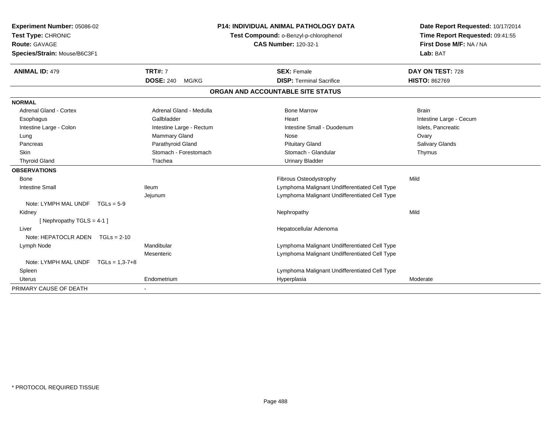| Experiment Number: 05086-02<br>Test Type: CHRONIC |                           | <b>P14: INDIVIDUAL ANIMAL PATHOLOGY DATA</b>  | Date Report Requested: 10/17/2014 |
|---------------------------------------------------|---------------------------|-----------------------------------------------|-----------------------------------|
|                                                   |                           | Test Compound: o-Benzyl-p-chlorophenol        | Time Report Requested: 09:41:55   |
| <b>Route: GAVAGE</b>                              |                           | <b>CAS Number: 120-32-1</b>                   | First Dose M/F: NA / NA           |
| Species/Strain: Mouse/B6C3F1                      |                           |                                               | Lab: BAT                          |
| <b>ANIMAL ID: 479</b>                             | <b>TRT#: 7</b>            | <b>SEX: Female</b>                            | DAY ON TEST: 728                  |
|                                                   | <b>DOSE: 240</b><br>MG/KG | <b>DISP: Terminal Sacrifice</b>               | <b>HISTO: 862769</b>              |
|                                                   |                           | ORGAN AND ACCOUNTABLE SITE STATUS             |                                   |
| <b>NORMAL</b>                                     |                           |                                               |                                   |
| <b>Adrenal Gland - Cortex</b>                     | Adrenal Gland - Medulla   | <b>Bone Marrow</b>                            | <b>Brain</b>                      |
| Esophagus                                         | Gallbladder               | Heart                                         | Intestine Large - Cecum           |
| Intestine Large - Colon                           | Intestine Large - Rectum  | Intestine Small - Duodenum                    | Islets, Pancreatic                |
| Lung                                              | <b>Mammary Gland</b>      | Nose                                          | Ovary                             |
| Pancreas                                          | Parathyroid Gland         | <b>Pituitary Gland</b>                        | Salivary Glands                   |
| <b>Skin</b>                                       | Stomach - Forestomach     | Stomach - Glandular                           | Thymus                            |
| <b>Thyroid Gland</b>                              | Trachea                   | <b>Urinary Bladder</b>                        |                                   |
| <b>OBSERVATIONS</b>                               |                           |                                               |                                   |
| <b>Bone</b>                                       |                           | Fibrous Osteodystrophy                        | Mild                              |
| <b>Intestine Small</b>                            | <b>Ileum</b>              | Lymphoma Malignant Undifferentiated Cell Type |                                   |
|                                                   | Jejunum                   | Lymphoma Malignant Undifferentiated Cell Type |                                   |
| Note: LYMPH MAL UNDF<br>$TGLs = 5-9$              |                           |                                               |                                   |
| Kidney                                            |                           | Nephropathy                                   | Mild                              |
| [Nephropathy TGLS = $4-1$ ]                       |                           |                                               |                                   |
| Liver                                             |                           | Hepatocellular Adenoma                        |                                   |
| Note: HEPATOCLR ADEN TGLs = 2-10                  |                           |                                               |                                   |
| Lymph Node                                        | Mandibular                | Lymphoma Malignant Undifferentiated Cell Type |                                   |
|                                                   | Mesenteric                | Lymphoma Malignant Undifferentiated Cell Type |                                   |
| Note: LYMPH MAL UNDF<br>$TGLs = 1,3-7+8$          |                           |                                               |                                   |
| Spleen                                            |                           | Lymphoma Malignant Undifferentiated Cell Type |                                   |
| <b>Uterus</b>                                     | Endometrium               | Hyperplasia                                   | Moderate                          |
| PRIMARY CAUSE OF DEATH                            |                           |                                               |                                   |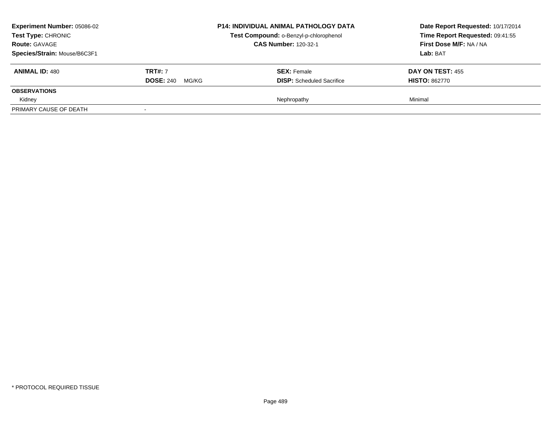| <b>Experiment Number: 05086-02</b><br>Test Type: CHRONIC<br><b>Route: GAVAGE</b><br>Species/Strain: Mouse/B6C3F1 |                           | <b>P14: INDIVIDUAL ANIMAL PATHOLOGY DATA</b><br>Test Compound: o-Benzyl-p-chlorophenol<br><b>CAS Number: 120-32-1</b> | Date Report Requested: 10/17/2014<br>Time Report Requested: 09:41:55<br>First Dose M/F: NA / NA<br>Lab: BAT |
|------------------------------------------------------------------------------------------------------------------|---------------------------|-----------------------------------------------------------------------------------------------------------------------|-------------------------------------------------------------------------------------------------------------|
| <b>ANIMAL ID: 480</b>                                                                                            | <b>TRT#: 7</b>            | <b>SEX: Female</b>                                                                                                    | <b>DAY ON TEST: 455</b>                                                                                     |
|                                                                                                                  | <b>DOSE: 240</b><br>MG/KG | <b>DISP:</b> Scheduled Sacrifice                                                                                      | <b>HISTO: 862770</b>                                                                                        |
| <b>OBSERVATIONS</b>                                                                                              |                           |                                                                                                                       |                                                                                                             |
| Kidney                                                                                                           |                           | Nephropathy                                                                                                           | Minimal                                                                                                     |
| PRIMARY CAUSE OF DEATH                                                                                           | $\overline{\phantom{a}}$  |                                                                                                                       |                                                                                                             |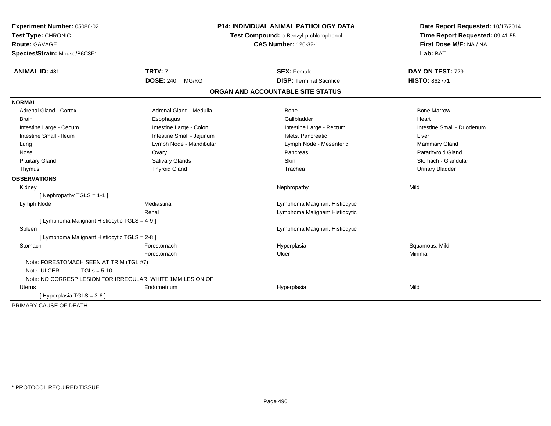| Experiment Number: 05086-02<br>Test Type: CHRONIC<br><b>Route: GAVAGE</b><br>Species/Strain: Mouse/B6C3F1 |                                                            | <b>P14: INDIVIDUAL ANIMAL PATHOLOGY DATA</b><br>Test Compound: o-Benzyl-p-chlorophenol<br><b>CAS Number: 120-32-1</b> | Date Report Requested: 10/17/2014<br>Time Report Requested: 09:41:55<br>First Dose M/F: NA / NA<br>Lab: BAT |  |
|-----------------------------------------------------------------------------------------------------------|------------------------------------------------------------|-----------------------------------------------------------------------------------------------------------------------|-------------------------------------------------------------------------------------------------------------|--|
| <b>ANIMAL ID: 481</b>                                                                                     | <b>TRT#: 7</b>                                             | <b>SEX: Female</b>                                                                                                    | DAY ON TEST: 729                                                                                            |  |
|                                                                                                           | <b>DOSE: 240</b><br>MG/KG                                  | <b>DISP: Terminal Sacrifice</b>                                                                                       | <b>HISTO: 862771</b>                                                                                        |  |
|                                                                                                           |                                                            | ORGAN AND ACCOUNTABLE SITE STATUS                                                                                     |                                                                                                             |  |
| <b>NORMAL</b>                                                                                             |                                                            |                                                                                                                       |                                                                                                             |  |
| <b>Adrenal Gland - Cortex</b>                                                                             | Adrenal Gland - Medulla                                    | Bone                                                                                                                  | <b>Bone Marrow</b>                                                                                          |  |
| <b>Brain</b>                                                                                              | Esophagus                                                  | Gallbladder                                                                                                           | Heart                                                                                                       |  |
| Intestine Large - Cecum                                                                                   | Intestine Large - Colon                                    | Intestine Large - Rectum                                                                                              | Intestine Small - Duodenum                                                                                  |  |
| Intestine Small - Ileum                                                                                   | Intestine Small - Jejunum                                  | Islets, Pancreatic                                                                                                    | Liver                                                                                                       |  |
| Lung                                                                                                      | Lymph Node - Mandibular                                    | Lymph Node - Mesenteric                                                                                               | Mammary Gland                                                                                               |  |
| Nose                                                                                                      | Ovary                                                      | Pancreas                                                                                                              | Parathyroid Gland                                                                                           |  |
| <b>Pituitary Gland</b>                                                                                    | Salivary Glands                                            | Skin                                                                                                                  | Stomach - Glandular                                                                                         |  |
| Thymus                                                                                                    | <b>Thyroid Gland</b>                                       | Trachea                                                                                                               | <b>Urinary Bladder</b>                                                                                      |  |
| <b>OBSERVATIONS</b>                                                                                       |                                                            |                                                                                                                       |                                                                                                             |  |
| Kidney                                                                                                    |                                                            | Nephropathy                                                                                                           | Mild                                                                                                        |  |
| [Nephropathy TGLS = $1-1$ ]                                                                               |                                                            |                                                                                                                       |                                                                                                             |  |
| Lymph Node                                                                                                | Mediastinal                                                | Lymphoma Malignant Histiocytic                                                                                        |                                                                                                             |  |
|                                                                                                           | Renal                                                      | Lymphoma Malignant Histiocytic                                                                                        |                                                                                                             |  |
| [ Lymphoma Malignant Histiocytic TGLS = 4-9 ]                                                             |                                                            |                                                                                                                       |                                                                                                             |  |
| Spleen                                                                                                    |                                                            | Lymphoma Malignant Histiocytic                                                                                        |                                                                                                             |  |
| [ Lymphoma Malignant Histiocytic TGLS = 2-8 ]                                                             |                                                            |                                                                                                                       |                                                                                                             |  |
| Stomach                                                                                                   | Forestomach                                                | Hyperplasia                                                                                                           | Squamous, Mild                                                                                              |  |
|                                                                                                           | Forestomach                                                | Ulcer                                                                                                                 | Minimal                                                                                                     |  |
| Note: FORESTOMACH SEEN AT TRIM (TGL #7)                                                                   |                                                            |                                                                                                                       |                                                                                                             |  |
| Note: ULCER<br>$TGLs = 5-10$                                                                              |                                                            |                                                                                                                       |                                                                                                             |  |
|                                                                                                           | Note: NO CORRESP LESION FOR IRREGULAR, WHITE 1MM LESION OF |                                                                                                                       |                                                                                                             |  |
| <b>Uterus</b>                                                                                             | Endometrium                                                | Hyperplasia                                                                                                           | Mild                                                                                                        |  |
| [Hyperplasia TGLS = 3-6]                                                                                  |                                                            |                                                                                                                       |                                                                                                             |  |
| PRIMARY CAUSE OF DEATH                                                                                    |                                                            |                                                                                                                       |                                                                                                             |  |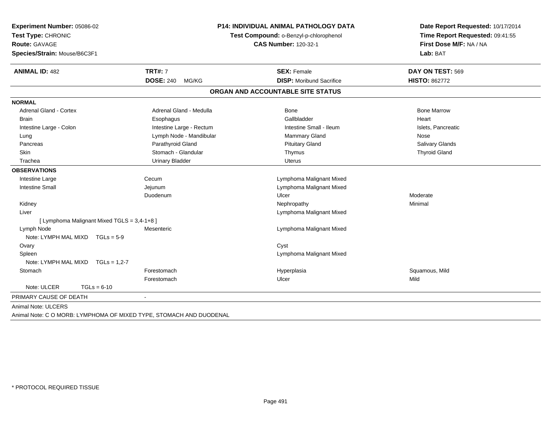| Experiment Number: 05086-02<br>Test Type: CHRONIC<br>Route: GAVAGE<br>Species/Strain: Mouse/B6C3F1 | P14: INDIVIDUAL ANIMAL PATHOLOGY DATA<br>Test Compound: o-Benzyl-p-chlorophenol<br><b>CAS Number: 120-32-1</b> |                                   | Date Report Requested: 10/17/2014<br>Time Report Requested: 09:41:55<br>First Dose M/F: NA / NA<br>Lab: BAT |
|----------------------------------------------------------------------------------------------------|----------------------------------------------------------------------------------------------------------------|-----------------------------------|-------------------------------------------------------------------------------------------------------------|
| <b>ANIMAL ID: 482</b>                                                                              | <b>TRT#: 7</b>                                                                                                 | <b>SEX: Female</b>                | DAY ON TEST: 569                                                                                            |
|                                                                                                    | <b>DOSE: 240</b><br>MG/KG                                                                                      | <b>DISP:</b> Moribund Sacrifice   | <b>HISTO: 862772</b>                                                                                        |
|                                                                                                    |                                                                                                                | ORGAN AND ACCOUNTABLE SITE STATUS |                                                                                                             |
| <b>NORMAL</b>                                                                                      |                                                                                                                |                                   |                                                                                                             |
| <b>Adrenal Gland - Cortex</b>                                                                      | Adrenal Gland - Medulla                                                                                        | <b>Bone</b>                       | <b>Bone Marrow</b>                                                                                          |
| <b>Brain</b>                                                                                       | Esophagus                                                                                                      | Gallbladder                       | Heart                                                                                                       |
| Intestine Large - Colon                                                                            | Intestine Large - Rectum                                                                                       | Intestine Small - Ileum           | Islets, Pancreatic                                                                                          |
| Lung                                                                                               | Lymph Node - Mandibular                                                                                        | Mammary Gland                     | Nose                                                                                                        |
| Pancreas                                                                                           | Parathyroid Gland                                                                                              | <b>Pituitary Gland</b>            | Salivary Glands                                                                                             |
| Skin                                                                                               | Stomach - Glandular                                                                                            | Thymus                            | <b>Thyroid Gland</b>                                                                                        |
| Trachea                                                                                            | <b>Urinary Bladder</b>                                                                                         | Uterus                            |                                                                                                             |
| <b>OBSERVATIONS</b>                                                                                |                                                                                                                |                                   |                                                                                                             |
| Intestine Large                                                                                    | Cecum                                                                                                          | Lymphoma Malignant Mixed          |                                                                                                             |
| <b>Intestine Small</b>                                                                             | Jejunum                                                                                                        | Lymphoma Malignant Mixed          |                                                                                                             |
|                                                                                                    | Duodenum                                                                                                       | Ulcer                             | Moderate                                                                                                    |
| Kidney                                                                                             |                                                                                                                | Nephropathy                       | Minimal                                                                                                     |
| Liver                                                                                              |                                                                                                                | Lymphoma Malignant Mixed          |                                                                                                             |
| [ Lymphoma Malignant Mixed TGLS = 3,4-1+8 ]                                                        |                                                                                                                |                                   |                                                                                                             |
| Lymph Node                                                                                         | Mesenteric                                                                                                     | Lymphoma Malignant Mixed          |                                                                                                             |
| Note: LYMPH MAL MIXD TGLs = 5-9                                                                    |                                                                                                                |                                   |                                                                                                             |
| Ovary                                                                                              |                                                                                                                | Cyst                              |                                                                                                             |
| Spleen                                                                                             |                                                                                                                | Lymphoma Malignant Mixed          |                                                                                                             |
| Note: LYMPH MAL MIXD<br>$TGLs = 1,2-7$                                                             |                                                                                                                |                                   |                                                                                                             |
| Stomach                                                                                            | Forestomach                                                                                                    | Hyperplasia                       | Squamous, Mild                                                                                              |
|                                                                                                    | Forestomach                                                                                                    | Ulcer                             | Mild                                                                                                        |
| Note: ULCER<br>$TGLs = 6-10$                                                                       |                                                                                                                |                                   |                                                                                                             |
| PRIMARY CAUSE OF DEATH                                                                             | $\blacksquare$                                                                                                 |                                   |                                                                                                             |
| Animal Note: ULCERS                                                                                |                                                                                                                |                                   |                                                                                                             |

Animal Note: C O MORB: LYMPHOMA OF MIXED TYPE, STOMACH AND DUODENAL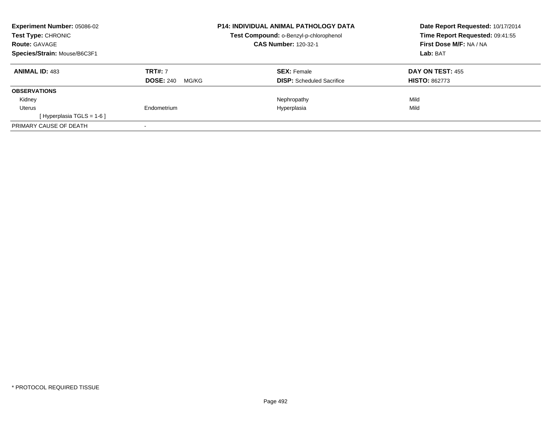| <b>Experiment Number: 05086-02</b><br><b>Test Type: CHRONIC</b><br><b>Route: GAVAGE</b> |                           | <b>P14: INDIVIDUAL ANIMAL PATHOLOGY DATA</b><br>Test Compound: o-Benzyl-p-chlorophenol<br><b>CAS Number: 120-32-1</b> | Date Report Requested: 10/17/2014<br>Time Report Requested: 09:41:55<br>First Dose M/F: NA / NA |
|-----------------------------------------------------------------------------------------|---------------------------|-----------------------------------------------------------------------------------------------------------------------|-------------------------------------------------------------------------------------------------|
| Species/Strain: Mouse/B6C3F1                                                            |                           |                                                                                                                       | Lab: BAT                                                                                        |
| <b>ANIMAL ID: 483</b>                                                                   | <b>TRT#: 7</b>            | <b>SEX:</b> Female                                                                                                    | DAY ON TEST: 455                                                                                |
|                                                                                         | <b>DOSE: 240</b><br>MG/KG | <b>DISP:</b> Scheduled Sacrifice                                                                                      | <b>HISTO: 862773</b>                                                                            |
| <b>OBSERVATIONS</b>                                                                     |                           |                                                                                                                       |                                                                                                 |
| Kidney                                                                                  |                           | Nephropathy                                                                                                           | Mild                                                                                            |
| Uterus                                                                                  | Endometrium               | Hyperplasia                                                                                                           | Mild                                                                                            |
| [Hyperplasia TGLS = $1-6$ ]                                                             |                           |                                                                                                                       |                                                                                                 |
| PRIMARY CAUSE OF DEATH                                                                  |                           |                                                                                                                       |                                                                                                 |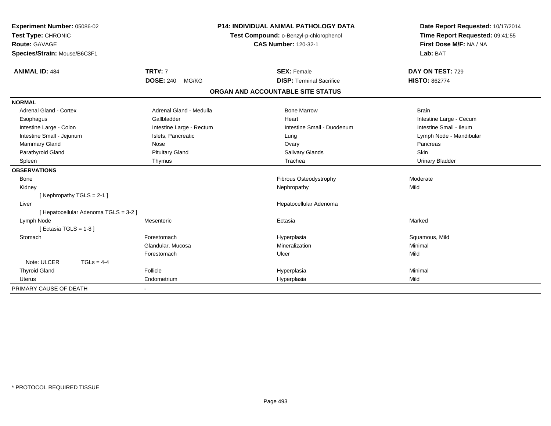| Experiment Number: 05086-02           |                           | <b>P14: INDIVIDUAL ANIMAL PATHOLOGY DATA</b> | Date Report Requested: 10/17/2014 |
|---------------------------------------|---------------------------|----------------------------------------------|-----------------------------------|
| Test Type: CHRONIC                    |                           | Test Compound: o-Benzyl-p-chlorophenol       | Time Report Requested: 09:41:55   |
| Route: GAVAGE                         |                           | <b>CAS Number: 120-32-1</b>                  | First Dose M/F: NA / NA           |
| Species/Strain: Mouse/B6C3F1          |                           |                                              | Lab: BAT                          |
| <b>ANIMAL ID: 484</b>                 | <b>TRT#: 7</b>            | <b>SEX: Female</b>                           | DAY ON TEST: 729                  |
|                                       | <b>DOSE: 240</b><br>MG/KG | <b>DISP: Terminal Sacrifice</b>              | <b>HISTO: 862774</b>              |
|                                       |                           | ORGAN AND ACCOUNTABLE SITE STATUS            |                                   |
| <b>NORMAL</b>                         |                           |                                              |                                   |
| Adrenal Gland - Cortex                | Adrenal Gland - Medulla   | <b>Bone Marrow</b>                           | <b>Brain</b>                      |
| Esophagus                             | Gallbladder               | Heart                                        | Intestine Large - Cecum           |
| Intestine Large - Colon               | Intestine Large - Rectum  | Intestine Small - Duodenum                   | Intestine Small - Ileum           |
| Intestine Small - Jejunum             | Islets, Pancreatic        | Lung                                         | Lymph Node - Mandibular           |
| Mammary Gland                         | Nose                      | Ovary                                        | Pancreas                          |
| Parathyroid Gland                     | <b>Pituitary Gland</b>    | Salivary Glands                              | Skin                              |
| Spleen                                | Thymus                    | Trachea                                      | <b>Urinary Bladder</b>            |
| <b>OBSERVATIONS</b>                   |                           |                                              |                                   |
| <b>Bone</b>                           |                           | Fibrous Osteodystrophy                       | Moderate                          |
| Kidney                                |                           | Nephropathy                                  | Mild                              |
| [Nephropathy TGLS = 2-1]              |                           |                                              |                                   |
| Liver                                 |                           | Hepatocellular Adenoma                       |                                   |
| [ Hepatocellular Adenoma TGLS = 3-2 ] |                           |                                              |                                   |
| Lymph Node                            | Mesenteric                | Ectasia                                      | Marked                            |
| [Ectasia TGLS = $1-8$ ]               |                           |                                              |                                   |
| Stomach                               | Forestomach               | Hyperplasia                                  | Squamous, Mild                    |
|                                       | Glandular, Mucosa         | Mineralization                               | Minimal                           |
|                                       | Forestomach               | Ulcer                                        | Mild                              |
| Note: ULCER<br>$TGLs = 4-4$           |                           |                                              |                                   |
| <b>Thyroid Gland</b>                  | Follicle                  | Hyperplasia                                  | Minimal                           |
| <b>Uterus</b>                         | Endometrium               | Hyperplasia                                  | Mild                              |
| PRIMARY CAUSE OF DEATH                |                           |                                              |                                   |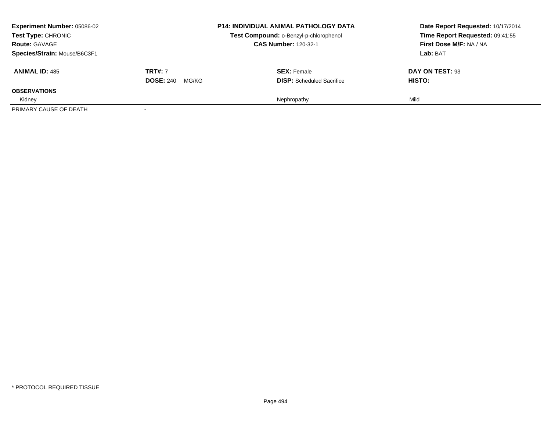| <b>Experiment Number: 05086-02</b><br>Test Type: CHRONIC<br><b>Route: GAVAGE</b><br>Species/Strain: Mouse/B6C3F1 |                                             | <b>P14: INDIVIDUAL ANIMAL PATHOLOGY DATA</b><br>Test Compound: o-Benzyl-p-chlorophenol<br><b>CAS Number: 120-32-1</b> | Date Report Requested: 10/17/2014<br>Time Report Requested: 09:41:55<br>First Dose M/F: NA / NA<br>Lab: BAT |
|------------------------------------------------------------------------------------------------------------------|---------------------------------------------|-----------------------------------------------------------------------------------------------------------------------|-------------------------------------------------------------------------------------------------------------|
| <b>ANIMAL ID: 485</b>                                                                                            | <b>TRT#:</b> 7<br><b>DOSE: 240</b><br>MG/KG | <b>SEX: Female</b><br><b>DISP:</b> Scheduled Sacrifice                                                                | DAY ON TEST: 93<br><b>HISTO:</b>                                                                            |
| <b>OBSERVATIONS</b>                                                                                              |                                             |                                                                                                                       |                                                                                                             |
| Kidney                                                                                                           |                                             | Nephropathy                                                                                                           | Mild                                                                                                        |
| PRIMARY CAUSE OF DEATH                                                                                           |                                             |                                                                                                                       |                                                                                                             |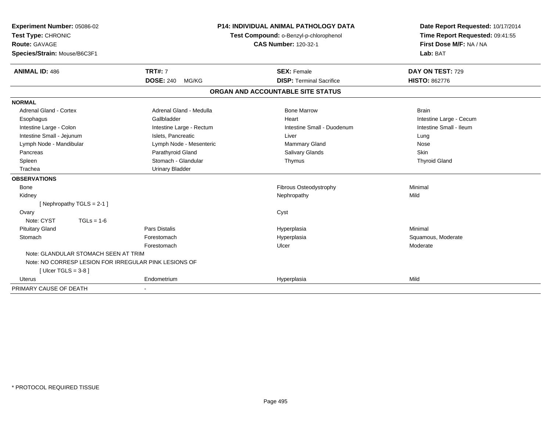| <b>Experiment Number: 05086-02</b>                    |                           | <b>P14: INDIVIDUAL ANIMAL PATHOLOGY DATA</b> | Date Report Requested: 10/17/2014 |
|-------------------------------------------------------|---------------------------|----------------------------------------------|-----------------------------------|
| Test Type: CHRONIC                                    |                           | Test Compound: o-Benzyl-p-chlorophenol       | Time Report Requested: 09:41:55   |
| <b>Route: GAVAGE</b>                                  |                           | <b>CAS Number: 120-32-1</b>                  | First Dose M/F: NA / NA           |
| Species/Strain: Mouse/B6C3F1                          |                           |                                              | Lab: BAT                          |
| <b>ANIMAL ID: 486</b>                                 | <b>TRT#: 7</b>            | <b>SEX: Female</b>                           | DAY ON TEST: 729                  |
|                                                       | <b>DOSE: 240</b><br>MG/KG | <b>DISP: Terminal Sacrifice</b>              | <b>HISTO: 862776</b>              |
|                                                       |                           | ORGAN AND ACCOUNTABLE SITE STATUS            |                                   |
| <b>NORMAL</b>                                         |                           |                                              |                                   |
| <b>Adrenal Gland - Cortex</b>                         | Adrenal Gland - Medulla   | <b>Bone Marrow</b>                           | <b>Brain</b>                      |
| Esophagus                                             | Gallbladder               | Heart                                        | Intestine Large - Cecum           |
| Intestine Large - Colon                               | Intestine Large - Rectum  | Intestine Small - Duodenum                   | Intestine Small - Ileum           |
| Intestine Small - Jejunum                             | Islets, Pancreatic        | Liver                                        | Lung                              |
| Lymph Node - Mandibular                               | Lymph Node - Mesenteric   | <b>Mammary Gland</b>                         | Nose                              |
| Pancreas                                              | Parathyroid Gland         | <b>Salivary Glands</b>                       | Skin                              |
| Spleen                                                | Stomach - Glandular       | Thymus                                       | <b>Thyroid Gland</b>              |
| Trachea                                               | <b>Urinary Bladder</b>    |                                              |                                   |
| <b>OBSERVATIONS</b>                                   |                           |                                              |                                   |
| <b>Bone</b>                                           |                           | Fibrous Osteodystrophy                       | Minimal                           |
| Kidney                                                |                           | Nephropathy                                  | Mild                              |
| [Nephropathy TGLS = $2-1$ ]                           |                           |                                              |                                   |
| Ovary                                                 |                           | Cyst                                         |                                   |
| Note: CYST<br>$TGLs = 1-6$                            |                           |                                              |                                   |
| <b>Pituitary Gland</b>                                | <b>Pars Distalis</b>      | Hyperplasia                                  | Minimal                           |
| Stomach                                               | Forestomach               | Hyperplasia                                  | Squamous, Moderate                |
|                                                       | Forestomach               | Ulcer                                        | Moderate                          |
| Note: GLANDULAR STOMACH SEEN AT TRIM                  |                           |                                              |                                   |
| Note: NO CORRESP LESION FOR IRREGULAR PINK LESIONS OF |                           |                                              |                                   |
| [ Ulcer TGLS = $3-8$ ]                                |                           |                                              |                                   |
| <b>Uterus</b>                                         | Endometrium               | Hyperplasia                                  | Mild                              |
| PRIMARY CAUSE OF DEATH                                |                           |                                              |                                   |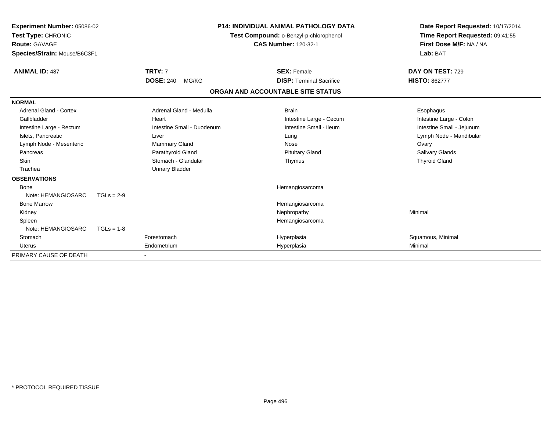| Experiment Number: 05086-02<br>Test Type: CHRONIC<br>Route: GAVAGE<br>Species/Strain: Mouse/B6C3F1 |              |                            | <b>P14: INDIVIDUAL ANIMAL PATHOLOGY DATA</b><br>Test Compound: o-Benzyl-p-chlorophenol<br><b>CAS Number: 120-32-1</b> | Date Report Requested: 10/17/2014<br>Time Report Requested: 09:41:55<br>First Dose M/F: NA / NA<br>Lab: BAT |
|----------------------------------------------------------------------------------------------------|--------------|----------------------------|-----------------------------------------------------------------------------------------------------------------------|-------------------------------------------------------------------------------------------------------------|
| <b>ANIMAL ID: 487</b>                                                                              |              | <b>TRT#: 7</b>             | <b>SEX: Female</b>                                                                                                    | DAY ON TEST: 729                                                                                            |
|                                                                                                    |              | <b>DOSE: 240</b><br>MG/KG  | <b>DISP: Terminal Sacrifice</b>                                                                                       | <b>HISTO: 862777</b>                                                                                        |
|                                                                                                    |              |                            | ORGAN AND ACCOUNTABLE SITE STATUS                                                                                     |                                                                                                             |
| <b>NORMAL</b>                                                                                      |              |                            |                                                                                                                       |                                                                                                             |
| <b>Adrenal Gland - Cortex</b>                                                                      |              | Adrenal Gland - Medulla    | <b>Brain</b>                                                                                                          | Esophagus                                                                                                   |
| Gallbladder                                                                                        |              | Heart                      | Intestine Large - Cecum                                                                                               | Intestine Large - Colon                                                                                     |
| Intestine Large - Rectum                                                                           |              | Intestine Small - Duodenum | Intestine Small - Ileum                                                                                               | Intestine Small - Jejunum                                                                                   |
| Islets, Pancreatic                                                                                 |              | Liver                      | Lung                                                                                                                  | Lymph Node - Mandibular                                                                                     |
| Lymph Node - Mesenteric                                                                            |              | <b>Mammary Gland</b>       | Nose                                                                                                                  | Ovary                                                                                                       |
| Pancreas                                                                                           |              | Parathyroid Gland          | <b>Pituitary Gland</b>                                                                                                | <b>Salivary Glands</b>                                                                                      |
| <b>Skin</b>                                                                                        |              | Stomach - Glandular        | Thymus                                                                                                                | <b>Thyroid Gland</b>                                                                                        |
| Trachea                                                                                            |              | <b>Urinary Bladder</b>     |                                                                                                                       |                                                                                                             |
| <b>OBSERVATIONS</b>                                                                                |              |                            |                                                                                                                       |                                                                                                             |
| Bone                                                                                               |              |                            | Hemangiosarcoma                                                                                                       |                                                                                                             |
| Note: HEMANGIOSARC                                                                                 | $TGLs = 2-9$ |                            |                                                                                                                       |                                                                                                             |
| <b>Bone Marrow</b>                                                                                 |              |                            | Hemangiosarcoma                                                                                                       |                                                                                                             |
| Kidney                                                                                             |              |                            | Nephropathy                                                                                                           | Minimal                                                                                                     |
| Spleen                                                                                             |              |                            | Hemangiosarcoma                                                                                                       |                                                                                                             |
| Note: HEMANGIOSARC                                                                                 | $TGLs = 1-8$ |                            |                                                                                                                       |                                                                                                             |
| Stomach                                                                                            |              | Forestomach                | Hyperplasia                                                                                                           | Squamous, Minimal                                                                                           |
| Uterus                                                                                             |              | Endometrium                | Hyperplasia                                                                                                           | Minimal                                                                                                     |
| PRIMARY CAUSE OF DEATH                                                                             |              |                            |                                                                                                                       |                                                                                                             |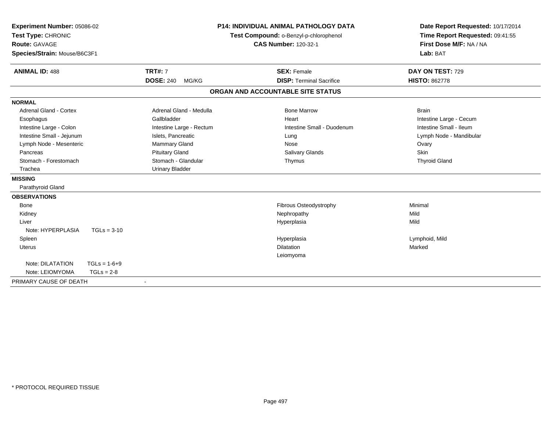| Experiment Number: 05086-02   |                | <b>P14: INDIVIDUAL ANIMAL PATHOLOGY DATA</b> |                                                                       | Date Report Requested: 10/17/2014 |                                 |
|-------------------------------|----------------|----------------------------------------------|-----------------------------------------------------------------------|-----------------------------------|---------------------------------|
| Test Type: CHRONIC            |                |                                              | Test Compound: o-Benzyl-p-chlorophenol<br><b>CAS Number: 120-32-1</b> |                                   | Time Report Requested: 09:41:55 |
| <b>Route: GAVAGE</b>          |                |                                              |                                                                       |                                   | First Dose M/F: NA / NA         |
| Species/Strain: Mouse/B6C3F1  |                |                                              |                                                                       |                                   | Lab: BAT                        |
|                               |                |                                              |                                                                       |                                   |                                 |
| <b>ANIMAL ID: 488</b>         |                | <b>TRT#: 7</b>                               |                                                                       | <b>SEX: Female</b>                | DAY ON TEST: 729                |
|                               |                | <b>DOSE: 240</b><br>MG/KG                    |                                                                       | <b>DISP: Terminal Sacrifice</b>   | <b>HISTO: 862778</b>            |
|                               |                |                                              | ORGAN AND ACCOUNTABLE SITE STATUS                                     |                                   |                                 |
| <b>NORMAL</b>                 |                |                                              |                                                                       |                                   |                                 |
| <b>Adrenal Gland - Cortex</b> |                | Adrenal Gland - Medulla                      |                                                                       | <b>Bone Marrow</b>                | <b>Brain</b>                    |
| Esophagus                     |                | Gallbladder                                  |                                                                       | Heart                             | Intestine Large - Cecum         |
| Intestine Large - Colon       |                | Intestine Large - Rectum                     |                                                                       | Intestine Small - Duodenum        | Intestine Small - Ileum         |
| Intestine Small - Jejunum     |                | Islets, Pancreatic                           |                                                                       | Lung                              | Lymph Node - Mandibular         |
| Lymph Node - Mesenteric       |                | Mammary Gland                                |                                                                       | Nose                              | Ovary                           |
| Pancreas                      |                | <b>Pituitary Gland</b>                       |                                                                       | Salivary Glands                   | <b>Skin</b>                     |
| Stomach - Forestomach         |                | Stomach - Glandular                          |                                                                       | Thymus                            | <b>Thyroid Gland</b>            |
| Trachea                       |                | <b>Urinary Bladder</b>                       |                                                                       |                                   |                                 |
| <b>MISSING</b>                |                |                                              |                                                                       |                                   |                                 |
| Parathyroid Gland             |                |                                              |                                                                       |                                   |                                 |
| <b>OBSERVATIONS</b>           |                |                                              |                                                                       |                                   |                                 |
| Bone                          |                |                                              |                                                                       | Fibrous Osteodystrophy            | Minimal                         |
| Kidney                        |                |                                              |                                                                       | Nephropathy                       | Mild                            |
| Liver                         |                |                                              |                                                                       | Hyperplasia                       | Mild                            |
| Note: HYPERPLASIA             | $TGLs = 3-10$  |                                              |                                                                       |                                   |                                 |
| Spleen                        |                |                                              |                                                                       | Hyperplasia                       | Lymphoid, Mild                  |
| Uterus                        |                |                                              |                                                                       | Dilatation                        | Marked                          |
|                               |                |                                              |                                                                       | Leiomyoma                         |                                 |
| Note: DILATATION              | $TGLs = 1-6+9$ |                                              |                                                                       |                                   |                                 |
| Note: LEIOMYOMA               | $TGLs = 2-8$   |                                              |                                                                       |                                   |                                 |
| PRIMARY CAUSE OF DEATH        |                |                                              |                                                                       |                                   |                                 |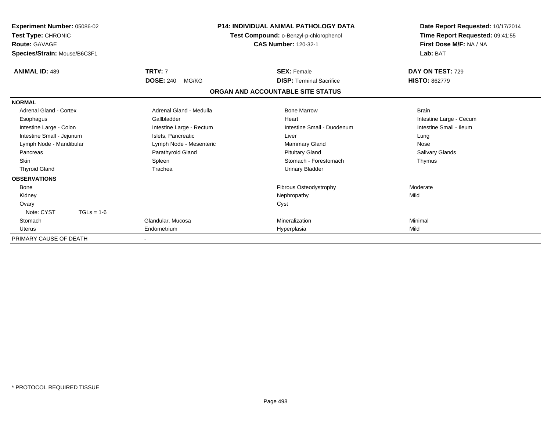| Experiment Number: 05086-02<br>Test Type: CHRONIC<br><b>Route: GAVAGE</b><br>Species/Strain: Mouse/B6C3F1 |                           | <b>P14: INDIVIDUAL ANIMAL PATHOLOGY DATA</b><br>Test Compound: o-Benzyl-p-chlorophenol<br><b>CAS Number: 120-32-1</b> | Date Report Requested: 10/17/2014<br>Time Report Requested: 09:41:55<br>First Dose M/F: NA / NA<br>Lab: BAT |
|-----------------------------------------------------------------------------------------------------------|---------------------------|-----------------------------------------------------------------------------------------------------------------------|-------------------------------------------------------------------------------------------------------------|
| <b>ANIMAL ID: 489</b>                                                                                     | <b>TRT#: 7</b>            | <b>SEX: Female</b>                                                                                                    | DAY ON TEST: 729                                                                                            |
|                                                                                                           | <b>DOSE: 240</b><br>MG/KG | <b>DISP:</b> Terminal Sacrifice                                                                                       | <b>HISTO: 862779</b>                                                                                        |
|                                                                                                           |                           | ORGAN AND ACCOUNTABLE SITE STATUS                                                                                     |                                                                                                             |
| <b>NORMAL</b>                                                                                             |                           |                                                                                                                       |                                                                                                             |
| Adrenal Gland - Cortex                                                                                    | Adrenal Gland - Medulla   | <b>Bone Marrow</b>                                                                                                    | <b>Brain</b>                                                                                                |
| Esophagus                                                                                                 | Gallbladder               | Heart                                                                                                                 | Intestine Large - Cecum                                                                                     |
| Intestine Large - Colon                                                                                   | Intestine Large - Rectum  | Intestine Small - Duodenum                                                                                            | Intestine Small - Ileum                                                                                     |
| Intestine Small - Jejunum                                                                                 | Islets, Pancreatic        | Liver                                                                                                                 | Lung                                                                                                        |
| Lymph Node - Mandibular                                                                                   | Lymph Node - Mesenteric   | <b>Mammary Gland</b>                                                                                                  | Nose                                                                                                        |
| Pancreas                                                                                                  | Parathyroid Gland         | <b>Pituitary Gland</b>                                                                                                | Salivary Glands                                                                                             |
| <b>Skin</b>                                                                                               | Spleen                    | Stomach - Forestomach                                                                                                 | Thymus                                                                                                      |
| <b>Thyroid Gland</b>                                                                                      | Trachea                   | <b>Urinary Bladder</b>                                                                                                |                                                                                                             |
| <b>OBSERVATIONS</b>                                                                                       |                           |                                                                                                                       |                                                                                                             |
| <b>Bone</b>                                                                                               |                           | Fibrous Osteodystrophy                                                                                                | Moderate                                                                                                    |
| Kidney                                                                                                    |                           | Nephropathy                                                                                                           | Mild                                                                                                        |
| Ovary                                                                                                     |                           | Cyst                                                                                                                  |                                                                                                             |
| Note: CYST<br>$TGLs = 1-6$                                                                                |                           |                                                                                                                       |                                                                                                             |
| Stomach                                                                                                   | Glandular, Mucosa         | Mineralization                                                                                                        | Minimal                                                                                                     |
| Uterus                                                                                                    | Endometrium               | Hyperplasia                                                                                                           | Mild                                                                                                        |
| PRIMARY CAUSE OF DEATH                                                                                    |                           |                                                                                                                       |                                                                                                             |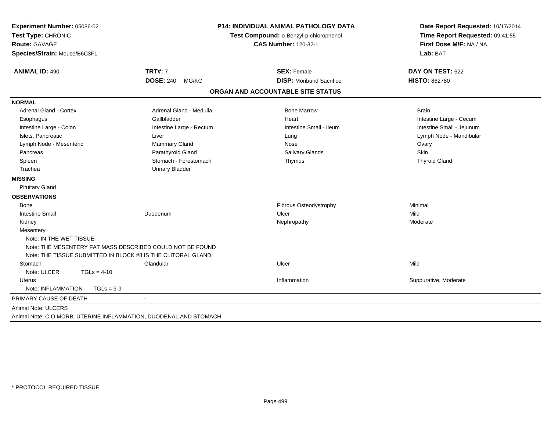| Experiment Number: 05086-02<br>Test Type: CHRONIC<br><b>Route: GAVAGE</b> |                          | <b>P14: INDIVIDUAL ANIMAL PATHOLOGY DATA</b> | Date Report Requested: 10/17/2014 |
|---------------------------------------------------------------------------|--------------------------|----------------------------------------------|-----------------------------------|
|                                                                           |                          | Test Compound: o-Benzyl-p-chlorophenol       | Time Report Requested: 09:41:55   |
|                                                                           |                          | <b>CAS Number: 120-32-1</b>                  | First Dose M/F: NA / NA           |
| Species/Strain: Mouse/B6C3F1                                              |                          |                                              | Lab: BAT                          |
| <b>ANIMAL ID: 490</b>                                                     | <b>TRT#: 7</b>           | <b>SEX: Female</b>                           | DAY ON TEST: 622                  |
|                                                                           | DOSE: 240 MG/KG          | <b>DISP:</b> Moribund Sacrifice              | <b>HISTO: 862780</b>              |
|                                                                           |                          | ORGAN AND ACCOUNTABLE SITE STATUS            |                                   |
| <b>NORMAL</b>                                                             |                          |                                              |                                   |
| <b>Adrenal Gland - Cortex</b>                                             | Adrenal Gland - Medulla  | <b>Bone Marrow</b>                           | <b>Brain</b>                      |
| Esophagus                                                                 | Gallbladder              | Heart                                        | Intestine Large - Cecum           |
| Intestine Large - Colon                                                   | Intestine Large - Rectum | Intestine Small - Ileum                      | Intestine Small - Jejunum         |
| Islets, Pancreatic                                                        | Liver                    | Lung                                         | Lymph Node - Mandibular           |
| Lymph Node - Mesenteric                                                   | Mammary Gland            | Nose                                         | Ovary                             |
| Pancreas                                                                  | Parathyroid Gland        | <b>Salivary Glands</b>                       | <b>Skin</b>                       |
| Spleen                                                                    | Stomach - Forestomach    | Thymus                                       | <b>Thyroid Gland</b>              |
| Trachea                                                                   | <b>Urinary Bladder</b>   |                                              |                                   |
| <b>MISSING</b>                                                            |                          |                                              |                                   |
| <b>Pituitary Gland</b>                                                    |                          |                                              |                                   |
| <b>OBSERVATIONS</b>                                                       |                          |                                              |                                   |
| Bone                                                                      |                          | Fibrous Osteodystrophy                       | Minimal                           |
| <b>Intestine Small</b>                                                    | Duodenum                 | Ulcer                                        | Mild                              |
| Kidney                                                                    |                          | Nephropathy                                  | Moderate                          |
| Mesentery                                                                 |                          |                                              |                                   |
| Note: IN THE WET TISSUE                                                   |                          |                                              |                                   |
| Note: THE MESENTERY FAT MASS DESCRIBED COULD NOT BE FOUND                 |                          |                                              |                                   |
| Note: THE TISSUE SUBMITTED IN BLOCK #8 IS THE CLITORAL GLAND;             |                          |                                              |                                   |
| Stomach                                                                   | Glandular                | Ulcer                                        | Mild                              |
| Note: ULCER<br>$TGLs = 4-10$                                              |                          |                                              |                                   |
| Uterus                                                                    |                          | Inflammation                                 | Suppurative, Moderate             |
| Note: INFLAMMATION<br>$TGLs = 3-9$                                        |                          |                                              |                                   |
| PRIMARY CAUSE OF DEATH                                                    | $\blacksquare$           |                                              |                                   |
| Animal Note: ULCERS                                                       |                          |                                              |                                   |
| Animal Note: C O MORB: UTERINE INFLAMMATION, DUODENAL AND STOMACH         |                          |                                              |                                   |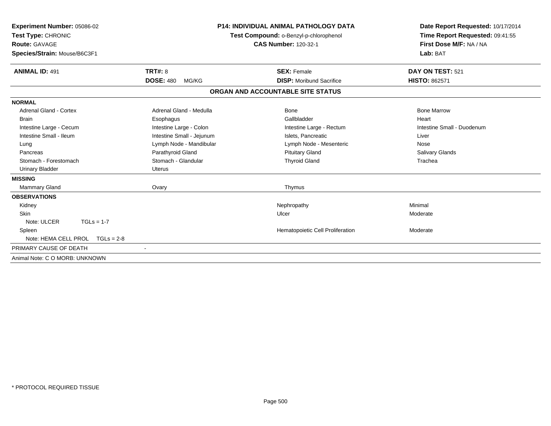| Experiment Number: 05086-02<br>Test Type: CHRONIC<br><b>Route: GAVAGE</b> | <b>P14: INDIVIDUAL ANIMAL PATHOLOGY DATA</b><br>Test Compound: o-Benzyl-p-chlorophenol<br><b>CAS Number: 120-32-1</b> |                                   | Date Report Requested: 10/17/2014<br>Time Report Requested: 09:41:55<br>First Dose M/F: NA / NA |  |
|---------------------------------------------------------------------------|-----------------------------------------------------------------------------------------------------------------------|-----------------------------------|-------------------------------------------------------------------------------------------------|--|
| Species/Strain: Mouse/B6C3F1                                              |                                                                                                                       |                                   | Lab: BAT                                                                                        |  |
| <b>ANIMAL ID: 491</b>                                                     | TRT#: 8                                                                                                               | <b>SEX: Female</b>                | DAY ON TEST: 521                                                                                |  |
|                                                                           | <b>DOSE: 480</b><br>MG/KG                                                                                             | <b>DISP:</b> Moribund Sacrifice   | <b>HISTO: 862571</b>                                                                            |  |
|                                                                           |                                                                                                                       | ORGAN AND ACCOUNTABLE SITE STATUS |                                                                                                 |  |
| <b>NORMAL</b>                                                             |                                                                                                                       |                                   |                                                                                                 |  |
| <b>Adrenal Gland - Cortex</b>                                             | Adrenal Gland - Medulla                                                                                               | Bone                              | <b>Bone Marrow</b>                                                                              |  |
| <b>Brain</b>                                                              | Esophagus                                                                                                             | Gallbladder                       | Heart                                                                                           |  |
| Intestine Large - Cecum                                                   | Intestine Large - Colon                                                                                               | Intestine Large - Rectum          | Intestine Small - Duodenum                                                                      |  |
| Intestine Small - Ileum                                                   | Intestine Small - Jejunum                                                                                             | Islets. Pancreatic                | Liver                                                                                           |  |
| Lung                                                                      | Lymph Node - Mandibular                                                                                               | Lymph Node - Mesenteric           | Nose                                                                                            |  |
| Pancreas                                                                  | Parathyroid Gland                                                                                                     | <b>Pituitary Gland</b>            | Salivary Glands                                                                                 |  |
| Stomach - Forestomach                                                     | Stomach - Glandular                                                                                                   | <b>Thyroid Gland</b>              | Trachea                                                                                         |  |
| Urinary Bladder                                                           | <b>Uterus</b>                                                                                                         |                                   |                                                                                                 |  |
| <b>MISSING</b>                                                            |                                                                                                                       |                                   |                                                                                                 |  |
| Mammary Gland                                                             | Ovary                                                                                                                 | Thymus                            |                                                                                                 |  |
| <b>OBSERVATIONS</b>                                                       |                                                                                                                       |                                   |                                                                                                 |  |
| Kidney                                                                    |                                                                                                                       | Nephropathy                       | Minimal                                                                                         |  |
| <b>Skin</b>                                                               |                                                                                                                       | Ulcer                             | Moderate                                                                                        |  |
| Note: ULCER<br>$TGLs = 1-7$                                               |                                                                                                                       |                                   |                                                                                                 |  |
| Spleen                                                                    |                                                                                                                       | Hematopoietic Cell Proliferation  | Moderate                                                                                        |  |
| Note: HEMA CELL PROL TGLs = 2-8                                           |                                                                                                                       |                                   |                                                                                                 |  |
| PRIMARY CAUSE OF DEATH                                                    |                                                                                                                       |                                   |                                                                                                 |  |
| Animal Note: C O MORB: UNKNOWN                                            |                                                                                                                       |                                   |                                                                                                 |  |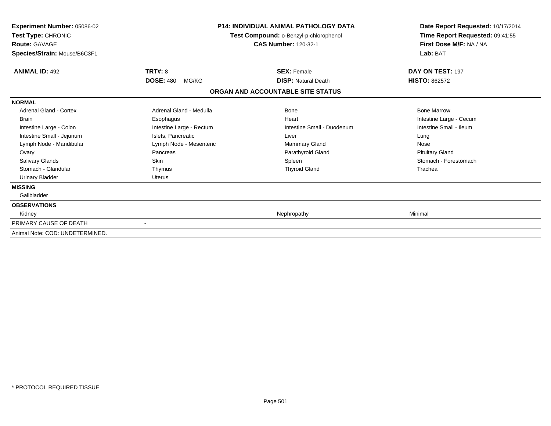| Experiment Number: 05086-02<br>Test Type: CHRONIC<br><b>Route: GAVAGE</b><br>Species/Strain: Mouse/B6C3F1 | <b>P14: INDIVIDUAL ANIMAL PATHOLOGY DATA</b><br>Test Compound: o-Benzyl-p-chlorophenol<br><b>CAS Number: 120-32-1</b> |                                   | Date Report Requested: 10/17/2014<br>Time Report Requested: 09:41:55<br>First Dose M/F: NA / NA<br>Lab: BAT |
|-----------------------------------------------------------------------------------------------------------|-----------------------------------------------------------------------------------------------------------------------|-----------------------------------|-------------------------------------------------------------------------------------------------------------|
| <b>ANIMAL ID: 492</b>                                                                                     | TRT#: 8                                                                                                               | <b>SEX: Female</b>                | DAY ON TEST: 197                                                                                            |
|                                                                                                           | <b>DOSE: 480</b><br>MG/KG                                                                                             | <b>DISP: Natural Death</b>        | <b>HISTO: 862572</b>                                                                                        |
|                                                                                                           |                                                                                                                       | ORGAN AND ACCOUNTABLE SITE STATUS |                                                                                                             |
| <b>NORMAL</b>                                                                                             |                                                                                                                       |                                   |                                                                                                             |
| <b>Adrenal Gland - Cortex</b>                                                                             | Adrenal Gland - Medulla                                                                                               | Bone                              | <b>Bone Marrow</b>                                                                                          |
| <b>Brain</b>                                                                                              | Esophagus                                                                                                             | Heart                             | Intestine Large - Cecum                                                                                     |
| Intestine Large - Colon                                                                                   | Intestine Large - Rectum                                                                                              | Intestine Small - Duodenum        | Intestine Small - Ileum                                                                                     |
| Intestine Small - Jejunum                                                                                 | Islets, Pancreatic                                                                                                    | Liver                             | Lung                                                                                                        |
| Lymph Node - Mandibular                                                                                   | Lymph Node - Mesenteric                                                                                               | Mammary Gland                     | Nose                                                                                                        |
| Ovary                                                                                                     | Pancreas                                                                                                              | Parathyroid Gland                 | <b>Pituitary Gland</b>                                                                                      |
| Salivary Glands                                                                                           | <b>Skin</b>                                                                                                           | Spleen                            | Stomach - Forestomach                                                                                       |
| Stomach - Glandular                                                                                       | Thymus                                                                                                                | <b>Thyroid Gland</b>              | Trachea                                                                                                     |
| <b>Urinary Bladder</b>                                                                                    | <b>Uterus</b>                                                                                                         |                                   |                                                                                                             |
| <b>MISSING</b>                                                                                            |                                                                                                                       |                                   |                                                                                                             |
| Gallbladder                                                                                               |                                                                                                                       |                                   |                                                                                                             |
| <b>OBSERVATIONS</b>                                                                                       |                                                                                                                       |                                   |                                                                                                             |
| Kidney                                                                                                    |                                                                                                                       | Nephropathy                       | Minimal                                                                                                     |
| PRIMARY CAUSE OF DEATH                                                                                    |                                                                                                                       |                                   |                                                                                                             |
| Animal Note: COD: UNDETERMINED.                                                                           |                                                                                                                       |                                   |                                                                                                             |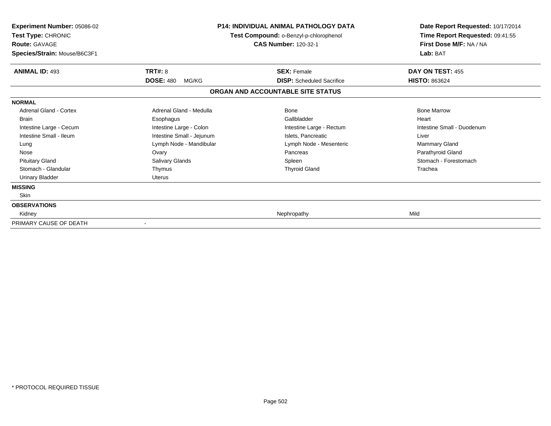| Experiment Number: 05086-02<br>Test Type: CHRONIC<br><b>Route: GAVAGE</b><br>Species/Strain: Mouse/B6C3F1 |                           | <b>P14: INDIVIDUAL ANIMAL PATHOLOGY DATA</b><br>Test Compound: o-Benzyl-p-chlorophenol<br><b>CAS Number: 120-32-1</b> | Date Report Requested: 10/17/2014<br>Time Report Requested: 09:41:55<br>First Dose M/F: NA / NA<br>Lab: BAT |
|-----------------------------------------------------------------------------------------------------------|---------------------------|-----------------------------------------------------------------------------------------------------------------------|-------------------------------------------------------------------------------------------------------------|
| <b>ANIMAL ID: 493</b>                                                                                     | <b>TRT#: 8</b>            | <b>SEX: Female</b>                                                                                                    | DAY ON TEST: 455                                                                                            |
|                                                                                                           | <b>DOSE: 480</b><br>MG/KG | <b>DISP:</b> Scheduled Sacrifice                                                                                      | <b>HISTO: 863624</b>                                                                                        |
|                                                                                                           |                           | ORGAN AND ACCOUNTABLE SITE STATUS                                                                                     |                                                                                                             |
| <b>NORMAL</b>                                                                                             |                           |                                                                                                                       |                                                                                                             |
| Adrenal Gland - Cortex                                                                                    | Adrenal Gland - Medulla   | Bone                                                                                                                  | <b>Bone Marrow</b>                                                                                          |
| <b>Brain</b>                                                                                              | Esophagus                 | Gallbladder                                                                                                           | Heart                                                                                                       |
| Intestine Large - Cecum                                                                                   | Intestine Large - Colon   | Intestine Large - Rectum                                                                                              | Intestine Small - Duodenum                                                                                  |
| Intestine Small - Ileum                                                                                   | Intestine Small - Jejunum | Islets, Pancreatic                                                                                                    | Liver                                                                                                       |
| Lung                                                                                                      | Lymph Node - Mandibular   | Lymph Node - Mesenteric                                                                                               | Mammary Gland                                                                                               |
| Nose                                                                                                      | Ovary                     | Pancreas                                                                                                              | Parathyroid Gland                                                                                           |
| <b>Pituitary Gland</b>                                                                                    | Salivary Glands           | Spleen                                                                                                                | Stomach - Forestomach                                                                                       |
| Stomach - Glandular                                                                                       | Thymus                    | <b>Thyroid Gland</b>                                                                                                  | Trachea                                                                                                     |
| <b>Urinary Bladder</b>                                                                                    | <b>Uterus</b>             |                                                                                                                       |                                                                                                             |
| <b>MISSING</b>                                                                                            |                           |                                                                                                                       |                                                                                                             |
| Skin                                                                                                      |                           |                                                                                                                       |                                                                                                             |
| <b>OBSERVATIONS</b>                                                                                       |                           |                                                                                                                       |                                                                                                             |
| Kidney                                                                                                    |                           | Nephropathy                                                                                                           | Mild                                                                                                        |
| PRIMARY CAUSE OF DEATH                                                                                    |                           |                                                                                                                       |                                                                                                             |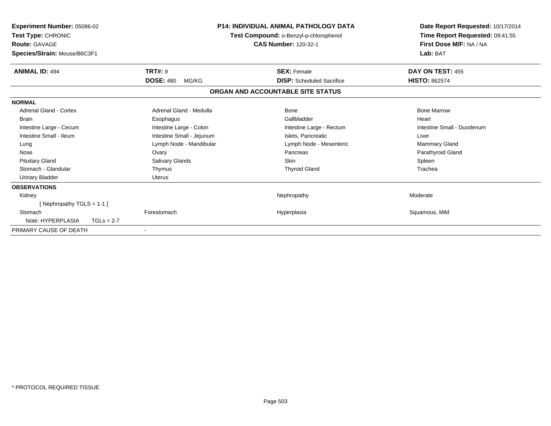| Experiment Number: 05086-02<br>Test Type: CHRONIC<br><b>Route: GAVAGE</b><br>Species/Strain: Mouse/B6C3F1 |                           | <b>P14: INDIVIDUAL ANIMAL PATHOLOGY DATA</b><br>Test Compound: o-Benzyl-p-chlorophenol<br><b>CAS Number: 120-32-1</b> | Date Report Requested: 10/17/2014<br>Time Report Requested: 09:41:55<br>First Dose M/F: NA / NA<br>Lab: BAT |
|-----------------------------------------------------------------------------------------------------------|---------------------------|-----------------------------------------------------------------------------------------------------------------------|-------------------------------------------------------------------------------------------------------------|
| <b>ANIMAL ID: 494</b>                                                                                     | TRT#: 8                   | <b>SEX: Female</b>                                                                                                    | DAY ON TEST: 455                                                                                            |
|                                                                                                           | <b>DOSE: 480</b><br>MG/KG | <b>DISP:</b> Scheduled Sacrifice                                                                                      | <b>HISTO: 862574</b>                                                                                        |
|                                                                                                           |                           | ORGAN AND ACCOUNTABLE SITE STATUS                                                                                     |                                                                                                             |
| <b>NORMAL</b>                                                                                             |                           |                                                                                                                       |                                                                                                             |
| <b>Adrenal Gland - Cortex</b>                                                                             | Adrenal Gland - Medulla   | Bone                                                                                                                  | <b>Bone Marrow</b>                                                                                          |
| <b>Brain</b>                                                                                              | Esophagus                 | Gallbladder                                                                                                           | Heart                                                                                                       |
| Intestine Large - Cecum                                                                                   | Intestine Large - Colon   | Intestine Large - Rectum                                                                                              | Intestine Small - Duodenum                                                                                  |
| Intestine Small - Ileum                                                                                   | Intestine Small - Jejunum | Islets. Pancreatic                                                                                                    | Liver                                                                                                       |
| Lung                                                                                                      | Lymph Node - Mandibular   | Lymph Node - Mesenteric                                                                                               | <b>Mammary Gland</b>                                                                                        |
| Nose                                                                                                      | Ovary                     | Pancreas                                                                                                              | Parathyroid Gland                                                                                           |
| <b>Pituitary Gland</b>                                                                                    | Salivary Glands           | <b>Skin</b>                                                                                                           | Spleen                                                                                                      |
| Stomach - Glandular                                                                                       | Thymus                    | <b>Thyroid Gland</b>                                                                                                  | Trachea                                                                                                     |
| <b>Urinary Bladder</b>                                                                                    | Uterus                    |                                                                                                                       |                                                                                                             |
| <b>OBSERVATIONS</b>                                                                                       |                           |                                                                                                                       |                                                                                                             |
| Kidney                                                                                                    |                           | Nephropathy                                                                                                           | Moderate                                                                                                    |
| [Nephropathy TGLS = 1-1]                                                                                  |                           |                                                                                                                       |                                                                                                             |
| Stomach                                                                                                   | Forestomach               | Hyperplasia                                                                                                           | Squamous, Mild                                                                                              |
| Note: HYPERPLASIA<br>$TGLs = 2-7$                                                                         |                           |                                                                                                                       |                                                                                                             |
| PRIMARY CAUSE OF DEATH                                                                                    |                           |                                                                                                                       |                                                                                                             |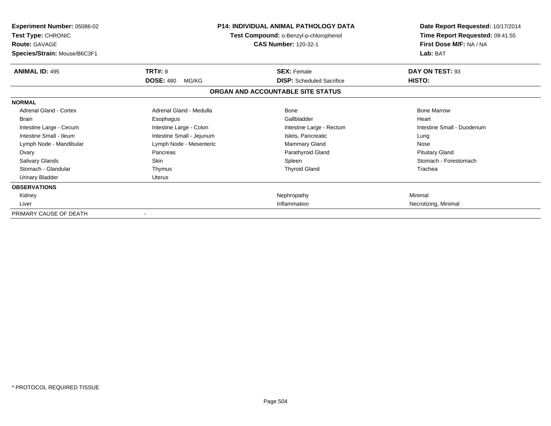| <b>Experiment Number: 05086-02</b><br>Test Type: CHRONIC<br><b>Route: GAVAGE</b><br>Species/Strain: Mouse/B6C3F1 |                           | <b>P14: INDIVIDUAL ANIMAL PATHOLOGY DATA</b><br>Test Compound: o-Benzyl-p-chlorophenol<br><b>CAS Number: 120-32-1</b> | Date Report Requested: 10/17/2014<br>Time Report Requested: 09:41:55<br>First Dose M/F: NA / NA<br>Lab: BAT |
|------------------------------------------------------------------------------------------------------------------|---------------------------|-----------------------------------------------------------------------------------------------------------------------|-------------------------------------------------------------------------------------------------------------|
| <b>ANIMAL ID: 495</b>                                                                                            | TRT#: 8                   | <b>SEX: Female</b>                                                                                                    | DAY ON TEST: 93                                                                                             |
|                                                                                                                  | <b>DOSE: 480</b><br>MG/KG | <b>DISP:</b> Scheduled Sacrifice                                                                                      | HISTO:                                                                                                      |
|                                                                                                                  |                           | ORGAN AND ACCOUNTABLE SITE STATUS                                                                                     |                                                                                                             |
| <b>NORMAL</b>                                                                                                    |                           |                                                                                                                       |                                                                                                             |
| <b>Adrenal Gland - Cortex</b>                                                                                    | Adrenal Gland - Medulla   | Bone                                                                                                                  | <b>Bone Marrow</b>                                                                                          |
| <b>Brain</b>                                                                                                     | Esophagus                 | Gallbladder                                                                                                           | Heart                                                                                                       |
| Intestine Large - Cecum                                                                                          | Intestine Large - Colon   | Intestine Large - Rectum                                                                                              | Intestine Small - Duodenum                                                                                  |
| Intestine Small - Ileum                                                                                          | Intestine Small - Jejunum | Islets, Pancreatic                                                                                                    | Lung                                                                                                        |
| Lymph Node - Mandibular                                                                                          | Lymph Node - Mesenteric   | Mammary Gland                                                                                                         | Nose                                                                                                        |
| Ovary                                                                                                            | Pancreas                  | Parathyroid Gland                                                                                                     | <b>Pituitary Gland</b>                                                                                      |
| <b>Salivary Glands</b>                                                                                           | Skin                      | Spleen                                                                                                                | Stomach - Forestomach                                                                                       |
| Stomach - Glandular                                                                                              | Thymus                    | <b>Thyroid Gland</b>                                                                                                  | Trachea                                                                                                     |
| <b>Urinary Bladder</b>                                                                                           | Uterus                    |                                                                                                                       |                                                                                                             |
| <b>OBSERVATIONS</b>                                                                                              |                           |                                                                                                                       |                                                                                                             |
| Kidney                                                                                                           |                           | Nephropathy                                                                                                           | Minimal                                                                                                     |
| Liver                                                                                                            |                           | Inflammation                                                                                                          | Necrotizing, Minimal                                                                                        |
| PRIMARY CAUSE OF DEATH                                                                                           | $\overline{\phantom{a}}$  |                                                                                                                       |                                                                                                             |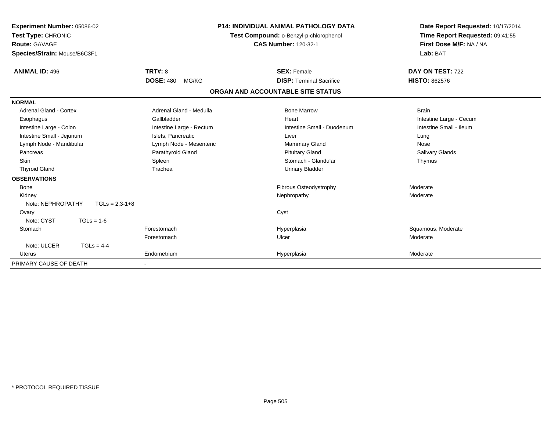| Experiment Number: 05086-02<br>Test Type: CHRONIC<br>Route: GAVAGE<br>Species/Strain: Mouse/B6C3F1 |                           | <b>P14: INDIVIDUAL ANIMAL PATHOLOGY DATA</b><br>Test Compound: o-Benzyl-p-chlorophenol<br><b>CAS Number: 120-32-1</b> | Date Report Requested: 10/17/2014<br>Time Report Requested: 09:41:55<br>First Dose M/F: NA / NA<br>Lab: BAT |
|----------------------------------------------------------------------------------------------------|---------------------------|-----------------------------------------------------------------------------------------------------------------------|-------------------------------------------------------------------------------------------------------------|
| <b>ANIMAL ID: 496</b>                                                                              | TRT#: 8                   | <b>SEX: Female</b>                                                                                                    | DAY ON TEST: 722                                                                                            |
|                                                                                                    | <b>DOSE: 480</b><br>MG/KG | <b>DISP: Terminal Sacrifice</b>                                                                                       | <b>HISTO: 862576</b>                                                                                        |
|                                                                                                    |                           | ORGAN AND ACCOUNTABLE SITE STATUS                                                                                     |                                                                                                             |
| <b>NORMAL</b>                                                                                      |                           |                                                                                                                       |                                                                                                             |
| <b>Adrenal Gland - Cortex</b>                                                                      | Adrenal Gland - Medulla   | <b>Bone Marrow</b>                                                                                                    | <b>Brain</b>                                                                                                |
| Esophagus                                                                                          | Gallbladder               | Heart                                                                                                                 | Intestine Large - Cecum                                                                                     |
| Intestine Large - Colon                                                                            | Intestine Large - Rectum  | Intestine Small - Duodenum                                                                                            | Intestine Small - Ileum                                                                                     |
| Intestine Small - Jejunum                                                                          | Islets, Pancreatic        | Liver                                                                                                                 | Lung                                                                                                        |
| Lymph Node - Mandibular                                                                            | Lymph Node - Mesenteric   | Mammary Gland                                                                                                         | Nose                                                                                                        |
| Pancreas                                                                                           | Parathyroid Gland         | <b>Pituitary Gland</b>                                                                                                | Salivary Glands                                                                                             |
| <b>Skin</b>                                                                                        | Spleen                    | Stomach - Glandular                                                                                                   | Thymus                                                                                                      |
| <b>Thyroid Gland</b>                                                                               | Trachea                   | <b>Urinary Bladder</b>                                                                                                |                                                                                                             |
| <b>OBSERVATIONS</b>                                                                                |                           |                                                                                                                       |                                                                                                             |
| <b>Bone</b>                                                                                        |                           | Fibrous Osteodystrophy                                                                                                | Moderate                                                                                                    |
| Kidney                                                                                             |                           | Nephropathy                                                                                                           | Moderate                                                                                                    |
| Note: NEPHROPATHY<br>$TGLs = 2,3-1+8$                                                              |                           |                                                                                                                       |                                                                                                             |
| Ovary                                                                                              |                           | Cyst                                                                                                                  |                                                                                                             |
| Note: CYST<br>$TGLs = 1-6$                                                                         |                           |                                                                                                                       |                                                                                                             |
| Stomach                                                                                            | Forestomach               | Hyperplasia                                                                                                           | Squamous, Moderate                                                                                          |
|                                                                                                    | Forestomach               | Ulcer                                                                                                                 | Moderate                                                                                                    |
| Note: ULCER<br>$TGLS = 4-4$                                                                        |                           |                                                                                                                       |                                                                                                             |
| <b>Uterus</b>                                                                                      | Endometrium               | Hyperplasia                                                                                                           | Moderate                                                                                                    |
| PRIMARY CAUSE OF DEATH                                                                             |                           |                                                                                                                       |                                                                                                             |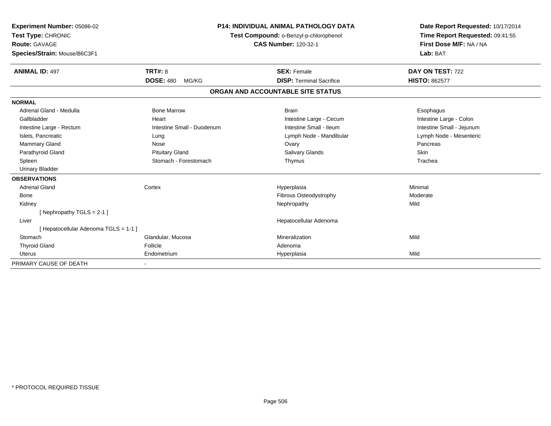| Experiment Number: 05086-02<br>Test Type: CHRONIC<br>Route: GAVAGE<br>Species/Strain: Mouse/B6C3F1<br><b>ANIMAL ID: 497</b> | TRT#: 8                    | <b>P14: INDIVIDUAL ANIMAL PATHOLOGY DATA</b><br>Test Compound: o-Benzyl-p-chlorophenol<br><b>CAS Number: 120-32-1</b><br><b>SEX: Female</b> | Date Report Requested: 10/17/2014<br>Time Report Requested: 09:41:55<br>First Dose M/F: NA / NA<br>Lab: BAT<br>DAY ON TEST: 722 |
|-----------------------------------------------------------------------------------------------------------------------------|----------------------------|---------------------------------------------------------------------------------------------------------------------------------------------|---------------------------------------------------------------------------------------------------------------------------------|
|                                                                                                                             | <b>DOSE: 480</b><br>MG/KG  | <b>DISP: Terminal Sacrifice</b>                                                                                                             | <b>HISTO: 862577</b>                                                                                                            |
|                                                                                                                             |                            | ORGAN AND ACCOUNTABLE SITE STATUS                                                                                                           |                                                                                                                                 |
| <b>NORMAL</b>                                                                                                               |                            |                                                                                                                                             |                                                                                                                                 |
| Adrenal Gland - Medulla                                                                                                     | <b>Bone Marrow</b>         | <b>Brain</b>                                                                                                                                | Esophagus                                                                                                                       |
| Gallbladder                                                                                                                 | Heart                      | Intestine Large - Cecum                                                                                                                     | Intestine Large - Colon                                                                                                         |
| Intestine Large - Rectum                                                                                                    | Intestine Small - Duodenum | Intestine Small - Ileum                                                                                                                     | Intestine Small - Jejunum                                                                                                       |
| Islets, Pancreatic                                                                                                          | Lung                       | Lymph Node - Mandibular                                                                                                                     | Lymph Node - Mesenteric                                                                                                         |
| Mammary Gland                                                                                                               | Nose                       | Ovary                                                                                                                                       | Pancreas                                                                                                                        |
| Parathyroid Gland                                                                                                           | <b>Pituitary Gland</b>     | <b>Salivary Glands</b>                                                                                                                      | Skin                                                                                                                            |
| Spleen                                                                                                                      | Stomach - Forestomach      | Thymus                                                                                                                                      | Trachea                                                                                                                         |
| <b>Urinary Bladder</b>                                                                                                      |                            |                                                                                                                                             |                                                                                                                                 |
| <b>OBSERVATIONS</b>                                                                                                         |                            |                                                                                                                                             |                                                                                                                                 |
| <b>Adrenal Gland</b>                                                                                                        | Cortex                     | Hyperplasia                                                                                                                                 | Minimal                                                                                                                         |
| Bone                                                                                                                        |                            | Fibrous Osteodystrophy                                                                                                                      | Moderate                                                                                                                        |
| Kidney                                                                                                                      |                            | Nephropathy                                                                                                                                 | Mild                                                                                                                            |
| [Nephropathy TGLS = 2-1]                                                                                                    |                            |                                                                                                                                             |                                                                                                                                 |
| Liver                                                                                                                       |                            | Hepatocellular Adenoma                                                                                                                      |                                                                                                                                 |
| [ Hepatocellular Adenoma TGLS = 1-1 ]                                                                                       |                            |                                                                                                                                             |                                                                                                                                 |
| Stomach                                                                                                                     | Glandular, Mucosa          | Mineralization                                                                                                                              | Mild                                                                                                                            |
| <b>Thyroid Gland</b>                                                                                                        | Follicle                   | Adenoma                                                                                                                                     |                                                                                                                                 |
| <b>Uterus</b>                                                                                                               | Endometrium                | Hyperplasia                                                                                                                                 | Mild                                                                                                                            |
| PRIMARY CAUSE OF DEATH                                                                                                      |                            |                                                                                                                                             |                                                                                                                                 |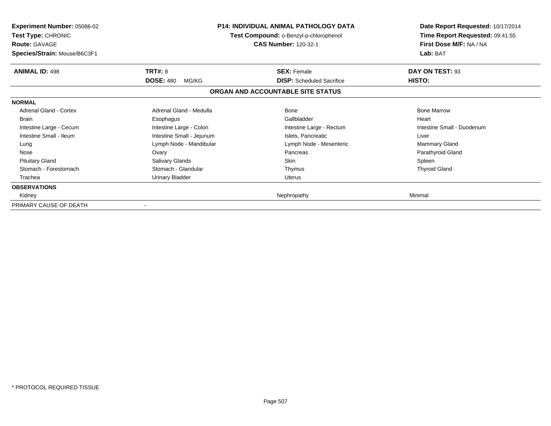| <b>Experiment Number: 05086-02</b><br><b>Test Type: CHRONIC</b><br><b>Route: GAVAGE</b><br>Species/Strain: Mouse/B6C3F1 | <b>P14: INDIVIDUAL ANIMAL PATHOLOGY DATA</b><br>Test Compound: o-Benzyl-p-chlorophenol<br><b>CAS Number: 120-32-1</b> |                                   | Date Report Requested: 10/17/2014<br>Time Report Requested: 09:41:55<br>First Dose M/F: NA / NA<br>Lab: BAT |
|-------------------------------------------------------------------------------------------------------------------------|-----------------------------------------------------------------------------------------------------------------------|-----------------------------------|-------------------------------------------------------------------------------------------------------------|
| <b>ANIMAL ID: 498</b>                                                                                                   | <b>TRT#: 8</b>                                                                                                        | <b>SEX: Female</b>                | DAY ON TEST: 93                                                                                             |
|                                                                                                                         | <b>DOSE: 480</b><br>MG/KG                                                                                             | <b>DISP:</b> Scheduled Sacrifice  | HISTO:                                                                                                      |
|                                                                                                                         |                                                                                                                       | ORGAN AND ACCOUNTABLE SITE STATUS |                                                                                                             |
| <b>NORMAL</b>                                                                                                           |                                                                                                                       |                                   |                                                                                                             |
| Adrenal Gland - Cortex                                                                                                  | Adrenal Gland - Medulla                                                                                               | Bone                              | <b>Bone Marrow</b>                                                                                          |
| <b>Brain</b>                                                                                                            | Esophagus                                                                                                             | Gallbladder                       | Heart                                                                                                       |
| Intestine Large - Cecum                                                                                                 | Intestine Large - Colon                                                                                               | Intestine Large - Rectum          | Intestine Small - Duodenum                                                                                  |
| Intestine Small - Ileum                                                                                                 | Intestine Small - Jejunum                                                                                             | Islets, Pancreatic                | Liver                                                                                                       |
| Lung                                                                                                                    | Lymph Node - Mandibular                                                                                               | Lymph Node - Mesenteric           | <b>Mammary Gland</b>                                                                                        |
| Nose                                                                                                                    | Ovary                                                                                                                 | Pancreas                          | Parathyroid Gland                                                                                           |
| <b>Pituitary Gland</b>                                                                                                  | Salivary Glands                                                                                                       | <b>Skin</b>                       | Spleen                                                                                                      |
| Stomach - Forestomach                                                                                                   | Stomach - Glandular                                                                                                   | Thymus                            | <b>Thyroid Gland</b>                                                                                        |
| Trachea                                                                                                                 | Urinary Bladder                                                                                                       | <b>Uterus</b>                     |                                                                                                             |
| <b>OBSERVATIONS</b>                                                                                                     |                                                                                                                       |                                   |                                                                                                             |
| Kidney                                                                                                                  |                                                                                                                       | Nephropathy                       | Minimal                                                                                                     |
| PRIMARY CAUSE OF DEATH                                                                                                  |                                                                                                                       |                                   |                                                                                                             |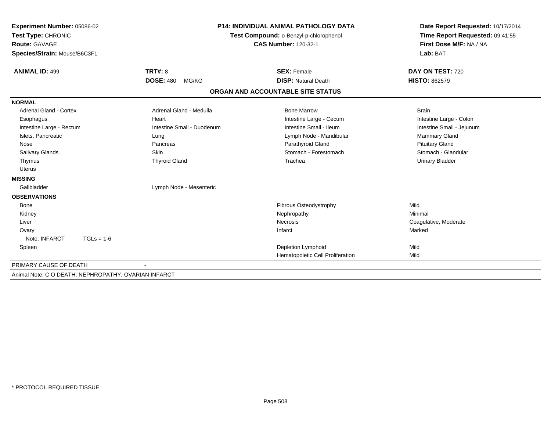| Experiment Number: 05086-02                          |                             | <b>P14: INDIVIDUAL ANIMAL PATHOLOGY DATA</b> | Date Report Requested: 10/17/2014                          |
|------------------------------------------------------|-----------------------------|----------------------------------------------|------------------------------------------------------------|
| Test Type: CHRONIC                                   |                             | Test Compound: o-Benzyl-p-chlorophenol       | Time Report Requested: 09:41:55<br>First Dose M/F: NA / NA |
| <b>Route: GAVAGE</b>                                 | <b>CAS Number: 120-32-1</b> |                                              |                                                            |
| Species/Strain: Mouse/B6C3F1                         |                             |                                              | Lab: BAT                                                   |
|                                                      |                             |                                              |                                                            |
| <b>ANIMAL ID: 499</b>                                | <b>TRT#: 8</b>              | <b>SEX: Female</b>                           | DAY ON TEST: 720                                           |
|                                                      | <b>DOSE: 480</b><br>MG/KG   | <b>DISP: Natural Death</b>                   | <b>HISTO: 862579</b>                                       |
|                                                      |                             | ORGAN AND ACCOUNTABLE SITE STATUS            |                                                            |
| <b>NORMAL</b>                                        |                             |                                              |                                                            |
| Adrenal Gland - Cortex                               | Adrenal Gland - Medulla     | <b>Bone Marrow</b>                           | <b>Brain</b>                                               |
| Esophagus                                            | Heart                       | Intestine Large - Cecum                      | Intestine Large - Colon                                    |
| Intestine Large - Rectum                             | Intestine Small - Duodenum  | Intestine Small - Ileum                      | Intestine Small - Jejunum                                  |
| Islets, Pancreatic                                   | Lung                        | Lymph Node - Mandibular                      | Mammary Gland                                              |
| Nose                                                 | Pancreas                    | Parathyroid Gland                            | <b>Pituitary Gland</b>                                     |
| <b>Salivary Glands</b>                               | Skin                        | Stomach - Forestomach                        | Stomach - Glandular                                        |
| Thymus                                               | <b>Thyroid Gland</b>        | Trachea                                      | <b>Urinary Bladder</b>                                     |
| <b>Uterus</b>                                        |                             |                                              |                                                            |
| <b>MISSING</b>                                       |                             |                                              |                                                            |
| Gallbladder                                          | Lymph Node - Mesenteric     |                                              |                                                            |
| <b>OBSERVATIONS</b>                                  |                             |                                              |                                                            |
| <b>Bone</b>                                          |                             | <b>Fibrous Osteodystrophy</b>                | Mild                                                       |
| Kidney                                               |                             | Nephropathy                                  | Minimal                                                    |
| Liver                                                |                             | <b>Necrosis</b>                              | Coagulative, Moderate                                      |
| Ovary                                                |                             | Infarct                                      | Marked                                                     |
| Note: INFARCT<br>$TGLs = 1-6$                        |                             |                                              |                                                            |
| Spleen                                               |                             | Depletion Lymphoid                           | Mild                                                       |
|                                                      |                             | Hematopoietic Cell Proliferation             | Mild                                                       |
| PRIMARY CAUSE OF DEATH                               |                             |                                              |                                                            |
| Animal Note: C O DEATH: NEPHROPATHY, OVARIAN INFARCT |                             |                                              |                                                            |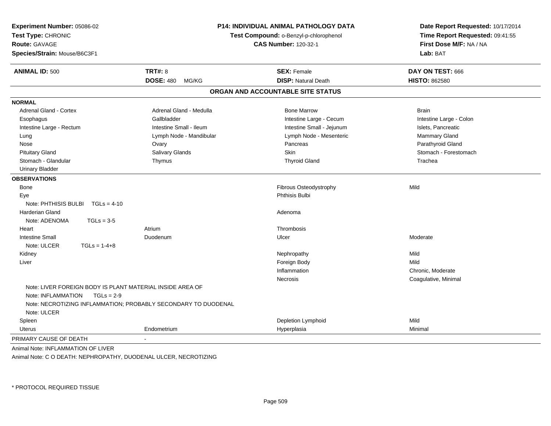| Experiment Number: 05086-02<br>Test Type: CHRONIC<br><b>Route: GAVAGE</b><br>Species/Strain: Mouse/B6C3F1 |                                                                                                                                             | P14: INDIVIDUAL ANIMAL PATHOLOGY DATA<br>Test Compound: o-Benzyl-p-chlorophenol<br><b>CAS Number: 120-32-1</b> | Date Report Requested: 10/17/2014<br>Time Report Requested: 09:41:55<br>First Dose M/F: NA / NA<br>Lab: BAT |
|-----------------------------------------------------------------------------------------------------------|---------------------------------------------------------------------------------------------------------------------------------------------|----------------------------------------------------------------------------------------------------------------|-------------------------------------------------------------------------------------------------------------|
| <b>ANIMAL ID: 500</b>                                                                                     | <b>TRT#: 8</b>                                                                                                                              | <b>SEX: Female</b>                                                                                             | DAY ON TEST: 666                                                                                            |
|                                                                                                           | <b>DOSE: 480</b><br>MG/KG                                                                                                                   | <b>DISP: Natural Death</b>                                                                                     | <b>HISTO: 862580</b>                                                                                        |
|                                                                                                           |                                                                                                                                             | ORGAN AND ACCOUNTABLE SITE STATUS                                                                              |                                                                                                             |
| <b>NORMAL</b>                                                                                             |                                                                                                                                             |                                                                                                                |                                                                                                             |
| <b>Adrenal Gland - Cortex</b>                                                                             | Adrenal Gland - Medulla                                                                                                                     | <b>Bone Marrow</b>                                                                                             | <b>Brain</b>                                                                                                |
| Esophagus                                                                                                 | Gallbladder                                                                                                                                 | Intestine Large - Cecum                                                                                        | Intestine Large - Colon                                                                                     |
| Intestine Large - Rectum                                                                                  | Intestine Small - Ileum                                                                                                                     | Intestine Small - Jejunum                                                                                      | Islets, Pancreatic                                                                                          |
| Lung                                                                                                      | Lymph Node - Mandibular                                                                                                                     | Lymph Node - Mesenteric                                                                                        | Mammary Gland                                                                                               |
| Nose                                                                                                      | Ovary                                                                                                                                       | Pancreas                                                                                                       | Parathyroid Gland                                                                                           |
| <b>Pituitary Gland</b>                                                                                    | <b>Salivary Glands</b>                                                                                                                      | <b>Skin</b>                                                                                                    | Stomach - Forestomach                                                                                       |
| Stomach - Glandular                                                                                       | Thymus                                                                                                                                      | <b>Thyroid Gland</b>                                                                                           | Trachea                                                                                                     |
| <b>Urinary Bladder</b>                                                                                    |                                                                                                                                             |                                                                                                                |                                                                                                             |
| <b>OBSERVATIONS</b>                                                                                       |                                                                                                                                             |                                                                                                                |                                                                                                             |
| <b>Bone</b>                                                                                               |                                                                                                                                             | Fibrous Osteodystrophy                                                                                         | Mild                                                                                                        |
| Eye                                                                                                       |                                                                                                                                             | <b>Phthisis Bulbi</b>                                                                                          |                                                                                                             |
| Note: PHTHISIS BULBI                                                                                      | $TGLs = 4-10$                                                                                                                               |                                                                                                                |                                                                                                             |
| <b>Harderian Gland</b>                                                                                    |                                                                                                                                             | Adenoma                                                                                                        |                                                                                                             |
| Note: ADENOMA<br>$TGLs = 3-5$                                                                             |                                                                                                                                             |                                                                                                                |                                                                                                             |
| Heart                                                                                                     | Atrium                                                                                                                                      | Thrombosis                                                                                                     |                                                                                                             |
| <b>Intestine Small</b>                                                                                    | Duodenum                                                                                                                                    | Ulcer                                                                                                          | Moderate                                                                                                    |
| $TGLs = 1-4+8$<br>Note: ULCER                                                                             |                                                                                                                                             |                                                                                                                |                                                                                                             |
| Kidney                                                                                                    |                                                                                                                                             | Nephropathy                                                                                                    | Mild                                                                                                        |
| Liver                                                                                                     |                                                                                                                                             | Foreign Body                                                                                                   | Mild                                                                                                        |
|                                                                                                           |                                                                                                                                             | Inflammation                                                                                                   | Chronic, Moderate                                                                                           |
|                                                                                                           |                                                                                                                                             | Necrosis                                                                                                       | Coagulative, Minimal                                                                                        |
| Note: INFLAMMATION                                                                                        | Note: LIVER FOREIGN BODY IS PLANT MATERIAL INSIDE AREA OF<br>$TGLs = 2-9$<br>Note: NECROTIZING INFLAMMATION; PROBABLY SECONDARY TO DUODENAL |                                                                                                                |                                                                                                             |
| Note: ULCER                                                                                               |                                                                                                                                             |                                                                                                                |                                                                                                             |
| Spleen                                                                                                    |                                                                                                                                             | Depletion Lymphoid                                                                                             | Mild                                                                                                        |
| Uterus                                                                                                    | Endometrium                                                                                                                                 | Hyperplasia                                                                                                    | Minimal                                                                                                     |
| PRIMARY CAUSE OF DEATH                                                                                    |                                                                                                                                             |                                                                                                                |                                                                                                             |
|                                                                                                           |                                                                                                                                             |                                                                                                                |                                                                                                             |

Animal Note: INFLAMMATION OF LIVER

Animal Note: C O DEATH: NEPHROPATHY, DUODENAL ULCER, NECROTIZING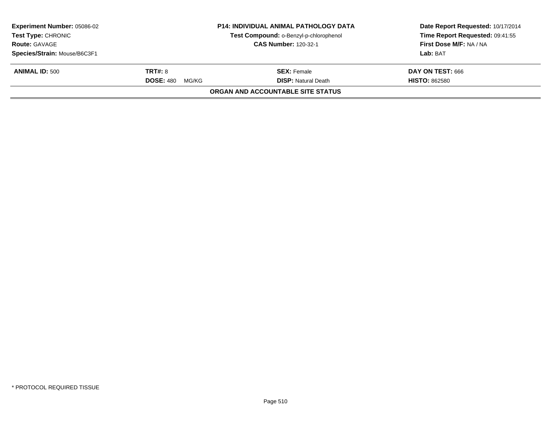| <b>Experiment Number: 05086-02</b><br><b>Test Type: CHRONIC</b> |                           | <b>P14: INDIVIDUAL ANIMAL PATHOLOGY DATA</b><br>Test Compound: o-Benzyl-p-chlorophenol | Date Report Requested: 10/17/2014<br>Time Report Requested: 09:41:55 |
|-----------------------------------------------------------------|---------------------------|----------------------------------------------------------------------------------------|----------------------------------------------------------------------|
| <b>Route: GAVAGE</b>                                            |                           | <b>CAS Number: 120-32-1</b>                                                            | First Dose M/F: NA / NA                                              |
| Species/Strain: Mouse/B6C3F1                                    |                           |                                                                                        | Lab: BAT                                                             |
| <b>ANIMAL ID: 500</b>                                           | <b>TRT#: 8</b>            | <b>SEX:</b> Female                                                                     | DAY ON TEST: 666                                                     |
|                                                                 | <b>DOSE: 480</b><br>MG/KG | <b>DISP: Natural Death</b>                                                             | <b>HISTO: 862580</b>                                                 |
|                                                                 |                           | ORGAN AND ACCOUNTABLE SITE STATUS                                                      |                                                                      |
|                                                                 |                           |                                                                                        |                                                                      |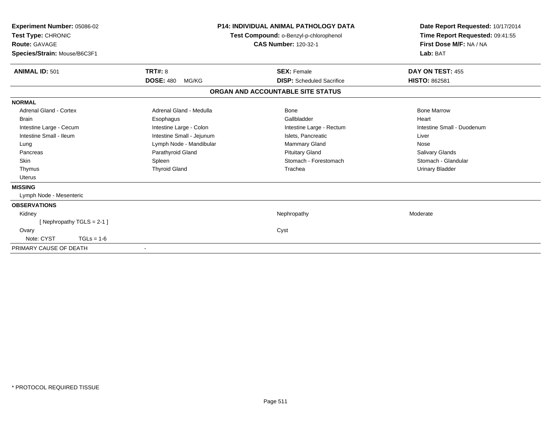| Experiment Number: 05086-02<br>Test Type: CHRONIC<br><b>Route: GAVAGE</b><br>Species/Strain: Mouse/B6C3F1 |                           | <b>P14: INDIVIDUAL ANIMAL PATHOLOGY DATA</b><br>Test Compound: o-Benzyl-p-chlorophenol<br><b>CAS Number: 120-32-1</b> | Date Report Requested: 10/17/2014<br>Time Report Requested: 09:41:55<br>First Dose M/F: NA / NA<br>Lab: BAT |
|-----------------------------------------------------------------------------------------------------------|---------------------------|-----------------------------------------------------------------------------------------------------------------------|-------------------------------------------------------------------------------------------------------------|
| <b>ANIMAL ID: 501</b>                                                                                     | TRT#: 8                   | <b>SEX: Female</b>                                                                                                    | DAY ON TEST: 455                                                                                            |
|                                                                                                           | <b>DOSE: 480</b><br>MG/KG | <b>DISP:</b> Scheduled Sacrifice                                                                                      | <b>HISTO: 862581</b>                                                                                        |
|                                                                                                           |                           | ORGAN AND ACCOUNTABLE SITE STATUS                                                                                     |                                                                                                             |
| <b>NORMAL</b>                                                                                             |                           |                                                                                                                       |                                                                                                             |
| Adrenal Gland - Cortex                                                                                    | Adrenal Gland - Medulla   | Bone                                                                                                                  | <b>Bone Marrow</b>                                                                                          |
| <b>Brain</b>                                                                                              | Esophagus                 | Gallbladder                                                                                                           | Heart                                                                                                       |
| Intestine Large - Cecum                                                                                   | Intestine Large - Colon   | Intestine Large - Rectum                                                                                              | Intestine Small - Duodenum                                                                                  |
| Intestine Small - Ileum                                                                                   | Intestine Small - Jejunum | Islets, Pancreatic                                                                                                    | Liver                                                                                                       |
| Lung                                                                                                      | Lymph Node - Mandibular   | Mammary Gland                                                                                                         | Nose                                                                                                        |
| Pancreas                                                                                                  | Parathyroid Gland         | <b>Pituitary Gland</b>                                                                                                | <b>Salivary Glands</b>                                                                                      |
| Skin                                                                                                      | Spleen                    | Stomach - Forestomach                                                                                                 | Stomach - Glandular                                                                                         |
| Thymus                                                                                                    | <b>Thyroid Gland</b>      | Trachea                                                                                                               | <b>Urinary Bladder</b>                                                                                      |
| <b>Uterus</b>                                                                                             |                           |                                                                                                                       |                                                                                                             |
| <b>MISSING</b>                                                                                            |                           |                                                                                                                       |                                                                                                             |
| Lymph Node - Mesenteric                                                                                   |                           |                                                                                                                       |                                                                                                             |
| <b>OBSERVATIONS</b>                                                                                       |                           |                                                                                                                       |                                                                                                             |
| Kidney                                                                                                    |                           | Nephropathy                                                                                                           | Moderate                                                                                                    |
| [Nephropathy TGLS = 2-1]                                                                                  |                           |                                                                                                                       |                                                                                                             |
| Ovary                                                                                                     |                           | Cyst                                                                                                                  |                                                                                                             |
| Note: CYST<br>$TGLs = 1-6$                                                                                |                           |                                                                                                                       |                                                                                                             |
| PRIMARY CAUSE OF DEATH                                                                                    |                           |                                                                                                                       |                                                                                                             |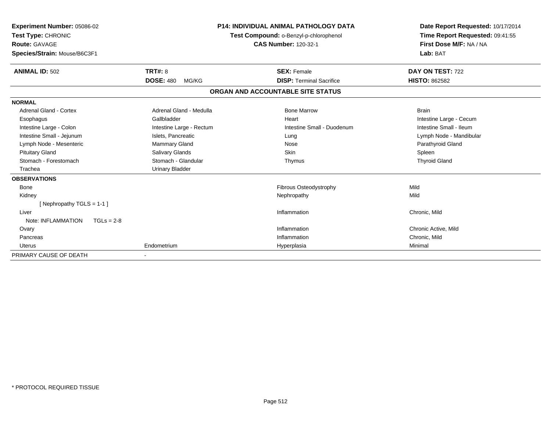| Experiment Number: 05086-02<br>Test Type: CHRONIC<br>Route: GAVAGE |                           | <b>P14: INDIVIDUAL ANIMAL PATHOLOGY DATA</b><br>Test Compound: o-Benzyl-p-chlorophenol<br><b>CAS Number: 120-32-1</b> | Date Report Requested: 10/17/2014<br>Time Report Requested: 09:41:55<br>First Dose M/F: NA / NA |
|--------------------------------------------------------------------|---------------------------|-----------------------------------------------------------------------------------------------------------------------|-------------------------------------------------------------------------------------------------|
| Species/Strain: Mouse/B6C3F1                                       |                           |                                                                                                                       | Lab: BAT                                                                                        |
| <b>ANIMAL ID: 502</b>                                              | TRT#: 8                   | <b>SEX: Female</b>                                                                                                    | DAY ON TEST: 722                                                                                |
|                                                                    | <b>DOSE: 480</b><br>MG/KG | <b>DISP: Terminal Sacrifice</b>                                                                                       | <b>HISTO: 862582</b>                                                                            |
|                                                                    |                           | ORGAN AND ACCOUNTABLE SITE STATUS                                                                                     |                                                                                                 |
| <b>NORMAL</b>                                                      |                           |                                                                                                                       |                                                                                                 |
| Adrenal Gland - Cortex                                             | Adrenal Gland - Medulla   | <b>Bone Marrow</b>                                                                                                    | <b>Brain</b>                                                                                    |
| Esophagus                                                          | Gallbladder               | Heart                                                                                                                 | Intestine Large - Cecum                                                                         |
| Intestine Large - Colon                                            | Intestine Large - Rectum  | Intestine Small - Duodenum                                                                                            | Intestine Small - Ileum                                                                         |
| Intestine Small - Jejunum                                          | Islets, Pancreatic        | Lung                                                                                                                  | Lymph Node - Mandibular                                                                         |
| Lymph Node - Mesenteric                                            | Mammary Gland             | Nose                                                                                                                  | Parathyroid Gland                                                                               |
| <b>Pituitary Gland</b>                                             | Salivary Glands           | <b>Skin</b>                                                                                                           | Spleen                                                                                          |
| Stomach - Forestomach                                              | Stomach - Glandular       | Thymus                                                                                                                | <b>Thyroid Gland</b>                                                                            |
| Trachea                                                            | <b>Urinary Bladder</b>    |                                                                                                                       |                                                                                                 |
| <b>OBSERVATIONS</b>                                                |                           |                                                                                                                       |                                                                                                 |
| <b>Bone</b>                                                        |                           | Fibrous Osteodystrophy                                                                                                | Mild                                                                                            |
| Kidney                                                             |                           | Nephropathy                                                                                                           | Mild                                                                                            |
| [ Nephropathy TGLS = $1-1$ ]                                       |                           |                                                                                                                       |                                                                                                 |
| Liver                                                              |                           | Inflammation                                                                                                          | Chronic, Mild                                                                                   |
| Note: INFLAMMATION<br>$TGLs = 2-8$                                 |                           |                                                                                                                       |                                                                                                 |
| Ovary                                                              |                           | Inflammation                                                                                                          | Chronic Active, Mild                                                                            |
| Pancreas                                                           |                           | Inflammation                                                                                                          | Chronic, Mild                                                                                   |
| Uterus                                                             | Endometrium               | Hyperplasia                                                                                                           | Minimal                                                                                         |
| PRIMARY CAUSE OF DEATH                                             |                           |                                                                                                                       |                                                                                                 |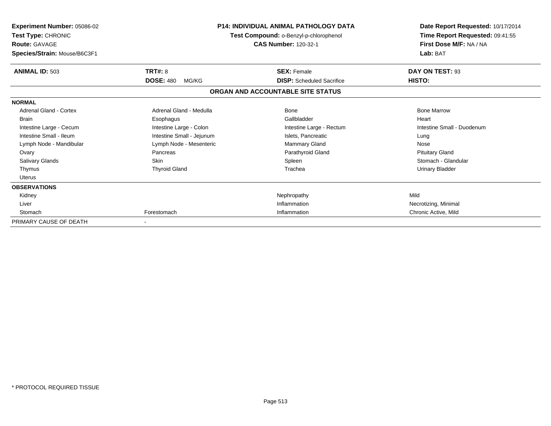| Experiment Number: 05086-02<br>Test Type: CHRONIC<br><b>Route: GAVAGE</b><br>Species/Strain: Mouse/B6C3F1 |                                      | <b>P14: INDIVIDUAL ANIMAL PATHOLOGY DATA</b><br>Test Compound: o-Benzyl-p-chlorophenol<br><b>CAS Number: 120-32-1</b> | Date Report Requested: 10/17/2014<br>Time Report Requested: 09:41:55<br>First Dose M/F: NA / NA<br>Lab: BAT |
|-----------------------------------------------------------------------------------------------------------|--------------------------------------|-----------------------------------------------------------------------------------------------------------------------|-------------------------------------------------------------------------------------------------------------|
| <b>ANIMAL ID: 503</b>                                                                                     | TRT#: 8<br><b>DOSE: 480</b><br>MG/KG | <b>SEX: Female</b><br><b>DISP:</b> Scheduled Sacrifice                                                                | DAY ON TEST: 93<br>HISTO:                                                                                   |
|                                                                                                           |                                      | ORGAN AND ACCOUNTABLE SITE STATUS                                                                                     |                                                                                                             |
| <b>NORMAL</b>                                                                                             |                                      |                                                                                                                       |                                                                                                             |
| Adrenal Gland - Cortex                                                                                    | Adrenal Gland - Medulla              | Bone                                                                                                                  | <b>Bone Marrow</b>                                                                                          |
| <b>Brain</b>                                                                                              | Esophagus                            | Gallbladder                                                                                                           | Heart                                                                                                       |
| Intestine Large - Cecum                                                                                   | Intestine Large - Colon              | Intestine Large - Rectum                                                                                              | Intestine Small - Duodenum                                                                                  |
| Intestine Small - Ileum                                                                                   | Intestine Small - Jejunum            | Islets, Pancreatic                                                                                                    | Lung                                                                                                        |
| Lymph Node - Mandibular                                                                                   | Lymph Node - Mesenteric              | <b>Mammary Gland</b>                                                                                                  | Nose                                                                                                        |
| Ovary                                                                                                     | Pancreas                             | Parathyroid Gland                                                                                                     | <b>Pituitary Gland</b>                                                                                      |
| Salivary Glands                                                                                           | <b>Skin</b>                          | Spleen                                                                                                                | Stomach - Glandular                                                                                         |
| Thymus                                                                                                    | <b>Thyroid Gland</b>                 | Trachea                                                                                                               | <b>Urinary Bladder</b>                                                                                      |
| <b>Uterus</b>                                                                                             |                                      |                                                                                                                       |                                                                                                             |
| <b>OBSERVATIONS</b>                                                                                       |                                      |                                                                                                                       |                                                                                                             |
| Kidney                                                                                                    |                                      | Nephropathy                                                                                                           | Mild                                                                                                        |
| Liver                                                                                                     |                                      | Inflammation                                                                                                          | Necrotizing, Minimal                                                                                        |
| Stomach                                                                                                   | Forestomach                          | Inflammation                                                                                                          | Chronic Active, Mild                                                                                        |
| PRIMARY CAUSE OF DEATH                                                                                    |                                      |                                                                                                                       |                                                                                                             |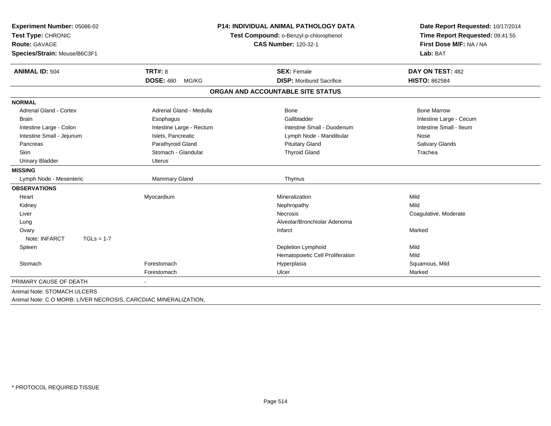| <b>Experiment Number: 05086-02</b> | <b>P14: INDIVIDUAL ANIMAL PATHOLOGY DATA</b> |                                        | Date Report Requested: 10/17/2014                          |  |
|------------------------------------|----------------------------------------------|----------------------------------------|------------------------------------------------------------|--|
| Test Type: CHRONIC                 |                                              | Test Compound: o-Benzyl-p-chlorophenol |                                                            |  |
| <b>Route: GAVAGE</b>               |                                              | <b>CAS Number: 120-32-1</b>            | Time Report Requested: 09:41:55<br>First Dose M/F: NA / NA |  |
| Species/Strain: Mouse/B6C3F1       |                                              |                                        | Lab: BAT                                                   |  |
| <b>ANIMAL ID: 504</b>              | TRT#: 8                                      | <b>SEX: Female</b>                     | DAY ON TEST: 482                                           |  |
|                                    | <b>DOSE: 480</b><br>MG/KG                    | <b>DISP: Moribund Sacrifice</b>        | <b>HISTO: 862584</b>                                       |  |
|                                    |                                              | ORGAN AND ACCOUNTABLE SITE STATUS      |                                                            |  |
| <b>NORMAL</b>                      |                                              |                                        |                                                            |  |
| <b>Adrenal Gland - Cortex</b>      | Adrenal Gland - Medulla                      | <b>Bone</b>                            | <b>Bone Marrow</b>                                         |  |
| <b>Brain</b>                       | Esophagus                                    | Gallbladder                            | Intestine Large - Cecum                                    |  |
| Intestine Large - Colon            | Intestine Large - Rectum                     | Intestine Small - Duodenum             | Intestine Small - Ileum                                    |  |
| Intestine Small - Jejunum          | Islets, Pancreatic                           | Lymph Node - Mandibular                | Nose                                                       |  |
| Pancreas                           | Parathyroid Gland                            | <b>Pituitary Gland</b>                 | Salivary Glands                                            |  |
| <b>Skin</b>                        | Stomach - Glandular                          | <b>Thyroid Gland</b>                   | Trachea                                                    |  |
| <b>Urinary Bladder</b>             | <b>Uterus</b>                                |                                        |                                                            |  |
| <b>MISSING</b>                     |                                              |                                        |                                                            |  |
| Lymph Node - Mesenteric            | Mammary Gland                                | Thymus                                 |                                                            |  |
| <b>OBSERVATIONS</b>                |                                              |                                        |                                                            |  |
| Heart                              | Myocardium                                   | Mineralization                         | Mild                                                       |  |
| Kidney                             |                                              | Nephropathy                            | Mild                                                       |  |
| Liver                              |                                              | Necrosis                               | Coagulative, Moderate                                      |  |
| Lung                               |                                              | Alveolar/Bronchiolar Adenoma           |                                                            |  |
| Ovary                              |                                              | Infarct                                | Marked                                                     |  |
| Note: INFARCT<br>$TGLs = 1-7$      |                                              |                                        |                                                            |  |
| Spleen                             |                                              | Depletion Lymphoid                     | Mild                                                       |  |
|                                    |                                              | Hematopoietic Cell Proliferation       | Mild                                                       |  |
| Stomach                            | Forestomach                                  | Hyperplasia                            | Squamous, Mild                                             |  |
|                                    | Forestomach                                  | Ulcer                                  | Marked                                                     |  |
| PRIMARY CAUSE OF DEATH             |                                              |                                        |                                                            |  |
| Animal Note: STOMACH ULCERS        |                                              |                                        |                                                            |  |

Animal Note: C O MORB: LIVER NECROSIS, CARCDIAC MINERALIZATION,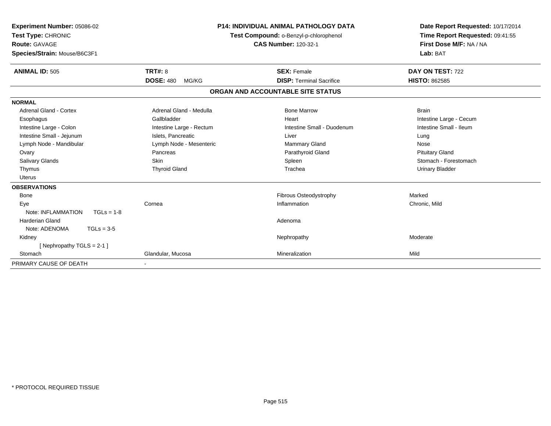| <b>Experiment Number: 05086-02</b><br>Test Type: CHRONIC<br><b>Route: GAVAGE</b><br>Species/Strain: Mouse/B6C3F1 |                           | <b>P14: INDIVIDUAL ANIMAL PATHOLOGY DATA</b><br>Test Compound: o-Benzyl-p-chlorophenol<br><b>CAS Number: 120-32-1</b> | Date Report Requested: 10/17/2014<br>Time Report Requested: 09:41:55<br>First Dose M/F: NA / NA<br>Lab: BAT |
|------------------------------------------------------------------------------------------------------------------|---------------------------|-----------------------------------------------------------------------------------------------------------------------|-------------------------------------------------------------------------------------------------------------|
| <b>ANIMAL ID: 505</b>                                                                                            | <b>TRT#: 8</b>            | <b>SEX: Female</b>                                                                                                    | DAY ON TEST: 722                                                                                            |
|                                                                                                                  | <b>DOSE: 480</b><br>MG/KG | <b>DISP: Terminal Sacrifice</b>                                                                                       | <b>HISTO: 862585</b>                                                                                        |
|                                                                                                                  |                           | ORGAN AND ACCOUNTABLE SITE STATUS                                                                                     |                                                                                                             |
| <b>NORMAL</b>                                                                                                    |                           |                                                                                                                       |                                                                                                             |
| Adrenal Gland - Cortex                                                                                           | Adrenal Gland - Medulla   | <b>Bone Marrow</b>                                                                                                    | <b>Brain</b>                                                                                                |
| Esophagus                                                                                                        | Gallbladder               | Heart                                                                                                                 | Intestine Large - Cecum                                                                                     |
| Intestine Large - Colon                                                                                          | Intestine Large - Rectum  | Intestine Small - Duodenum                                                                                            | Intestine Small - Ileum                                                                                     |
| Intestine Small - Jejunum                                                                                        | Islets, Pancreatic        | Liver                                                                                                                 | Lung                                                                                                        |
| Lymph Node - Mandibular                                                                                          | Lymph Node - Mesenteric   | Mammary Gland                                                                                                         | Nose                                                                                                        |
| Ovary                                                                                                            | Pancreas                  | Parathyroid Gland                                                                                                     | <b>Pituitary Gland</b>                                                                                      |
| <b>Salivary Glands</b>                                                                                           | Skin                      | Spleen                                                                                                                | Stomach - Forestomach                                                                                       |
| Thymus                                                                                                           | <b>Thyroid Gland</b>      | Trachea                                                                                                               | <b>Urinary Bladder</b>                                                                                      |
| Uterus                                                                                                           |                           |                                                                                                                       |                                                                                                             |
| <b>OBSERVATIONS</b>                                                                                              |                           |                                                                                                                       |                                                                                                             |
| <b>Bone</b>                                                                                                      |                           | Fibrous Osteodystrophy                                                                                                | Marked                                                                                                      |
| Eye                                                                                                              | Cornea                    | Inflammation                                                                                                          | Chronic, Mild                                                                                               |
| Note: INFLAMMATION<br>$TGLs = 1-8$                                                                               |                           |                                                                                                                       |                                                                                                             |
| Harderian Gland                                                                                                  |                           | Adenoma                                                                                                               |                                                                                                             |
| Note: ADENOMA<br>$TGLs = 3-5$                                                                                    |                           |                                                                                                                       |                                                                                                             |
| Kidney                                                                                                           |                           | Nephropathy                                                                                                           | Moderate                                                                                                    |
| [Nephropathy TGLS = 2-1]                                                                                         |                           |                                                                                                                       |                                                                                                             |
| Stomach                                                                                                          | Glandular, Mucosa         | Mineralization                                                                                                        | Mild                                                                                                        |
| PRIMARY CAUSE OF DEATH                                                                                           |                           |                                                                                                                       |                                                                                                             |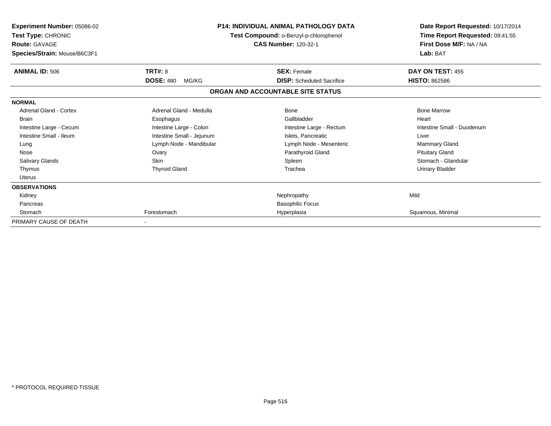| <b>Experiment Number: 05086-02</b><br>Test Type: CHRONIC<br><b>Route: GAVAGE</b><br>Species/Strain: Mouse/B6C3F1 |                           | <b>P14: INDIVIDUAL ANIMAL PATHOLOGY DATA</b><br>Test Compound: o-Benzyl-p-chlorophenol<br><b>CAS Number: 120-32-1</b> |                            |
|------------------------------------------------------------------------------------------------------------------|---------------------------|-----------------------------------------------------------------------------------------------------------------------|----------------------------|
| <b>ANIMAL ID: 506</b>                                                                                            | TRT#: 8                   | <b>SEX: Female</b>                                                                                                    | DAY ON TEST: 455           |
|                                                                                                                  | <b>DOSE: 480</b><br>MG/KG | <b>DISP:</b> Scheduled Sacrifice                                                                                      | <b>HISTO: 862586</b>       |
|                                                                                                                  |                           | ORGAN AND ACCOUNTABLE SITE STATUS                                                                                     |                            |
| <b>NORMAL</b>                                                                                                    |                           |                                                                                                                       |                            |
| Adrenal Gland - Cortex                                                                                           | Adrenal Gland - Medulla   | Bone                                                                                                                  | <b>Bone Marrow</b>         |
| <b>Brain</b>                                                                                                     | Esophagus                 | Gallbladder                                                                                                           | Heart                      |
| Intestine Large - Cecum                                                                                          | Intestine Large - Colon   | Intestine Large - Rectum                                                                                              | Intestine Small - Duodenum |
| Intestine Small - Ileum                                                                                          | Intestine Small - Jejunum | Islets. Pancreatic                                                                                                    | Liver                      |
| Lung                                                                                                             | Lymph Node - Mandibular   | Lymph Node - Mesenteric                                                                                               | Mammary Gland              |
| Nose                                                                                                             | Ovary                     | Parathyroid Gland                                                                                                     | <b>Pituitary Gland</b>     |
| Salivary Glands                                                                                                  | <b>Skin</b>               | Spleen                                                                                                                | Stomach - Glandular        |
| Thymus                                                                                                           | <b>Thyroid Gland</b>      | Trachea                                                                                                               | <b>Urinary Bladder</b>     |
| Uterus                                                                                                           |                           |                                                                                                                       |                            |
| <b>OBSERVATIONS</b>                                                                                              |                           |                                                                                                                       |                            |
| Kidney                                                                                                           |                           | Nephropathy                                                                                                           | Mild                       |
| Pancreas                                                                                                         |                           | <b>Basophilic Focus</b>                                                                                               |                            |
| Stomach                                                                                                          | Forestomach               | Hyperplasia                                                                                                           | Squamous, Minimal          |
| PRIMARY CAUSE OF DEATH                                                                                           |                           |                                                                                                                       |                            |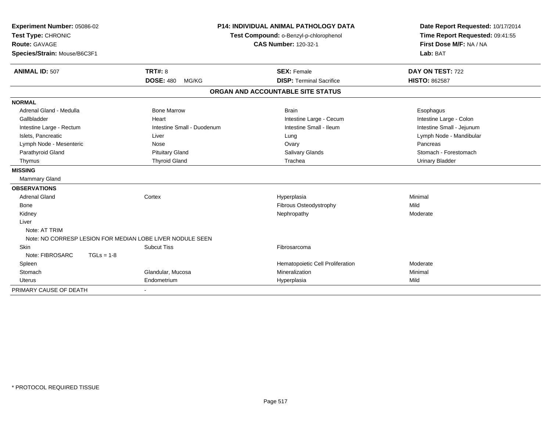| Experiment Number: 05086-02                               | <b>P14: INDIVIDUAL ANIMAL PATHOLOGY DATA</b> |                                        | Date Report Requested: 10/17/2014 |  |
|-----------------------------------------------------------|----------------------------------------------|----------------------------------------|-----------------------------------|--|
| Test Type: CHRONIC                                        |                                              | Test Compound: o-Benzyl-p-chlorophenol | Time Report Requested: 09:41:55   |  |
| Route: GAVAGE                                             |                                              | <b>CAS Number: 120-32-1</b>            | First Dose M/F: NA / NA           |  |
| Species/Strain: Mouse/B6C3F1                              |                                              |                                        | Lab: BAT                          |  |
| <b>ANIMAL ID: 507</b>                                     | <b>TRT#: 8</b>                               | <b>SEX: Female</b>                     | DAY ON TEST: 722                  |  |
|                                                           | <b>DOSE: 480</b><br>MG/KG                    | <b>DISP: Terminal Sacrifice</b>        | <b>HISTO: 862587</b>              |  |
|                                                           |                                              | ORGAN AND ACCOUNTABLE SITE STATUS      |                                   |  |
| <b>NORMAL</b>                                             |                                              |                                        |                                   |  |
| Adrenal Gland - Medulla                                   | <b>Bone Marrow</b>                           | <b>Brain</b>                           | Esophagus                         |  |
| Gallbladder                                               | Heart                                        | Intestine Large - Cecum                | Intestine Large - Colon           |  |
| Intestine Large - Rectum                                  | Intestine Small - Duodenum                   | Intestine Small - Ileum                | Intestine Small - Jejunum         |  |
| Islets, Pancreatic                                        | Liver                                        | Lung                                   | Lymph Node - Mandibular           |  |
| Lymph Node - Mesenteric                                   | Nose                                         | Ovary                                  | Pancreas                          |  |
| Parathyroid Gland                                         | <b>Pituitary Gland</b>                       | <b>Salivary Glands</b>                 | Stomach - Forestomach             |  |
| Thymus                                                    | <b>Thyroid Gland</b>                         | Trachea                                | <b>Urinary Bladder</b>            |  |
| <b>MISSING</b>                                            |                                              |                                        |                                   |  |
| Mammary Gland                                             |                                              |                                        |                                   |  |
| <b>OBSERVATIONS</b>                                       |                                              |                                        |                                   |  |
| <b>Adrenal Gland</b>                                      | Cortex                                       | Hyperplasia                            | Minimal                           |  |
| Bone                                                      |                                              | Fibrous Osteodystrophy                 | Mild                              |  |
| Kidney                                                    |                                              | Nephropathy                            | Moderate                          |  |
| Liver                                                     |                                              |                                        |                                   |  |
| Note: AT TRIM                                             |                                              |                                        |                                   |  |
| Note: NO CORRESP LESION FOR MEDIAN LOBE LIVER NODULE SEEN |                                              |                                        |                                   |  |
| <b>Skin</b>                                               | <b>Subcut Tiss</b>                           | Fibrosarcoma                           |                                   |  |
| Note: FIBROSARC<br>$TGLs = 1-8$                           |                                              |                                        |                                   |  |
| Spleen                                                    |                                              | Hematopoietic Cell Proliferation       | Moderate                          |  |
| Stomach                                                   | Glandular, Mucosa                            | Mineralization                         | Minimal                           |  |
| Uterus                                                    | Endometrium                                  | Hyperplasia                            | Mild                              |  |
| PRIMARY CAUSE OF DEATH                                    |                                              |                                        |                                   |  |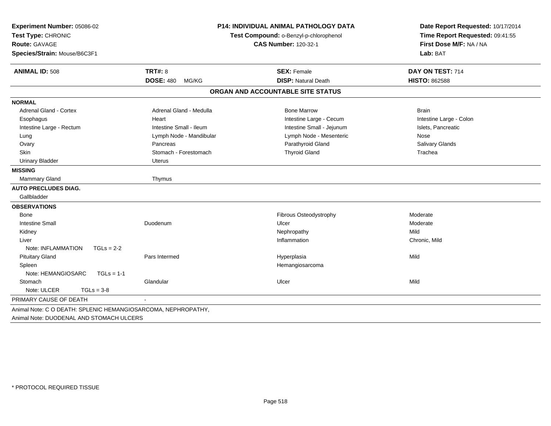| <b>Experiment Number: 05086-02</b><br>Test Type: CHRONIC<br>Route: GAVAGE<br>Species/Strain: Mouse/B6C3F1 |                           | <b>P14: INDIVIDUAL ANIMAL PATHOLOGY DATA</b><br>Test Compound: o-Benzyl-p-chlorophenol<br><b>CAS Number: 120-32-1</b> | Date Report Requested: 10/17/2014<br>Time Report Requested: 09:41:55<br>First Dose M/F: NA / NA<br>Lab: BAT |  |
|-----------------------------------------------------------------------------------------------------------|---------------------------|-----------------------------------------------------------------------------------------------------------------------|-------------------------------------------------------------------------------------------------------------|--|
| <b>ANIMAL ID: 508</b>                                                                                     | <b>TRT#: 8</b>            | <b>SEX: Female</b>                                                                                                    | DAY ON TEST: 714                                                                                            |  |
|                                                                                                           | <b>DOSE: 480</b><br>MG/KG | <b>DISP: Natural Death</b>                                                                                            | <b>HISTO: 862588</b>                                                                                        |  |
|                                                                                                           |                           | ORGAN AND ACCOUNTABLE SITE STATUS                                                                                     |                                                                                                             |  |
| <b>NORMAL</b>                                                                                             |                           |                                                                                                                       |                                                                                                             |  |
| Adrenal Gland - Cortex                                                                                    | Adrenal Gland - Medulla   | <b>Bone Marrow</b>                                                                                                    | <b>Brain</b>                                                                                                |  |
| Esophagus                                                                                                 | Heart                     | Intestine Large - Cecum                                                                                               | Intestine Large - Colon                                                                                     |  |
| Intestine Large - Rectum                                                                                  | Intestine Small - Ileum   | Intestine Small - Jejunum                                                                                             | Islets, Pancreatic                                                                                          |  |
| Lung                                                                                                      | Lymph Node - Mandibular   | Lymph Node - Mesenteric                                                                                               | Nose                                                                                                        |  |
| Ovary                                                                                                     | Pancreas                  | Parathyroid Gland                                                                                                     | Salivary Glands                                                                                             |  |
| Skin                                                                                                      | Stomach - Forestomach     | <b>Thyroid Gland</b>                                                                                                  | Trachea                                                                                                     |  |
| <b>Urinary Bladder</b>                                                                                    | Uterus                    |                                                                                                                       |                                                                                                             |  |
| <b>MISSING</b>                                                                                            |                           |                                                                                                                       |                                                                                                             |  |
| Mammary Gland                                                                                             | Thymus                    |                                                                                                                       |                                                                                                             |  |
| <b>AUTO PRECLUDES DIAG.</b>                                                                               |                           |                                                                                                                       |                                                                                                             |  |
| Gallbladder                                                                                               |                           |                                                                                                                       |                                                                                                             |  |
| <b>OBSERVATIONS</b>                                                                                       |                           |                                                                                                                       |                                                                                                             |  |
| Bone                                                                                                      |                           | Fibrous Osteodystrophy                                                                                                | Moderate                                                                                                    |  |
| <b>Intestine Small</b>                                                                                    | Duodenum                  | Ulcer                                                                                                                 | Moderate                                                                                                    |  |
| Kidney                                                                                                    |                           | Nephropathy                                                                                                           | Mild                                                                                                        |  |
| Liver                                                                                                     |                           | Inflammation                                                                                                          | Chronic, Mild                                                                                               |  |
| Note: INFLAMMATION<br>$TGLs = 2-2$                                                                        |                           |                                                                                                                       |                                                                                                             |  |
| <b>Pituitary Gland</b>                                                                                    | Pars Intermed             | Hyperplasia                                                                                                           | Mild                                                                                                        |  |
| Spleen                                                                                                    |                           | Hemangiosarcoma                                                                                                       |                                                                                                             |  |
| Note: HEMANGIOSARC<br>$TGLs = 1-1$                                                                        |                           |                                                                                                                       |                                                                                                             |  |
| Stomach                                                                                                   | Glandular                 | Ulcer                                                                                                                 | Mild                                                                                                        |  |
| Note: ULCER<br>$TGLs = 3-8$                                                                               |                           |                                                                                                                       |                                                                                                             |  |
| PRIMARY CAUSE OF DEATH                                                                                    |                           |                                                                                                                       |                                                                                                             |  |
| Animal Note: C O DEATH: SPLENIC HEMANGIOSARCOMA, NEPHROPATHY,<br>Animal Note: DUODENAL AND STOMACH ULCERS |                           |                                                                                                                       |                                                                                                             |  |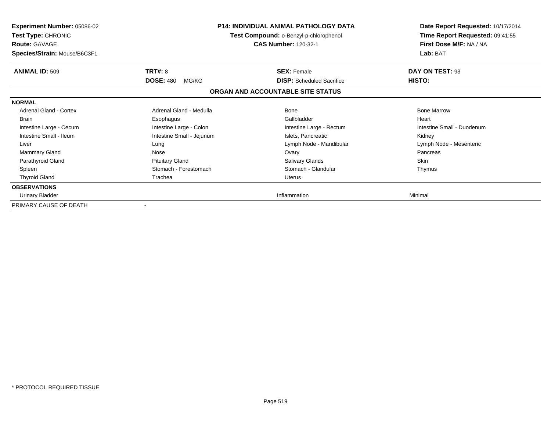| <b>Experiment Number: 05086-02</b><br><b>Test Type: CHRONIC</b><br><b>Route: GAVAGE</b><br>Species/Strain: Mouse/B6C3F1 |                           | <b>P14: INDIVIDUAL ANIMAL PATHOLOGY DATA</b><br>Test Compound: o-Benzyl-p-chlorophenol<br><b>CAS Number: 120-32-1</b> | Date Report Requested: 10/17/2014<br>Time Report Requested: 09:41:55<br>First Dose M/F: NA / NA<br>Lab: BAT |
|-------------------------------------------------------------------------------------------------------------------------|---------------------------|-----------------------------------------------------------------------------------------------------------------------|-------------------------------------------------------------------------------------------------------------|
| <b>ANIMAL ID: 509</b>                                                                                                   | TRT#: 8                   | <b>SEX: Female</b>                                                                                                    | DAY ON TEST: 93                                                                                             |
|                                                                                                                         | <b>DOSE: 480</b><br>MG/KG | <b>DISP:</b> Scheduled Sacrifice                                                                                      | HISTO:                                                                                                      |
|                                                                                                                         |                           | ORGAN AND ACCOUNTABLE SITE STATUS                                                                                     |                                                                                                             |
| <b>NORMAL</b>                                                                                                           |                           |                                                                                                                       |                                                                                                             |
| Adrenal Gland - Cortex                                                                                                  | Adrenal Gland - Medulla   | Bone                                                                                                                  | <b>Bone Marrow</b>                                                                                          |
| <b>Brain</b>                                                                                                            | Esophagus                 | Gallbladder                                                                                                           | Heart                                                                                                       |
| Intestine Large - Cecum                                                                                                 | Intestine Large - Colon   | Intestine Large - Rectum                                                                                              | Intestine Small - Duodenum                                                                                  |
| Intestine Small - Ileum                                                                                                 | Intestine Small - Jejunum | Islets, Pancreatic                                                                                                    | Kidney                                                                                                      |
| Liver                                                                                                                   | Lung                      | Lymph Node - Mandibular                                                                                               | Lymph Node - Mesenteric                                                                                     |
| Mammary Gland                                                                                                           | Nose                      | Ovary                                                                                                                 | Pancreas                                                                                                    |
| Parathyroid Gland                                                                                                       | <b>Pituitary Gland</b>    | Salivary Glands                                                                                                       | <b>Skin</b>                                                                                                 |
| Spleen                                                                                                                  | Stomach - Forestomach     | Stomach - Glandular                                                                                                   | Thymus                                                                                                      |
| <b>Thyroid Gland</b>                                                                                                    | Trachea                   | <b>Uterus</b>                                                                                                         |                                                                                                             |
| <b>OBSERVATIONS</b>                                                                                                     |                           |                                                                                                                       |                                                                                                             |
| <b>Urinary Bladder</b>                                                                                                  |                           | Inflammation                                                                                                          | Minimal                                                                                                     |
| PRIMARY CAUSE OF DEATH                                                                                                  |                           |                                                                                                                       |                                                                                                             |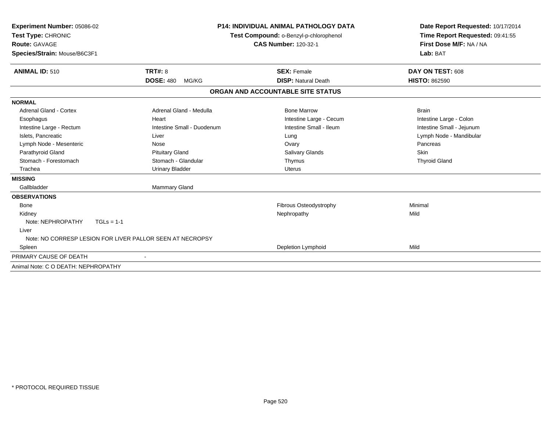| Experiment Number: 05086-02<br>Test Type: CHRONIC<br><b>Route: GAVAGE</b><br>Species/Strain: Mouse/B6C3F1 |                                                           | <b>P14: INDIVIDUAL ANIMAL PATHOLOGY DATA</b><br>Test Compound: o-Benzyl-p-chlorophenol<br><b>CAS Number: 120-32-1</b> | Date Report Requested: 10/17/2014<br>Time Report Requested: 09:41:55<br>First Dose M/F: NA / NA<br>Lab: BAT |  |
|-----------------------------------------------------------------------------------------------------------|-----------------------------------------------------------|-----------------------------------------------------------------------------------------------------------------------|-------------------------------------------------------------------------------------------------------------|--|
| <b>ANIMAL ID: 510</b>                                                                                     | <b>TRT#: 8</b>                                            | <b>SEX: Female</b>                                                                                                    | DAY ON TEST: 608                                                                                            |  |
|                                                                                                           | <b>DOSE: 480</b><br>MG/KG                                 | <b>DISP: Natural Death</b>                                                                                            | <b>HISTO: 862590</b>                                                                                        |  |
|                                                                                                           |                                                           | ORGAN AND ACCOUNTABLE SITE STATUS                                                                                     |                                                                                                             |  |
| <b>NORMAL</b>                                                                                             |                                                           |                                                                                                                       |                                                                                                             |  |
| Adrenal Gland - Cortex                                                                                    | Adrenal Gland - Medulla                                   | <b>Bone Marrow</b>                                                                                                    | <b>Brain</b>                                                                                                |  |
| Esophagus                                                                                                 | Heart                                                     | Intestine Large - Cecum                                                                                               | Intestine Large - Colon                                                                                     |  |
| Intestine Large - Rectum                                                                                  | Intestine Small - Duodenum                                | Intestine Small - Ileum                                                                                               | Intestine Small - Jejunum                                                                                   |  |
| Islets, Pancreatic                                                                                        | Liver                                                     | Lung                                                                                                                  | Lymph Node - Mandibular                                                                                     |  |
| Lymph Node - Mesenteric                                                                                   | Nose                                                      | Ovary                                                                                                                 | Pancreas                                                                                                    |  |
| Parathyroid Gland                                                                                         | <b>Pituitary Gland</b>                                    | <b>Salivary Glands</b>                                                                                                | Skin                                                                                                        |  |
| Stomach - Forestomach                                                                                     | Stomach - Glandular                                       | Thymus                                                                                                                | <b>Thyroid Gland</b>                                                                                        |  |
| Trachea                                                                                                   | <b>Urinary Bladder</b>                                    | <b>Uterus</b>                                                                                                         |                                                                                                             |  |
| <b>MISSING</b>                                                                                            |                                                           |                                                                                                                       |                                                                                                             |  |
| Gallbladder                                                                                               | <b>Mammary Gland</b>                                      |                                                                                                                       |                                                                                                             |  |
| <b>OBSERVATIONS</b>                                                                                       |                                                           |                                                                                                                       |                                                                                                             |  |
| <b>Bone</b>                                                                                               |                                                           | Fibrous Osteodystrophy                                                                                                | Minimal                                                                                                     |  |
| Kidney                                                                                                    |                                                           | Nephropathy                                                                                                           | Mild                                                                                                        |  |
| Note: NEPHROPATHY<br>$TGLs = 1-1$                                                                         |                                                           |                                                                                                                       |                                                                                                             |  |
| Liver                                                                                                     |                                                           |                                                                                                                       |                                                                                                             |  |
|                                                                                                           | Note: NO CORRESP LESION FOR LIVER PALLOR SEEN AT NECROPSY |                                                                                                                       |                                                                                                             |  |
| Spleen                                                                                                    |                                                           | Depletion Lymphoid                                                                                                    | Mild                                                                                                        |  |
| PRIMARY CAUSE OF DEATH                                                                                    |                                                           |                                                                                                                       |                                                                                                             |  |
| Animal Note: C O DEATH: NEPHROPATHY                                                                       |                                                           |                                                                                                                       |                                                                                                             |  |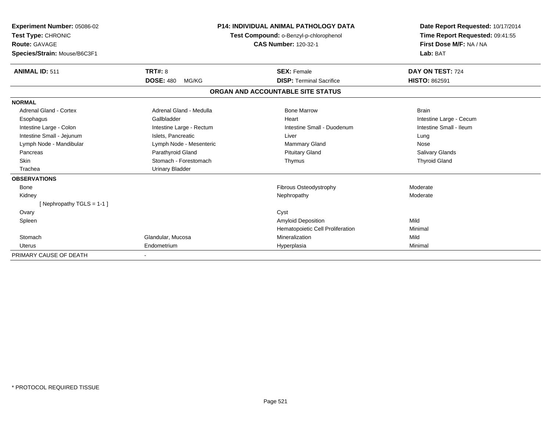| Experiment Number: 05086-02<br>Test Type: CHRONIC<br>Route: GAVAGE<br>Species/Strain: Mouse/B6C3F1 |                           | <b>P14: INDIVIDUAL ANIMAL PATHOLOGY DATA</b><br>Test Compound: o-Benzyl-p-chlorophenol<br><b>CAS Number: 120-32-1</b> | Date Report Requested: 10/17/2014<br>Time Report Requested: 09:41:55<br>First Dose M/F: NA / NA<br>Lab: BAT |
|----------------------------------------------------------------------------------------------------|---------------------------|-----------------------------------------------------------------------------------------------------------------------|-------------------------------------------------------------------------------------------------------------|
| <b>ANIMAL ID: 511</b>                                                                              | TRT#: 8                   | <b>SEX: Female</b>                                                                                                    | DAY ON TEST: 724                                                                                            |
|                                                                                                    | <b>DOSE: 480</b><br>MG/KG | <b>DISP:</b> Terminal Sacrifice                                                                                       | <b>HISTO: 862591</b>                                                                                        |
|                                                                                                    |                           | ORGAN AND ACCOUNTABLE SITE STATUS                                                                                     |                                                                                                             |
| <b>NORMAL</b>                                                                                      |                           |                                                                                                                       |                                                                                                             |
| Adrenal Gland - Cortex                                                                             | Adrenal Gland - Medulla   | <b>Bone Marrow</b>                                                                                                    | <b>Brain</b>                                                                                                |
| Esophagus                                                                                          | Gallbladder               | Heart                                                                                                                 | Intestine Large - Cecum                                                                                     |
| Intestine Large - Colon                                                                            | Intestine Large - Rectum  | Intestine Small - Duodenum                                                                                            | Intestine Small - Ileum                                                                                     |
| Intestine Small - Jejunum                                                                          | Islets, Pancreatic        | Liver                                                                                                                 | Lung                                                                                                        |
| Lymph Node - Mandibular                                                                            | Lymph Node - Mesenteric   | Mammary Gland                                                                                                         | Nose                                                                                                        |
| Pancreas                                                                                           | Parathyroid Gland         | <b>Pituitary Gland</b>                                                                                                | Salivary Glands                                                                                             |
| <b>Skin</b>                                                                                        | Stomach - Forestomach     | Thymus                                                                                                                | <b>Thyroid Gland</b>                                                                                        |
| Trachea                                                                                            | <b>Urinary Bladder</b>    |                                                                                                                       |                                                                                                             |
| <b>OBSERVATIONS</b>                                                                                |                           |                                                                                                                       |                                                                                                             |
| Bone                                                                                               |                           | Fibrous Osteodystrophy                                                                                                | Moderate                                                                                                    |
| Kidney                                                                                             |                           | Nephropathy                                                                                                           | Moderate                                                                                                    |
| [Nephropathy TGLS = $1-1$ ]                                                                        |                           |                                                                                                                       |                                                                                                             |
| Ovary                                                                                              |                           | Cyst                                                                                                                  |                                                                                                             |
| Spleen                                                                                             |                           | <b>Amyloid Deposition</b>                                                                                             | Mild                                                                                                        |
|                                                                                                    |                           | Hematopoietic Cell Proliferation                                                                                      | Minimal                                                                                                     |
| Stomach                                                                                            | Glandular, Mucosa         | Mineralization                                                                                                        | Mild                                                                                                        |
| <b>Uterus</b>                                                                                      | Endometrium               | Hyperplasia                                                                                                           | Minimal                                                                                                     |
| PRIMARY CAUSE OF DEATH                                                                             |                           |                                                                                                                       |                                                                                                             |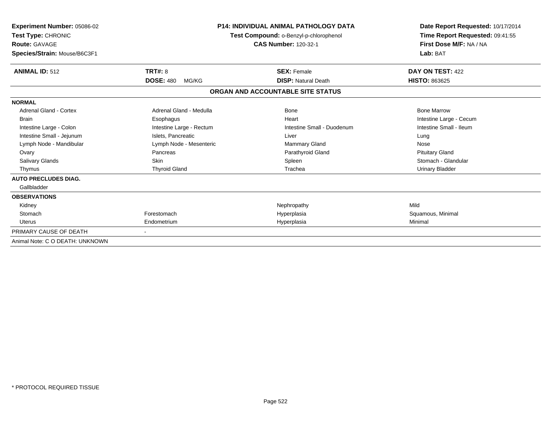| Experiment Number: 05086-02<br>Test Type: CHRONIC<br><b>Route: GAVAGE</b><br>Species/Strain: Mouse/B6C3F1 | <b>P14: INDIVIDUAL ANIMAL PATHOLOGY DATA</b><br>Test Compound: o-Benzyl-p-chlorophenol<br><b>CAS Number: 120-32-1</b> |                                   | Date Report Requested: 10/17/2014<br>Time Report Requested: 09:41:55<br>First Dose M/F: NA / NA<br>Lab: BAT |  |
|-----------------------------------------------------------------------------------------------------------|-----------------------------------------------------------------------------------------------------------------------|-----------------------------------|-------------------------------------------------------------------------------------------------------------|--|
| <b>ANIMAL ID: 512</b>                                                                                     | TRT#: 8                                                                                                               | <b>SEX: Female</b>                | DAY ON TEST: 422                                                                                            |  |
|                                                                                                           | <b>DOSE: 480</b><br>MG/KG                                                                                             | <b>DISP: Natural Death</b>        | <b>HISTO: 863625</b>                                                                                        |  |
|                                                                                                           |                                                                                                                       | ORGAN AND ACCOUNTABLE SITE STATUS |                                                                                                             |  |
| <b>NORMAL</b>                                                                                             |                                                                                                                       |                                   |                                                                                                             |  |
| <b>Adrenal Gland - Cortex</b>                                                                             | Adrenal Gland - Medulla                                                                                               | <b>Bone</b>                       | <b>Bone Marrow</b>                                                                                          |  |
| <b>Brain</b>                                                                                              | Esophagus                                                                                                             | Heart                             | Intestine Large - Cecum                                                                                     |  |
| Intestine Large - Colon                                                                                   | Intestine Large - Rectum                                                                                              | Intestine Small - Duodenum        | Intestine Small - Ileum                                                                                     |  |
| Intestine Small - Jejunum                                                                                 | Islets, Pancreatic                                                                                                    | Liver                             | Lung                                                                                                        |  |
| Lymph Node - Mandibular                                                                                   | Lymph Node - Mesenteric                                                                                               | Mammary Gland                     | Nose                                                                                                        |  |
| Ovary                                                                                                     | Pancreas                                                                                                              | Parathyroid Gland                 | <b>Pituitary Gland</b>                                                                                      |  |
| <b>Salivary Glands</b>                                                                                    | <b>Skin</b>                                                                                                           | Spleen                            | Stomach - Glandular                                                                                         |  |
| Thymus                                                                                                    | <b>Thyroid Gland</b>                                                                                                  | Trachea                           | <b>Urinary Bladder</b>                                                                                      |  |
| <b>AUTO PRECLUDES DIAG.</b>                                                                               |                                                                                                                       |                                   |                                                                                                             |  |
| Gallbladder                                                                                               |                                                                                                                       |                                   |                                                                                                             |  |
| <b>OBSERVATIONS</b>                                                                                       |                                                                                                                       |                                   |                                                                                                             |  |
| Kidney                                                                                                    |                                                                                                                       | Nephropathy                       | Mild                                                                                                        |  |
| Stomach                                                                                                   | Forestomach                                                                                                           | Hyperplasia                       | Squamous, Minimal                                                                                           |  |
| Uterus                                                                                                    | Endometrium                                                                                                           | Hyperplasia                       | Minimal                                                                                                     |  |
| PRIMARY CAUSE OF DEATH                                                                                    |                                                                                                                       |                                   |                                                                                                             |  |
| Animal Note: C O DEATH: UNKNOWN                                                                           |                                                                                                                       |                                   |                                                                                                             |  |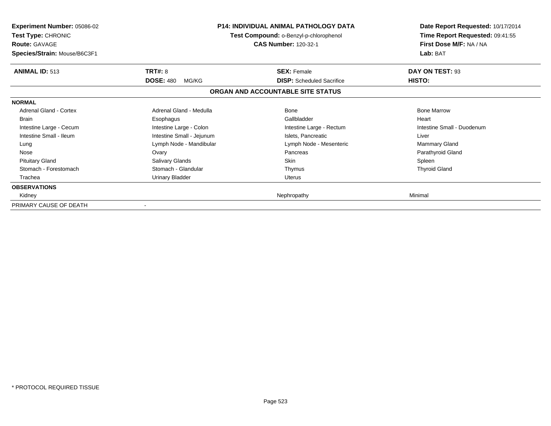| <b>Experiment Number: 05086-02</b><br>Test Type: CHRONIC<br><b>Route: GAVAGE</b><br>Species/Strain: Mouse/B6C3F1 |                           | <b>P14: INDIVIDUAL ANIMAL PATHOLOGY DATA</b><br>Test Compound: o-Benzyl-p-chlorophenol<br><b>CAS Number: 120-32-1</b> | Date Report Requested: 10/17/2014<br>Time Report Requested: 09:41:55<br>First Dose M/F: NA / NA<br>Lab: BAT |
|------------------------------------------------------------------------------------------------------------------|---------------------------|-----------------------------------------------------------------------------------------------------------------------|-------------------------------------------------------------------------------------------------------------|
| <b>ANIMAL ID: 513</b>                                                                                            | <b>TRT#: 8</b>            | <b>SEX: Female</b>                                                                                                    | DAY ON TEST: 93                                                                                             |
|                                                                                                                  | <b>DOSE: 480</b><br>MG/KG | <b>DISP:</b> Scheduled Sacrifice                                                                                      | HISTO:                                                                                                      |
|                                                                                                                  |                           | ORGAN AND ACCOUNTABLE SITE STATUS                                                                                     |                                                                                                             |
| <b>NORMAL</b>                                                                                                    |                           |                                                                                                                       |                                                                                                             |
| Adrenal Gland - Cortex                                                                                           | Adrenal Gland - Medulla   | Bone                                                                                                                  | <b>Bone Marrow</b>                                                                                          |
| <b>Brain</b>                                                                                                     | Esophagus                 | Gallbladder                                                                                                           | Heart                                                                                                       |
| Intestine Large - Cecum                                                                                          | Intestine Large - Colon   | Intestine Large - Rectum                                                                                              | Intestine Small - Duodenum                                                                                  |
| Intestine Small - Ileum                                                                                          | Intestine Small - Jejunum | Islets, Pancreatic                                                                                                    | Liver                                                                                                       |
| Lung                                                                                                             | Lymph Node - Mandibular   | Lymph Node - Mesenteric                                                                                               | <b>Mammary Gland</b>                                                                                        |
| Nose                                                                                                             | Ovary                     | Pancreas                                                                                                              | Parathyroid Gland                                                                                           |
| <b>Pituitary Gland</b>                                                                                           | Salivary Glands           | <b>Skin</b>                                                                                                           | Spleen                                                                                                      |
| Stomach - Forestomach                                                                                            | Stomach - Glandular       | Thymus                                                                                                                | <b>Thyroid Gland</b>                                                                                        |
| Trachea                                                                                                          | Urinary Bladder           | <b>Uterus</b>                                                                                                         |                                                                                                             |
| <b>OBSERVATIONS</b>                                                                                              |                           |                                                                                                                       |                                                                                                             |
| Kidney                                                                                                           |                           | Nephropathy                                                                                                           | Minimal                                                                                                     |
| PRIMARY CAUSE OF DEATH                                                                                           |                           |                                                                                                                       |                                                                                                             |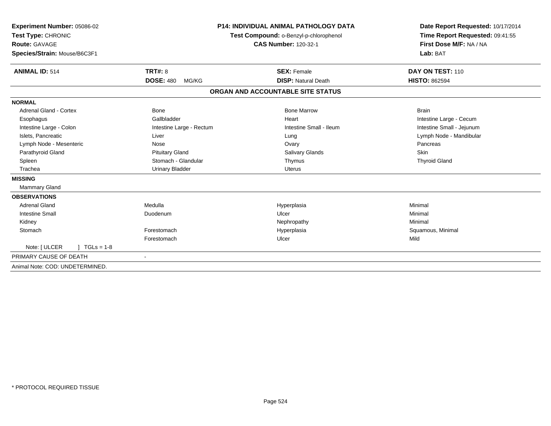| Experiment Number: 05086-02<br>Test Type: CHRONIC<br><b>Route: GAVAGE</b><br>Species/Strain: Mouse/B6C3F1 |                           | <b>P14: INDIVIDUAL ANIMAL PATHOLOGY DATA</b><br>Test Compound: o-Benzyl-p-chlorophenol<br><b>CAS Number: 120-32-1</b> | Date Report Requested: 10/17/2014<br>Time Report Requested: 09:41:55<br>First Dose M/F: NA / NA<br>Lab: BAT |  |
|-----------------------------------------------------------------------------------------------------------|---------------------------|-----------------------------------------------------------------------------------------------------------------------|-------------------------------------------------------------------------------------------------------------|--|
| <b>ANIMAL ID: 514</b>                                                                                     | <b>TRT#: 8</b>            | <b>SEX: Female</b>                                                                                                    | DAY ON TEST: 110                                                                                            |  |
|                                                                                                           | <b>DOSE: 480</b><br>MG/KG | <b>DISP: Natural Death</b>                                                                                            | <b>HISTO: 862594</b>                                                                                        |  |
|                                                                                                           |                           | ORGAN AND ACCOUNTABLE SITE STATUS                                                                                     |                                                                                                             |  |
| <b>NORMAL</b>                                                                                             |                           |                                                                                                                       |                                                                                                             |  |
| <b>Adrenal Gland - Cortex</b>                                                                             | Bone                      | <b>Bone Marrow</b>                                                                                                    | <b>Brain</b>                                                                                                |  |
| Esophagus                                                                                                 | Gallbladder               | Heart                                                                                                                 | Intestine Large - Cecum                                                                                     |  |
| Intestine Large - Colon                                                                                   | Intestine Large - Rectum  | Intestine Small - Ileum                                                                                               | Intestine Small - Jejunum                                                                                   |  |
| Islets, Pancreatic                                                                                        | Liver                     | Lung                                                                                                                  | Lymph Node - Mandibular                                                                                     |  |
| Lymph Node - Mesenteric                                                                                   | Nose                      | Ovary                                                                                                                 | Pancreas                                                                                                    |  |
| Parathyroid Gland                                                                                         | <b>Pituitary Gland</b>    | <b>Salivary Glands</b>                                                                                                | Skin                                                                                                        |  |
| Spleen                                                                                                    | Stomach - Glandular       | Thymus                                                                                                                | <b>Thyroid Gland</b>                                                                                        |  |
| Trachea                                                                                                   | <b>Urinary Bladder</b>    | <b>Uterus</b>                                                                                                         |                                                                                                             |  |
| <b>MISSING</b>                                                                                            |                           |                                                                                                                       |                                                                                                             |  |
| Mammary Gland                                                                                             |                           |                                                                                                                       |                                                                                                             |  |
| <b>OBSERVATIONS</b>                                                                                       |                           |                                                                                                                       |                                                                                                             |  |
| <b>Adrenal Gland</b>                                                                                      | Medulla                   | Hyperplasia                                                                                                           | Minimal                                                                                                     |  |
| <b>Intestine Small</b>                                                                                    | Duodenum                  | Ulcer                                                                                                                 | Minimal                                                                                                     |  |
| Kidney                                                                                                    |                           | Nephropathy                                                                                                           | Minimal                                                                                                     |  |
| Stomach                                                                                                   | Forestomach               | Hyperplasia                                                                                                           | Squamous, Minimal                                                                                           |  |
|                                                                                                           | Forestomach               | Ulcer                                                                                                                 | Mild                                                                                                        |  |
| Note: [ ULCER<br>$TGLs = 1-8$                                                                             |                           |                                                                                                                       |                                                                                                             |  |
| PRIMARY CAUSE OF DEATH                                                                                    | $\overline{\phantom{a}}$  |                                                                                                                       |                                                                                                             |  |
| Animal Note: COD: UNDETERMINED.                                                                           |                           |                                                                                                                       |                                                                                                             |  |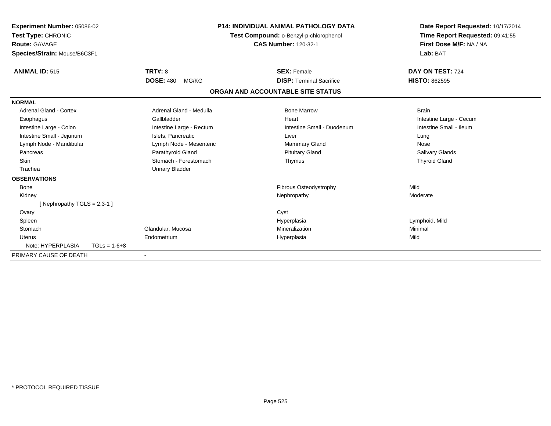| Experiment Number: 05086-02<br>Test Type: CHRONIC<br><b>Route: GAVAGE</b><br>Species/Strain: Mouse/B6C3F1 |                | <b>P14: INDIVIDUAL ANIMAL PATHOLOGY DATA</b><br>Test Compound: o-Benzyl-p-chlorophenol<br><b>CAS Number: 120-32-1</b> |  | Date Report Requested: 10/17/2014<br>Time Report Requested: 09:41:55<br>First Dose M/F: NA / NA<br>Lab: BAT |                         |  |
|-----------------------------------------------------------------------------------------------------------|----------------|-----------------------------------------------------------------------------------------------------------------------|--|-------------------------------------------------------------------------------------------------------------|-------------------------|--|
| <b>ANIMAL ID: 515</b>                                                                                     |                | <b>TRT#: 8</b>                                                                                                        |  | <b>SEX: Female</b>                                                                                          | DAY ON TEST: 724        |  |
|                                                                                                           |                | <b>DOSE: 480</b><br>MG/KG                                                                                             |  | <b>DISP: Terminal Sacrifice</b>                                                                             | <b>HISTO: 862595</b>    |  |
|                                                                                                           |                |                                                                                                                       |  | ORGAN AND ACCOUNTABLE SITE STATUS                                                                           |                         |  |
| <b>NORMAL</b>                                                                                             |                |                                                                                                                       |  |                                                                                                             |                         |  |
| Adrenal Gland - Cortex                                                                                    |                | Adrenal Gland - Medulla                                                                                               |  | <b>Bone Marrow</b>                                                                                          | <b>Brain</b>            |  |
| Esophagus                                                                                                 |                | Gallbladder                                                                                                           |  | Heart                                                                                                       | Intestine Large - Cecum |  |
| Intestine Large - Colon                                                                                   |                | Intestine Large - Rectum                                                                                              |  | Intestine Small - Duodenum                                                                                  | Intestine Small - Ileum |  |
| Intestine Small - Jejunum                                                                                 |                | Islets, Pancreatic                                                                                                    |  | Liver                                                                                                       | Lung                    |  |
| Lymph Node - Mandibular                                                                                   |                | Lymph Node - Mesenteric                                                                                               |  | <b>Mammary Gland</b>                                                                                        | Nose                    |  |
| Pancreas                                                                                                  |                | Parathyroid Gland                                                                                                     |  | <b>Pituitary Gland</b>                                                                                      | <b>Salivary Glands</b>  |  |
| <b>Skin</b>                                                                                               |                | Stomach - Forestomach                                                                                                 |  | Thymus                                                                                                      | <b>Thyroid Gland</b>    |  |
| Trachea                                                                                                   |                | <b>Urinary Bladder</b>                                                                                                |  |                                                                                                             |                         |  |
| <b>OBSERVATIONS</b>                                                                                       |                |                                                                                                                       |  |                                                                                                             |                         |  |
| <b>Bone</b>                                                                                               |                |                                                                                                                       |  | Fibrous Osteodystrophy                                                                                      | Mild                    |  |
| Kidney                                                                                                    |                |                                                                                                                       |  | Nephropathy                                                                                                 | Moderate                |  |
| [Nephropathy TGLS = $2,3-1$ ]                                                                             |                |                                                                                                                       |  |                                                                                                             |                         |  |
| Ovary                                                                                                     |                |                                                                                                                       |  | Cyst                                                                                                        |                         |  |
| Spleen                                                                                                    |                |                                                                                                                       |  | Hyperplasia                                                                                                 | Lymphoid, Mild          |  |
| Stomach                                                                                                   |                | Glandular, Mucosa                                                                                                     |  | Mineralization                                                                                              | Minimal                 |  |
| Uterus                                                                                                    |                | Endometrium                                                                                                           |  | Hyperplasia                                                                                                 | Mild                    |  |
| Note: HYPERPLASIA                                                                                         | $TGLs = 1-6+8$ |                                                                                                                       |  |                                                                                                             |                         |  |
| PRIMARY CAUSE OF DEATH                                                                                    |                | $\blacksquare$                                                                                                        |  |                                                                                                             |                         |  |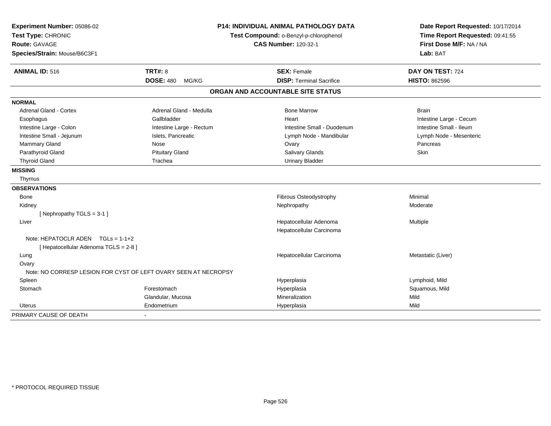| Experiment Number: 05086-02<br>Test Type: CHRONIC<br>Route: GAVAGE<br>Species/Strain: Mouse/B6C3F1 |                                                                 | <b>P14: INDIVIDUAL ANIMAL PATHOLOGY DATA</b><br>Test Compound: o-Benzyl-p-chlorophenol<br><b>CAS Number: 120-32-1</b> |                                          |  |
|----------------------------------------------------------------------------------------------------|-----------------------------------------------------------------|-----------------------------------------------------------------------------------------------------------------------|------------------------------------------|--|
|                                                                                                    |                                                                 |                                                                                                                       | Lab: BAT                                 |  |
| <b>ANIMAL ID: 516</b>                                                                              | <b>TRT#: 8</b><br><b>DOSE: 480</b><br>MG/KG                     | <b>SEX: Female</b><br><b>DISP: Terminal Sacrifice</b>                                                                 | DAY ON TEST: 724<br><b>HISTO: 862596</b> |  |
|                                                                                                    |                                                                 | ORGAN AND ACCOUNTABLE SITE STATUS                                                                                     |                                          |  |
|                                                                                                    |                                                                 |                                                                                                                       |                                          |  |
| <b>NORMAL</b>                                                                                      |                                                                 |                                                                                                                       |                                          |  |
| <b>Adrenal Gland - Cortex</b>                                                                      | Adrenal Gland - Medulla                                         | <b>Bone Marrow</b>                                                                                                    | <b>Brain</b>                             |  |
| Esophagus                                                                                          | Gallbladder                                                     | Heart                                                                                                                 | Intestine Large - Cecum                  |  |
| Intestine Large - Colon                                                                            | Intestine Large - Rectum                                        | Intestine Small - Duodenum                                                                                            | Intestine Small - Ileum                  |  |
| Intestine Small - Jejunum                                                                          | Islets, Pancreatic                                              | Lymph Node - Mandibular                                                                                               | Lymph Node - Mesenteric                  |  |
| Mammary Gland                                                                                      | Nose                                                            | Ovary                                                                                                                 | Pancreas                                 |  |
| Parathyroid Gland                                                                                  | <b>Pituitary Gland</b>                                          | Salivary Glands                                                                                                       | Skin                                     |  |
| <b>Thyroid Gland</b>                                                                               | Trachea                                                         | <b>Urinary Bladder</b>                                                                                                |                                          |  |
| <b>MISSING</b>                                                                                     |                                                                 |                                                                                                                       |                                          |  |
| Thymus                                                                                             |                                                                 |                                                                                                                       |                                          |  |
| <b>OBSERVATIONS</b>                                                                                |                                                                 |                                                                                                                       |                                          |  |
| Bone                                                                                               |                                                                 | Fibrous Osteodystrophy                                                                                                | Minimal                                  |  |
| Kidney                                                                                             |                                                                 | Nephropathy                                                                                                           | Moderate                                 |  |
| [Nephropathy TGLS = 3-1]                                                                           |                                                                 |                                                                                                                       |                                          |  |
| Liver                                                                                              |                                                                 | Hepatocellular Adenoma                                                                                                | Multiple                                 |  |
|                                                                                                    |                                                                 | Hepatocellular Carcinoma                                                                                              |                                          |  |
| Note: HEPATOCLR ADEN $TGLs = 1-1+2$                                                                |                                                                 |                                                                                                                       |                                          |  |
| [ Hepatocellular Adenoma TGLS = 2-8 ]                                                              |                                                                 |                                                                                                                       |                                          |  |
| Lung                                                                                               |                                                                 | Hepatocellular Carcinoma                                                                                              | Metastatic (Liver)                       |  |
| Ovary                                                                                              |                                                                 |                                                                                                                       |                                          |  |
|                                                                                                    | Note: NO CORRESP LESION FOR CYST OF LEFT OVARY SEEN AT NECROPSY |                                                                                                                       |                                          |  |
| Spleen                                                                                             |                                                                 | Hyperplasia                                                                                                           | Lymphoid, Mild                           |  |
| Stomach                                                                                            | Forestomach                                                     | Hyperplasia                                                                                                           | Squamous, Mild                           |  |
|                                                                                                    | Glandular, Mucosa                                               | Mineralization                                                                                                        | Mild                                     |  |
| <b>Uterus</b>                                                                                      | Endometrium                                                     | Hyperplasia                                                                                                           | Mild                                     |  |
| PRIMARY CAUSE OF DEATH                                                                             |                                                                 |                                                                                                                       |                                          |  |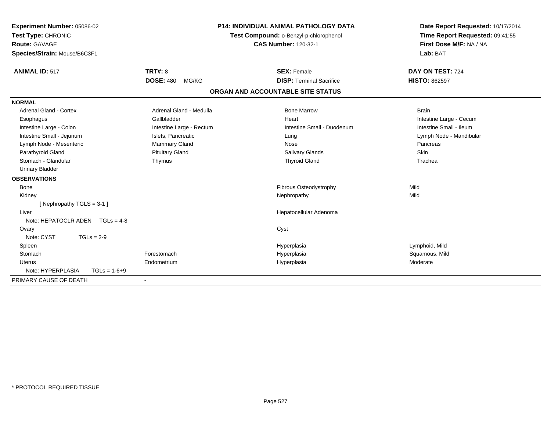| Experiment Number: 05086-02<br>Test Type: CHRONIC<br>Route: GAVAGE | <b>P14: INDIVIDUAL ANIMAL PATHOLOGY DATA</b><br>Test Compound: o-Benzyl-p-chlorophenol<br><b>CAS Number: 120-32-1</b> |                                   | Date Report Requested: 10/17/2014<br>Time Report Requested: 09:41:55<br>First Dose M/F: NA / NA |
|--------------------------------------------------------------------|-----------------------------------------------------------------------------------------------------------------------|-----------------------------------|-------------------------------------------------------------------------------------------------|
| Species/Strain: Mouse/B6C3F1                                       |                                                                                                                       |                                   | Lab: BAT                                                                                        |
| <b>ANIMAL ID: 517</b>                                              | <b>TRT#: 8</b>                                                                                                        | <b>SEX: Female</b>                | DAY ON TEST: 724                                                                                |
|                                                                    | <b>DOSE: 480</b><br>MG/KG                                                                                             | <b>DISP: Terminal Sacrifice</b>   | <b>HISTO: 862597</b>                                                                            |
|                                                                    |                                                                                                                       | ORGAN AND ACCOUNTABLE SITE STATUS |                                                                                                 |
| <b>NORMAL</b>                                                      |                                                                                                                       |                                   |                                                                                                 |
| Adrenal Gland - Cortex                                             | Adrenal Gland - Medulla                                                                                               | <b>Bone Marrow</b>                | <b>Brain</b>                                                                                    |
| Esophagus                                                          | Gallbladder                                                                                                           | Heart                             | Intestine Large - Cecum                                                                         |
| Intestine Large - Colon                                            | Intestine Large - Rectum                                                                                              | Intestine Small - Duodenum        | Intestine Small - Ileum                                                                         |
| Intestine Small - Jejunum                                          | Islets, Pancreatic                                                                                                    | Lung                              | Lymph Node - Mandibular                                                                         |
| Lymph Node - Mesenteric                                            | <b>Mammary Gland</b>                                                                                                  | Nose                              | Pancreas                                                                                        |
| Parathyroid Gland                                                  | <b>Pituitary Gland</b>                                                                                                | <b>Salivary Glands</b>            | Skin                                                                                            |
| Stomach - Glandular                                                | Thymus                                                                                                                | <b>Thyroid Gland</b>              | Trachea                                                                                         |
| <b>Urinary Bladder</b>                                             |                                                                                                                       |                                   |                                                                                                 |
| <b>OBSERVATIONS</b>                                                |                                                                                                                       |                                   |                                                                                                 |
| <b>Bone</b>                                                        |                                                                                                                       | Fibrous Osteodystrophy            | Mild                                                                                            |
| Kidney                                                             |                                                                                                                       | Nephropathy                       | Mild                                                                                            |
| [Nephropathy TGLS = 3-1]                                           |                                                                                                                       |                                   |                                                                                                 |
| Liver                                                              |                                                                                                                       | Hepatocellular Adenoma            |                                                                                                 |
| Note: HEPATOCLR ADEN $TGLs = 4-8$                                  |                                                                                                                       |                                   |                                                                                                 |
| Ovary                                                              |                                                                                                                       | Cyst                              |                                                                                                 |
| Note: CYST<br>$TGLs = 2-9$                                         |                                                                                                                       |                                   |                                                                                                 |
| Spleen                                                             |                                                                                                                       | Hyperplasia                       | Lymphoid, Mild                                                                                  |
| Stomach                                                            | Forestomach                                                                                                           | Hyperplasia                       | Squamous, Mild                                                                                  |
| <b>Uterus</b>                                                      | Endometrium                                                                                                           | Hyperplasia                       | Moderate                                                                                        |
| Note: HYPERPLASIA<br>$TGLs = 1-6+9$                                |                                                                                                                       |                                   |                                                                                                 |
| PRIMARY CAUSE OF DEATH                                             |                                                                                                                       |                                   |                                                                                                 |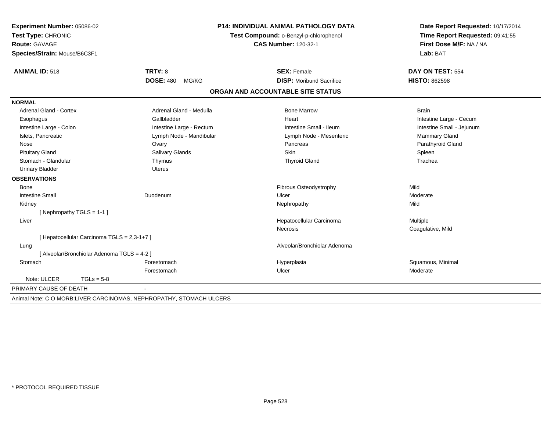| Experiment Number: 05086-02<br>Test Type: CHRONIC<br>Route: GAVAGE  |                           | <b>P14: INDIVIDUAL ANIMAL PATHOLOGY DATA</b><br>Test Compound: o-Benzyl-p-chlorophenol<br><b>CAS Number: 120-32-1</b> | Date Report Requested: 10/17/2014<br>Time Report Requested: 09:41:55<br>First Dose M/F: NA / NA<br>Lab: BAT<br>DAY ON TEST: 554 |  |
|---------------------------------------------------------------------|---------------------------|-----------------------------------------------------------------------------------------------------------------------|---------------------------------------------------------------------------------------------------------------------------------|--|
| Species/Strain: Mouse/B6C3F1                                        |                           |                                                                                                                       |                                                                                                                                 |  |
| <b>ANIMAL ID: 518</b>                                               | <b>TRT#: 8</b>            | <b>SEX: Female</b>                                                                                                    |                                                                                                                                 |  |
|                                                                     | <b>DOSE: 480</b><br>MG/KG | <b>DISP:</b> Moribund Sacrifice                                                                                       | <b>HISTO: 862598</b>                                                                                                            |  |
|                                                                     |                           | ORGAN AND ACCOUNTABLE SITE STATUS                                                                                     |                                                                                                                                 |  |
| <b>NORMAL</b>                                                       |                           |                                                                                                                       |                                                                                                                                 |  |
| Adrenal Gland - Cortex                                              | Adrenal Gland - Medulla   | <b>Bone Marrow</b>                                                                                                    | <b>Brain</b>                                                                                                                    |  |
| Esophagus                                                           | Gallbladder               | Heart                                                                                                                 | Intestine Large - Cecum                                                                                                         |  |
| Intestine Large - Colon                                             | Intestine Large - Rectum  | Intestine Small - Ileum                                                                                               | Intestine Small - Jejunum                                                                                                       |  |
| Islets, Pancreatic                                                  | Lymph Node - Mandibular   | Lymph Node - Mesenteric                                                                                               | Mammary Gland                                                                                                                   |  |
| Nose                                                                | Ovary                     | Pancreas                                                                                                              | Parathyroid Gland                                                                                                               |  |
| <b>Pituitary Gland</b>                                              | Salivary Glands           | <b>Skin</b>                                                                                                           | Spleen                                                                                                                          |  |
| Stomach - Glandular                                                 | Thymus                    | <b>Thyroid Gland</b>                                                                                                  | Trachea                                                                                                                         |  |
| <b>Urinary Bladder</b>                                              | <b>Uterus</b>             |                                                                                                                       |                                                                                                                                 |  |
| <b>OBSERVATIONS</b>                                                 |                           |                                                                                                                       |                                                                                                                                 |  |
| Bone                                                                |                           | Fibrous Osteodystrophy                                                                                                | Mild                                                                                                                            |  |
| <b>Intestine Small</b>                                              | Duodenum                  | Ulcer                                                                                                                 | Moderate                                                                                                                        |  |
| Kidney                                                              |                           | Nephropathy                                                                                                           | Mild                                                                                                                            |  |
| [Nephropathy TGLS = 1-1]                                            |                           |                                                                                                                       |                                                                                                                                 |  |
| Liver                                                               |                           | Hepatocellular Carcinoma                                                                                              | Multiple                                                                                                                        |  |
|                                                                     |                           | Necrosis                                                                                                              | Coagulative, Mild                                                                                                               |  |
| [ Hepatocellular Carcinoma TGLS = 2,3-1+7 ]                         |                           |                                                                                                                       |                                                                                                                                 |  |
| Lung                                                                |                           | Alveolar/Bronchiolar Adenoma                                                                                          |                                                                                                                                 |  |
| [ Alveolar/Bronchiolar Adenoma TGLS = 4-2 ]                         |                           |                                                                                                                       |                                                                                                                                 |  |
| Stomach                                                             | Forestomach               | Hyperplasia                                                                                                           | Squamous, Minimal                                                                                                               |  |
|                                                                     | Forestomach               | Ulcer                                                                                                                 | Moderate                                                                                                                        |  |
| Note: ULCER<br>$TGLs = 5-8$                                         |                           |                                                                                                                       |                                                                                                                                 |  |
| PRIMARY CAUSE OF DEATH                                              |                           |                                                                                                                       |                                                                                                                                 |  |
| Animal Note: C O MORB:LIVER CARCINOMAS, NEPHROPATHY, STOMACH ULCERS |                           |                                                                                                                       |                                                                                                                                 |  |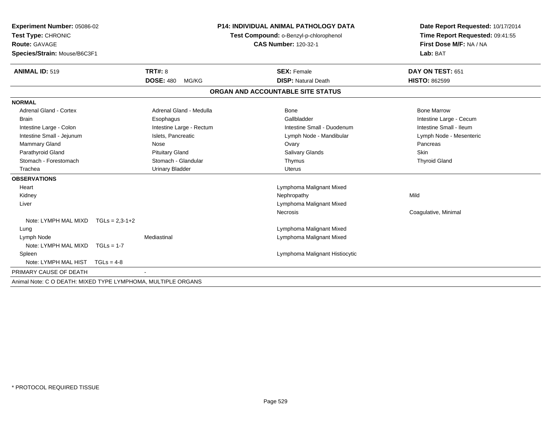| Experiment Number: 05086-02                                  |                  |                           | <b>P14: INDIVIDUAL ANIMAL PATHOLOGY DATA</b> | Date Report Requested: 10/17/2014 |                                 |
|--------------------------------------------------------------|------------------|---------------------------|----------------------------------------------|-----------------------------------|---------------------------------|
| Test Type: CHRONIC                                           |                  |                           | Test Compound: o-Benzyl-p-chlorophenol       |                                   | Time Report Requested: 09:41:55 |
| <b>Route: GAVAGE</b>                                         |                  |                           |                                              | <b>CAS Number: 120-32-1</b>       | First Dose M/F: NA / NA         |
| Species/Strain: Mouse/B6C3F1                                 |                  |                           |                                              |                                   | Lab: BAT                        |
| <b>ANIMAL ID: 519</b>                                        |                  | <b>TRT#: 8</b>            |                                              | <b>SEX: Female</b>                | DAY ON TEST: 651                |
|                                                              |                  | <b>DOSE: 480</b><br>MG/KG |                                              | <b>DISP: Natural Death</b>        | <b>HISTO: 862599</b>            |
|                                                              |                  |                           |                                              | ORGAN AND ACCOUNTABLE SITE STATUS |                                 |
| <b>NORMAL</b>                                                |                  |                           |                                              |                                   |                                 |
| <b>Adrenal Gland - Cortex</b>                                |                  | Adrenal Gland - Medulla   |                                              | Bone                              | <b>Bone Marrow</b>              |
| <b>Brain</b>                                                 |                  | Esophagus                 |                                              | Gallbladder                       | Intestine Large - Cecum         |
| Intestine Large - Colon                                      |                  | Intestine Large - Rectum  |                                              | Intestine Small - Duodenum        | Intestine Small - Ileum         |
| Intestine Small - Jejunum                                    |                  | Islets, Pancreatic        |                                              | Lymph Node - Mandibular           | Lymph Node - Mesenteric         |
| Mammary Gland                                                |                  | Nose                      |                                              | Ovary                             | Pancreas                        |
| Parathyroid Gland                                            |                  | <b>Pituitary Gland</b>    |                                              | <b>Salivary Glands</b>            | <b>Skin</b>                     |
| Stomach - Forestomach                                        |                  | Stomach - Glandular       |                                              | Thymus                            | <b>Thyroid Gland</b>            |
| Trachea                                                      |                  | <b>Urinary Bladder</b>    |                                              | Uterus                            |                                 |
| <b>OBSERVATIONS</b>                                          |                  |                           |                                              |                                   |                                 |
| Heart                                                        |                  |                           |                                              | Lymphoma Malignant Mixed          |                                 |
| Kidney                                                       |                  |                           |                                              | Nephropathy                       | Mild                            |
| Liver                                                        |                  |                           |                                              | Lymphoma Malignant Mixed          |                                 |
|                                                              |                  |                           |                                              | <b>Necrosis</b>                   | Coagulative, Minimal            |
| Note: LYMPH MAL MIXD                                         | $TGLs = 2.3-1+2$ |                           |                                              |                                   |                                 |
| Lung                                                         |                  |                           |                                              | Lymphoma Malignant Mixed          |                                 |
| Lymph Node                                                   |                  | Mediastinal               |                                              | Lymphoma Malignant Mixed          |                                 |
| Note: LYMPH MAL MIXD $TGLs = 1-7$                            |                  |                           |                                              |                                   |                                 |
| Spleen                                                       |                  |                           |                                              | Lymphoma Malignant Histiocytic    |                                 |
| Note: LYMPH MAL HIST                                         | $TGLs = 4-8$     |                           |                                              |                                   |                                 |
| PRIMARY CAUSE OF DEATH                                       |                  |                           |                                              |                                   |                                 |
| Animal Note: C O DEATH: MIXED TYPE LYMPHOMA, MULTIPLE ORGANS |                  |                           |                                              |                                   |                                 |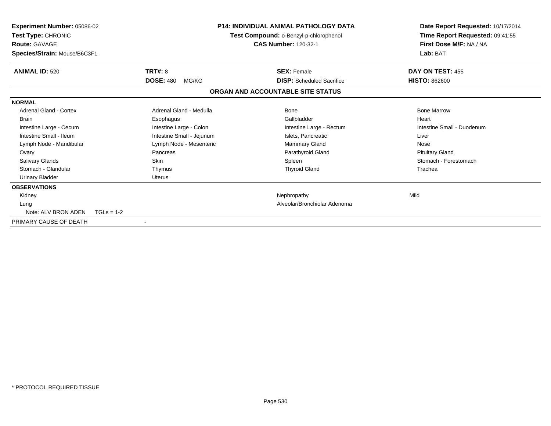| <b>Experiment Number: 05086-02</b><br>Test Type: CHRONIC<br><b>Route: GAVAGE</b><br>Species/Strain: Mouse/B6C3F1 |                           | <b>P14: INDIVIDUAL ANIMAL PATHOLOGY DATA</b><br>Test Compound: o-Benzyl-p-chlorophenol<br><b>CAS Number: 120-32-1</b> | Date Report Requested: 10/17/2014<br>Time Report Requested: 09:41:55<br>First Dose M/F: NA / NA<br>Lab: BAT |
|------------------------------------------------------------------------------------------------------------------|---------------------------|-----------------------------------------------------------------------------------------------------------------------|-------------------------------------------------------------------------------------------------------------|
| <b>ANIMAL ID: 520</b>                                                                                            | <b>TRT#: 8</b>            | <b>SEX: Female</b>                                                                                                    | DAY ON TEST: 455                                                                                            |
|                                                                                                                  | <b>DOSE: 480</b><br>MG/KG | <b>DISP:</b> Scheduled Sacrifice                                                                                      | <b>HISTO: 862600</b>                                                                                        |
|                                                                                                                  |                           | ORGAN AND ACCOUNTABLE SITE STATUS                                                                                     |                                                                                                             |
| <b>NORMAL</b>                                                                                                    |                           |                                                                                                                       |                                                                                                             |
| <b>Adrenal Gland - Cortex</b>                                                                                    | Adrenal Gland - Medulla   | <b>Bone</b>                                                                                                           | <b>Bone Marrow</b>                                                                                          |
| <b>Brain</b>                                                                                                     | Esophagus                 | Gallbladder                                                                                                           | Heart                                                                                                       |
| Intestine Large - Cecum                                                                                          | Intestine Large - Colon   | Intestine Large - Rectum                                                                                              | Intestine Small - Duodenum                                                                                  |
| Intestine Small - Ileum                                                                                          | Intestine Small - Jejunum | Islets, Pancreatic                                                                                                    | Liver                                                                                                       |
| Lymph Node - Mandibular                                                                                          | Lymph Node - Mesenteric   | Mammary Gland                                                                                                         | Nose                                                                                                        |
| Ovary                                                                                                            | Pancreas                  | Parathyroid Gland                                                                                                     | <b>Pituitary Gland</b>                                                                                      |
| <b>Salivary Glands</b>                                                                                           | Skin                      | Spleen                                                                                                                | Stomach - Forestomach                                                                                       |
| Stomach - Glandular                                                                                              | Thymus                    | <b>Thyroid Gland</b>                                                                                                  | Trachea                                                                                                     |
| <b>Urinary Bladder</b>                                                                                           | <b>Uterus</b>             |                                                                                                                       |                                                                                                             |
| <b>OBSERVATIONS</b>                                                                                              |                           |                                                                                                                       |                                                                                                             |
| Kidney                                                                                                           |                           | Nephropathy                                                                                                           | Mild                                                                                                        |
| Lung                                                                                                             |                           | Alveolar/Bronchiolar Adenoma                                                                                          |                                                                                                             |
| Note: ALV BRON ADEN                                                                                              | $TGLS = 1-2$              |                                                                                                                       |                                                                                                             |
| PRIMARY CAUSE OF DEATH                                                                                           |                           |                                                                                                                       |                                                                                                             |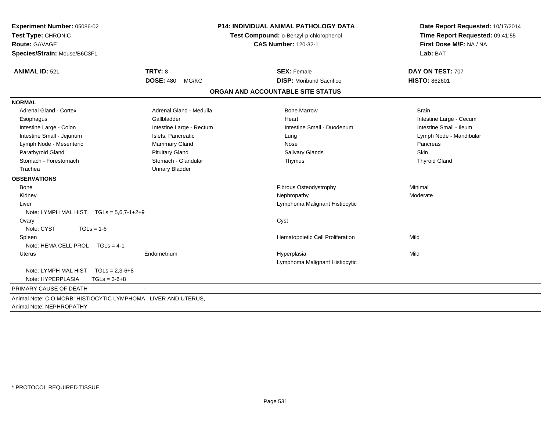| <b>ANIMAL ID: 521</b><br>TRT#: 8<br>DAY ON TEST: 707<br><b>SEX: Female</b><br><b>DOSE: 480</b><br><b>DISP: Moribund Sacrifice</b><br><b>HISTO: 862601</b><br>MG/KG<br>ORGAN AND ACCOUNTABLE SITE STATUS<br><b>NORMAL</b><br><b>Adrenal Gland - Cortex</b><br>Adrenal Gland - Medulla<br><b>Bone Marrow</b><br><b>Brain</b><br>Gallbladder<br>Heart<br>Intestine Large - Cecum<br>Esophagus<br>Intestine Large - Colon<br>Intestine Large - Rectum<br>Intestine Small - Duodenum<br>Intestine Small - Ileum<br>Intestine Small - Jejunum<br>Islets, Pancreatic<br>Lymph Node - Mandibular<br>Lung<br>Lymph Node - Mesenteric<br>Mammary Gland<br>Nose<br>Pancreas<br>Parathyroid Gland<br><b>Pituitary Gland</b><br>Salivary Glands<br>Skin<br>Stomach - Glandular<br>Stomach - Forestomach<br><b>Thyroid Gland</b><br>Thymus<br><b>Urinary Bladder</b><br>Trachea<br><b>OBSERVATIONS</b><br>Fibrous Osteodystrophy<br>Minimal<br><b>Bone</b><br>Kidney<br>Nephropathy<br>Moderate<br>Lymphoma Malignant Histiocytic<br>Liver<br>Note: LYMPH MAL HIST $TGLs = 5.6.7 - 1 + 2 + 9$<br>Cyst<br>Ovary<br>Note: CYST<br>$TGLs = 1-6$<br>Hematopoietic Cell Proliferation<br>Mild<br>Spleen<br>Note: HEMA CELL PROL TGLs = 4-1<br>Mild<br>Endometrium<br>Hyperplasia<br>Uterus<br>Lymphoma Malignant Histiocytic<br>Note: LYMPH MAL HIST TGLs = 2,3-6+8<br>Note: HYPERPLASIA<br>$TGLs = 3-6+8$<br>PRIMARY CAUSE OF DEATH<br>Animal Note: C O MORB: HISTIOCYTIC LYMPHOMA, LIVER AND UTERUS, | Experiment Number: 05086-02<br>Test Type: CHRONIC<br><b>Route: GAVAGE</b><br>Species/Strain: Mouse/B6C3F1 |  | <b>P14: INDIVIDUAL ANIMAL PATHOLOGY DATA</b><br>Test Compound: o-Benzyl-p-chlorophenol<br><b>CAS Number: 120-32-1</b> | Date Report Requested: 10/17/2014<br>Time Report Requested: 09:41:55<br>First Dose M/F: NA / NA<br>Lab: BAT |
|-------------------------------------------------------------------------------------------------------------------------------------------------------------------------------------------------------------------------------------------------------------------------------------------------------------------------------------------------------------------------------------------------------------------------------------------------------------------------------------------------------------------------------------------------------------------------------------------------------------------------------------------------------------------------------------------------------------------------------------------------------------------------------------------------------------------------------------------------------------------------------------------------------------------------------------------------------------------------------------------------------------------------------------------------------------------------------------------------------------------------------------------------------------------------------------------------------------------------------------------------------------------------------------------------------------------------------------------------------------------------------------------------------------------------------------------------------------------------------------|-----------------------------------------------------------------------------------------------------------|--|-----------------------------------------------------------------------------------------------------------------------|-------------------------------------------------------------------------------------------------------------|
|                                                                                                                                                                                                                                                                                                                                                                                                                                                                                                                                                                                                                                                                                                                                                                                                                                                                                                                                                                                                                                                                                                                                                                                                                                                                                                                                                                                                                                                                                     |                                                                                                           |  |                                                                                                                       |                                                                                                             |
|                                                                                                                                                                                                                                                                                                                                                                                                                                                                                                                                                                                                                                                                                                                                                                                                                                                                                                                                                                                                                                                                                                                                                                                                                                                                                                                                                                                                                                                                                     |                                                                                                           |  |                                                                                                                       |                                                                                                             |
|                                                                                                                                                                                                                                                                                                                                                                                                                                                                                                                                                                                                                                                                                                                                                                                                                                                                                                                                                                                                                                                                                                                                                                                                                                                                                                                                                                                                                                                                                     |                                                                                                           |  |                                                                                                                       |                                                                                                             |
|                                                                                                                                                                                                                                                                                                                                                                                                                                                                                                                                                                                                                                                                                                                                                                                                                                                                                                                                                                                                                                                                                                                                                                                                                                                                                                                                                                                                                                                                                     |                                                                                                           |  |                                                                                                                       |                                                                                                             |
|                                                                                                                                                                                                                                                                                                                                                                                                                                                                                                                                                                                                                                                                                                                                                                                                                                                                                                                                                                                                                                                                                                                                                                                                                                                                                                                                                                                                                                                                                     |                                                                                                           |  |                                                                                                                       |                                                                                                             |
|                                                                                                                                                                                                                                                                                                                                                                                                                                                                                                                                                                                                                                                                                                                                                                                                                                                                                                                                                                                                                                                                                                                                                                                                                                                                                                                                                                                                                                                                                     |                                                                                                           |  |                                                                                                                       |                                                                                                             |
|                                                                                                                                                                                                                                                                                                                                                                                                                                                                                                                                                                                                                                                                                                                                                                                                                                                                                                                                                                                                                                                                                                                                                                                                                                                                                                                                                                                                                                                                                     |                                                                                                           |  |                                                                                                                       |                                                                                                             |
|                                                                                                                                                                                                                                                                                                                                                                                                                                                                                                                                                                                                                                                                                                                                                                                                                                                                                                                                                                                                                                                                                                                                                                                                                                                                                                                                                                                                                                                                                     |                                                                                                           |  |                                                                                                                       |                                                                                                             |
|                                                                                                                                                                                                                                                                                                                                                                                                                                                                                                                                                                                                                                                                                                                                                                                                                                                                                                                                                                                                                                                                                                                                                                                                                                                                                                                                                                                                                                                                                     |                                                                                                           |  |                                                                                                                       |                                                                                                             |
|                                                                                                                                                                                                                                                                                                                                                                                                                                                                                                                                                                                                                                                                                                                                                                                                                                                                                                                                                                                                                                                                                                                                                                                                                                                                                                                                                                                                                                                                                     |                                                                                                           |  |                                                                                                                       |                                                                                                             |
|                                                                                                                                                                                                                                                                                                                                                                                                                                                                                                                                                                                                                                                                                                                                                                                                                                                                                                                                                                                                                                                                                                                                                                                                                                                                                                                                                                                                                                                                                     |                                                                                                           |  |                                                                                                                       |                                                                                                             |
|                                                                                                                                                                                                                                                                                                                                                                                                                                                                                                                                                                                                                                                                                                                                                                                                                                                                                                                                                                                                                                                                                                                                                                                                                                                                                                                                                                                                                                                                                     |                                                                                                           |  |                                                                                                                       |                                                                                                             |
|                                                                                                                                                                                                                                                                                                                                                                                                                                                                                                                                                                                                                                                                                                                                                                                                                                                                                                                                                                                                                                                                                                                                                                                                                                                                                                                                                                                                                                                                                     |                                                                                                           |  |                                                                                                                       |                                                                                                             |
|                                                                                                                                                                                                                                                                                                                                                                                                                                                                                                                                                                                                                                                                                                                                                                                                                                                                                                                                                                                                                                                                                                                                                                                                                                                                                                                                                                                                                                                                                     |                                                                                                           |  |                                                                                                                       |                                                                                                             |
|                                                                                                                                                                                                                                                                                                                                                                                                                                                                                                                                                                                                                                                                                                                                                                                                                                                                                                                                                                                                                                                                                                                                                                                                                                                                                                                                                                                                                                                                                     |                                                                                                           |  |                                                                                                                       |                                                                                                             |
|                                                                                                                                                                                                                                                                                                                                                                                                                                                                                                                                                                                                                                                                                                                                                                                                                                                                                                                                                                                                                                                                                                                                                                                                                                                                                                                                                                                                                                                                                     |                                                                                                           |  |                                                                                                                       |                                                                                                             |
|                                                                                                                                                                                                                                                                                                                                                                                                                                                                                                                                                                                                                                                                                                                                                                                                                                                                                                                                                                                                                                                                                                                                                                                                                                                                                                                                                                                                                                                                                     |                                                                                                           |  |                                                                                                                       |                                                                                                             |
|                                                                                                                                                                                                                                                                                                                                                                                                                                                                                                                                                                                                                                                                                                                                                                                                                                                                                                                                                                                                                                                                                                                                                                                                                                                                                                                                                                                                                                                                                     |                                                                                                           |  |                                                                                                                       |                                                                                                             |
|                                                                                                                                                                                                                                                                                                                                                                                                                                                                                                                                                                                                                                                                                                                                                                                                                                                                                                                                                                                                                                                                                                                                                                                                                                                                                                                                                                                                                                                                                     |                                                                                                           |  |                                                                                                                       |                                                                                                             |
|                                                                                                                                                                                                                                                                                                                                                                                                                                                                                                                                                                                                                                                                                                                                                                                                                                                                                                                                                                                                                                                                                                                                                                                                                                                                                                                                                                                                                                                                                     |                                                                                                           |  |                                                                                                                       |                                                                                                             |
|                                                                                                                                                                                                                                                                                                                                                                                                                                                                                                                                                                                                                                                                                                                                                                                                                                                                                                                                                                                                                                                                                                                                                                                                                                                                                                                                                                                                                                                                                     |                                                                                                           |  |                                                                                                                       |                                                                                                             |
|                                                                                                                                                                                                                                                                                                                                                                                                                                                                                                                                                                                                                                                                                                                                                                                                                                                                                                                                                                                                                                                                                                                                                                                                                                                                                                                                                                                                                                                                                     |                                                                                                           |  |                                                                                                                       |                                                                                                             |
|                                                                                                                                                                                                                                                                                                                                                                                                                                                                                                                                                                                                                                                                                                                                                                                                                                                                                                                                                                                                                                                                                                                                                                                                                                                                                                                                                                                                                                                                                     |                                                                                                           |  |                                                                                                                       |                                                                                                             |
|                                                                                                                                                                                                                                                                                                                                                                                                                                                                                                                                                                                                                                                                                                                                                                                                                                                                                                                                                                                                                                                                                                                                                                                                                                                                                                                                                                                                                                                                                     |                                                                                                           |  |                                                                                                                       |                                                                                                             |
|                                                                                                                                                                                                                                                                                                                                                                                                                                                                                                                                                                                                                                                                                                                                                                                                                                                                                                                                                                                                                                                                                                                                                                                                                                                                                                                                                                                                                                                                                     |                                                                                                           |  |                                                                                                                       |                                                                                                             |
|                                                                                                                                                                                                                                                                                                                                                                                                                                                                                                                                                                                                                                                                                                                                                                                                                                                                                                                                                                                                                                                                                                                                                                                                                                                                                                                                                                                                                                                                                     |                                                                                                           |  |                                                                                                                       |                                                                                                             |
|                                                                                                                                                                                                                                                                                                                                                                                                                                                                                                                                                                                                                                                                                                                                                                                                                                                                                                                                                                                                                                                                                                                                                                                                                                                                                                                                                                                                                                                                                     | Animal Note: NEPHROPATHY                                                                                  |  |                                                                                                                       |                                                                                                             |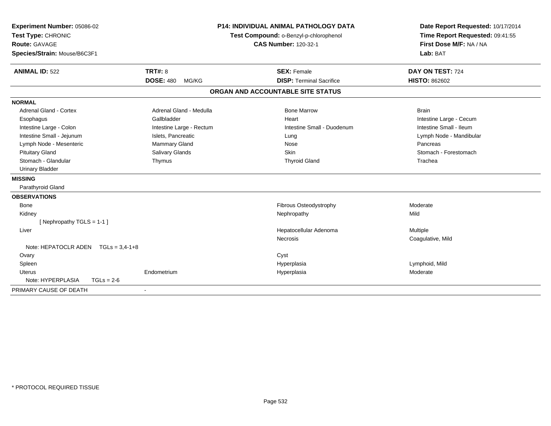| Experiment Number: 05086-02           |                           | <b>P14: INDIVIDUAL ANIMAL PATHOLOGY DATA</b> | Date Report Requested: 10/17/2014   |  |
|---------------------------------------|---------------------------|----------------------------------------------|-------------------------------------|--|
| Test Type: CHRONIC                    |                           | Test Compound: o-Benzyl-p-chlorophenol       | Time Report Requested: 09:41:55     |  |
| <b>Route: GAVAGE</b>                  |                           | <b>CAS Number: 120-32-1</b>                  | First Dose M/F: NA / NA<br>Lab: BAT |  |
| Species/Strain: Mouse/B6C3F1          |                           |                                              |                                     |  |
| <b>ANIMAL ID: 522</b>                 | <b>TRT#: 8</b>            | <b>SEX: Female</b>                           | DAY ON TEST: 724                    |  |
|                                       | <b>DOSE: 480</b><br>MG/KG | <b>DISP: Terminal Sacrifice</b>              | <b>HISTO: 862602</b>                |  |
|                                       |                           | ORGAN AND ACCOUNTABLE SITE STATUS            |                                     |  |
| <b>NORMAL</b>                         |                           |                                              |                                     |  |
| <b>Adrenal Gland - Cortex</b>         | Adrenal Gland - Medulla   | <b>Bone Marrow</b>                           | <b>Brain</b>                        |  |
| Esophagus                             | Gallbladder               | Heart                                        | Intestine Large - Cecum             |  |
| Intestine Large - Colon               | Intestine Large - Rectum  | Intestine Small - Duodenum                   | Intestine Small - Ileum             |  |
| Intestine Small - Jejunum             | Islets, Pancreatic        | Lung                                         | Lymph Node - Mandibular             |  |
| Lymph Node - Mesenteric               | Mammary Gland             | Nose                                         | Pancreas                            |  |
| <b>Pituitary Gland</b>                | Salivary Glands           | Skin                                         | Stomach - Forestomach               |  |
| Stomach - Glandular                   | Thymus                    | <b>Thyroid Gland</b>                         | Trachea                             |  |
| <b>Urinary Bladder</b>                |                           |                                              |                                     |  |
| <b>MISSING</b>                        |                           |                                              |                                     |  |
| Parathyroid Gland                     |                           |                                              |                                     |  |
| <b>OBSERVATIONS</b>                   |                           |                                              |                                     |  |
| <b>Bone</b>                           |                           | Fibrous Osteodystrophy                       | Moderate                            |  |
| Kidney                                |                           | Nephropathy                                  | Mild                                |  |
| [Nephropathy TGLS = 1-1]              |                           |                                              |                                     |  |
| Liver                                 |                           | Hepatocellular Adenoma                       | Multiple                            |  |
|                                       |                           | Necrosis                                     | Coagulative, Mild                   |  |
| Note: HEPATOCLR ADEN $TGLs = 3.4-1+8$ |                           |                                              |                                     |  |
| Ovary                                 |                           | Cyst                                         |                                     |  |
| Spleen                                |                           | Hyperplasia                                  | Lymphoid, Mild                      |  |
| <b>Uterus</b>                         | Endometrium               | Hyperplasia                                  | Moderate                            |  |
| Note: HYPERPLASIA<br>$TGLs = 2-6$     |                           |                                              |                                     |  |
| PRIMARY CAUSE OF DEATH                |                           |                                              |                                     |  |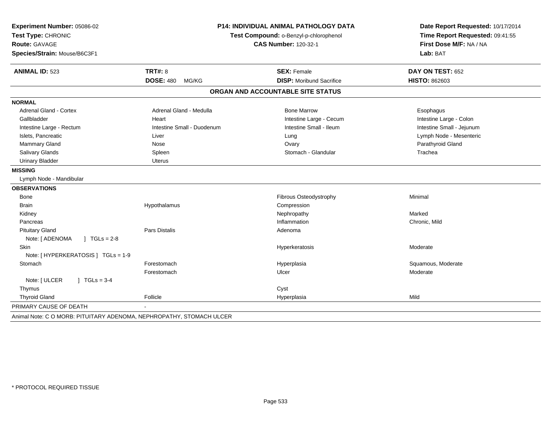| Route: GAVAGE                           |                            | Test Compound: o-Benzyl-p-chlorophenol | Date Report Requested: 10/17/2014<br>Time Report Requested: 09:41:55<br>First Dose M/F: NA / NA<br>Lab: BAT |  |
|-----------------------------------------|----------------------------|----------------------------------------|-------------------------------------------------------------------------------------------------------------|--|
|                                         |                            | <b>CAS Number: 120-32-1</b>            |                                                                                                             |  |
| Species/Strain: Mouse/B6C3F1            |                            |                                        |                                                                                                             |  |
| <b>ANIMAL ID: 523</b>                   | <b>TRT#: 8</b>             | <b>SEX: Female</b>                     | DAY ON TEST: 652                                                                                            |  |
|                                         | <b>DOSE: 480</b><br>MG/KG  | <b>DISP: Moribund Sacrifice</b>        | <b>HISTO: 862603</b>                                                                                        |  |
|                                         |                            | ORGAN AND ACCOUNTABLE SITE STATUS      |                                                                                                             |  |
| <b>NORMAL</b>                           |                            |                                        |                                                                                                             |  |
| Adrenal Gland - Cortex                  | Adrenal Gland - Medulla    | <b>Bone Marrow</b>                     | Esophagus                                                                                                   |  |
| Gallbladder                             | Heart                      | Intestine Large - Cecum                | Intestine Large - Colon                                                                                     |  |
| Intestine Large - Rectum                | Intestine Small - Duodenum | Intestine Small - Ileum                | Intestine Small - Jejunum                                                                                   |  |
| Islets, Pancreatic                      | Liver                      | Lung                                   | Lymph Node - Mesenteric                                                                                     |  |
| Mammary Gland                           | Nose                       | Ovary                                  | Parathyroid Gland                                                                                           |  |
| Salivary Glands                         | Spleen                     | Stomach - Glandular                    | Trachea                                                                                                     |  |
| <b>Urinary Bladder</b>                  | <b>Uterus</b>              |                                        |                                                                                                             |  |
| <b>MISSING</b>                          |                            |                                        |                                                                                                             |  |
| Lymph Node - Mandibular                 |                            |                                        |                                                                                                             |  |
| <b>OBSERVATIONS</b>                     |                            |                                        |                                                                                                             |  |
| Bone                                    |                            | Fibrous Osteodystrophy                 | Minimal                                                                                                     |  |
| <b>Brain</b>                            | Hypothalamus               | Compression                            |                                                                                                             |  |
| Kidney                                  |                            | Nephropathy                            | Marked                                                                                                      |  |
| Pancreas                                |                            | Inflammation                           | Chronic, Mild                                                                                               |  |
| <b>Pituitary Gland</b>                  | Pars Distalis              | Adenoma                                |                                                                                                             |  |
| $J \cdot TGLS = 2-8$<br>Note: [ ADENOMA |                            |                                        |                                                                                                             |  |
| <b>Skin</b>                             |                            | Hyperkeratosis                         | Moderate                                                                                                    |  |
| Note: [ HYPERKERATOSIS ] TGLs = 1-9     |                            |                                        |                                                                                                             |  |
| Stomach                                 | Forestomach                | Hyperplasia                            | Squamous, Moderate                                                                                          |  |
|                                         | Forestomach                | Ulcer                                  | Moderate                                                                                                    |  |
| $1 TGLs = 3-4$<br>Note: [ ULCER         |                            |                                        |                                                                                                             |  |
| Thymus                                  |                            | Cyst                                   |                                                                                                             |  |
| <b>Thyroid Gland</b>                    | Follicle                   | Hyperplasia                            | Mild                                                                                                        |  |
| PRIMARY CAUSE OF DEATH                  |                            |                                        |                                                                                                             |  |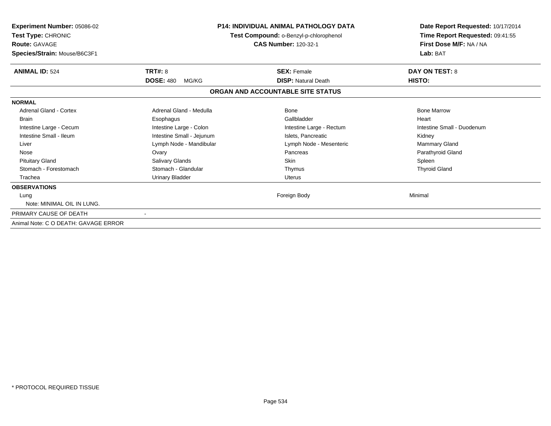| <b>Experiment Number: 05086-02</b><br>Test Type: CHRONIC<br><b>Route: GAVAGE</b><br>Species/Strain: Mouse/B6C3F1 |                                             | P14: INDIVIDUAL ANIMAL PATHOLOGY DATA<br>Test Compound: o-Benzyl-p-chlorophenol<br><b>CAS Number: 120-32-1</b> | Date Report Requested: 10/17/2014<br>Time Report Requested: 09:41:55<br>First Dose M/F: NA / NA<br>Lab: BAT |  |
|------------------------------------------------------------------------------------------------------------------|---------------------------------------------|----------------------------------------------------------------------------------------------------------------|-------------------------------------------------------------------------------------------------------------|--|
| <b>ANIMAL ID: 524</b>                                                                                            | <b>TRT#: 8</b><br><b>DOSE: 480</b><br>MG/KG | <b>SEX: Female</b><br><b>DISP: Natural Death</b>                                                               | <b>DAY ON TEST: 8</b><br>HISTO:                                                                             |  |
|                                                                                                                  |                                             | ORGAN AND ACCOUNTABLE SITE STATUS                                                                              |                                                                                                             |  |
| <b>NORMAL</b>                                                                                                    |                                             |                                                                                                                |                                                                                                             |  |
| <b>Adrenal Gland - Cortex</b>                                                                                    | Adrenal Gland - Medulla                     | Bone                                                                                                           | <b>Bone Marrow</b>                                                                                          |  |
| <b>Brain</b>                                                                                                     | Esophagus                                   | Gallbladder                                                                                                    | Heart                                                                                                       |  |
| Intestine Large - Cecum                                                                                          | Intestine Large - Colon                     | Intestine Large - Rectum                                                                                       | Intestine Small - Duodenum                                                                                  |  |
| Intestine Small - Ileum                                                                                          | Intestine Small - Jejunum                   | Islets, Pancreatic                                                                                             | Kidney                                                                                                      |  |
| Liver                                                                                                            | Lymph Node - Mandibular                     | Lymph Node - Mesenteric                                                                                        | Mammary Gland                                                                                               |  |
| Nose                                                                                                             | Ovary                                       | Pancreas                                                                                                       | Parathyroid Gland                                                                                           |  |
| <b>Pituitary Gland</b>                                                                                           | <b>Salivary Glands</b>                      | Skin                                                                                                           | Spleen                                                                                                      |  |
| Stomach - Forestomach                                                                                            | Stomach - Glandular                         | Thymus                                                                                                         | <b>Thyroid Gland</b>                                                                                        |  |
| Trachea                                                                                                          | <b>Urinary Bladder</b>                      | <b>Uterus</b>                                                                                                  |                                                                                                             |  |
| <b>OBSERVATIONS</b>                                                                                              |                                             |                                                                                                                |                                                                                                             |  |
| Lung                                                                                                             |                                             | Foreign Body                                                                                                   | Minimal                                                                                                     |  |
| Note: MINIMAL OIL IN LUNG.                                                                                       |                                             |                                                                                                                |                                                                                                             |  |
| PRIMARY CAUSE OF DEATH                                                                                           |                                             |                                                                                                                |                                                                                                             |  |
| Animal Note: C O DEATH: GAVAGE ERROR                                                                             |                                             |                                                                                                                |                                                                                                             |  |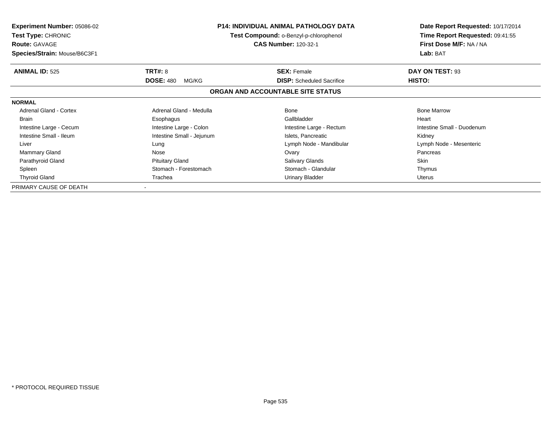| <b>Experiment Number: 05086-02</b><br>Test Type: CHRONIC<br><b>Route: GAVAGE</b> | <b>P14: INDIVIDUAL ANIMAL PATHOLOGY DATA</b><br>Test Compound: o-Benzyl-p-chlorophenol<br><b>CAS Number: 120-32-1</b> |                                   | Date Report Requested: 10/17/2014<br>Time Report Requested: 09:41:55<br>First Dose M/F: NA / NA |
|----------------------------------------------------------------------------------|-----------------------------------------------------------------------------------------------------------------------|-----------------------------------|-------------------------------------------------------------------------------------------------|
| Species/Strain: Mouse/B6C3F1                                                     |                                                                                                                       |                                   | Lab: BAT                                                                                        |
| <b>ANIMAL ID: 525</b>                                                            | TRT#: 8                                                                                                               | <b>SEX: Female</b>                | DAY ON TEST: 93                                                                                 |
|                                                                                  | <b>DOSE: 480</b><br>MG/KG                                                                                             | <b>DISP:</b> Scheduled Sacrifice  | <b>HISTO:</b>                                                                                   |
|                                                                                  |                                                                                                                       | ORGAN AND ACCOUNTABLE SITE STATUS |                                                                                                 |
| <b>NORMAL</b>                                                                    |                                                                                                                       |                                   |                                                                                                 |
| <b>Adrenal Gland - Cortex</b>                                                    | Adrenal Gland - Medulla                                                                                               | Bone                              | <b>Bone Marrow</b>                                                                              |
| Brain                                                                            | Esophagus                                                                                                             | Gallbladder                       | Heart                                                                                           |
| Intestine Large - Cecum                                                          | Intestine Large - Colon                                                                                               | Intestine Large - Rectum          | Intestine Small - Duodenum                                                                      |
| Intestine Small - Ileum                                                          | Intestine Small - Jejunum                                                                                             | Islets, Pancreatic                | Kidney                                                                                          |
| Liver                                                                            | Lung                                                                                                                  | Lymph Node - Mandibular           | Lymph Node - Mesenteric                                                                         |
| Mammary Gland                                                                    | Nose                                                                                                                  | Ovary                             | Pancreas                                                                                        |
| Parathyroid Gland                                                                | <b>Pituitary Gland</b>                                                                                                | <b>Salivary Glands</b>            | <b>Skin</b>                                                                                     |
| Spleen                                                                           | Stomach - Forestomach                                                                                                 | Stomach - Glandular               | Thymus                                                                                          |
| <b>Thyroid Gland</b>                                                             | Trachea                                                                                                               | Urinary Bladder                   | Uterus                                                                                          |
| PRIMARY CAUSE OF DEATH                                                           |                                                                                                                       |                                   |                                                                                                 |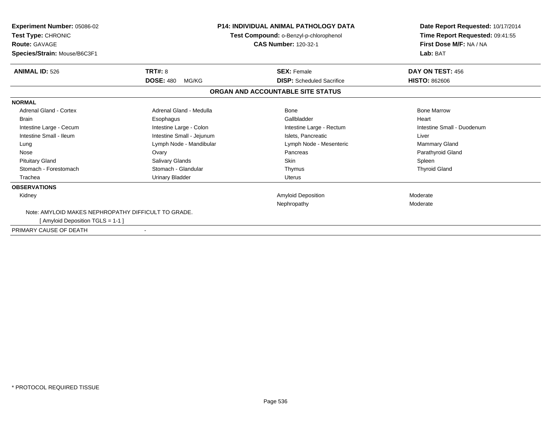| <b>Experiment Number: 05086-02</b><br>Test Type: CHRONIC<br><b>Route: GAVAGE</b><br>Species/Strain: Mouse/B6C3F1 |                           | <b>P14: INDIVIDUAL ANIMAL PATHOLOGY DATA</b><br>Test Compound: o-Benzyl-p-chlorophenol<br><b>CAS Number: 120-32-1</b> | Date Report Requested: 10/17/2014<br>Time Report Requested: 09:41:55<br>First Dose M/F: NA / NA<br>Lab: BAT |  |
|------------------------------------------------------------------------------------------------------------------|---------------------------|-----------------------------------------------------------------------------------------------------------------------|-------------------------------------------------------------------------------------------------------------|--|
| <b>ANIMAL ID: 526</b>                                                                                            | TRT#: 8                   | <b>SEX: Female</b>                                                                                                    | DAY ON TEST: 456                                                                                            |  |
|                                                                                                                  | <b>DOSE: 480</b><br>MG/KG | <b>DISP:</b> Scheduled Sacrifice                                                                                      | <b>HISTO: 862606</b>                                                                                        |  |
|                                                                                                                  |                           | ORGAN AND ACCOUNTABLE SITE STATUS                                                                                     |                                                                                                             |  |
| <b>NORMAL</b>                                                                                                    |                           |                                                                                                                       |                                                                                                             |  |
| Adrenal Gland - Cortex                                                                                           | Adrenal Gland - Medulla   | Bone                                                                                                                  | <b>Bone Marrow</b>                                                                                          |  |
| <b>Brain</b>                                                                                                     | Esophagus                 | Gallbladder                                                                                                           | Heart                                                                                                       |  |
| Intestine Large - Cecum                                                                                          | Intestine Large - Colon   | Intestine Large - Rectum                                                                                              | Intestine Small - Duodenum                                                                                  |  |
| Intestine Small - Ileum                                                                                          | Intestine Small - Jejunum | Islets, Pancreatic                                                                                                    | Liver                                                                                                       |  |
| Lung                                                                                                             | Lymph Node - Mandibular   | Lymph Node - Mesenteric                                                                                               | Mammary Gland                                                                                               |  |
| Nose                                                                                                             | Ovary                     | Pancreas                                                                                                              | Parathyroid Gland                                                                                           |  |
| <b>Pituitary Gland</b>                                                                                           | Salivary Glands           | <b>Skin</b>                                                                                                           | Spleen                                                                                                      |  |
| Stomach - Forestomach                                                                                            | Stomach - Glandular       | Thymus                                                                                                                | <b>Thyroid Gland</b>                                                                                        |  |
| Trachea                                                                                                          | Urinary Bladder           | Uterus                                                                                                                |                                                                                                             |  |
| <b>OBSERVATIONS</b>                                                                                              |                           |                                                                                                                       |                                                                                                             |  |
| Kidney                                                                                                           |                           | <b>Amyloid Deposition</b>                                                                                             | Moderate                                                                                                    |  |
|                                                                                                                  |                           | Nephropathy                                                                                                           | Moderate                                                                                                    |  |
| Note: AMYLOID MAKES NEPHROPATHY DIFFICULT TO GRADE.                                                              |                           |                                                                                                                       |                                                                                                             |  |
| [ Amyloid Deposition TGLS = 1-1 ]                                                                                |                           |                                                                                                                       |                                                                                                             |  |
| PRIMARY CAUSE OF DEATH                                                                                           |                           |                                                                                                                       |                                                                                                             |  |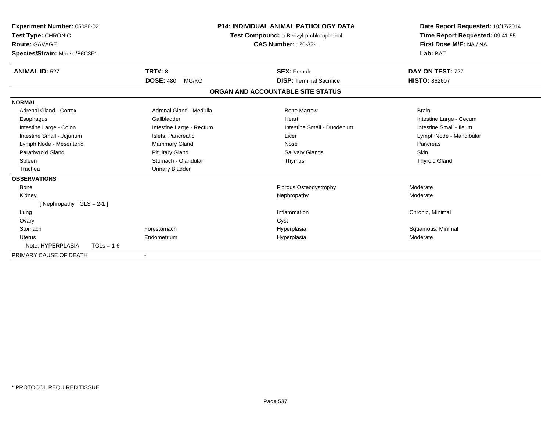| Experiment Number: 05086-02<br>Test Type: CHRONIC<br>Route: GAVAGE<br>Species/Strain: Mouse/B6C3F1 |              |                           | <b>P14: INDIVIDUAL ANIMAL PATHOLOGY DATA</b><br>Test Compound: o-Benzyl-p-chlorophenol<br><b>CAS Number: 120-32-1</b> |                                   | Date Report Requested: 10/17/2014<br>Time Report Requested: 09:41:55<br>First Dose M/F: NA / NA<br>Lab: BAT |  |
|----------------------------------------------------------------------------------------------------|--------------|---------------------------|-----------------------------------------------------------------------------------------------------------------------|-----------------------------------|-------------------------------------------------------------------------------------------------------------|--|
| <b>ANIMAL ID: 527</b>                                                                              |              | TRT#: 8                   |                                                                                                                       | <b>SEX: Female</b>                | DAY ON TEST: 727                                                                                            |  |
|                                                                                                    |              | <b>DOSE: 480</b><br>MG/KG |                                                                                                                       | <b>DISP:</b> Terminal Sacrifice   | <b>HISTO: 862607</b>                                                                                        |  |
|                                                                                                    |              |                           |                                                                                                                       | ORGAN AND ACCOUNTABLE SITE STATUS |                                                                                                             |  |
| <b>NORMAL</b>                                                                                      |              |                           |                                                                                                                       |                                   |                                                                                                             |  |
| Adrenal Gland - Cortex                                                                             |              | Adrenal Gland - Medulla   |                                                                                                                       | <b>Bone Marrow</b>                | <b>Brain</b>                                                                                                |  |
| Esophagus                                                                                          |              | Gallbladder               |                                                                                                                       | Heart                             | Intestine Large - Cecum                                                                                     |  |
| Intestine Large - Colon                                                                            |              | Intestine Large - Rectum  |                                                                                                                       | Intestine Small - Duodenum        | Intestine Small - Ileum                                                                                     |  |
| Intestine Small - Jejunum                                                                          |              | Islets, Pancreatic        |                                                                                                                       | Liver                             | Lymph Node - Mandibular                                                                                     |  |
| Lymph Node - Mesenteric                                                                            |              | Mammary Gland             |                                                                                                                       | Nose                              | Pancreas                                                                                                    |  |
| Parathyroid Gland                                                                                  |              | <b>Pituitary Gland</b>    |                                                                                                                       | Salivary Glands                   | Skin                                                                                                        |  |
| Spleen                                                                                             |              | Stomach - Glandular       |                                                                                                                       | Thymus                            | <b>Thyroid Gland</b>                                                                                        |  |
| Trachea                                                                                            |              | <b>Urinary Bladder</b>    |                                                                                                                       |                                   |                                                                                                             |  |
| <b>OBSERVATIONS</b>                                                                                |              |                           |                                                                                                                       |                                   |                                                                                                             |  |
| <b>Bone</b>                                                                                        |              |                           |                                                                                                                       | Fibrous Osteodystrophy            | Moderate                                                                                                    |  |
| Kidney                                                                                             |              |                           |                                                                                                                       | Nephropathy                       | Moderate                                                                                                    |  |
| [Nephropathy TGLS = $2-1$ ]                                                                        |              |                           |                                                                                                                       |                                   |                                                                                                             |  |
| Lung                                                                                               |              |                           |                                                                                                                       | Inflammation                      | Chronic, Minimal                                                                                            |  |
| Ovary                                                                                              |              |                           |                                                                                                                       | Cyst                              |                                                                                                             |  |
| Stomach                                                                                            |              | Forestomach               |                                                                                                                       | Hyperplasia                       | Squamous, Minimal                                                                                           |  |
| Uterus                                                                                             |              | Endometrium               |                                                                                                                       | Hyperplasia                       | Moderate                                                                                                    |  |
| Note: HYPERPLASIA                                                                                  | $TGLs = 1-6$ |                           |                                                                                                                       |                                   |                                                                                                             |  |
| PRIMARY CAUSE OF DEATH                                                                             |              | $\overline{\phantom{a}}$  |                                                                                                                       |                                   |                                                                                                             |  |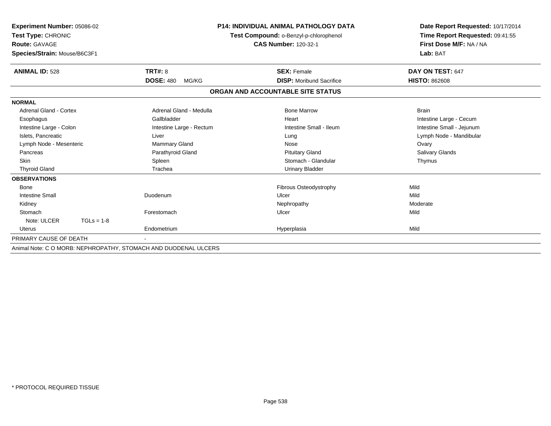| <b>Experiment Number: 05086-02</b><br>Test Type: CHRONIC<br><b>Route: GAVAGE</b><br>Species/Strain: Mouse/B6C3F1 |                           | <b>P14: INDIVIDUAL ANIMAL PATHOLOGY DATA</b><br>Test Compound: o-Benzyl-p-chlorophenol<br><b>CAS Number: 120-32-1</b> | Date Report Requested: 10/17/2014<br>Time Report Requested: 09:41:55<br>First Dose M/F: NA / NA<br>Lab: BAT |  |
|------------------------------------------------------------------------------------------------------------------|---------------------------|-----------------------------------------------------------------------------------------------------------------------|-------------------------------------------------------------------------------------------------------------|--|
| <b>ANIMAL ID: 528</b>                                                                                            | TRT#: 8                   | <b>SEX: Female</b>                                                                                                    | DAY ON TEST: 647                                                                                            |  |
|                                                                                                                  | <b>DOSE: 480</b><br>MG/KG | <b>DISP:</b> Moribund Sacrifice                                                                                       | <b>HISTO: 862608</b>                                                                                        |  |
|                                                                                                                  |                           | ORGAN AND ACCOUNTABLE SITE STATUS                                                                                     |                                                                                                             |  |
| <b>NORMAL</b>                                                                                                    |                           |                                                                                                                       |                                                                                                             |  |
| <b>Adrenal Gland - Cortex</b>                                                                                    | Adrenal Gland - Medulla   | <b>Bone Marrow</b>                                                                                                    | <b>Brain</b>                                                                                                |  |
| Esophagus                                                                                                        | Gallbladder               | Heart                                                                                                                 | Intestine Large - Cecum                                                                                     |  |
| Intestine Large - Colon                                                                                          | Intestine Large - Rectum  | Intestine Small - Ileum                                                                                               | Intestine Small - Jejunum                                                                                   |  |
| Islets. Pancreatic                                                                                               | Liver                     | Lung                                                                                                                  | Lymph Node - Mandibular                                                                                     |  |
| Lymph Node - Mesenteric                                                                                          | Mammary Gland             | Nose                                                                                                                  | Ovary                                                                                                       |  |
| Pancreas                                                                                                         | Parathyroid Gland         | <b>Pituitary Gland</b>                                                                                                | Salivary Glands                                                                                             |  |
| <b>Skin</b>                                                                                                      | Spleen                    | Stomach - Glandular                                                                                                   | Thymus                                                                                                      |  |
| <b>Thyroid Gland</b>                                                                                             | Trachea                   | <b>Urinary Bladder</b>                                                                                                |                                                                                                             |  |
| <b>OBSERVATIONS</b>                                                                                              |                           |                                                                                                                       |                                                                                                             |  |
| Bone                                                                                                             |                           | Fibrous Osteodystrophy                                                                                                | Mild                                                                                                        |  |
| <b>Intestine Small</b>                                                                                           | Duodenum                  | Ulcer                                                                                                                 | Mild                                                                                                        |  |
| Kidney                                                                                                           |                           | Nephropathy                                                                                                           | Moderate                                                                                                    |  |
| Stomach                                                                                                          | Forestomach               | Ulcer                                                                                                                 | Mild                                                                                                        |  |
| Note: ULCER<br>$TGLs = 1-8$                                                                                      |                           |                                                                                                                       |                                                                                                             |  |
| Uterus                                                                                                           | Endometrium               | Hyperplasia                                                                                                           | Mild                                                                                                        |  |
| PRIMARY CAUSE OF DEATH                                                                                           |                           |                                                                                                                       |                                                                                                             |  |
| $\lambda$ nimal Nata: C.O.MODD: NIEDUDODATUV. CTOMACU AND DUODENIAL ULOEDO                                       |                           |                                                                                                                       |                                                                                                             |  |

Animal Note: C O MORB: NEPHROPATHY, STOMACH AND DUODENAL ULCERS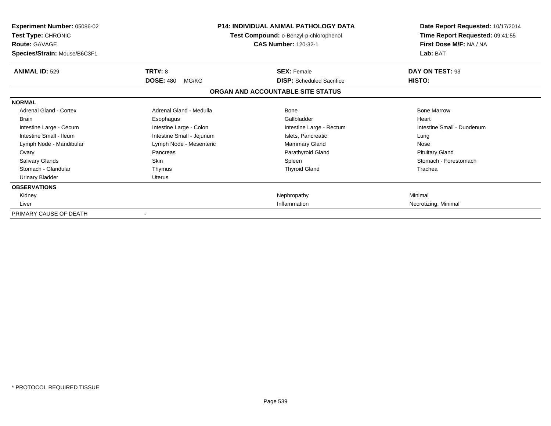| <b>Experiment Number: 05086-02</b><br>Test Type: CHRONIC<br><b>Route: GAVAGE</b><br>Species/Strain: Mouse/B6C3F1 |                           | <b>P14: INDIVIDUAL ANIMAL PATHOLOGY DATA</b><br>Test Compound: o-Benzyl-p-chlorophenol<br><b>CAS Number: 120-32-1</b> | Date Report Requested: 10/17/2014<br>Time Report Requested: 09:41:55<br>First Dose M/F: NA / NA<br>Lab: BAT |  |
|------------------------------------------------------------------------------------------------------------------|---------------------------|-----------------------------------------------------------------------------------------------------------------------|-------------------------------------------------------------------------------------------------------------|--|
| <b>ANIMAL ID: 529</b>                                                                                            | TRT#: 8                   | <b>SEX: Female</b>                                                                                                    | DAY ON TEST: 93                                                                                             |  |
|                                                                                                                  | <b>DOSE: 480</b><br>MG/KG | <b>DISP:</b> Scheduled Sacrifice                                                                                      | HISTO:                                                                                                      |  |
|                                                                                                                  |                           | ORGAN AND ACCOUNTABLE SITE STATUS                                                                                     |                                                                                                             |  |
| <b>NORMAL</b>                                                                                                    |                           |                                                                                                                       |                                                                                                             |  |
| <b>Adrenal Gland - Cortex</b>                                                                                    | Adrenal Gland - Medulla   | Bone                                                                                                                  | <b>Bone Marrow</b>                                                                                          |  |
| <b>Brain</b>                                                                                                     | Esophagus                 | Gallbladder                                                                                                           | Heart                                                                                                       |  |
| Intestine Large - Cecum                                                                                          | Intestine Large - Colon   | Intestine Large - Rectum                                                                                              | Intestine Small - Duodenum                                                                                  |  |
| Intestine Small - Ileum                                                                                          | Intestine Small - Jejunum | Islets, Pancreatic                                                                                                    | Lung                                                                                                        |  |
| Lymph Node - Mandibular                                                                                          | Lymph Node - Mesenteric   | Mammary Gland                                                                                                         | Nose                                                                                                        |  |
| Ovary                                                                                                            | Pancreas                  | Parathyroid Gland                                                                                                     | <b>Pituitary Gland</b>                                                                                      |  |
| <b>Salivary Glands</b>                                                                                           | Skin                      | Spleen                                                                                                                | Stomach - Forestomach                                                                                       |  |
| Stomach - Glandular                                                                                              | Thymus                    | <b>Thyroid Gland</b>                                                                                                  | Trachea                                                                                                     |  |
| <b>Urinary Bladder</b>                                                                                           | <b>Uterus</b>             |                                                                                                                       |                                                                                                             |  |
| <b>OBSERVATIONS</b>                                                                                              |                           |                                                                                                                       |                                                                                                             |  |
| Kidney                                                                                                           |                           | Nephropathy                                                                                                           | Minimal                                                                                                     |  |
| Liver                                                                                                            |                           | Inflammation                                                                                                          | Necrotizing, Minimal                                                                                        |  |
| PRIMARY CAUSE OF DEATH                                                                                           | $\blacksquare$            |                                                                                                                       |                                                                                                             |  |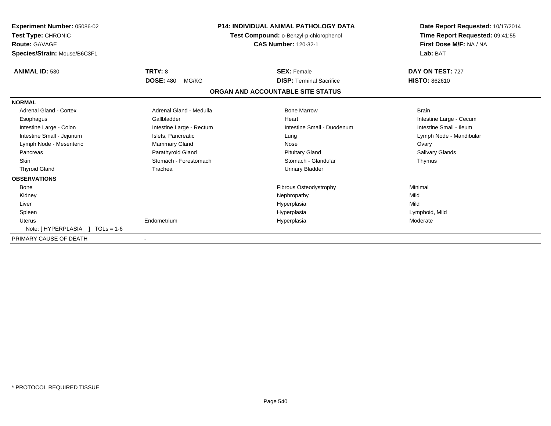| Experiment Number: 05086-02<br>Test Type: CHRONIC<br><b>Route: GAVAGE</b><br>Species/Strain: Mouse/B6C3F1 |                           | <b>P14: INDIVIDUAL ANIMAL PATHOLOGY DATA</b><br>Test Compound: o-Benzyl-p-chlorophenol<br><b>CAS Number: 120-32-1</b> | Date Report Requested: 10/17/2014<br>Time Report Requested: 09:41:55<br>First Dose M/F: NA / NA<br>Lab: BAT |  |
|-----------------------------------------------------------------------------------------------------------|---------------------------|-----------------------------------------------------------------------------------------------------------------------|-------------------------------------------------------------------------------------------------------------|--|
| <b>ANIMAL ID: 530</b>                                                                                     | TRT#: 8                   | <b>SEX: Female</b>                                                                                                    | DAY ON TEST: 727                                                                                            |  |
|                                                                                                           | <b>DOSE: 480</b><br>MG/KG | <b>DISP: Terminal Sacrifice</b>                                                                                       | <b>HISTO: 862610</b>                                                                                        |  |
|                                                                                                           |                           | ORGAN AND ACCOUNTABLE SITE STATUS                                                                                     |                                                                                                             |  |
| <b>NORMAL</b>                                                                                             |                           |                                                                                                                       |                                                                                                             |  |
| Adrenal Gland - Cortex                                                                                    | Adrenal Gland - Medulla   | <b>Bone Marrow</b>                                                                                                    | <b>Brain</b>                                                                                                |  |
| Esophagus                                                                                                 | Gallbladder               | Heart                                                                                                                 | Intestine Large - Cecum                                                                                     |  |
| Intestine Large - Colon                                                                                   | Intestine Large - Rectum  | Intestine Small - Duodenum                                                                                            | Intestine Small - Ileum                                                                                     |  |
| Intestine Small - Jejunum                                                                                 | Islets, Pancreatic        | Lung                                                                                                                  | Lymph Node - Mandibular                                                                                     |  |
| Lymph Node - Mesenteric                                                                                   | Mammary Gland             | Nose                                                                                                                  | Ovary                                                                                                       |  |
| Pancreas                                                                                                  | Parathyroid Gland         | <b>Pituitary Gland</b>                                                                                                | Salivary Glands                                                                                             |  |
| <b>Skin</b>                                                                                               | Stomach - Forestomach     | Stomach - Glandular                                                                                                   | Thymus                                                                                                      |  |
| <b>Thyroid Gland</b>                                                                                      | Trachea                   | <b>Urinary Bladder</b>                                                                                                |                                                                                                             |  |
| <b>OBSERVATIONS</b>                                                                                       |                           |                                                                                                                       |                                                                                                             |  |
| <b>Bone</b>                                                                                               |                           | Fibrous Osteodystrophy                                                                                                | Minimal                                                                                                     |  |
| Kidney                                                                                                    |                           | Nephropathy                                                                                                           | Mild                                                                                                        |  |
| Liver                                                                                                     |                           | Hyperplasia                                                                                                           | Mild                                                                                                        |  |
| Spleen                                                                                                    |                           | Hyperplasia                                                                                                           | Lymphoid, Mild                                                                                              |  |
| Uterus                                                                                                    | Endometrium               | Hyperplasia                                                                                                           | Moderate                                                                                                    |  |
| $TGLs = 1-6$                                                                                              |                           |                                                                                                                       |                                                                                                             |  |
| PRIMARY CAUSE OF DEATH                                                                                    |                           |                                                                                                                       |                                                                                                             |  |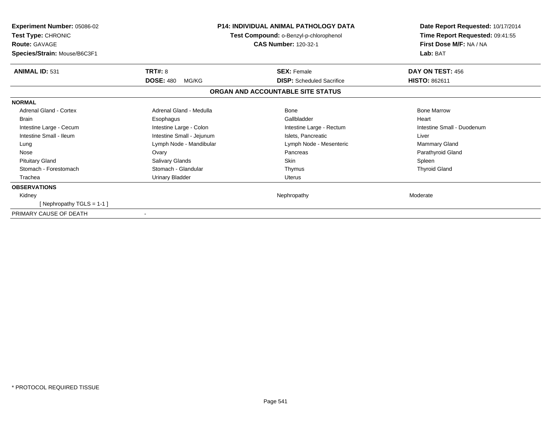| <b>Experiment Number: 05086-02</b><br>Test Type: CHRONIC<br><b>Route: GAVAGE</b><br>Species/Strain: Mouse/B6C3F1 |                           | P14: INDIVIDUAL ANIMAL PATHOLOGY DATA<br>Test Compound: o-Benzyl-p-chlorophenol<br><b>CAS Number: 120-32-1</b> | Date Report Requested: 10/17/2014<br>Time Report Requested: 09:41:55<br>First Dose M/F: NA / NA<br>Lab: BAT |  |
|------------------------------------------------------------------------------------------------------------------|---------------------------|----------------------------------------------------------------------------------------------------------------|-------------------------------------------------------------------------------------------------------------|--|
| <b>ANIMAL ID: 531</b>                                                                                            | <b>TRT#: 8</b>            | <b>SEX: Female</b>                                                                                             | <b>DAY ON TEST: 456</b>                                                                                     |  |
|                                                                                                                  | <b>DOSE: 480</b><br>MG/KG | <b>DISP:</b> Scheduled Sacrifice                                                                               | <b>HISTO: 862611</b>                                                                                        |  |
|                                                                                                                  |                           | ORGAN AND ACCOUNTABLE SITE STATUS                                                                              |                                                                                                             |  |
| <b>NORMAL</b>                                                                                                    |                           |                                                                                                                |                                                                                                             |  |
| Adrenal Gland - Cortex                                                                                           | Adrenal Gland - Medulla   | Bone                                                                                                           | <b>Bone Marrow</b>                                                                                          |  |
| <b>Brain</b>                                                                                                     | Esophagus                 | Gallbladder                                                                                                    | Heart                                                                                                       |  |
| Intestine Large - Cecum                                                                                          | Intestine Large - Colon   | Intestine Large - Rectum                                                                                       | Intestine Small - Duodenum                                                                                  |  |
| Intestine Small - Ileum                                                                                          | Intestine Small - Jejunum | Islets, Pancreatic                                                                                             | Liver                                                                                                       |  |
| Lung                                                                                                             | Lymph Node - Mandibular   | Lymph Node - Mesenteric                                                                                        | Mammary Gland                                                                                               |  |
| Nose                                                                                                             | Ovary                     | Pancreas                                                                                                       | Parathyroid Gland                                                                                           |  |
| <b>Pituitary Gland</b>                                                                                           | Salivary Glands           | <b>Skin</b>                                                                                                    | Spleen                                                                                                      |  |
| Stomach - Forestomach                                                                                            | Stomach - Glandular       | Thymus                                                                                                         | <b>Thyroid Gland</b>                                                                                        |  |
| Trachea                                                                                                          | <b>Urinary Bladder</b>    | <b>Uterus</b>                                                                                                  |                                                                                                             |  |
| <b>OBSERVATIONS</b>                                                                                              |                           |                                                                                                                |                                                                                                             |  |
| Kidney                                                                                                           |                           | Nephropathy                                                                                                    | Moderate                                                                                                    |  |
| [Nephropathy TGLS = 1-1]                                                                                         |                           |                                                                                                                |                                                                                                             |  |
| PRIMARY CAUSE OF DEATH                                                                                           | $\overline{\phantom{a}}$  |                                                                                                                |                                                                                                             |  |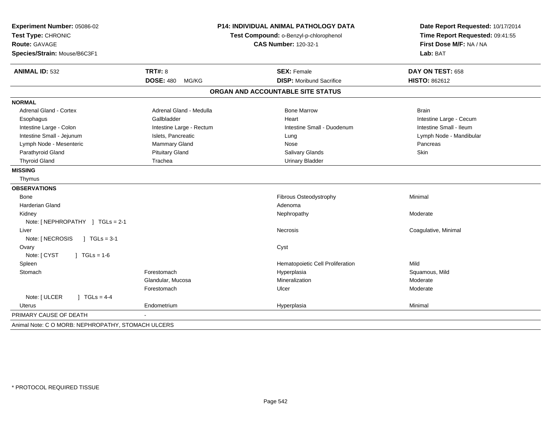| Experiment Number: 05086-02                                                  |                           | <b>P14: INDIVIDUAL ANIMAL PATHOLOGY DATA</b> | Date Report Requested: 10/17/2014                                      |  |
|------------------------------------------------------------------------------|---------------------------|----------------------------------------------|------------------------------------------------------------------------|--|
| Test Type: CHRONIC                                                           |                           | Test Compound: o-Benzyl-p-chlorophenol       | Time Report Requested: 09:41:55<br>First Dose M/F: NA / NA<br>Lab: BAT |  |
| Route: GAVAGE                                                                |                           | <b>CAS Number: 120-32-1</b>                  |                                                                        |  |
| Species/Strain: Mouse/B6C3F1                                                 |                           |                                              |                                                                        |  |
| <b>ANIMAL ID: 532</b>                                                        | <b>TRT#: 8</b>            | <b>SEX: Female</b>                           | DAY ON TEST: 658                                                       |  |
|                                                                              | <b>DOSE: 480</b><br>MG/KG | <b>DISP:</b> Moribund Sacrifice              | <b>HISTO: 862612</b>                                                   |  |
|                                                                              |                           | ORGAN AND ACCOUNTABLE SITE STATUS            |                                                                        |  |
| <b>NORMAL</b>                                                                |                           |                                              |                                                                        |  |
| <b>Adrenal Gland - Cortex</b>                                                | Adrenal Gland - Medulla   | <b>Bone Marrow</b>                           | <b>Brain</b>                                                           |  |
| Esophagus                                                                    | Gallbladder               | Heart                                        | Intestine Large - Cecum                                                |  |
| Intestine Large - Colon                                                      | Intestine Large - Rectum  | Intestine Small - Duodenum                   | Intestine Small - Ileum                                                |  |
| Intestine Small - Jejunum                                                    | Islets, Pancreatic        | Lung                                         | Lymph Node - Mandibular                                                |  |
| Lymph Node - Mesenteric                                                      | Mammary Gland             | Nose                                         | Pancreas                                                               |  |
| Parathyroid Gland                                                            | <b>Pituitary Gland</b>    | Salivary Glands                              | Skin                                                                   |  |
| <b>Thyroid Gland</b>                                                         | Trachea                   | <b>Urinary Bladder</b>                       |                                                                        |  |
| <b>MISSING</b>                                                               |                           |                                              |                                                                        |  |
| Thymus                                                                       |                           |                                              |                                                                        |  |
| <b>OBSERVATIONS</b>                                                          |                           |                                              |                                                                        |  |
| Bone                                                                         |                           | Fibrous Osteodystrophy                       | Minimal                                                                |  |
| <b>Harderian Gland</b>                                                       |                           | Adenoma                                      |                                                                        |  |
| Kidney                                                                       |                           | Nephropathy                                  | Moderate                                                               |  |
| Note: [NEPHROPATHY ] TGLs = 2-1                                              |                           |                                              |                                                                        |  |
| Liver                                                                        |                           | <b>Necrosis</b>                              | Coagulative, Minimal                                                   |  |
| Note: [ NECROSIS<br>$\vert$ TGLs = 3-1                                       |                           |                                              |                                                                        |  |
| Ovary                                                                        |                           | Cyst                                         |                                                                        |  |
| Note: [ CYST<br>$J \cdot TGLS = 1-6$                                         |                           |                                              |                                                                        |  |
| Spleen                                                                       |                           | Hematopoietic Cell Proliferation             | Mild                                                                   |  |
| Stomach                                                                      | Forestomach               | Hyperplasia                                  | Squamous, Mild                                                         |  |
|                                                                              | Glandular, Mucosa         | Mineralization                               | Moderate                                                               |  |
|                                                                              | Forestomach               | Ulcer                                        | Moderate                                                               |  |
| Note: [ ULCER<br>$1 TGLs = 4-4$                                              |                           |                                              |                                                                        |  |
| Uterus                                                                       | Endometrium               | Hyperplasia                                  | Minimal                                                                |  |
|                                                                              |                           |                                              |                                                                        |  |
| PRIMARY CAUSE OF DEATH<br>Animal Note: C O MORB: NEPHROPATHY, STOMACH ULCERS |                           |                                              |                                                                        |  |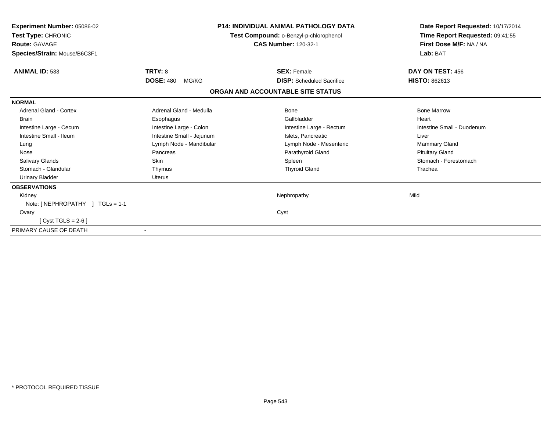| Experiment Number: 05086-02<br>Test Type: CHRONIC<br><b>Route: GAVAGE</b><br>Species/Strain: Mouse/B6C3F1 |                           | <b>P14: INDIVIDUAL ANIMAL PATHOLOGY DATA</b><br>Test Compound: o-Benzyl-p-chlorophenol<br><b>CAS Number: 120-32-1</b> | Date Report Requested: 10/17/2014<br>Time Report Requested: 09:41:55<br>First Dose M/F: NA / NA<br>Lab: BAT |  |
|-----------------------------------------------------------------------------------------------------------|---------------------------|-----------------------------------------------------------------------------------------------------------------------|-------------------------------------------------------------------------------------------------------------|--|
| <b>ANIMAL ID: 533</b>                                                                                     | <b>TRT#: 8</b>            | <b>SEX: Female</b>                                                                                                    | DAY ON TEST: 456                                                                                            |  |
|                                                                                                           | <b>DOSE: 480</b><br>MG/KG | <b>DISP:</b> Scheduled Sacrifice                                                                                      | <b>HISTO: 862613</b>                                                                                        |  |
|                                                                                                           |                           | ORGAN AND ACCOUNTABLE SITE STATUS                                                                                     |                                                                                                             |  |
| <b>NORMAL</b>                                                                                             |                           |                                                                                                                       |                                                                                                             |  |
| <b>Adrenal Gland - Cortex</b>                                                                             | Adrenal Gland - Medulla   | <b>Bone</b>                                                                                                           | <b>Bone Marrow</b>                                                                                          |  |
| <b>Brain</b>                                                                                              | Esophagus                 | Gallbladder                                                                                                           | Heart                                                                                                       |  |
| Intestine Large - Cecum                                                                                   | Intestine Large - Colon   | Intestine Large - Rectum                                                                                              | Intestine Small - Duodenum                                                                                  |  |
| Intestine Small - Ileum                                                                                   | Intestine Small - Jejunum | Islets, Pancreatic                                                                                                    | Liver                                                                                                       |  |
| Lung                                                                                                      | Lymph Node - Mandibular   | Lymph Node - Mesenteric                                                                                               | <b>Mammary Gland</b>                                                                                        |  |
| Nose                                                                                                      | Pancreas                  | Parathyroid Gland                                                                                                     | <b>Pituitary Gland</b>                                                                                      |  |
| <b>Salivary Glands</b>                                                                                    | Skin                      | Spleen                                                                                                                | Stomach - Forestomach                                                                                       |  |
| Stomach - Glandular                                                                                       | Thymus                    | <b>Thyroid Gland</b>                                                                                                  | Trachea                                                                                                     |  |
| <b>Urinary Bladder</b>                                                                                    | <b>Uterus</b>             |                                                                                                                       |                                                                                                             |  |
| <b>OBSERVATIONS</b>                                                                                       |                           |                                                                                                                       |                                                                                                             |  |
| Kidney                                                                                                    |                           | Nephropathy                                                                                                           | Mild                                                                                                        |  |
| Note: [NEPHROPATHY ] TGLs = 1-1                                                                           |                           |                                                                                                                       |                                                                                                             |  |
| Ovary                                                                                                     |                           | Cyst                                                                                                                  |                                                                                                             |  |
| [Cyst TGLS = $2-6$ ]                                                                                      |                           |                                                                                                                       |                                                                                                             |  |
| PRIMARY CAUSE OF DEATH                                                                                    |                           |                                                                                                                       |                                                                                                             |  |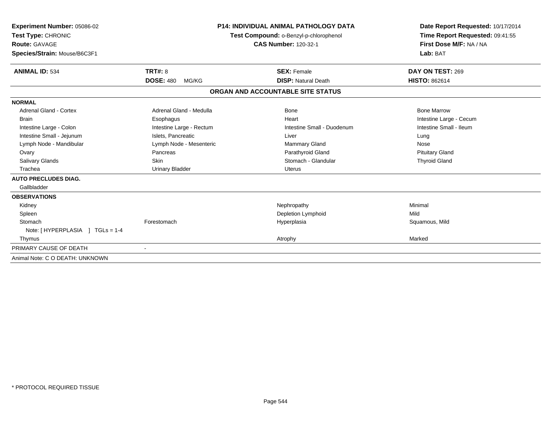| Experiment Number: 05086-02<br>Test Type: CHRONIC<br>Route: GAVAGE |                           | <b>P14: INDIVIDUAL ANIMAL PATHOLOGY DATA</b><br>Test Compound: o-Benzyl-p-chlorophenol<br><b>CAS Number: 120-32-1</b> | Date Report Requested: 10/17/2014<br>Time Report Requested: 09:41:55<br>First Dose M/F: NA / NA |  |
|--------------------------------------------------------------------|---------------------------|-----------------------------------------------------------------------------------------------------------------------|-------------------------------------------------------------------------------------------------|--|
| Species/Strain: Mouse/B6C3F1                                       |                           |                                                                                                                       | Lab: BAT                                                                                        |  |
| <b>ANIMAL ID: 534</b>                                              | <b>TRT#: 8</b>            | <b>SEX: Female</b>                                                                                                    | DAY ON TEST: 269                                                                                |  |
|                                                                    | <b>DOSE: 480</b><br>MG/KG | <b>DISP: Natural Death</b>                                                                                            | <b>HISTO: 862614</b>                                                                            |  |
|                                                                    |                           | ORGAN AND ACCOUNTABLE SITE STATUS                                                                                     |                                                                                                 |  |
| <b>NORMAL</b>                                                      |                           |                                                                                                                       |                                                                                                 |  |
| Adrenal Gland - Cortex                                             | Adrenal Gland - Medulla   | Bone                                                                                                                  | <b>Bone Marrow</b>                                                                              |  |
| <b>Brain</b>                                                       | Esophagus                 | Heart                                                                                                                 | Intestine Large - Cecum                                                                         |  |
| Intestine Large - Colon                                            | Intestine Large - Rectum  | Intestine Small - Duodenum                                                                                            | Intestine Small - Ileum                                                                         |  |
| Intestine Small - Jejunum                                          | Islets, Pancreatic        | Liver                                                                                                                 | Lung                                                                                            |  |
| Lymph Node - Mandibular                                            | Lymph Node - Mesenteric   | <b>Mammary Gland</b>                                                                                                  | Nose                                                                                            |  |
| Ovary                                                              | Pancreas                  | Parathyroid Gland                                                                                                     | <b>Pituitary Gland</b>                                                                          |  |
| <b>Salivary Glands</b>                                             | <b>Skin</b>               | Stomach - Glandular                                                                                                   | <b>Thyroid Gland</b>                                                                            |  |
| Trachea                                                            | <b>Urinary Bladder</b>    | Uterus                                                                                                                |                                                                                                 |  |
| <b>AUTO PRECLUDES DIAG.</b>                                        |                           |                                                                                                                       |                                                                                                 |  |
| Gallbladder                                                        |                           |                                                                                                                       |                                                                                                 |  |
| <b>OBSERVATIONS</b>                                                |                           |                                                                                                                       |                                                                                                 |  |
| Kidney                                                             |                           | Nephropathy                                                                                                           | Minimal                                                                                         |  |
| Spleen                                                             |                           | Depletion Lymphoid                                                                                                    | Mild                                                                                            |  |
| Stomach                                                            | Forestomach               | Hyperplasia                                                                                                           | Squamous, Mild                                                                                  |  |
| Note: [HYPERPLASIA ] TGLs = 1-4                                    |                           |                                                                                                                       |                                                                                                 |  |
| Thymus                                                             |                           | Atrophy                                                                                                               | Marked                                                                                          |  |
| PRIMARY CAUSE OF DEATH                                             |                           |                                                                                                                       |                                                                                                 |  |
| Animal Note: C O DEATH: UNKNOWN                                    |                           |                                                                                                                       |                                                                                                 |  |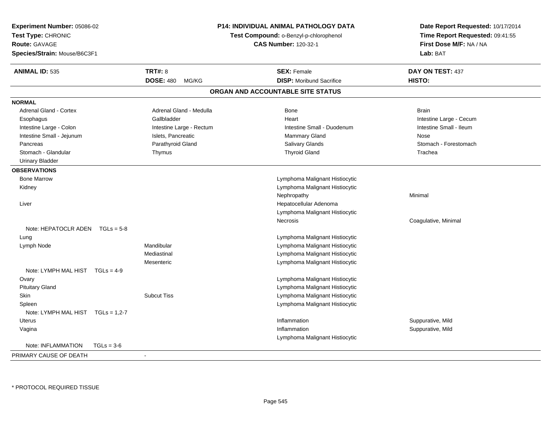| Experiment Number: 05086-02<br>Test Type: CHRONIC<br><b>Route: GAVAGE</b><br>Species/Strain: Mouse/B6C3F1 |                           | P14: INDIVIDUAL ANIMAL PATHOLOGY DATA<br>Test Compound: o-Benzyl-p-chlorophenol<br><b>CAS Number: 120-32-1</b> | Date Report Requested: 10/17/2014<br>Time Report Requested: 09:41:55<br>First Dose M/F: NA / NA<br>Lab: BAT |  |
|-----------------------------------------------------------------------------------------------------------|---------------------------|----------------------------------------------------------------------------------------------------------------|-------------------------------------------------------------------------------------------------------------|--|
| <b>ANIMAL ID: 535</b>                                                                                     | <b>TRT#: 8</b>            | <b>SEX: Female</b>                                                                                             | DAY ON TEST: 437                                                                                            |  |
|                                                                                                           | <b>DOSE: 480</b><br>MG/KG | <b>DISP:</b> Moribund Sacrifice                                                                                | HISTO:                                                                                                      |  |
|                                                                                                           |                           | ORGAN AND ACCOUNTABLE SITE STATUS                                                                              |                                                                                                             |  |
| <b>NORMAL</b>                                                                                             |                           |                                                                                                                |                                                                                                             |  |
| <b>Adrenal Gland - Cortex</b>                                                                             | Adrenal Gland - Medulla   | Bone                                                                                                           | <b>Brain</b>                                                                                                |  |
| Esophagus                                                                                                 | Gallbladder               | Heart                                                                                                          | Intestine Large - Cecum                                                                                     |  |
| Intestine Large - Colon                                                                                   | Intestine Large - Rectum  | Intestine Small - Duodenum                                                                                     | Intestine Small - Ileum                                                                                     |  |
| Intestine Small - Jejunum                                                                                 | Islets, Pancreatic        | Mammary Gland                                                                                                  | Nose                                                                                                        |  |
| Pancreas                                                                                                  | Parathyroid Gland         | Salivary Glands                                                                                                | Stomach - Forestomach                                                                                       |  |
| Stomach - Glandular                                                                                       | Thymus                    | <b>Thyroid Gland</b>                                                                                           | Trachea                                                                                                     |  |
| <b>Urinary Bladder</b>                                                                                    |                           |                                                                                                                |                                                                                                             |  |
| <b>OBSERVATIONS</b>                                                                                       |                           |                                                                                                                |                                                                                                             |  |
| <b>Bone Marrow</b>                                                                                        |                           | Lymphoma Malignant Histiocytic                                                                                 |                                                                                                             |  |
| Kidney                                                                                                    |                           | Lymphoma Malignant Histiocytic                                                                                 |                                                                                                             |  |
|                                                                                                           |                           | Nephropathy                                                                                                    | Minimal                                                                                                     |  |
| Liver                                                                                                     |                           | Hepatocellular Adenoma                                                                                         |                                                                                                             |  |
|                                                                                                           |                           | Lymphoma Malignant Histiocytic                                                                                 |                                                                                                             |  |
|                                                                                                           |                           | Necrosis                                                                                                       | Coagulative, Minimal                                                                                        |  |
| Note: HEPATOCLR ADEN $TGLs = 5-8$                                                                         |                           |                                                                                                                |                                                                                                             |  |
| Lung                                                                                                      |                           | Lymphoma Malignant Histiocytic                                                                                 |                                                                                                             |  |
| Lymph Node                                                                                                | Mandibular                | Lymphoma Malignant Histiocytic                                                                                 |                                                                                                             |  |
|                                                                                                           | Mediastinal               | Lymphoma Malignant Histiocytic                                                                                 |                                                                                                             |  |
|                                                                                                           | Mesenteric                | Lymphoma Malignant Histiocytic                                                                                 |                                                                                                             |  |
| Note: LYMPH MAL HIST TGLs = 4-9                                                                           |                           |                                                                                                                |                                                                                                             |  |
| Ovary                                                                                                     |                           | Lymphoma Malignant Histiocytic                                                                                 |                                                                                                             |  |
| <b>Pituitary Gland</b>                                                                                    |                           | Lymphoma Malignant Histiocytic                                                                                 |                                                                                                             |  |
| Skin                                                                                                      | <b>Subcut Tiss</b>        | Lymphoma Malignant Histiocytic                                                                                 |                                                                                                             |  |
| Spleen                                                                                                    |                           | Lymphoma Malignant Histiocytic                                                                                 |                                                                                                             |  |
| Note: LYMPH MAL HIST TGLs = 1,2-7                                                                         |                           |                                                                                                                |                                                                                                             |  |
| Uterus                                                                                                    |                           | Inflammation                                                                                                   | Suppurative, Mild                                                                                           |  |
| Vagina                                                                                                    |                           | Inflammation                                                                                                   | Suppurative, Mild                                                                                           |  |
|                                                                                                           |                           | Lymphoma Malignant Histiocytic                                                                                 |                                                                                                             |  |
| Note: INFLAMMATION<br>$TGLs = 3-6$                                                                        |                           |                                                                                                                |                                                                                                             |  |
| PRIMARY CAUSE OF DEATH                                                                                    |                           |                                                                                                                |                                                                                                             |  |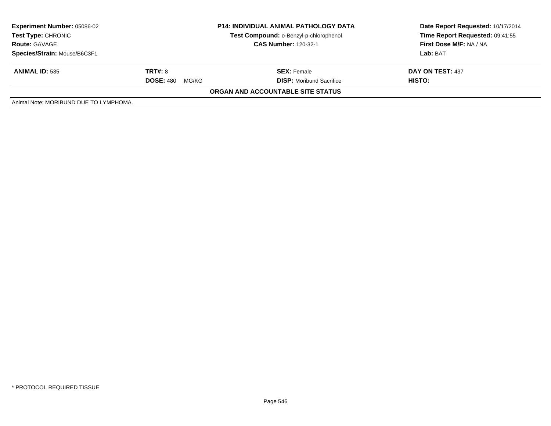| <b>Experiment Number: 05086-02</b><br><b>Test Type: CHRONIC</b><br><b>Route: GAVAGE</b><br>Species/Strain: Mouse/B6C3F1 | <b>P14: INDIVIDUAL ANIMAL PATHOLOGY DATA</b><br>Test Compound: o-Benzyl-p-chlorophenol<br><b>CAS Number: 120-32-1</b> |                                                       | Date Report Requested: 10/17/2014<br>Time Report Requested: 09:41:55<br>First Dose M/F: NA / NA<br>Lab: BAT |
|-------------------------------------------------------------------------------------------------------------------------|-----------------------------------------------------------------------------------------------------------------------|-------------------------------------------------------|-------------------------------------------------------------------------------------------------------------|
| <b>ANIMAL ID: 535</b>                                                                                                   | <b>TRT#: 8</b><br><b>DOSE: 480</b><br>MG/KG                                                                           | <b>SEX:</b> Female<br><b>DISP:</b> Moribund Sacrifice | DAY ON TEST: 437<br>HISTO:                                                                                  |
|                                                                                                                         |                                                                                                                       | ORGAN AND ACCOUNTABLE SITE STATUS                     |                                                                                                             |
| Animal Note: MORIBUND DUE TO LYMPHOMA.                                                                                  |                                                                                                                       |                                                       |                                                                                                             |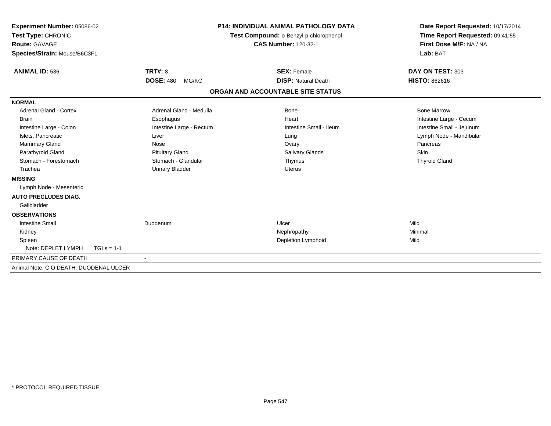| Experiment Number: 05086-02<br>Test Type: CHRONIC<br>Route: GAVAGE<br>Species/Strain: Mouse/B6C3F1                                                                                                                                     |                                                                                                                                                              | <b>P14: INDIVIDUAL ANIMAL PATHOLOGY DATA</b><br>Test Compound: o-Benzyl-p-chlorophenol<br><b>CAS Number: 120-32-1</b> | Date Report Requested: 10/17/2014<br>Time Report Requested: 09:41:55<br>First Dose M/F: NA / NA<br>Lab: BAT                                              |
|----------------------------------------------------------------------------------------------------------------------------------------------------------------------------------------------------------------------------------------|--------------------------------------------------------------------------------------------------------------------------------------------------------------|-----------------------------------------------------------------------------------------------------------------------|----------------------------------------------------------------------------------------------------------------------------------------------------------|
| <b>ANIMAL ID: 536</b>                                                                                                                                                                                                                  | <b>TRT#: 8</b><br><b>DOSE: 480</b><br>MG/KG                                                                                                                  | <b>SEX: Female</b><br><b>DISP: Natural Death</b>                                                                      | DAY ON TEST: 303<br><b>HISTO: 862616</b>                                                                                                                 |
|                                                                                                                                                                                                                                        |                                                                                                                                                              | ORGAN AND ACCOUNTABLE SITE STATUS                                                                                     |                                                                                                                                                          |
|                                                                                                                                                                                                                                        |                                                                                                                                                              |                                                                                                                       |                                                                                                                                                          |
| <b>NORMAL</b><br><b>Adrenal Gland - Cortex</b><br><b>Brain</b><br>Intestine Large - Colon<br>Islets, Pancreatic<br>Mammary Gland<br>Parathyroid Gland<br>Stomach - Forestomach<br>Trachea<br><b>MISSING</b><br>Lymph Node - Mesenteric | Adrenal Gland - Medulla<br>Esophagus<br>Intestine Large - Rectum<br>Liver<br>Nose<br><b>Pituitary Gland</b><br>Stomach - Glandular<br><b>Urinary Bladder</b> | Bone<br>Heart<br>Intestine Small - Ileum<br>Lung<br>Ovary<br><b>Salivary Glands</b><br>Thymus<br>Uterus               | <b>Bone Marrow</b><br>Intestine Large - Cecum<br>Intestine Small - Jejunum<br>Lymph Node - Mandibular<br>Pancreas<br><b>Skin</b><br><b>Thyroid Gland</b> |
| <b>AUTO PRECLUDES DIAG.</b><br>Gallbladder                                                                                                                                                                                             |                                                                                                                                                              |                                                                                                                       |                                                                                                                                                          |
| <b>OBSERVATIONS</b><br><b>Intestine Small</b><br>Kidney<br>Spleen                                                                                                                                                                      | Duodenum                                                                                                                                                     | Ulcer<br>Nephropathy<br><b>Depletion Lymphoid</b>                                                                     | Mild<br>Minimal<br>Mild                                                                                                                                  |
| Note: DEPLET LYMPH                                                                                                                                                                                                                     | $TGLs = 1-1$                                                                                                                                                 |                                                                                                                       |                                                                                                                                                          |
| PRIMARY CAUSE OF DEATH                                                                                                                                                                                                                 | $\sim$                                                                                                                                                       |                                                                                                                       |                                                                                                                                                          |
| Animal Note: C O DEATH: DUODENAL ULCER                                                                                                                                                                                                 |                                                                                                                                                              |                                                                                                                       |                                                                                                                                                          |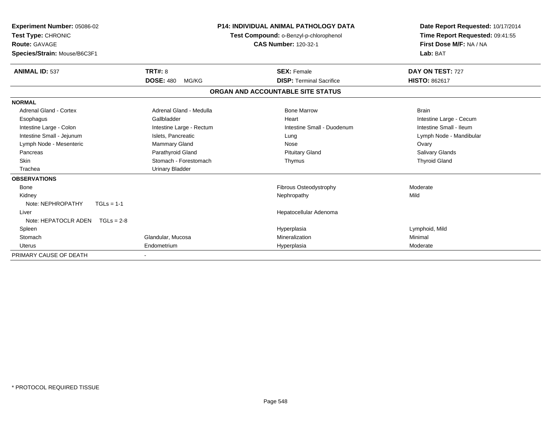| <b>Experiment Number: 05086-02</b><br>Test Type: CHRONIC<br><b>Route: GAVAGE</b><br>Species/Strain: Mouse/B6C3F1 |                           | <b>P14: INDIVIDUAL ANIMAL PATHOLOGY DATA</b><br>Test Compound: o-Benzyl-p-chlorophenol<br><b>CAS Number: 120-32-1</b> | Date Report Requested: 10/17/2014<br>Time Report Requested: 09:41:55<br>First Dose M/F: NA / NA<br>Lab: BAT |  |
|------------------------------------------------------------------------------------------------------------------|---------------------------|-----------------------------------------------------------------------------------------------------------------------|-------------------------------------------------------------------------------------------------------------|--|
| <b>ANIMAL ID: 537</b>                                                                                            | TRT#: 8                   | <b>SEX: Female</b>                                                                                                    | DAY ON TEST: 727                                                                                            |  |
|                                                                                                                  | <b>DOSE: 480</b><br>MG/KG | <b>DISP: Terminal Sacrifice</b>                                                                                       | <b>HISTO: 862617</b>                                                                                        |  |
|                                                                                                                  |                           | ORGAN AND ACCOUNTABLE SITE STATUS                                                                                     |                                                                                                             |  |
| <b>NORMAL</b>                                                                                                    |                           |                                                                                                                       |                                                                                                             |  |
| <b>Adrenal Gland - Cortex</b>                                                                                    | Adrenal Gland - Medulla   | <b>Bone Marrow</b>                                                                                                    | <b>Brain</b>                                                                                                |  |
| Esophagus                                                                                                        | Gallbladder               | Heart                                                                                                                 | Intestine Large - Cecum                                                                                     |  |
| Intestine Large - Colon                                                                                          | Intestine Large - Rectum  | Intestine Small - Duodenum                                                                                            | Intestine Small - Ileum                                                                                     |  |
| Intestine Small - Jejunum                                                                                        | Islets, Pancreatic        | Lung                                                                                                                  | Lymph Node - Mandibular                                                                                     |  |
| Lymph Node - Mesenteric                                                                                          | Mammary Gland             | Nose                                                                                                                  | Ovary                                                                                                       |  |
| Pancreas                                                                                                         | Parathyroid Gland         | <b>Pituitary Gland</b>                                                                                                | <b>Salivary Glands</b>                                                                                      |  |
| Skin                                                                                                             | Stomach - Forestomach     | Thymus                                                                                                                | <b>Thyroid Gland</b>                                                                                        |  |
| Trachea                                                                                                          | <b>Urinary Bladder</b>    |                                                                                                                       |                                                                                                             |  |
| <b>OBSERVATIONS</b>                                                                                              |                           |                                                                                                                       |                                                                                                             |  |
| Bone                                                                                                             |                           | Fibrous Osteodystrophy                                                                                                | Moderate                                                                                                    |  |
| Kidney                                                                                                           |                           | Nephropathy                                                                                                           | Mild                                                                                                        |  |
| Note: NEPHROPATHY<br>$TGLs = 1-1$                                                                                |                           |                                                                                                                       |                                                                                                             |  |
| Liver                                                                                                            |                           | Hepatocellular Adenoma                                                                                                |                                                                                                             |  |
| Note: HEPATOCLR ADEN<br>$TGLs = 2-8$                                                                             |                           |                                                                                                                       |                                                                                                             |  |
| Spleen                                                                                                           |                           | Hyperplasia                                                                                                           | Lymphoid, Mild                                                                                              |  |
| Stomach                                                                                                          | Glandular, Mucosa         | Mineralization                                                                                                        | Minimal                                                                                                     |  |
| Uterus                                                                                                           | Endometrium               | Hyperplasia                                                                                                           | Moderate                                                                                                    |  |
| PRIMARY CAUSE OF DEATH                                                                                           |                           |                                                                                                                       |                                                                                                             |  |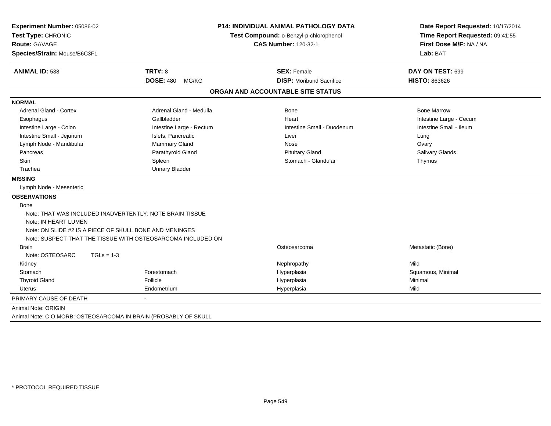| Experiment Number: 05086-02                                     |                                                                       | <b>P14: INDIVIDUAL ANIMAL PATHOLOGY DATA</b> | Date Report Requested: 10/17/2014 |  |
|-----------------------------------------------------------------|-----------------------------------------------------------------------|----------------------------------------------|-----------------------------------|--|
| Test Type: CHRONIC                                              | Test Compound: o-Benzyl-p-chlorophenol<br><b>CAS Number: 120-32-1</b> |                                              | Time Report Requested: 09:41:55   |  |
| Route: GAVAGE                                                   |                                                                       |                                              | First Dose M/F: NA / NA           |  |
| Species/Strain: Mouse/B6C3F1                                    |                                                                       |                                              | Lab: BAT                          |  |
| <b>ANIMAL ID: 538</b>                                           | <b>TRT#: 8</b>                                                        | <b>SEX: Female</b>                           | DAY ON TEST: 699                  |  |
|                                                                 | <b>DOSE: 480</b><br>MG/KG                                             | <b>DISP:</b> Moribund Sacrifice              | <b>HISTO: 863626</b>              |  |
|                                                                 |                                                                       | ORGAN AND ACCOUNTABLE SITE STATUS            |                                   |  |
| <b>NORMAL</b>                                                   |                                                                       |                                              |                                   |  |
| <b>Adrenal Gland - Cortex</b>                                   | Adrenal Gland - Medulla                                               | <b>Bone</b>                                  | <b>Bone Marrow</b>                |  |
| Esophagus                                                       | Gallbladder                                                           | Heart                                        | Intestine Large - Cecum           |  |
| Intestine Large - Colon                                         | Intestine Large - Rectum                                              | Intestine Small - Duodenum                   | Intestine Small - Ileum           |  |
| Intestine Small - Jejunum                                       | Islets, Pancreatic                                                    | Liver                                        | Lung                              |  |
| Lymph Node - Mandibular                                         | Mammary Gland                                                         | Nose                                         | Ovary                             |  |
| Pancreas                                                        | Parathyroid Gland                                                     | <b>Pituitary Gland</b>                       | Salivary Glands                   |  |
| <b>Skin</b>                                                     | Spleen                                                                | Stomach - Glandular                          | Thymus                            |  |
| Trachea                                                         | <b>Urinary Bladder</b>                                                |                                              |                                   |  |
| <b>MISSING</b>                                                  |                                                                       |                                              |                                   |  |
| Lymph Node - Mesenteric                                         |                                                                       |                                              |                                   |  |
| <b>OBSERVATIONS</b>                                             |                                                                       |                                              |                                   |  |
| Bone                                                            |                                                                       |                                              |                                   |  |
| Note: THAT WAS INCLUDED INADVERTENTLY; NOTE BRAIN TISSUE        |                                                                       |                                              |                                   |  |
| Note: IN HEART LUMEN                                            |                                                                       |                                              |                                   |  |
| Note: ON SLIDE #2 IS A PIECE OF SKULL BONE AND MENINGES         |                                                                       |                                              |                                   |  |
|                                                                 | Note: SUSPECT THAT THE TISSUE WITH OSTEOSARCOMA INCLUDED ON           |                                              |                                   |  |
| <b>Brain</b>                                                    |                                                                       | Osteosarcoma                                 | Metastatic (Bone)                 |  |
| Note: OSTEOSARC<br>$TGLs = 1-3$                                 |                                                                       |                                              |                                   |  |
| Kidney                                                          |                                                                       | Nephropathy                                  | Mild                              |  |
| Stomach                                                         | Forestomach                                                           | Hyperplasia                                  | Squamous, Minimal                 |  |
| <b>Thyroid Gland</b>                                            | Follicle                                                              | Hyperplasia                                  | Minimal                           |  |
| <b>Uterus</b>                                                   | Endometrium                                                           | Hyperplasia                                  | Mild                              |  |
| PRIMARY CAUSE OF DEATH                                          |                                                                       |                                              |                                   |  |
| Animal Note: ORIGIN                                             |                                                                       |                                              |                                   |  |
| Animal Note: C O MORB: OSTEOSARCOMA IN BRAIN (PROBABLY OF SKULL |                                                                       |                                              |                                   |  |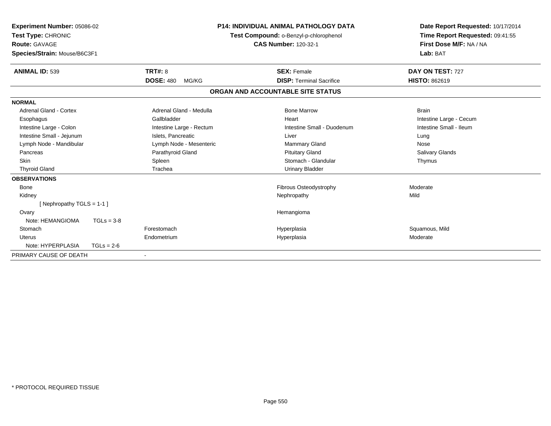| Experiment Number: 05086-02<br>Test Type: CHRONIC<br>Route: GAVAGE<br>Species/Strain: Mouse/B6C3F1 |              | <b>P14: INDIVIDUAL ANIMAL PATHOLOGY DATA</b><br>Test Compound: o-Benzyl-p-chlorophenol<br><b>CAS Number: 120-32-1</b><br>Lab: BAT |                                   | Date Report Requested: 10/17/2014<br>Time Report Requested: 09:41:55<br>First Dose M/F: NA / NA |                         |
|----------------------------------------------------------------------------------------------------|--------------|-----------------------------------------------------------------------------------------------------------------------------------|-----------------------------------|-------------------------------------------------------------------------------------------------|-------------------------|
| <b>ANIMAL ID: 539</b>                                                                              |              | TRT#: 8                                                                                                                           | <b>SEX: Female</b>                |                                                                                                 | DAY ON TEST: 727        |
|                                                                                                    |              | <b>DOSE: 480</b><br>MG/KG                                                                                                         | <b>DISP: Terminal Sacrifice</b>   |                                                                                                 | <b>HISTO: 862619</b>    |
|                                                                                                    |              |                                                                                                                                   | ORGAN AND ACCOUNTABLE SITE STATUS |                                                                                                 |                         |
| <b>NORMAL</b>                                                                                      |              |                                                                                                                                   |                                   |                                                                                                 |                         |
| Adrenal Gland - Cortex                                                                             |              | Adrenal Gland - Medulla                                                                                                           | <b>Bone Marrow</b>                |                                                                                                 | <b>Brain</b>            |
| Esophagus                                                                                          |              | Gallbladder                                                                                                                       | Heart                             |                                                                                                 | Intestine Large - Cecum |
| Intestine Large - Colon                                                                            |              | Intestine Large - Rectum                                                                                                          | Intestine Small - Duodenum        |                                                                                                 | Intestine Small - Ileum |
| Intestine Small - Jejunum                                                                          |              | Islets, Pancreatic                                                                                                                | Liver                             |                                                                                                 | Lung                    |
| Lymph Node - Mandibular                                                                            |              | Lymph Node - Mesenteric                                                                                                           | Mammary Gland                     |                                                                                                 | Nose                    |
| Pancreas                                                                                           |              | Parathyroid Gland                                                                                                                 | <b>Pituitary Gland</b>            |                                                                                                 | <b>Salivary Glands</b>  |
| <b>Skin</b>                                                                                        |              | Spleen                                                                                                                            | Stomach - Glandular               |                                                                                                 | Thymus                  |
| <b>Thyroid Gland</b>                                                                               |              | Trachea                                                                                                                           | <b>Urinary Bladder</b>            |                                                                                                 |                         |
| <b>OBSERVATIONS</b>                                                                                |              |                                                                                                                                   |                                   |                                                                                                 |                         |
| <b>Bone</b>                                                                                        |              |                                                                                                                                   | Fibrous Osteodystrophy            |                                                                                                 | Moderate                |
| Kidney                                                                                             |              |                                                                                                                                   | Nephropathy                       |                                                                                                 | Mild                    |
| [Nephropathy TGLS = 1-1]                                                                           |              |                                                                                                                                   |                                   |                                                                                                 |                         |
| Ovary                                                                                              |              |                                                                                                                                   | Hemangioma                        |                                                                                                 |                         |
| Note: HEMANGIOMA                                                                                   | $TGLs = 3-8$ |                                                                                                                                   |                                   |                                                                                                 |                         |
| Stomach                                                                                            |              | Forestomach                                                                                                                       | Hyperplasia                       |                                                                                                 | Squamous, Mild          |
| Uterus                                                                                             |              | Endometrium                                                                                                                       | Hyperplasia                       |                                                                                                 | Moderate                |
| Note: HYPERPLASIA                                                                                  | $TGLs = 2-6$ |                                                                                                                                   |                                   |                                                                                                 |                         |
| PRIMARY CAUSE OF DEATH                                                                             |              | $\blacksquare$                                                                                                                    |                                   |                                                                                                 |                         |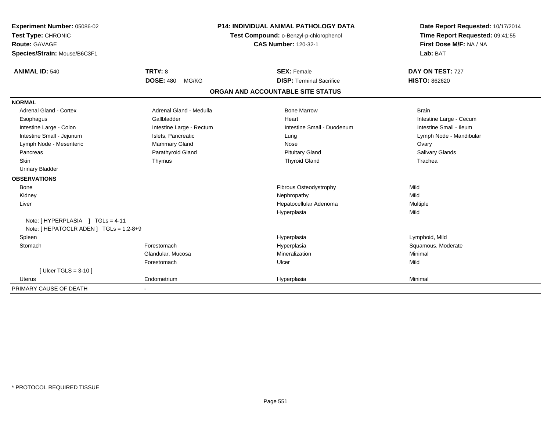| Experiment Number: 05086-02                                                 |                           | <b>P14: INDIVIDUAL ANIMAL PATHOLOGY DATA</b> |                                        | Date Report Requested: 10/17/2014 |  |
|-----------------------------------------------------------------------------|---------------------------|----------------------------------------------|----------------------------------------|-----------------------------------|--|
| Test Type: CHRONIC                                                          |                           |                                              | Test Compound: o-Benzyl-p-chlorophenol | Time Report Requested: 09:41:55   |  |
| <b>Route: GAVAGE</b>                                                        |                           | <b>CAS Number: 120-32-1</b>                  |                                        | First Dose M/F: NA / NA           |  |
| Species/Strain: Mouse/B6C3F1                                                |                           |                                              |                                        | Lab: BAT                          |  |
| <b>ANIMAL ID: 540</b>                                                       | TRT#: 8                   |                                              | <b>SEX: Female</b>                     | DAY ON TEST: 727                  |  |
|                                                                             | <b>DOSE: 480</b><br>MG/KG |                                              | <b>DISP: Terminal Sacrifice</b>        | <b>HISTO: 862620</b>              |  |
|                                                                             |                           |                                              | ORGAN AND ACCOUNTABLE SITE STATUS      |                                   |  |
| <b>NORMAL</b>                                                               |                           |                                              |                                        |                                   |  |
| <b>Adrenal Gland - Cortex</b>                                               | Adrenal Gland - Medulla   |                                              | <b>Bone Marrow</b>                     | <b>Brain</b>                      |  |
| Esophagus                                                                   | Gallbladder               |                                              | Heart                                  | Intestine Large - Cecum           |  |
| Intestine Large - Colon                                                     | Intestine Large - Rectum  |                                              | Intestine Small - Duodenum             | Intestine Small - Ileum           |  |
| Intestine Small - Jejunum                                                   | Islets, Pancreatic        |                                              | Lung                                   | Lymph Node - Mandibular           |  |
| Lymph Node - Mesenteric                                                     | Mammary Gland             |                                              | Nose                                   | Ovary                             |  |
| Pancreas                                                                    | Parathyroid Gland         |                                              | <b>Pituitary Gland</b>                 | <b>Salivary Glands</b>            |  |
| <b>Skin</b>                                                                 | Thymus                    |                                              | <b>Thyroid Gland</b>                   | Trachea                           |  |
| <b>Urinary Bladder</b>                                                      |                           |                                              |                                        |                                   |  |
| <b>OBSERVATIONS</b>                                                         |                           |                                              |                                        |                                   |  |
| <b>Bone</b>                                                                 |                           |                                              | Fibrous Osteodystrophy                 | Mild                              |  |
| Kidney                                                                      |                           |                                              | Nephropathy                            | Mild                              |  |
| Liver                                                                       |                           |                                              | Hepatocellular Adenoma                 | Multiple                          |  |
|                                                                             |                           |                                              | Hyperplasia                            | Mild                              |  |
| Note: [HYPERPLASIA ] TGLs = 4-11<br>Note: [ HEPATOCLR ADEN ] TGLs = 1,2-8+9 |                           |                                              |                                        |                                   |  |
| Spleen                                                                      |                           |                                              | Hyperplasia                            | Lymphoid, Mild                    |  |
| Stomach                                                                     | Forestomach               |                                              | Hyperplasia                            | Squamous, Moderate                |  |
|                                                                             | Glandular, Mucosa         |                                              | Mineralization                         | Minimal                           |  |
|                                                                             | Forestomach               |                                              | Ulcer                                  | Mild                              |  |
| [Ulcer TGLS = $3-10$ ]                                                      |                           |                                              |                                        |                                   |  |
| <b>Uterus</b>                                                               | Endometrium               |                                              | Hyperplasia                            | Minimal                           |  |
| PRIMARY CAUSE OF DEATH                                                      |                           |                                              |                                        |                                   |  |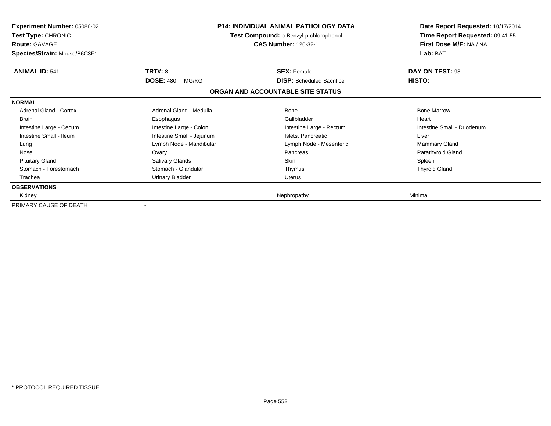| <b>Experiment Number: 05086-02</b><br>Test Type: CHRONIC<br><b>Route: GAVAGE</b><br>Species/Strain: Mouse/B6C3F1 |                           | <b>P14: INDIVIDUAL ANIMAL PATHOLOGY DATA</b><br>Test Compound: o-Benzyl-p-chlorophenol<br><b>CAS Number: 120-32-1</b> | Date Report Requested: 10/17/2014<br>Time Report Requested: 09:41:55<br>First Dose M/F: NA / NA<br>Lab: BAT |
|------------------------------------------------------------------------------------------------------------------|---------------------------|-----------------------------------------------------------------------------------------------------------------------|-------------------------------------------------------------------------------------------------------------|
| <b>ANIMAL ID: 541</b>                                                                                            | <b>TRT#: 8</b>            | <b>SEX: Female</b>                                                                                                    | DAY ON TEST: 93                                                                                             |
|                                                                                                                  | <b>DOSE: 480</b><br>MG/KG | <b>DISP:</b> Scheduled Sacrifice                                                                                      | HISTO:                                                                                                      |
|                                                                                                                  |                           | ORGAN AND ACCOUNTABLE SITE STATUS                                                                                     |                                                                                                             |
| <b>NORMAL</b>                                                                                                    |                           |                                                                                                                       |                                                                                                             |
| Adrenal Gland - Cortex                                                                                           | Adrenal Gland - Medulla   | Bone                                                                                                                  | <b>Bone Marrow</b>                                                                                          |
| <b>Brain</b>                                                                                                     | Esophagus                 | Gallbladder                                                                                                           | Heart                                                                                                       |
| Intestine Large - Cecum                                                                                          | Intestine Large - Colon   | Intestine Large - Rectum                                                                                              | Intestine Small - Duodenum                                                                                  |
| Intestine Small - Ileum                                                                                          | Intestine Small - Jejunum | Islets, Pancreatic                                                                                                    | Liver                                                                                                       |
| Lung                                                                                                             | Lymph Node - Mandibular   | Lymph Node - Mesenteric                                                                                               | <b>Mammary Gland</b>                                                                                        |
| Nose                                                                                                             | Ovary                     | Pancreas                                                                                                              | Parathyroid Gland                                                                                           |
| <b>Pituitary Gland</b>                                                                                           | Salivary Glands           | Skin                                                                                                                  | Spleen                                                                                                      |
| Stomach - Forestomach                                                                                            | Stomach - Glandular       | Thymus                                                                                                                | <b>Thyroid Gland</b>                                                                                        |
| Trachea                                                                                                          | Urinary Bladder           | Uterus                                                                                                                |                                                                                                             |
| <b>OBSERVATIONS</b>                                                                                              |                           |                                                                                                                       |                                                                                                             |
| Kidney                                                                                                           |                           | Nephropathy                                                                                                           | Minimal                                                                                                     |
| PRIMARY CAUSE OF DEATH                                                                                           |                           |                                                                                                                       |                                                                                                             |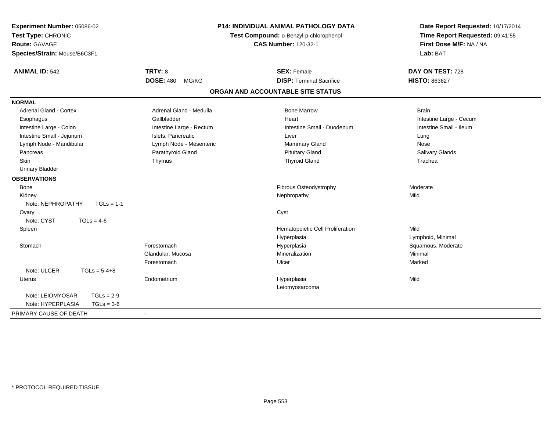| Experiment Number: 05086-02<br>Test Type: CHRONIC<br><b>Route: GAVAGE</b><br>Species/Strain: Mouse/B6C3F1 |                           | P14: INDIVIDUAL ANIMAL PATHOLOGY DATA<br>Test Compound: o-Benzyl-p-chlorophenol<br><b>CAS Number: 120-32-1</b> | Date Report Requested: 10/17/2014<br>Time Report Requested: 09:41:55<br>First Dose M/F: NA / NA<br>Lab: BAT |
|-----------------------------------------------------------------------------------------------------------|---------------------------|----------------------------------------------------------------------------------------------------------------|-------------------------------------------------------------------------------------------------------------|
| <b>ANIMAL ID: 542</b>                                                                                     | <b>TRT#: 8</b>            | <b>SEX: Female</b>                                                                                             | DAY ON TEST: 728                                                                                            |
|                                                                                                           | <b>DOSE: 480</b><br>MG/KG | <b>DISP: Terminal Sacrifice</b>                                                                                | <b>HISTO: 863627</b>                                                                                        |
|                                                                                                           |                           | ORGAN AND ACCOUNTABLE SITE STATUS                                                                              |                                                                                                             |
| <b>NORMAL</b>                                                                                             |                           |                                                                                                                |                                                                                                             |
| <b>Adrenal Gland - Cortex</b>                                                                             | Adrenal Gland - Medulla   | <b>Bone Marrow</b>                                                                                             | <b>Brain</b>                                                                                                |
| Esophagus                                                                                                 | Gallbladder               | Heart                                                                                                          | Intestine Large - Cecum                                                                                     |
| Intestine Large - Colon                                                                                   | Intestine Large - Rectum  | Intestine Small - Duodenum                                                                                     | Intestine Small - Ileum                                                                                     |
| Intestine Small - Jejunum                                                                                 | Islets, Pancreatic        | Liver                                                                                                          | Lung                                                                                                        |
| Lymph Node - Mandibular                                                                                   | Lymph Node - Mesenteric   | Mammary Gland                                                                                                  | Nose                                                                                                        |
| Pancreas                                                                                                  | Parathyroid Gland         | <b>Pituitary Gland</b>                                                                                         | <b>Salivary Glands</b>                                                                                      |
| Skin                                                                                                      | Thymus                    | <b>Thyroid Gland</b>                                                                                           | Trachea                                                                                                     |
| <b>Urinary Bladder</b>                                                                                    |                           |                                                                                                                |                                                                                                             |
| <b>OBSERVATIONS</b>                                                                                       |                           |                                                                                                                |                                                                                                             |
| Bone                                                                                                      |                           | Fibrous Osteodystrophy                                                                                         | Moderate                                                                                                    |
| Kidney                                                                                                    |                           | Nephropathy                                                                                                    | Mild                                                                                                        |
| Note: NEPHROPATHY<br>$TGLs = 1-1$                                                                         |                           |                                                                                                                |                                                                                                             |
| Ovary                                                                                                     |                           | Cyst                                                                                                           |                                                                                                             |
| Note: CYST<br>$TGLs = 4-6$                                                                                |                           |                                                                                                                |                                                                                                             |
| Spleen                                                                                                    |                           | Hematopoietic Cell Proliferation                                                                               | Mild                                                                                                        |
|                                                                                                           |                           | Hyperplasia                                                                                                    | Lymphoid, Minimal                                                                                           |
| Stomach                                                                                                   | Forestomach               | Hyperplasia                                                                                                    | Squamous, Moderate                                                                                          |
|                                                                                                           | Glandular, Mucosa         | Mineralization                                                                                                 | Minimal                                                                                                     |
|                                                                                                           | Forestomach               | Ulcer                                                                                                          | Marked                                                                                                      |
| Note: ULCER<br>$TGLs = 5-4+8$                                                                             |                           |                                                                                                                |                                                                                                             |
| Uterus                                                                                                    | Endometrium               | Hyperplasia                                                                                                    | Mild                                                                                                        |
|                                                                                                           |                           | Leiomyosarcoma                                                                                                 |                                                                                                             |
| Note: LEIOMYOSAR<br>$TGLs = 2-9$                                                                          |                           |                                                                                                                |                                                                                                             |
| Note: HYPERPLASIA<br>$TGLs = 3-6$                                                                         |                           |                                                                                                                |                                                                                                             |
| PRIMARY CAUSE OF DEATH                                                                                    | $\sim$                    |                                                                                                                |                                                                                                             |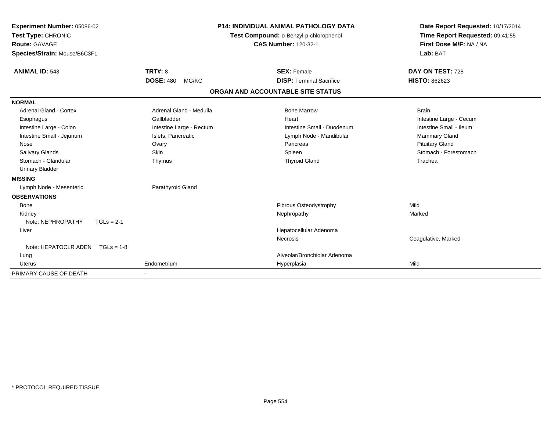| Experiment Number: 05086-02<br>Test Type: CHRONIC<br><b>Route: GAVAGE</b><br>Species/Strain: Mouse/B6C3F1 |                           | <b>P14: INDIVIDUAL ANIMAL PATHOLOGY DATA</b><br>Test Compound: o-Benzyl-p-chlorophenol<br><b>CAS Number: 120-32-1</b> |                                   | Date Report Requested: 10/17/2014<br>Time Report Requested: 09:41:55<br>First Dose M/F: NA / NA<br>Lab: BAT |
|-----------------------------------------------------------------------------------------------------------|---------------------------|-----------------------------------------------------------------------------------------------------------------------|-----------------------------------|-------------------------------------------------------------------------------------------------------------|
| <b>ANIMAL ID: 543</b>                                                                                     | <b>TRT#: 8</b>            |                                                                                                                       | <b>SEX: Female</b>                | DAY ON TEST: 728                                                                                            |
|                                                                                                           | <b>DOSE: 480</b><br>MG/KG |                                                                                                                       | <b>DISP: Terminal Sacrifice</b>   | <b>HISTO: 862623</b>                                                                                        |
|                                                                                                           |                           |                                                                                                                       | ORGAN AND ACCOUNTABLE SITE STATUS |                                                                                                             |
| <b>NORMAL</b>                                                                                             |                           |                                                                                                                       |                                   |                                                                                                             |
| <b>Adrenal Gland - Cortex</b>                                                                             | Adrenal Gland - Medulla   |                                                                                                                       | <b>Bone Marrow</b>                | <b>Brain</b>                                                                                                |
| Esophagus                                                                                                 | Gallbladder               |                                                                                                                       | Heart                             | Intestine Large - Cecum                                                                                     |
| Intestine Large - Colon                                                                                   | Intestine Large - Rectum  |                                                                                                                       | Intestine Small - Duodenum        | Intestine Small - Ileum                                                                                     |
| Intestine Small - Jejunum                                                                                 | Islets, Pancreatic        |                                                                                                                       | Lymph Node - Mandibular           | Mammary Gland                                                                                               |
| Nose                                                                                                      | Ovary                     |                                                                                                                       | Pancreas                          | <b>Pituitary Gland</b>                                                                                      |
| <b>Salivary Glands</b>                                                                                    | <b>Skin</b>               |                                                                                                                       | Spleen                            | Stomach - Forestomach                                                                                       |
| Stomach - Glandular                                                                                       | Thymus                    |                                                                                                                       | <b>Thyroid Gland</b>              | Trachea                                                                                                     |
| <b>Urinary Bladder</b>                                                                                    |                           |                                                                                                                       |                                   |                                                                                                             |
| <b>MISSING</b>                                                                                            |                           |                                                                                                                       |                                   |                                                                                                             |
| Lymph Node - Mesenteric                                                                                   | Parathyroid Gland         |                                                                                                                       |                                   |                                                                                                             |
| <b>OBSERVATIONS</b>                                                                                       |                           |                                                                                                                       |                                   |                                                                                                             |
| Bone                                                                                                      |                           |                                                                                                                       | Fibrous Osteodystrophy            | Mild                                                                                                        |
| Kidney                                                                                                    |                           |                                                                                                                       | Nephropathy                       | Marked                                                                                                      |
| Note: NEPHROPATHY<br>$TGLs = 2-1$                                                                         |                           |                                                                                                                       |                                   |                                                                                                             |
| Liver                                                                                                     |                           |                                                                                                                       | Hepatocellular Adenoma            |                                                                                                             |
|                                                                                                           |                           |                                                                                                                       | Necrosis                          | Coagulative, Marked                                                                                         |
| Note: HEPATOCLR ADEN $TGLs = 1-8$                                                                         |                           |                                                                                                                       |                                   |                                                                                                             |
| Lung                                                                                                      |                           |                                                                                                                       | Alveolar/Bronchiolar Adenoma      |                                                                                                             |
| <b>Uterus</b>                                                                                             | Endometrium               |                                                                                                                       | Hyperplasia                       | Mild                                                                                                        |
| PRIMARY CAUSE OF DEATH                                                                                    |                           |                                                                                                                       |                                   |                                                                                                             |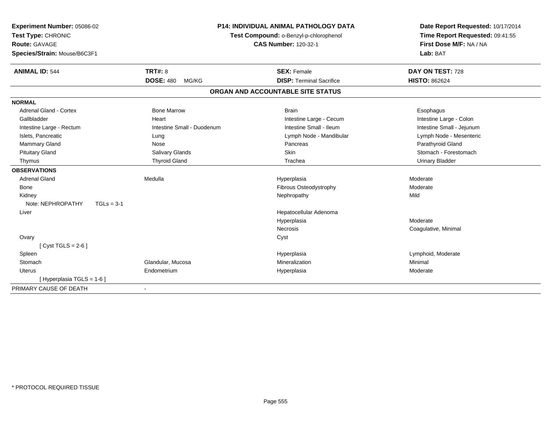| Experiment Number: 05086-02       |                            | <b>P14: INDIVIDUAL ANIMAL PATHOLOGY DATA</b> | Date Report Requested: 10/17/2014 |  |
|-----------------------------------|----------------------------|----------------------------------------------|-----------------------------------|--|
| Test Type: CHRONIC                |                            | Test Compound: o-Benzyl-p-chlorophenol       | Time Report Requested: 09:41:55   |  |
| <b>Route: GAVAGE</b>              |                            | <b>CAS Number: 120-32-1</b>                  | First Dose M/F: NA / NA           |  |
| Species/Strain: Mouse/B6C3F1      |                            |                                              | Lab: BAT                          |  |
| <b>ANIMAL ID: 544</b>             | <b>TRT#: 8</b>             | <b>SEX: Female</b>                           | DAY ON TEST: 728                  |  |
|                                   | <b>DOSE: 480</b><br>MG/KG  | <b>DISP: Terminal Sacrifice</b>              | <b>HISTO: 862624</b>              |  |
|                                   |                            | ORGAN AND ACCOUNTABLE SITE STATUS            |                                   |  |
| <b>NORMAL</b>                     |                            |                                              |                                   |  |
| Adrenal Gland - Cortex            | <b>Bone Marrow</b>         | <b>Brain</b>                                 | Esophagus                         |  |
| Gallbladder                       | Heart                      | Intestine Large - Cecum                      | Intestine Large - Colon           |  |
| Intestine Large - Rectum          | Intestine Small - Duodenum | Intestine Small - Ileum                      | Intestine Small - Jejunum         |  |
| Islets, Pancreatic                | Lung                       | Lymph Node - Mandibular                      | Lymph Node - Mesenteric           |  |
| Mammary Gland                     | Nose                       | Pancreas                                     | Parathyroid Gland                 |  |
| <b>Pituitary Gland</b>            | Salivary Glands            | <b>Skin</b>                                  | Stomach - Forestomach             |  |
| Thymus                            | <b>Thyroid Gland</b>       | Trachea                                      | <b>Urinary Bladder</b>            |  |
| <b>OBSERVATIONS</b>               |                            |                                              |                                   |  |
| <b>Adrenal Gland</b>              | Medulla                    | Hyperplasia                                  | Moderate                          |  |
| Bone                              |                            | Fibrous Osteodystrophy                       | Moderate                          |  |
| Kidney                            |                            | Nephropathy                                  | Mild                              |  |
| Note: NEPHROPATHY<br>$TGLs = 3-1$ |                            |                                              |                                   |  |
| Liver                             |                            | Hepatocellular Adenoma                       |                                   |  |
|                                   |                            | Hyperplasia                                  | Moderate                          |  |
|                                   |                            | <b>Necrosis</b>                              | Coagulative, Minimal              |  |
| Ovary                             |                            | Cyst                                         |                                   |  |
| [Cyst TGLS = $2-6$ ]              |                            |                                              |                                   |  |
| Spleen                            |                            | Hyperplasia                                  | Lymphoid, Moderate                |  |
| Stomach                           | Glandular, Mucosa          | Mineralization                               | Minimal                           |  |
| <b>Uterus</b>                     | Endometrium                | Hyperplasia                                  | Moderate                          |  |
| [Hyperplasia TGLS = $1-6$ ]       |                            |                                              |                                   |  |
| PRIMARY CAUSE OF DEATH            |                            |                                              |                                   |  |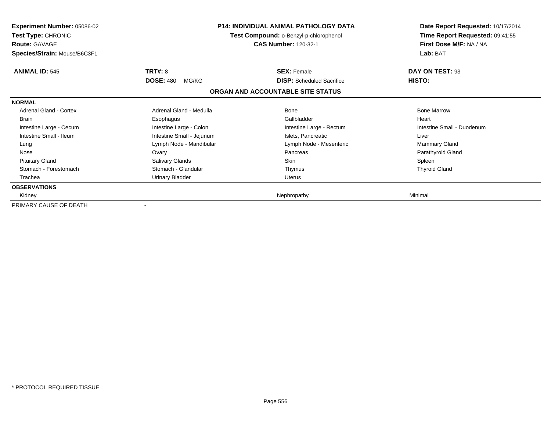| <b>Experiment Number: 05086-02</b><br>Test Type: CHRONIC<br><b>Route: GAVAGE</b><br>Species/Strain: Mouse/B6C3F1 |                           | <b>P14: INDIVIDUAL ANIMAL PATHOLOGY DATA</b><br>Test Compound: o-Benzyl-p-chlorophenol<br><b>CAS Number: 120-32-1</b> | Date Report Requested: 10/17/2014<br>Time Report Requested: 09:41:55<br>First Dose M/F: NA / NA<br>Lab: BAT |
|------------------------------------------------------------------------------------------------------------------|---------------------------|-----------------------------------------------------------------------------------------------------------------------|-------------------------------------------------------------------------------------------------------------|
| <b>ANIMAL ID: 545</b>                                                                                            | <b>TRT#: 8</b>            | <b>SEX: Female</b>                                                                                                    | DAY ON TEST: 93                                                                                             |
|                                                                                                                  | <b>DOSE: 480</b><br>MG/KG | <b>DISP:</b> Scheduled Sacrifice                                                                                      | HISTO:                                                                                                      |
|                                                                                                                  |                           | ORGAN AND ACCOUNTABLE SITE STATUS                                                                                     |                                                                                                             |
| <b>NORMAL</b>                                                                                                    |                           |                                                                                                                       |                                                                                                             |
| Adrenal Gland - Cortex                                                                                           | Adrenal Gland - Medulla   | Bone                                                                                                                  | <b>Bone Marrow</b>                                                                                          |
| <b>Brain</b>                                                                                                     | Esophagus                 | Gallbladder                                                                                                           | Heart                                                                                                       |
| Intestine Large - Cecum                                                                                          | Intestine Large - Colon   | Intestine Large - Rectum                                                                                              | Intestine Small - Duodenum                                                                                  |
| Intestine Small - Ileum                                                                                          | Intestine Small - Jejunum | Islets, Pancreatic                                                                                                    | Liver                                                                                                       |
| Lung                                                                                                             | Lymph Node - Mandibular   | Lymph Node - Mesenteric                                                                                               | <b>Mammary Gland</b>                                                                                        |
| Nose                                                                                                             | Ovary                     | Pancreas                                                                                                              | Parathyroid Gland                                                                                           |
| <b>Pituitary Gland</b>                                                                                           | Salivary Glands           | <b>Skin</b>                                                                                                           | Spleen                                                                                                      |
| Stomach - Forestomach                                                                                            | Stomach - Glandular       | Thymus                                                                                                                | <b>Thyroid Gland</b>                                                                                        |
| Trachea                                                                                                          | Urinary Bladder           | <b>Uterus</b>                                                                                                         |                                                                                                             |
| <b>OBSERVATIONS</b>                                                                                              |                           |                                                                                                                       |                                                                                                             |
| Kidney                                                                                                           |                           | Nephropathy                                                                                                           | Minimal                                                                                                     |
| PRIMARY CAUSE OF DEATH                                                                                           |                           |                                                                                                                       |                                                                                                             |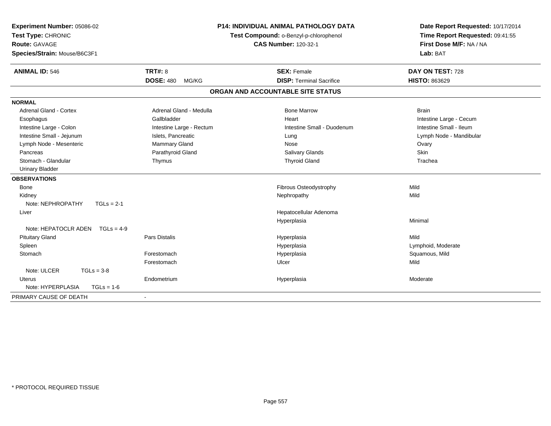| Experiment Number: 05086-02<br>Test Type: CHRONIC<br><b>Route: GAVAGE</b><br>Species/Strain: Mouse/B6C3F1 | <b>P14: INDIVIDUAL ANIMAL PATHOLOGY DATA</b><br>Test Compound: o-Benzyl-p-chlorophenol<br><b>CAS Number: 120-32-1</b> |                                   | Date Report Requested: 10/17/2014<br>Time Report Requested: 09:41:55<br>First Dose M/F: NA / NA<br>Lab: BAT |
|-----------------------------------------------------------------------------------------------------------|-----------------------------------------------------------------------------------------------------------------------|-----------------------------------|-------------------------------------------------------------------------------------------------------------|
| <b>ANIMAL ID: 546</b>                                                                                     | <b>TRT#: 8</b>                                                                                                        | <b>SEX: Female</b>                | DAY ON TEST: 728                                                                                            |
|                                                                                                           | <b>DOSE: 480</b><br>MG/KG                                                                                             | <b>DISP: Terminal Sacrifice</b>   | <b>HISTO: 863629</b>                                                                                        |
|                                                                                                           |                                                                                                                       | ORGAN AND ACCOUNTABLE SITE STATUS |                                                                                                             |
| <b>NORMAL</b>                                                                                             |                                                                                                                       |                                   |                                                                                                             |
| <b>Adrenal Gland - Cortex</b>                                                                             | Adrenal Gland - Medulla                                                                                               | <b>Bone Marrow</b>                | <b>Brain</b>                                                                                                |
| Esophagus                                                                                                 | Gallbladder                                                                                                           | Heart                             | Intestine Large - Cecum                                                                                     |
| Intestine Large - Colon                                                                                   | Intestine Large - Rectum                                                                                              | Intestine Small - Duodenum        | Intestine Small - Ileum                                                                                     |
| Intestine Small - Jejunum                                                                                 | Islets, Pancreatic                                                                                                    | Lung                              | Lymph Node - Mandibular                                                                                     |
| Lymph Node - Mesenteric                                                                                   | Mammary Gland                                                                                                         | Nose                              | Ovary                                                                                                       |
| Pancreas                                                                                                  | Parathyroid Gland                                                                                                     | Salivary Glands                   | Skin                                                                                                        |
| Stomach - Glandular                                                                                       | Thymus                                                                                                                | <b>Thyroid Gland</b>              | Trachea                                                                                                     |
| <b>Urinary Bladder</b>                                                                                    |                                                                                                                       |                                   |                                                                                                             |
| <b>OBSERVATIONS</b>                                                                                       |                                                                                                                       |                                   |                                                                                                             |
| <b>Bone</b>                                                                                               |                                                                                                                       | Fibrous Osteodystrophy            | Mild                                                                                                        |
| Kidney                                                                                                    |                                                                                                                       | Nephropathy                       | Mild                                                                                                        |
| Note: NEPHROPATHY<br>$TGLs = 2-1$                                                                         |                                                                                                                       |                                   |                                                                                                             |
| Liver                                                                                                     |                                                                                                                       | Hepatocellular Adenoma            |                                                                                                             |
|                                                                                                           |                                                                                                                       | Hyperplasia                       | Minimal                                                                                                     |
| Note: HEPATOCLR ADEN<br>$TGLs = 4-9$                                                                      |                                                                                                                       |                                   |                                                                                                             |
| <b>Pituitary Gland</b>                                                                                    | <b>Pars Distalis</b>                                                                                                  | Hyperplasia                       | Mild                                                                                                        |
| Spleen                                                                                                    |                                                                                                                       | Hyperplasia                       | Lymphoid, Moderate                                                                                          |
| Stomach                                                                                                   | Forestomach                                                                                                           | Hyperplasia                       | Squamous, Mild                                                                                              |
|                                                                                                           | Forestomach                                                                                                           | Ulcer                             | Mild                                                                                                        |
| Note: ULCER<br>$TGLs = 3-8$                                                                               |                                                                                                                       |                                   |                                                                                                             |
| Uterus                                                                                                    | Endometrium                                                                                                           | Hyperplasia                       | Moderate                                                                                                    |
| Note: HYPERPLASIA<br>$TGLs = 1-6$                                                                         |                                                                                                                       |                                   |                                                                                                             |
| PRIMARY CAUSE OF DEATH                                                                                    |                                                                                                                       |                                   |                                                                                                             |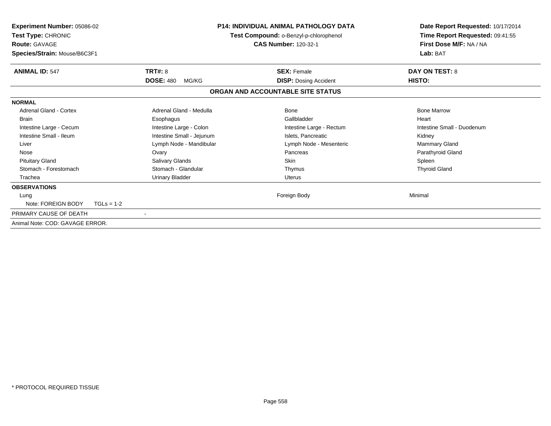| Experiment Number: 05086-02<br>Test Type: CHRONIC<br><b>Route: GAVAGE</b><br>Species/Strain: Mouse/B6C3F1 |                                             | <b>P14: INDIVIDUAL ANIMAL PATHOLOGY DATA</b><br>Test Compound: o-Benzyl-p-chlorophenol<br><b>CAS Number: 120-32-1</b> | Date Report Requested: 10/17/2014<br>Time Report Requested: 09:41:55<br>First Dose M/F: NA / NA<br>Lab: BAT |  |
|-----------------------------------------------------------------------------------------------------------|---------------------------------------------|-----------------------------------------------------------------------------------------------------------------------|-------------------------------------------------------------------------------------------------------------|--|
| <b>ANIMAL ID: 547</b>                                                                                     | <b>TRT#: 8</b><br><b>DOSE: 480</b><br>MG/KG | <b>SEX: Female</b><br><b>DISP: Dosing Accident</b>                                                                    | <b>DAY ON TEST: 8</b><br>HISTO:                                                                             |  |
|                                                                                                           |                                             | ORGAN AND ACCOUNTABLE SITE STATUS                                                                                     |                                                                                                             |  |
| <b>NORMAL</b>                                                                                             |                                             |                                                                                                                       |                                                                                                             |  |
| <b>Adrenal Gland - Cortex</b>                                                                             | Adrenal Gland - Medulla                     | Bone                                                                                                                  | <b>Bone Marrow</b>                                                                                          |  |
| <b>Brain</b>                                                                                              | Esophagus                                   | Gallbladder                                                                                                           | Heart                                                                                                       |  |
| Intestine Large - Cecum                                                                                   | Intestine Large - Colon                     | Intestine Large - Rectum                                                                                              | Intestine Small - Duodenum                                                                                  |  |
| Intestine Small - Ileum                                                                                   | Intestine Small - Jejunum                   | Islets, Pancreatic                                                                                                    | Kidney                                                                                                      |  |
| Liver                                                                                                     | Lymph Node - Mandibular                     | Lymph Node - Mesenteric                                                                                               | Mammary Gland                                                                                               |  |
| Nose                                                                                                      | Ovary                                       | Pancreas                                                                                                              | Parathyroid Gland                                                                                           |  |
| <b>Pituitary Gland</b>                                                                                    | Salivary Glands                             | <b>Skin</b>                                                                                                           | Spleen                                                                                                      |  |
| Stomach - Forestomach                                                                                     | Stomach - Glandular                         | Thymus                                                                                                                | <b>Thyroid Gland</b>                                                                                        |  |
| Trachea                                                                                                   | <b>Urinary Bladder</b>                      | <b>Uterus</b>                                                                                                         |                                                                                                             |  |
| <b>OBSERVATIONS</b>                                                                                       |                                             |                                                                                                                       |                                                                                                             |  |
| Lung<br>Note: FOREIGN BODY<br>$TGLs = 1-2$                                                                |                                             | Foreign Body                                                                                                          | Minimal                                                                                                     |  |
| PRIMARY CAUSE OF DEATH                                                                                    | $\overline{\phantom{a}}$                    |                                                                                                                       |                                                                                                             |  |
|                                                                                                           |                                             |                                                                                                                       |                                                                                                             |  |
| Animal Note: COD: GAVAGE ERROR.                                                                           |                                             |                                                                                                                       |                                                                                                             |  |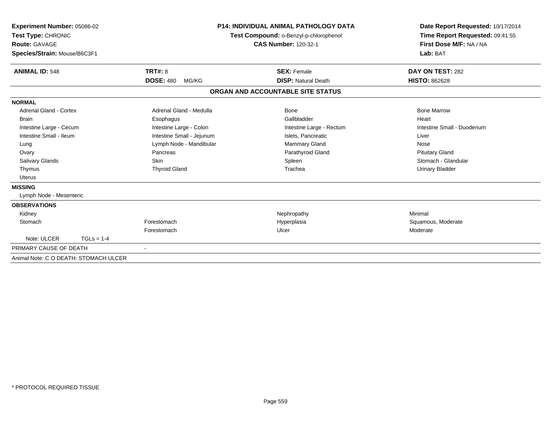| Experiment Number: 05086-02<br>Test Type: CHRONIC<br>Route: GAVAGE<br>Species/Strain: Mouse/B6C3F1 |              |                           | <b>P14: INDIVIDUAL ANIMAL PATHOLOGY DATA</b><br>Test Compound: o-Benzyl-p-chlorophenol<br><b>CAS Number: 120-32-1</b> | Date Report Requested: 10/17/2014<br>Time Report Requested: 09:41:55<br>First Dose M/F: NA / NA<br>Lab: BAT |  |
|----------------------------------------------------------------------------------------------------|--------------|---------------------------|-----------------------------------------------------------------------------------------------------------------------|-------------------------------------------------------------------------------------------------------------|--|
| <b>ANIMAL ID: 548</b>                                                                              |              | <b>TRT#: 8</b>            | <b>SEX: Female</b>                                                                                                    | DAY ON TEST: 282                                                                                            |  |
|                                                                                                    |              | <b>DOSE: 480</b><br>MG/KG | <b>DISP: Natural Death</b>                                                                                            | <b>HISTO: 862628</b>                                                                                        |  |
|                                                                                                    |              |                           | ORGAN AND ACCOUNTABLE SITE STATUS                                                                                     |                                                                                                             |  |
| <b>NORMAL</b>                                                                                      |              |                           |                                                                                                                       |                                                                                                             |  |
| <b>Adrenal Gland - Cortex</b>                                                                      |              | Adrenal Gland - Medulla   | Bone                                                                                                                  | <b>Bone Marrow</b>                                                                                          |  |
| <b>Brain</b>                                                                                       |              | Esophagus                 | Gallbladder                                                                                                           | Heart                                                                                                       |  |
| Intestine Large - Cecum                                                                            |              | Intestine Large - Colon   | Intestine Large - Rectum                                                                                              | Intestine Small - Duodenum                                                                                  |  |
| Intestine Small - Ileum                                                                            |              | Intestine Small - Jejunum | Islets, Pancreatic                                                                                                    | Liver                                                                                                       |  |
| Lung                                                                                               |              | Lymph Node - Mandibular   | Mammary Gland                                                                                                         | Nose                                                                                                        |  |
| Ovary                                                                                              |              | Pancreas                  | Parathyroid Gland                                                                                                     | <b>Pituitary Gland</b>                                                                                      |  |
| <b>Salivary Glands</b>                                                                             |              | Skin                      | Spleen                                                                                                                | Stomach - Glandular                                                                                         |  |
| Thymus                                                                                             |              | <b>Thyroid Gland</b>      | Trachea                                                                                                               | <b>Urinary Bladder</b>                                                                                      |  |
| <b>Uterus</b>                                                                                      |              |                           |                                                                                                                       |                                                                                                             |  |
| <b>MISSING</b>                                                                                     |              |                           |                                                                                                                       |                                                                                                             |  |
| Lymph Node - Mesenteric                                                                            |              |                           |                                                                                                                       |                                                                                                             |  |
| <b>OBSERVATIONS</b>                                                                                |              |                           |                                                                                                                       |                                                                                                             |  |
| Kidney                                                                                             |              |                           | Nephropathy                                                                                                           | Minimal                                                                                                     |  |
| Stomach                                                                                            |              | Forestomach               | Hyperplasia                                                                                                           | Squamous, Moderate                                                                                          |  |
|                                                                                                    |              | Forestomach               | Ulcer                                                                                                                 | Moderate                                                                                                    |  |
| Note: ULCER                                                                                        | $TGLs = 1-4$ |                           |                                                                                                                       |                                                                                                             |  |
| PRIMARY CAUSE OF DEATH                                                                             |              |                           |                                                                                                                       |                                                                                                             |  |
| Animal Note: C O DEATH: STOMACH ULCER                                                              |              |                           |                                                                                                                       |                                                                                                             |  |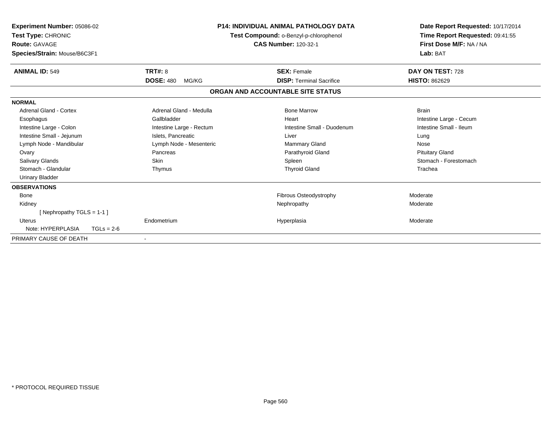| Experiment Number: 05086-02<br>Test Type: CHRONIC<br><b>Route: GAVAGE</b><br>Species/Strain: Mouse/B6C3F1 |                           | <b>P14: INDIVIDUAL ANIMAL PATHOLOGY DATA</b><br>Test Compound: o-Benzyl-p-chlorophenol<br><b>CAS Number: 120-32-1</b> | Date Report Requested: 10/17/2014<br>Time Report Requested: 09:41:55<br>First Dose M/F: NA / NA<br>Lab: BAT |
|-----------------------------------------------------------------------------------------------------------|---------------------------|-----------------------------------------------------------------------------------------------------------------------|-------------------------------------------------------------------------------------------------------------|
| <b>ANIMAL ID: 549</b>                                                                                     | TRT#: 8                   | <b>SEX: Female</b>                                                                                                    | DAY ON TEST: 728                                                                                            |
|                                                                                                           | <b>DOSE: 480</b><br>MG/KG | <b>DISP: Terminal Sacrifice</b>                                                                                       | <b>HISTO: 862629</b>                                                                                        |
|                                                                                                           |                           | ORGAN AND ACCOUNTABLE SITE STATUS                                                                                     |                                                                                                             |
| <b>NORMAL</b>                                                                                             |                           |                                                                                                                       |                                                                                                             |
| Adrenal Gland - Cortex                                                                                    | Adrenal Gland - Medulla   | <b>Bone Marrow</b>                                                                                                    | <b>Brain</b>                                                                                                |
| Esophagus                                                                                                 | Gallbladder               | Heart                                                                                                                 | Intestine Large - Cecum                                                                                     |
| Intestine Large - Colon                                                                                   | Intestine Large - Rectum  | Intestine Small - Duodenum                                                                                            | Intestine Small - Ileum                                                                                     |
| Intestine Small - Jejunum                                                                                 | Islets, Pancreatic        | Liver                                                                                                                 | Lung                                                                                                        |
| Lymph Node - Mandibular                                                                                   | Lymph Node - Mesenteric   | Mammary Gland                                                                                                         | Nose                                                                                                        |
| Ovary                                                                                                     | Pancreas                  | Parathyroid Gland                                                                                                     | <b>Pituitary Gland</b>                                                                                      |
| <b>Salivary Glands</b>                                                                                    | <b>Skin</b>               | Spleen                                                                                                                | Stomach - Forestomach                                                                                       |
| Stomach - Glandular                                                                                       | Thymus                    | <b>Thyroid Gland</b>                                                                                                  | Trachea                                                                                                     |
| <b>Urinary Bladder</b>                                                                                    |                           |                                                                                                                       |                                                                                                             |
| <b>OBSERVATIONS</b>                                                                                       |                           |                                                                                                                       |                                                                                                             |
| <b>Bone</b>                                                                                               |                           | <b>Fibrous Osteodystrophy</b>                                                                                         | Moderate                                                                                                    |
| Kidney                                                                                                    |                           | Nephropathy                                                                                                           | Moderate                                                                                                    |
| [Nephropathy TGLS = 1-1]                                                                                  |                           |                                                                                                                       |                                                                                                             |
| Uterus                                                                                                    | Endometrium               | Hyperplasia                                                                                                           | Moderate                                                                                                    |
| Note: HYPERPLASIA                                                                                         | $TGLs = 2-6$              |                                                                                                                       |                                                                                                             |
| PRIMARY CAUSE OF DEATH                                                                                    |                           |                                                                                                                       |                                                                                                             |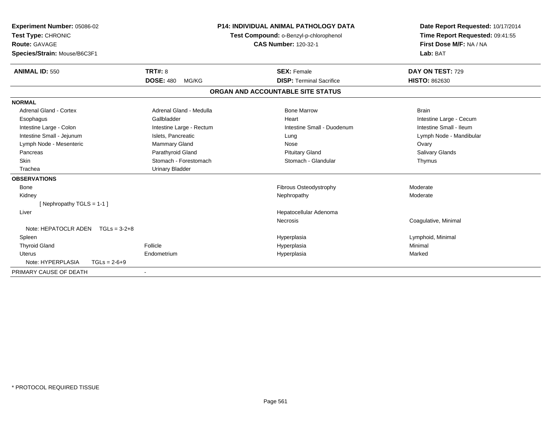| <b>Experiment Number: 05086-02</b><br>Test Type: CHRONIC<br>Route: GAVAGE<br>Species/Strain: Mouse/B6C3F1 | <b>P14: INDIVIDUAL ANIMAL PATHOLOGY DATA</b><br>Test Compound: o-Benzyl-p-chlorophenol<br><b>CAS Number: 120-32-1</b> |  | Date Report Requested: 10/17/2014<br>Time Report Requested: 09:41:55<br>First Dose M/F: NA / NA<br>Lab: BAT |                         |
|-----------------------------------------------------------------------------------------------------------|-----------------------------------------------------------------------------------------------------------------------|--|-------------------------------------------------------------------------------------------------------------|-------------------------|
| <b>ANIMAL ID: 550</b>                                                                                     | TRT#: 8                                                                                                               |  | <b>SEX: Female</b>                                                                                          | DAY ON TEST: 729        |
|                                                                                                           | <b>DOSE: 480</b><br>MG/KG                                                                                             |  | <b>DISP: Terminal Sacrifice</b>                                                                             | <b>HISTO: 862630</b>    |
|                                                                                                           |                                                                                                                       |  | ORGAN AND ACCOUNTABLE SITE STATUS                                                                           |                         |
| <b>NORMAL</b>                                                                                             |                                                                                                                       |  |                                                                                                             |                         |
| <b>Adrenal Gland - Cortex</b>                                                                             | Adrenal Gland - Medulla                                                                                               |  | <b>Bone Marrow</b>                                                                                          | <b>Brain</b>            |
| Esophagus                                                                                                 | Gallbladder                                                                                                           |  | Heart                                                                                                       | Intestine Large - Cecum |
| Intestine Large - Colon                                                                                   | Intestine Large - Rectum                                                                                              |  | Intestine Small - Duodenum                                                                                  | Intestine Small - Ileum |
| Intestine Small - Jejunum                                                                                 | Islets, Pancreatic                                                                                                    |  | Lung                                                                                                        | Lymph Node - Mandibular |
| Lymph Node - Mesenteric                                                                                   | Mammary Gland                                                                                                         |  | Nose                                                                                                        | Ovary                   |
| Pancreas                                                                                                  | Parathyroid Gland                                                                                                     |  | <b>Pituitary Gland</b>                                                                                      | <b>Salivary Glands</b>  |
| <b>Skin</b>                                                                                               | Stomach - Forestomach                                                                                                 |  | Stomach - Glandular                                                                                         | Thymus                  |
| Trachea                                                                                                   | <b>Urinary Bladder</b>                                                                                                |  |                                                                                                             |                         |
| <b>OBSERVATIONS</b>                                                                                       |                                                                                                                       |  |                                                                                                             |                         |
| <b>Bone</b>                                                                                               |                                                                                                                       |  | Fibrous Osteodystrophy                                                                                      | Moderate                |
| Kidney                                                                                                    |                                                                                                                       |  | Nephropathy                                                                                                 | Moderate                |
| [Nephropathy TGLS = $1-1$ ]                                                                               |                                                                                                                       |  |                                                                                                             |                         |
| Liver                                                                                                     |                                                                                                                       |  | Hepatocellular Adenoma                                                                                      |                         |
|                                                                                                           |                                                                                                                       |  | <b>Necrosis</b>                                                                                             | Coagulative, Minimal    |
| Note: HEPATOCLR ADEN $TGLs = 3-2+8$                                                                       |                                                                                                                       |  |                                                                                                             |                         |
| Spleen                                                                                                    |                                                                                                                       |  | Hyperplasia                                                                                                 | Lymphoid, Minimal       |
| <b>Thyroid Gland</b>                                                                                      | Follicle                                                                                                              |  | Hyperplasia                                                                                                 | Minimal                 |
| Uterus                                                                                                    | Endometrium                                                                                                           |  | Hyperplasia                                                                                                 | Marked                  |
| Note: HYPERPLASIA<br>$TGLs = 2-6+9$                                                                       |                                                                                                                       |  |                                                                                                             |                         |
| PRIMARY CAUSE OF DEATH                                                                                    |                                                                                                                       |  |                                                                                                             |                         |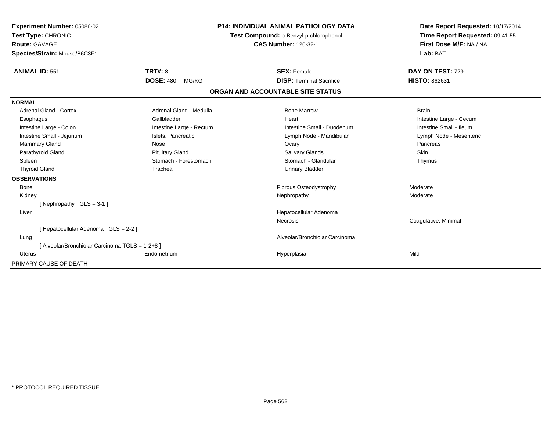| Experiment Number: 05086-02<br>Test Type: CHRONIC<br>Route: GAVAGE<br>Species/Strain: Mouse/B6C3F1 | <b>P14: INDIVIDUAL ANIMAL PATHOLOGY DATA</b><br>Test Compound: o-Benzyl-p-chlorophenol<br><b>CAS Number: 120-32-1</b> |                                   | Date Report Requested: 10/17/2014<br>Time Report Requested: 09:41:55<br>First Dose M/F: NA / NA<br>Lab: BAT |  |
|----------------------------------------------------------------------------------------------------|-----------------------------------------------------------------------------------------------------------------------|-----------------------------------|-------------------------------------------------------------------------------------------------------------|--|
|                                                                                                    |                                                                                                                       |                                   |                                                                                                             |  |
| <b>ANIMAL ID: 551</b>                                                                              | TRT#: 8                                                                                                               | <b>SEX: Female</b>                | DAY ON TEST: 729                                                                                            |  |
|                                                                                                    | <b>DOSE: 480</b><br>MG/KG                                                                                             | <b>DISP: Terminal Sacrifice</b>   | <b>HISTO: 862631</b>                                                                                        |  |
|                                                                                                    |                                                                                                                       | ORGAN AND ACCOUNTABLE SITE STATUS |                                                                                                             |  |
| <b>NORMAL</b>                                                                                      |                                                                                                                       |                                   |                                                                                                             |  |
| <b>Adrenal Gland - Cortex</b>                                                                      | Adrenal Gland - Medulla                                                                                               | <b>Bone Marrow</b>                | <b>Brain</b>                                                                                                |  |
| Esophagus                                                                                          | Gallbladder                                                                                                           | Heart                             | Intestine Large - Cecum                                                                                     |  |
| Intestine Large - Colon                                                                            | Intestine Large - Rectum                                                                                              | Intestine Small - Duodenum        | Intestine Small - Ileum                                                                                     |  |
| Intestine Small - Jejunum                                                                          | Islets, Pancreatic                                                                                                    | Lymph Node - Mandibular           | Lymph Node - Mesenteric                                                                                     |  |
| Mammary Gland                                                                                      | Nose                                                                                                                  | Ovary                             | Pancreas                                                                                                    |  |
| Parathyroid Gland                                                                                  | <b>Pituitary Gland</b>                                                                                                | Salivary Glands                   | Skin                                                                                                        |  |
| Spleen                                                                                             | Stomach - Forestomach                                                                                                 | Stomach - Glandular               | Thymus                                                                                                      |  |
| <b>Thyroid Gland</b>                                                                               | Trachea                                                                                                               | <b>Urinary Bladder</b>            |                                                                                                             |  |
| <b>OBSERVATIONS</b>                                                                                |                                                                                                                       |                                   |                                                                                                             |  |
| <b>Bone</b>                                                                                        |                                                                                                                       | Fibrous Osteodystrophy            | Moderate                                                                                                    |  |
| Kidney                                                                                             |                                                                                                                       | Nephropathy                       | Moderate                                                                                                    |  |
| [Nephropathy TGLS = $3-1$ ]                                                                        |                                                                                                                       |                                   |                                                                                                             |  |
| Liver                                                                                              |                                                                                                                       | Hepatocellular Adenoma            |                                                                                                             |  |
|                                                                                                    |                                                                                                                       | Necrosis                          | Coagulative, Minimal                                                                                        |  |
| [Hepatocellular Adenoma TGLS = 2-2]                                                                |                                                                                                                       |                                   |                                                                                                             |  |
| Lung                                                                                               |                                                                                                                       | Alveolar/Bronchiolar Carcinoma    |                                                                                                             |  |
| [ Alveolar/Bronchiolar Carcinoma TGLS = 1-2+8 ]                                                    |                                                                                                                       |                                   |                                                                                                             |  |
| <b>Uterus</b>                                                                                      | Endometrium                                                                                                           | Hyperplasia                       | Mild                                                                                                        |  |
| PRIMARY CAUSE OF DEATH                                                                             |                                                                                                                       |                                   |                                                                                                             |  |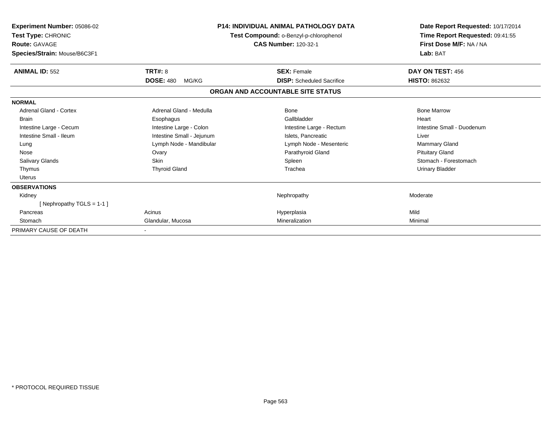| Experiment Number: 05086-02<br>Test Type: CHRONIC<br><b>Route: GAVAGE</b><br>Species/Strain: Mouse/B6C3F1 | <b>P14: INDIVIDUAL ANIMAL PATHOLOGY DATA</b><br>Test Compound: o-Benzyl-p-chlorophenol<br><b>CAS Number: 120-32-1</b> |                                   | Date Report Requested: 10/17/2014<br>Time Report Requested: 09:41:55<br>First Dose M/F: NA / NA<br>Lab: BAT |
|-----------------------------------------------------------------------------------------------------------|-----------------------------------------------------------------------------------------------------------------------|-----------------------------------|-------------------------------------------------------------------------------------------------------------|
| <b>ANIMAL ID: 552</b>                                                                                     | <b>TRT#: 8</b>                                                                                                        | <b>SEX: Female</b>                | DAY ON TEST: 456                                                                                            |
|                                                                                                           | <b>DOSE: 480</b><br>MG/KG                                                                                             | <b>DISP:</b> Scheduled Sacrifice  | <b>HISTO: 862632</b>                                                                                        |
|                                                                                                           |                                                                                                                       | ORGAN AND ACCOUNTABLE SITE STATUS |                                                                                                             |
| <b>NORMAL</b>                                                                                             |                                                                                                                       |                                   |                                                                                                             |
| Adrenal Gland - Cortex                                                                                    | Adrenal Gland - Medulla                                                                                               | Bone                              | <b>Bone Marrow</b>                                                                                          |
| <b>Brain</b>                                                                                              | Esophagus                                                                                                             | Gallbladder                       | Heart                                                                                                       |
| Intestine Large - Cecum                                                                                   | Intestine Large - Colon                                                                                               | Intestine Large - Rectum          | Intestine Small - Duodenum                                                                                  |
| Intestine Small - Ileum                                                                                   | Intestine Small - Jejunum                                                                                             | Islets. Pancreatic                | Liver                                                                                                       |
| Lung                                                                                                      | Lymph Node - Mandibular                                                                                               | Lymph Node - Mesenteric           | Mammary Gland                                                                                               |
| Nose                                                                                                      | Ovary                                                                                                                 | Parathyroid Gland                 | <b>Pituitary Gland</b>                                                                                      |
| <b>Salivary Glands</b>                                                                                    | <b>Skin</b>                                                                                                           | Spleen                            | Stomach - Forestomach                                                                                       |
| Thymus                                                                                                    | <b>Thyroid Gland</b>                                                                                                  | Trachea                           | <b>Urinary Bladder</b>                                                                                      |
| <b>Uterus</b>                                                                                             |                                                                                                                       |                                   |                                                                                                             |
| <b>OBSERVATIONS</b>                                                                                       |                                                                                                                       |                                   |                                                                                                             |
| Kidney                                                                                                    |                                                                                                                       | Nephropathy                       | Moderate                                                                                                    |
| [Nephropathy TGLS = 1-1]                                                                                  |                                                                                                                       |                                   |                                                                                                             |
| Pancreas                                                                                                  | Acinus                                                                                                                | Hyperplasia                       | Mild                                                                                                        |
| Stomach                                                                                                   | Glandular, Mucosa                                                                                                     | Mineralization                    | Minimal                                                                                                     |
| PRIMARY CAUSE OF DEATH                                                                                    |                                                                                                                       |                                   |                                                                                                             |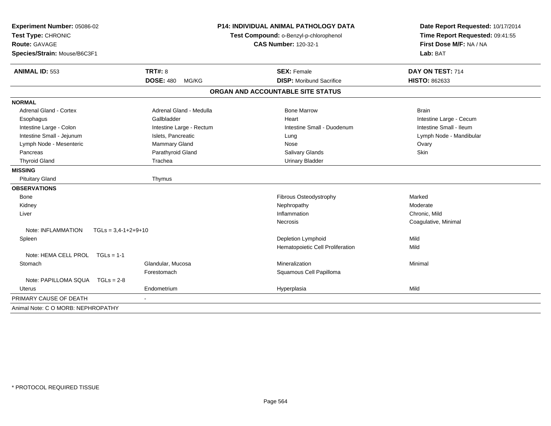| Experiment Number: 05086-02<br>Test Type: CHRONIC<br>Route: GAVAGE<br>Species/Strain: Mouse/B6C3F1 | <b>P14: INDIVIDUAL ANIMAL PATHOLOGY DATA</b><br>Test Compound: o-Benzyl-p-chlorophenol<br><b>CAS Number: 120-32-1</b> |                                   | Date Report Requested: 10/17/2014<br>Time Report Requested: 09:41:55<br>First Dose M/F: NA / NA<br>Lab: BAT |  |
|----------------------------------------------------------------------------------------------------|-----------------------------------------------------------------------------------------------------------------------|-----------------------------------|-------------------------------------------------------------------------------------------------------------|--|
| <b>ANIMAL ID: 553</b>                                                                              | <b>TRT#: 8</b>                                                                                                        | <b>SEX: Female</b>                | DAY ON TEST: 714                                                                                            |  |
|                                                                                                    | <b>DOSE: 480</b><br>MG/KG                                                                                             | <b>DISP: Moribund Sacrifice</b>   | HISTO: 862633                                                                                               |  |
|                                                                                                    |                                                                                                                       | ORGAN AND ACCOUNTABLE SITE STATUS |                                                                                                             |  |
| <b>NORMAL</b>                                                                                      |                                                                                                                       |                                   |                                                                                                             |  |
| <b>Adrenal Gland - Cortex</b>                                                                      | Adrenal Gland - Medulla                                                                                               | <b>Bone Marrow</b>                | <b>Brain</b>                                                                                                |  |
| Esophagus                                                                                          | Gallbladder                                                                                                           | Heart                             | Intestine Large - Cecum                                                                                     |  |
| Intestine Large - Colon                                                                            | Intestine Large - Rectum                                                                                              | Intestine Small - Duodenum        | Intestine Small - Ileum                                                                                     |  |
| Intestine Small - Jejunum                                                                          | Islets, Pancreatic                                                                                                    | Lung                              | Lymph Node - Mandibular                                                                                     |  |
| Lymph Node - Mesenteric                                                                            | Mammary Gland                                                                                                         | Nose                              | Ovary                                                                                                       |  |
| Pancreas                                                                                           | Parathyroid Gland                                                                                                     | <b>Salivary Glands</b>            | Skin                                                                                                        |  |
| <b>Thyroid Gland</b>                                                                               | Trachea                                                                                                               | <b>Urinary Bladder</b>            |                                                                                                             |  |
| <b>MISSING</b>                                                                                     |                                                                                                                       |                                   |                                                                                                             |  |
| <b>Pituitary Gland</b>                                                                             | Thymus                                                                                                                |                                   |                                                                                                             |  |
| <b>OBSERVATIONS</b>                                                                                |                                                                                                                       |                                   |                                                                                                             |  |
| Bone                                                                                               |                                                                                                                       | Fibrous Osteodystrophy            | Marked                                                                                                      |  |
| Kidney                                                                                             |                                                                                                                       | Nephropathy                       | Moderate                                                                                                    |  |
| Liver                                                                                              |                                                                                                                       | Inflammation                      | Chronic, Mild                                                                                               |  |
|                                                                                                    |                                                                                                                       | Necrosis                          | Coagulative, Minimal                                                                                        |  |
| Note: INFLAMMATION                                                                                 | $TGLs = 3,4-1+2+9+10$                                                                                                 |                                   |                                                                                                             |  |
| Spleen                                                                                             |                                                                                                                       | Depletion Lymphoid                | Mild                                                                                                        |  |
|                                                                                                    |                                                                                                                       | Hematopoietic Cell Proliferation  | Mild                                                                                                        |  |
| Note: HEMA CELL PROL<br>$TGLs = 1-1$                                                               |                                                                                                                       |                                   |                                                                                                             |  |
| Stomach                                                                                            | Glandular, Mucosa                                                                                                     | Mineralization                    | Minimal                                                                                                     |  |
|                                                                                                    | Forestomach                                                                                                           | Squamous Cell Papilloma           |                                                                                                             |  |
| Note: PAPILLOMA SQUA TGLs = 2-8                                                                    |                                                                                                                       |                                   |                                                                                                             |  |
| Uterus                                                                                             | Endometrium                                                                                                           | Hyperplasia                       | Mild                                                                                                        |  |
| PRIMARY CAUSE OF DEATH                                                                             |                                                                                                                       |                                   |                                                                                                             |  |
| Animal Note: C O MORB: NEPHROPATHY                                                                 |                                                                                                                       |                                   |                                                                                                             |  |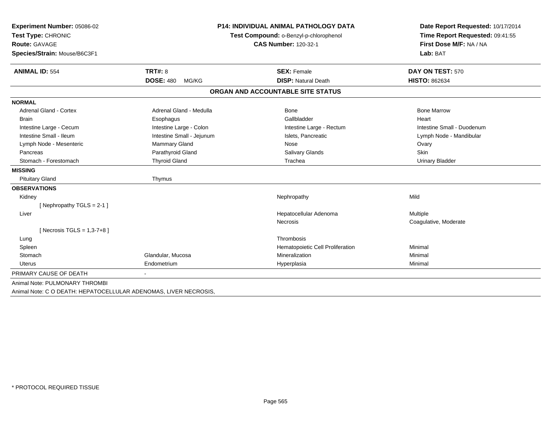| Experiment Number: 05086-02    |                           | <b>P14: INDIVIDUAL ANIMAL PATHOLOGY DATA</b> | Date Report Requested: 10/17/2014                          |  |
|--------------------------------|---------------------------|----------------------------------------------|------------------------------------------------------------|--|
| Test Type: CHRONIC             |                           | Test Compound: o-Benzyl-p-chlorophenol       | Time Report Requested: 09:41:55<br>First Dose M/F: NA / NA |  |
| Route: GAVAGE                  |                           | <b>CAS Number: 120-32-1</b>                  |                                                            |  |
| Species/Strain: Mouse/B6C3F1   |                           |                                              | Lab: BAT                                                   |  |
| <b>ANIMAL ID: 554</b>          | <b>TRT#: 8</b>            | <b>SEX: Female</b>                           | DAY ON TEST: 570                                           |  |
|                                | <b>DOSE: 480</b><br>MG/KG | <b>DISP: Natural Death</b>                   | <b>HISTO: 862634</b>                                       |  |
|                                |                           | ORGAN AND ACCOUNTABLE SITE STATUS            |                                                            |  |
| <b>NORMAL</b>                  |                           |                                              |                                                            |  |
| <b>Adrenal Gland - Cortex</b>  | Adrenal Gland - Medulla   | Bone                                         | <b>Bone Marrow</b>                                         |  |
| <b>Brain</b>                   | Esophagus                 | Gallbladder                                  | Heart                                                      |  |
| Intestine Large - Cecum        | Intestine Large - Colon   | Intestine Large - Rectum                     | Intestine Small - Duodenum                                 |  |
| Intestine Small - Ileum        | Intestine Small - Jejunum | Islets, Pancreatic                           | Lymph Node - Mandibular                                    |  |
| Lymph Node - Mesenteric        | Mammary Gland             | Nose                                         | Ovary                                                      |  |
| Pancreas                       | Parathyroid Gland         | <b>Salivary Glands</b>                       | Skin                                                       |  |
| Stomach - Forestomach          | <b>Thyroid Gland</b>      | Trachea                                      | <b>Urinary Bladder</b>                                     |  |
| <b>MISSING</b>                 |                           |                                              |                                                            |  |
| <b>Pituitary Gland</b>         | Thymus                    |                                              |                                                            |  |
| <b>OBSERVATIONS</b>            |                           |                                              |                                                            |  |
| Kidney                         |                           | Nephropathy                                  | Mild                                                       |  |
| [Nephropathy TGLS = $2-1$ ]    |                           |                                              |                                                            |  |
| Liver                          |                           | Hepatocellular Adenoma                       | Multiple                                                   |  |
|                                |                           | Necrosis                                     | Coagulative, Moderate                                      |  |
| [ Necrosis TGLS = $1,3-7+8$ ]  |                           |                                              |                                                            |  |
| Lung                           |                           | Thrombosis                                   |                                                            |  |
| Spleen                         |                           | Hematopoietic Cell Proliferation             | Minimal                                                    |  |
| Stomach                        | Glandular, Mucosa         | Mineralization                               | Minimal                                                    |  |
| <b>Uterus</b>                  | Endometrium               | Hyperplasia                                  | Minimal                                                    |  |
| PRIMARY CAUSE OF DEATH         | $\blacksquare$            |                                              |                                                            |  |
| Animal Note: PULMONARY THROMBI |                           |                                              |                                                            |  |
|                                |                           |                                              |                                                            |  |

Animal Note: C O DEATH: HEPATOCELLULAR ADENOMAS, LIVER NECROSIS,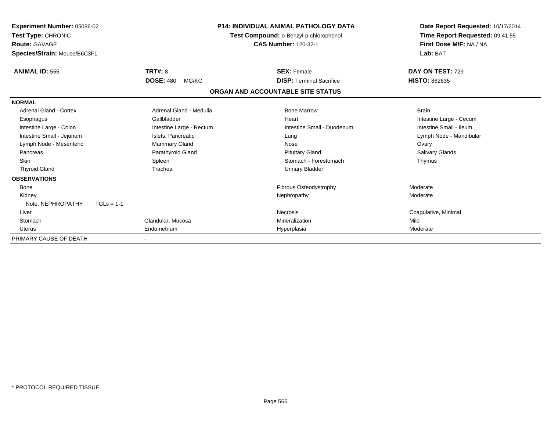| Experiment Number: 05086-02<br>Test Type: CHRONIC<br><b>Route: GAVAGE</b><br>Species/Strain: Mouse/B6C3F1 |                           | <b>P14: INDIVIDUAL ANIMAL PATHOLOGY DATA</b><br>Test Compound: o-Benzyl-p-chlorophenol<br><b>CAS Number: 120-32-1</b> | Date Report Requested: 10/17/2014<br>Time Report Requested: 09:41:55<br>First Dose M/F: NA / NA<br>Lab: BAT |
|-----------------------------------------------------------------------------------------------------------|---------------------------|-----------------------------------------------------------------------------------------------------------------------|-------------------------------------------------------------------------------------------------------------|
| <b>ANIMAL ID: 555</b>                                                                                     | TRT#: 8                   | <b>SEX: Female</b>                                                                                                    | DAY ON TEST: 729                                                                                            |
|                                                                                                           | <b>DOSE: 480</b><br>MG/KG | <b>DISP: Terminal Sacrifice</b>                                                                                       | <b>HISTO: 862635</b>                                                                                        |
|                                                                                                           |                           | ORGAN AND ACCOUNTABLE SITE STATUS                                                                                     |                                                                                                             |
| <b>NORMAL</b>                                                                                             |                           |                                                                                                                       |                                                                                                             |
| Adrenal Gland - Cortex                                                                                    | Adrenal Gland - Medulla   | <b>Bone Marrow</b>                                                                                                    | <b>Brain</b>                                                                                                |
| Esophagus                                                                                                 | Gallbladder               | Heart                                                                                                                 | Intestine Large - Cecum                                                                                     |
| Intestine Large - Colon                                                                                   | Intestine Large - Rectum  | Intestine Small - Duodenum                                                                                            | Intestine Small - Ileum                                                                                     |
| Intestine Small - Jejunum                                                                                 | Islets, Pancreatic        | Lung                                                                                                                  | Lymph Node - Mandibular                                                                                     |
| Lymph Node - Mesenteric                                                                                   | Mammary Gland             | Nose                                                                                                                  | Ovary                                                                                                       |
| Pancreas                                                                                                  | Parathyroid Gland         | <b>Pituitary Gland</b>                                                                                                | Salivary Glands                                                                                             |
| <b>Skin</b>                                                                                               | Spleen                    | Stomach - Forestomach                                                                                                 | Thymus                                                                                                      |
| <b>Thyroid Gland</b>                                                                                      | Trachea                   | <b>Urinary Bladder</b>                                                                                                |                                                                                                             |
| <b>OBSERVATIONS</b>                                                                                       |                           |                                                                                                                       |                                                                                                             |
| <b>Bone</b>                                                                                               |                           | Fibrous Osteodystrophy                                                                                                | Moderate                                                                                                    |
| Kidney                                                                                                    |                           | Nephropathy                                                                                                           | Moderate                                                                                                    |
| Note: NEPHROPATHY<br>$TGLs = 1-1$                                                                         |                           |                                                                                                                       |                                                                                                             |
| Liver                                                                                                     |                           | Necrosis                                                                                                              | Coagulative, Minimal                                                                                        |
| Stomach                                                                                                   | Glandular, Mucosa         | Mineralization                                                                                                        | Mild                                                                                                        |
| Uterus                                                                                                    | Endometrium               | Hyperplasia                                                                                                           | Moderate                                                                                                    |
| PRIMARY CAUSE OF DEATH                                                                                    |                           |                                                                                                                       |                                                                                                             |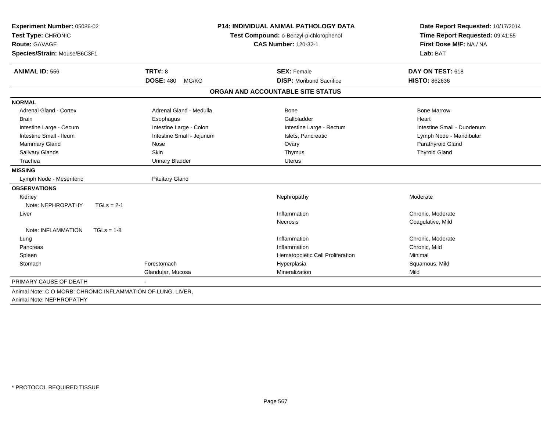| Experiment Number: 05086-02        | <b>P14: INDIVIDUAL ANIMAL PATHOLOGY DATA</b> |                                        | Date Report Requested: 10/17/2014                          |  |
|------------------------------------|----------------------------------------------|----------------------------------------|------------------------------------------------------------|--|
| Test Type: CHRONIC                 |                                              | Test Compound: o-Benzyl-p-chlorophenol |                                                            |  |
| <b>Route: GAVAGE</b>               |                                              | <b>CAS Number: 120-32-1</b>            | Time Report Requested: 09:41:55<br>First Dose M/F: NA / NA |  |
| Species/Strain: Mouse/B6C3F1       |                                              |                                        | Lab: BAT                                                   |  |
| <b>ANIMAL ID: 556</b>              | <b>TRT#: 8</b>                               | <b>SEX: Female</b>                     | DAY ON TEST: 618                                           |  |
|                                    | <b>DOSE: 480</b><br>MG/KG                    | <b>DISP:</b> Moribund Sacrifice        | <b>HISTO: 862636</b>                                       |  |
|                                    |                                              | ORGAN AND ACCOUNTABLE SITE STATUS      |                                                            |  |
| <b>NORMAL</b>                      |                                              |                                        |                                                            |  |
| <b>Adrenal Gland - Cortex</b>      | Adrenal Gland - Medulla                      | <b>Bone</b>                            | <b>Bone Marrow</b>                                         |  |
| <b>Brain</b>                       | Esophagus                                    | Gallbladder                            | Heart                                                      |  |
| Intestine Large - Cecum            | Intestine Large - Colon                      | Intestine Large - Rectum               | Intestine Small - Duodenum                                 |  |
| Intestine Small - Ileum            | Intestine Small - Jejunum                    | Islets, Pancreatic                     | Lymph Node - Mandibular                                    |  |
| Mammary Gland                      | Nose                                         | Ovary                                  | Parathyroid Gland                                          |  |
| Salivary Glands                    | Skin                                         | Thymus                                 | <b>Thyroid Gland</b>                                       |  |
| Trachea                            | <b>Urinary Bladder</b>                       | <b>Uterus</b>                          |                                                            |  |
| <b>MISSING</b>                     |                                              |                                        |                                                            |  |
| Lymph Node - Mesenteric            | <b>Pituitary Gland</b>                       |                                        |                                                            |  |
| <b>OBSERVATIONS</b>                |                                              |                                        |                                                            |  |
| Kidney                             |                                              | Nephropathy                            | Moderate                                                   |  |
| Note: NEPHROPATHY<br>$TGLs = 2-1$  |                                              |                                        |                                                            |  |
| Liver                              |                                              | Inflammation                           | Chronic, Moderate                                          |  |
|                                    |                                              | <b>Necrosis</b>                        | Coagulative, Mild                                          |  |
| Note: INFLAMMATION<br>$TGLs = 1-8$ |                                              |                                        |                                                            |  |
| Lung                               |                                              | Inflammation                           | Chronic, Moderate                                          |  |
| Pancreas                           |                                              | Inflammation                           | Chronic, Mild                                              |  |
| Spleen                             |                                              | Hematopoietic Cell Proliferation       | Minimal                                                    |  |
| Stomach                            | Forestomach                                  | Hyperplasia                            | Squamous, Mild                                             |  |
|                                    | Glandular, Mucosa                            | Mineralization                         | Mild                                                       |  |
| PRIMARY CAUSE OF DEATH             |                                              |                                        |                                                            |  |

Animal Note: NEPHROPATHY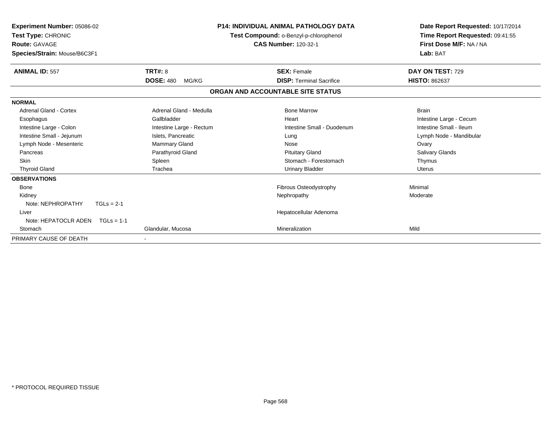| Experiment Number: 05086-02<br>Test Type: CHRONIC<br><b>Route: GAVAGE</b><br>Species/Strain: Mouse/B6C3F1 |                           | <b>P14: INDIVIDUAL ANIMAL PATHOLOGY DATA</b><br>Test Compound: o-Benzyl-p-chlorophenol<br><b>CAS Number: 120-32-1</b> | Date Report Requested: 10/17/2014<br>Time Report Requested: 09:41:55<br>First Dose M/F: NA / NA<br>Lab: BAT |
|-----------------------------------------------------------------------------------------------------------|---------------------------|-----------------------------------------------------------------------------------------------------------------------|-------------------------------------------------------------------------------------------------------------|
| <b>ANIMAL ID: 557</b>                                                                                     | TRT#: 8                   | <b>SEX: Female</b>                                                                                                    | DAY ON TEST: 729                                                                                            |
|                                                                                                           | <b>DOSE: 480</b><br>MG/KG | <b>DISP: Terminal Sacrifice</b>                                                                                       | <b>HISTO: 862637</b>                                                                                        |
|                                                                                                           |                           | ORGAN AND ACCOUNTABLE SITE STATUS                                                                                     |                                                                                                             |
| <b>NORMAL</b>                                                                                             |                           |                                                                                                                       |                                                                                                             |
| Adrenal Gland - Cortex                                                                                    | Adrenal Gland - Medulla   | <b>Bone Marrow</b>                                                                                                    | <b>Brain</b>                                                                                                |
| Esophagus                                                                                                 | Gallbladder               | Heart                                                                                                                 | Intestine Large - Cecum                                                                                     |
| Intestine Large - Colon                                                                                   | Intestine Large - Rectum  | Intestine Small - Duodenum                                                                                            | Intestine Small - Ileum                                                                                     |
| Intestine Small - Jejunum                                                                                 | Islets, Pancreatic        | Lung                                                                                                                  | Lymph Node - Mandibular                                                                                     |
| Lymph Node - Mesenteric                                                                                   | Mammary Gland             | Nose                                                                                                                  | Ovary                                                                                                       |
| Pancreas                                                                                                  | Parathyroid Gland         | <b>Pituitary Gland</b>                                                                                                | Salivary Glands                                                                                             |
| <b>Skin</b>                                                                                               | Spleen                    | Stomach - Forestomach                                                                                                 | Thymus                                                                                                      |
| <b>Thyroid Gland</b>                                                                                      | Trachea                   | <b>Urinary Bladder</b>                                                                                                | <b>Uterus</b>                                                                                               |
| <b>OBSERVATIONS</b>                                                                                       |                           |                                                                                                                       |                                                                                                             |
| <b>Bone</b>                                                                                               |                           | Fibrous Osteodystrophy                                                                                                | Minimal                                                                                                     |
| Kidney                                                                                                    |                           | Nephropathy                                                                                                           | Moderate                                                                                                    |
| Note: NEPHROPATHY<br>$TGLs = 2-1$                                                                         |                           |                                                                                                                       |                                                                                                             |
| Liver                                                                                                     |                           | Hepatocellular Adenoma                                                                                                |                                                                                                             |
| Note: HEPATOCLR ADEN TGLs = 1-1                                                                           |                           |                                                                                                                       |                                                                                                             |
| Stomach                                                                                                   | Glandular, Mucosa         | Mineralization                                                                                                        | Mild                                                                                                        |
| PRIMARY CAUSE OF DEATH                                                                                    |                           |                                                                                                                       |                                                                                                             |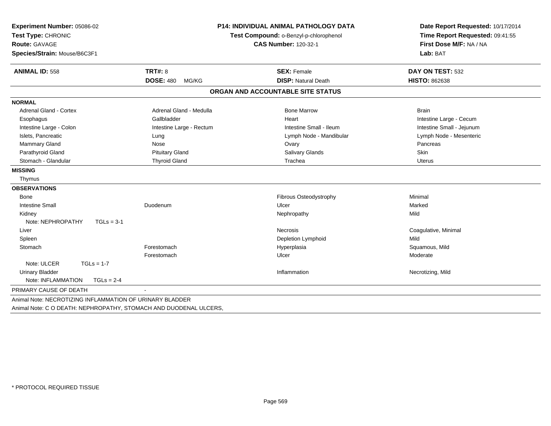| Experiment Number: 05086-02<br>Test Type: CHRONIC<br>Route: GAVAGE<br>Species/Strain: Mouse/B6C3F1 | <b>P14: INDIVIDUAL ANIMAL PATHOLOGY DATA</b><br>Test Compound: o-Benzyl-p-chlorophenol<br><b>CAS Number: 120-32-1</b> |                                                  | Date Report Requested: 10/17/2014<br>Time Report Requested: 09:41:55<br>First Dose M/F: NA / NA<br>Lab: BAT |
|----------------------------------------------------------------------------------------------------|-----------------------------------------------------------------------------------------------------------------------|--------------------------------------------------|-------------------------------------------------------------------------------------------------------------|
| <b>ANIMAL ID: 558</b>                                                                              | <b>TRT#: 8</b><br><b>DOSE: 480</b><br>MG/KG                                                                           | <b>SEX: Female</b><br><b>DISP: Natural Death</b> | DAY ON TEST: 532<br><b>HISTO: 862638</b>                                                                    |
|                                                                                                    |                                                                                                                       | ORGAN AND ACCOUNTABLE SITE STATUS                |                                                                                                             |
| <b>NORMAL</b>                                                                                      |                                                                                                                       |                                                  |                                                                                                             |
| Adrenal Gland - Cortex                                                                             | Adrenal Gland - Medulla                                                                                               | <b>Bone Marrow</b>                               | <b>Brain</b>                                                                                                |
| Esophagus                                                                                          | Gallbladder                                                                                                           | Heart                                            | Intestine Large - Cecum                                                                                     |
| Intestine Large - Colon                                                                            | Intestine Large - Rectum                                                                                              | Intestine Small - Ileum                          | Intestine Small - Jejunum                                                                                   |
| Islets, Pancreatic                                                                                 | Lung                                                                                                                  | Lymph Node - Mandibular                          | Lymph Node - Mesenteric                                                                                     |
| <b>Mammary Gland</b>                                                                               | Nose                                                                                                                  | Ovary                                            | Pancreas                                                                                                    |
| Parathyroid Gland                                                                                  | <b>Pituitary Gland</b>                                                                                                | Salivary Glands                                  | Skin                                                                                                        |
| Stomach - Glandular                                                                                | <b>Thyroid Gland</b>                                                                                                  | Trachea                                          | <b>Uterus</b>                                                                                               |
| <b>MISSING</b>                                                                                     |                                                                                                                       |                                                  |                                                                                                             |
| Thymus                                                                                             |                                                                                                                       |                                                  |                                                                                                             |
| <b>OBSERVATIONS</b>                                                                                |                                                                                                                       |                                                  |                                                                                                             |
| <b>Bone</b>                                                                                        |                                                                                                                       | <b>Fibrous Osteodystrophy</b>                    | Minimal                                                                                                     |
| <b>Intestine Small</b>                                                                             | Duodenum                                                                                                              | Ulcer                                            | Marked                                                                                                      |
| Kidney                                                                                             |                                                                                                                       | Nephropathy                                      | Mild                                                                                                        |
| Note: NEPHROPATHY<br>$TGLs = 3-1$                                                                  |                                                                                                                       |                                                  |                                                                                                             |
| Liver                                                                                              |                                                                                                                       | <b>Necrosis</b>                                  | Coagulative, Minimal                                                                                        |
| Spleen                                                                                             |                                                                                                                       | Depletion Lymphoid                               | Mild                                                                                                        |
| Stomach                                                                                            | Forestomach                                                                                                           | Hyperplasia                                      | Squamous, Mild                                                                                              |
|                                                                                                    | Forestomach                                                                                                           | Ulcer                                            | Moderate                                                                                                    |
| Note: ULCER<br>$TGLs = 1-7$                                                                        |                                                                                                                       |                                                  |                                                                                                             |
| <b>Urinary Bladder</b>                                                                             |                                                                                                                       | Inflammation                                     | Necrotizing, Mild                                                                                           |
| Note: INFLAMMATION<br>$TGLs = 2-4$                                                                 |                                                                                                                       |                                                  |                                                                                                             |
| PRIMARY CAUSE OF DEATH                                                                             |                                                                                                                       |                                                  |                                                                                                             |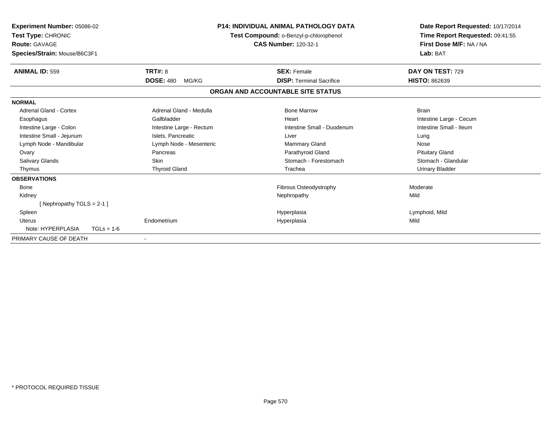| Experiment Number: 05086-02<br>Test Type: CHRONIC<br><b>Route: GAVAGE</b><br>Species/Strain: Mouse/B6C3F1 |                           | <b>P14: INDIVIDUAL ANIMAL PATHOLOGY DATA</b><br>Test Compound: o-Benzyl-p-chlorophenol<br><b>CAS Number: 120-32-1</b> | Date Report Requested: 10/17/2014<br>Time Report Requested: 09:41:55<br>First Dose M/F: NA / NA<br>Lab: BAT |
|-----------------------------------------------------------------------------------------------------------|---------------------------|-----------------------------------------------------------------------------------------------------------------------|-------------------------------------------------------------------------------------------------------------|
| <b>ANIMAL ID: 559</b>                                                                                     | <b>TRT#: 8</b>            | <b>SEX: Female</b>                                                                                                    | DAY ON TEST: 729                                                                                            |
|                                                                                                           | <b>DOSE: 480</b><br>MG/KG | <b>DISP: Terminal Sacrifice</b>                                                                                       | <b>HISTO: 862639</b>                                                                                        |
|                                                                                                           |                           | ORGAN AND ACCOUNTABLE SITE STATUS                                                                                     |                                                                                                             |
| <b>NORMAL</b>                                                                                             |                           |                                                                                                                       |                                                                                                             |
| <b>Adrenal Gland - Cortex</b>                                                                             | Adrenal Gland - Medulla   | <b>Bone Marrow</b>                                                                                                    | <b>Brain</b>                                                                                                |
| Esophagus                                                                                                 | Gallbladder               | Heart                                                                                                                 | Intestine Large - Cecum                                                                                     |
| Intestine Large - Colon                                                                                   | Intestine Large - Rectum  | Intestine Small - Duodenum                                                                                            | Intestine Small - Ileum                                                                                     |
| Intestine Small - Jejunum                                                                                 | Islets, Pancreatic        | Liver                                                                                                                 | Lung                                                                                                        |
| Lymph Node - Mandibular                                                                                   | Lymph Node - Mesenteric   | Mammary Gland                                                                                                         | Nose                                                                                                        |
| Ovary                                                                                                     | Pancreas                  | Parathyroid Gland                                                                                                     | <b>Pituitary Gland</b>                                                                                      |
| Salivary Glands                                                                                           | <b>Skin</b>               | Stomach - Forestomach                                                                                                 | Stomach - Glandular                                                                                         |
| Thymus                                                                                                    | <b>Thyroid Gland</b>      | Trachea                                                                                                               | <b>Urinary Bladder</b>                                                                                      |
| <b>OBSERVATIONS</b>                                                                                       |                           |                                                                                                                       |                                                                                                             |
| <b>Bone</b>                                                                                               |                           | Fibrous Osteodystrophy                                                                                                | Moderate                                                                                                    |
| Kidney                                                                                                    |                           | Nephropathy                                                                                                           | Mild                                                                                                        |
| [Nephropathy TGLS = $2-1$ ]                                                                               |                           |                                                                                                                       |                                                                                                             |
| Spleen                                                                                                    |                           | Hyperplasia                                                                                                           | Lymphoid, Mild                                                                                              |
| Uterus                                                                                                    | Endometrium               | Hyperplasia                                                                                                           | Mild                                                                                                        |
| Note: HYPERPLASIA<br>$TGLs = 1-6$                                                                         |                           |                                                                                                                       |                                                                                                             |
| PRIMARY CAUSE OF DEATH                                                                                    |                           |                                                                                                                       |                                                                                                             |